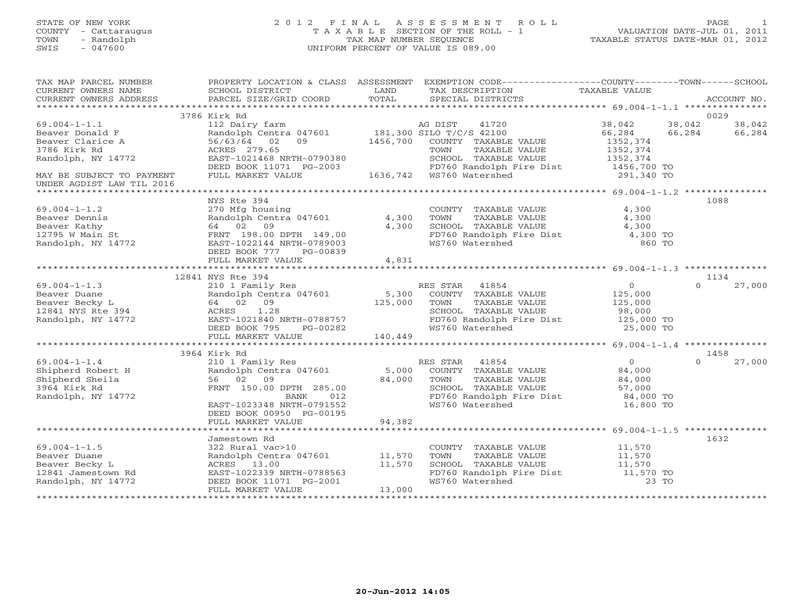#### STATE OF NEW YORK 2 0 1 2 F I N A L A S S E S S M E N T R O L L PAGE 1 COUNTY - Cattaraugus T A X A B L E SECTION OF THE ROLL - 1 VALUATION DATE-JUL 01, 2011 TOWN - Randolph TAX MAP NUMBER SEQUENCE TAXABLE STATUS DATE-MAR 01, 2012 SWIS - 047600 UNIFORM PERCENT OF VALUE IS 089.00UNIFORM PERCENT OF VALUE IS 089.00

| TAX MAP PARCEL NUMBER<br>CURRENT OWNERS NAME<br>CURRENT OWNERS ADDRESS                                          | SCHOOL DISTRICT<br>PARCEL SIZE/GRID COORD                                                                                                                 | LAND<br>TOTAL    | PROPERTY LOCATION & CLASS ASSESSMENT EXEMPTION CODE----------------COUNTY-------TOWN------SCHOOL<br>TAX DESCRIPTION TAXABLE VALUE<br>SPECIAL DISTRICTS |                                                                        | ACCOUNT NO.                          |
|-----------------------------------------------------------------------------------------------------------------|-----------------------------------------------------------------------------------------------------------------------------------------------------------|------------------|--------------------------------------------------------------------------------------------------------------------------------------------------------|------------------------------------------------------------------------|--------------------------------------|
|                                                                                                                 |                                                                                                                                                           |                  |                                                                                                                                                        |                                                                        |                                      |
|                                                                                                                 | 3786 Kirk Rd                                                                                                                                              |                  |                                                                                                                                                        |                                                                        | 0029                                 |
| $69.004 - 1 - 1.1$<br>Beaver Donald F<br>Beaver Clarice A<br>3786 Kirk Rd                                       | 112 Dairy farm<br>Randolph Centra 047601 181,300 SILO T/C/S 42100<br>56/63/64 02 09<br>ACRES 279.65                                                       | 1456,700         | COUNTY TAXABLE VALUE<br>TOWN<br>TAXABLE VALUE                                                                                                          | 38,042<br>66,284<br>1352,374<br>1352,374                               | 38,042<br>38,042<br>66,284<br>66,284 |
| Randolph, NY 14772                                                                                              | EAST-1021468 NRTH-0790380                                                                                                                                 |                  | SCHOOL TAXABLE VALUE<br>FD760 Randolph Fire Dist 1456,700 TO                                                                                           | 1352,374                                                               |                                      |
| MAY BE SUBJECT TO PAYMENT<br>UNDER AGDIST LAW TIL 2016                                                          | DEED BOOK 11071 PG-2003 FD760 Randolph F<br>FULL MARKET VALUE 1636,742 WS760 Watershed                                                                    |                  |                                                                                                                                                        | 291,340 TO                                                             |                                      |
|                                                                                                                 | NYS Rte 394                                                                                                                                               |                  |                                                                                                                                                        |                                                                        | 1088                                 |
| $69.004 - 1 - 1.2$<br>Beaver Dennis<br>Beaver Kathy<br>12795 W Main St<br>Randolph, NY 14772                    | 270 Mfg housing<br>Randolph Centra 047601 4,300<br>64 02 09<br>FRNT 198.00 DPTH 149.00<br>EAST-1022144 NRTH-0789003<br>DEED BOOK 777<br>PG-00839          | 4,300            | COUNTY TAXABLE VALUE<br>TAXABLE VALUE<br>TOWN<br>SCHOOL TAXABLE VALUE $4,300$<br>FD760 Randolph Fire Dist $4,300$ TO<br>WS760 Watershed 860 TO         | 4,300<br>4,300                                                         |                                      |
|                                                                                                                 | FULL MARKET VALUE                                                                                                                                         | 4,831            |                                                                                                                                                        |                                                                        |                                      |
|                                                                                                                 | 12841 NYS Rte 394                                                                                                                                         |                  |                                                                                                                                                        |                                                                        | 1134                                 |
| $69.004 - 1 - 1.3$<br>Beaver Duane<br>beaver Duane<br>Beaver Becky L<br>12841 NYS Rte 394<br>Randolph, NY 14772 | 210 1 Family Res<br>Randolph Centra 047601<br>64 02 09<br>ACRES 1.28<br>ACRES 1.28<br>EAST-1021840 NRTH-0788757<br>DEED BOOK 795 PG-00282                 | 5,300<br>125,000 | RES STAR 41854<br>COUNTY TAXABLE VALUE<br>TOWN<br>TAXABLE VALUE<br>SCHOOL TAXABLE VALUE<br>FD760 Randolph Fire Dist 125,000 TO<br>WS760 Watershed      | $\overline{O}$<br>125,000<br>125,000<br>98,000<br>25,000 TO            | $\Omega$<br>27,000                   |
|                                                                                                                 | FULL MARKET VALUE                                                                                                                                         | 140,449          |                                                                                                                                                        |                                                                        |                                      |
|                                                                                                                 |                                                                                                                                                           |                  |                                                                                                                                                        |                                                                        |                                      |
|                                                                                                                 | 3964 Kirk Rd                                                                                                                                              |                  |                                                                                                                                                        |                                                                        | 1458                                 |
| $69.004 - 1 - 1.4$<br>Shipherd Robert H<br>Shipherd Sheila<br>3964 Kirk Rd<br>Randolph, NY 14772                | 210 1 Family Res<br>Randolph Centra 047601<br>56 02 09<br>FRNT 150.00 DPTH 285.00<br>BANK<br>012<br>EAST-1023348 NRTH-0791552<br>DEED BOOK 00950 PG-00195 | 84,000           | RES STAR 41854<br>5,000 COUNTY TAXABLE VALUE<br>TOWN<br>TAXABLE VALUE<br>SCHOOL TAXABLE VALUE<br>FD760 Randolph Fire Dist<br>WS760 Watershed           | $\overline{0}$<br>84,000<br>84,000<br>57,000<br>84,000 TO<br>16,800 TO | 27,000<br>$\Omega$                   |
|                                                                                                                 | FULL MARKET VALUE                                                                                                                                         | 94,382           |                                                                                                                                                        |                                                                        |                                      |
|                                                                                                                 | Jamestown Rd                                                                                                                                              |                  |                                                                                                                                                        |                                                                        | 1632                                 |
| $69.004 - 1 - 1.5$<br>Beaver Duane<br>Beaver Becky L<br>12841 Jamestown Rd<br>Randolph, NY 14772                | 322 Rural vac>10<br>Randolph Centra 047601 11,570<br>ACRES 13.00<br>EAST-1022339 NRTH-0788563<br>DEED BOOK 11071 PG-2001                                  | 11,570           | COUNTY TAXABLE VALUE<br>TAXABLE VALUE<br>TOWN<br>SCHOOL TAXABLE VALUE<br>FD760 Randolph Fire Dist 11,570 TO<br>WS760 Watershed                         | 11,570<br>11,570<br>11,570<br>23 TO                                    |                                      |
|                                                                                                                 | FULL MARKET VALUE                                                                                                                                         | 13,000           |                                                                                                                                                        |                                                                        |                                      |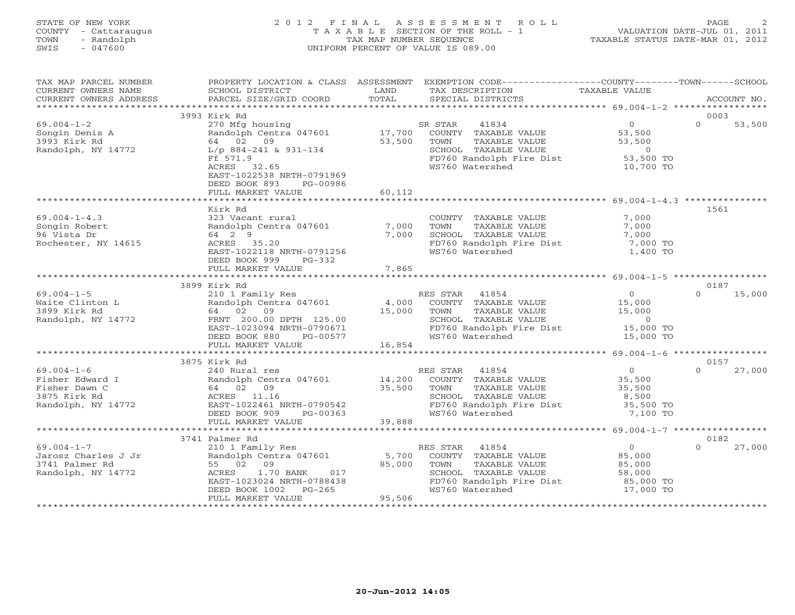## STATE OF NEW YORK 2 0 1 2 F I N A L A S S E S S M E N T R O L L PAGE 2 COUNTY - Cattaraugus T A X A B L E SECTION OF THE ROLL - 1 VALUATION DATE-JUL 01, 2011 TOWN - Randolph TAX MAP NUMBER SEQUENCE TAXABLE STATUS DATE-MAR 01, 2012 SWIS - 047600 UNIFORM PERCENT OF VALUE IS 089.00

| TAX MAP PARCEL NUMBER<br>CURRENT OWNERS NAME<br>CURRENT OWNERS ADDRESS    | SCHOOL DISTRICT<br>PARCEL SIZE/GRID COORD                                                                                   | LAND<br>TOTAL  | PROPERTY LOCATION & CLASS ASSESSMENT EXEMPTION CODE---------------COUNTY-------TOWN------SCHOOL<br>TAX DESCRIPTION<br>SPECIAL DISTRICTS | TAXABLE VALUE                                        | ACCOUNT NO.        |
|---------------------------------------------------------------------------|-----------------------------------------------------------------------------------------------------------------------------|----------------|-----------------------------------------------------------------------------------------------------------------------------------------|------------------------------------------------------|--------------------|
|                                                                           |                                                                                                                             |                |                                                                                                                                         |                                                      |                    |
|                                                                           | 3993 Kirk Rd                                                                                                                |                |                                                                                                                                         |                                                      | 0003               |
| $69.004 - 1 - 2$<br>Songin Denis A<br>3993 Kirk Rd<br>Randolph, NY 14772  | 270 Mfg housing<br>Randolph Centra 047601<br>64 02 09<br>L/p 884-241 & 931-134                                              | 53,500         | SR STAR<br>41834<br>17,700 COUNTY TAXABLE VALUE<br>TAXABLE VALUE<br>TOWN<br>SCHOOL TAXABLE VALUE                                        | $\overline{0}$<br>53,500<br>53,500<br>$\overline{0}$ | $\Omega$<br>53,500 |
|                                                                           | Ff 571.9<br>ACRES 32.65<br>EAST-1022538 NRTH-0791969<br>DEED BOOK 893<br>PG-00986<br>FULL MARKET VALUE                      | 60,112         | FD760 Randolph Fire Dist 53,500 TO<br>WS760 Watershed                                                                                   | 10,700 TO                                            |                    |
|                                                                           |                                                                                                                             |                |                                                                                                                                         |                                                      |                    |
|                                                                           | Kirk Rd                                                                                                                     |                |                                                                                                                                         |                                                      | 1561               |
| $69.004 - 1 - 4.3$<br>Songin Robert<br>96 Vista Dr<br>Rochester, NY 14615 | 323 Vacant rural<br>Randolph Centra 047601<br>64 2 9<br>ACRES 35.20<br>EAST-1022118 NRTH-0791256<br>DEED BOOK 999<br>PG-332 | 7,000<br>7,000 | COUNTY TAXABLE VALUE<br>TAXABLE VALUE<br>TOWN<br>SCHOOL TAXABLE VALUE<br>FD760 Randolph Fire Dist<br>WS760 Watershed                    | 7,000<br>7,000<br>7,000<br>7,000 TO<br>1,400 TO      |                    |
|                                                                           | FULL MARKET VALUE                                                                                                           | 7,865          |                                                                                                                                         |                                                      |                    |
|                                                                           |                                                                                                                             |                |                                                                                                                                         |                                                      |                    |
|                                                                           | 3899 Kirk Rd                                                                                                                |                |                                                                                                                                         |                                                      | 0187               |
| $69.004 - 1 - 5$                                                          | 210 1 Family Res                                                                                                            |                | RES STAR 41854                                                                                                                          | $\overline{0}$                                       | $\Omega$<br>15,000 |
| Waite Clinton L                                                           | Randolph Centra 047601 4,000                                                                                                |                | COUNTY TAXABLE VALUE                                                                                                                    | 15,000                                               |                    |
| 3899 Kirk Rd                                                              | 64 02 09                                                                                                                    | 15,000         | TOWN<br>TAXABLE VALUE                                                                                                                   | 15,000                                               |                    |
| Randolph, NY 14772                                                        | FRNT 200.00 DPTH 125.00<br>EAST-1023094 NRTH-0790671                                                                        |                | SCHOOL TAXABLE VALUE<br>FD760 Randolph Fire Dist                                                                                        | $\overline{0}$<br>15,000 TO                          |                    |
|                                                                           | DEED BOOK 880<br>PG-00577                                                                                                   |                | WS760 Watershed                                                                                                                         | 15,000 TO                                            |                    |
|                                                                           | FULL MARKET VALUE                                                                                                           | 16,854         |                                                                                                                                         |                                                      |                    |
|                                                                           |                                                                                                                             |                |                                                                                                                                         |                                                      |                    |
|                                                                           | 3875 Kirk Rd                                                                                                                |                |                                                                                                                                         |                                                      | 0157               |
| $69.004 - 1 - 6$                                                          | 240 Rural res                                                                                                               |                | RES STAR 41854                                                                                                                          | $\Omega$                                             | $\Omega$<br>27,000 |
| Fisher Edward I                                                           | Randolph Centra 047601                                                                                                      | 14,200         | COUNTY TAXABLE VALUE                                                                                                                    | 35,500                                               |                    |
| Fisher Dawn C                                                             | 64 02 09                                                                                                                    | 35,500         | TOWN<br>TAXABLE VALUE                                                                                                                   | 35,500                                               |                    |
| 3875 Kirk Rd                                                              | ACRES 11.16                                                                                                                 |                | SCHOOL TAXABLE VALUE                                                                                                                    | 8,500                                                |                    |
| Randolph, NY 14772                                                        | EAST-1022461 NRTH-0790542<br>DEED BOOK 909<br>PG-00363                                                                      |                | FD760 Randolph Fire Dist<br>WS760 Watershed                                                                                             | 35,500 TO<br>7,100 TO                                |                    |
|                                                                           | FULL MARKET VALUE                                                                                                           | 39,888         |                                                                                                                                         |                                                      |                    |
|                                                                           | *************************************                                                                                       |                |                                                                                                                                         |                                                      |                    |
|                                                                           | 3741 Palmer Rd                                                                                                              |                |                                                                                                                                         |                                                      | 0182               |
| $69.004 - 1 - 7$                                                          | 210 1 Family Res                                                                                                            |                | RES STAR<br>41854                                                                                                                       | $\overline{0}$                                       | $\Omega$<br>27,000 |
| Jarosz Charles J Jr                                                       | Randolph Centra 047601                                                                                                      | 5,700          | COUNTY TAXABLE VALUE                                                                                                                    | 85,000                                               |                    |
| 3741 Palmer Rd                                                            | 55 02 09                                                                                                                    | 85,000         | TOWN<br>TAXABLE VALUE                                                                                                                   | 85,000                                               |                    |
| Randolph, NY 14772                                                        | ACRES 1.70 BANK 017<br>EAST-1023024 NRTH-0788438<br>DEED BOOK 1002 PG-265                                                   |                | SCHOOL TAXABLE VALUE                                                                                                                    | 58,000                                               |                    |
|                                                                           |                                                                                                                             |                | FD760 Randolph Fire Dist                                                                                                                | 85,000 TO                                            |                    |
|                                                                           | $PG-265$<br>DEED BOOK 1002                                                                                                  | 95,506         | WS760 Watershed                                                                                                                         | 17,000 TO                                            |                    |
|                                                                           | FULL MARKET VALUE                                                                                                           |                |                                                                                                                                         |                                                      |                    |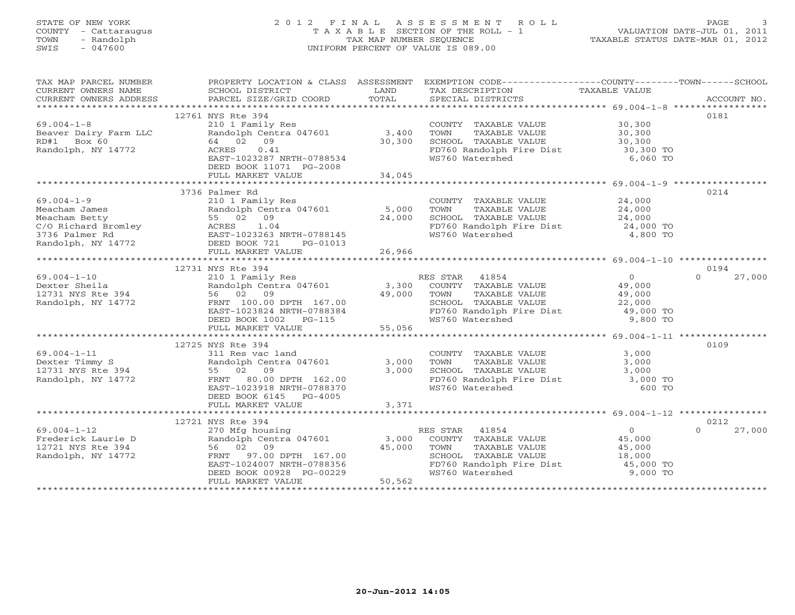# STATE OF NEW YORK 2 0 1 2 F I N A L A S S E S S M E N T R O L L PAGE 3 COUNTY - Cattaraugus T A X A B L E SECTION OF THE ROLL - 1 VALUATION DATE-JUL 01, 2011 TOWN - Randolph TAX MAP NUMBER SEQUENCE TAXABLE STATUS DATE-MAR 01, 2012 SWIS - 047600 UNIFORM PERCENT OF VALUE IS 089.00

| TAX MAP PARCEL NUMBER                                                    |                                                                                                                                                 | PROPERTY LOCATION & CLASS ASSESSMENT EXEMPTION CODE---------------COUNTY-------TOWN------SCHOOL                                                                                                                                                         |                    |
|--------------------------------------------------------------------------|-------------------------------------------------------------------------------------------------------------------------------------------------|---------------------------------------------------------------------------------------------------------------------------------------------------------------------------------------------------------------------------------------------------------|--------------------|
|                                                                          |                                                                                                                                                 |                                                                                                                                                                                                                                                         |                    |
|                                                                          | 12761 NYS Rte 394                                                                                                                               |                                                                                                                                                                                                                                                         | 0181               |
| $69.004 - 1 - 8$                                                         |                                                                                                                                                 |                                                                                                                                                                                                                                                         |                    |
|                                                                          | 210 1 Family Res<br>Randolph Centra 047601 3,400<br>64 02 09 09                                                                                 |                                                                                                                                                                                                                                                         |                    |
| 69.004-1-8<br>Beaver Dairy Farm LLC<br>RD#1 Box 60<br>Randolph, NY 14772 | $64$ 02 09 30,300<br>ACRES 0.41<br>EAST-1023287 NRTH-0788534                                                                                    | COUNTY TAXABLE VALUE<br>TOWN TAXABLE VALUE 30,300<br>SCHOOL TAXABLE VALUE 30,300<br>FD760 Randolph Fire Dist 30,300<br>WS760 Watershed 6,060 TO                                                                                                         |                    |
|                                                                          |                                                                                                                                                 |                                                                                                                                                                                                                                                         |                    |
|                                                                          | DEED BOOK 11071 PG-2008                                                                                                                         |                                                                                                                                                                                                                                                         |                    |
|                                                                          |                                                                                                                                                 |                                                                                                                                                                                                                                                         |                    |
|                                                                          |                                                                                                                                                 |                                                                                                                                                                                                                                                         |                    |
|                                                                          | 3736 Palmer Rd                                                                                                                                  |                                                                                                                                                                                                                                                         | 0214               |
|                                                                          |                                                                                                                                                 |                                                                                                                                                                                                                                                         |                    |
|                                                                          |                                                                                                                                                 |                                                                                                                                                                                                                                                         |                    |
|                                                                          |                                                                                                                                                 |                                                                                                                                                                                                                                                         |                    |
|                                                                          |                                                                                                                                                 |                                                                                                                                                                                                                                                         |                    |
|                                                                          |                                                                                                                                                 |                                                                                                                                                                                                                                                         |                    |
|                                                                          |                                                                                                                                                 |                                                                                                                                                                                                                                                         |                    |
|                                                                          |                                                                                                                                                 |                                                                                                                                                                                                                                                         |                    |
|                                                                          | 12731 NYS Rte 394                                                                                                                               |                                                                                                                                                                                                                                                         | 0194               |
|                                                                          |                                                                                                                                                 |                                                                                                                                                                                                                                                         |                    |
|                                                                          |                                                                                                                                                 |                                                                                                                                                                                                                                                         |                    |
|                                                                          |                                                                                                                                                 |                                                                                                                                                                                                                                                         |                    |
|                                                                          |                                                                                                                                                 |                                                                                                                                                                                                                                                         |                    |
|                                                                          |                                                                                                                                                 |                                                                                                                                                                                                                                                         |                    |
|                                                                          |                                                                                                                                                 |                                                                                                                                                                                                                                                         |                    |
|                                                                          |                                                                                                                                                 |                                                                                                                                                                                                                                                         |                    |
|                                                                          |                                                                                                                                                 |                                                                                                                                                                                                                                                         |                    |
|                                                                          | 12725 NYS Rte 394                                                                                                                               |                                                                                                                                                                                                                                                         | 0109               |
|                                                                          |                                                                                                                                                 |                                                                                                                                                                                                                                                         |                    |
|                                                                          |                                                                                                                                                 |                                                                                                                                                                                                                                                         |                    |
| 69.004-1-11<br>Dexter Timmy S<br>12731 NYS Rte 394<br>Randolph, NY 14772 | 55 02 09 3,000<br>FRNT 80.00 DPTH 162.00 3,000<br>EAST-1023918 NRTH-0788370                                                                     | NIS KLE SP4<br>3.000<br>Randolph Centra 047601<br>55 02 09<br>FRNT 80.00 DPTH 162.00<br>EAST-1023918 NRTH-0788370<br>2 3,000<br>FRNT 80.00 DPTH 162.00<br>55 02 09<br>2 3,000<br>5760 Randolph Fire Dist<br>5760 Randolph Fire Dist<br>2,000 TO<br>5760 |                    |
|                                                                          |                                                                                                                                                 |                                                                                                                                                                                                                                                         |                    |
|                                                                          | DEED BOOK 6145 PG-4005                                                                                                                          |                                                                                                                                                                                                                                                         |                    |
|                                                                          |                                                                                                                                                 |                                                                                                                                                                                                                                                         |                    |
|                                                                          |                                                                                                                                                 |                                                                                                                                                                                                                                                         |                    |
|                                                                          | 12721 NYS Rte 394                                                                                                                               |                                                                                                                                                                                                                                                         | 0212               |
|                                                                          |                                                                                                                                                 |                                                                                                                                                                                                                                                         | $\Omega$<br>27,000 |
| 69.004-1-12<br>Frederick Laurie D<br>10701 NVS Pto 394                   | 270 Mfg housing<br>Randolph Centra 047601 3,000<br>56 02 09 9                                                                                   | RES STAR 41854 0<br>COUNTY TAXABLE VALUE 45,000<br>TOWN TAXABLE VALUE 45,000                                                                                                                                                                            |                    |
| 12721 NYS Rte 394<br>Randolph, NY 14772                                  |                                                                                                                                                 |                                                                                                                                                                                                                                                         |                    |
|                                                                          |                                                                                                                                                 |                                                                                                                                                                                                                                                         |                    |
|                                                                          |                                                                                                                                                 | CHOOL TAXABLE VALUE<br>SCHOOL TAXABLE VALUE 18,000<br>FD760 Randolph Fire Dist 45,000 TO<br>WS760 Watershed 9,000 TO                                                                                                                                    |                    |
|                                                                          | 36 02 09<br>FRNT 97.00 DPTH 167.00<br>EAST-1024007 NRTH-0788356<br>DEED BOOK 00928 PG-00229<br>FULL MARKET VALUE<br>FULL MARKET VALUE<br>50,562 |                                                                                                                                                                                                                                                         |                    |
|                                                                          |                                                                                                                                                 |                                                                                                                                                                                                                                                         |                    |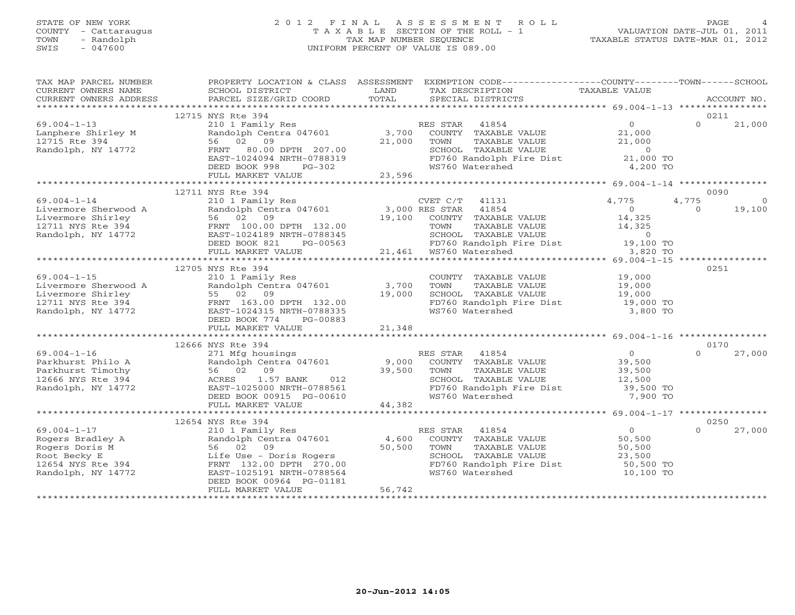# STATE OF NEW YORK 2 0 1 2 F I N A L A S S E S S M E N T R O L L PAGE 4 COUNTY - Cattaraugus T A X A B L E SECTION OF THE ROLL - 1 VALUATION DATE-JUL 01, 2011 TOWN - Randolph TAX MAP NUMBER SEQUENCE TAXABLE STATUS DATE-MAR 01, 2012 SWIS - 047600 UNIFORM PERCENT OF VALUE IS 089.00

| TAX MAP PARCEL NUMBER<br>CURRENT OWNERS NAME<br>CURRENT OWNERS ADDRESS                                                                                                                                                                                                   | SCHOOL DISTRICT<br>PARCEL SIZE/GRID COORD | <b>LAND</b><br>TOTAL | PROPERTY LOCATION & CLASS ASSESSMENT EXEMPTION CODE---------------COUNTY-------TOWN------SCHOOL<br>TAX DESCRIPTION TAXABLE VALUE SPECIAL DISTRICTS                                                                                     |           | ACCOUNT NO.        |
|--------------------------------------------------------------------------------------------------------------------------------------------------------------------------------------------------------------------------------------------------------------------------|-------------------------------------------|----------------------|----------------------------------------------------------------------------------------------------------------------------------------------------------------------------------------------------------------------------------------|-----------|--------------------|
|                                                                                                                                                                                                                                                                          |                                           |                      |                                                                                                                                                                                                                                        |           |                    |
|                                                                                                                                                                                                                                                                          | 12715 NYS Rte 394                         |                      |                                                                                                                                                                                                                                        |           | 0211               |
| $69.004 - 1 - 13$                                                                                                                                                                                                                                                        | 210 1 Family Res 60 1999 RES STAR 41854   |                      |                                                                                                                                                                                                                                        |           | $\Omega$<br>21,000 |
|                                                                                                                                                                                                                                                                          |                                           |                      |                                                                                                                                                                                                                                        |           |                    |
|                                                                                                                                                                                                                                                                          |                                           |                      |                                                                                                                                                                                                                                        |           |                    |
|                                                                                                                                                                                                                                                                          |                                           |                      | 210 1 Family Res<br>Randolph Centra 047601 3,700 COUNTY TAXABLE VALUE 21,000<br>56 02 09 21,000 TOWN TAXABLE VALUE 21,000<br>FRNT 80.00 DPTH 207.00 21,000 SCHOOL TAXABLE VALUE 21,000<br>EAST-1024094 NRTH-0788319 FD760 Randolph Fir |           |                    |
| 69.004-1-13<br>Lanphere Shirley M<br>12715 Rte 394<br>Randolph, NY 14772<br>Randolph, NY 14772<br>CHERNT 80.00 DPTH 207.00<br>EAST-1024094 NRTH-0788319<br>CHERNT 80.00 DPTH 207.00<br>PG-302<br>PG-302<br>PG-302<br>PG-302<br>PG-302<br>PG-302<br>PG-302                |                                           |                      | WS760 Watershed                                                                                                                                                                                                                        | 4,200 TO  |                    |
|                                                                                                                                                                                                                                                                          | FULL MARKET VALUE                         | 23,596               |                                                                                                                                                                                                                                        |           |                    |
|                                                                                                                                                                                                                                                                          |                                           |                      |                                                                                                                                                                                                                                        |           |                    |
|                                                                                                                                                                                                                                                                          | 12711 NYS Rte 394                         |                      |                                                                                                                                                                                                                                        |           | 0090               |
|                                                                                                                                                                                                                                                                          |                                           |                      |                                                                                                                                                                                                                                        |           |                    |
|                                                                                                                                                                                                                                                                          |                                           |                      |                                                                                                                                                                                                                                        |           |                    |
|                                                                                                                                                                                                                                                                          |                                           |                      |                                                                                                                                                                                                                                        |           |                    |
|                                                                                                                                                                                                                                                                          |                                           |                      |                                                                                                                                                                                                                                        |           |                    |
|                                                                                                                                                                                                                                                                          |                                           |                      |                                                                                                                                                                                                                                        |           |                    |
|                                                                                                                                                                                                                                                                          |                                           |                      |                                                                                                                                                                                                                                        |           |                    |
| $\begin{tabular}{lllllllllllll} 69.004-1-14 & 12/11 N18 NcU & 3/10 & 15201 & 152011 & 152011 & 152011 & 152011 & 152011 & 152011 & 152011 & 152011 & 152011 & 152011 & 152011 & 152011 & 152011 & 152011 & 152011 & 152011 & 152011 & 152011 & 152011 & 152011 & 152011$ |                                           |                      |                                                                                                                                                                                                                                        |           |                    |
|                                                                                                                                                                                                                                                                          | 12705 NYS Rte 394                         |                      |                                                                                                                                                                                                                                        |           | 0251               |
|                                                                                                                                                                                                                                                                          |                                           |                      | COUNTY TAXABLE VALUE 19,000                                                                                                                                                                                                            |           |                    |
|                                                                                                                                                                                                                                                                          |                                           |                      | TOWN TAXABLE VALUE 19,000<br>SCHOOL TAXABLE VALUE 19,000                                                                                                                                                                               |           |                    |
|                                                                                                                                                                                                                                                                          |                                           |                      |                                                                                                                                                                                                                                        |           |                    |
|                                                                                                                                                                                                                                                                          |                                           |                      | FD760 Randolph Fire Dist<br>WS760 Nandolph Fire Dist 19,000 TO<br>WS760 Watershed 3,800 TO                                                                                                                                             |           |                    |
|                                                                                                                                                                                                                                                                          |                                           |                      |                                                                                                                                                                                                                                        |           |                    |
|                                                                                                                                                                                                                                                                          |                                           |                      |                                                                                                                                                                                                                                        |           |                    |
|                                                                                                                                                                                                                                                                          |                                           |                      |                                                                                                                                                                                                                                        |           |                    |
|                                                                                                                                                                                                                                                                          | 12666 NYS Rte 394                         |                      |                                                                                                                                                                                                                                        |           | 0170               |
|                                                                                                                                                                                                                                                                          |                                           |                      |                                                                                                                                                                                                                                        |           | $\Omega$<br>27,000 |
|                                                                                                                                                                                                                                                                          |                                           |                      |                                                                                                                                                                                                                                        |           |                    |
|                                                                                                                                                                                                                                                                          |                                           |                      |                                                                                                                                                                                                                                        |           |                    |
| 12666 NYS Rte 394<br>Parkhurst Philo A Randolph Centra 047601<br>Parkhurst Timothy 56 02 09<br>Randolph, NY 14772 EAST-1025000 NRTH-0788561<br>Randolph, NY 14772 EAST-1025000 NRTH-0788561<br>DEED BOOK 00915 PG-00610 12000 NS760 Wate                                 |                                           |                      |                                                                                                                                                                                                                                        |           |                    |
|                                                                                                                                                                                                                                                                          |                                           |                      | FD760 Randolph Fire Dist 39,500 TO<br>WS760 Watershed 7,900 TO                                                                                                                                                                         |           |                    |
|                                                                                                                                                                                                                                                                          | FULL MARKET VALUE                         | 44,382               |                                                                                                                                                                                                                                        |           |                    |
|                                                                                                                                                                                                                                                                          |                                           |                      |                                                                                                                                                                                                                                        |           |                    |
|                                                                                                                                                                                                                                                                          | 12654 NYS Rte 394                         |                      |                                                                                                                                                                                                                                        |           | 0250               |
|                                                                                                                                                                                                                                                                          |                                           |                      |                                                                                                                                                                                                                                        |           | 27,000<br>$\Omega$ |
|                                                                                                                                                                                                                                                                          |                                           |                      |                                                                                                                                                                                                                                        |           |                    |
| Nogers Bradley A<br>Rogers Bradley A<br>Rogers Doris M<br>Rogers Doris M<br>Root Becky E<br>12654 NYS Rte 394<br>Root Becky E<br>12654 NYS Rte 394<br>FRNT 132.00 DPTH 270.00<br>Randolph, NY 14772<br>EAST-1025191 NRTH-0788564<br>DEED BOOK 00964                      |                                           |                      |                                                                                                                                                                                                                                        |           |                    |
|                                                                                                                                                                                                                                                                          |                                           |                      | SCHOOL TAXABLE VALUE $23,500$<br>FD760 Randolph Fire Dist 50,500 TO                                                                                                                                                                    |           |                    |
|                                                                                                                                                                                                                                                                          |                                           |                      |                                                                                                                                                                                                                                        | 10,100 TO |                    |
|                                                                                                                                                                                                                                                                          |                                           |                      |                                                                                                                                                                                                                                        |           |                    |
|                                                                                                                                                                                                                                                                          | FULL MARKET VALUE                         | 56,742               |                                                                                                                                                                                                                                        |           |                    |
|                                                                                                                                                                                                                                                                          |                                           |                      |                                                                                                                                                                                                                                        |           |                    |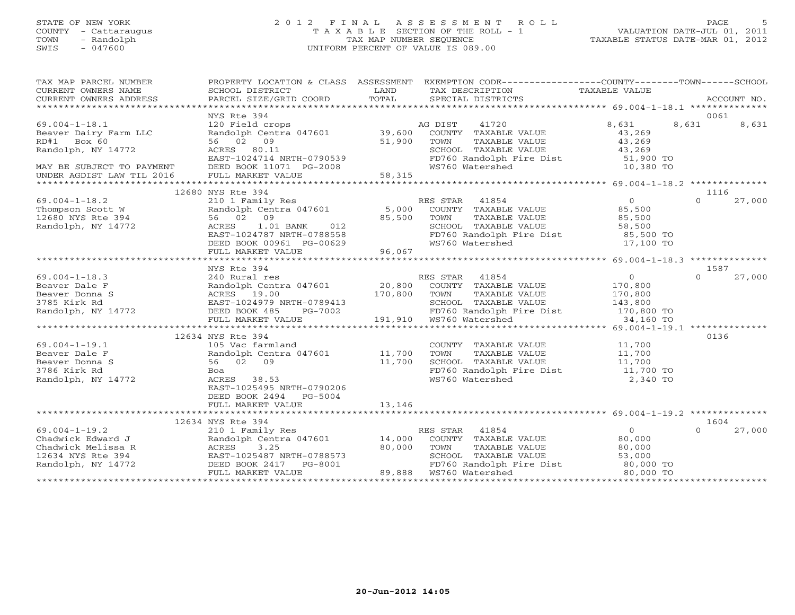#### STATE OF NEW YORK 2 0 1 2 F I N A L A S S E S S M E N T R O L L PAGE 5 COUNTY - Cattaraugus T A X A B L E SECTION OF THE ROLL - 1 VALUATION DATE-JUL 01, 2011 TOWN - Randolph TAX MAP NUMBER SEQUENCE TAXABLE STATUS DATE-MAR 01, 2012 SWIS - 047600 UNIFORM PERCENT OF VALUE IS 089.00UNIFORM PERCENT OF VALUE IS 089.00

| TAX MAP PARCEL NUMBER<br>CURRENT OWNERS NAME<br>CURRENT OWNERS NAME SCHOOL DISTRICT COORD TOTAL SPECIAL DISTRICTS TAXABLE VALUE<br>XXX DESCRIPTION TAXABLE VALUE ACCOUNT NO.<br>XXX ARABLE VALUE SERVICES PARCEL SIZE/GRID COORD TOTAL SPECIAL DISTRICTS ACCOUNT<br>CURRENT OWNERS ADDRESS |                                                                                                                                                                                                                                                      |        | PROPERTY LOCATION & CLASS ASSESSMENT EXEMPTION CODE----------------COUNTY-------TOWN------SCHOOL                                                                                                                                                         |                |                    |
|--------------------------------------------------------------------------------------------------------------------------------------------------------------------------------------------------------------------------------------------------------------------------------------------|------------------------------------------------------------------------------------------------------------------------------------------------------------------------------------------------------------------------------------------------------|--------|----------------------------------------------------------------------------------------------------------------------------------------------------------------------------------------------------------------------------------------------------------|----------------|--------------------|
|                                                                                                                                                                                                                                                                                            |                                                                                                                                                                                                                                                      |        |                                                                                                                                                                                                                                                          |                |                    |
|                                                                                                                                                                                                                                                                                            | NYS Rte 394                                                                                                                                                                                                                                          |        |                                                                                                                                                                                                                                                          |                | 0061               |
| $69.004 - 1 - 18.1$                                                                                                                                                                                                                                                                        |                                                                                                                                                                                                                                                      |        | 41720<br>AG DIST                                                                                                                                                                                                                                         | 8,631          | 8,631<br>8,631     |
| Beaver Dairy Farm LLC                                                                                                                                                                                                                                                                      | 120 Field crops<br>Randolph Centra 047601 39,600<br>56 02 09 51,900<br>ACRES 80.11                                                                                                                                                                   |        | COUNTY TAXABLE VALUE                                                                                                                                                                                                                                     | 43,269         |                    |
| RD#1 Box 60                                                                                                                                                                                                                                                                                |                                                                                                                                                                                                                                                      |        | TAXABLE VALUE 43,269<br>TOWN                                                                                                                                                                                                                             |                |                    |
| Randolph, NY 14772                                                                                                                                                                                                                                                                         | ACRES 80.11                                                                                                                                                                                                                                          |        | SCHOOL TAXABLE VALUE                                                                                                                                                                                                                                     | 43,269         |                    |
|                                                                                                                                                                                                                                                                                            |                                                                                                                                                                                                                                                      |        | FD760 Randolph Fire Dist 51,900 TO                                                                                                                                                                                                                       |                |                    |
|                                                                                                                                                                                                                                                                                            |                                                                                                                                                                                                                                                      |        | WS760 Watershed                                                                                                                                                                                                                                          | 10,380 TO      |                    |
| MAY BE SUBJECT TO PAYMENT<br>UNDER AGDIST LAW TIL 2016                                                                                                                                                                                                                                     |                                                                                                                                                                                                                                                      |        |                                                                                                                                                                                                                                                          |                |                    |
|                                                                                                                                                                                                                                                                                            |                                                                                                                                                                                                                                                      |        |                                                                                                                                                                                                                                                          |                |                    |
|                                                                                                                                                                                                                                                                                            | 12680 NYS Rte 394                                                                                                                                                                                                                                    |        |                                                                                                                                                                                                                                                          |                | 1116               |
|                                                                                                                                                                                                                                                                                            |                                                                                                                                                                                                                                                      |        |                                                                                                                                                                                                                                                          |                | 27,000<br>$\Omega$ |
|                                                                                                                                                                                                                                                                                            |                                                                                                                                                                                                                                                      |        |                                                                                                                                                                                                                                                          |                |                    |
|                                                                                                                                                                                                                                                                                            |                                                                                                                                                                                                                                                      |        |                                                                                                                                                                                                                                                          |                |                    |
|                                                                                                                                                                                                                                                                                            |                                                                                                                                                                                                                                                      |        | SCHOOL TAXABLE VALUE 58,500<br>FD760 Randolph Fire Dist 65,500 TO                                                                                                                                                                                        |                |                    |
|                                                                                                                                                                                                                                                                                            |                                                                                                                                                                                                                                                      |        |                                                                                                                                                                                                                                                          |                |                    |
|                                                                                                                                                                                                                                                                                            |                                                                                                                                                                                                                                                      |        |                                                                                                                                                                                                                                                          | 17,100 TO      |                    |
|                                                                                                                                                                                                                                                                                            |                                                                                                                                                                                                                                                      |        |                                                                                                                                                                                                                                                          |                |                    |
|                                                                                                                                                                                                                                                                                            |                                                                                                                                                                                                                                                      |        |                                                                                                                                                                                                                                                          |                |                    |
|                                                                                                                                                                                                                                                                                            | NYS Rte 394                                                                                                                                                                                                                                          |        |                                                                                                                                                                                                                                                          |                | 1587               |
| $69.004 - 1 - 18.3$                                                                                                                                                                                                                                                                        |                                                                                                                                                                                                                                                      |        |                                                                                                                                                                                                                                                          | $\overline{0}$ | $\Omega$<br>27,000 |
|                                                                                                                                                                                                                                                                                            |                                                                                                                                                                                                                                                      |        | COUNTY TAXABLE VALUE                                                                                                                                                                                                                                     | 170,800        |                    |
|                                                                                                                                                                                                                                                                                            |                                                                                                                                                                                                                                                      |        |                                                                                                                                                                                                                                                          |                |                    |
|                                                                                                                                                                                                                                                                                            |                                                                                                                                                                                                                                                      |        |                                                                                                                                                                                                                                                          |                |                    |
|                                                                                                                                                                                                                                                                                            |                                                                                                                                                                                                                                                      |        |                                                                                                                                                                                                                                                          |                |                    |
|                                                                                                                                                                                                                                                                                            | NYS Rte 394<br>240 Rural res<br>Randolph Centra 047601<br>20,800 COUNTY TAXABLE<br>ACRES 19.00<br>EAST-1024979 NRTH-0789413<br>DEED BOOK 485 PG-7002<br>FULL MARKET VALUE<br>FULL MARKET VALUE<br>FULL MARKET VALUE<br>FULL MARKET VALUE<br>FULL MAR |        | TOWN TAXABLE VALUE 170,800<br>SCHOOL TAXABLE VALUE 143,800<br>FD760 Randolph Fire Dist 170,800 TO<br>WS760 Watershed 34,160 TO                                                                                                                           |                |                    |
|                                                                                                                                                                                                                                                                                            |                                                                                                                                                                                                                                                      |        |                                                                                                                                                                                                                                                          |                |                    |
|                                                                                                                                                                                                                                                                                            | 12634 NYS Rte 394                                                                                                                                                                                                                                    |        |                                                                                                                                                                                                                                                          |                | 0136               |
| $69.004 - 1 - 19.1$                                                                                                                                                                                                                                                                        | 105 Vac farmland                                                                                                                                                                                                                                     |        | COUNTY TAXABLE VALUE 11,700<br>TOWN TAXABLE VALUE 11,700                                                                                                                                                                                                 |                |                    |
| Beaver Dale F                                                                                                                                                                                                                                                                              | Randolph Centra 047601 11,700                                                                                                                                                                                                                        |        |                                                                                                                                                                                                                                                          |                |                    |
| Beaver Donna S                                                                                                                                                                                                                                                                             | 56 02 09                                                                                                                                                                                                                                             | 11,700 |                                                                                                                                                                                                                                                          |                |                    |
| 3786 Kirk Rd                                                                                                                                                                                                                                                                               | Boa                                                                                                                                                                                                                                                  |        | SCHOOL TAXABLE VALUE 11,700<br>FD760 Randolph Fire Dist 11,700 TO                                                                                                                                                                                        |                |                    |
| Randolph, NY 14772                                                                                                                                                                                                                                                                         | ACRES 38.53                                                                                                                                                                                                                                          |        | WS760 Watershed                                                                                                                                                                                                                                          | 2,340 TO       |                    |
|                                                                                                                                                                                                                                                                                            | EAST-1025495 NRTH-0790206                                                                                                                                                                                                                            |        |                                                                                                                                                                                                                                                          |                |                    |
|                                                                                                                                                                                                                                                                                            | DEED BOOK 2494 PG-5004                                                                                                                                                                                                                               |        |                                                                                                                                                                                                                                                          |                |                    |
|                                                                                                                                                                                                                                                                                            | FULL MARKET VALUE                                                                                                                                                                                                                                    | 13,146 |                                                                                                                                                                                                                                                          |                |                    |
|                                                                                                                                                                                                                                                                                            |                                                                                                                                                                                                                                                      |        |                                                                                                                                                                                                                                                          |                |                    |
|                                                                                                                                                                                                                                                                                            | 12634 NYS Rte 394                                                                                                                                                                                                                                    |        |                                                                                                                                                                                                                                                          |                | 1604               |
| $69.004 - 1 - 19.2$                                                                                                                                                                                                                                                                        |                                                                                                                                                                                                                                                      |        | 210 1 Family Res<br>Randolph Centra 047601<br>Randolph Centra 047601<br>Randolph Centra 047601<br>Res 3.25<br>BAST-1025487 NRTH-0788573<br>DEED BOOK 2417<br>PG-8001<br>PEED BOOK 2417<br>PG-8001<br>PEED BOOK 2417<br>PG-8001<br>PEED BOOK 2417<br>PG-8 |                | $\Omega$<br>27,000 |
| Chadwick Edward J                                                                                                                                                                                                                                                                          |                                                                                                                                                                                                                                                      |        |                                                                                                                                                                                                                                                          |                |                    |
| Chadwick Melissa R                                                                                                                                                                                                                                                                         |                                                                                                                                                                                                                                                      |        |                                                                                                                                                                                                                                                          |                |                    |
| 12634 NYS Rte 394                                                                                                                                                                                                                                                                          |                                                                                                                                                                                                                                                      |        |                                                                                                                                                                                                                                                          |                |                    |
| Randolph, NY 14772                                                                                                                                                                                                                                                                         |                                                                                                                                                                                                                                                      |        |                                                                                                                                                                                                                                                          |                |                    |
|                                                                                                                                                                                                                                                                                            | FULL MARKET VALUE                                                                                                                                                                                                                                    |        | 89,888  WS760 Watershed                                                                                                                                                                                                                                  | 80,000 TO      |                    |
|                                                                                                                                                                                                                                                                                            |                                                                                                                                                                                                                                                      |        |                                                                                                                                                                                                                                                          |                |                    |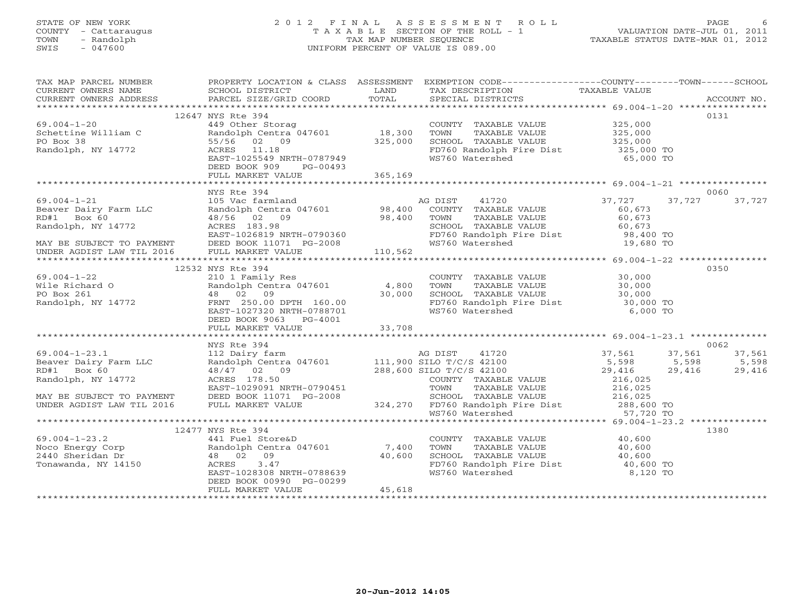# STATE OF NEW YORK 2 0 1 2 F I N A L A S S E S S M E N T R O L L PAGE 6 COUNTY - Cattaraugus T A X A B L E SECTION OF THE ROLL - 1 VALUATION DATE-JUL 01, 2011 TOWN - Randolph TAX MAP NUMBER SEQUENCE TAXABLE STATUS DATE-MAR 01, 2012 SWIS - 047600 UNIFORM PERCENT OF VALUE IS 089.00

| TAX MAP PARCEL NUMBER                                                                                                                                                                                                                                                                                                                                                                                         |                                                                                                                             |        | PROPERTY LOCATION & CLASS ASSESSMENT EXEMPTION CODE----------------COUNTY-------TOWN------SCHOOL                                                   |      |      |
|---------------------------------------------------------------------------------------------------------------------------------------------------------------------------------------------------------------------------------------------------------------------------------------------------------------------------------------------------------------------------------------------------------------|-----------------------------------------------------------------------------------------------------------------------------|--------|----------------------------------------------------------------------------------------------------------------------------------------------------|------|------|
|                                                                                                                                                                                                                                                                                                                                                                                                               | 12647 NYS Rte 394                                                                                                           |        |                                                                                                                                                    |      | 0131 |
|                                                                                                                                                                                                                                                                                                                                                                                                               |                                                                                                                             |        |                                                                                                                                                    |      |      |
|                                                                                                                                                                                                                                                                                                                                                                                                               |                                                                                                                             |        |                                                                                                                                                    |      |      |
|                                                                                                                                                                                                                                                                                                                                                                                                               |                                                                                                                             |        |                                                                                                                                                    |      |      |
|                                                                                                                                                                                                                                                                                                                                                                                                               |                                                                                                                             |        |                                                                                                                                                    |      |      |
|                                                                                                                                                                                                                                                                                                                                                                                                               |                                                                                                                             |        |                                                                                                                                                    |      |      |
|                                                                                                                                                                                                                                                                                                                                                                                                               | DEED BOOK 909 PG-00493                                                                                                      |        |                                                                                                                                                    |      |      |
|                                                                                                                                                                                                                                                                                                                                                                                                               | FULL MARKET VALUE 365,169                                                                                                   |        |                                                                                                                                                    |      |      |
|                                                                                                                                                                                                                                                                                                                                                                                                               |                                                                                                                             |        |                                                                                                                                                    |      |      |
|                                                                                                                                                                                                                                                                                                                                                                                                               | NYS Rte 394                                                                                                                 |        |                                                                                                                                                    |      | 0060 |
|                                                                                                                                                                                                                                                                                                                                                                                                               |                                                                                                                             |        |                                                                                                                                                    |      |      |
|                                                                                                                                                                                                                                                                                                                                                                                                               |                                                                                                                             |        |                                                                                                                                                    |      |      |
|                                                                                                                                                                                                                                                                                                                                                                                                               |                                                                                                                             |        |                                                                                                                                                    |      |      |
|                                                                                                                                                                                                                                                                                                                                                                                                               |                                                                                                                             |        |                                                                                                                                                    |      |      |
|                                                                                                                                                                                                                                                                                                                                                                                                               |                                                                                                                             |        |                                                                                                                                                    |      |      |
|                                                                                                                                                                                                                                                                                                                                                                                                               |                                                                                                                             |        |                                                                                                                                                    |      |      |
|                                                                                                                                                                                                                                                                                                                                                                                                               |                                                                                                                             |        |                                                                                                                                                    |      |      |
|                                                                                                                                                                                                                                                                                                                                                                                                               | 12532 NYS Rte 394                                                                                                           |        |                                                                                                                                                    | 0350 |      |
| $69.004 - 1 - 22$                                                                                                                                                                                                                                                                                                                                                                                             | 210 1 Family Res<br>Randolph Centra 047601 4,800<br>48 02 09 30,000<br>FRNT 255.00 DPTH 160.00<br>EAST-1027320 NRTH-0788701 |        | COUNTY TAXABLE VALUE<br>TOWN TAXABLE VALUE 30,000<br>SCHOOL TAXABLE VALUE 30,000<br>FD760 Randolph Fire Dist 30,000 TO<br>WS760 Watershed 6,000 TO |      |      |
|                                                                                                                                                                                                                                                                                                                                                                                                               |                                                                                                                             |        |                                                                                                                                                    |      |      |
|                                                                                                                                                                                                                                                                                                                                                                                                               |                                                                                                                             |        |                                                                                                                                                    |      |      |
|                                                                                                                                                                                                                                                                                                                                                                                                               |                                                                                                                             |        |                                                                                                                                                    |      |      |
|                                                                                                                                                                                                                                                                                                                                                                                                               |                                                                                                                             |        |                                                                                                                                                    |      |      |
|                                                                                                                                                                                                                                                                                                                                                                                                               |                                                                                                                             |        |                                                                                                                                                    |      |      |
|                                                                                                                                                                                                                                                                                                                                                                                                               |                                                                                                                             |        |                                                                                                                                                    |      |      |
|                                                                                                                                                                                                                                                                                                                                                                                                               |                                                                                                                             |        |                                                                                                                                                    |      |      |
|                                                                                                                                                                                                                                                                                                                                                                                                               | NYS Rte 394                                                                                                                 |        |                                                                                                                                                    |      | 0062 |
|                                                                                                                                                                                                                                                                                                                                                                                                               |                                                                                                                             |        |                                                                                                                                                    |      |      |
|                                                                                                                                                                                                                                                                                                                                                                                                               |                                                                                                                             |        |                                                                                                                                                    |      |      |
|                                                                                                                                                                                                                                                                                                                                                                                                               |                                                                                                                             |        |                                                                                                                                                    |      |      |
|                                                                                                                                                                                                                                                                                                                                                                                                               |                                                                                                                             |        |                                                                                                                                                    |      |      |
|                                                                                                                                                                                                                                                                                                                                                                                                               |                                                                                                                             |        |                                                                                                                                                    |      |      |
|                                                                                                                                                                                                                                                                                                                                                                                                               |                                                                                                                             |        |                                                                                                                                                    |      |      |
| $\begin{tabular}{lllllllllllll} 69.004-1-23.1 & NYS & \text{Rte 394} & \text{AG DIST} & 41720 & 37,561 & 37,561 & 37,561 & 37,561 & 37,561 & 37,561 & 37,561 & 37,561 & 37,561 & 37,561 & 37,561 & 37,561 & 37,561 & 37,561 & 37,561 & 37,561 & 37,561 & 37,561 & 37,561 & 37,561 & 37$                                                                                                                       |                                                                                                                             |        |                                                                                                                                                    |      |      |
|                                                                                                                                                                                                                                                                                                                                                                                                               |                                                                                                                             |        |                                                                                                                                                    |      |      |
|                                                                                                                                                                                                                                                                                                                                                                                                               | 12477 NYS Rte 394                                                                                                           |        |                                                                                                                                                    | 1380 |      |
|                                                                                                                                                                                                                                                                                                                                                                                                               |                                                                                                                             |        |                                                                                                                                                    |      |      |
|                                                                                                                                                                                                                                                                                                                                                                                                               |                                                                                                                             |        |                                                                                                                                                    |      |      |
|                                                                                                                                                                                                                                                                                                                                                                                                               |                                                                                                                             |        |                                                                                                                                                    |      |      |
|                                                                                                                                                                                                                                                                                                                                                                                                               |                                                                                                                             |        |                                                                                                                                                    |      |      |
| $\begin{array}{cccccccc} 69.004-1-23.2 & & & 12417 & \texttt{N15 NCE} & & & & 40,600 \\ \texttt{Noco Energy Corp} & & & & & 441 Field Store&D & & & & 7,400 TOWN & TAXABLE VALUE & & & 40,600 \\ \texttt{Randolph Centra 047601} & & & & & 7,400 TOWN & TAXABLE VALUE & & & 40,600 \\ 2440 Sheridan Dr & & & 48 & 02 & 09 & & 40,600 & \texttt{SCHOOL TAXABLE VALUE} & & & 40,600 \\ \texttt{Randolph Centra$ | DEED BOOK 00990 PG-00299                                                                                                    |        |                                                                                                                                                    |      |      |
|                                                                                                                                                                                                                                                                                                                                                                                                               | FULL MARKET VALUE                                                                                                           | 45,618 |                                                                                                                                                    |      |      |
|                                                                                                                                                                                                                                                                                                                                                                                                               |                                                                                                                             |        |                                                                                                                                                    |      |      |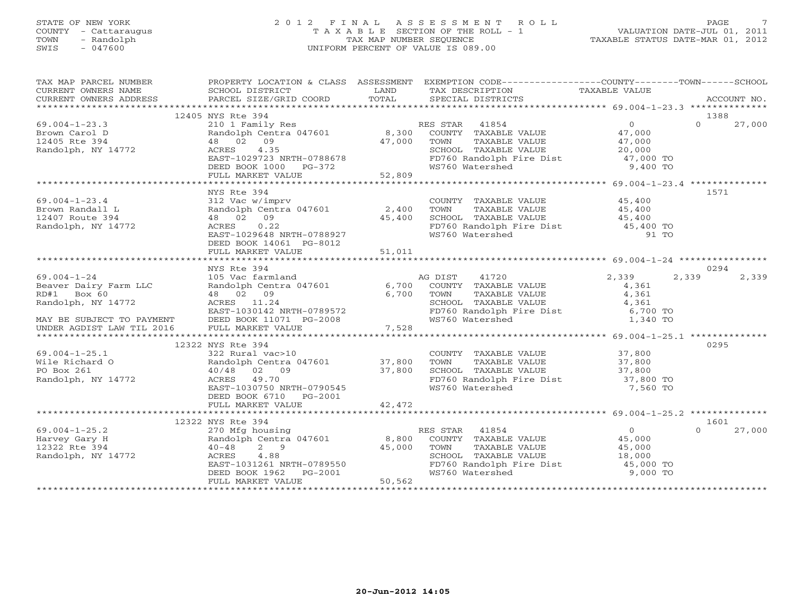## STATE OF NEW YORK 2 0 1 2 F I N A L A S S E S S M E N T R O L L PAGE 7 COUNTY - Cattaraugus T A X A B L E SECTION OF THE ROLL - 1 VALUATION DATE-JUL 01, 2011 TOWN - Randolph TAX MAP NUMBER SEQUENCE TAXABLE STATUS DATE-MAR 01, 2012 SWIS - 047600 UNIFORM PERCENT OF VALUE IS 089.00

| TAX MAP PARCEL NUMBER                                                                                                                                                           |                                                                                                                             |                       | PROPERTY LOCATION & CLASS ASSESSMENT EXEMPTION CODE----------------COUNTY-------TOWN------SCHOOL                                                                                                                                    |                |          |        |
|---------------------------------------------------------------------------------------------------------------------------------------------------------------------------------|-----------------------------------------------------------------------------------------------------------------------------|-----------------------|-------------------------------------------------------------------------------------------------------------------------------------------------------------------------------------------------------------------------------------|----------------|----------|--------|
| CURRENT OWNERS NAME SCHOOL DISTRICT LAND TAX DESCRIPTION TAXABLE VALUE<br>CURRENT OWNERS ADDRESS PARCEL SIZE/GRID COORD TOTAL SPECIAL DISTRICTS (2000 PAXABLE VALUE ACCOUNT NO. |                                                                                                                             |                       |                                                                                                                                                                                                                                     |                |          |        |
|                                                                                                                                                                                 |                                                                                                                             |                       |                                                                                                                                                                                                                                     |                |          |        |
|                                                                                                                                                                                 |                                                                                                                             |                       |                                                                                                                                                                                                                                     |                |          |        |
|                                                                                                                                                                                 | 12405 NYS Rte 394                                                                                                           |                       |                                                                                                                                                                                                                                     |                | 1388     |        |
| $69.004 - 1 - 23.3$                                                                                                                                                             |                                                                                                                             |                       | 210 1 Family Res<br>Randolph Centra 047601 8,300 COUNTY TAXABLE VALUE 47,000<br>48 02 09 47,000 TOWN TAXABLE VALUE 47,000<br>ACRES 4.35 SCHOOL TAXABLE VALUE 20,000<br>EAST-1029723 NRTH-0788678 FD760 Randolph Fire Dist 47,000 TO |                | $\Omega$ | 27,000 |
| Brown Carol D                                                                                                                                                                   |                                                                                                                             |                       |                                                                                                                                                                                                                                     |                |          |        |
| 12405 Rte 394                                                                                                                                                                   |                                                                                                                             |                       |                                                                                                                                                                                                                                     |                |          |        |
| Randolph, NY 14772                                                                                                                                                              |                                                                                                                             |                       |                                                                                                                                                                                                                                     |                |          |        |
|                                                                                                                                                                                 | ACRES 4.35<br>EAST-1029723 NRTH-0788678<br>DEED BOOK 1000 PG-372<br>FULL MARKET VALUE 52,809                                |                       |                                                                                                                                                                                                                                     |                |          |        |
|                                                                                                                                                                                 |                                                                                                                             |                       | WS760 Watershed                                                                                                                                                                                                                     | 9,400 TO       |          |        |
|                                                                                                                                                                                 |                                                                                                                             |                       |                                                                                                                                                                                                                                     |                |          |        |
|                                                                                                                                                                                 |                                                                                                                             |                       |                                                                                                                                                                                                                                     |                |          |        |
|                                                                                                                                                                                 | NYS Rte 394                                                                                                                 |                       |                                                                                                                                                                                                                                     |                | 1571     |        |
|                                                                                                                                                                                 |                                                                                                                             |                       |                                                                                                                                                                                                                                     |                |          |        |
| $69.004 - 1 - 23.4$                                                                                                                                                             |                                                                                                                             |                       | $\begin{array}{cccccc} 312 \text{ Vac } \text{w/imprv} & \text{COMNTY} & \text{TAXABLE VALUE} & \text{45,400} \\ \text{Random Centra 047601} & 2,400 & \text{TOWN} & \text{TAXABLE VALUE} & \text{45,400} \end{array}$              |                |          |        |
| Brown Randall L                                                                                                                                                                 |                                                                                                                             |                       |                                                                                                                                                                                                                                     |                |          |        |
| 12407 Route 394                                                                                                                                                                 | 48 02 09                                                                                                                    |                       |                                                                                                                                                                                                                                     |                |          |        |
| Randolph, NY 14772                                                                                                                                                              |                                                                                                                             |                       |                                                                                                                                                                                                                                     |                |          |        |
|                                                                                                                                                                                 |                                                                                                                             |                       | 15,400 SCHOOL TAXABLE VALUE 1997<br>45,400 SCHOOL TAXABLE VALUE 15,400<br>TH-0788927 WS760 Watershed 91 TO                                                                                                                          |                |          |        |
|                                                                                                                                                                                 |                                                                                                                             |                       |                                                                                                                                                                                                                                     |                |          |        |
|                                                                                                                                                                                 | FULL MARKET VALUE                                                                                                           | 51,011                |                                                                                                                                                                                                                                     |                |          |        |
|                                                                                                                                                                                 |                                                                                                                             |                       |                                                                                                                                                                                                                                     |                |          |        |
|                                                                                                                                                                                 | NYS Rte 394                                                                                                                 |                       |                                                                                                                                                                                                                                     |                | 0294     |        |
| $69.004 - 1 - 24$                                                                                                                                                               | 105 Vac farmland                                                                                                            |                       | AG DIST 41720                                                                                                                                                                                                                       | 2,339          | 2,339    | 2,339  |
| Beaver Dairy Farm LLC<br>RD#1 Box 60                                                                                                                                            | 105 Vac farmland<br>Randolph Centra 047601                                                                                  |                       | 6,700 COUNTY TAXABLE VALUE                                                                                                                                                                                                          | 4,361          |          |        |
| RD#1 Box 60                                                                                                                                                                     | 48 02 09                                                                                                                    |                       | 6,700 TOWN                                                                                                                                                                                                                          |                |          |        |
|                                                                                                                                                                                 |                                                                                                                             |                       | TOWN       TAXABLE  VALUE<br>SCHOOL    TAXABLE  VALUE                                                                                                                                                                               | 4,361<br>4,361 |          |        |
| Randolph, NY 14772<br>EAST-1030142 NRTH-0789572<br>MAY BE SUBJECT TO PAYMENT DEED BOOK 11071 PG-2008                                                                            |                                                                                                                             |                       |                                                                                                                                                                                                                                     |                |          |        |
|                                                                                                                                                                                 |                                                                                                                             |                       | FD760 Randolph Fire Dist 6,700 TO                                                                                                                                                                                                   |                |          |        |
| UNDER AGDIST LAW TIL 2016 FULL MARKET VALUE                                                                                                                                     |                                                                                                                             | 7,528                 | WS760 Watershed                                                                                                                                                                                                                     | 1,340 TO       |          |        |
|                                                                                                                                                                                 |                                                                                                                             |                       |                                                                                                                                                                                                                                     |                |          |        |
|                                                                                                                                                                                 |                                                                                                                             |                       |                                                                                                                                                                                                                                     |                |          |        |
|                                                                                                                                                                                 | 12322 NYS Rte 394                                                                                                           |                       |                                                                                                                                                                                                                                     |                | 0295     |        |
| $69.004 - 1 - 25.1$                                                                                                                                                             |                                                                                                                             |                       | COUNTY TAXABLE VALUE 37,800                                                                                                                                                                                                         |                |          |        |
| Wile Richard O                                                                                                                                                                  | 322 Rural vac>10 COUNT<br>Randolph Centra 047601 37,800 TOWN<br>$322 \text{ Rural vac}>10$ Randolph Centra 0<br>40/48 02 08 |                       |                                                                                                                                                                                                                                     |                |          |        |
| PO Box 261                                                                                                                                                                      |                                                                                                                             | 37,800                |                                                                                                                                                                                                                                     |                |          |        |
| Randolph, NY 14772                                                                                                                                                              | ACRES 49.70                                                                                                                 |                       | COUNT TAXABLE VALUE<br>TOWN TAXABLE VALUE 37,800<br>SCHOOL TAXABLE VALUE 37,800<br>FD760 Randolph Fire Dist 37,800 TO                                                                                                               |                |          |        |
|                                                                                                                                                                                 | EAST-1030750 NRTH-0790545                                                                                                   |                       | WS760 Watershed                                                                                                                                                                                                                     | 7,560 TO       |          |        |
|                                                                                                                                                                                 | DEED BOOK 6710 PG-2001                                                                                                      |                       |                                                                                                                                                                                                                                     |                |          |        |
|                                                                                                                                                                                 | FULL MARKET VALUE                                                                                                           | 42,472                |                                                                                                                                                                                                                                     |                |          |        |
|                                                                                                                                                                                 |                                                                                                                             |                       |                                                                                                                                                                                                                                     |                |          |        |
|                                                                                                                                                                                 | 12322 NYS Rte 394                                                                                                           |                       |                                                                                                                                                                                                                                     |                | 1601     |        |
| $69.004 - 1 - 25.2$                                                                                                                                                             |                                                                                                                             |                       |                                                                                                                                                                                                                                     | $\overline{0}$ | $\Omega$ | 27,000 |
| Harvey Gary H                                                                                                                                                                   |                                                                                                                             |                       |                                                                                                                                                                                                                                     |                |          |        |
| 12322 Rte 394                                                                                                                                                                   |                                                                                                                             |                       | 270 Mfg housing MES STAR 41094<br>Randolph Centra 047601 8,800 COUNTY TAXABLE VALUE 45,000<br>AF 000 TOWN TAXABLE VALUE 45,000                                                                                                      |                |          |        |
|                                                                                                                                                                                 |                                                                                                                             | 45,000 TOWN<br>SCHOOL |                                                                                                                                                                                                                                     |                |          |        |
| Randolph, NY 14772                                                                                                                                                              | 4.88<br>ACRES                                                                                                               |                       |                                                                                                                                                                                                                                     |                |          |        |
|                                                                                                                                                                                 |                                                                                                                             |                       | SCHOOL TAXABLE VALUE 18,000<br>FD760 Randolph Fire Dist 18,000 TO<br>WS760 Watershed 9,000 TO                                                                                                                                       |                |          |        |
|                                                                                                                                                                                 | ACRES 4.88<br>EAST-1031261 NRTH-0789550<br>DEED BOOK 1962 PG-2001<br>FULL MARKET VALUE 50,562                               |                       |                                                                                                                                                                                                                                     |                |          |        |
|                                                                                                                                                                                 |                                                                                                                             |                       |                                                                                                                                                                                                                                     |                |          |        |
|                                                                                                                                                                                 |                                                                                                                             |                       |                                                                                                                                                                                                                                     |                |          |        |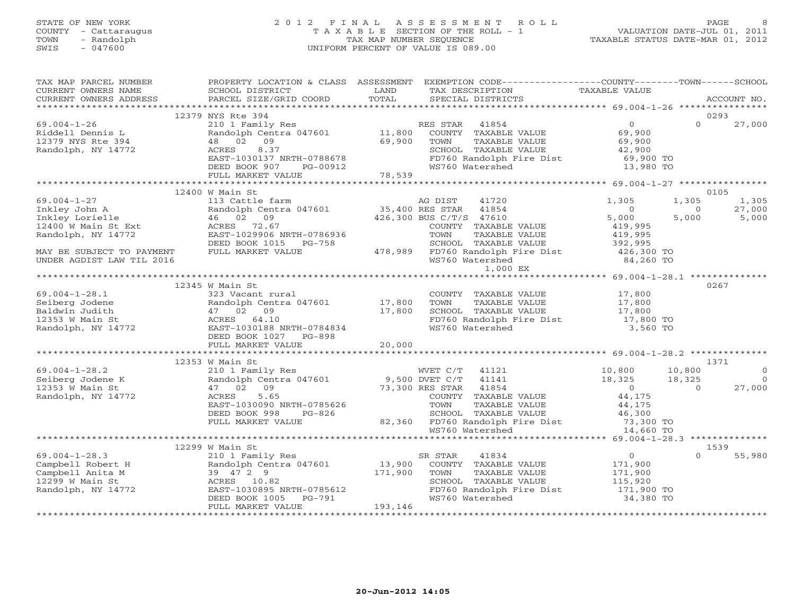## STATE OF NEW YORK 2 0 1 2 F I N A L A S S E S S M E N T R O L L PAGE 8 COUNTY - Cattaraugus T A X A B L E SECTION OF THE ROLL - 1 VALUATION DATE-JUL 01, 2011 TOWN - Randolph TAX MAP NUMBER SEQUENCE TAXABLE STATUS DATE-MAR 01, 2012 SWIS - 047600 UNIFORM PERCENT OF VALUE IS 089.00

| TAX MAP PARCEL NUMBER<br>CURRENT OWNERS NAME                                                                                                                                                                                       | SCHOOL DISTRICT                                                        | LAND     | PROPERTY LOCATION & CLASS ASSESSMENT EXEMPTION CODE---------------COUNTY-------TOWN------SCHOOL<br>TAX DESCRIPTION TAXABLE VALUE                                                                                                           |                                                           |                |            |
|------------------------------------------------------------------------------------------------------------------------------------------------------------------------------------------------------------------------------------|------------------------------------------------------------------------|----------|--------------------------------------------------------------------------------------------------------------------------------------------------------------------------------------------------------------------------------------------|-----------------------------------------------------------|----------------|------------|
|                                                                                                                                                                                                                                    |                                                                        |          |                                                                                                                                                                                                                                            |                                                           |                |            |
|                                                                                                                                                                                                                                    | 12379 NYS Rte 394                                                      |          |                                                                                                                                                                                                                                            |                                                           |                | 0293       |
| $69.004 - 1 - 26$                                                                                                                                                                                                                  |                                                                        |          | NIS RES STAR 41854 (1894)<br>210 1 Family Res (1990)<br>210 1 Family Res (1990)<br>22 09 (1990)<br>22 09 (1990)<br>22,900 (2000)<br>22,900 (2000)<br>22,900 (2000)                                                                         |                                                           | $\Omega$       | 27,000     |
|                                                                                                                                                                                                                                    |                                                                        |          |                                                                                                                                                                                                                                            |                                                           |                |            |
| Riddell Dennis L<br>12379 NYS Rte 394                                                                                                                                                                                              |                                                                        |          |                                                                                                                                                                                                                                            |                                                           |                |            |
|                                                                                                                                                                                                                                    |                                                                        |          |                                                                                                                                                                                                                                            |                                                           |                |            |
|                                                                                                                                                                                                                                    |                                                                        |          |                                                                                                                                                                                                                                            |                                                           |                |            |
|                                                                                                                                                                                                                                    |                                                                        |          |                                                                                                                                                                                                                                            |                                                           |                |            |
|                                                                                                                                                                                                                                    |                                                                        |          |                                                                                                                                                                                                                                            |                                                           |                |            |
| Randolph, NY 14772<br>Randolph, NY 14772<br>RAST-1030137 NRTH-0788678<br>DEED BOOK 907 PG-00912 78,539<br>FULL MARKET VALUE 78,539<br>FULL MARKET VALUE 78,539<br>FULL MARKET VALUE 78,539<br>FULL MARKET VALUE 78,539             |                                                                        |          |                                                                                                                                                                                                                                            |                                                           |                |            |
|                                                                                                                                                                                                                                    |                                                                        |          |                                                                                                                                                                                                                                            |                                                           |                | 0105       |
|                                                                                                                                                                                                                                    |                                                                        |          |                                                                                                                                                                                                                                            |                                                           | 1,305          | 1,305      |
|                                                                                                                                                                                                                                    |                                                                        |          |                                                                                                                                                                                                                                            |                                                           | $\overline{0}$ | 27,000     |
|                                                                                                                                                                                                                                    |                                                                        |          |                                                                                                                                                                                                                                            |                                                           | 5,000          | 5,000      |
|                                                                                                                                                                                                                                    |                                                                        |          |                                                                                                                                                                                                                                            |                                                           |                |            |
|                                                                                                                                                                                                                                    |                                                                        |          |                                                                                                                                                                                                                                            |                                                           |                |            |
|                                                                                                                                                                                                                                    |                                                                        |          |                                                                                                                                                                                                                                            |                                                           |                |            |
|                                                                                                                                                                                                                                    |                                                                        |          |                                                                                                                                                                                                                                            |                                                           |                |            |
|                                                                                                                                                                                                                                    |                                                                        |          |                                                                                                                                                                                                                                            |                                                           |                |            |
|                                                                                                                                                                                                                                    |                                                                        |          |                                                                                                                                                                                                                                            |                                                           |                |            |
|                                                                                                                                                                                                                                    | 12345 W Main St                                                        |          |                                                                                                                                                                                                                                            |                                                           |                | 0267       |
|                                                                                                                                                                                                                                    |                                                                        |          |                                                                                                                                                                                                                                            |                                                           |                |            |
|                                                                                                                                                                                                                                    |                                                                        |          |                                                                                                                                                                                                                                            |                                                           |                |            |
|                                                                                                                                                                                                                                    | Randolph Centra 047601 17,800<br>47 02 09 17,800<br>ACRES 64.10 17,800 |          | COUNTY TAXABLE VALUE $17,800$<br>TOWN TAXABLE VALUE $17,800$<br>SCHOOL TAXABLE VALUE $17,800$<br>FD760 Randolph Fire Dist $17,800$<br>WS760 Watershed $3,560$ TO                                                                           |                                                           |                |            |
|                                                                                                                                                                                                                                    |                                                                        |          |                                                                                                                                                                                                                                            |                                                           |                |            |
|                                                                                                                                                                                                                                    |                                                                        |          |                                                                                                                                                                                                                                            |                                                           |                |            |
|                                                                                                                                                                                                                                    |                                                                        |          |                                                                                                                                                                                                                                            |                                                           |                |            |
| 69.004-1-28.1<br>Seiberg Jodene Randolph Centra 047601 17,800<br>Baldwin Judith 47 02 09 17,800<br>12353 W Main St ACRES 64.10<br>Randolph, NY 14772 EAST-1030188 NRTH-0784834<br>DEED BOOK 1027 PG-898<br>THE MARKET VALUE 20,000 |                                                                        |          |                                                                                                                                                                                                                                            |                                                           |                |            |
|                                                                                                                                                                                                                                    |                                                                        |          |                                                                                                                                                                                                                                            |                                                           |                |            |
|                                                                                                                                                                                                                                    | 12353 W Main St                                                        |          |                                                                                                                                                                                                                                            |                                                           |                | 1371       |
| $69.004 - 1 - 28.2$                                                                                                                                                                                                                |                                                                        |          |                                                                                                                                                                                                                                            |                                                           | 10,800         | $\Omega$   |
|                                                                                                                                                                                                                                    |                                                                        |          |                                                                                                                                                                                                                                            |                                                           | 18,325         | $\bigcirc$ |
| b9.004-1-28.2<br>Seiberg Jodene K<br>12353 W Main St                                                                                                                                                                               |                                                                        |          |                                                                                                                                                                                                                                            |                                                           | $\overline{0}$ | 27,000     |
| Randolph, NY 14772                                                                                                                                                                                                                 |                                                                        |          | WET C/T 41121 10,800<br>210 1 Family Res MVET C/T 41121 10,800<br>Randolph Centra 047601 9,500 DVET C/T 41141 18,325<br>47 02 09 73,300 RES STAR 41854 0<br>ACRES 5.65 COUNTY TAXABLE VALUE 44,175<br>EAST-1030090 NRTH-0785626 TOWN TAX   |                                                           |                |            |
|                                                                                                                                                                                                                                    | EAST-1030090 NRTH-0785626                                              |          | TOWN<br>TAXABLE VALUE                                                                                                                                                                                                                      | 44,175                                                    |                |            |
|                                                                                                                                                                                                                                    |                                                                        |          |                                                                                                                                                                                                                                            |                                                           |                |            |
|                                                                                                                                                                                                                                    |                                                                        |          | DEED BOOK 998 PG-826 82,360 FD760 Randolph Fire Dist 73,300 TO<br>FULL MARKET VALUE 82,360 FD760 Randolph Fire Dist 73,300 TO<br>WS760 Watershed 14,660 TO                                                                                 |                                                           |                |            |
|                                                                                                                                                                                                                                    |                                                                        |          |                                                                                                                                                                                                                                            |                                                           |                |            |
|                                                                                                                                                                                                                                    | 12299 W Main St                                                        |          |                                                                                                                                                                                                                                            |                                                           |                | 1539       |
| $69.004 - 1 - 28.3$                                                                                                                                                                                                                |                                                                        |          |                                                                                                                                                                                                                                            |                                                           | $\Omega$       | 55,980     |
|                                                                                                                                                                                                                                    |                                                                        |          | W Main St<br>210 1 Family Res<br>Randolph Centra 047601 13,900 COUNTY TAXABLE VALUE<br>39 47 2 9 171,900 TOWN TAXABLE VALUE<br>ACRES 10.82 SCHOOL TAXABLE VALUE<br>EAST-1030895 NRTH-0785612 FD760 Randolph Fire Dist<br>DEED BOOK 1005 PG | $\begin{array}{c}0\\171,900\\171,900\\115,900\end{array}$ |                |            |
| Campbell Robert H<br>Campbell Anita M<br>12299 W Main St                                                                                                                                                                           |                                                                        |          |                                                                                                                                                                                                                                            |                                                           |                |            |
|                                                                                                                                                                                                                                    |                                                                        |          |                                                                                                                                                                                                                                            | 115,920                                                   |                |            |
| Randolph, NY 14772                                                                                                                                                                                                                 |                                                                        |          | FD760 Randolph Fire Dist 171,900 TO                                                                                                                                                                                                        |                                                           |                |            |
|                                                                                                                                                                                                                                    |                                                                        |          |                                                                                                                                                                                                                                            | 34,380 TO                                                 |                |            |
|                                                                                                                                                                                                                                    | FULL MARKET VALUE                                                      | 193, 146 |                                                                                                                                                                                                                                            |                                                           |                |            |
|                                                                                                                                                                                                                                    |                                                                        |          |                                                                                                                                                                                                                                            |                                                           |                |            |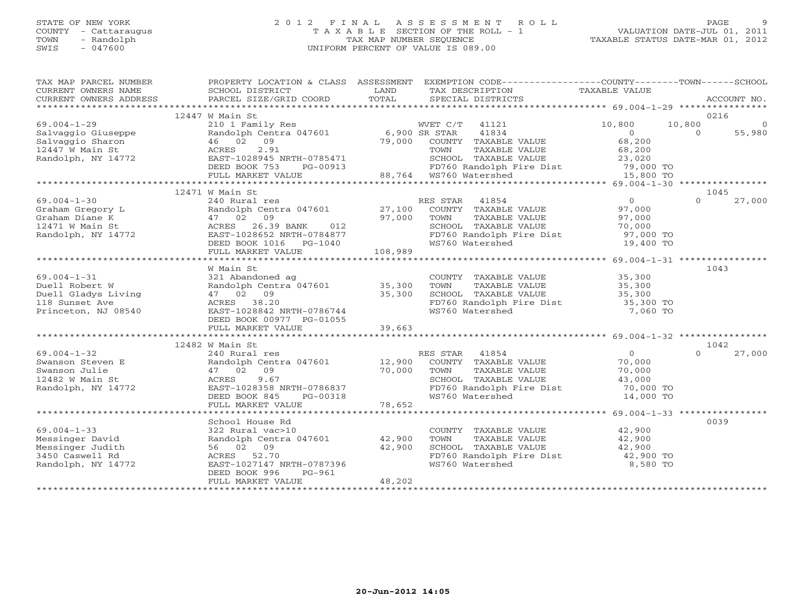#### STATE OF NEW YORK 2 0 1 2 F I N A L A S S E S S M E N T R O L L PAGE 9COUNTY - Cattaraugus T A X A B L E SECTION OF THE ROLL - 1 VALUATION DATE-JUL 01, 2011 SWIS - 047600 UNIFORM PERCENT OF VALUE IS 089.00

TAXABLE STATUS DATE-MAR 01, 2012

| TAX MAP PARCEL NUMBER  |                                           |               | PROPERTY LOCATION & CLASS ASSESSMENT EXEMPTION CODE----------------COUNTY-------TOWN------SCHOOL |                |          |                |
|------------------------|-------------------------------------------|---------------|--------------------------------------------------------------------------------------------------|----------------|----------|----------------|
| CURRENT OWNERS NAME    | SCHOOL DISTRICT<br>PARCEL SIZE/GRID COORD | LAND<br>TOTAL | TAX DESCRIPTION                                                                                  | TAXABLE VALUE  |          | ACCOUNT NO.    |
| CURRENT OWNERS ADDRESS |                                           |               | SPECIAL DISTRICTS                                                                                |                |          |                |
|                        | 12447 W Main St                           |               |                                                                                                  |                | 0216     |                |
| $69.004 - 1 - 29$      | 210 1 Family Res                          |               | WVET C/T 41121                                                                                   | 10,800         | 10,800   | $\overline{0}$ |
| Salvaggio Giuseppe     | Randolph Centra 047601                    | 6,900 SR STAR | 41834                                                                                            | $\overline{0}$ | $\Omega$ | 55,980         |
| Salvaggio Sharon       | 46 02 09                                  |               | 79,000 COUNTY TAXABLE VALUE                                                                      | 68,200         |          |                |
| 12447 W Main St        | 2.91<br>ACRES                             |               | TOWN<br>TAXABLE VALUE                                                                            | 68,200         |          |                |
| Randolph, NY 14772     | EAST-1028945 NRTH-0785471                 |               | SCHOOL TAXABLE VALUE                                                                             | 23,020         |          |                |
|                        | DEED BOOK 753<br>PG-00913                 |               | FD760 Randolph Fire Dist 79,000 TO                                                               |                |          |                |
|                        | FULL MARKET VALUE                         |               | 88,764 WS760 Watershed                                                                           | 15,800 TO      |          |                |
|                        |                                           |               |                                                                                                  |                |          |                |
|                        | 12471 W Main St                           |               |                                                                                                  |                | 1045     |                |
| $69.004 - 1 - 30$      | 240 Rural res                             |               | RES STAR<br>41854                                                                                | $\overline{0}$ | $\Omega$ | 27,000         |
| Graham Gregory L       | Randolph Centra 047601                    |               | 27,100 COUNTY TAXABLE VALUE                                                                      | 97,000         |          |                |
| Graham Diane K         | 47 02 09                                  | 97,000        | TAXABLE VALUE<br>TOWN                                                                            | 97,000         |          |                |
| 12471 W Main St        | ACRES 26.39 BANK 012                      |               | SCHOOL TAXABLE VALUE                                                                             | 70,000         |          |                |
| Randolph, NY 14772     | EAST-1028652 NRTH-0784877                 |               | SCHOOL TAXABLE VALUE<br>FD760 Randolph Fire Dist                                                 | 97,000 TO      |          |                |
|                        | DEED BOOK 1016    PG-1040                 |               | WS760 Watershed                                                                                  | 19,400 TO      |          |                |
|                        | FULL MARKET VALUE                         | 108,989       |                                                                                                  |                |          |                |
|                        |                                           |               |                                                                                                  |                |          |                |
|                        | W Main St                                 |               |                                                                                                  |                | 1043     |                |
| $69.004 - 1 - 31$      | 321 Abandoned ag                          |               | COUNTY TAXABLE VALUE                                                                             | 35,300         |          |                |
| Duell Robert W         | Randolph Centra 047601 35,300             |               | TOWN<br>TAXABLE VALUE                                                                            | 35,300         |          |                |
| Duell Gladys Living    | 47 02 09                                  | 35,300        | SCHOOL TAXABLE VALUE                                                                             | 35,300         |          |                |
| 118 Sunset Ave         | ACRES 38.20                               |               | FD760 Randolph Fire Dist                                                                         | 35,300 TO      |          |                |
| Princeton, NJ 08540    | EAST-1028842 NRTH-0786744                 |               | WS760 Watershed                                                                                  | 7,060 TO       |          |                |
|                        | DEED BOOK 00977 PG-01055                  |               |                                                                                                  |                |          |                |
|                        | FULL MARKET VALUE                         | 39,663        |                                                                                                  |                |          |                |
|                        |                                           |               |                                                                                                  |                |          |                |
|                        | 12482 W Main St                           |               |                                                                                                  |                | 1042     |                |
| $69.004 - 1 - 32$      | 240 Rural res                             |               | RES STAR 41854                                                                                   | $\Omega$       | $\Omega$ | 27,000         |
| Swanson Steven E       | Randolph Centra 047601 12,900             |               | COUNTY TAXABLE VALUE                                                                             | 70,000         |          |                |
| Swanson Julie          | 47 02 09                                  | 70,000        | TAXABLE VALUE<br>TOWN                                                                            | 70,000         |          |                |
| 12482 W Main St        | 9.67<br>ACRES                             |               | SCHOOL TAXABLE VALUE                                                                             | 43,000         |          |                |
| Randolph, NY 14772     | EAST-1028358 NRTH-0786837                 |               | FD760 Randolph Fire Dist                                                                         | 70,000 TO      |          |                |
|                        | DEED BOOK 845<br>PG-00318                 |               | WS760 Watershed                                                                                  | 14,000 TO      |          |                |
|                        | FULL MARKET VALUE                         | 78,652        |                                                                                                  |                |          |                |
|                        |                                           |               |                                                                                                  |                |          |                |
|                        | School House Rd                           |               |                                                                                                  |                | 0039     |                |
| $69.004 - 1 - 33$      | 322 Rural vac>10                          |               | COUNTY TAXABLE VALUE                                                                             | 42,900         |          |                |
| Messinger David        | Randolph Centra 047601 42,900             |               | TOWN<br>TAXABLE VALUE                                                                            | 42,900         |          |                |
| Messinger Judith       | 56 02 09                                  | 42,900        | SCHOOL TAXABLE VALUE                                                                             | 42,900         |          |                |
| 3450 Caswell Rd        | ACRES 52.70                               |               | FD760 Randolph Fire Dist                                                                         | 42,900 TO      |          |                |
| Randolph, NY 14772     | EAST-1027147 NRTH-0787396                 |               | WS760 Watershed                                                                                  | 8,580 TO       |          |                |
|                        | DEED BOOK 996<br>PG-961                   | 48,202        |                                                                                                  |                |          |                |
|                        | FULL MARKET VALUE                         |               |                                                                                                  |                |          |                |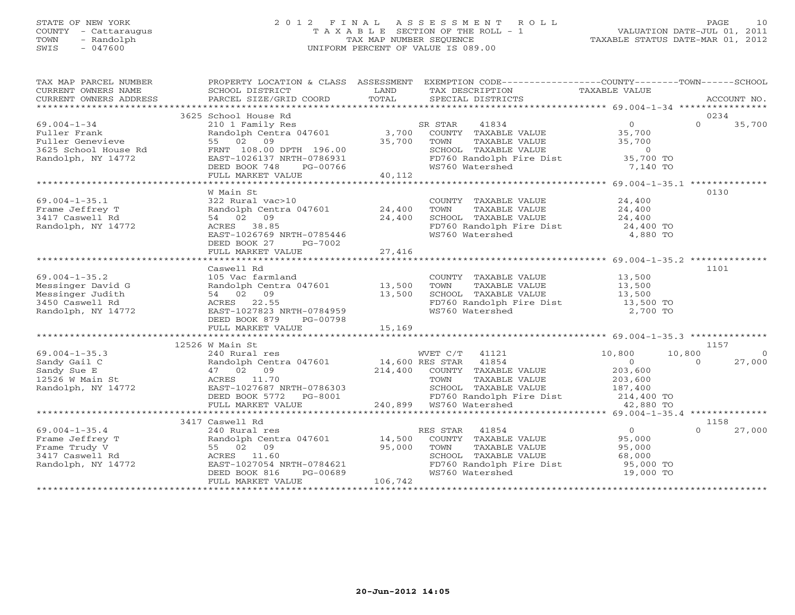## STATE OF NEW YORK 2 0 1 2 F I N A L A S S E S S M E N T R O L L PAGE 10 COUNTY - Cattaraugus T A X A B L E SECTION OF THE ROLL - 1 VALUATION DATE-JUL 01, 2011 TOWN - Randolph TAX MAP NUMBER SEQUENCE TAXABLE STATUS DATE-MAR 01, 2012 SWIS - 047600 UNIFORM PERCENT OF VALUE IS 089.00

| TAX MAP PARCEL NUMBER                                                                                                                                                                                                                                    |                                                                           |         | PROPERTY LOCATION & CLASS ASSESSMENT EXEMPTION CODE----------------COUNTY-------TOWN------SCHOOL                     |        |                          |
|----------------------------------------------------------------------------------------------------------------------------------------------------------------------------------------------------------------------------------------------------------|---------------------------------------------------------------------------|---------|----------------------------------------------------------------------------------------------------------------------|--------|--------------------------|
|                                                                                                                                                                                                                                                          |                                                                           |         |                                                                                                                      |        |                          |
|                                                                                                                                                                                                                                                          | 3625 School House Rd                                                      |         |                                                                                                                      |        | 0234                     |
| $69.004 - 1 - 34$                                                                                                                                                                                                                                        |                                                                           |         |                                                                                                                      |        | $0 \t35,700$             |
|                                                                                                                                                                                                                                                          |                                                                           |         |                                                                                                                      |        |                          |
|                                                                                                                                                                                                                                                          |                                                                           |         | TOWN       TAXABLE  VALUE<br>SCHOOL    TAXABLE  VALUE                                                                | 35,700 |                          |
|                                                                                                                                                                                                                                                          |                                                                           |         |                                                                                                                      |        |                          |
|                                                                                                                                                                                                                                                          |                                                                           |         | FD760 Randolph Fire Dist 35,700 TO<br>WS760 Watershed 7,140 TO                                                       |        |                          |
|                                                                                                                                                                                                                                                          |                                                                           |         |                                                                                                                      |        |                          |
| 9.004-1-34 ---<br>Fuller Frank Randolph Centra 047601 3,700 ----<br>Fuller Genevieve 55 02 09 35,700 TOWN<br>3625 School House Rd FRNT 108.00 DPTH 196.00 SCHOOL<br>Randolph, NY 14772 BEED BOOK 748 PG-00766 40,112<br>FULL MARKET VALU                 |                                                                           |         |                                                                                                                      |        |                          |
|                                                                                                                                                                                                                                                          |                                                                           |         |                                                                                                                      |        |                          |
|                                                                                                                                                                                                                                                          | W Main St                                                                 |         |                                                                                                                      |        | 0130                     |
| $69.004 - 1 - 35.1$                                                                                                                                                                                                                                      |                                                                           |         | COUNTY TAXABLE VALUE 24,400                                                                                          |        |                          |
| Frame Jeffrey T                                                                                                                                                                                                                                          | W Main St<br>322 Rural vac>10<br>Randolph Centra 047601 24,400            |         | TOWN TAXABLE VALUE 24,400<br>SCHOOL TAXABLE VALUE 24,400                                                             |        |                          |
| 3417 Caswell Rd                                                                                                                                                                                                                                          | 54 02 09                                                                  |         |                                                                                                                      |        |                          |
| Randolph, NY 14772                                                                                                                                                                                                                                       | ACRES 38.85                                                               | 24,400  | FD760 Randolph Fire Dist 24,400 TO<br>WS760 Watershed 4,880 TO                                                       |        |                          |
|                                                                                                                                                                                                                                                          | EAST-1026769 NRTH-0785446                                                 |         |                                                                                                                      |        |                          |
|                                                                                                                                                                                                                                                          | DEED BOOK 27<br>PG-7002                                                   |         |                                                                                                                      |        |                          |
|                                                                                                                                                                                                                                                          | FULL MARKET VALUE                                                         | 27,416  |                                                                                                                      |        |                          |
|                                                                                                                                                                                                                                                          |                                                                           |         |                                                                                                                      |        |                          |
|                                                                                                                                                                                                                                                          | Caswell Rd                                                                |         |                                                                                                                      |        | 1101                     |
|                                                                                                                                                                                                                                                          |                                                                           |         | COUNTY TAXABLE VALUE 13,500                                                                                          |        |                          |
|                                                                                                                                                                                                                                                          |                                                                           |         |                                                                                                                      |        |                          |
|                                                                                                                                                                                                                                                          |                                                                           |         |                                                                                                                      |        |                          |
| 69.004-1-35.2<br>Messinger David G<br>Messinger Judith State of Randolph Centra 047601 13,500<br>Messinger Judith 54 02 09 13,500<br>3450 Caswell Rd ACRES 22.55<br>Randolph, NY 14772 EAST-1027823 NRTH-0784959                                         |                                                                           |         | FD760 Randolph Fire Dist 13,500 TO<br>WS760 Watershed 2,700 TO                                                       |        |                          |
|                                                                                                                                                                                                                                                          |                                                                           |         |                                                                                                                      |        |                          |
|                                                                                                                                                                                                                                                          | DEED BOOK 879 PG-00798                                                    |         |                                                                                                                      |        |                          |
|                                                                                                                                                                                                                                                          | FULL MARKET VALUE                                                         | 15,169  |                                                                                                                      |        |                          |
|                                                                                                                                                                                                                                                          |                                                                           |         |                                                                                                                      |        |                          |
|                                                                                                                                                                                                                                                          | 12526 W Main St                                                           |         |                                                                                                                      |        | 1157                     |
|                                                                                                                                                                                                                                                          |                                                                           |         |                                                                                                                      |        | 10,800<br>$\overline{0}$ |
|                                                                                                                                                                                                                                                          |                                                                           |         |                                                                                                                      |        | $\Omega$<br>27,000       |
|                                                                                                                                                                                                                                                          |                                                                           |         |                                                                                                                      |        |                          |
|                                                                                                                                                                                                                                                          |                                                                           |         |                                                                                                                      |        |                          |
|                                                                                                                                                                                                                                                          |                                                                           |         |                                                                                                                      |        |                          |
|                                                                                                                                                                                                                                                          |                                                                           |         |                                                                                                                      |        |                          |
|                                                                                                                                                                                                                                                          |                                                                           |         | CHOOL TAXABLE VALUE<br>SCHOOL TAXABLE VALUE<br>FD760 Randolph Fire Dist<br>WS760 Watershed<br>12,880 TO<br>42,880 TO |        |                          |
|                                                                                                                                                                                                                                                          |                                                                           |         |                                                                                                                      |        |                          |
|                                                                                                                                                                                                                                                          | 3417 Caswell Rd                                                           |         |                                                                                                                      |        | 1158                     |
|                                                                                                                                                                                                                                                          |                                                                           |         | ES STAR 41854 (0)<br>COUNTY TAXABLE VALUE (95,000)<br>RES STAR 41854                                                 |        | $\Omega$<br>27,000       |
| 99.004-1-35.4<br>Frame Jeffrey T<br>Frame Trudy V<br>3417 Caswell Rd<br>Randolph, NY 14772<br>Randolph, NY 14772<br>PRES 11.60<br>Randolph, NY 14772<br>PRES 11.60<br>Randolph, NY 14772<br>PRES 1027054<br>NRTH-0784621<br>PRES 1027054<br>PRES 1027054 |                                                                           |         |                                                                                                                      |        |                          |
|                                                                                                                                                                                                                                                          |                                                                           |         | TOWN                                                                                                                 |        |                          |
|                                                                                                                                                                                                                                                          |                                                                           |         |                                                                                                                      |        |                          |
|                                                                                                                                                                                                                                                          |                                                                           |         | FD760 Randolph Fire Dist<br>FD760 Randolph Fire Dist 95,000 TO<br>WS760 Watershed 19,000 TO                          |        |                          |
|                                                                                                                                                                                                                                                          | EAST-1027054 NRTH-0784621<br>DEED BOOK 816 PG-00689<br>FULL MARKET MALLER | 106,742 |                                                                                                                      |        |                          |
|                                                                                                                                                                                                                                                          | FULL MARKET VALUE                                                         |         |                                                                                                                      |        |                          |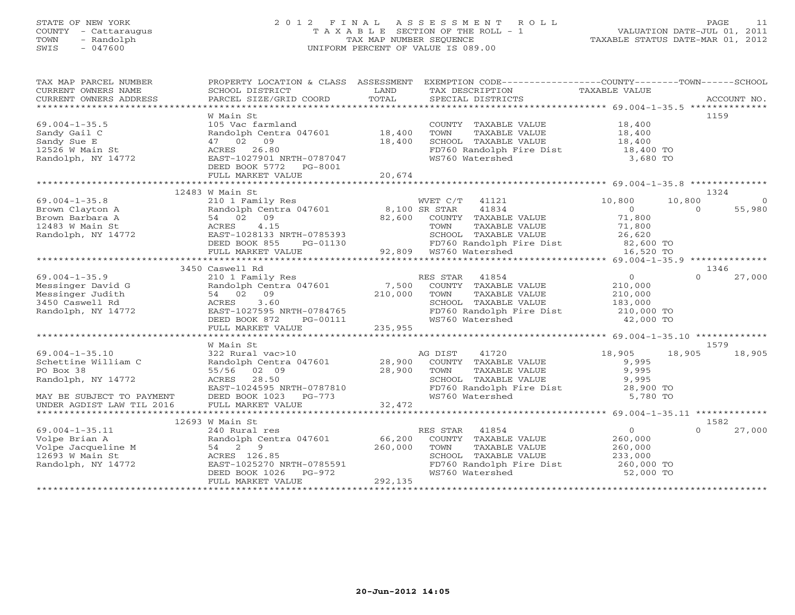#### STATE OF NEW YORK 2 0 1 2 F I N A L A S S E S S M E N T R O L L PAGE 11 COUNTY - Cattaraugus T A X A B L E SECTION OF THE ROLL - 1 VALUATION DATE-JUL 01, 2011 TOWN - Randolph TAX MAP NUMBER SEQUENCE TAXABLE STATUS DATE-MAR 01, 2012 SWIS - 047600 UNIFORM PERCENT OF VALUE IS 089.00

| TAX MAP PARCEL NUMBER<br>CURRENT OWNERS NAME<br>CURRENT OWNERS ADDRESS                                      | PROPERTY LOCATION & CLASS ASSESSMENT<br>SCHOOL DISTRICT<br>PARCEL SIZE/GRID COORD                                                                                            | LAND<br>TOTAL                | EXEMPTION CODE-----------------COUNTY-------TOWN------SCHOOL<br>TAX DESCRIPTION<br>SPECIAL DISTRICTS                                                                       | TAXABLE VALUE                                                              |                    | ACCOUNT NO.        |
|-------------------------------------------------------------------------------------------------------------|------------------------------------------------------------------------------------------------------------------------------------------------------------------------------|------------------------------|----------------------------------------------------------------------------------------------------------------------------------------------------------------------------|----------------------------------------------------------------------------|--------------------|--------------------|
| $69.004 - 1 - 35.5$<br>Sandy Gail C<br>Sandy Sue E<br>$12526$ W Main St<br>Randolph, NY 14772               | W Main St<br>105 Vac farmland<br>Randolph Centra 047601<br>47 02 09<br>ACRES 26.80<br>EAST-1027901 NRTH-0787047<br>DEED BOOK 5772<br>PG-8001<br>FULL MARKET VALUE            | 18,400<br>18,400<br>20,674   | COUNTY TAXABLE VALUE<br>TOWN<br>TAXABLE VALUE<br>SCHOOL TAXABLE VALUE<br>FD760 Randolph Fire Dist<br>WS760 Watershed                                                       | 18,400<br>18,400<br>18,400<br>18,400 TO<br>3,680 TO                        |                    | 1159               |
|                                                                                                             | 12483 W Main St                                                                                                                                                              |                              |                                                                                                                                                                            |                                                                            |                    | 1324               |
| $69.004 - 1 - 35.8$<br>Brown Clayton A<br>Brown Barbara A<br>12483 W Main St<br>Randolph, NY 14772          | 210 1 Family Res<br>Randolph Centra 047601<br>09<br>54 02<br>ACRES<br>4.15<br>EAST-1028133 NRTH-0785393<br>DEED BOOK 855<br>PG-01130<br>FULL MARKET VALUE                    | 82,600                       | 41121<br>WVET C/T<br>8,100 SR STAR<br>41834<br>COUNTY TAXABLE VALUE<br>TAXABLE VALUE<br>TOWN<br>SCHOOL TAXABLE VALUE<br>FD760 Randolph Fire Dist<br>92,809 WS760 Watershed | 10,800<br>$\circ$<br>71,800<br>71,800<br>26,620<br>82,600 TO<br>16,520 TO  | 10,800<br>$\Omega$ | $\Omega$<br>55,980 |
|                                                                                                             |                                                                                                                                                                              |                              |                                                                                                                                                                            |                                                                            |                    |                    |
| $69.004 - 1 - 35.9$<br>Messinger David G<br>Messinger Judith<br>3450 Caswell Rd<br>Randolph, NY 14772       | 3450 Caswell Rd<br>210 1 Family Res<br>Randolph Centra 047601<br>54 02<br>09<br>ACRES<br>3.60<br>EAST-1027595 NRTH-0784765<br>DEED BOOK 872<br>PG-00111<br>FULL MARKET VALUE | 7,500<br>210,000<br>235,955  | RES STAR<br>41854<br>COUNTY TAXABLE VALUE<br>TOWN<br>TAXABLE VALUE<br>SCHOOL TAXABLE VALUE<br>FD760 Randolph Fire Dist<br>WS760 Watershed                                  | $\circ$<br>210,000<br>210,000<br>183,000<br>210,000 TO<br>42,000 TO        | $\cap$             | 1346<br>27,000     |
|                                                                                                             |                                                                                                                                                                              |                              |                                                                                                                                                                            |                                                                            |                    |                    |
| $69.004 - 1 - 35.10$<br>Schettine William C<br>PO Box 38<br>Randolph, NY 14772<br>MAY BE SUBJECT TO PAYMENT | W Main St<br>322 Rural vac>10<br>Randolph Centra 047601<br>55/56 02 09<br>28.50<br>ACRES<br>EAST-1024595 NRTH-0787810<br>DEED BOOK 1023<br>PG-773                            | 28,900<br>28,900             | AG DIST<br>41720<br>COUNTY TAXABLE VALUE<br>TAXABLE VALUE<br>TOWN<br>SCHOOL TAXABLE VALUE<br>FD760 Randolph Fire Dist<br>WS760 Watershed                                   | 18,905<br>9,995<br>9,995<br>9,995<br>28,900 TO<br>5,780 TO                 | 18,905             | 1579<br>18,905     |
| UNDER AGDIST LAW TIL 2016                                                                                   | FULL MARKET VALUE                                                                                                                                                            | 32,472                       |                                                                                                                                                                            |                                                                            |                    |                    |
|                                                                                                             | 12693 W Main St                                                                                                                                                              |                              |                                                                                                                                                                            |                                                                            |                    | 1582               |
| $69.004 - 1 - 35.11$<br>Volpe Brian A<br>Volpe Jacqueline M<br>12693 W Main St<br>Randolph, NY 14772        | 240 Rural res<br>Randolph Centra 047601<br>54 2 9<br>ACRES 126.85<br>EAST-1025270 NRTH-0785591<br>$PG-972$<br>DEED BOOK 1026<br>FULL MARKET VALUE                            | 66,200<br>260,000<br>292,135 | 41854<br>RES STAR<br>COUNTY TAXABLE VALUE<br>TOWN<br>TAXABLE VALUE<br>SCHOOL TAXABLE VALUE<br>FD760 Randolph Fire Dist<br>WS760 Watershed                                  | $\overline{0}$<br>260,000<br>260,000<br>233,000<br>260,000 TO<br>52,000 TO | $\cap$             | 27,000             |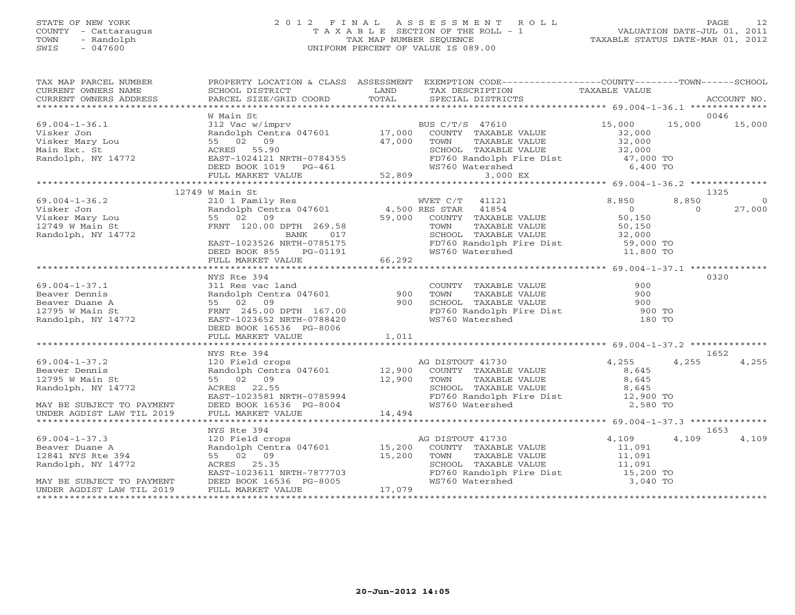## STATE OF NEW YORK 2 0 1 2 F I N A L A S S E S S M E N T R O L L PAGE 12 COUNTY - Cattaraugus T A X A B L E SECTION OF THE ROLL - 1 VALUATION DATE-JUL 01, 2011 TOWN - Randolph TAX MAP NUMBER SEQUENCE TAXABLE STATUS DATE-MAR 01, 2012 SWIS - 047600 UNIFORM PERCENT OF VALUE IS 089.00

| TAX MAP PARCEL NUMBER<br>TAX PARCES MONDER ACCOUNT NO ENGINE TRANSPORT CONTRICT THAT THE CONTRICT CONTRICT THAT THE CONTRICT CONTRICT THAT THE CONTRICT TRANSFORM THAT THE CONTRICT THE CONTRICT THAT THE CONTRICTS CONTRICTS ACCOUNT NO.<br>CURRENT OWNE                                                                                                                                                                                                                       |                                                                                                                                       | PROPERTY LOCATION & CLASS ASSESSMENT EXEMPTION CODE----------------COUNTY-------TOWN------SCHOOL                                                                                                                                                        |                                    |       |        |
|---------------------------------------------------------------------------------------------------------------------------------------------------------------------------------------------------------------------------------------------------------------------------------------------------------------------------------------------------------------------------------------------------------------------------------------------------------------------------------|---------------------------------------------------------------------------------------------------------------------------------------|---------------------------------------------------------------------------------------------------------------------------------------------------------------------------------------------------------------------------------------------------------|------------------------------------|-------|--------|
|                                                                                                                                                                                                                                                                                                                                                                                                                                                                                 |                                                                                                                                       |                                                                                                                                                                                                                                                         |                                    |       | 0046   |
| $\begin{tabular}{llllllllll} \multicolumn{3}{c}{\text{\small 69.004--1--36.1}} & & & & & & & & & \\ \hline \multicolumn{3}{c}{\text{\small 75}} & & & & & & & & \\ \multicolumn{3}{c}{\text{\small 75}} & & & & & & & \\ \multicolumn{3}{c}{\text{\small 812 vac w, $\mathit{1}$}} & & & & & \\ \multicolumn{3}{c}{\text{\small 812 vac w, $\mathit{1}$}} & & & & & \\ \multicolumn{3}{c}{\text{\small 812 vac w, $\mathit{1}$}} & & & & & \\ \multicolumn{3}{c}{\text{\small $ |                                                                                                                                       | W Main St<br>312 Vac w/imprv<br>Randolph Centra 047601 17,000 COUNTY TAXABLE VALUE 32,000 15,000 15,000<br>55 02 09 47,000 TOWN TAXABLE VALUE 32,000<br>ACRES 55.90 SCHOOL TAXABLE VALUE 32,000<br>EAST-1024121 NRTH-0784355 FD760 Rando                |                                    |       |        |
| VISKET JOINT NATURE ON THE VALUE<br>VISKET MATHRON CONTRAINS ARE SET AND TOWN TAXABLE VALUE<br>Main Ext. St ACRES 55.90<br>Main Ext. St ACRES 55.90<br>EAST-1024121 NRTH-0784355<br>DEED BOOK 1019 PG-461 52,809<br>FULL MARKET VALUE 52,8                                                                                                                                                                                                                                      |                                                                                                                                       |                                                                                                                                                                                                                                                         |                                    |       |        |
|                                                                                                                                                                                                                                                                                                                                                                                                                                                                                 |                                                                                                                                       |                                                                                                                                                                                                                                                         |                                    |       |        |
|                                                                                                                                                                                                                                                                                                                                                                                                                                                                                 |                                                                                                                                       |                                                                                                                                                                                                                                                         |                                    |       |        |
|                                                                                                                                                                                                                                                                                                                                                                                                                                                                                 |                                                                                                                                       |                                                                                                                                                                                                                                                         |                                    |       |        |
|                                                                                                                                                                                                                                                                                                                                                                                                                                                                                 | 12749 W Main St                                                                                                                       |                                                                                                                                                                                                                                                         |                                    |       | 1325   |
| $69.004 - 1 - 36.2$                                                                                                                                                                                                                                                                                                                                                                                                                                                             |                                                                                                                                       |                                                                                                                                                                                                                                                         |                                    |       |        |
| Visker Jon<br>Visker Mary Lou<br>12749 W Main St<br>Randolph, NY 14772                                                                                                                                                                                                                                                                                                                                                                                                          |                                                                                                                                       |                                                                                                                                                                                                                                                         |                                    |       | 27,000 |
|                                                                                                                                                                                                                                                                                                                                                                                                                                                                                 |                                                                                                                                       |                                                                                                                                                                                                                                                         |                                    |       |        |
|                                                                                                                                                                                                                                                                                                                                                                                                                                                                                 |                                                                                                                                       |                                                                                                                                                                                                                                                         |                                    |       |        |
|                                                                                                                                                                                                                                                                                                                                                                                                                                                                                 |                                                                                                                                       |                                                                                                                                                                                                                                                         |                                    |       |        |
|                                                                                                                                                                                                                                                                                                                                                                                                                                                                                 |                                                                                                                                       |                                                                                                                                                                                                                                                         |                                    |       |        |
|                                                                                                                                                                                                                                                                                                                                                                                                                                                                                 |                                                                                                                                       |                                                                                                                                                                                                                                                         |                                    |       |        |
|                                                                                                                                                                                                                                                                                                                                                                                                                                                                                 |                                                                                                                                       |                                                                                                                                                                                                                                                         |                                    |       |        |
|                                                                                                                                                                                                                                                                                                                                                                                                                                                                                 | NYS Rte 394                                                                                                                           |                                                                                                                                                                                                                                                         |                                    |       | 0320   |
|                                                                                                                                                                                                                                                                                                                                                                                                                                                                                 | NYS Rte 394<br>311 Res vac land<br>Randolph Centra 047601 900<br>55 02 09 900<br>FRNT 245.00 DPTH 167.00<br>PACT-1023652 NRTH-0788420 |                                                                                                                                                                                                                                                         |                                    |       |        |
| 69.004-1-37.1<br>Beaver Dennis<br>Beaver Duane A<br>12795 W Main St<br>Randolph, NY 14772                                                                                                                                                                                                                                                                                                                                                                                       |                                                                                                                                       | COUNTY TAXABLE VALUE<br>TOWN TAXABLE VALUE 900<br>SCHOOL TAXABLE VALUE 900<br>FD760 Randolph Fire Dist 900 TO<br>WS760 Watershed 180 TO                                                                                                                 |                                    |       |        |
|                                                                                                                                                                                                                                                                                                                                                                                                                                                                                 |                                                                                                                                       |                                                                                                                                                                                                                                                         |                                    |       |        |
|                                                                                                                                                                                                                                                                                                                                                                                                                                                                                 |                                                                                                                                       |                                                                                                                                                                                                                                                         |                                    |       |        |
|                                                                                                                                                                                                                                                                                                                                                                                                                                                                                 |                                                                                                                                       |                                                                                                                                                                                                                                                         |                                    |       |        |
|                                                                                                                                                                                                                                                                                                                                                                                                                                                                                 | DEED BOOK 16536 PG-8006                                                                                                               |                                                                                                                                                                                                                                                         |                                    |       |        |
|                                                                                                                                                                                                                                                                                                                                                                                                                                                                                 |                                                                                                                                       |                                                                                                                                                                                                                                                         |                                    |       |        |
|                                                                                                                                                                                                                                                                                                                                                                                                                                                                                 |                                                                                                                                       |                                                                                                                                                                                                                                                         |                                    |       |        |
|                                                                                                                                                                                                                                                                                                                                                                                                                                                                                 |                                                                                                                                       | NYS Rte 394<br>120 Field crops<br>Randolph Centra 047601<br>55 02 09<br>12,900 COUNTY TAXABLE VALUE<br>12,900 TOWN TAXABLE VALUE<br>3,645<br>55 02 09<br>12,900 TOWN TAXABLE VALUE<br>8,645<br>EAST-1023581 NRTH-0785994<br>DEED BOOK 16536 PG-8004<br> |                                    |       | 1652   |
| $69.004 - 1 - 37.2$                                                                                                                                                                                                                                                                                                                                                                                                                                                             |                                                                                                                                       |                                                                                                                                                                                                                                                         |                                    | 4,255 | 4,255  |
| Beaver Dennis<br>12795 W Main St<br>Randolph, NY 14772                                                                                                                                                                                                                                                                                                                                                                                                                          |                                                                                                                                       |                                                                                                                                                                                                                                                         |                                    |       |        |
|                                                                                                                                                                                                                                                                                                                                                                                                                                                                                 |                                                                                                                                       |                                                                                                                                                                                                                                                         |                                    |       |        |
|                                                                                                                                                                                                                                                                                                                                                                                                                                                                                 |                                                                                                                                       |                                                                                                                                                                                                                                                         |                                    |       |        |
|                                                                                                                                                                                                                                                                                                                                                                                                                                                                                 |                                                                                                                                       |                                                                                                                                                                                                                                                         |                                    |       |        |
| MAY BE SUBJECT TO PAYMENT                                                                                                                                                                                                                                                                                                                                                                                                                                                       |                                                                                                                                       |                                                                                                                                                                                                                                                         |                                    |       |        |
| UNDER AGDIST LAW TIL 2019                                                                                                                                                                                                                                                                                                                                                                                                                                                       |                                                                                                                                       |                                                                                                                                                                                                                                                         |                                    |       |        |
|                                                                                                                                                                                                                                                                                                                                                                                                                                                                                 |                                                                                                                                       |                                                                                                                                                                                                                                                         |                                    |       |        |
|                                                                                                                                                                                                                                                                                                                                                                                                                                                                                 | NYS Rte 394                                                                                                                           |                                                                                                                                                                                                                                                         |                                    |       | 1653   |
|                                                                                                                                                                                                                                                                                                                                                                                                                                                                                 |                                                                                                                                       |                                                                                                                                                                                                                                                         |                                    | 4,109 | 4,109  |
|                                                                                                                                                                                                                                                                                                                                                                                                                                                                                 |                                                                                                                                       |                                                                                                                                                                                                                                                         |                                    |       |        |
|                                                                                                                                                                                                                                                                                                                                                                                                                                                                                 |                                                                                                                                       |                                                                                                                                                                                                                                                         |                                    |       |        |
|                                                                                                                                                                                                                                                                                                                                                                                                                                                                                 |                                                                                                                                       |                                                                                                                                                                                                                                                         |                                    |       |        |
|                                                                                                                                                                                                                                                                                                                                                                                                                                                                                 |                                                                                                                                       | NYS Rte 394<br>120 Field crops<br>Randolph Centra 047601<br>55 02 09<br>15,200 COUNTY TAXABLE VALUE<br>11,091<br>15,200 TOWN TAXABLE VALUE<br>TAXABLE VALUE<br>SCHOOL TAXABLE VALUE<br>EAST-1023611 NRTH-7877703<br>FD760 Randolph Fire Dist<br>FD76    |                                    |       |        |
|                                                                                                                                                                                                                                                                                                                                                                                                                                                                                 |                                                                                                                                       | WS760 Watershed                                                                                                                                                                                                                                         | 3,040 TO                           |       |        |
| 69.004-1-37.3<br>Beaver Duane A<br>12841 NYS Rte 394<br>Randolph, NY 14772<br>MAY BE SUBJECT TO PAYMENT<br>THE SOURCE TO PAYMENT<br>RES 25.35<br>MAY BE SUBJECT TO PAYMENT<br>DEED BOOK 16536 PG-8005<br>THE ROLL MARKET VALUE<br>THE ROLL MARKET                                                                                                                                                                                                                               |                                                                                                                                       |                                                                                                                                                                                                                                                         | ********************************** |       |        |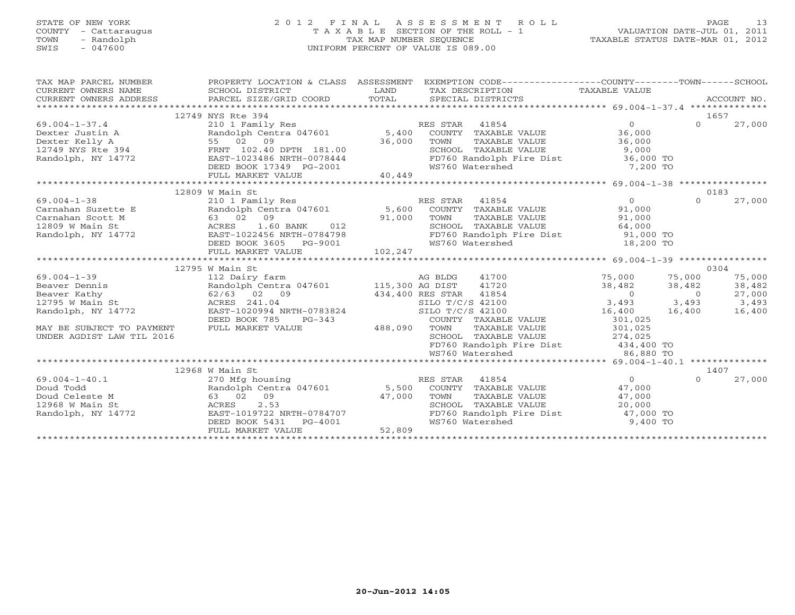# STATE OF NEW YORK 2 0 1 2 F I N A L A S S E S S M E N T R O L L PAGE 13 COUNTY - Cattaraugus T A X A B L E SECTION OF THE ROLL - 1 VALUATION DATE-JUL 01, 2011 TOWN - Randolph TAX MAP NUMBER SEQUENCE TAXABLE STATUS DATE-MAR 01, 2012 SWIS - 047600 UNIFORM PERCENT OF VALUE IS 089.00

| TAX MAP PARCEL NUMBER                                                                                                                                                                                                         |                                                                                                                                                                                                        | PROPERTY LOCATION & CLASS ASSESSMENT EXEMPTION CODE----------------COUNTY-------TOWN------SCHOOL |           |          |               |
|-------------------------------------------------------------------------------------------------------------------------------------------------------------------------------------------------------------------------------|--------------------------------------------------------------------------------------------------------------------------------------------------------------------------------------------------------|--------------------------------------------------------------------------------------------------|-----------|----------|---------------|
|                                                                                                                                                                                                                               | SCHOOL DISTRICT                                                                                                                                                                                        |                                                                                                  |           |          |               |
|                                                                                                                                                                                                                               |                                                                                                                                                                                                        |                                                                                                  |           |          |               |
|                                                                                                                                                                                                                               |                                                                                                                                                                                                        |                                                                                                  |           |          |               |
|                                                                                                                                                                                                                               | 12749 NYS Rte 394                                                                                                                                                                                      |                                                                                                  |           | 1657     |               |
|                                                                                                                                                                                                                               |                                                                                                                                                                                                        |                                                                                                  |           |          | $0 \t 27,000$ |
|                                                                                                                                                                                                                               |                                                                                                                                                                                                        |                                                                                                  |           |          |               |
|                                                                                                                                                                                                                               |                                                                                                                                                                                                        |                                                                                                  |           |          |               |
|                                                                                                                                                                                                                               |                                                                                                                                                                                                        |                                                                                                  |           |          |               |
|                                                                                                                                                                                                                               |                                                                                                                                                                                                        |                                                                                                  |           |          |               |
|                                                                                                                                                                                                                               |                                                                                                                                                                                                        |                                                                                                  |           |          |               |
|                                                                                                                                                                                                                               |                                                                                                                                                                                                        |                                                                                                  |           |          |               |
|                                                                                                                                                                                                                               |                                                                                                                                                                                                        |                                                                                                  |           |          |               |
|                                                                                                                                                                                                                               | 12809 W Main St                                                                                                                                                                                        |                                                                                                  |           | 0183     |               |
|                                                                                                                                                                                                                               |                                                                                                                                                                                                        |                                                                                                  |           |          |               |
|                                                                                                                                                                                                                               |                                                                                                                                                                                                        |                                                                                                  |           |          |               |
|                                                                                                                                                                                                                               |                                                                                                                                                                                                        |                                                                                                  |           |          |               |
|                                                                                                                                                                                                                               |                                                                                                                                                                                                        |                                                                                                  |           |          |               |
|                                                                                                                                                                                                                               |                                                                                                                                                                                                        |                                                                                                  |           |          |               |
|                                                                                                                                                                                                                               |                                                                                                                                                                                                        |                                                                                                  |           |          |               |
|                                                                                                                                                                                                                               |                                                                                                                                                                                                        |                                                                                                  |           |          |               |
|                                                                                                                                                                                                                               |                                                                                                                                                                                                        |                                                                                                  |           | 0304     |               |
|                                                                                                                                                                                                                               |                                                                                                                                                                                                        |                                                                                                  |           |          |               |
|                                                                                                                                                                                                                               |                                                                                                                                                                                                        |                                                                                                  |           |          |               |
|                                                                                                                                                                                                                               |                                                                                                                                                                                                        |                                                                                                  |           |          |               |
|                                                                                                                                                                                                                               |                                                                                                                                                                                                        |                                                                                                  |           |          |               |
|                                                                                                                                                                                                                               |                                                                                                                                                                                                        |                                                                                                  |           |          |               |
|                                                                                                                                                                                                                               |                                                                                                                                                                                                        |                                                                                                  |           |          |               |
|                                                                                                                                                                                                                               |                                                                                                                                                                                                        | COUNTY TAXABLE VALUE<br>TOWN TAXABLE VALUE 301,025<br>SCHOOL TAXABLE VALUE 374,025               |           |          |               |
| UNDER AGDIST LAW TIL 2016                                                                                                                                                                                                     |                                                                                                                                                                                                        |                                                                                                  |           |          |               |
|                                                                                                                                                                                                                               |                                                                                                                                                                                                        | FD760 Randolph Fire Dist 434,400 TO                                                              |           |          |               |
|                                                                                                                                                                                                                               |                                                                                                                                                                                                        | WS760 Watershed                                                                                  | 86,880 TO |          |               |
|                                                                                                                                                                                                                               |                                                                                                                                                                                                        |                                                                                                  |           |          |               |
|                                                                                                                                                                                                                               | 12968 W Main St                                                                                                                                                                                        |                                                                                                  |           | 1407     |               |
| $69.004 - 1 - 40.1$                                                                                                                                                                                                           |                                                                                                                                                                                                        |                                                                                                  |           | $\Omega$ | 27,000        |
|                                                                                                                                                                                                                               |                                                                                                                                                                                                        |                                                                                                  |           |          |               |
|                                                                                                                                                                                                                               |                                                                                                                                                                                                        |                                                                                                  |           |          |               |
| Example) and the model of the contract of the contract of the contract of the contract of the contract of the contract of the contract of the contract of the contract of the contract of the contract of the contract of the | 0<br>270 Mfg housing<br>Randolph Centra 047601 5,500 COUNTY TAXABLE VALUE 47,000<br>63 02 09 47,000 TOWN TAXABLE VALUE 47,000<br>ACRES 2.53 SCHOOL TAXABLE VALUE 47,000<br>SCHOOL TAXABLE VALUE 20,000 |                                                                                                  |           |          |               |
|                                                                                                                                                                                                                               |                                                                                                                                                                                                        |                                                                                                  |           |          |               |
|                                                                                                                                                                                                                               |                                                                                                                                                                                                        |                                                                                                  |           |          |               |
|                                                                                                                                                                                                                               |                                                                                                                                                                                                        |                                                                                                  |           |          |               |
|                                                                                                                                                                                                                               |                                                                                                                                                                                                        |                                                                                                  |           |          |               |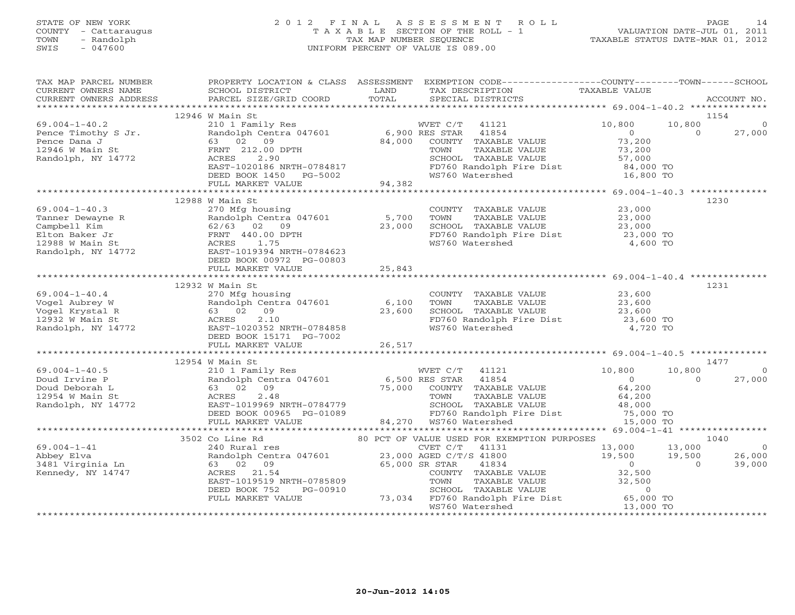#### STATE OF NEW YORK 2 0 1 2 F I N A L A S S E S S M E N T R O L L PAGE 14 COUNTY - Cattaraugus T A X A B L E SECTION OF THE ROLL - 1 VALUATION DATE-JUL 01, 2011 TOWN - Randolph TAX MAP NUMBER SEQUENCE TAXABLE STATUS DATE-MAR 01, 2012<br>
SWIS - 047600<br>
TAXABLE STATUS DATE-MAR 01, 2012 SWIS - 047600 UNIFORM PERCENT OF VALUE IS 089.00

| TAX MAP PARCEL NUMBER<br>CURRENT OWNERS NAME<br>CURRENT OWNERS ADDRESS                      | SCHOOL DISTRICT<br>PARCEL SIZE/GRID COORD                                                                     | <b>EXAMPLE SERVICE SERVICE SERVICE SERVICE SERVICE SERVICE SERVICE SERVICE SERVICE SERVICE SERVICE SERVICE SERVICE</b><br>TOTAL | PROPERTY LOCATION & CLASS ASSESSMENT EXEMPTION CODE----------------COUNTY-------TOWN------SCHOOL<br>TAX DESCRIPTION<br>SPECIAL DISTRICTS | TAXABLE VALUE                                 |          | ACCOUNT NO.    |
|---------------------------------------------------------------------------------------------|---------------------------------------------------------------------------------------------------------------|---------------------------------------------------------------------------------------------------------------------------------|------------------------------------------------------------------------------------------------------------------------------------------|-----------------------------------------------|----------|----------------|
|                                                                                             |                                                                                                               |                                                                                                                                 |                                                                                                                                          |                                               |          |                |
|                                                                                             | 12946 W Main St                                                                                               |                                                                                                                                 |                                                                                                                                          |                                               | 1154     |                |
| $69.004 - 1 - 40.2$                                                                         |                                                                                                               |                                                                                                                                 | WVET C/T 41121                                                                                                                           | 10,800                                        | 10,800   |                |
|                                                                                             | 210 1 Family Res<br>Randolph Centra 047601 6,900 RES STAR<br>63 02 09 84,000 COUNTY                           |                                                                                                                                 | 41854                                                                                                                                    | $\overline{O}$                                | $\Omega$ | 27,000         |
| Pence Timothy S Jr.<br>Pence Dana J<br>12946 W Main St                                      |                                                                                                               |                                                                                                                                 | COUNTY TAXABLE VALUE                                                                                                                     | 73,200                                        |          |                |
|                                                                                             | FRNT 212.00 DPTH                                                                                              |                                                                                                                                 | TOWN<br>TAXABLE VALUE                                                                                                                    | 73,200                                        |          |                |
| Randolph, NY 14772                                                                          | ACRES<br>2.90                                                                                                 |                                                                                                                                 | SCHOOL TAXABLE VALUE                                                                                                                     | 57,000                                        |          |                |
|                                                                                             |                                                                                                               |                                                                                                                                 | FD760 Randolph Fire Dist 84,000 TO<br>WS760 Watershed 16,800 TO                                                                          |                                               |          |                |
|                                                                                             | ACALS<br>EAST-1020186 NRTH-0784817<br>DEED BOOK 1450 PG-5002<br>FULL MARKET VALUE 94,382                      |                                                                                                                                 |                                                                                                                                          |                                               |          |                |
|                                                                                             |                                                                                                               |                                                                                                                                 |                                                                                                                                          |                                               |          |                |
|                                                                                             |                                                                                                               |                                                                                                                                 |                                                                                                                                          |                                               |          |                |
| $69.004 - 1 - 40.3$                                                                         | 12988 W Main St<br>270 Mfg housing                                                                            |                                                                                                                                 | COUNTY TAXABLE VALUE 23,000                                                                                                              |                                               | 1230     |                |
|                                                                                             | Randolph Centra 047601 5,700                                                                                  |                                                                                                                                 | TOWN                                                                                                                                     |                                               |          |                |
|                                                                                             | 62/63 02 09                                                                                                   | 23,000                                                                                                                          | TAXABLE VALUE 23,000<br>TAXABLE VALUE 23,000<br>SCHOOL TAXABLE VALUE                                                                     |                                               |          |                |
|                                                                                             | FRNT 440.00 DPTH                                                                                              |                                                                                                                                 | $FD760$ Randolph Fire Dist $23,000$ TO                                                                                                   |                                               |          |                |
|                                                                                             | ACRES 1.75                                                                                                    |                                                                                                                                 | WS760 Watershed                                                                                                                          | 4,600 TO                                      |          |                |
| Tanner Dewayne R<br>Campbell Kim<br>Elton Baker Jr<br>12988 W Main St<br>Randolph, NY 14772 | EAST-1019394 NRTH-0784623                                                                                     |                                                                                                                                 |                                                                                                                                          |                                               |          |                |
|                                                                                             | DEED BOOK 00972 PG-00803                                                                                      |                                                                                                                                 |                                                                                                                                          |                                               |          |                |
|                                                                                             | FULL MARKET VALUE                                                                                             | 25,843                                                                                                                          |                                                                                                                                          |                                               |          |                |
|                                                                                             |                                                                                                               |                                                                                                                                 |                                                                                                                                          |                                               |          |                |
|                                                                                             | 12932 W Main St                                                                                               |                                                                                                                                 |                                                                                                                                          |                                               | 1231     |                |
| $69.004 - 1 - 40.4$                                                                         | 270 Mfg housing                                                                                               |                                                                                                                                 | COUNTY TAXABLE VALUE 23,600                                                                                                              |                                               |          |                |
|                                                                                             | Randolph Centra 047601 6,100                                                                                  |                                                                                                                                 |                                                                                                                                          | 23,600                                        |          |                |
| Vogel Aubrey W<br>Vogel Krystal R<br>12932 W Main St<br>Randolph, NY 14772                  | 63 02 09                                                                                                      | 23,600                                                                                                                          | COUNTY INANDER VALUE<br>TOWN TAXABLE VALUE<br>SCHOOL TAXABLE VALUE<br>FD760 Randolph Fire Dist<br>WS760 Watershed                        |                                               |          |                |
|                                                                                             | 2.10<br>ACRES                                                                                                 |                                                                                                                                 |                                                                                                                                          | 23,600<br>23,600 TO                           |          |                |
|                                                                                             | EAST-1020352 NRTH-0784858                                                                                     |                                                                                                                                 |                                                                                                                                          | 4,720 TO                                      |          |                |
|                                                                                             | DEED BOOK 15171 PG-7002                                                                                       |                                                                                                                                 |                                                                                                                                          |                                               |          |                |
|                                                                                             | FULL MARKET VALUE                                                                                             | 26,517                                                                                                                          |                                                                                                                                          |                                               |          |                |
|                                                                                             |                                                                                                               |                                                                                                                                 |                                                                                                                                          |                                               |          |                |
|                                                                                             | 12954 W Main St                                                                                               |                                                                                                                                 |                                                                                                                                          |                                               | 1477     |                |
| $69.004 - 1 - 40.5$                                                                         |                                                                                                               |                                                                                                                                 |                                                                                                                                          | 10,800                                        | 10,800   | $\overline{0}$ |
| Doud Irvine P                                                                               |                                                                                                               |                                                                                                                                 |                                                                                                                                          | $\overline{0}$                                | $\Omega$ | 27,000         |
| Doud Deborah L                                                                              |                                                                                                               |                                                                                                                                 | 210 1 Family Res<br>Randolph Centra 047601 6,500 RES STAR 41854<br>63 02 09 75,000 COUNTY TAXABLE VALUE<br>ACRES 2.48 TOWN TAXABLE VALUE | 64,200                                        |          |                |
| 12954 W Main St<br>Randolph, NY 14772                                                       | 2.48<br>ACRES                                                                                                 |                                                                                                                                 |                                                                                                                                          |                                               |          |                |
|                                                                                             | EAST-1019969 NRTH-0784779                                                                                     |                                                                                                                                 |                                                                                                                                          |                                               |          |                |
|                                                                                             | EASI-I019909 NAIH-0764779<br>DEED BOOK 00965 PG-01089 FD760 Randolph FULL MARKET VALUE 84,270 WS760 Watershed |                                                                                                                                 |                                                                                                                                          |                                               |          |                |
|                                                                                             |                                                                                                               |                                                                                                                                 |                                                                                                                                          |                                               |          |                |
|                                                                                             | 3502 Co Line Rd                                                                                               |                                                                                                                                 | 80 PCT OF VALUE USED FOR EXEMPTION PURPOSES                                                                                              |                                               | 1040     |                |
| $69.004 - 1 - 41$                                                                           | 240 Rural res                                                                                                 |                                                                                                                                 | CVET C/T<br>41131                                                                                                                        |                                               |          | $\overline{0}$ |
|                                                                                             | Randolph Centra 047601 23,000 AGED C/T/S 41800                                                                |                                                                                                                                 |                                                                                                                                          |                                               |          | 26,000         |
| Abbey Elva<br>3481 Virginia Ln                                                              | 63 02 09                                                                                                      |                                                                                                                                 | 65,000 SR STAR<br>41834                                                                                                                  | $13,000$ $13,000$<br>$19,500$ $19,500$<br>0 0 |          | 39,000         |
| Kennedy, NY 14747                                                                           | ACRES 21.54                                                                                                   |                                                                                                                                 | COUNTY TAXABLE VALUE                                                                                                                     | 32,500                                        |          |                |
|                                                                                             | EAST-1019519 NRTH-0785809                                                                                     |                                                                                                                                 |                                                                                                                                          | 32,500                                        |          |                |
|                                                                                             | DEED BOOK 752<br>PG-00910                                                                                     |                                                                                                                                 | TOWN      TAXABLE VALUE<br>SCHOOL   TAXABLE VALUE                                                                                        | $\circ$                                       |          |                |
|                                                                                             | FULL MARKET VALUE                                                                                             |                                                                                                                                 | 73,034 FD760 Randolph Fire Dist 65,000 TO<br>WS760 Watershed 13,000 TO                                                                   |                                               |          |                |
|                                                                                             |                                                                                                               |                                                                                                                                 | WS760 Watershed                                                                                                                          | 13,000 TO                                     |          |                |
|                                                                                             |                                                                                                               |                                                                                                                                 |                                                                                                                                          |                                               |          |                |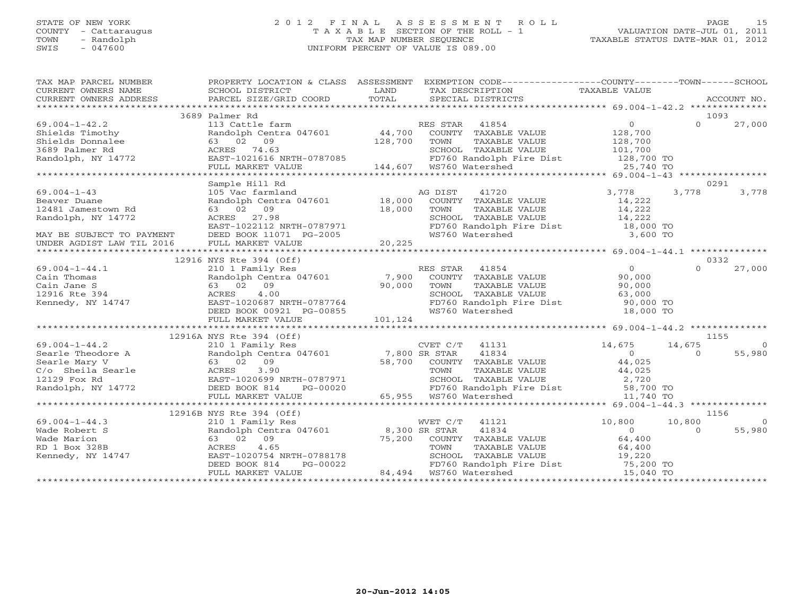## STATE OF NEW YORK 2 0 1 2 F I N A L A S S E S S M E N T R O L L PAGE 15 COUNTY - Cattaraugus T A X A B L E SECTION OF THE ROLL - 1 VALUATION DATE-JUL 01, 2011 TOWN - Randolph TAX MAP NUMBER SEQUENCE TAXABLE STATUS DATE-MAR 01, 2012 SWIS - 047600 UNIFORM PERCENT OF VALUE IS 089.00

| TAX MAP PARCEL NUMBER<br>EXERENT OWNERS NAME AND TRISTANT SUITS AND THE TERM OF THE CONFERNT OWNERS ADDRESS SCHOOL DISTRICT TO LAND TAXABLE TRISTANT TAXABLE VALUE<br>CURRENT OWNERS ADDRESS PARCEL SIZE/GRID COORD TOTAL SPECIAL DISTRICTS ACCOUNT NO.<br>**                                                                                                                               | PROPERTY LOCATION & CLASS ASSESSMENT EXEMPTION CODE---------------COUNTY-------TOWN------SCHOOL                                                                                                                                                                                                                       |                |                                                                                                               |               |                |                |
|---------------------------------------------------------------------------------------------------------------------------------------------------------------------------------------------------------------------------------------------------------------------------------------------------------------------------------------------------------------------------------------------|-----------------------------------------------------------------------------------------------------------------------------------------------------------------------------------------------------------------------------------------------------------------------------------------------------------------------|----------------|---------------------------------------------------------------------------------------------------------------|---------------|----------------|----------------|
|                                                                                                                                                                                                                                                                                                                                                                                             |                                                                                                                                                                                                                                                                                                                       |                |                                                                                                               |               |                |                |
|                                                                                                                                                                                                                                                                                                                                                                                             |                                                                                                                                                                                                                                                                                                                       |                |                                                                                                               |               |                |                |
|                                                                                                                                                                                                                                                                                                                                                                                             | 3689 Palmer Rd                                                                                                                                                                                                                                                                                                        |                |                                                                                                               |               |                | 1093           |
|                                                                                                                                                                                                                                                                                                                                                                                             |                                                                                                                                                                                                                                                                                                                       |                |                                                                                                               |               |                |                |
|                                                                                                                                                                                                                                                                                                                                                                                             |                                                                                                                                                                                                                                                                                                                       |                |                                                                                                               |               |                |                |
|                                                                                                                                                                                                                                                                                                                                                                                             |                                                                                                                                                                                                                                                                                                                       |                |                                                                                                               |               |                |                |
|                                                                                                                                                                                                                                                                                                                                                                                             |                                                                                                                                                                                                                                                                                                                       |                |                                                                                                               |               |                |                |
|                                                                                                                                                                                                                                                                                                                                                                                             |                                                                                                                                                                                                                                                                                                                       |                |                                                                                                               |               |                |                |
|                                                                                                                                                                                                                                                                                                                                                                                             |                                                                                                                                                                                                                                                                                                                       |                |                                                                                                               |               |                |                |
| ${\small \begin{tabular}{lcccc} \textbf{69.004--1-42.2} & \textbf{5689 Falmer Rd} & \textbf{5889 Falmer Na} \\ \textbf{589.004--1-42.2} & \textbf{5689 Falmer Na} & \textbf{5889 Falmer Na} \\ \textbf{589.0011} & \textbf{13 } \text{Gattie farm} & \textbf{889.00} \\ \textbf{63.02} & \textbf{63.02} & \textbf{63.02} \\ \textbf{74.63} & \textbf{889.01} \\ \textbf{889.02} & \textbf{$ |                                                                                                                                                                                                                                                                                                                       |                |                                                                                                               |               |                |                |
|                                                                                                                                                                                                                                                                                                                                                                                             | Sample Hill Rd                                                                                                                                                                                                                                                                                                        |                |                                                                                                               |               |                | 0291           |
| $69.004 - 1 - 43$                                                                                                                                                                                                                                                                                                                                                                           | 105 Vac farmland                                                                                                                                                                                                                                                                                                      | AG DIST        | 41720                                                                                                         | 3,778         | 3,778          | 3,778          |
| Beaver Duane                                                                                                                                                                                                                                                                                                                                                                                | Randolph Centra 047601 18,000                                                                                                                                                                                                                                                                                         |                | COUNTY TAXABLE VALUE                                                                                          | 14,222        |                |                |
|                                                                                                                                                                                                                                                                                                                                                                                             |                                                                                                                                                                                                                                                                                                                       |                |                                                                                                               |               |                |                |
| Randolph, NY 14772                                                                                                                                                                                                                                                                                                                                                                          |                                                                                                                                                                                                                                                                                                                       |                |                                                                                                               |               |                |                |
|                                                                                                                                                                                                                                                                                                                                                                                             |                                                                                                                                                                                                                                                                                                                       |                |                                                                                                               |               |                |                |
| MAY BE SUBJECT TO PAYMENT                                                                                                                                                                                                                                                                                                                                                                   |                                                                                                                                                                                                                                                                                                                       |                |                                                                                                               |               |                |                |
| UNDER AGDIST LAW TIL 2016 FULL MARKET VALUE                                                                                                                                                                                                                                                                                                                                                 |                                                                                                                                                                                                                                                                                                                       |                |                                                                                                               |               |                |                |
| 12481 Jamestown Rd 12481 Jamestown Rd 12481 Jamestown Rd 12481 Jamestown Rd 12481 Jamestown Rd 12481 Jamestown Rd 12481 Jamestown Rd 12481 Jamestown Rd 12481 Jamestown Rd 12481 Jamestown Rd 12481 Jamestown Rd 12481 Jamesto                                                                                                                                                              |                                                                                                                                                                                                                                                                                                                       |                |                                                                                                               |               |                |                |
|                                                                                                                                                                                                                                                                                                                                                                                             | 12916 NYS Rte 394 (Off)                                                                                                                                                                                                                                                                                               |                |                                                                                                               |               |                | 0332           |
|                                                                                                                                                                                                                                                                                                                                                                                             |                                                                                                                                                                                                                                                                                                                       | RES STAR 41854 | ES STAR 41854 0<br>COUNTY TAXABLE VALUE 90,000<br>TOUNTY TAXABLE VALUE 90,000                                 |               | $\Omega$       | 27,000         |
|                                                                                                                                                                                                                                                                                                                                                                                             |                                                                                                                                                                                                                                                                                                                       |                |                                                                                                               |               |                |                |
|                                                                                                                                                                                                                                                                                                                                                                                             |                                                                                                                                                                                                                                                                                                                       |                |                                                                                                               |               |                |                |
|                                                                                                                                                                                                                                                                                                                                                                                             |                                                                                                                                                                                                                                                                                                                       |                |                                                                                                               |               |                |                |
|                                                                                                                                                                                                                                                                                                                                                                                             |                                                                                                                                                                                                                                                                                                                       |                |                                                                                                               |               |                |                |
|                                                                                                                                                                                                                                                                                                                                                                                             |                                                                                                                                                                                                                                                                                                                       |                |                                                                                                               |               |                |                |
|                                                                                                                                                                                                                                                                                                                                                                                             |                                                                                                                                                                                                                                                                                                                       |                | 90,000<br>SCHOOL TAXABLE VALUE 63,000<br>FD760 Randolph Fire Dist 90,000 TO<br>WS760 Watershed 18,000 TO      |               |                |                |
| 69.004-1-44.1<br>Cain Thomas<br>Cain Jane S<br>12916 Rte 394<br>Kennedy, NY 14747<br>Cain Jane S<br>Cain Jane S<br>12916 Rte 394<br>Kennedy, NY 14747<br>CEED BOOK 00921 PG-00855<br>CEED BOOK 00921 PG-00855<br>CEED BOOK 00921 PG-00855<br>CEED BOO                                                                                                                                       |                                                                                                                                                                                                                                                                                                                       |                |                                                                                                               |               |                |                |
|                                                                                                                                                                                                                                                                                                                                                                                             |                                                                                                                                                                                                                                                                                                                       |                |                                                                                                               |               |                |                |
|                                                                                                                                                                                                                                                                                                                                                                                             | 12916A NYS Rte 394 (Off)                                                                                                                                                                                                                                                                                              |                |                                                                                                               |               |                | 1155           |
|                                                                                                                                                                                                                                                                                                                                                                                             |                                                                                                                                                                                                                                                                                                                       |                |                                                                                                               |               |                | $\overline{0}$ |
|                                                                                                                                                                                                                                                                                                                                                                                             |                                                                                                                                                                                                                                                                                                                       |                | CVET C/T 41131 $14,675$ 14,675<br>SR STAR 41834 0 0                                                           |               |                | 55,980         |
|                                                                                                                                                                                                                                                                                                                                                                                             |                                                                                                                                                                                                                                                                                                                       |                |                                                                                                               |               |                |                |
|                                                                                                                                                                                                                                                                                                                                                                                             |                                                                                                                                                                                                                                                                                                                       |                |                                                                                                               |               |                |                |
|                                                                                                                                                                                                                                                                                                                                                                                             |                                                                                                                                                                                                                                                                                                                       |                |                                                                                                               |               |                |                |
|                                                                                                                                                                                                                                                                                                                                                                                             |                                                                                                                                                                                                                                                                                                                       |                |                                                                                                               |               |                |                |
|                                                                                                                                                                                                                                                                                                                                                                                             |                                                                                                                                                                                                                                                                                                                       |                |                                                                                                               |               |                |                |
|                                                                                                                                                                                                                                                                                                                                                                                             |                                                                                                                                                                                                                                                                                                                       |                |                                                                                                               |               |                |                |
|                                                                                                                                                                                                                                                                                                                                                                                             | 12916B NYS Rte 394 (Off)                                                                                                                                                                                                                                                                                              |                |                                                                                                               |               |                | 1156           |
| $69.004 - 1 - 44.3$                                                                                                                                                                                                                                                                                                                                                                         |                                                                                                                                                                                                                                                                                                                       |                | WVET C/T 41121                                                                                                | 10,800 10,800 |                | $\overline{0}$ |
|                                                                                                                                                                                                                                                                                                                                                                                             | 210 1 Family Res WVET C/T<br>Randolph Centra 047601 8,300 SR STAR<br>63 02 09<br>ACRES 4.65<br>EAST-1020754 NRTH-0788178<br>DEED BOOK 814 PG-00022<br>FORES 44.494 WS760 Watershed<br>EAST-1020754 NRTH-0788178<br>DEED BOOK 814 PG-00022<br>PEAST-1020754 NRTH-0788178<br>PEAST-1020754 NRTH-0788178<br>PEAST-102075 |                |                                                                                                               |               | $\overline{0}$ | 55,980         |
|                                                                                                                                                                                                                                                                                                                                                                                             |                                                                                                                                                                                                                                                                                                                       |                |                                                                                                               |               |                |                |
|                                                                                                                                                                                                                                                                                                                                                                                             |                                                                                                                                                                                                                                                                                                                       |                |                                                                                                               |               |                |                |
|                                                                                                                                                                                                                                                                                                                                                                                             |                                                                                                                                                                                                                                                                                                                       |                |                                                                                                               |               |                |                |
|                                                                                                                                                                                                                                                                                                                                                                                             |                                                                                                                                                                                                                                                                                                                       |                |                                                                                                               |               |                |                |
|                                                                                                                                                                                                                                                                                                                                                                                             |                                                                                                                                                                                                                                                                                                                       |                | COMO TAXABLE VALUE<br>SCHOOL TAXABLE VALUE<br>FD760 Randolph Fire Dist 75,200 TO<br>WS760 Watershed 15,040 TO |               |                |                |
|                                                                                                                                                                                                                                                                                                                                                                                             |                                                                                                                                                                                                                                                                                                                       |                |                                                                                                               |               |                |                |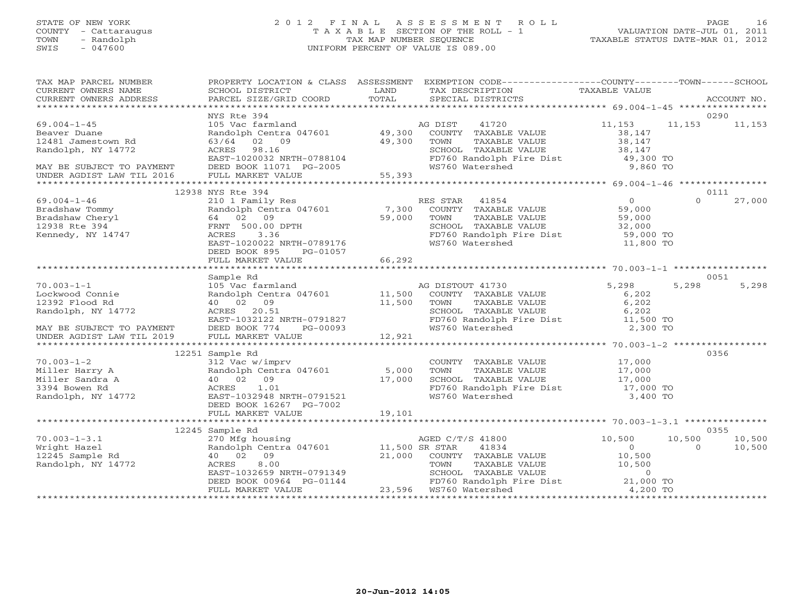### STATE OF NEW YORK 2 0 1 2 F I N A L A S S E S S M E N T R O L L PAGE 16 COUNTY - Cattaraugus T A X A B L E SECTION OF THE ROLL - 1 VALUATION DATE-JUL 01, 2011 TOWN - Randolph TAX MAP NUMBER SEQUENCE TAXABLE STATUS DATE-MAR 01, 2012 SWIS - 047600 UNIFORM PERCENT OF VALUE IS 089.00

| TAX MAP PARCEL NUMBER                                  |                                                                                                   |        | PROPERTY LOCATION & CLASS ASSESSMENT EXEMPTION CODE---------------COUNTY-------TOWN------SCHOOL                                                                                                                                                                                                                    |                  |               |        |
|--------------------------------------------------------|---------------------------------------------------------------------------------------------------|--------|--------------------------------------------------------------------------------------------------------------------------------------------------------------------------------------------------------------------------------------------------------------------------------------------------------------------|------------------|---------------|--------|
| CURRENT OWNERS NAME                                    | SCHOOL DISTRICT<br><b>Example 12 TEXT</b>                                                         |        | TAX DESCRIPTION                                                                                                                                                                                                                                                                                                    | TAXABLE VALUE    |               |        |
|                                                        |                                                                                                   |        |                                                                                                                                                                                                                                                                                                                    |                  |               |        |
| $69.004 - 1 - 45$                                      | NYS Rte 394<br>105 Vac farmland                                                                   |        | 41720<br>AG DIST                                                                                                                                                                                                                                                                                                   | 11,153           | 11,153 11,153 | 0290   |
| Beaver Duane                                           |                                                                                                   |        |                                                                                                                                                                                                                                                                                                                    | 38,147           |               |        |
| 12481 Jamestown Rd                                     |                                                                                                   |        | Randolph Centra 047601 (49,300 COUNTY TAXABLE VALUE $63/64$ 02 09 (49,300 TOWN TAXABLE VALUE                                                                                                                                                                                                                       | 38,147           |               |        |
| Randolph, NY 14772                                     | ACRES 98.16                                                                                       |        | SCHOOL TAXABLE VALUE 38,147<br>FD760 Randolph Fire Dist 49,300 TO                                                                                                                                                                                                                                                  |                  |               |        |
|                                                        |                                                                                                   |        |                                                                                                                                                                                                                                                                                                                    |                  |               |        |
| MAY BE SUBJECT TO PAYMENT<br>UNDER AGDIST LAW TIL 2016 |                                                                                                   |        | WS760 Watershed                                                                                                                                                                                                                                                                                                    | 9,860 TO         |               |        |
|                                                        | EAST-1020032 NRTH-0788104<br>DEED BOOK 11071 PG-2005<br>FULL MARKET VALUE 55,393                  |        |                                                                                                                                                                                                                                                                                                                    |                  |               |        |
|                                                        | 12938 NYS Rte 394                                                                                 |        |                                                                                                                                                                                                                                                                                                                    |                  |               | 0111   |
| $69.004 - 1 - 46$                                      |                                                                                                   |        | RES STAR 41854                                                                                                                                                                                                                                                                                                     |                  | $\Omega$      | 27,000 |
| Bradshaw Tommy                                         | 210 1 Family Res<br>Randolph Centra 047601 7,300                                                  |        | ES STAR 41854 (0)<br>COUNTY TAXABLE VALUE (59,000                                                                                                                                                                                                                                                                  |                  |               |        |
| Bradshaw Cheryl                                        | 64 02 09                                                                                          | 59,000 |                                                                                                                                                                                                                                                                                                                    |                  |               |        |
| 12938 Rte 394                                          | FRNT 500.00 DPTH                                                                                  |        | TOWN      TAXABLE VALUE<br>SCHOOL   TAXABLE VALUE                                                                                                                                                                                                                                                                  | 59,000<br>32,000 |               |        |
| Kennedy, NY 14747                                      | ACRES 3.36                                                                                        |        | FD760 Randolph Fire Dist 59,000 TO                                                                                                                                                                                                                                                                                 |                  |               |        |
|                                                        | EAST-1020022 NRTH-0789176                                                                         |        | WS760 Watershed                                                                                                                                                                                                                                                                                                    | 11,800 TO        |               |        |
|                                                        | DEED BOOK 895<br>PG-01057                                                                         |        |                                                                                                                                                                                                                                                                                                                    |                  |               |        |
|                                                        | FULL MARKET VALUE 66,292                                                                          |        |                                                                                                                                                                                                                                                                                                                    |                  |               |        |
|                                                        |                                                                                                   |        |                                                                                                                                                                                                                                                                                                                    |                  |               |        |
|                                                        | Sample Rd                                                                                         |        | Sample Ku<br>105 Vac farmland<br>Randolph Centra 047601 11,500 COUNTY TAXABLE VALUE<br>40 02 09 11,500 TOWN TAXABLE VALUE<br>ACRES 20.51 SCHOOL TAXABLE VALUE<br>$\begin{array}{ccc}\n & 11,500 & \text{COMN} & \text{TXABLE VALUE} \\  & 11,500 & \text{TOWN} & \text{TXABLE VALUE} \\ \text{SCHODL} & \text{SCH$ |                  |               | 0051   |
| $70.003 - 1 - 1$<br>Lockwood Connie                    |                                                                                                   |        |                                                                                                                                                                                                                                                                                                                    | 5,298<br>6,202   | 5,298         | 5,298  |
| 12392 Flood Rd                                         |                                                                                                   |        |                                                                                                                                                                                                                                                                                                                    | 6,202            |               |        |
| Randolph, NY 14772                                     |                                                                                                   |        |                                                                                                                                                                                                                                                                                                                    | 6,202            |               |        |
|                                                        |                                                                                                   |        |                                                                                                                                                                                                                                                                                                                    |                  |               |        |
| MAY BE SUBJECT TO PAYMENT                              | ACKES 20.51<br>EAST-1032122 NRTH-0791827<br>DEED BOOK 774 PG-00093                                |        | FD760 Randolph Fire Dist 11,500 TO<br>WS760 Watershed 2,300 TO                                                                                                                                                                                                                                                     |                  |               |        |
| UNDER AGDIST LAW TIL 2019                              | FULL MARKET VALUE                                                                                 | 12,921 |                                                                                                                                                                                                                                                                                                                    |                  |               |        |
|                                                        |                                                                                                   |        |                                                                                                                                                                                                                                                                                                                    |                  |               |        |
|                                                        | 12251 Sample Rd<br>Sample Rd<br>312 Vac w/imprv<br>Randolph Centra 047601 5,000<br>3000 17,000    |        |                                                                                                                                                                                                                                                                                                                    |                  |               | 0356   |
| $70.003 - 1 - 2$                                       |                                                                                                   |        | COUNTY TAXABLE VALUE 17,000                                                                                                                                                                                                                                                                                        |                  |               |        |
| Miller Harry A<br>Miller Sandra A                      |                                                                                                   |        |                                                                                                                                                                                                                                                                                                                    |                  |               |        |
| 3394 Bowen Rd                                          | ACRES<br>1.01                                                                                     |        |                                                                                                                                                                                                                                                                                                                    |                  |               |        |
| Randolph, NY 14772                                     | EAST-1032948 NRTH-0791521                                                                         |        | FD760 Randolph Fire Dist 17,000 TO<br>WS760 Watershed 3,400 TO                                                                                                                                                                                                                                                     |                  |               |        |
|                                                        | DEED BOOK 16267 PG-7002                                                                           |        |                                                                                                                                                                                                                                                                                                                    |                  |               |        |
|                                                        | FULL MARKET VALUE                                                                                 | 19,101 |                                                                                                                                                                                                                                                                                                                    |                  |               |        |
|                                                        |                                                                                                   |        |                                                                                                                                                                                                                                                                                                                    |                  |               |        |
|                                                        | 12245 Sample Rd                                                                                   |        |                                                                                                                                                                                                                                                                                                                    |                  |               | 0355   |
| $70.003 - 1 - 3.1$                                     | 270 Mfg housing<br>Randolph Centra 047601 11,500 SR STAR<br>Randolph Centra 047601 11,500 SR STAR |        | AGED C/T/S 41800<br>cp ctar 41834                                                                                                                                                                                                                                                                                  | 10,500           | 10,500        | 10,500 |
| Wright Hazel                                           |                                                                                                   |        |                                                                                                                                                                                                                                                                                                                    | $\bigcirc$       | $\Omega$      | 10,500 |
| 12245 Sample Rd<br>Randolph, NY 14772                  | 40 02 09                                                                                          |        | 21,000 COUNTY TAXABLE VALUE                                                                                                                                                                                                                                                                                        | 10,500<br>10,500 |               |        |
|                                                        |                                                                                                   |        |                                                                                                                                                                                                                                                                                                                    |                  |               |        |
|                                                        |                                                                                                   |        | ACRES 8.00 TOWN TAXABLE VALUE 10,500<br>EAST-1032659 NRTH-0791349 SCHOOL TAXABLE VALUE 0<br>DEED BOOK 00964 PG-01144 23,596 WS760 Watershed 4,200 TO<br>FULL MARKET VALUE 23,596 WS760 Watershed 4,200 TO                                                                                                          |                  |               |        |
|                                                        | FULL MARKET VALUE                                                                                 |        | 23,596 WS760 Watershed                                                                                                                                                                                                                                                                                             |                  |               |        |
|                                                        |                                                                                                   |        |                                                                                                                                                                                                                                                                                                                    |                  |               |        |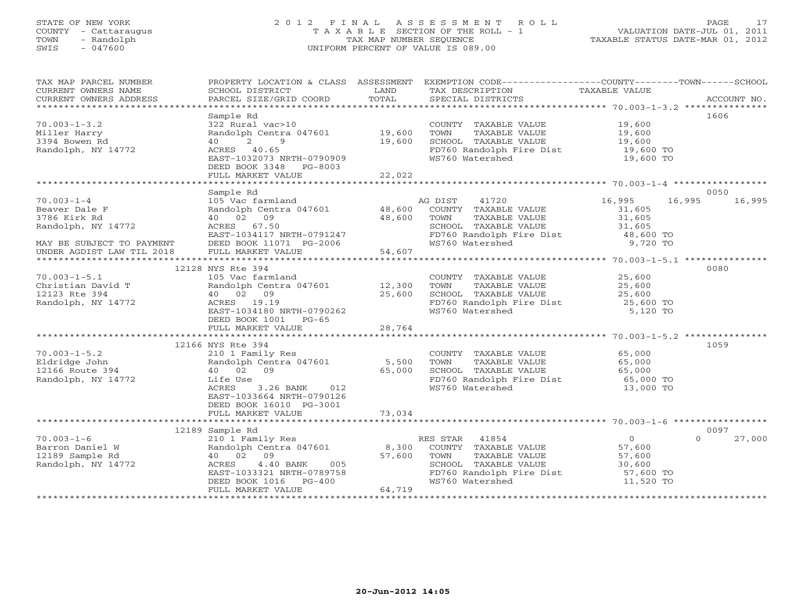# STATE OF NEW YORK 2 0 1 2 F I N A L A S S E S S M E N T R O L L PAGE 17 COUNTY - Cattaraugus T A X A B L E SECTION OF THE ROLL - 1 VALUATION DATE-JUL 01, 2011 TOWN - Randolph TAX MAP NUMBER SEQUENCE TAXABLE STATUS DATE-MAR 01, 2012 SWIS - 047600 UNIFORM PERCENT OF VALUE IS 089.00

| TAX MAP PARCEL NUMBER<br>CURRENT OWNERS NAME<br>CURRENT OWNERS ADDRESS | SCHOOL DISTRICT<br>PARCEL SIZE/GRID COORD                          | LAND<br>TOTAL | PROPERTY LOCATION & CLASS ASSESSMENT EXEMPTION CODE---------------COUNTY-------TOWN------SCHOOL<br>TAX DESCRIPTION TAXABLE VALUE<br>SPECIAL DISTRICTS<br>SPECIAL DISTRICTS |                        | ACCOUNT NO.        |
|------------------------------------------------------------------------|--------------------------------------------------------------------|---------------|----------------------------------------------------------------------------------------------------------------------------------------------------------------------------|------------------------|--------------------|
|                                                                        | Sample Rd                                                          |               |                                                                                                                                                                            |                        | 1606               |
| $70.003 - 1 - 3.2$<br>Miller Harry<br>3394 Bowen Rd                    | 322 Rural vac>10<br>Randolph Centra 047601 19,600<br>40 2 9        | 19,600        | COUNTY TAXABLE VALUE 19,600<br>TOWN<br>TAXABLE VALUE<br>SCHOOL TAXABLE VALUE                                                                                               | 19,600<br>19,600       |                    |
| Randolph, NY 14772                                                     | ACRES 40.65<br>EAST-1032073 NRTH-0790909<br>DEED BOOK 3348 PG-8003 |               | FD760 Randolph Fire Dist<br>WS760 Watershed                                                                                                                                | 19,600 TO<br>19,600 TO |                    |
|                                                                        | FULL MARKET VALUE<br>*************************                     | 22,022        |                                                                                                                                                                            |                        |                    |
|                                                                        | Sample Rd                                                          |               |                                                                                                                                                                            |                        | 0050               |
| $70.003 - 1 - 4$                                                       | 105 Vac farmland                                                   |               | AG DIST<br>41720                                                                                                                                                           | 16,995<br>16,995       | 16,995             |
| Beaver Dale F                                                          | Randolph Centra 047601                                             | 48,600        | COUNTY TAXABLE VALUE                                                                                                                                                       | 31,605                 |                    |
| 3786 Kirk Rd                                                           | 40 02 09                                                           | 48,600        | TAXABLE VALUE<br>TOWN                                                                                                                                                      | 31,605                 |                    |
| Randolph, NY 14772                                                     | ACRES 67.50                                                        |               | SCHOOL TAXABLE VALUE                                                                                                                                                       | 31,605                 |                    |
|                                                                        | EAST-1034117 NRTH-0791247                                          |               | FD760 Randolph Fire Dist 48,600 TO                                                                                                                                         |                        |                    |
| MAY BE SUBJECT TO PAYMENT                                              | DEED BOOK 11071 PG-2006                                            |               | WS760 Watershed                                                                                                                                                            | 9,720 TO               |                    |
| UNDER AGDIST LAW TIL 2018                                              | FULL MARKET VALUE                                                  | 54,607        |                                                                                                                                                                            |                        |                    |
|                                                                        |                                                                    |               |                                                                                                                                                                            |                        | 0080               |
| $70.003 - 1 - 5.1$                                                     | 12128 NYS Rte 394<br>105 Vac farmland                              |               | COUNTY TAXABLE VALUE                                                                                                                                                       | 25,600                 |                    |
| Christian David T                                                      | Randolph Centra 047601                                             | 12,300        | TOWN<br>TAXABLE VALUE                                                                                                                                                      | 25,600                 |                    |
| 12123 Rte 394                                                          | 40 02 09                                                           | 25,600        | SCHOOL TAXABLE VALUE                                                                                                                                                       | 25,600                 |                    |
| Randolph, NY 14772                                                     | ACRES 19.19                                                        |               | FD760 Randolph Fire Dist                                                                                                                                                   | 25,600 TO              |                    |
|                                                                        | EAST-1034180 NRTH-0790262                                          |               | WS760 Watershed                                                                                                                                                            | 5,120 TO               |                    |
|                                                                        | DEED BOOK 1001 PG-65                                               |               |                                                                                                                                                                            |                        |                    |
|                                                                        |                                                                    |               |                                                                                                                                                                            |                        |                    |
|                                                                        |                                                                    |               |                                                                                                                                                                            |                        |                    |
|                                                                        | 12166 NYS Rte 394                                                  |               |                                                                                                                                                                            |                        | 1059               |
| $70.003 - 1 - 5.2$                                                     | 210 1 Family Res                                                   |               | COUNTY TAXABLE VALUE                                                                                                                                                       | 65,000                 |                    |
| Eldridge John                                                          | Randolph Centra 047601 5,500                                       |               | TAXABLE VALUE<br>TOWN                                                                                                                                                      | 65,000                 |                    |
| 12166 Route 394                                                        | 40 02 09                                                           | 65,000        | SCHOOL TAXABLE VALUE                                                                                                                                                       | 65,000                 |                    |
| Randolph, NY 14772                                                     | Life Use                                                           |               | FD760 Randolph Fire Dist                                                                                                                                                   | 65,000 TO              |                    |
|                                                                        | ACRES<br>3.26 BANK 012<br>EAST-1033664 NRTH-0790126                |               | WS760 Watershed                                                                                                                                                            | 13,000 TO              |                    |
|                                                                        | DEED BOOK 16010 PG-3001                                            |               |                                                                                                                                                                            |                        |                    |
|                                                                        | FULL MARKET VALUE                                                  | 73,034        |                                                                                                                                                                            |                        |                    |
|                                                                        |                                                                    |               |                                                                                                                                                                            |                        |                    |
|                                                                        | 12189 Sample Rd                                                    |               |                                                                                                                                                                            |                        | 0097               |
| $70.003 - 1 - 6$                                                       | 210 1 Family Res                                                   |               | RES STAR 41854                                                                                                                                                             | $\overline{0}$         | $\Omega$<br>27,000 |
| Barron Daniel W                                                        | Randolph Centra 047601 8,300                                       |               | COUNTY TAXABLE VALUE                                                                                                                                                       | 57,600                 |                    |
| 12189 Sample Rd                                                        | 40 02 09                                                           | 57,600        | TOWN<br>TAXABLE VALUE                                                                                                                                                      | 57,600                 |                    |
| Randolph, NY 14772                                                     | $4.40$ BANK<br>005<br>ACRES                                        |               | SCHOOL TAXABLE VALUE                                                                                                                                                       | 30,600                 |                    |
|                                                                        | EAST-1033321 NRTH-0789758                                          |               | FD760 Randolph Fire Dist                                                                                                                                                   | 57,600 TO              |                    |
|                                                                        | DEED BOOK 1016<br>$PG-400$                                         |               | WS760 Watershed                                                                                                                                                            | 11,520 TO              |                    |
|                                                                        | FULL MARKET VALUE                                                  | 64,719        |                                                                                                                                                                            |                        |                    |
|                                                                        |                                                                    |               |                                                                                                                                                                            |                        |                    |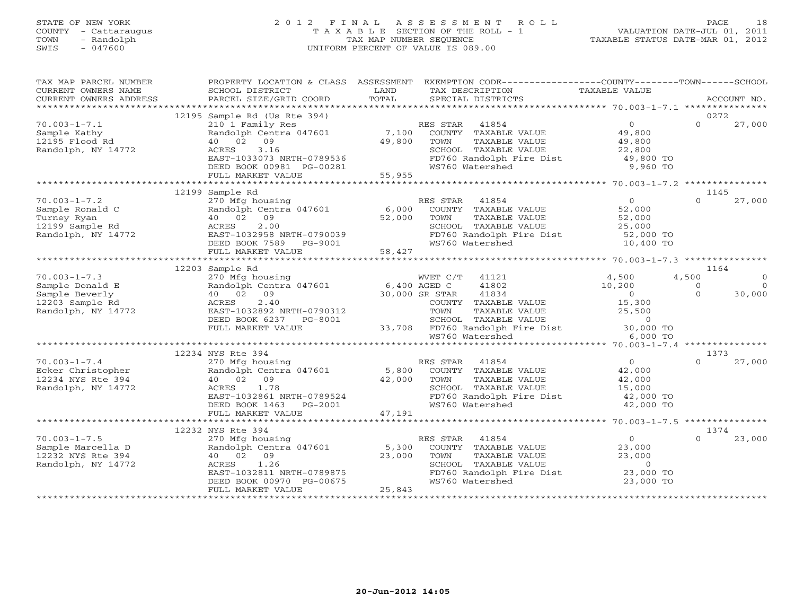## STATE OF NEW YORK 2 0 1 2 F I N A L A S S E S S M E N T R O L L PAGE 18 COUNTY - Cattaraugus T A X A B L E SECTION OF THE ROLL - 1 VALUATION DATE-JUL 01, 2011 TOWN - Randolph TAX MAP NUMBER SEQUENCE TAXABLE STATUS DATE-MAR 01, 2012 SWIS - 047600 UNIFORM PERCENT OF VALUE IS 089.00

| SCHOOL DISTRICT                                                                                     | LAND                                                                                                                                                                                                       | TAX DESCRIPTION                                                                                                                                      |                                                                                                                                                                                                                                                                                                                                               |                                                                                                                                                                                                                                                                                                                                                                                                                                                                                                                                                                                                                    |
|-----------------------------------------------------------------------------------------------------|------------------------------------------------------------------------------------------------------------------------------------------------------------------------------------------------------------|------------------------------------------------------------------------------------------------------------------------------------------------------|-----------------------------------------------------------------------------------------------------------------------------------------------------------------------------------------------------------------------------------------------------------------------------------------------------------------------------------------------|--------------------------------------------------------------------------------------------------------------------------------------------------------------------------------------------------------------------------------------------------------------------------------------------------------------------------------------------------------------------------------------------------------------------------------------------------------------------------------------------------------------------------------------------------------------------------------------------------------------------|
|                                                                                                     |                                                                                                                                                                                                            |                                                                                                                                                      |                                                                                                                                                                                                                                                                                                                                               | ACCOUNT NO.                                                                                                                                                                                                                                                                                                                                                                                                                                                                                                                                                                                                        |
|                                                                                                     |                                                                                                                                                                                                            |                                                                                                                                                      |                                                                                                                                                                                                                                                                                                                                               | 0272                                                                                                                                                                                                                                                                                                                                                                                                                                                                                                                                                                                                               |
| 210 1 Family Res<br>Randolph Centra 047601<br>40 02 09<br>ACRES<br>3.16<br>DEED BOOK 00981 PG-00281 |                                                                                                                                                                                                            | RES STAR 41854<br>TAXABLE VALUE<br>TOWN<br>WS760 Watershed                                                                                           | $\overline{0}$<br>49,800<br>49,800<br>22,800<br>49,800 TO<br>9,960 TO                                                                                                                                                                                                                                                                         | 27,000<br>$\Omega$                                                                                                                                                                                                                                                                                                                                                                                                                                                                                                                                                                                                 |
|                                                                                                     |                                                                                                                                                                                                            |                                                                                                                                                      |                                                                                                                                                                                                                                                                                                                                               |                                                                                                                                                                                                                                                                                                                                                                                                                                                                                                                                                                                                                    |
| 270 Mfg housing<br>40 02 09<br>2.00<br>ACRES                                                        |                                                                                                                                                                                                            | RES STAR<br>TOWN<br>TAXABLE VALUE                                                                                                                    | $\overline{0}$<br>52,000<br>52,000<br>25,000                                                                                                                                                                                                                                                                                                  | 1145<br>$\cap$<br>27,000                                                                                                                                                                                                                                                                                                                                                                                                                                                                                                                                                                                           |
|                                                                                                     |                                                                                                                                                                                                            |                                                                                                                                                      |                                                                                                                                                                                                                                                                                                                                               |                                                                                                                                                                                                                                                                                                                                                                                                                                                                                                                                                                                                                    |
|                                                                                                     |                                                                                                                                                                                                            |                                                                                                                                                      |                                                                                                                                                                                                                                                                                                                                               | 1164                                                                                                                                                                                                                                                                                                                                                                                                                                                                                                                                                                                                               |
| 270 Mfg housing                                                                                     |                                                                                                                                                                                                            | WVET C/T 41121<br>41802                                                                                                                              | 4,500<br>10,200                                                                                                                                                                                                                                                                                                                               | 4,500<br>$\Omega$<br>$\Omega$<br>$\overline{0}$<br>$\Omega$<br>30,000                                                                                                                                                                                                                                                                                                                                                                                                                                                                                                                                              |
| 2.40<br>ACRES<br>EAST-1032892 NRTH-0790312<br>DEED BOOK 6237 PG-8001<br>FULL MARKET VALUE           |                                                                                                                                                                                                            |                                                                                                                                                      | 15,300<br>25,500<br>6,000 TO                                                                                                                                                                                                                                                                                                                  |                                                                                                                                                                                                                                                                                                                                                                                                                                                                                                                                                                                                                    |
|                                                                                                     |                                                                                                                                                                                                            |                                                                                                                                                      |                                                                                                                                                                                                                                                                                                                                               |                                                                                                                                                                                                                                                                                                                                                                                                                                                                                                                                                                                                                    |
| 270 Mfg housing<br>Randolph Centra 047601<br>40 02 09<br>ACRES<br>1.78                              |                                                                                                                                                                                                            | RES STAR 41854<br>TAXABLE VALUE<br>TOWN<br>SCHOOL TAXABLE VALUE                                                                                      | $\overline{0}$<br>$42,000$<br>$42,000$<br>15,000<br>42,000 TO                                                                                                                                                                                                                                                                                 | 1373<br>$\Omega$<br>27,000                                                                                                                                                                                                                                                                                                                                                                                                                                                                                                                                                                                         |
| FULL MARKET VALUE                                                                                   |                                                                                                                                                                                                            |                                                                                                                                                      |                                                                                                                                                                                                                                                                                                                                               |                                                                                                                                                                                                                                                                                                                                                                                                                                                                                                                                                                                                                    |
|                                                                                                     |                                                                                                                                                                                                            |                                                                                                                                                      |                                                                                                                                                                                                                                                                                                                                               | 1374                                                                                                                                                                                                                                                                                                                                                                                                                                                                                                                                                                                                               |
| 270 Mfg housing<br>40 02 09<br>1.26<br>FULL MARKET VALUE                                            | 25,843                                                                                                                                                                                                     | RES STAR<br>41854<br>COUNTY TAXABLE VALUE<br>TOWN<br>TAXABLE VALUE<br>SCHOOL TAXABLE VALUE<br>WS760 Watershed                                        | $\overline{0}$<br>23,000<br>23,000<br>$\Omega$<br>23,000 TO                                                                                                                                                                                                                                                                                   | $\Omega$<br>23,000                                                                                                                                                                                                                                                                                                                                                                                                                                                                                                                                                                                                 |
|                                                                                                     | PARCEL SIZE/GRID COORD<br>12195 Sample Rd (Us Rte 394)<br>FULL MARKET VALUE<br>12199 Sample Rd<br>FULL MARKET VALUE<br>12203 Sample Rd<br>12234 NYS Rte 394<br>DEED BOOK 1463 PG-2001<br>12232 NYS Rte 394 | TOTAL<br>EAST-1033073 NRTH-0789536<br>EAST-1032861 NRTH-0789524<br>EAST-1032811 NRTH-0789875<br>DEED BOOK 00970 PG-00675<br>DEED BOOK 00970 PG-00675 | SPECIAL DISTRICTS<br>49,800<br>55,955<br>Randolph Centra 047601 6,000<br>52,000<br>AUKES 2.00<br>EAST-1032958 NRTH-0790039<br>DEED BOOK 7589 PG-9001<br>58,427<br>Randolph Centra 047601 6,400 AGED C<br>40 02 09 30,000 SR STAR<br>41834<br>WS760 Watershed<br>42,000<br>WS760 Watershed<br>47,191<br>Randolph Centra 047601 5,300<br>23,000 | PROPERTY LOCATION & CLASS ASSESSMENT EXEMPTION CODE---------------COUNTY-------TOWN------SCHOOL<br>TAXABLE VALUE<br>7,100 COUNTY TAXABLE VALUE<br>SCHOOL TAXABLE VALUE<br>FD760 Randolph Fire Dist<br>ES STAR 41854<br>COUNTY TAXABLE VALUE<br>SCHOOL TAXABLE VALUE<br>ED760 Randolph Fire Dist<br>WS760 Randolph Fire Dist 52,000 TO<br>WS760 Watershed 10,400 TO<br>$\sim$ 0<br>COUNTY TAXABLE VALUE<br>TOWN     TAXABLE VALUE<br>SCHOOL TAXABLE VALUE<br>33,708 FD760 Randolph Fire Dist 30,000 TO<br>5,800 COUNTY TAXABLE VALUE<br>FD760 Randolph Fire Dist<br>42,000 TO<br>FD760 Randolph Fire Dist 23,000 TO |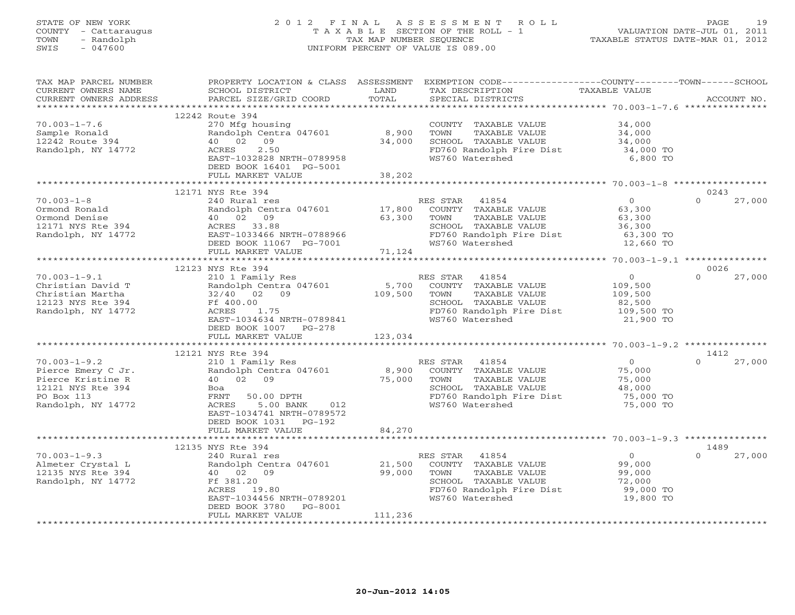### STATE OF NEW YORK 2 0 1 2 F I N A L A S S E S S M E N T R O L L PAGE 19 COUNTY - Cattaraugus T A X A B L E SECTION OF THE ROLL - 1 VALUATION DATE-JUL 01, 2011 TOWN - Randolph TAX MAP NUMBER SEQUENCE TAXABLE STATUS DATE-MAR 01, 2012 SWIS - 047600 UNIFORM PERCENT OF VALUE IS 089.00

TAX MAP PARCEL NUMBER PROPERTY LOCATION & CLASS ASSESSMENT EXEMPTION CODE-----------------COUNTY-------TOWN------SCHOOL<br>CURRENT OWNERS NAME SCHOOL DISTRICT LAND TAX DESC \*\*\*\*\*\*\*\*\*\*\*\*\*\*\*\*\*\*\*\*\*\*\*\*\*\*\*\*\*\*\*\*\*\*\*\*\*\*\*\*\*\*\*\*\*\*\*\*\*\*\*\*\*\*\*\*\*\*\*\*\*\*\*\*\*\*\*\*\*\*\*\*\*\*\*\*\*\*\*\*\*\*\*\*\*\*\*\*\*\*\*\*\*\*\*\*\*\*\*\*\*\*\* 70.003-1-7.6 \*\*\*\*\*\*\*\*\*\*\*\*\*\*\* 12242 Route 394 70.003-1-7.6 270 Mfg housing COUNTY TAXABLE VALUE 34,000 Sample Ronald Randolph Centra 047601 8,900 TOWN TAXABLE VALUE 34,000 12242 Route 394 40 02 09 34,000 SCHOOL TAXABLE VALUE 34,000 Randolph, NY 14772 ACRES 2.50 FD760 Randolph Fire Dist 34,000 TO EAST-1032828 NRTH-0789958 WS760 Watershed 6,800 TO DEED BOOK 16401 PG-5001 FULL MARKET VALUE 38,202 \*\*\*\*\*\*\*\*\*\*\*\*\*\*\*\*\*\*\*\*\*\*\*\*\*\*\*\*\*\*\*\*\*\*\*\*\*\*\*\*\*\*\*\*\*\*\*\*\*\*\*\*\*\*\*\*\*\*\*\*\*\*\*\*\*\*\*\*\*\*\*\*\*\*\*\*\*\*\*\*\*\*\*\*\*\*\*\*\*\*\*\*\*\*\*\*\*\*\*\*\*\*\* 70.003-1-8 \*\*\*\*\*\*\*\*\*\*\*\*\*\*\*\*\* 12171 NYS Rte 394 0243 70.003-1-8 240 Rural res RES STAR 41854 0 0 27,000 Ormond Ronald Randolph Centra 047601 17,800 COUNTY TAXABLE VALUE 63,300 Ormond Denise 40 02 09 63,300 TOWN TAXABLE VALUE 63,300 12171 NYS Rte 394 ACRES 33.88 SCHOOL TAXABLE VALUE 36,300 Randolph, NY 14772 EAST-1033466 NRTH-0788966 FD760 Randolph Fire Dist 63,300 TO DEED BOOK 11067 PG-7001 WS760 Watershed 12,660 TO FULL MARKET VALUE 71,124 \*\*\*\*\*\*\*\*\*\*\*\*\*\*\*\*\*\*\*\*\*\*\*\*\*\*\*\*\*\*\*\*\*\*\*\*\*\*\*\*\*\*\*\*\*\*\*\*\*\*\*\*\*\*\*\*\*\*\*\*\*\*\*\*\*\*\*\*\*\*\*\*\*\*\*\*\*\*\*\*\*\*\*\*\*\*\*\*\*\*\*\*\*\*\*\*\*\*\*\*\*\*\* 70.003-1-9.1 \*\*\*\*\*\*\*\*\*\*\*\*\*\*\* 12123 NYS Rte 394 میں 12123 NYS Rte 394<br>70.003-1-9.1 210 1 Family Res RES STAR 41854 0 0 27,000 Christian David T Randolph Centra 047601 5,700 COUNTY TAXABLE VALUE 109,500 Christian Martha 32/40 02 09 109,500 TOWN TAXABLE VALUE 109,500 12123 NYS Rte 394 Ff 400.00 SCHOOL TAXABLE VALUE 82,500 Randolph, NY 14772 ACRES 1.75 FD760 Randolph Fire Dist 109,500 TO EAST-1034634 NRTH-0789841 WS760 Watershed 21,900 TO DEED BOOK 1007 PG-278 FULL MARKET VALUE 123,034 \*\*\*\*\*\*\*\*\*\*\*\*\*\*\*\*\*\*\*\*\*\*\*\*\*\*\*\*\*\*\*\*\*\*\*\*\*\*\*\*\*\*\*\*\*\*\*\*\*\*\*\*\*\*\*\*\*\*\*\*\*\*\*\*\*\*\*\*\*\*\*\*\*\*\*\*\*\*\*\*\*\*\*\*\*\*\*\*\*\*\*\*\*\*\*\*\*\*\*\*\*\*\* 70.003-1-9.2 \*\*\*\*\*\*\*\*\*\*\*\*\*\*\* 12121 NYS Rte 394 1412 70.003-1-9.2 210 1 Family Res RES STAR 41854 0 0 27,000 Pierce Emery C Jr. Randolph Centra 047601 8,900 COUNTY TAXABLE VALUE 75,000 Pierce Kristine R 40 02 09 75,000 TOWN TAXABLE VALUE 75,000 12121 NYS Rte 394 Boa SCHOOL TAXABLE VALUE 48,000 PO Box 113 FRNT 50.00 DPTH FD760 Randolph Fire Dist 75,000 TO Randolph, NY 14772 ACRES 5.00 BANK 012 WS760 Watershed 75,000 TO EAST-1034741 NRTH-0789572 DEED BOOK 1031 PG-192 FULL MARKET VALUE 84,270 \*\*\*\*\*\*\*\*\*\*\*\*\*\*\*\*\*\*\*\*\*\*\*\*\*\*\*\*\*\*\*\*\*\*\*\*\*\*\*\*\*\*\*\*\*\*\*\*\*\*\*\*\*\*\*\*\*\*\*\*\*\*\*\*\*\*\*\*\*\*\*\*\*\*\*\*\*\*\*\*\*\*\*\*\*\*\*\*\*\*\*\*\*\*\*\*\*\*\*\*\*\*\* 70.003-1-9.3 \*\*\*\*\*\*\*\*\*\*\*\*\*\*\* 12135 NYS Rte 394 1489 70.003-1-9.3 240 Rural res RES STAR 41854 0 0 27,000 Almeter Crystal L Randolph Centra 047601 21,500 COUNTY TAXABLE VALUE 99,000 12135 NYS Rte 394 40 02 09 99,000 TOWN TAXABLE VALUE 99,000 Randolph, NY 14772 Ff 381.20 SCHOOL TAXABLE VALUE 72,000 ACRES 19.80 FD760 Randolph Fire Dist 99,000 TO  $\texttt{ESST-1034456} \begin{smallmatrix} \texttt{BRST-1034456} \texttt{ NRTH-0789201} \ \texttt{DEED BOOK 3780} \end{smallmatrix} \begin{smallmatrix} \texttt{WS760} \texttt{Watershed} \ \texttt{39780} \end{smallmatrix}$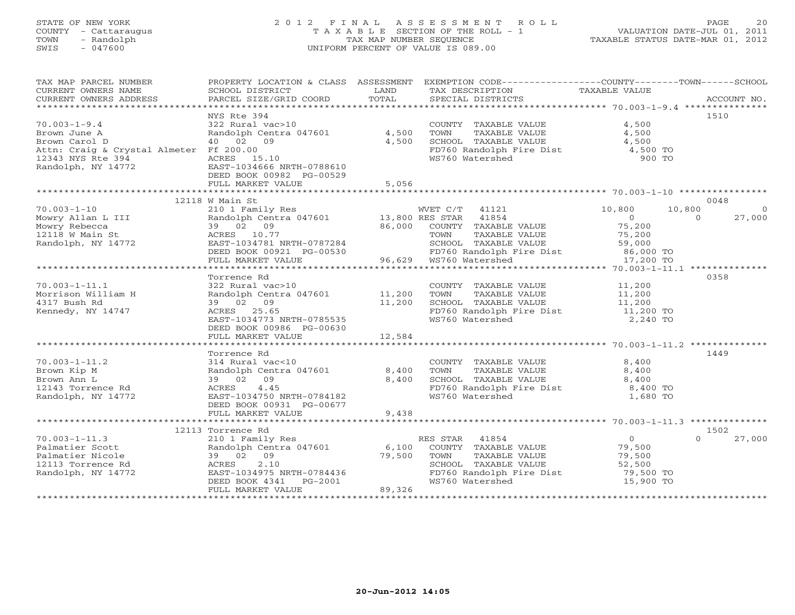## STATE OF NEW YORK 2 0 1 2 F I N A L A S S E S S M E N T R O L L PAGE 20 COUNTY - Cattaraugus T A X A B L E SECTION OF THE ROLL - 1 VALUATION DATE-JUL 01, 2011 TOWN - Randolph TAX MAP NUMBER SEQUENCE TAXABLE STATUS DATE-MAR 01, 2012 SWIS - 047600 UNIFORM PERCENT OF VALUE IS 089.00

| TAX MAP PARCEL NUMBER<br>CURRENT OWNERS NAME<br>CURRENT OWNERS ADDRESS | SCHOOL DISTRICT<br>PARCEL SIZE/GRID COORD     | LAND<br>TOTAL | PROPERTY LOCATION & CLASS ASSESSMENT EXEMPTION CODE----------------COUNTY-------TOWN------SCHOOL<br>TAX DESCRIPTION<br>SPECIAL DISTRICTS | TAXABLE VALUE              | ACCOUNT NO. |
|------------------------------------------------------------------------|-----------------------------------------------|---------------|------------------------------------------------------------------------------------------------------------------------------------------|----------------------------|-------------|
|                                                                        |                                               |               |                                                                                                                                          |                            |             |
| $70.003 - 1 - 9.4$                                                     | NYS Rte 394                                   |               | COUNTY TAXABLE VALUE                                                                                                                     | 4,500                      | 1510        |
| Brown June A                                                           | 322 Rural vac>10<br>Randolph Centra 047601    | 4,500         | TOWN<br>TAXABLE VALUE                                                                                                                    | 4,500                      |             |
| Brown Carol D                                                          | 40 02 09                                      | 4,500         | SCHOOL TAXABLE VALUE                                                                                                                     | 4,500                      |             |
| Attn: Craig & Crystal Almeter Ff 200.00                                |                                               |               |                                                                                                                                          |                            |             |
| 12343 NYS Rte 394                                                      | ACRES 15.10                                   |               | FD760 Randolph Fire Dist $\begin{array}{ccc} 7.500 & \text{TO} \\ 4.500 & \text{TO} \\ \text{WS760 Watershed} \end{array}$               |                            |             |
| Randolph, NY 14772                                                     | EAST-1034666 NRTH-0788610                     |               |                                                                                                                                          |                            |             |
|                                                                        | DEED BOOK 00982 PG-00529                      |               |                                                                                                                                          |                            |             |
|                                                                        | FULL MARKET VALUE                             | 5,056         |                                                                                                                                          |                            |             |
|                                                                        |                                               |               |                                                                                                                                          |                            |             |
|                                                                        | 12118 W Main St                               |               |                                                                                                                                          |                            | 0048        |
| $70.003 - 1 - 10$                                                      | 210 1 Family Res                              |               | WVET C/T 41121                                                                                                                           | 10,800<br>10,800           | $\Omega$    |
| Mowry Allan L III                                                      | Randolph Centra 047601                        |               | 13,800 RES STAR 41854                                                                                                                    | $\overline{0}$<br>$\Omega$ | 27,000      |
| Mowry Rebecca                                                          | 39 02 09                                      | 86,000        | COUNTY TAXABLE VALUE                                                                                                                     | 75,200                     |             |
| $12118$ W Main St                                                      | ACRES 10.77                                   |               | TOWN<br>TAXABLE VALUE                                                                                                                    | 75,200                     |             |
| Randolph, NY 14772                                                     | EAST-1034781 NRTH-0787284                     |               | SCHOOL TAXABLE VALUE                                                                                                                     | 59,000                     |             |
|                                                                        | DEED BOOK 00921 PG-00530<br>FULL MARKET VALUE |               | FD760 Randolph Fire Dist 86,000 TO<br>$96,629$ WS760 Watershed                                                                           | 17,200 TO                  |             |
|                                                                        |                                               |               |                                                                                                                                          |                            |             |
|                                                                        | Torrence Rd                                   |               |                                                                                                                                          |                            | 0358        |
| $70.003 - 1 - 11.1$                                                    | 322 Rural vac>10                              |               | COUNTY TAXABLE VALUE                                                                                                                     | 11,200                     |             |
| Morrison William H                                                     | Randolph Centra 047601                        | 11,200        | TOWN<br>TAXABLE VALUE                                                                                                                    | 11,200                     |             |
| 4317 Bush Rd                                                           | 39 02 09                                      | 11,200        | SCHOOL TAXABLE VALUE                                                                                                                     | 11,200                     |             |
| Kennedy, NY 14747                                                      | ACRES 25.65                                   |               | FD760 Randolph Fire Dist                                                                                                                 | 11,200 TO                  |             |
|                                                                        | EAST-1034773 NRTH-0785535                     |               | WS760 Watershed                                                                                                                          | 2,240 TO                   |             |
|                                                                        | DEED BOOK 00986 PG-00630                      |               |                                                                                                                                          |                            |             |
|                                                                        | FULL MARKET VALUE                             | 12,584        |                                                                                                                                          |                            |             |
|                                                                        |                                               |               |                                                                                                                                          |                            |             |
|                                                                        | Torrence Rd                                   |               |                                                                                                                                          |                            | 1449        |
| $70.003 - 1 - 11.2$                                                    | 314 Rural vac<10                              |               | COUNTY TAXABLE VALUE                                                                                                                     | 8,400                      |             |
| Brown Kip M                                                            | Randolph Centra 047601                        | 8,400         | TOWN<br>TAXABLE VALUE                                                                                                                    | 8,400                      |             |
| Brown Ann L                                                            | 39 02 09<br>4.45                              | 8,400         | SCHOOL TAXABLE VALUE                                                                                                                     | 8,400                      |             |
| 12143 Torrence Rd<br>Randolph, NY 14772                                | ACRES<br>EAST-1034750 NRTH-0784182            |               | FD760 Randolph Fire Dist<br>WS760 Watershed                                                                                              | 8,400 TO<br>1,680 TO       |             |
|                                                                        | DEED BOOK 00931 PG-00677                      |               |                                                                                                                                          |                            |             |
|                                                                        | FULL MARKET VALUE                             | 9,438         |                                                                                                                                          |                            |             |
|                                                                        |                                               |               |                                                                                                                                          |                            |             |
|                                                                        | 12113 Torrence Rd                             |               |                                                                                                                                          |                            | 1502        |
| $70.003 - 1 - 11.3$                                                    | 210 1 Family Res                              |               | RES STAR<br>41854                                                                                                                        | $\overline{0}$<br>$\cap$   | 27,000      |
| Palmatier Scott                                                        | Randolph Centra 047601                        | 6,100         | COUNTY TAXABLE VALUE                                                                                                                     | 79,500                     |             |
| Palmatier Nicole                                                       | 39 02 09                                      | 79,500        | TOWN<br>TAXABLE VALUE                                                                                                                    | 79,500                     |             |
| 12113 Torrence Rd                                                      | 2.10<br>ACRES                                 |               | SCHOOL TAXABLE VALUE                                                                                                                     | 52,500                     |             |
| Randolph, NY 14772                                                     | EAST-1034975 NRTH-0784436                     |               | FD760 Randolph Fire Dist                                                                                                                 | 79,500 TO                  |             |
|                                                                        | DEED BOOK 4341<br>PG-2001                     |               | WS760 Watershed                                                                                                                          | 15,900 TO                  |             |
|                                                                        | FULL MARKET VALUE                             | 89,326        |                                                                                                                                          |                            |             |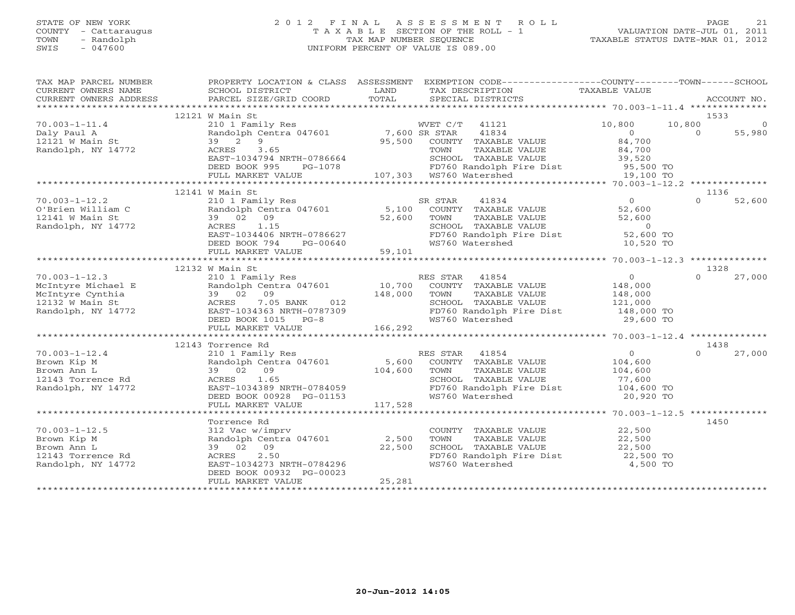#### STATE OF NEW YORK 2 0 1 2 F I N A L A S S E S S M E N T R O L L PAGE 21 COUNTY - Cattaraugus T A X A B L E SECTION OF THE ROLL - 1 VALUATION DATE-JUL 01, 2011 TOWN - Randolph TAX MAP NUMBER SEQUENCE TAXABLE STATUS DATE-MAR 01, 2012 SWIS - 047600 UNIFORM PERCENT OF VALUE IS 089.00UNIFORM PERCENT OF VALUE IS 089.00

| TAX MAP PARCEL NUMBER<br>CURRENT OWNERS NAME<br>CURRENT OWNERS ADDRESS                                                                                                                                                                                                                                                                                                 | SCHOOL DISTRICT                                 |        | PROPERTY LOCATION & CLASS ASSESSMENT EXEMPTION CODE---------------COUNTY-------TOWN------SCHOOL<br>LAND TAX DESCRIPTION | TAXABLE VALUE |                    |
|------------------------------------------------------------------------------------------------------------------------------------------------------------------------------------------------------------------------------------------------------------------------------------------------------------------------------------------------------------------------|-------------------------------------------------|--------|-------------------------------------------------------------------------------------------------------------------------|---------------|--------------------|
| CONNEN OWNERS ADDRESS BARCEL SIZE/GRID COORD FOTAL SECIAL DISTRICTS MONORENT OWNERS ADDRESS PARCEL SIZE/GRID COORD TOTAL SECIAL DISTRICTS ACCOUNT NO.                                                                                                                                                                                                                  |                                                 |        |                                                                                                                         |               |                    |
|                                                                                                                                                                                                                                                                                                                                                                        | 12121 W Main St                                 |        |                                                                                                                         |               | 1533               |
| $\begin{tabular}{lllllllllllllllllllllll} \hline & & 12121 & 12121 & 1212 & 1212 & 1212 & 1212 & 1212 & 1212 & 1212 & 1212 & 1212 & 1212 & 1212 & 1212 & 1212 & 1212 & 1212 & 1212 & 1212 & 1212 & 1212 & 1212 & 1212 & 1212 & 1212 & 1212 & 1212 & 1212 & 1212 & 1212 & 1212 & 1212 & 1$                                                                              |                                                 |        |                                                                                                                         |               |                    |
| Daly Paul A<br>12121 W Main St<br>Randolph, NY 14772                                                                                                                                                                                                                                                                                                                   |                                                 |        |                                                                                                                         |               |                    |
|                                                                                                                                                                                                                                                                                                                                                                        |                                                 |        |                                                                                                                         |               |                    |
|                                                                                                                                                                                                                                                                                                                                                                        |                                                 |        |                                                                                                                         |               |                    |
|                                                                                                                                                                                                                                                                                                                                                                        |                                                 |        |                                                                                                                         |               |                    |
|                                                                                                                                                                                                                                                                                                                                                                        |                                                 |        |                                                                                                                         |               |                    |
|                                                                                                                                                                                                                                                                                                                                                                        |                                                 |        |                                                                                                                         |               |                    |
|                                                                                                                                                                                                                                                                                                                                                                        |                                                 |        |                                                                                                                         |               |                    |
| $\begin{array}{cccccccc} 70.003-1-12.2 & 12141\text{ W Main St} & 210 & 12141\text{ W Main St} & 210 & 12141\text{ W Main St} & 210 & 12141\text{ W Main St} & 210 & 12141\text{ W Main St} & 210 & 12141\text{ W Main St} & 210 & 12141\text{ W Main St} & 39 & 0 & 52,600\text{ WININ} & 52,600\text{ WININ} & 52,600\text{ WININ} & 52,600\text{ WININ} & 5$        | 12141 W Main St                                 |        |                                                                                                                         |               | 1136               |
|                                                                                                                                                                                                                                                                                                                                                                        |                                                 |        |                                                                                                                         |               |                    |
|                                                                                                                                                                                                                                                                                                                                                                        |                                                 |        |                                                                                                                         |               |                    |
|                                                                                                                                                                                                                                                                                                                                                                        |                                                 |        |                                                                                                                         |               |                    |
|                                                                                                                                                                                                                                                                                                                                                                        |                                                 |        |                                                                                                                         |               |                    |
|                                                                                                                                                                                                                                                                                                                                                                        |                                                 |        |                                                                                                                         |               |                    |
|                                                                                                                                                                                                                                                                                                                                                                        |                                                 |        |                                                                                                                         |               |                    |
|                                                                                                                                                                                                                                                                                                                                                                        |                                                 |        |                                                                                                                         |               |                    |
|                                                                                                                                                                                                                                                                                                                                                                        |                                                 |        |                                                                                                                         |               |                    |
|                                                                                                                                                                                                                                                                                                                                                                        | 12132 W Main St                                 |        |                                                                                                                         |               | 1328               |
|                                                                                                                                                                                                                                                                                                                                                                        |                                                 |        |                                                                                                                         |               | $\Omega$<br>27,000 |
|                                                                                                                                                                                                                                                                                                                                                                        |                                                 |        |                                                                                                                         |               |                    |
|                                                                                                                                                                                                                                                                                                                                                                        |                                                 |        |                                                                                                                         |               |                    |
|                                                                                                                                                                                                                                                                                                                                                                        |                                                 |        |                                                                                                                         |               |                    |
|                                                                                                                                                                                                                                                                                                                                                                        |                                                 |        |                                                                                                                         |               |                    |
|                                                                                                                                                                                                                                                                                                                                                                        |                                                 |        |                                                                                                                         |               |                    |
|                                                                                                                                                                                                                                                                                                                                                                        |                                                 |        |                                                                                                                         |               |                    |
|                                                                                                                                                                                                                                                                                                                                                                        |                                                 |        |                                                                                                                         |               |                    |
|                                                                                                                                                                                                                                                                                                                                                                        | 12143 Torrence Rd                               |        |                                                                                                                         |               | 1438               |
| $70.003 - 1 - 12.4$                                                                                                                                                                                                                                                                                                                                                    |                                                 |        |                                                                                                                         |               | 27,000             |
|                                                                                                                                                                                                                                                                                                                                                                        |                                                 |        |                                                                                                                         |               |                    |
|                                                                                                                                                                                                                                                                                                                                                                        |                                                 |        |                                                                                                                         |               |                    |
| $\begin{array}{cccccccccccc} 10.003-1-12.4 & 12143 & 70 \times 10^{14} & 12143 & 70 \times 10^{14} & 1438 & 10^{14} & 1438 & 10^{14} & 1438 & 10^{14} & 1438 & 10^{14} & 1438 & 10^{14} & 1438 & 10^{14} & 1438 & 10^{14} & 1438 & 10^{14} & 1438 & 10^{14} & 1438 & 10^{14} & 1438 & 10^{14} & 1$<br>70.003-1-12.4<br>Brown Kip M<br>Brown Ann L<br>12143 Torrence Rd |                                                 |        |                                                                                                                         |               |                    |
| Randolph, NY 14772                                                                                                                                                                                                                                                                                                                                                     |                                                 |        |                                                                                                                         |               |                    |
|                                                                                                                                                                                                                                                                                                                                                                        |                                                 |        |                                                                                                                         |               |                    |
|                                                                                                                                                                                                                                                                                                                                                                        |                                                 |        |                                                                                                                         |               |                    |
|                                                                                                                                                                                                                                                                                                                                                                        |                                                 |        |                                                                                                                         |               |                    |
|                                                                                                                                                                                                                                                                                                                                                                        | Torrence Rd                                     |        |                                                                                                                         |               | 1450               |
| $70.003 - 1 - 12.5$                                                                                                                                                                                                                                                                                                                                                    | 312 Vac w/imprv<br>Randolph Centra 047601 2,500 |        | COUNTY TAXABLE VALUE $22,500$<br>TOWN TAXABLE VALUE $22,500$                                                            |               |                    |
| Brown Kip M                                                                                                                                                                                                                                                                                                                                                            |                                                 |        |                                                                                                                         |               |                    |
| Brown Ann L                                                                                                                                                                                                                                                                                                                                                            | 39 02 09<br>22,500                              |        | SCHOOL TAXABLE VALUE $22,500$<br>FD760 Randolph Fire Dist $22,500$ TO<br>WS760 Watershed $4,500$ TO                     |               |                    |
| 12143 Torrence Rd                                                                                                                                                                                                                                                                                                                                                      |                                                 |        |                                                                                                                         |               |                    |
| Randolph, NY 14772                                                                                                                                                                                                                                                                                                                                                     | ACRES 2.50<br>EAST-1034273 NRTH-0784296         |        |                                                                                                                         |               |                    |
|                                                                                                                                                                                                                                                                                                                                                                        | DEED BOOK 00932 PG-00023                        |        |                                                                                                                         |               |                    |
|                                                                                                                                                                                                                                                                                                                                                                        | FULL MARKET VALUE                               | 25,281 |                                                                                                                         |               |                    |
|                                                                                                                                                                                                                                                                                                                                                                        |                                                 |        |                                                                                                                         |               |                    |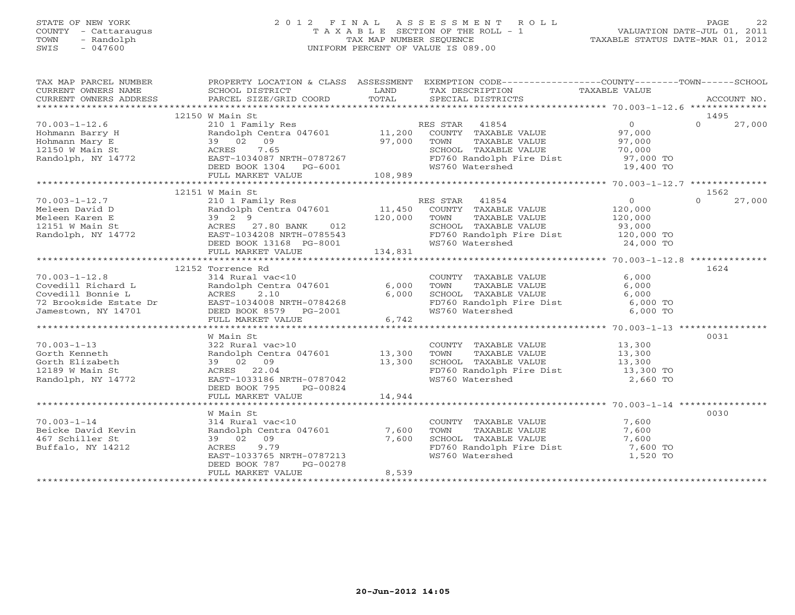## STATE OF NEW YORK 2 0 1 2 F I N A L A S S E S S M E N T R O L L PAGE 22 COUNTY - Cattaraugus T A X A B L E SECTION OF THE ROLL - 1 VALUATION DATE-JUL 01, 2011 TOWN - Randolph TAX MAP NUMBER SEQUENCE TAXABLE STATUS DATE-MAR 01, 2012 SWIS - 047600 UNIFORM PERCENT OF VALUE IS 089.00

| 12150 W Main St<br>1495<br>$0 \t 27,000$<br>FD760 Randolph Fire Dist 57,000 TO<br>WS760 Watershed 19,400 TO<br>1562<br>$\overline{0}$<br>$\Omega$<br>27,000<br>120,000<br>TAXABLE VALUE 120,000<br>93,000<br>FD760 Randolph Fire Dist 120,000 TO<br>WS760 Watershed 24,000 TO<br>1624<br>12152 Torrence Rd<br>COUNTY TAXABLE VALUE 6,000<br>TOWN TAXABLE VALUE 6,000<br>SCHOOL TAXABLE VALUE 6,000<br>FD760 Randolph Fire Dist 6,000 TO<br>WS760 Watershed 6,000 TO<br>W Main St<br>0031<br>70.003-1-13<br>Gorth Kenneth<br>Corthorn Collection<br>COUNTY TAXABLE VALUE 13,300<br>TOWN TAXABLE VALUE 13,300<br>SCHOOL TAXABLE VALUE 13,300<br>FD760 Randolph Fire Dist 13,300<br>13,300<br>322 Rural vac>10<br>Randolph Centra 047601 13,300<br>$39$ 02 09 13,300<br>ACRES 22.04 EAST-1033186 NRTH-0787042<br>12189 W Main St<br>WS760 Watershed<br>2,660 TO<br>Randolph, NY 14772<br>DEED BOOK 795 PG-00824<br>W Main St<br>0030<br>COUNTY TAXABLE VALUE<br>7,600<br>70.003-1-14<br>Beicke David Kevin<br>314 Rural vac<10<br>Randolph Centra 047601 7,600<br>TOWN TAXABLE VALUE 7,600<br>SCHOOL TAXABLE VALUE 7,600<br>FD760 Randolph Fire Dist 7,600 TO<br>39 02 09<br>7,600<br>467 Schiller St<br>9.79<br>Buffalo, NY 14212<br>ACRES<br>WS760 Watershed<br>1,520 TO<br>EAST-1033765 NRTH-0787213<br>DEED BOOK 787<br>PG-00278 | TAX MAP PARCEL NUMBER |                   |       | PROPERTY LOCATION & CLASS ASSESSMENT EXEMPTION CODE---------------COUNTY-------TOWN------SCHOOL |  |
|-----------------------------------------------------------------------------------------------------------------------------------------------------------------------------------------------------------------------------------------------------------------------------------------------------------------------------------------------------------------------------------------------------------------------------------------------------------------------------------------------------------------------------------------------------------------------------------------------------------------------------------------------------------------------------------------------------------------------------------------------------------------------------------------------------------------------------------------------------------------------------------------------------------------------------------------------------------------------------------------------------------------------------------------------------------------------------------------------------------------------------------------------------------------------------------------------------------------------------------------------------------------------------------------------------------------------------------|-----------------------|-------------------|-------|-------------------------------------------------------------------------------------------------|--|
|                                                                                                                                                                                                                                                                                                                                                                                                                                                                                                                                                                                                                                                                                                                                                                                                                                                                                                                                                                                                                                                                                                                                                                                                                                                                                                                                   |                       |                   |       |                                                                                                 |  |
|                                                                                                                                                                                                                                                                                                                                                                                                                                                                                                                                                                                                                                                                                                                                                                                                                                                                                                                                                                                                                                                                                                                                                                                                                                                                                                                                   |                       |                   |       |                                                                                                 |  |
|                                                                                                                                                                                                                                                                                                                                                                                                                                                                                                                                                                                                                                                                                                                                                                                                                                                                                                                                                                                                                                                                                                                                                                                                                                                                                                                                   |                       |                   |       |                                                                                                 |  |
|                                                                                                                                                                                                                                                                                                                                                                                                                                                                                                                                                                                                                                                                                                                                                                                                                                                                                                                                                                                                                                                                                                                                                                                                                                                                                                                                   |                       |                   |       |                                                                                                 |  |
|                                                                                                                                                                                                                                                                                                                                                                                                                                                                                                                                                                                                                                                                                                                                                                                                                                                                                                                                                                                                                                                                                                                                                                                                                                                                                                                                   |                       |                   |       |                                                                                                 |  |
|                                                                                                                                                                                                                                                                                                                                                                                                                                                                                                                                                                                                                                                                                                                                                                                                                                                                                                                                                                                                                                                                                                                                                                                                                                                                                                                                   |                       |                   |       |                                                                                                 |  |
|                                                                                                                                                                                                                                                                                                                                                                                                                                                                                                                                                                                                                                                                                                                                                                                                                                                                                                                                                                                                                                                                                                                                                                                                                                                                                                                                   |                       |                   |       |                                                                                                 |  |
|                                                                                                                                                                                                                                                                                                                                                                                                                                                                                                                                                                                                                                                                                                                                                                                                                                                                                                                                                                                                                                                                                                                                                                                                                                                                                                                                   |                       |                   |       |                                                                                                 |  |
|                                                                                                                                                                                                                                                                                                                                                                                                                                                                                                                                                                                                                                                                                                                                                                                                                                                                                                                                                                                                                                                                                                                                                                                                                                                                                                                                   |                       |                   |       |                                                                                                 |  |
|                                                                                                                                                                                                                                                                                                                                                                                                                                                                                                                                                                                                                                                                                                                                                                                                                                                                                                                                                                                                                                                                                                                                                                                                                                                                                                                                   |                       |                   |       |                                                                                                 |  |
|                                                                                                                                                                                                                                                                                                                                                                                                                                                                                                                                                                                                                                                                                                                                                                                                                                                                                                                                                                                                                                                                                                                                                                                                                                                                                                                                   |                       |                   |       |                                                                                                 |  |
|                                                                                                                                                                                                                                                                                                                                                                                                                                                                                                                                                                                                                                                                                                                                                                                                                                                                                                                                                                                                                                                                                                                                                                                                                                                                                                                                   |                       |                   |       |                                                                                                 |  |
|                                                                                                                                                                                                                                                                                                                                                                                                                                                                                                                                                                                                                                                                                                                                                                                                                                                                                                                                                                                                                                                                                                                                                                                                                                                                                                                                   |                       |                   |       |                                                                                                 |  |
|                                                                                                                                                                                                                                                                                                                                                                                                                                                                                                                                                                                                                                                                                                                                                                                                                                                                                                                                                                                                                                                                                                                                                                                                                                                                                                                                   |                       |                   |       |                                                                                                 |  |
|                                                                                                                                                                                                                                                                                                                                                                                                                                                                                                                                                                                                                                                                                                                                                                                                                                                                                                                                                                                                                                                                                                                                                                                                                                                                                                                                   |                       |                   |       |                                                                                                 |  |
|                                                                                                                                                                                                                                                                                                                                                                                                                                                                                                                                                                                                                                                                                                                                                                                                                                                                                                                                                                                                                                                                                                                                                                                                                                                                                                                                   |                       |                   |       |                                                                                                 |  |
|                                                                                                                                                                                                                                                                                                                                                                                                                                                                                                                                                                                                                                                                                                                                                                                                                                                                                                                                                                                                                                                                                                                                                                                                                                                                                                                                   |                       |                   |       |                                                                                                 |  |
|                                                                                                                                                                                                                                                                                                                                                                                                                                                                                                                                                                                                                                                                                                                                                                                                                                                                                                                                                                                                                                                                                                                                                                                                                                                                                                                                   |                       |                   |       |                                                                                                 |  |
|                                                                                                                                                                                                                                                                                                                                                                                                                                                                                                                                                                                                                                                                                                                                                                                                                                                                                                                                                                                                                                                                                                                                                                                                                                                                                                                                   |                       |                   |       |                                                                                                 |  |
|                                                                                                                                                                                                                                                                                                                                                                                                                                                                                                                                                                                                                                                                                                                                                                                                                                                                                                                                                                                                                                                                                                                                                                                                                                                                                                                                   |                       |                   |       |                                                                                                 |  |
|                                                                                                                                                                                                                                                                                                                                                                                                                                                                                                                                                                                                                                                                                                                                                                                                                                                                                                                                                                                                                                                                                                                                                                                                                                                                                                                                   |                       |                   |       |                                                                                                 |  |
|                                                                                                                                                                                                                                                                                                                                                                                                                                                                                                                                                                                                                                                                                                                                                                                                                                                                                                                                                                                                                                                                                                                                                                                                                                                                                                                                   |                       |                   |       |                                                                                                 |  |
|                                                                                                                                                                                                                                                                                                                                                                                                                                                                                                                                                                                                                                                                                                                                                                                                                                                                                                                                                                                                                                                                                                                                                                                                                                                                                                                                   |                       |                   |       |                                                                                                 |  |
|                                                                                                                                                                                                                                                                                                                                                                                                                                                                                                                                                                                                                                                                                                                                                                                                                                                                                                                                                                                                                                                                                                                                                                                                                                                                                                                                   |                       |                   |       |                                                                                                 |  |
|                                                                                                                                                                                                                                                                                                                                                                                                                                                                                                                                                                                                                                                                                                                                                                                                                                                                                                                                                                                                                                                                                                                                                                                                                                                                                                                                   |                       |                   |       |                                                                                                 |  |
|                                                                                                                                                                                                                                                                                                                                                                                                                                                                                                                                                                                                                                                                                                                                                                                                                                                                                                                                                                                                                                                                                                                                                                                                                                                                                                                                   |                       |                   |       |                                                                                                 |  |
|                                                                                                                                                                                                                                                                                                                                                                                                                                                                                                                                                                                                                                                                                                                                                                                                                                                                                                                                                                                                                                                                                                                                                                                                                                                                                                                                   |                       |                   |       |                                                                                                 |  |
|                                                                                                                                                                                                                                                                                                                                                                                                                                                                                                                                                                                                                                                                                                                                                                                                                                                                                                                                                                                                                                                                                                                                                                                                                                                                                                                                   |                       |                   |       |                                                                                                 |  |
|                                                                                                                                                                                                                                                                                                                                                                                                                                                                                                                                                                                                                                                                                                                                                                                                                                                                                                                                                                                                                                                                                                                                                                                                                                                                                                                                   |                       |                   |       |                                                                                                 |  |
|                                                                                                                                                                                                                                                                                                                                                                                                                                                                                                                                                                                                                                                                                                                                                                                                                                                                                                                                                                                                                                                                                                                                                                                                                                                                                                                                   |                       |                   |       |                                                                                                 |  |
|                                                                                                                                                                                                                                                                                                                                                                                                                                                                                                                                                                                                                                                                                                                                                                                                                                                                                                                                                                                                                                                                                                                                                                                                                                                                                                                                   |                       |                   |       |                                                                                                 |  |
|                                                                                                                                                                                                                                                                                                                                                                                                                                                                                                                                                                                                                                                                                                                                                                                                                                                                                                                                                                                                                                                                                                                                                                                                                                                                                                                                   |                       |                   |       |                                                                                                 |  |
|                                                                                                                                                                                                                                                                                                                                                                                                                                                                                                                                                                                                                                                                                                                                                                                                                                                                                                                                                                                                                                                                                                                                                                                                                                                                                                                                   |                       |                   |       |                                                                                                 |  |
|                                                                                                                                                                                                                                                                                                                                                                                                                                                                                                                                                                                                                                                                                                                                                                                                                                                                                                                                                                                                                                                                                                                                                                                                                                                                                                                                   |                       |                   |       |                                                                                                 |  |
|                                                                                                                                                                                                                                                                                                                                                                                                                                                                                                                                                                                                                                                                                                                                                                                                                                                                                                                                                                                                                                                                                                                                                                                                                                                                                                                                   |                       |                   |       |                                                                                                 |  |
|                                                                                                                                                                                                                                                                                                                                                                                                                                                                                                                                                                                                                                                                                                                                                                                                                                                                                                                                                                                                                                                                                                                                                                                                                                                                                                                                   |                       |                   |       |                                                                                                 |  |
|                                                                                                                                                                                                                                                                                                                                                                                                                                                                                                                                                                                                                                                                                                                                                                                                                                                                                                                                                                                                                                                                                                                                                                                                                                                                                                                                   |                       |                   |       |                                                                                                 |  |
|                                                                                                                                                                                                                                                                                                                                                                                                                                                                                                                                                                                                                                                                                                                                                                                                                                                                                                                                                                                                                                                                                                                                                                                                                                                                                                                                   |                       |                   |       |                                                                                                 |  |
|                                                                                                                                                                                                                                                                                                                                                                                                                                                                                                                                                                                                                                                                                                                                                                                                                                                                                                                                                                                                                                                                                                                                                                                                                                                                                                                                   |                       |                   |       |                                                                                                 |  |
|                                                                                                                                                                                                                                                                                                                                                                                                                                                                                                                                                                                                                                                                                                                                                                                                                                                                                                                                                                                                                                                                                                                                                                                                                                                                                                                                   |                       |                   |       |                                                                                                 |  |
|                                                                                                                                                                                                                                                                                                                                                                                                                                                                                                                                                                                                                                                                                                                                                                                                                                                                                                                                                                                                                                                                                                                                                                                                                                                                                                                                   |                       |                   |       |                                                                                                 |  |
|                                                                                                                                                                                                                                                                                                                                                                                                                                                                                                                                                                                                                                                                                                                                                                                                                                                                                                                                                                                                                                                                                                                                                                                                                                                                                                                                   |                       |                   |       |                                                                                                 |  |
| ********************************                                                                                                                                                                                                                                                                                                                                                                                                                                                                                                                                                                                                                                                                                                                                                                                                                                                                                                                                                                                                                                                                                                                                                                                                                                                                                                  |                       | FULL MARKET VALUE | 8,539 |                                                                                                 |  |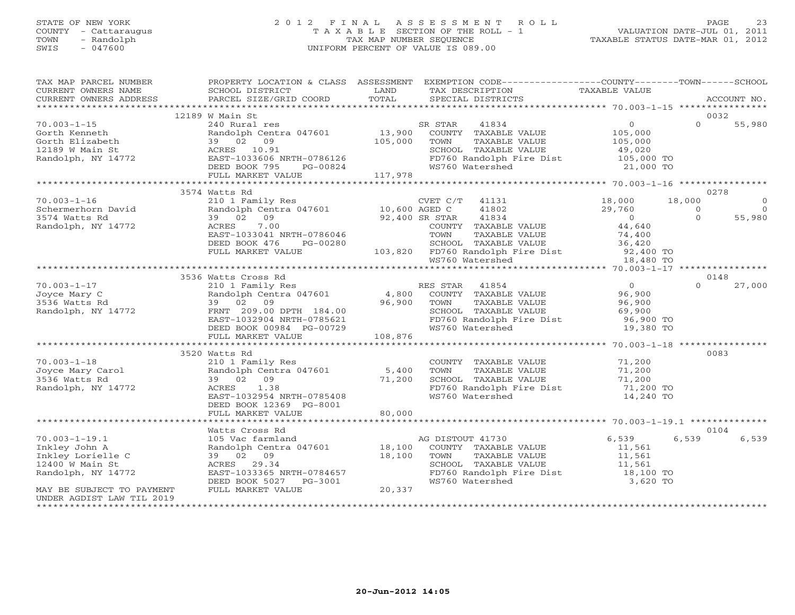# STATE OF NEW YORK 2 0 1 2 F I N A L A S S E S S M E N T R O L L PAGE 23 COUNTY - Cattaraugus T A X A B L E SECTION OF THE ROLL - 1 VALUATION DATE-JUL 01, 2011 TOWN - Randolph TAX MAP NUMBER SEQUENCE TAXABLE STATUS DATE-MAR 01, 2012 SWIS - 047600 UNIFORM PERCENT OF VALUE IS 089.00

| TAX MAP PARCEL NUMBER<br>CURRENT OWNERS NAME                              | PROPERTY LOCATION & CLASS ASSESSMENT<br>SCHOOL DISTRICT                                                                                   | <b>EXAMPLE SERVICE SERVICE SERVICE SERVICE SERVICE SERVICE SERVICE SERVICE SERVICE SERVICE SERVICE SERVICE SERVICE</b> | EXEMPTION CODE-----------------COUNTY-------TOWN------SCHOOL<br>TAX DESCRIPTION TAXABLE VALUE SPECIAL DISTRICTS                                                                                      |                                                 |          |             |
|---------------------------------------------------------------------------|-------------------------------------------------------------------------------------------------------------------------------------------|------------------------------------------------------------------------------------------------------------------------|------------------------------------------------------------------------------------------------------------------------------------------------------------------------------------------------------|-------------------------------------------------|----------|-------------|
| CURRENT OWNERS ADDRESS                                                    | PARCEL SIZE/GRID COORD                                                                                                                    | TOTAL                                                                                                                  |                                                                                                                                                                                                      |                                                 |          | ACCOUNT NO. |
|                                                                           | 12189 W Main St                                                                                                                           |                                                                                                                        |                                                                                                                                                                                                      |                                                 | 0032     |             |
| $70.003 - 1 - 15$                                                         | 240 Rural res                                                                                                                             |                                                                                                                        | SR STAR<br>41834                                                                                                                                                                                     | $\overline{0}$                                  | $\Omega$ | 55,980      |
| Gorth Kenneth                                                             |                                                                                                                                           |                                                                                                                        |                                                                                                                                                                                                      |                                                 |          |             |
| Gorth Kenneth<br>Gorth Elizabeth<br>12189 W Main St<br>Randolph, NY 14772 |                                                                                                                                           |                                                                                                                        | 240 Kurai res<br>Randolph Centra 047601 13,900 COUNTY TAXABLE VALUE<br>39 02 09 105,000 TOWN TAXABLE VALUE<br>ACRES 10.91 SCHOOL TAXABLE VALUE<br>EAST-1033606 NRTH-0786126 FOT60 Randolph Fire Dist | 105,000<br>105,000                              |          |             |
|                                                                           |                                                                                                                                           |                                                                                                                        | SCHOOL TAXABLE VALUE                  49,020<br>FD760 Randolph Fire Dist              105,000 TO                                                                                                     |                                                 |          |             |
|                                                                           |                                                                                                                                           |                                                                                                                        |                                                                                                                                                                                                      |                                                 |          |             |
|                                                                           | DEED BOOK 795<br>PG-00824                                                                                                                 |                                                                                                                        | WS760 Watershed                                                                                                                                                                                      | 21,000 TO                                       |          |             |
|                                                                           | FULL MARKET VALUE                                                                                                                         | 117,978                                                                                                                |                                                                                                                                                                                                      |                                                 |          |             |
|                                                                           |                                                                                                                                           |                                                                                                                        |                                                                                                                                                                                                      |                                                 |          |             |
|                                                                           | 3574 Watts Rd                                                                                                                             |                                                                                                                        |                                                                                                                                                                                                      |                                                 | 0278     |             |
| $70.003 - 1 - 16$                                                         | 210 1 Family Res                                                                                                                          |                                                                                                                        | CVET C/T 41131                                                                                                                                                                                       | 18,000                                          | 18,000   | $\Omega$    |
| Schermerhorn David                                                        | Randolph Centra 047601 10,600 AGED C                                                                                                      |                                                                                                                        | 41802                                                                                                                                                                                                | 29,760                                          | $\Omega$ | $\Omega$    |
| 3574 Watts Rd                                                             | 39 02 09<br>92,400 SR STAR<br>COUNTY T                                                                                                    |                                                                                                                        | 41834                                                                                                                                                                                                | $\overline{0}$                                  | $\Omega$ | 55,980      |
| Randolph, NY 14772                                                        | 7.00<br>ACRES                                                                                                                             |                                                                                                                        | COUNTY TAXABLE VALUE                                                                                                                                                                                 | 44,640                                          |          |             |
|                                                                           | EAST-1033041 NRTH-0786046                                                                                                                 |                                                                                                                        | TOWN<br>TAXABLE VALUE                                                                                                                                                                                | 74,400                                          |          |             |
|                                                                           | DEED BOOK 476<br>PG-00280                                                                                                                 |                                                                                                                        |                                                                                                                                                                                                      |                                                 |          |             |
|                                                                           | FULL MARKET VALUE                                                                                                                         |                                                                                                                        |                                                                                                                                                                                                      |                                                 |          |             |
|                                                                           |                                                                                                                                           |                                                                                                                        | 2007 - 103,820<br>2007 - TAXABLE VALUE (NALUE 103,820 FD760 Randolph Fire Dist<br>29,400 TO WS760 Watershed 18,480 TO                                                                                |                                                 |          |             |
|                                                                           |                                                                                                                                           |                                                                                                                        |                                                                                                                                                                                                      |                                                 |          |             |
|                                                                           | 3536 Watts Cross Rd                                                                                                                       |                                                                                                                        |                                                                                                                                                                                                      |                                                 | 0148     |             |
| $70.003 - 1 - 17$                                                         |                                                                                                                                           |                                                                                                                        |                                                                                                                                                                                                      | 0<br>96,900<br>96,900                           | $\Omega$ | 27,000      |
| Joyce Mary C                                                              |                                                                                                                                           |                                                                                                                        |                                                                                                                                                                                                      | 96,900                                          |          |             |
| 3536 Watts Rd                                                             |                                                                                                                                           |                                                                                                                        |                                                                                                                                                                                                      |                                                 |          |             |
| Randolph, NY 14772                                                        |                                                                                                                                           |                                                                                                                        |                                                                                                                                                                                                      |                                                 |          |             |
|                                                                           |                                                                                                                                           |                                                                                                                        |                                                                                                                                                                                                      |                                                 |          |             |
|                                                                           | 39 02 09 11 184.00 96,900<br>FRNT 209.00 DPTH 184.00 96,900<br>EAST-1032904 NRTH-0785621<br>DEED BOOK 00984 PG-00729<br>FULL MARKET VALUE |                                                                                                                        | WS760 Watershed                                                                                                                                                                                      | 19,380 TO                                       |          |             |
|                                                                           | FULL MARKET VALUE                                                                                                                         | 108,876                                                                                                                |                                                                                                                                                                                                      |                                                 |          |             |
|                                                                           |                                                                                                                                           |                                                                                                                        |                                                                                                                                                                                                      |                                                 |          |             |
|                                                                           | 3520 Watts Rd                                                                                                                             |                                                                                                                        |                                                                                                                                                                                                      |                                                 | 0083     |             |
| $70.003 - 1 - 18$                                                         | 210 1 Family Res                                                                                                                          |                                                                                                                        | COUNTY TAXABLE VALUE                                                                                                                                                                                 | 71,200                                          |          |             |
| Joyce Mary Carol<br>3536 Watts Rd                                         | 210 1 $ram11y$ Res<br>Randolph Centra 047601 5,400                                                                                        |                                                                                                                        | TAXABLE VALUE<br>TAXABLE VALUE 71,200<br>TAXABLE VALUE 71,200<br>TOWN                                                                                                                                |                                                 |          |             |
|                                                                           | 39 02 09                                                                                                                                  |                                                                                                                        | SCHOOL TAXABLE VALUE                                                                                                                                                                                 |                                                 |          |             |
| Randolph, NY 14772                                                        | $71,200$<br>RTH-0785408<br>ACRES 1.38                                                                                                     |                                                                                                                        | FD760 Randolph Fire Dist 71,200 TO                                                                                                                                                                   |                                                 |          |             |
|                                                                           | EAST-1032954 NRTH-0785408                                                                                                                 |                                                                                                                        | WS760 Watershed                                                                                                                                                                                      | 14,240 TO                                       |          |             |
|                                                                           | DEED BOOK 12369 PG-8001                                                                                                                   | 80,000                                                                                                                 |                                                                                                                                                                                                      |                                                 |          |             |
|                                                                           | FULL MARKET VALUE                                                                                                                         |                                                                                                                        |                                                                                                                                                                                                      |                                                 |          |             |
|                                                                           |                                                                                                                                           |                                                                                                                        |                                                                                                                                                                                                      |                                                 |          |             |
|                                                                           |                                                                                                                                           |                                                                                                                        |                                                                                                                                                                                                      |                                                 | 0104     |             |
| $70.003 - 1 - 19.1$                                                       |                                                                                                                                           |                                                                                                                        | AG DISTOUT 41730                                                                                                                                                                                     | 6,539                                           | 6,539    | 6,539       |
| Inkley John A                                                             |                                                                                                                                           |                                                                                                                        | COUNTY TAXABLE VALUE                                                                                                                                                                                 | 11,561                                          |          |             |
| Inkley Lorielle C<br>12400 W Main St                                      | 39 02 09<br>ACRES 29.34                                                                                                                   | 18,100                                                                                                                 | TAXABLE VALUE<br>TOWN<br>SCHOOL TAXABLE VALUE                                                                                                                                                        | 11,561<br>$11,561$<br>$18,100$ TO<br>$3,620$ TO |          |             |
|                                                                           | EAST-1033365 NRTH-0784657                                                                                                                 |                                                                                                                        | FD760 Randolph Fire Dist                                                                                                                                                                             |                                                 |          |             |
| Randolph, NY 14772                                                        | DEED BOOK 5027 PG-3001                                                                                                                    |                                                                                                                        | WS760 Watershed                                                                                                                                                                                      |                                                 |          |             |
| MAY BE SUBJECT TO PAYMENT                                                 | FULL MARKET VALUE                                                                                                                         | 20,337                                                                                                                 |                                                                                                                                                                                                      |                                                 |          |             |
| UNDER AGDIST LAW TIL 2019                                                 |                                                                                                                                           |                                                                                                                        |                                                                                                                                                                                                      |                                                 |          |             |
|                                                                           |                                                                                                                                           |                                                                                                                        |                                                                                                                                                                                                      |                                                 |          |             |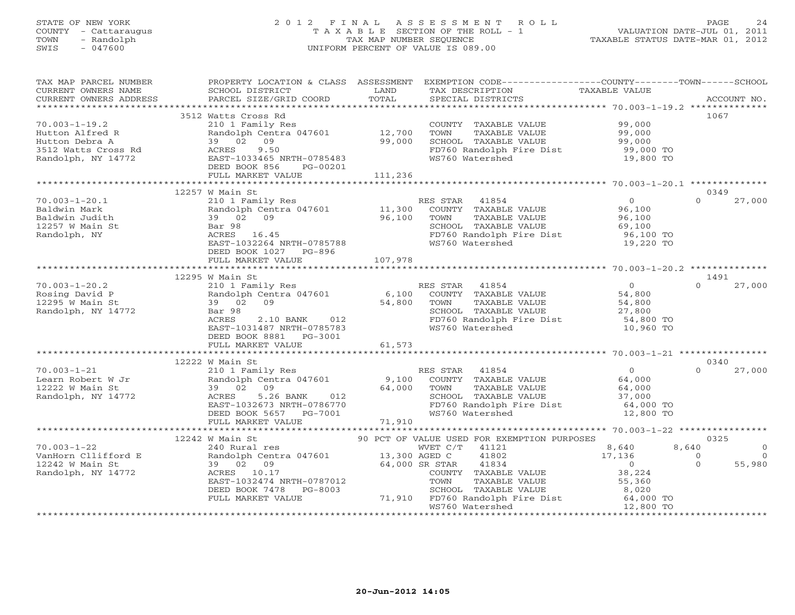#### STATE OF NEW YORK 2 0 1 2 F I N A L A S S E S S M E N T R O L L PAGE 24 COUNTY - Cattaraugus T A X A B L E SECTION OF THE ROLL - 1 VALUATION DATE-JUL 01, 2011 TOWN - Randolph TAX MAP NUMBER SEQUENCE TAXABLE STATUS DATE-MAR 01, 2012 SWIS - 047600 UNIFORM PERCENT OF VALUE IS 089.00UNIFORM PERCENT OF VALUE IS 089.00

| TAX MAP PARCEL NUMBER                                                                                                                                                                                                                                                                                                     |                                                                                                                                                                                                                                         |        |                      | PROPERTY LOCATION & CLASS ASSESSMENT EXEMPTION CODE----------------COUNTY-------TOWN------SCHOOL                                                                                                                                   |                                                    |
|---------------------------------------------------------------------------------------------------------------------------------------------------------------------------------------------------------------------------------------------------------------------------------------------------------------------------|-----------------------------------------------------------------------------------------------------------------------------------------------------------------------------------------------------------------------------------------|--------|----------------------|------------------------------------------------------------------------------------------------------------------------------------------------------------------------------------------------------------------------------------|----------------------------------------------------|
| CURRENT OWNERS NAME                                                                                                                                                                                                                                                                                                       | SCHOOL DISTRICT                                                                                                                                                                                                                         | LAND   |                      | TAX DESCRIPTION TAXABLE VALUE                                                                                                                                                                                                      |                                                    |
|                                                                                                                                                                                                                                                                                                                           |                                                                                                                                                                                                                                         |        |                      |                                                                                                                                                                                                                                    |                                                    |
|                                                                                                                                                                                                                                                                                                                           |                                                                                                                                                                                                                                         |        |                      |                                                                                                                                                                                                                                    | 1067                                               |
|                                                                                                                                                                                                                                                                                                                           |                                                                                                                                                                                                                                         |        |                      |                                                                                                                                                                                                                                    |                                                    |
|                                                                                                                                                                                                                                                                                                                           |                                                                                                                                                                                                                                         |        |                      |                                                                                                                                                                                                                                    |                                                    |
|                                                                                                                                                                                                                                                                                                                           |                                                                                                                                                                                                                                         |        |                      |                                                                                                                                                                                                                                    |                                                    |
|                                                                                                                                                                                                                                                                                                                           |                                                                                                                                                                                                                                         |        |                      |                                                                                                                                                                                                                                    |                                                    |
|                                                                                                                                                                                                                                                                                                                           |                                                                                                                                                                                                                                         |        |                      |                                                                                                                                                                                                                                    |                                                    |
|                                                                                                                                                                                                                                                                                                                           |                                                                                                                                                                                                                                         |        |                      |                                                                                                                                                                                                                                    |                                                    |
|                                                                                                                                                                                                                                                                                                                           |                                                                                                                                                                                                                                         |        |                      |                                                                                                                                                                                                                                    |                                                    |
|                                                                                                                                                                                                                                                                                                                           |                                                                                                                                                                                                                                         |        |                      |                                                                                                                                                                                                                                    |                                                    |
|                                                                                                                                                                                                                                                                                                                           | 12257 W Main St                                                                                                                                                                                                                         |        |                      |                                                                                                                                                                                                                                    | 0349                                               |
| $70.003 - 1 - 20.1$                                                                                                                                                                                                                                                                                                       | 210 1 Family Res<br>Randolph Centra 047601 11,300 COUNTY TAXABLE VALUE 96,100<br>39 02 09 96,100 TOWN TAXABLE VALUE 96,100<br>Bar 98 5CHOOL TAXABLE VALUE 96,100<br>ACRES 16.45 FD760 Randolph Fire Dist. 96,100<br>FROM PROPER 1033264 |        |                      |                                                                                                                                                                                                                                    | $\Omega$<br>27,000                                 |
| Baldwin Mark                                                                                                                                                                                                                                                                                                              |                                                                                                                                                                                                                                         |        |                      |                                                                                                                                                                                                                                    |                                                    |
|                                                                                                                                                                                                                                                                                                                           |                                                                                                                                                                                                                                         |        |                      |                                                                                                                                                                                                                                    |                                                    |
| Baldwin Mark<br>Baldwin Judith<br>12257 W Main St<br>Randolph, NY                                                                                                                                                                                                                                                         |                                                                                                                                                                                                                                         |        |                      |                                                                                                                                                                                                                                    |                                                    |
|                                                                                                                                                                                                                                                                                                                           |                                                                                                                                                                                                                                         |        |                      | FD760 Randolph Fire Dist 96,100 TO<br>WS760 Watershed 19,220 TO                                                                                                                                                                    |                                                    |
|                                                                                                                                                                                                                                                                                                                           | EAST-1032264 NRTH-0785788                                                                                                                                                                                                               |        |                      |                                                                                                                                                                                                                                    |                                                    |
|                                                                                                                                                                                                                                                                                                                           | DEED BOOK 1027 PG-896                                                                                                                                                                                                                   |        |                      |                                                                                                                                                                                                                                    |                                                    |
|                                                                                                                                                                                                                                                                                                                           |                                                                                                                                                                                                                                         |        |                      |                                                                                                                                                                                                                                    |                                                    |
|                                                                                                                                                                                                                                                                                                                           |                                                                                                                                                                                                                                         |        |                      |                                                                                                                                                                                                                                    |                                                    |
|                                                                                                                                                                                                                                                                                                                           | 12295 W Main St                                                                                                                                                                                                                         |        |                      |                                                                                                                                                                                                                                    | 1491                                               |
|                                                                                                                                                                                                                                                                                                                           |                                                                                                                                                                                                                                         |        |                      |                                                                                                                                                                                                                                    | $\Omega$<br>27,000                                 |
|                                                                                                                                                                                                                                                                                                                           |                                                                                                                                                                                                                                         |        |                      |                                                                                                                                                                                                                                    |                                                    |
|                                                                                                                                                                                                                                                                                                                           |                                                                                                                                                                                                                                         |        |                      |                                                                                                                                                                                                                                    |                                                    |
|                                                                                                                                                                                                                                                                                                                           |                                                                                                                                                                                                                                         |        |                      |                                                                                                                                                                                                                                    |                                                    |
|                                                                                                                                                                                                                                                                                                                           |                                                                                                                                                                                                                                         |        |                      |                                                                                                                                                                                                                                    |                                                    |
| $Rosing David P\nRosing David P\n12295 W Main St\nRandolph, NY 14772\n14772\nRendolph, NY 14772\nRendolph, NY 14772\nRendolph, NY 14772\nRendolph, NY 14772\nRendolph, NY 14772\nRendolph, NY 14772\nRendolph, NY 14772\nRendolph, NY 14772\nRendolph, NY 14772\nRendolph, NY 14772\nRendolph, NY 14772\nRendolph, NY 14$ | DEED BOOK 8881    PG-3001                                                                                                                                                                                                               |        |                      |                                                                                                                                                                                                                                    |                                                    |
|                                                                                                                                                                                                                                                                                                                           | FULL MARKET VALUE                                                                                                                                                                                                                       | 61,573 |                      |                                                                                                                                                                                                                                    |                                                    |
|                                                                                                                                                                                                                                                                                                                           |                                                                                                                                                                                                                                         |        |                      |                                                                                                                                                                                                                                    |                                                    |
|                                                                                                                                                                                                                                                                                                                           | 12222 W Main St                                                                                                                                                                                                                         |        |                      |                                                                                                                                                                                                                                    | 0340                                               |
|                                                                                                                                                                                                                                                                                                                           |                                                                                                                                                                                                                                         |        |                      |                                                                                                                                                                                                                                    |                                                    |
|                                                                                                                                                                                                                                                                                                                           |                                                                                                                                                                                                                                         |        |                      |                                                                                                                                                                                                                                    |                                                    |
|                                                                                                                                                                                                                                                                                                                           |                                                                                                                                                                                                                                         |        |                      |                                                                                                                                                                                                                                    |                                                    |
|                                                                                                                                                                                                                                                                                                                           |                                                                                                                                                                                                                                         |        |                      |                                                                                                                                                                                                                                    |                                                    |
|                                                                                                                                                                                                                                                                                                                           |                                                                                                                                                                                                                                         |        |                      |                                                                                                                                                                                                                                    |                                                    |
|                                                                                                                                                                                                                                                                                                                           |                                                                                                                                                                                                                                         |        |                      |                                                                                                                                                                                                                                    |                                                    |
|                                                                                                                                                                                                                                                                                                                           |                                                                                                                                                                                                                                         |        |                      |                                                                                                                                                                                                                                    |                                                    |
|                                                                                                                                                                                                                                                                                                                           |                                                                                                                                                                                                                                         |        |                      |                                                                                                                                                                                                                                    |                                                    |
|                                                                                                                                                                                                                                                                                                                           | 12242 W Main St                                                                                                                                                                                                                         |        |                      | 90 PCT OF VALUE USED FOR EXEMPTION PURPOSES                                                                                                                                                                                        | 0325                                               |
|                                                                                                                                                                                                                                                                                                                           |                                                                                                                                                                                                                                         |        |                      |                                                                                                                                                                                                                                    | 8,640<br>$\overline{0}$                            |
|                                                                                                                                                                                                                                                                                                                           |                                                                                                                                                                                                                                         |        |                      |                                                                                                                                                                                                                                    | $\begin{matrix}0\\0\end{matrix}$<br>$\overline{0}$ |
| 10.003-1-22<br>VanHorn Cllifford E (240 Rural res (240 Rural res (241 And 2017)<br>2242 W Main St 39 02 09 (34,000 SR STAR 41834<br>2242 W Main St 39 02 09 (34,000 SR STAR 41834<br>2242 W Main St 39 02 09 (24,000 SR STAR 41834<br>22                                                                                  |                                                                                                                                                                                                                                         |        |                      | $8,640$<br>17,136<br>0<br>38,224                                                                                                                                                                                                   | 55,980                                             |
|                                                                                                                                                                                                                                                                                                                           |                                                                                                                                                                                                                                         |        | COUNTY TAXABLE VALUE |                                                                                                                                                                                                                                    |                                                    |
|                                                                                                                                                                                                                                                                                                                           |                                                                                                                                                                                                                                         |        |                      |                                                                                                                                                                                                                                    |                                                    |
|                                                                                                                                                                                                                                                                                                                           |                                                                                                                                                                                                                                         |        |                      |                                                                                                                                                                                                                                    |                                                    |
|                                                                                                                                                                                                                                                                                                                           |                                                                                                                                                                                                                                         |        |                      | ACRES 10.17<br>EAST-1032474 NRTH-0787012 TOWN TAXABLE VALUE 55,360<br>DEED BOOK 7478 PG-8003 71,910 FD760 Randolph Fire Dist 64,000 TO<br>FULL MARKET VALUE 71,910 FD760 Randolph Fire Dist 64,000 TO<br>WS760 Watershed 12,800 TO |                                                    |
|                                                                                                                                                                                                                                                                                                                           |                                                                                                                                                                                                                                         |        |                      |                                                                                                                                                                                                                                    |                                                    |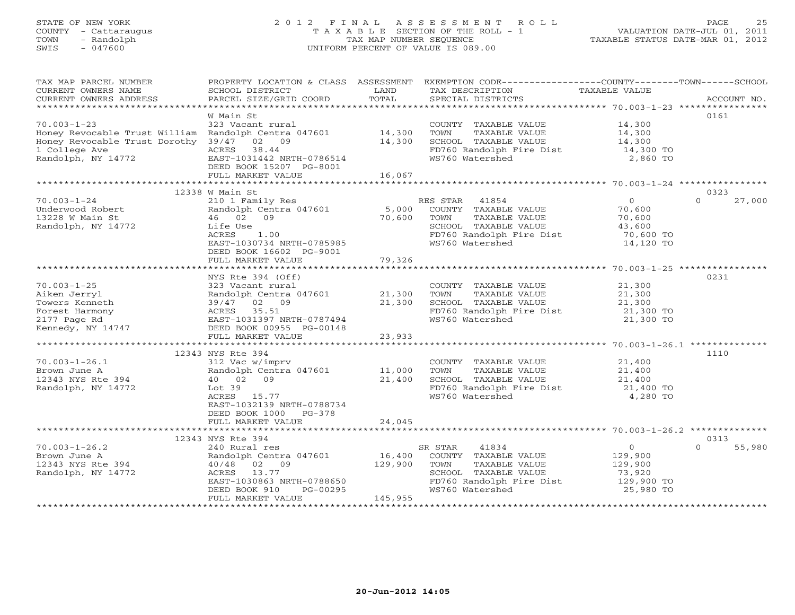# STATE OF NEW YORK 2 0 1 2 F I N A L A S S E S S M E N T R O L L PAGE 25 COUNTY - Cattaraugus T A X A B L E SECTION OF THE ROLL - 1 VALUATION DATE-JUL 01, 2011 TOWN - Randolph TAX MAP NUMBER SEQUENCE TAXABLE STATUS DATE-MAR 01, 2012 SWIS - 047600 UNIFORM PERCENT OF VALUE IS 089.00

| TAX MAP PARCEL NUMBER                                       | PROPERTY LOCATION & CLASS ASSESSMENT |         | EXEMPTION CODE-----------------COUNTY-------TOWN------SCHOOL |                        |                    |
|-------------------------------------------------------------|--------------------------------------|---------|--------------------------------------------------------------|------------------------|--------------------|
| CURRENT OWNERS NAME                                         | SCHOOL DISTRICT                      | LAND    | TAX DESCRIPTION                                              | TAXABLE VALUE          |                    |
| CURRENT OWNERS ADDRESS                                      | PARCEL SIZE/GRID COORD               | TOTAL   | SPECIAL DISTRICTS                                            |                        | ACCOUNT NO.        |
|                                                             |                                      |         |                                                              |                        |                    |
|                                                             | W Main St                            |         |                                                              |                        | 0161               |
| $70.003 - 1 - 23$                                           | 323 Vacant rural                     |         | COUNTY TAXABLE VALUE                                         | 14,300                 |                    |
| Honey Revocable Trust William Randolph Centra 047601 14,300 |                                      |         | TOWN<br>TAXABLE VALUE                                        | 14,300                 |                    |
| Honey Revocable Trust Dorothy 39/47 02 09                   |                                      | 14,300  | SCHOOL TAXABLE VALUE                                         | 14,300                 |                    |
| 1 College Ave                                               | 38.44<br>ACRES                       |         | FD760 Randolph Fire Dist 14,300 TO                           |                        |                    |
| i College Ave<br>Randolph, NY 14772                         | EAST-1031442 NRTH-0786514            |         | WS760 Watershed                                              | 2,860 TO               |                    |
|                                                             | DEED BOOK 15207 PG-8001              |         |                                                              |                        |                    |
|                                                             | FULL MARKET VALUE                    | 16,067  |                                                              |                        |                    |
|                                                             |                                      |         |                                                              |                        |                    |
|                                                             | 12338 W Main St                      |         |                                                              |                        | 0323               |
| $70.003 - 1 - 24$                                           | 210 1 Family Res                     |         | RES STAR 41854                                               | $\overline{O}$         | $\Omega$<br>27,000 |
| Underwood Robert                                            | Randolph Centra 047601               | 5,000   | COUNTY TAXABLE VALUE                                         | 70,600                 |                    |
| 13228 W Main St                                             | 46 02 09                             | 70,600  | TOWN<br>TAXABLE VALUE                                        | 70,600                 |                    |
| Randolph, NY 14772                                          | Life Use                             |         | SCHOOL TAXABLE VALUE                                         | 43,600                 |                    |
|                                                             | ACRES<br>1.00                        |         | FD760 Randolph Fire Dist                                     |                        |                    |
|                                                             | EAST-1030734 NRTH-0785985            |         | WS760 Watershed                                              | 70,600 TO<br>14,120 TO |                    |
|                                                             | DEED BOOK 16602 PG-9001              |         |                                                              |                        |                    |
|                                                             |                                      |         |                                                              |                        |                    |
|                                                             | FULL MARKET VALUE                    | 79,326  |                                                              |                        |                    |
|                                                             |                                      |         |                                                              |                        |                    |
|                                                             | NYS Rte 394 (Off)                    |         |                                                              |                        | 0231               |
| $70.003 - 1 - 25$                                           | 323 Vacant rural                     |         | COUNTY TAXABLE VALUE                                         | 21,300                 |                    |
| Aiken Jerryl                                                | Randolph Centra 047601               | 21,300  | TAXABLE VALUE<br>TOWN                                        | 21,300                 |                    |
|                                                             |                                      | 21,300  | SCHOOL TAXABLE VALUE<br>FD760 Randolph Fire Dist 21,300 TO   | 21,300                 |                    |
|                                                             |                                      |         |                                                              |                        |                    |
|                                                             | EAST-1031397 NRTH-0787494            |         | WS760 Watershed                                              | 21,300 TO              |                    |
|                                                             |                                      |         |                                                              |                        |                    |
|                                                             | FULL MARKET VALUE                    | 23,933  |                                                              |                        |                    |
|                                                             |                                      |         |                                                              |                        |                    |
|                                                             | 12343 NYS Rte 394                    |         |                                                              |                        | 1110               |
| $70.003 - 1 - 26.1$                                         | 312 Vac w/imprv                      |         | COUNTY TAXABLE VALUE                                         | 21,400<br>21,400       |                    |
| Brown June A                                                | Randolph Centra 047601               | 11,000  | TOWN<br>TAXABLE VALUE                                        |                        |                    |
| 12343 NYS Rte 394                                           | 40 02 09                             | 21,400  | SCHOOL TAXABLE VALUE                                         | 21,400<br>21,400 TO    |                    |
| Randolph, NY 14772                                          | Lot 39                               |         | FD760 Randolph Fire Dist                                     |                        |                    |
|                                                             | ACRES 15.77                          |         | WS760 Watershed                                              | 4,280 TO               |                    |
|                                                             | EAST-1032139 NRTH-0788734            |         |                                                              |                        |                    |
|                                                             | DEED BOOK 1000 PG-378                |         |                                                              |                        |                    |
|                                                             | FULL MARKET VALUE                    | 24,045  |                                                              |                        |                    |
|                                                             |                                      |         |                                                              |                        |                    |
|                                                             | 12343 NYS Rte 394                    |         |                                                              |                        | 0313               |
| $70.003 - 1 - 26.2$                                         | 240 Rural res                        |         | SR STAR<br>41834                                             | $\overline{0}$         | $\Omega$<br>55,980 |
| Brown June A                                                | Randolph Centra 047601               | 16,400  | COUNTY TAXABLE VALUE                                         | 129,900                |                    |
| 12343 NYS Rte 394                                           | 40/48 02 09                          | 129,900 | TOWN<br>TAXABLE VALUE                                        | 129,900                |                    |
| Randolph, NY 14772                                          | ACRES 13.77                          |         | SCHOOL TAXABLE VALUE                                         | 73,920                 |                    |
|                                                             | EAST-1030863 NRTH-0788650            |         | FD760 Randolph Fire Dist 129,900 TO                          |                        |                    |
|                                                             | DEED BOOK 910<br>PG-00295            |         | WS760 Watershed                                              | 25,980 TO              |                    |
|                                                             | FULL MARKET VALUE                    | 145,955 |                                                              |                        |                    |
|                                                             |                                      |         |                                                              |                        |                    |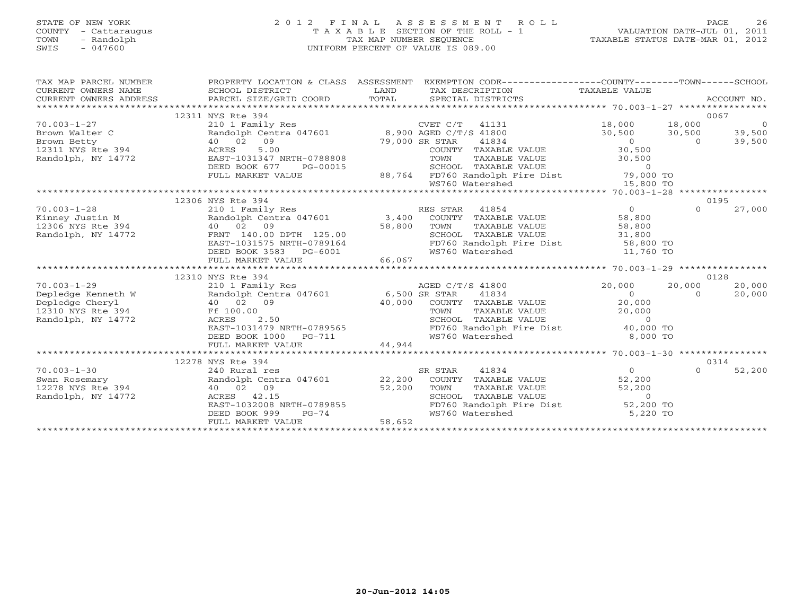# STATE OF NEW YORK 2 0 1 2 F I N A L A S S E S S M E N T R O L L PAGE 26 COUNTY - Cattaraugus T A X A B L E SECTION OF THE ROLL - 1 VALUATION DATE-JUL 01, 2011 TOWN - Randolph TAX MAP NUMBER SEQUENCE TAXABLE STATUS DATE-MAR 01, 2012 SWIS - 047600 UNIFORM PERCENT OF VALUE IS 089.00

| TAX MAP PARCEL NUMBER<br>$\begin{tabular}{lllllll} \multicolumn{2}{l}{{\small\texttt{CURERNT}}}& $\texttt{NMSE}$& $\texttt{SCHOOL} & $\texttt{DISTRICT}$& $\texttt{LAND}$& $\texttt{TAX} & $\texttt{PEXCRIPTION}$& $\texttt{TAXABLE} & $\texttt{VALUE}$\\ & $\texttt{CURERNT} & $\texttt{WMRES} & $\texttt{ADDRESSE}$& $\texttt{PARCEL} & $\texttt{SIZE/GRID} & $\texttt{COORD}$& $\texttt{SPECIAL} & $\texttt{DISTRICTS}$& $\texttt{ACCOUNT} & $\texttt{NO}$.\\ & $\texttt{***************$<br>CURRENT OWNERS NAME SCHOOL DISTRICT<br>CURRENT OWNERS ADDRESS PARCEL SIZE/GRID COORD | PROPERTY LOCATION & CLASS ASSESSMENT                                           |                  | EXEMPTION CODE----------------COUNTY-------TOWN------SCHOOL                                                                                                                                                                                |                                                               |                |        |
|--------------------------------------------------------------------------------------------------------------------------------------------------------------------------------------------------------------------------------------------------------------------------------------------------------------------------------------------------------------------------------------------------------------------------------------------------------------------------------------------------------------------------------------------------------------------------------------|--------------------------------------------------------------------------------|------------------|--------------------------------------------------------------------------------------------------------------------------------------------------------------------------------------------------------------------------------------------|---------------------------------------------------------------|----------------|--------|
|                                                                                                                                                                                                                                                                                                                                                                                                                                                                                                                                                                                      | 12311 NYS Rte 394                                                              |                  |                                                                                                                                                                                                                                            |                                                               | 0067           |        |
| $70.003 - 1 - 27$<br>70.003-1-27<br>Brown Walter C<br>Brown Betty<br>12311 NYS Rte 394                                                                                                                                                                                                                                                                                                                                                                                                                                                                                               | 210 1 Family Res<br>Randolph Centra 047601 8,900 AGED C/T/S 41800              |                  |                                                                                                                                                                                                                                            | $18,000$ $18,000$ 0<br>$30,500$ $30,500$ 39,500<br>0 0 39,500 |                |        |
|                                                                                                                                                                                                                                                                                                                                                                                                                                                                                                                                                                                      |                                                                                |                  |                                                                                                                                                                                                                                            |                                                               |                |        |
|                                                                                                                                                                                                                                                                                                                                                                                                                                                                                                                                                                                      | 40 02 09                                                                       | $79,000$ SR STAR | 41834                                                                                                                                                                                                                                      |                                                               |                |        |
|                                                                                                                                                                                                                                                                                                                                                                                                                                                                                                                                                                                      | 5.00<br>ACRES                                                                  |                  | COUNTY TAXABLE VALUE 30,500                                                                                                                                                                                                                |                                                               |                |        |
| Randolph, NY 14772                                                                                                                                                                                                                                                                                                                                                                                                                                                                                                                                                                   |                                                                                |                  |                                                                                                                                                                                                                                            |                                                               |                |        |
| 311 NYS RCE 394<br>indolph, NY 14772 EAST-1031347 NRTH-0788808 FOWN TAXABLE VALUE<br>DEED BOOK 677 PG-00015 88,764 FD760 Randolph Fire Dist 79,000 TO<br>FULL MARKET VALUE 88,764 FD760 Randolph Fire Dist 15,800 TO<br>**************                                                                                                                                                                                                                                                                                                                                               |                                                                                |                  |                                                                                                                                                                                                                                            |                                                               |                |        |
|                                                                                                                                                                                                                                                                                                                                                                                                                                                                                                                                                                                      |                                                                                |                  |                                                                                                                                                                                                                                            |                                                               |                |        |
|                                                                                                                                                                                                                                                                                                                                                                                                                                                                                                                                                                                      |                                                                                |                  |                                                                                                                                                                                                                                            |                                                               |                |        |
|                                                                                                                                                                                                                                                                                                                                                                                                                                                                                                                                                                                      | 12306 NYS Rte 394                                                              |                  |                                                                                                                                                                                                                                            |                                                               | 0195           |        |
|                                                                                                                                                                                                                                                                                                                                                                                                                                                                                                                                                                                      |                                                                                |                  | 210 1 Family Res<br>Randolph Centra 047601 3,400 COUNTY TAXABLE VALUE 58,800<br>40 02 09 58,800 TOWN TAXABLE VALUE 58,800<br>FRICT TAXABLE VALUE 58,800<br>FRICT TAXABLE VALUE 58,800<br>FRICT TAXABLE VALUE 31,800<br>2001 1231575 NPTH 0 |                                                               | $\Omega$       | 27,000 |
|                                                                                                                                                                                                                                                                                                                                                                                                                                                                                                                                                                                      |                                                                                |                  |                                                                                                                                                                                                                                            |                                                               |                |        |
|                                                                                                                                                                                                                                                                                                                                                                                                                                                                                                                                                                                      |                                                                                |                  |                                                                                                                                                                                                                                            |                                                               |                |        |
| 70.003-1-28<br>Kinney Justin M<br>12306 NYS Rte 394<br>Randolph, NY 14772                                                                                                                                                                                                                                                                                                                                                                                                                                                                                                            |                                                                                |                  |                                                                                                                                                                                                                                            |                                                               |                |        |
|                                                                                                                                                                                                                                                                                                                                                                                                                                                                                                                                                                                      |                                                                                |                  |                                                                                                                                                                                                                                            |                                                               |                |        |
|                                                                                                                                                                                                                                                                                                                                                                                                                                                                                                                                                                                      |                                                                                |                  |                                                                                                                                                                                                                                            |                                                               |                |        |
|                                                                                                                                                                                                                                                                                                                                                                                                                                                                                                                                                                                      |                                                                                |                  |                                                                                                                                                                                                                                            |                                                               |                |        |
|                                                                                                                                                                                                                                                                                                                                                                                                                                                                                                                                                                                      |                                                                                |                  |                                                                                                                                                                                                                                            |                                                               |                |        |
|                                                                                                                                                                                                                                                                                                                                                                                                                                                                                                                                                                                      | 12310 NYS Rte 394                                                              |                  |                                                                                                                                                                                                                                            |                                                               | 0128<br>20,000 | 20,000 |
| $70.003 - 1 - 29$                                                                                                                                                                                                                                                                                                                                                                                                                                                                                                                                                                    |                                                                                |                  |                                                                                                                                                                                                                                            |                                                               | $\overline{0}$ | 20,000 |
|                                                                                                                                                                                                                                                                                                                                                                                                                                                                                                                                                                                      | 40 02 09                                                                       |                  |                                                                                                                                                                                                                                            | $\begin{array}{c} 0 \\ 20,000 \end{array}$                    |                |        |
| Depledge Kenneth W Randolph (<br>Depledge Cheryl (1994)<br>12310 NYS Rte 394 (1996)<br>Ff 100.00                                                                                                                                                                                                                                                                                                                                                                                                                                                                                     |                                                                                |                  | 40,000 COUNTY TAXABLE VALUE<br>TOWN TAXABLE VALUE<br>SCHOOL TAXABLE VALUE<br>TOWN TAXABLE VALUE 20,000<br>SCHOOL TAXABLE VALUE 20,000                                                                                                      |                                                               |                |        |
| Randolph, NY 14772                                                                                                                                                                                                                                                                                                                                                                                                                                                                                                                                                                   | ACRES<br>2.50                                                                  |                  |                                                                                                                                                                                                                                            |                                                               |                |        |
|                                                                                                                                                                                                                                                                                                                                                                                                                                                                                                                                                                                      |                                                                                |                  | FD760 Randolph Fire Dist 40,000 TO                                                                                                                                                                                                         |                                                               |                |        |
|                                                                                                                                                                                                                                                                                                                                                                                                                                                                                                                                                                                      |                                                                                |                  | WS760 Watershed                                                                                                                                                                                                                            | 8,000 TO                                                      |                |        |
|                                                                                                                                                                                                                                                                                                                                                                                                                                                                                                                                                                                      | EAST-1031479 NRTH-0789565<br>DEED BOOK 1000 PG-711<br>FULL MARKET VALUE 44,944 |                  |                                                                                                                                                                                                                                            |                                                               |                |        |
|                                                                                                                                                                                                                                                                                                                                                                                                                                                                                                                                                                                      |                                                                                |                  |                                                                                                                                                                                                                                            |                                                               |                |        |
|                                                                                                                                                                                                                                                                                                                                                                                                                                                                                                                                                                                      | 12278 NYS Rte 394                                                              |                  |                                                                                                                                                                                                                                            |                                                               |                | 0314   |
|                                                                                                                                                                                                                                                                                                                                                                                                                                                                                                                                                                                      |                                                                                |                  |                                                                                                                                                                                                                                            |                                                               | $\Omega$       | 52,200 |
| 10.003-1-30<br>Swan Rosemary<br>2278 NYS Rte 394<br>Randolph Centra 047601<br>22,200 COUNTY TAXABLE VALUE<br>22,200 COUNTY TAXABLE VALUE<br>52,200<br>52,200 SCHOOL TAXABLE VALUE<br>22,200 TOWN TAXABLE VALUE<br>52,200 SCHOOL TAXABLE VALUE<br>2                                                                                                                                                                                                                                                                                                                                   |                                                                                |                  |                                                                                                                                                                                                                                            |                                                               |                |        |
|                                                                                                                                                                                                                                                                                                                                                                                                                                                                                                                                                                                      |                                                                                |                  |                                                                                                                                                                                                                                            |                                                               |                |        |
|                                                                                                                                                                                                                                                                                                                                                                                                                                                                                                                                                                                      |                                                                                |                  |                                                                                                                                                                                                                                            |                                                               |                |        |
|                                                                                                                                                                                                                                                                                                                                                                                                                                                                                                                                                                                      | DEED BOOK 999<br>PG-74                                                         |                  | WS760 Watershed                                                                                                                                                                                                                            | 5,220 TO                                                      |                |        |
|                                                                                                                                                                                                                                                                                                                                                                                                                                                                                                                                                                                      | FULL MARKET VALUE                                                              | 58,652           |                                                                                                                                                                                                                                            |                                                               |                |        |
|                                                                                                                                                                                                                                                                                                                                                                                                                                                                                                                                                                                      |                                                                                |                  |                                                                                                                                                                                                                                            |                                                               |                |        |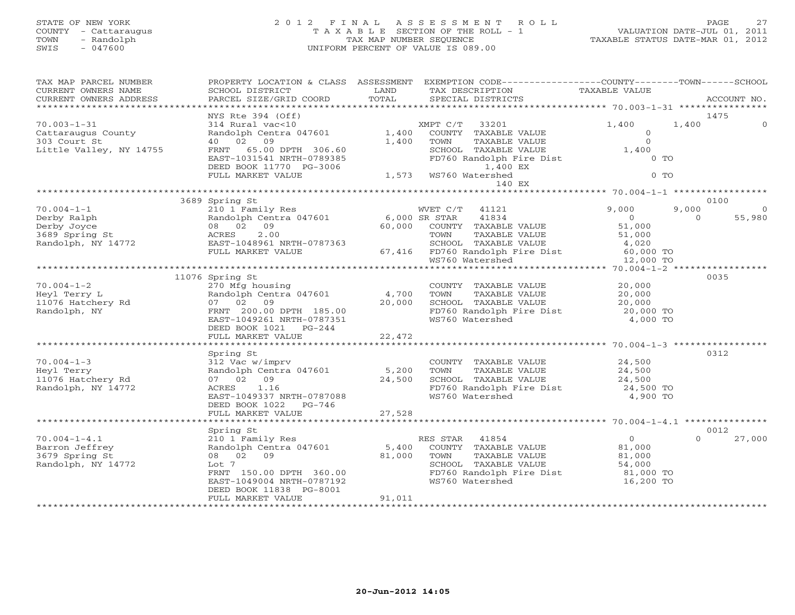# STATE OF NEW YORK 2 0 1 2 F I N A L A S S E S S M E N T R O L L PAGE 27 COUNTY - Cattaraugus T A X A B L E SECTION OF THE ROLL - 1 VALUATION DATE-JUL 01, 2011 TOWN - Randolph TAX MAP NUMBER SEQUENCE TAXABLE STATUS DATE-MAR 01, 2012 SWIS - 047600 UNIFORM PERCENT OF VALUE IS 089.00

| TAX MAP PARCEL NUMBER<br>CURRENT OWNERS NAME                                                                    | PROPERTY LOCATION & CLASS ASSESSMENT<br>SCHOOL DISTRICT                               | LAND        | EXEMPTION CODE-----------------COUNTY-------TOWN------SCHOOL<br>TAX DESCRIPTION                                        | TAXABLE VALUE       |                    |
|-----------------------------------------------------------------------------------------------------------------|---------------------------------------------------------------------------------------|-------------|------------------------------------------------------------------------------------------------------------------------|---------------------|--------------------|
| CURRENT OWNERS ADDRESS<br>******************************                                                        | PARCEL SIZE/GRID COORD                                                                | TOTAL       | SPECIAL DISTRICTS                                                                                                      |                     | ACCOUNT NO.        |
|                                                                                                                 | NYS Rte 394 (Off)                                                                     |             |                                                                                                                        |                     | 1475               |
| $70.003 - 1 - 31$                                                                                               | 314 Rural vac<10                                                                      |             | XMPT C/T 33201                                                                                                         | 1,400<br>1,400      |                    |
| Cattaraugus County                                                                                              | Randolph Centra 047601                                                                | 1,400       | COUNTY TAXABLE VALUE                                                                                                   | $\overline{O}$      |                    |
| 303 Court St                                                                                                    | 40 02 09                                                                              | 1,400       | TAXABLE VALUE<br>TOWN                                                                                                  | $\Omega$            |                    |
| Little Valley, NY 14755                                                                                         | FRNT 65.00 DPTH 306.60                                                                |             | SCHOOL TAXABLE VALUE                                                                                                   | 1,400               |                    |
|                                                                                                                 | EAST-1031541 NRTH-0789385                                                             |             | FD760 Randolph Fire Dist                                                                                               | $0$ TO              |                    |
|                                                                                                                 | DEED BOOK 11770 PG-3006<br>FULL MARKET VALUE                                          |             | 1,400 EX<br>1,400 1,400<br>1,573 WS760 Watershed 1,573                                                                 | $0$ TO              |                    |
|                                                                                                                 |                                                                                       |             |                                                                                                                        |                     |                    |
|                                                                                                                 |                                                                                       |             |                                                                                                                        |                     |                    |
|                                                                                                                 | 3689 Spring St                                                                        |             |                                                                                                                        |                     | 0100               |
| $70.004 - 1 - 1$                                                                                                |                                                                                       |             | WVET C/T 41121                                                                                                         | 9,000               | 9,000<br>- 0       |
| Polog-1-1<br>Derby Ralph<br>Derby Joyce Bandolph<br>3689 Spring St<br>Randolph, NY 14772 EAST-1048<br>FULL MARE | 210 1 Family Res WVET C/T<br>Randolph Centra 047601 6,000 SR STAR                     |             | 41834                                                                                                                  | $\overline{0}$      | 55,980<br>$\Omega$ |
|                                                                                                                 | 08 02 09                                                                              |             | 60,000 COUNTY TAXABLE VALUE                                                                                            | 51,000              |                    |
|                                                                                                                 | 2.00                                                                                  |             | TOWN<br>TAXABLE VALUE                                                                                                  | 51,000              |                    |
|                                                                                                                 | EAST-1048961 NRTH-0787363                                                             |             | 0787363 SCHOOL TAXABLE VALUE 4,020<br>67,416 FD760 Randolph Fire Dist 60,000 TO                                        |                     |                    |
|                                                                                                                 | FULL MARKET VALUE                                                                     |             |                                                                                                                        |                     |                    |
|                                                                                                                 |                                                                                       |             | WS760 Watershed                                                                                                        | 12,000 TO           |                    |
|                                                                                                                 |                                                                                       |             |                                                                                                                        |                     | 0035               |
| $70.004 - 1 - 2$                                                                                                | 11076 Spring St                                                                       |             |                                                                                                                        |                     |                    |
| Heyl Terry L                                                                                                    |                                                                                       |             | COUNTY TAXABLE VALUE 20,000                                                                                            |                     |                    |
| 11076 Hatchery Rd<br>Randolph, NY                                                                               | 270 Mfg housing COUNTY<br>Randolph Centra 047601 (20,000 TOWN 17 02 09 (20,000 SCHOOL |             | 4,700 TOWN TAXABLE VALUE<br>20,000 SCHOOL TAXABLE VALUE 20,000 TO<br>20,000 TOP Period Particle in Fire Dist 20,000 TO |                     |                    |
|                                                                                                                 | 07 02 09 20,00<br>FRNT 200.00 DPTH 185.00 20,00                                       |             |                                                                                                                        |                     |                    |
|                                                                                                                 | EAST-1049261 NRTH-0787351                                                             |             | WS760 Watershed                                                                                                        | 4,000 TO            |                    |
|                                                                                                                 | DEED BOOK 1021 PG-244                                                                 |             |                                                                                                                        |                     |                    |
|                                                                                                                 | FULL MARKET VALUE                                                                     | 22,472      |                                                                                                                        |                     |                    |
|                                                                                                                 |                                                                                       |             |                                                                                                                        |                     |                    |
|                                                                                                                 | Spring St                                                                             |             |                                                                                                                        |                     | 0312               |
| $70.004 - 1 - 3$                                                                                                | 312 Vac w/imprv                                                                       |             | COUNTY TAXABLE VALUE                                                                                                   | 24,500              |                    |
| Heyl Terry                                                                                                      | Randolph Centra 047601 5,200<br>07 02 09 24,500                                       |             |                                                                                                                        |                     |                    |
| 11076 Hatchery Rd<br>Randolph, NY 14772                                                                         | ACRES 1.16                                                                            |             |                                                                                                                        |                     |                    |
|                                                                                                                 | EAST-1049337 NRTH-0787088                                                             |             | COM CHARLE VALUE 24,500<br>SCHOOL TAXABLE VALUE 24,500<br>FD760 Randolph Fire Dist 24,500<br>WS760 Watershed 24,500 TO |                     |                    |
|                                                                                                                 | DEED BOOK 1022 PG-746                                                                 |             |                                                                                                                        |                     |                    |
|                                                                                                                 |                                                                                       |             |                                                                                                                        |                     |                    |
|                                                                                                                 |                                                                                       |             |                                                                                                                        |                     |                    |
|                                                                                                                 | Spring St                                                                             |             |                                                                                                                        |                     | 0012               |
| $70.004 - 1 - 4.1$                                                                                              | 210 1 Family Res                                                                      |             | RES STAR 41854                                                                                                         | $\overline{O}$      | $\Omega$<br>27,000 |
| Barron Jeffrey                                                                                                  | Randolph Centra 047601 5,400                                                          |             | COUNTY TAXABLE VALUE                                                                                                   | 81,000              |                    |
| 3679 Spring St                                                                                                  | 08 02 09                                                                              | 81,000 TOWN | TAXABLE VALUE                                                                                                          | 81,000              |                    |
| Randolph, NY 14772                                                                                              | Lot 7                                                                                 |             | SCHOOL TAXABLE VALUE                                                                                                   | 54,000<br>81,000 TO |                    |
|                                                                                                                 | FRNT 150.00 DPTH 360.00<br>EAST-1049004 NRTH-0787192                                  |             | FD760 Randolph Fire Dist<br>WS760 Watershed                                                                            |                     |                    |
|                                                                                                                 | DEED BOOK 11838 PG-8001                                                               |             |                                                                                                                        | 16,200 TO           |                    |
|                                                                                                                 | FULL MARKET VALUE                                                                     | 91,011      |                                                                                                                        |                     |                    |
|                                                                                                                 |                                                                                       |             |                                                                                                                        |                     |                    |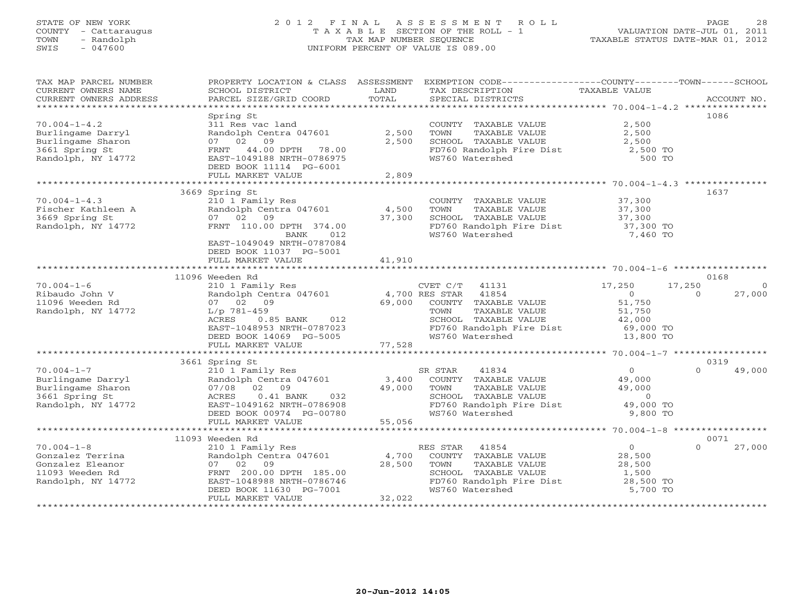# STATE OF NEW YORK 2 0 1 2 F I N A L A S S E S S M E N T R O L L PAGE 28 COUNTY - Cattaraugus T A X A B L E SECTION OF THE ROLL - 1 VALUATION DATE-JUL 01, 2011 TOWN - Randolph TAX MAP NUMBER SEQUENCE TAXABLE STATUS DATE-MAR 01, 2012 SWIS - 047600 UNIFORM PERCENT OF VALUE IS 089.00

| TAX MAP PARCEL NUMBER<br>CURRENT OWNERS NAME                                   | SCHOOL DISTRICT                                                                | LAND   | PROPERTY LOCATION & CLASS ASSESSMENT EXEMPTION CODE---------------COUNTY-------TOWN------SCHOOL<br>TAX DESCRIPTION | TAXABLE VALUE                 |                    |
|--------------------------------------------------------------------------------|--------------------------------------------------------------------------------|--------|--------------------------------------------------------------------------------------------------------------------|-------------------------------|--------------------|
| CURRENT OWNERS ADDRESS                                                         | PARCEL SIZE/GRID COORD                                                         | TOTAL  | SPECIAL DISTRICTS                                                                                                  |                               | ACCOUNT NO.        |
|                                                                                |                                                                                |        |                                                                                                                    |                               |                    |
| $70.004 - 1 - 4.2$                                                             | Spring St<br>311 Res vac land                                                  |        | COUNTY TAXABLE VALUE                                                                                               | 2,500                         | 1086               |
| Burlingame Darryl                                                              | Randolph Centra 047601                                                         | 2,500  | TOWN<br>TAXABLE VALUE                                                                                              | 2,500                         |                    |
| Burlingame Sharon                                                              | 07 02 09                                                                       | 2,500  | SCHOOL TAXABLE VALUE                                                                                               | 2,500                         |                    |
| 3661 Spring St                                                                 | 44.00 DPTH 78.00<br>FRNT                                                       |        | FD760 Randolph Fire Dist<br>WS760 Watershed                                                                        | 2,500 TO                      |                    |
| Randolph, NY 14772                                                             | EAST-1049188 NRTH-0786975<br>DEED BOOK 11114 PG-6001                           |        |                                                                                                                    | 500 TO                        |                    |
|                                                                                | FULL MARKET VALUE                                                              | 2,809  |                                                                                                                    |                               |                    |
|                                                                                |                                                                                |        |                                                                                                                    |                               |                    |
|                                                                                | 3669 Spring St                                                                 |        |                                                                                                                    |                               | 1637               |
| $70.004 - 1 - 4.3$                                                             | 210 1 Family Res                                                               |        | COUNTY TAXABLE VALUE                                                                                               | 37,300                        |                    |
| Fischer Kathleen A<br>3669 Spring St                                           | Randolph Centra 047601                                                         | 4,500  | TAXABLE VALUE<br>TOWN                                                                                              | 37,300<br>37,300              |                    |
|                                                                                | 07 02 09                                                                       | 37,300 | SCHOOL TAXABLE VALUE                                                                                               |                               |                    |
| Randolph, NY 14772                                                             | FRNT 110.00 DPTH 374.00                                                        |        | ED760 Randolph Fire Dist<br>WS760 Nandolph Fire Dist 37,300 TO                                                     |                               |                    |
|                                                                                | BANK<br>012                                                                    |        |                                                                                                                    |                               |                    |
|                                                                                | EAST-1049049 NRTH-0787084<br>DEED BOOK 11037 PG-5001                           |        |                                                                                                                    |                               |                    |
|                                                                                | FULL MARKET VALUE                                                              | 41,910 |                                                                                                                    |                               |                    |
|                                                                                | ***************************                                                    |        |                                                                                                                    |                               |                    |
|                                                                                | 11096 Weeden Rd                                                                |        |                                                                                                                    |                               | 0168               |
| $70.004 - 1 - 6$                                                               | 210 1 Family Res                                                               |        | CVET C/T<br>41131                                                                                                  | 17,250                        | 17,250<br>$\Omega$ |
| Ribaudo John V                                                                 | Exp 1 Family Res CVEI C/I 41131<br>Randolph Centra 047601 4,700 RES STAR 41854 |        |                                                                                                                    | $\overline{O}$                | 27,000<br>$\Omega$ |
| 11096 Weeden Rd                                                                | 07 02 09                                                                       | 69,000 | COUNTY TAXABLE VALUE                                                                                               | $51, 750$<br>$51, 750$        |                    |
| Randolph, NY 14772                                                             | $L/p$ 781-459                                                                  |        | TOWN<br>TAXABLE VALUE                                                                                              |                               |                    |
|                                                                                | 0.85 BANK 012<br>ACRES                                                         |        | SCHOOL TAXABLE VALUE<br>SCHOOL TAXABLE VALUE<br>FD760 Randolph Fire Dist                                           | 42,000<br>42,000<br>69,000 TO |                    |
|                                                                                | EAST-1048953 NRTH-0787023                                                      |        |                                                                                                                    |                               |                    |
|                                                                                | DEED BOOK 14069 PG-5005                                                        |        | WS760 Watershed                                                                                                    | 13,800 TO                     |                    |
|                                                                                |                                                                                |        |                                                                                                                    |                               |                    |
|                                                                                |                                                                                |        |                                                                                                                    |                               |                    |
|                                                                                | 3661 Spring St                                                                 |        |                                                                                                                    |                               | 0319<br>$\Omega$   |
| $70.004 - 1 - 7$                                                               | 210 1 Family Res                                                               |        | SR STAR<br>41834                                                                                                   | $\overline{0}$                | 49,000             |
|                                                                                | Randolph Centra 047601                                                         | 3,400  | COUNTY TAXABLE VALUE                                                                                               | 49,000                        |                    |
| Burlingame Darryl<br>Burlingame Sharon<br>3661 Spring St<br>Randolph, NY 14772 | 07/08 02 09                                                                    | 49,000 | TOWN<br>TAXABLE VALUE                                                                                              | 49,000                        |                    |
|                                                                                | ACRES<br>$0.41$ BANK<br>032                                                    |        | SCHOOL TAXABLE VALUE                                                                                               | $\overline{0}$                |                    |
| Randolph, NY 14772                                                             | EAST-1049162 NRTH-0786908                                                      |        | FD760 Randolph Fire Dist                                                                                           | 49,000 TO<br>9,800 TO         |                    |
|                                                                                | DEED BOOK 00974 PG-00780                                                       |        | WS760 Watershed                                                                                                    |                               |                    |
|                                                                                | FULL MARKET VALUE                                                              | 55,056 |                                                                                                                    |                               |                    |
|                                                                                | 11093 Weeden Rd                                                                |        |                                                                                                                    |                               | 0071               |
| $70.004 - 1 - 8$                                                               | 210 1 Family Res                                                               |        | RES STAR<br>41854                                                                                                  | $\overline{0}$                | $\Omega$<br>27,000 |
| Gonzalez Terrina                                                               | Randolph Centra 047601                                                         | 4,700  | COUNTY TAXABLE VALUE                                                                                               | 28,500                        |                    |
| Gonzalez Eleanor                                                               | 07 02 09                                                                       | 28,500 | TAXABLE VALUE<br>TOWN                                                                                              | 28,500                        |                    |
| 11093 Weeden Rd                                                                | FRNT 200.00 DPTH 185.00                                                        |        | SCHOOL TAXABLE VALUE                                                                                               | 1,500                         |                    |
| Randolph, NY 14772                                                             | EAST-1048988 NRTH-0786746                                                      |        |                                                                                                                    |                               |                    |
|                                                                                | DEED BOOK 11630 PG-7001                                                        |        | FD760 Randolph Fire Dist 28,500 TO<br>WS760 Watershed 5.700 TO<br>WS760 Watershed                                  | 5,700 TO                      |                    |
|                                                                                | FULL MARKET VALUE                                                              | 32,022 |                                                                                                                    |                               |                    |
|                                                                                |                                                                                |        |                                                                                                                    |                               |                    |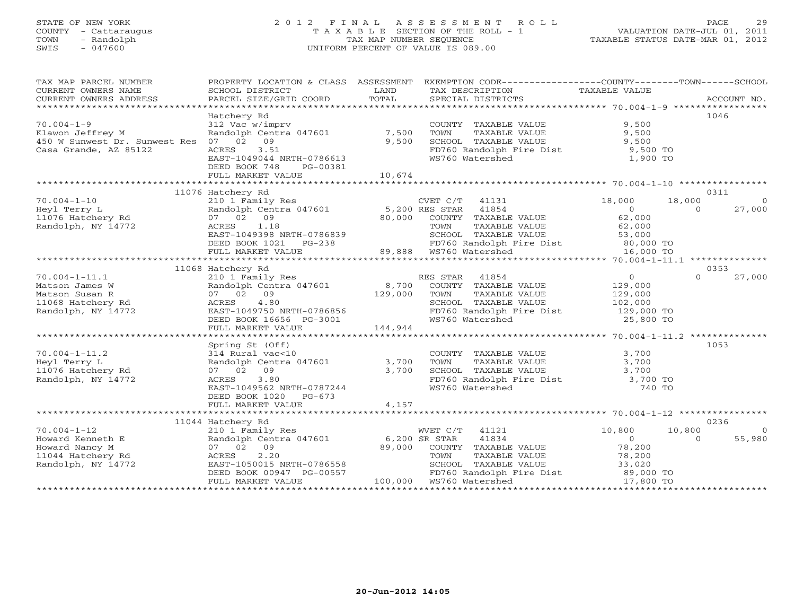# STATE OF NEW YORK 2 0 1 2 F I N A L A S S E S S M E N T R O L L PAGE 29 COUNTY - Cattaraugus T A X A B L E SECTION OF THE ROLL - 1 VALUATION DATE-JUL 01, 2011 TOWN - Randolph TAX MAP NUMBER SEQUENCE TAXABLE STATUS DATE-MAR 01, 2012 SWIS - 047600 UNIFORM PERCENT OF VALUE IS 089.00

| TAX MAP PARCEL NUMBER                                                                        |                                                                                                                                                                 |         | PROPERTY LOCATION & CLASS ASSESSMENT EXEMPTION CODE----------------COUNTY-------TOWN------SCHOOL                       |                                            |                            |
|----------------------------------------------------------------------------------------------|-----------------------------------------------------------------------------------------------------------------------------------------------------------------|---------|------------------------------------------------------------------------------------------------------------------------|--------------------------------------------|----------------------------|
| CURRENT OWNERS NAME                                                                          | SCHOOL DISTRICT                                                                                                                                                 | LAND    | TAX DESCRIPTION TAXABLE VALUE                                                                                          |                                            |                            |
|                                                                                              |                                                                                                                                                                 |         |                                                                                                                        |                                            |                            |
|                                                                                              |                                                                                                                                                                 |         |                                                                                                                        |                                            |                            |
|                                                                                              | Hatchery Rd                                                                                                                                                     |         |                                                                                                                        |                                            | 1046                       |
| $70.004 - 1 - 9$                                                                             | 312 Vac w/imprv                                                                                                                                                 |         | COUNTY TAXABLE VALUE                                                                                                   | 9,500                                      |                            |
| Klawon Jeffrey M                                                                             | Randolph Centra $047601$ 7,500                                                                                                                                  |         | TOWN        TAXABLE  VALUE<br>SCHOOL    TAXABLE  VALUE                                                                 | 9,500                                      |                            |
| 450 W Sunwest Dr. Sunwest Res 07 02 09                                                       |                                                                                                                                                                 | 9,500   |                                                                                                                        | 9,500                                      |                            |
| Casa Grande, AZ 85122                                                                        | 3.51<br>ACRES                                                                                                                                                   |         | FD760 Randolph Fire Dist 9,500 TO<br>WS760 Watershed 1,900 TO                                                          |                                            |                            |
|                                                                                              | EAST-1049044 NRTH-0786613                                                                                                                                       |         |                                                                                                                        |                                            |                            |
|                                                                                              | DEED BOOK 748<br>PG-00381                                                                                                                                       |         |                                                                                                                        |                                            |                            |
|                                                                                              | FULL MARKET VALUE                                                                                                                                               | 10,674  |                                                                                                                        |                                            |                            |
|                                                                                              |                                                                                                                                                                 |         |                                                                                                                        |                                            |                            |
|                                                                                              | 11076 Hatchery Rd                                                                                                                                               |         |                                                                                                                        |                                            | 0311                       |
| $70.004 - 1 - 10$<br>11076 Hatchery Rd<br>11076 Hatchery Rd<br>Randolph, NY 14772            | 210 1 Family Res<br>Randolph Centra 047601 5,200 RES STAR 41854<br>07 02 09 80,000 COUNTY TAXABLE<br>ACRES 1.18 TOWN TAXABLE                                    |         | CVET $C/T$ 41131 18,000                                                                                                |                                            | 18,000<br>$\overline{0}$   |
|                                                                                              |                                                                                                                                                                 |         |                                                                                                                        | $\overline{a}$                             | $\overline{a}$<br>27,000   |
|                                                                                              |                                                                                                                                                                 |         | COUNTY TAXABLE VALUE                                                                                                   | 62,000                                     |                            |
|                                                                                              |                                                                                                                                                                 |         | TAXABLE VALUE                                                                                                          | 62,000                                     |                            |
|                                                                                              |                                                                                                                                                                 |         | SCHOOL TAXABLE VALUE 53,000                                                                                            |                                            |                            |
|                                                                                              |                                                                                                                                                                 |         | FD760 Randolph Fire Dist 80,000 TO<br>WS760 Watershed 16,000 TO                                                        |                                            |                            |
|                                                                                              | EAST-1049398 NRTH-0786839<br>DEED BOOK 1021 PG-238 5CHOOL TAXABLE<br>FULL MARKET VALUE<br>FULL MARKET VALUE<br>FULL MARKET VALUE<br>COME 29,888 WS760 Watershed |         |                                                                                                                        |                                            |                            |
|                                                                                              |                                                                                                                                                                 |         |                                                                                                                        |                                            |                            |
|                                                                                              | 11068 Hatchery Rd                                                                                                                                               |         |                                                                                                                        |                                            | 0353                       |
| $70.004 - 1 - 11.1$                                                                          |                                                                                                                                                                 |         | RES STAR 41854<br>ES STAR 41854<br>COUNTY TAXABLE VALUE                                                                | $\overline{0}$                             | 27,000<br>$\Omega$         |
| 70.004-1-11.1<br>Matson James W<br>Matson Susan R<br>11068 Hatchery Rd<br>Randolph, NY 14772 | 210 1 Family Res<br>Randolph Centra 047601 8,700<br>07 02 09 129,000<br>ACRES 4.80                                                                              |         |                                                                                                                        | 129,000                                    |                            |
|                                                                                              |                                                                                                                                                                 |         |                                                                                                                        |                                            |                            |
|                                                                                              |                                                                                                                                                                 |         |                                                                                                                        |                                            |                            |
|                                                                                              | --------<br>EAST-1049750 NRTH-0786856<br>DEED BOOK 16656 PG-3001                                                                                                |         | FD760 Randolph Fire Dist 129,000 TO                                                                                    |                                            |                            |
|                                                                                              |                                                                                                                                                                 |         | WS760 Watershed                                                                                                        | 25,800 TO                                  |                            |
|                                                                                              | FULL MARKET VALUE                                                                                                                                               | 144,944 |                                                                                                                        |                                            |                            |
|                                                                                              |                                                                                                                                                                 |         |                                                                                                                        |                                            |                            |
|                                                                                              | Spring St (Off)                                                                                                                                                 |         |                                                                                                                        |                                            | 1053                       |
| $70.004 - 1 - 11.2$                                                                          | 314 Rural vac<10                                                                                                                                                |         | COUNTY TAXABLE VALUE 3,700<br>TOWN TAXABLE VALUE 3,700                                                                 |                                            |                            |
| Heyl Terry L                                                                                 | Randolph Centra 047601 3,700                                                                                                                                    |         |                                                                                                                        |                                            |                            |
| 11076 Hatchery Rd                                                                            | 07 02 09                                                                                                                                                        | 3,700   |                                                                                                                        |                                            |                            |
| Randolph, NY 14772                                                                           | 3.80<br>ACRES                                                                                                                                                   |         | SCHOOL TAXABLE VALUE 3,700<br>FD760 Randolph Fire Dist 3,700 TO<br>WS760 Watershed 740 TO                              |                                            |                            |
|                                                                                              | EAST-1049562 NRTH-0787244                                                                                                                                       |         |                                                                                                                        |                                            |                            |
|                                                                                              | DEED BOOK 1020 PG-673                                                                                                                                           |         |                                                                                                                        |                                            |                            |
|                                                                                              | FULL MARKET VALUE                                                                                                                                               | 4,157   |                                                                                                                        |                                            |                            |
|                                                                                              |                                                                                                                                                                 |         |                                                                                                                        |                                            |                            |
| $70.004 - 1 - 12$                                                                            | 11044 Hatchery Rd                                                                                                                                               |         |                                                                                                                        |                                            | 0236<br>10,800             |
|                                                                                              | 210 1 Family Res                                                                                                                                                |         | WVET C/T 41121                                                                                                         | 10,800                                     | $\overline{0}$<br>$\Omega$ |
| Howard Kenneth E<br>Howard Nancy M                                                           | Randolph Centra 047601 6,200 SR STAR<br>07 02 09                                                                                                                | 89,000  | 41834<br>COUNTY TAXABLE VALUE                                                                                          | $\begin{array}{c} 0 \\ 78,200 \end{array}$ | 55,980                     |
| 11044 Hatchery Rd                                                                            | ACRES<br>2.20                                                                                                                                                   |         |                                                                                                                        |                                            |                            |
|                                                                                              | EAST-1050015 NRTH-0786558                                                                                                                                       |         |                                                                                                                        |                                            |                            |
| Randolph, NY 14772                                                                           |                                                                                                                                                                 |         | COUNTY IAAABLE VALUE<br>TOWN TAXABLE VALUE 78,200<br>SCHOOL TAXABLE VALUE 33,020<br>FD760 Randolph Fire Dist 89,000 TO |                                            |                            |
|                                                                                              | DEED BOOK 00947 PG-00557 FD760 Randolph F<br>FULL MARKET VALUE 100,000 WS760 Watershed                                                                          |         |                                                                                                                        | 17,800 TO                                  |                            |
|                                                                                              |                                                                                                                                                                 |         |                                                                                                                        |                                            |                            |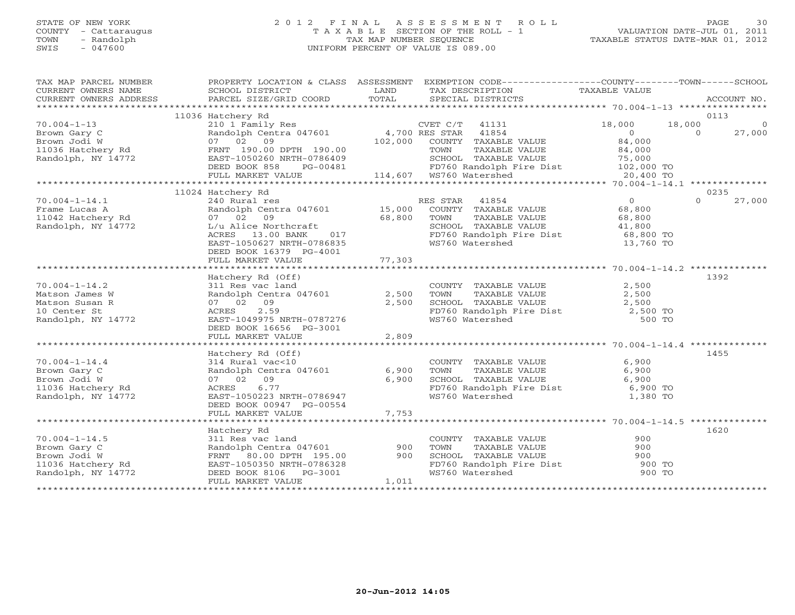#### STATE OF NEW YORK 2 0 1 2 F I N A L A S S E S S M E N T R O L L PAGE 30COUNTY - Cattaraugus T A X A B L E SECTION OF THE ROLL - 1 VALUATION DATE-JUL 01, 2011 SWIS - 047600 UNIFORM PERCENT OF VALUE IS 089.00

| TAX MAP PARCEL NUMBER<br>CURRENT OWNERS NAME<br>CURRENT OWNERS ADDRESS | PROPERTY LOCATION & CLASS ASSESSMENT EXEMPTION CODE---------------COUNTY-------TOWN------SCHOOL<br>SCHOOL DISTRICT<br>PARCEL SIZE/GRID COORD | LAND<br>TOTAL           |                | TAX DESCRIPTION<br>SPECIAL DISTRICTS                            | TAXABLE VALUE              |          | ACCOUNT NO.            |
|------------------------------------------------------------------------|----------------------------------------------------------------------------------------------------------------------------------------------|-------------------------|----------------|-----------------------------------------------------------------|----------------------------|----------|------------------------|
|                                                                        |                                                                                                                                              |                         |                |                                                                 |                            |          |                        |
| $70.004 - 1 - 13$                                                      | 11036 Hatchery Rd<br>210 1 Family Res                                                                                                        |                         | CVET C/T 41131 |                                                                 | 18,000                     | 18,000   | 0113<br>$\overline{0}$ |
| Brown Gary C                                                           | Randolph Centra 047601 4,700 RES STAR                                                                                                        |                         |                | 41854                                                           | $\overline{O}$             | $\Omega$ | 27,000                 |
| Brown Jodi W                                                           | 07 02 09                                                                                                                                     |                         |                | 102,000 COUNTY TAXABLE VALUE                                    | 84,000                     |          |                        |
| 11036 Hatchery Rd                                                      | FRNT 190.00 DPTH 190.00                                                                                                                      |                         | TOWN           | TAXABLE VALUE                                                   | 84,000                     |          |                        |
| Randolph, NY 14772                                                     | EAST-1050260 NRTH-0786409                                                                                                                    |                         |                | SCHOOL TAXABLE VALUE                                            | 75,000                     |          |                        |
|                                                                        | DEED BOOK 858<br>PG-00481                                                                                                                    |                         |                | FD760 Randolph Fire Dist 102,000 TO                             |                            |          |                        |
|                                                                        | FULL MARKET VALUE                                                                                                                            | 114,607 WS760 Watershed |                |                                                                 | 20,400 TO                  |          |                        |
|                                                                        |                                                                                                                                              |                         |                |                                                                 |                            |          |                        |
|                                                                        | 11024 Hatchery Rd                                                                                                                            |                         |                |                                                                 |                            |          | 0235                   |
| $70.004 - 1 - 14.1$                                                    | 240 Rural res                                                                                                                                |                         | RES STAR       | 41854                                                           | $\overline{0}$             | $\Omega$ | 27,000                 |
| Frame Lucas A                                                          | Randolph Centra 047601 15,000                                                                                                                |                         |                | COUNTY TAXABLE VALUE                                            | 68,800                     |          |                        |
| 11042 Hatchery Rd                                                      | 07 02 09                                                                                                                                     | 68,800                  | TOWN           | TAXABLE VALUE                                                   | 68,800                     |          |                        |
| Randolph, NY 14772                                                     | L/u Alice Northcraft                                                                                                                         |                         |                | SCHOOL TAXABLE VALUE                                            | $41,800$ TO<br>$68,800$ TO |          |                        |
|                                                                        | 017<br>ACRES 13.00 BANK                                                                                                                      |                         |                | FD760 Randolph Fire Dist                                        |                            |          |                        |
|                                                                        | EAST-1050627 NRTH-0786835                                                                                                                    |                         |                | WS760 Watershed                                                 | 13,760 TO                  |          |                        |
|                                                                        | DEED BOOK 16379 PG-4001                                                                                                                      |                         |                |                                                                 |                            |          |                        |
|                                                                        |                                                                                                                                              |                         |                |                                                                 |                            |          |                        |
|                                                                        |                                                                                                                                              |                         |                |                                                                 |                            |          |                        |
|                                                                        | Hatchery Rd (Off)                                                                                                                            |                         |                |                                                                 |                            |          | 1392                   |
| $70.004 - 1 - 14.2$                                                    | 311 Res vac land                                                                                                                             |                         |                | COUNTY TAXABLE VALUE<br>TOWN     TAXABLE VALUE                  | 2,500                      |          |                        |
| Matson James W                                                         | Randolph Centra 047601 2,500                                                                                                                 |                         |                |                                                                 | 2,500                      |          |                        |
| Matson Susan R                                                         | 07 02 09                                                                                                                                     | 2,500                   |                | SCHOOL TAXABLE VALUE 2,500<br>FD760 Randolph Fire Dist 2,500 TO |                            |          |                        |
| 10 Center St                                                           | 2.59<br>ACRES                                                                                                                                |                         |                |                                                                 |                            |          |                        |
| Randolph, NY 14772                                                     | EAST-1049975 NRTH-0787276                                                                                                                    |                         |                | WS760 Watershed                                                 | 500 TO                     |          |                        |
|                                                                        | DEED BOOK 16656 PG-3001                                                                                                                      |                         |                |                                                                 |                            |          |                        |
|                                                                        | FULL MARKET VALUE                                                                                                                            | 2,809                   |                |                                                                 |                            |          |                        |
|                                                                        |                                                                                                                                              |                         |                |                                                                 |                            |          |                        |
|                                                                        | Hatchery Rd (Off)                                                                                                                            |                         |                |                                                                 |                            |          | 1455                   |
| $70.004 - 1 - 14.4$                                                    | 314 Rural vac<10                                                                                                                             |                         |                | COUNTY TAXABLE VALUE                                            | 6,900                      |          |                        |
| Brown Gary C                                                           | Randolph Centra 047601                                                                                                                       | 6,900                   | TOWN           | TAXABLE VALUE                                                   | 6,900                      |          |                        |
| Brown Jodi W                                                           | 07 02 09                                                                                                                                     | 6,900                   |                | SCHOOL TAXABLE VALUE                                            | 6,900                      |          |                        |
| 11036 Hatchery Rd                                                      | 6.77<br>ACRES                                                                                                                                |                         |                | FD760 Randolph Fire Dist 6,900 TO                               |                            |          |                        |
| Randolph, NY 14772                                                     | EAST-1050223 NRTH-0786947                                                                                                                    |                         |                | WS760 Watershed                                                 | 1,380 TO                   |          |                        |
|                                                                        | DEED BOOK 00947 PG-00554                                                                                                                     |                         |                |                                                                 |                            |          |                        |
|                                                                        | FULL MARKET VALUE                                                                                                                            | 7,753                   |                |                                                                 |                            |          |                        |
|                                                                        |                                                                                                                                              |                         |                |                                                                 |                            |          |                        |
|                                                                        | Hatchery Rd                                                                                                                                  |                         |                |                                                                 |                            |          | 1620                   |
| $70.004 - 1 - 14.5$                                                    | 311 Res vac land                                                                                                                             |                         |                | COUNTY TAXABLE VALUE                                            | 900                        |          |                        |
| Brown Gary C                                                           | Randolph Centra 047601                                                                                                                       | 900                     | TOWN           | TAXABLE VALUE                                                   | 900                        |          |                        |
| Brown Jodi W                                                           | FRNT 80.00 DPTH 195.00                                                                                                                       | 900                     |                | SCHOOL TAXABLE VALUE                                            | 900                        |          |                        |
| 11036 Hatchery Rd                                                      | EAST-1050350 NRTH-0786328                                                                                                                    |                         |                | FD760 Randolph Fire Dist                                        | 900 TO                     |          |                        |
| Randolph, NY 14772                                                     | DEED BOOK 8106 PG-3001                                                                                                                       |                         |                | WS760 Watershed                                                 | 900 TO                     |          |                        |
|                                                                        | FULL MARKET VALUE                                                                                                                            | 1,011                   |                |                                                                 |                            |          |                        |
|                                                                        |                                                                                                                                              |                         |                |                                                                 |                            |          |                        |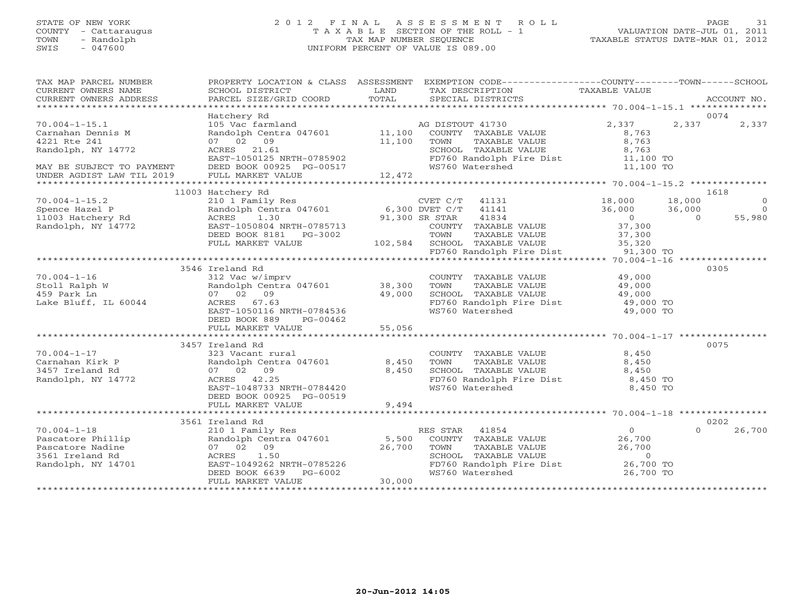#### STATE OF NEW YORK 2 0 1 2 F I N A L A S S E S S M E N T R O L L PAGE 31 COUNTY - Cattaraugus T A X A B L E SECTION OF THE ROLL - 1 VALUATION DATE-JUL 01, 2011 TOWN - Randolph TAX MAP NUMBER SEQUENCE TAXABLE STATUS DATE-MAR 01, 2012 SWIS - 047600 UNIFORM PERCENT OF VALUE IS 089.00

| SCHOOL DISTRICT<br>PARCEL SIZE/GRID COORD                                                                  | LAND<br>TOTAL                                                                                                                                            | SPECIAL DISTRICTS                                                                                            |                                                                                                                                                                                                                                                                                                                                                 | ACCOUNT NO.                                                                                                                                                                                                                                                                                                                                            |
|------------------------------------------------------------------------------------------------------------|----------------------------------------------------------------------------------------------------------------------------------------------------------|--------------------------------------------------------------------------------------------------------------|-------------------------------------------------------------------------------------------------------------------------------------------------------------------------------------------------------------------------------------------------------------------------------------------------------------------------------------------------|--------------------------------------------------------------------------------------------------------------------------------------------------------------------------------------------------------------------------------------------------------------------------------------------------------------------------------------------------------|
|                                                                                                            |                                                                                                                                                          |                                                                                                              |                                                                                                                                                                                                                                                                                                                                                 |                                                                                                                                                                                                                                                                                                                                                        |
| 105 Vac farmland<br>07 02 09<br>ACRES 21.61                                                                |                                                                                                                                                          | AG DISTOUT 41730<br>COUNTY TAXABLE VALUE<br>TAXABLE VALUE<br>TOWN<br>SCHOOL TAXABLE VALUE<br>WS760 Watershed | 2,337<br>8,763<br>8,763<br>8,763<br>11,100 TO<br>11,100 TO                                                                                                                                                                                                                                                                                      | 0074<br>2,337                                                                                                                                                                                                                                                                                                                                          |
|                                                                                                            |                                                                                                                                                          |                                                                                                              |                                                                                                                                                                                                                                                                                                                                                 |                                                                                                                                                                                                                                                                                                                                                        |
| 210 1 Family Res<br>ACRES 1.30<br>EAST-1050804 NRTH-0785713<br>DEED BOOK 8181 PG-3002<br>FULL MARKET VALUE |                                                                                                                                                          | $CVET C/T$ 41131<br>41834<br>COUNTY TAXABLE VALUE<br>TOWN<br>TAXABLE VALUE                                   | 18,000<br>36,000<br>$\overline{0}$<br>37,300<br>37,300                                                                                                                                                                                                                                                                                          | 1618<br>$\Omega$<br>$\overline{0}$<br>$\Omega$<br>55,980                                                                                                                                                                                                                                                                                               |
|                                                                                                            |                                                                                                                                                          |                                                                                                              |                                                                                                                                                                                                                                                                                                                                                 |                                                                                                                                                                                                                                                                                                                                                        |
| 312 Vac w/imprv<br>07 02 09<br>ACRES 67.63<br>DEED BOOK 889<br>PG-00462                                    |                                                                                                                                                          | COUNTY TAXABLE VALUE<br>TOWN<br>TAXABLE VALUE<br>SCHOOL TAXABLE VALUE<br>WS760 Watershed                     | 49,000<br>49,000<br>49,000<br>49,000 TO<br>49,000 TO                                                                                                                                                                                                                                                                                            | 0305                                                                                                                                                                                                                                                                                                                                                   |
|                                                                                                            |                                                                                                                                                          |                                                                                                              |                                                                                                                                                                                                                                                                                                                                                 |                                                                                                                                                                                                                                                                                                                                                        |
| 323 Vacant rural<br>07 02 09<br>ACRES 42.25<br>EAST-1048733 NRTH-0784420<br>DEED BOOK 00925 PG-00519       |                                                                                                                                                          | COUNTY TAXABLE VALUE<br>TAXABLE VALUE<br>TOWN<br>SCHOOL TAXABLE VALUE<br>WS760 Watershed                     | 8,450<br>8,450<br>8,450<br>8,450 TO<br>8,450 TO                                                                                                                                                                                                                                                                                                 | 0075                                                                                                                                                                                                                                                                                                                                                   |
|                                                                                                            |                                                                                                                                                          |                                                                                                              |                                                                                                                                                                                                                                                                                                                                                 |                                                                                                                                                                                                                                                                                                                                                        |
|                                                                                                            |                                                                                                                                                          |                                                                                                              |                                                                                                                                                                                                                                                                                                                                                 | 0202                                                                                                                                                                                                                                                                                                                                                   |
| 210 1 Family Res<br>07 02 09<br>1.50<br>ACRES<br>DEED BOOK 6639<br>PG-6002<br>FULL MARKET VALUE            |                                                                                                                                                          | RES STAR 41854<br>COUNTY TAXABLE VALUE<br>TOWN<br>TAXABLE VALUE<br>SCHOOL TAXABLE VALUE<br>WS760 Watershed   | 0<br>26,700<br>26,700<br>$\circ$<br>26,700 TO<br>26,700 TO                                                                                                                                                                                                                                                                                      | $\Omega$<br>26,700                                                                                                                                                                                                                                                                                                                                     |
|                                                                                                            | Hatchery Rd<br>FULL MARKET VALUE<br>11003 Hatchery Rd<br>3546 Ireland Rd<br>FULL MARKET VALUE<br>3457 Ireland Rd<br>FULL MARKET VALUE<br>3561 Ireland Rd | EAST-1050116 NRTH-0784536<br>Randolph Centra 047601<br>EAST-1049262 NRTH-0785226                             | Randolph Centra 047601 11,100<br>11,100<br>EAST-1050125 NRTH-0785902<br>DEED BOOK 00925 PG-00517<br>12,472<br>Randolph Centra 047601 6,300 DVET C/T 41141<br>91,300 SR STAR<br>102,584 SCHOOL TAXABLE VALUE<br>Randolph Centra 047601 38,300<br>49,000<br>55,056<br>8,450<br>8,450<br>9,494<br>Randolph Centra 047601 5,500<br>26,700<br>30,000 | PROPERTY LOCATION & CLASS ASSESSMENT EXEMPTION CODE----------------COUNTY-------TOWN------SCHOOL<br>TAX DESCRIPTION TAXABLE VALUE<br>SPECIAL DISTRICTS<br>2,337<br>FD760 Randolph Fire Dist<br>18,000<br>36,000<br>35,320<br>FD760 Randolph Fire Dist<br>91,300 TO<br>FD760 Randolph Fire Dist<br>FD760 Randolph Fire Dist<br>FD760 Randolph Fire Dist |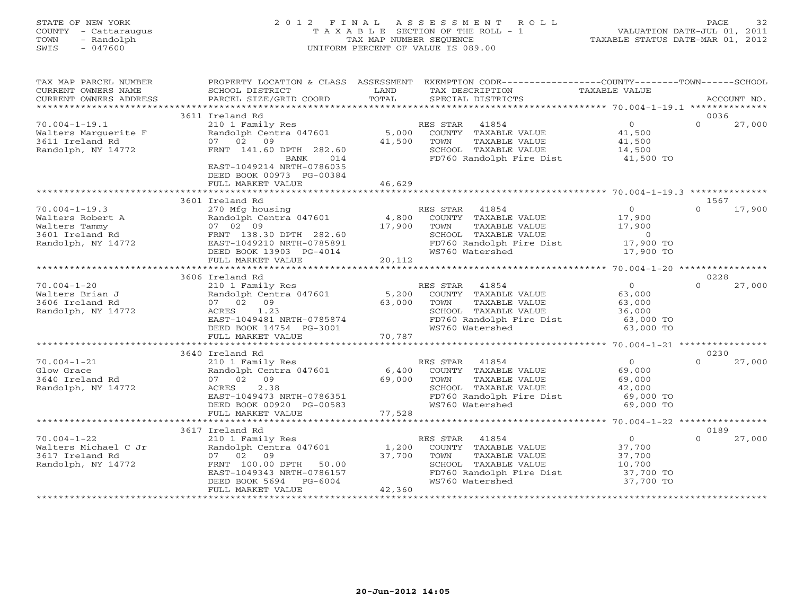# STATE OF NEW YORK 2 0 1 2 F I N A L A S S E S S M E N T R O L L PAGE 32 COUNTY - Cattaraugus T A X A B L E SECTION OF THE ROLL - 1 VALUATION DATE-JUL 01, 2011 TOWN - Randolph TAX MAP NUMBER SEQUENCE TAXABLE STATUS DATE-MAR 01, 2012 SWIS - 047600 UNIFORM PERCENT OF VALUE IS 089.00

| TAX MAP PARCEL NUMBER                         |                                                       |                 | PROPERTY LOCATION & CLASS ASSESSMENT EXEMPTION CODE---------------COUNTY-------TOWN------SCHOOL |                   |          |             |
|-----------------------------------------------|-------------------------------------------------------|-----------------|-------------------------------------------------------------------------------------------------|-------------------|----------|-------------|
| CURRENT OWNERS NAME<br>CURRENT OWNERS ADDRESS | SCHOOL DISTRICT<br>PARCEL SIZE/GRID COORD             | LAND<br>TOTAL   | TAX DESCRIPTION<br>SPECIAL DISTRICTS                                                            | TAXABLE VALUE     |          | ACCOUNT NO. |
|                                               |                                                       |                 |                                                                                                 |                   |          |             |
|                                               | 3611 Ireland Rd                                       |                 |                                                                                                 |                   | 0036     |             |
| $70.004 - 1 - 19.1$                           | 210 1 Family Res                                      |                 | RES STAR 41854                                                                                  | $\overline{0}$    | $\Omega$ | 27,000      |
| Walters Marquerite F                          | Randolph Centra 047601                                |                 | 5,000 COUNTY TAXABLE VALUE                                                                      | 41,500            |          |             |
| 3611 Ireland Rd                               | 07 02 09                                              | 41,500          | TOWN<br>TAXABLE VALUE                                                                           | 41,500            |          |             |
| Randolph, NY 14772                            | FRNT 141.60 DPTH 282.60                               |                 | SCHOOL TAXABLE VALUE                                                                            | 14,500            |          |             |
|                                               | BANK<br>014                                           |                 | FD760 Randolph Fire Dist                                                                        | 41,500 TO         |          |             |
|                                               | EAST-1049214 NRTH-0786035<br>DEED BOOK 00973 PG-00384 |                 |                                                                                                 |                   |          |             |
|                                               | FULL MARKET VALUE                                     | 46,629          |                                                                                                 |                   |          |             |
|                                               |                                                       |                 |                                                                                                 |                   |          |             |
|                                               | 3601 Ireland Rd                                       |                 |                                                                                                 |                   | 1567     |             |
| $70.004 - 1 - 19.3$                           | 270 Mfg housing                                       |                 | RES STAR 41854                                                                                  | $0 \qquad \qquad$ | $\Omega$ | 17,900      |
| Walters Robert A                              | Randolph Centra 047601                                | 4,800           | COUNTY TAXABLE VALUE                                                                            | 17,900            |          |             |
| Walters Tammy                                 | 07 02 09                                              | 17,900          | TAXABLE VALUE<br>TOWN                                                                           | 17,900            |          |             |
| 3601 Ireland Rd                               | FRNT 138.30 DPTH 282.60                               |                 | SCHOOL TAXABLE VALUE                                                                            | $\overline{0}$    |          |             |
| Randolph, NY 14772                            | EAST-1049210 NRTH-0785891                             |                 | FD760 Randolph Fire Dist                                                                        | 17,900 TO         |          |             |
|                                               | DEED BOOK 13903 PG-4014                               |                 | WS760 Watershed                                                                                 | 17,900 TO         |          |             |
|                                               | FULL MARKET VALUE                                     | 20,112          |                                                                                                 |                   |          |             |
|                                               |                                                       |                 |                                                                                                 |                   |          |             |
|                                               | 3606 Ireland Rd                                       |                 |                                                                                                 |                   | 0228     |             |
| $70.004 - 1 - 20$<br>Walters Brian J          | 210 1 Family Res<br>Randolph Centra 047601            |                 | RES STAR<br>41854                                                                               | $\overline{0}$    | $\Omega$ | 27,000      |
|                                               | 07 02 09                                              | 5,200<br>63,000 | COUNTY TAXABLE VALUE<br>TAXABLE VALUE<br>TOWN                                                   | 63,000            |          |             |
| 3606 Ireland Rd<br>Randolph, NY 14772         | 1.23<br>ACRES                                         |                 | SCHOOL TAXABLE VALUE                                                                            | 63,000<br>36,000  |          |             |
|                                               | EAST-1049481 NRTH-0785874                             |                 | FD760 Randolph Fire Dist                                                                        | 63,000 TO         |          |             |
|                                               | DEED BOOK 14754 PG-3001                               |                 | WS760 Watershed                                                                                 | 63,000 TO         |          |             |
|                                               | FULL MARKET VALUE                                     | 70,787          |                                                                                                 |                   |          |             |
|                                               |                                                       |                 |                                                                                                 |                   |          |             |
|                                               | 3640 Ireland Rd                                       |                 |                                                                                                 |                   | 0230     |             |
| $70.004 - 1 - 21$                             | 210 1 Family Res                                      |                 | RES STAR 41854                                                                                  | $\overline{0}$    | $\Omega$ | 27,000      |
| Glow Grace                                    | Randolph Centra 047601                                |                 | 6,400 COUNTY TAXABLE VALUE                                                                      | 69,000            |          |             |
| 3640 Ireland Rd                               | 07 02 09                                              | 69,000          | TAXABLE VALUE<br>TOWN                                                                           | 69,000            |          |             |
| Randolph, NY 14772                            | 2.38<br>ACRES                                         |                 | SCHOOL TAXABLE VALUE                                                                            | 42,000            |          |             |
|                                               | EAST-1049473 NRTH-0786351                             |                 | FD760 Randolph Fire Dist                                                                        | 69,000 TO         |          |             |
|                                               | DEED BOOK 00920 PG-00583                              |                 | WS760 Watershed                                                                                 | 69,000 TO         |          |             |
|                                               | FULL MARKET VALUE                                     | 77,528          |                                                                                                 |                   |          |             |
|                                               | 3617 Ireland Rd                                       |                 |                                                                                                 |                   | 0189     |             |
| $70.004 - 1 - 22$                             | 210 1 Family Res                                      |                 | RES STAR<br>41854                                                                               | 0                 | $\Omega$ | 27,000      |
| Walters Michael C Jr                          | Randolph Centra 047601                                | 1,200           | COUNTY TAXABLE VALUE                                                                            | 37,700            |          |             |
| 3617 Ireland Rd                               | 07 02 09                                              | 37,700          | TAXABLE VALUE<br>TOWN                                                                           | 37,700            |          |             |
| Randolph, NY 14772                            | FRNT 100.00 DPTH<br>50.00                             |                 | SCHOOL TAXABLE VALUE                                                                            | 10,700            |          |             |
|                                               | EAST-1049343 NRTH-0786157                             |                 | FD760 Randolph Fire Dist                                                                        | 37,700 TO         |          |             |
|                                               | DEED BOOK 5694<br>PG-6004                             |                 | WS760 Watershed                                                                                 | 37,700 TO         |          |             |
|                                               | FULL MARKET VALUE                                     | 42,360          |                                                                                                 |                   |          |             |
|                                               |                                                       |                 |                                                                                                 |                   |          |             |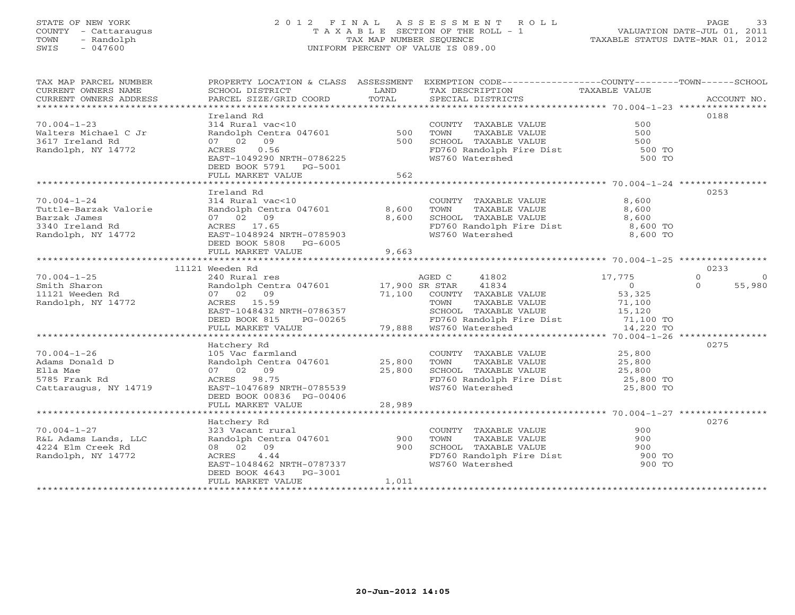# STATE OF NEW YORK 2 0 1 2 F I N A L A S S E S S M E N T R O L L PAGE 33 COUNTY - Cattaraugus T A X A B L E SECTION OF THE ROLL - 1 VALUATION DATE-JUL 01, 2011 TOWN - Randolph TAX MAP NUMBER SEQUENCE TAXABLE STATUS DATE-MAR 01, 2012 SWIS - 047600 UNIFORM PERCENT OF VALUE IS 089.00

| TAX MAP PARCEL NUMBER<br>CURRENT OWNERS NAME<br>CURRENT OWNERS ADDRESS | SCHOOL DISTRICT<br>PARCEL SIZE/GRID COORD                                                                                  | LAND<br>TOTAL           | PROPERTY LOCATION & CLASS ASSESSMENT EXEMPTION CODE---------------COUNTY-------TOWN------SCHOOL<br>TAX DESCRIPTION<br>SPECIAL DISTRICTS | TAXABLE VALUE  | ACCOUNT NO.          |
|------------------------------------------------------------------------|----------------------------------------------------------------------------------------------------------------------------|-------------------------|-----------------------------------------------------------------------------------------------------------------------------------------|----------------|----------------------|
|                                                                        |                                                                                                                            |                         |                                                                                                                                         |                |                      |
|                                                                        | Ireland Rd                                                                                                                 |                         |                                                                                                                                         |                | 0188                 |
| $70.004 - 1 - 23$                                                      | 314 Rural vac<10                                                                                                           |                         | COUNTY TAXABLE VALUE                                                                                                                    | 500            |                      |
| Walters Michael C Jr                                                   | Randolph Centra 047601 500                                                                                                 |                         |                                                                                                                                         |                |                      |
| 3617 Ireland Rd                                                        | 07 02 09                                                                                                                   | 500                     | TOWN TAXABLE VALUE 500<br>SCHOOL TAXABLE VALUE 500<br>FD760 Randolph Fire Dist 500 TO                                                   |                |                      |
| Randolph, NY 14772                                                     | 0.56<br>ACRES                                                                                                              |                         |                                                                                                                                         |                |                      |
|                                                                        | EAST-1049290 NRTH-0786225                                                                                                  |                         | WS760 Watershed                                                                                                                         | 500 TO         |                      |
|                                                                        | DEED BOOK 5791 PG-5001                                                                                                     |                         |                                                                                                                                         |                |                      |
|                                                                        | FULL MARKET VALUE                                                                                                          | 562                     |                                                                                                                                         |                |                      |
|                                                                        |                                                                                                                            |                         |                                                                                                                                         |                |                      |
|                                                                        | Ireland Rd                                                                                                                 |                         |                                                                                                                                         |                | 0253                 |
| $70.004 - 1 - 24$                                                      | 314 Rural vac<10                                                                                                           |                         | COUNTY TAXABLE VALUE                                                                                                                    | 8,600          |                      |
| Tuttle-Barzak Valorie                                                  | Randolph Centra 047601                                                                                                     | 8,600                   | TOWN        TAXABLE  VALUE<br>SCHOOL    TAXABLE  VALUE                                                                                  | 8,600          |                      |
| Barzak James                                                           | 07 02 09                                                                                                                   | 8,600                   |                                                                                                                                         | 8,600          |                      |
| 3340 Ireland Rd                                                        | ACRES 17.65                                                                                                                |                         | FD760 Randolph Fire Dist 8,600 TO<br>WS760 Watershed 8,600 TO                                                                           |                |                      |
| Randolph, NY 14772                                                     | EAST-1048924 NRTH-0785903                                                                                                  |                         |                                                                                                                                         |                |                      |
|                                                                        | DEED BOOK 5808 PG-6005                                                                                                     |                         |                                                                                                                                         |                |                      |
|                                                                        | FULL MARKET VALUE                                                                                                          | 9,663                   |                                                                                                                                         |                |                      |
|                                                                        |                                                                                                                            |                         |                                                                                                                                         |                |                      |
|                                                                        | 11121 Weeden Rd                                                                                                            |                         |                                                                                                                                         |                | 0233                 |
| $70.004 - 1 - 25$                                                      | 240 Rural res                                                                                                              |                         | AGED C<br>41802                                                                                                                         | 17,775         | $\Omega$<br>$\Omega$ |
| Smith Sharon                                                           |                                                                                                                            |                         | Randolph Centra 047601 17,900 SR STAR 41834<br>07 02 09 71,100 COUNTY TAXABLE VALUE                                                     | $\overline{0}$ | 55,980<br>$\Omega$   |
| 11121 Weeden Rd                                                        |                                                                                                                            |                         |                                                                                                                                         | 53,325         |                      |
| Randolph, NY 14772                                                     | ACRES 15.59                                                                                                                |                         | TAXABLE VALUE<br>TOWN                                                                                                                   | 71,100         |                      |
|                                                                        |                                                                                                                            |                         | SCHOOL TAXABLE VALUE                                                                                                                    | 15,120         |                      |
|                                                                        | ACKES 15.59<br>EAST-1048432 NRTH-0786357<br>DEED BOOK 815 PG-00265 FD760 Randolph FULL MARKET VALUE 79,888 WS760 Watershed |                         | FD760 Randolph Fire Dist 71,100 TO<br>WS760 Watershed 14,220 TO                                                                         |                |                      |
|                                                                        |                                                                                                                            |                         |                                                                                                                                         |                |                      |
|                                                                        |                                                                                                                            |                         |                                                                                                                                         |                |                      |
|                                                                        | Hatchery Rd                                                                                                                |                         |                                                                                                                                         |                | 0275                 |
| $70.004 - 1 - 26$                                                      |                                                                                                                            |                         | COUNTY TAXABLE VALUE 25,800                                                                                                             |                |                      |
| Adams Donald D                                                         |                                                                                                                            |                         | TOWN<br>TAXABLE VALUE                                                                                                                   | 25,800         |                      |
| Ella Mae                                                               | 07 02 09                                                                                                                   | $\frac{25,000}{25,800}$ |                                                                                                                                         |                |                      |
| 5785 Frank Rd                                                          | ACRES 98.75                                                                                                                |                         | FD760 Randolph Fire Dist<br>WS760 Watershed                                                                                             |                |                      |
| Cattaraugus, NY 14719                                                  | EAST-1047689 NRTH-0785539                                                                                                  |                         |                                                                                                                                         | 25,800 TO      |                      |
|                                                                        | DEED BOOK 00836 PG-00406                                                                                                   |                         |                                                                                                                                         |                |                      |
|                                                                        | FULL MARKET VALUE                                                                                                          | 28,989                  |                                                                                                                                         |                |                      |
|                                                                        |                                                                                                                            |                         |                                                                                                                                         |                |                      |
|                                                                        | Hatchery Rd                                                                                                                |                         |                                                                                                                                         |                | 0276                 |
| $70.004 - 1 - 27$                                                      |                                                                                                                            |                         | COUNTY TAXABLE VALUE                                                                                                                    | 900            |                      |
| R&L Adams Lands, LLC<br>R&L Adams Lands, LLC                           | 323 Vacant rural<br>Randolph Centra 047601<br>08 02 09<br>ACRES 4.44                                                       | 900                     | TAXABLE VALUE<br>TOWN                                                                                                                   | 900            |                      |
| 4224 Elm Creek Rd                                                      |                                                                                                                            | 900                     | SCHOOL TAXABLE VALUE<br>SCHOOL TAXABLE VALUE<br>FD760 Randolph Fire Dist                                                                | 900            |                      |
| Randolph, NY 14772                                                     | ACRES 4.44                                                                                                                 |                         |                                                                                                                                         | 900 TO         |                      |
|                                                                        | EAST-1048462 NRTH-0787337                                                                                                  |                         | WS760 Watershed                                                                                                                         | 900 TO         |                      |
|                                                                        | DEED BOOK 4643 PG-3001                                                                                                     |                         |                                                                                                                                         |                |                      |
|                                                                        | FULL MARKET VALUE                                                                                                          | 1,011                   |                                                                                                                                         |                |                      |
|                                                                        |                                                                                                                            |                         |                                                                                                                                         |                |                      |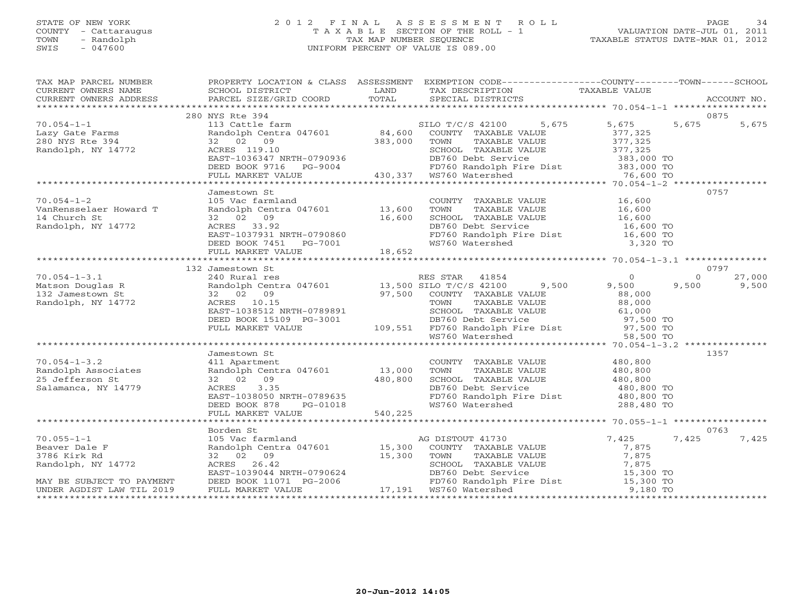#### STATE OF NEW YORK 2 0 1 2 F I N A L A S S E S S M E N T R O L L PAGE 34 COUNTY - Cattaraugus T A X A B L E SECTION OF THE ROLL - 1 VALUATION DATE-JUL 01, 2011 TOWN - Randolph TAX MAP NUMBER SEQUENCE TAXABLE STATUS DATE-MAR 01, 2012 SWIS - 047600 UNIFORM PERCENT OF VALUE IS 089.00UNIFORM PERCENT OF VALUE IS 089.00

| TAX MAP PARCEL NUMBER                                    |                                                                                                                                                                      |                          | PROPERTY LOCATION & CLASS ASSESSMENT EXEMPTION CODE----------------COUNTY-------TOWN------SCHOOL                                                                                                                                         |                    |                             |
|----------------------------------------------------------|----------------------------------------------------------------------------------------------------------------------------------------------------------------------|--------------------------|------------------------------------------------------------------------------------------------------------------------------------------------------------------------------------------------------------------------------------------|--------------------|-----------------------------|
|                                                          |                                                                                                                                                                      |                          |                                                                                                                                                                                                                                          |                    |                             |
| $70.054 - 1 - 1$                                         | 280 NYS Rte 394                                                                                                                                                      |                          |                                                                                                                                                                                                                                          | 5,675 5,675        | 0875<br>5,675<br>5,675      |
| Lazy Gate Farms<br>280 NYS Rte 394<br>Randolph, NY 14772 | 113 Cattle farm<br>113 Cattle farm<br>Randolph Centra 047601 84,600 COUNTY TAXABLE VALUE<br>32 02 09 383,000 TOWN TAXABLE VALUE<br>ACRES 119.10 SCHOOL TAXABLE VALUE |                          | TAXABLE VALUE<br>ACRES 119.10 SCHOOL TAXABLE VALUE 377,325<br>EAST-1036347 NRTH-0790936 DB760 Debt Service 383,000 TO<br>DEED BOOK 9716 PG-9004 430,337 WS760 Watershed 76,600 TO<br>FULL MARKET VALUE 430,337 WS760 Watershed 76,600 TO | 377,325<br>377,325 |                             |
|                                                          |                                                                                                                                                                      |                          |                                                                                                                                                                                                                                          |                    |                             |
|                                                          |                                                                                                                                                                      |                          |                                                                                                                                                                                                                                          |                    |                             |
|                                                          |                                                                                                                                                                      |                          |                                                                                                                                                                                                                                          |                    |                             |
|                                                          | Jamestown St                                                                                                                                                         |                          |                                                                                                                                                                                                                                          |                    | 0757                        |
| $70.054 - 1 - 2$                                         | 105 Vac farmland<br>Randolph Centra 047601 13,600                                                                                                                    |                          |                                                                                                                                                                                                                                          |                    |                             |
| VanRensselaer Howard T                                   |                                                                                                                                                                      |                          |                                                                                                                                                                                                                                          |                    |                             |
| 14 Church St<br>Randolph, NY 14772                       | 32 02 09                                                                                                                                                             | 16,600                   | COUNTY TAXABLE VALUE<br>TOWN TAXABLE VALUE<br>SCHOOL TAXABLE VALUE<br>DB760 Debt Service<br>FD760 Randolph Fire Dist<br>WS760 Watershed<br>The Dist<br>State of the M6,600 TO<br>NS760 Watershed<br>B16,600 TO<br>3,320 TO               |                    |                             |
|                                                          |                                                                                                                                                                      |                          |                                                                                                                                                                                                                                          |                    |                             |
|                                                          |                                                                                                                                                                      |                          |                                                                                                                                                                                                                                          |                    |                             |
|                                                          |                                                                                                                                                                      |                          |                                                                                                                                                                                                                                          |                    |                             |
|                                                          |                                                                                                                                                                      |                          |                                                                                                                                                                                                                                          |                    |                             |
|                                                          | 132 Jamestown St                                                                                                                                                     |                          |                                                                                                                                                                                                                                          |                    | 0797                        |
| $70.054 - 1 - 3.1$                                       | 240 Rural res                                                                                                                                                        |                          | RES STAR 41854                                                                                                                                                                                                                           | $\overline{0}$     | $0 \qquad \qquad$<br>27,000 |
| Matson Douglas R<br>132 Jamestown St                     |                                                                                                                                                                      |                          | Randolph Centra 047601 13,500 SILO T/C/S 42100 9,500 9,500                                                                                                                                                                               |                    | 9,500<br>9,500              |
|                                                          | 32 02 09                                                                                                                                                             |                          | 97,500 COUNTY TAXABLE VALUE<br>TOWN TAXABLE VALUE                                                                                                                                                                                        | 88,000             |                             |
| Randolph, NY 14772                                       | ACRES 10.15                                                                                                                                                          |                          | TAXABLE VALUE 88,000<br>TAXABLE VALUE 61,000                                                                                                                                                                                             |                    |                             |
|                                                          | EAST-1038512 NRTH-0789891                                                                                                                                            |                          |                                                                                                                                                                                                                                          |                    |                             |
|                                                          | DEED BOOK 15109 PG-3001<br>FULL MARKET VALUE                                                                                                                         |                          |                                                                                                                                                                                                                                          |                    |                             |
|                                                          |                                                                                                                                                                      |                          | 0789891 SCHOOL TAXABLE VALUE 61,000<br>PG-3001 DB760 Debt Service 97,500 TO<br>109,551 FD760 Randolph Fire Dist 97,500 TO<br>WS760 Watershed 58,500 TO                                                                                   |                    |                             |
|                                                          |                                                                                                                                                                      |                          |                                                                                                                                                                                                                                          |                    |                             |
|                                                          | Jamestown St                                                                                                                                                         |                          |                                                                                                                                                                                                                                          |                    | 1357                        |
| $70.054 - 1 - 3.2$                                       | 411 Apartment                                                                                                                                                        |                          | COUNTY TAXABLE VALUE 480,800                                                                                                                                                                                                             |                    |                             |
| Randolph Associates                                      | Randolph Centra 047601 13,000                                                                                                                                        |                          |                                                                                                                                                                                                                                          |                    |                             |
| 25 Jefferson St                                          | 32 02 09                                                                                                                                                             | 000, $\frac{1}{480,800}$ | SCHOOL TAXABLE VALUE                                                                                                                                                                                                                     |                    |                             |
| Salamanca, NY 14779                                      | ACRES<br>3.35                                                                                                                                                        |                          | PERSO Debt Service<br>FD760 Randolph Fire Dist (180,800 TO<br>WS760 Watershed (288,480 TO                                                                                                                                                |                    |                             |
|                                                          | ACRES 3.35<br>EAST-1038050 NRTH-0789635<br>DEED BOOK 878 PG-01018<br>FULL MARKET VALUE 540,225                                                                       |                          |                                                                                                                                                                                                                                          |                    |                             |
|                                                          |                                                                                                                                                                      |                          |                                                                                                                                                                                                                                          |                    |                             |
|                                                          |                                                                                                                                                                      |                          |                                                                                                                                                                                                                                          |                    |                             |
|                                                          | Borden St                                                                                                                                                            |                          |                                                                                                                                                                                                                                          |                    | 0763                        |
| $70.055 - 1 - 1$                                         |                                                                                                                                                                      |                          |                                                                                                                                                                                                                                          |                    | 7,425<br>7,425              |
| Beaver Dale F                                            |                                                                                                                                                                      |                          | Borden St<br>105 Vac farmland<br>Randolph Centra 047601 15,300 COUNTY TAXABLE VALUE 7,875<br>32 02 09 15,300 TOWN TAXABLE VALUE 7,875<br>ACRES 26.42 SCHOOL TAXABLE VALUE 7,875<br>EAST-1039044 NRTH-0790624 DB760 Debt Service 15,300 T |                    |                             |
| 3786 Kirk Rd                                             |                                                                                                                                                                      |                          |                                                                                                                                                                                                                                          |                    |                             |
| Randolph, NY 14772                                       |                                                                                                                                                                      |                          |                                                                                                                                                                                                                                          |                    |                             |
|                                                          |                                                                                                                                                                      |                          |                                                                                                                                                                                                                                          |                    |                             |
| MAY BE SUBJECT TO PAYMENT                                |                                                                                                                                                                      |                          |                                                                                                                                                                                                                                          |                    |                             |
| UNDER AGDIST LAW TIL 2019                                |                                                                                                                                                                      |                          |                                                                                                                                                                                                                                          |                    |                             |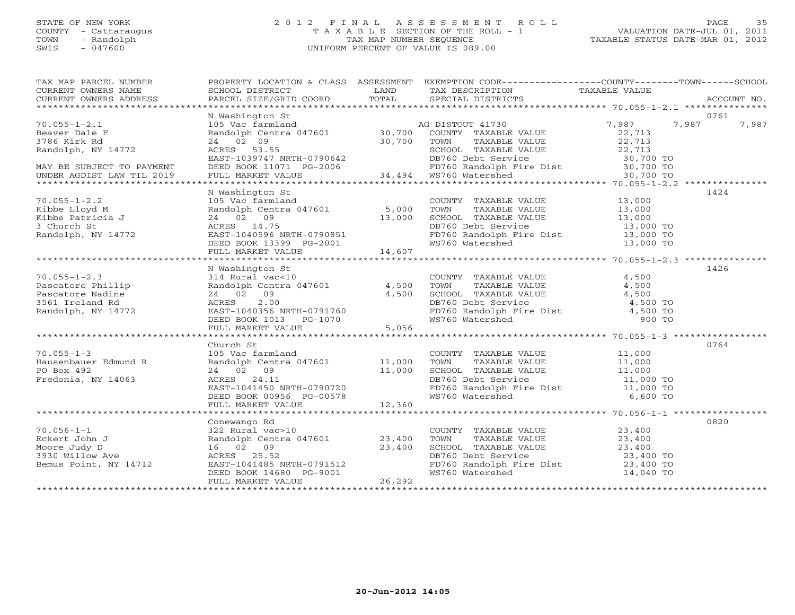#### STATE OF NEW YORK 2 0 1 2 F I N A L A S S E S S M E N T R O L L PAGE 35 COUNTY - Cattaraugus T A X A B L E SECTION OF THE ROLL - 1 VALUATION DATE-JUL 01, 2011 TOWN - Randolph TAX MAP NUMBER SEQUENCE TAXABLE STATUS DATE-MAR 01, 2012 SWIS - 047600 UNIFORM PERCENT OF VALUE IS 089.00

| TAX MAP PARCEL NUMBER                                                                                                                                                                                                                                                                                                                                                                                                                              |                                                                                                                                                                                                                                                                                                                                         |        | PROPERTY LOCATION & CLASS ASSESSMENT EXEMPTION CODE---------------COUNTY-------TOWN------SCHOOL                                                                                                   |  |      |
|----------------------------------------------------------------------------------------------------------------------------------------------------------------------------------------------------------------------------------------------------------------------------------------------------------------------------------------------------------------------------------------------------------------------------------------------------|-----------------------------------------------------------------------------------------------------------------------------------------------------------------------------------------------------------------------------------------------------------------------------------------------------------------------------------------|--------|---------------------------------------------------------------------------------------------------------------------------------------------------------------------------------------------------|--|------|
|                                                                                                                                                                                                                                                                                                                                                                                                                                                    |                                                                                                                                                                                                                                                                                                                                         |        |                                                                                                                                                                                                   |  |      |
|                                                                                                                                                                                                                                                                                                                                                                                                                                                    |                                                                                                                                                                                                                                                                                                                                         |        |                                                                                                                                                                                                   |  |      |
|                                                                                                                                                                                                                                                                                                                                                                                                                                                    |                                                                                                                                                                                                                                                                                                                                         |        |                                                                                                                                                                                                   |  |      |
| $\begin{tabular}{lllllllllllll} \hline 70.055-1-2.1 & \multicolumn{3}{c }{\textbf{N}} & \multicolumn{3}{c }{\textbf{N}} & \multicolumn{3}{c }{\textbf{N}} & \multicolumn{3}{c }{\textbf{N}} & \multicolumn{3}{c }{\textbf{N}} & \multicolumn{3}{c }{\textbf{N}} & \multicolumn{3}{c }{\textbf{N}} & \multicolumn{3}{c }{\textbf{N}} & \multicolumn{3}{c }{\textbf{N}} & \multicolumn{3}{c }{\textbf{N}} & \multicolumn{3}{c }{\textbf{N}} & \mult$ |                                                                                                                                                                                                                                                                                                                                         |        |                                                                                                                                                                                                   |  |      |
|                                                                                                                                                                                                                                                                                                                                                                                                                                                    |                                                                                                                                                                                                                                                                                                                                         |        |                                                                                                                                                                                                   |  |      |
|                                                                                                                                                                                                                                                                                                                                                                                                                                                    |                                                                                                                                                                                                                                                                                                                                         |        |                                                                                                                                                                                                   |  |      |
|                                                                                                                                                                                                                                                                                                                                                                                                                                                    |                                                                                                                                                                                                                                                                                                                                         |        |                                                                                                                                                                                                   |  |      |
|                                                                                                                                                                                                                                                                                                                                                                                                                                                    |                                                                                                                                                                                                                                                                                                                                         |        |                                                                                                                                                                                                   |  |      |
|                                                                                                                                                                                                                                                                                                                                                                                                                                                    |                                                                                                                                                                                                                                                                                                                                         |        |                                                                                                                                                                                                   |  |      |
|                                                                                                                                                                                                                                                                                                                                                                                                                                                    |                                                                                                                                                                                                                                                                                                                                         |        |                                                                                                                                                                                                   |  |      |
|                                                                                                                                                                                                                                                                                                                                                                                                                                                    |                                                                                                                                                                                                                                                                                                                                         |        |                                                                                                                                                                                                   |  |      |
|                                                                                                                                                                                                                                                                                                                                                                                                                                                    | N Washington St                                                                                                                                                                                                                                                                                                                         |        |                                                                                                                                                                                                   |  | 1424 |
|                                                                                                                                                                                                                                                                                                                                                                                                                                                    |                                                                                                                                                                                                                                                                                                                                         |        |                                                                                                                                                                                                   |  |      |
|                                                                                                                                                                                                                                                                                                                                                                                                                                                    |                                                                                                                                                                                                                                                                                                                                         |        |                                                                                                                                                                                                   |  |      |
| Kibbe Lloyd M<br>Kibbe Patricia J<br>3 Church St<br>Randolph, NY 14772                                                                                                                                                                                                                                                                                                                                                                             |                                                                                                                                                                                                                                                                                                                                         |        |                                                                                                                                                                                                   |  |      |
|                                                                                                                                                                                                                                                                                                                                                                                                                                                    |                                                                                                                                                                                                                                                                                                                                         |        |                                                                                                                                                                                                   |  |      |
|                                                                                                                                                                                                                                                                                                                                                                                                                                                    |                                                                                                                                                                                                                                                                                                                                         |        |                                                                                                                                                                                                   |  |      |
|                                                                                                                                                                                                                                                                                                                                                                                                                                                    |                                                                                                                                                                                                                                                                                                                                         |        |                                                                                                                                                                                                   |  |      |
|                                                                                                                                                                                                                                                                                                                                                                                                                                                    |                                                                                                                                                                                                                                                                                                                                         |        |                                                                                                                                                                                                   |  |      |
|                                                                                                                                                                                                                                                                                                                                                                                                                                                    |                                                                                                                                                                                                                                                                                                                                         |        |                                                                                                                                                                                                   |  |      |
|                                                                                                                                                                                                                                                                                                                                                                                                                                                    | N Washington St                                                                                                                                                                                                                                                                                                                         |        |                                                                                                                                                                                                   |  | 1426 |
| $70.055 - 1 - 2.3$                                                                                                                                                                                                                                                                                                                                                                                                                                 |                                                                                                                                                                                                                                                                                                                                         |        |                                                                                                                                                                                                   |  |      |
| Pascatore Phillip<br>Pascatore Nadine<br>3561 Ireland Rd<br>Randolph, NY 14772                                                                                                                                                                                                                                                                                                                                                                     |                                                                                                                                                                                                                                                                                                                                         |        |                                                                                                                                                                                                   |  |      |
|                                                                                                                                                                                                                                                                                                                                                                                                                                                    |                                                                                                                                                                                                                                                                                                                                         |        |                                                                                                                                                                                                   |  |      |
|                                                                                                                                                                                                                                                                                                                                                                                                                                                    |                                                                                                                                                                                                                                                                                                                                         |        |                                                                                                                                                                                                   |  |      |
|                                                                                                                                                                                                                                                                                                                                                                                                                                                    |                                                                                                                                                                                                                                                                                                                                         |        |                                                                                                                                                                                                   |  |      |
|                                                                                                                                                                                                                                                                                                                                                                                                                                                    | N WASHLINGTON SUN TRAVABLE VALUE<br>314 Rural Vac<10<br>Randolph Centra 047601 4,500 TOWN TAXABLE VALUE 4,500<br>24 02 09 4,500 SCHOOL TAXABLE VALUE 4,500<br>ACRES 2.00 DB760 Debt Service 4,500 TO<br>EAST-1040356 NRTH-0791760 FD760<br>ACRES 2.00<br>EAST-1040356 NRTH-0791760<br>DEED BOOK 1013 PG-1070<br>FULL MARKET VALUE 5,056 |        |                                                                                                                                                                                                   |  |      |
|                                                                                                                                                                                                                                                                                                                                                                                                                                                    |                                                                                                                                                                                                                                                                                                                                         |        |                                                                                                                                                                                                   |  |      |
|                                                                                                                                                                                                                                                                                                                                                                                                                                                    |                                                                                                                                                                                                                                                                                                                                         |        |                                                                                                                                                                                                   |  |      |
|                                                                                                                                                                                                                                                                                                                                                                                                                                                    | Church St                                                                                                                                                                                                                                                                                                                               |        |                                                                                                                                                                                                   |  | 0764 |
|                                                                                                                                                                                                                                                                                                                                                                                                                                                    |                                                                                                                                                                                                                                                                                                                                         |        |                                                                                                                                                                                                   |  |      |
|                                                                                                                                                                                                                                                                                                                                                                                                                                                    |                                                                                                                                                                                                                                                                                                                                         |        |                                                                                                                                                                                                   |  |      |
| PO Box 492                                                                                                                                                                                                                                                                                                                                                                                                                                         | 24 02 09                                                                                                                                                                                                                                                                                                                                | 11,000 |                                                                                                                                                                                                   |  |      |
| Fredonia, NY 14063                                                                                                                                                                                                                                                                                                                                                                                                                                 |                                                                                                                                                                                                                                                                                                                                         |        | COUNTY TAXABLE VALUE<br>TOWN TAXABLE VALUE 11,000<br>SCHOOL TAXABLE VALUE 11,000<br>DB760 Debt Service 11,000 TO<br>FD760 Randolph Fire Dist 11,000 TO<br>WS760 Watershed 6,600 TO                |  |      |
|                                                                                                                                                                                                                                                                                                                                                                                                                                                    |                                                                                                                                                                                                                                                                                                                                         |        |                                                                                                                                                                                                   |  |      |
|                                                                                                                                                                                                                                                                                                                                                                                                                                                    |                                                                                                                                                                                                                                                                                                                                         |        |                                                                                                                                                                                                   |  |      |
|                                                                                                                                                                                                                                                                                                                                                                                                                                                    |                                                                                                                                                                                                                                                                                                                                         |        |                                                                                                                                                                                                   |  |      |
|                                                                                                                                                                                                                                                                                                                                                                                                                                                    | Conewango Rd                                                                                                                                                                                                                                                                                                                            |        |                                                                                                                                                                                                   |  | 0820 |
| $70.056 - 1 - 1$                                                                                                                                                                                                                                                                                                                                                                                                                                   | 322 Rural vac>10                                                                                                                                                                                                                                                                                                                        |        |                                                                                                                                                                                                   |  |      |
|                                                                                                                                                                                                                                                                                                                                                                                                                                                    |                                                                                                                                                                                                                                                                                                                                         |        | $\begin{tabular}{llllll} \multicolumn{2}{c}{\textbf{COUNTY}} & \textbf{TAXABLE VALUE} & & & & 23,400 \\ \multicolumn{2}{c}{\textbf{TOWN}} & \textbf{TAXABLE VALUE} & & & 23,400 \\ \end{tabular}$ |  |      |
|                                                                                                                                                                                                                                                                                                                                                                                                                                                    |                                                                                                                                                                                                                                                                                                                                         |        |                                                                                                                                                                                                   |  |      |
|                                                                                                                                                                                                                                                                                                                                                                                                                                                    |                                                                                                                                                                                                                                                                                                                                         |        | SCHOOL TAXABLE VALUE $23,400$<br>DB760 Debt Service 23,400 TO                                                                                                                                     |  |      |
|                                                                                                                                                                                                                                                                                                                                                                                                                                                    |                                                                                                                                                                                                                                                                                                                                         |        |                                                                                                                                                                                                   |  |      |
|                                                                                                                                                                                                                                                                                                                                                                                                                                                    | EAST-1041485 NRTH-0791512<br>DEED BOOK 14680 PG-9001<br>FULL MARKET WALLER                                                                                                                                                                                                                                                              |        | FD760 Randolph Fire Dist 23,400 TO<br>WS760 Watershed 14,040 TO                                                                                                                                   |  |      |
|                                                                                                                                                                                                                                                                                                                                                                                                                                                    | FULL MARKET VALUE                                                                                                                                                                                                                                                                                                                       | 26,292 |                                                                                                                                                                                                   |  |      |
|                                                                                                                                                                                                                                                                                                                                                                                                                                                    |                                                                                                                                                                                                                                                                                                                                         |        |                                                                                                                                                                                                   |  |      |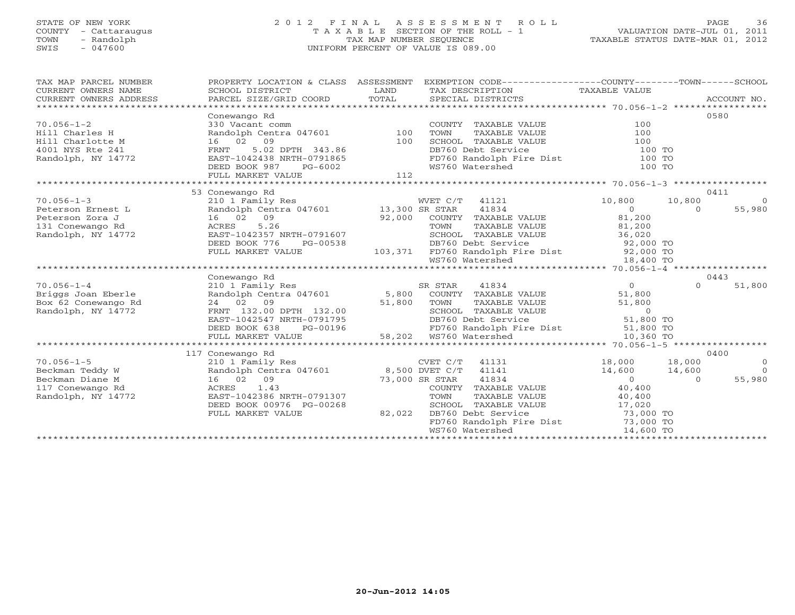# STATE OF NEW YORK 2 0 1 2 F I N A L A S S E S S M E N T R O L L PAGE 36 COUNTY - Cattaraugus T A X A B L E SECTION OF THE ROLL - 1 VALUATION DATE-JUL 01, 2011 TOWN - Randolph TAX MAP NUMBER SEQUENCE TAXABLE STATUS DATE-MAR 01, 2012 SWIS - 047600 UNIFORM PERCENT OF VALUE IS 089.00

| TAX MAP PARCEL NUMBER<br>CURRENT OWNERS NAME                                                                                                                                                                                                                                                                                                                                                                                                                                                          | PROPERTY LOCATION & CLASS ASSESSMENT EXEMPTION CODE---------------COUNTY-------TOWN------SCHOOL                                                  |        |                                                                                                                  |                                            |                                  |
|-------------------------------------------------------------------------------------------------------------------------------------------------------------------------------------------------------------------------------------------------------------------------------------------------------------------------------------------------------------------------------------------------------------------------------------------------------------------------------------------------------|--------------------------------------------------------------------------------------------------------------------------------------------------|--------|------------------------------------------------------------------------------------------------------------------|--------------------------------------------|----------------------------------|
| $\begin{tabular}{lllllll} \multicolumn{2}{l}{{\small\sc{CURRENT}}}& $\text{MME}$ & $\text{SCHOOL} & $\text{DISTRICT}$ & $\text{LAND}$ & $\text{TAX} & $\text{DESCRIPTION}$ & $\text{TAXABLE} & $\text{VALUE}$ \\ & $\text{CURRENT} & $\text{ADDRES} & $\text{ADDRES} & $\text{PACCOUNT} & $\text{NO} \text{.} \\ & $\text{PARCEL} & $\text{SIZE/GRID} & $\text{COORD}$ & $\text{TOTAL}$ & $\text{SPECIAL} & $\text{DISTRICTS} & $\text{70.056-1-2}$ & $\text{***}\text{***$<br>CURRENT OWNERS ADDRESS |                                                                                                                                                  |        |                                                                                                                  |                                            |                                  |
|                                                                                                                                                                                                                                                                                                                                                                                                                                                                                                       | Conewango Rd                                                                                                                                     |        |                                                                                                                  |                                            | 0580                             |
| $70.056 - 1 - 2$                                                                                                                                                                                                                                                                                                                                                                                                                                                                                      | 330 Vacant comm<br>Randolph Centra 047601 100<br>16 02 09 100                                                                                    |        | COUNTY TAXABLE VALUE                                                                                             | 100                                        |                                  |
| Hill Charles H                                                                                                                                                                                                                                                                                                                                                                                                                                                                                        |                                                                                                                                                  |        | TAXABLE VALUE<br>TOWN                                                                                            | 100                                        |                                  |
| Hill Charlotte M                                                                                                                                                                                                                                                                                                                                                                                                                                                                                      |                                                                                                                                                  |        | SCHOOL TAXABLE VALUE                                                                                             | 100                                        |                                  |
| 4001 NYS Rte 241                                                                                                                                                                                                                                                                                                                                                                                                                                                                                      |                                                                                                                                                  |        |                                                                                                                  |                                            |                                  |
| Randolph, NY 14772                                                                                                                                                                                                                                                                                                                                                                                                                                                                                    |                                                                                                                                                  |        |                                                                                                                  |                                            |                                  |
|                                                                                                                                                                                                                                                                                                                                                                                                                                                                                                       |                                                                                                                                                  |        | DB760 Debt Service 100 TO<br>FD760 Randolph Fire Dist 100 TO<br>WS760 Watershed 100 TO                           |                                            |                                  |
|                                                                                                                                                                                                                                                                                                                                                                                                                                                                                                       | FULL MARKET VALUE                                                                                                                                | 112    |                                                                                                                  |                                            |                                  |
|                                                                                                                                                                                                                                                                                                                                                                                                                                                                                                       |                                                                                                                                                  |        |                                                                                                                  |                                            |                                  |
|                                                                                                                                                                                                                                                                                                                                                                                                                                                                                                       | 53 Conewango Rd                                                                                                                                  |        |                                                                                                                  |                                            | 0411                             |
| $70.056 - 1 - 3$                                                                                                                                                                                                                                                                                                                                                                                                                                                                                      | 210 1 Family Res                                                                                                                                 |        | WVET C/T 41121                                                                                                   | 10,800                                     | 10,800<br>$\overline{0}$         |
|                                                                                                                                                                                                                                                                                                                                                                                                                                                                                                       |                                                                                                                                                  |        | 41834                                                                                                            | $\begin{array}{c} 0 \\ 81,200 \end{array}$ | 55,980<br>$\overline{0}$         |
|                                                                                                                                                                                                                                                                                                                                                                                                                                                                                                       |                                                                                                                                                  |        | 92,000 COUNTY TAXABLE VALUE 81,200<br>TOWN TAXABLE VALUE 81,200                                                  |                                            |                                  |
|                                                                                                                                                                                                                                                                                                                                                                                                                                                                                                       |                                                                                                                                                  |        |                                                                                                                  |                                            |                                  |
| Randolph, NY 14772                                                                                                                                                                                                                                                                                                                                                                                                                                                                                    | EAST-1042357 NRTH-0791607                                                                                                                        |        | SCHOOL TAXABLE VALUE 36,020                                                                                      |                                            |                                  |
|                                                                                                                                                                                                                                                                                                                                                                                                                                                                                                       | DEED BOOK 776 PG-00538 DB760 Debt Service 92,000 TO<br>FULL MARKET VALUE 103,371 FD760 Randolph Fire Dist 92,000 TO<br>WS760 Watershed 18,400 TO |        |                                                                                                                  |                                            |                                  |
|                                                                                                                                                                                                                                                                                                                                                                                                                                                                                                       |                                                                                                                                                  |        |                                                                                                                  |                                            |                                  |
|                                                                                                                                                                                                                                                                                                                                                                                                                                                                                                       |                                                                                                                                                  |        |                                                                                                                  |                                            |                                  |
|                                                                                                                                                                                                                                                                                                                                                                                                                                                                                                       |                                                                                                                                                  |        |                                                                                                                  |                                            |                                  |
|                                                                                                                                                                                                                                                                                                                                                                                                                                                                                                       | Conewango Rd                                                                                                                                     |        |                                                                                                                  |                                            | 0443                             |
| $70.056 - 1 - 4$                                                                                                                                                                                                                                                                                                                                                                                                                                                                                      | 210 1 Family Res                                                                                                                                 |        | SR STAR 41834                                                                                                    | $\overline{0}$                             | $\Omega$<br>51,800               |
| Briggs Joan Eberle                                                                                                                                                                                                                                                                                                                                                                                                                                                                                    | Randolph Centra 047601 5,800 COUNTY TAXABLE VALUE                                                                                                |        |                                                                                                                  | 51,800                                     |                                  |
| Box 62 Conewango Rd                                                                                                                                                                                                                                                                                                                                                                                                                                                                                   | 24 02 09 51,800 TOWN<br>FRNT 132.00 DPTH 132.00 51,800 SCHOO<br>EAST-1042547 NRTH-0791795 DB760                                                  |        | TOWN TAXABLE VALUE 51,800<br>SCHOOL TAXABLE VALUE 0<br>DB760 Debt Service 51,800 TO                              |                                            |                                  |
| Randolph, NY 14772                                                                                                                                                                                                                                                                                                                                                                                                                                                                                    |                                                                                                                                                  |        |                                                                                                                  |                                            |                                  |
|                                                                                                                                                                                                                                                                                                                                                                                                                                                                                                       |                                                                                                                                                  |        |                                                                                                                  |                                            |                                  |
|                                                                                                                                                                                                                                                                                                                                                                                                                                                                                                       | DEED BOOK 638                                                                                                                                    |        | PG-00196<br>PG-00196 58,202 WS760 Natershed<br>ALUE 58,202 WS760 Natershed<br>FD760 Randolph Fire Dist 51,800 TO |                                            |                                  |
|                                                                                                                                                                                                                                                                                                                                                                                                                                                                                                       | FULL MARKET VALUE                                                                                                                                |        |                                                                                                                  | 10,360 TO                                  |                                  |
|                                                                                                                                                                                                                                                                                                                                                                                                                                                                                                       |                                                                                                                                                  |        |                                                                                                                  |                                            |                                  |
|                                                                                                                                                                                                                                                                                                                                                                                                                                                                                                       | 117 Conewango Rd                                                                                                                                 |        |                                                                                                                  |                                            | 0400                             |
| $70.056 - 1 - 5$                                                                                                                                                                                                                                                                                                                                                                                                                                                                                      |                                                                                                                                                  |        | CVET C/T 41131 18,000 18,000                                                                                     |                                            | $\overline{0}$<br>$\overline{a}$ |
| Beckman Teddy W<br>Randolph Cent<br>16 02 09<br>ACRES 1.43<br>Beckman Diane M                                                                                                                                                                                                                                                                                                                                                                                                                         | 210 1 Family Res<br>Randolph Centra 047601 8,500 DVET C/T 41141<br>16 02 09 73,000 SR STAR 41834<br>ACRES 1.43 COUNTY TAXABLE                    |        |                                                                                                                  | $14,600$ $14,600$ 0                        | 55,980                           |
| 117 Conewango Rd                                                                                                                                                                                                                                                                                                                                                                                                                                                                                      | ACRES 1.43                                                                                                                                       |        | COUNTY TAXABLE VALUE 40,400                                                                                      |                                            |                                  |
| Randolph, NY 14772                                                                                                                                                                                                                                                                                                                                                                                                                                                                                    | EAST-1042386 NRTH-0791307                                                                                                                        |        | TOWN                                                                                                             |                                            |                                  |
|                                                                                                                                                                                                                                                                                                                                                                                                                                                                                                       | DEED BOOK 00976 PG-00268                                                                                                                         |        |                                                                                                                  | TAXABLE VALUE 40,400                       |                                  |
|                                                                                                                                                                                                                                                                                                                                                                                                                                                                                                       | FULL MARKET VALUE                                                                                                                                | 82,022 | SCHOOL TAXABLE VALUE 17,020<br>DB760 Debt Service 73,000 TO<br>DB760 Debt Service                                |                                            |                                  |
|                                                                                                                                                                                                                                                                                                                                                                                                                                                                                                       |                                                                                                                                                  |        | FD760 Randolph Fire Dist 73,000 TO                                                                               |                                            |                                  |
|                                                                                                                                                                                                                                                                                                                                                                                                                                                                                                       |                                                                                                                                                  |        | WS760 Watershed 14,600 TO                                                                                        |                                            |                                  |
|                                                                                                                                                                                                                                                                                                                                                                                                                                                                                                       |                                                                                                                                                  |        |                                                                                                                  |                                            |                                  |
|                                                                                                                                                                                                                                                                                                                                                                                                                                                                                                       |                                                                                                                                                  |        |                                                                                                                  |                                            |                                  |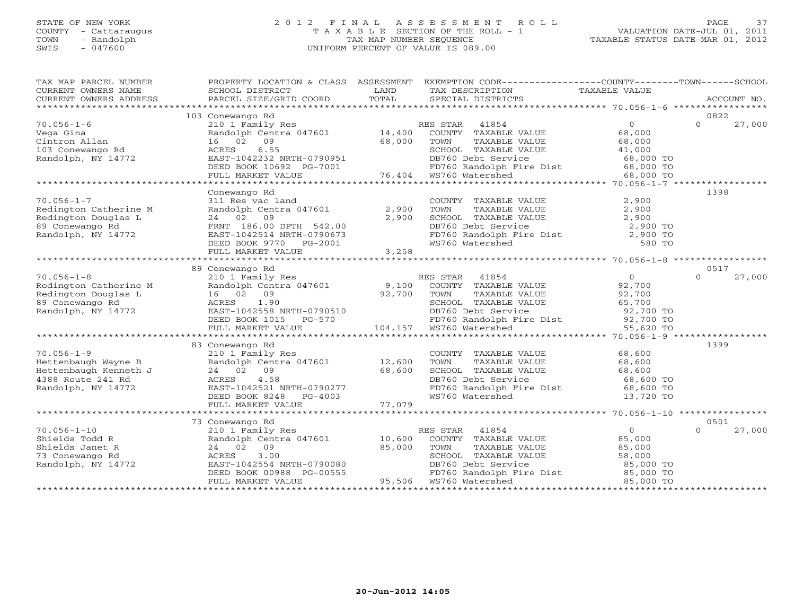# STATE OF NEW YORK 2 0 1 2 F I N A L A S S E S S M E N T R O L L PAGE 37 COUNTY - Cattaraugus T A X A B L E SECTION OF THE ROLL - 1 VALUATION DATE-JUL 01, 2011 TOWN - Randolph TAX MAP NUMBER SEQUENCE TAXABLE STATUS DATE-MAR 01, 2012 SWIS - 047600 UNIFORM PERCENT OF VALUE IS 089.00

| TAX MAP PARCEL NUMBER<br>CURRENT OWNERS NAME<br>CURRENT OWNERS ADDRESS | PROPERTY LOCATION & CLASS ASSESSMENT<br>SCHOOL DISTRICT<br>PARCEL SIZE/GRID COORD | LAND<br>TOTAL | EXEMPTION CODE----------------COUNTY-------TOWN------SCHOOL<br>TAX DESCRIPTION TAXABLE VALUE<br>SPECIAL DISTRICTS |                     | ACCOUNT NO.        |
|------------------------------------------------------------------------|-----------------------------------------------------------------------------------|---------------|-------------------------------------------------------------------------------------------------------------------|---------------------|--------------------|
|                                                                        | 103 Conewango Rd                                                                  |               |                                                                                                                   |                     | 0822               |
| $70.056 - 1 - 6$                                                       | 210 1 Family Res                                                                  |               | RES STAR<br>41854                                                                                                 | $\overline{0}$      | $\Omega$<br>27,000 |
|                                                                        | Randolph Centra 047601                                                            | 14,400        | COUNTY TAXABLE VALUE                                                                                              | 68,000              |                    |
| Vega Gina<br>Cintron Allan                                             | 16 02 09                                                                          | 68,000        | TOWN<br>TAXABLE VALUE                                                                                             | 68,000              |                    |
| 103 Conewango Rd                                                       | 6.55<br>ACRES                                                                     |               | SCHOOL TAXABLE VALUE                                                                                              |                     |                    |
| Randolph, NY 14772                                                     | EAST-1042232 NRTH-0790951                                                         |               | DB760 Debt Service                                                                                                | 41,000<br>68,000 TO |                    |
|                                                                        | DEED BOOK 10692 PG-7001                                                           |               | FD760 Randolph Fire Dist                                                                                          | 68,000 TO           |                    |
|                                                                        | FULL MARKET VALUE                                                                 |               | 76,404 WS760 Watershed                                                                                            | 68,000 TO           |                    |
|                                                                        |                                                                                   |               |                                                                                                                   |                     |                    |
|                                                                        | Conewango Rd                                                                      |               |                                                                                                                   |                     | 1398               |
| $70.056 - 1 - 7$                                                       | 311 Res vac land                                                                  |               | COUNTY TAXABLE VALUE                                                                                              | 2,900               |                    |
| Redington Catherine M                                                  | Randolph Centra 047601                                                            | 2,900         | TOWN<br>TAXABLE VALUE                                                                                             | 2,900               |                    |
| Redington Douglas L                                                    | 24 02 09                                                                          | 2,900         | SCHOOL TAXABLE VALUE                                                                                              | 2,900               |                    |
| 89 Conewango Rd                                                        | FRNT 186.00 DPTH 542.00                                                           |               | DB760 Debt Service                                                                                                | 2,900 TO            |                    |
| Randolph, NY 14772                                                     | EAST-1042514 NRTH-0790673                                                         |               |                                                                                                                   | 2,900 TO            |                    |
|                                                                        | DEED BOOK 9770 PG-2001                                                            |               | FD760 Randolph Fire Dist<br>WS760 Watershed                                                                       | 580 TO              |                    |
|                                                                        | FULL MARKET VALUE                                                                 | 3,258         |                                                                                                                   |                     |                    |
|                                                                        |                                                                                   |               |                                                                                                                   |                     |                    |
|                                                                        | 89 Conewango Rd                                                                   |               |                                                                                                                   |                     | 0517               |
| $70.056 - 1 - 8$                                                       | 210 1 Family Res                                                                  |               | RES STAR<br>41854                                                                                                 | $\overline{0}$      | 27,000<br>$\Omega$ |
| Redington Catherine M                                                  | Randolph Centra 047601                                                            | 9,100         | COUNTY TAXABLE VALUE                                                                                              | 92,700              |                    |
| Redington Douglas L                                                    | 16 02 09                                                                          | 92,700        | TAXABLE VALUE<br>TOWN                                                                                             | 92,700              |                    |
| 89 Conewango Rd                                                        | 1.90<br>ACRES                                                                     |               | SCHOOL TAXABLE VALUE                                                                                              | 65,700              |                    |
| Randolph, NY 14772                                                     | EAST-1042558 NRTH-0790510                                                         |               | DB760 Debt Service                                                                                                | 92,700 TO           |                    |
|                                                                        | DEED BOOK 1015<br>PG-570                                                          |               | FD760 Randolph Fire Dist 92,700 TO                                                                                |                     |                    |
|                                                                        | FULL MARKET VALUE                                                                 | 104,157       | WS760 Watershed                                                                                                   | 55,620 TO           |                    |
|                                                                        |                                                                                   |               |                                                                                                                   |                     |                    |
|                                                                        | 83 Conewango Rd                                                                   |               |                                                                                                                   |                     | 1399               |
| $70.056 - 1 - 9$                                                       | 210 1 Family Res                                                                  |               | COUNTY TAXABLE VALUE                                                                                              | 68,600              |                    |
| Hettenbaugh Wayne B                                                    | Randolph Centra 047601                                                            | 12,600        | TOWN<br>TAXABLE VALUE                                                                                             | 68,600              |                    |
| Hettenbaugh Kenneth J                                                  | 24 02 09                                                                          | 68,600        | SCHOOL TAXABLE VALUE                                                                                              | 68,600              |                    |
| 4388 Route 241 Rd                                                      | 4.58<br>ACRES                                                                     |               | DB760 Debt Service                                                                                                | 68,600 TO           |                    |
| Randolph, NY 14772                                                     | EAST-1042521 NRTH-0790277                                                         |               | FD760 Randolph Fire Dist                                                                                          | 68,600 TO           |                    |
|                                                                        | DEED BOOK 8248<br>PG-4003                                                         |               | WS760 Watershed                                                                                                   | 13,720 TO           |                    |
|                                                                        | FULL MARKET VALUE                                                                 | 77,079        |                                                                                                                   |                     |                    |
|                                                                        |                                                                                   |               |                                                                                                                   |                     |                    |
|                                                                        | 73 Conewango Rd                                                                   |               |                                                                                                                   |                     | 0501               |
| $70.056 - 1 - 10$                                                      | 210 1 Family Res                                                                  |               | 41854<br>RES STAR                                                                                                 | $\overline{0}$      | 27,000<br>$\Omega$ |
| Shields Todd R                                                         | Randolph Centra 047601                                                            | 10,600        | COUNTY TAXABLE VALUE                                                                                              | 85,000              |                    |
| Shields Janet R                                                        | 09<br>24 02                                                                       | 85,000        | TOWN<br>TAXABLE VALUE                                                                                             | 85,000              |                    |
| 73 Conewango Rd                                                        | 3.00<br>ACRES                                                                     |               | SCHOOL TAXABLE VALUE                                                                                              | 58,000              |                    |
| Randolph, NY 14772                                                     | EAST-1042554 NRTH-0790080                                                         |               | DB760 Debt Service                                                                                                | 85,000 TO           |                    |
|                                                                        | DEED BOOK 00988 PG-00555                                                          |               | FD760 Randolph Fire Dist                                                                                          | 85,000 TO           |                    |
|                                                                        | FULL MARKET VALUE                                                                 | 95,506        | WS760 Watershed                                                                                                   | 85,000 TO           |                    |
|                                                                        |                                                                                   |               |                                                                                                                   |                     |                    |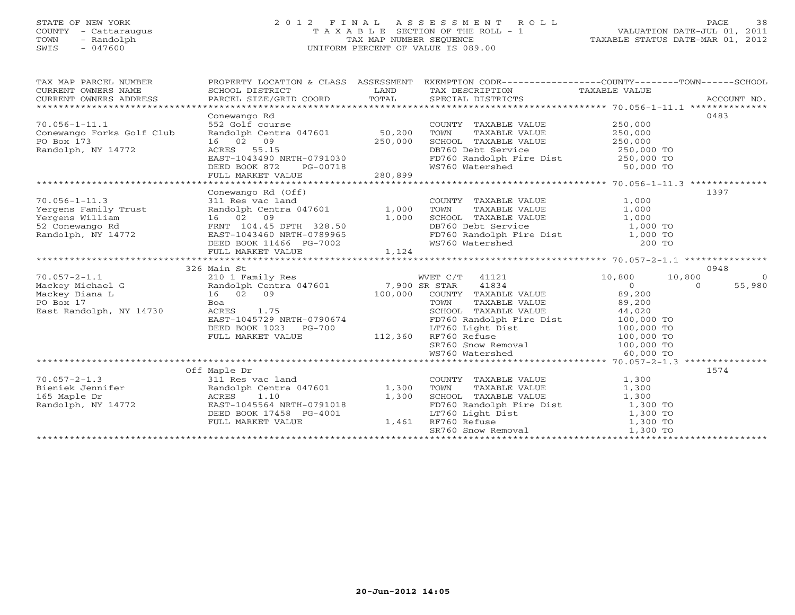#### STATE OF NEW YORK 2 0 1 2 F I N A L A S S E S S M E N T R O L L PAGE 38 COUNTY - Cattaraugus T A X A B L E SECTION OF THE ROLL - 1 VALUATION DATE-JUL 01, 2011 TOWN - Randolph TAX MAP NUMBER SEQUENCE TAXABLE STATUS DATE-MAR 01, 2012 SWIS - 047600 UNIFORM PERCENT OF VALUE IS 089.00UNIFORM PERCENT OF VALUE IS 089.00

| TAX MAP PARCEL NUMBER<br>CURRENT OWNERS NAME<br>CURRENT OWNERS ADDRESS                                      | SCHOOL DISTRICT LAND<br>PARCEL SIZE/GRID COORD TOTAL                                                                                                                  |                | PROPERTY LOCATION & CLASS ASSESSMENT EXEMPTION CODE---------------COUNTY-------TOWN------SCHOOL<br>TAX DESCRIPTION TAXABLE VALUE SPECIAL DISTRICTS<br>SPECIAL DISTRICTS                                                                                                        |                                                                 | ACCOUNT NO.        |
|-------------------------------------------------------------------------------------------------------------|-----------------------------------------------------------------------------------------------------------------------------------------------------------------------|----------------|--------------------------------------------------------------------------------------------------------------------------------------------------------------------------------------------------------------------------------------------------------------------------------|-----------------------------------------------------------------|--------------------|
| $70.056 - 1 - 11.1$<br>Conewango Forks Golf Club<br>PO Box 173<br>Randolph, NY 14772                        | Conewango Rd<br>552 Golf course<br>16 02 09<br>ACRES 55.15<br>EAST-1043490 NRTH-0791030<br>DEED BOOK 872 PG-00718<br>FULL MARKET VALUE 280,899                        | 250,000        | COUNTY TAXABLE VALUE<br>TOWN<br>TAXABLE VALUE<br>SCHOOL TAXABLE VALUE 250,000<br>DB760 Debt Service<br>FD760 Randolph Fire Dist 250,000 TO<br>WS760 Watershed 50,000 TO                                                                                                        | 250,000<br>250,000<br>250,000 TO                                | 0483               |
|                                                                                                             |                                                                                                                                                                       |                |                                                                                                                                                                                                                                                                                |                                                                 |                    |
| $70.056 - 1 - 11.3$<br>Yergens Family Trust<br><sub></sub> william<br>52 Conewango Rd<br>Randolph, NY 14772 | Conewango Rd (Off)<br>311 Res vac land<br>Randolph Centra 047601 1,000<br>16 02 09<br>FRNT 104.45 DPTH 328.50<br>EAST-1043460 NRTH-0789965<br>DEED BOOK 11466 PG-7002 | 1,000          | COUNTY TAXABLE VALUE<br>TOWN TAXABLE VALUE<br>SCHOOL TAXABLE VALUE 1,000<br>DB760 Debt Service 1,000 TO<br>FD760 Randolph Fire Dist 1,000 TO<br>WS760 Watershed 200 TO                                                                                                         | 1,000<br>1,000                                                  | 1397               |
|                                                                                                             | FULL MARKET VALUE                                                                                                                                                     | 1,124          |                                                                                                                                                                                                                                                                                |                                                                 |                    |
|                                                                                                             | 326 Main St                                                                                                                                                           |                |                                                                                                                                                                                                                                                                                |                                                                 | 0948               |
| $70.057 - 2 - 1.1$<br>Mackey Michael G                                                                      | 210 1 Family Res<br>Randolph Centra 047601 7,900 SR STAR                                                                                                              |                | WVET C/T 41121 10,800                                                                                                                                                                                                                                                          | 10,800                                                          | $\bigcirc$         |
| Mackey Diana L<br>PO Box 17<br>East Randolph, NY 14730                                                      | $\frac{16}{B}$ 02 09<br>100,000<br>Boa<br>ACRES 1.75<br>EAST-1045729 NRTH-0790674<br>DEED BOOK 1023 PG-700<br>FULL MARKET VALUE 112,360                               |                | 41834<br>COUNTY TAXABLE VALUE $89,200$<br>TOWN TAXABLE VALUE $89,200$<br>SCHOOL TAXABLE VALUE $44,020$<br>PD760 Randolph Fire Dist<br>ID760 Randolph Fire Dist<br>ID760 Light Dist<br>RF760 Refuse 100,000 TO<br>SR760 Snow Removal 100,000 TO<br>WS760 Watershed WS760 Waters | $\begin{array}{c} 0 \ 89,200 \ 89,200 \end{array}$<br>60,000 TO | 55,980<br>$\Omega$ |
|                                                                                                             |                                                                                                                                                                       |                |                                                                                                                                                                                                                                                                                |                                                                 |                    |
| $70.057 - 2 - 1.3$<br>Bieniek Jennifer<br>165 Maple Dr<br>Randolph, NY 14772<br>Randolph, NY 14772          | Off Maple Dr<br>311 Res vac land<br>Randolph Centra 047601 1,300<br>ACRES 1.10<br>EAST-1045564 NRTH-0791018<br>DEED BOOK 17458 PG-4001<br>FULL MARKET VALUE           | 1,300<br>1,461 | COUNTY TAXABLE VALUE<br>TOWN<br>TAXABLE VALUE<br>SCHOOL TAXABLE VALUE<br>FD760 Randolph Fire Dist<br>LT760 Light Dist<br>RF760 Refuse<br>SR760 Snow Removal<br>1,300 TO<br>SR760 Snow Removal<br>1,300 TO<br>1,300 TO<br>1,300 TO                                              | 1,300<br>1,300                                                  | 1574               |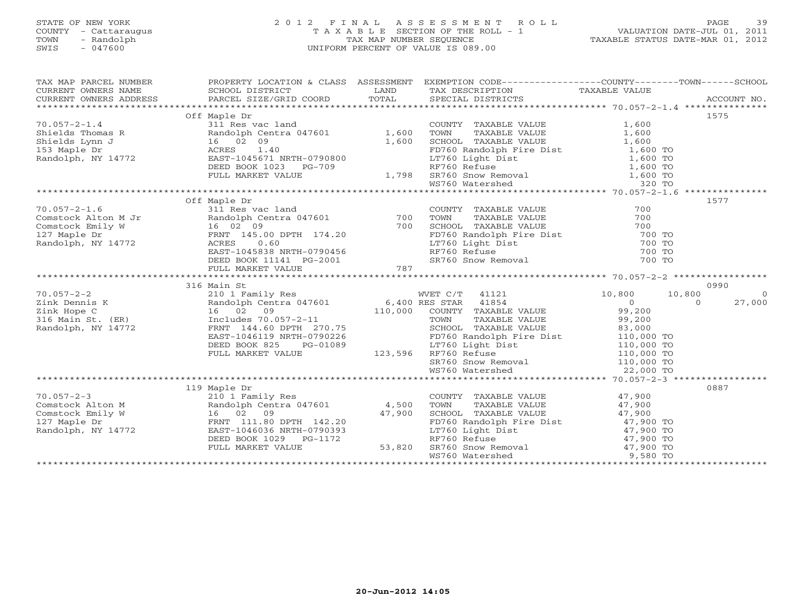### STATE OF NEW YORK 2 0 1 2 F I N A L A S S E S S M E N T R O L L PAGE 39COUNTY - Cattaraugus T A X A B L E SECTION OF THE ROLL - 1<br>
TOWN - Randolph TAX MAP NUMBER SEQUENCE<br>
SWIS - 047600 SWIS - 047600 UNIFORM PERCENT OF VALUE IS 089.00

| TAX MAP PARCEL NUMBER                                                                                                                                                                                                                                  |              |                                                                                                                                                                                                                                                      | PROPERTY LOCATION & CLASS ASSESSMENT EXEMPTION CODE---------------COUNTY-------TOWN------SCHOOL<br>TA PIE TAND TRIATE TRANSPORT OF THE CONFIDENT CONTREST CONTRESS CONTRESS SCHOOL DISTRICT CONTRET TRIATE DESCRIPTION TAXABLE VALUE<br>CURRENT OWNERS ADDRESS PARCEL SIZE/GRID COORD IOTAL SPECIAL DISTRICTS ACCOUNT NO.<br>********** |
|--------------------------------------------------------------------------------------------------------------------------------------------------------------------------------------------------------------------------------------------------------|--------------|------------------------------------------------------------------------------------------------------------------------------------------------------------------------------------------------------------------------------------------------------|-----------------------------------------------------------------------------------------------------------------------------------------------------------------------------------------------------------------------------------------------------------------------------------------------------------------------------------------|
|                                                                                                                                                                                                                                                        |              |                                                                                                                                                                                                                                                      |                                                                                                                                                                                                                                                                                                                                         |
|                                                                                                                                                                                                                                                        | Off Maple Dr |                                                                                                                                                                                                                                                      | 1575                                                                                                                                                                                                                                                                                                                                    |
|                                                                                                                                                                                                                                                        |              |                                                                                                                                                                                                                                                      |                                                                                                                                                                                                                                                                                                                                         |
|                                                                                                                                                                                                                                                        |              |                                                                                                                                                                                                                                                      |                                                                                                                                                                                                                                                                                                                                         |
|                                                                                                                                                                                                                                                        |              |                                                                                                                                                                                                                                                      |                                                                                                                                                                                                                                                                                                                                         |
|                                                                                                                                                                                                                                                        |              |                                                                                                                                                                                                                                                      |                                                                                                                                                                                                                                                                                                                                         |
|                                                                                                                                                                                                                                                        |              |                                                                                                                                                                                                                                                      |                                                                                                                                                                                                                                                                                                                                         |
|                                                                                                                                                                                                                                                        |              |                                                                                                                                                                                                                                                      |                                                                                                                                                                                                                                                                                                                                         |
|                                                                                                                                                                                                                                                        |              |                                                                                                                                                                                                                                                      |                                                                                                                                                                                                                                                                                                                                         |
|                                                                                                                                                                                                                                                        |              |                                                                                                                                                                                                                                                      |                                                                                                                                                                                                                                                                                                                                         |
|                                                                                                                                                                                                                                                        |              |                                                                                                                                                                                                                                                      |                                                                                                                                                                                                                                                                                                                                         |
|                                                                                                                                                                                                                                                        | Off Maple Dr |                                                                                                                                                                                                                                                      | 1577                                                                                                                                                                                                                                                                                                                                    |
|                                                                                                                                                                                                                                                        |              |                                                                                                                                                                                                                                                      |                                                                                                                                                                                                                                                                                                                                         |
|                                                                                                                                                                                                                                                        |              |                                                                                                                                                                                                                                                      |                                                                                                                                                                                                                                                                                                                                         |
|                                                                                                                                                                                                                                                        |              |                                                                                                                                                                                                                                                      |                                                                                                                                                                                                                                                                                                                                         |
|                                                                                                                                                                                                                                                        |              |                                                                                                                                                                                                                                                      |                                                                                                                                                                                                                                                                                                                                         |
|                                                                                                                                                                                                                                                        |              |                                                                                                                                                                                                                                                      |                                                                                                                                                                                                                                                                                                                                         |
|                                                                                                                                                                                                                                                        |              |                                                                                                                                                                                                                                                      |                                                                                                                                                                                                                                                                                                                                         |
|                                                                                                                                                                                                                                                        |              |                                                                                                                                                                                                                                                      |                                                                                                                                                                                                                                                                                                                                         |
|                                                                                                                                                                                                                                                        |              |                                                                                                                                                                                                                                                      |                                                                                                                                                                                                                                                                                                                                         |
|                                                                                                                                                                                                                                                        |              |                                                                                                                                                                                                                                                      |                                                                                                                                                                                                                                                                                                                                         |
|                                                                                                                                                                                                                                                        | 316 Main St  |                                                                                                                                                                                                                                                      | 0990                                                                                                                                                                                                                                                                                                                                    |
| 70.057-2-2<br>210 1 Family Res<br>210 1 Family Res<br>210 1 Family Res<br>210 1 Family Res<br>210 1 Family Res<br>210 1 Family Res<br>210 1 Family Res<br>210 1 Family Res<br>210 1 Family Res<br>210 1 Family Res<br>210 1 Family Res<br>210 1 Family |              |                                                                                                                                                                                                                                                      | $\overline{0}$                                                                                                                                                                                                                                                                                                                          |
|                                                                                                                                                                                                                                                        |              |                                                                                                                                                                                                                                                      | 27,000                                                                                                                                                                                                                                                                                                                                  |
|                                                                                                                                                                                                                                                        |              |                                                                                                                                                                                                                                                      |                                                                                                                                                                                                                                                                                                                                         |
|                                                                                                                                                                                                                                                        |              | 123,596 FORES<br>FULL MARKET VALUE<br>FULL MARKET VALUE<br>FULL MARKET VALUE<br>FULL MARKET VALUE<br>FULL MARKET VALUE<br>FULL MARKET VALUE<br>FULL MARKET VALUE<br>123,596 RF760 Refuse<br>110,000 TO<br>110,000 TO<br>110,000 TO                   |                                                                                                                                                                                                                                                                                                                                         |
|                                                                                                                                                                                                                                                        |              |                                                                                                                                                                                                                                                      |                                                                                                                                                                                                                                                                                                                                         |
|                                                                                                                                                                                                                                                        |              |                                                                                                                                                                                                                                                      |                                                                                                                                                                                                                                                                                                                                         |
|                                                                                                                                                                                                                                                        |              |                                                                                                                                                                                                                                                      |                                                                                                                                                                                                                                                                                                                                         |
|                                                                                                                                                                                                                                                        |              |                                                                                                                                                                                                                                                      |                                                                                                                                                                                                                                                                                                                                         |
|                                                                                                                                                                                                                                                        |              |                                                                                                                                                                                                                                                      |                                                                                                                                                                                                                                                                                                                                         |
|                                                                                                                                                                                                                                                        |              | SR760 Snow Removal 110,000 TO<br>WS760 Watershed 22,000 TO                                                                                                                                                                                           |                                                                                                                                                                                                                                                                                                                                         |
|                                                                                                                                                                                                                                                        |              |                                                                                                                                                                                                                                                      |                                                                                                                                                                                                                                                                                                                                         |
|                                                                                                                                                                                                                                                        | 119 Maple Dr |                                                                                                                                                                                                                                                      | 0887                                                                                                                                                                                                                                                                                                                                    |
|                                                                                                                                                                                                                                                        |              | COUNTY TAXABLE VALUE 47,900<br>TOWN TAXABLE VALUE 47,900                                                                                                                                                                                             |                                                                                                                                                                                                                                                                                                                                         |
|                                                                                                                                                                                                                                                        |              |                                                                                                                                                                                                                                                      |                                                                                                                                                                                                                                                                                                                                         |
|                                                                                                                                                                                                                                                        |              |                                                                                                                                                                                                                                                      |                                                                                                                                                                                                                                                                                                                                         |
|                                                                                                                                                                                                                                                        |              |                                                                                                                                                                                                                                                      |                                                                                                                                                                                                                                                                                                                                         |
|                                                                                                                                                                                                                                                        |              |                                                                                                                                                                                                                                                      |                                                                                                                                                                                                                                                                                                                                         |
|                                                                                                                                                                                                                                                        |              |                                                                                                                                                                                                                                                      |                                                                                                                                                                                                                                                                                                                                         |
| 119 Maple Dr<br>Comstock Alton M<br>Comstock Emily W<br>127 Maple Dr<br>Randolph, NY 14772<br>Randolph, NY 14772<br>PULL MARKET VALUE<br>PULL MARKET VALUE<br>FULL MARKET VALUE<br>53,820                                                              |              |                                                                                                                                                                                                                                                      |                                                                                                                                                                                                                                                                                                                                         |
|                                                                                                                                                                                                                                                        |              | SCHOOL TAXABLE VALUE<br>SCHOOL TAXABLE VALUE<br>FD760 Randolph Fire Dist<br>LT760 Light Dist<br>RF760 Refuse<br>SR760 Snow Removal<br>SR760 Snow Removal<br>MS760 Watershed<br>MS760 Watershed<br>MS760 Watershed<br>MS760 Watershed<br>MS760 Waters |                                                                                                                                                                                                                                                                                                                                         |
|                                                                                                                                                                                                                                                        |              |                                                                                                                                                                                                                                                      |                                                                                                                                                                                                                                                                                                                                         |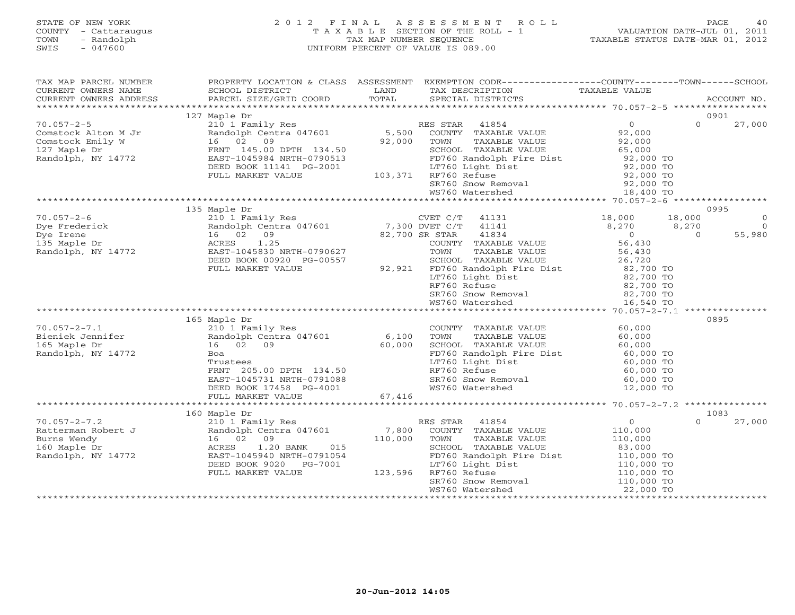# STATE OF NEW YORK 2 0 1 2 F I N A L A S S E S S M E N T R O L L PAGE 40 COUNTY - Cattaraugus T A X A B L E SECTION OF THE ROLL - 1 VALUATION DATE-JUL 01, 2011 TOWN - Randolph TAX MAP NUMBER SEQUENCE TAXABLE STATUS DATE-MAR 01, 2012 SWIS - 047600 UNIFORM PERCENT OF VALUE IS 089.00

| TAX MAP PARCEL NUMBER<br>CURRENT OWNERS NAME<br>CURRENT OWNERS ADDRESS                        | PROPERTY LOCATION & CLASS ASSESSMENT<br>SCHOOL DISTRICT<br>PARCEL SIZE/GRID COORD                                                                                     | LAND<br>TOTAL               | EXEMPTION CODE----------------COUNTY-------TOWN------SCHOOL<br>TAX DESCRIPTION<br>SPECIAL DISTRICTS                                                                                              | TAXABLE VALUE                                                                                                      | ACCOUNT NO.                   |
|-----------------------------------------------------------------------------------------------|-----------------------------------------------------------------------------------------------------------------------------------------------------------------------|-----------------------------|--------------------------------------------------------------------------------------------------------------------------------------------------------------------------------------------------|--------------------------------------------------------------------------------------------------------------------|-------------------------------|
|                                                                                               |                                                                                                                                                                       |                             |                                                                                                                                                                                                  |                                                                                                                    |                               |
|                                                                                               | 127 Maple Dr                                                                                                                                                          |                             |                                                                                                                                                                                                  |                                                                                                                    | 0901                          |
| $70.057 - 2 - 5$<br>Comstock Alton M Jr<br>Comstock Emily W<br>127 Maple Dr                   | 210 1 Family Res<br>Randolph Centra 047601<br>16 02 09<br>FRNT 145.00 DPTH 134.50                                                                                     | 5,500<br>92,000             | RES STAR 41854<br>COUNTY TAXABLE VALUE<br>TOWN<br>TAXABLE VALUE<br>SCHOOL TAXABLE VALUE                                                                                                          | $\overline{0}$<br>$\Omega$<br>92,000<br>92,000<br>65,000                                                           | 27,000                        |
| Randolph, NY 14772                                                                            | EAST-1045984 NRTH-0790513<br>DEED BOOK 11141 PG-2001<br>FULL MARKET VALUE                                                                                             | 103,371                     | FD760 Randolph Fire Dist<br>LT760 Light Dist<br>RF760 Refuse                                                                                                                                     | 92,000 TO<br>92,000 TO<br>92,000 TO                                                                                |                               |
|                                                                                               |                                                                                                                                                                       |                             | SR760 Snow Removal 92,000 TO<br>WS760 Watershed 18,400 TO                                                                                                                                        |                                                                                                                    |                               |
|                                                                                               |                                                                                                                                                                       |                             |                                                                                                                                                                                                  |                                                                                                                    |                               |
| $70.057 - 2 - 6$<br>Dye Frederick                                                             | 135 Maple Dr<br>210 1 Family Res<br>Randolph Centra 047601                                                                                                            | 7,300 DVET C/T              | CVET C/T<br>41131<br>41141                                                                                                                                                                       | 18,000<br>18,000<br>8,270<br>8,270                                                                                 | 0995<br>$\circ$<br>$\bigcirc$ |
| Dye Irene<br>135 Maple Dr<br>Randolph, NY 14772                                               | 16 02 09<br>ACRES<br>1.25<br>EAST-1045830 NRTH-0790627<br>DEED BOOK 00920 PG-00557                                                                                    |                             | 82,700 SR STAR<br>41834<br>COUNTY TAXABLE VALUE<br>TAXABLE VALUE<br>TOWN<br>SCHOOL TAXABLE VALUE                                                                                                 | $\overline{0}$<br>$\Omega$<br>56,430<br>56,430<br>26,720                                                           | 55,980                        |
|                                                                                               | FULL MARKET VALUE                                                                                                                                                     |                             | 92,921 FD760 Randolph Fire Dist<br>LT760 Light Dist<br>RF760 Refuse<br>SR760 Snow Removal<br>WS760 Watershed                                                                                     | 82,700 TO<br>82,700 TO<br>82,700 TO<br>82,700 TO<br>16,540 TO                                                      |                               |
|                                                                                               |                                                                                                                                                                       |                             |                                                                                                                                                                                                  |                                                                                                                    |                               |
|                                                                                               | 165 Maple Dr                                                                                                                                                          |                             |                                                                                                                                                                                                  |                                                                                                                    | 0895                          |
| $70.057 - 2 - 7.1$<br>Bieniek Jennifer<br>165 Maple Dr<br>Randolph, NY 14772                  | 210 1 Family Res<br>Randolph Centra 047601<br>16 02<br>09<br>Boa<br>Trustees<br>FRNT 205.00 DPTH 134.50<br>EAST-1045731 NRTH-0791088<br>DEED BOOK 17458 PG-4001       | 6,100<br>60,000             | COUNTY TAXABLE VALUE<br>TOWN<br>TAXABLE VALUE<br>SCHOOL TAXABLE VALUE<br>FD760 Randolph Fire Dist<br>LT760 Light Dist<br>RF760 Refuse<br>SR760 Snow Removal<br>WS760 Watershed                   | 60,000<br>60,000<br>60,000<br>60,000 TO<br>60,000 TO<br>60,000 TO<br>60,000 TO<br>12,000 TO                        |                               |
|                                                                                               | FULL MARKET VALUE                                                                                                                                                     | 67,416                      |                                                                                                                                                                                                  |                                                                                                                    |                               |
|                                                                                               |                                                                                                                                                                       |                             |                                                                                                                                                                                                  |                                                                                                                    |                               |
|                                                                                               | 160 Maple Dr                                                                                                                                                          |                             |                                                                                                                                                                                                  |                                                                                                                    | 1083                          |
| $70.057 - 2 - 7.2$<br>Ratterman Robert J<br>Burns Wendy<br>160 Maple Dr<br>Randolph, NY 14772 | 210 1 Family Res<br>Randolph Centra 047601<br>16 02<br>09<br>1.20 BANK<br>015<br>ACRES<br>EAST-1045940 NRTH-0791054<br>DEED BOOK 9020<br>PG-7001<br>FULL MARKET VALUE | 7,800<br>110,000<br>123,596 | RES STAR 41854<br>COUNTY TAXABLE VALUE<br>TOWN<br>TAXABLE VALUE<br>SCHOOL TAXABLE VALUE<br>FD760 Randolph Fire Dist<br>LT760 Light Dist<br>RF760 Refuse<br>SR760 Snow Removal<br>WS760 Watershed | 0<br>$\Omega$<br>110,000<br>110,000<br>83,000<br>110,000 TO<br>110,000 TO<br>110,000 TO<br>110,000 TO<br>22,000 TO | 27,000                        |
|                                                                                               |                                                                                                                                                                       |                             |                                                                                                                                                                                                  |                                                                                                                    |                               |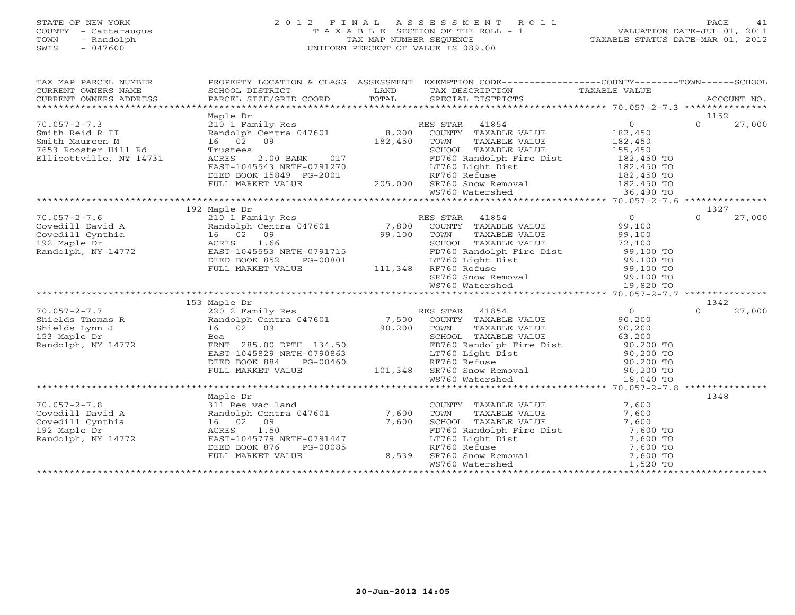# STATE OF NEW YORK 2 0 1 2 F I N A L A S S E S S M E N T R O L L PAGE 41 COUNTY - Cattaraugus T A X A B L E SECTION OF THE ROLL - 1 VALUATION DATE-JUL 01, 2011 TOWN - Randolph TAX MAP NUMBER SEQUENCE TAXABLE STATUS DATE-MAR 01, 2012 SWIS - 047600 UNIFORM PERCENT OF VALUE IS 089.00

| TAX MAP PARCEL NUMBER<br>CURRENT OWNERS NAME<br>CURRENT OWNERS NAME SCHOOL DISTRICT COORD TOTAL SPECIAL DISTRICTS TAXABLE VALUE<br>XXX DESCRIPTION TAXABLE VALUE ACCOUNT NO.<br>XXX ARABLE VALUE SERVICES PARCEL SIZE/GRID COORD TOTAL SPECIAL DISTRICTS ACCOUNT |                                                                                                                                                                                                                                                                                                                                                                                                   |                | PROPERTY LOCATION & CLASS ASSESSMENT EXEMPTION CODE----------------COUNTY-------TOWN------SCHOOL                                                                                                                                                         |                    |
|------------------------------------------------------------------------------------------------------------------------------------------------------------------------------------------------------------------------------------------------------------------|---------------------------------------------------------------------------------------------------------------------------------------------------------------------------------------------------------------------------------------------------------------------------------------------------------------------------------------------------------------------------------------------------|----------------|----------------------------------------------------------------------------------------------------------------------------------------------------------------------------------------------------------------------------------------------------------|--------------------|
|                                                                                                                                                                                                                                                                  |                                                                                                                                                                                                                                                                                                                                                                                                   |                |                                                                                                                                                                                                                                                          | 1152               |
| $70.057 - 2 - 7.3$                                                                                                                                                                                                                                               |                                                                                                                                                                                                                                                                                                                                                                                                   |                |                                                                                                                                                                                                                                                          | $\Omega$<br>27,000 |
|                                                                                                                                                                                                                                                                  |                                                                                                                                                                                                                                                                                                                                                                                                   |                |                                                                                                                                                                                                                                                          |                    |
| Smith Reid R II<br>Smith Maureen M                                                                                                                                                                                                                               |                                                                                                                                                                                                                                                                                                                                                                                                   |                |                                                                                                                                                                                                                                                          |                    |
| Smith Maureen M                                                                                                                                                                                                                                                  | $\begin{array}{ccccccccc} 210 & 1 & \text{Family Res} & & & & \text{RES} & \text{STAR} & 41854 & & & & 0 \\ \text{Random Centra 047601} & & & & 8,200 & \text{COUNTY} & \text{TXABLE VALUE} & & & 182,450 \\ 16 & 02 & 09 & & & 182,450 & \text{TOWN} & & \text{TAXABLE VALUE} & & & 182,450 \\ \text{TSTISEES} & & & & & & \text{SCHOOT.} & \text{TAYARIE VALUE} & & & & 182,450 \\ \end{array}$ |                |                                                                                                                                                                                                                                                          |                    |
| 7653 Rooster Hill Rd                                                                                                                                                                                                                                             |                                                                                                                                                                                                                                                                                                                                                                                                   |                |                                                                                                                                                                                                                                                          |                    |
| Ellicottville, NY 14731                                                                                                                                                                                                                                          | $2.00$ BANK 017<br>ACRES                                                                                                                                                                                                                                                                                                                                                                          |                |                                                                                                                                                                                                                                                          |                    |
|                                                                                                                                                                                                                                                                  | EAST-1045543 NRTH-0791270                                                                                                                                                                                                                                                                                                                                                                         |                |                                                                                                                                                                                                                                                          |                    |
|                                                                                                                                                                                                                                                                  | DEED BOOK 15849 PG-2001                                                                                                                                                                                                                                                                                                                                                                           |                |                                                                                                                                                                                                                                                          |                    |
|                                                                                                                                                                                                                                                                  | FULL MARKET VALUE                                                                                                                                                                                                                                                                                                                                                                                 |                |                                                                                                                                                                                                                                                          |                    |
|                                                                                                                                                                                                                                                                  |                                                                                                                                                                                                                                                                                                                                                                                                   |                |                                                                                                                                                                                                                                                          |                    |
|                                                                                                                                                                                                                                                                  |                                                                                                                                                                                                                                                                                                                                                                                                   |                |                                                                                                                                                                                                                                                          |                    |
|                                                                                                                                                                                                                                                                  |                                                                                                                                                                                                                                                                                                                                                                                                   |                |                                                                                                                                                                                                                                                          |                    |
|                                                                                                                                                                                                                                                                  |                                                                                                                                                                                                                                                                                                                                                                                                   |                |                                                                                                                                                                                                                                                          |                    |
|                                                                                                                                                                                                                                                                  |                                                                                                                                                                                                                                                                                                                                                                                                   |                |                                                                                                                                                                                                                                                          |                    |
|                                                                                                                                                                                                                                                                  |                                                                                                                                                                                                                                                                                                                                                                                                   |                |                                                                                                                                                                                                                                                          |                    |
|                                                                                                                                                                                                                                                                  |                                                                                                                                                                                                                                                                                                                                                                                                   |                |                                                                                                                                                                                                                                                          |                    |
|                                                                                                                                                                                                                                                                  |                                                                                                                                                                                                                                                                                                                                                                                                   |                |                                                                                                                                                                                                                                                          |                    |
|                                                                                                                                                                                                                                                                  |                                                                                                                                                                                                                                                                                                                                                                                                   |                |                                                                                                                                                                                                                                                          |                    |
|                                                                                                                                                                                                                                                                  |                                                                                                                                                                                                                                                                                                                                                                                                   |                |                                                                                                                                                                                                                                                          |                    |
|                                                                                                                                                                                                                                                                  |                                                                                                                                                                                                                                                                                                                                                                                                   |                |                                                                                                                                                                                                                                                          |                    |
|                                                                                                                                                                                                                                                                  |                                                                                                                                                                                                                                                                                                                                                                                                   |                |                                                                                                                                                                                                                                                          |                    |
|                                                                                                                                                                                                                                                                  |                                                                                                                                                                                                                                                                                                                                                                                                   |                |                                                                                                                                                                                                                                                          |                    |
|                                                                                                                                                                                                                                                                  | 153 Maple Dr                                                                                                                                                                                                                                                                                                                                                                                      |                |                                                                                                                                                                                                                                                          | 1342               |
|                                                                                                                                                                                                                                                                  |                                                                                                                                                                                                                                                                                                                                                                                                   |                |                                                                                                                                                                                                                                                          | 27,000<br>$\Omega$ |
|                                                                                                                                                                                                                                                                  |                                                                                                                                                                                                                                                                                                                                                                                                   |                |                                                                                                                                                                                                                                                          |                    |
|                                                                                                                                                                                                                                                                  |                                                                                                                                                                                                                                                                                                                                                                                                   |                |                                                                                                                                                                                                                                                          |                    |
|                                                                                                                                                                                                                                                                  |                                                                                                                                                                                                                                                                                                                                                                                                   |                |                                                                                                                                                                                                                                                          |                    |
|                                                                                                                                                                                                                                                                  |                                                                                                                                                                                                                                                                                                                                                                                                   |                |                                                                                                                                                                                                                                                          |                    |
|                                                                                                                                                                                                                                                                  |                                                                                                                                                                                                                                                                                                                                                                                                   |                |                                                                                                                                                                                                                                                          |                    |
|                                                                                                                                                                                                                                                                  |                                                                                                                                                                                                                                                                                                                                                                                                   |                |                                                                                                                                                                                                                                                          |                    |
|                                                                                                                                                                                                                                                                  |                                                                                                                                                                                                                                                                                                                                                                                                   |                |                                                                                                                                                                                                                                                          |                    |
|                                                                                                                                                                                                                                                                  |                                                                                                                                                                                                                                                                                                                                                                                                   |                |                                                                                                                                                                                                                                                          |                    |
|                                                                                                                                                                                                                                                                  | FRAT 285.00 DPTH 134.50<br>EAST-1045829 NRTH-0790863<br>DEED BOOK 884 PG-00460 RF760 Refuse 90,200 TO<br>FULL MARKET VALUE 101,348 SR760 Snow Removal 90,200 TO<br>FULL MARKET VALUE 101,348 SR760 Snow Removal 90,200 TO<br>101,348 SR7                                                                                                                                                          |                |                                                                                                                                                                                                                                                          |                    |
|                                                                                                                                                                                                                                                                  |                                                                                                                                                                                                                                                                                                                                                                                                   |                |                                                                                                                                                                                                                                                          |                    |
|                                                                                                                                                                                                                                                                  | Maple Dr                                                                                                                                                                                                                                                                                                                                                                                          |                |                                                                                                                                                                                                                                                          | 1348               |
|                                                                                                                                                                                                                                                                  |                                                                                                                                                                                                                                                                                                                                                                                                   |                |                                                                                                                                                                                                                                                          |                    |
|                                                                                                                                                                                                                                                                  |                                                                                                                                                                                                                                                                                                                                                                                                   |                |                                                                                                                                                                                                                                                          |                    |
|                                                                                                                                                                                                                                                                  |                                                                                                                                                                                                                                                                                                                                                                                                   |                |                                                                                                                                                                                                                                                          |                    |
| 70.057-2-7.8<br>Covedill David A 311 Res vac land<br>Covedill Cynthia 16 02 09 7,600<br>192 Maple Dr. 14752<br>202 Maple Dr. 14752<br>202 Maple Dr. 14752<br>202 Maple Dr. 14752<br>202 Maple Dr. 14752<br>202 Maple Dr. 14752<br>202 Maple Dr.                  |                                                                                                                                                                                                                                                                                                                                                                                                   |                |                                                                                                                                                                                                                                                          |                    |
| Randolph, NY 14772                                                                                                                                                                                                                                               | ACRES 1.50<br>EAST-1045779 NRTH-0791447                                                                                                                                                                                                                                                                                                                                                           |                |                                                                                                                                                                                                                                                          |                    |
|                                                                                                                                                                                                                                                                  | DEED BOOK 876<br>PG-00085                                                                                                                                                                                                                                                                                                                                                                         |                |                                                                                                                                                                                                                                                          |                    |
|                                                                                                                                                                                                                                                                  | FULL MARKET VALUE                                                                                                                                                                                                                                                                                                                                                                                 | 8,539<br>8,539 |                                                                                                                                                                                                                                                          |                    |
|                                                                                                                                                                                                                                                                  |                                                                                                                                                                                                                                                                                                                                                                                                   |                | COUNTY TAXABLE VALUE<br>TOWN TAXABLE VALUE<br>SCHOOL TAXABLE VALUE<br>SCHOOL TAXABLE VALUE<br>T,600<br>FD760 Randolph Fire Dist<br>IT760 Light Dist<br>T,600 TO<br>RF760 Refuse<br>T,600 TO<br>SR760 Snow Removal<br>WS760 Watershed<br>T,520 TO<br>T,50 |                    |
|                                                                                                                                                                                                                                                                  |                                                                                                                                                                                                                                                                                                                                                                                                   |                |                                                                                                                                                                                                                                                          |                    |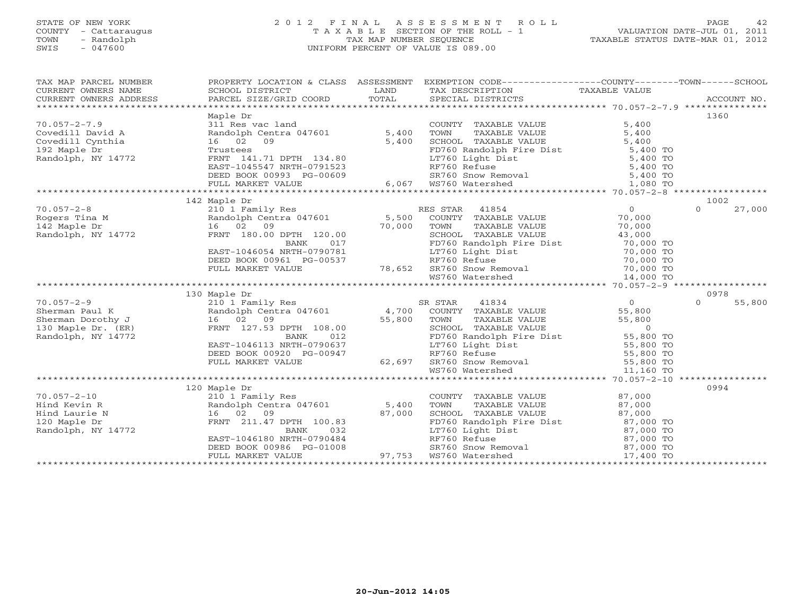#### STATE OF NEW YORK 2 0 1 2 F I N A L A S S E S S M E N T R O L L PAGE 42 COUNTY - Cattaraugus T A X A B L E SECTION OF THE ROLL - 1 VALUATION DATE-JUL 01, 2011 TOWN - Randolph TAX MAP NUMBER SEQUENCE TAXABLE STATUS DATE-MAR 01, 2012 SWIS - 047600 UNIFORM PERCENT OF VALUE IS 089.00UNIFORM PERCENT OF VALUE IS 089.00

| TAX MAP PARCEL NUMBER                                                                                                                                                                                                                                          |                                                                                                                                                                                                                                                                                                                                                                    |     | PROPERTY LOCATION & CLASS ASSESSMENT EXEMPTION CODE----------------COUNTY-------TOWN------SCHOOL                                                                                |                    |
|----------------------------------------------------------------------------------------------------------------------------------------------------------------------------------------------------------------------------------------------------------------|--------------------------------------------------------------------------------------------------------------------------------------------------------------------------------------------------------------------------------------------------------------------------------------------------------------------------------------------------------------------|-----|---------------------------------------------------------------------------------------------------------------------------------------------------------------------------------|--------------------|
|                                                                                                                                                                                                                                                                |                                                                                                                                                                                                                                                                                                                                                                    |     |                                                                                                                                                                                 |                    |
| CURRENT OWNERS NAME<br>CURRENT OWNERS ADDRESS BAND BERICLE SIZE/GRID COORD TOTAL SPECIAL DISTRICTS TAXABLE VALUE<br>XX DESCRIPTION TAXABLE VALUE TAXABLE VALUE TRANSPORT OVER ACCOUNT NO.<br>CURRENT OWNERS ADDRESS                                            |                                                                                                                                                                                                                                                                                                                                                                    |     |                                                                                                                                                                                 |                    |
|                                                                                                                                                                                                                                                                |                                                                                                                                                                                                                                                                                                                                                                    |     |                                                                                                                                                                                 |                    |
|                                                                                                                                                                                                                                                                | Maple Dr                                                                                                                                                                                                                                                                                                                                                           |     |                                                                                                                                                                                 | 1360               |
|                                                                                                                                                                                                                                                                |                                                                                                                                                                                                                                                                                                                                                                    |     |                                                                                                                                                                                 |                    |
|                                                                                                                                                                                                                                                                |                                                                                                                                                                                                                                                                                                                                                                    |     |                                                                                                                                                                                 |                    |
|                                                                                                                                                                                                                                                                |                                                                                                                                                                                                                                                                                                                                                                    |     |                                                                                                                                                                                 |                    |
|                                                                                                                                                                                                                                                                |                                                                                                                                                                                                                                                                                                                                                                    |     |                                                                                                                                                                                 |                    |
|                                                                                                                                                                                                                                                                |                                                                                                                                                                                                                                                                                                                                                                    |     |                                                                                                                                                                                 |                    |
|                                                                                                                                                                                                                                                                |                                                                                                                                                                                                                                                                                                                                                                    |     |                                                                                                                                                                                 |                    |
|                                                                                                                                                                                                                                                                |                                                                                                                                                                                                                                                                                                                                                                    |     |                                                                                                                                                                                 |                    |
|                                                                                                                                                                                                                                                                |                                                                                                                                                                                                                                                                                                                                                                    |     |                                                                                                                                                                                 |                    |
|                                                                                                                                                                                                                                                                |                                                                                                                                                                                                                                                                                                                                                                    |     |                                                                                                                                                                                 |                    |
| 70.057-2-8<br>Rogers Tina M<br>Res STAR 41854<br>Rogers Tina M<br>142 Maple Dr 16 02 09<br>Randolph, NY 14772<br>Randolph, NY 14772<br>TRNT 180.00 DPTH 120.00<br>20.00<br>PRNT 180.00 DPTH 120.00<br>20.00<br>20.00<br>20.00<br>20.00<br>20.00<br>20.00<br>20 |                                                                                                                                                                                                                                                                                                                                                                    |     |                                                                                                                                                                                 | 1002               |
|                                                                                                                                                                                                                                                                |                                                                                                                                                                                                                                                                                                                                                                    |     |                                                                                                                                                                                 | 27,000<br>$\Omega$ |
|                                                                                                                                                                                                                                                                |                                                                                                                                                                                                                                                                                                                                                                    |     |                                                                                                                                                                                 |                    |
|                                                                                                                                                                                                                                                                |                                                                                                                                                                                                                                                                                                                                                                    |     |                                                                                                                                                                                 |                    |
|                                                                                                                                                                                                                                                                |                                                                                                                                                                                                                                                                                                                                                                    |     |                                                                                                                                                                                 |                    |
|                                                                                                                                                                                                                                                                |                                                                                                                                                                                                                                                                                                                                                                    |     |                                                                                                                                                                                 |                    |
|                                                                                                                                                                                                                                                                |                                                                                                                                                                                                                                                                                                                                                                    |     |                                                                                                                                                                                 |                    |
|                                                                                                                                                                                                                                                                |                                                                                                                                                                                                                                                                                                                                                                    |     |                                                                                                                                                                                 |                    |
|                                                                                                                                                                                                                                                                |                                                                                                                                                                                                                                                                                                                                                                    |     |                                                                                                                                                                                 |                    |
|                                                                                                                                                                                                                                                                |                                                                                                                                                                                                                                                                                                                                                                    |     |                                                                                                                                                                                 |                    |
| Randolph, NY 14//2<br>BAST-1046054 NRTH-0790781<br>BAST-1046054 NRTH-0790781<br>BEED BOOK 00961 PG-00537<br>FULL MARKET VALUE 78,652 SR760 Snow Removal<br>WS760 Watershed 14,000 TO<br>WS760 Watershed 14,000 TO<br>TTAC SEEL SOOK 00961 PG                   |                                                                                                                                                                                                                                                                                                                                                                    |     |                                                                                                                                                                                 |                    |
|                                                                                                                                                                                                                                                                |                                                                                                                                                                                                                                                                                                                                                                    |     |                                                                                                                                                                                 | 0978               |
|                                                                                                                                                                                                                                                                |                                                                                                                                                                                                                                                                                                                                                                    |     |                                                                                                                                                                                 | 55,800<br>$\Omega$ |
|                                                                                                                                                                                                                                                                |                                                                                                                                                                                                                                                                                                                                                                    |     |                                                                                                                                                                                 |                    |
|                                                                                                                                                                                                                                                                |                                                                                                                                                                                                                                                                                                                                                                    |     | TOWN TAXABLE VALUE<br>TOWN TAXABLE VALUE<br>SCHOOL TAXABLE VALUE<br>FD760 Randolph Fire Dist<br>LT760 Light Dist<br>RF760 Refuse<br>FD760 Refuse<br>FD760 Refuse<br>FD760 RE101 |                    |
|                                                                                                                                                                                                                                                                |                                                                                                                                                                                                                                                                                                                                                                    |     |                                                                                                                                                                                 |                    |
| Randolph, NY 14772                                                                                                                                                                                                                                             | BANK                                                                                                                                                                                                                                                                                                                                                               | 012 |                                                                                                                                                                                 |                    |
|                                                                                                                                                                                                                                                                | EAST-1046113 NRTH-0790637                                                                                                                                                                                                                                                                                                                                          |     |                                                                                                                                                                                 |                    |
|                                                                                                                                                                                                                                                                |                                                                                                                                                                                                                                                                                                                                                                    |     |                                                                                                                                                                                 |                    |
|                                                                                                                                                                                                                                                                |                                                                                                                                                                                                                                                                                                                                                                    |     |                                                                                                                                                                                 |                    |
|                                                                                                                                                                                                                                                                | EAST-1046113 NKTH-0750037<br>DEED BOOK 00920 PG-00947 RE760 Refuse book 00920 PG-00947 RE760 Refuse 55,800 TO<br>FULL MARKET VALUE 62,697 SR760 Snow Removal 11,160 TO                                                                                                                                                                                             |     |                                                                                                                                                                                 |                    |
|                                                                                                                                                                                                                                                                |                                                                                                                                                                                                                                                                                                                                                                    |     |                                                                                                                                                                                 |                    |
|                                                                                                                                                                                                                                                                |                                                                                                                                                                                                                                                                                                                                                                    |     |                                                                                                                                                                                 | 0994               |
| $70.057 - 2 - 10$                                                                                                                                                                                                                                              |                                                                                                                                                                                                                                                                                                                                                                    |     | COUNTY TAXABLE VALUE 87,000<br>TOWN TAXABLE VALUE 87,000                                                                                                                        |                    |
| Hind Kevin R                                                                                                                                                                                                                                                   |                                                                                                                                                                                                                                                                                                                                                                    |     |                                                                                                                                                                                 |                    |
| Hind Laurie N                                                                                                                                                                                                                                                  | 120 Maple Dr<br>210 1 Family Res<br>Randolph Centra 047601 5,400<br>16 02 09 87 000<br>FRNT 211.47 DPTH 100 00<br>16 02 09<br>FRNT 211.47 DPTH 100.83<br>EAST-1046180 NRTH-0790484<br>DEED BOOK 00986 PG-01008<br>FULL MARKET VALUE<br>PED BOOK 00986 PG-01008<br>FULL MARKET VALUE<br>PED BOOK 00986 PG-01008<br>PED BOOK 00986 PG-01008<br>PED BOOK 00986 PG-010 |     |                                                                                                                                                                                 |                    |
| 120 Maple Dr                                                                                                                                                                                                                                                   |                                                                                                                                                                                                                                                                                                                                                                    |     |                                                                                                                                                                                 |                    |
| Randolph, NY 14772                                                                                                                                                                                                                                             |                                                                                                                                                                                                                                                                                                                                                                    |     |                                                                                                                                                                                 |                    |
|                                                                                                                                                                                                                                                                |                                                                                                                                                                                                                                                                                                                                                                    |     |                                                                                                                                                                                 |                    |
|                                                                                                                                                                                                                                                                |                                                                                                                                                                                                                                                                                                                                                                    |     |                                                                                                                                                                                 |                    |
|                                                                                                                                                                                                                                                                |                                                                                                                                                                                                                                                                                                                                                                    |     |                                                                                                                                                                                 |                    |
|                                                                                                                                                                                                                                                                |                                                                                                                                                                                                                                                                                                                                                                    |     |                                                                                                                                                                                 |                    |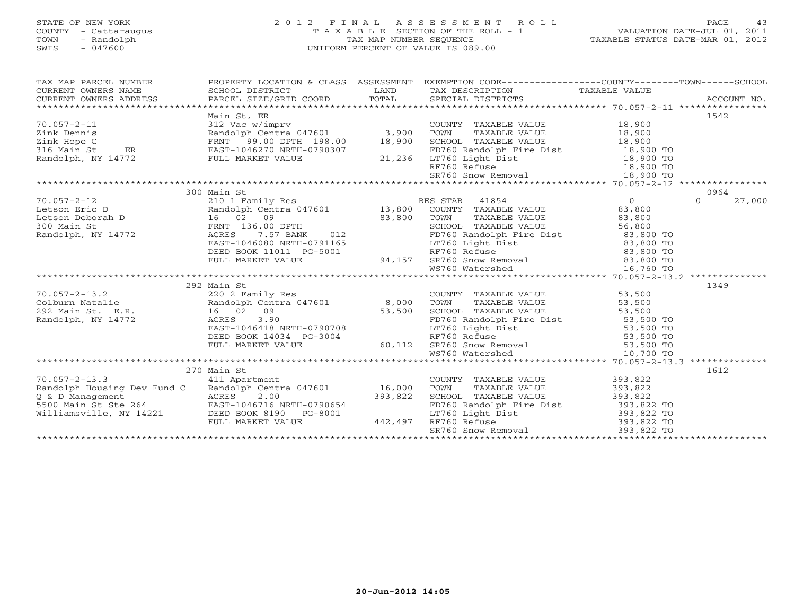# STATE OF NEW YORK 2 0 1 2 F I N A L A S S E S S M E N T R O L L PAGE 43 COUNTY - Cattaraugus T A X A B L E SECTION OF THE ROLL - 1 VALUATION DATE-JUL 01, 2011 TOWN - Randolph TAX MAP NUMBER SEQUENCE TAXABLE STATUS DATE-MAR 01, 2012 SWIS - 047600 UNIFORM PERCENT OF VALUE IS 089.00

| SCHOOL DISTRICT                          | LAND                                                                                                                                                                                                                                                                                                                                                                                   | SPECIAL DISTRICTS                                                                                                                                          |                                                                                                                                                                                                                         | ACCOUNT NO.                                                                                                                                                                                                                                                                                                                                                                                                                                                                                                                                                                                                                                                                                                                                                                                                                                                                                                                                                                                                                                                                                                                                                                                                                                     |
|------------------------------------------|----------------------------------------------------------------------------------------------------------------------------------------------------------------------------------------------------------------------------------------------------------------------------------------------------------------------------------------------------------------------------------------|------------------------------------------------------------------------------------------------------------------------------------------------------------|-------------------------------------------------------------------------------------------------------------------------------------------------------------------------------------------------------------------------|-------------------------------------------------------------------------------------------------------------------------------------------------------------------------------------------------------------------------------------------------------------------------------------------------------------------------------------------------------------------------------------------------------------------------------------------------------------------------------------------------------------------------------------------------------------------------------------------------------------------------------------------------------------------------------------------------------------------------------------------------------------------------------------------------------------------------------------------------------------------------------------------------------------------------------------------------------------------------------------------------------------------------------------------------------------------------------------------------------------------------------------------------------------------------------------------------------------------------------------------------|
| Main St, ER<br>EAST-1046270 NRTH-0790307 |                                                                                                                                                                                                                                                                                                                                                                                        |                                                                                                                                                            |                                                                                                                                                                                                                         | 1542                                                                                                                                                                                                                                                                                                                                                                                                                                                                                                                                                                                                                                                                                                                                                                                                                                                                                                                                                                                                                                                                                                                                                                                                                                            |
|                                          |                                                                                                                                                                                                                                                                                                                                                                                        |                                                                                                                                                            |                                                                                                                                                                                                                         |                                                                                                                                                                                                                                                                                                                                                                                                                                                                                                                                                                                                                                                                                                                                                                                                                                                                                                                                                                                                                                                                                                                                                                                                                                                 |
| DEED BOOK 11011 PG-5001                  |                                                                                                                                                                                                                                                                                                                                                                                        | TOWN<br>TAXABLE VALUE                                                                                                                                      | 0<br>83,800<br>83,800                                                                                                                                                                                                   | 0964<br>27,000<br>$\Omega$                                                                                                                                                                                                                                                                                                                                                                                                                                                                                                                                                                                                                                                                                                                                                                                                                                                                                                                                                                                                                                                                                                                                                                                                                      |
|                                          |                                                                                                                                                                                                                                                                                                                                                                                        |                                                                                                                                                            |                                                                                                                                                                                                                         |                                                                                                                                                                                                                                                                                                                                                                                                                                                                                                                                                                                                                                                                                                                                                                                                                                                                                                                                                                                                                                                                                                                                                                                                                                                 |
|                                          |                                                                                                                                                                                                                                                                                                                                                                                        |                                                                                                                                                            |                                                                                                                                                                                                                         |                                                                                                                                                                                                                                                                                                                                                                                                                                                                                                                                                                                                                                                                                                                                                                                                                                                                                                                                                                                                                                                                                                                                                                                                                                                 |
| 220 2 Family Res<br>ACRES 3.90           |                                                                                                                                                                                                                                                                                                                                                                                        |                                                                                                                                                            |                                                                                                                                                                                                                         | 1349                                                                                                                                                                                                                                                                                                                                                                                                                                                                                                                                                                                                                                                                                                                                                                                                                                                                                                                                                                                                                                                                                                                                                                                                                                            |
| FULL MARKET VALUE                        |                                                                                                                                                                                                                                                                                                                                                                                        |                                                                                                                                                            |                                                                                                                                                                                                                         |                                                                                                                                                                                                                                                                                                                                                                                                                                                                                                                                                                                                                                                                                                                                                                                                                                                                                                                                                                                                                                                                                                                                                                                                                                                 |
|                                          |                                                                                                                                                                                                                                                                                                                                                                                        |                                                                                                                                                            |                                                                                                                                                                                                                         |                                                                                                                                                                                                                                                                                                                                                                                                                                                                                                                                                                                                                                                                                                                                                                                                                                                                                                                                                                                                                                                                                                                                                                                                                                                 |
|                                          |                                                                                                                                                                                                                                                                                                                                                                                        |                                                                                                                                                            |                                                                                                                                                                                                                         | 1612                                                                                                                                                                                                                                                                                                                                                                                                                                                                                                                                                                                                                                                                                                                                                                                                                                                                                                                                                                                                                                                                                                                                                                                                                                            |
| 411 Apartment<br>FULL MARKET VALUE       | 393,822                                                                                                                                                                                                                                                                                                                                                                                | TOWN<br>TAXABLE VALUE                                                                                                                                      | 393,822                                                                                                                                                                                                                 |                                                                                                                                                                                                                                                                                                                                                                                                                                                                                                                                                                                                                                                                                                                                                                                                                                                                                                                                                                                                                                                                                                                                                                                                                                                 |
|                                          | CURRENT OWNERS ADDRESS<br>$\mbox{ER}$<br>300 Main St<br>Processor Eric D<br>Letson British Deborah D<br>Letson Deborah D<br>300 Main St<br>Randolph, NY 14772<br>Randolph, NY 14772<br>ACRES 7.57 BANK<br>FULL MARKET VALUE<br>292 Main St<br>270 Main St<br>Randolph Housing Dev Fund C<br>Q & D Management<br>5500 Main St Ste 264<br>Williamsville, NY 14221 DEED BOOK 8190 PG-8001 | PARCEL SIZE/GRID COORD<br>FRNT 99.00 DPTH 198.00 18,900<br>83,800<br>EAST-1046418 NRTH-0790708<br>DEED BOOK 14034 PG-3004<br>Randolph Centra 047601 16,000 | LAND<br>TOTAL<br>312 Vac w/imprv<br>Randolph Centra 047601 3,900<br>$790307$<br>21,236<br>210 1 Family Res<br>Randolph Centra 047601 13,800<br>RES STAR 41854<br>012<br>EAST-1046080 NRTH-0791165<br>60, 112<br>442,497 | PROPERTY LOCATION & CLASS ASSESSMENT EXEMPTION CODE----------------COUNTY-------TOWN------SCHOOL<br>TAX DESCRIPTION TAXABLE VALUE<br>COUNTY TAXABLE VALUE 18,900<br>TOWN TAXABLE VALUE 18,900<br>SCHOOL TAXABLE VALUE 18,900<br>FD760 Randolph Fire Dist 18,900 TO<br>316 Main St. ER EASI-1040270 MKIN-0730007<br>Randolph, NY 14772 FULL MARKET VALUE 21,236 LT760 Light<br>RET60 Refuse 18,900 TO<br>SR760 Snow Removal 18,900 TO<br>SR760 Snow Removal 18,900 TO<br>COUNTY TAXABLE VALUE<br>SCHOOL TAXABLE VALUE<br>FD760 Randolph Fire Dist<br>FD760 Randolph Fire Dist<br>ET760 Light Dist<br>RE760 Refuse<br>94,157 SR760 Snow Removal<br>83,800 TO<br>83,800 TO<br>83,800 TO<br>83,800 TO<br>83,800 TO<br>83,800 TO<br>83,800 TO<br>83,800 TO<br>8<br>COUNTY TAXABLE VALUE 53,500<br>TOWN TAXABLE VALUE 53,500<br>SCHOOL TAXABLE VALUE 53,500<br>FD760 Randolph Fire Dist<br>LT760 Light Dist<br>RF760 Refuse 53,500 TO<br>SR760 Snow Removal 53,500 TO<br>SR760 Snow Removal 53,500 TO<br>WS760 Watershed<br>10,700 TO<br>COUNTY TAXABLE VALUE 393,822<br>SCHOOL TAXABLE VALUE 393,822<br>FD760 Randolph Fire Dist 393,822 TO<br>LT760 Light Dist 393,822 TO<br>RF760 Refuse 393,822 TO<br>SR760 Snow Removal 393,822 TO<br>393,822 TO |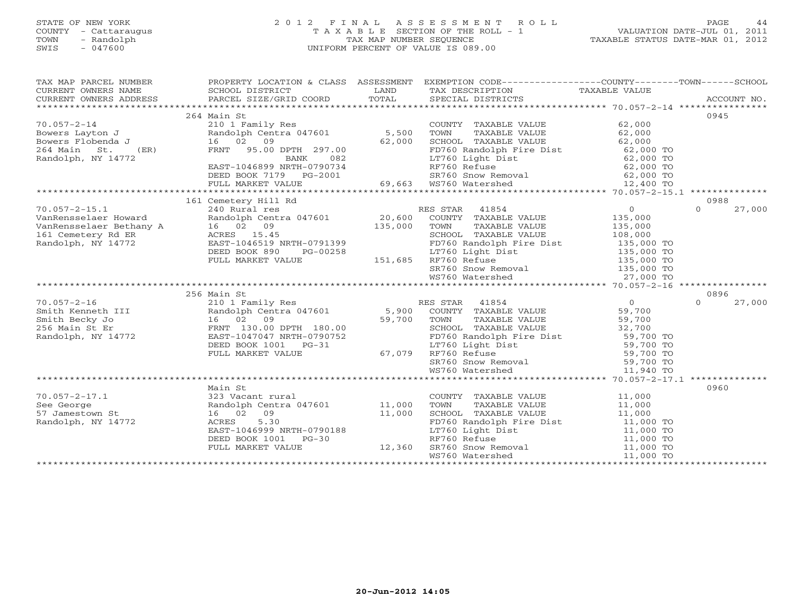# STATE OF NEW YORK 2 0 1 2 F I N A L A S S E S S M E N T R O L L PAGE 44 COUNTY - Cattaraugus T A X A B L E SECTION OF THE ROLL - 1 VALUATION DATE-JUL 01, 2011 TOWN - Randolph TAX MAP NUMBER SEQUENCE TAXABLE STATUS DATE-MAR 01, 2012 SWIS - 047600 UNIFORM PERCENT OF VALUE IS 089.00

| TAX MAP PARCEL NUMBER<br>CURRENT OWNERS ADDRESS                                                                                                                                                                                           |                                                                                              |         | PROPERTY LOCATION & CLASS ASSESSMENT EXEMPTION CODE----------------COUNTY-------TOWN------SCHOOL                                                                                                                                      |                |                    |
|-------------------------------------------------------------------------------------------------------------------------------------------------------------------------------------------------------------------------------------------|----------------------------------------------------------------------------------------------|---------|---------------------------------------------------------------------------------------------------------------------------------------------------------------------------------------------------------------------------------------|----------------|--------------------|
|                                                                                                                                                                                                                                           |                                                                                              |         |                                                                                                                                                                                                                                       |                | 0945               |
|                                                                                                                                                                                                                                           | 264 Main St                                                                                  |         |                                                                                                                                                                                                                                       |                |                    |
| $70.057 - 2 - 14$                                                                                                                                                                                                                         | 210 1 Family Res                                                                             |         | COUNTY TAXABLE VALUE                                                                                                                                                                                                                  | 62,000         |                    |
| Bowers Layton J                     Randolph Centra 047601              5,500<br>Bowers Flobenda J                     16   02   09                           62,000                                                                      |                                                                                              |         | TOWN TAXABLE VALUE 62,000<br>SCHOOL TAXABLE VALUE 62,000                                                                                                                                                                              |                |                    |
|                                                                                                                                                                                                                                           |                                                                                              |         |                                                                                                                                                                                                                                       |                |                    |
|                                                                                                                                                                                                                                           |                                                                                              |         |                                                                                                                                                                                                                                       |                |                    |
| Bowers Flobenda J<br>264 Main St. (ER) FRNT 95.00 DPTH 297.00 BANK 082<br>Randolph, NY 14772 EAST-1046899 NRTH-0790734<br>DEED BOOK 7179 PG-2001 69,663 WS760 Natershed 12,400 TO<br>FULL MARKET VALUE 69,663 WS760 Watershed 12,400 T    |                                                                                              |         |                                                                                                                                                                                                                                       |                |                    |
|                                                                                                                                                                                                                                           |                                                                                              |         |                                                                                                                                                                                                                                       |                |                    |
|                                                                                                                                                                                                                                           |                                                                                              |         |                                                                                                                                                                                                                                       |                |                    |
|                                                                                                                                                                                                                                           |                                                                                              |         |                                                                                                                                                                                                                                       |                |                    |
|                                                                                                                                                                                                                                           |                                                                                              |         |                                                                                                                                                                                                                                       |                |                    |
|                                                                                                                                                                                                                                           | 161 Cemetery Hill Rd                                                                         |         |                                                                                                                                                                                                                                       |                | 0988               |
| $70.057 - 2 - 15.1$                                                                                                                                                                                                                       | 240 Rural res                                                                                |         | RES STAR 41854                                                                                                                                                                                                                        | 0              | $\Omega$<br>27,000 |
| VanRensselaer Howard                                                                                                                                                                                                                      | Randolph Centra 047601 20,600                                                                |         | COUNTY TAXABLE VALUE 135,000                                                                                                                                                                                                          |                |                    |
| VanRensselaer Bethany A 16 02 09<br>161 Cemetery Rd ER ACRES 15.45                                                                                                                                                                        |                                                                                              | 135,000 |                                                                                                                                                                                                                                       |                |                    |
|                                                                                                                                                                                                                                           |                                                                                              |         |                                                                                                                                                                                                                                       |                |                    |
| Randolph, NY 14772                                                                                                                                                                                                                        | EAST-1046519 NRTH-0791399                                                                    |         |                                                                                                                                                                                                                                       |                |                    |
|                                                                                                                                                                                                                                           | RTH-0791399<br>PG-00258<br>LUE 151,685<br>DEED BOOK 890                                      |         | FD760 Randolph Fire Dist<br>LT760 Light Dist 135,000 TO<br>RF760 Refuse 135,000 TO<br>135,000 TO                                                                                                                                      |                |                    |
|                                                                                                                                                                                                                                           | FULL MARKET VALUE                                                                            |         |                                                                                                                                                                                                                                       |                |                    |
|                                                                                                                                                                                                                                           |                                                                                              |         |                                                                                                                                                                                                                                       |                |                    |
|                                                                                                                                                                                                                                           |                                                                                              |         | SR760 Snow Removal 135,000 TO<br>WS760 Watershed 27,000 TO                                                                                                                                                                            |                |                    |
|                                                                                                                                                                                                                                           |                                                                                              |         |                                                                                                                                                                                                                                       |                |                    |
|                                                                                                                                                                                                                                           | 256 Main St                                                                                  |         |                                                                                                                                                                                                                                       |                | 0896               |
| $70.057 - 2 - 16$                                                                                                                                                                                                                         | 210 1 Family Res                                                                             |         | RES STAR 41854                                                                                                                                                                                                                        | $\overline{O}$ | 27,000<br>$\Omega$ |
|                                                                                                                                                                                                                                           |                                                                                              |         | COUNTY TAXABLE VALUE 59,700                                                                                                                                                                                                           |                |                    |
| 70.057-2-16<br>210 1 Family Res<br>Smith Kenneth III Randolph Centra 047601 5,900<br>256 Main St Er FRNT 130.00 DPTH 180.00<br>Randolph, NY 14772<br>256 Main St Er FRNT 130.00 DPTH 180.00<br>256 Main St Er FRNT 130.00 DPTH 180.00<br> |                                                                                              |         | TAXABLE VALUE<br>TOWN                                                                                                                                                                                                                 | 59,700         |                    |
|                                                                                                                                                                                                                                           |                                                                                              |         | SCHOOL TAXABLE VALUE 32,700                                                                                                                                                                                                           |                |                    |
|                                                                                                                                                                                                                                           |                                                                                              |         | FD760 Randolph Fire Dist<br>LT760 Light Dist<br>RF760 Refuse 59,700 TO<br>RF760 Refuse 59,700 TO                                                                                                                                      |                |                    |
|                                                                                                                                                                                                                                           |                                                                                              |         |                                                                                                                                                                                                                                       |                |                    |
|                                                                                                                                                                                                                                           |                                                                                              |         |                                                                                                                                                                                                                                       |                |                    |
|                                                                                                                                                                                                                                           |                                                                                              |         |                                                                                                                                                                                                                                       |                |                    |
|                                                                                                                                                                                                                                           |                                                                                              |         | SR760 Snow Removal 59,700 TO<br>WS760 Watershed 11,940 TO<br>WS760 Watershed                                                                                                                                                          |                |                    |
|                                                                                                                                                                                                                                           |                                                                                              |         |                                                                                                                                                                                                                                       |                |                    |
|                                                                                                                                                                                                                                           | Main St                                                                                      |         |                                                                                                                                                                                                                                       |                | 0960               |
| $70.057 - 2 - 17.1$                                                                                                                                                                                                                       | 323 Vacant rural                                                                             |         | COUNTY TAXABLE VALUE                                                                                                                                                                                                                  | 11,000         |                    |
| See George                                                                                                                                                                                                                                |                                                                                              |         | TOWN<br>TAXABLE VALUE                                                                                                                                                                                                                 |                |                    |
| 57 Jamestown St                                                                                                                                                                                                                           | Randolph Centra 047601 11,000<br>16 02 09                                                    |         |                                                                                                                                                                                                                                       | 11,000         |                    |
|                                                                                                                                                                                                                                           | 11,000                                                                                       |         |                                                                                                                                                                                                                                       |                |                    |
| Randolph, NY 14772                                                                                                                                                                                                                        | 5.30<br>ACRES<br>EAST-1046999 NRTH-0790188<br>DEED BOOK 1001 PG-30<br>PEUL MARKER 1101 PG-30 |         | CHOOL TAXABLE VALUE<br>FD760 Randolph Fire Dist<br>LT760 Light Dist<br>RF760 Refuse<br>SCHOOL Dight Dist<br>11,000 TO<br>RF760 Refuse<br>11,000 TO<br>SR760 SNow Removal<br>11,000 TO<br>SR760 SNow Removal<br>11,000 TO<br>11,000 TO |                |                    |
|                                                                                                                                                                                                                                           |                                                                                              |         |                                                                                                                                                                                                                                       |                |                    |
|                                                                                                                                                                                                                                           |                                                                                              | 12,360  |                                                                                                                                                                                                                                       |                |                    |
|                                                                                                                                                                                                                                           | FULL MARKET VALUE                                                                            |         |                                                                                                                                                                                                                                       | 11,000 TO      |                    |
|                                                                                                                                                                                                                                           |                                                                                              |         | WS760 Watershed WS760 Water                                                                                                                                                                                                           |                |                    |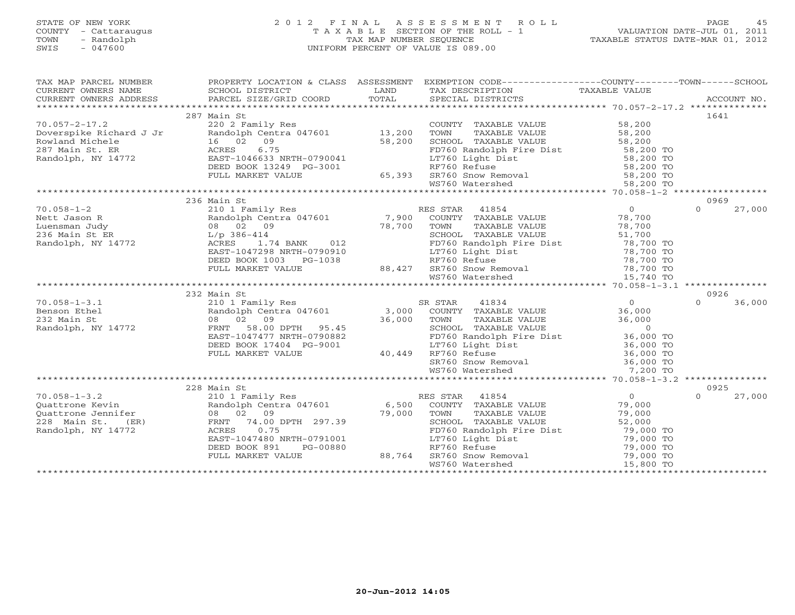# STATE OF NEW YORK 2 0 1 2 F I N A L A S S E S S M E N T R O L L PAGE 45 COUNTY - Cattaraugus T A X A B L E SECTION OF THE ROLL - 1 VALUATION DATE-JUL 01, 2011 TOWN - Randolph TAX MAP NUMBER SEQUENCE TAXABLE STATUS DATE-MAR 01, 2012 SWIS - 047600 UNIFORM PERCENT OF VALUE IS 089.00

| TAX MAP PARCEL NUMBER                                                                                                                              |                                                                                                                                                                                                                                            |             | PROPERTY LOCATION & CLASS ASSESSMENT EXEMPTION CODE----------------COUNTY-------TOWN------SCHOOL                                                                        |                          |                    |
|----------------------------------------------------------------------------------------------------------------------------------------------------|--------------------------------------------------------------------------------------------------------------------------------------------------------------------------------------------------------------------------------------------|-------------|-------------------------------------------------------------------------------------------------------------------------------------------------------------------------|--------------------------|--------------------|
| CURRENT OWNERS NAME                                                                                                                                | SCHOOL DISTRICT                                                                                                                                                                                                                            | LAND        | TAX DESCRIPTION                                                                                                                                                         | TAXABLE VALUE            |                    |
| CURRENT OWNERS ADDRESS                                                                                                                             |                                                                                                                                                                                                                                            |             |                                                                                                                                                                         |                          |                    |
|                                                                                                                                                    |                                                                                                                                                                                                                                            |             |                                                                                                                                                                         |                          |                    |
|                                                                                                                                                    | 287 Main St                                                                                                                                                                                                                                |             |                                                                                                                                                                         |                          | 1641               |
| $70.057 - 2 - 17.2$                                                                                                                                | 220 2 Family Res                                                                                                                                                                                                                           |             | COUNTY TAXABLE VALUE 58,200<br>TOWN TAXARLE VALUE 58,200                                                                                                                |                          |                    |
|                                                                                                                                                    | Powerspike Richard J Jr Randolph Centra 047601 13,200<br>Rowland Michele 16 02 09 58,200<br>287 Main St. ER ACRES 6.75 Randolph, NY 14772 EAST-1046633 NRTH-0790041                                                                        |             |                                                                                                                                                                         |                          |                    |
|                                                                                                                                                    |                                                                                                                                                                                                                                            |             | SCHOOL TAXABLE VALUE                                                                                                                                                    |                          |                    |
|                                                                                                                                                    |                                                                                                                                                                                                                                            |             | FD760 Randolph Fire Dist<br>LT760 Light Dist<br>PP760 P 6                                                                                                               | 58,200<br>58,200 TO      |                    |
|                                                                                                                                                    |                                                                                                                                                                                                                                            |             |                                                                                                                                                                         |                          |                    |
|                                                                                                                                                    |                                                                                                                                                                                                                                            |             |                                                                                                                                                                         |                          |                    |
|                                                                                                                                                    |                                                                                                                                                                                                                                            |             |                                                                                                                                                                         |                          |                    |
|                                                                                                                                                    |                                                                                                                                                                                                                                            |             |                                                                                                                                                                         |                          |                    |
|                                                                                                                                                    | 2003 70 EAST-1046633 NRTH-0790041<br>andolph, NY 14772 EAST-1046633 NRTH-0790041<br>EEED BOOK 13249 PG-3001 RF760 Refuse 58,200 TO<br>FULL MARKET VALUE 65,393 SR760 Snow Removal 58,200 TO<br>EEED BOOK 13249 PG-3001 65,393 SR760 Snow R |             |                                                                                                                                                                         |                          |                    |
|                                                                                                                                                    | 236 Main St                                                                                                                                                                                                                                |             |                                                                                                                                                                         |                          | 0969               |
| $70.058 - 1 - 2$                                                                                                                                   | 210 1 Family Res                                                                                                                                                                                                                           |             | RES STAR 41854                                                                                                                                                          | $\overline{O}$           | $\Omega$<br>27,000 |
|                                                                                                                                                    |                                                                                                                                                                                                                                            |             | Randolph Centra 047601 7,900 COUNTY TAXABLE VALUE                                                                                                                       | 78,700                   |                    |
|                                                                                                                                                    |                                                                                                                                                                                                                                            | 78,700 TOWN | TAXABLE VALUE                                                                                                                                                           | 78,700                   |                    |
|                                                                                                                                                    |                                                                                                                                                                                                                                            |             | SCHOOL TAXABLE VALUE                                                                                                                                                    | 51,700                   |                    |
| Nett Jason R<br>Luensman Judy Randolph Cent<br>210 Randolph Cent<br>236 Main St ER<br>236 Main St ER<br>210 Randolph, NY 14772 ACRES<br>2174 ACRES | 414<br>1.74 BANK 012                                                                                                                                                                                                                       |             | PD760 Randolph Fire Dist 78,700 TO<br>ED760 Randolph Fire Dist 78,700 TO                                                                                                |                          |                    |
|                                                                                                                                                    | EAST-1047298 NRTH-0790910                                                                                                                                                                                                                  |             | LT760 Light Dist                                                                                                                                                        |                          |                    |
|                                                                                                                                                    | DEED BOOK 1003 PG-1038                                                                                                                                                                                                                     |             |                                                                                                                                                                         |                          |                    |
|                                                                                                                                                    | FULL MARKET VALUE                                                                                                                                                                                                                          |             |                                                                                                                                                                         |                          |                    |
|                                                                                                                                                    |                                                                                                                                                                                                                                            |             | 217 1000 11911 1131<br>RF760 Refuse 78,700 TO<br>88,427 SR760 Snow Removal 78,700 TO<br>WS760 Watershed 15,740 TO                                                       |                          |                    |
|                                                                                                                                                    |                                                                                                                                                                                                                                            |             |                                                                                                                                                                         |                          |                    |
|                                                                                                                                                    | 232 Main St                                                                                                                                                                                                                                |             | Main St<br>210 1 Family Res<br>Randolph Centra 047601 3,000 COUNTY TAXABLE VALUE<br>36,000 TOWN TAXABLE VALUE<br>36,000 TOWN TAXABLE VALUE<br>9000 COUNTY TAXABLE VALUE |                          | 0926               |
| $70.058 - 1 - 3.1$                                                                                                                                 |                                                                                                                                                                                                                                            |             |                                                                                                                                                                         | $\overline{0}$           | 36,000<br>$\Omega$ |
|                                                                                                                                                    |                                                                                                                                                                                                                                            |             |                                                                                                                                                                         |                          |                    |
|                                                                                                                                                    |                                                                                                                                                                                                                                            |             |                                                                                                                                                                         | 36,000<br>36,000         |                    |
| Eenson Ethel<br>232 Main St<br>232 Main St<br>232 Main St<br>232 Main St<br>24772 FRNT<br>58.00                                                    |                                                                                                                                                                                                                                            | 36,000      |                                                                                                                                                                         | $\sim$ 0                 |                    |
|                                                                                                                                                    | EAST-1047477 NRTH-0790882                                                                                                                                                                                                                  |             |                                                                                                                                                                         |                          |                    |
|                                                                                                                                                    | DEED BOOK 17404 PG-9001                                                                                                                                                                                                                    |             | FD760 Randolph Fire Dist 36,000 TO<br>LT760 Light Dist 36,000 TO                                                                                                        |                          |                    |
|                                                                                                                                                    | FULL MARKET VALUE                                                                                                                                                                                                                          | 40,449      | RF760 Refuse                                                                                                                                                            |                          |                    |
|                                                                                                                                                    |                                                                                                                                                                                                                                            |             | RF760 Refuse<br>SR760 Snow Removal                                                                                                                                      | $36,000$ TO<br>36.000 TO |                    |
|                                                                                                                                                    |                                                                                                                                                                                                                                            |             | WS760 Watershed                                                                                                                                                         | 7,200 TO                 |                    |
|                                                                                                                                                    |                                                                                                                                                                                                                                            |             |                                                                                                                                                                         |                          |                    |
|                                                                                                                                                    |                                                                                                                                                                                                                                            |             |                                                                                                                                                                         |                          | 0925               |
|                                                                                                                                                    |                                                                                                                                                                                                                                            |             | RES STAR 41854                                                                                                                                                          | $\overline{0}$           | $\Omega$<br>27,000 |
|                                                                                                                                                    |                                                                                                                                                                                                                                            |             | ES STAR 41854<br>COUNTY TAXABLE VALUE                                                                                                                                   | 79,000                   |                    |
|                                                                                                                                                    |                                                                                                                                                                                                                                            |             | TOWN<br>TAXABLE VALUE                                                                                                                                                   | 79,000                   |                    |
|                                                                                                                                                    |                                                                                                                                                                                                                                            |             | SCHOOL TAXABLE VALUE                                                                                                                                                    | 52,000                   |                    |
|                                                                                                                                                    |                                                                                                                                                                                                                                            |             |                                                                                                                                                                         |                          |                    |
|                                                                                                                                                    | 210 1 Family Res<br>210 1 Family Res<br>210 1 Family Res<br>210 1 Family Res<br>228 Main St. (ER) 8 02 09<br>228 Main St. (ER) FRNT 74.00 DPTH 297 30<br>238 Main St. (ER) FRNT 74.00 DPTH 297 30<br>297 30                                |             |                                                                                                                                                                         |                          |                    |
|                                                                                                                                                    | DEED BOOK 891<br>PG-00880                                                                                                                                                                                                                  |             |                                                                                                                                                                         |                          |                    |
|                                                                                                                                                    | FULL MARKET VALUE                                                                                                                                                                                                                          | 88,764      |                                                                                                                                                                         |                          |                    |
|                                                                                                                                                    |                                                                                                                                                                                                                                            |             | FD760 Randolph Fire Disc<br>LT760 Light Dist<br>RF760 Refuse 79,000 TO<br>SR760 Snow Removal 79,000 TO<br>SR760 Snow Removal 79,000 TO<br>15,800 TO<br>15,800 TO        |                          |                    |
|                                                                                                                                                    |                                                                                                                                                                                                                                            |             |                                                                                                                                                                         |                          |                    |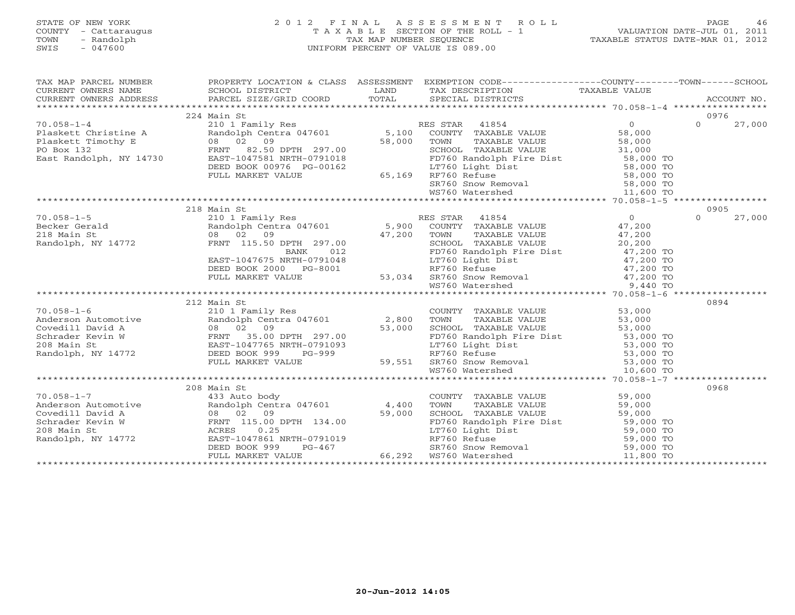# STATE OF NEW YORK 2 0 1 2 F I N A L A S S E S S M E N T R O L L PAGE 46 COUNTY - Cattaraugus T A X A B L E SECTION OF THE ROLL - 1 VALUATION DATE-JUL 01, 2011 TOWN - Randolph TAX MAP NUMBER SEQUENCE TAXABLE STATUS DATE-MAR 01, 2012 SWIS - 047600 UNIFORM PERCENT OF VALUE IS 089.00

| $\begin{tabular}{lllllllll} \textsc{rank} & \textsc{rank} & \textsc{rank} & \textsc{rank} & \textsc{rank} & \textsc{rank} & \textsc{rank} & \textsc{rank} & \textsc{rank} & \textsc{rank} & \textsc{rank} & \textsc{rank} & \textsc{rank} & \textsc{rank} & \textsc{rank} & \textsc{rank} & \textsc{rank} & \textsc{rank} & \textsc{rank} & \textsc{rank} & \textsc{rank} & \textsc{rank} & \textsc{rank} & \textsc{rank} & \textsc{rank} & \textsc{rank} & \textsc{rank} & \textsc{rank} & \textsc{rank} & \textsc{rank$ |             |  |                    |
|---------------------------------------------------------------------------------------------------------------------------------------------------------------------------------------------------------------------------------------------------------------------------------------------------------------------------------------------------------------------------------------------------------------------------------------------------------------------------------------------------------------------------|-------------|--|--------------------|
|                                                                                                                                                                                                                                                                                                                                                                                                                                                                                                                           |             |  |                    |
|                                                                                                                                                                                                                                                                                                                                                                                                                                                                                                                           |             |  |                    |
|                                                                                                                                                                                                                                                                                                                                                                                                                                                                                                                           |             |  |                    |
|                                                                                                                                                                                                                                                                                                                                                                                                                                                                                                                           | 224 Main St |  | 0976               |
| 10.058-1-4<br>Plaskett Christine A<br>Plaskett Timothy E<br>Plaskett Timothy E<br>Po Box 132<br>Ext Randolph, NY 14730<br>EAS TARP 10.058-1-4<br>Po Box 132<br>FRNT 82.50 DPTH 297.00<br>EAS TARP 10.0781018<br>EAS TARP 10.0781018<br>EAS TARP 10.0                                                                                                                                                                                                                                                                      |             |  | $\Omega$<br>27,000 |
|                                                                                                                                                                                                                                                                                                                                                                                                                                                                                                                           |             |  |                    |
|                                                                                                                                                                                                                                                                                                                                                                                                                                                                                                                           |             |  |                    |
|                                                                                                                                                                                                                                                                                                                                                                                                                                                                                                                           |             |  |                    |
|                                                                                                                                                                                                                                                                                                                                                                                                                                                                                                                           |             |  |                    |
|                                                                                                                                                                                                                                                                                                                                                                                                                                                                                                                           |             |  |                    |
|                                                                                                                                                                                                                                                                                                                                                                                                                                                                                                                           |             |  |                    |
|                                                                                                                                                                                                                                                                                                                                                                                                                                                                                                                           |             |  |                    |
|                                                                                                                                                                                                                                                                                                                                                                                                                                                                                                                           |             |  |                    |
|                                                                                                                                                                                                                                                                                                                                                                                                                                                                                                                           |             |  |                    |
|                                                                                                                                                                                                                                                                                                                                                                                                                                                                                                                           |             |  |                    |
|                                                                                                                                                                                                                                                                                                                                                                                                                                                                                                                           |             |  |                    |
|                                                                                                                                                                                                                                                                                                                                                                                                                                                                                                                           |             |  |                    |
|                                                                                                                                                                                                                                                                                                                                                                                                                                                                                                                           |             |  |                    |
|                                                                                                                                                                                                                                                                                                                                                                                                                                                                                                                           |             |  |                    |
|                                                                                                                                                                                                                                                                                                                                                                                                                                                                                                                           |             |  |                    |
|                                                                                                                                                                                                                                                                                                                                                                                                                                                                                                                           |             |  |                    |
|                                                                                                                                                                                                                                                                                                                                                                                                                                                                                                                           |             |  |                    |
|                                                                                                                                                                                                                                                                                                                                                                                                                                                                                                                           |             |  |                    |
|                                                                                                                                                                                                                                                                                                                                                                                                                                                                                                                           |             |  |                    |
| $\begin{tabular}{l c c c c c} \multicolumn{3}{c c c} \multicolumn{3}{c c c} \multicolumn{3}{c c c} \multicolumn{3}{c c c} \multicolumn{3}{c c c} \multicolumn{3}{c c c} \multicolumn{3}{c c c} \multicolumn{3}{c c c} \multicolumn{3}{c c c} \multicolumn{3}{c c c} \multicolumn{3}{c c c} \multicolumn{3}{c c c} \multicolumn{3}{c c c} \multicolumn{3}{c c c} \multicolumn{3}{c c c} \multicolumn{3}{$                                                                                                                  |             |  |                    |
|                                                                                                                                                                                                                                                                                                                                                                                                                                                                                                                           | 212 Main St |  | 0894               |
|                                                                                                                                                                                                                                                                                                                                                                                                                                                                                                                           |             |  |                    |
|                                                                                                                                                                                                                                                                                                                                                                                                                                                                                                                           |             |  |                    |
|                                                                                                                                                                                                                                                                                                                                                                                                                                                                                                                           |             |  |                    |
|                                                                                                                                                                                                                                                                                                                                                                                                                                                                                                                           |             |  |                    |
|                                                                                                                                                                                                                                                                                                                                                                                                                                                                                                                           |             |  |                    |
|                                                                                                                                                                                                                                                                                                                                                                                                                                                                                                                           |             |  |                    |
|                                                                                                                                                                                                                                                                                                                                                                                                                                                                                                                           |             |  |                    |
|                                                                                                                                                                                                                                                                                                                                                                                                                                                                                                                           |             |  |                    |
|                                                                                                                                                                                                                                                                                                                                                                                                                                                                                                                           |             |  |                    |
|                                                                                                                                                                                                                                                                                                                                                                                                                                                                                                                           | 208 Main St |  | 0968               |
|                                                                                                                                                                                                                                                                                                                                                                                                                                                                                                                           |             |  |                    |
|                                                                                                                                                                                                                                                                                                                                                                                                                                                                                                                           |             |  |                    |
|                                                                                                                                                                                                                                                                                                                                                                                                                                                                                                                           |             |  |                    |
|                                                                                                                                                                                                                                                                                                                                                                                                                                                                                                                           |             |  |                    |
|                                                                                                                                                                                                                                                                                                                                                                                                                                                                                                                           |             |  |                    |
|                                                                                                                                                                                                                                                                                                                                                                                                                                                                                                                           |             |  |                    |
|                                                                                                                                                                                                                                                                                                                                                                                                                                                                                                                           |             |  |                    |
|                                                                                                                                                                                                                                                                                                                                                                                                                                                                                                                           |             |  |                    |
|                                                                                                                                                                                                                                                                                                                                                                                                                                                                                                                           |             |  |                    |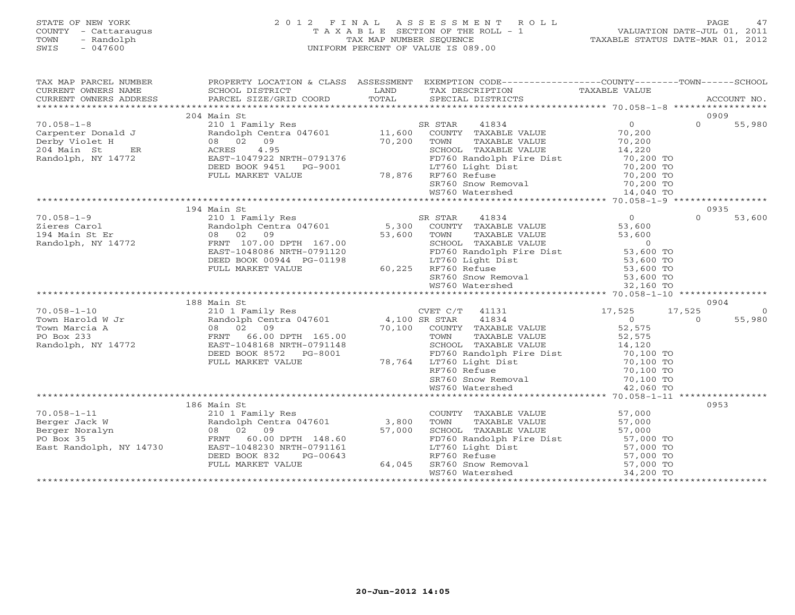#### STATE OF NEW YORK 2 0 1 2 F I N A L A S S E S S M E N T R O L L PAGE 47 COUNTY - Cattaraugus T A X A B L E SECTION OF THE ROLL - 1 VALUATION DATE-JUL 01, 2011 TOWN - Randolph TAX MAP NUMBER SEQUENCE TAXABLE STATUS DATE-MAR 01, 2012 SWIS - 047600 UNIFORM PERCENT OF VALUE IS 089.00UNIFORM PERCENT OF VALUE IS 089.00

| TAX MAP PARCEL NUMBER                           |                                                                                 |        | PROPERTY LOCATION & CLASS ASSESSMENT EXEMPTION CODE----------------COUNTY-------TOWN------SCHOOL                                                                                                                                     |                        |                    |
|-------------------------------------------------|---------------------------------------------------------------------------------|--------|--------------------------------------------------------------------------------------------------------------------------------------------------------------------------------------------------------------------------------------|------------------------|--------------------|
|                                                 | 204 Main St                                                                     |        |                                                                                                                                                                                                                                      |                        | 0909               |
| $70.058 - 1 - 8$                                | mann 5c<br>210 1 Family Res<br>Randolph Centra 047601 11,600<br>08 02 09 70,200 |        | 41834<br>SR STAR                                                                                                                                                                                                                     | $\overline{0}$         | $\Omega$<br>55,980 |
| Carpenter Donald J                              |                                                                                 |        | COUNTY TAXABLE VALUE                                                                                                                                                                                                                 | 70,200                 |                    |
| ER<br>ER<br>Derby Violet H                      |                                                                                 |        | TOWN<br>TAXABLE VALUE                                                                                                                                                                                                                | 70,200                 |                    |
| 204 Main St<br>ER                               | ACRES 4.95                                                                      |        | SCHOOL TAXABLE VALUE                                                                                                                                                                                                                 | 14,220                 |                    |
| Randolph, NY 14772                              | EAST-1047922 NRTH-0791376                                                       |        | FD760 Randolph Fire Dist 70,200 TO                                                                                                                                                                                                   |                        |                    |
|                                                 | DEED BOOK 9451 PG-9001                                                          |        | LT760 Light Dist                                                                                                                                                                                                                     | 70,200 TO              |                    |
|                                                 | FULL MARKET VALUE                                                               |        | 78,876 RF760 Refuse                                                                                                                                                                                                                  | 70,200 TO              |                    |
|                                                 |                                                                                 |        | SR760 Snow Removal 50 70,200 TO<br>WS760 Watershed 14,040 TO                                                                                                                                                                         |                        |                    |
|                                                 |                                                                                 |        |                                                                                                                                                                                                                                      |                        |                    |
|                                                 |                                                                                 |        |                                                                                                                                                                                                                                      |                        |                    |
|                                                 | 194 Main St                                                                     |        |                                                                                                                                                                                                                                      |                        | 0935               |
| $70.058 - 1 - 9$                                |                                                                                 |        | 210 1 Family Res<br>Randolph Centra 047601 5,300 COUNTY TAXABLE VALUE                                                                                                                                                                | $\Omega$               | 53,600<br>$\Omega$ |
| Zieres Carol                                    |                                                                                 |        |                                                                                                                                                                                                                                      | 53,600                 |                    |
| 194 Main St Er                                  | 08 02 09                                                                        | 53,600 |                                                                                                                                                                                                                                      |                        |                    |
| Randolph, NY 14772                              | FRNT 107.00 DPTH 167.00                                                         |        | TOWN TAXABLE VALUE 53,600<br>SCHOOL TAXABLE VALUE 53,600<br>FD760 Randolph Fire Dist 53,600 TO<br>I.T760 Light Dist 55,600 TO                                                                                                        |                        |                    |
|                                                 | EAST-1048086 NRTH-0791120                                                       |        |                                                                                                                                                                                                                                      |                        |                    |
|                                                 | DEED BOOK 00944 PG-01198                                                        |        | LT760 Light Dist<br>RF760 Refuse<br>%-01198 1-01198 LT760 Light<br>60,225 RF760 Refuse                                                                                                                                               | 53,600 TO<br>53,600 TO |                    |
|                                                 | FULL MARKET VALUE                                                               |        |                                                                                                                                                                                                                                      |                        |                    |
|                                                 |                                                                                 |        | SR760 Snow Removal 53,600 TO<br>WS760 Watershed 32,160 TO                                                                                                                                                                            |                        |                    |
|                                                 |                                                                                 |        |                                                                                                                                                                                                                                      |                        |                    |
|                                                 | 188 Main St                                                                     |        |                                                                                                                                                                                                                                      |                        | 0904               |
| $70.058 - 1 - 10$                               |                                                                                 |        | CVET C/T 41131                                                                                                                                                                                                                       | 17,525                 | 17,525<br>$\Omega$ |
|                                                 |                                                                                 |        |                                                                                                                                                                                                                                      | $\overline{0}$         | 55,980<br>$\Omega$ |
| Town Harold W Jr<br>Town Marcia A<br>PO Box 233 |                                                                                 |        | 210 1 Family Res<br>210 1 Family Res<br>Randolph Centra 047601 4,100 SR STAR 41834<br>20 08 02 09 70,100 COUNTY TAXABLE VALUE<br>FRNT 66.00 DPTH 165.00 70,100 TOWN TAXABLE VALUE<br>FRNT 1648460 NTPHH 0791149 CCHOOL TAXABLE VALUE | 52,575                 |                    |
|                                                 |                                                                                 |        | TAXABLE VALUE 52,575                                                                                                                                                                                                                 |                        |                    |
| Randolph, NY 14772                              | EAST-1048168 NRTH-0791148                                                       |        |                                                                                                                                                                                                                                      |                        |                    |
|                                                 | DEED BOOK 8572 PG-8001                                                          |        | SCHOOL TAXABLE VALUE 14,120<br>FD760 Randolph Fire Dist 70,100 TO                                                                                                                                                                    |                        |                    |
|                                                 | FULL MARKET VALUE                                                               |        |                                                                                                                                                                                                                                      | 70,100 TO              |                    |
|                                                 |                                                                                 |        |                                                                                                                                                                                                                                      | 70,100 10<br>70,100 TO |                    |
|                                                 |                                                                                 |        |                                                                                                                                                                                                                                      |                        |                    |
|                                                 |                                                                                 |        | SR760 Snow Removal 50,100 TO<br>WS760 Watershed 62,060 TO<br>WS760 Watershed                                                                                                                                                         | 42,060 TO              |                    |
|                                                 |                                                                                 |        |                                                                                                                                                                                                                                      |                        |                    |
|                                                 | 186 Main St                                                                     |        |                                                                                                                                                                                                                                      |                        | 0953               |
| $70.058 - 1 - 11$                               | 210 1 Family Res                                                                |        | COUNTY TAXABLE VALUE 57,000                                                                                                                                                                                                          |                        |                    |
| Berger Jack W                                   | Randolph Centra 047601 3,800                                                    |        | TAXABLE VALUE<br>TOWN                                                                                                                                                                                                                | 57,000                 |                    |
| Berger Noralyn                                  | 08 02 09                                                                        | 57,000 | SCHOOL TAXABLE VALUE                                                                                                                                                                                                                 | 57,000                 |                    |
| PO Box 35                                       | FRNT 60.00 DPTH 148.60                                                          |        | FD760 Randolph Fire Dist 57,000 TO<br>LT760 Light Dist 57,000 TO<br>RF760 Refuse 57,000 TO<br>SR760 Snow Removal 57,000 TO                                                                                                           |                        |                    |
| East Randolph, NY 14730                         | EAST-1048230 NRTH-0791161                                                       |        |                                                                                                                                                                                                                                      |                        |                    |
|                                                 | DEED BOOK 832<br>PG-00643                                                       | 64,045 |                                                                                                                                                                                                                                      |                        |                    |
|                                                 | FULL MARKET VALUE                                                               |        |                                                                                                                                                                                                                                      |                        |                    |
|                                                 |                                                                                 |        | WS760 Watershed                                                                                                                                                                                                                      | 34,200 TO              |                    |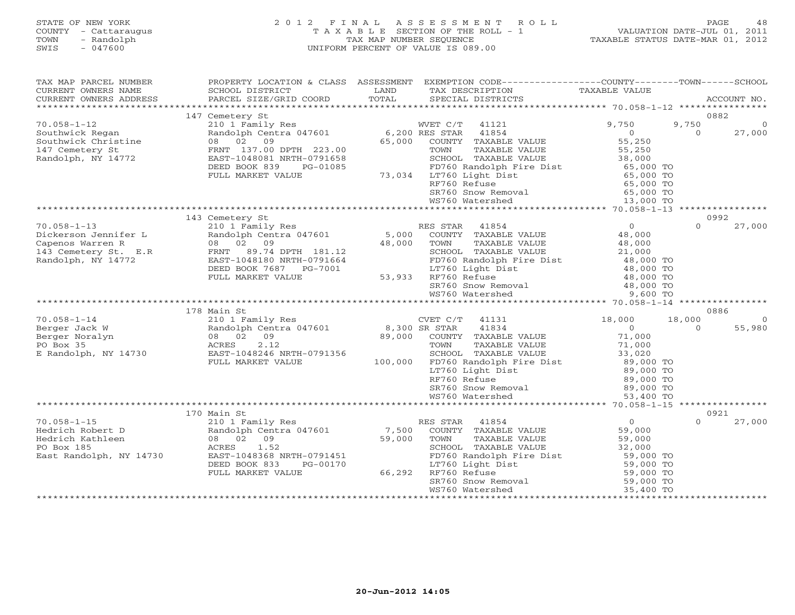# STATE OF NEW YORK 2 0 1 2 F I N A L A S S E S S M E N T R O L L PAGE 48 COUNTY - Cattaraugus T A X A B L E SECTION OF THE ROLL - 1 VALUATION DATE-JUL 01, 2011 TOWN - Randolph TAX MAP NUMBER SEQUENCE TAXABLE STATUS DATE-MAR 01, 2012 SWIS - 047600 UNIFORM PERCENT OF VALUE IS 089.00

| TAX MAP PARCEL NUMBER<br>CURRENT OWNERS NAME | SCHOOL DISTRICT                       | LAND          | PROPERTY LOCATION & CLASS ASSESSMENT EXEMPTION CODE----------------COUNTY-------TOWN------SCHOOL<br>TAX DESCRIPTION | TAXABLE VALUE              |          |                |
|----------------------------------------------|---------------------------------------|---------------|---------------------------------------------------------------------------------------------------------------------|----------------------------|----------|----------------|
| CURRENT OWNERS ADDRESS                       | PARCEL SIZE/GRID COORD                | TOTAL         | SPECIAL DISTRICTS                                                                                                   |                            |          | ACCOUNT NO.    |
|                                              |                                       |               |                                                                                                                     |                            |          |                |
|                                              | 147 Cemetery St                       |               |                                                                                                                     |                            |          | 0882           |
| $70.058 - 1 - 12$                            | 210 1 Family Res                      |               | WVET C/T<br>41121                                                                                                   | 9,750                      | 9,750    | $\Omega$       |
| Southwick Regan                              | Randolph Centra 047601 6,200 RES STAR |               | 41854                                                                                                               | $\Omega$                   | $\Omega$ | 27,000         |
| Southwick Christine                          | 08 02 09                              | 65,000        | COUNTY TAXABLE VALUE                                                                                                | 55,250                     |          |                |
| 147 Cemetery St                              | FRNT 137.00 DPTH 223.00               |               | TOWN<br>TAXABLE VALUE                                                                                               | 55,250                     |          |                |
| Randolph, NY 14772                           | EAST-1048081 NRTH-0791658             |               | SCHOOL TAXABLE VALUE                                                                                                | 38,000                     |          |                |
|                                              | DEED BOOK 839<br>PG-01085             |               | FD760 Randolph Fire Dist<br>73,034 LT760 Light Dist                                                                 | 65,000 TO                  |          |                |
|                                              | FULL MARKET VALUE                     |               | RF760 Refuse                                                                                                        | 65,000 TO                  |          |                |
|                                              |                                       |               |                                                                                                                     | 65,000 TO<br>65,000 TO     |          |                |
|                                              |                                       |               | SR760 Snow Removal<br>WS760 Watershed                                                                               | 13,000 TO                  |          |                |
|                                              |                                       |               |                                                                                                                     |                            |          |                |
|                                              | 143 Cemetery St                       |               |                                                                                                                     |                            |          | 0992           |
| $70.058 - 1 - 13$                            | 210 1 Family Res                      |               | RES STAR<br>41854                                                                                                   | $\Omega$                   | $\Omega$ | 27,000         |
| Dickerson Jennifer L                         | Randolph Centra 047601                |               | 5,000 COUNTY TAXABLE VALUE                                                                                          | 48,000                     |          |                |
| Capenos Warren R                             | 08 02 09                              | 48,000        | TOWN<br>TAXABLE VALUE                                                                                               | 48,000                     |          |                |
| 143 Cemetery St. E.R                         | FRNT 89.74 DPTH 181.12                |               | SCHOOL TAXABLE VALUE                                                                                                | 21,000                     |          |                |
| Randolph, NY 14772                           | EAST-1048180 NRTH-0791664             |               | FD760 Randolph Fire Dist                                                                                            | 48,000 TO                  |          |                |
|                                              | DEED BOOK 7687 PG-7001                |               | LT760 Light Dist                                                                                                    | 48,000 TO                  |          |                |
|                                              | FULL MARKET VALUE                     | 53,933        | RF760 Refuse                                                                                                        | 48,000 TO<br>48,000 TO     |          |                |
|                                              |                                       |               | SR760 Snow Removal                                                                                                  | 48,000 TO                  |          |                |
|                                              |                                       |               | WS760 Watershed                                                                                                     | 9,600 TO                   |          |                |
|                                              |                                       |               |                                                                                                                     |                            |          | 0886           |
| $70.058 - 1 - 14$                            | 178 Main St<br>210 1 Family Res       |               | CVET C/T 41131                                                                                                      | 18,000                     | 18,000   | $\overline{0}$ |
| Berger Jack W                                | Randolph Centra 047601                | 8,300 SR STAR | 41834                                                                                                               | $\overline{0}$             | $\Omega$ | 55,980         |
| Berger Noralyn                               | 08 02<br>09                           |               | 89,000 COUNTY TAXABLE VALUE                                                                                         | 71,000                     |          |                |
| PO Box 35                                    | 2.12<br>ACRES                         |               | TOWN<br>TAXABLE VALUE                                                                                               |                            |          |                |
| E Randolph, NY 14730                         | EAST-1048246 NRTH-0791356             |               | SCHOOL TAXABLE VALUE                                                                                                | 71,000<br>33,020           |          |                |
|                                              | FULL MARKET VALUE                     | 100,000       | FD760 Randolph Fire Dist                                                                                            | 89,000 TO                  |          |                |
|                                              |                                       |               | LT760 Light Dist                                                                                                    | 89,000 TO                  |          |                |
|                                              |                                       |               | RF760 Refuse                                                                                                        | $89,000$ TO<br>$89,000$ TO |          |                |
|                                              |                                       |               | SR760 Snow Removal                                                                                                  | 89,000 TO                  |          |                |
|                                              |                                       |               | WS760 Watershed                                                                                                     | 53,400 TO                  |          |                |
|                                              |                                       |               |                                                                                                                     |                            |          |                |
|                                              | 170 Main St                           |               |                                                                                                                     |                            |          | 0921           |
| $70.058 - 1 - 15$<br>Hedrich Robert D        | 210 1 Family Res                      | 7,500         | RES STAR 41854<br>COUNTY TAXABLE VALUE                                                                              | $\overline{0}$<br>59,000   | $\Omega$ | 27,000         |
| Hedrich Kathleen                             | Randolph Centra 047601<br>08 02<br>09 | 59,000        | TOWN<br>TAXABLE VALUE                                                                                               | 59,000                     |          |                |
| PO Box 185                                   | 1.52<br>ACRES                         |               | SCHOOL TAXABLE VALUE                                                                                                | 32,000                     |          |                |
| East Randolph, NY 14730                      | EAST-1048368 NRTH-0791451             |               | FD760 Randolph Fire Dist                                                                                            | 59,000 TO                  |          |                |
|                                              | DEED BOOK 833<br>PG-00170             |               | LT760 Light Dist                                                                                                    | 59,000 TO                  |          |                |
|                                              | FULL MARKET VALUE                     | 66,292        | RF760 Refuse                                                                                                        | 59,000 TO                  |          |                |
|                                              |                                       |               |                                                                                                                     | 59,000 TO                  |          |                |
|                                              |                                       |               | RF760 Keluse<br>SR760 Snow Removal                                                                                  | 35,400 TO                  |          |                |
|                                              |                                       |               |                                                                                                                     |                            |          |                |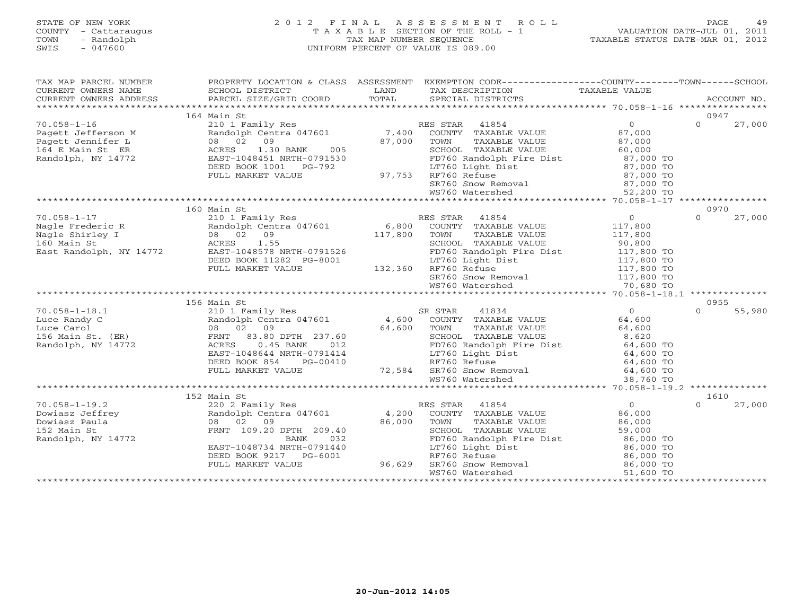# STATE OF NEW YORK 2 0 1 2 F I N A L A S S E S S M E N T R O L L PAGE 49 COUNTY - Cattaraugus T A X A B L E SECTION OF THE ROLL - 1 VALUATION DATE-JUL 01, 2011 TOWN - Randolph TAX MAP NUMBER SEQUENCE TAXABLE STATUS DATE-MAR 01, 2012 SWIS - 047600 UNIFORM PERCENT OF VALUE IS 089.00

| TAX MAP PARCEL NUMBER                                                                                   |                                                                                                                                                                                   |                    | PROPERTY LOCATION & CLASS ASSESSMENT EXEMPTION CODE---------------COUNTY-------TOWN------SCHOOL                                                           |                          |                    |  |
|---------------------------------------------------------------------------------------------------------|-----------------------------------------------------------------------------------------------------------------------------------------------------------------------------------|--------------------|-----------------------------------------------------------------------------------------------------------------------------------------------------------|--------------------------|--------------------|--|
| CURRENT OWNERS NAME<br>CURRENT OWNERS ADDRESS                                                           | SCHOOL DISTRICT<br>PARCEL SIZE/GRID COORD                                                                                                                                         | LAND               | TAX DESCRIPTION<br>SPECIAL DISTRICTS                                                                                                                      | TAXABLE VALUE            | ACCOUNT NO.        |  |
|                                                                                                         |                                                                                                                                                                                   | TOTAL              |                                                                                                                                                           |                          |                    |  |
|                                                                                                         | 164 Main St                                                                                                                                                                       |                    |                                                                                                                                                           |                          | 0947               |  |
| $70.058 - 1 - 16$                                                                                       | 210 1 Family Res                                                                                                                                                                  |                    | RES STAR 41854                                                                                                                                            | $\overline{0}$           | $\Omega$<br>27,000 |  |
| ragett Jefferson M<br>Pagett Jennifer L<br>164 E Main St ER<br>Randolph, NY 14772<br>Randolph, NY 14772 | Randolph Centra 047601 7,400                                                                                                                                                      |                    | COUNTY TAXABLE VALUE                                                                                                                                      | 87,000                   |                    |  |
|                                                                                                         | 08 02 09                                                                                                                                                                          | 87,000             | TOWN<br>TAXABLE VALUE                                                                                                                                     | 87,000                   |                    |  |
|                                                                                                         | 1.30 BANK<br>005                                                                                                                                                                  |                    | SCHOOL TAXABLE VALUE                                                                                                                                      | 60,000                   |                    |  |
| Randolph, NY 14772                                                                                      | EAST-1048451 NRTH-0791530                                                                                                                                                         |                    | FD760 Randolph Fire Dist<br>LT760 Light Dist<br>RF760 Refuse 87,000 TO<br>RF760 Refuse 87,000 TO<br>SR760 Snow Removal 87,000 TO                          | 87,000 TO                |                    |  |
|                                                                                                         | DEED BOOK 1001    PG-792                                                                                                                                                          |                    |                                                                                                                                                           |                          |                    |  |
|                                                                                                         | FULL MARKET VALUE                                                                                                                                                                 |                    | 97,753 RF760 Refuse                                                                                                                                       |                          |                    |  |
|                                                                                                         |                                                                                                                                                                                   |                    | WS760 Watershed                                                                                                                                           | 52,200 TO                |                    |  |
|                                                                                                         |                                                                                                                                                                                   |                    |                                                                                                                                                           |                          |                    |  |
|                                                                                                         | 160 Main St                                                                                                                                                                       |                    |                                                                                                                                                           |                          | 0970               |  |
|                                                                                                         | Nagle Frederic R<br>Nagle Shirley I (1994) 210 1 Family Res<br>Nagle Shirley I (1994) 2009 (1994) 2009 117,800<br>160 Main St (1997) 2008 2009 117,800<br>East Randolph. NY 14772 |                    | RES STAR 41854                                                                                                                                            | $\overline{0}$           | $\Omega$<br>27,000 |  |
|                                                                                                         |                                                                                                                                                                                   |                    | ES STAR 41854<br>COUNTY TAXABLE VALUE                                                                                                                     | 117,800                  |                    |  |
|                                                                                                         |                                                                                                                                                                                   |                    |                                                                                                                                                           |                          |                    |  |
|                                                                                                         |                                                                                                                                                                                   |                    | TOWN TAXABLE VALUE 117,800<br>SCHOOL TAXABLE VALUE 90,800<br>FD760 Randolph Fire Dist 117,800 TO                                                          |                          |                    |  |
|                                                                                                         | East Randolph, NY 14772 EAST-1048578 NRTH-0791526                                                                                                                                 |                    |                                                                                                                                                           |                          |                    |  |
|                                                                                                         | DEED BOOK 11282 PG-8001                                                                                                                                                           | $3-8001$ $132,360$ | LT760 Light Dist                                                                                                                                          | 117,800 TO               |                    |  |
|                                                                                                         | FULL MARKET VALUE                                                                                                                                                                 |                    | RF760 Refuse                                                                                                                                              | 117,800 TO               |                    |  |
|                                                                                                         |                                                                                                                                                                                   |                    | SR760 Snow Removal 117,800 TO<br>WS760 Watershed 70,680 TO                                                                                                |                          |                    |  |
|                                                                                                         |                                                                                                                                                                                   |                    |                                                                                                                                                           |                          |                    |  |
|                                                                                                         | 156 Main St                                                                                                                                                                       |                    |                                                                                                                                                           |                          | 0955               |  |
| $70.058 - 1 - 18.1$                                                                                     | 210 1 Family Res                                                                                                                                                                  |                    | SR STAR<br>41834                                                                                                                                          | $0 \qquad \qquad$        | 55,980<br>$\Omega$ |  |
|                                                                                                         |                                                                                                                                                                                   |                    |                                                                                                                                                           | 64,600                   |                    |  |
|                                                                                                         | Luce Randy C<br>Luce Carol (ER) 8 02 09<br>156 Main St. (ER) 6 156 Main St. (ER) 83.80 DPTH 237.60<br>Randolph. NY 14772 2007 2008 2009                                           |                    | Randolph Centra 047601 (4,600 COUNTY TAXABLE VALUE)<br>08 02 09 (64,600 TOWN TAXABLE VALUE)<br>TAXABLE VALUE                                              | 64,600                   |                    |  |
|                                                                                                         |                                                                                                                                                                                   |                    |                                                                                                                                                           | 8,620                    |                    |  |
| Randolph, NY 14772                                                                                      | ACRES<br>$0.45$ BANK<br>012                                                                                                                                                       |                    | TOWN TAXABLE VALUE<br>SCHOOL TAXABLE VALUE<br>FD760 Randolph Fire Dist<br>Im760 Light Dist                                                                | 64,600 TO                |                    |  |
|                                                                                                         | EAST-1048644 NRTH-0791414                                                                                                                                                         |                    |                                                                                                                                                           | 64,600 TO<br>64,600 TO   |                    |  |
|                                                                                                         | DEED BOOK 854<br>PG-00410                                                                                                                                                         |                    | RF760 Refuse                                                                                                                                              |                          |                    |  |
|                                                                                                         | DULL DUUR 0J4 FU-UU41U<br>FULL MARKET VALUE 72,584 SR760 SRow Removal 64,600 TO<br>WS760 Watershed 38,760 TO 138,760 TO 1990 887760 SROW Removal 464,600 TO                       |                    |                                                                                                                                                           |                          |                    |  |
|                                                                                                         |                                                                                                                                                                                   |                    |                                                                                                                                                           |                          |                    |  |
|                                                                                                         |                                                                                                                                                                                   |                    |                                                                                                                                                           |                          |                    |  |
|                                                                                                         | 152 Main St                                                                                                                                                                       |                    |                                                                                                                                                           |                          | 1610<br>$\Omega$   |  |
| $70.058 - 1 - 19.2$<br>Dowiasz Jeffrey                                                                  | 220 2 Family Res<br>Randolph Centra 047601                                                                                                                                        | 4,200              | RES STAR 41854                                                                                                                                            | $\overline{0}$<br>86,000 | 27,000             |  |
| Dowiasz Paula                                                                                           | 08 02 09                                                                                                                                                                          | 86,000             | COUNTY TAXABLE VALUE<br>TAXABLE VALUE<br>TOWN                                                                                                             | 86,000                   |                    |  |
| 152 Main St                                                                                             | FRNT 109.20 DPTH 209.40                                                                                                                                                           |                    | SCHOOL TAXABLE VALUE                                                                                                                                      | 59,000                   |                    |  |
| Randolph, NY 14772                                                                                      | <b>BANK</b><br>032                                                                                                                                                                |                    |                                                                                                                                                           |                          |                    |  |
|                                                                                                         | EAST-1048734 NRTH-0791440                                                                                                                                                         |                    |                                                                                                                                                           |                          |                    |  |
|                                                                                                         | DEED BOOK 9217 PG-6001                                                                                                                                                            |                    |                                                                                                                                                           |                          |                    |  |
|                                                                                                         | FULL MARKET VALUE                                                                                                                                                                 | 96,629             | FD760 Randolph Fire Dist<br>LT760 Light Dist<br>RF760 Refuse<br>SR760 Snow Removal<br>SR760 Snow Removal<br>SR6,000 TO<br>SR760 Snow Removal<br>B6,000 TO |                          |                    |  |
|                                                                                                         |                                                                                                                                                                                   |                    | WS760 Watershed                                                                                                                                           | 51,600 TO                |                    |  |
|                                                                                                         |                                                                                                                                                                                   |                    |                                                                                                                                                           |                          |                    |  |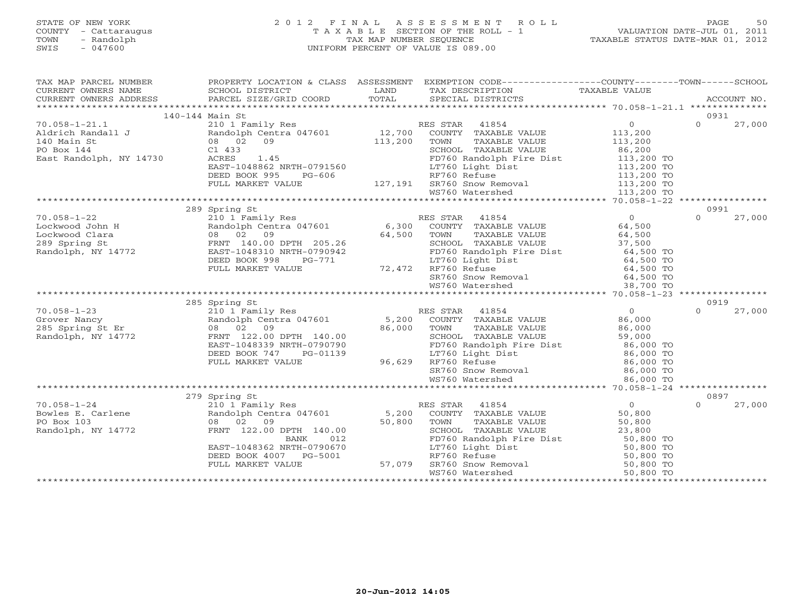# STATE OF NEW YORK 2 0 1 2 F I N A L A S S E S S M E N T R O L L PAGE 50 COUNTY - Cattaraugus T A X A B L E SECTION OF THE ROLL - 1 VALUATION DATE-JUL 01, 2011 TOWN - Randolph TAX MAP NUMBER SEQUENCE TAXABLE STATUS DATE-MAR 01, 2012 SWIS - 047600 UNIFORM PERCENT OF VALUE IS 089.00

| TAX MAP PARCEL NUMBER   |                                        |                   | PROPERTY LOCATION & CLASS ASSESSMENT EXEMPTION CODE----------------COUNTY-------TOWN------SCHOOL                                                                                                |                          |          |        |
|-------------------------|----------------------------------------|-------------------|-------------------------------------------------------------------------------------------------------------------------------------------------------------------------------------------------|--------------------------|----------|--------|
|                         |                                        |                   |                                                                                                                                                                                                 |                          |          |        |
|                         |                                        |                   |                                                                                                                                                                                                 |                          |          |        |
|                         |                                        |                   |                                                                                                                                                                                                 |                          |          |        |
|                         | 140-144 Main St                        |                   |                                                                                                                                                                                                 |                          | 0931     |        |
| $70.058 - 1 - 21.1$     |                                        |                   | ES STAR 41854 0<br>COUNTY TAXABLE VALUE 113,200<br>TOWN TAXABLE VALUE 113,200<br>SCHOOL TAXABLE VALUE 86,200                                                                                    |                          | $\Omega$ | 27,000 |
|                         |                                        |                   |                                                                                                                                                                                                 |                          |          |        |
|                         |                                        |                   |                                                                                                                                                                                                 |                          |          |        |
|                         | 1.45                                   |                   |                                                                                                                                                                                                 |                          |          |        |
| East Randolph, NY 14730 | ACRES                                  |                   | FD760 Randolph Fire Dist<br>LT760 Light Dist                                                                                                                                                    | 113,200 TO<br>113,200 TO |          |        |
|                         | EAST-1048862 NRTH-0791560              |                   |                                                                                                                                                                                                 |                          |          |        |
|                         |                                        |                   |                                                                                                                                                                                                 |                          |          |        |
|                         |                                        |                   | DEED BOOK 995 PG-606<br>PG-606 RET760 Refuse 113,200 TO<br>RET60 Refuse 113,200 TO<br>SR760 Snow Removal 113,200 TO<br>MST60 Matorshop Matorshop 113,200 TO                                     |                          |          |        |
|                         |                                        |                   |                                                                                                                                                                                                 |                          |          |        |
|                         | 289 Spring St                          |                   |                                                                                                                                                                                                 |                          | 0991     |        |
|                         |                                        |                   |                                                                                                                                                                                                 |                          | $\Omega$ | 27,000 |
|                         |                                        |                   |                                                                                                                                                                                                 |                          |          |        |
|                         |                                        |                   |                                                                                                                                                                                                 |                          |          |        |
|                         |                                        |                   |                                                                                                                                                                                                 |                          |          |        |
|                         |                                        |                   | TOWN TAXABLE VALUE 64,500<br>SCHOOL TAXABLE VALUE 37,500<br>FD760 Randolph Fire Dist 64,500 TO                                                                                                  |                          |          |        |
|                         |                                        |                   |                                                                                                                                                                                                 |                          |          |        |
|                         |                                        |                   |                                                                                                                                                                                                 |                          |          |        |
|                         |                                        |                   |                                                                                                                                                                                                 |                          |          |        |
|                         |                                        |                   |                                                                                                                                                                                                 |                          |          |        |
|                         |                                        |                   |                                                                                                                                                                                                 |                          |          |        |
|                         | 285 Spring St                          |                   |                                                                                                                                                                                                 |                          | 0919     |        |
|                         |                                        |                   |                                                                                                                                                                                                 |                          | $\Omega$ | 27,000 |
|                         |                                        |                   |                                                                                                                                                                                                 |                          |          |        |
|                         |                                        |                   |                                                                                                                                                                                                 |                          |          |        |
|                         |                                        |                   |                                                                                                                                                                                                 |                          |          |        |
|                         |                                        |                   |                                                                                                                                                                                                 |                          |          |        |
|                         |                                        |                   |                                                                                                                                                                                                 |                          |          |        |
|                         |                                        |                   |                                                                                                                                                                                                 |                          |          |        |
|                         |                                        |                   |                                                                                                                                                                                                 |                          |          |        |
|                         |                                        |                   |                                                                                                                                                                                                 |                          |          |        |
|                         |                                        |                   |                                                                                                                                                                                                 |                          |          |        |
|                         | 279 Spring St                          |                   | RES STAR 41854                                                                                                                                                                                  | $\overline{0}$           | 0897     |        |
| $70.058 - 1 - 24$       | 210 1 Family Res                       |                   |                                                                                                                                                                                                 |                          | $\Omega$ | 27,000 |
|                         |                                        |                   |                                                                                                                                                                                                 |                          |          |        |
| 14772                   |                                        | 50,800            | SCHOOL TAXABLE VALUE 23,800                                                                                                                                                                     |                          |          |        |
| Randolph, NY 14772      | FRNT 122.00 DPTH 140.00<br>BANK<br>012 |                   |                                                                                                                                                                                                 |                          |          |        |
|                         | EAST-1048362 NRTH-0790670              |                   |                                                                                                                                                                                                 |                          |          |        |
|                         | DEED BOOK 4007 PG-5001                 |                   |                                                                                                                                                                                                 |                          |          |        |
|                         | FULL MARKET VALUE                      | PG-5001<br>57,079 |                                                                                                                                                                                                 |                          |          |        |
|                         |                                        |                   | FD760 Randolph Fire Dist<br>FD760 Randolph Fire Dist<br>IT760 Light Dist<br>RF760 Refuse<br>SD,800 TO<br>SD,800 TO<br>SD,800 TO<br>WS760 Watershed<br>50,800 TO<br>WS760 Watershed<br>50,800 TO |                          |          |        |
|                         |                                        |                   |                                                                                                                                                                                                 |                          |          |        |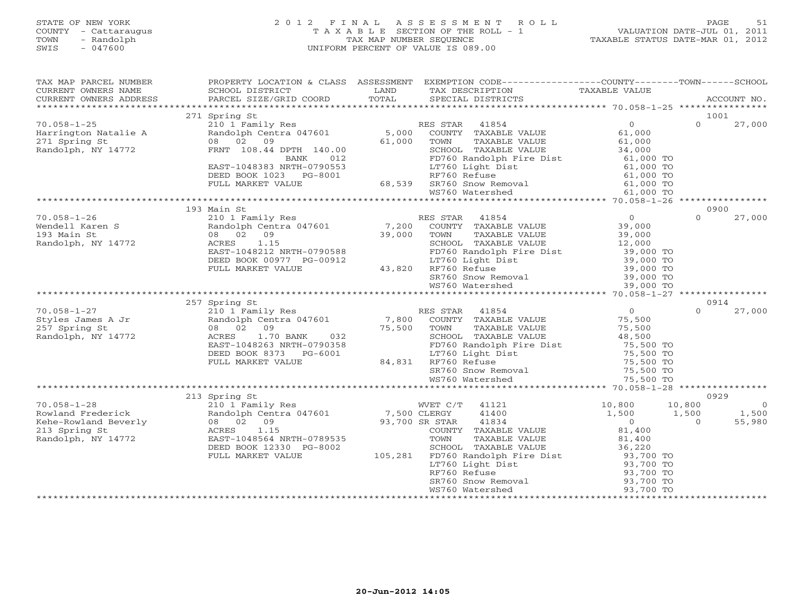#### STATE OF NEW YORK 2 0 1 2 F I N A L A S S E S S M E N T R O L L PAGE 51 COUNTY - Cattaraugus T A X A B L E SECTION OF THE ROLL - 1 VALUATION DATE-JUL 01, 2011 TOWN - Randolph TAX MAP NUMBER SEQUENCE TAXABLE STATUS DATE-MAR 01, 2012 SWIS - 047600 UNIFORM PERCENT OF VALUE IS 089.00UNIFORM PERCENT OF VALUE IS 089.00

| TAX MAP PARCEL NUMBER                                                                                                                                                                                                             | PROPERTY LOCATION & CLASS ASSESSMENT                                                                                                     |        | EXEMPTION CODE-----------------COUNTY-------TOWN------SCHOOL                                                                                                                   |                          |                          |
|-----------------------------------------------------------------------------------------------------------------------------------------------------------------------------------------------------------------------------------|------------------------------------------------------------------------------------------------------------------------------------------|--------|--------------------------------------------------------------------------------------------------------------------------------------------------------------------------------|--------------------------|--------------------------|
|                                                                                                                                                                                                                                   |                                                                                                                                          |        |                                                                                                                                                                                |                          |                          |
|                                                                                                                                                                                                                                   | 271 Spring St                                                                                                                            |        |                                                                                                                                                                                |                          | 1001<br>$\Omega$         |
| $70.058 - 1 - 25$                                                                                                                                                                                                                 | 210 1 Family Res<br>Randolph Centra 047601 5,000                                                                                         |        | RES STAR 41854                                                                                                                                                                 | $\overline{0}$           | 27,000                   |
| Harrington Natalie A                                                                                                                                                                                                              | 08 02 09                                                                                                                                 |        | COUNTY TAXABLE VALUE                                                                                                                                                           | 61,000                   |                          |
| 271 Spring St<br>Randolph, NY 14772                                                                                                                                                                                               | FRNT 108.44 DPTH 140.00                                                                                                                  | 61,000 | TOWN TAXABLE VALUE<br>SCHOOL TAXABLE VALUE 34,000 TO<br>1 1 1 Fire Dist 61,000 TO                                                                                              |                          |                          |
|                                                                                                                                                                                                                                   | BANK<br>012                                                                                                                              |        |                                                                                                                                                                                |                          |                          |
|                                                                                                                                                                                                                                   | EAST-1048383 NRTH-0790553                                                                                                                |        |                                                                                                                                                                                |                          |                          |
|                                                                                                                                                                                                                                   | DEED BOOK 1023 PG-8001                                                                                                                   |        | 10553 1m760 Light Dist 61,000 TO<br>10553 1m7760 Refuse 61,000 TO<br>88,539 SR760 Snow Removal 61,000 TO<br>10.000 TO 10.000 TO 10.000 TO                                      |                          |                          |
|                                                                                                                                                                                                                                   | FULL MARKET VALUE                                                                                                                        |        |                                                                                                                                                                                |                          |                          |
|                                                                                                                                                                                                                                   |                                                                                                                                          |        |                                                                                                                                                                                |                          |                          |
|                                                                                                                                                                                                                                   |                                                                                                                                          |        |                                                                                                                                                                                |                          |                          |
|                                                                                                                                                                                                                                   | 193 Main St                                                                                                                              |        |                                                                                                                                                                                |                          | 0900                     |
| $70.058 - 1 - 26$                                                                                                                                                                                                                 | 210 1 Family Res<br>Randolph Centra 047601<br>08 02 09<br>ACRES 1.15                                                                     |        | RES STAR 41854 0<br>7,200 COUNTY TAXABLE VALUE 39,000<br>39,000 TOWN TAXABLE VALUE 39,000<br>SCHOOL TAXABLE VALUE 12,000                                                       |                          | $\Omega$<br>27,000       |
| Wendell Karen S                                                                                                                                                                                                                   |                                                                                                                                          |        |                                                                                                                                                                                |                          |                          |
| 193 Main St                                                                                                                                                                                                                       |                                                                                                                                          |        |                                                                                                                                                                                |                          |                          |
| Randolph, NY 14772                                                                                                                                                                                                                |                                                                                                                                          |        |                                                                                                                                                                                |                          |                          |
|                                                                                                                                                                                                                                   | ACRES 1.15<br>EAST-1048212 NRTH-0790588 FD760 Randolp<br>DEED BOOK 00977 PG-00912 LT760 Light D<br>FULL MARKET VALUE 43,820 RF760 Refuse |        |                                                                                                                                                                                |                          |                          |
|                                                                                                                                                                                                                                   |                                                                                                                                          |        |                                                                                                                                                                                |                          |                          |
|                                                                                                                                                                                                                                   |                                                                                                                                          |        |                                                                                                                                                                                |                          |                          |
|                                                                                                                                                                                                                                   |                                                                                                                                          |        |                                                                                                                                                                                |                          |                          |
|                                                                                                                                                                                                                                   |                                                                                                                                          |        | CHOOR TAXABLE VALUE<br>FD760 Randolph Fire Dist 39,000 TO<br>LT760 Light Dist 39,000 TO<br>RF760 Refuse 39,000 TO<br>SR760 Snow Removal 39,000 TO<br>WS760 Watershed 39,000 TO |                          |                          |
|                                                                                                                                                                                                                                   |                                                                                                                                          |        |                                                                                                                                                                                |                          |                          |
|                                                                                                                                                                                                                                   | 257 Spring St                                                                                                                            |        |                                                                                                                                                                                |                          | 0914                     |
|                                                                                                                                                                                                                                   | 210 1 Family Res                                                                                                                         |        | RES STAR 41854                                                                                                                                                                 | $\Omega$                 | $\Omega$<br>27,000       |
|                                                                                                                                                                                                                                   |                                                                                                                                          |        | Randolph Centra 047601 7,800 COUNTY TAXABLE VALUE<br>08 02 09 75,500 TOWN TAXABLE VALUE                                                                                        | 75,500<br>75,500         |                          |
|                                                                                                                                                                                                                                   |                                                                                                                                          |        |                                                                                                                                                                                |                          |                          |
| Randolph, NY 14772                                                                                                                                                                                                                | $08$ 02 09<br>ACRES 1.70 BANK 032<br>EAST-1048263 NRTH-0790358                                                                           |        | SCHOOL TAXABLE VALUE 48,500<br>FD760 Randolph Fire Dist 75,500 TO<br>LT760 Light Dist 75,500 TO<br>RF760 Refuse 75,500 TO                                                      |                          |                          |
|                                                                                                                                                                                                                                   |                                                                                                                                          |        |                                                                                                                                                                                |                          |                          |
|                                                                                                                                                                                                                                   | DEED BOOK 8373 PG-6001                                                                                                                   |        |                                                                                                                                                                                |                          |                          |
|                                                                                                                                                                                                                                   | FULL MARKET VALUE                                                                                                                        |        |                                                                                                                                                                                |                          |                          |
|                                                                                                                                                                                                                                   |                                                                                                                                          |        | $84,831$<br>$84,831$<br>$8760$ Refuse<br>$8760$ Snow Re                                                                                                                        |                          |                          |
|                                                                                                                                                                                                                                   |                                                                                                                                          |        |                                                                                                                                                                                |                          |                          |
|                                                                                                                                                                                                                                   |                                                                                                                                          |        |                                                                                                                                                                                |                          |                          |
| 70.058-1-28<br>Rowland Frederick<br>Rehe-Rowland Beverly (210 1 Family Res Randolph Centra 047601 7,500 CLERGY<br>Kehe-Rowland Beverly (213 08 02 09 93,700 SR STAR<br>213 Spring States (213 1.15 (2000)<br>23 ACRES 1.15 (2000) | 213 Spring St                                                                                                                            |        |                                                                                                                                                                                |                          | 0929                     |
|                                                                                                                                                                                                                                   |                                                                                                                                          |        | WVET C/T 41121                                                                                                                                                                 | 10,800                   | 10,800<br>$\overline{0}$ |
|                                                                                                                                                                                                                                   |                                                                                                                                          |        | 41400                                                                                                                                                                          | 1,500                    | 1,500<br>1,500           |
|                                                                                                                                                                                                                                   |                                                                                                                                          |        | 41834                                                                                                                                                                          | $\overline{0}$<br>81,400 | 55,980<br>$\Omega$       |
|                                                                                                                                                                                                                                   |                                                                                                                                          |        | COUNTY TAXABLE VALUE                                                                                                                                                           |                          |                          |
| Randolph, NY 14772                                                                                                                                                                                                                | EAST-1048564 NRTH-0789535                                                                                                                |        |                                                                                                                                                                                |                          |                          |
|                                                                                                                                                                                                                                   | DEED BOOK 12330 PG-8002<br>FULL MARKET VALUE 105,281                                                                                     |        |                                                                                                                                                                                |                          |                          |
|                                                                                                                                                                                                                                   |                                                                                                                                          |        |                                                                                                                                                                                |                          |                          |
|                                                                                                                                                                                                                                   |                                                                                                                                          |        |                                                                                                                                                                                |                          |                          |
|                                                                                                                                                                                                                                   |                                                                                                                                          |        |                                                                                                                                                                                |                          |                          |
|                                                                                                                                                                                                                                   |                                                                                                                                          |        | FD760 Randolph Fire Dist<br>IT760 Light Dist<br>RF760 Refuse 93,700 TO<br>RF760 Refuse 93,700 TO<br>SR760 Snow Removal 93,700 TO<br>WS760 Watershed 93,700 TO                  |                          |                          |
|                                                                                                                                                                                                                                   |                                                                                                                                          |        |                                                                                                                                                                                |                          |                          |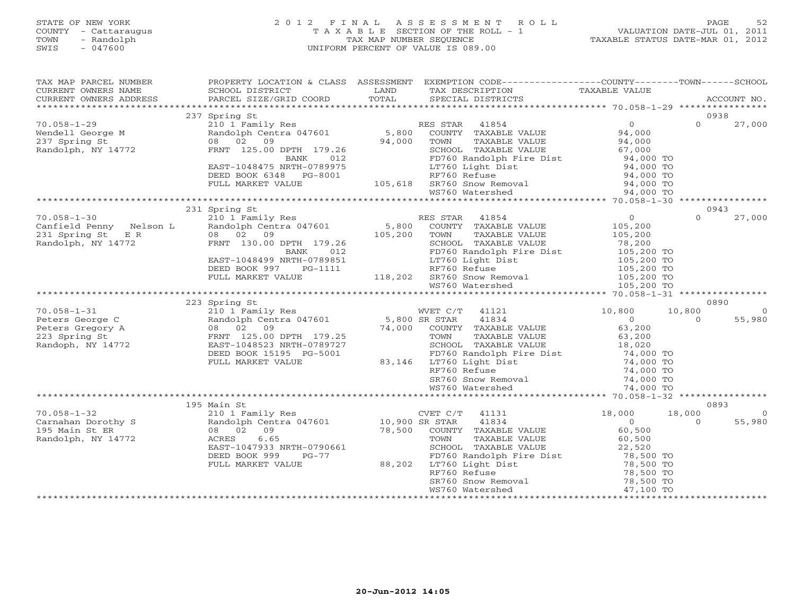# STATE OF NEW YORK 2 0 1 2 F I N A L A S S E S S M E N T R O L L PAGE 52 COUNTY - Cattaraugus T A X A B L E SECTION OF THE ROLL - 1 VALUATION DATE-JUL 01, 2011 TOWN - Randolph TAX MAP NUMBER SEQUENCE TAXABLE STATUS DATE-MAR 01, 2012 SWIS - 047600 UNIFORM PERCENT OF VALUE IS 089.00

| TAX MAP PARCEL NUMBER<br>TAX PART PARCES NOTICE TO A CONFIDENT CONTROL OF THE CONFIDENT OWNERS NOT THE CONFIDENT OF THE CONFIDENT OF THE CONTRESS CONTRESS CONTRESS PARCEL STATE TO THE THE SECRET OF THE SECRET OF THE TAX DESCRIPTION TAXABLE VALUE A                                                                        |                                | PROPERTY LOCATION & CLASS ASSESSMENT EXEMPTION CODE----------------COUNTY-------TOWN------SCHOOL |                                                                                |
|--------------------------------------------------------------------------------------------------------------------------------------------------------------------------------------------------------------------------------------------------------------------------------------------------------------------------------|--------------------------------|--------------------------------------------------------------------------------------------------|--------------------------------------------------------------------------------|
|                                                                                                                                                                                                                                                                                                                                |                                |                                                                                                  |                                                                                |
|                                                                                                                                                                                                                                                                                                                                | 237 Spring St                  |                                                                                                  | 0938                                                                           |
|                                                                                                                                                                                                                                                                                                                                |                                |                                                                                                  |                                                                                |
|                                                                                                                                                                                                                                                                                                                                |                                |                                                                                                  |                                                                                |
|                                                                                                                                                                                                                                                                                                                                |                                |                                                                                                  |                                                                                |
|                                                                                                                                                                                                                                                                                                                                | 231 Spring St<br>223 Spring St |                                                                                                  | 0943<br>$\Omega$<br>27,000<br>0890<br>10,800<br>$\sim$ 0<br>$\Omega$<br>55,980 |
|                                                                                                                                                                                                                                                                                                                                |                                |                                                                                                  |                                                                                |
|                                                                                                                                                                                                                                                                                                                                |                                |                                                                                                  |                                                                                |
| $\begin{tabular}{l c c c c c} \hline $\footnotesize{70.058-1-32}$ & $\footnotesize{195\text{ Main St}}$ & $\footnotesize{50.00}$ & $18,000$ & $18,000$ & $18,000$ & $18,000$ & $18,000$ & $18,000$ & $18,000$ & $18,000$ & $18,000$ & $18,000$ & $18,000$ & $18,000$ & $18,000$ & $18,000$ & $18,000$ & $18,000$ & $18,000$ &$ | 195 Main St                    |                                                                                                  | 0893<br>$\overline{0}$<br>55,980                                               |
|                                                                                                                                                                                                                                                                                                                                |                                |                                                                                                  |                                                                                |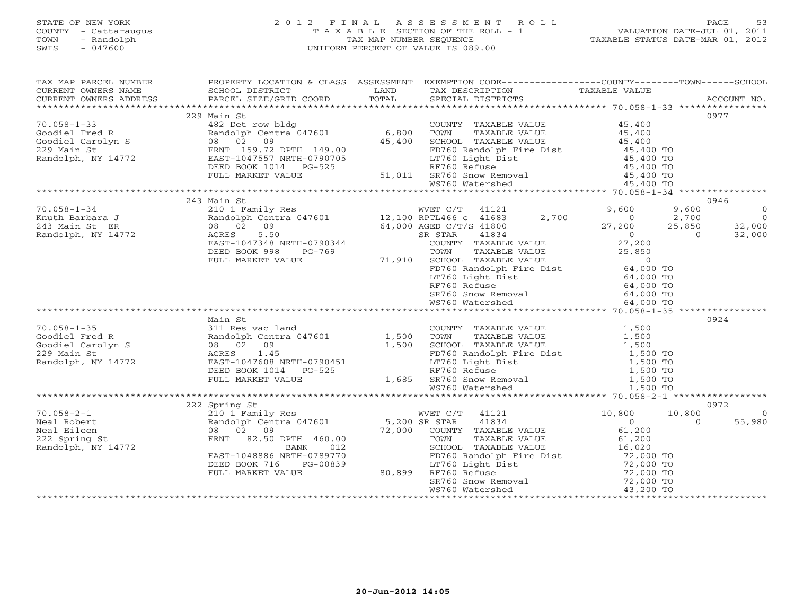# STATE OF NEW YORK 2 0 1 2 F I N A L A S S E S S M E N T R O L L PAGE 53 COUNTY - Cattaraugus T A X A B L E SECTION OF THE ROLL - 1 VALUATION DATE-JUL 01, 2011 TOWN - Randolph TAX MAP NUMBER SEQUENCE TAXABLE STATUS DATE-MAR 01, 2012 SWIS - 047600 UNIFORM PERCENT OF VALUE IS 089.00

| TAX MAP PARCEL NUMBER                                                                                                                                                                                                                                                                                                                                                                                                                                                                                       |                       | PROPERTY LOCATION & CLASS ASSESSMENT EXEMPTION CODE----------------COUNTY-------TOWN------SCHOOL                                                                                                                                                                                                                                                                                      |                |
|-------------------------------------------------------------------------------------------------------------------------------------------------------------------------------------------------------------------------------------------------------------------------------------------------------------------------------------------------------------------------------------------------------------------------------------------------------------------------------------------------------------|-----------------------|---------------------------------------------------------------------------------------------------------------------------------------------------------------------------------------------------------------------------------------------------------------------------------------------------------------------------------------------------------------------------------------|----------------|
| $\begin{tabular}{lllllll} \multicolumn{2}{l}{{\small\sc{CURRENT}}}& $\text{MME}$ & $\text{SCHOOL} & $\text{DISTRICT}$ & $\text{LAND}$ & $\text{TAX} & $\text{DESCRIPTION}$ & $\text{TAXABLE VALUE} \\ & $\text{CURRENT} & $\text{ADDRES} & $\text{ADDRES} & $\text{PACCOUNT NO.} \\ & $\text{PARREIT} & $\text{PARCEL} & $\text{SIZE/GRID COORD} & $\text{TOTAL} & $\text{SPECIAL} & $\text{DISTRICTS} \\ & $\text{*}\text{*}\text{*}\text{*}\text{*}\text{*}\text{*}\text{*}\text{*}\text{*}\text{*}\text$ |                       | TAX DESCRIPTION TAXABLE VALUE<br>SPECIAL DISTRICTS                                                                                                                                                                                                                                                                                                                                    |                |
| CURRENT OWNERS ADDRESS                                                                                                                                                                                                                                                                                                                                                                                                                                                                                      |                       |                                                                                                                                                                                                                                                                                                                                                                                       |                |
|                                                                                                                                                                                                                                                                                                                                                                                                                                                                                                             |                       |                                                                                                                                                                                                                                                                                                                                                                                       |                |
|                                                                                                                                                                                                                                                                                                                                                                                                                                                                                                             | 229 Main St           |                                                                                                                                                                                                                                                                                                                                                                                       | 0977           |
| $70.058 - 1 - 33$                                                                                                                                                                                                                                                                                                                                                                                                                                                                                           |                       |                                                                                                                                                                                                                                                                                                                                                                                       |                |
|                                                                                                                                                                                                                                                                                                                                                                                                                                                                                                             |                       | 182 Det row bldg<br>482 Det row bldg<br>Randolph Centra 047601 6,800 TOWN TAXABLE VALUE 45,400<br>45,400 SCHOOL TAXABLE VALUE 45,400                                                                                                                                                                                                                                                  |                |
|                                                                                                                                                                                                                                                                                                                                                                                                                                                                                                             |                       |                                                                                                                                                                                                                                                                                                                                                                                       |                |
|                                                                                                                                                                                                                                                                                                                                                                                                                                                                                                             |                       |                                                                                                                                                                                                                                                                                                                                                                                       |                |
|                                                                                                                                                                                                                                                                                                                                                                                                                                                                                                             | DEED BOOK 1014 PG-525 | 149.00<br>$0790705$<br>$0790705$<br>$0790705$<br>$0790705$<br>$0790705$<br>$0790705$<br>$07760$ Refuse<br>$0760$ Refuse<br>$0760$ Refuse<br>$0760$ Refuse<br>$0760$ Refuse<br>$0760$ Refuse<br>$0760$ Refuse<br>$0760$ Refuse<br>$0760$ Refuse<br>$0760$ Refu                                                                                                                         |                |
|                                                                                                                                                                                                                                                                                                                                                                                                                                                                                                             | FULL MARKET VALUE     |                                                                                                                                                                                                                                                                                                                                                                                       |                |
|                                                                                                                                                                                                                                                                                                                                                                                                                                                                                                             |                       |                                                                                                                                                                                                                                                                                                                                                                                       |                |
|                                                                                                                                                                                                                                                                                                                                                                                                                                                                                                             |                       |                                                                                                                                                                                                                                                                                                                                                                                       |                |
|                                                                                                                                                                                                                                                                                                                                                                                                                                                                                                             | 243 Main St           |                                                                                                                                                                                                                                                                                                                                                                                       | 0946           |
|                                                                                                                                                                                                                                                                                                                                                                                                                                                                                                             |                       |                                                                                                                                                                                                                                                                                                                                                                                       |                |
|                                                                                                                                                                                                                                                                                                                                                                                                                                                                                                             |                       |                                                                                                                                                                                                                                                                                                                                                                                       |                |
|                                                                                                                                                                                                                                                                                                                                                                                                                                                                                                             |                       |                                                                                                                                                                                                                                                                                                                                                                                       |                |
|                                                                                                                                                                                                                                                                                                                                                                                                                                                                                                             |                       |                                                                                                                                                                                                                                                                                                                                                                                       |                |
|                                                                                                                                                                                                                                                                                                                                                                                                                                                                                                             |                       |                                                                                                                                                                                                                                                                                                                                                                                       |                |
|                                                                                                                                                                                                                                                                                                                                                                                                                                                                                                             |                       |                                                                                                                                                                                                                                                                                                                                                                                       |                |
|                                                                                                                                                                                                                                                                                                                                                                                                                                                                                                             |                       |                                                                                                                                                                                                                                                                                                                                                                                       |                |
|                                                                                                                                                                                                                                                                                                                                                                                                                                                                                                             |                       |                                                                                                                                                                                                                                                                                                                                                                                       |                |
|                                                                                                                                                                                                                                                                                                                                                                                                                                                                                                             |                       |                                                                                                                                                                                                                                                                                                                                                                                       |                |
|                                                                                                                                                                                                                                                                                                                                                                                                                                                                                                             |                       |                                                                                                                                                                                                                                                                                                                                                                                       |                |
|                                                                                                                                                                                                                                                                                                                                                                                                                                                                                                             |                       |                                                                                                                                                                                                                                                                                                                                                                                       |                |
|                                                                                                                                                                                                                                                                                                                                                                                                                                                                                                             |                       |                                                                                                                                                                                                                                                                                                                                                                                       |                |
|                                                                                                                                                                                                                                                                                                                                                                                                                                                                                                             |                       |                                                                                                                                                                                                                                                                                                                                                                                       |                |
|                                                                                                                                                                                                                                                                                                                                                                                                                                                                                                             | Main St               |                                                                                                                                                                                                                                                                                                                                                                                       | 0924           |
|                                                                                                                                                                                                                                                                                                                                                                                                                                                                                                             |                       |                                                                                                                                                                                                                                                                                                                                                                                       |                |
|                                                                                                                                                                                                                                                                                                                                                                                                                                                                                                             |                       |                                                                                                                                                                                                                                                                                                                                                                                       |                |
|                                                                                                                                                                                                                                                                                                                                                                                                                                                                                                             |                       |                                                                                                                                                                                                                                                                                                                                                                                       |                |
|                                                                                                                                                                                                                                                                                                                                                                                                                                                                                                             |                       |                                                                                                                                                                                                                                                                                                                                                                                       |                |
|                                                                                                                                                                                                                                                                                                                                                                                                                                                                                                             |                       |                                                                                                                                                                                                                                                                                                                                                                                       |                |
|                                                                                                                                                                                                                                                                                                                                                                                                                                                                                                             |                       |                                                                                                                                                                                                                                                                                                                                                                                       |                |
|                                                                                                                                                                                                                                                                                                                                                                                                                                                                                                             |                       |                                                                                                                                                                                                                                                                                                                                                                                       |                |
|                                                                                                                                                                                                                                                                                                                                                                                                                                                                                                             |                       |                                                                                                                                                                                                                                                                                                                                                                                       |                |
|                                                                                                                                                                                                                                                                                                                                                                                                                                                                                                             |                       |                                                                                                                                                                                                                                                                                                                                                                                       |                |
|                                                                                                                                                                                                                                                                                                                                                                                                                                                                                                             | 222 Spring St         | $\begin{array}{cccc} \texttt{222} & \texttt{Spring St} & \texttt{WVET C/T} & 41121 & 10,800 & 10,800 \\ & 210 & 1\text{ Family Res} & 5,200 & \texttt{SR STRR} & 41834 & 0 \\ & 08 & 02 & 09 & 72,000 & \texttt{COUNTY} & \texttt{TAXABLE VALUE} & 61,200 \\ & 08 & 02 & 09 & 72,000 & \texttt{TONNTY} & \texttt{TAXABLE VALUE} & 61,200 \\ & 08 & 02 & 09 & 72,000 & \texttt{TONNTY$ | 0972           |
| $70.058 - 2 - 1$                                                                                                                                                                                                                                                                                                                                                                                                                                                                                            |                       |                                                                                                                                                                                                                                                                                                                                                                                       | $\overline{0}$ |
| Neal Robert                                                                                                                                                                                                                                                                                                                                                                                                                                                                                                 |                       |                                                                                                                                                                                                                                                                                                                                                                                       | 55,980         |
| Neal Eileen                                                                                                                                                                                                                                                                                                                                                                                                                                                                                                 |                       |                                                                                                                                                                                                                                                                                                                                                                                       |                |
| 222 Spring St                                                                                                                                                                                                                                                                                                                                                                                                                                                                                               |                       |                                                                                                                                                                                                                                                                                                                                                                                       |                |
| Randolph, NY 14772                                                                                                                                                                                                                                                                                                                                                                                                                                                                                          |                       |                                                                                                                                                                                                                                                                                                                                                                                       |                |
|                                                                                                                                                                                                                                                                                                                                                                                                                                                                                                             |                       |                                                                                                                                                                                                                                                                                                                                                                                       |                |
|                                                                                                                                                                                                                                                                                                                                                                                                                                                                                                             |                       |                                                                                                                                                                                                                                                                                                                                                                                       |                |
|                                                                                                                                                                                                                                                                                                                                                                                                                                                                                                             |                       |                                                                                                                                                                                                                                                                                                                                                                                       |                |
|                                                                                                                                                                                                                                                                                                                                                                                                                                                                                                             |                       |                                                                                                                                                                                                                                                                                                                                                                                       |                |
|                                                                                                                                                                                                                                                                                                                                                                                                                                                                                                             |                       |                                                                                                                                                                                                                                                                                                                                                                                       |                |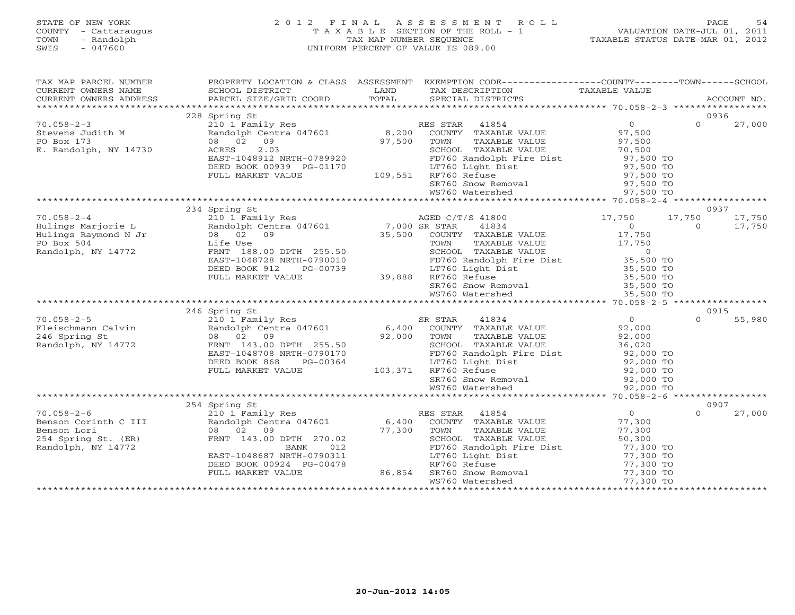# STATE OF NEW YORK 2 0 1 2 F I N A L A S S E S S M E N T R O L L PAGE 54 COUNTY - Cattaraugus T A X A B L E SECTION OF THE ROLL - 1 VALUATION DATE-JUL 01, 2011 TOWN - Randolph TAX MAP NUMBER SEQUENCE TAXABLE STATUS DATE-MAR 01, 2012 SWIS - 047600 UNIFORM PERCENT OF VALUE IS 089.00

| TAX MAP PARCEL NUMBER                                                                                                                                                                                                                |                                                                                                                                                             |        | PROPERTY LOCATION & CLASS ASSESSMENT EXEMPTION CODE---------------COUNTY-------TOWN------SCHOOL                                                                                                                                                                                                                                         |                                                                                |                                     |
|--------------------------------------------------------------------------------------------------------------------------------------------------------------------------------------------------------------------------------------|-------------------------------------------------------------------------------------------------------------------------------------------------------------|--------|-----------------------------------------------------------------------------------------------------------------------------------------------------------------------------------------------------------------------------------------------------------------------------------------------------------------------------------------|--------------------------------------------------------------------------------|-------------------------------------|
|                                                                                                                                                                                                                                      | 228 Spring St                                                                                                                                               |        |                                                                                                                                                                                                                                                                                                                                         |                                                                                | 0936                                |
| $70.058 - 2 - 3$<br>Stevens Judith M<br>PO Box 173<br>E. Randolph, NY 14730                                                                                                                                                          | 210 1 Family Res<br>Randolph Centra 047601 8,200<br>08 02 09<br>2.03<br>ACRES<br>EAST-1048912 NRTH-0789920<br>DEED BOOK 00939 PG-01170<br>FULL MARKET VALUE | 97,500 | RES STAR 41854<br>COUNTY TAXABLE VALUE<br>TAXABLE VALUE<br>TOWN<br>TOWN TAXABLE VALUE<br>SCHOOL TAXABLE VALUE 70,500<br>FD760 Randolph Fire Dist 97,500 TO<br>LT760 Light Dist 97,500 TO<br>RF760 Refuse 97,500 TO<br>SR760 Snow Removal 97,500 TO<br>WS760 Watershed<br>LT760 Light D<br>LT760 Light D<br>LT760 Refuse                 | $\overline{0}$<br>97,500<br>97,500                                             | $\Omega$<br>27,000                  |
|                                                                                                                                                                                                                                      |                                                                                                                                                             |        |                                                                                                                                                                                                                                                                                                                                         |                                                                                |                                     |
| $70.058 - 2 - 4$<br>Fulings Marjorie L<br>Hulings Raymond N Jr and Olph Centra 047601 7,000 SR STAR<br>PO Box 504 Life Use TOWN<br>Randolph, NY 14772 FRNT 188.00 DPTH 255.50 SCHOOL<br>FRNT 188.00 DPTH 255.50 SCHOOL               | 234 Spring St<br>210 1 Family Res<br>EAST-1048728 NRTH-0790010<br>DEED BOOK 912<br>PG-00739<br>FULL MARKET VALUE                                            |        | AGED C/T/S 41800 17,750<br>41834<br>FOR A 1834<br>COUNTY TAXABLE VALUE<br>TOWN TAXABLE VALUE<br>SCHOOL TAXABLE VALUE<br>FD760 Randolph Fire Dist<br>FD760 Randolph Fire Dist<br>LT760 Light Dist<br>RF760 Refuse<br>RF760 Refuse<br>35,500 TO<br>25,500 TO<br>25,500 TO<br>39,888 RF760 Refuse<br>SR760 Snow Removal<br>WS760 Watershed | 17,750<br>$\begin{array}{c} 0 \\ 17,750 \end{array}$<br>35,500 TO<br>35,500 TO | 0937<br>17,750<br>$\circ$<br>17,750 |
|                                                                                                                                                                                                                                      |                                                                                                                                                             |        |                                                                                                                                                                                                                                                                                                                                         |                                                                                |                                     |
| 70.058-2-5<br>710.058-2-5<br>710.058-2-5<br>710.058-210<br>710.058 Randolph Centra 047601 6,400 COUNTY TAXABLE VALUE 92,000<br>72.000 7000 7000 7AXABLE VALUE 92,000 Randolph, NY 14772 FRNT 143.00 DPTH 255.50 SCHOOL TAXABLE VALUE | 246 Spring St<br>EAST-1048708 NRTH-0790170<br>DEED BOOK 868<br>PG-00364<br>FULL MARKET VALUE                                                                |        | COMIT TAXABLE VALUE<br>TOWN TAXABLE VALUE<br>SCHOOL TAXABLE VALUE<br>SCHOOL TAXABLE VALUE<br>FD760 Randolph Fire Dist<br>192,000 TO<br>LT760 Light Dist<br>RF760 Refuse<br>SC,000 TO<br>SR760 Snow Removal<br>MS760 Watershed<br>MS760 Watershed<br>MS<br>103,371 RF760 Refuse                                                          |                                                                                | 0915<br>$\Omega$<br>55,980          |
|                                                                                                                                                                                                                                      |                                                                                                                                                             |        |                                                                                                                                                                                                                                                                                                                                         |                                                                                |                                     |
|                                                                                                                                                                                                                                      | 254 Spring St                                                                                                                                               |        |                                                                                                                                                                                                                                                                                                                                         |                                                                                | 0907                                |
| $70.058 - 2 - 6$<br>Benson Corinth C III<br>Benson Lori<br>254 Spring St. (ER)<br>Randolph, NY 14772<br>Randolph, NY 14772                                                                                                           | 210 1 Family Res<br>08 02 09<br>FRNT 143.00 DPTH 270.02<br><b>BANK</b><br>012<br>EAST-1048687 NRTH-0790311<br>DEED BOOK 00924 PG-00478<br>FULL MARKET VALUE | 86,854 | RES STAR 41854<br>Randolph Centra 047601 6,400 COUNTY TAXABLE VALUE 77,300<br>77,300 TOWN<br>TAXABLE VALUE<br>TAXARLE VALUE<br>SCHOOL TAXABLE VALUE<br>FD760 Randolph Fire Dist<br>FD760 Randolph Fire Dist<br>IT760 Light Dist<br>RF760 Refuse<br>SR760 Snow Removal<br>WS760 Watershed<br>T7,300 TO<br>WS760 Watershed<br>T7,300 TO   | $\overline{0}$<br>77,300<br>50,300                                             | $\Omega$<br>27,000                  |
|                                                                                                                                                                                                                                      |                                                                                                                                                             |        | WS760 Watershed                                                                                                                                                                                                                                                                                                                         |                                                                                |                                     |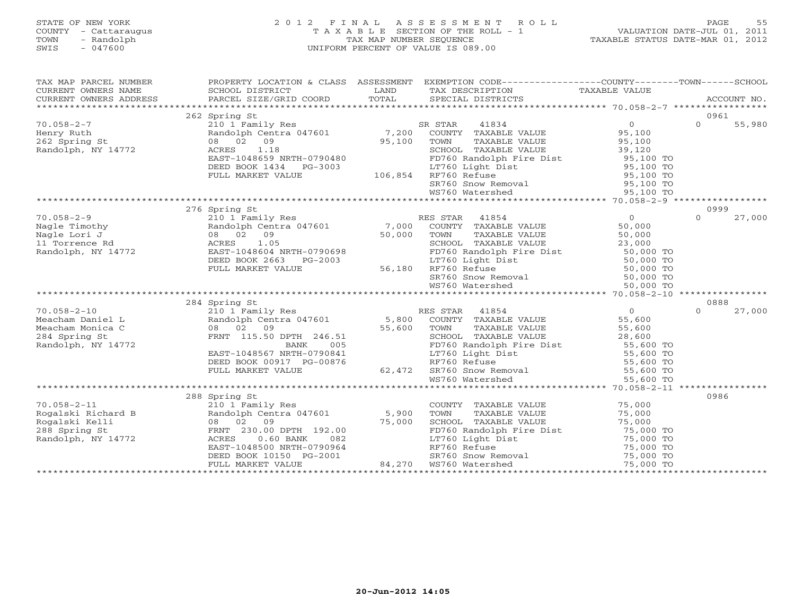# STATE OF NEW YORK 2 0 1 2 F I N A L A S S E S S M E N T R O L L PAGE 55 COUNTY - Cattaraugus T A X A B L E SECTION OF THE ROLL - 1 VALUATION DATE-JUL 01, 2011 TOWN - Randolph TAX MAP NUMBER SEQUENCE TAXABLE STATUS DATE-MAR 01, 2012 SWIS - 047600 UNIFORM PERCENT OF VALUE IS 089.00

| TAX MAP PARCEL NUMBER                                                 |                                                                          |                                 | PROPERTY LOCATION & CLASS ASSESSMENT EXEMPTION CODE---------------COUNTY-------TOWN------SCHOOL                                                                                                                                    |                                            |          |        |
|-----------------------------------------------------------------------|--------------------------------------------------------------------------|---------------------------------|------------------------------------------------------------------------------------------------------------------------------------------------------------------------------------------------------------------------------------|--------------------------------------------|----------|--------|
|                                                                       |                                                                          |                                 |                                                                                                                                                                                                                                    |                                            |          |        |
|                                                                       |                                                                          |                                 |                                                                                                                                                                                                                                    |                                            |          |        |
|                                                                       |                                                                          |                                 |                                                                                                                                                                                                                                    |                                            |          |        |
|                                                                       | 262 Spring St                                                            |                                 |                                                                                                                                                                                                                                    |                                            | 0961     |        |
| $70.058 - 2 - 7$                                                      |                                                                          |                                 | 210 1 Family Res<br>210 1 Family Res<br>Randolph Centra 047601 7,200 COUNTY TAXABLE VALUE                                                                                                                                          | $\begin{array}{c} 0 \\ 95,100 \end{array}$ | $\Omega$ | 55,980 |
| Henry Ruth                                                            |                                                                          |                                 |                                                                                                                                                                                                                                    |                                            |          |        |
| 262 Spring St                                                         | 08 02 09                                                                 | 95,100                          | TOWN                                                                                                                                                                                                                               |                                            |          |        |
| Randolph, NY 14772                                                    | ACRES 1.18                                                               |                                 | TAXABLE VALUE 95,100<br>TAXABLE VALUE 39,120                                                                                                                                                                                       |                                            |          |        |
|                                                                       | EAST-1048659 NRTH-0790480                                                |                                 | SCHOOL TAXABLE VALUE 39,120<br>FD760 Randolph Fire Dist 95,100 TO                                                                                                                                                                  |                                            |          |        |
|                                                                       | DEED BOOK 1434    PG-3003                                                |                                 | LT760 Light Dist                                                                                                                                                                                                                   | 95,100 TO                                  |          |        |
|                                                                       | FULL MARKET VALUE                                                        |                                 | $106,854$ RF760 Refuse                                                                                                                                                                                                             | $95,100$ TO                                |          |        |
|                                                                       |                                                                          |                                 |                                                                                                                                                                                                                                    |                                            |          |        |
|                                                                       |                                                                          |                                 | SR760 Snow Removal 55,100 TO<br>WS760 Watershed 55,100 TO                                                                                                                                                                          |                                            |          |        |
|                                                                       |                                                                          |                                 |                                                                                                                                                                                                                                    |                                            |          |        |
|                                                                       | 276 Spring St                                                            |                                 | Spring St<br>210 1 Family Res<br>Randolph Centra 047601 7,000 COUNTY TAXABLE VALUE 50,000<br>08 02 09 50,000 TOWN TAXABLE VALUE 50,000<br>ACRES 1.05 SCHOOL TAXABLE VALUE 23,000<br>23,000                                         |                                            | 0999     |        |
| $70.058 - 2 - 9$                                                      |                                                                          |                                 |                                                                                                                                                                                                                                    |                                            | $\Omega$ | 27,000 |
| Nagle Timothy<br>Nagle Lori J<br>11 Torrence Rd<br>Randolph, NY 14772 |                                                                          |                                 |                                                                                                                                                                                                                                    | 50,000                                     |          |        |
|                                                                       |                                                                          |                                 |                                                                                                                                                                                                                                    |                                            |          |        |
|                                                                       |                                                                          |                                 |                                                                                                                                                                                                                                    | 23,000                                     |          |        |
|                                                                       | rast-1048604 NRTH-0790698<br>DEED BOOK 2663 PG-2003<br>FULL MARKET VALUE |                                 | FD760 Randolph Fire Dist<br>LT760 Light Dist<br>RF760 Refuse 50,000 TO<br>RF760 Refuse 50,000 TO                                                                                                                                   |                                            |          |        |
|                                                                       |                                                                          |                                 |                                                                                                                                                                                                                                    |                                            |          |        |
|                                                                       |                                                                          |                                 | 56,180 RF760 Refuse                                                                                                                                                                                                                |                                            |          |        |
|                                                                       |                                                                          |                                 | RF760 Refuse 50,000 TO<br>SR760 Snow Removal 50,000 TO                                                                                                                                                                             |                                            |          |        |
|                                                                       |                                                                          |                                 | WS760 Watershed                                                                                                                                                                                                                    | 50,000 TO                                  |          |        |
|                                                                       |                                                                          |                                 |                                                                                                                                                                                                                                    |                                            |          |        |
|                                                                       | 284 Spring St                                                            |                                 |                                                                                                                                                                                                                                    |                                            | 0888     |        |
| $70.058 - 2 - 10$                                                     |                                                                          |                                 |                                                                                                                                                                                                                                    |                                            | $\Omega$ | 27,000 |
| Meacham Daniel L                                                      |                                                                          |                                 |                                                                                                                                                                                                                                    |                                            |          |        |
| Meacham Monica C                                                      |                                                                          | $55,600$<br>6.51<br>005         |                                                                                                                                                                                                                                    |                                            |          |        |
| 284 Spring St                                                         | FRNT 115.50 DPTH 246.51                                                  |                                 |                                                                                                                                                                                                                                    |                                            |          |        |
| Randolph, NY 14772                                                    | BANK                                                                     |                                 |                                                                                                                                                                                                                                    |                                            |          |        |
|                                                                       | EAST-1048567 NRTH-0790841                                                |                                 |                                                                                                                                                                                                                                    |                                            |          |        |
|                                                                       | DEED BOOK 00917 PG-00876                                                 |                                 |                                                                                                                                                                                                                                    |                                            |          |        |
|                                                                       | FULL MARKET VALUE                                                        | $-0790841$<br>G-00876<br>62,472 | SCHOOL TAXABLE VALUE<br>FD760 Randolph Fire Dist<br>LT760 Light Dist<br>RF760 Refuse<br>SR760 Snow Removal<br>SR760 Snow Removal<br>SR760 SR760 Snow Removal<br>SR760 SR760 Snow Removal<br>SR760 SR760 SNOW Removal<br>SPS,600 TO |                                            |          |        |
|                                                                       |                                                                          |                                 | WS760 Watershed                                                                                                                                                                                                                    | 55,600 TO                                  |          |        |
|                                                                       |                                                                          |                                 |                                                                                                                                                                                                                                    |                                            |          |        |
|                                                                       | 288 Spring St                                                            |                                 |                                                                                                                                                                                                                                    |                                            | 0986     |        |
| $70.058 - 2 - 11$                                                     | 210 1 Family Res                                                         |                                 | COUNTY TAXABLE VALUE                                                                                                                                                                                                               | 75,000                                     |          |        |
|                                                                       | Randolph Centra 047601 5,900                                             |                                 | TAXABLE VALUE<br>TOWN                                                                                                                                                                                                              | 75,000                                     |          |        |
|                                                                       | 08 02 09                                                                 |                                 |                                                                                                                                                                                                                                    |                                            |          |        |
| Rogalski Richard B<br>Rogalski Kelli<br>288 Spring St                 | FRNT 230.00 DPTH 192.00                                                  | 75,000                          |                                                                                                                                                                                                                                    |                                            |          |        |
| Randolph, NY 14772                                                    |                                                                          |                                 |                                                                                                                                                                                                                                    |                                            |          |        |
|                                                                       |                                                                          |                                 |                                                                                                                                                                                                                                    |                                            |          |        |
|                                                                       |                                                                          |                                 | SCHOOL TAXABLE VALUE 75,000<br>FD760 Randolph Fire Dist 75,000 TO<br>LT760 Light Dist 75,000 TO<br>RF760 Refuse 75,000 TO<br>SR760 Snow Removal 75,000 TO<br>75,000 TO<br>75,000 TO                                                |                                            |          |        |
|                                                                       |                                                                          |                                 | ACRES 0.60 BANK - 082<br>EAST-1048500 NRTH-0790964<br>DEED BOOK 10150 PG-2001 84,270 NST60 Natershed<br>FULL MARKET VALUE 84,270 WS760 Watershed                                                                                   | 75,000 TO                                  |          |        |
|                                                                       |                                                                          |                                 |                                                                                                                                                                                                                                    |                                            |          |        |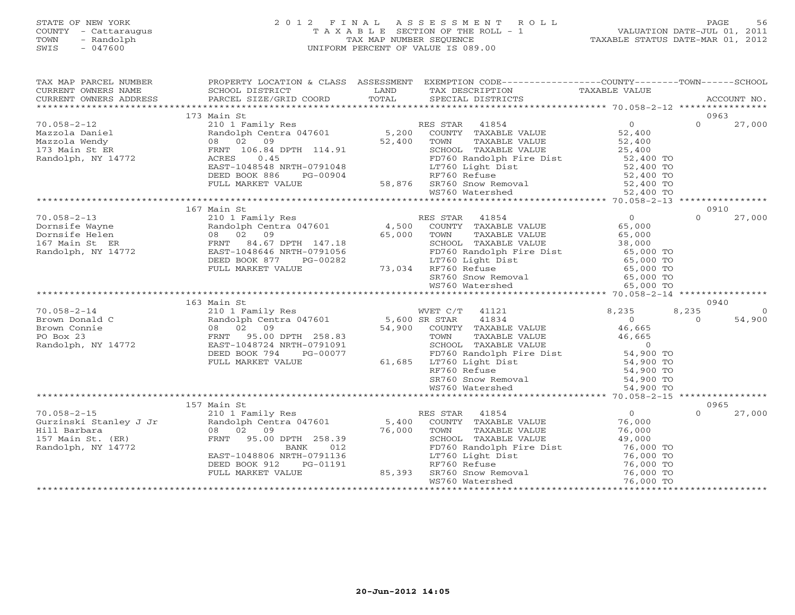# STATE OF NEW YORK 2 0 1 2 F I N A L A S S E S S M E N T R O L L PAGE 56 COUNTY - Cattaraugus T A X A B L E SECTION OF THE ROLL - 1 VALUATION DATE-JUL 01, 2011 TOWN - Randolph TAX MAP NUMBER SEQUENCE TAXABLE STATUS DATE-MAR 01, 2012 SWIS - 047600 UNIFORM PERCENT OF VALUE IS 089.00

| TAX MAP PARCEL NUMBER                                                                                                                                                                                                                            |                           |                     | PROPERTY LOCATION & CLASS ASSESSMENT EXEMPTION CODE------------------COUNTY--------TOWN------SCHOOL<br>SCHOOL DISTRICT TAND TAND                                                                                                                     |                |                         |
|--------------------------------------------------------------------------------------------------------------------------------------------------------------------------------------------------------------------------------------------------|---------------------------|---------------------|------------------------------------------------------------------------------------------------------------------------------------------------------------------------------------------------------------------------------------------------------|----------------|-------------------------|
|                                                                                                                                                                                                                                                  |                           |                     |                                                                                                                                                                                                                                                      |                |                         |
|                                                                                                                                                                                                                                                  | 173 Main St               |                     |                                                                                                                                                                                                                                                      |                | 0963                    |
| $70.058 - 2 - 12$                                                                                                                                                                                                                                |                           |                     |                                                                                                                                                                                                                                                      |                | $\Omega$<br>27,000      |
|                                                                                                                                                                                                                                                  |                           |                     |                                                                                                                                                                                                                                                      |                |                         |
| Mazzola Daniel<br>Mazzola Wendy<br>173 Main St ER FRNT 106.84 DPTH 114.91<br>Randolph, NY 14772 ACRES 0.45                                                                                                                                       |                           |                     | 3,200 COONTRAABLE VALUE 52,400<br>TRATE 106.84 DPTH 114.91<br>FRNT 106.84 DPTH 114.91<br>EAST-1048548 NRTH-0791048<br>DEED BOOK 886 PG-00904<br>FULL MARKET VALUE 58,876 SR760 Show Removal<br>FULL MARKET VALUE 58,876 SR760 Show Removal           |                |                         |
|                                                                                                                                                                                                                                                  |                           |                     |                                                                                                                                                                                                                                                      |                |                         |
|                                                                                                                                                                                                                                                  |                           |                     |                                                                                                                                                                                                                                                      |                |                         |
|                                                                                                                                                                                                                                                  |                           |                     |                                                                                                                                                                                                                                                      |                |                         |
|                                                                                                                                                                                                                                                  |                           |                     |                                                                                                                                                                                                                                                      |                |                         |
|                                                                                                                                                                                                                                                  |                           |                     |                                                                                                                                                                                                                                                      |                |                         |
|                                                                                                                                                                                                                                                  |                           |                     |                                                                                                                                                                                                                                                      |                |                         |
|                                                                                                                                                                                                                                                  | 167 Main St               |                     | ES STAR 41854 0<br>COUNTY TAXABLE VALUE 65,000<br>TOWN TAXABLE VALUE 65,000                                                                                                                                                                          |                | 0910                    |
| $70.058 - 2 - 13$                                                                                                                                                                                                                                | 210 1 Family Res          |                     | RES STAR 41854                                                                                                                                                                                                                                       |                | $\Omega$<br>27,000      |
| NE CONSIDER THE REPORT OF THE PASS ON A SUCH THE REPORT OF THE REPORT OF THE REPORT OF THE PASS OF THE PASS OF THE PASS OF THE PASS OF THE PASS OF THE PASS OF THE PASS OF THE PASS OF THE PASS OF THE PASS OF THE PASS OF THE                   |                           |                     |                                                                                                                                                                                                                                                      |                |                         |
|                                                                                                                                                                                                                                                  |                           |                     |                                                                                                                                                                                                                                                      |                |                         |
|                                                                                                                                                                                                                                                  |                           |                     |                                                                                                                                                                                                                                                      |                |                         |
|                                                                                                                                                                                                                                                  |                           |                     |                                                                                                                                                                                                                                                      |                |                         |
|                                                                                                                                                                                                                                                  |                           |                     |                                                                                                                                                                                                                                                      |                |                         |
|                                                                                                                                                                                                                                                  |                           |                     |                                                                                                                                                                                                                                                      |                |                         |
|                                                                                                                                                                                                                                                  |                           |                     |                                                                                                                                                                                                                                                      |                |                         |
| 9 02 09<br>167 Main St ER RNT 84.67 PRIM 147.18<br>267 Main St ER RNT 84.67 PRIM 147.18<br>267 Main St ER RNT 84.67 PRIM 147.18<br>26,000 TO DEED BOOK 877 PG-00282<br>27760 EAST-1048646 NRTH-0791056<br>27760 ERID Light Dist 65,000 TO<br>    |                           |                     |                                                                                                                                                                                                                                                      |                |                         |
|                                                                                                                                                                                                                                                  | 163 Main St               |                     |                                                                                                                                                                                                                                                      |                | 0940                    |
| $70.058 - 2 - 14$                                                                                                                                                                                                                                | 210 1 Family Res          |                     | WVET C/T 41121 8,235                                                                                                                                                                                                                                 |                | 8,235<br>$\overline{0}$ |
| Brown Donald C                                                                                                                                                                                                                                   |                           |                     |                                                                                                                                                                                                                                                      |                | 54,900<br>$\Omega$      |
| Brown Connie                                                                                                                                                                                                                                     |                           |                     |                                                                                                                                                                                                                                                      |                |                         |
| PO Box 23                                                                                                                                                                                                                                        |                           |                     |                                                                                                                                                                                                                                                      |                |                         |
| Randolph, NY 14772                                                                                                                                                                                                                               |                           |                     |                                                                                                                                                                                                                                                      |                |                         |
|                                                                                                                                                                                                                                                  | DEED BOOK 794<br>PG-00077 |                     |                                                                                                                                                                                                                                                      |                |                         |
|                                                                                                                                                                                                                                                  | FULL MARKET VALUE         |                     |                                                                                                                                                                                                                                                      |                |                         |
|                                                                                                                                                                                                                                                  |                           |                     |                                                                                                                                                                                                                                                      |                |                         |
|                                                                                                                                                                                                                                                  |                           |                     | 14,900 COWNI TAXABLE VALUE<br>TOWN TAXABLE VALUE<br>SCHOOL TAXABLE VALUE<br>FD760 Randolph Fire Dist<br>FD760 Randolph Fire Dist<br>54,900 TO<br>61,685 LT760 Light Dist<br>RF760 Refuse<br>SR760 Snow Removal<br>MS760 Watershed<br>140,665<br>54,9 |                |                         |
|                                                                                                                                                                                                                                                  |                           |                     |                                                                                                                                                                                                                                                      |                |                         |
|                                                                                                                                                                                                                                                  |                           |                     |                                                                                                                                                                                                                                                      |                |                         |
|                                                                                                                                                                                                                                                  | 157 Main St               |                     | RES STAR 41854                                                                                                                                                                                                                                       | $\overline{a}$ | 0965<br>$\Omega$        |
| Gurzinski Stanley J Jr (1990)<br>Gurzinski Stanley J Jr (1990)<br>Hill Barbara (1990)<br>Hill Barbara (1990)<br>Hill Barbara (1990)<br>Standolph, NY 14772 (1990)<br>Hill Barbara (1990)<br>FRNT 95.00 DPTH 258.39 (1990)<br>BANK (1290)<br>BANK |                           |                     |                                                                                                                                                                                                                                                      |                | 27,000                  |
|                                                                                                                                                                                                                                                  |                           |                     |                                                                                                                                                                                                                                                      |                |                         |
|                                                                                                                                                                                                                                                  |                           |                     |                                                                                                                                                                                                                                                      |                |                         |
|                                                                                                                                                                                                                                                  |                           |                     |                                                                                                                                                                                                                                                      |                |                         |
|                                                                                                                                                                                                                                                  | EAST-1048806 NRTH-0791136 |                     |                                                                                                                                                                                                                                                      |                |                         |
|                                                                                                                                                                                                                                                  | PG-01191<br>DEED BOOK 912 |                     |                                                                                                                                                                                                                                                      |                |                         |
|                                                                                                                                                                                                                                                  | FULL MARKET VALUE         | $PG - 01191$ 85,393 |                                                                                                                                                                                                                                                      |                |                         |
|                                                                                                                                                                                                                                                  |                           |                     | FD760 Randolph Fire Dist<br>IT760 Light Dist<br>RF760 Refuse<br>RF760 Refuse<br>SR760 Snow Removal<br>MS760 Watershed<br>MS760 Watershed<br>T6,000 TO<br>MS760 Watershed<br>T6,000 TO<br>T6,000 TO                                                   |                |                         |
|                                                                                                                                                                                                                                                  |                           |                     |                                                                                                                                                                                                                                                      |                |                         |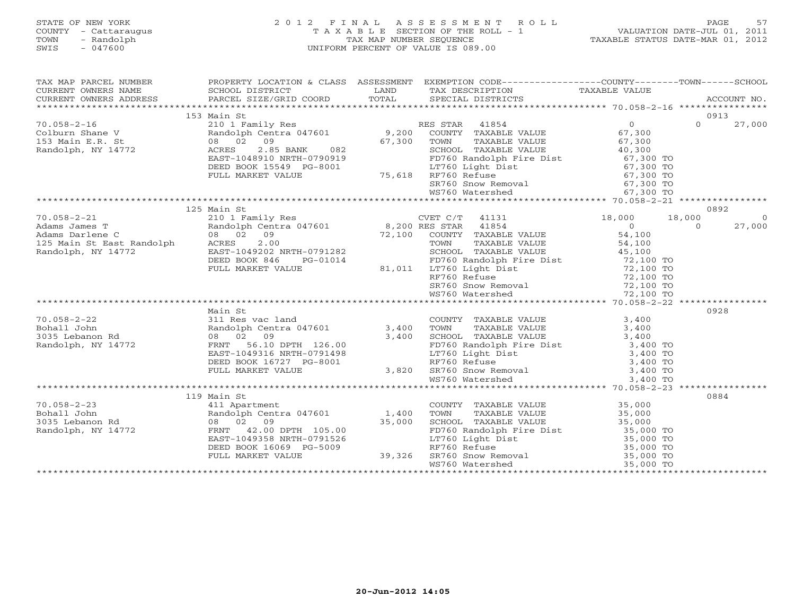# STATE OF NEW YORK 2 0 1 2 F I N A L A S S E S S M E N T R O L L PAGE 57 COUNTY - Cattaraugus T A X A B L E SECTION OF THE ROLL - 1 VALUATION DATE-JUL 01, 2011 TOWN - Randolph TAX MAP NUMBER SEQUENCE TAXABLE STATUS DATE-MAR 01, 2012 SWIS - 047600 UNIFORM PERCENT OF VALUE IS 089.00

| TAX MAP PARCEL NUMBER                                                                                                                                                                                                                                                                                                                                                                                                                                                                               | PRUPERII LUULLE<br>SCHOOL DISTRICT                                                                                                                                                                                                       | PROPERTY LOCATION & CLASS ASSESSMENT EXEMPTION CODE----------------COUNTY-------TOWN------SCHOOL |                          |
|-----------------------------------------------------------------------------------------------------------------------------------------------------------------------------------------------------------------------------------------------------------------------------------------------------------------------------------------------------------------------------------------------------------------------------------------------------------------------------------------------------|------------------------------------------------------------------------------------------------------------------------------------------------------------------------------------------------------------------------------------------|--------------------------------------------------------------------------------------------------|--------------------------|
|                                                                                                                                                                                                                                                                                                                                                                                                                                                                                                     |                                                                                                                                                                                                                                          |                                                                                                  |                          |
|                                                                                                                                                                                                                                                                                                                                                                                                                                                                                                     | 153 Main St                                                                                                                                                                                                                              |                                                                                                  | 0913                     |
|                                                                                                                                                                                                                                                                                                                                                                                                                                                                                                     |                                                                                                                                                                                                                                          |                                                                                                  | $\Omega$<br>27,000       |
|                                                                                                                                                                                                                                                                                                                                                                                                                                                                                                     |                                                                                                                                                                                                                                          |                                                                                                  |                          |
|                                                                                                                                                                                                                                                                                                                                                                                                                                                                                                     |                                                                                                                                                                                                                                          |                                                                                                  |                          |
|                                                                                                                                                                                                                                                                                                                                                                                                                                                                                                     |                                                                                                                                                                                                                                          |                                                                                                  |                          |
|                                                                                                                                                                                                                                                                                                                                                                                                                                                                                                     |                                                                                                                                                                                                                                          |                                                                                                  |                          |
|                                                                                                                                                                                                                                                                                                                                                                                                                                                                                                     | Randolph, NY 14772 across and the contract of the set of the set of the set of the set of the set of the set of the set of the set of the set of the set of the set of the set of the set of the set of the set of the set of            |                                                                                                  |                          |
|                                                                                                                                                                                                                                                                                                                                                                                                                                                                                                     |                                                                                                                                                                                                                                          |                                                                                                  |                          |
|                                                                                                                                                                                                                                                                                                                                                                                                                                                                                                     |                                                                                                                                                                                                                                          |                                                                                                  |                          |
|                                                                                                                                                                                                                                                                                                                                                                                                                                                                                                     |                                                                                                                                                                                                                                          |                                                                                                  |                          |
|                                                                                                                                                                                                                                                                                                                                                                                                                                                                                                     |                                                                                                                                                                                                                                          |                                                                                                  |                          |
| $\begin{tabular}{l c c c c c} \hline $\footnotesize{70.058-2-21}$ & $\footnotesize{125\text{ Main St.}}$ & $\footnotesize{125\text{ Main St.}}$ & $\footnotesize{125\text{ Main St.}}$ & $\footnotesize{125\text{ Main St.}}$ & $\footnotesize{125\text{ Main St.}}$ & $\footnotesize{125\text{ Main St.}}$ & $\footnotesize{125\text{ Main St.}}$ & $\footnotesize{125\text{ Main St.}}$ & $\footnotesize{125\text{ Main St.}}$ & $\footnotesize{125\text{ Main St.}}$ & $\footnotesize{125\text{$ | 125 Main St                                                                                                                                                                                                                              |                                                                                                  | 0892                     |
|                                                                                                                                                                                                                                                                                                                                                                                                                                                                                                     |                                                                                                                                                                                                                                          |                                                                                                  | $\overline{0}$<br>27,000 |
|                                                                                                                                                                                                                                                                                                                                                                                                                                                                                                     |                                                                                                                                                                                                                                          |                                                                                                  |                          |
|                                                                                                                                                                                                                                                                                                                                                                                                                                                                                                     |                                                                                                                                                                                                                                          |                                                                                                  |                          |
|                                                                                                                                                                                                                                                                                                                                                                                                                                                                                                     |                                                                                                                                                                                                                                          |                                                                                                  |                          |
|                                                                                                                                                                                                                                                                                                                                                                                                                                                                                                     |                                                                                                                                                                                                                                          |                                                                                                  |                          |
|                                                                                                                                                                                                                                                                                                                                                                                                                                                                                                     |                                                                                                                                                                                                                                          |                                                                                                  |                          |
|                                                                                                                                                                                                                                                                                                                                                                                                                                                                                                     |                                                                                                                                                                                                                                          |                                                                                                  |                          |
|                                                                                                                                                                                                                                                                                                                                                                                                                                                                                                     |                                                                                                                                                                                                                                          |                                                                                                  |                          |
|                                                                                                                                                                                                                                                                                                                                                                                                                                                                                                     |                                                                                                                                                                                                                                          |                                                                                                  |                          |
|                                                                                                                                                                                                                                                                                                                                                                                                                                                                                                     |                                                                                                                                                                                                                                          |                                                                                                  |                          |
|                                                                                                                                                                                                                                                                                                                                                                                                                                                                                                     | Main St                                                                                                                                                                                                                                  |                                                                                                  | 0928                     |
|                                                                                                                                                                                                                                                                                                                                                                                                                                                                                                     |                                                                                                                                                                                                                                          |                                                                                                  |                          |
|                                                                                                                                                                                                                                                                                                                                                                                                                                                                                                     |                                                                                                                                                                                                                                          |                                                                                                  |                          |
|                                                                                                                                                                                                                                                                                                                                                                                                                                                                                                     |                                                                                                                                                                                                                                          |                                                                                                  |                          |
|                                                                                                                                                                                                                                                                                                                                                                                                                                                                                                     |                                                                                                                                                                                                                                          |                                                                                                  |                          |
|                                                                                                                                                                                                                                                                                                                                                                                                                                                                                                     |                                                                                                                                                                                                                                          |                                                                                                  |                          |
|                                                                                                                                                                                                                                                                                                                                                                                                                                                                                                     |                                                                                                                                                                                                                                          |                                                                                                  |                          |
|                                                                                                                                                                                                                                                                                                                                                                                                                                                                                                     |                                                                                                                                                                                                                                          |                                                                                                  |                          |
|                                                                                                                                                                                                                                                                                                                                                                                                                                                                                                     |                                                                                                                                                                                                                                          |                                                                                                  |                          |
|                                                                                                                                                                                                                                                                                                                                                                                                                                                                                                     | 31 New Young Mandolph Centra 047601<br>Randolph Centra 047601<br>08 02 09 3,400 TOWN TAXABLE VALUE 3,400<br>FRNT 56.10 DPTH 126.00 52<br>EAST-1049316 NRTH-0791498 LT760 Light Dist 3,400 TO<br>DEED BOOK 16727 PG-8001 3,820 SR760 Snow |                                                                                                  |                          |
|                                                                                                                                                                                                                                                                                                                                                                                                                                                                                                     |                                                                                                                                                                                                                                          |                                                                                                  | 0884                     |
|                                                                                                                                                                                                                                                                                                                                                                                                                                                                                                     |                                                                                                                                                                                                                                          |                                                                                                  |                          |
|                                                                                                                                                                                                                                                                                                                                                                                                                                                                                                     |                                                                                                                                                                                                                                          |                                                                                                  |                          |
|                                                                                                                                                                                                                                                                                                                                                                                                                                                                                                     |                                                                                                                                                                                                                                          |                                                                                                  |                          |
| 119 Main St<br>70.058-2-23 119 Main St<br>80011 John Randolph Centra 047601 1,400 TOWNY TAXABLE VALUE<br>811 Apartment 20.00 15,000 55,000 SCHOOL TAXABLE VALUE<br>85,000 10 08 02 09 35,000 35,000 SCHOOL TAXABLE VALUE<br>85,000 TO 80                                                                                                                                                                                                                                                            |                                                                                                                                                                                                                                          |                                                                                                  |                          |
|                                                                                                                                                                                                                                                                                                                                                                                                                                                                                                     |                                                                                                                                                                                                                                          |                                                                                                  |                          |
|                                                                                                                                                                                                                                                                                                                                                                                                                                                                                                     |                                                                                                                                                                                                                                          |                                                                                                  |                          |
|                                                                                                                                                                                                                                                                                                                                                                                                                                                                                                     |                                                                                                                                                                                                                                          |                                                                                                  |                          |
|                                                                                                                                                                                                                                                                                                                                                                                                                                                                                                     |                                                                                                                                                                                                                                          |                                                                                                  |                          |
|                                                                                                                                                                                                                                                                                                                                                                                                                                                                                                     |                                                                                                                                                                                                                                          |                                                                                                  |                          |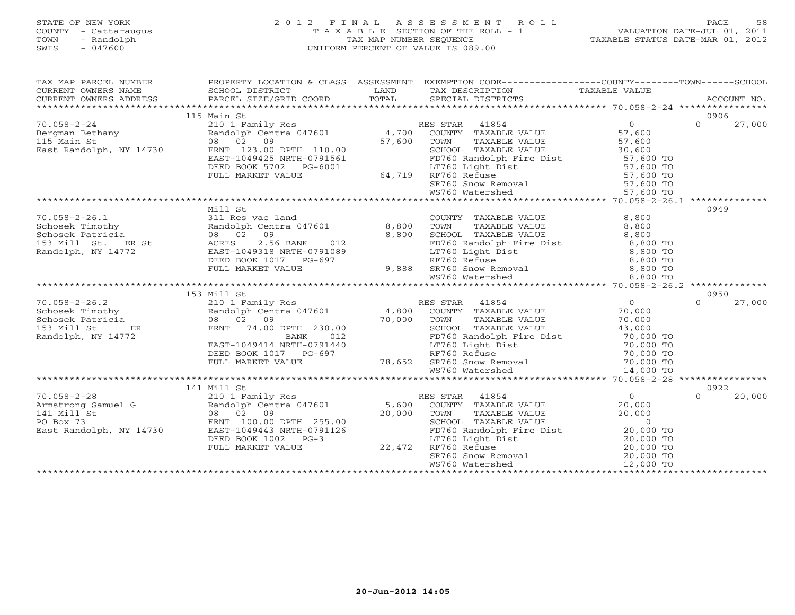#### STATE OF NEW YORK 2 0 1 2 F I N A L A S S E S S M E N T R O L L PAGE 58 COUNTY - Cattaraugus T A X A B L E SECTION OF THE ROLL - 1 VALUATION DATE-JUL 01, 2011 TOWN - Randolph TAX MAP NUMBER SEQUENCE TAXABLE STATUS DATE-MAR 01, 2012 SWIS - 047600 UNIFORM PERCENT OF VALUE IS 089.00

| TAX MAP PARCEL NUMBER                                                                                                                                                                                                                                                                                                                                                                                                                            |             | PROPERTY LOCATION & CLASS ASSESSMENT EXEMPTION CODE-----------------COUNTY-------TOWN------SCHOOL |                    |
|--------------------------------------------------------------------------------------------------------------------------------------------------------------------------------------------------------------------------------------------------------------------------------------------------------------------------------------------------------------------------------------------------------------------------------------------------|-------------|---------------------------------------------------------------------------------------------------|--------------------|
|                                                                                                                                                                                                                                                                                                                                                                                                                                                  |             |                                                                                                   |                    |
|                                                                                                                                                                                                                                                                                                                                                                                                                                                  |             |                                                                                                   |                    |
|                                                                                                                                                                                                                                                                                                                                                                                                                                                  |             |                                                                                                   |                    |
|                                                                                                                                                                                                                                                                                                                                                                                                                                                  | 115 Main St |                                                                                                   | 0906               |
|                                                                                                                                                                                                                                                                                                                                                                                                                                                  |             |                                                                                                   | $0 \t 27,000$      |
|                                                                                                                                                                                                                                                                                                                                                                                                                                                  |             |                                                                                                   |                    |
|                                                                                                                                                                                                                                                                                                                                                                                                                                                  |             |                                                                                                   |                    |
|                                                                                                                                                                                                                                                                                                                                                                                                                                                  |             |                                                                                                   |                    |
|                                                                                                                                                                                                                                                                                                                                                                                                                                                  |             |                                                                                                   |                    |
|                                                                                                                                                                                                                                                                                                                                                                                                                                                  |             |                                                                                                   |                    |
| ${\small \begin{tabular}{lcccc} 70.058-2-24 & 115 Main St & 115 Main St & 115 Main St & 115 Main St & 115 Main St & 115 Main St & 115 Main St & 115 Main St & 115 Main St & 115 Main St & 115 Main St & 115 Main St & 115 Main St & 115 Main St & 115 Main St & 115 Main St & 115 Main St & 115 Main St & 115 Main St & 115 Main St & 115 Main St & 115 Main St & 115 Min St & 115 Min St & 115 Min St & 115 Min St & 115 Min St & 115 Min St &$ |             |                                                                                                   |                    |
|                                                                                                                                                                                                                                                                                                                                                                                                                                                  |             |                                                                                                   |                    |
|                                                                                                                                                                                                                                                                                                                                                                                                                                                  |             |                                                                                                   |                    |
|                                                                                                                                                                                                                                                                                                                                                                                                                                                  |             |                                                                                                   |                    |
|                                                                                                                                                                                                                                                                                                                                                                                                                                                  | Mill St     |                                                                                                   | 0949               |
|                                                                                                                                                                                                                                                                                                                                                                                                                                                  |             |                                                                                                   |                    |
|                                                                                                                                                                                                                                                                                                                                                                                                                                                  |             |                                                                                                   |                    |
|                                                                                                                                                                                                                                                                                                                                                                                                                                                  |             |                                                                                                   |                    |
|                                                                                                                                                                                                                                                                                                                                                                                                                                                  |             |                                                                                                   |                    |
|                                                                                                                                                                                                                                                                                                                                                                                                                                                  |             |                                                                                                   |                    |
|                                                                                                                                                                                                                                                                                                                                                                                                                                                  |             |                                                                                                   |                    |
|                                                                                                                                                                                                                                                                                                                                                                                                                                                  |             |                                                                                                   |                    |
|                                                                                                                                                                                                                                                                                                                                                                                                                                                  |             |                                                                                                   |                    |
|                                                                                                                                                                                                                                                                                                                                                                                                                                                  |             |                                                                                                   |                    |
|                                                                                                                                                                                                                                                                                                                                                                                                                                                  | 153 Mill St |                                                                                                   | 0950               |
|                                                                                                                                                                                                                                                                                                                                                                                                                                                  |             |                                                                                                   | 27,000<br>$\Omega$ |
|                                                                                                                                                                                                                                                                                                                                                                                                                                                  |             |                                                                                                   |                    |
|                                                                                                                                                                                                                                                                                                                                                                                                                                                  |             |                                                                                                   |                    |
|                                                                                                                                                                                                                                                                                                                                                                                                                                                  |             |                                                                                                   |                    |
|                                                                                                                                                                                                                                                                                                                                                                                                                                                  |             |                                                                                                   |                    |
|                                                                                                                                                                                                                                                                                                                                                                                                                                                  |             |                                                                                                   |                    |
|                                                                                                                                                                                                                                                                                                                                                                                                                                                  |             |                                                                                                   |                    |
|                                                                                                                                                                                                                                                                                                                                                                                                                                                  |             |                                                                                                   |                    |
| $\begin{array}{cccc} \text{70.058-2-26.2} & \text{153 Mil1 St} & \text{210 I Family Res} & \text{RES STAR} & \text{41854} & 0 \\ \text{Schosek Timothy} & \text{210 I Family Res} & \text{RES STAR} & \text{41854} & 0 \\ \text{Schosek Patricia} & 08 & 02 & 09 & 70,000 & \text{TONIN} & \text{TAXABLE VALUE} & 70,000 \\ \text{Stosesk Patricia} & 08 & 02 & 09 & 70,000 & \text{TOMN} & \text{TAXABLE VALUE} & 70,00$                        |             |                                                                                                   |                    |
|                                                                                                                                                                                                                                                                                                                                                                                                                                                  |             |                                                                                                   | 0922               |
|                                                                                                                                                                                                                                                                                                                                                                                                                                                  | 141 Mill St |                                                                                                   |                    |
|                                                                                                                                                                                                                                                                                                                                                                                                                                                  |             |                                                                                                   | 20,000<br>$\Omega$ |
|                                                                                                                                                                                                                                                                                                                                                                                                                                                  |             |                                                                                                   |                    |
| $\begin{array}{cccc} \text{70.058-2-28} & \text{141~M11~St} & \text{21.0~I Fami1y~Res} & \text{RES STAR} & 41854 & 0 \\ \text{Armstrong Samuel G} & 2101~Fami1y~Res & \text{RES STAR} & 41854 & 0 \\ \text{Ramidolph Centra 047601} & 0 & 5,600~\text{COUNTY} & \text{TAXABLE VALUE} & 20,000 \\ \text{141~M11~St} & 0 & 0 & 20,000~\text{TONY} & \text{TAXABLE VALUE} & \text{VALUE} & 20,$                                                     |             |                                                                                                   |                    |
|                                                                                                                                                                                                                                                                                                                                                                                                                                                  |             |                                                                                                   |                    |
|                                                                                                                                                                                                                                                                                                                                                                                                                                                  |             |                                                                                                   |                    |
|                                                                                                                                                                                                                                                                                                                                                                                                                                                  |             |                                                                                                   |                    |
|                                                                                                                                                                                                                                                                                                                                                                                                                                                  |             |                                                                                                   |                    |
|                                                                                                                                                                                                                                                                                                                                                                                                                                                  |             |                                                                                                   |                    |
|                                                                                                                                                                                                                                                                                                                                                                                                                                                  |             |                                                                                                   |                    |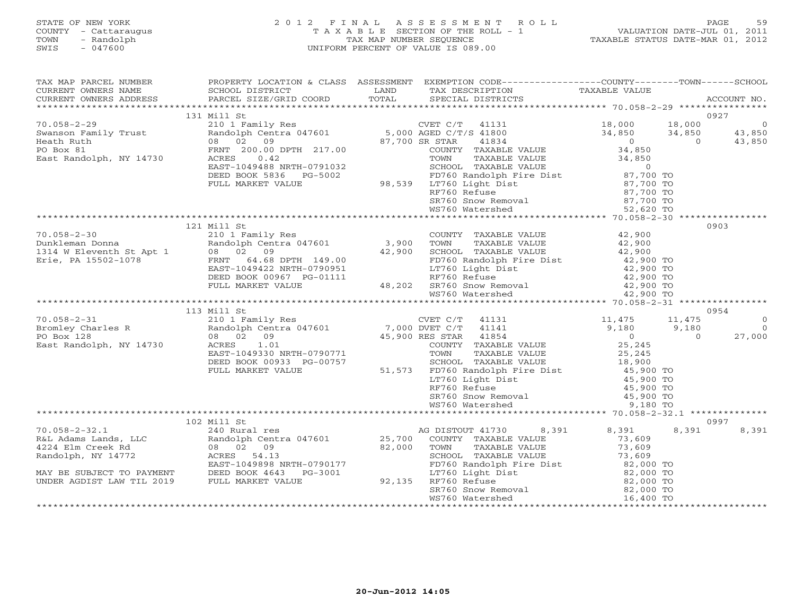# STATE OF NEW YORK 2 0 1 2 F I N A L A S S E S S M E N T R O L L PAGE 59 COUNTY - Cattaraugus T A X A B L E SECTION OF THE ROLL - 1 VALUATION DATE-JUL 01, 2011 TOWN - Randolph TAX MAP NUMBER SEQUENCE TAXABLE STATUS DATE-MAR 01, 2012 SWIS - 047600 UNIFORM PERCENT OF VALUE IS 089.00

| TAX MAP PARCEL NUMBER<br>CURRENT OWNERS NAME<br>CURRENT OWNERS ADDRESS                                                                                                                                                                                  | SCHOOL DISTRICT<br>PARCEL SIZE/GRID COORD                 | TOTAL | PROPERTY LOCATION & CLASS ASSESSMENT EXEMPTION CODE----------------COUNTY-------TOWN------SCHOOL<br>LAND TAX DESCRIPTION<br>SPECIAL DISTRICTS                                                                                                                                                                                                                                                                                | TAXABLE VALUE           | ACCOUNT NO.            |
|---------------------------------------------------------------------------------------------------------------------------------------------------------------------------------------------------------------------------------------------------------|-----------------------------------------------------------|-------|------------------------------------------------------------------------------------------------------------------------------------------------------------------------------------------------------------------------------------------------------------------------------------------------------------------------------------------------------------------------------------------------------------------------------|-------------------------|------------------------|
|                                                                                                                                                                                                                                                         |                                                           |       |                                                                                                                                                                                                                                                                                                                                                                                                                              |                         |                        |
|                                                                                                                                                                                                                                                         | 131 Mill St                                               |       |                                                                                                                                                                                                                                                                                                                                                                                                                              |                         | 0927                   |
| $70.058 - 2 - 29$                                                                                                                                                                                                                                       |                                                           |       |                                                                                                                                                                                                                                                                                                                                                                                                                              | 18,000                  | $\overline{0}$         |
| Swanson Family Trust<br>Hash Buth                                                                                                                                                                                                                       |                                                           |       |                                                                                                                                                                                                                                                                                                                                                                                                                              | 34,850<br>$34,850$<br>0 | 43,850<br>43,850       |
| Heath Ruth                                                                                                                                                                                                                                              | 08 02 09                                                  |       | 87,700 SR STAR<br>41834                                                                                                                                                                                                                                                                                                                                                                                                      | $\overline{0}$          | 43,850                 |
| PO Box 81<br>East Randolph, NY 14730                                                                                                                                                                                                                    |                                                           |       |                                                                                                                                                                                                                                                                                                                                                                                                                              |                         |                        |
|                                                                                                                                                                                                                                                         |                                                           |       |                                                                                                                                                                                                                                                                                                                                                                                                                              |                         |                        |
|                                                                                                                                                                                                                                                         |                                                           |       | FRNT 200.00 DPTH 217.00<br>FRNT 200.00 DPTH 217.00<br>COUNTY TAXABLE VALUE 34,850<br>EAST-1049488 NRTH-0791032<br>DEED BOOK 5836 PG-5002<br>FULL MARKET VALUE 98,539 LT760 Light Dist 87,700 TO<br>FULL MARKET VALUE 98,539 LT760 Light Di                                                                                                                                                                                   |                         |                        |
|                                                                                                                                                                                                                                                         |                                                           |       |                                                                                                                                                                                                                                                                                                                                                                                                                              |                         |                        |
|                                                                                                                                                                                                                                                         |                                                           |       |                                                                                                                                                                                                                                                                                                                                                                                                                              |                         |                        |
|                                                                                                                                                                                                                                                         |                                                           |       |                                                                                                                                                                                                                                                                                                                                                                                                                              |                         |                        |
|                                                                                                                                                                                                                                                         |                                                           |       | WS760 Watershed                                                                                                                                                                                                                                                                                                                                                                                                              | 52,620 TO               |                        |
|                                                                                                                                                                                                                                                         |                                                           |       |                                                                                                                                                                                                                                                                                                                                                                                                                              |                         |                        |
|                                                                                                                                                                                                                                                         | 121 Mill St                                               |       |                                                                                                                                                                                                                                                                                                                                                                                                                              |                         | 0903                   |
| $70.058 - 2 - 30$                                                                                                                                                                                                                                       | 210 1 Family Res                                          |       | COUNTY TAXABLE VALUE $42,900$<br>TOWN TAXABLE VALUE $42,900$<br>SCHOOL TAXABLE VALUE $42,900$                                                                                                                                                                                                                                                                                                                                |                         |                        |
|                                                                                                                                                                                                                                                         | Randolph Centra 047601 3,900<br>08 02 09 42,900           |       |                                                                                                                                                                                                                                                                                                                                                                                                                              |                         |                        |
|                                                                                                                                                                                                                                                         |                                                           |       |                                                                                                                                                                                                                                                                                                                                                                                                                              |                         |                        |
| 70.058-2-30 210 1 Family<br>Dunkleman Donna Randolph Cent<br>1314 W Eleventh St Apt 1 08 02 09<br>Erie, PA 15502-1078 FRNT 64.68                                                                                                                        | 08 02 09<br>FRNT 64.68 DPTH 149.00<br>ACCADO NPTH-0790951 |       |                                                                                                                                                                                                                                                                                                                                                                                                                              |                         |                        |
|                                                                                                                                                                                                                                                         |                                                           |       |                                                                                                                                                                                                                                                                                                                                                                                                                              |                         |                        |
|                                                                                                                                                                                                                                                         | DEED BOOK 00967 PG-01111                                  |       |                                                                                                                                                                                                                                                                                                                                                                                                                              |                         |                        |
|                                                                                                                                                                                                                                                         | FULL MARKET VALUE                                         |       |                                                                                                                                                                                                                                                                                                                                                                                                                              |                         |                        |
|                                                                                                                                                                                                                                                         |                                                           |       | 149.00 $\begin{array}{r} 42,900 \quad \text{FDOO Random Price Dist} \quad 42,900 \quad \text{FDOC Random Price Dist} \quad 42,900 \quad \text{TOF} \quad 42,900 \quad \text{TOF} \quad 42,900 \quad \text{TOF} \quad 42,900 \quad \text{TOF} \quad 42,900 \quad \text{TOF} \quad 42,900 \quad \text{TOF} \quad 42,900 \quad \text{TOF} \quad 42,900 \quad \text{TOF} \quad 42,900 \quad \text{TOF} \quad 42,900 \quad \text$ |                         |                        |
|                                                                                                                                                                                                                                                         |                                                           |       |                                                                                                                                                                                                                                                                                                                                                                                                                              |                         |                        |
|                                                                                                                                                                                                                                                         |                                                           |       |                                                                                                                                                                                                                                                                                                                                                                                                                              |                         | 0954<br>$\overline{0}$ |
|                                                                                                                                                                                                                                                         |                                                           |       |                                                                                                                                                                                                                                                                                                                                                                                                                              | 11,475<br>9,180         | $\overline{0}$         |
|                                                                                                                                                                                                                                                         |                                                           |       |                                                                                                                                                                                                                                                                                                                                                                                                                              |                         | 27,000<br>$\Omega$     |
|                                                                                                                                                                                                                                                         |                                                           |       |                                                                                                                                                                                                                                                                                                                                                                                                                              |                         |                        |
|                                                                                                                                                                                                                                                         |                                                           |       |                                                                                                                                                                                                                                                                                                                                                                                                                              |                         |                        |
|                                                                                                                                                                                                                                                         |                                                           |       |                                                                                                                                                                                                                                                                                                                                                                                                                              |                         |                        |
|                                                                                                                                                                                                                                                         |                                                           |       |                                                                                                                                                                                                                                                                                                                                                                                                                              |                         |                        |
|                                                                                                                                                                                                                                                         |                                                           |       |                                                                                                                                                                                                                                                                                                                                                                                                                              |                         |                        |
|                                                                                                                                                                                                                                                         |                                                           |       |                                                                                                                                                                                                                                                                                                                                                                                                                              |                         |                        |
|                                                                                                                                                                                                                                                         |                                                           |       |                                                                                                                                                                                                                                                                                                                                                                                                                              |                         |                        |
|                                                                                                                                                                                                                                                         |                                                           |       |                                                                                                                                                                                                                                                                                                                                                                                                                              |                         |                        |
|                                                                                                                                                                                                                                                         |                                                           |       |                                                                                                                                                                                                                                                                                                                                                                                                                              |                         |                        |
|                                                                                                                                                                                                                                                         | 102 Mill St                                               |       |                                                                                                                                                                                                                                                                                                                                                                                                                              |                         | 0997                   |
|                                                                                                                                                                                                                                                         | 240 Rural res                                             |       | 8,391<br>AG DISTOUT 41730                                                                                                                                                                                                                                                                                                                                                                                                    | 8,391<br>8,391          | 8,391                  |
|                                                                                                                                                                                                                                                         | Randolph Centra 047601                                    |       | 25,700 COUNTY TAXABLE VALUE<br>82,000 TOWN TAXABLE VALUE                                                                                                                                                                                                                                                                                                                                                                     | 73,609                  |                        |
|                                                                                                                                                                                                                                                         |                                                           |       |                                                                                                                                                                                                                                                                                                                                                                                                                              | 73,609                  |                        |
|                                                                                                                                                                                                                                                         | ACRES 54.13                                               |       |                                                                                                                                                                                                                                                                                                                                                                                                                              | 73,609                  |                        |
| R&L Adams Lands, LLC<br>R&L Adams Lands, LLC<br>4224 Elm Creek Rd<br>Randolph, NY 14772<br>MAY PE CUP - 1880 PROFICES<br>MAY PE CUP - 1880 PROFICES<br>MAY PE CUP - 1880 PROFICES<br>PROFICES<br>MAY BE SUBJECT TO PAYMENT<br>UNDER AGDIST LAW TIL 2019 | EAST-1049898 NRTH-0790177                                 |       |                                                                                                                                                                                                                                                                                                                                                                                                                              |                         |                        |
|                                                                                                                                                                                                                                                         | DEED BOOK 4643 PG-3001<br>FULL MARKET VALUE               |       | 92,135 RF760 Refuse                                                                                                                                                                                                                                                                                                                                                                                                          |                         |                        |
|                                                                                                                                                                                                                                                         |                                                           |       |                                                                                                                                                                                                                                                                                                                                                                                                                              |                         |                        |
|                                                                                                                                                                                                                                                         |                                                           |       | LT760 Light Dist<br>RF760 Refuse 82,000 TO<br>RF760 Refuse 82,000 TO<br>SR760 Snow Removal 82,000 TO<br>WS760 Watershed 16,400 TO                                                                                                                                                                                                                                                                                            |                         |                        |
|                                                                                                                                                                                                                                                         |                                                           |       |                                                                                                                                                                                                                                                                                                                                                                                                                              |                         |                        |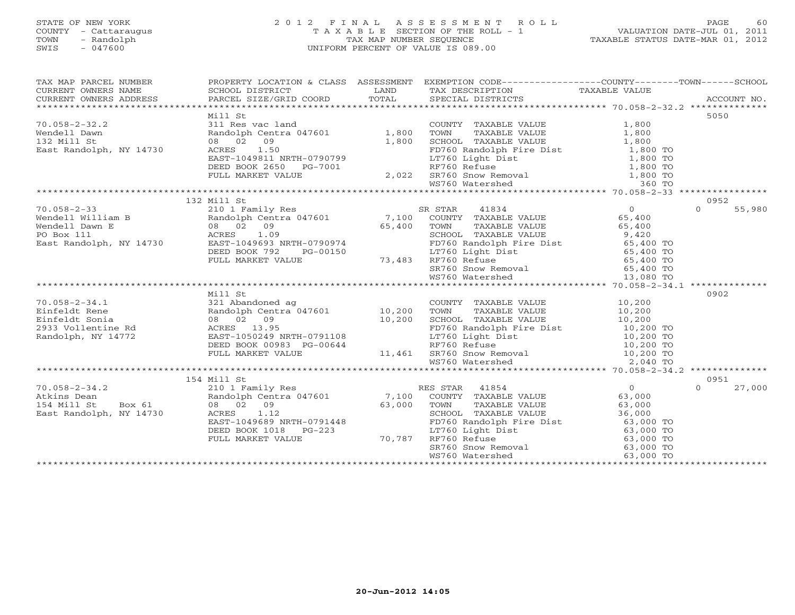# STATE OF NEW YORK 2 0 1 2 F I N A L A S S E S S M E N T R O L L PAGE 60 COUNTY - Cattaraugus T A X A B L E SECTION OF THE ROLL - 1 VALUATION DATE-JUL 01, 2011 TOWN - Randolph TAX MAP NUMBER SEQUENCE TAXABLE STATUS DATE-MAR 01, 2012 SWIS - 047600 UNIFORM PERCENT OF VALUE IS 089.00

| TAX MAP PARCEL NUMBER                                                                                                                                                                                                                |                                                                                                                                                                                                                                  | PROPERTY LOCATION & CLASS ASSESSMENT EXEMPTION CODE----------------COUNTY-------TOWN------SCHOOL |                    |
|--------------------------------------------------------------------------------------------------------------------------------------------------------------------------------------------------------------------------------------|----------------------------------------------------------------------------------------------------------------------------------------------------------------------------------------------------------------------------------|--------------------------------------------------------------------------------------------------|--------------------|
|                                                                                                                                                                                                                                      |                                                                                                                                                                                                                                  |                                                                                                  |                    |
|                                                                                                                                                                                                                                      | Mill St                                                                                                                                                                                                                          |                                                                                                  | 5050               |
|                                                                                                                                                                                                                                      |                                                                                                                                                                                                                                  |                                                                                                  |                    |
|                                                                                                                                                                                                                                      |                                                                                                                                                                                                                                  |                                                                                                  |                    |
|                                                                                                                                                                                                                                      |                                                                                                                                                                                                                                  |                                                                                                  |                    |
|                                                                                                                                                                                                                                      |                                                                                                                                                                                                                                  |                                                                                                  |                    |
|                                                                                                                                                                                                                                      |                                                                                                                                                                                                                                  |                                                                                                  |                    |
|                                                                                                                                                                                                                                      |                                                                                                                                                                                                                                  |                                                                                                  |                    |
|                                                                                                                                                                                                                                      |                                                                                                                                                                                                                                  |                                                                                                  |                    |
|                                                                                                                                                                                                                                      |                                                                                                                                                                                                                                  |                                                                                                  |                    |
|                                                                                                                                                                                                                                      |                                                                                                                                                                                                                                  |                                                                                                  |                    |
|                                                                                                                                                                                                                                      | 132 Mill St                                                                                                                                                                                                                      |                                                                                                  | 0952               |
|                                                                                                                                                                                                                                      |                                                                                                                                                                                                                                  |                                                                                                  |                    |
|                                                                                                                                                                                                                                      |                                                                                                                                                                                                                                  |                                                                                                  |                    |
|                                                                                                                                                                                                                                      |                                                                                                                                                                                                                                  |                                                                                                  |                    |
|                                                                                                                                                                                                                                      |                                                                                                                                                                                                                                  |                                                                                                  |                    |
|                                                                                                                                                                                                                                      |                                                                                                                                                                                                                                  |                                                                                                  |                    |
|                                                                                                                                                                                                                                      |                                                                                                                                                                                                                                  |                                                                                                  |                    |
|                                                                                                                                                                                                                                      |                                                                                                                                                                                                                                  |                                                                                                  |                    |
|                                                                                                                                                                                                                                      |                                                                                                                                                                                                                                  |                                                                                                  |                    |
|                                                                                                                                                                                                                                      |                                                                                                                                                                                                                                  |                                                                                                  |                    |
|                                                                                                                                                                                                                                      |                                                                                                                                                                                                                                  |                                                                                                  |                    |
|                                                                                                                                                                                                                                      | Mill St                                                                                                                                                                                                                          |                                                                                                  | 0902               |
|                                                                                                                                                                                                                                      |                                                                                                                                                                                                                                  |                                                                                                  |                    |
|                                                                                                                                                                                                                                      |                                                                                                                                                                                                                                  |                                                                                                  |                    |
|                                                                                                                                                                                                                                      |                                                                                                                                                                                                                                  |                                                                                                  |                    |
|                                                                                                                                                                                                                                      |                                                                                                                                                                                                                                  |                                                                                                  |                    |
|                                                                                                                                                                                                                                      |                                                                                                                                                                                                                                  |                                                                                                  |                    |
|                                                                                                                                                                                                                                      |                                                                                                                                                                                                                                  |                                                                                                  |                    |
|                                                                                                                                                                                                                                      |                                                                                                                                                                                                                                  |                                                                                                  |                    |
|                                                                                                                                                                                                                                      |                                                                                                                                                                                                                                  |                                                                                                  |                    |
|                                                                                                                                                                                                                                      |                                                                                                                                                                                                                                  |                                                                                                  |                    |
|                                                                                                                                                                                                                                      | 154 Mill St                                                                                                                                                                                                                      |                                                                                                  | 0951               |
|                                                                                                                                                                                                                                      |                                                                                                                                                                                                                                  | ES STAR 41854<br>COUNTY TAXABLE VALUE 63,000                                                     | 27,000<br>$\Omega$ |
|                                                                                                                                                                                                                                      |                                                                                                                                                                                                                                  |                                                                                                  |                    |
|                                                                                                                                                                                                                                      |                                                                                                                                                                                                                                  |                                                                                                  |                    |
|                                                                                                                                                                                                                                      |                                                                                                                                                                                                                                  |                                                                                                  |                    |
|                                                                                                                                                                                                                                      |                                                                                                                                                                                                                                  |                                                                                                  |                    |
|                                                                                                                                                                                                                                      |                                                                                                                                                                                                                                  |                                                                                                  |                    |
|                                                                                                                                                                                                                                      |                                                                                                                                                                                                                                  |                                                                                                  |                    |
|                                                                                                                                                                                                                                      | 8 (3,000 12 12)<br>2 63,000 12 63,000 63,000 63,000 63,000 63,000 63,000 63,000 63,000 63,000 63,000 63,000 63,000 63,000 63,000 63,000 63,000 63,000 63,000 63,000 63,000 63,000 63,000 63,000 63,000 63,000 63,000 63,000 63,0 |                                                                                                  |                    |
| 154 Mill St Box 61 Manusuppi Centra 04/001 Manusup (1988) (1988) (1988) (1988) (1988) (1988) (1988) (1988) (1<br>East Randolph, NY 14730 ACRES 1.12<br>East Randolph, NY 14730 ACRES 1.12<br>EAST-1049689 NRTH-0791448 FDT60 Randolp |                                                                                                                                                                                                                                  |                                                                                                  |                    |
|                                                                                                                                                                                                                                      |                                                                                                                                                                                                                                  |                                                                                                  |                    |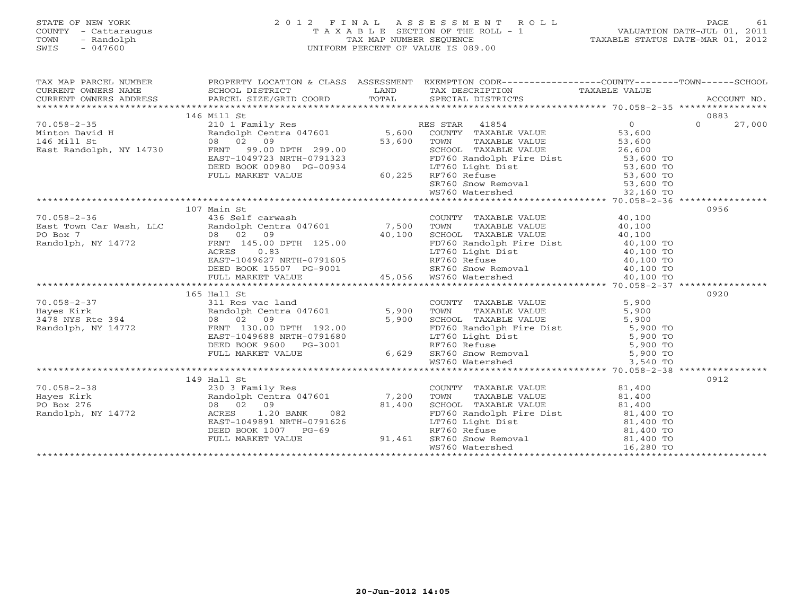#### STATE OF NEW YORK 2 0 1 2 F I N A L A S S E S S M E N T R O L L PAGE 61 COUNTY - Cattaraugus T A X A B L E SECTION OF THE ROLL - 1 VALUATION DATE-JUL 01, 2011 TOWN - Randolph TAX MAP NUMBER SEQUENCE TAXABLE STATUS DATE-MAR 01, 2012 SWIS - 047600 UNIFORM PERCENT OF VALUE IS 089.00UNIFORM PERCENT OF VALUE IS 089.00

| TAX MAP PARCEL NUMBER                                                                                                                                                                                                                                                                                                                                                                                                  | PROPERTY LOCATION & CLASS ASSESSMENT EXEMPTION CODE----------------COUNTY-------TOWN------SCHOOL |                                                                                                                                                                                                                                               | ACCOUNT NO. |
|------------------------------------------------------------------------------------------------------------------------------------------------------------------------------------------------------------------------------------------------------------------------------------------------------------------------------------------------------------------------------------------------------------------------|--------------------------------------------------------------------------------------------------|-----------------------------------------------------------------------------------------------------------------------------------------------------------------------------------------------------------------------------------------------|-------------|
|                                                                                                                                                                                                                                                                                                                                                                                                                        |                                                                                                  |                                                                                                                                                                                                                                               |             |
|                                                                                                                                                                                                                                                                                                                                                                                                                        | 146 Mill St                                                                                      |                                                                                                                                                                                                                                               | 0883        |
|                                                                                                                                                                                                                                                                                                                                                                                                                        |                                                                                                  |                                                                                                                                                                                                                                               |             |
|                                                                                                                                                                                                                                                                                                                                                                                                                        |                                                                                                  |                                                                                                                                                                                                                                               |             |
|                                                                                                                                                                                                                                                                                                                                                                                                                        |                                                                                                  |                                                                                                                                                                                                                                               |             |
|                                                                                                                                                                                                                                                                                                                                                                                                                        |                                                                                                  |                                                                                                                                                                                                                                               |             |
|                                                                                                                                                                                                                                                                                                                                                                                                                        |                                                                                                  |                                                                                                                                                                                                                                               |             |
|                                                                                                                                                                                                                                                                                                                                                                                                                        |                                                                                                  |                                                                                                                                                                                                                                               |             |
|                                                                                                                                                                                                                                                                                                                                                                                                                        |                                                                                                  |                                                                                                                                                                                                                                               |             |
|                                                                                                                                                                                                                                                                                                                                                                                                                        |                                                                                                  |                                                                                                                                                                                                                                               |             |
|                                                                                                                                                                                                                                                                                                                                                                                                                        |                                                                                                  |                                                                                                                                                                                                                                               |             |
|                                                                                                                                                                                                                                                                                                                                                                                                                        |                                                                                                  |                                                                                                                                                                                                                                               |             |
|                                                                                                                                                                                                                                                                                                                                                                                                                        | 107 Main St                                                                                      |                                                                                                                                                                                                                                               | 0956        |
|                                                                                                                                                                                                                                                                                                                                                                                                                        |                                                                                                  |                                                                                                                                                                                                                                               |             |
|                                                                                                                                                                                                                                                                                                                                                                                                                        |                                                                                                  |                                                                                                                                                                                                                                               |             |
|                                                                                                                                                                                                                                                                                                                                                                                                                        |                                                                                                  |                                                                                                                                                                                                                                               |             |
|                                                                                                                                                                                                                                                                                                                                                                                                                        |                                                                                                  |                                                                                                                                                                                                                                               |             |
|                                                                                                                                                                                                                                                                                                                                                                                                                        |                                                                                                  |                                                                                                                                                                                                                                               |             |
|                                                                                                                                                                                                                                                                                                                                                                                                                        |                                                                                                  |                                                                                                                                                                                                                                               |             |
|                                                                                                                                                                                                                                                                                                                                                                                                                        |                                                                                                  |                                                                                                                                                                                                                                               |             |
|                                                                                                                                                                                                                                                                                                                                                                                                                        |                                                                                                  |                                                                                                                                                                                                                                               |             |
| $\begin{tabular}{lllllllllllllllllllll} \hline & 107 & \text{Main St} & 108 & \text{COUNTY} & \text{TAXABLE VALUE} & 40,100 & 956 \\ \hline \text{East Town Car Wash, LLC} & 408 & \text{Self cartwash} & 7,500 & \text{TOWN} & \text{TAXABLE VALUE} & 40,100 \\ \text{PO Box 7} & 08 & 02 & 09 & 40,100 & \text{SCHOOL} & \text{TAXABLE VALUE} & 40,100 \\ \text{Random, NY 14772} & 08 & 02 & 09 & 40,100 & \text{E$ |                                                                                                  |                                                                                                                                                                                                                                               |             |
|                                                                                                                                                                                                                                                                                                                                                                                                                        | 165 Hall St                                                                                      |                                                                                                                                                                                                                                               | 0920        |
|                                                                                                                                                                                                                                                                                                                                                                                                                        |                                                                                                  |                                                                                                                                                                                                                                               |             |
|                                                                                                                                                                                                                                                                                                                                                                                                                        |                                                                                                  |                                                                                                                                                                                                                                               |             |
|                                                                                                                                                                                                                                                                                                                                                                                                                        |                                                                                                  |                                                                                                                                                                                                                                               |             |
|                                                                                                                                                                                                                                                                                                                                                                                                                        |                                                                                                  |                                                                                                                                                                                                                                               |             |
|                                                                                                                                                                                                                                                                                                                                                                                                                        |                                                                                                  |                                                                                                                                                                                                                                               |             |
|                                                                                                                                                                                                                                                                                                                                                                                                                        |                                                                                                  |                                                                                                                                                                                                                                               |             |
|                                                                                                                                                                                                                                                                                                                                                                                                                        |                                                                                                  |                                                                                                                                                                                                                                               |             |
|                                                                                                                                                                                                                                                                                                                                                                                                                        |                                                                                                  |                                                                                                                                                                                                                                               |             |
|                                                                                                                                                                                                                                                                                                                                                                                                                        |                                                                                                  |                                                                                                                                                                                                                                               |             |
|                                                                                                                                                                                                                                                                                                                                                                                                                        | 149 Hall St                                                                                      |                                                                                                                                                                                                                                               | 0912        |
|                                                                                                                                                                                                                                                                                                                                                                                                                        |                                                                                                  |                                                                                                                                                                                                                                               |             |
|                                                                                                                                                                                                                                                                                                                                                                                                                        |                                                                                                  |                                                                                                                                                                                                                                               |             |
|                                                                                                                                                                                                                                                                                                                                                                                                                        |                                                                                                  |                                                                                                                                                                                                                                               |             |
|                                                                                                                                                                                                                                                                                                                                                                                                                        |                                                                                                  |                                                                                                                                                                                                                                               |             |
| 70.058-2-38<br>Hayes Kirk<br>PO Box 276<br>Randolph, NY 14772<br>Randolph, NY 14772<br>PO Box 276<br>Randolph, NY 14772<br>PO Box 276<br>Randolph, NY 14772<br>PO Box 276<br>RAST-1049891 NRTH-0791626<br>PULL MARKET VALUE<br>PULL MARKET VALUE<br>PULL                                                                                                                                                               |                                                                                                  | COUNTY TAXABLE VALUE<br>TOWN TAXABLE VALUE 81,400<br>SCHOOL TAXABLE VALUE 81,400<br>FD760 Randolph Fire Dist 81,400<br>LT760 Light Dist 81,400 TO<br>RF760 Refuse 81,400 TO<br>RF760 Snow Removal 81,400 TO<br>WS760 Watershed 16,280 TO<br>M |             |
|                                                                                                                                                                                                                                                                                                                                                                                                                        |                                                                                                  |                                                                                                                                                                                                                                               |             |
|                                                                                                                                                                                                                                                                                                                                                                                                                        |                                                                                                  |                                                                                                                                                                                                                                               |             |
|                                                                                                                                                                                                                                                                                                                                                                                                                        |                                                                                                  |                                                                                                                                                                                                                                               |             |
|                                                                                                                                                                                                                                                                                                                                                                                                                        |                                                                                                  |                                                                                                                                                                                                                                               |             |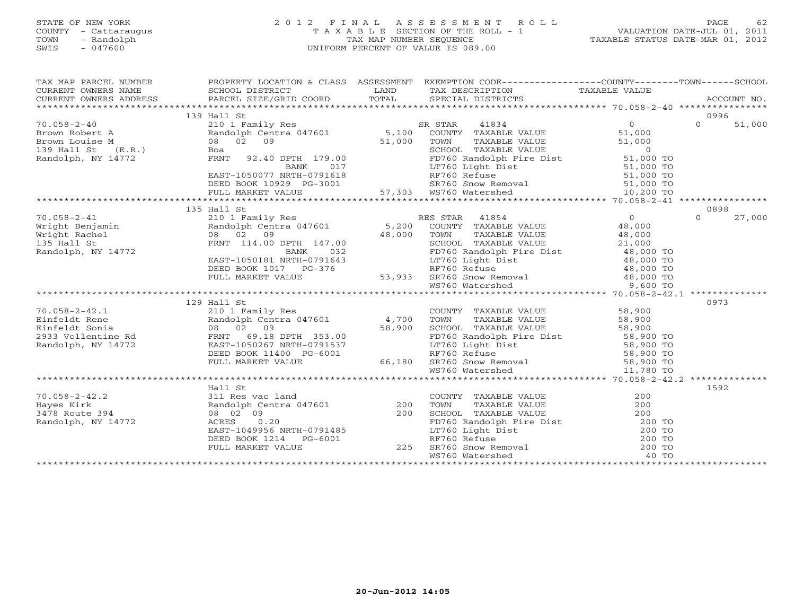#### STATE OF NEW YORK 2 0 1 2 F I N A L A S S E S S M E N T R O L L PAGE 62 COUNTY - Cattaraugus T A X A B L E SECTION OF THE ROLL - 1 VALUATION DATE-JUL 01, 2011 TOWN - Randolph TAX MAP NUMBER SEQUENCE TAXABLE STATUS DATE-MAR 01, 2012 SWIS - 047600 UNIFORM PERCENT OF VALUE IS 089.00UNIFORM PERCENT OF VALUE IS 089.00

| TAX MAP PARCEL NUMBER                                                                                                                                                                                                                                                                                                                                                                                                                                                 | PROPERTY LOCATION & CLASS ASSESSMENT EXEMPTION CODE-----------------COUNTY-------TOWN------SCHOOL |  |                    |
|-----------------------------------------------------------------------------------------------------------------------------------------------------------------------------------------------------------------------------------------------------------------------------------------------------------------------------------------------------------------------------------------------------------------------------------------------------------------------|---------------------------------------------------------------------------------------------------|--|--------------------|
|                                                                                                                                                                                                                                                                                                                                                                                                                                                                       |                                                                                                   |  |                    |
|                                                                                                                                                                                                                                                                                                                                                                                                                                                                       | 139 Hall St                                                                                       |  | 0996               |
|                                                                                                                                                                                                                                                                                                                                                                                                                                                                       |                                                                                                   |  |                    |
|                                                                                                                                                                                                                                                                                                                                                                                                                                                                       |                                                                                                   |  |                    |
|                                                                                                                                                                                                                                                                                                                                                                                                                                                                       |                                                                                                   |  |                    |
|                                                                                                                                                                                                                                                                                                                                                                                                                                                                       |                                                                                                   |  |                    |
|                                                                                                                                                                                                                                                                                                                                                                                                                                                                       |                                                                                                   |  |                    |
|                                                                                                                                                                                                                                                                                                                                                                                                                                                                       |                                                                                                   |  |                    |
|                                                                                                                                                                                                                                                                                                                                                                                                                                                                       |                                                                                                   |  |                    |
|                                                                                                                                                                                                                                                                                                                                                                                                                                                                       |                                                                                                   |  |                    |
|                                                                                                                                                                                                                                                                                                                                                                                                                                                                       |                                                                                                   |  |                    |
|                                                                                                                                                                                                                                                                                                                                                                                                                                                                       |                                                                                                   |  |                    |
| $\begin{tabular}{lcccc} 70.058-2-41 & 135 Hall St & 135 Hall St & 135 Hall St & 135 Hall St & 135 Hall St & 135 Hall St & 135 Hall St & 135 small St & 135 small St & 135 small St & 135 small St & 135 small St & 135 small St & 135 small St & 135 small St & 135 small St & 135 small St & 135 small St & 135 small St & 135 small St & 135 small St & 135 small St & 135 small St & 135 small St & 135 small St & 135 small St & 135 small St & 135 small St & 1$ | 135 Hall St                                                                                       |  | 0898               |
|                                                                                                                                                                                                                                                                                                                                                                                                                                                                       |                                                                                                   |  | $\Omega$<br>27,000 |
|                                                                                                                                                                                                                                                                                                                                                                                                                                                                       |                                                                                                   |  |                    |
|                                                                                                                                                                                                                                                                                                                                                                                                                                                                       |                                                                                                   |  |                    |
|                                                                                                                                                                                                                                                                                                                                                                                                                                                                       |                                                                                                   |  |                    |
|                                                                                                                                                                                                                                                                                                                                                                                                                                                                       |                                                                                                   |  |                    |
|                                                                                                                                                                                                                                                                                                                                                                                                                                                                       |                                                                                                   |  |                    |
|                                                                                                                                                                                                                                                                                                                                                                                                                                                                       |                                                                                                   |  |                    |
|                                                                                                                                                                                                                                                                                                                                                                                                                                                                       |                                                                                                   |  |                    |
|                                                                                                                                                                                                                                                                                                                                                                                                                                                                       |                                                                                                   |  |                    |
|                                                                                                                                                                                                                                                                                                                                                                                                                                                                       |                                                                                                   |  |                    |
|                                                                                                                                                                                                                                                                                                                                                                                                                                                                       | 129 Hall St                                                                                       |  | 0973               |
|                                                                                                                                                                                                                                                                                                                                                                                                                                                                       |                                                                                                   |  |                    |
|                                                                                                                                                                                                                                                                                                                                                                                                                                                                       |                                                                                                   |  |                    |
|                                                                                                                                                                                                                                                                                                                                                                                                                                                                       |                                                                                                   |  |                    |
|                                                                                                                                                                                                                                                                                                                                                                                                                                                                       |                                                                                                   |  |                    |
|                                                                                                                                                                                                                                                                                                                                                                                                                                                                       |                                                                                                   |  |                    |
|                                                                                                                                                                                                                                                                                                                                                                                                                                                                       |                                                                                                   |  |                    |
|                                                                                                                                                                                                                                                                                                                                                                                                                                                                       |                                                                                                   |  |                    |
|                                                                                                                                                                                                                                                                                                                                                                                                                                                                       |                                                                                                   |  |                    |
|                                                                                                                                                                                                                                                                                                                                                                                                                                                                       |                                                                                                   |  |                    |
|                                                                                                                                                                                                                                                                                                                                                                                                                                                                       | Hall St                                                                                           |  | 1592               |
|                                                                                                                                                                                                                                                                                                                                                                                                                                                                       |                                                                                                   |  |                    |
|                                                                                                                                                                                                                                                                                                                                                                                                                                                                       |                                                                                                   |  |                    |
|                                                                                                                                                                                                                                                                                                                                                                                                                                                                       |                                                                                                   |  |                    |
|                                                                                                                                                                                                                                                                                                                                                                                                                                                                       |                                                                                                   |  |                    |
|                                                                                                                                                                                                                                                                                                                                                                                                                                                                       |                                                                                                   |  |                    |
|                                                                                                                                                                                                                                                                                                                                                                                                                                                                       |                                                                                                   |  |                    |
|                                                                                                                                                                                                                                                                                                                                                                                                                                                                       |                                                                                                   |  |                    |
|                                                                                                                                                                                                                                                                                                                                                                                                                                                                       |                                                                                                   |  |                    |
|                                                                                                                                                                                                                                                                                                                                                                                                                                                                       |                                                                                                   |  |                    |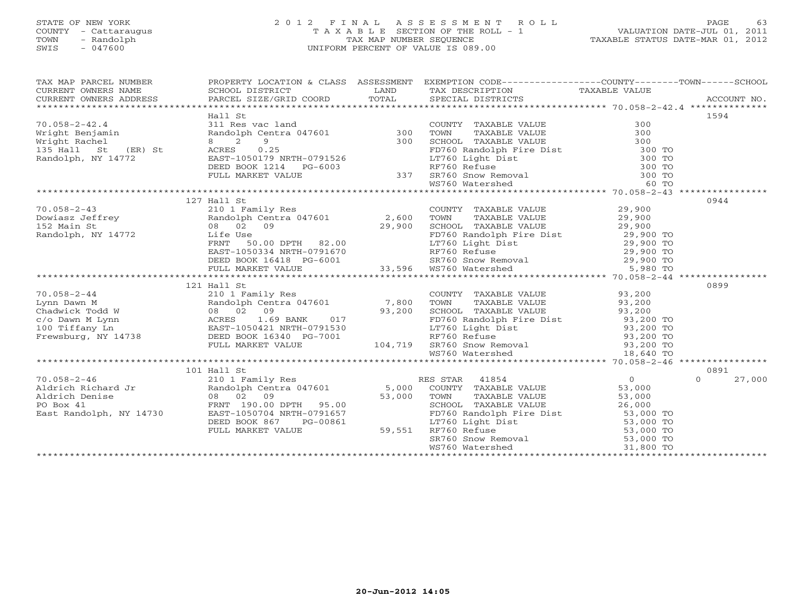#### STATE OF NEW YORK 2 0 1 2 F I N A L A S S E S S M E N T R O L L PAGE 63 COUNTY - Cattaraugus T A X A B L E SECTION OF THE ROLL - 1 VALUATION DATE-JUL 01, 2011 TOWN - Randolph TAX MAP NUMBER SEQUENCE TAXABLE STATUS DATE-MAR 01, 2012 SWIS - 047600 UNIFORM PERCENT OF VALUE IS 089.00

| TAX MAP PARCEL NUMBER |                           |                  | PROPERTY LOCATION & CLASS ASSESSMENT EXEMPTION CODE----------------COUNTY-------TOWN------SCHOOL                                                                                                                                                      |                    |
|-----------------------|---------------------------|------------------|-------------------------------------------------------------------------------------------------------------------------------------------------------------------------------------------------------------------------------------------------------|--------------------|
|                       |                           |                  |                                                                                                                                                                                                                                                       |                    |
|                       |                           |                  |                                                                                                                                                                                                                                                       |                    |
|                       |                           |                  |                                                                                                                                                                                                                                                       | 1594               |
| $70.058 - 2 - 42.4$   |                           |                  |                                                                                                                                                                                                                                                       |                    |
|                       |                           |                  |                                                                                                                                                                                                                                                       |                    |
|                       |                           |                  |                                                                                                                                                                                                                                                       |                    |
|                       |                           |                  |                                                                                                                                                                                                                                                       |                    |
| Randolph, NY 14772    |                           |                  |                                                                                                                                                                                                                                                       |                    |
|                       |                           |                  |                                                                                                                                                                                                                                                       |                    |
|                       |                           |                  |                                                                                                                                                                                                                                                       |                    |
|                       |                           |                  |                                                                                                                                                                                                                                                       |                    |
|                       |                           |                  |                                                                                                                                                                                                                                                       |                    |
|                       | 127 Hall St               |                  |                                                                                                                                                                                                                                                       | 0944               |
|                       |                           |                  |                                                                                                                                                                                                                                                       |                    |
|                       |                           |                  |                                                                                                                                                                                                                                                       |                    |
|                       |                           |                  |                                                                                                                                                                                                                                                       |                    |
|                       |                           |                  |                                                                                                                                                                                                                                                       |                    |
|                       |                           |                  |                                                                                                                                                                                                                                                       |                    |
|                       |                           |                  |                                                                                                                                                                                                                                                       |                    |
|                       |                           |                  |                                                                                                                                                                                                                                                       |                    |
|                       |                           |                  |                                                                                                                                                                                                                                                       |                    |
|                       |                           |                  |                                                                                                                                                                                                                                                       |                    |
|                       | 121 Hall St               |                  |                                                                                                                                                                                                                                                       | 0899               |
|                       |                           |                  |                                                                                                                                                                                                                                                       |                    |
|                       |                           |                  |                                                                                                                                                                                                                                                       |                    |
|                       |                           |                  |                                                                                                                                                                                                                                                       |                    |
|                       |                           |                  |                                                                                                                                                                                                                                                       |                    |
|                       |                           |                  |                                                                                                                                                                                                                                                       |                    |
|                       |                           |                  |                                                                                                                                                                                                                                                       |                    |
|                       |                           |                  |                                                                                                                                                                                                                                                       |                    |
|                       |                           |                  |                                                                                                                                                                                                                                                       |                    |
|                       |                           |                  |                                                                                                                                                                                                                                                       |                    |
|                       | 101 Hall St               |                  |                                                                                                                                                                                                                                                       | 0891               |
|                       |                           |                  |                                                                                                                                                                                                                                                       | $\Omega$<br>27,000 |
|                       |                           |                  |                                                                                                                                                                                                                                                       |                    |
|                       |                           |                  |                                                                                                                                                                                                                                                       |                    |
|                       |                           |                  | CONN TAXABLE VALUE<br>TOWN TAXABLE VALUE<br>SCHOOL TAXABLE VALUE<br>FD760 Randolph Fire Dist<br>LT760 Light Dist<br>RF760 Refuse<br>S3,000 TO<br>SCHOOL TAXABLE VALUE<br>53,000 TO<br>LT760 Light Dist<br>53,000 TO<br>SCHOOL TAXABLE VALUE<br>53,000 |                    |
|                       |                           |                  |                                                                                                                                                                                                                                                       |                    |
|                       | DEED BOOK 867<br>PG-00861 | $3-00861$ 59,551 |                                                                                                                                                                                                                                                       |                    |
|                       | FULL MARKET VALUE         |                  |                                                                                                                                                                                                                                                       |                    |
|                       |                           |                  |                                                                                                                                                                                                                                                       |                    |
|                       |                           |                  |                                                                                                                                                                                                                                                       |                    |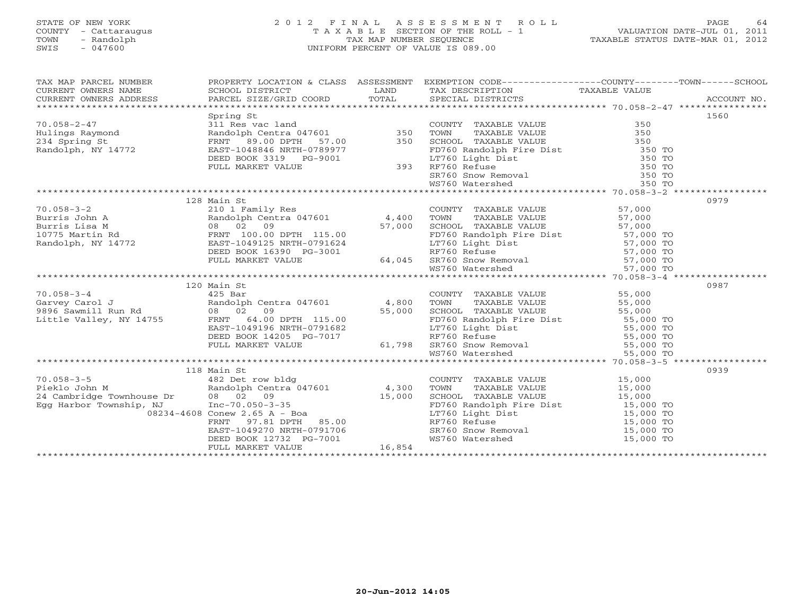# STATE OF NEW YORK 2 0 1 2 F I N A L A S S E S S M E N T R O L L PAGE 64 COUNTY - Cattaraugus T A X A B L E SECTION OF THE ROLL - 1 VALUATION DATE-JUL 01, 2011 TOWN - Randolph TAX MAP NUMBER SEQUENCE TAXABLE STATUS DATE-MAR 01, 2012 SWIS - 047600 UNIFORM PERCENT OF VALUE IS 089.00

| TAX MAP PARCEL NUMBER<br>CURRENT OWNERS NAME<br>CURRENT OWNERS NAME SCHOOL DISTRICT – ------ ------- TAND TAX DESCRIPTION TAXABLE VALUE<br>CURRENT OWNERS ADDRESS PARCEL SIZE/GRID COORD TOTAL SPECIAL DISTRICTS ACCOUNT MO.<br>********************************<br>CURRENT OWNERS NAME<br>CURRENT OWNERS NAME<br>CURRENT OWNERS ADDRESS |                                                                                                                                                                                                                                                      | PROPERTY LOCATION & CLASS ASSESSMENT EXEMPTION CODE----------------COUNTY-------TOWN------SCHOOL                                                                                                                                                     |     |      |
|------------------------------------------------------------------------------------------------------------------------------------------------------------------------------------------------------------------------------------------------------------------------------------------------------------------------------------------|------------------------------------------------------------------------------------------------------------------------------------------------------------------------------------------------------------------------------------------------------|------------------------------------------------------------------------------------------------------------------------------------------------------------------------------------------------------------------------------------------------------|-----|------|
|                                                                                                                                                                                                                                                                                                                                          |                                                                                                                                                                                                                                                      |                                                                                                                                                                                                                                                      |     |      |
|                                                                                                                                                                                                                                                                                                                                          | Spring St<br>311 Res vac land<br>Randolph Centra 047601<br>FRNT 89.00 DPTH 57.00<br>EAST-1048846 NRTH-0789977<br>DEED BOOK 3319 PG-9001<br>FULL MARKET VALUE<br>FULL MARKET VALUE<br>FULL MARKET VALUE<br>293 RF760 Refuse<br>293 RF760 Refuse<br>29 |                                                                                                                                                                                                                                                      |     | 1560 |
| $70.058 - 2 - 47$                                                                                                                                                                                                                                                                                                                        |                                                                                                                                                                                                                                                      | COUNTY TAXABLE VALUE                                                                                                                                                                                                                                 | 350 |      |
|                                                                                                                                                                                                                                                                                                                                          |                                                                                                                                                                                                                                                      |                                                                                                                                                                                                                                                      |     |      |
|                                                                                                                                                                                                                                                                                                                                          |                                                                                                                                                                                                                                                      |                                                                                                                                                                                                                                                      |     |      |
| Hulings Raymond<br>234 Spring St<br>Randolph, NY 14772                                                                                                                                                                                                                                                                                   |                                                                                                                                                                                                                                                      |                                                                                                                                                                                                                                                      |     |      |
|                                                                                                                                                                                                                                                                                                                                          |                                                                                                                                                                                                                                                      |                                                                                                                                                                                                                                                      |     |      |
|                                                                                                                                                                                                                                                                                                                                          |                                                                                                                                                                                                                                                      |                                                                                                                                                                                                                                                      |     |      |
|                                                                                                                                                                                                                                                                                                                                          |                                                                                                                                                                                                                                                      |                                                                                                                                                                                                                                                      |     |      |
|                                                                                                                                                                                                                                                                                                                                          |                                                                                                                                                                                                                                                      | TOWN TAXABLE VALUE<br>TOWN TAXABLE VALUE<br>SCHOOL TAXABLE VALUE<br>FD760 Randolph Fire Dist<br>IT760 Light Dist<br>RF760 Refuse<br>SE760 Snow Removal<br>SE760 SR760 Snow Removal<br>NS760 Watershed<br>NS760 Watershed<br>NS760 Watershed<br>NS760 |     |      |
|                                                                                                                                                                                                                                                                                                                                          |                                                                                                                                                                                                                                                      |                                                                                                                                                                                                                                                      |     |      |
|                                                                                                                                                                                                                                                                                                                                          | 128 Main St                                                                                                                                                                                                                                          |                                                                                                                                                                                                                                                      |     | 0979 |
| 70.058-3-2<br>Burris John A<br>Burris John A<br>Burris Lisa M<br>1075 Martin Rd<br>Randolph Centra 047601<br>10775 Martin Rd<br>FRNT 100.00 DPTH 115.00<br>FRNT 100.00 DPTH 115.00<br>EBED BOOK 16390 PG-3001<br>DEED BOOK 16390 PG-3001<br>FRNT VA                                                                                      |                                                                                                                                                                                                                                                      |                                                                                                                                                                                                                                                      |     |      |
|                                                                                                                                                                                                                                                                                                                                          |                                                                                                                                                                                                                                                      |                                                                                                                                                                                                                                                      |     |      |
|                                                                                                                                                                                                                                                                                                                                          |                                                                                                                                                                                                                                                      |                                                                                                                                                                                                                                                      |     |      |
|                                                                                                                                                                                                                                                                                                                                          |                                                                                                                                                                                                                                                      |                                                                                                                                                                                                                                                      |     |      |
|                                                                                                                                                                                                                                                                                                                                          |                                                                                                                                                                                                                                                      |                                                                                                                                                                                                                                                      |     |      |
|                                                                                                                                                                                                                                                                                                                                          |                                                                                                                                                                                                                                                      |                                                                                                                                                                                                                                                      |     |      |
|                                                                                                                                                                                                                                                                                                                                          |                                                                                                                                                                                                                                                      |                                                                                                                                                                                                                                                      |     |      |
|                                                                                                                                                                                                                                                                                                                                          |                                                                                                                                                                                                                                                      |                                                                                                                                                                                                                                                      |     |      |
|                                                                                                                                                                                                                                                                                                                                          |                                                                                                                                                                                                                                                      |                                                                                                                                                                                                                                                      |     |      |
|                                                                                                                                                                                                                                                                                                                                          | 120 Main St                                                                                                                                                                                                                                          |                                                                                                                                                                                                                                                      |     | 0987 |
| $70.058 - 3 - 4$                                                                                                                                                                                                                                                                                                                         | $425$ Bar                                                                                                                                                                                                                                            |                                                                                                                                                                                                                                                      |     |      |
|                                                                                                                                                                                                                                                                                                                                          |                                                                                                                                                                                                                                                      | COUNTY TAXABLE VALUE 55,000<br>TOWN TAXABLE VALUE 55,000<br>COUNCY CALUE 55,000<br>TOWN                                                                                                                                                              |     |      |
|                                                                                                                                                                                                                                                                                                                                          |                                                                                                                                                                                                                                                      |                                                                                                                                                                                                                                                      |     |      |
|                                                                                                                                                                                                                                                                                                                                          |                                                                                                                                                                                                                                                      |                                                                                                                                                                                                                                                      |     |      |
|                                                                                                                                                                                                                                                                                                                                          |                                                                                                                                                                                                                                                      |                                                                                                                                                                                                                                                      |     |      |
|                                                                                                                                                                                                                                                                                                                                          |                                                                                                                                                                                                                                                      |                                                                                                                                                                                                                                                      |     |      |
|                                                                                                                                                                                                                                                                                                                                          |                                                                                                                                                                                                                                                      |                                                                                                                                                                                                                                                      |     |      |
|                                                                                                                                                                                                                                                                                                                                          |                                                                                                                                                                                                                                                      |                                                                                                                                                                                                                                                      |     |      |
|                                                                                                                                                                                                                                                                                                                                          |                                                                                                                                                                                                                                                      |                                                                                                                                                                                                                                                      |     |      |
|                                                                                                                                                                                                                                                                                                                                          |                                                                                                                                                                                                                                                      |                                                                                                                                                                                                                                                      |     | 0939 |
|                                                                                                                                                                                                                                                                                                                                          |                                                                                                                                                                                                                                                      |                                                                                                                                                                                                                                                      |     |      |
|                                                                                                                                                                                                                                                                                                                                          |                                                                                                                                                                                                                                                      |                                                                                                                                                                                                                                                      |     |      |
|                                                                                                                                                                                                                                                                                                                                          |                                                                                                                                                                                                                                                      |                                                                                                                                                                                                                                                      |     |      |
|                                                                                                                                                                                                                                                                                                                                          |                                                                                                                                                                                                                                                      |                                                                                                                                                                                                                                                      |     |      |
|                                                                                                                                                                                                                                                                                                                                          |                                                                                                                                                                                                                                                      |                                                                                                                                                                                                                                                      |     |      |
|                                                                                                                                                                                                                                                                                                                                          |                                                                                                                                                                                                                                                      |                                                                                                                                                                                                                                                      |     |      |
|                                                                                                                                                                                                                                                                                                                                          |                                                                                                                                                                                                                                                      |                                                                                                                                                                                                                                                      |     |      |
|                                                                                                                                                                                                                                                                                                                                          |                                                                                                                                                                                                                                                      | COUNTY TAXABLE VALUE<br>TOWN TAXABLE VALUE<br>SCHOOL TAXABLE VALUE<br>FD760 Randolph Fire Dist<br>LT760 Light Dist<br>RF760 Refuse<br>SR760 Snow Removal<br>RF760 Snow Removal<br>UST60 Snow Removal<br>UST60 Valershed<br>UST60 Valershed<br>UST60  |     |      |
|                                                                                                                                                                                                                                                                                                                                          |                                                                                                                                                                                                                                                      |                                                                                                                                                                                                                                                      |     |      |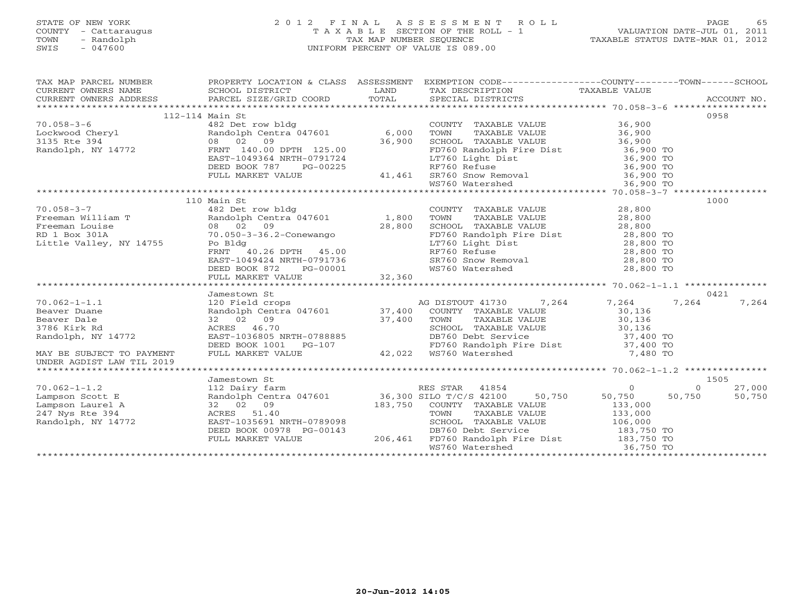# STATE OF NEW YORK 2 0 1 2 F I N A L A S S E S S M E N T R O L L PAGE 65 COUNTY - Cattaraugus T A X A B L E SECTION OF THE ROLL - 1 VALUATION DATE-JUL 01, 2011 TOWN - Randolph TAX MAP NUMBER SEQUENCE TAXABLE STATUS DATE-MAR 01, 2012 SWIS - 047600 UNIFORM PERCENT OF VALUE IS 089.00

|                                                                                                                                                                                                                                                                                                                                                       | 112-114 Main St |                                                                                                                                                                                                                                            |       | 0958   |
|-------------------------------------------------------------------------------------------------------------------------------------------------------------------------------------------------------------------------------------------------------------------------------------------------------------------------------------------------------|-----------------|--------------------------------------------------------------------------------------------------------------------------------------------------------------------------------------------------------------------------------------------|-------|--------|
|                                                                                                                                                                                                                                                                                                                                                       |                 |                                                                                                                                                                                                                                            |       |        |
|                                                                                                                                                                                                                                                                                                                                                       |                 |                                                                                                                                                                                                                                            |       |        |
|                                                                                                                                                                                                                                                                                                                                                       |                 |                                                                                                                                                                                                                                            |       |        |
|                                                                                                                                                                                                                                                                                                                                                       |                 |                                                                                                                                                                                                                                            |       |        |
|                                                                                                                                                                                                                                                                                                                                                       |                 |                                                                                                                                                                                                                                            |       |        |
|                                                                                                                                                                                                                                                                                                                                                       |                 |                                                                                                                                                                                                                                            |       |        |
|                                                                                                                                                                                                                                                                                                                                                       |                 |                                                                                                                                                                                                                                            |       |        |
| ${\small \begin{tabular}{lcccccc} 70.058-3-6 & 112-114 Main St & 482 Det row bldg & 26,900\nLockwood Cheryl & Random Central 047601 & 6,000 TOWN TAXABLE VALUE & 36,900\n3135 Rte 394 & 08 02 09 & 36,900 SCHOOL TAXABLE VALUE & 36,900\nRandom, NY 14772 FRTT 140.00 DPTH 125.00 & FDT60 Randomed\nEAST-1049364 NRTH-079172 & 26,900 TO\nEAST-10493$ |                 |                                                                                                                                                                                                                                            |       |        |
|                                                                                                                                                                                                                                                                                                                                                       |                 |                                                                                                                                                                                                                                            |       |        |
| $\begin{tabular}{lcccc} 70.058-3-7 & 110 Main St. & 1000Preeman William T & 482 Det row bldg & 1000Preeman Louis & Random Central & 482 Det row bldg & 100008 02 & 09 02 & 09 020FD1 Eveman Louis & 08 02 & 09 020EDED BOM & 08 02 & 09 02 & 09 03Intile Valley, NY 14755 & PO Bldg & 28,800 TD & 28,800 TD & 28,800 TD & 28,800EM1 Eve Dist & 28,80$ | 110 Main St     |                                                                                                                                                                                                                                            |       | 1000   |
|                                                                                                                                                                                                                                                                                                                                                       |                 |                                                                                                                                                                                                                                            |       |        |
|                                                                                                                                                                                                                                                                                                                                                       |                 |                                                                                                                                                                                                                                            |       |        |
|                                                                                                                                                                                                                                                                                                                                                       |                 |                                                                                                                                                                                                                                            |       |        |
|                                                                                                                                                                                                                                                                                                                                                       |                 |                                                                                                                                                                                                                                            |       |        |
|                                                                                                                                                                                                                                                                                                                                                       |                 |                                                                                                                                                                                                                                            |       |        |
|                                                                                                                                                                                                                                                                                                                                                       |                 |                                                                                                                                                                                                                                            |       |        |
|                                                                                                                                                                                                                                                                                                                                                       |                 |                                                                                                                                                                                                                                            |       |        |
|                                                                                                                                                                                                                                                                                                                                                       |                 |                                                                                                                                                                                                                                            |       |        |
|                                                                                                                                                                                                                                                                                                                                                       |                 |                                                                                                                                                                                                                                            |       |        |
|                                                                                                                                                                                                                                                                                                                                                       | Jamestown St    |                                                                                                                                                                                                                                            |       | 0421   |
| 37.0002-1-1.1<br>Beaver Duane<br>Beaver Duane<br>Beaver Dale<br>Beaver Dale<br>30,136<br>Beaver Dale<br>30,136<br>Beaver Dale<br>30,136<br>37,400<br>37,400<br>37,400<br>37,400<br>37,400<br>37,400<br>37,400<br>37,400<br>2010<br>37,400<br>37,400<br>37,400<br>37,400<br>2                                                                          |                 |                                                                                                                                                                                                                                            | 7,264 | 7,264  |
|                                                                                                                                                                                                                                                                                                                                                       |                 |                                                                                                                                                                                                                                            |       |        |
|                                                                                                                                                                                                                                                                                                                                                       |                 |                                                                                                                                                                                                                                            |       |        |
|                                                                                                                                                                                                                                                                                                                                                       |                 |                                                                                                                                                                                                                                            |       |        |
|                                                                                                                                                                                                                                                                                                                                                       |                 |                                                                                                                                                                                                                                            |       |        |
|                                                                                                                                                                                                                                                                                                                                                       |                 |                                                                                                                                                                                                                                            |       |        |
|                                                                                                                                                                                                                                                                                                                                                       |                 |                                                                                                                                                                                                                                            |       |        |
| UNDER AGDIST LAW TIL 2019                                                                                                                                                                                                                                                                                                                             |                 |                                                                                                                                                                                                                                            |       |        |
|                                                                                                                                                                                                                                                                                                                                                       |                 |                                                                                                                                                                                                                                            |       |        |
|                                                                                                                                                                                                                                                                                                                                                       | Jamestown St    |                                                                                                                                                                                                                                            |       | 1505   |
| 1505<br>1505<br>1505 Commess Communication Central Mandolph Central Mandolph Central Mandolph Central Mandolph Central Mandolph (1854<br>183,750 COUNTY TAXABLE VALUE 133,000<br>247 Nys Rte 394<br>247 Nys Rte 394<br>133,000<br>247 Nys Rt                                                                                                          |                 |                                                                                                                                                                                                                                            |       | 27,000 |
|                                                                                                                                                                                                                                                                                                                                                       |                 |                                                                                                                                                                                                                                            |       | 50,750 |
|                                                                                                                                                                                                                                                                                                                                                       |                 |                                                                                                                                                                                                                                            |       |        |
|                                                                                                                                                                                                                                                                                                                                                       |                 |                                                                                                                                                                                                                                            |       |        |
| Randolph, NY 14772                                                                                                                                                                                                                                                                                                                                    |                 |                                                                                                                                                                                                                                            |       |        |
|                                                                                                                                                                                                                                                                                                                                                       |                 |                                                                                                                                                                                                                                            |       |        |
|                                                                                                                                                                                                                                                                                                                                                       |                 | ACRES 51.40<br>EAST-1035691 NRTH-0789098 FG-00143<br>FOWN TAXABLE VALUE 133,000<br>SCHOOL TAXABLE VALUE 106,000<br>DEED BOOK 00978 PG-00143<br>FULL MARKET VALUE 206,461 FOT60 Randolph Fire Dist 183,750 TO<br>MARKET VALUE 206,461 FOT60 |       |        |
|                                                                                                                                                                                                                                                                                                                                                       |                 | WS760 Watershed 36,750 TO                                                                                                                                                                                                                  |       |        |
|                                                                                                                                                                                                                                                                                                                                                       |                 |                                                                                                                                                                                                                                            |       |        |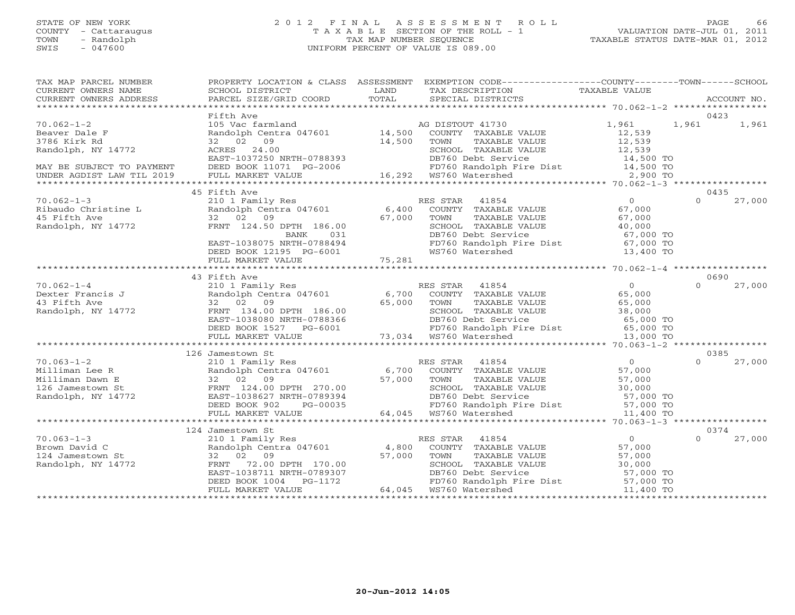# STATE OF NEW YORK 2 0 1 2 F I N A L A S S E S S M E N T R O L L PAGE 66 COUNTY - Cattaraugus T A X A B L E SECTION OF THE ROLL - 1 VALUATION DATE-JUL 01, 2011 TOWN - Randolph TAX MAP NUMBER SEQUENCE TAXABLE STATUS DATE-MAR 01, 2012 SWIS - 047600 UNIFORM PERCENT OF VALUE IS 089.00

| TAX MAP PARCEL NUMBER<br>CURRENT OWNERS NAME                                                    | SCHOOL DISTRICT                                                                                                                                               | LAND<br>TOTAL                                         | PROPERTY LOCATION & CLASS ASSESSMENT EXEMPTION CODE---------------COUNTY-------TOWN------SCHOOL<br>TAX DESCRIPTION                                                                                                                      | TAXABLE VALUE                                                 |                  |             |
|-------------------------------------------------------------------------------------------------|---------------------------------------------------------------------------------------------------------------------------------------------------------------|-------------------------------------------------------|-----------------------------------------------------------------------------------------------------------------------------------------------------------------------------------------------------------------------------------------|---------------------------------------------------------------|------------------|-------------|
| CURRENT OWNERS ADDRESS                                                                          | PARCEL SIZE/GRID COORD                                                                                                                                        |                                                       | SPECIAL DISTRICTS                                                                                                                                                                                                                       |                                                               |                  | ACCOUNT NO. |
|                                                                                                 | Fifth Ave                                                                                                                                                     |                                                       |                                                                                                                                                                                                                                         |                                                               | 0423             |             |
| $70.062 - 1 - 2$<br>Beaver Dale F<br>3786 Kirk Rd<br>Randolph, NY 14772                         | 105 Vac farmland<br>32 02 09<br>ACRES 24.00                                                                                                                   | 14,500                                                | AG DISTOUT 41730<br>Randolph Centra 047601 $14,500$ COUNTY TAXABLE VALUE<br>TOWN<br>TAXABLE VALUE<br>SCHOOL TAXABLE VALUE                                                                                                               | 1,961<br>12,539<br>12,539<br>12,539                           | 1,961            | 1,961       |
| MAY BE SUBJECT TO PAYMENT<br>UNDER AGDIST LAW TIL 2019                                          | EAST-1037250 NRTH-0788393<br>DEED BOOK 11071 PG-2006<br>FULL MARKET VALUE                                                                                     |                                                       | DB760 Debt Service<br>006 FD760 Randolph I<br>16,292 WS760 Watershed<br>FD760 Randolph Fire Dist 14,500 TO<br>WS760 Watershed 2,900 TO                                                                                                  | $14,500$ TO                                                   |                  |             |
|                                                                                                 |                                                                                                                                                               |                                                       |                                                                                                                                                                                                                                         |                                                               |                  |             |
|                                                                                                 | 45 Fifth Ave                                                                                                                                                  |                                                       |                                                                                                                                                                                                                                         |                                                               | 0435             |             |
| $70.062 - 1 - 3$<br>Ribaudo Christine L<br>45 Fifth Ave<br>Randolph, NY 14772                   | 210 1 Family Res<br>1<br>Randolph Centra 047601 6,400<br>32 02 09                                                                                             | 67,000                                                | RES STAR<br>41854<br>COUNTY TAXABLE VALUE<br>TAXABLE VALUE<br>TOWN<br>SCHOOL TAXABLE VALUE<br>DB760 Debt Service 67,000 TO<br>FD760 Randolph Fire Dist 67,000 TO                                                                        | $\overline{0}$<br>67,000<br>67,000<br>40,000                  | $\Omega$         | 27,000      |
|                                                                                                 | FRNT 124.50 DPTH 186.00<br>BANK 031<br>EAST-1038075 NRTH-0788494<br>DEED BOOK 12195 PG-6001<br>FULL MARKET VALUE 75,281                                       |                                                       | WS760 Watershed                                                                                                                                                                                                                         | 13,400 TO                                                     |                  |             |
|                                                                                                 |                                                                                                                                                               |                                                       |                                                                                                                                                                                                                                         |                                                               |                  |             |
|                                                                                                 | 43 Fifth Ave                                                                                                                                                  |                                                       |                                                                                                                                                                                                                                         |                                                               | 0690             |             |
| $70.062 - 1 - 4$<br>Dexter Francis J<br>43 Fifth Ave<br>Randolph, NY 14772                      | 32 02 09<br>FRNT 134.00 DPTH 186.00<br>EAST-1038080 NRTH-0788366<br>DEED BOOK 1527                                                                            | 65,000 TOWN<br>H-0788366<br>PG-6001                   | 210 1 Family Res RES STAR 41854<br>Randolph Centra 047601 6,700 COUNTY TAXABLE VALUE<br>TAXABLE VALUE<br>SCHOOL TAXABLE VALUE<br>DB760 Debt Service 65,000 TO<br>FD760 Randolph Fire Dist 65,000 TO<br>73,034 WS760 Watershed 13,000 TO | $\Omega$<br>65,000<br>65,000<br>38,000                        | $\Omega$         | 27,000      |
|                                                                                                 | FULL MARKET VALUE                                                                                                                                             |                                                       |                                                                                                                                                                                                                                         |                                                               |                  |             |
|                                                                                                 |                                                                                                                                                               |                                                       |                                                                                                                                                                                                                                         |                                                               |                  |             |
| $70.063 - 1 - 2$<br>Milliman Lee R<br>Milliman Dawn E<br>126 Jamestown St<br>Randolph, NY 14772 | 126 Jamestown St<br>210 1 Family Res<br>Randolph Centra 047601<br>32 02 09<br>FRNT 124.00 DPTH 270.00<br>EAST-1038627 NRTH-0789394                            |                                                       | RES STAR 41854<br>6,700 COUNTY TAXABLE VALUE<br>57,000 TOWN TAXABLE VALUE<br>SCHOOL TAXABLE VALUE<br>DB760 Debt Service                                                                                                                 | $\Omega$<br>57,000<br>57,000<br>JE 30,000<br>57,000 TO        | 0385<br>$\Omega$ | 27,000      |
|                                                                                                 | DEED BOOK 902<br>PG-00035                                                                                                                                     |                                                       | FD760 Randolph Fire Dist 57,000 TO<br>WS760 Watershed 11,400 TO                                                                                                                                                                         |                                                               |                  |             |
|                                                                                                 | FULL MARKET VALUE                                                                                                                                             |                                                       | 64,045 WS760 Watershed                                                                                                                                                                                                                  |                                                               |                  |             |
|                                                                                                 | 124 Jamestown St                                                                                                                                              |                                                       |                                                                                                                                                                                                                                         |                                                               | 0374             |             |
| $70.063 - 1 - 3$<br>Brown David C<br>124 Jamestown St<br>Randolph, NY 14772                     | 210 1 Family Res<br>Randolph Centra 047601 4,800<br>32 02 09<br>72.00 DPTH 170.00<br>FRNT<br>EAST-1038711 NRTH-0789307<br>DEED BOOK 1004<br>FULL MARKET VALUE | 57,000<br>$T = 170.00$<br>$T = 0789307$<br>$T = 1172$ | RES STAR<br>41854<br>COUNTY TAXABLE VALUE<br>TOWN<br>TAXABLE VALUE<br>SCHOOL TAXABLE VALUE<br>DB760 Debt Service 57,000 TO<br>FD760 Randolph Fire Dist 57,000 TO<br>64,045 WS760 Watershed                                              | $\Omega$<br>57,000<br>57,000<br>57,000<br>30,000<br>11,400 TO | $\Omega$         | 27,000      |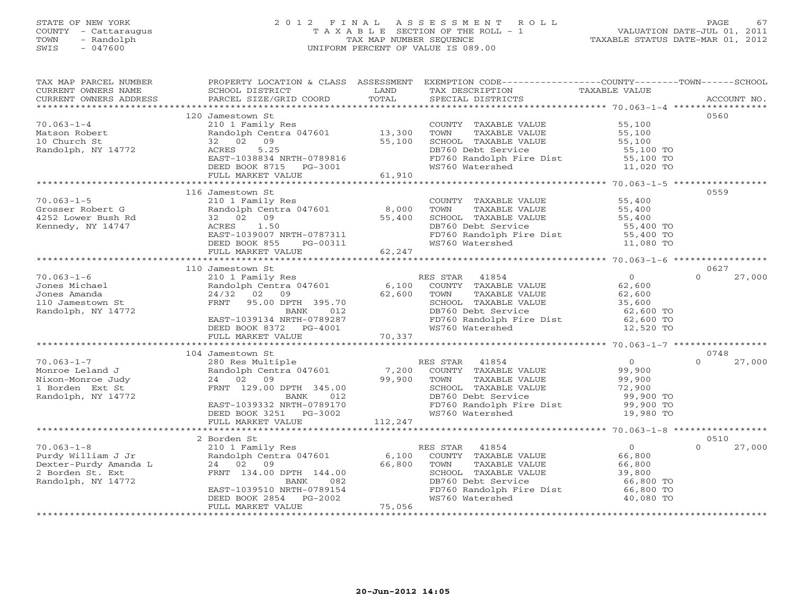# STATE OF NEW YORK 2 0 1 2 F I N A L A S S E S S M E N T R O L L PAGE 67 COUNTY - Cattaraugus T A X A B L E SECTION OF THE ROLL - 1 VALUATION DATE-JUL 01, 2011 TOWN - Randolph TAX MAP NUMBER SEQUENCE TAXABLE STATUS DATE-MAR 01, 2012 SWIS - 047600 UNIFORM PERCENT OF VALUE IS 089.00

| TAX MAP PARCEL NUMBER<br>CURRENT OWNERS NAME<br>CURRENT OWNERS ADDRESS | PROPERTY LOCATION & CLASS ASSESSMENT<br>SCHOOL DISTRICT<br>PARCEL SIZE/GRID COORD | LAND<br>TOTAL | EXEMPTION CODE-----------------COUNTY-------TOWN------SCHOOL<br>TAX DESCRIPTION<br>SPECIAL DISTRICTS | TAXABLE VALUE          | ACCOUNT NO.        |
|------------------------------------------------------------------------|-----------------------------------------------------------------------------------|---------------|------------------------------------------------------------------------------------------------------|------------------------|--------------------|
|                                                                        |                                                                                   |               |                                                                                                      |                        |                    |
|                                                                        | 120 Jamestown St                                                                  |               |                                                                                                      |                        | 0560               |
| $70.063 - 1 - 4$                                                       | 210 1 Family Res                                                                  |               | COUNTY TAXABLE VALUE                                                                                 | 55,100                 |                    |
| Matson Robert                                                          | Randolph Centra 047601 13,300                                                     |               | TOWN<br>TAXABLE VALUE                                                                                | 55,100                 |                    |
| 10 Church St                                                           | 32 02 09                                                                          | 55,100        | SCHOOL TAXABLE VALUE                                                                                 | 55,100                 |                    |
| Randolph, NY 14772                                                     | 5.25<br>ACRES                                                                     |               | DB760 Debt Service                                                                                   | 55,100 TO              |                    |
|                                                                        | EAST-1038834 NRTH-0789816                                                         |               |                                                                                                      |                        |                    |
|                                                                        | DEED BOOK 8715 PG-3001                                                            |               | FD760 Randolph Fire Dist 55,100 TO<br>WS760 Watershed 11,020 TO                                      |                        |                    |
|                                                                        | FULL MARKET VALUE                                                                 | 61,910        |                                                                                                      |                        |                    |
|                                                                        |                                                                                   |               |                                                                                                      |                        |                    |
|                                                                        | 116 Jamestown St                                                                  |               |                                                                                                      |                        | 0559               |
| $70.063 - 1 - 5$                                                       | 210 1 Family Res                                                                  |               | COUNTY TAXABLE VALUE                                                                                 | 55,400                 |                    |
| Grosser Robert G                                                       | Randolph Centra 047601                                                            | 8,000         | TOWN<br>TAXABLE VALUE                                                                                | 55,400                 |                    |
| 4252 Lower Bush Rd                                                     | 32 02 09                                                                          | 55,400        | SCHOOL TAXABLE VALUE                                                                                 | 55,400                 |                    |
| Kennedy, NY 14747                                                      | 1.50<br>ACRES                                                                     |               | DB760 Debt Service                                                                                   | 55,400 TO              |                    |
|                                                                        | EAST-1039007 NRTH-0787311                                                         |               | FD760 Randolph Fire Dist                                                                             | $55,400$ TO            |                    |
|                                                                        | DEED BOOK 855<br>PG-00311                                                         |               | WS760 Watershed                                                                                      | 11,080 TO              |                    |
|                                                                        | FULL MARKET VALUE                                                                 | 62,247        |                                                                                                      |                        |                    |
|                                                                        |                                                                                   |               |                                                                                                      |                        |                    |
|                                                                        | 110 Jamestown St                                                                  |               |                                                                                                      |                        | 0627               |
| $70.063 - 1 - 6$                                                       | 210 1 Family Res<br>Randolph Centra 047601                                        |               | RES STAR<br>41854                                                                                    | $\overline{0}$         | $\Omega$<br>27,000 |
| Jones Michael                                                          |                                                                                   | 6,100         | COUNTY TAXABLE VALUE                                                                                 | 62,600                 |                    |
| Jones Amanda                                                           | 24/32<br>02<br>09                                                                 | 62,600        | TOWN<br>TAXABLE VALUE                                                                                | 62,600                 |                    |
| 110 Jamestown St                                                       | FRNT<br>95.00 DPTH 395.70                                                         |               | SCHOOL TAXABLE VALUE                                                                                 | 35,600                 |                    |
| Randolph, NY 14772                                                     | BANK<br>012                                                                       |               | DB760 Debt Service                                                                                   | 62,600 TO              |                    |
|                                                                        | EAST-1039134 NRTH-0789287                                                         |               | FD760 Randolph Fire Dist 62,600 TO                                                                   |                        |                    |
|                                                                        | DEED BOOK 8372 PG-4001                                                            |               | WS760 Watershed                                                                                      | 12,520 TO              |                    |
|                                                                        | FULL MARKET VALUE                                                                 | 70,337        |                                                                                                      |                        |                    |
|                                                                        | 104 Jamestown St                                                                  |               |                                                                                                      |                        | 0748               |
| $70.063 - 1 - 7$                                                       |                                                                                   |               |                                                                                                      | $\bigcirc$             | 27,000<br>$\cap$   |
| Monroe Leland J                                                        | 280 Res Multiple<br>Randolph Centra 047601                                        |               | RES STAR 41854<br>7,200 COUNTY TAXABLE VALUE                                                         | 99,900                 |                    |
|                                                                        |                                                                                   |               |                                                                                                      |                        |                    |
| Nixon-Monroe Judy<br>1 Borden Ext St                                   | 24 02 09<br>FRNT 129.00 DPTH 345.00                                               | 99,900        | TAXABLE VALUE<br>TOWN<br>SCHOOL TAXABLE VALUE                                                        | 99,900<br>72,900       |                    |
|                                                                        |                                                                                   |               | DB760 Debt Service                                                                                   |                        |                    |
| Randolph, NY 14772                                                     | BANK<br>012<br>EAST-1039332 NRTH-0789170                                          |               |                                                                                                      | 99,900 TO<br>99,900 TO |                    |
|                                                                        |                                                                                   |               | FD760 Randolph Fire Dist<br>WS760 Watershed                                                          | 19,980 TO              |                    |
|                                                                        | DEED BOOK 3251 PG-3002                                                            | 112,247       |                                                                                                      |                        |                    |
|                                                                        | FULL MARKET VALUE                                                                 |               |                                                                                                      |                        |                    |
|                                                                        | 2 Borden St                                                                       |               |                                                                                                      |                        | 0510               |
| $70.063 - 1 - 8$                                                       | 210 1 Family Res                                                                  |               | RES STAR<br>41854                                                                                    | $\overline{0}$         | $\Omega$<br>27,000 |
| Purdy William J Jr                                                     | Randolph Centra 047601                                                            | 6,100         | COUNTY TAXABLE VALUE                                                                                 | 66,800                 |                    |
|                                                                        | 24 02 09                                                                          | 66,800        | TOWN<br>TAXABLE VALUE                                                                                | 66,800                 |                    |
| Puray william<br>Dexter-Purdy Amanda L                                 | FRNT 134.00 DPTH 144.00                                                           |               | SCHOOL TAXABLE VALUE                                                                                 | 39,800                 |                    |
| Randolph, NY 14772                                                     | BANK<br>082                                                                       |               | DB760 Debt Service                                                                                   | 66,800 TO              |                    |
|                                                                        | EAST-1039510 NRTH-0789154                                                         |               | FD760 Randolph Fire Dist 66,800 TO                                                                   |                        |                    |
|                                                                        | PG-2002<br>DEED BOOK 2854                                                         |               | WS760 Watershed                                                                                      | 40,080 TO              |                    |
|                                                                        | FULL MARKET VALUE                                                                 | 75,056        |                                                                                                      |                        |                    |
|                                                                        |                                                                                   |               |                                                                                                      |                        |                    |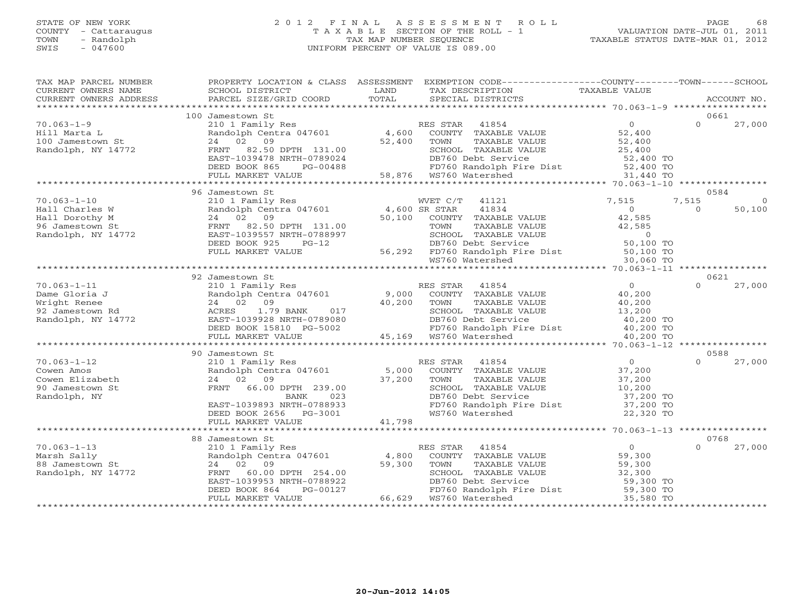# STATE OF NEW YORK 2 0 1 2 F I N A L A S S E S S M E N T R O L L PAGE 68 COUNTY - Cattaraugus T A X A B L E SECTION OF THE ROLL - 1 VALUATION DATE-JUL 01, 2011 TOWN - Randolph TAX MAP NUMBER SEQUENCE TAXABLE STATUS DATE-MAR 01, 2012 SWIS - 047600 UNIFORM PERCENT OF VALUE IS 089.00

| TAX MAP PARCEL NUMBER<br>CURRENT OWNERS NAME<br>CURRENT OWNERS ADDRESS                         | SCHOOL DISTRICT<br><b>EXAMPLE SERVICE SERVICE SERVICE SERVICE SERVICE SERVICE SERVICE SERVICE SERVICE SERVICE SERVICE SERVICE SERVICE</b><br>PARCEL SIZE/GRID COORD  | TOTAL                                                                                                                           | PROPERTY LOCATION & CLASS ASSESSMENT EXEMPTION CODE---------------COUNTY-------TOWN------SCHOOL<br>TAX DESCRIPTION<br>SPECIAL DISTRICTS                                                                                                                                            | TAXABLE VALUE                                                                                   | ACCOUNT NO.                            |
|------------------------------------------------------------------------------------------------|----------------------------------------------------------------------------------------------------------------------------------------------------------------------|---------------------------------------------------------------------------------------------------------------------------------|------------------------------------------------------------------------------------------------------------------------------------------------------------------------------------------------------------------------------------------------------------------------------------|-------------------------------------------------------------------------------------------------|----------------------------------------|
|                                                                                                |                                                                                                                                                                      |                                                                                                                                 |                                                                                                                                                                                                                                                                                    |                                                                                                 |                                        |
|                                                                                                | 100 Jamestown St                                                                                                                                                     |                                                                                                                                 |                                                                                                                                                                                                                                                                                    |                                                                                                 | 0661                                   |
| $70.063 - 1 - 9$<br>Hill Marta L<br>100 Jamestown St<br>Randolph, NY 14772                     | FRNT 82.50 DPTH 131.00<br>EAST-1039478 NRTH-0789024                                                                                                                  |                                                                                                                                 | 210 1 Family Res<br>Randolph Centra 047601 4,600 COUNTY TAXABLE VALUE<br>24 02 09 52,400 TOWN TAXABLE VALUE<br>SCHOOL TAXABLE VALUE                                                                                                                                                | $\overline{0}$<br>52,400<br>52,400<br>25,400                                                    | $\Omega$<br>27,000                     |
|                                                                                                | DEED BOOK 865<br>PG-00488                                                                                                                                            |                                                                                                                                 |                                                                                                                                                                                                                                                                                    |                                                                                                 |                                        |
|                                                                                                | FULL MARKET VALUE                                                                                                                                                    |                                                                                                                                 |                                                                                                                                                                                                                                                                                    |                                                                                                 |                                        |
|                                                                                                | 96 Jamestown St                                                                                                                                                      |                                                                                                                                 |                                                                                                                                                                                                                                                                                    |                                                                                                 | 0584                                   |
| $70.063 - 1 - 10$<br>Hall Charles W<br>Hall Dorothy M<br>96 Jamestown St<br>Randolph, NY 14772 | 210 1 Family Res<br>21 1 1 1 1 1 1 2 2 4 500 SR STAR<br>24 02 09 50,100 COUNTY                                                                                       |                                                                                                                                 | WVET C/T 41121<br>41834<br>COUNTY TAXABLE VALUE<br>FRNT 82.50 DPTH 131.00<br>EAST-1039557 NRTH-0788997 SCHOOL TAXABLE VALUE 42,585<br>DEED BOOK 925 PG-12 DB760 Debt Service 50,100 TO<br>FULL MARKET VALUE 56,292 FD760 Randolph Fire Dist 50,100 TO<br>WS760 Watershed 30,060 TO | 7,515<br>$\overline{0}$<br>42,585                                                               | 7,515<br>$\circ$<br>50,100<br>$\Omega$ |
|                                                                                                |                                                                                                                                                                      |                                                                                                                                 |                                                                                                                                                                                                                                                                                    |                                                                                                 |                                        |
|                                                                                                |                                                                                                                                                                      |                                                                                                                                 |                                                                                                                                                                                                                                                                                    |                                                                                                 |                                        |
|                                                                                                | 92 Jamestown St                                                                                                                                                      |                                                                                                                                 |                                                                                                                                                                                                                                                                                    |                                                                                                 | 0621                                   |
| $70.063 - 1 - 11$<br>Dame Gloria J<br>Wright Renee<br>92 Jamestown Rd<br>Randolph, NY 14772    | 1.79 BANK<br>ACRES<br>EAST-1039928 NRTH-0789080<br>DEED BOOK 15810 PG-5002<br>EAST-1039928 NRTH-0789080                                                              | $\begin{array}{ccccc}\n & \circ & \circ & \circ & \text{COUNT.} \\  & 40,200 & \text{TOWN.} \\  & & & & \\ \hline\n\end{array}$ | RES STAR 41854<br>Randolph Centra 047601 9,000 COUNTY TAXABLE VALUE<br>24 02 09 40.200 mother mother mother<br>SCHOOL TAXABLE VALUE<br>SCHOLL TAXABLE VALUE 13,200<br>DB760 Debt Service 10,200 TO<br>FD760 Randolph Fire Dist 10,200 TO<br>WS760 Watershed 10,200 TO              | $\overline{0}$<br>40,200<br>40,200<br>13,200                                                    | 27,000<br>$\Omega$                     |
|                                                                                                | FULL MARKET VALUE                                                                                                                                                    |                                                                                                                                 | 45,169 WS760 Watershed                                                                                                                                                                                                                                                             | 40,200 TO                                                                                       |                                        |
|                                                                                                |                                                                                                                                                                      |                                                                                                                                 |                                                                                                                                                                                                                                                                                    |                                                                                                 |                                        |
| $70.063 - 1 - 12$<br>Cowen Amos<br>Cowen Elizabeth<br>90 Jamestown St<br>Randolph, NY          | 90 Jamestown St<br>210 1 Family Res<br>24 02 09<br>FRNT 66.00 DPTH 239.00<br>023<br>BANK<br>EAST-1039893 NRTH-0788933<br>DEED BOOK 2656 PG-3001<br>FULL MARKET VALUE | 37,200<br>41,798                                                                                                                | RES STAR 41854<br>Exercise the central 047601 5,000 COUNTY TAXABLE VALUE<br>TOWN<br>TAXABLE VALUE<br>SCHOOL TAXABLE VALUE<br>DB760 Dobt Sorvice<br>DB760 Debt Service<br>FD760 Randolph Fire Dist<br>WS760 Watershed                                                               | $\overline{0}$<br>37,200<br>37,200<br>37,200<br>10,200<br>37,200 TO<br>$37,200$ TO<br>22,320 TO | 0588<br>$\cap$<br>27,000               |
|                                                                                                |                                                                                                                                                                      |                                                                                                                                 |                                                                                                                                                                                                                                                                                    |                                                                                                 |                                        |
|                                                                                                | 88 Jamestown St                                                                                                                                                      |                                                                                                                                 |                                                                                                                                                                                                                                                                                    |                                                                                                 | 0768                                   |
| $70.063 - 1 - 13$<br>Marsh Sally<br>88 Jamestown St<br>Randolph, NY 14772                      | FRNT 60.00 DPTH 254.00<br>EAST-1039953 NRTH-0788922<br>DEED BOOK 864<br>PG-00127<br>FULL MARKET VALUE                                                                |                                                                                                                                 | Jamestown St<br>210 1 Family Res<br>Randolph Centra 047601 4,800 COUNTY TAXABLE VALUE<br>59,300 TOWN TAXABLE VALUE<br>SCHOOL TAXABLE VALUE                                                                                                                                         | $\begin{array}{c} 0 \ 59,300 \end{array}$<br>59,300<br>$\frac{59,300}{32,300}$                  | $\Omega$<br>27,000                     |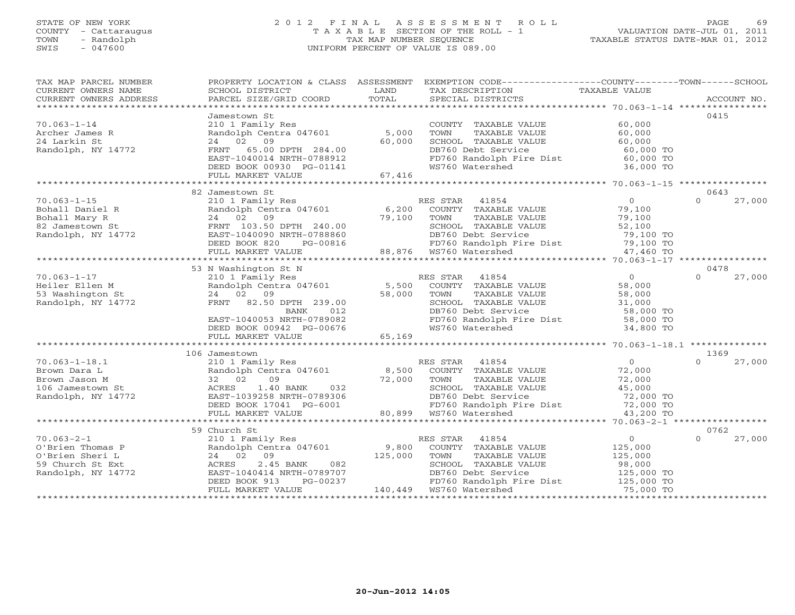#### STATE OF NEW YORK 2 0 1 2 F I N A L A S S E S S M E N T R O L L PAGE 69 COUNTY - Cattaraugus T A X A B L E SECTION OF THE ROLL - 1 VALUATION DATE-JUL 01, 2011 TOWN - Randolph TAX MAP NUMBER SEQUENCE TAXABLE STATUS DATE-MAR 01, 2012 SWIS - 047600 UNIFORM PERCENT OF VALUE IS 089.00UNIFORM PERCENT OF VALUE IS 089.00

| TAX MAP PARCEL NUMBER<br>CURRENT OWNERS NAME                              | SCHOOL DISTRICT                                        | LAND    | PROPERTY LOCATION & CLASS ASSESSMENT EXEMPTION CODE---------------COUNTY-------TOWN------SCHOOL<br>TAX DESCRIPTION  | TAXABLE VALUE       |                    |
|---------------------------------------------------------------------------|--------------------------------------------------------|---------|---------------------------------------------------------------------------------------------------------------------|---------------------|--------------------|
| CURRENT OWNERS ADDRESS                                                    | PARCEL SIZE/GRID COORD                                 | TOTAL   | SPECIAL DISTRICTS                                                                                                   |                     | ACCOUNT NO.        |
|                                                                           | Jamestown St                                           |         |                                                                                                                     |                     | 0415               |
| $70.063 - 1 - 14$                                                         | 210 1 Family Res                                       |         | COUNTY TAXABLE VALUE                                                                                                | 60,000              |                    |
| Archer James R                                                            | Randolph Centra 047601                                 | 5,000   | TOWN<br>TAXABLE VALUE                                                                                               | 60,000              |                    |
| 24 Larkin St                                                              | 24 02 09                                               | 60,000  | SCHOOL TAXABLE VALUE                                                                                                | 60,000              |                    |
| Randolph, NY 14772                                                        | 65.00 DPTH 284.00<br>FRNT                              |         |                                                                                                                     | 60,000 TO           |                    |
|                                                                           | EAST-1040014 NRTH-0788912                              |         | DB760 Debt Service<br>FD760 Randolph Fire Dist                                                                      | $60,000$ TO         |                    |
|                                                                           | DEED BOOK 00930 PG-01141                               |         | WS760 Watershed                                                                                                     | 36,000 TO           |                    |
|                                                                           | FULL MARKET VALUE                                      | 67,416  |                                                                                                                     |                     |                    |
|                                                                           |                                                        |         |                                                                                                                     |                     |                    |
|                                                                           | 82 Jamestown St                                        |         |                                                                                                                     |                     | 0643               |
| $70.063 - 1 - 15$                                                         | 210 1 Family Res                                       |         | RES STAR<br>41854                                                                                                   | $\overline{0}$      | $\Omega$<br>27,000 |
|                                                                           | Randolph Centra 047601<br>24 02 09                     | 6,200   | COUNTY TAXABLE VALUE                                                                                                | 79,100              |                    |
|                                                                           |                                                        | 79,100  | TOWN<br>TAXABLE VALUE                                                                                               | 79,100              |                    |
| Bohall Daniel R<br>Bohall Mary R<br>82 Jamestown St<br>Randolph, NY 14772 | FRNT 103.50 DPTH 240.00<br>EAST-1040090 NRTH-0788860   |         | SCHOOL TAXABLE VALUE                                                                                                | 52,100<br>79,100 TO |                    |
|                                                                           | PG-00816<br>DEED BOOK 820                              |         | DB760 Debt Service<br>FD760 Randolph Fire Dist<br>WS760 Watershed                                                   | $79,100$ TO         |                    |
|                                                                           | FULL MARKET VALUE                                      |         | 88,876 WS760 Watershed                                                                                              | 47,460 TO           |                    |
|                                                                           |                                                        |         |                                                                                                                     |                     |                    |
|                                                                           | 53 N Washington St N                                   |         |                                                                                                                     |                     | 0478               |
| $70.063 - 1 - 17$                                                         | 210 1 Family Res                                       |         | RES STAR 41854                                                                                                      | $\Omega$            | $\Omega$<br>27,000 |
| Heiler Ellen M                                                            | Randolph Centra 047601 5,500                           |         | COUNTY TAXABLE VALUE                                                                                                | 58,000              |                    |
| 53 Washington St                                                          | 24 02 09                                               | 58,000  | TOWN<br>TAXABLE VALUE                                                                                               | 58,000              |                    |
| Randolph, NY 14772                                                        | FRNT 82.50 DPTH 239.00                                 |         | SCHOOL TAXABLE VALUE                                                                                                | 31,000              |                    |
|                                                                           | 012<br>BANK                                            |         | DB760 Debt Service                                                                                                  | 58,000 TO           |                    |
|                                                                           | EAST-1040053 NRTH-0789082                              |         | FD760 Randolph Fire Dist 58,000 TO<br>WS760 Watershed 34,800 TO                                                     |                     |                    |
|                                                                           | DEED BOOK 00942 PG-00676                               |         |                                                                                                                     |                     |                    |
|                                                                           | FULL MARKET VALUE                                      | 65,169  |                                                                                                                     |                     |                    |
|                                                                           | 106 Jamestown                                          |         |                                                                                                                     |                     | 1369               |
| $70.063 - 1 - 18.1$                                                       | 210 1 Family Res                                       |         | RES STAR 41854                                                                                                      | $\overline{0}$      | $\Omega$<br>27,000 |
| Brown Dara L                                                              | Randolph Centra 047601                                 | 8,500   | COUNTY TAXABLE VALUE                                                                                                | 72,000              |                    |
| Brown Jason M                                                             | 32 02<br>09                                            | 72,000  | TOWN<br>TAXABLE VALUE                                                                                               | 72,000              |                    |
| 106 Jamestown St                                                          | ACRES<br>1.40 BANK<br>032                              |         | CHOOL TAXABLE VALUE (45,000 TO PAYABLE VALUE )<br>DB760 Debt Service (45,000 TO PD760 Randolph Fire Dist (72,000 TO |                     |                    |
| Randolph, NY 14772                                                        | EAST-1039258 NRTH-0789306                              |         |                                                                                                                     |                     |                    |
|                                                                           | DEED BOOK 17041 PG-6001                                |         |                                                                                                                     |                     |                    |
|                                                                           | FULL MARKET VALUE                                      |         |                                                                                                                     | 43,200 TO           |                    |
|                                                                           |                                                        |         |                                                                                                                     |                     |                    |
|                                                                           | 59 Church St                                           |         |                                                                                                                     |                     | 0762               |
| $70.063 - 2 - 1$                                                          | 210 1 Family Res                                       |         | 41854<br>RES STAR                                                                                                   | $\circ$             | 27,000<br>$\Omega$ |
| O'Brien Thomas P                                                          | Randolph Centra 047601                                 | 9,800   | COUNTY TAXABLE VALUE                                                                                                | 125,000             |                    |
| O'Brien Sheri L                                                           | 24 02 09                                               | 125,000 | TAXABLE VALUE<br>TOWN                                                                                               | 125,000             |                    |
| 59 Church St Ext                                                          | ACRES<br>2.45 BANK<br>082<br>EAST-1040414 NRTH-0789707 |         | SCHOOL TAXABLE VALUE                                                                                                | 98,000              |                    |
| Randolph, NY 14772                                                        | DEED BOOK 913<br>PG-00237                              |         | DB760 Debt Service 125,000 TO<br>FD760 Randolph Fire Dist 125,000 TO                                                |                     |                    |
|                                                                           | FULL MARKET VALUE                                      |         |                                                                                                                     | 75,000 TO           |                    |
|                                                                           |                                                        |         |                                                                                                                     |                     |                    |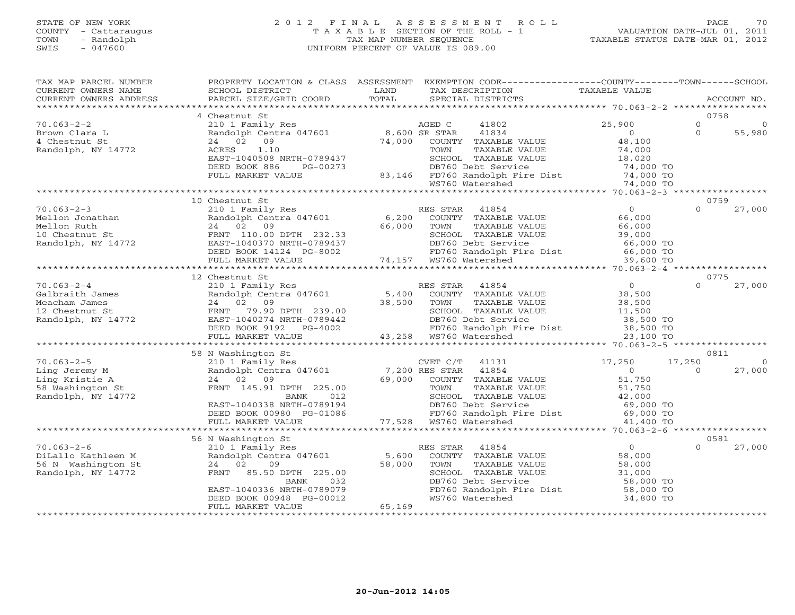# STATE OF NEW YORK 2 0 1 2 F I N A L A S S E S S M E N T R O L L PAGE 70 COUNTY - Cattaraugus T A X A B L E SECTION OF THE ROLL - 1 VALUATION DATE-JUL 01, 2011 TOWN - Randolph TAX MAP NUMBER SEQUENCE TAXABLE STATUS DATE-MAR 01, 2012 SWIS - 047600 UNIFORM PERCENT OF VALUE IS 089.00

| *************************<br>0758<br>4 Chestnut St<br>$70.063 - 2 - 2$<br>210 1 Family Res AGED C<br>Randolph Centra 047601 8,600 SR STAR<br>41802<br>25,900<br>$\Omega$<br>41834<br>$\circ$<br>Brown Clara L<br>$\Omega$<br>55,980<br>4 Chestnut St<br>74,000<br>48,100<br>24 02 09<br>COUNTY TAXABLE VALUE<br>Randolph, NY 14772<br>1.10<br>74,000<br>ACRES<br>TOWN<br>TAXABLE VALUE<br>EAST-1040508 NRTH-0789437<br>SCHOOL TAXABLE VALUE<br>18,020<br>DEED BOOK 886<br>PG-00273<br>DB760 Debt Service<br>74,000 TO<br>83,146 FD760 Randolph Fire Dist 74,000 TO<br>WS760 Watershed 74,000 TO<br>FULL MARKET VALUE<br>10 Chestnut St<br>0759<br>RES STAR<br>$70.063 - 2 - 3$<br>41854<br>$\overline{0}$<br>$\Omega$<br>27,000<br>210 1 Family Res<br>Randolph Centra 047601<br>6,200 COUNTY TAXABLE VALUE<br>Mellon Jonathan<br>66,000<br>66,000<br>Mellon Ruth<br>24 02 09<br>TOWN<br>TAXABLE VALUE<br>66,000<br>10 Chestnut St<br>Randolph, NY 14772<br>FRNT 110.00 DPTH 232.33<br>SCHOOL TAXABLE VALUE<br>JUE 39,000<br>66,000<br>EAST-1040370 NRTH-0789437<br>DB760 Debt Service<br>66,000 TO<br>FD760 Randolph Fire Dist 66,000 TO<br>WS760 Watershed 39,600 TO<br>DEED BOOK 14124 PG-8002<br>74,157 WS760 Watershed<br>FULL MARKET VALUE<br>39,600 TO<br>12 Chestnut St<br>0775<br>$70.063 - 2 - 4$<br>$\overline{O}$<br>210 1 Family Res<br>RES STAR<br>41854<br>$\Omega$<br>27,000<br>Randolph Centra 047601 5,400<br>Galbraith James<br>COUNTY TAXABLE VALUE<br>38,500<br>38,500<br>38,500<br>Meacham James<br>24 02 09<br>TOWN<br>TAXABLE VALUE<br>12 Chestnut St<br>Randolph, NY 14772<br>FRNT 79.90 DPTH 239.00<br>SCHOOL TAXABLE VALUE<br>11,500<br>DB760 Debt Service<br>EAST-1040274 NRTH-0789442<br>38,500 TO<br>DEED BOOK 9192 PG-4002<br>FD760 Randolph Fire Dist<br>WS760 Watershed<br>38,500 TO<br>23,100 TO<br>FULL MARKET VALUE<br>58 N Washington St<br>0811<br>$70.063 - 2 - 5$<br>17,250<br>210 1 Family Res<br>CVET C/T<br>41131<br>17,250<br>$\Omega$<br>Randolph Centra 047601<br>7,200 RES STAR<br>$0 \qquad \qquad$<br>27,000<br>Ling Jeremy M<br>41854<br>$\Omega$<br>51,750<br>24 02 09<br>69,000<br>Ling Kristie A<br>COUNTY TAXABLE VALUE<br>58 Washington St<br>FRNT 145.91 DPTH 225.00<br>TOWN<br>TAXABLE VALUE<br>51,750<br>42,000<br>SCHOOL TAXABLE VALUE<br>Randolph, NY 14772<br>BANK<br>012<br>EAST-1040338 NRTH-0789194<br>DB760 Debt Service<br>69,000 TO<br>FD760 Randolph Fire Dist 69,000 TO<br>DEED BOOK 00980 PG-01086<br>FULL MARKET VALUE<br>77,528 WS760 Watershed<br>41,400 TO<br>***************************<br>56 N Washington St<br>0581<br>$70.063 - 2 - 6$<br>41854<br>$\Omega$<br>27,000<br>210 1 Family Res<br>RES STAR<br>$\Omega$<br>Randolph Centra 047601<br>DiLallo Kathleen M<br>5,600<br>COUNTY TAXABLE VALUE<br>58,000<br>58,000<br>56 N Washington St<br>24 02<br>09<br>TOWN<br>TAXABLE VALUE<br>58,000<br>Randolph, NY 14772<br>FRNT<br>85.50 DPTH 225.00<br>SCHOOL TAXABLE VALUE<br>31,000<br>032<br>DB760 Debt Service<br>58,000 TO<br>BANK<br>FD760 Randolph Fire Dist<br>EAST-1040336 NRTH-0789079<br>58,000 TO<br>DEED BOOK 00948 PG-00012<br>WS760 Watershed<br>34,800 TO<br>65,169<br>FULL MARKET VALUE | TAX MAP PARCEL NUMBER<br>CURRENT OWNERS NAME<br>CURRENT OWNERS ADDRESS | PROPERTY LOCATION & CLASS ASSESSMENT<br>SCHOOL DISTRICT<br>PARCEL SIZE/GRID COORD | LAND<br>TOTAL | EXEMPTION CODE-----------------COUNTY-------TOWN------SCHOOL<br>TAX DESCRIPTION<br>SPECIAL DISTRICTS | TAXABLE VALUE | ACCOUNT NO. |
|---------------------------------------------------------------------------------------------------------------------------------------------------------------------------------------------------------------------------------------------------------------------------------------------------------------------------------------------------------------------------------------------------------------------------------------------------------------------------------------------------------------------------------------------------------------------------------------------------------------------------------------------------------------------------------------------------------------------------------------------------------------------------------------------------------------------------------------------------------------------------------------------------------------------------------------------------------------------------------------------------------------------------------------------------------------------------------------------------------------------------------------------------------------------------------------------------------------------------------------------------------------------------------------------------------------------------------------------------------------------------------------------------------------------------------------------------------------------------------------------------------------------------------------------------------------------------------------------------------------------------------------------------------------------------------------------------------------------------------------------------------------------------------------------------------------------------------------------------------------------------------------------------------------------------------------------------------------------------------------------------------------------------------------------------------------------------------------------------------------------------------------------------------------------------------------------------------------------------------------------------------------------------------------------------------------------------------------------------------------------------------------------------------------------------------------------------------------------------------------------------------------------------------------------------------------------------------------------------------------------------------------------------------------------------------------------------------------------------------------------------------------------------------------------------------------------------------------------------------------------------------------------------------------------------------------------------------------------------------------------------------------------------------------------------------------------------------------------------------------------------------------------------------------------------------------|------------------------------------------------------------------------|-----------------------------------------------------------------------------------|---------------|------------------------------------------------------------------------------------------------------|---------------|-------------|
|                                                                                                                                                                                                                                                                                                                                                                                                                                                                                                                                                                                                                                                                                                                                                                                                                                                                                                                                                                                                                                                                                                                                                                                                                                                                                                                                                                                                                                                                                                                                                                                                                                                                                                                                                                                                                                                                                                                                                                                                                                                                                                                                                                                                                                                                                                                                                                                                                                                                                                                                                                                                                                                                                                                                                                                                                                                                                                                                                                                                                                                                                                                                                                                       |                                                                        |                                                                                   |               |                                                                                                      |               |             |
|                                                                                                                                                                                                                                                                                                                                                                                                                                                                                                                                                                                                                                                                                                                                                                                                                                                                                                                                                                                                                                                                                                                                                                                                                                                                                                                                                                                                                                                                                                                                                                                                                                                                                                                                                                                                                                                                                                                                                                                                                                                                                                                                                                                                                                                                                                                                                                                                                                                                                                                                                                                                                                                                                                                                                                                                                                                                                                                                                                                                                                                                                                                                                                                       |                                                                        |                                                                                   |               |                                                                                                      |               |             |
|                                                                                                                                                                                                                                                                                                                                                                                                                                                                                                                                                                                                                                                                                                                                                                                                                                                                                                                                                                                                                                                                                                                                                                                                                                                                                                                                                                                                                                                                                                                                                                                                                                                                                                                                                                                                                                                                                                                                                                                                                                                                                                                                                                                                                                                                                                                                                                                                                                                                                                                                                                                                                                                                                                                                                                                                                                                                                                                                                                                                                                                                                                                                                                                       |                                                                        |                                                                                   |               |                                                                                                      |               |             |
|                                                                                                                                                                                                                                                                                                                                                                                                                                                                                                                                                                                                                                                                                                                                                                                                                                                                                                                                                                                                                                                                                                                                                                                                                                                                                                                                                                                                                                                                                                                                                                                                                                                                                                                                                                                                                                                                                                                                                                                                                                                                                                                                                                                                                                                                                                                                                                                                                                                                                                                                                                                                                                                                                                                                                                                                                                                                                                                                                                                                                                                                                                                                                                                       |                                                                        |                                                                                   |               |                                                                                                      |               |             |
|                                                                                                                                                                                                                                                                                                                                                                                                                                                                                                                                                                                                                                                                                                                                                                                                                                                                                                                                                                                                                                                                                                                                                                                                                                                                                                                                                                                                                                                                                                                                                                                                                                                                                                                                                                                                                                                                                                                                                                                                                                                                                                                                                                                                                                                                                                                                                                                                                                                                                                                                                                                                                                                                                                                                                                                                                                                                                                                                                                                                                                                                                                                                                                                       |                                                                        |                                                                                   |               |                                                                                                      |               |             |
|                                                                                                                                                                                                                                                                                                                                                                                                                                                                                                                                                                                                                                                                                                                                                                                                                                                                                                                                                                                                                                                                                                                                                                                                                                                                                                                                                                                                                                                                                                                                                                                                                                                                                                                                                                                                                                                                                                                                                                                                                                                                                                                                                                                                                                                                                                                                                                                                                                                                                                                                                                                                                                                                                                                                                                                                                                                                                                                                                                                                                                                                                                                                                                                       |                                                                        |                                                                                   |               |                                                                                                      |               |             |
|                                                                                                                                                                                                                                                                                                                                                                                                                                                                                                                                                                                                                                                                                                                                                                                                                                                                                                                                                                                                                                                                                                                                                                                                                                                                                                                                                                                                                                                                                                                                                                                                                                                                                                                                                                                                                                                                                                                                                                                                                                                                                                                                                                                                                                                                                                                                                                                                                                                                                                                                                                                                                                                                                                                                                                                                                                                                                                                                                                                                                                                                                                                                                                                       |                                                                        |                                                                                   |               |                                                                                                      |               |             |
|                                                                                                                                                                                                                                                                                                                                                                                                                                                                                                                                                                                                                                                                                                                                                                                                                                                                                                                                                                                                                                                                                                                                                                                                                                                                                                                                                                                                                                                                                                                                                                                                                                                                                                                                                                                                                                                                                                                                                                                                                                                                                                                                                                                                                                                                                                                                                                                                                                                                                                                                                                                                                                                                                                                                                                                                                                                                                                                                                                                                                                                                                                                                                                                       |                                                                        |                                                                                   |               |                                                                                                      |               |             |
|                                                                                                                                                                                                                                                                                                                                                                                                                                                                                                                                                                                                                                                                                                                                                                                                                                                                                                                                                                                                                                                                                                                                                                                                                                                                                                                                                                                                                                                                                                                                                                                                                                                                                                                                                                                                                                                                                                                                                                                                                                                                                                                                                                                                                                                                                                                                                                                                                                                                                                                                                                                                                                                                                                                                                                                                                                                                                                                                                                                                                                                                                                                                                                                       |                                                                        |                                                                                   |               |                                                                                                      |               |             |
|                                                                                                                                                                                                                                                                                                                                                                                                                                                                                                                                                                                                                                                                                                                                                                                                                                                                                                                                                                                                                                                                                                                                                                                                                                                                                                                                                                                                                                                                                                                                                                                                                                                                                                                                                                                                                                                                                                                                                                                                                                                                                                                                                                                                                                                                                                                                                                                                                                                                                                                                                                                                                                                                                                                                                                                                                                                                                                                                                                                                                                                                                                                                                                                       |                                                                        |                                                                                   |               |                                                                                                      |               |             |
|                                                                                                                                                                                                                                                                                                                                                                                                                                                                                                                                                                                                                                                                                                                                                                                                                                                                                                                                                                                                                                                                                                                                                                                                                                                                                                                                                                                                                                                                                                                                                                                                                                                                                                                                                                                                                                                                                                                                                                                                                                                                                                                                                                                                                                                                                                                                                                                                                                                                                                                                                                                                                                                                                                                                                                                                                                                                                                                                                                                                                                                                                                                                                                                       |                                                                        |                                                                                   |               |                                                                                                      |               |             |
|                                                                                                                                                                                                                                                                                                                                                                                                                                                                                                                                                                                                                                                                                                                                                                                                                                                                                                                                                                                                                                                                                                                                                                                                                                                                                                                                                                                                                                                                                                                                                                                                                                                                                                                                                                                                                                                                                                                                                                                                                                                                                                                                                                                                                                                                                                                                                                                                                                                                                                                                                                                                                                                                                                                                                                                                                                                                                                                                                                                                                                                                                                                                                                                       |                                                                        |                                                                                   |               |                                                                                                      |               |             |
|                                                                                                                                                                                                                                                                                                                                                                                                                                                                                                                                                                                                                                                                                                                                                                                                                                                                                                                                                                                                                                                                                                                                                                                                                                                                                                                                                                                                                                                                                                                                                                                                                                                                                                                                                                                                                                                                                                                                                                                                                                                                                                                                                                                                                                                                                                                                                                                                                                                                                                                                                                                                                                                                                                                                                                                                                                                                                                                                                                                                                                                                                                                                                                                       |                                                                        |                                                                                   |               |                                                                                                      |               |             |
|                                                                                                                                                                                                                                                                                                                                                                                                                                                                                                                                                                                                                                                                                                                                                                                                                                                                                                                                                                                                                                                                                                                                                                                                                                                                                                                                                                                                                                                                                                                                                                                                                                                                                                                                                                                                                                                                                                                                                                                                                                                                                                                                                                                                                                                                                                                                                                                                                                                                                                                                                                                                                                                                                                                                                                                                                                                                                                                                                                                                                                                                                                                                                                                       |                                                                        |                                                                                   |               |                                                                                                      |               |             |
|                                                                                                                                                                                                                                                                                                                                                                                                                                                                                                                                                                                                                                                                                                                                                                                                                                                                                                                                                                                                                                                                                                                                                                                                                                                                                                                                                                                                                                                                                                                                                                                                                                                                                                                                                                                                                                                                                                                                                                                                                                                                                                                                                                                                                                                                                                                                                                                                                                                                                                                                                                                                                                                                                                                                                                                                                                                                                                                                                                                                                                                                                                                                                                                       |                                                                        |                                                                                   |               |                                                                                                      |               |             |
|                                                                                                                                                                                                                                                                                                                                                                                                                                                                                                                                                                                                                                                                                                                                                                                                                                                                                                                                                                                                                                                                                                                                                                                                                                                                                                                                                                                                                                                                                                                                                                                                                                                                                                                                                                                                                                                                                                                                                                                                                                                                                                                                                                                                                                                                                                                                                                                                                                                                                                                                                                                                                                                                                                                                                                                                                                                                                                                                                                                                                                                                                                                                                                                       |                                                                        |                                                                                   |               |                                                                                                      |               |             |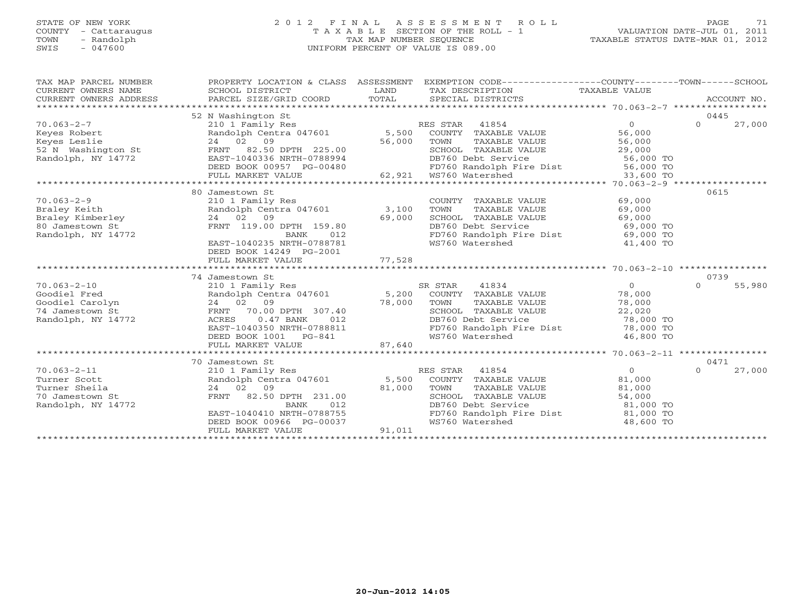# STATE OF NEW YORK 2 0 1 2 F I N A L A S S E S S M E N T R O L L PAGE 71 COUNTY - Cattaraugus T A X A B L E SECTION OF THE ROLL - 1 VALUATION DATE-JUL 01, 2011 TOWN - Randolph TAX MAP NUMBER SEQUENCE TAXABLE STATUS DATE-MAR 01, 2012 SWIS - 047600 UNIFORM PERCENT OF VALUE IS 089.00

| TAX MAP PARCEL NUMBER<br>CURRENT OWNERS NAME<br>CURRENT OWNERS ADDRESS                                                                                           | SCHOOL DISTRICT<br>PARCEL SIZE/GRID COORD TOTAL                                                                                                                                                                                                           | LAND   | PROPERTY LOCATION & CLASS ASSESSMENT EXEMPTION CODE---------------COUNTY-------TOWN------SCHOOL<br>TAX DESCRIPTION TAXABLE VALUE<br>SPECIAL DISTRICTS                         |                                                                                     | ACCOUNT NO.                |
|------------------------------------------------------------------------------------------------------------------------------------------------------------------|-----------------------------------------------------------------------------------------------------------------------------------------------------------------------------------------------------------------------------------------------------------|--------|-------------------------------------------------------------------------------------------------------------------------------------------------------------------------------|-------------------------------------------------------------------------------------|----------------------------|
| $70.063 - 2 - 7$<br>Exercise Robert Randolph Centra 047601<br>Exercise Sessington St (24 02 09<br>S2 N Washington St (24 02 50 DPTH 225.00<br>Randolph, NY 14772 | 52 N Washington St<br>210 1 Family Res                                                                                                                                                                                                                    |        | RES STAR 41854<br>Randolph Centra 047601 5,500 COUNTY TAXABLE VALUE<br>24 02 09 56,000 TOWN TAXABLE VALUE<br>SCHOOL TAXABLE VALUE 29,000                                      | $\Omega$<br>56, J<br>56, 000<br>^^ 000                                              | 0445<br>$\Omega$<br>27,000 |
|                                                                                                                                                                  |                                                                                                                                                                                                                                                           |        |                                                                                                                                                                               |                                                                                     |                            |
| $70.063 - 2 - 9$<br>Braley Keith<br>Braley Kimberley<br>Charles Contractor<br>80 Jamestown St<br>Randolph, NY 14772                                              | 80 Jamestown St<br>210 1 Family Res<br>Randolph Centra 047601 3,100<br>24 02 09<br>FRNT 119.00 DPTH 159.80<br>BANK<br>012<br>EAST-1040235 NRTH-0788781<br>DEED BOOK 14249 PG-2001                                                                         | 69,000 | COUNTY TAXABLE VALUE 69,000<br>TOWN TAXABLE VALUE 69,000<br>TOWN<br>SCHOOL TAXABLE VALUE 69,000<br>DB760 Debt Service<br>FD760 Randolph Fire Dist<br>WS760 Watershed          | 69,000 TO<br>69,000 TO<br>41,400 TO                                                 | 0615                       |
|                                                                                                                                                                  | FULL MARKET VALUE                                                                                                                                                                                                                                         | 77,528 |                                                                                                                                                                               |                                                                                     |                            |
|                                                                                                                                                                  |                                                                                                                                                                                                                                                           |        |                                                                                                                                                                               |                                                                                     |                            |
|                                                                                                                                                                  | 74 Jamestown St                                                                                                                                                                                                                                           |        |                                                                                                                                                                               |                                                                                     | 0739                       |
| $70.063 - 2 - 10$<br>Goodiel Fred<br>Goodiel Carolyn<br>74 Jamestown St<br>Randolph, NY 14772                                                                    | Udmestown St<br>210 1 Family Res<br>Randolph Centra 047601 5,200 COUNTY TAXABLE VALUE<br>24 02 09 78,000 TOWN TAXABLE VALUE<br>24 02 09<br>70.00 DPTH 307.40<br>FRNT<br>$0.47$ BANK<br>ACRES<br>012<br>EAST-1040350 NRTH-0788811<br>DEED BOOK 1001 PG-841 | 78,000 | TOWN<br>TAXABLE VALUE<br>SCHOOL TAXABLE VALUE<br>DB760 Debt Service<br>DB760 Debt Service<br>FD760 Randolph Fire Dist<br>WS760 Watershed                                      | $\overline{0}$<br>78,000<br>78,000<br>22,020<br>78,000 TO<br>78,000 TO<br>46,800 TO | $\Omega$<br>55,980         |
|                                                                                                                                                                  | FULL MARKET VALUE                                                                                                                                                                                                                                         | 87,640 |                                                                                                                                                                               |                                                                                     |                            |
|                                                                                                                                                                  |                                                                                                                                                                                                                                                           |        |                                                                                                                                                                               |                                                                                     |                            |
| $70.063 - 2 - 11$<br>Turner Scott<br>Turner Sheila<br>70 Jamestown St<br>Randolph, NY 14772                                                                      | 70 Jamestown St<br>210 1 Family Res<br>Randolph Centra 047601 5,500 COUNTY TAXABLE VALUE<br>$24$ 02 09 81,000<br>FRNT 82.50 DPTH 231.00 840<br>EAST-1040410 NRTH-0788755<br>FULL MARKET VALUE                                                             | 91,011 | RES STAR 41854<br>TOWN<br>TAXABLE VALUE 81,000<br>TAXABLE VALUE 54,000<br>SCHOOL TAXABLE VALUE<br>DB760 Debt Service<br>FD760 Randolph Fire Dist 81,000 TO<br>WS760 Watershed | $\overline{0}$<br>81,000<br>81,000 TO<br>48,600 TO                                  | 0471<br>$\Omega$<br>27,000 |
|                                                                                                                                                                  |                                                                                                                                                                                                                                                           |        |                                                                                                                                                                               |                                                                                     |                            |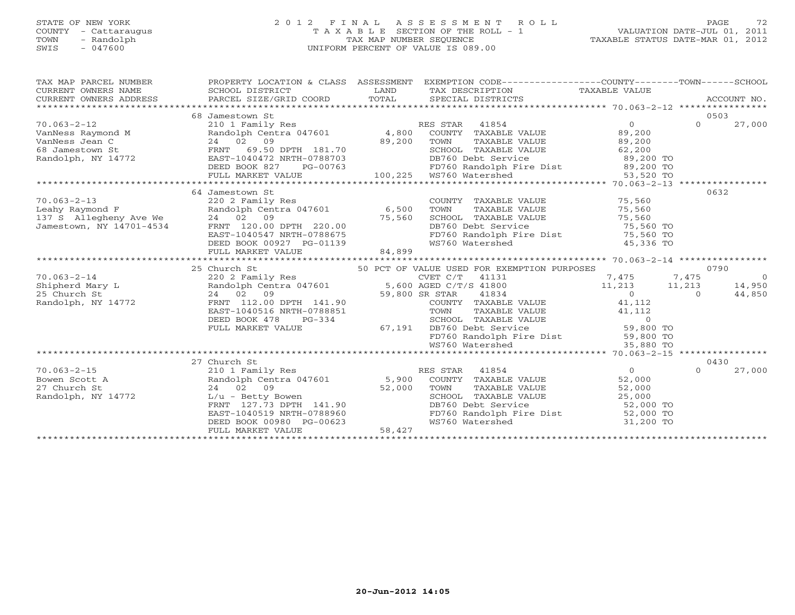# STATE OF NEW YORK 2 0 1 2 F I N A L A S S E S S M E N T R O L L PAGE 72 COUNTY - Cattaraugus T A X A B L E SECTION OF THE ROLL - 1 VALUATION DATE-JUL 01, 2011 TOWN - Randolph TAX MAP NUMBER SEQUENCE TAXABLE STATUS DATE-MAR 01, 2012 SWIS - 047600 UNIFORM PERCENT OF VALUE IS 089.00

| TAX MAP PARCEL NUMBER<br>CURRENT OWNERS NAME | PROPERTY LOCATION & CLASS ASSESSMENT EXEMPTION CODE---------------COUNTY-------TOWN------SCHOOL<br>SCHOOL DISTRICT<br>CURRENT OWNERS ADDRESS PARCEL SIZE/GRID COORD TOTAL                                                                                                                                                                                                                                                                                                                              | LAND                     | TAX DESCRIPTION TAXABLE VALUE<br>SPECIAL DISTRICTS                                                                               | ACCOUNT NO.                |
|----------------------------------------------|--------------------------------------------------------------------------------------------------------------------------------------------------------------------------------------------------------------------------------------------------------------------------------------------------------------------------------------------------------------------------------------------------------------------------------------------------------------------------------------------------------|--------------------------|----------------------------------------------------------------------------------------------------------------------------------|----------------------------|
|                                              | 68 Jamestown St<br>10.063-2-12<br>VanNess Raymond M (210 1 Family Res RES STAR 41854 (210 1 Family Res Raymond M (210 1 Family Res Raymond M (210 1 Family Res RES STAR 41854 (200)<br>VanNess Jean C (24 02 09 (200 100 100 100 100 24 02 09 (200 10<br>89,200 TO<br>Randolph, NY 14772 EAST-1040472 NRTH-0788703<br>DB760 Debt Service PD760 EAST-1040472 NRTH-0788703<br>DB760 Randolph Fire Dist 89,200 TO<br>FULL MARKET VALUE 100,225 MS760 Watershed 53,520 TO<br>FULL MARKET VALUE 100,225 MS7 |                          |                                                                                                                                  | 0503<br>$\Omega$<br>27,000 |
|                                              |                                                                                                                                                                                                                                                                                                                                                                                                                                                                                                        |                          |                                                                                                                                  |                            |
|                                              | 64 Jamestown St<br>24 02 09 75,560<br>FRNT 120.00 DPTH 220.00<br>EAST-1040547 NRTH-0788675<br>DEED BOOK 00927 PG-01139<br>FULL MARKET VALUE<br>FULL MARKET VALUE<br>FULL MARKET VALUE                                                                                                                                                                                                                                                                                                                  |                          | COUNTY TAXABLE VALUE 75,560<br>TOWN TAXABLE VALUE 75,560<br>SCHOOL TAXABLE VALUE 75,560                                          | 0632                       |
|                                              |                                                                                                                                                                                                                                                                                                                                                                                                                                                                                                        |                          |                                                                                                                                  |                            |
|                                              |                                                                                                                                                                                                                                                                                                                                                                                                                                                                                                        |                          |                                                                                                                                  |                            |
|                                              | $\begin{tabular}{lcccccc} \texttt{\textbf{70.063--2--14}} & \texttt{\textbf{70.063--2--14}} & \texttt{\textbf{70.063--2--14}} & \texttt{\textbf{70.063--2--14}} & \texttt{\textbf{70.063--2--14}} & \texttt{\textbf{70.063--2--14}} & \texttt{\textbf{70.063--2--14}} & \texttt{\textbf{70.063--2--14}} & \texttt{\textbf{70.063--2--14}} & \texttt{\textbf{70.063--2--14}} & \texttt{\textbf{70.$                                                                                                     |                          |                                                                                                                                  |                            |
|                                              |                                                                                                                                                                                                                                                                                                                                                                                                                                                                                                        |                          |                                                                                                                                  |                            |
|                                              |                                                                                                                                                                                                                                                                                                                                                                                                                                                                                                        |                          |                                                                                                                                  |                            |
|                                              |                                                                                                                                                                                                                                                                                                                                                                                                                                                                                                        |                          |                                                                                                                                  | 0430                       |
|                                              | 27 Church St<br>27 Church St<br>Randolph, NY 14772<br>Randolph, NY 14772<br>EAST-1040519 NRTH-0788960<br>DEED BOOK 00980 PG-00623<br>FULL MARKET VALUE                                                                                                                                                                                                                                                                                                                                                 | $523$ $58,427$<br>58,427 | SCHOOL TAXABLE VALUE $25,000$<br>DB760 Debt Service 52,000 TO<br>FD760 Randolph Fire Dist 52,000 TO<br>WS760 Watershed 31,200 TO | 27,000<br>$\Omega$         |
|                                              |                                                                                                                                                                                                                                                                                                                                                                                                                                                                                                        |                          |                                                                                                                                  |                            |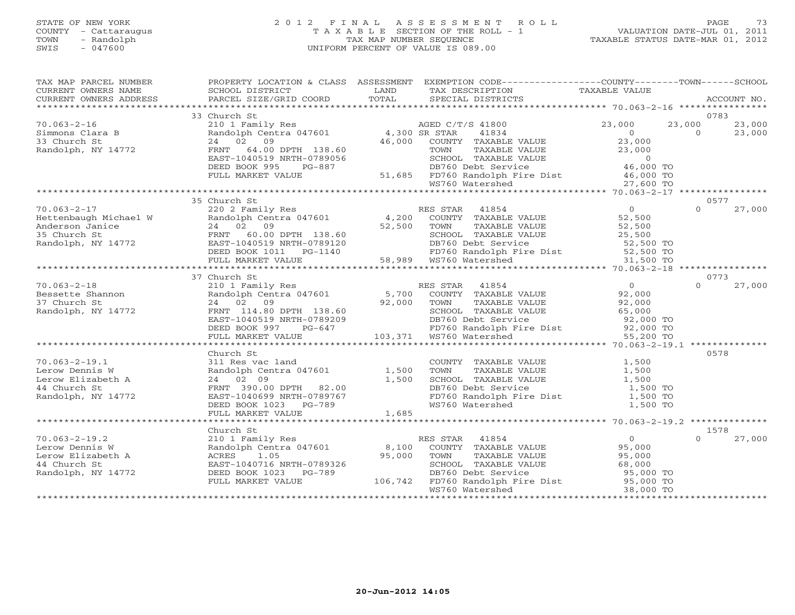# STATE OF NEW YORK 2 0 1 2 F I N A L A S S E S S M E N T R O L L PAGE 73 COUNTY - Cattaraugus T A X A B L E SECTION OF THE ROLL - 1 VALUATION DATE-JUL 01, 2011 TOWN - Randolph TAX MAP NUMBER SEQUENCE TAXABLE STATUS DATE-MAR 01, 2012 SWIS - 047600 UNIFORM PERCENT OF VALUE IS 089.00

| TAX MAP PARCEL NUMBER<br>CURRENT OWNERS NAME<br>CURRENT OWNERS ADDRESS                           | SCHOOL DISTRICT<br>PARCEL SIZE/GRID COORD                                                                                                                                               | LAND<br>TOTAL  | PROPERTY LOCATION & CLASS ASSESSMENT EXEMPTION CODE---------------COUNTY-------TOWN------SCHOOL<br>TAX DESCRIPTION<br>SPECIAL DISTRICTS                                                                                                        | TAXABLE VALUE                                                                             | ACCOUNT NO.                                  |
|--------------------------------------------------------------------------------------------------|-----------------------------------------------------------------------------------------------------------------------------------------------------------------------------------------|----------------|------------------------------------------------------------------------------------------------------------------------------------------------------------------------------------------------------------------------------------------------|-------------------------------------------------------------------------------------------|----------------------------------------------|
|                                                                                                  |                                                                                                                                                                                         |                |                                                                                                                                                                                                                                                |                                                                                           |                                              |
|                                                                                                  | 33 Church St                                                                                                                                                                            |                |                                                                                                                                                                                                                                                |                                                                                           | 0783                                         |
| $70.063 - 2 - 16$<br>Simmons Clara B<br>33 Church St<br>Randolph, NY 14772                       | 210 1 Family Res<br>Randolph Centra 047601 4,300 SR STAR 41834<br>16.000 COUNTY TAXAPLE<br>24 02 09<br>FRNT 64.00 DPTH 138.60<br>EAST-1040519 NRTH-0789056<br>DEED BOOK 995<br>$PG-887$ | 46,000         | COUNTY TAXABLE VALUE<br>46,000 COUNTI IAAABLE VALUE<br>TOWN TAXABLE VALUE<br>SCHOOL TAXABLE VALUE<br>DB760 Debt Service<br>51,685 FD760 Randolph Fire Dist<br>WS760 Watershed<br>27,600 TO<br>16,000 TO<br>27,600 TO<br>27,600 TO<br>27,600 TO | 23,000<br>$\overline{0}$<br>23,000                                                        | 23,000<br>23,000<br>$\overline{O}$<br>23,000 |
|                                                                                                  | FULL MARKET VALUE                                                                                                                                                                       |                |                                                                                                                                                                                                                                                |                                                                                           |                                              |
|                                                                                                  |                                                                                                                                                                                         |                |                                                                                                                                                                                                                                                |                                                                                           |                                              |
|                                                                                                  | 35 Church St                                                                                                                                                                            |                |                                                                                                                                                                                                                                                |                                                                                           | 0577                                         |
|                                                                                                  |                                                                                                                                                                                         |                | ES STAR 41854<br>COUNTY TAXABLE VALUE                                                                                                                                                                                                          |                                                                                           |                                              |
|                                                                                                  |                                                                                                                                                                                         |                |                                                                                                                                                                                                                                                |                                                                                           |                                              |
|                                                                                                  | 37 Church St                                                                                                                                                                            |                |                                                                                                                                                                                                                                                |                                                                                           | 0773                                         |
| 70.063-2-18<br>Bessette Shannon<br>And St<br>Randolph, NY 14772                                  | 24 02 09<br>FRNT 114.80 DPTH 138.60<br>EAST-1040519 NRTH-0789209<br>DEED BOOK 997 PG-647<br>THIL YILL<br>FULL MARKET VALUE                                                              |                | 210 1 Family Res<br>Randolph Centra 047601 5,700 COUNTY TAXABLE VALUE<br>92,000 TOWN<br>TAXABLE VALUE<br>SCHOOL TAXABLE VALUE<br>DB760 Debt Service<br>PB760 Debt Service<br>FD760 Randolph Fire Dist<br>WS760 Watershed 55,200 TO             | 0<br>92,000<br>92,000<br>65,000                                                           | $\Omega$<br>27,000                           |
|                                                                                                  |                                                                                                                                                                                         |                |                                                                                                                                                                                                                                                |                                                                                           |                                              |
| $70.063 - 2 - 19.1$<br>Lerow Dennis W<br>Lerow Elizabeth A<br>44 Church St<br>Randolph, NY 14772 | Church St<br>311 Res vac land<br>Randolph Centra 047601 1,500<br>24 02 09<br>FRNT 390.00 DPTH 82.00<br>EAST-1040699 NRTH-0789767<br>DEED BOOK 1023 PG-789<br>FULL MARKET VALUE          | 1,500<br>1,685 | COUNTY TAXABLE VALUE<br>TAXABLE VALUE<br>TOWN<br>SCHOOL TAXABLE VALUE<br>DB760 Debt Service<br>DB760 Debt Service 1,500 TO<br>FD760 Randolph Fire Dist 1,500 TO<br>WS760 Watershed 1,500 TO                                                    | 1,500<br>1,500<br>1,500                                                                   | 0578                                         |
|                                                                                                  | Church St                                                                                                                                                                               |                |                                                                                                                                                                                                                                                |                                                                                           | 1578                                         |
| $70.063 - 2 - 19.2$<br>Lerow Dennis W<br>Lerow Elizabeth A<br>44 Church St<br>Randolph, NY 14772 | 210 1 Family Res<br>Randolph Centra 047601 8,100<br>ACRES<br>1.05<br>EAST-1040716 NRTH-0789326<br>DEED BOOK 1023 PG-789<br>FULL MARKET VALUE                                            | 95,000         | ES STAR - 41854<br>COUNTY - TAXABLE VALUE<br>RES STAR<br>TOWN<br>TAXABLE VALUE<br>SCHOOL TAXABLE VALUE<br>WS760 Watershed                                                                                                                      | $\begin{array}{c} 0 \ 95,000 \end{array}$<br>$95,000$<br>$68,000$<br>$95,00$<br>38,000 TO | 27,000<br>$\Omega$                           |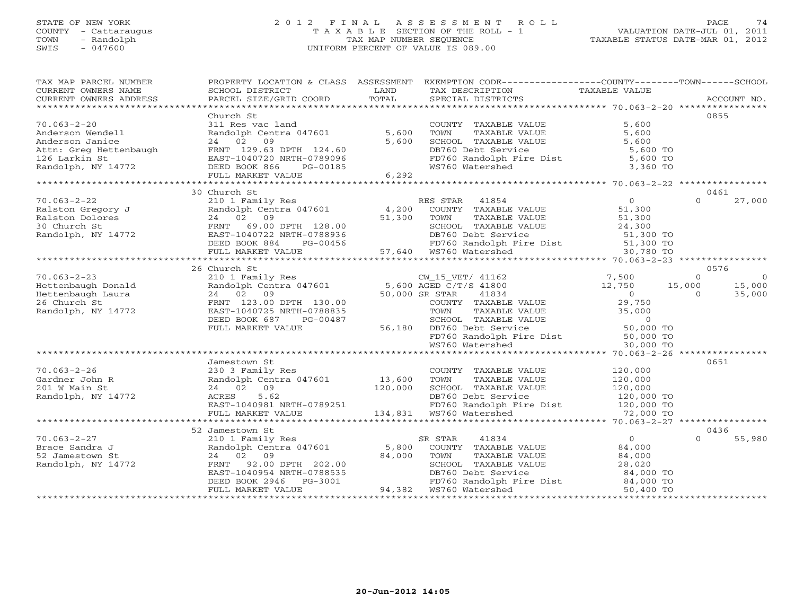# STATE OF NEW YORK 2 0 1 2 F I N A L A S S E S S M E N T R O L L PAGE 74 COUNTY - Cattaraugus T A X A B L E SECTION OF THE ROLL - 1 VALUATION DATE-JUL 01, 2011 TOWN - Randolph TAX MAP NUMBER SEQUENCE TAXABLE STATUS DATE-MAR 01, 2012 SWIS - 047600 UNIFORM PERCENT OF VALUE IS 089.00

| TAX MAP PARCEL NUMBER                                                                                                                                                                                                                                                                                                                                     | PROPERTY LOCATION & CLASS ASSESSMENT EXEMPTION CODE---------------COUNTY-------TOWN------SCHOOL |                                                                                                                                                                                                                                                                                                                                                                                                                                        |                    |
|-----------------------------------------------------------------------------------------------------------------------------------------------------------------------------------------------------------------------------------------------------------------------------------------------------------------------------------------------------------|-------------------------------------------------------------------------------------------------|----------------------------------------------------------------------------------------------------------------------------------------------------------------------------------------------------------------------------------------------------------------------------------------------------------------------------------------------------------------------------------------------------------------------------------------|--------------------|
| CURRENT OWNERS NAME                                                                                                                                                                                                                                                                                                                                       | SCHOOL DISTRICT LAND<br>PARCEL SIZE/GRID COORD TOTAL                                            |                                                                                                                                                                                                                                                                                                                                                                                                                                        |                    |
| CURRENT OWNERS ADDRESS                                                                                                                                                                                                                                                                                                                                    |                                                                                                 | SPECIAL DISTRICTS                                                                                                                                                                                                                                                                                                                                                                                                                      | ACCOUNT NO.        |
|                                                                                                                                                                                                                                                                                                                                                           |                                                                                                 |                                                                                                                                                                                                                                                                                                                                                                                                                                        |                    |
|                                                                                                                                                                                                                                                                                                                                                           | Church St                                                                                       |                                                                                                                                                                                                                                                                                                                                                                                                                                        | 0855               |
|                                                                                                                                                                                                                                                                                                                                                           |                                                                                                 |                                                                                                                                                                                                                                                                                                                                                                                                                                        |                    |
|                                                                                                                                                                                                                                                                                                                                                           |                                                                                                 |                                                                                                                                                                                                                                                                                                                                                                                                                                        |                    |
|                                                                                                                                                                                                                                                                                                                                                           |                                                                                                 |                                                                                                                                                                                                                                                                                                                                                                                                                                        |                    |
|                                                                                                                                                                                                                                                                                                                                                           |                                                                                                 |                                                                                                                                                                                                                                                                                                                                                                                                                                        |                    |
|                                                                                                                                                                                                                                                                                                                                                           |                                                                                                 |                                                                                                                                                                                                                                                                                                                                                                                                                                        |                    |
|                                                                                                                                                                                                                                                                                                                                                           |                                                                                                 |                                                                                                                                                                                                                                                                                                                                                                                                                                        |                    |
| 70.063-2-20<br>Anderson Wendell<br>Anderson Janice 24 02 09<br>Attn: Greg Hettenbaugh FRNT 129.63 DPTH 124.60<br>126 Larkin St EAST-1040720 NRTH-0789096<br>Randolph, NY 14772 DEED BOOK 866 PG-00185<br>FRNT 129.63 DPTH 124.60<br>EED BOOK                                                                                                              |                                                                                                 | COUNTY TAXABLE VALUE<br>TOWN TAXABLE VALUE<br>S.600<br>SCHOOL TAXABLE VALUE<br>DB760 Debt Service<br>FD760 Randolph Fire Dist<br>WS760 Watershed<br>3,360 TO                                                                                                                                                                                                                                                                           |                    |
|                                                                                                                                                                                                                                                                                                                                                           |                                                                                                 |                                                                                                                                                                                                                                                                                                                                                                                                                                        |                    |
|                                                                                                                                                                                                                                                                                                                                                           | 30 Church St                                                                                    |                                                                                                                                                                                                                                                                                                                                                                                                                                        | 0461               |
|                                                                                                                                                                                                                                                                                                                                                           |                                                                                                 |                                                                                                                                                                                                                                                                                                                                                                                                                                        |                    |
|                                                                                                                                                                                                                                                                                                                                                           |                                                                                                 |                                                                                                                                                                                                                                                                                                                                                                                                                                        |                    |
|                                                                                                                                                                                                                                                                                                                                                           |                                                                                                 |                                                                                                                                                                                                                                                                                                                                                                                                                                        |                    |
|                                                                                                                                                                                                                                                                                                                                                           |                                                                                                 |                                                                                                                                                                                                                                                                                                                                                                                                                                        |                    |
|                                                                                                                                                                                                                                                                                                                                                           |                                                                                                 |                                                                                                                                                                                                                                                                                                                                                                                                                                        |                    |
|                                                                                                                                                                                                                                                                                                                                                           |                                                                                                 |                                                                                                                                                                                                                                                                                                                                                                                                                                        |                    |
|                                                                                                                                                                                                                                                                                                                                                           |                                                                                                 |                                                                                                                                                                                                                                                                                                                                                                                                                                        |                    |
|                                                                                                                                                                                                                                                                                                                                                           |                                                                                                 |                                                                                                                                                                                                                                                                                                                                                                                                                                        |                    |
|                                                                                                                                                                                                                                                                                                                                                           |                                                                                                 |                                                                                                                                                                                                                                                                                                                                                                                                                                        |                    |
|                                                                                                                                                                                                                                                                                                                                                           | 26 Church St                                                                                    |                                                                                                                                                                                                                                                                                                                                                                                                                                        | 0576               |
|                                                                                                                                                                                                                                                                                                                                                           |                                                                                                 |                                                                                                                                                                                                                                                                                                                                                                                                                                        |                    |
|                                                                                                                                                                                                                                                                                                                                                           |                                                                                                 |                                                                                                                                                                                                                                                                                                                                                                                                                                        |                    |
|                                                                                                                                                                                                                                                                                                                                                           |                                                                                                 |                                                                                                                                                                                                                                                                                                                                                                                                                                        |                    |
|                                                                                                                                                                                                                                                                                                                                                           |                                                                                                 |                                                                                                                                                                                                                                                                                                                                                                                                                                        |                    |
|                                                                                                                                                                                                                                                                                                                                                           |                                                                                                 |                                                                                                                                                                                                                                                                                                                                                                                                                                        |                    |
|                                                                                                                                                                                                                                                                                                                                                           |                                                                                                 |                                                                                                                                                                                                                                                                                                                                                                                                                                        |                    |
|                                                                                                                                                                                                                                                                                                                                                           |                                                                                                 |                                                                                                                                                                                                                                                                                                                                                                                                                                        |                    |
|                                                                                                                                                                                                                                                                                                                                                           |                                                                                                 |                                                                                                                                                                                                                                                                                                                                                                                                                                        |                    |
|                                                                                                                                                                                                                                                                                                                                                           |                                                                                                 |                                                                                                                                                                                                                                                                                                                                                                                                                                        |                    |
|                                                                                                                                                                                                                                                                                                                                                           |                                                                                                 |                                                                                                                                                                                                                                                                                                                                                                                                                                        |                    |
|                                                                                                                                                                                                                                                                                                                                                           |                                                                                                 | $\begin{array}{cccccc} 70.063-2-23 & 26 \text{ Church Set} & 05/6 & 05/6 \\ \text{Hettenbaugh Donald} & \text{RandaO1ph Central} & 2 & 2 & 0 \\ \text{Hettenbaugh Donald} & \text{RandaO1ph Central} & 2 & 0 \\ \text{Hettenbaugh Laura} & 24 & 0 & 0 \\ \text{Hettenbaugh Laura} & 24 & 0 & 0 \\ \text{Hettenbaugh Laura} & 24 & 0 & 0 \\ \text{Hettenbaugh Laura} & 2 & 09 \\ \text{BED BON K} & 2 & 09 \\ \text{RadaO1ph, NY 14772$ |                    |
|                                                                                                                                                                                                                                                                                                                                                           | Jamestown St                                                                                    |                                                                                                                                                                                                                                                                                                                                                                                                                                        | 0651               |
|                                                                                                                                                                                                                                                                                                                                                           |                                                                                                 |                                                                                                                                                                                                                                                                                                                                                                                                                                        |                    |
|                                                                                                                                                                                                                                                                                                                                                           |                                                                                                 |                                                                                                                                                                                                                                                                                                                                                                                                                                        |                    |
|                                                                                                                                                                                                                                                                                                                                                           |                                                                                                 |                                                                                                                                                                                                                                                                                                                                                                                                                                        |                    |
|                                                                                                                                                                                                                                                                                                                                                           |                                                                                                 |                                                                                                                                                                                                                                                                                                                                                                                                                                        |                    |
|                                                                                                                                                                                                                                                                                                                                                           |                                                                                                 |                                                                                                                                                                                                                                                                                                                                                                                                                                        |                    |
|                                                                                                                                                                                                                                                                                                                                                           |                                                                                                 |                                                                                                                                                                                                                                                                                                                                                                                                                                        |                    |
| 70.063-2-26<br>Gardner John R 230 3 Family Res COUNTY TAXABLE VALUE 120,000<br>201 W Main St 24 02 09 120,000 SCHOOL TAXABLE VALUE 120,000<br>Randolph, NY 14772 ACRES 5.62 DB760 Debt Service 120,000 TO<br>EAST-1040981 NRTH-078925                                                                                                                     |                                                                                                 |                                                                                                                                                                                                                                                                                                                                                                                                                                        |                    |
|                                                                                                                                                                                                                                                                                                                                                           | 52 Jamestown St                                                                                 |                                                                                                                                                                                                                                                                                                                                                                                                                                        | 0436               |
|                                                                                                                                                                                                                                                                                                                                                           |                                                                                                 |                                                                                                                                                                                                                                                                                                                                                                                                                                        | 55,980<br>$\Omega$ |
|                                                                                                                                                                                                                                                                                                                                                           |                                                                                                 |                                                                                                                                                                                                                                                                                                                                                                                                                                        |                    |
|                                                                                                                                                                                                                                                                                                                                                           |                                                                                                 |                                                                                                                                                                                                                                                                                                                                                                                                                                        |                    |
|                                                                                                                                                                                                                                                                                                                                                           |                                                                                                 |                                                                                                                                                                                                                                                                                                                                                                                                                                        |                    |
|                                                                                                                                                                                                                                                                                                                                                           |                                                                                                 |                                                                                                                                                                                                                                                                                                                                                                                                                                        |                    |
|                                                                                                                                                                                                                                                                                                                                                           |                                                                                                 |                                                                                                                                                                                                                                                                                                                                                                                                                                        |                    |
| $\begin{array}{cccccc} 70.063-2-27 & 2101\text{ Family Res} & \text{SR STAR} & 41834 & 0\\ 2101\text{ Family Res} & \text{Random St} & 24.000\\ 52\text{ Jamestown St} & 24.02 & 09\\ 84,000 & \text{FINR} & 92.00\\ 84,000 & \text{SVD R} & 81.000\\ 84,000 & \text{SVD R} & 84.000\\ 84,000 & \text{SVD R} & 84.000\\ 84,000 & \text{SVD R} & 84.000\\$ |                                                                                                 |                                                                                                                                                                                                                                                                                                                                                                                                                                        |                    |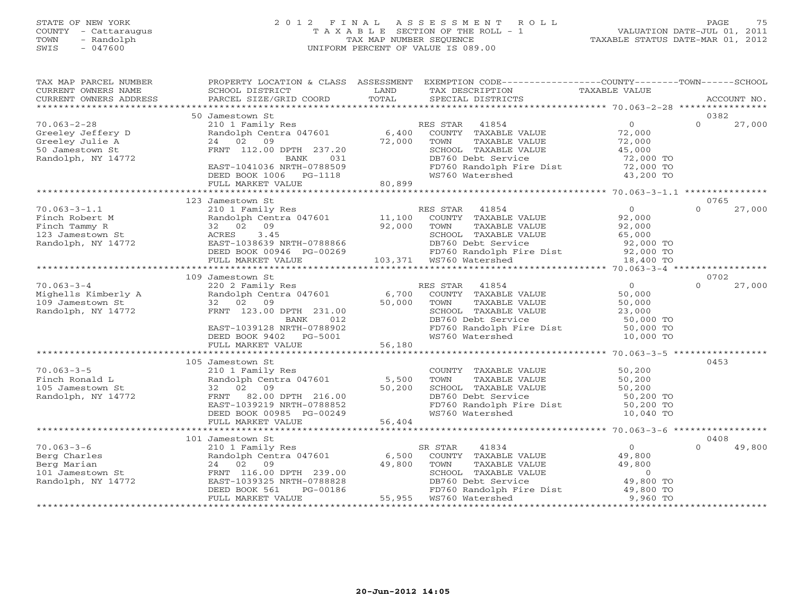#### STATE OF NEW YORK 2 0 1 2 F I N A L A S S E S S M E N T R O L L PAGE 75 COUNTY - Cattaraugus T A X A B L E SECTION OF THE ROLL - 1 VALUATION DATE-JUL 01, 2011 TOWN - Randolph TAX MAP NUMBER SEQUENCE TAXABLE STATUS DATE-MAR 01, 2012 SWIS - 047600 UNIFORM PERCENT OF VALUE IS 089.00

| TAX MAP PARCEL NUMBER<br>CURRENT OWNERS NAME<br>CURRENT OWNERS ADDRESS                             | SCHOOL DISTRICT<br>PARCEL SIZE/GRID COORD                                                                                                                                          | LAND<br>TOTAL             | PROPERTY LOCATION & CLASS ASSESSMENT EXEMPTION CODE---------------COUNTY-------TOWN------SCHOOL<br>TAX DESCRIPTION<br>SPECIAL DISTRICTS                               | TAXABLE VALUE                                                                              | ACCOUNT NO.        |
|----------------------------------------------------------------------------------------------------|------------------------------------------------------------------------------------------------------------------------------------------------------------------------------------|---------------------------|-----------------------------------------------------------------------------------------------------------------------------------------------------------------------|--------------------------------------------------------------------------------------------|--------------------|
|                                                                                                    |                                                                                                                                                                                    |                           |                                                                                                                                                                       |                                                                                            |                    |
|                                                                                                    | 50 Jamestown St                                                                                                                                                                    |                           |                                                                                                                                                                       |                                                                                            | 0382               |
| $70.063 - 2 - 28$<br>Greeley Jeffery D<br>Greeley Julie A<br>50 Jamestown St<br>Randolph, NY 14772 | 210 1 Family Res<br>Randolph Centra 047601<br>24 02 09<br>FRNT 112.00 DPTH 237.20<br>BANK<br>031<br>EAST-1041036 NRTH-0788509<br>DEED BOOK 1006 PG-1118                            | 6,400<br>72,000           | RES STAR 41854<br>COUNTY TAXABLE VALUE<br>TOWN<br>TAXABLE VALUE<br>SCHOOL TAXABLE VALUE<br>DB760 Debt Service<br>FD760 Randolph Fire Dist<br>WC760 Watershed          | $\overline{0}$<br>72,000<br>72,000<br>45,000<br>72,000 TO<br>72,000 TO<br>43,200 TO        | 27,000<br>$\Omega$ |
|                                                                                                    | FULL MARKET VALUE<br>************************                                                                                                                                      | 80,899                    |                                                                                                                                                                       |                                                                                            |                    |
|                                                                                                    | 123 Jamestown St                                                                                                                                                                   |                           |                                                                                                                                                                       |                                                                                            | 0765               |
| $70.063 - 3 - 1.1$<br>Finch Robert M<br>Finch Tammy R<br>123 Jamestown St<br>Randolph, NY 14772    | 210 1 Family Res<br>Randolph Centra 047601<br>32 02 09<br>3.45<br>ACRES<br>EAST-1038639 NRTH-0788866<br>DEED BOOK 00946 PG-00269                                                   | 11,100<br>92,000          | RES STAR<br>41854<br>COUNTY TAXABLE VALUE<br>TOWN<br>TAXABLE VALUE<br>SCHOOL TAXABLE VALUE<br>DB760 Debt Service<br>FD760 Randolph Fire Dist                          | $\Omega$<br>92,000<br>92,000<br>65,000<br>92,000 TO<br>92,000 TO                           | $\Omega$<br>27,000 |
|                                                                                                    | FULL MARKET VALUE                                                                                                                                                                  |                           |                                                                                                                                                                       | 18,400 TO                                                                                  |                    |
|                                                                                                    | 109 Jamestown St                                                                                                                                                                   |                           |                                                                                                                                                                       |                                                                                            | 0702               |
| $70.063 - 3 - 4$<br>Mighells Kimberly A<br>109 Jamestown St<br>Randolph, NY 14772                  | 220 2 Family Res<br>Randolph Centra 047601<br>32 02 09<br>FRNT 123.00 DPTH 231.00<br>BANK<br>012<br>EAST-1039128 NRTH-0788902<br>DEED BOOK 9402 PG-5001                            | 50,000                    | RES STAR<br>41854<br>6,700 COUNTY TAXABLE VALUE<br>TOWN<br>TAXABLE VALUE<br>SCHOOL TAXABLE VALUE<br>DB760 Debt Service<br>FD760 Randolph Fire Dist<br>WS760 Watershed | 0<br>50,000<br>50,000<br>23,000<br>50,000 TO<br>50,000 TO<br>10,000 TO                     | 27,000<br>$\Omega$ |
|                                                                                                    | FULL MARKET VALUE                                                                                                                                                                  | 56,180                    |                                                                                                                                                                       |                                                                                            |                    |
|                                                                                                    | ***********************                                                                                                                                                            |                           |                                                                                                                                                                       | ************************* 70.063-3-5 **                                                    |                    |
| $70.063 - 3 - 5$<br>Finch Ronald L<br>105 Jamestown St<br>Randolph, NY 14772                       | 105 Jamestown St<br>210 1 Family Res<br>Randolph Centra 047601<br>32 02 09<br>FRNT 82.00 DPTH 216.00<br>EAST-1039219 NRTH-0788852<br>DEED BOOK 00985 PG-00249<br>FULL MARKET VALUE | 5,500<br>50,200<br>56,404 | COUNTY TAXABLE VALUE<br>TOWN<br>TAXABLE VALUE<br>SCHOOL TAXABLE VALUE<br>DB760 Debt Service<br>FD760 Randolph Fire Dist<br>WS760 Watershed                            | 50,200<br>50,200<br>50,200<br>50,200 TO<br>50,200 TO<br>10,040 TO                          | 0453               |
|                                                                                                    | *****************************                                                                                                                                                      |                           |                                                                                                                                                                       |                                                                                            |                    |
|                                                                                                    | 101 Jamestown St                                                                                                                                                                   |                           |                                                                                                                                                                       |                                                                                            | 0408               |
| $70.063 - 3 - 6$<br>Berg Charles<br>Berg Marian<br>101 Jamestown St<br>Randolph, NY 14772          | 210 1 Family Res<br>Randolph Centra 047601<br>24 02 09<br>FRNT 116.00 DPTH 239.00<br>EAST-1039325 NRTH-0788828<br>DEED BOOK 561<br>PG-00186<br>FULL MARKET VALUE                   | 6,500<br>49,800<br>55,955 | 41834<br>SR STAR<br>COUNTY TAXABLE VALUE<br>TOWN<br>TAXABLE VALUE<br>SCHOOL TAXABLE VALUE<br>DB760 Debt Service<br>FD760 Randolph Fire Dist<br>WS760 Watershed        | $\overline{0}$<br>49,800<br>49,800<br>$\overline{0}$<br>49,800 TO<br>49,800 TO<br>9,960 TO | 49,800<br>$\cap$   |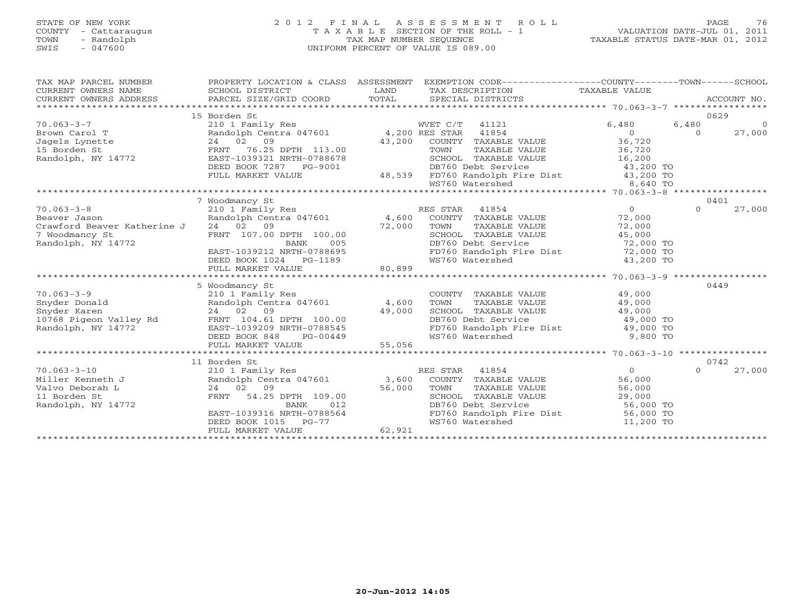# STATE OF NEW YORK 2 0 1 2 F I N A L A S S E S S M E N T R O L L PAGE 76 COUNTY - Cattaraugus T A X A B L E SECTION OF THE ROLL - 1 VALUATION DATE-JUL 01, 2011 TOWN - Randolph TAX MAP NUMBER SEQUENCE TAXABLE STATUS DATE-MAR 01, 2012 SWIS - 047600 UNIFORM PERCENT OF VALUE IS 089.00

| TAX MAP PARCEL NUMBER                                                                                                                                                       |                                                                                 |        | PROPERTY LOCATION & CLASS ASSESSMENT EXEMPTION CODE---------------COUNTY-------TOWN------SCHOOL                                                     |                                       |          |                |
|-----------------------------------------------------------------------------------------------------------------------------------------------------------------------------|---------------------------------------------------------------------------------|--------|-----------------------------------------------------------------------------------------------------------------------------------------------------|---------------------------------------|----------|----------------|
|                                                                                                                                                                             | 15 Borden St                                                                    |        |                                                                                                                                                     |                                       | 0629     |                |
| $70.063 - 3 - 7$                                                                                                                                                            | 210 1 Family Res                                                                |        | WVET C/T 41121                                                                                                                                      | 6,480                                 | 6,480    | $\overline{0}$ |
| 10.000-0-1<br>Brown Carol T<br>Dagels Lynette 24 02 09<br>15 Borden St 16.25 DPTH 113.00<br>Randolph, NY 14772 EAST-1039321 NRTH-0788678                                    | Randolph Centra 047601 4,200 RES STAR 41854                                     |        |                                                                                                                                                     | $\overline{0}$                        | $\circ$  | 27,000         |
|                                                                                                                                                                             |                                                                                 | 43,200 | COUNTY TAXABLE VALUE 36,720                                                                                                                         |                                       |          |                |
|                                                                                                                                                                             |                                                                                 |        |                                                                                                                                                     |                                       |          |                |
|                                                                                                                                                                             |                                                                                 |        |                                                                                                                                                     |                                       |          |                |
|                                                                                                                                                                             | DEED BOOK 7287 PG-9001                                                          |        | 3.00 TOWN TAXABLE VALUE 36,720<br>8678 SCHOOL TAXABLE VALUE 16,200<br>001 DB760 Debt Service 43,200 TO<br>48,539 FD760 Randolph Fire Dist 43,200 TO |                                       |          |                |
|                                                                                                                                                                             | FULL MARKET VALUE                                                               |        |                                                                                                                                                     |                                       |          |                |
|                                                                                                                                                                             |                                                                                 |        | WS760 Watershed                                                                                                                                     | 8,640 TO                              |          |                |
|                                                                                                                                                                             |                                                                                 |        |                                                                                                                                                     |                                       |          |                |
|                                                                                                                                                                             | 7 Woodmancy St                                                                  |        |                                                                                                                                                     |                                       | 0401     |                |
| $70.063 - 3 - 8$                                                                                                                                                            |                                                                                 |        |                                                                                                                                                     | $\overline{0}$                        | $\Omega$ | 27,000         |
|                                                                                                                                                                             |                                                                                 |        |                                                                                                                                                     | 72,000                                |          |                |
| Crawford Beaver Katherine J 24 02 09                                                                                                                                        |                                                                                 | 72,000 |                                                                                                                                                     | 72,000                                |          |                |
| 7 Woodmancy St                                                                                                                                                              | FRNT 107.00 DPTH 100.00                                                         |        | SCHOOL TAXABLE VALUE                                                                                                                                | 45,000                                |          |                |
| Randolph, NY 14772                                                                                                                                                          |                                                                                 |        |                                                                                                                                                     |                                       |          |                |
|                                                                                                                                                                             |                                                                                 |        |                                                                                                                                                     |                                       |          |                |
|                                                                                                                                                                             |                                                                                 |        | DB760 Debt Service 72,000 TO<br>FD760 Randolph Fire Dist 72,000 TO<br>WS760 Watershed 43,200 TO                                                     |                                       |          |                |
|                                                                                                                                                                             | EAST-1039212 NRTH-0788695<br>DEED BOOK 1024 PG-1189<br>FULL MARKET VALUE 80,899 |        |                                                                                                                                                     |                                       |          |                |
|                                                                                                                                                                             |                                                                                 |        |                                                                                                                                                     |                                       |          |                |
|                                                                                                                                                                             | 5 Woodmancy St                                                                  |        |                                                                                                                                                     |                                       | 0449     |                |
| $70.063 - 3 - 9$                                                                                                                                                            | 210 1 Family Res                                                                |        | COUNTY TAXABLE VALUE 49,000                                                                                                                         |                                       |          |                |
| Shyder Donald<br>Shyder Raren 24 02 09 49,000<br>10768 Pigeon Valley Rd FRNT 104.61 DPTH 100.00<br>Randolph, NY 14772 EAST-1039209 NRTH-0788545                             |                                                                                 |        | TOWN<br>TAXABLE VALUE 49,000                                                                                                                        |                                       |          |                |
|                                                                                                                                                                             |                                                                                 |        | SCHOOL TAXABLE VALUE 49,000<br>DB760 Debt Service 49,000 TO                                                                                         |                                       |          |                |
|                                                                                                                                                                             |                                                                                 |        |                                                                                                                                                     |                                       |          |                |
|                                                                                                                                                                             |                                                                                 |        | FD760 Randolph Fire Dist 49,000 TO                                                                                                                  |                                       |          |                |
|                                                                                                                                                                             | DEED BOOK 848<br>$PG-00449$<br>LUE 55,056                                       |        | WS760 Watershed                                                                                                                                     | 9,800 TO                              |          |                |
|                                                                                                                                                                             | FULL MARKET VALUE                                                               |        |                                                                                                                                                     |                                       |          |                |
|                                                                                                                                                                             | 11 Borden St                                                                    |        |                                                                                                                                                     |                                       | 0742     |                |
| Miller Kenneth J<br>Willer Kenneth J<br>Valvo Deborah L<br>11 Borden St<br>11 Borden St<br>Randolph, NY 14772<br>Randolph, NY 14772<br>CRANDER ST<br>RANT 54.25 DPTH 109.00 |                                                                                 |        |                                                                                                                                                     | $\overline{O}$                        | $\Omega$ | 27,000         |
|                                                                                                                                                                             |                                                                                 |        | RES STAR 41854<br>3,600 COUNTY TAXABLE VALUE<br>56,000 TOWN TAXABLE VALUE                                                                           | 56,000                                |          |                |
|                                                                                                                                                                             |                                                                                 |        |                                                                                                                                                     | 56,000                                |          |                |
|                                                                                                                                                                             |                                                                                 |        | SCHOOL TAXABLE VALUE                                                                                                                                | 29,000                                |          |                |
|                                                                                                                                                                             |                                                                                 |        | DB760 Debt Service                                                                                                                                  | 56,000 TO                             |          |                |
|                                                                                                                                                                             | EAST-1039316 NRTH-0788564                                                       |        |                                                                                                                                                     |                                       |          |                |
|                                                                                                                                                                             | DEED BOOK 1015 PG-77                                                            |        | FD760 Randolph Fire Dist<br>WS760 Watershed<br>WS760 Watershed                                                                                      | 56,000 TO<br>11 200 TO<br>11,200 TO   |          |                |
|                                                                                                                                                                             | FULL MARKET VALUE                                                               | 62,921 |                                                                                                                                                     |                                       |          |                |
|                                                                                                                                                                             |                                                                                 |        |                                                                                                                                                     | ************************************* |          |                |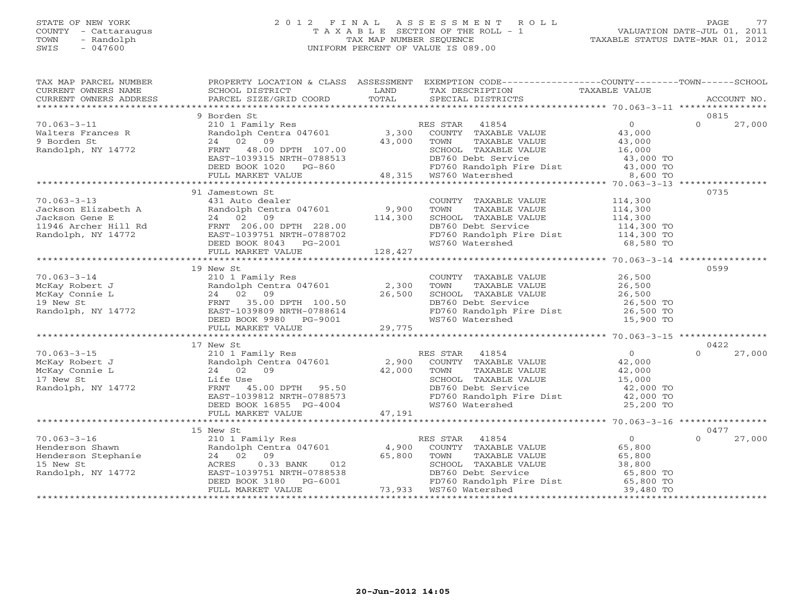# STATE OF NEW YORK 2 0 1 2 F I N A L A S S E S S M E N T R O L L PAGE 77 COUNTY - Cattaraugus T A X A B L E SECTION OF THE ROLL - 1 VALUATION DATE-JUL 01, 2011 TOWN - Randolph TAX MAP NUMBER SEQUENCE TAXABLE STATUS DATE-MAR 01, 2012 SWIS - 047600 UNIFORM PERCENT OF VALUE IS 089.00

| TAX MAP PARCEL NUMBER                                                                                                                                                                                                                                       |                                                                                                           |        | PROPERTY LOCATION & CLASS ASSESSMENT EXEMPTION CODE---------------COUNTY-------TOWN------SCHOOL                                                                                                                                                                                                                                                                                                                                                                                                                                   |                                                         |                            |
|-------------------------------------------------------------------------------------------------------------------------------------------------------------------------------------------------------------------------------------------------------------|-----------------------------------------------------------------------------------------------------------|--------|-----------------------------------------------------------------------------------------------------------------------------------------------------------------------------------------------------------------------------------------------------------------------------------------------------------------------------------------------------------------------------------------------------------------------------------------------------------------------------------------------------------------------------------|---------------------------------------------------------|----------------------------|
|                                                                                                                                                                                                                                                             |                                                                                                           |        |                                                                                                                                                                                                                                                                                                                                                                                                                                                                                                                                   |                                                         |                            |
| $70.063 - 3 - 11$<br>Walters Frances R<br>9 Borden St<br>Randolph, NY 14772                                                                                                                                                                                 | 9 Borden St                                                                                               |        | $\begin{tabular}{lcccc} \texttt{1.01} & \texttt{1.02} & \texttt{1.03} & \texttt{1.04} & \texttt{1.05} & \texttt{1.05} & \texttt{1.05} & \texttt{1.05} & \texttt{1.05} & \texttt{1.05} & \texttt{1.05} & \texttt{1.05} & \texttt{1.05} & \texttt{1.05} & \texttt{1.05} & \texttt{1.05} & \texttt{1.05} & \texttt{1.05} & \texttt{1.05} & \texttt{1.05} & \texttt{1.05} & \$                                                                                                                                                        |                                                         | 0815<br>$\Omega$<br>27,000 |
|                                                                                                                                                                                                                                                             |                                                                                                           |        |                                                                                                                                                                                                                                                                                                                                                                                                                                                                                                                                   |                                                         |                            |
|                                                                                                                                                                                                                                                             |                                                                                                           |        |                                                                                                                                                                                                                                                                                                                                                                                                                                                                                                                                   |                                                         |                            |
| $70.063 - 3 - 13$                                                                                                                                                                                                                                           | 91 Jamestown St<br>431 Auto dealer<br>431 Auto dealer<br>Randolph Centra 047601 9,900<br>24 02 09 114,300 |        | COUNTY TAXABLE VALUE $114,300$<br>TOWN TAXABLE VALUE $114,300$<br>SCHOOL TAXABLE VALUE $114,300$<br>DB760 Debt Service $114,300$<br>FD760 Randolph Fire Dist $114,300$ TO<br>WS760 Watershed 68,580 TO                                                                                                                                                                                                                                                                                                                            |                                                         | 0735                       |
|                                                                                                                                                                                                                                                             |                                                                                                           |        |                                                                                                                                                                                                                                                                                                                                                                                                                                                                                                                                   |                                                         |                            |
| 70.063-3-14<br>McKay Robert J<br>McKay Robert J<br>McKay Robert J<br>24001 Family Res<br>2402 021 Family Res<br>2402 021 Family Res<br>26,500<br>26,500<br>26,500 TOWNT<br>272 26,500<br>26,500<br>28001 26,500<br>28000 PETH 100.50<br>26,500<br>28000 PET | 19 New St                                                                                                 |        |                                                                                                                                                                                                                                                                                                                                                                                                                                                                                                                                   |                                                         | 0599                       |
|                                                                                                                                                                                                                                                             |                                                                                                           |        |                                                                                                                                                                                                                                                                                                                                                                                                                                                                                                                                   |                                                         |                            |
| 70.063-3-15<br>McKay Robert J<br>McKay Robert J<br>McKay Connie L<br>24 02 09<br>17 New St<br>Randolph, NY 14772<br>ERS STAR 41854<br>2,900 COUNTY TAXABLE VALUE<br>42,000<br>42,000 TOWN TAXABLE VALUE<br>5,000<br>SCHOOL TAXABLE VALUE<br>24 02 09<br>24  | 17 New St<br>DEED BOOK 16855 PG-4004<br>FULL MARKET VALUE                                                 | 47,191 | DB760 Debt Service<br>FD760 Randolph Fire Dist (2,000 TO<br>WS760 Watershed (25,200 TO                                                                                                                                                                                                                                                                                                                                                                                                                                            |                                                         | 0422<br>$\Omega$<br>27,000 |
|                                                                                                                                                                                                                                                             |                                                                                                           |        |                                                                                                                                                                                                                                                                                                                                                                                                                                                                                                                                   |                                                         |                            |
| $70.063 - 3 - 16$                                                                                                                                                                                                                                           | 15 New St                                                                                                 |        |                                                                                                                                                                                                                                                                                                                                                                                                                                                                                                                                   |                                                         | 0477<br>$\Omega$<br>27,000 |
| Randolph, NY 14772                                                                                                                                                                                                                                          |                                                                                                           |        | New St<br>210 1 Family Res<br>Randolph Centra 047601 4,900 COUNTY TAXABLE VALUE<br>24 02 09 65,800 TOWN TAXABLE VALUE<br>ACRES 0.33 BANK 012 SCHOOL TAXABLE VALUE<br>EAST-1039751 NRTH-0788538 DB760 Debt Service<br>DEED BOOK 3180 PG-600<br>$\begin{tabular}{ll} \texttt{TAXABLE} & \texttt{VALUE} & \texttt{65,800} \\ \texttt{TAXABLE} & \texttt{VALUE} & \texttt{38,800} \\ \end{tabular}$<br>SCHOOL TAXABLE VALUE 38,800<br>DB760 Debt Service 65,800 TO<br>FD760 Randolph Fire Dist 65,800 TO<br>WS760 Watershed 39,480 TO | $\begin{array}{c} 0 \\ 65,800 \end{array}$<br>39,480 TO |                            |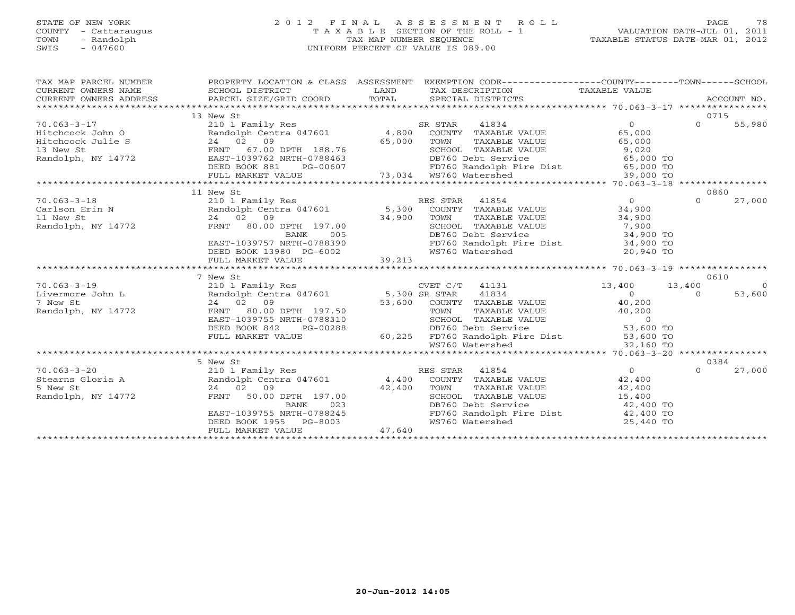# STATE OF NEW YORK 2 0 1 2 F I N A L A S S E S S M E N T R O L L PAGE 78 COUNTY - Cattaraugus T A X A B L E SECTION OF THE ROLL - 1 VALUATION DATE-JUL 01, 2011 TOWN - Randolph TAX MAP NUMBER SEQUENCE TAXABLE STATUS DATE-MAR 01, 2012 SWIS - 047600 UNIFORM PERCENT OF VALUE IS 089.00

| TAX MAP PARCEL NUMBER<br>CURRENT OWNERS NAME<br>CURRENT OWNERS ADDRESS                                                                                                                                                                                         | PROPERTY LOCATION & CLASS ASSESSMENT                                                                                                                                                                                                                                                                                         |        | EXEMPTION CODE-----------------COUNTY-------TOWN------SCHOOL                                                                   |                     |          |            |
|----------------------------------------------------------------------------------------------------------------------------------------------------------------------------------------------------------------------------------------------------------------|------------------------------------------------------------------------------------------------------------------------------------------------------------------------------------------------------------------------------------------------------------------------------------------------------------------------------|--------|--------------------------------------------------------------------------------------------------------------------------------|---------------------|----------|------------|
|                                                                                                                                                                                                                                                                | 13 New St                                                                                                                                                                                                                                                                                                                    |        |                                                                                                                                |                     | 0715     |            |
|                                                                                                                                                                                                                                                                |                                                                                                                                                                                                                                                                                                                              |        |                                                                                                                                |                     |          |            |
|                                                                                                                                                                                                                                                                |                                                                                                                                                                                                                                                                                                                              |        |                                                                                                                                |                     |          |            |
|                                                                                                                                                                                                                                                                |                                                                                                                                                                                                                                                                                                                              |        |                                                                                                                                |                     |          |            |
|                                                                                                                                                                                                                                                                |                                                                                                                                                                                                                                                                                                                              |        |                                                                                                                                |                     |          |            |
|                                                                                                                                                                                                                                                                |                                                                                                                                                                                                                                                                                                                              |        |                                                                                                                                |                     |          |            |
|                                                                                                                                                                                                                                                                |                                                                                                                                                                                                                                                                                                                              |        |                                                                                                                                |                     |          |            |
|                                                                                                                                                                                                                                                                |                                                                                                                                                                                                                                                                                                                              |        |                                                                                                                                |                     |          |            |
|                                                                                                                                                                                                                                                                |                                                                                                                                                                                                                                                                                                                              |        |                                                                                                                                |                     |          |            |
|                                                                                                                                                                                                                                                                | 11 New St                                                                                                                                                                                                                                                                                                                    |        |                                                                                                                                |                     | 0860     |            |
| 70.063-3-18<br>Carlson Erin N<br>210 1 Family Res<br>210 1 Family Res<br>210 1 Family Res<br>210 1 Family Res<br>210 1 Family Res<br>210 1 Family Res<br>24 02 09<br>24 02 09<br>24 02 09<br>24 02 09<br>24 02 09<br>24 02 09<br>24 02 09<br>24 02 09<br>24 02 |                                                                                                                                                                                                                                                                                                                              |        |                                                                                                                                |                     | $\Omega$ | 27,000     |
|                                                                                                                                                                                                                                                                |                                                                                                                                                                                                                                                                                                                              |        |                                                                                                                                |                     |          |            |
|                                                                                                                                                                                                                                                                |                                                                                                                                                                                                                                                                                                                              |        |                                                                                                                                |                     |          |            |
|                                                                                                                                                                                                                                                                |                                                                                                                                                                                                                                                                                                                              |        | TOWN TAXABLE VALUE 34,900<br>SCHOOL TAXABLE VALUE 34,900<br>DB760 Debt Service 34,900 TO<br>FD760 Randolph Fire Dist 34,900 TO |                     |          |            |
|                                                                                                                                                                                                                                                                |                                                                                                                                                                                                                                                                                                                              |        |                                                                                                                                |                     |          |            |
|                                                                                                                                                                                                                                                                |                                                                                                                                                                                                                                                                                                                              |        |                                                                                                                                |                     |          |            |
|                                                                                                                                                                                                                                                                | 24 02 09<br>PRNT 80.00 DPTH 197.00<br>BANK 005<br>EAST-1039757 NRTH-0788390<br>DEED BOOK 13980 PG-6002<br>FULL MARKET VALUE<br>FULL MARKET VALUE                                                                                                                                                                             |        | WS760 Watershed                                                                                                                | 20,940 TO           |          |            |
|                                                                                                                                                                                                                                                                |                                                                                                                                                                                                                                                                                                                              |        |                                                                                                                                |                     |          |            |
|                                                                                                                                                                                                                                                                | $\begin{tabular}{l c c c c c} \multicolumn{3}{c}{\text{\small\bf 7~N}} & $\mathsf{New~ST} & $\mathsf{CVET} & $\mathsf{C/T}$ & $41131$ & $13,400$ & $13,400$ & $13,400$ & $13,400$ & $13,400$ & $13,400$ & $13,400$ & $13,400$ & $13,400$ & $13,400$ & $13,400$ & $13,400$ & $13,400$ & $13,400$ & $13,400$ & $13,400$ & $13$ |        |                                                                                                                                |                     | 0610     |            |
| $70.063 - 3 - 19$                                                                                                                                                                                                                                              |                                                                                                                                                                                                                                                                                                                              |        |                                                                                                                                |                     |          | $\bigcirc$ |
| Livermore John L                                                                                                                                                                                                                                               |                                                                                                                                                                                                                                                                                                                              |        |                                                                                                                                | $13,400$ $13,400$ 0 |          | 53,600     |
| 7 New St                                                                                                                                                                                                                                                       |                                                                                                                                                                                                                                                                                                                              |        |                                                                                                                                |                     |          |            |
| Randolph, NY 14772                                                                                                                                                                                                                                             |                                                                                                                                                                                                                                                                                                                              |        |                                                                                                                                |                     |          |            |
|                                                                                                                                                                                                                                                                |                                                                                                                                                                                                                                                                                                                              |        |                                                                                                                                |                     |          |            |
|                                                                                                                                                                                                                                                                |                                                                                                                                                                                                                                                                                                                              |        |                                                                                                                                |                     |          |            |
|                                                                                                                                                                                                                                                                |                                                                                                                                                                                                                                                                                                                              |        |                                                                                                                                |                     |          |            |
|                                                                                                                                                                                                                                                                |                                                                                                                                                                                                                                                                                                                              |        |                                                                                                                                |                     |          |            |
|                                                                                                                                                                                                                                                                |                                                                                                                                                                                                                                                                                                                              |        |                                                                                                                                |                     |          |            |
|                                                                                                                                                                                                                                                                | 5 New St                                                                                                                                                                                                                                                                                                                     |        |                                                                                                                                |                     | 0384     |            |
| 70.063-3-20<br>S New Stearns Gloria A (210 1 Family Res RES STAR 41854 (210 1 Family Res RES STAR 41854 (22,400<br>S New St 24 02 09 (24 02 09 42,400 TOWN TAXABLE VALUE 42,400 42,400 Randolph, NY 14772 FRNT 50.00 DPTH 197.00 S                             |                                                                                                                                                                                                                                                                                                                              |        |                                                                                                                                |                     | $\Omega$ | 27,000     |
|                                                                                                                                                                                                                                                                |                                                                                                                                                                                                                                                                                                                              |        |                                                                                                                                |                     |          |            |
|                                                                                                                                                                                                                                                                |                                                                                                                                                                                                                                                                                                                              |        |                                                                                                                                |                     |          |            |
|                                                                                                                                                                                                                                                                |                                                                                                                                                                                                                                                                                                                              |        |                                                                                                                                |                     |          |            |
|                                                                                                                                                                                                                                                                | $24$ 02 09<br>FRNT 50.00 DPTH 197.00 42,400 TOWN<br>BANK 023 DB760 D                                                                                                                                                                                                                                                         |        | DB760 Debt Service                                                                                                             | 42,400 TO           |          |            |
|                                                                                                                                                                                                                                                                | EAST-1039755 NRTH-0788245<br>DEED BOOK 1955 PG-8003                                                                                                                                                                                                                                                                          |        | FD760 Randolph Fire Dist 42,400 TO                                                                                             |                     |          |            |
|                                                                                                                                                                                                                                                                |                                                                                                                                                                                                                                                                                                                              |        | WS760 Watershed                                                                                                                | 25,440 TO           |          |            |
|                                                                                                                                                                                                                                                                | FULL MARKET VALUE                                                                                                                                                                                                                                                                                                            | 47,640 |                                                                                                                                |                     |          |            |
|                                                                                                                                                                                                                                                                |                                                                                                                                                                                                                                                                                                                              |        |                                                                                                                                |                     |          |            |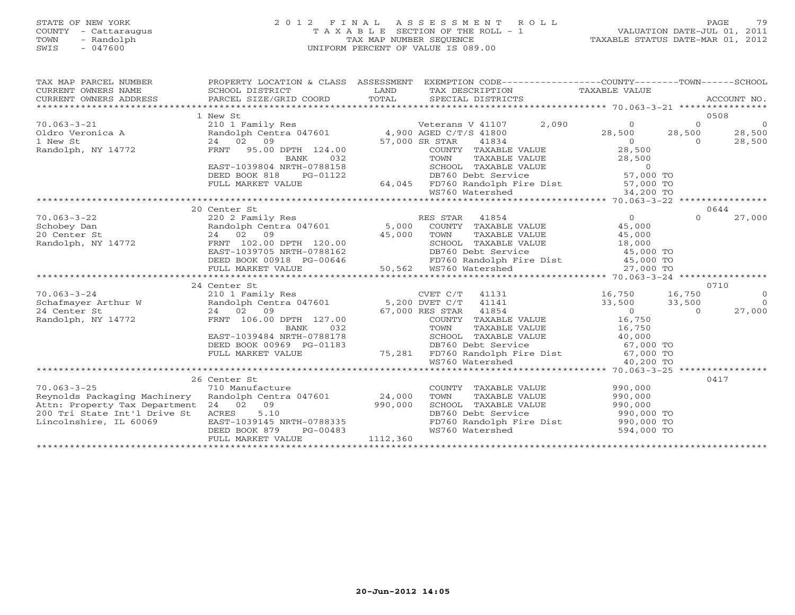# STATE OF NEW YORK 2 0 1 2 F I N A L A S S E S S M E N T R O L L PAGE 79 COUNTY - Cattaraugus T A X A B L E SECTION OF THE ROLL - 1 VALUATION DATE-JUL 01, 2011 TOWN - Randolph TAX MAP NUMBER SEQUENCE TAXABLE STATUS DATE-MAR 01, 2012 SWIS - 047600 UNIFORM PERCENT OF VALUE IS 089.00

| TAX MAP PARCEL NUMBER<br>$\begin{tabular}{lllllll} \multicolumn{2}{c}{\textbf{CURRENT}} & \multicolumn{2}{c}{\textbf{WNERS}} & \multicolumn{2}{c}{\textbf{NAME}} & \multicolumn{2}{c}{\textbf{SCHOOL}} & \multicolumn{2}{c}{\textbf{LAND}} & \multicolumn{2}{c}{\textbf{TAX} \textbf{DESCRIPTION}} & \multicolumn{2}{c}{\textbf{TAXABLE} \textbf{ VALUE}} & \multicolumn{2}{c}{\textbf{NALUE}} \\ & & & & & & & \multicolumn{2}{c}{\textbf{CURRENT}} & \multicolumn{2}{c}{\textbf{WALUEN}} & \multicolumn$ |                           |          | PROPERTY LOCATION & CLASS ASSESSMENT EXEMPTION CODE----------------COUNTY-------TOWN------SCHOOL |                                  |
|------------------------------------------------------------------------------------------------------------------------------------------------------------------------------------------------------------------------------------------------------------------------------------------------------------------------------------------------------------------------------------------------------------------------------------------------------------------------------------------------------------|---------------------------|----------|--------------------------------------------------------------------------------------------------|----------------------------------|
|                                                                                                                                                                                                                                                                                                                                                                                                                                                                                                            | 1 New St                  |          |                                                                                                  | 0508                             |
|                                                                                                                                                                                                                                                                                                                                                                                                                                                                                                            |                           |          |                                                                                                  | $\overline{0}$                   |
|                                                                                                                                                                                                                                                                                                                                                                                                                                                                                                            |                           |          |                                                                                                  | 28,500                           |
|                                                                                                                                                                                                                                                                                                                                                                                                                                                                                                            |                           |          |                                                                                                  | 28,500                           |
|                                                                                                                                                                                                                                                                                                                                                                                                                                                                                                            |                           |          |                                                                                                  |                                  |
|                                                                                                                                                                                                                                                                                                                                                                                                                                                                                                            |                           |          |                                                                                                  |                                  |
|                                                                                                                                                                                                                                                                                                                                                                                                                                                                                                            |                           |          |                                                                                                  |                                  |
|                                                                                                                                                                                                                                                                                                                                                                                                                                                                                                            |                           |          |                                                                                                  |                                  |
|                                                                                                                                                                                                                                                                                                                                                                                                                                                                                                            |                           |          |                                                                                                  |                                  |
|                                                                                                                                                                                                                                                                                                                                                                                                                                                                                                            |                           |          |                                                                                                  |                                  |
|                                                                                                                                                                                                                                                                                                                                                                                                                                                                                                            |                           |          |                                                                                                  |                                  |
|                                                                                                                                                                                                                                                                                                                                                                                                                                                                                                            | 20 Center St              |          |                                                                                                  | 0644                             |
|                                                                                                                                                                                                                                                                                                                                                                                                                                                                                                            |                           |          |                                                                                                  |                                  |
|                                                                                                                                                                                                                                                                                                                                                                                                                                                                                                            |                           |          |                                                                                                  |                                  |
|                                                                                                                                                                                                                                                                                                                                                                                                                                                                                                            |                           |          |                                                                                                  |                                  |
|                                                                                                                                                                                                                                                                                                                                                                                                                                                                                                            |                           |          |                                                                                                  |                                  |
|                                                                                                                                                                                                                                                                                                                                                                                                                                                                                                            |                           |          |                                                                                                  |                                  |
|                                                                                                                                                                                                                                                                                                                                                                                                                                                                                                            |                           |          |                                                                                                  |                                  |
|                                                                                                                                                                                                                                                                                                                                                                                                                                                                                                            |                           |          |                                                                                                  |                                  |
| $\begin{array}{cccccccc} 70.063-3-22 & 20 \text{ Center St} & 20 \text{ Center St} & 20 & 27,000 & 27,000 & 27,000 & 27,000 & 27,000 & 27,000 & 27,000 & 27,000 & 27,000 & 27,000 & 27,000 & 27,000 & 27,000 & 27,000 & 27,000 & 27,000 & 27,000 & 27,000 & 27,000 & 27,000 & 27,000 & 27,000$                                                                                                                                                                                                             |                           |          |                                                                                                  |                                  |
|                                                                                                                                                                                                                                                                                                                                                                                                                                                                                                            | 24 Center St              |          |                                                                                                  | 0710                             |
|                                                                                                                                                                                                                                                                                                                                                                                                                                                                                                            |                           |          |                                                                                                  | $\overline{0}$<br>$\overline{0}$ |
|                                                                                                                                                                                                                                                                                                                                                                                                                                                                                                            |                           |          |                                                                                                  |                                  |
|                                                                                                                                                                                                                                                                                                                                                                                                                                                                                                            |                           |          |                                                                                                  | 27,000                           |
|                                                                                                                                                                                                                                                                                                                                                                                                                                                                                                            |                           |          |                                                                                                  |                                  |
|                                                                                                                                                                                                                                                                                                                                                                                                                                                                                                            |                           |          |                                                                                                  |                                  |
|                                                                                                                                                                                                                                                                                                                                                                                                                                                                                                            |                           |          |                                                                                                  |                                  |
|                                                                                                                                                                                                                                                                                                                                                                                                                                                                                                            |                           |          |                                                                                                  |                                  |
|                                                                                                                                                                                                                                                                                                                                                                                                                                                                                                            |                           |          |                                                                                                  |                                  |
|                                                                                                                                                                                                                                                                                                                                                                                                                                                                                                            |                           |          |                                                                                                  |                                  |
|                                                                                                                                                                                                                                                                                                                                                                                                                                                                                                            | 26 Center St              |          |                                                                                                  | 0417                             |
| $70.063 - 3 - 25$                                                                                                                                                                                                                                                                                                                                                                                                                                                                                          | 710 Manufacture           |          | COUNTY TAXABLE VALUE 990,000                                                                     |                                  |
|                                                                                                                                                                                                                                                                                                                                                                                                                                                                                                            |                           |          |                                                                                                  |                                  |
|                                                                                                                                                                                                                                                                                                                                                                                                                                                                                                            |                           |          | TOWN TAXABLE VALUE 990,000<br>SCHOOL TAXABLE VALUE 990,000<br>DB760 Debt Service 990,000 TO      |                                  |
|                                                                                                                                                                                                                                                                                                                                                                                                                                                                                                            |                           |          |                                                                                                  |                                  |
| VO.063-3-25<br>Reynolds Packaging Machinery Randolph Centra 047601 24,000<br>Attn: Property Tax Department 24 02 09 990,000<br>200 Tri State Int'l Drive St ACRES 5.10<br>Lincolnshire, IL 60069 EAST-1039145 NRTH-0788335                                                                                                                                                                                                                                                                                 |                           |          | FD760 Randolph Fire Dist 990,000 TO                                                              |                                  |
|                                                                                                                                                                                                                                                                                                                                                                                                                                                                                                            | PG-00483<br>DEED BOOK 879 |          | WS760 Watershed 594,000 TO                                                                       |                                  |
|                                                                                                                                                                                                                                                                                                                                                                                                                                                                                                            | FULL MARKET VALUE         | 1112,360 |                                                                                                  |                                  |
|                                                                                                                                                                                                                                                                                                                                                                                                                                                                                                            |                           |          |                                                                                                  |                                  |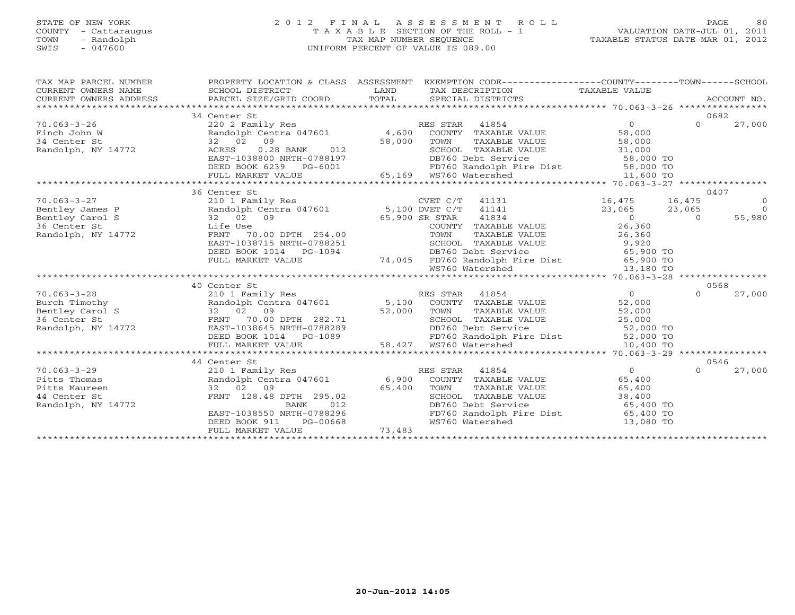# STATE OF NEW YORK 2 0 1 2 F I N A L A S S E S S M E N T R O L L PAGE 80 COUNTY - Cattaraugus T A X A B L E SECTION OF THE ROLL - 1 VALUATION DATE-JUL 01, 2011 TOWN - Randolph TAX MAP NUMBER SEQUENCE TAXABLE STATUS DATE-MAR 01, 2012 SWIS - 047600 UNIFORM PERCENT OF VALUE IS 089.00

| TAX MAP PARCEL NUMBER                                                                                                                                                                                                                                                                                                                                                                                                                                                                                                                                                                                                                                                                                                 | PROPERTY LOCATION & CLASS ASSESSMENT EXEMPTION CODE-----------------COUNTY-------TOWN------SCHOOL                                                                                                                                                                                                                                                                                                                                                                                                                                                                                                                         |        |                                                                                                                                                                                                                                                  |                                       |          |                                                              |
|-----------------------------------------------------------------------------------------------------------------------------------------------------------------------------------------------------------------------------------------------------------------------------------------------------------------------------------------------------------------------------------------------------------------------------------------------------------------------------------------------------------------------------------------------------------------------------------------------------------------------------------------------------------------------------------------------------------------------|---------------------------------------------------------------------------------------------------------------------------------------------------------------------------------------------------------------------------------------------------------------------------------------------------------------------------------------------------------------------------------------------------------------------------------------------------------------------------------------------------------------------------------------------------------------------------------------------------------------------------|--------|--------------------------------------------------------------------------------------------------------------------------------------------------------------------------------------------------------------------------------------------------|---------------------------------------|----------|--------------------------------------------------------------|
| $\begin{array}{cccccccc} 70.063-3-26 & 34 \text{ Center } & 58.000 & 0 & 27,000 \\ 34 \text{ Center } & 220 & 2 \text{ Family Res} & 4,600 & \text{COUNTY} & \text{TXABLE VALUE} & 58,000 & 27,000 \\ 34 \text{ Center } & 32 & 02 & 09 & 27,000 \\ 34 \text{ Center } & 32 & 02 & 09 & 58,000 & 58,000 & 58,000 \\ 34 \text{ Center } & 32 & 02 & 09 & 58,000 & 58,000$                                                                                                                                                                                                                                                                                                                                              | 34 Center St                                                                                                                                                                                                                                                                                                                                                                                                                                                                                                                                                                                                              |        |                                                                                                                                                                                                                                                  |                                       |          | 0682                                                         |
|                                                                                                                                                                                                                                                                                                                                                                                                                                                                                                                                                                                                                                                                                                                       | 36 Center St                                                                                                                                                                                                                                                                                                                                                                                                                                                                                                                                                                                                              |        |                                                                                                                                                                                                                                                  |                                       |          | 0407                                                         |
| 10.063-3-27<br>16,475<br>16,475<br>16,475<br>16,475<br>23,065<br>23,065<br>23,065<br>23,065<br>23,065<br>23,065<br>23,065<br>23,065<br>23,065<br>23,065<br>23,065<br>23,065<br>23,065<br>23,065<br>23,065<br>23,065<br>23,065<br>23,065<br>23,065<br>23,065<br>23,065<br>23,065<br>2<br>$\begin{array}{cccccc} 70.063-3-28 & 40 \text{ Center St} & \text{RES STR} & 41854 & 0 \\ \text{Burch} & \text{Randolph} & \text{Randplm} & \text{Rendolph} & 5,100 \text{ COUNTY} & \text{TAXABLE VALUE} & 52,000 \\ \text{Bentley Carol S} & 32 & 02 & 09 & 52,000 & \text{TOWN} & \text{TAXABLE VALUE} & 52,000 \\ \text{Bentley Carol S} & 32 & 02 & 09 & 52,000 & \text{TOWN} & \text{TAXABLE VALUE} & 52,000 \\ \text{$ | 32 02 09<br>Life Use 65,900 SR STAR<br>Life Use COUNTY<br>FRNT 70.00 DPTH 254.00 TOWN<br>EAST-1038715 NRTH-0788251 SCHOOL<br>DEED BOOK 1014 PG-1094<br>FULL MARKET VALUE<br>40 Center St                                                                                                                                                                                                                                                                                                                                                                                                                                  |        | 254.00 COUNTY TAXABLE VALUE<br>COUNTY TAXABLE VALUE<br>TOWN TAXABLE VALUE<br>26,360<br>-0788251 SCHOOL TAXABLE VALUE<br>26,360<br>-0788251 SCHOOL TAXABLE VALUE<br>74,045 FD760 Randolph Fire Dist<br>55,900 TO<br>74,045 FD760 Randolph Fire Di |                                       | $\Omega$ | $\overline{0}$<br>$\overline{0}$<br>55,980<br>0568<br>27,000 |
|                                                                                                                                                                                                                                                                                                                                                                                                                                                                                                                                                                                                                                                                                                                       |                                                                                                                                                                                                                                                                                                                                                                                                                                                                                                                                                                                                                           |        |                                                                                                                                                                                                                                                  |                                       |          |                                                              |
|                                                                                                                                                                                                                                                                                                                                                                                                                                                                                                                                                                                                                                                                                                                       |                                                                                                                                                                                                                                                                                                                                                                                                                                                                                                                                                                                                                           |        |                                                                                                                                                                                                                                                  |                                       |          |                                                              |
|                                                                                                                                                                                                                                                                                                                                                                                                                                                                                                                                                                                                                                                                                                                       |                                                                                                                                                                                                                                                                                                                                                                                                                                                                                                                                                                                                                           |        |                                                                                                                                                                                                                                                  |                                       |          |                                                              |
| $70.063 - 3 - 29$<br>Pitts Thomas<br>Pitts Maureen<br>44 Center St<br>Randolph, NY 14772                                                                                                                                                                                                                                                                                                                                                                                                                                                                                                                                                                                                                              | 44 Center St<br>$\begin{tabular}{lcccccc} \multicolumn{4}{c }{\text{1}} & \multicolumn{4}{c }{\text{1}} & \multicolumn{4}{c }{\text{1}} & \multicolumn{4}{c }{\text{1}} & \multicolumn{4}{c }{\text{1}} & \multicolumn{4}{c }{\text{1}} & \multicolumn{4}{c }{\text{1}} & \multicolumn{4}{c }{\text{1}} & \multicolumn{4}{c }{\text{1}} & \multicolumn{4}{c }{\text{1}} & \multicolumn{4}{c }{\text{1}} & \multicolumn{4}{c }{\text{1}} & \multicolumn{4}{c }{\text{1}} & \mult$<br>32 02 09 65,400<br>FRNT 128.48 DPTH 295.02<br>BANK 012<br>EAST-1038550 NRTH-0788296<br>DEED BOOK 911<br>PG-00668<br>FULL MARKET VALUE | 73,483 | TOWN TAXABLE VALUE 65,400<br>SCHOOL TAXABLE VALUE 38,400<br>DB760 Debt Service 65,400 TO<br>FD760 Randolph Fire Dist 65,400 TO<br>WS760 Watershed                                                                                                | $\overline{0}$<br>65,400<br>13,080 TO | $\Omega$ | 0546<br>27,000                                               |
|                                                                                                                                                                                                                                                                                                                                                                                                                                                                                                                                                                                                                                                                                                                       |                                                                                                                                                                                                                                                                                                                                                                                                                                                                                                                                                                                                                           |        |                                                                                                                                                                                                                                                  |                                       |          |                                                              |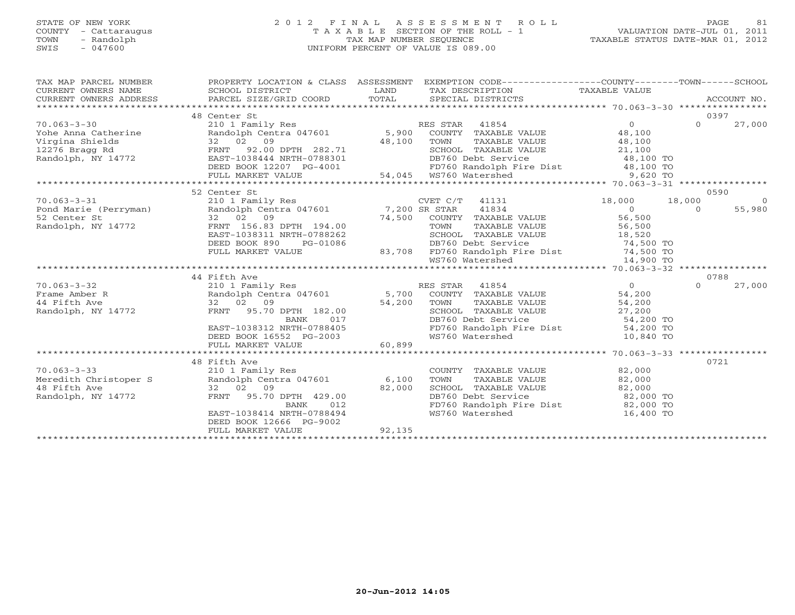# STATE OF NEW YORK 2 0 1 2 F I N A L A S S E S S M E N T R O L L PAGE 81 COUNTY - Cattaraugus T A X A B L E SECTION OF THE ROLL - 1 VALUATION DATE-JUL 01, 2011 TOWN - Randolph TAX MAP NUMBER SEQUENCE TAXABLE STATUS DATE-MAR 01, 2012 SWIS - 047600 UNIFORM PERCENT OF VALUE IS 089.00

| TAX MAP PARCEL NUMBER                                                                                                                                                                                                                                                                                                                                                                                          |                                                     |                | PROPERTY LOCATION & CLASS ASSESSMENT EXEMPTION CODE----------------COUNTY-------TOWN------SCHOOL                                                |           |          |          |
|----------------------------------------------------------------------------------------------------------------------------------------------------------------------------------------------------------------------------------------------------------------------------------------------------------------------------------------------------------------------------------------------------------------|-----------------------------------------------------|----------------|-------------------------------------------------------------------------------------------------------------------------------------------------|-----------|----------|----------|
|                                                                                                                                                                                                                                                                                                                                                                                                                |                                                     |                |                                                                                                                                                 |           |          |          |
| CURRENT OWNERS ADDRESS                                                                                                                                                                                                                                                                                                                                                                                         |                                                     |                |                                                                                                                                                 |           |          |          |
|                                                                                                                                                                                                                                                                                                                                                                                                                |                                                     |                |                                                                                                                                                 |           |          |          |
|                                                                                                                                                                                                                                                                                                                                                                                                                | 48 Center St                                        |                |                                                                                                                                                 |           | 0397     |          |
|                                                                                                                                                                                                                                                                                                                                                                                                                |                                                     |                |                                                                                                                                                 |           |          |          |
|                                                                                                                                                                                                                                                                                                                                                                                                                |                                                     |                |                                                                                                                                                 |           |          |          |
|                                                                                                                                                                                                                                                                                                                                                                                                                |                                                     |                |                                                                                                                                                 |           |          |          |
|                                                                                                                                                                                                                                                                                                                                                                                                                |                                                     |                |                                                                                                                                                 |           |          |          |
|                                                                                                                                                                                                                                                                                                                                                                                                                |                                                     |                |                                                                                                                                                 |           |          |          |
|                                                                                                                                                                                                                                                                                                                                                                                                                |                                                     |                |                                                                                                                                                 |           |          |          |
| $\begin{array}{cccccccc} 70.063-3-30 & 48 \text{ Center B} & \text{RES STAR} & 41854 & 0 & 0 & 27,000 \\ \text{Yohe Anna Catherine} & 2101 \text{ Family Res} & \text{Random centra 047601} & 5,900 \text{ COUNTY TAXABLE VALUE} & 48,100 & 27,000 \\ \text{Virigina Shielids} & 32 & 02 & 09 & 27,000 \\ \text{12276 Bragg Rd} & 82 & 02 & 09 & 27,000 \\ \text{12276 Bragg Rd} & \text{ERNT} & 92.0$         |                                                     |                |                                                                                                                                                 |           |          |          |
|                                                                                                                                                                                                                                                                                                                                                                                                                |                                                     |                |                                                                                                                                                 |           |          |          |
| 70.063-3-31<br>Pond Marie (Perryman)<br>210 1 Family Res<br>210 1 Family Res<br>210 1 Family Res<br>210 1 Family Res<br>210 1 Family Res<br>210 1 Family Res<br>210 2 09<br>22 02 09<br>22 02 09<br>24,500 COUNTY TAXABLE VALUE<br>26,500<br>26,500<br>26,                                                                                                                                                     | 52 Center St                                        |                |                                                                                                                                                 |           |          | 0590     |
|                                                                                                                                                                                                                                                                                                                                                                                                                |                                                     |                |                                                                                                                                                 |           |          | $\sim$ 0 |
|                                                                                                                                                                                                                                                                                                                                                                                                                |                                                     |                |                                                                                                                                                 |           |          | 55,980   |
|                                                                                                                                                                                                                                                                                                                                                                                                                |                                                     |                |                                                                                                                                                 |           |          |          |
|                                                                                                                                                                                                                                                                                                                                                                                                                |                                                     |                |                                                                                                                                                 |           |          |          |
|                                                                                                                                                                                                                                                                                                                                                                                                                |                                                     |                |                                                                                                                                                 |           |          |          |
|                                                                                                                                                                                                                                                                                                                                                                                                                |                                                     |                |                                                                                                                                                 |           |          |          |
|                                                                                                                                                                                                                                                                                                                                                                                                                |                                                     |                | DEED BOOK 890 PG-01086 DB760 Debt Service 74,500 TO<br>FULL MARKET VALUE 83,708 FD760 Randolph Fire Dist 74,500 TO<br>WS760 Watershed 14,900 TO |           |          |          |
|                                                                                                                                                                                                                                                                                                                                                                                                                |                                                     |                |                                                                                                                                                 |           |          |          |
|                                                                                                                                                                                                                                                                                                                                                                                                                | 44 Fifth Ave                                        |                |                                                                                                                                                 |           |          | 0788     |
| $\begin{array}{cccccc} 70.063-3-32 & 44 \text{ Fifth Ave} & \text{RES STR} & 41854 & 0 \\ \text{Frame AMber R} & \text{Random Centra 047601} & 5,700 & \text{COUNTY TAXABLE VALUE} & 54,200 \\ 44 \text{ Fifth Ave} & 32 & 02 & 09 & 54,200 & \text{TOWN TAXABLE VALUE} & 54,200 \\ \text{Random subgraph, NY 14772} & \text{F_RNT} & 95.70 \text{ DPTH} & 182.00 & 54,200 & \text{SCHOOL TAXABLE VALUE} & 54$ |                                                     |                |                                                                                                                                                 |           | $\Omega$ | 27,000   |
|                                                                                                                                                                                                                                                                                                                                                                                                                |                                                     |                |                                                                                                                                                 |           |          |          |
|                                                                                                                                                                                                                                                                                                                                                                                                                |                                                     |                |                                                                                                                                                 |           |          |          |
|                                                                                                                                                                                                                                                                                                                                                                                                                |                                                     |                |                                                                                                                                                 |           |          |          |
|                                                                                                                                                                                                                                                                                                                                                                                                                |                                                     |                |                                                                                                                                                 |           |          |          |
|                                                                                                                                                                                                                                                                                                                                                                                                                |                                                     |                |                                                                                                                                                 |           |          |          |
|                                                                                                                                                                                                                                                                                                                                                                                                                |                                                     |                |                                                                                                                                                 |           |          |          |
|                                                                                                                                                                                                                                                                                                                                                                                                                | DEED BOOK 16552 PG-2003<br>FULL MARKET VALUE 60,899 |                |                                                                                                                                                 |           |          |          |
|                                                                                                                                                                                                                                                                                                                                                                                                                |                                                     |                |                                                                                                                                                 |           |          |          |
|                                                                                                                                                                                                                                                                                                                                                                                                                | 48 Fifth Ave                                        |                |                                                                                                                                                 |           | 0721     |          |
|                                                                                                                                                                                                                                                                                                                                                                                                                |                                                     |                | COUNTY TAXABLE VALUE 82,000                                                                                                                     |           |          |          |
|                                                                                                                                                                                                                                                                                                                                                                                                                |                                                     |                |                                                                                                                                                 |           |          |          |
|                                                                                                                                                                                                                                                                                                                                                                                                                |                                                     |                |                                                                                                                                                 |           |          |          |
| 70.063-3-33<br>Meredith Christoper S<br>48 Fifth Ave 32 02 09<br>Randolph, NY 14772<br>Randolph, NY 14772<br>$\begin{array}{r} 10 \text{ } 210 \text{ } 1 \text{ } \text{Family Res} \\ 210 \text{ } 1 \text{ } \text{Family Res} \\ 32 \text{ } 02 \text{ } 09 \\ \text{Ramdolph, NY } 14772 \\ \text{FRT} \end{array}$                                                                                       |                                                     |                | TOWN TAXABLE VALUE 02,000<br>SCHOOL TAXABLE VALUE 02,000<br>DB760 Debt Service 02,000 TO<br>FD760 Randolph Fire Dist 02,000 TO                  |           |          |          |
|                                                                                                                                                                                                                                                                                                                                                                                                                |                                                     |                |                                                                                                                                                 |           |          |          |
|                                                                                                                                                                                                                                                                                                                                                                                                                | EAST-1038414 NRTH-0788494                           |                | WS760 Watershed                                                                                                                                 | 16,400 TO |          |          |
|                                                                                                                                                                                                                                                                                                                                                                                                                | DEED BOOK 12666 PG-9002                             |                |                                                                                                                                                 |           |          |          |
|                                                                                                                                                                                                                                                                                                                                                                                                                | FULL MARKET VALUE                                   | $-2002$ 92,135 |                                                                                                                                                 |           |          |          |
|                                                                                                                                                                                                                                                                                                                                                                                                                |                                                     |                |                                                                                                                                                 |           |          |          |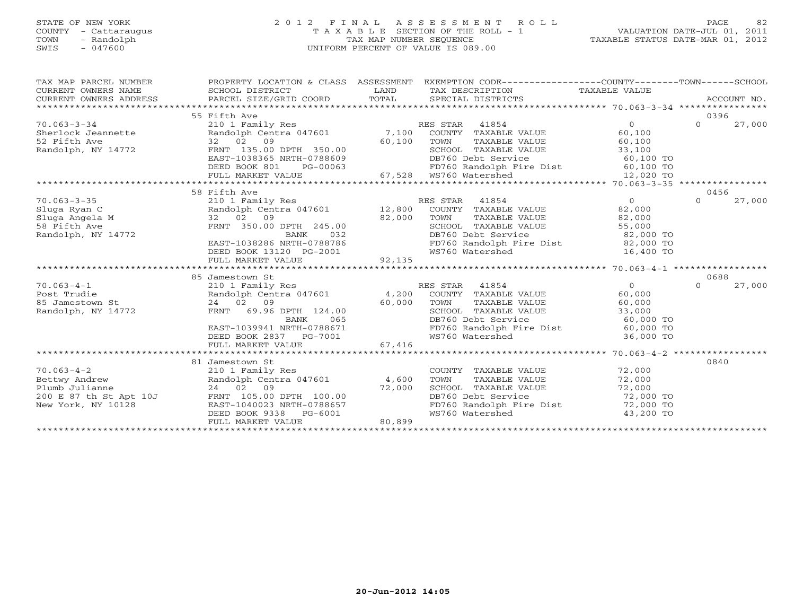# STATE OF NEW YORK 2 0 1 2 F I N A L A S S E S S M E N T R O L L PAGE 82 COUNTY - Cattaraugus T A X A B L E SECTION OF THE ROLL - 1 VALUATION DATE-JUL 01, 2011 TOWN - Randolph TAX MAP NUMBER SEQUENCE TAXABLE STATUS DATE-MAR 01, 2012 SWIS - 047600 UNIFORM PERCENT OF VALUE IS 089.00

| TAX MAP PARCEL NUMBER<br>CURRENT OWNERS NAME<br>CURRENT OWNERS NAME SCHOOL DISTRICT – ------ ------- TAND TAX DESCRIPTION TAXABLE VALUE<br>CURRENT OWNERS ADDRESS PARCEL SIZE/GRID COORD TOTAL SPECIAL DISTRICTS ACCOUNT NO.<br>******************************** | PROPERTY LOCATION & CLASS ASSESSMENT EXEMPTION CODE----------------COUNTY-------TOWN------SCHOOL                                                                                                                                         |        |                                                                                                                         |             |                  |        |
|------------------------------------------------------------------------------------------------------------------------------------------------------------------------------------------------------------------------------------------------------------------|------------------------------------------------------------------------------------------------------------------------------------------------------------------------------------------------------------------------------------------|--------|-------------------------------------------------------------------------------------------------------------------------|-------------|------------------|--------|
|                                                                                                                                                                                                                                                                  |                                                                                                                                                                                                                                          |        |                                                                                                                         |             |                  |        |
|                                                                                                                                                                                                                                                                  | 55 Fifth Ave                                                                                                                                                                                                                             |        |                                                                                                                         |             | 0396<br>$\Omega$ |        |
|                                                                                                                                                                                                                                                                  |                                                                                                                                                                                                                                          |        |                                                                                                                         |             |                  | 27,000 |
|                                                                                                                                                                                                                                                                  |                                                                                                                                                                                                                                          |        |                                                                                                                         |             |                  |        |
|                                                                                                                                                                                                                                                                  |                                                                                                                                                                                                                                          |        |                                                                                                                         |             |                  |        |
| 70.063-3-34<br>Subsetted a computer of the standolph Centra 047601 7,100 COUNTY TAXABLE VALUE 60,100<br>Serifth Ave 32 02 09 60,100 TOWN TAXABLE VALUE 60,100<br>Randolph, NY 14772 FRNT 135.00 DPTH 350.00 SCHOOL TAXABLE VALUE 33                              |                                                                                                                                                                                                                                          |        |                                                                                                                         |             |                  |        |
|                                                                                                                                                                                                                                                                  |                                                                                                                                                                                                                                          |        |                                                                                                                         |             |                  |        |
|                                                                                                                                                                                                                                                                  |                                                                                                                                                                                                                                          |        |                                                                                                                         |             |                  |        |
| 1999)<br>TAST -1038365 NRTH-0788609<br>DB760 Debt Service<br>DB760 Debt Service<br>EED BOOK 801 PG-00063<br>FULL MARKET VALUE 67,528 WS760 Watershed 12,020 TO<br>FULL MARKET VALUE 67,528 WS760 Watershed 12,020 TO                                             |                                                                                                                                                                                                                                          |        |                                                                                                                         |             |                  |        |
|                                                                                                                                                                                                                                                                  | 58 Fifth Ave                                                                                                                                                                                                                             |        |                                                                                                                         |             | 0456             |        |
| $70.063 - 3 - 35$                                                                                                                                                                                                                                                | 210 1 Family Res<br>Randolph Centra 047601 12,800 COUNTY TAXABLE VALUE 82,000<br>32 02 09 82,000 TOWN TAXABLE VALUE 82,000<br>FRNT 350.00 DPTH 245.00 SCHOOL TAXABLE VALUE 55,000<br>BANK 032 DB760 Debt Service 82,000 TO<br>BAST-10382 |        |                                                                                                                         |             | $\Omega$         | 27,000 |
|                                                                                                                                                                                                                                                                  |                                                                                                                                                                                                                                          |        |                                                                                                                         |             |                  |        |
|                                                                                                                                                                                                                                                                  |                                                                                                                                                                                                                                          |        |                                                                                                                         |             |                  |        |
|                                                                                                                                                                                                                                                                  |                                                                                                                                                                                                                                          |        |                                                                                                                         |             |                  |        |
|                                                                                                                                                                                                                                                                  |                                                                                                                                                                                                                                          |        |                                                                                                                         |             |                  |        |
|                                                                                                                                                                                                                                                                  |                                                                                                                                                                                                                                          |        |                                                                                                                         |             |                  |        |
|                                                                                                                                                                                                                                                                  |                                                                                                                                                                                                                                          |        | FD760 Randolph Fire Dist 82,000 TO<br>WS760 Watershed 16,400 TO                                                         |             |                  |        |
|                                                                                                                                                                                                                                                                  |                                                                                                                                                                                                                                          |        |                                                                                                                         |             |                  |        |
|                                                                                                                                                                                                                                                                  |                                                                                                                                                                                                                                          |        |                                                                                                                         |             |                  |        |
|                                                                                                                                                                                                                                                                  | 85 Jamestown St                                                                                                                                                                                                                          |        |                                                                                                                         |             | 0688             |        |
| 10.063-4-1<br>Post Trudie 1997 - 210 1 Family Res RES STAR 41854<br>Post Trudie 1998 - 24 02 09<br>Randolph, NY 14772 FRNT 69.96 DPTH 124.00<br>Randolph, NY 14772 FRNT 69.96 DPTH 124.00<br>Randolph, NY 14772 FRNT 69.96 DPTH 124.00<br>                       |                                                                                                                                                                                                                                          |        |                                                                                                                         |             | $\Omega$         | 27,000 |
|                                                                                                                                                                                                                                                                  |                                                                                                                                                                                                                                          |        |                                                                                                                         |             |                  |        |
|                                                                                                                                                                                                                                                                  |                                                                                                                                                                                                                                          |        |                                                                                                                         |             |                  |        |
|                                                                                                                                                                                                                                                                  |                                                                                                                                                                                                                                          |        |                                                                                                                         |             |                  |        |
|                                                                                                                                                                                                                                                                  |                                                                                                                                                                                                                                          |        | DB760 Debt Service                                                                                                      | $60,000$ TO |                  |        |
|                                                                                                                                                                                                                                                                  | EAST-1039941 NRTH-0788671<br>DEED BOOK 2837 PG-7001                                                                                                                                                                                      |        | FD760 Randolph Fire Dist 60,000 TO<br>WS760 Watershed 36,000 TO                                                         |             |                  |        |
|                                                                                                                                                                                                                                                                  |                                                                                                                                                                                                                                          |        |                                                                                                                         |             |                  |        |
|                                                                                                                                                                                                                                                                  | FULL MARKET VALUE                                                                                                                                                                                                                        | 67,416 |                                                                                                                         |             |                  |        |
|                                                                                                                                                                                                                                                                  |                                                                                                                                                                                                                                          |        |                                                                                                                         |             |                  |        |
|                                                                                                                                                                                                                                                                  | 81 Jamestown St                                                                                                                                                                                                                          |        |                                                                                                                         |             | 0840             |        |
|                                                                                                                                                                                                                                                                  |                                                                                                                                                                                                                                          |        |                                                                                                                         |             |                  |        |
| 10.063-4-2<br>Bettwy Andrew<br>Plumb Julianne<br>24 02 09<br>200 F 97 th Ct 1:1125                                                                                                                                                                               |                                                                                                                                                                                                                                          |        | COUNTY TAXABLE VALUE 72,000<br>TOWN TAXABLE VALUE 72,000<br>SCHOOL TAXABLE VALUE 72,000<br>DB760 Debt Service 72,000 TO |             |                  |        |
| Plumb Julianne<br>24 02 09 72,000<br>200 E 87 th St Apt 10J FRNT 105.00 DPTH 100.00                                                                                                                                                                              |                                                                                                                                                                                                                                          |        |                                                                                                                         |             |                  |        |
| New York, NY 10128                                                                                                                                                                                                                                               |                                                                                                                                                                                                                                          |        | FD760 Randolph Fire Dist 72,000 TO                                                                                      |             |                  |        |
|                                                                                                                                                                                                                                                                  | EAST-1040023 NRTH-0788657<br>DEED BOOK 9338 PG-6001                                                                                                                                                                                      |        | WS760 Watershed                                                                                                         | 43,200 TO   |                  |        |
|                                                                                                                                                                                                                                                                  | FULL MARKET VALUE                                                                                                                                                                                                                        | 80,899 |                                                                                                                         |             |                  |        |
|                                                                                                                                                                                                                                                                  |                                                                                                                                                                                                                                          |        |                                                                                                                         |             |                  |        |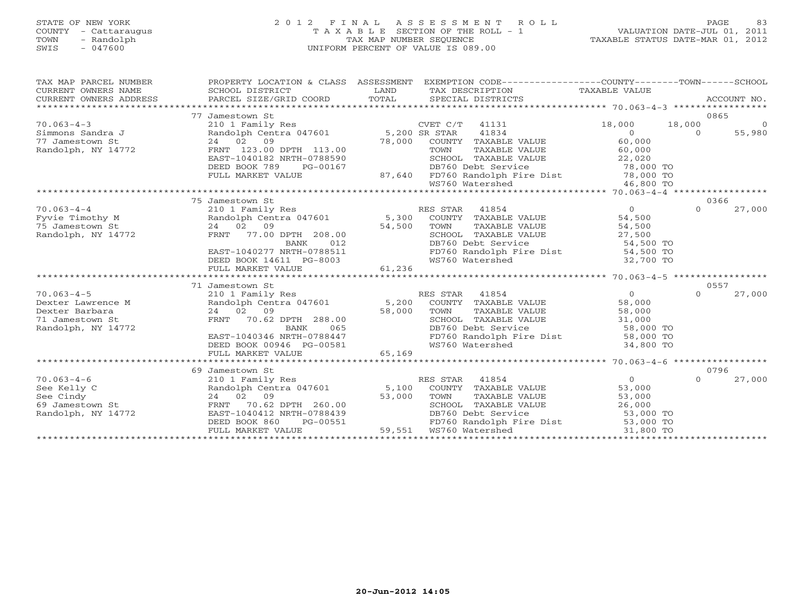# STATE OF NEW YORK 2 0 1 2 F I N A L A S S E S S M E N T R O L L PAGE 83 COUNTY - Cattaraugus T A X A B L E SECTION OF THE ROLL - 1 VALUATION DATE-JUL 01, 2011 TOWN - Randolph TAX MAP NUMBER SEQUENCE TAXABLE STATUS DATE-MAR 01, 2012 SWIS - 047600 UNIFORM PERCENT OF VALUE IS 089.00

| TAX MAP PARCEL NUMBER<br>CURRENT OWNERS NAME<br>CURRENT OWNERS ADDRESS | PROPERTY LOCATION & CLASS ASSESSMENT                                                     |        | EXEMPTION CODE-----------------COUNTY-------TOWN-----SCHOOL                                                                                                                                                                  |                                                 |                  |                |
|------------------------------------------------------------------------|------------------------------------------------------------------------------------------|--------|------------------------------------------------------------------------------------------------------------------------------------------------------------------------------------------------------------------------------|-------------------------------------------------|------------------|----------------|
|                                                                        | 77 Jamestown St                                                                          |        |                                                                                                                                                                                                                              |                                                 | 0865             |                |
| $70.063 - 4 - 3$                                                       | 210 1 Family Res                                                                         |        | CVET C/T 41131                                                                                                                                                                                                               | 18,000 18,000                                   |                  | $\overline{0}$ |
| Simmons Sandra J                                                       | Randolph Centra 047601 5,200 SR STAR                                                     |        | 41834                                                                                                                                                                                                                        | $\overline{0}$                                  | $\Omega$         | 55,980         |
| 77 Jamestown St                                                        | 24 02 09<br>24 02 09 DPTH 113.00<br>FRNT 123.00 DPTH 113.00<br>TAGE 1040199 NRTH-0788590 |        | COUNTY TAXABLE VALUE                                                                                                                                                                                                         | 60,000                                          |                  |                |
| Randolph, NY 14772                                                     |                                                                                          |        |                                                                                                                                                                                                                              |                                                 |                  |                |
|                                                                        | EAST-1040182 NRTH-0788590                                                                |        |                                                                                                                                                                                                                              |                                                 |                  |                |
|                                                                        | DEED BOOK 789<br>PG-00167                                                                |        | 13.00 TOWN TAXABLE VALUE 60,000<br>88590 SCHOOL TAXABLE VALUE 22,020<br>00167 DB760 Debt Service 78,000 TO<br>87,640 FD760 Randolph Fire Dist 78,000 TO                                                                      |                                                 |                  |                |
|                                                                        | FULL MARKET VALUE                                                                        |        |                                                                                                                                                                                                                              |                                                 |                  |                |
|                                                                        |                                                                                          |        |                                                                                                                                                                                                                              |                                                 |                  |                |
|                                                                        |                                                                                          |        |                                                                                                                                                                                                                              |                                                 |                  |                |
|                                                                        | 75 Jamestown St                                                                          |        |                                                                                                                                                                                                                              |                                                 | 0366             |                |
| $70.063 - 4 - 4$                                                       |                                                                                          |        |                                                                                                                                                                                                                              | $\overline{0}$                                  | $\Omega$         | 27,000         |
| Fyvie Timothy M<br>75 Jamestown St<br>Randolph, NY 14772               |                                                                                          |        | ES STAR 41854<br>COUNTY TAXABLE VALUE 54,500<br>TOWN TAXABLE VALUE 54,500<br>SCHOOL TAXABLE VALUE 27,500                                                                                                                     |                                                 |                  |                |
|                                                                        |                                                                                          |        |                                                                                                                                                                                                                              |                                                 |                  |                |
|                                                                        |                                                                                          |        |                                                                                                                                                                                                                              |                                                 |                  |                |
|                                                                        |                                                                                          |        | DB760 Debt Service                                                                                                                                                                                                           | 54,500 TO                                       |                  |                |
|                                                                        | EAST-1040277 NRTH-0788511<br>DEED BOOK 14611 PG-8003                                     |        | FD760 Randolph Fire Dist 54,500 TO<br>WS760 Watershed 32,700 TO                                                                                                                                                              |                                                 |                  |                |
|                                                                        |                                                                                          |        |                                                                                                                                                                                                                              |                                                 |                  |                |
|                                                                        | FULL MARKET VALUE                                                                        | 61,236 |                                                                                                                                                                                                                              |                                                 |                  |                |
|                                                                        |                                                                                          |        |                                                                                                                                                                                                                              |                                                 |                  |                |
| $70.063 - 4 - 5$                                                       | 71 Jamestown St                                                                          |        | RES STAR 41854                                                                                                                                                                                                               | $\Omega$                                        | 0557<br>$\Omega$ |                |
|                                                                        | 210 1 Family Res                                                                         |        | Randolph Centra 047601 5,200 COUNTY TAXABLE VALUE                                                                                                                                                                            | 58,000                                          |                  | 27,000         |
| Dexter Lawrence M<br>Dexter Barbara                                    |                                                                                          |        | TOWN<br>TAXABLE VALUE                                                                                                                                                                                                        |                                                 |                  |                |
| 71 Jamestown St                                                        |                                                                                          |        | SCHOOL TAXABLE VALUE                                                                                                                                                                                                         |                                                 |                  |                |
| Randolph, NY 14772                                                     | 24 02 09 58,000<br>FRNT 70.62 DPTH 288.00<br>BANK 065                                    |        | DB760 Debt Service                                                                                                                                                                                                           | LUE 58,000<br>LUE 58,000<br>58,000 TO 58,000 TO |                  |                |
|                                                                        | EAST-1040346 NRTH-0788447                                                                |        | FD760 Randolph Fire Dist 58,000 TO                                                                                                                                                                                           |                                                 |                  |                |
|                                                                        | DEED BOOK 00946 PG-00581                                                                 |        | WS760 Watershed                                                                                                                                                                                                              | $34,800$ TO                                     |                  |                |
|                                                                        | FULL MARKET VALUE                                                                        | 65,169 |                                                                                                                                                                                                                              |                                                 |                  |                |
|                                                                        |                                                                                          |        |                                                                                                                                                                                                                              |                                                 |                  |                |
|                                                                        | 69 Jamestown St                                                                          |        |                                                                                                                                                                                                                              |                                                 | 0796             |                |
| $70.063 - 4 - 6$                                                       |                                                                                          |        | URIMES UNITY RES STAR 41854<br>2101 Family Res RES STAR 41854<br>Randolph Centra 047601 5,100 COUNTY TAXABLE VALUE 53,000<br>24 02 09 53,000 TOWN TAXABLE VALUE 53,000<br>FRNT 70.62 DPTH 260.00 5CHOOL TAXABLE VALUE 26,000 |                                                 | $\Omega$         | 27,000         |
| See Kelly C                                                            |                                                                                          |        |                                                                                                                                                                                                                              |                                                 |                  |                |
| St<br>See Cindy                                                        |                                                                                          |        |                                                                                                                                                                                                                              |                                                 |                  |                |
| 69 Jamestown St                                                        |                                                                                          |        |                                                                                                                                                                                                                              |                                                 |                  |                |
| Randolph, NY 14772                                                     | EAST-1040412 NRTH-0788439                                                                |        | DB760 Debt Service                                                                                                                                                                                                           | $53,000$ TO                                     |                  |                |
|                                                                        | DEED BOOK 860<br>PG-00551                                                                |        | FD760 Randolph Fire Dist 53,000 TO                                                                                                                                                                                           |                                                 |                  |                |
|                                                                        | FULL MARKET VALUE                                                                        |        | 551 FD760 Randolph F<br>59,551 WS760 Watershed                                                                                                                                                                               | 31,800 TO                                       |                  |                |
|                                                                        |                                                                                          |        |                                                                                                                                                                                                                              |                                                 |                  |                |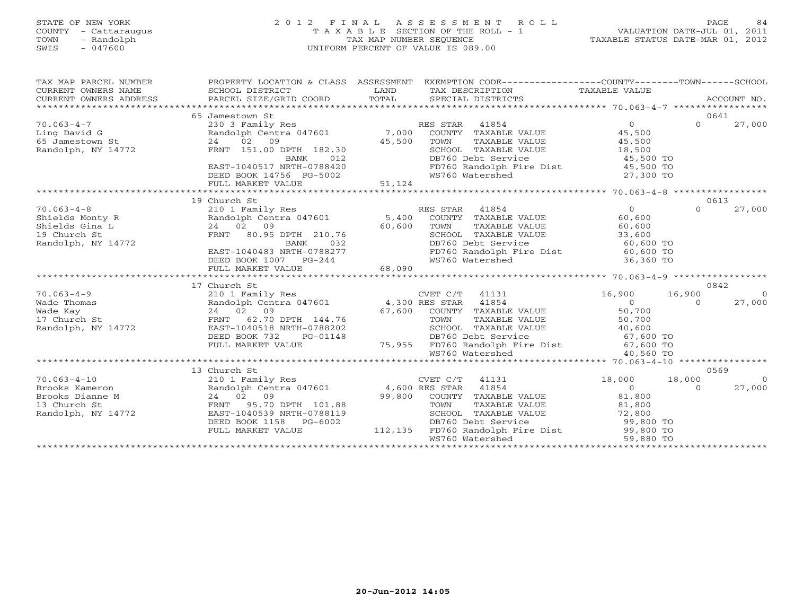# STATE OF NEW YORK 2 0 1 2 F I N A L A S S E S S M E N T R O L L PAGE 84 COUNTY - Cattaraugus T A X A B L E SECTION OF THE ROLL - 1 VALUATION DATE-JUL 01, 2011 TOWN - Randolph TAX MAP NUMBER SEQUENCE TAXABLE STATUS DATE-MAR 01, 2012 SWIS - 047600 UNIFORM PERCENT OF VALUE IS 089.00

| TAX DESCRIPTION TAXABLE VALUE<br>TOTAL<br>PARCEL SIZE/GRID COORD<br>SPECIAL DISTRICTS<br>CURRENT OWNERS ADDRESS<br>ACCOUNT NO.<br>0641<br>65 Jamestown St<br>$\Omega$<br>$70.063 - 4 - 7$<br>$\Omega$<br>27,000<br>230 3 Family Res<br>RES STAR 41854<br>Randolph Centra 047601 7,000<br>Ling David G<br>COUNTY TAXABLE VALUE<br>45,500<br>65 Jamestown St<br>24<br>02<br>09<br>45,500<br>TOWN<br>TAXABLE VALUE<br>45,500<br>Randolph, NY 14772<br>FRNT 151.00 DPTH 182.30<br>SCHOOL TAXABLE VALUE<br>18,500<br>012<br>DB760 Debt Service<br>45,500 TO<br>BANK |
|----------------------------------------------------------------------------------------------------------------------------------------------------------------------------------------------------------------------------------------------------------------------------------------------------------------------------------------------------------------------------------------------------------------------------------------------------------------------------------------------------------------------------------------------------------------|
|                                                                                                                                                                                                                                                                                                                                                                                                                                                                                                                                                                |
|                                                                                                                                                                                                                                                                                                                                                                                                                                                                                                                                                                |
|                                                                                                                                                                                                                                                                                                                                                                                                                                                                                                                                                                |
|                                                                                                                                                                                                                                                                                                                                                                                                                                                                                                                                                                |
|                                                                                                                                                                                                                                                                                                                                                                                                                                                                                                                                                                |
|                                                                                                                                                                                                                                                                                                                                                                                                                                                                                                                                                                |
|                                                                                                                                                                                                                                                                                                                                                                                                                                                                                                                                                                |
|                                                                                                                                                                                                                                                                                                                                                                                                                                                                                                                                                                |
| FD760 Randolph Fire Dist 45,500 TO<br>EAST-1040517 NRTH-0788420                                                                                                                                                                                                                                                                                                                                                                                                                                                                                                |
| WS760 Watershed<br>DEED BOOK 14756 PG-5002<br>27,300 TO                                                                                                                                                                                                                                                                                                                                                                                                                                                                                                        |
| 51,124<br>FULL MARKET VALUE                                                                                                                                                                                                                                                                                                                                                                                                                                                                                                                                    |
| 19 Church St<br>0613                                                                                                                                                                                                                                                                                                                                                                                                                                                                                                                                           |
| $\overline{0}$<br>RES STAR<br>$\Omega$<br>$70.063 - 4 - 8$<br>210 1 Family Res<br>41854<br>27,000                                                                                                                                                                                                                                                                                                                                                                                                                                                              |
| Randolph Centra 047601<br>5,400<br>60,600<br>COUNTY TAXABLE VALUE<br>Shields Monty R                                                                                                                                                                                                                                                                                                                                                                                                                                                                           |
| 60,600<br>TAXABLE VALUE<br>Shields Gina L<br>24 02 09<br>TOWN<br>60,600                                                                                                                                                                                                                                                                                                                                                                                                                                                                                        |
| 19 Church St<br>FRNT 80.95 DPTH 210.76<br>SCHOOL TAXABLE VALUE<br>33,600                                                                                                                                                                                                                                                                                                                                                                                                                                                                                       |
| Randolph, NY 14772<br>BANK<br>032<br>DB760 Debt Service<br>60,600 TO                                                                                                                                                                                                                                                                                                                                                                                                                                                                                           |
| FD760 Randolph Fire Dist 60,600 TO<br>EAST-1040483 NRTH-0788277                                                                                                                                                                                                                                                                                                                                                                                                                                                                                                |
| WS760 Watershed<br>36,360 TO<br>DEED BOOK 1007 PG-244                                                                                                                                                                                                                                                                                                                                                                                                                                                                                                          |
| FULL MARKET VALUE<br>68,090                                                                                                                                                                                                                                                                                                                                                                                                                                                                                                                                    |
|                                                                                                                                                                                                                                                                                                                                                                                                                                                                                                                                                                |
| 17 Church St<br>0842                                                                                                                                                                                                                                                                                                                                                                                                                                                                                                                                           |
| $70.063 - 4 - 9$<br>210 1 Family Res<br>CVET C/T 41131<br>16,900<br>16,900<br>$\overline{0}$                                                                                                                                                                                                                                                                                                                                                                                                                                                                   |
| Randolph Centra 047601 4,300 RES STAR<br>Wade Thomas<br>41854<br>$\Omega$<br>$\Omega$<br>27,000                                                                                                                                                                                                                                                                                                                                                                                                                                                                |
| 50,700<br>24 02 09<br>67,600<br>COUNTY TAXABLE VALUE<br>Wade Kay                                                                                                                                                                                                                                                                                                                                                                                                                                                                                               |
| 17 Church St<br>62.70 DPTH 144.76<br>FRNT<br>TOWN<br>TAXABLE VALUE<br>50,700                                                                                                                                                                                                                                                                                                                                                                                                                                                                                   |
| Randolph, NY 14772<br>EAST-1040518 NRTH-0788202<br>SCHOOL TAXABLE VALUE<br>40,600                                                                                                                                                                                                                                                                                                                                                                                                                                                                              |
| 67,600 TO<br>DEED BOOK 732<br>PG-01148<br>DB760 Debt Service                                                                                                                                                                                                                                                                                                                                                                                                                                                                                                   |
| 75,955 FD760 Randolph Fire Dist 67,600 TO<br>FULL MARKET VALUE                                                                                                                                                                                                                                                                                                                                                                                                                                                                                                 |
| WS760 Watershed<br>40,560 TO                                                                                                                                                                                                                                                                                                                                                                                                                                                                                                                                   |
|                                                                                                                                                                                                                                                                                                                                                                                                                                                                                                                                                                |
| 13 Church St<br>0569                                                                                                                                                                                                                                                                                                                                                                                                                                                                                                                                           |
| $70.063 - 4 - 10$<br>210 1 Family Res<br>CVET C/T<br>41131<br>18,000<br>18,000<br>$\Omega$                                                                                                                                                                                                                                                                                                                                                                                                                                                                     |
| 41854<br>$\Omega$<br>Brooks Kameron<br>Randolph Centra 047601<br>4,600 RES STAR<br>27,000<br>$\Omega$                                                                                                                                                                                                                                                                                                                                                                                                                                                          |
| 99,800<br>81,800<br>Brooks Dianne M<br>24 02 09<br>COUNTY TAXABLE VALUE                                                                                                                                                                                                                                                                                                                                                                                                                                                                                        |
| 13 Church St<br>FRNT<br>95.70 DPTH 101.88<br>TOWN<br>TAXABLE VALUE<br>81,800                                                                                                                                                                                                                                                                                                                                                                                                                                                                                   |
| Randolph, NY 14772<br>EAST-1040539 NRTH-0788119<br>SCHOOL TAXABLE VALUE<br>72,800                                                                                                                                                                                                                                                                                                                                                                                                                                                                              |
| DEED BOOK 1158<br>DB760 Debt Service<br>99,800 TO<br>PG-6002                                                                                                                                                                                                                                                                                                                                                                                                                                                                                                   |
| 112,135<br>FD760 Randolph Fire Dist 99,800 TO<br>FULL MARKET VALUE                                                                                                                                                                                                                                                                                                                                                                                                                                                                                             |
| WS760 Watershed<br>59,880 TO                                                                                                                                                                                                                                                                                                                                                                                                                                                                                                                                   |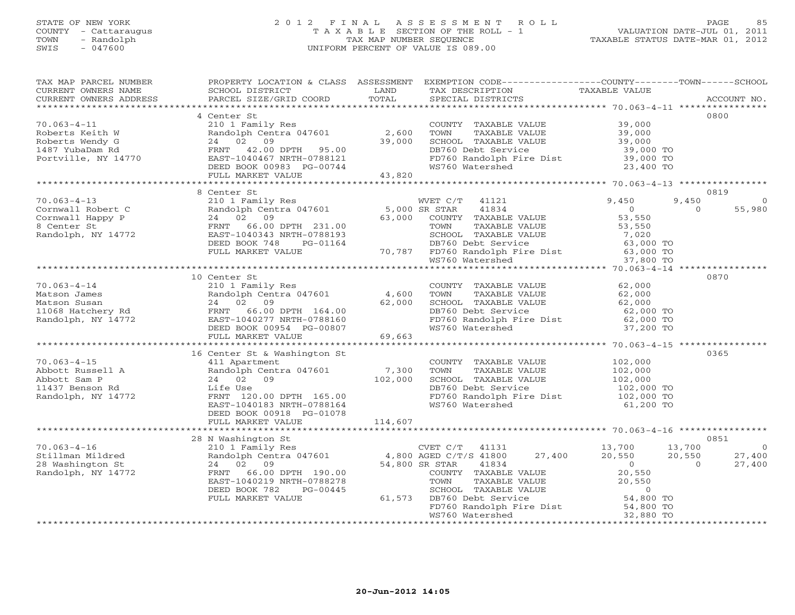#### STATE OF NEW YORK 2 0 1 2 F I N A L A S S E S S M E N T R O L L PAGE 85 COUNTY - Cattaraugus T A X A B L E SECTION OF THE ROLL - 1 VALUATION DATE-JUL 01, 2011 TOWN - Randolph TAX MAP NUMBER SEQUENCE TAXABLE STATUS DATE-MAR 01, 2012 SWIS - 047600 UNIFORM PERCENT OF VALUE IS 089.00

| TAX MAP PARCEL NUMBER                                                                                                                                                                                                                                                                                                                                  |                                                                                                                                           |         | PROPERTY LOCATION & CLASS ASSESSMENT EXEMPTION CODE----------------COUNTY-------TOWN------SCHOOL                                                                                                                        |                               |                                           |
|--------------------------------------------------------------------------------------------------------------------------------------------------------------------------------------------------------------------------------------------------------------------------------------------------------------------------------------------------------|-------------------------------------------------------------------------------------------------------------------------------------------|---------|-------------------------------------------------------------------------------------------------------------------------------------------------------------------------------------------------------------------------|-------------------------------|-------------------------------------------|
| CURRENT OWNERS NAME                                                                                                                                                                                                                                                                                                                                    | <b>EXAMPLE SERVICE SERVICE SERVICE SERVICE SERVICE SERVICE SERVICE SERVICE SERVICE SERVICE SERVICE SERVICE SERVICE</b><br>SCHOOL DISTRICT |         | TAX DESCRIPTION TAXABLE VALUE<br>SPECIAL DISTRICTS                                                                                                                                                                      |                               |                                           |
| CURRENT OWNERS ADDRESS                                                                                                                                                                                                                                                                                                                                 | PARCEL SIZE/GRID COORD TOTAL                                                                                                              |         | SPECIAL DISTRICTS                                                                                                                                                                                                       |                               | ACCOUNT NO.                               |
|                                                                                                                                                                                                                                                                                                                                                        |                                                                                                                                           |         |                                                                                                                                                                                                                         |                               |                                           |
|                                                                                                                                                                                                                                                                                                                                                        | 4 Center St                                                                                                                               |         |                                                                                                                                                                                                                         |                               | 0800                                      |
| $70.063 - 4 - 11$                                                                                                                                                                                                                                                                                                                                      | 210 1 Family Res                                                                                                                          |         | COUNTY TAXABLE VALUE 39,000                                                                                                                                                                                             |                               |                                           |
|                                                                                                                                                                                                                                                                                                                                                        |                                                                                                                                           |         |                                                                                                                                                                                                                         |                               |                                           |
|                                                                                                                                                                                                                                                                                                                                                        |                                                                                                                                           |         |                                                                                                                                                                                                                         |                               |                                           |
| Process-4-11<br>Roberts Wendy G (Roberts Wendy G 24 02 09 39,000<br>Roberts Wendy G 24 02 09 39,000<br>1487 YubaDam Rd FRNT 42.00 DPTH 95.00<br>Portville, NY 14770 EAST-1040467 NRTH-0788121                                                                                                                                                          |                                                                                                                                           |         | DB760 Debt Service 39,000 TO<br>FD760 Randolph Fire Dist 39,000 TO                                                                                                                                                      |                               |                                           |
|                                                                                                                                                                                                                                                                                                                                                        |                                                                                                                                           |         |                                                                                                                                                                                                                         |                               |                                           |
|                                                                                                                                                                                                                                                                                                                                                        |                                                                                                                                           |         | WS760 Watershed                                                                                                                                                                                                         | 23,400 TO                     |                                           |
|                                                                                                                                                                                                                                                                                                                                                        | FULL MARKET VALUE                                                                                                                         | 43,820  |                                                                                                                                                                                                                         |                               |                                           |
|                                                                                                                                                                                                                                                                                                                                                        |                                                                                                                                           |         |                                                                                                                                                                                                                         |                               |                                           |
|                                                                                                                                                                                                                                                                                                                                                        | 8 Center St                                                                                                                               |         |                                                                                                                                                                                                                         |                               | 0819                                      |
|                                                                                                                                                                                                                                                                                                                                                        |                                                                                                                                           |         |                                                                                                                                                                                                                         | 9,450                         |                                           |
|                                                                                                                                                                                                                                                                                                                                                        |                                                                                                                                           |         |                                                                                                                                                                                                                         | $\overline{0}$                | 55,980                                    |
|                                                                                                                                                                                                                                                                                                                                                        |                                                                                                                                           |         |                                                                                                                                                                                                                         |                               |                                           |
|                                                                                                                                                                                                                                                                                                                                                        |                                                                                                                                           |         |                                                                                                                                                                                                                         |                               |                                           |
|                                                                                                                                                                                                                                                                                                                                                        |                                                                                                                                           |         |                                                                                                                                                                                                                         |                               |                                           |
|                                                                                                                                                                                                                                                                                                                                                        |                                                                                                                                           |         |                                                                                                                                                                                                                         |                               |                                           |
|                                                                                                                                                                                                                                                                                                                                                        |                                                                                                                                           |         |                                                                                                                                                                                                                         |                               |                                           |
|                                                                                                                                                                                                                                                                                                                                                        |                                                                                                                                           |         |                                                                                                                                                                                                                         |                               |                                           |
|                                                                                                                                                                                                                                                                                                                                                        |                                                                                                                                           |         |                                                                                                                                                                                                                         |                               |                                           |
|                                                                                                                                                                                                                                                                                                                                                        |                                                                                                                                           |         |                                                                                                                                                                                                                         |                               |                                           |
|                                                                                                                                                                                                                                                                                                                                                        | 10 Center St                                                                                                                              |         |                                                                                                                                                                                                                         |                               | 0870                                      |
|                                                                                                                                                                                                                                                                                                                                                        |                                                                                                                                           |         | COUNTY TAXABLE VALUE 62,000                                                                                                                                                                                             |                               |                                           |
|                                                                                                                                                                                                                                                                                                                                                        |                                                                                                                                           |         |                                                                                                                                                                                                                         |                               |                                           |
|                                                                                                                                                                                                                                                                                                                                                        |                                                                                                                                           |         | TOWN TAXABLE VALUE<br>TOWN TAXABLE VALUE<br>SCHOOL TAXABLE VALUE<br>DB760 Debt Service<br>FD760 Randolph Fire Dist<br>62,000 TO<br>FD760 Randolph Fire Dist<br>62,000 TO                                                |                               |                                           |
|                                                                                                                                                                                                                                                                                                                                                        |                                                                                                                                           |         |                                                                                                                                                                                                                         |                               |                                           |
|                                                                                                                                                                                                                                                                                                                                                        |                                                                                                                                           |         |                                                                                                                                                                                                                         |                               |                                           |
|                                                                                                                                                                                                                                                                                                                                                        |                                                                                                                                           |         | WS760 Watershed                                                                                                                                                                                                         | 37,200 TO                     |                                           |
| 70.063-4-14<br>Matson James Randolph Centra 047601 4,600 T<br>Matson Susan 24 02 09 62,000 6<br>11068 Hatchery Rd FRNT 66.00 DPTH 164.00 I<br>Randolph, NY 14772 EAST-1040277 NRTH-0788160 I<br>DEED BOOK 00954 PG-00807 69,663  <br>FULL                                                                                                              |                                                                                                                                           |         |                                                                                                                                                                                                                         |                               |                                           |
|                                                                                                                                                                                                                                                                                                                                                        |                                                                                                                                           |         |                                                                                                                                                                                                                         |                               |                                           |
|                                                                                                                                                                                                                                                                                                                                                        | 16 Center St & Washington St                                                                                                              |         |                                                                                                                                                                                                                         |                               | 0365                                      |
|                                                                                                                                                                                                                                                                                                                                                        |                                                                                                                                           |         | COUNTY TAXABLE VALUE 102,000                                                                                                                                                                                            |                               |                                           |
|                                                                                                                                                                                                                                                                                                                                                        |                                                                                                                                           | 7,300   | TAXABLE VALUE<br>TOWN                                                                                                                                                                                                   |                               |                                           |
|                                                                                                                                                                                                                                                                                                                                                        |                                                                                                                                           | 102,000 | SCHOOL TAXABLE VALUE                                                                                                                                                                                                    | 102,000<br>102,000<br>102,000 |                                           |
|                                                                                                                                                                                                                                                                                                                                                        |                                                                                                                                           |         | DB760 Debt Service                                                                                                                                                                                                      | 102,000 TO                    |                                           |
| 11437 Benson Rd<br>Randolph, NY 14772                                                                                                                                                                                                                                                                                                                  | FRNT 120.00 DPTH 165.00                                                                                                                   |         | FD760 Randolph Fire Dist 102,000 TO                                                                                                                                                                                     |                               |                                           |
|                                                                                                                                                                                                                                                                                                                                                        | EAST-1040183 NRTH-0788164                                                                                                                 |         | WS760 Watershed                                                                                                                                                                                                         | 61,200 TO                     |                                           |
|                                                                                                                                                                                                                                                                                                                                                        | DEED BOOK 00918 PG-01078                                                                                                                  |         |                                                                                                                                                                                                                         |                               |                                           |
|                                                                                                                                                                                                                                                                                                                                                        | FULL MARKET VALUE                                                                                                                         | 114,607 |                                                                                                                                                                                                                         |                               |                                           |
|                                                                                                                                                                                                                                                                                                                                                        |                                                                                                                                           |         |                                                                                                                                                                                                                         |                               |                                           |
|                                                                                                                                                                                                                                                                                                                                                        | 28 N Washington St                                                                                                                        |         |                                                                                                                                                                                                                         |                               | 0851                                      |
|                                                                                                                                                                                                                                                                                                                                                        |                                                                                                                                           |         |                                                                                                                                                                                                                         | 13,700                        | $\sim$ 0                                  |
|                                                                                                                                                                                                                                                                                                                                                        |                                                                                                                                           |         |                                                                                                                                                                                                                         |                               |                                           |
|                                                                                                                                                                                                                                                                                                                                                        |                                                                                                                                           |         |                                                                                                                                                                                                                         |                               | $20,550$ $27,400$<br>0 $27,400$<br>27,400 |
| $\begin{array}{cccccc} 70.063-4-16 & & & 28\text{ N} \text{ was}\text{min} & & & & & \text{CVET C/T} & 41131 & & & & & 15,700 \\ 210111 & & & 210111 & & & & 21011 & & & & 15,700 \\ 280111 & & & & & & & & & & 210 \\ 29011 & & & & & & & & 21 & 0 \\ 20011 & & & & & & & 21 & 0 \\ 21011 & & & & & & & 21 & 0 \\ 22011 & & & & & & & 21 & 0 \\ 2301$ |                                                                                                                                           |         | COUNTY TAXABLE VALUE<br>TOWN TAXABLE VALUE<br>TOWN TAXABLE VALUE<br>SCHOOL TAXABLE VALUE<br>DB760 Debt Service<br>DB760 Randolph Fire Dist<br>S4,800 TO<br>WS760 Watershed<br>32,880 TO<br>WS760 Watershed<br>32,880 TO |                               |                                           |
|                                                                                                                                                                                                                                                                                                                                                        |                                                                                                                                           |         |                                                                                                                                                                                                                         |                               |                                           |
|                                                                                                                                                                                                                                                                                                                                                        | DEED BOOK 782<br>PG-00445                                                                                                                 |         |                                                                                                                                                                                                                         |                               |                                           |
|                                                                                                                                                                                                                                                                                                                                                        | FULL MARKET VALUE                                                                                                                         |         | 61,573 DB760 Debt Service                                                                                                                                                                                               |                               |                                           |
|                                                                                                                                                                                                                                                                                                                                                        |                                                                                                                                           |         |                                                                                                                                                                                                                         |                               |                                           |
|                                                                                                                                                                                                                                                                                                                                                        |                                                                                                                                           |         |                                                                                                                                                                                                                         |                               |                                           |
|                                                                                                                                                                                                                                                                                                                                                        |                                                                                                                                           |         |                                                                                                                                                                                                                         |                               |                                           |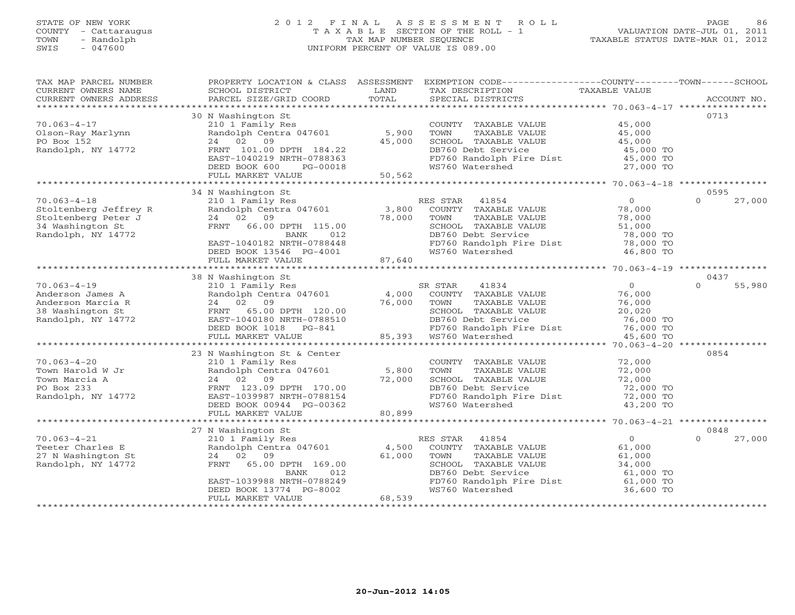# STATE OF NEW YORK 2 0 1 2 F I N A L A S S E S S M E N T R O L L PAGE 86 COUNTY - Cattaraugus T A X A B L E SECTION OF THE ROLL - 1 VALUATION DATE-JUL 01, 2011 TOWN - Randolph TAX MAP NUMBER SEQUENCE TAXABLE STATUS DATE-MAR 01, 2012 SWIS - 047600 UNIFORM PERCENT OF VALUE IS 089.00

| TAX MAP PARCEL NUMBER<br>CURRENT OWNERS NAME | SCHOOL DISTRICT                                                                                                                                                                                                                                                                                                                                                                                                                                                                                                        | LAND   | PROPERTY LOCATION & CLASS ASSESSMENT EXEMPTION CODE---------------COUNTY-------TOWN------SCHOOL<br>TAX DESCRIPTION | TAXABLE VALUE          |                    |
|----------------------------------------------|------------------------------------------------------------------------------------------------------------------------------------------------------------------------------------------------------------------------------------------------------------------------------------------------------------------------------------------------------------------------------------------------------------------------------------------------------------------------------------------------------------------------|--------|--------------------------------------------------------------------------------------------------------------------|------------------------|--------------------|
|                                              | $\begin{minipage}{.45\textwidth} \begin{minipage}{.45\textwidth} \begin{minipage}{.45\textwidth} \begin{minipage}{.45\textwidth} \begin{minipage}{.45\textwidth} \begin{minipage}{.45\textwidth} \begin{minipage}{.45\textwidth} \begin{minipage}{.45\textwidth} \begin{minipage}{.45\textwidth} \begin{minipage}{.45\textwidth} \begin{minipage}{.45\textwidth} \begin{minipage}{.45\textwidth} \begin{minipage}{.45\textwidth} \begin{minipage}{.45\textwidth} \begin{minipage}{.45\textwidth} \begin{minipage}{.45$ |        |                                                                                                                    |                        |                    |
|                                              |                                                                                                                                                                                                                                                                                                                                                                                                                                                                                                                        |        |                                                                                                                    |                        |                    |
|                                              | 30 N Washington St                                                                                                                                                                                                                                                                                                                                                                                                                                                                                                     |        |                                                                                                                    |                        | 0713               |
| $70.063 - 4 - 17$                            | 210 1 Family Res                                                                                                                                                                                                                                                                                                                                                                                                                                                                                                       |        | COUNTY TAXABLE VALUE                                                                                               | 45,000                 |                    |
| Olson-Ray Marlynn                            | Randolph Centra 047601 5,900                                                                                                                                                                                                                                                                                                                                                                                                                                                                                           |        | TOWN<br>TAXABLE VALUE                                                                                              | 45,000                 |                    |
| PO Box 152                                   | 24 02<br>09                                                                                                                                                                                                                                                                                                                                                                                                                                                                                                            | 45,000 | SCHOOL TAXABLE VALUE                                                                                               | 45,000                 |                    |
| Randolph, NY 14772                           | FRNT 101.00 DPTH 184.22                                                                                                                                                                                                                                                                                                                                                                                                                                                                                                |        | DB760 Debt Service                                                                                                 | 45,000 TO              |                    |
|                                              |                                                                                                                                                                                                                                                                                                                                                                                                                                                                                                                        |        | FD760 Randolph Fire Dist 45,000 TO<br>WS760 Watershed                                                              | 27,000 TO              |                    |
|                                              | EAST-1040219 NRTH-0788363<br>DEED BOOK 600 PG-00018<br>FULL MARKET VALUE 50,562                                                                                                                                                                                                                                                                                                                                                                                                                                        |        |                                                                                                                    |                        |                    |
|                                              |                                                                                                                                                                                                                                                                                                                                                                                                                                                                                                                        |        |                                                                                                                    |                        |                    |
|                                              | 34 N Washington St                                                                                                                                                                                                                                                                                                                                                                                                                                                                                                     |        |                                                                                                                    |                        | 0595               |
| $70.063 - 4 - 18$                            | 210 1 Family Res                                                                                                                                                                                                                                                                                                                                                                                                                                                                                                       |        | RES STAR 41854                                                                                                     | $\overline{0}$         | $\Omega$<br>27,000 |
| Stoltenberg Jeffrey R                        | Randolph Centra 047601                                                                                                                                                                                                                                                                                                                                                                                                                                                                                                 | 3,800  | COUNTY TAXABLE VALUE                                                                                               | 78,000                 |                    |
| Stoltenberg Peter J                          | 24 02 09                                                                                                                                                                                                                                                                                                                                                                                                                                                                                                               | 78,000 | TAXABLE VALUE<br>TOWN                                                                                              | 78,000                 |                    |
| 34 Washington St                             | FRNT 66.00 DPTH 115.00                                                                                                                                                                                                                                                                                                                                                                                                                                                                                                 |        | SCHOOL TAXABLE VALUE                                                                                               | 51,000                 |                    |
| Randolph, NY 14772                           | <b>BANK</b><br>012                                                                                                                                                                                                                                                                                                                                                                                                                                                                                                     |        | DB760 Debt Service                                                                                                 | 78,000 TO              |                    |
|                                              | EAST-1040182 NRTH-0788448                                                                                                                                                                                                                                                                                                                                                                                                                                                                                              |        | FD760 Randolph Fire Dist                                                                                           | 78,000 TO<br>46.800 TO |                    |
|                                              | DEED BOOK 13546 PG-4001                                                                                                                                                                                                                                                                                                                                                                                                                                                                                                |        | WS760 Watershed                                                                                                    | 46,800 TO              |                    |
|                                              | FULL MARKET VALUE                                                                                                                                                                                                                                                                                                                                                                                                                                                                                                      | 87,640 |                                                                                                                    |                        |                    |
|                                              | *********************************                                                                                                                                                                                                                                                                                                                                                                                                                                                                                      |        |                                                                                                                    |                        |                    |
|                                              | 38 N Washington St                                                                                                                                                                                                                                                                                                                                                                                                                                                                                                     |        |                                                                                                                    |                        | 0437               |
| $70.063 - 4 - 19$                            | 210 1 Family Res                                                                                                                                                                                                                                                                                                                                                                                                                                                                                                       |        | SR STAR<br>41834                                                                                                   | $\overline{0}$         | 55,980<br>$\Omega$ |
| Anderson James A                             | 210 1 Family Res<br>Randolph Centra 047601                                                                                                                                                                                                                                                                                                                                                                                                                                                                             | 4,000  | COUNTY TAXABLE VALUE                                                                                               | 76,000                 |                    |
| Anderson Marcia R                            | 24 02 09                                                                                                                                                                                                                                                                                                                                                                                                                                                                                                               | 76,000 | TOWN<br>TAXABLE VALUE                                                                                              | 76,000                 |                    |
| 38 Washington St                             | FRNT 65.00 DPTH 120.00                                                                                                                                                                                                                                                                                                                                                                                                                                                                                                 |        | SCHOOL TAXABLE VALUE                                                                                               | 20,020                 |                    |
| Randolph, NY 14772                           |                                                                                                                                                                                                                                                                                                                                                                                                                                                                                                                        |        |                                                                                                                    |                        |                    |
|                                              | ----- 1040180 NRTH-0788510<br>DEED BOOK 1018 PG-841<br>FULL MARKET VALUE                                                                                                                                                                                                                                                                                                                                                                                                                                               |        |                                                                                                                    |                        |                    |
|                                              |                                                                                                                                                                                                                                                                                                                                                                                                                                                                                                                        |        | 85,393 WS760 Watershed                                                                                             | 45,600 TO              |                    |
|                                              |                                                                                                                                                                                                                                                                                                                                                                                                                                                                                                                        |        |                                                                                                                    |                        |                    |
|                                              | 23 N Washington St & Center                                                                                                                                                                                                                                                                                                                                                                                                                                                                                            |        |                                                                                                                    |                        | 0854               |
| $70.063 - 4 - 20$<br>Town Harold W Jr        | 210 1 Family Res<br>Randolph Centra 047601                                                                                                                                                                                                                                                                                                                                                                                                                                                                             | 5,800  | COUNTY TAXABLE VALUE<br>TOWN                                                                                       | 72,000<br>72,000       |                    |
| Town Marcia A                                | 24 02 09                                                                                                                                                                                                                                                                                                                                                                                                                                                                                                               | 72,000 | TAXABLE VALUE<br>SCHOOL TAXABLE VALUE                                                                              | 72,000                 |                    |
| PO Box 233                                   | FRNT 123.09 DPTH 170.00                                                                                                                                                                                                                                                                                                                                                                                                                                                                                                |        | DB760 Debt Service                                                                                                 | 72,000 TO              |                    |
| Randolph, NY 14772                           | EAST-1039987 NRTH-0788154                                                                                                                                                                                                                                                                                                                                                                                                                                                                                              |        | FD760 Randolph Fire Dist 72,000 TO                                                                                 |                        |                    |
|                                              | DEED BOOK 00944 PG-00362                                                                                                                                                                                                                                                                                                                                                                                                                                                                                               |        | WS760 Watershed                                                                                                    | 43,200 TO              |                    |
|                                              | FULL MARKET VALUE                                                                                                                                                                                                                                                                                                                                                                                                                                                                                                      | 80,899 |                                                                                                                    |                        |                    |
|                                              |                                                                                                                                                                                                                                                                                                                                                                                                                                                                                                                        |        |                                                                                                                    |                        |                    |
|                                              | 27 N Washington St                                                                                                                                                                                                                                                                                                                                                                                                                                                                                                     |        |                                                                                                                    |                        | 0848               |
| $70.063 - 4 - 21$                            | 210 1 Family Res                                                                                                                                                                                                                                                                                                                                                                                                                                                                                                       |        | RES STAR 41854                                                                                                     | $\overline{0}$         | $\Omega$<br>27,000 |
| Teeter Charles E                             | Randolph Centra 047601                                                                                                                                                                                                                                                                                                                                                                                                                                                                                                 | 4,500  | COUNTY TAXABLE VALUE                                                                                               | 61,000                 |                    |
| 27 N Washington St                           | 24 02 09                                                                                                                                                                                                                                                                                                                                                                                                                                                                                                               | 61,000 | TOWN<br>TAXABLE VALUE                                                                                              | 61,000                 |                    |
| Randolph, NY 14772                           | FRNT 65.00 DPTH 169.00                                                                                                                                                                                                                                                                                                                                                                                                                                                                                                 |        | SCHOOL TAXABLE VALUE                                                                                               | 34,000                 |                    |
|                                              | BANK<br>012                                                                                                                                                                                                                                                                                                                                                                                                                                                                                                            |        | DB760 Debt Service                                                                                                 | 61,000 TO              |                    |
|                                              | EAST-1039988 NRTH-0788249                                                                                                                                                                                                                                                                                                                                                                                                                                                                                              |        | FD760 Randolph Fire Dist 61,000 TO<br>WS760 Watershed 36,600 TO                                                    |                        |                    |
|                                              | DEED BOOK 13774 PG-8002                                                                                                                                                                                                                                                                                                                                                                                                                                                                                                |        | WS760 Watershed                                                                                                    | 36,600 TO              |                    |
|                                              | FULL MARKET VALUE                                                                                                                                                                                                                                                                                                                                                                                                                                                                                                      | 68,539 |                                                                                                                    |                        |                    |
|                                              |                                                                                                                                                                                                                                                                                                                                                                                                                                                                                                                        |        |                                                                                                                    |                        |                    |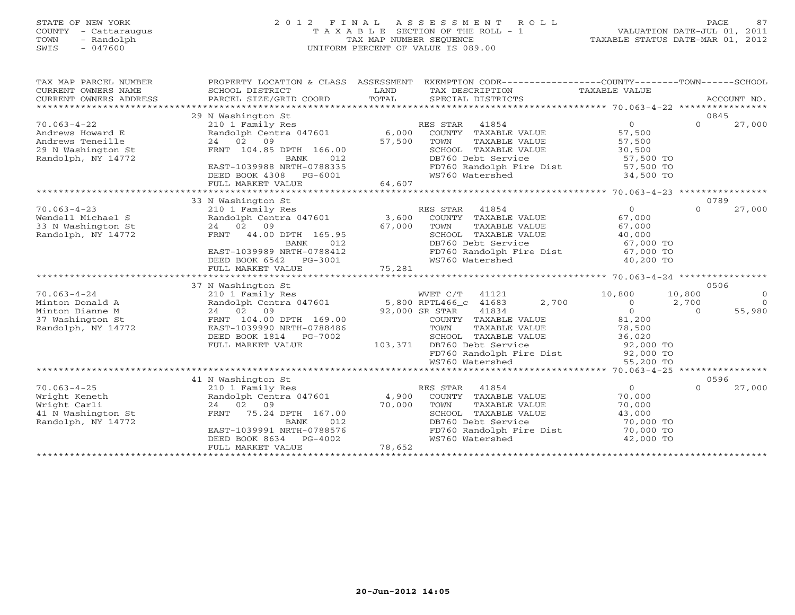# STATE OF NEW YORK 2 0 1 2 F I N A L A S S E S S M E N T R O L L PAGE 87 COUNTY - Cattaraugus T A X A B L E SECTION OF THE ROLL - 1 VALUATION DATE-JUL 01, 2011 TOWN - Randolph TAX MAP NUMBER SEQUENCE TAXABLE STATUS DATE-MAR 01, 2012 SWIS - 047600 UNIFORM PERCENT OF VALUE IS 089.00

| TAX MAP PARCEL NUMBER<br>CURRENT OWNERS NAME<br>CURRENT OWNERS ADDRESS | PROPERTY LOCATION & CLASS ASSESSMENT<br>SCHOOL DISTRICT<br>PARCEL SIZE/GRID COORD | LAND<br>TOTAL        | EXEMPTION CODE-----------------COUNTY-------TOWN------SCHOOL<br>TAX DESCRIPTION<br>SPECIAL DISTRICTS | TAXABLE VALUE                                        |                  | ACCOUNT NO. |
|------------------------------------------------------------------------|-----------------------------------------------------------------------------------|----------------------|------------------------------------------------------------------------------------------------------|------------------------------------------------------|------------------|-------------|
|                                                                        |                                                                                   |                      |                                                                                                      |                                                      |                  |             |
| $70.063 - 4 - 22$                                                      | 29 N Washington St<br>210 1 Family Res                                            |                      | RES STAR<br>41854                                                                                    | $\Omega$                                             | 0845<br>$\Omega$ |             |
| Andrews Howard E                                                       | Randolph Centra 047601                                                            | 6,000                | COUNTY TAXABLE VALUE                                                                                 | 57,500                                               |                  | 27,000      |
| Andrews Teneille                                                       | 24 02 09                                                                          | 57,500               | TOWN<br>TAXABLE VALUE                                                                                | 57,500                                               |                  |             |
| 29 N Washington St                                                     | FRNT 104.85 DPTH 166.00                                                           |                      | SCHOOL TAXABLE VALUE                                                                                 | 30,500                                               |                  |             |
| Randolph, NY 14772                                                     | BANK<br>012                                                                       |                      | DB760 Debt Service                                                                                   | 57,500 TO                                            |                  |             |
|                                                                        | EAST-1039988 NRTH-0788335                                                         |                      | FD760 Randolph Fire Dist                                                                             | 57,500 TO                                            |                  |             |
|                                                                        | DEED BOOK 4308<br>PG-6001                                                         |                      | WS760 Watershed                                                                                      | 34,500 TO                                            |                  |             |
|                                                                        | FULL MARKET VALUE                                                                 | 64,607               |                                                                                                      |                                                      |                  |             |
|                                                                        | *************************                                                         | ******************** |                                                                                                      | $*******************70.063-4-23********************$ |                  |             |
|                                                                        | 33 N Washington St                                                                |                      |                                                                                                      |                                                      | 0789             |             |
| $70.063 - 4 - 23$                                                      | 210 1 Family Res                                                                  |                      | RES STAR<br>41854                                                                                    | $\overline{O}$                                       | $\Omega$         | 27,000      |
| Wendell Michael S                                                      | Randolph Centra 047601                                                            | 3,600                | COUNTY TAXABLE VALUE                                                                                 | 67,000                                               |                  |             |
| 33 N Washington St                                                     | 24 02<br>09                                                                       | 67,000               | TOWN<br>TAXABLE VALUE                                                                                | 67,000                                               |                  |             |
| Randolph, NY 14772                                                     | FRNT<br>44.00 DPTH 165.95                                                         |                      | SCHOOL TAXABLE VALUE                                                                                 | 40,000                                               |                  |             |
|                                                                        | 012<br>BANK                                                                       |                      | DB760 Debt Service                                                                                   | 67,000 TO                                            |                  |             |
|                                                                        | EAST-1039989 NRTH-0788412                                                         |                      | FD760 Randolph Fire Dist                                                                             | 67,000 TO                                            |                  |             |
|                                                                        | DEED BOOK 6542<br>PG-3001                                                         |                      | WS760 Watershed                                                                                      | 40,200 TO                                            |                  |             |
|                                                                        | FULL MARKET VALUE                                                                 | 75,281               |                                                                                                      |                                                      |                  |             |
|                                                                        |                                                                                   |                      |                                                                                                      |                                                      |                  |             |
|                                                                        | 37 N Washington St                                                                |                      |                                                                                                      |                                                      | 0506             |             |
| $70.063 - 4 - 24$                                                      | 210 1 Family Res                                                                  |                      | WVET C/T 41121                                                                                       | 10,800                                               | 10,800           | $\circ$     |
| Minton Donald A                                                        | Randolph Centra 047601                                                            |                      | 5,800 RPTL466_c 41683<br>2,700                                                                       | $\circ$                                              | 2,700            | $\Omega$    |
| Minton Dianne M                                                        | 24 02<br>09                                                                       |                      | 92,000 SR STAR<br>41834                                                                              | $\overline{0}$                                       | $\Omega$         | 55,980      |
| 37 Washington St                                                       | FRNT 104.00 DPTH 169.00                                                           |                      | COUNTY TAXABLE VALUE                                                                                 | 81,200                                               |                  |             |
| Randolph, NY 14772                                                     | EAST-1039990 NRTH-0788486                                                         |                      | TOWN<br>TAXABLE VALUE                                                                                | 78,500                                               |                  |             |
|                                                                        | DEED BOOK 1814<br>PG-7002                                                         |                      | SCHOOL TAXABLE VALUE                                                                                 | 36,020                                               |                  |             |
|                                                                        | FULL MARKET VALUE                                                                 | 103,371              | DB760 Debt Service                                                                                   | 92,000 TO                                            |                  |             |
|                                                                        |                                                                                   |                      | FD760 Randolph Fire Dist                                                                             | 92,000 TO                                            |                  |             |
|                                                                        |                                                                                   |                      | WS760 Watershed                                                                                      | 55,200 TO                                            |                  |             |
|                                                                        |                                                                                   |                      |                                                                                                      |                                                      |                  |             |
|                                                                        | 41 N Washington St                                                                |                      |                                                                                                      |                                                      | 0596             |             |
| $70.063 - 4 - 25$                                                      | 210 1 Family Res                                                                  |                      | RES STAR<br>41854                                                                                    | $\circ$                                              | $\Omega$         | 27,000      |
| Wright Keneth<br>Wright Carli                                          | Randolph Centra 047601<br>24 02<br>09                                             | 4,900<br>70,000      | COUNTY TAXABLE VALUE                                                                                 | 70,000                                               |                  |             |
|                                                                        |                                                                                   |                      | TOWN<br>TAXABLE VALUE                                                                                | 70,000                                               |                  |             |
| 41 N Washington St                                                     | 75.24 DPTH 167.00<br>FRNT<br>BANK<br>012                                          |                      | SCHOOL TAXABLE VALUE<br>DB760 Debt Service                                                           | 43,000<br>70,000 TO                                  |                  |             |
| Randolph, NY 14772                                                     | EAST-1039991 NRTH-0788576                                                         |                      | FD760 Randolph Fire Dist                                                                             | 70,000 TO                                            |                  |             |
|                                                                        | DEED BOOK 8634<br>PG-4002                                                         |                      | WS760 Watershed                                                                                      | 42,000 TO                                            |                  |             |
|                                                                        | FULL MARKET VALUE                                                                 | 78,652               |                                                                                                      |                                                      |                  |             |
|                                                                        |                                                                                   |                      |                                                                                                      |                                                      |                  |             |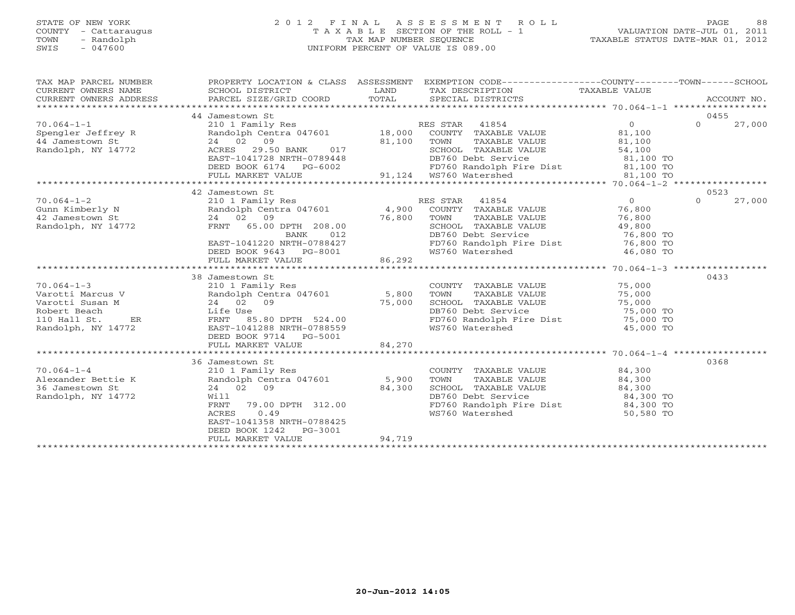# STATE OF NEW YORK 2 0 1 2 F I N A L A S S E S S M E N T R O L L PAGE 88 COUNTY - Cattaraugus T A X A B L E SECTION OF THE ROLL - 1 VALUATION DATE-JUL 01, 2011 TOWN - Randolph TAX MAP NUMBER SEQUENCE TAXABLE STATUS DATE-MAR 01, 2012 SWIS - 047600 UNIFORM PERCENT OF VALUE IS 089.00

| TAX MAP PARCEL NUMBER<br>CURRENT OWNERS NAME<br>CURRENT OWNERS ADDRESS                                                                             | PROPERTY LOCATION & CLASS ASSESSMENT<br>SCHOOL DISTRICT<br>PARCEL SIZE/GRID COORD                                                                                                                                                          | LAND<br>TOTAL | EXEMPTION CODE-----------------COUNTY-------TOWN-----SCHOOL<br>TAX DESCRIPTION                        TAXABLE VALUE<br>SPECIAL DISTRICTS<br>TAX DESCRIPTION<br>SPECIAL DISTRICTS |                            | ACCOUNT NO. |        |
|----------------------------------------------------------------------------------------------------------------------------------------------------|--------------------------------------------------------------------------------------------------------------------------------------------------------------------------------------------------------------------------------------------|---------------|----------------------------------------------------------------------------------------------------------------------------------------------------------------------------------|----------------------------|-------------|--------|
|                                                                                                                                                    |                                                                                                                                                                                                                                            |               |                                                                                                                                                                                  |                            |             |        |
| 10 1 Family Res<br>Spengler Jeffrey R<br>210 1 Family Res<br>Randolph Centra 047601<br>24 02 09<br>Randolph, NY 14772<br>ACRES 29.50 BANK<br>29 17 |                                                                                                                                                                                                                                            |               |                                                                                                                                                                                  |                            | 0455        |        |
|                                                                                                                                                    |                                                                                                                                                                                                                                            |               |                                                                                                                                                                                  |                            | $\Omega$    | 27,000 |
|                                                                                                                                                    |                                                                                                                                                                                                                                            |               |                                                                                                                                                                                  |                            |             |        |
|                                                                                                                                                    |                                                                                                                                                                                                                                            |               |                                                                                                                                                                                  |                            |             |        |
|                                                                                                                                                    | $24$ 02 09<br>$ACRES$ 29.50 BANK 017 81,100 TOWN<br>$EAST-1041728$ NRTH-0789448 DB760                                                                                                                                                      |               | TOWN IRANDER .<br>SCHOOL TAXABLE VALUE<br>DRZAO Debt Service                                                                                                                     | 54,100<br>81,100 TO        |             |        |
|                                                                                                                                                    |                                                                                                                                                                                                                                            |               |                                                                                                                                                                                  |                            |             |        |
|                                                                                                                                                    | DEED BOOK 6174 PG-6002 FD760 Randolph F<br>FULL MARKET VALUE 91,124 WS760 Watershed                                                                                                                                                        |               | FD760 Randolph Fire Dist<br>WS760 Watershed 81,100 TO<br>81,100 TO                                                                                                               |                            |             |        |
|                                                                                                                                                    |                                                                                                                                                                                                                                            |               |                                                                                                                                                                                  |                            |             |        |
|                                                                                                                                                    |                                                                                                                                                                                                                                            |               |                                                                                                                                                                                  |                            |             |        |
|                                                                                                                                                    | 42 Jamestown St<br>210 1 Family Res<br>24 02 09<br>PRIT 65.00 DPTH 208.00<br>TAXABLE VALUE<br>PRIT 65.00 DPTH 208.00<br>PRIT 65.00 DPTH 208.00<br>PRIT 65.00 DPTH 208.00<br>PRIT 65.00 DPTH 208.00<br>PRIT 65.00 DETAIL DB760 Debt Service |               |                                                                                                                                                                                  | $\frac{0}{76}$             | 0523        |        |
| $70.064 - 1 - 2$                                                                                                                                   |                                                                                                                                                                                                                                            |               |                                                                                                                                                                                  |                            | $\Omega$    | 27,000 |
| Gunn Kimberly N                                                                                                                                    |                                                                                                                                                                                                                                            |               | TAXABLE VALUE                                                                                                                                                                    |                            |             |        |
| 42 Jamestown St<br>Randolph, NY 14772                                                                                                              |                                                                                                                                                                                                                                            |               |                                                                                                                                                                                  | 76,800                     |             |        |
|                                                                                                                                                    |                                                                                                                                                                                                                                            |               |                                                                                                                                                                                  | 49,800<br>76,800 TO        |             |        |
|                                                                                                                                                    | EAST-1041220 NRTH-0788427                                                                                                                                                                                                                  |               | DB760 Debt Service                        76,800 TO<br>FD760 Randolph Fire Dist               76,800 TO<br>WS760 Watershed                        46,080 TO                      |                            |             |        |
|                                                                                                                                                    |                                                                                                                                                                                                                                            |               |                                                                                                                                                                                  |                            |             |        |
|                                                                                                                                                    | DEED BOOK 9643 PG-8001<br>FULL MARKET VALUE                                                                                                                                                                                                | 86,292        |                                                                                                                                                                                  |                            |             |        |
|                                                                                                                                                    |                                                                                                                                                                                                                                            |               |                                                                                                                                                                                  |                            |             |        |
|                                                                                                                                                    | 38 Jamestown St                                                                                                                                                                                                                            |               |                                                                                                                                                                                  |                            | 0433        |        |
| $70.064 - 1 - 3$                                                                                                                                   | 210 1 Family Res<br>Randolph Centra 047601 5,800<br>24 02 09                                                                                                                                                                               |               |                                                                                                                                                                                  |                            |             |        |
| Varotti Marcus V                                                                                                                                   |                                                                                                                                                                                                                                            |               | COUNTY TAXABLE VALUE 75,000<br>TOWN TAXABLE VALUE 75,000                                                                                                                         |                            |             |        |
| Varotti Susan M                                                                                                                                    | 24 02 09 75,000<br>Life Use 75,000<br>FRNT 85.80 DPTH 524.00<br>EAST-1041288 NRTH-0788559                                                                                                                                                  |               | SCHOOL TAXABLE VALUE 75,000                                                                                                                                                      |                            |             |        |
| Robert Beach                                                                                                                                       |                                                                                                                                                                                                                                            |               | DB760 Debt Service                                                                                                                                                               | 75,000 TO                  |             |        |
| 110 Hall St.                                                                                                                                       |                                                                                                                                                                                                                                            |               |                                                                                                                                                                                  | $75,000$ TO<br>$75,000$ TO |             |        |
| Randolph, NY 14772                                                                                                                                 |                                                                                                                                                                                                                                            |               | FD760 Randolph Fire Dist<br>WS760 Watershed                                                                                                                                      | 45,000 TO                  |             |        |
|                                                                                                                                                    | DEED BOOK 9714 PG-5001                                                                                                                                                                                                                     |               |                                                                                                                                                                                  |                            |             |        |
|                                                                                                                                                    | FULL MARKET VALUE                                                                                                                                                                                                                          | 84,270        |                                                                                                                                                                                  |                            |             |        |
|                                                                                                                                                    |                                                                                                                                                                                                                                            |               |                                                                                                                                                                                  |                            |             |        |
|                                                                                                                                                    | 36 Jamestown St                                                                                                                                                                                                                            |               |                                                                                                                                                                                  |                            | 0368        |        |
| $70.064 - 1 - 4$                                                                                                                                   | 210 1 Family Res                                                                                                                                                                                                                           |               |                                                                                                                                                                                  |                            |             |        |
| Alexander Bettie K                                                                                                                                 | 210 1 Family Res<br>Randolph Centra 047601 5,900<br>24 02 03 04 24 300                                                                                                                                                                     |               | COUNTY TAXABLE VALUE 84,300<br>TOWN TAXABLE VALUE 84,300<br>TAXABLE VALUE                                                                                                        | 84,300                     |             |        |
| 36 Jamestown St                                                                                                                                    | 24 02 09                                                                                                                                                                                                                                   | 84,300        | SCHOOL TAXABLE VALUE 84,300                                                                                                                                                      |                            |             |        |
| Randolph, NY 14772                                                                                                                                 | Will                                                                                                                                                                                                                                       |               |                                                                                                                                                                                  |                            |             |        |
|                                                                                                                                                    | FRNT 79.00 DPTH 312.00                                                                                                                                                                                                                     |               |                                                                                                                                                                                  |                            |             |        |
|                                                                                                                                                    | 0.49<br>ACRES                                                                                                                                                                                                                              |               | DB760 Debt Service 84,300 TO<br>FD760 Randolph Fire Dist 84,300 TO<br>WS760 Watershed 50,580 TO                                                                                  |                            |             |        |
|                                                                                                                                                    | EAST-1041358 NRTH-0788425                                                                                                                                                                                                                  |               |                                                                                                                                                                                  |                            |             |        |
|                                                                                                                                                    | DEED BOOK 1242 PG-3001                                                                                                                                                                                                                     |               |                                                                                                                                                                                  |                            |             |        |
|                                                                                                                                                    | FULL MARKET VALUE                                                                                                                                                                                                                          | 94,719        |                                                                                                                                                                                  |                            |             |        |
|                                                                                                                                                    |                                                                                                                                                                                                                                            |               |                                                                                                                                                                                  |                            |             |        |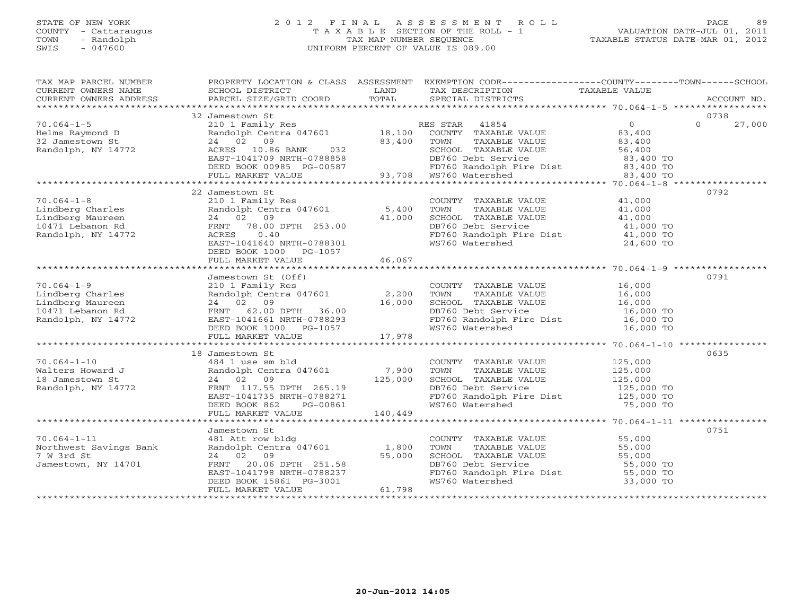# STATE OF NEW YORK 2 0 1 2 F I N A L A S S E S S M E N T R O L L PAGE 89 COUNTY - Cattaraugus T A X A B L E SECTION OF THE ROLL - 1 VALUATION DATE-JUL 01, 2011 TOWN - Randolph TAX MAP NUMBER SEQUENCE TAXABLE STATUS DATE-MAR 01, 2012 SWIS - 047600 UNIFORM PERCENT OF VALUE IS 089.00

| TAX MAP PARCEL NUMBER                                                                                                                                                                                                                             |                                                                                                            |         | PROPERTY LOCATION & CLASS ASSESSMENT EXEMPTION CODE----------------COUNTY-------TOWN------SCHOOL                                                                                                                                                   |                     |                    |
|---------------------------------------------------------------------------------------------------------------------------------------------------------------------------------------------------------------------------------------------------|------------------------------------------------------------------------------------------------------------|---------|----------------------------------------------------------------------------------------------------------------------------------------------------------------------------------------------------------------------------------------------------|---------------------|--------------------|
| CURRENT OWNERS NAME                                                                                                                                                                                                                               |                                                                                                            |         |                                                                                                                                                                                                                                                    |                     |                    |
|                                                                                                                                                                                                                                                   |                                                                                                            |         |                                                                                                                                                                                                                                                    |                     |                    |
|                                                                                                                                                                                                                                                   |                                                                                                            |         |                                                                                                                                                                                                                                                    |                     |                    |
|                                                                                                                                                                                                                                                   | 32 Jamestown St                                                                                            |         |                                                                                                                                                                                                                                                    |                     | 0738               |
| $70.064 - 1 - 5$                                                                                                                                                                                                                                  |                                                                                                            |         | URIES CONTRACTED AND RESSEAU AND RESSEAU AND RESSEAU AND RESSEAURE CONTRACTED AND RESSEAUR ON THE STAR AND 2 0<br>24 02 09 83,400 23,400 TOWN TAXABLE VALUE 23,400<br>ACRES 10.86 BANK 032 8CHOOL TAXABLE VALUE 56,400<br>FAST-10417               |                     | $\Omega$<br>27,000 |
| Helms Raymond D                                                                                                                                                                                                                                   |                                                                                                            |         |                                                                                                                                                                                                                                                    |                     |                    |
| 32 Jamestown St                                                                                                                                                                                                                                   |                                                                                                            |         | 24 02 09<br>ACRES 10.86 BANK 032<br>EAST-1041709 NRTH-0788858 BB760 Debt Service<br>DEED BOOK 00985 PG-00587<br>FULL MARKET VALUE<br>PEUL MARKET VALUE<br>PEUL MARKET VALUE<br>PEUL MARKET VALUE<br>PEUL MARKET VALUE<br>PEUL MARKET VALUE<br>PEUL |                     |                    |
| Randolph, NY 14772                                                                                                                                                                                                                                |                                                                                                            |         |                                                                                                                                                                                                                                                    |                     |                    |
|                                                                                                                                                                                                                                                   |                                                                                                            |         |                                                                                                                                                                                                                                                    |                     |                    |
|                                                                                                                                                                                                                                                   |                                                                                                            |         |                                                                                                                                                                                                                                                    |                     |                    |
|                                                                                                                                                                                                                                                   |                                                                                                            |         |                                                                                                                                                                                                                                                    |                     |                    |
|                                                                                                                                                                                                                                                   |                                                                                                            |         |                                                                                                                                                                                                                                                    |                     |                    |
|                                                                                                                                                                                                                                                   | 22 Jamestown St                                                                                            |         |                                                                                                                                                                                                                                                    |                     | 0792               |
| $70.064 - 1 - 8$                                                                                                                                                                                                                                  | 210 1 Family Res                                                                                           |         | COUNTY TAXABLE VALUE                                                                                                                                                                                                                               | 41,000              |                    |
| 1.1.000 Eindberg Charles<br>Lindberg Maureen<br>10471 Lebanon Rd<br>10471 Lebanon Rd<br>24 02 09<br>24 02 09<br>253.00<br>271 Lebanon Rd<br>271 Randolph, NY 14772<br>260 Randolph, NY 14772<br>260 RCRES<br>278.00<br>271 Reported ACRES         |                                                                                                            |         | TAXABLE VALUE 41,000<br>TOWN                                                                                                                                                                                                                       |                     |                    |
|                                                                                                                                                                                                                                                   |                                                                                                            |         |                                                                                                                                                                                                                                                    |                     |                    |
|                                                                                                                                                                                                                                                   |                                                                                                            |         | TOWN IAAADDD WA---<br>SCHOOL TAXABLE VALUE<br>DP760 Debt Service                                                                                                                                                                                   | 41,000<br>41,000 TO |                    |
|                                                                                                                                                                                                                                                   |                                                                                                            |         |                                                                                                                                                                                                                                                    |                     |                    |
|                                                                                                                                                                                                                                                   | EAST-1041640 NRTH-0788301                                                                                  |         | FD760 Randolph Fire Dist 41,000 TO<br>WS760 Watershed 24,600 TO                                                                                                                                                                                    |                     |                    |
|                                                                                                                                                                                                                                                   | DEED BOOK 1000 PG-1057                                                                                     |         |                                                                                                                                                                                                                                                    |                     |                    |
|                                                                                                                                                                                                                                                   |                                                                                                            |         |                                                                                                                                                                                                                                                    |                     |                    |
|                                                                                                                                                                                                                                                   |                                                                                                            |         |                                                                                                                                                                                                                                                    |                     |                    |
|                                                                                                                                                                                                                                                   | Jamestown St (Off)                                                                                         |         |                                                                                                                                                                                                                                                    |                     | 0791               |
|                                                                                                                                                                                                                                                   |                                                                                                            |         |                                                                                                                                                                                                                                                    |                     |                    |
|                                                                                                                                                                                                                                                   | 210 1 Family Res<br>Randolph Centra 047601 2,200 TOWN                                                      |         |                                                                                                                                                                                                                                                    |                     |                    |
|                                                                                                                                                                                                                                                   |                                                                                                            |         | COUNTY TAXABLE VALUE $16,000$<br>TOWN TAXABLE VALUE $16,000$<br>SCHOOL TAXABLE VALUE $16,000$<br>DB760 Debt Service $16,000$ TO                                                                                                                    |                     |                    |
|                                                                                                                                                                                                                                                   |                                                                                                            |         |                                                                                                                                                                                                                                                    |                     |                    |
|                                                                                                                                                                                                                                                   |                                                                                                            |         |                                                                                                                                                                                                                                                    |                     |                    |
|                                                                                                                                                                                                                                                   |                                                                                                            |         | FD760 Randolph Fire Dist 16,000 TO<br>WS760 Watershed 16,000 TO                                                                                                                                                                                    |                     |                    |
|                                                                                                                                                                                                                                                   |                                                                                                            |         |                                                                                                                                                                                                                                                    |                     |                    |
| 70.064-1-9<br>Lindberg Charles<br>Lindberg Maureen<br>10471 Lebanon Rd<br>Randolph, NY 14772<br>Randolph, NY 14772<br>TERED BOOK 1000 PG-1057<br>TERED BOOK 1000 PG-1057<br>TERED BOOK 1000 PG-1057<br>TERED BOOK 1000 PG-1057<br>TERED BOOK 1000 |                                                                                                            |         |                                                                                                                                                                                                                                                    |                     |                    |
|                                                                                                                                                                                                                                                   | 18 Jamestown St                                                                                            |         |                                                                                                                                                                                                                                                    |                     | 0635               |
|                                                                                                                                                                                                                                                   |                                                                                                            |         |                                                                                                                                                                                                                                                    |                     |                    |
| $70.064 - 1 - 10$                                                                                                                                                                                                                                 | 484 1 use sm bld                                                                                           |         | COUNTY TAXABLE VALUE 125,000<br>TOWN TAXABLE VALUE 125,000<br>SCHOOL TAXABLE VALUE 125,000                                                                                                                                                         |                     |                    |
|                                                                                                                                                                                                                                                   |                                                                                                            |         |                                                                                                                                                                                                                                                    |                     |                    |
| Walters Howard J<br>18 Jamestown St<br>Randolph, NY 14772                                                                                                                                                                                         | 484 1 use sm Diu<br>Randolph Centra 047601 7,900<br>24 02 09                                               |         |                                                                                                                                                                                                                                                    |                     |                    |
|                                                                                                                                                                                                                                                   | FRNT 117.55 DPTH 265.19                                                                                    |         | DB760 Debt Service<br>FD760 Debt Service 125,000 TO<br>FD760 Randolph Fire Dist 125,000 TO                                                                                                                                                         |                     |                    |
|                                                                                                                                                                                                                                                   | EAST-1041735 NRTH-0788271                                                                                  |         |                                                                                                                                                                                                                                                    |                     |                    |
|                                                                                                                                                                                                                                                   | DEED BOOK 862<br>PG-00861                                                                                  |         | WS760 Watershed                                                                                                                                                                                                                                    | 75,000 TO           |                    |
|                                                                                                                                                                                                                                                   | FULL MARKET VALUE                                                                                          | 140,449 |                                                                                                                                                                                                                                                    |                     |                    |
|                                                                                                                                                                                                                                                   |                                                                                                            |         |                                                                                                                                                                                                                                                    |                     |                    |
|                                                                                                                                                                                                                                                   | Jamestown St                                                                                               |         |                                                                                                                                                                                                                                                    |                     | 0751               |
| $70.064 - 1 - 11$<br>Northwest Savings Bank<br>7 W 3rd St                                                                                                                                                                                         | 481 Att row bldg<br>Randolph Centra 047601 1,800                                                           |         |                                                                                                                                                                                                                                                    |                     |                    |
|                                                                                                                                                                                                                                                   |                                                                                                            |         |                                                                                                                                                                                                                                                    |                     |                    |
|                                                                                                                                                                                                                                                   | 24 02 09                                                                                                   | 55,000  | COUNTY TAXABLE VALUE 55,000<br>TOWN TAXABLE VALUE 55,000<br>SCHOOL TAXABLE VALUE 55,000<br>DB760 Debt Service 55,000 TO                                                                                                                            |                     |                    |
| Jamestown, NY 14701                                                                                                                                                                                                                               |                                                                                                            |         |                                                                                                                                                                                                                                                    |                     |                    |
|                                                                                                                                                                                                                                                   |                                                                                                            |         | FD760 Randolph Fire Dist<br>WS760 Watershed 33,000 TO                                                                                                                                                                                              |                     |                    |
|                                                                                                                                                                                                                                                   | FRNT 20.06 DPTH 251.58<br>EAST-1041798 NRTH-0788237<br>DEED BOOK 15861 PG-3001<br>FULL MARKET VALUE 61,798 |         |                                                                                                                                                                                                                                                    |                     |                    |
|                                                                                                                                                                                                                                                   | FULL MARKET VALUE                                                                                          | 61,798  |                                                                                                                                                                                                                                                    |                     |                    |
|                                                                                                                                                                                                                                                   |                                                                                                            |         |                                                                                                                                                                                                                                                    |                     |                    |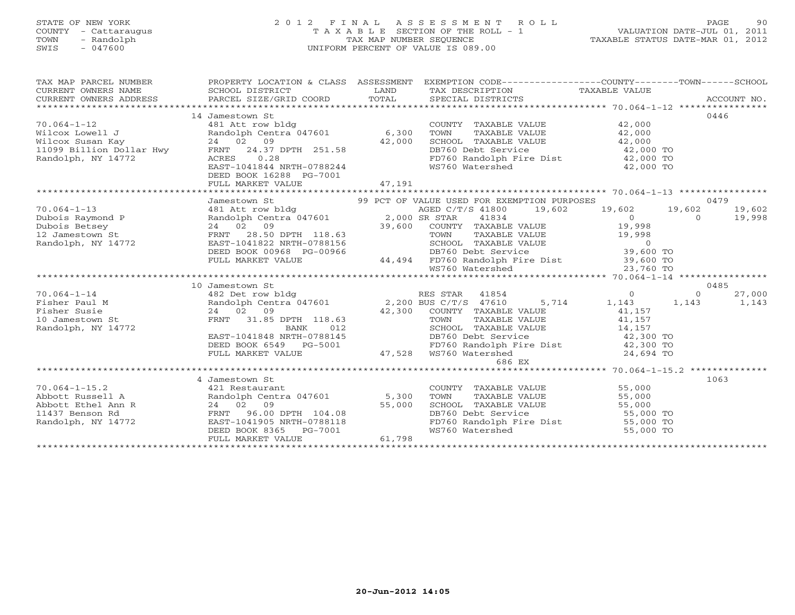# STATE OF NEW YORK 2 0 1 2 F I N A L A S S E S S M E N T R O L L PAGE 90 COUNTY - Cattaraugus T A X A B L E SECTION OF THE ROLL - 1 VALUATION DATE-JUL 01, 2011 TOWN - Randolph TAX MAP NUMBER SEQUENCE TAXABLE STATUS DATE-MAR 01, 2012 SWIS - 047600 UNIFORM PERCENT OF VALUE IS 089.00

|                                     | TAX MAP PARCEL NUMBER THE PROPERTY LOCATION & CLASS ASSESSMENT EXEMPTION CODE--------------COUNTY-------TOWN------SCHOOL                                                                                                                                                                                                                                                                                    |        |                                    |      |
|-------------------------------------|-------------------------------------------------------------------------------------------------------------------------------------------------------------------------------------------------------------------------------------------------------------------------------------------------------------------------------------------------------------------------------------------------------------|--------|------------------------------------|------|
| CURRENT OWNERS NAME SCHOOL DISTRICT |                                                                                                                                                                                                                                                                                                                                                                                                             |        | LAND TAX DESCRIPTION TAXABLE VALUE |      |
| CURRENT OWNERS ADDRESS              |                                                                                                                                                                                                                                                                                                                                                                                                             |        |                                    |      |
|                                     |                                                                                                                                                                                                                                                                                                                                                                                                             |        |                                    |      |
|                                     | 14 Jamestown St                                                                                                                                                                                                                                                                                                                                                                                             |        |                                    | 0446 |
|                                     | 14 Janus 14 Martin COUNTY TAXABLE VALUE<br>Wilcox Lowell J<br>Wilcox Susan Kay<br>24 02 09<br>24 02 09<br>24 02 09<br>24 02 09<br>24 02 09<br>24 02 09<br>24 02 09<br>24 02 09<br>24 02 09<br>24 02 09<br>24 02 09<br>24 02 09<br>24 02 09<br>24 02 09<br>24 02                                                                                                                                             |        |                                    |      |
|                                     |                                                                                                                                                                                                                                                                                                                                                                                                             |        |                                    |      |
|                                     |                                                                                                                                                                                                                                                                                                                                                                                                             |        |                                    |      |
|                                     |                                                                                                                                                                                                                                                                                                                                                                                                             |        |                                    |      |
|                                     |                                                                                                                                                                                                                                                                                                                                                                                                             |        |                                    |      |
|                                     |                                                                                                                                                                                                                                                                                                                                                                                                             |        |                                    |      |
|                                     | DEED BOOK 16288 PG-7001                                                                                                                                                                                                                                                                                                                                                                                     |        |                                    |      |
|                                     | FULL MARKET VALUE                                                                                                                                                                                                                                                                                                                                                                                           | 47,191 |                                    |      |
|                                     |                                                                                                                                                                                                                                                                                                                                                                                                             |        |                                    |      |
|                                     |                                                                                                                                                                                                                                                                                                                                                                                                             |        |                                    |      |
|                                     |                                                                                                                                                                                                                                                                                                                                                                                                             |        |                                    |      |
|                                     |                                                                                                                                                                                                                                                                                                                                                                                                             |        |                                    |      |
|                                     |                                                                                                                                                                                                                                                                                                                                                                                                             |        |                                    |      |
|                                     |                                                                                                                                                                                                                                                                                                                                                                                                             |        |                                    |      |
|                                     |                                                                                                                                                                                                                                                                                                                                                                                                             |        |                                    |      |
|                                     |                                                                                                                                                                                                                                                                                                                                                                                                             |        |                                    |      |
|                                     |                                                                                                                                                                                                                                                                                                                                                                                                             |        |                                    |      |
|                                     |                                                                                                                                                                                                                                                                                                                                                                                                             |        |                                    |      |
|                                     |                                                                                                                                                                                                                                                                                                                                                                                                             |        |                                    |      |
|                                     | 10 Jamestown St                                                                                                                                                                                                                                                                                                                                                                                             |        |                                    | 0485 |
|                                     |                                                                                                                                                                                                                                                                                                                                                                                                             |        |                                    |      |
|                                     |                                                                                                                                                                                                                                                                                                                                                                                                             |        |                                    |      |
|                                     |                                                                                                                                                                                                                                                                                                                                                                                                             |        |                                    |      |
|                                     |                                                                                                                                                                                                                                                                                                                                                                                                             |        |                                    |      |
|                                     |                                                                                                                                                                                                                                                                                                                                                                                                             |        |                                    |      |
|                                     |                                                                                                                                                                                                                                                                                                                                                                                                             |        |                                    |      |
|                                     |                                                                                                                                                                                                                                                                                                                                                                                                             |        |                                    |      |
|                                     |                                                                                                                                                                                                                                                                                                                                                                                                             |        |                                    |      |
|                                     |                                                                                                                                                                                                                                                                                                                                                                                                             |        | 686 EX                             |      |
|                                     |                                                                                                                                                                                                                                                                                                                                                                                                             |        |                                    |      |
|                                     | 4 Jamestown St                                                                                                                                                                                                                                                                                                                                                                                              |        |                                    | 1063 |
| $70.064 - 1 - 15.2$                 | 421 Restaurant                                                                                                                                                                                                                                                                                                                                                                                              |        | COUNTY TAXABLE VALUE 55,000        |      |
|                                     |                                                                                                                                                                                                                                                                                                                                                                                                             |        |                                    |      |
|                                     |                                                                                                                                                                                                                                                                                                                                                                                                             |        |                                    |      |
|                                     |                                                                                                                                                                                                                                                                                                                                                                                                             |        |                                    |      |
|                                     |                                                                                                                                                                                                                                                                                                                                                                                                             |        |                                    |      |
|                                     | $\begin{tabular}{c c c c c} \hline \text{70.004--1-15.2} & 421 \text{ Kestaurant} & 200 \text{ N} \\\hline \text{Abbott Russell1} & \text{R} & \text{Randolph} & \text{CduNTY} & \text{TAAABLE VALUE} & 55,000 \\ \text{Abbott Etsel Ann R} & 24 & 02 & 09 & 55,000 & \text{TOMN} & \text{TAXABLE VALUE} & 55,000 \\ \text{Abbott Etsle lAnn R} & 24 & 02 & 09 & 55,000 & \text{SCHOOL TAXABLE VALUE} & 55$ |        |                                    |      |
|                                     |                                                                                                                                                                                                                                                                                                                                                                                                             |        |                                    |      |
|                                     |                                                                                                                                                                                                                                                                                                                                                                                                             |        |                                    |      |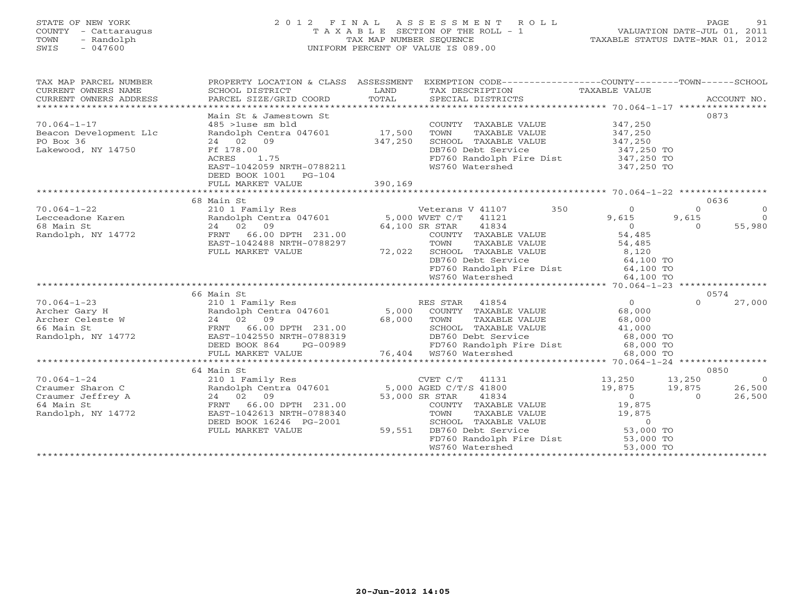#### STATE OF NEW YORK 2 0 1 2 F I N A L A S S E S S M E N T R O L L PAGE 91 COUNTY - Cattaraugus T A X A B L E SECTION OF THE ROLL - 1 VALUATION DATE-JUL 01, 2011 TOWN - Randolph TAX MAP NUMBER SEQUENCE TAXABLE STATUS DATE-MAR 01, 2012<br>
SWIS - 047600<br>
TAXABLE STATUS DATE-MAR 01, 2012 SWIS - 047600 UNIFORM PERCENT OF VALUE IS 089.00

| TAX MAP PARCEL NUMBER                           |                                                                                                             |         | PROPERTY LOCATION & CLASS ASSESSMENT EXEMPTION CODE----------------COUNTY-------TOWN------SCHOOL |                          |                |                          |
|-------------------------------------------------|-------------------------------------------------------------------------------------------------------------|---------|--------------------------------------------------------------------------------------------------|--------------------------|----------------|--------------------------|
| CURRENT OWNERS NAME                             | SCHOOL DISTRICT                                                                                             | LAND    | TAX DESCRIPTION                                                                                  | TAXABLE VALUE            |                |                          |
| CURRENT OWNERS ADDRESS                          | PARCEL SIZE/GRID COORD                                                                                      | TOTAL   | SPECIAL DISTRICTS                                                                                |                          |                | ACCOUNT NO.              |
|                                                 |                                                                                                             |         |                                                                                                  |                          |                |                          |
|                                                 | Main St & Jamestown St                                                                                      |         |                                                                                                  |                          | 0873           |                          |
| $70.064 - 1 - 17$                               | $485$ >1use sm bld                                                                                          |         | COUNTY TAXABLE VALUE                                                                             | 347,250                  |                |                          |
| Beacon Development Llc                          | Randolph Centra 047601 17,500                                                                               |         | TAXABLE VALUE<br>TOWN                                                                            | 347,250<br>347,250       |                |                          |
| PO Box 36                                       | 24 02 09                                                                                                    | 347,250 | SCHOOL TAXABLE VALUE                                                                             |                          |                |                          |
| Lakewood, NY 14750                              | Ff 178.00                                                                                                   |         | DB760 Debt Service                                                                               | 347,250 TO               |                |                          |
|                                                 | 1.75<br>ACRES                                                                                               |         | FD760 Randolph Fire Dist                                                                         | $347,250$ TO             |                |                          |
|                                                 | EAST-1042059 NRTH-0788211                                                                                   |         | WS760 Watershed                                                                                  | 347,250 TO               |                |                          |
|                                                 | DEED BOOK 1001<br>$PG-104$                                                                                  |         |                                                                                                  |                          |                |                          |
|                                                 |                                                                                                             |         |                                                                                                  |                          |                |                          |
|                                                 |                                                                                                             |         |                                                                                                  |                          |                |                          |
|                                                 | 68 Main St<br>210 1 Family Res<br>Randolph Centra 047601 5,000 WVET C/T 41121<br>24 02 09 64 100 20 20 1121 |         |                                                                                                  |                          | 0636           |                          |
| $70.064 - 1 - 22$                               |                                                                                                             |         | 350<br>Veterans V 41107                                                                          | $\overline{0}$           | $\Omega$       | $\overline{0}$           |
| Lecceadone Karen                                |                                                                                                             |         |                                                                                                  | 9,615                    | 9,615          | $\overline{0}$           |
| 68 Main St                                      |                                                                                                             |         |                                                                                                  | $\overline{0}$           | $\Omega$       | 55,980                   |
| Randolph, NY 14772                              | FRNT 66.00 DPTH 231.00                                                                                      |         | COUNTY TAXABLE VALUE                                                                             | 54,485                   |                |                          |
|                                                 | EAST-1042488 NRTH-0788297                                                                                   |         | TOWN<br>TAXABLE VALUE                                                                            | 54,485                   |                |                          |
|                                                 | FULL MARKET VALUE                                                                                           | 72,022  | SCHOOL TAXABLE VALUE 8,120                                                                       |                          |                |                          |
|                                                 |                                                                                                             |         | DB760 Debt Service<br>FD760 Randolph Fire Dist                                                   | 64,100 TO                |                |                          |
|                                                 |                                                                                                             |         |                                                                                                  | $64,100$ TO              |                |                          |
|                                                 |                                                                                                             |         | WS760 Watershed                                                                                  | 64,100 TO                |                |                          |
|                                                 |                                                                                                             |         |                                                                                                  |                          |                |                          |
|                                                 | 66 Main St                                                                                                  |         |                                                                                                  |                          | 0574           |                          |
| $70.064 - 1 - 23$                               | 210 1 Family Res                                                                                            |         | RES STAR 41854                                                                                   | $\overline{0}$           | $\Omega$       | 27,000                   |
| Archer Gary H<br>Archer Celeste W<br>66 Main St | Randolph Centra 047601                                                                                      |         | 5,000 COUNTY TAXABLE VALUE                                                                       | 68,000                   |                |                          |
|                                                 | 24 02 09                                                                                                    | 68,000  | TOWN<br>TAXABLE VALUE<br>SCHOOL TAXABLE VALUE 41,000                                             | 68,000                   |                |                          |
| 66 Main St                                      | FRNT 66.00 DPTH 231.00                                                                                      |         |                                                                                                  |                          |                |                          |
| Randolph, NY 14772                              | EAST-1042550 NRTH-0788319                                                                                   |         |                                                                                                  |                          |                |                          |
|                                                 | DEED BOOK 864<br>PG-00989                                                                                   |         |                                                                                                  |                          |                |                          |
|                                                 |                                                                                                             |         |                                                                                                  |                          |                |                          |
|                                                 |                                                                                                             |         |                                                                                                  |                          | 0850           |                          |
| $70.064 - 1 - 24$                               | 64 Main St                                                                                                  |         |                                                                                                  | $13,250$ $13,250$        |                |                          |
| Craumer Sharon C                                | 210 1 Family Res<br>Randolph Centra 047601 5,000 AGED C/T/S 41800                                           |         | $CVET C/T$ 41131                                                                                 |                          | 19,875         | $\overline{0}$<br>26,500 |
|                                                 | 24 02 09                                                                                                    |         |                                                                                                  | 19,875<br>$\overline{0}$ | $\overline{0}$ | 26,500                   |
| Craumer Jeffrey A<br>64 Main St                 | FRNT 66.00 DPTH 231.00                                                                                      |         | 53,000 SR STAR<br>41834<br>COUNTY TAXABLE VALUE                                                  | 19,875                   |                |                          |
|                                                 | EAST-1042613 NRTH-0788340                                                                                   |         |                                                                                                  |                          |                |                          |
| Randolph, NY 14772                              | DEED BOOK 16246 PG-2001                                                                                     |         | TAXABLE VALUE 19,875<br>TOWN<br>SCHOOL TAXABLE VALUE                                             |                          |                |                          |
|                                                 | FULL MARKET VALUE                                                                                           | 59,551  | DB760 Debt Service                                                                               | $\circ$<br>53,000 TO     |                |                          |
|                                                 |                                                                                                             |         |                                                                                                  |                          |                |                          |
|                                                 |                                                                                                             |         | FD760 Randolph Fire Dist 53,000 TO<br>WS760 Watershed                                            | 53,000 TO                |                |                          |
|                                                 |                                                                                                             |         |                                                                                                  |                          |                |                          |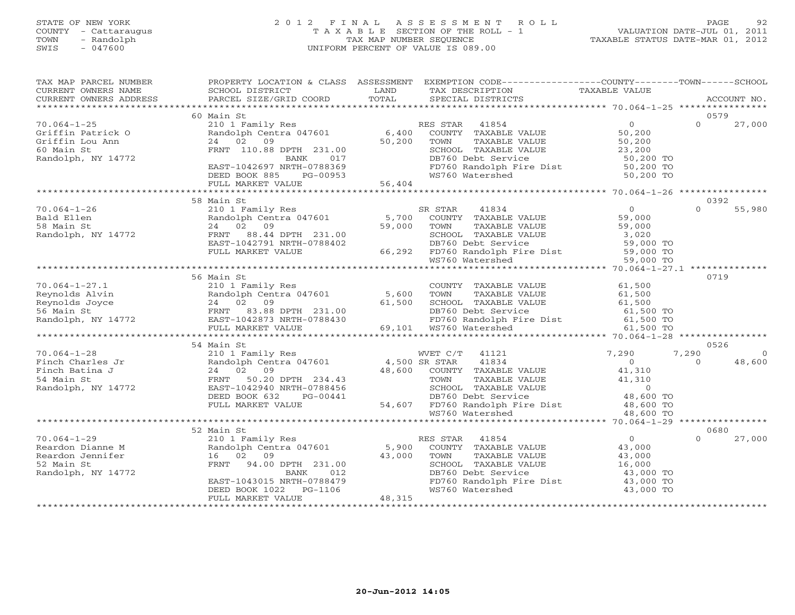# STATE OF NEW YORK 2 0 1 2 F I N A L A S S E S S M E N T R O L L PAGE 92 COUNTY - Cattaraugus T A X A B L E SECTION OF THE ROLL - 1 VALUATION DATE-JUL 01, 2011 TOWN - Randolph TAX MAP NUMBER SEQUENCE TAXABLE STATUS DATE-MAR 01, 2012 SWIS - 047600 UNIFORM PERCENT OF VALUE IS 089.00

| TAX MAP PARCEL NUMBER<br>CURRENT OWNERS NAME<br>CURRENT OWNERS ADDRESS                                             | SCHOOL DISTRICT<br>PARCEL SIZE/GRID COORD                                                                                            | LAND<br>TOTAL                   | PROPERTY LOCATION & CLASS ASSESSMENT EXEMPTION CODE---------------COUNTY-------TOWN-----SCHOOL<br>TAX DESCRIPTION TAXABLE VALUE<br>SPECIAL DISTRICTS |                                       | ACCOUNT NO.                |
|--------------------------------------------------------------------------------------------------------------------|--------------------------------------------------------------------------------------------------------------------------------------|---------------------------------|------------------------------------------------------------------------------------------------------------------------------------------------------|---------------------------------------|----------------------------|
|                                                                                                                    |                                                                                                                                      |                                 |                                                                                                                                                      |                                       |                            |
|                                                                                                                    | 60 Main St                                                                                                                           |                                 |                                                                                                                                                      |                                       | 0579                       |
| $70.064 - 1 - 25$<br>70.064-1-25<br>Griffin Patrick O<br>There's Lou Ann<br>60 Main St<br>Randolph, NY 14772       |                                                                                                                                      |                                 | 1210 1 Family Res<br>210 1 Family Res<br>Randolph Centra 047601 6,400 COUNTY TAXABLE VALUE 50,200<br>24 02 09 50,200 TOWN TAXABLE VALUE 50,200       |                                       | $\Omega$<br>27,000         |
|                                                                                                                    |                                                                                                                                      |                                 |                                                                                                                                                      |                                       |                            |
|                                                                                                                    |                                                                                                                                      |                                 |                                                                                                                                                      |                                       |                            |
|                                                                                                                    |                                                                                                                                      |                                 |                                                                                                                                                      |                                       | 0392<br>$\Omega$<br>55,980 |
|                                                                                                                    |                                                                                                                                      |                                 |                                                                                                                                                      |                                       |                            |
|                                                                                                                    | 56 Main St                                                                                                                           |                                 |                                                                                                                                                      |                                       | 0719                       |
|                                                                                                                    |                                                                                                                                      |                                 |                                                                                                                                                      |                                       |                            |
|                                                                                                                    | 54 Main St                                                                                                                           |                                 |                                                                                                                                                      |                                       | 0526                       |
|                                                                                                                    |                                                                                                                                      |                                 |                                                                                                                                                      |                                       |                            |
|                                                                                                                    | 52 Main St                                                                                                                           |                                 |                                                                                                                                                      |                                       | 0680                       |
| $70.064 - 1 - 29$<br>Reardon Dianne M<br>Reardon Jennifer<br>52 Main St<br>Randolph NY 14772<br>Randolph, NY 14772 | 16 02 09<br>FRNT 94.00 DPTH 231.00<br><b>BANK</b><br>012<br>EAST-1043015 NRTH-0788479<br>DEED BOOK 1022 PG-1106<br>FULL MARKET VALUE | 43,000 TOWN<br>SCHOOL<br>48,315 | TOWN TAXABLE VALUE 43,000<br>SCHOOL TAXABLE VALUE 16,000<br>DB760 Debt Service 43,000 TO<br>FD760 Randolph Fire Dist 43,000 TO<br>WS760 Watershed    | $\overline{0}$<br>43,000<br>43,000 TO | $\Omega$<br>27,000         |
|                                                                                                                    |                                                                                                                                      |                                 |                                                                                                                                                      |                                       |                            |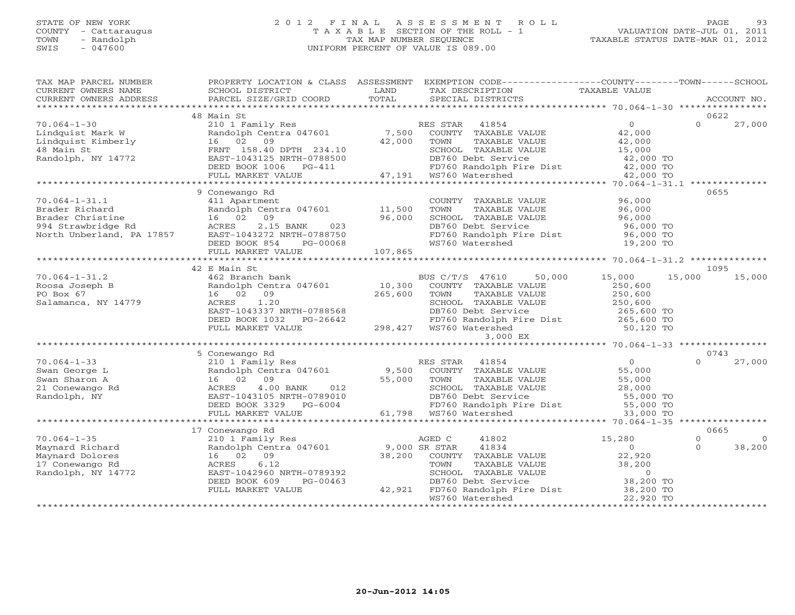# STATE OF NEW YORK 2 0 1 2 F I N A L A S S E S S M E N T R O L L PAGE 93 COUNTY - Cattaraugus T A X A B L E SECTION OF THE ROLL - 1 VALUATION DATE-JUL 01, 2011 TOWN - Randolph TAX MAP NUMBER SEQUENCE TAXABLE STATUS DATE-MAR 01, 2012 SWIS - 047600 UNIFORM PERCENT OF VALUE IS 089.00

| 48 Main St<br>0622<br>210 1 Family Res<br>Randolph Centra 047601 7,500 COUNTY TAXABLE VALUE<br>16 02 09 42,000 TOWN TAXABLE VALUE<br>$70.064 - 1 - 30$<br>$\Omega$<br>27,000<br>Lindquist Mark W<br>Lindquist Kimberly<br>16 02 09<br>42,000<br>48 Main St<br>FRNT 158.40 DPTH 234.10<br>EAST-1043125 NRTH-0788500<br>DEED BOOK 1006 PG-411 PDF760 Randolph F<br>FULL MARKET VALUE 47,191 WS760 Watershed<br>Randolph, NY 14772<br>9 Conewango Rd<br>0655<br>COUNTY TAXABLE VALUE<br>$70.064 - 1 - 31.1$<br>411 Apartment<br>96,000<br>Part Apartment<br>Randolph Centra 047601 11,500<br>16 02 09 96,000<br>Brader Richard<br>DB760 Debt Service<br>FD760 Randolph Fire Dist<br>WS760 Watershed 19,200 TO<br>WS760 Watershed 19,200 TO<br>FULL MARKET VALUE 107,865<br>42 E Main St<br>1095<br>462 Branch bank<br>50,000<br>15,000<br>15,000<br>$70.064 - 1 - 31.2$<br>BUS C/T/S 47610<br>15,000<br>Randolph Centra 047601 10,300<br>Roosa Joseph B<br>PO Box 67<br>Salamanca, NY 14779<br>COUNTY TAXABLE VALUE<br>250,600<br>$265,600$ TOWN<br>16 02 09<br>CHE CONDUCT TO CONTROL CHE CONTROL TO THE VALUE 250,600<br>DETENT 250,600<br>DETENT Service<br>1.20<br>ACRES<br>EAST-1043337 NRTH-0788568<br>DB760 Debt Service<br>PD760 Debt Service<br>FD760 Randolph Fire Dist<br>FD760 Randolph Fire Dist<br>F0 120 TO<br>EAST-1043337 NRTH-0788568<br>DEED BOOK 1032 PG-26642 FD760 Randolph Fire Dist<br>FULL MARKET VALUE 298,427 WS760 Watershed<br>3,000 EX<br>50,120 TO<br>5 Conewango Rd<br>0743<br>ES STAR 41854 0<br>210 1 Family Res RES STAR 41854 0<br>Randolph Centra 047601 9,500 COUNTY TAXABLE VALUE 55,000<br>16 02 09 55,000 TOWN TAXABLE VALUE 55,000<br>ACRES 4.00 BANK 012 SCHOOL TAXABLE VALUE 28,000<br>EAST-1043105 NRTH-07<br>$70.064 - 1 - 33$<br>$\Omega$<br>27,000<br>$\begin{tabular}{cc} \texttt{210} & \texttt{Family} \\ \texttt{Random Cent} \\ \texttt{16} & \texttt{02} & \texttt{09} \\ \texttt{ACRES} & \texttt{4.00} \\ \texttt{EAST-1043105} \\ \texttt{mm} \end{tabular}$<br>Swan George L<br>Swan Sharon A<br>21 Conewango Rd<br>Randolph, NY<br>17 Conewango Rd<br>0665<br>$70.064 - 1 - 35$<br>210 1 Family Res<br>AGED C<br>41802<br>15,280<br>$\Omega$<br>$\Omega$<br>Randolph Centra 047601 9,000 SR STAR<br>$\overline{0}$<br>38,200<br>Maynard Richard<br>41834<br>$\Omega$<br>38,200<br>16 02 09<br>Maynard Dolores<br>COUNTY TAXABLE VALUE<br>22,920<br>TOWN TAXABLE VALUE 38,200<br>TOWN TAXABLE VALUE 38,200<br>SCHOOL TAXABLE VALUE 0<br>DB760 Debt Service 38,200 TO<br>42,921 FD760 Randolph Fire Dist 38,200 TO<br>WS760 Watershed 22,920 TO<br>17 Conewango Rd<br>ACRES<br>6.12<br>Randolph, NY 14772<br>EAST-1042960 NRTH-0789392<br>DEED BOOK 609<br>PG-00463<br>FULL MARKET VALUE | TAX MAP PARCEL NUMBER<br>CURRENT OWNERS NAME<br>CURRENT OWNERS ADDRESS | SCHOOL DISTRICT<br>PARCEL SIZE/GRID COORD | LAND<br>TOTAL | PROPERTY LOCATION & CLASS ASSESSMENT EXEMPTION CODE---------------COUNTY-------TOWN------SCHOOL<br>TAX DESCRIPTION<br>SPECIAL DISTRICTS | TAXABLE VALUE | ACCOUNT NO. |
|------------------------------------------------------------------------------------------------------------------------------------------------------------------------------------------------------------------------------------------------------------------------------------------------------------------------------------------------------------------------------------------------------------------------------------------------------------------------------------------------------------------------------------------------------------------------------------------------------------------------------------------------------------------------------------------------------------------------------------------------------------------------------------------------------------------------------------------------------------------------------------------------------------------------------------------------------------------------------------------------------------------------------------------------------------------------------------------------------------------------------------------------------------------------------------------------------------------------------------------------------------------------------------------------------------------------------------------------------------------------------------------------------------------------------------------------------------------------------------------------------------------------------------------------------------------------------------------------------------------------------------------------------------------------------------------------------------------------------------------------------------------------------------------------------------------------------------------------------------------------------------------------------------------------------------------------------------------------------------------------------------------------------------------------------------------------------------------------------------------------------------------------------------------------------------------------------------------------------------------------------------------------------------------------------------------------------------------------------------------------------------------------------------------------------------------------------------------------------------------------------------------------------------------------------------------------------------------------------------------------------------------------------------------------------------------------------------------------------------------------|------------------------------------------------------------------------|-------------------------------------------|---------------|-----------------------------------------------------------------------------------------------------------------------------------------|---------------|-------------|
|                                                                                                                                                                                                                                                                                                                                                                                                                                                                                                                                                                                                                                                                                                                                                                                                                                                                                                                                                                                                                                                                                                                                                                                                                                                                                                                                                                                                                                                                                                                                                                                                                                                                                                                                                                                                                                                                                                                                                                                                                                                                                                                                                                                                                                                                                                                                                                                                                                                                                                                                                                                                                                                                                                                                                |                                                                        |                                           |               |                                                                                                                                         |               |             |
|                                                                                                                                                                                                                                                                                                                                                                                                                                                                                                                                                                                                                                                                                                                                                                                                                                                                                                                                                                                                                                                                                                                                                                                                                                                                                                                                                                                                                                                                                                                                                                                                                                                                                                                                                                                                                                                                                                                                                                                                                                                                                                                                                                                                                                                                                                                                                                                                                                                                                                                                                                                                                                                                                                                                                |                                                                        |                                           |               |                                                                                                                                         |               |             |
|                                                                                                                                                                                                                                                                                                                                                                                                                                                                                                                                                                                                                                                                                                                                                                                                                                                                                                                                                                                                                                                                                                                                                                                                                                                                                                                                                                                                                                                                                                                                                                                                                                                                                                                                                                                                                                                                                                                                                                                                                                                                                                                                                                                                                                                                                                                                                                                                                                                                                                                                                                                                                                                                                                                                                |                                                                        |                                           |               |                                                                                                                                         |               |             |
|                                                                                                                                                                                                                                                                                                                                                                                                                                                                                                                                                                                                                                                                                                                                                                                                                                                                                                                                                                                                                                                                                                                                                                                                                                                                                                                                                                                                                                                                                                                                                                                                                                                                                                                                                                                                                                                                                                                                                                                                                                                                                                                                                                                                                                                                                                                                                                                                                                                                                                                                                                                                                                                                                                                                                |                                                                        |                                           |               |                                                                                                                                         |               |             |
|                                                                                                                                                                                                                                                                                                                                                                                                                                                                                                                                                                                                                                                                                                                                                                                                                                                                                                                                                                                                                                                                                                                                                                                                                                                                                                                                                                                                                                                                                                                                                                                                                                                                                                                                                                                                                                                                                                                                                                                                                                                                                                                                                                                                                                                                                                                                                                                                                                                                                                                                                                                                                                                                                                                                                |                                                                        |                                           |               |                                                                                                                                         |               |             |
|                                                                                                                                                                                                                                                                                                                                                                                                                                                                                                                                                                                                                                                                                                                                                                                                                                                                                                                                                                                                                                                                                                                                                                                                                                                                                                                                                                                                                                                                                                                                                                                                                                                                                                                                                                                                                                                                                                                                                                                                                                                                                                                                                                                                                                                                                                                                                                                                                                                                                                                                                                                                                                                                                                                                                |                                                                        |                                           |               |                                                                                                                                         |               |             |
|                                                                                                                                                                                                                                                                                                                                                                                                                                                                                                                                                                                                                                                                                                                                                                                                                                                                                                                                                                                                                                                                                                                                                                                                                                                                                                                                                                                                                                                                                                                                                                                                                                                                                                                                                                                                                                                                                                                                                                                                                                                                                                                                                                                                                                                                                                                                                                                                                                                                                                                                                                                                                                                                                                                                                |                                                                        |                                           |               |                                                                                                                                         |               |             |
|                                                                                                                                                                                                                                                                                                                                                                                                                                                                                                                                                                                                                                                                                                                                                                                                                                                                                                                                                                                                                                                                                                                                                                                                                                                                                                                                                                                                                                                                                                                                                                                                                                                                                                                                                                                                                                                                                                                                                                                                                                                                                                                                                                                                                                                                                                                                                                                                                                                                                                                                                                                                                                                                                                                                                |                                                                        |                                           |               |                                                                                                                                         |               |             |
|                                                                                                                                                                                                                                                                                                                                                                                                                                                                                                                                                                                                                                                                                                                                                                                                                                                                                                                                                                                                                                                                                                                                                                                                                                                                                                                                                                                                                                                                                                                                                                                                                                                                                                                                                                                                                                                                                                                                                                                                                                                                                                                                                                                                                                                                                                                                                                                                                                                                                                                                                                                                                                                                                                                                                |                                                                        |                                           |               |                                                                                                                                         |               |             |
|                                                                                                                                                                                                                                                                                                                                                                                                                                                                                                                                                                                                                                                                                                                                                                                                                                                                                                                                                                                                                                                                                                                                                                                                                                                                                                                                                                                                                                                                                                                                                                                                                                                                                                                                                                                                                                                                                                                                                                                                                                                                                                                                                                                                                                                                                                                                                                                                                                                                                                                                                                                                                                                                                                                                                |                                                                        |                                           |               |                                                                                                                                         |               |             |
|                                                                                                                                                                                                                                                                                                                                                                                                                                                                                                                                                                                                                                                                                                                                                                                                                                                                                                                                                                                                                                                                                                                                                                                                                                                                                                                                                                                                                                                                                                                                                                                                                                                                                                                                                                                                                                                                                                                                                                                                                                                                                                                                                                                                                                                                                                                                                                                                                                                                                                                                                                                                                                                                                                                                                |                                                                        |                                           |               |                                                                                                                                         |               |             |
|                                                                                                                                                                                                                                                                                                                                                                                                                                                                                                                                                                                                                                                                                                                                                                                                                                                                                                                                                                                                                                                                                                                                                                                                                                                                                                                                                                                                                                                                                                                                                                                                                                                                                                                                                                                                                                                                                                                                                                                                                                                                                                                                                                                                                                                                                                                                                                                                                                                                                                                                                                                                                                                                                                                                                |                                                                        |                                           |               |                                                                                                                                         |               |             |
|                                                                                                                                                                                                                                                                                                                                                                                                                                                                                                                                                                                                                                                                                                                                                                                                                                                                                                                                                                                                                                                                                                                                                                                                                                                                                                                                                                                                                                                                                                                                                                                                                                                                                                                                                                                                                                                                                                                                                                                                                                                                                                                                                                                                                                                                                                                                                                                                                                                                                                                                                                                                                                                                                                                                                |                                                                        |                                           |               |                                                                                                                                         |               |             |
|                                                                                                                                                                                                                                                                                                                                                                                                                                                                                                                                                                                                                                                                                                                                                                                                                                                                                                                                                                                                                                                                                                                                                                                                                                                                                                                                                                                                                                                                                                                                                                                                                                                                                                                                                                                                                                                                                                                                                                                                                                                                                                                                                                                                                                                                                                                                                                                                                                                                                                                                                                                                                                                                                                                                                |                                                                        |                                           |               |                                                                                                                                         |               |             |
|                                                                                                                                                                                                                                                                                                                                                                                                                                                                                                                                                                                                                                                                                                                                                                                                                                                                                                                                                                                                                                                                                                                                                                                                                                                                                                                                                                                                                                                                                                                                                                                                                                                                                                                                                                                                                                                                                                                                                                                                                                                                                                                                                                                                                                                                                                                                                                                                                                                                                                                                                                                                                                                                                                                                                |                                                                        |                                           |               |                                                                                                                                         |               |             |
|                                                                                                                                                                                                                                                                                                                                                                                                                                                                                                                                                                                                                                                                                                                                                                                                                                                                                                                                                                                                                                                                                                                                                                                                                                                                                                                                                                                                                                                                                                                                                                                                                                                                                                                                                                                                                                                                                                                                                                                                                                                                                                                                                                                                                                                                                                                                                                                                                                                                                                                                                                                                                                                                                                                                                |                                                                        |                                           |               |                                                                                                                                         |               |             |
|                                                                                                                                                                                                                                                                                                                                                                                                                                                                                                                                                                                                                                                                                                                                                                                                                                                                                                                                                                                                                                                                                                                                                                                                                                                                                                                                                                                                                                                                                                                                                                                                                                                                                                                                                                                                                                                                                                                                                                                                                                                                                                                                                                                                                                                                                                                                                                                                                                                                                                                                                                                                                                                                                                                                                |                                                                        |                                           |               |                                                                                                                                         |               |             |
|                                                                                                                                                                                                                                                                                                                                                                                                                                                                                                                                                                                                                                                                                                                                                                                                                                                                                                                                                                                                                                                                                                                                                                                                                                                                                                                                                                                                                                                                                                                                                                                                                                                                                                                                                                                                                                                                                                                                                                                                                                                                                                                                                                                                                                                                                                                                                                                                                                                                                                                                                                                                                                                                                                                                                |                                                                        |                                           |               |                                                                                                                                         |               |             |
|                                                                                                                                                                                                                                                                                                                                                                                                                                                                                                                                                                                                                                                                                                                                                                                                                                                                                                                                                                                                                                                                                                                                                                                                                                                                                                                                                                                                                                                                                                                                                                                                                                                                                                                                                                                                                                                                                                                                                                                                                                                                                                                                                                                                                                                                                                                                                                                                                                                                                                                                                                                                                                                                                                                                                |                                                                        |                                           |               |                                                                                                                                         |               |             |
|                                                                                                                                                                                                                                                                                                                                                                                                                                                                                                                                                                                                                                                                                                                                                                                                                                                                                                                                                                                                                                                                                                                                                                                                                                                                                                                                                                                                                                                                                                                                                                                                                                                                                                                                                                                                                                                                                                                                                                                                                                                                                                                                                                                                                                                                                                                                                                                                                                                                                                                                                                                                                                                                                                                                                |                                                                        |                                           |               |                                                                                                                                         |               |             |
|                                                                                                                                                                                                                                                                                                                                                                                                                                                                                                                                                                                                                                                                                                                                                                                                                                                                                                                                                                                                                                                                                                                                                                                                                                                                                                                                                                                                                                                                                                                                                                                                                                                                                                                                                                                                                                                                                                                                                                                                                                                                                                                                                                                                                                                                                                                                                                                                                                                                                                                                                                                                                                                                                                                                                |                                                                        |                                           |               |                                                                                                                                         |               |             |
|                                                                                                                                                                                                                                                                                                                                                                                                                                                                                                                                                                                                                                                                                                                                                                                                                                                                                                                                                                                                                                                                                                                                                                                                                                                                                                                                                                                                                                                                                                                                                                                                                                                                                                                                                                                                                                                                                                                                                                                                                                                                                                                                                                                                                                                                                                                                                                                                                                                                                                                                                                                                                                                                                                                                                |                                                                        |                                           |               |                                                                                                                                         |               |             |
|                                                                                                                                                                                                                                                                                                                                                                                                                                                                                                                                                                                                                                                                                                                                                                                                                                                                                                                                                                                                                                                                                                                                                                                                                                                                                                                                                                                                                                                                                                                                                                                                                                                                                                                                                                                                                                                                                                                                                                                                                                                                                                                                                                                                                                                                                                                                                                                                                                                                                                                                                                                                                                                                                                                                                |                                                                        |                                           |               |                                                                                                                                         |               |             |
|                                                                                                                                                                                                                                                                                                                                                                                                                                                                                                                                                                                                                                                                                                                                                                                                                                                                                                                                                                                                                                                                                                                                                                                                                                                                                                                                                                                                                                                                                                                                                                                                                                                                                                                                                                                                                                                                                                                                                                                                                                                                                                                                                                                                                                                                                                                                                                                                                                                                                                                                                                                                                                                                                                                                                |                                                                        |                                           |               |                                                                                                                                         |               |             |
|                                                                                                                                                                                                                                                                                                                                                                                                                                                                                                                                                                                                                                                                                                                                                                                                                                                                                                                                                                                                                                                                                                                                                                                                                                                                                                                                                                                                                                                                                                                                                                                                                                                                                                                                                                                                                                                                                                                                                                                                                                                                                                                                                                                                                                                                                                                                                                                                                                                                                                                                                                                                                                                                                                                                                |                                                                        |                                           |               |                                                                                                                                         |               |             |
|                                                                                                                                                                                                                                                                                                                                                                                                                                                                                                                                                                                                                                                                                                                                                                                                                                                                                                                                                                                                                                                                                                                                                                                                                                                                                                                                                                                                                                                                                                                                                                                                                                                                                                                                                                                                                                                                                                                                                                                                                                                                                                                                                                                                                                                                                                                                                                                                                                                                                                                                                                                                                                                                                                                                                |                                                                        |                                           |               |                                                                                                                                         |               |             |
|                                                                                                                                                                                                                                                                                                                                                                                                                                                                                                                                                                                                                                                                                                                                                                                                                                                                                                                                                                                                                                                                                                                                                                                                                                                                                                                                                                                                                                                                                                                                                                                                                                                                                                                                                                                                                                                                                                                                                                                                                                                                                                                                                                                                                                                                                                                                                                                                                                                                                                                                                                                                                                                                                                                                                |                                                                        |                                           |               |                                                                                                                                         |               |             |
|                                                                                                                                                                                                                                                                                                                                                                                                                                                                                                                                                                                                                                                                                                                                                                                                                                                                                                                                                                                                                                                                                                                                                                                                                                                                                                                                                                                                                                                                                                                                                                                                                                                                                                                                                                                                                                                                                                                                                                                                                                                                                                                                                                                                                                                                                                                                                                                                                                                                                                                                                                                                                                                                                                                                                |                                                                        |                                           |               |                                                                                                                                         |               |             |
|                                                                                                                                                                                                                                                                                                                                                                                                                                                                                                                                                                                                                                                                                                                                                                                                                                                                                                                                                                                                                                                                                                                                                                                                                                                                                                                                                                                                                                                                                                                                                                                                                                                                                                                                                                                                                                                                                                                                                                                                                                                                                                                                                                                                                                                                                                                                                                                                                                                                                                                                                                                                                                                                                                                                                |                                                                        |                                           |               |                                                                                                                                         |               |             |
|                                                                                                                                                                                                                                                                                                                                                                                                                                                                                                                                                                                                                                                                                                                                                                                                                                                                                                                                                                                                                                                                                                                                                                                                                                                                                                                                                                                                                                                                                                                                                                                                                                                                                                                                                                                                                                                                                                                                                                                                                                                                                                                                                                                                                                                                                                                                                                                                                                                                                                                                                                                                                                                                                                                                                |                                                                        |                                           |               |                                                                                                                                         |               |             |
|                                                                                                                                                                                                                                                                                                                                                                                                                                                                                                                                                                                                                                                                                                                                                                                                                                                                                                                                                                                                                                                                                                                                                                                                                                                                                                                                                                                                                                                                                                                                                                                                                                                                                                                                                                                                                                                                                                                                                                                                                                                                                                                                                                                                                                                                                                                                                                                                                                                                                                                                                                                                                                                                                                                                                |                                                                        |                                           |               |                                                                                                                                         |               |             |
|                                                                                                                                                                                                                                                                                                                                                                                                                                                                                                                                                                                                                                                                                                                                                                                                                                                                                                                                                                                                                                                                                                                                                                                                                                                                                                                                                                                                                                                                                                                                                                                                                                                                                                                                                                                                                                                                                                                                                                                                                                                                                                                                                                                                                                                                                                                                                                                                                                                                                                                                                                                                                                                                                                                                                |                                                                        |                                           |               |                                                                                                                                         |               |             |
|                                                                                                                                                                                                                                                                                                                                                                                                                                                                                                                                                                                                                                                                                                                                                                                                                                                                                                                                                                                                                                                                                                                                                                                                                                                                                                                                                                                                                                                                                                                                                                                                                                                                                                                                                                                                                                                                                                                                                                                                                                                                                                                                                                                                                                                                                                                                                                                                                                                                                                                                                                                                                                                                                                                                                |                                                                        |                                           |               |                                                                                                                                         |               |             |
|                                                                                                                                                                                                                                                                                                                                                                                                                                                                                                                                                                                                                                                                                                                                                                                                                                                                                                                                                                                                                                                                                                                                                                                                                                                                                                                                                                                                                                                                                                                                                                                                                                                                                                                                                                                                                                                                                                                                                                                                                                                                                                                                                                                                                                                                                                                                                                                                                                                                                                                                                                                                                                                                                                                                                |                                                                        |                                           |               |                                                                                                                                         |               |             |
|                                                                                                                                                                                                                                                                                                                                                                                                                                                                                                                                                                                                                                                                                                                                                                                                                                                                                                                                                                                                                                                                                                                                                                                                                                                                                                                                                                                                                                                                                                                                                                                                                                                                                                                                                                                                                                                                                                                                                                                                                                                                                                                                                                                                                                                                                                                                                                                                                                                                                                                                                                                                                                                                                                                                                |                                                                        |                                           |               |                                                                                                                                         |               |             |
|                                                                                                                                                                                                                                                                                                                                                                                                                                                                                                                                                                                                                                                                                                                                                                                                                                                                                                                                                                                                                                                                                                                                                                                                                                                                                                                                                                                                                                                                                                                                                                                                                                                                                                                                                                                                                                                                                                                                                                                                                                                                                                                                                                                                                                                                                                                                                                                                                                                                                                                                                                                                                                                                                                                                                |                                                                        |                                           |               |                                                                                                                                         |               |             |
|                                                                                                                                                                                                                                                                                                                                                                                                                                                                                                                                                                                                                                                                                                                                                                                                                                                                                                                                                                                                                                                                                                                                                                                                                                                                                                                                                                                                                                                                                                                                                                                                                                                                                                                                                                                                                                                                                                                                                                                                                                                                                                                                                                                                                                                                                                                                                                                                                                                                                                                                                                                                                                                                                                                                                |                                                                        |                                           |               |                                                                                                                                         |               |             |
|                                                                                                                                                                                                                                                                                                                                                                                                                                                                                                                                                                                                                                                                                                                                                                                                                                                                                                                                                                                                                                                                                                                                                                                                                                                                                                                                                                                                                                                                                                                                                                                                                                                                                                                                                                                                                                                                                                                                                                                                                                                                                                                                                                                                                                                                                                                                                                                                                                                                                                                                                                                                                                                                                                                                                |                                                                        |                                           |               |                                                                                                                                         |               |             |
|                                                                                                                                                                                                                                                                                                                                                                                                                                                                                                                                                                                                                                                                                                                                                                                                                                                                                                                                                                                                                                                                                                                                                                                                                                                                                                                                                                                                                                                                                                                                                                                                                                                                                                                                                                                                                                                                                                                                                                                                                                                                                                                                                                                                                                                                                                                                                                                                                                                                                                                                                                                                                                                                                                                                                |                                                                        |                                           |               |                                                                                                                                         |               |             |
|                                                                                                                                                                                                                                                                                                                                                                                                                                                                                                                                                                                                                                                                                                                                                                                                                                                                                                                                                                                                                                                                                                                                                                                                                                                                                                                                                                                                                                                                                                                                                                                                                                                                                                                                                                                                                                                                                                                                                                                                                                                                                                                                                                                                                                                                                                                                                                                                                                                                                                                                                                                                                                                                                                                                                |                                                                        |                                           |               |                                                                                                                                         |               |             |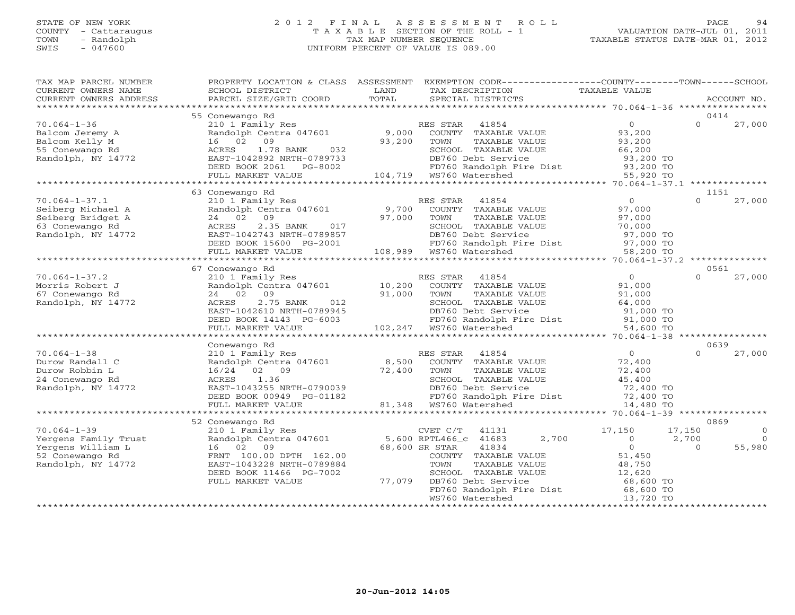# STATE OF NEW YORK 2 0 1 2 F I N A L A S S E S S M E N T R O L L PAGE 94 COUNTY - Cattaraugus T A X A B L E SECTION OF THE ROLL - 1 VALUATION DATE-JUL 01, 2011 TOWN - Randolph TAX MAP NUMBER SEQUENCE TAXABLE STATUS DATE-MAR 01, 2012 SWIS - 047600 UNIFORM PERCENT OF VALUE IS 089.00

| TAX MAP PARCEL NUMBER<br>CURRENT OWNERS NAME<br>CURRENT OWNERS ADDRESS | PROPERTY LOCATION & CLASS ASSESSMENT<br>SCHOOL DISTRICT<br>PARCEL SIZE/GRID COORD | LAND<br>TOTAL | EXEMPTION CODE-----------------COUNTY-------TOWN------SCHOOL<br>TAX DESCRIPTION<br>SPECIAL DISTRICTS | TAXABLE VALUE                       | ACCOUNT NO.                |          |
|------------------------------------------------------------------------|-----------------------------------------------------------------------------------|---------------|------------------------------------------------------------------------------------------------------|-------------------------------------|----------------------------|----------|
|                                                                        |                                                                                   |               |                                                                                                      |                                     |                            |          |
| $70.064 - 1 - 36$<br>Balcom Jeremy A                                   | 55 Conewango Rd<br>210 1 Family Res<br>Randolph Centra 047601                     | 9,000         | RES STAR<br>41854<br>COUNTY TAXABLE VALUE                                                            | $\overline{0}$<br>93,200            | 0414<br>$\Omega$<br>27,000 |          |
| Balcom Kelly M<br>55 Conewango Rd                                      | 16 02<br>09<br>ACRES<br>1.78 BANK<br>032                                          | 93,200        | TOWN<br>TAXABLE VALUE<br>SCHOOL TAXABLE VALUE                                                        | 93,200<br>66,200                    |                            |          |
| Randolph, NY 14772                                                     | EAST-1042892 NRTH-0789733<br>DEED BOOK 2061 PG-8002<br>FULL MARKET VALUE          |               | DB760 Debt Service<br>FD760 Randolph Fire Dist<br>WS760 Watershed<br>104,719 WS760 Watershed         | 93,200 TO<br>93,200 TO<br>55,920 TO |                            |          |
|                                                                        |                                                                                   |               |                                                                                                      |                                     |                            |          |
|                                                                        | 63 Conewango Rd                                                                   |               |                                                                                                      |                                     | 1151                       |          |
| $70.064 - 1 - 37.1$                                                    | 210 1 Family Res                                                                  |               | RES STAR 41854                                                                                       | $\circ$                             | $\Omega$<br>27,000         |          |
| Seiberg Michael A                                                      | Randolph Centra 047601                                                            | 9,700         | COUNTY TAXABLE VALUE                                                                                 | 97,000                              |                            |          |
| Seiberg Bridget A                                                      | 24 02<br>09                                                                       | 97,000        | TOWN<br>TAXABLE VALUE                                                                                | 97,000                              |                            |          |
| 63 Conewango Rd                                                        | 2.35 BANK<br>017<br>ACRES                                                         |               | SCHOOL TAXABLE VALUE                                                                                 | 70,000                              |                            |          |
| Randolph, NY 14772                                                     | EAST-1042743 NRTH-0789857                                                         |               | DB760 Debt Service                                                                                   | 97,000 TO                           |                            |          |
|                                                                        | DEED BOOK 15600 PG-2001                                                           |               | FD760 Randolph Fire Dist 97,000 TO<br>WS760 Watershed 58,200 TO                                      |                                     |                            |          |
|                                                                        | FULL MARKET VALUE                                                                 |               | 108,989 WS760 Watershed                                                                              |                                     |                            |          |
|                                                                        |                                                                                   |               |                                                                                                      |                                     |                            |          |
|                                                                        | 67 Conewango Rd                                                                   |               |                                                                                                      |                                     | 0561                       |          |
| $70.064 - 1 - 37.2$                                                    | 210 1 Family Res                                                                  |               | RES STAR<br>41854                                                                                    | $\overline{0}$                      | $\Omega$<br>27,000         |          |
| Morris Robert J                                                        | Randolph Centra 047601                                                            | 10,200        | COUNTY TAXABLE VALUE                                                                                 | 91,000                              |                            |          |
| 67 Conewango Rd                                                        | 24 02 09<br>012                                                                   | 91,000        | TOWN<br>TAXABLE VALUE                                                                                | 91,000                              |                            |          |
| Randolph, NY 14772                                                     | 2.75 BANK<br>ACRES<br>EAST-1042610 NRTH-0789945                                   |               | SCHOOL TAXABLE VALUE<br>DB760 Debt Service                                                           | 64,000<br>91,000 TO                 |                            |          |
|                                                                        | DEED BOOK 14143 PG-6003                                                           |               | FD760 Randolph Fire Dist 91,000 TO                                                                   |                                     |                            |          |
|                                                                        | FULL MARKET VALUE                                                                 |               | 102,247 WS760 Watershed                                                                              | 54,600 TO                           |                            |          |
|                                                                        | * * * * * * * * * * * * * * * * * * *                                             |               | *******************************                                                                      | ********* 70.064-1-38               |                            |          |
|                                                                        | Conewango Rd                                                                      |               |                                                                                                      |                                     | 0639                       |          |
| $70.064 - 1 - 38$                                                      | 210 1 Family Res                                                                  |               | RES STAR<br>41854                                                                                    | $\overline{O}$                      | 27,000<br>$\cap$           |          |
| Durow Randall C                                                        | Randolph Centra 047601                                                            | 8,500         | COUNTY TAXABLE VALUE                                                                                 | 72,400                              |                            |          |
| Durow Robbin L                                                         | 16/24 02 09                                                                       | 72,400        | TOWN<br>TAXABLE VALUE                                                                                | 72,400                              |                            |          |
| 24 Conewango Rd                                                        | 1.36<br>ACRES                                                                     |               | SCHOOL TAXABLE VALUE                                                                                 | 45,400                              |                            |          |
| Randolph, NY 14772                                                     | EAST-1043255 NRTH-0790039                                                         |               | DB760 Debt Service                                                                                   | 72,400 TO                           |                            |          |
|                                                                        | DEED BOOK 00949 PG-01182                                                          |               | FD760 Randolph Fire Dist                                                                             | 72,400 TO                           |                            |          |
|                                                                        | FULL MARKET VALUE                                                                 |               | 81,348 WS760 Watershed                                                                               | 14,480 TO                           |                            |          |
|                                                                        |                                                                                   |               |                                                                                                      |                                     | **************             |          |
|                                                                        | 52 Conewango Rd                                                                   |               |                                                                                                      |                                     | 0869                       |          |
| $70.064 - 1 - 39$                                                      | 210 1 Family Res                                                                  |               | CVET C/T<br>41131                                                                                    | 17,150                              | 17,150                     | $\circ$  |
| Yergens Family Trust                                                   | Randolph Centra 047601                                                            |               | 2,700<br>5,600 RPTL466_c 41683                                                                       | $\circ$                             | 2,700                      | $\Omega$ |
| Yergens William L                                                      | 16 02<br>09                                                                       |               | 68,600 SR STAR<br>41834                                                                              | $\circ$                             | 55,980<br>$\Omega$         |          |
| 52 Conewango Rd                                                        | FRNT 100.00 DPTH 162.00                                                           |               | COUNTY TAXABLE VALUE                                                                                 | 51,450                              |                            |          |
| Randolph, NY 14772                                                     | EAST-1043228 NRTH-0789884                                                         |               | TOWN<br>TAXABLE VALUE                                                                                | 48,750                              |                            |          |
|                                                                        | DEED BOOK 11466 PG-7002                                                           |               | SCHOOL TAXABLE VALUE                                                                                 | 12,620                              |                            |          |
|                                                                        | FULL MARKET VALUE                                                                 | 77,079        | DB760 Debt Service                                                                                   | 68,600 TO<br>$68,600$ TO            |                            |          |
|                                                                        |                                                                                   |               | FD760 Randolph Fire Dist                                                                             |                                     |                            |          |
|                                                                        |                                                                                   |               | WS760 Watershed                                                                                      | 13,720 TO                           |                            |          |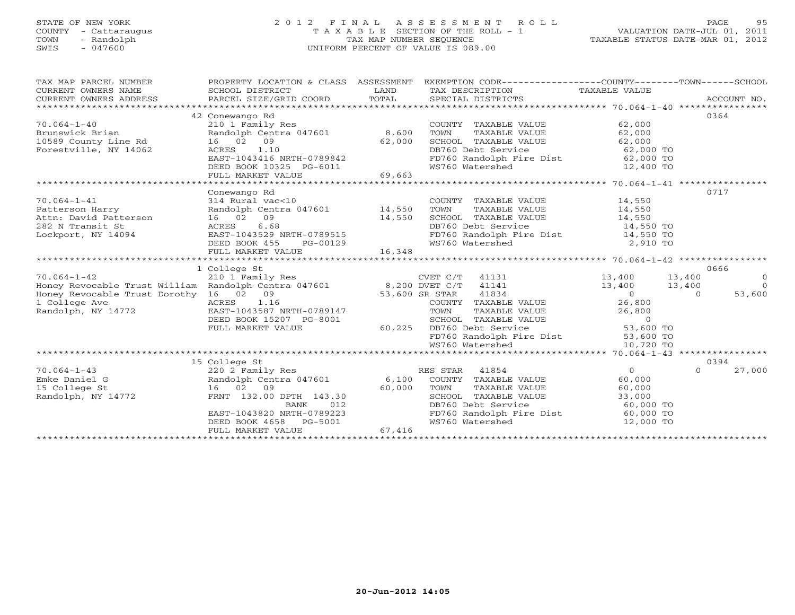# STATE OF NEW YORK 2 0 1 2 F I N A L A S S E S S M E N T R O L L PAGE 95 COUNTY - Cattaraugus T A X A B L E SECTION OF THE ROLL - 1 VALUATION DATE-JUL 01, 2011 TOWN - Randolph TAX MAP NUMBER SEQUENCE TAXABLE STATUS DATE-MAR 01, 2012 SWIS - 047600 UNIFORM PERCENT OF VALUE IS 089.00

| TAX MAP PARCEL NUMBER                                                                                                                   |                                                                                                                                                                                                                                                                                                                                              |                | PROPERTY LOCATION & CLASS ASSESSMENT EXEMPTION CODE----------------COUNTY-------TOWN-----SCHOOL                                |                            |                |                |
|-----------------------------------------------------------------------------------------------------------------------------------------|----------------------------------------------------------------------------------------------------------------------------------------------------------------------------------------------------------------------------------------------------------------------------------------------------------------------------------------------|----------------|--------------------------------------------------------------------------------------------------------------------------------|----------------------------|----------------|----------------|
| CURRENT OWNERS NAME                                                                                                                     | SCHOOL DISTRICT                                                                                                                                                                                                                                                                                                                              | LAND           | TAX DESCRIPTION                                                                                                                | TAXABLE VALUE              |                |                |
| CURRENT OWNERS ADDRESS                                                                                                                  | PARCEL SIZE/GRID COORD                                                                                                                                                                                                                                                                                                                       | TOTAL          | SPECIAL DISTRICTS                                                                                                              |                            |                | ACCOUNT NO.    |
|                                                                                                                                         |                                                                                                                                                                                                                                                                                                                                              |                |                                                                                                                                |                            |                |                |
|                                                                                                                                         | 42 Conewango Rd                                                                                                                                                                                                                                                                                                                              |                |                                                                                                                                |                            | 0364           |                |
| $70.064 - 1 - 40$                                                                                                                       | 210 1 Family Res                                                                                                                                                                                                                                                                                                                             |                | COUNTY TAXABLE VALUE                                                                                                           | 62,000                     |                |                |
|                                                                                                                                         |                                                                                                                                                                                                                                                                                                                                              | 8,600          |                                                                                                                                |                            |                |                |
| Brunswick Brian                    Randolph Centra 047601<br>10589 County Line Rd                16     02   09                         |                                                                                                                                                                                                                                                                                                                                              | 62,000         |                                                                                                                                |                            |                |                |
| Forestville, NY 14062                                                                                                                   | ACRES 1.10                                                                                                                                                                                                                                                                                                                                   |                |                                                                                                                                |                            |                |                |
|                                                                                                                                         | EAST-1043416 NRTH-0789842                                                                                                                                                                                                                                                                                                                    |                | TOWN TAXABLE VALUE 62,000<br>SCHOOL TAXABLE VALUE 62,000<br>DB760 Debt Service 62,000 TO<br>FD760 Randolph Fire Dist 62,000 TO |                            |                |                |
|                                                                                                                                         | DEED BOOK 10325 PG-6011                                                                                                                                                                                                                                                                                                                      |                | WS760 Watershed                                                                                                                | 12,400 TO                  |                |                |
|                                                                                                                                         | FULL MARKET VALUE                                                                                                                                                                                                                                                                                                                            | 69,663         |                                                                                                                                |                            |                |                |
|                                                                                                                                         |                                                                                                                                                                                                                                                                                                                                              |                |                                                                                                                                |                            |                |                |
|                                                                                                                                         | Conewango Rd                                                                                                                                                                                                                                                                                                                                 |                |                                                                                                                                |                            | 0717           |                |
| $70.064 - 1 - 41$                                                                                                                       | 314 Rural vac<10                                                                                                                                                                                                                                                                                                                             |                | COUNTY TAXABLE VALUE 14,550<br>TOWN TAXABLE VALUE 14,550<br>SCHOOL TAXABLE VALUE 14,550<br>COUNTY TAXABLE VALUE                |                            |                |                |
| Patterson Harry                                                                                                                         | Randolph Centra 047601 14,550                                                                                                                                                                                                                                                                                                                |                |                                                                                                                                |                            |                |                |
| Attn: David Patterson 16 02 09                                                                                                          |                                                                                                                                                                                                                                                                                                                                              | 14,550         |                                                                                                                                |                            |                |                |
| 282 N Transit St                                                                                                                        | 6.68<br>ACRES                                                                                                                                                                                                                                                                                                                                |                | DB760 Debt Service                                                                                                             | 14,550 TO                  |                |                |
| Lockport, NY 14094                                                                                                                      | EAST-1043529 NRTH-0789515                                                                                                                                                                                                                                                                                                                    |                | FD760 Randolph Fire Dist 14,550 TO                                                                                             |                            |                |                |
|                                                                                                                                         | DEED BOOK 455<br>PG-00129                                                                                                                                                                                                                                                                                                                    |                | WS760 Watershed                                                                                                                | 2,910 TO                   |                |                |
|                                                                                                                                         | FULL MARKET VALUE                                                                                                                                                                                                                                                                                                                            | 16,348         |                                                                                                                                |                            |                |                |
|                                                                                                                                         |                                                                                                                                                                                                                                                                                                                                              |                |                                                                                                                                |                            |                |                |
|                                                                                                                                         | 1 College St                                                                                                                                                                                                                                                                                                                                 |                |                                                                                                                                |                            | 0666           |                |
| 70.064-1-42 CVET C/T 41131<br>Honey Revocable Trust William Randolph Centra 047601 8,200 DVET C/T 41141                                 |                                                                                                                                                                                                                                                                                                                                              |                | $CVET C/T$ 41131                                                                                                               | 13,400                     | 13,400         | $\overline{0}$ |
|                                                                                                                                         |                                                                                                                                                                                                                                                                                                                                              |                |                                                                                                                                | 13,400                     | 13,400         | $\overline{0}$ |
| Honey Revocable Trust Dorothy 16 02 09                                                                                                  | $\sum_{i=1}^n\frac{1}{i!}\sum_{j=1}^n\frac{1}{j!}\sum_{j=1}^n\frac{1}{j!}\sum_{j=1}^n\frac{1}{j!}\sum_{j=1}^n\frac{1}{j!}\sum_{j=1}^n\frac{1}{j!}\sum_{j=1}^n\frac{1}{j!}\sum_{j=1}^n\frac{1}{j!}\sum_{j=1}^n\frac{1}{j!}\sum_{j=1}^n\frac{1}{j!}\sum_{j=1}^n\frac{1}{j!}\sum_{j=1}^n\frac{1}{j!}\sum_{j=1}^n\frac{1}{j!}\sum_{j=1}^n\frac{$ | 53,600 SR STAR | 41834                                                                                                                          | $\overline{0}$             | $\overline{0}$ | 53,600         |
| 1 College Ave<br>ACRES 1.16<br>772 EAST-1043587 N                                                                                       |                                                                                                                                                                                                                                                                                                                                              |                |                                                                                                                                |                            |                |                |
| Randolph, NY 14772                                                                                                                      | EAST-1043587 NRTH-0789147                                                                                                                                                                                                                                                                                                                    |                |                                                                                                                                |                            |                |                |
|                                                                                                                                         | DEED BOOK 15207 PG-8001<br>FULL MARKET VALUE 60,225                                                                                                                                                                                                                                                                                          |                |                                                                                                                                |                            |                |                |
|                                                                                                                                         |                                                                                                                                                                                                                                                                                                                                              |                |                                                                                                                                |                            |                |                |
|                                                                                                                                         |                                                                                                                                                                                                                                                                                                                                              |                | FD760 Randolph Fire Dist 53,600 TO                                                                                             |                            |                |                |
|                                                                                                                                         |                                                                                                                                                                                                                                                                                                                                              |                | WS760 Watershed                                                                                                                | 10,720 TO                  |                |                |
| Emke Daniel G<br>Emke Daniel G<br>Emke Daniel G<br>15 College St<br>Randolph, NY 14772<br>Randolph, NY 14772<br>FRNT 132.00 DPTH 143.30 |                                                                                                                                                                                                                                                                                                                                              |                |                                                                                                                                |                            |                |                |
|                                                                                                                                         |                                                                                                                                                                                                                                                                                                                                              |                |                                                                                                                                |                            | 0394           |                |
|                                                                                                                                         |                                                                                                                                                                                                                                                                                                                                              |                |                                                                                                                                | $\Omega$                   | $\Omega$       | 27,000         |
|                                                                                                                                         |                                                                                                                                                                                                                                                                                                                                              |                |                                                                                                                                | 60,000                     |                |                |
|                                                                                                                                         |                                                                                                                                                                                                                                                                                                                                              |                | TAXABLE VALUE                                                                                                                  | 60,000                     |                |                |
|                                                                                                                                         |                                                                                                                                                                                                                                                                                                                                              |                |                                                                                                                                | 33,000                     |                |                |
|                                                                                                                                         | BANK                                                                                                                                                                                                                                                                                                                                         | $012$<br>9223  | DB760 Debt Service                                                                                                             | 60,000 TO                  |                |                |
|                                                                                                                                         | EAST-1043820 NRTH-0789223                                                                                                                                                                                                                                                                                                                    |                | FD760 Randolph Fire Dist<br>WS760 Watershed                                                                                    | $60,000$ TO<br>$12,000$ TO |                |                |
|                                                                                                                                         | DEED BOOK 4658 PG-5001                                                                                                                                                                                                                                                                                                                       |                |                                                                                                                                | 12,000 TO                  |                |                |
|                                                                                                                                         | FULL MARKET VALUE                                                                                                                                                                                                                                                                                                                            | 67,416         |                                                                                                                                |                            |                |                |
|                                                                                                                                         |                                                                                                                                                                                                                                                                                                                                              |                |                                                                                                                                |                            |                |                |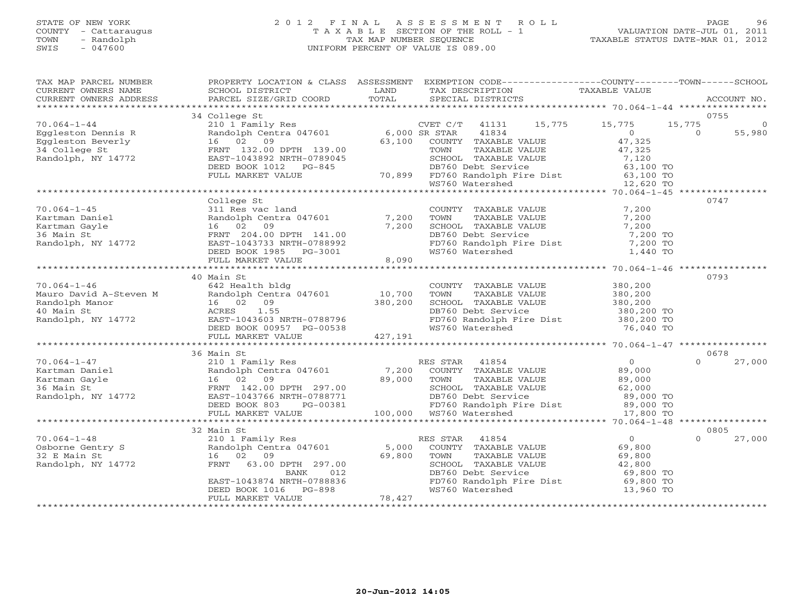## STATE OF NEW YORK 2 0 1 2 F I N A L A S S E S S M E N T R O L L PAGE 96 COUNTY - Cattaraugus T A X A B L E SECTION OF THE ROLL - 1 VALUATION DATE-JUL 01, 2011 TOWN - Randolph TAX MAP NUMBER SEQUENCE TAXABLE STATUS DATE-MAR 01, 2012 SWIS - 047600 UNIFORM PERCENT OF VALUE IS 089.00

| TAX MAP PARCEL NUMBER<br>CURRENT OWNERS NAME<br>CURRENT OWNERS ADDRESS                                                                                                                                                                                                                                                                                                                                                                                               | PROPERTY LOCATION & CLASS ASSESSMENT<br>SCHOOL DISTRICT<br>PARCEL SIZE/GRID COORD                                                                                                              | <b>EXAMPLE SETTING STATE</b><br>TOTAL | EXEMPTION CODE----------------COUNTY-------TOWN------SCHOOL<br>TAX DESCRIPTION<br>SPECIAL DISTRICTS                    | TAXABLE VALUE                                                                                                                              | ACCOUNT NO.               |
|----------------------------------------------------------------------------------------------------------------------------------------------------------------------------------------------------------------------------------------------------------------------------------------------------------------------------------------------------------------------------------------------------------------------------------------------------------------------|------------------------------------------------------------------------------------------------------------------------------------------------------------------------------------------------|---------------------------------------|------------------------------------------------------------------------------------------------------------------------|--------------------------------------------------------------------------------------------------------------------------------------------|---------------------------|
|                                                                                                                                                                                                                                                                                                                                                                                                                                                                      |                                                                                                                                                                                                |                                       |                                                                                                                        |                                                                                                                                            |                           |
| $70.064 - 1 - 44$                                                                                                                                                                                                                                                                                                                                                                                                                                                    | 34 College St                                                                                                                                                                                  |                                       | CVET $C/T$ 41131                                                                                                       | 15,775 15,775                                                                                                                              | 0755<br>15,775<br>$\circ$ |
| Eggleston Dennis R<br>Eggleston Beverly<br>34 College St                                                                                                                                                                                                                                                                                                                                                                                                             | COMPOST COMPARENT CONTRACT CONTRACT CONTRACT CONTRACT CONTRACT CONTRACT CONTRACT CONTRACT CONTROL COUNTY<br>$16$ $02$ $09$ $63$<br>FRNT $132.00$ DPTH $139.00$ $63$                            |                                       | 41834<br>63,100 COUNTY TAXABLE VALUE<br>TOWN<br>TAXABLE VALUE                                                          | $\overline{0}$<br>47,325<br>47,325                                                                                                         | 55,980<br>$\Omega$        |
| Randolph, NY 14772                                                                                                                                                                                                                                                                                                                                                                                                                                                   | A 192.00 DEED BOOK 1012 PG-845<br>ELED BOOK 1012 PG-845 20100L PG-845 DBF60 Debt Service 63,100 TO<br>FULL MARKET VALUE 70,899 FD760 Randolph Fire Dist 63,100 TO<br>WS760 Watershed 12,620 TO |                                       |                                                                                                                        |                                                                                                                                            |                           |
|                                                                                                                                                                                                                                                                                                                                                                                                                                                                      |                                                                                                                                                                                                |                                       |                                                                                                                        |                                                                                                                                            |                           |
|                                                                                                                                                                                                                                                                                                                                                                                                                                                                      |                                                                                                                                                                                                |                                       |                                                                                                                        |                                                                                                                                            |                           |
|                                                                                                                                                                                                                                                                                                                                                                                                                                                                      | College St                                                                                                                                                                                     |                                       |                                                                                                                        |                                                                                                                                            | 0747                      |
|                                                                                                                                                                                                                                                                                                                                                                                                                                                                      | 311 Res vac land<br>Randolph Centra 047601 7,200                                                                                                                                               |                                       |                                                                                                                        | $\frac{7}{7}$ , 200<br>COUNTY TAXABLE VALUE 7,200<br>TOWN TAXABLE VALUE 7,200<br>SCHOOL TAXABLE VALUE 7,200<br>DB760 Debt Service 7,200 TO |                           |
|                                                                                                                                                                                                                                                                                                                                                                                                                                                                      |                                                                                                                                                                                                |                                       |                                                                                                                        |                                                                                                                                            |                           |
|                                                                                                                                                                                                                                                                                                                                                                                                                                                                      |                                                                                                                                                                                                | 7,200                                 |                                                                                                                        |                                                                                                                                            |                           |
|                                                                                                                                                                                                                                                                                                                                                                                                                                                                      |                                                                                                                                                                                                |                                       |                                                                                                                        |                                                                                                                                            |                           |
|                                                                                                                                                                                                                                                                                                                                                                                                                                                                      |                                                                                                                                                                                                |                                       |                                                                                                                        | FD760 Randolph Fire Dist 7,200 TO<br>WS760 Watershed 1,440 TO<br>7,200 TO                                                                  |                           |
|                                                                                                                                                                                                                                                                                                                                                                                                                                                                      | DEED BOOK 1985 PG-3001                                                                                                                                                                         |                                       |                                                                                                                        |                                                                                                                                            |                           |
|                                                                                                                                                                                                                                                                                                                                                                                                                                                                      |                                                                                                                                                                                                |                                       |                                                                                                                        |                                                                                                                                            |                           |
|                                                                                                                                                                                                                                                                                                                                                                                                                                                                      | 40 Main St                                                                                                                                                                                     |                                       |                                                                                                                        |                                                                                                                                            | 0793                      |
|                                                                                                                                                                                                                                                                                                                                                                                                                                                                      |                                                                                                                                                                                                |                                       |                                                                                                                        |                                                                                                                                            |                           |
|                                                                                                                                                                                                                                                                                                                                                                                                                                                                      | 642 Health bldg<br>Earlth bldg<br>Randolph Centra 047601 10,700<br>16 02 09 380,200<br>ACRES 1.55<br>EAST-1043603 NRTH-0788796<br>DEED BOOK 00957 PG-00538                                     |                                       | COUNTY TAXABLE VALUE 380,200<br>TOWN TAXABLE VALUE 380,200                                                             |                                                                                                                                            |                           |
|                                                                                                                                                                                                                                                                                                                                                                                                                                                                      |                                                                                                                                                                                                |                                       |                                                                                                                        |                                                                                                                                            |                           |
|                                                                                                                                                                                                                                                                                                                                                                                                                                                                      |                                                                                                                                                                                                |                                       |                                                                                                                        | SCHOOL TAXABLE VALUE 380,200<br>DB760 Debt Service 380,200 TO                                                                              |                           |
|                                                                                                                                                                                                                                                                                                                                                                                                                                                                      |                                                                                                                                                                                                |                                       |                                                                                                                        |                                                                                                                                            |                           |
|                                                                                                                                                                                                                                                                                                                                                                                                                                                                      |                                                                                                                                                                                                |                                       | FD760 Randolph Fire Dist<br>WS760 Watershed 76,040 TO                                                                  |                                                                                                                                            |                           |
|                                                                                                                                                                                                                                                                                                                                                                                                                                                                      | FULL MARKET VALUE 427,191                                                                                                                                                                      |                                       |                                                                                                                        |                                                                                                                                            |                           |
| and the set of the set of the set of the set of the set of the set of the set of the set of the set of the set of the set of the set of the set of the set of the set of the set of the set of the set of the set of the set o                                                                                                                                                                                                                                       |                                                                                                                                                                                                |                                       |                                                                                                                        |                                                                                                                                            |                           |
|                                                                                                                                                                                                                                                                                                                                                                                                                                                                      | 36 Main St                                                                                                                                                                                     |                                       |                                                                                                                        |                                                                                                                                            | 0678<br>$\Omega$          |
|                                                                                                                                                                                                                                                                                                                                                                                                                                                                      |                                                                                                                                                                                                |                                       |                                                                                                                        |                                                                                                                                            | 27,000                    |
|                                                                                                                                                                                                                                                                                                                                                                                                                                                                      |                                                                                                                                                                                                |                                       |                                                                                                                        |                                                                                                                                            |                           |
| $\begin{tabular}{llllllll} 70.064-1-47 & 210 1 FamilyKartman DanielKartman Gayle & & & Random Cent36 Main St & \multicolumn{2}{l}{} Randolph CentRandom, NY 14772 & \multicolumn{2}{l}{} RAST-1043766 \\ \multicolumn{2}{l}{} \multicolumn{2}{l}{} & \multicolumn{2}{l}{} & \multicolumn{2}{l}{} \\ \multicolumn{2}{l}{} & \multicolumn{2}{l}{} & \multicolumn{2}{l}{} & \multicolumn{2}{l}{} \\ \multicolumn{2}{l}{} & \multicolumn{2}{l}{} & \multicolumn{2}{l}{}$ |                                                                                                                                                                                                |                                       |                                                                                                                        |                                                                                                                                            |                           |
|                                                                                                                                                                                                                                                                                                                                                                                                                                                                      |                                                                                                                                                                                                |                                       |                                                                                                                        |                                                                                                                                            |                           |
|                                                                                                                                                                                                                                                                                                                                                                                                                                                                      |                                                                                                                                                                                                |                                       |                                                                                                                        |                                                                                                                                            |                           |
|                                                                                                                                                                                                                                                                                                                                                                                                                                                                      |                                                                                                                                                                                                |                                       |                                                                                                                        |                                                                                                                                            |                           |
|                                                                                                                                                                                                                                                                                                                                                                                                                                                                      |                                                                                                                                                                                                |                                       |                                                                                                                        |                                                                                                                                            |                           |
|                                                                                                                                                                                                                                                                                                                                                                                                                                                                      | 32 Main St                                                                                                                                                                                     |                                       |                                                                                                                        |                                                                                                                                            | 0805                      |
| $70.064 - 1 - 48$                                                                                                                                                                                                                                                                                                                                                                                                                                                    | Main St<br>210 1 Family Res<br>Randolph Centra 047601                                                                                                                                          |                                       | RES STAR 41854<br>5,000 COUNTY TAXABLE VALUE 69,800<br>69,800 TOWN TAXABLE VALUE 69,800<br>SCHOOL TAXABLE VALUE 69,800 |                                                                                                                                            | 27,000<br>$\Omega$        |
|                                                                                                                                                                                                                                                                                                                                                                                                                                                                      |                                                                                                                                                                                                |                                       |                                                                                                                        | 69,800                                                                                                                                     |                           |
| Osborne Gentry S<br>32 E Main St                                                                                                                                                                                                                                                                                                                                                                                                                                     | 16 02 09                                                                                                                                                                                       |                                       |                                                                                                                        |                                                                                                                                            |                           |
| Randolph, NY 14772                                                                                                                                                                                                                                                                                                                                                                                                                                                   | 63.00 DPTH 297.00<br>FRNT                                                                                                                                                                      |                                       |                                                                                                                        | TOWN TAAADLE VALUE<br>SCHOOL TAXABLE VALUE 42,800<br>DB760 Debt Service 6,800 TO                                                           |                           |
|                                                                                                                                                                                                                                                                                                                                                                                                                                                                      |                                                                                                                                                                                                |                                       |                                                                                                                        |                                                                                                                                            |                           |
|                                                                                                                                                                                                                                                                                                                                                                                                                                                                      | BANK 012<br>EAST-1043874 NRTH-0788836<br>DEED BOOK 1016 PG-898                                                                                                                                 |                                       |                                                                                                                        | FD760 Randolph Fire Dist 69,800 TO<br>WS760 Watershed 13,960 TO                                                                            |                           |
|                                                                                                                                                                                                                                                                                                                                                                                                                                                                      |                                                                                                                                                                                                |                                       |                                                                                                                        |                                                                                                                                            |                           |
|                                                                                                                                                                                                                                                                                                                                                                                                                                                                      | FULL MARKET VALUE                                                                                                                                                                              | 78,427                                |                                                                                                                        |                                                                                                                                            |                           |
|                                                                                                                                                                                                                                                                                                                                                                                                                                                                      |                                                                                                                                                                                                |                                       |                                                                                                                        |                                                                                                                                            |                           |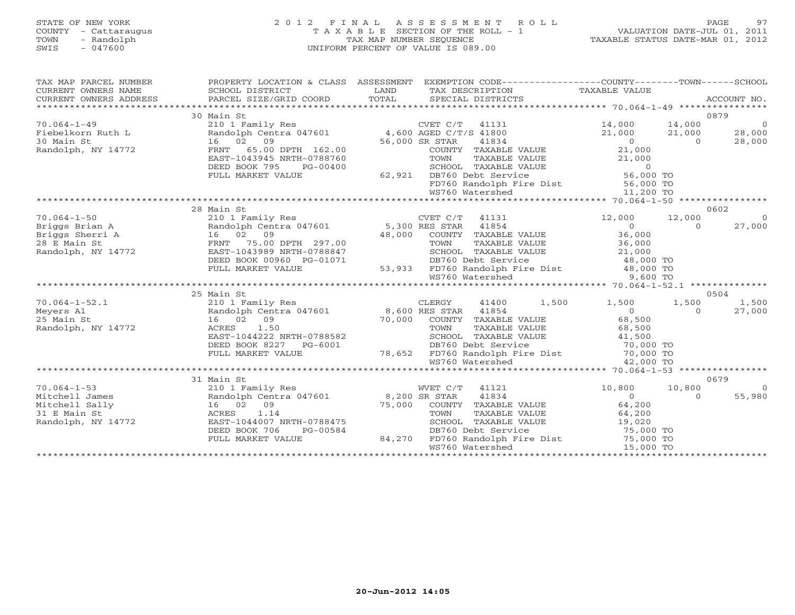# STATE OF NEW YORK 2 0 1 2 F I N A L A S S E S S M E N T R O L L PAGE 97 COUNTY - Cattaraugus T A X A B L E SECTION OF THE ROLL - 1 VALUATION DATE-JUL 01, 2011 TOWN - Randolph TAX MAP NUMBER SEQUENCE TAXABLE STATUS DATE-MAR 01, 2012 SWIS - 047600 UNIFORM PERCENT OF VALUE IS 089.00

| TAX MAP PARCEL NUMBER<br>CURRENT OWNERS NAME<br>CURRENT OWNERS ADDRESS | PROPERTY LOCATION & CLASS ASSESSMENT<br>SCHOOL DISTRICT<br>PARCEL SIZE/GRID COORD | LAND<br>TOTAL             | EXEMPTION CODE-----------------COUNTY-------TOWN-----SCHOOL<br>TAX DESCRIPTION TAXABLE VALUE<br>SPECIAL DISTRICTS        |                     |                | ACCOUNT NO.    |
|------------------------------------------------------------------------|-----------------------------------------------------------------------------------|---------------------------|--------------------------------------------------------------------------------------------------------------------------|---------------------|----------------|----------------|
|                                                                        | 30 Main St                                                                        |                           |                                                                                                                          |                     | 0879           |                |
|                                                                        |                                                                                   |                           | CVET C/T 41131                                                                                                           | 14,000              | 14,000         | $\overline{0}$ |
| $70.064 - 1 - 49$                                                      | 210 1 Family Res                                                                  |                           |                                                                                                                          |                     |                |                |
| Fiebelkorn Ruth L                                                      | Randolph Centra 047601 4,600 AGED C/T/S 41800                                     |                           |                                                                                                                          | 21,000              | 21,000         | 28,000         |
| 30 Main St                                                             | 16 02 09                                                                          |                           | 56,000 SR STAR<br>41834                                                                                                  | $\overline{0}$      | $\overline{0}$ | 28,000         |
| Randolph, NY 14772                                                     | FRNT 65.00 DPTH 162.00                                                            |                           | COUNTY TAXABLE VALUE                                                                                                     | 21,000              |                |                |
|                                                                        | EAST-1043945 NRTH-0788760                                                         |                           | TOWN<br>TAXABLE VALUE                                                                                                    | 21,000              |                |                |
|                                                                        | DEED BOOK 795<br>PG-00400                                                         |                           | SCHOOL TAXABLE VALUE 0<br>DB760 Debt Service 56,000 TO                                                                   |                     |                |                |
|                                                                        | FULL MARKET VALUE                                                                 | 62,921                    | DB760 Debt Service                                                                                                       |                     |                |                |
|                                                                        |                                                                                   |                           | FD760 Randolph Fire Dist 56,000 TO                                                                                       |                     |                |                |
|                                                                        |                                                                                   |                           | WS760 Watershed                                                                                                          | 11,200 TO           |                |                |
|                                                                        | *****************************                                                     |                           |                                                                                                                          |                     |                |                |
|                                                                        | 28 Main St                                                                        |                           |                                                                                                                          |                     | 0602           |                |
| $70.064 - 1 - 50$                                                      | 210 1 Family Res                                                                  |                           | CVET C/T 41131                                                                                                           | 12,000              | 12,000         | $\overline{0}$ |
| 70.064-1-50<br>Briggs Brian A<br>Briggs Sherri A                       | Randolph Centra 047601 5,300 RES STAR                                             |                           | 41854                                                                                                                    | $\overline{0}$      | $\Omega$       | 27,000         |
|                                                                        | 16 02<br>09                                                                       | 48,000                    | COUNTY TAXABLE VALUE                                                                                                     | 36,000              |                |                |
| 28 E Main St                                                           | FRNT 75.00 DPTH 297.00                                                            |                           |                                                                                                                          |                     |                |                |
| Randolph, NY 14772                                                     | EAST-1043989 NRTH-0788847                                                         |                           | TOWN TAXABLE VALUE 36,000<br>SCHOOL TAXABLE VALUE 21,000                                                                 |                     |                |                |
|                                                                        | DEED BOOK 00960 PG-01071                                                          |                           |                                                                                                                          |                     |                |                |
|                                                                        | FULL MARKET VALUE                                                                 |                           |                                                                                                                          |                     |                |                |
|                                                                        |                                                                                   |                           | DB760 Debt Service 48,000 TO<br>53,933 FD760 Randolph Fire Dist 48,000 TO<br>WS760 Watershed 9,600 TO<br>WS760 Watershed | 9,600 TO            |                |                |
|                                                                        |                                                                                   |                           |                                                                                                                          |                     |                |                |
|                                                                        | 25 Main St                                                                        |                           |                                                                                                                          |                     | 0504           |                |
| $70.064 - 1 - 52.1$                                                    | 210 1 Family Res                                                                  |                           | CLERGY<br>41400                                                                                                          | 1,500<br>1,500      | 1,500          | 1,500          |
| Meyers Al                                                              | Randolph Centra 047601 8,600 RES STAR                                             |                           | 41854                                                                                                                    | $\overline{0}$      | $\Omega$       | 27,000         |
| 25 Main St                                                             | 16 02 09                                                                          |                           | 70,000 COUNTY TAXABLE VALUE                                                                                              | 68,500              |                |                |
| Randolph, NY 14772                                                     | 1.50<br>ACRES                                                                     |                           | TAXABLE VALUE<br>TOWN                                                                                                    | 68,500              |                |                |
|                                                                        | EAST-1044222 NRTH-0788582                                                         |                           | SCHOOL TAXABLE VALUE                                                                                                     | 41,500              |                |                |
|                                                                        | DEED BOOK 8227 PG-6001                                                            |                           |                                                                                                                          | 70,000 TO           |                |                |
|                                                                        | FULL MARKET VALUE                                                                 |                           |                                                                                                                          |                     |                |                |
|                                                                        |                                                                                   |                           | WS760 Watershed                                                                                                          | 42,000 TO           |                |                |
|                                                                        |                                                                                   |                           |                                                                                                                          |                     |                |                |
|                                                                        | 31 Main St                                                                        |                           |                                                                                                                          |                     | 0679           |                |
|                                                                        |                                                                                   |                           |                                                                                                                          |                     |                |                |
| $70.064 - 1 - 53$                                                      | 210 1 Family Res                                                                  | $8,200$ SR STAR<br>75.000 | WVET C/T<br>41121                                                                                                        | 10,800              | 10,800         | $\overline{0}$ |
| Mitchell James                                                         | Randolph Centra 047601                                                            |                           | 41834                                                                                                                    | $\overline{0}$      | $\Omega$       | 55,980         |
| Mitchell Sally                                                         | 16 02 09                                                                          | 75,000                    | COUNTY TAXABLE VALUE                                                                                                     | 64,200              |                |                |
| 31 E Main St                                                           | 1.14<br>ACRES                                                                     |                           | TOWN<br>TAXABLE VALUE                                                                                                    | 64,200              |                |                |
| Randolph, NY 14772                                                     | EAST-1044007 NRTH-0788475                                                         |                           | SCHOOL TAXABLE VALUE                                                                                                     | 19,020<br>75,000 TO |                |                |
|                                                                        | DEED BOOK 706<br>PG-00584                                                         |                           | DB760 Debt Service                                                                                                       |                     |                |                |
|                                                                        | FULL MARKET VALUE                                                                 | 84,270                    | $FD760$ Randolph Fire Dist $75,000$ TO                                                                                   |                     |                |                |
|                                                                        |                                                                                   |                           | WS760 Watershed                                                                                                          | 15,000 TO           |                |                |
|                                                                        |                                                                                   |                           |                                                                                                                          |                     |                |                |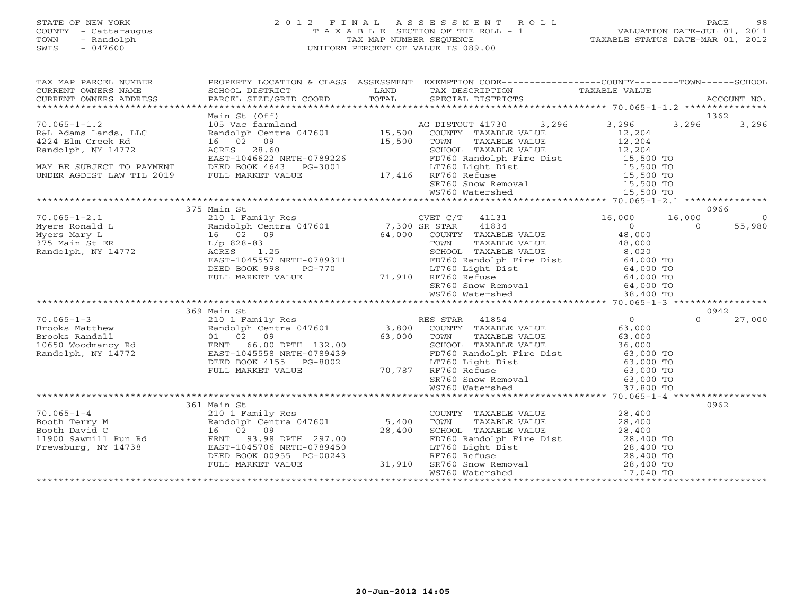#### STATE OF NEW YORK 2 0 1 2 F I N A L A S S E S S M E N T R O L L PAGE 98COUNTY - Cattaraugus T A X A B L E SECTION OF THE ROLL - 1<br>
TOWN - Randolph TAX MAP NUMBER SEQUENCE<br>
SWIS - 047600 SWIS - 047600 UNIFORM PERCENT OF VALUE IS 089.00

| TAX MAP PARCEL NUMBER<br>TAX MAP PARCED NOTICE FROM PROPERTY OF A CONTROLL CONTROLL OF THE CONTROLL CONTROLL CONTROLL CONTROLL CONTROLL CONTROLL THE CONTROLL CONTROLL CONTROLL THE CONTROLL CONTROLL THE CONTROLL CONTROLL THE CONTROLL CONTROLL THE C<br>CURRENT OWNERS NAME<br>CURRENT OWNERS ADDRESS                                                                                                                                             |             | PROPERTY LOCATION & CLASS ASSESSMENT EXEMPTION CODE----------------COUNTY-------TOWN------SCHOOL |  |      |
|------------------------------------------------------------------------------------------------------------------------------------------------------------------------------------------------------------------------------------------------------------------------------------------------------------------------------------------------------------------------------------------------------------------------------------------------------|-------------|--------------------------------------------------------------------------------------------------|--|------|
|                                                                                                                                                                                                                                                                                                                                                                                                                                                      |             |                                                                                                  |  |      |
|                                                                                                                                                                                                                                                                                                                                                                                                                                                      |             |                                                                                                  |  |      |
|                                                                                                                                                                                                                                                                                                                                                                                                                                                      |             |                                                                                                  |  |      |
|                                                                                                                                                                                                                                                                                                                                                                                                                                                      |             |                                                                                                  |  |      |
|                                                                                                                                                                                                                                                                                                                                                                                                                                                      |             |                                                                                                  |  |      |
|                                                                                                                                                                                                                                                                                                                                                                                                                                                      |             |                                                                                                  |  |      |
|                                                                                                                                                                                                                                                                                                                                                                                                                                                      |             |                                                                                                  |  |      |
|                                                                                                                                                                                                                                                                                                                                                                                                                                                      |             |                                                                                                  |  |      |
|                                                                                                                                                                                                                                                                                                                                                                                                                                                      |             |                                                                                                  |  |      |
|                                                                                                                                                                                                                                                                                                                                                                                                                                                      |             |                                                                                                  |  |      |
|                                                                                                                                                                                                                                                                                                                                                                                                                                                      |             |                                                                                                  |  |      |
|                                                                                                                                                                                                                                                                                                                                                                                                                                                      |             |                                                                                                  |  |      |
|                                                                                                                                                                                                                                                                                                                                                                                                                                                      | 375 Main St |                                                                                                  |  | 0966 |
|                                                                                                                                                                                                                                                                                                                                                                                                                                                      |             |                                                                                                  |  |      |
|                                                                                                                                                                                                                                                                                                                                                                                                                                                      |             |                                                                                                  |  |      |
|                                                                                                                                                                                                                                                                                                                                                                                                                                                      |             |                                                                                                  |  |      |
|                                                                                                                                                                                                                                                                                                                                                                                                                                                      |             |                                                                                                  |  |      |
|                                                                                                                                                                                                                                                                                                                                                                                                                                                      |             |                                                                                                  |  |      |
|                                                                                                                                                                                                                                                                                                                                                                                                                                                      |             |                                                                                                  |  |      |
|                                                                                                                                                                                                                                                                                                                                                                                                                                                      |             |                                                                                                  |  |      |
|                                                                                                                                                                                                                                                                                                                                                                                                                                                      |             |                                                                                                  |  |      |
|                                                                                                                                                                                                                                                                                                                                                                                                                                                      |             |                                                                                                  |  |      |
|                                                                                                                                                                                                                                                                                                                                                                                                                                                      |             |                                                                                                  |  |      |
| $\begin{array}{cccccccc} 70.065-1-2.1 & 375 \text{ Main St} & 0966 & 0866 \\ \text{Myers Ronald L} & 210 1 \text{ Family Res} & 7,300 \text{ SR STAR} & 41834 & 16,000 & 16,000 & 6 \\ \text{Myers Ronald L} & 16.000 & 0 & 55,980 & 0 \\ \text{Myers } \text{Many L} & 16.02 & 09 & 64,000 & \text{COMNT} & \text{TXABLE VALUE} & 48,000 & 55,980 \\ \text{Myers } \text{Main St} & \text{ER} & \$                                                  |             |                                                                                                  |  |      |
|                                                                                                                                                                                                                                                                                                                                                                                                                                                      |             |                                                                                                  |  |      |
|                                                                                                                                                                                                                                                                                                                                                                                                                                                      |             |                                                                                                  |  |      |
|                                                                                                                                                                                                                                                                                                                                                                                                                                                      |             |                                                                                                  |  |      |
|                                                                                                                                                                                                                                                                                                                                                                                                                                                      |             |                                                                                                  |  |      |
|                                                                                                                                                                                                                                                                                                                                                                                                                                                      |             |                                                                                                  |  |      |
|                                                                                                                                                                                                                                                                                                                                                                                                                                                      |             |                                                                                                  |  |      |
|                                                                                                                                                                                                                                                                                                                                                                                                                                                      |             |                                                                                                  |  |      |
|                                                                                                                                                                                                                                                                                                                                                                                                                                                      |             |                                                                                                  |  |      |
|                                                                                                                                                                                                                                                                                                                                                                                                                                                      |             |                                                                                                  |  |      |
| $\begin{tabular}{l cccc} \textbf{3.800} & 369 \text{ Main St} & 0942 \\ \textbf{70.065-1--3} & 369 \text{ Main St} & 0942 \\ \textbf{Brooks Mathew} & 210 \text{ I ramily Res } 51,000 \\ \textbf{Brooks Mathew} & Random \text{Random Centra 047601} & 3,800 \text{ COUNTY TAXABLE VALUE} & 63,000 \\ \textbf{Brooks Random or own TAXABLE VALUE} & 63,000 \\ \textbf{Noodomancy Rd} & 102 \text{ O} & 27,000 \\ \textbf{Noodomancy Rd} & FRMT + 6$ |             |                                                                                                  |  |      |
|                                                                                                                                                                                                                                                                                                                                                                                                                                                      | 361 Main St |                                                                                                  |  | 0962 |
|                                                                                                                                                                                                                                                                                                                                                                                                                                                      |             |                                                                                                  |  |      |
|                                                                                                                                                                                                                                                                                                                                                                                                                                                      |             |                                                                                                  |  |      |
|                                                                                                                                                                                                                                                                                                                                                                                                                                                      |             |                                                                                                  |  |      |
| $\begin{tabular}{lcccc} 70.065-1-4 & 361 Main St & 210 17 nNADEE VALUE & 28,400\nBooth Terry M & 210 18 min1p Res & 5,400 TOWN TAXABLE VALUE & 28,400\nBooth David C & 16 02 09 & 28,400 SCHOOL TAXABLE VALUE & 28,400\n1900 Sawmill Run Rd & FRNT & 93.98 DPTH & 297.00\nFrewsburg, NY 14738 & EAST-1045706 NR0H-0789450 & 28,400 TOWN\nDEED BOOK 009$                                                                                              |             |                                                                                                  |  |      |
|                                                                                                                                                                                                                                                                                                                                                                                                                                                      |             |                                                                                                  |  |      |
|                                                                                                                                                                                                                                                                                                                                                                                                                                                      |             |                                                                                                  |  |      |
|                                                                                                                                                                                                                                                                                                                                                                                                                                                      |             |                                                                                                  |  |      |
|                                                                                                                                                                                                                                                                                                                                                                                                                                                      |             |                                                                                                  |  |      |
|                                                                                                                                                                                                                                                                                                                                                                                                                                                      |             |                                                                                                  |  |      |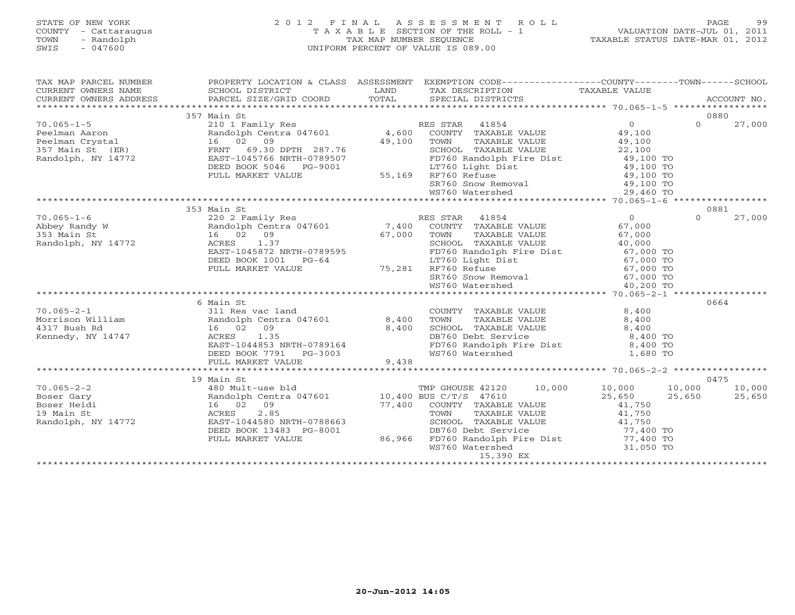# STATE OF NEW YORK 2 0 1 2 F I N A L A S S E S S M E N T R O L L PAGE 99 COUNTY - Cattaraugus T A X A B L E SECTION OF THE ROLL - 1 VALUATION DATE-JUL 01, 2011 TOWN - Randolph TAX MAP NUMBER SEQUENCE TAXABLE STATUS DATE-MAR 01, 2012 SWIS - 047600 UNIFORM PERCENT OF VALUE IS 089.00

| TAX MAP PARCEL NUMBER                                                                                                                                                                                                                                                                                                                                               |             | PROPERTY LOCATION & CLASS ASSESSMENT EXEMPTION CODE----------------COUNTY-------TOWN------SCHOOL |                    |
|---------------------------------------------------------------------------------------------------------------------------------------------------------------------------------------------------------------------------------------------------------------------------------------------------------------------------------------------------------------------|-------------|--------------------------------------------------------------------------------------------------|--------------------|
| CURRENT OWNERS NAME SCHOOL DISTRICT                                                                                                                                                                                                                                                                                                                                 |             |                                                                                                  |                    |
|                                                                                                                                                                                                                                                                                                                                                                     |             |                                                                                                  |                    |
|                                                                                                                                                                                                                                                                                                                                                                     |             |                                                                                                  |                    |
| 357 Main St<br>210 1 Family Res<br>Peelman Aaron Randolph Centra 047601 4,600 COUNTY TAXABLE VALUE 49,100<br>Peelman Crystal 16 02 09<br>357 Main St (ER) FRNT 69.30 DPTH 287.76 3CHOOL TAXABLE VALUE 49,100<br>Randolph, NY 14772 EAST-                                                                                                                            | 357 Main St |                                                                                                  | 0880               |
|                                                                                                                                                                                                                                                                                                                                                                     |             |                                                                                                  | $\Omega$<br>27,000 |
|                                                                                                                                                                                                                                                                                                                                                                     |             |                                                                                                  |                    |
|                                                                                                                                                                                                                                                                                                                                                                     |             |                                                                                                  |                    |
|                                                                                                                                                                                                                                                                                                                                                                     |             |                                                                                                  |                    |
|                                                                                                                                                                                                                                                                                                                                                                     |             |                                                                                                  |                    |
|                                                                                                                                                                                                                                                                                                                                                                     |             |                                                                                                  |                    |
|                                                                                                                                                                                                                                                                                                                                                                     |             |                                                                                                  |                    |
|                                                                                                                                                                                                                                                                                                                                                                     |             |                                                                                                  |                    |
|                                                                                                                                                                                                                                                                                                                                                                     |             |                                                                                                  |                    |
|                                                                                                                                                                                                                                                                                                                                                                     |             |                                                                                                  |                    |
|                                                                                                                                                                                                                                                                                                                                                                     | 353 Main St |                                                                                                  | 0881               |
|                                                                                                                                                                                                                                                                                                                                                                     |             |                                                                                                  | 27,000             |
|                                                                                                                                                                                                                                                                                                                                                                     |             |                                                                                                  |                    |
|                                                                                                                                                                                                                                                                                                                                                                     |             |                                                                                                  |                    |
|                                                                                                                                                                                                                                                                                                                                                                     |             |                                                                                                  |                    |
|                                                                                                                                                                                                                                                                                                                                                                     |             |                                                                                                  |                    |
|                                                                                                                                                                                                                                                                                                                                                                     |             |                                                                                                  |                    |
|                                                                                                                                                                                                                                                                                                                                                                     |             |                                                                                                  |                    |
|                                                                                                                                                                                                                                                                                                                                                                     |             |                                                                                                  |                    |
|                                                                                                                                                                                                                                                                                                                                                                     |             |                                                                                                  |                    |
|                                                                                                                                                                                                                                                                                                                                                                     |             |                                                                                                  |                    |
|                                                                                                                                                                                                                                                                                                                                                                     | 6 Main St   |                                                                                                  | 0664               |
|                                                                                                                                                                                                                                                                                                                                                                     |             |                                                                                                  |                    |
|                                                                                                                                                                                                                                                                                                                                                                     |             |                                                                                                  |                    |
|                                                                                                                                                                                                                                                                                                                                                                     |             |                                                                                                  |                    |
|                                                                                                                                                                                                                                                                                                                                                                     |             |                                                                                                  |                    |
|                                                                                                                                                                                                                                                                                                                                                                     |             |                                                                                                  |                    |
|                                                                                                                                                                                                                                                                                                                                                                     |             |                                                                                                  |                    |
|                                                                                                                                                                                                                                                                                                                                                                     |             |                                                                                                  |                    |
| $\begin{array}{lcccc} 70.065-2-1 & 6 \text{ Main St} & 0664 \\ \text{Morrison William} & 311 \text{ Bush Rd} & 16 & 02 & 09 \\ \text{Kennedy, NY 14747} & 14747 & 2511 \text{ Res.} & 1.35 \\ \text{Kennedy, NY 14747} & 202 & 09 \\ \text{Kennedy, NY 1474851} & 160 & 09 \\ \text{EEBI - 1044853 NRTH - 0789164} & 1.35 \\ \text{EULL MARKET VALUE} & 9,438 & 9,$ |             |                                                                                                  |                    |
|                                                                                                                                                                                                                                                                                                                                                                     |             |                                                                                                  |                    |
|                                                                                                                                                                                                                                                                                                                                                                     |             |                                                                                                  |                    |
|                                                                                                                                                                                                                                                                                                                                                                     |             |                                                                                                  |                    |
|                                                                                                                                                                                                                                                                                                                                                                     |             |                                                                                                  |                    |
|                                                                                                                                                                                                                                                                                                                                                                     |             |                                                                                                  |                    |
|                                                                                                                                                                                                                                                                                                                                                                     |             |                                                                                                  |                    |
|                                                                                                                                                                                                                                                                                                                                                                     |             |                                                                                                  |                    |
|                                                                                                                                                                                                                                                                                                                                                                     |             |                                                                                                  |                    |
|                                                                                                                                                                                                                                                                                                                                                                     |             |                                                                                                  |                    |
|                                                                                                                                                                                                                                                                                                                                                                     |             |                                                                                                  |                    |
|                                                                                                                                                                                                                                                                                                                                                                     |             |                                                                                                  |                    |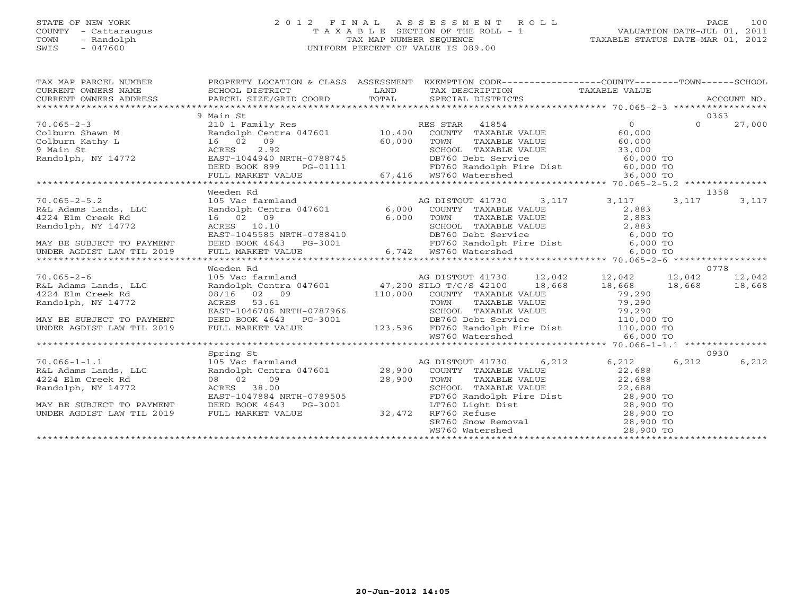#### STATE OF NEW YORK 2 0 1 2 F I N A L A S S E S S M E N T R O L L PAGE 100 COUNTY - Cattaraugus T A X A B L E SECTION OF THE ROLL - 1 VALUATION DATE-JUL 01, 2011 TOWN - Randolph TAX MAP NUMBER SEQUENCE TAXABLE STATUS DATE-MAR 01, 2012 SWIS - 047600 UNIFORM PERCENT OF VALUE IS 089.00UNIFORM PERCENT OF VALUE IS 089.00

| TAX MAP PARCEL NUMBER PROPERTY LOCATION & CLASS ASSESSMENT EXEMPTION CODE---------------COUNTY-------TOWN------SCHOOL                                                                                                                                                                                                                                                            |           |  |      |       |
|----------------------------------------------------------------------------------------------------------------------------------------------------------------------------------------------------------------------------------------------------------------------------------------------------------------------------------------------------------------------------------|-----------|--|------|-------|
|                                                                                                                                                                                                                                                                                                                                                                                  | 9 Main St |  | 0363 |       |
| $\begin{array}{cccccccc} 70.065-2-3 & 9 & \text{Main S1} & \text{SE} & \text{STAR} & 41854 & 0 & 0363 \\ \text{Colburn Shawn M} & 210.1 Family Res & 10,400 & \text{COUNTY} & \text{TXABLE VALUE} & 60,000 & 0 & 27,000 \\ \text{Colburn Shawn M} & 16 & 02 & 09 & 27,000 & 60,000 & 0 & 27,000 \\ \text{Main St} & 16 & 02 & 09 & 60,000 & 0 & 0 & 0 & 0 & 0 \\ \text{Main St}$ |           |  |      |       |
|                                                                                                                                                                                                                                                                                                                                                                                  |           |  |      |       |
|                                                                                                                                                                                                                                                                                                                                                                                  |           |  |      |       |
|                                                                                                                                                                                                                                                                                                                                                                                  |           |  |      |       |
|                                                                                                                                                                                                                                                                                                                                                                                  |           |  |      |       |
|                                                                                                                                                                                                                                                                                                                                                                                  |           |  |      |       |
|                                                                                                                                                                                                                                                                                                                                                                                  |           |  |      |       |
|                                                                                                                                                                                                                                                                                                                                                                                  | Weeden Rd |  |      | 1358  |
|                                                                                                                                                                                                                                                                                                                                                                                  |           |  |      |       |
|                                                                                                                                                                                                                                                                                                                                                                                  |           |  |      |       |
|                                                                                                                                                                                                                                                                                                                                                                                  |           |  |      |       |
|                                                                                                                                                                                                                                                                                                                                                                                  |           |  |      |       |
|                                                                                                                                                                                                                                                                                                                                                                                  |           |  |      |       |
|                                                                                                                                                                                                                                                                                                                                                                                  |           |  |      |       |
|                                                                                                                                                                                                                                                                                                                                                                                  |           |  |      |       |
|                                                                                                                                                                                                                                                                                                                                                                                  | Weeden Rd |  |      | 0778  |
|                                                                                                                                                                                                                                                                                                                                                                                  |           |  |      |       |
|                                                                                                                                                                                                                                                                                                                                                                                  |           |  |      |       |
|                                                                                                                                                                                                                                                                                                                                                                                  |           |  |      |       |
|                                                                                                                                                                                                                                                                                                                                                                                  |           |  |      |       |
|                                                                                                                                                                                                                                                                                                                                                                                  |           |  |      |       |
|                                                                                                                                                                                                                                                                                                                                                                                  |           |  |      |       |
|                                                                                                                                                                                                                                                                                                                                                                                  |           |  |      |       |
|                                                                                                                                                                                                                                                                                                                                                                                  |           |  |      |       |
|                                                                                                                                                                                                                                                                                                                                                                                  |           |  |      |       |
|                                                                                                                                                                                                                                                                                                                                                                                  |           |  |      | 0930  |
|                                                                                                                                                                                                                                                                                                                                                                                  |           |  |      | 6,212 |
|                                                                                                                                                                                                                                                                                                                                                                                  |           |  |      |       |
|                                                                                                                                                                                                                                                                                                                                                                                  |           |  |      |       |
|                                                                                                                                                                                                                                                                                                                                                                                  |           |  |      |       |
|                                                                                                                                                                                                                                                                                                                                                                                  |           |  |      |       |
|                                                                                                                                                                                                                                                                                                                                                                                  |           |  |      |       |
|                                                                                                                                                                                                                                                                                                                                                                                  |           |  |      |       |
|                                                                                                                                                                                                                                                                                                                                                                                  |           |  |      |       |
|                                                                                                                                                                                                                                                                                                                                                                                  |           |  |      |       |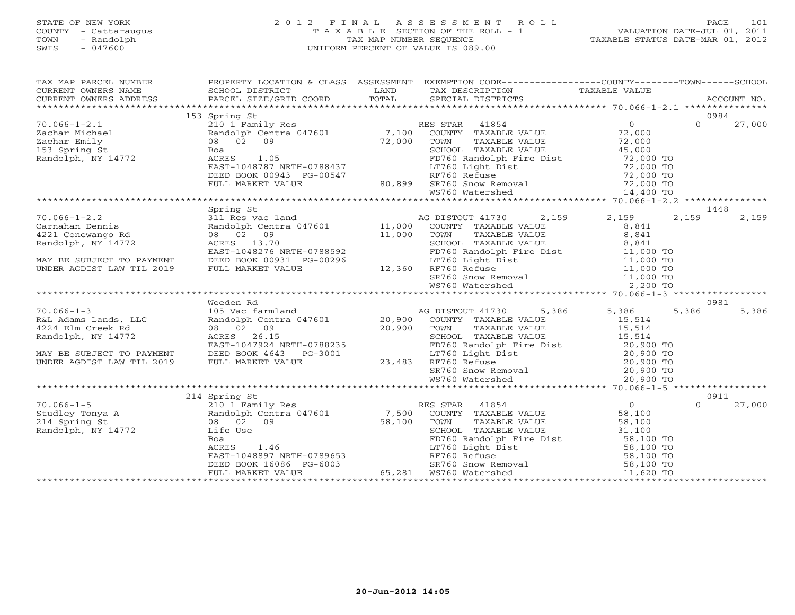#### STATE OF NEW YORK 2 0 1 2 F I N A L A S S E S S M E N T R O L L PAGE 101 COUNTY - Cattaraugus T A X A B L E SECTION OF THE ROLL - 1 VALUATION DATE-JUL 01, 2011 TOWN - Randolph TAX MAP NUMBER SEQUENCE TAXABLE STATUS DATE-MAR 01, 2012 SWIS - 047600 UNIFORM PERCENT OF VALUE IS 089.00UNIFORM PERCENT OF VALUE IS 089.00

| TAX MAP PARCEL NUMBER                                                 |                   | PROPERTY LOCATION & CLASS ASSESSMENT EXEMPTION CODE----------------COUNTY-------TOWN------SCHOOL |                            |
|-----------------------------------------------------------------------|-------------------|--------------------------------------------------------------------------------------------------|----------------------------|
|                                                                       | <b>Example 12</b> | TAX DESCRIPTION TAXABLE VALUE<br>SPECIAL DISTRICTS                                               |                            |
|                                                                       |                   |                                                                                                  |                            |
|                                                                       | 153 Spring St     |                                                                                                  | 0984                       |
| $70.066 - 1 - 2.1$                                                    |                   |                                                                                                  | $\Omega$<br>27,000         |
| Zachar Michael<br>Zachar Emily<br>153 Spring St<br>Randolph, NY 14772 |                   |                                                                                                  |                            |
|                                                                       |                   |                                                                                                  |                            |
|                                                                       |                   |                                                                                                  |                            |
|                                                                       | Spring St         |                                                                                                  | 1448                       |
|                                                                       |                   |                                                                                                  |                            |
|                                                                       |                   |                                                                                                  |                            |
|                                                                       | Weeden Rd         |                                                                                                  | 0981<br>5,386<br>5,386     |
|                                                                       |                   |                                                                                                  |                            |
|                                                                       |                   |                                                                                                  |                            |
|                                                                       | 214 Spring St     |                                                                                                  | 0911<br>$\Omega$<br>27,000 |
|                                                                       |                   |                                                                                                  |                            |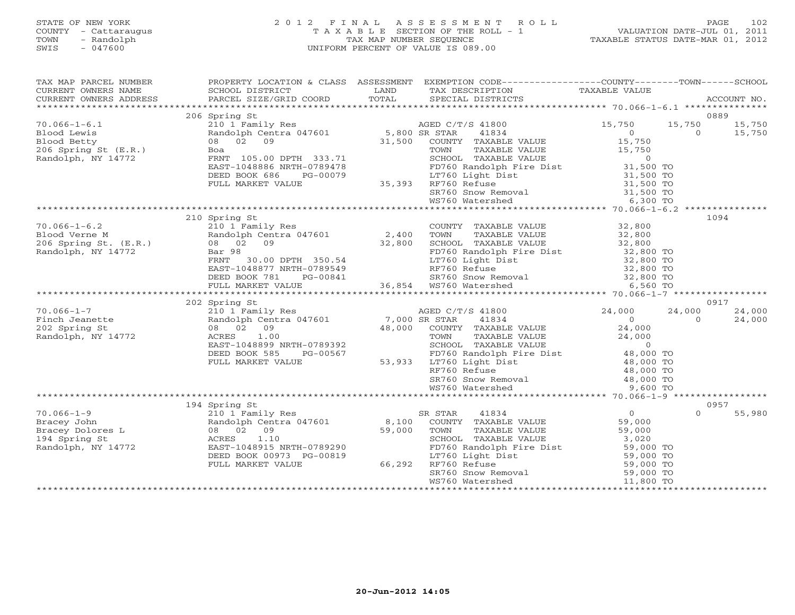#### STATE OF NEW YORK 2 0 1 2 F I N A L A S S E S S M E N T R O L L PAGE 102 COUNTY - Cattaraugus T A X A B L E SECTION OF THE ROLL - 1 VALUATION DATE-JUL 01, 2011 TOWN - Randolph TAX MAP NUMBER SEQUENCE TAXABLE STATUS DATE-MAR 01, 2012 SWIS - 047600 UNIFORM PERCENT OF VALUE IS 089.00UNIFORM PERCENT OF VALUE IS 089.00

| TAX MAP PARCEL NUMBER PROPERTY LOCATION & CLASS ASSESSMENT EXEMPTION CODE----------------COUNTY-------TOWN-----SCHOOL<br>CURRENT OWNERS NAME SCHOOL DISTRICT LAND TAX DESCRIPTION TAXABLE VALUE<br>CURRENT OWNERS ADDRESS PARCEL SIZ<br>CURRENT OWNERS ADDRESS                             |               |                                                                                                                                                                                                                                                                                                                                                                                                                                                                              |                                           |
|--------------------------------------------------------------------------------------------------------------------------------------------------------------------------------------------------------------------------------------------------------------------------------------------|---------------|------------------------------------------------------------------------------------------------------------------------------------------------------------------------------------------------------------------------------------------------------------------------------------------------------------------------------------------------------------------------------------------------------------------------------------------------------------------------------|-------------------------------------------|
|                                                                                                                                                                                                                                                                                            |               |                                                                                                                                                                                                                                                                                                                                                                                                                                                                              |                                           |
|                                                                                                                                                                                                                                                                                            | 206 Spring St |                                                                                                                                                                                                                                                                                                                                                                                                                                                                              | 0889                                      |
| $70.066 - 1 - 6.1$<br>Blood Lewis<br>Blood Betty<br>206 Spring St (E.R.)<br>Randolph, NY 14772                                                                                                                                                                                             |               | $\begin{tabular}{l c c c c c} \hline \multicolumn{3}{c}{Spring St} & \multicolumn{3}{c}{AGED C/T/S 41800} & \multicolumn{3}{c}{15,750} & \multicolumn{3}{c}{15,750} & \multicolumn{3}{c}{15,750} & \multicolumn{3}{c}{15,750} & \multicolumn{3}{c}{15,750} & \multicolumn{3}{c}{15,750} & \multicolumn{3}{c}{15,750} & \multicolumn{3}{c}{15,750} & \multicolumn{3}{c}{15,750} & \multicolumn{3}{c}{1$                                                                       | 15,750 15,750<br>15,750<br>$\overline{O}$ |
|                                                                                                                                                                                                                                                                                            |               |                                                                                                                                                                                                                                                                                                                                                                                                                                                                              |                                           |
|                                                                                                                                                                                                                                                                                            |               |                                                                                                                                                                                                                                                                                                                                                                                                                                                                              |                                           |
|                                                                                                                                                                                                                                                                                            |               |                                                                                                                                                                                                                                                                                                                                                                                                                                                                              |                                           |
|                                                                                                                                                                                                                                                                                            | 210 Spring St |                                                                                                                                                                                                                                                                                                                                                                                                                                                                              | 1094                                      |
|                                                                                                                                                                                                                                                                                            |               |                                                                                                                                                                                                                                                                                                                                                                                                                                                                              |                                           |
|                                                                                                                                                                                                                                                                                            |               |                                                                                                                                                                                                                                                                                                                                                                                                                                                                              |                                           |
|                                                                                                                                                                                                                                                                                            |               |                                                                                                                                                                                                                                                                                                                                                                                                                                                                              |                                           |
|                                                                                                                                                                                                                                                                                            |               |                                                                                                                                                                                                                                                                                                                                                                                                                                                                              |                                           |
|                                                                                                                                                                                                                                                                                            |               |                                                                                                                                                                                                                                                                                                                                                                                                                                                                              |                                           |
|                                                                                                                                                                                                                                                                                            |               |                                                                                                                                                                                                                                                                                                                                                                                                                                                                              |                                           |
|                                                                                                                                                                                                                                                                                            |               |                                                                                                                                                                                                                                                                                                                                                                                                                                                                              |                                           |
| $\begin{array}{cccccccc} 70.066-1-7 & 202 \text{ Spring St} & 0917 & 0917 & 0917 & 0917 & 0917 & 0917 & 0917 & 0917 & 0917 & 0917 & 0917 & 0917 & 0917 & 0917 & 0917 & 0917 & 0917 & 0917 & 0917 & 0917 & 0917 & 0917 & 0917 & 0917 & 0917 & 0917 & 0917 & 0917 & 0917 & 0917 & 0917 & 09$ | 202 Spring St |                                                                                                                                                                                                                                                                                                                                                                                                                                                                              | 0917                                      |
|                                                                                                                                                                                                                                                                                            |               |                                                                                                                                                                                                                                                                                                                                                                                                                                                                              |                                           |
|                                                                                                                                                                                                                                                                                            |               |                                                                                                                                                                                                                                                                                                                                                                                                                                                                              |                                           |
|                                                                                                                                                                                                                                                                                            |               |                                                                                                                                                                                                                                                                                                                                                                                                                                                                              |                                           |
|                                                                                                                                                                                                                                                                                            |               |                                                                                                                                                                                                                                                                                                                                                                                                                                                                              |                                           |
|                                                                                                                                                                                                                                                                                            |               |                                                                                                                                                                                                                                                                                                                                                                                                                                                                              |                                           |
|                                                                                                                                                                                                                                                                                            |               |                                                                                                                                                                                                                                                                                                                                                                                                                                                                              |                                           |
|                                                                                                                                                                                                                                                                                            |               |                                                                                                                                                                                                                                                                                                                                                                                                                                                                              |                                           |
|                                                                                                                                                                                                                                                                                            |               |                                                                                                                                                                                                                                                                                                                                                                                                                                                                              |                                           |
|                                                                                                                                                                                                                                                                                            |               |                                                                                                                                                                                                                                                                                                                                                                                                                                                                              |                                           |
|                                                                                                                                                                                                                                                                                            | 194 Spring St |                                                                                                                                                                                                                                                                                                                                                                                                                                                                              | 0957                                      |
|                                                                                                                                                                                                                                                                                            |               |                                                                                                                                                                                                                                                                                                                                                                                                                                                                              | $\Omega$<br>55,980                        |
|                                                                                                                                                                                                                                                                                            |               |                                                                                                                                                                                                                                                                                                                                                                                                                                                                              |                                           |
|                                                                                                                                                                                                                                                                                            |               |                                                                                                                                                                                                                                                                                                                                                                                                                                                                              |                                           |
|                                                                                                                                                                                                                                                                                            |               |                                                                                                                                                                                                                                                                                                                                                                                                                                                                              |                                           |
| Bracey John 210 1 Family<br>Bracey Dolores L 210 1 Family<br>194 Spring St 208 02 09<br>Randolph, NY 14772 EAST-1048915                                                                                                                                                                    |               |                                                                                                                                                                                                                                                                                                                                                                                                                                                                              |                                           |
|                                                                                                                                                                                                                                                                                            |               |                                                                                                                                                                                                                                                                                                                                                                                                                                                                              |                                           |
|                                                                                                                                                                                                                                                                                            |               |                                                                                                                                                                                                                                                                                                                                                                                                                                                                              |                                           |
|                                                                                                                                                                                                                                                                                            |               | $\begin{tabular}{l c c c c c} \hline \multicolumn{3}{c}{\textbf{Spring St}} & \multicolumn{3}{c}{\textbf{String 11}} & \multicolumn{3}{c}{\textbf{String 21}} & \multicolumn{3}{c}{\textbf{String 34}} & \multicolumn{3}{c}{\textbf{R}} & \multicolumn{3}{c}{\textbf{S}} & \multicolumn{3}{c}{\textbf{R}} & \multicolumn{3}{c}{\textbf{R}} & \multicolumn{3}{c}{\textbf{R}} & \multicolumn{3}{c}{\textbf{R}} & \multicolumn{3}{c}{\textbf{R}} & \multicolumn{3}{c}{\textbf{$ |                                           |
|                                                                                                                                                                                                                                                                                            |               |                                                                                                                                                                                                                                                                                                                                                                                                                                                                              |                                           |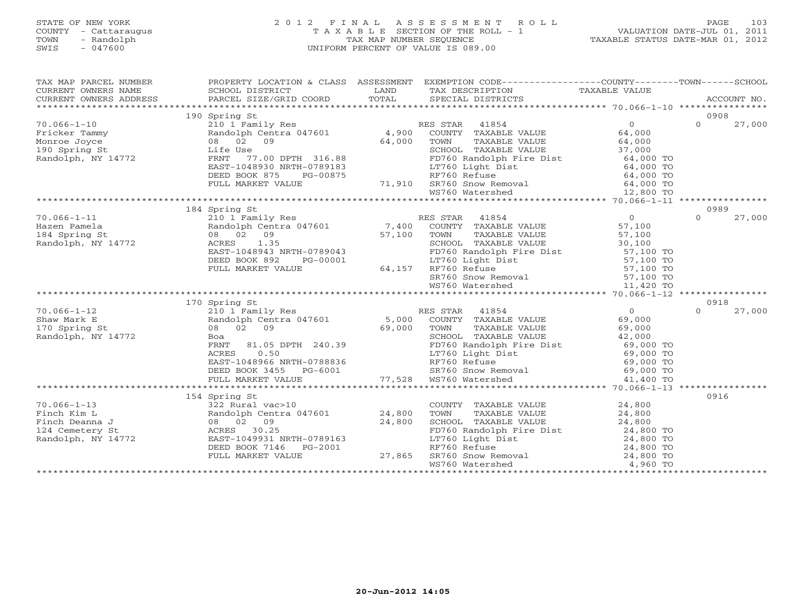#### STATE OF NEW YORK 2 0 1 2 F I N A L A S S E S S M E N T R O L L PAGE 103 COUNTY - Cattaraugus T A X A B L E SECTION OF THE ROLL - 1 VALUATION DATE-JUL 01, 2011 TOWN - Randolph TAX MAP NUMBER SEQUENCE TAXABLE STATUS DATE-MAR 01, 2012<br>
SWIS - 047600<br>
TAXABLE STATUS DATE-MAR 01, 2012 SWIS - 047600 UNIFORM PERCENT OF VALUE IS 089.00

| TAX MAP PARCEL NUMBER                                                |                                                                                                                                        |        | PROPERTY LOCATION & CLASS ASSESSMENT EXEMPTION CODE---------------COUNTY-------TOWN------SCHOOL                                                                                                                                                                            |                        |                    |
|----------------------------------------------------------------------|----------------------------------------------------------------------------------------------------------------------------------------|--------|----------------------------------------------------------------------------------------------------------------------------------------------------------------------------------------------------------------------------------------------------------------------------|------------------------|--------------------|
|                                                                      |                                                                                                                                        |        |                                                                                                                                                                                                                                                                            |                        |                    |
|                                                                      |                                                                                                                                        |        |                                                                                                                                                                                                                                                                            |                        |                    |
|                                                                      |                                                                                                                                        |        |                                                                                                                                                                                                                                                                            |                        |                    |
|                                                                      | 190 Spring St                                                                                                                          |        |                                                                                                                                                                                                                                                                            |                        | 0908               |
| $70.066 - 1 - 10$                                                    | 210 1 Family Res                                                                                                                       |        | RES STAR 41854                                                                                                                                                                                                                                                             | $\overline{O}$         | $\Omega$<br>27,000 |
| Fricker Tammy<br>Monroe Joyce<br>190 Spring St<br>Randolph, NY 14772 |                                                                                                                                        |        | Randolph Centra 047601 4,900 COUNTY TAXABLE VALUE                                                                                                                                                                                                                          | 64,000                 |                    |
|                                                                      | 08 02 09                                                                                                                               | 64,000 | TOWN<br>TAXABLE VALUE                                                                                                                                                                                                                                                      |                        |                    |
|                                                                      | Life Use                                                                                                                               |        | SCHOOL TAXABLE VALUE                                                                                                                                                                                                                                                       | 64,000<br>37,000       |                    |
|                                                                      | 555<br>77.00 DPTH 316.88<br>FRNT                                                                                                       |        |                                                                                                                                                                                                                                                                            |                        |                    |
|                                                                      | EAST-1048930 NRTH-0789183                                                                                                              |        | LT760 Light Dist                                                                                                                                                                                                                                                           | 64,000 TO<br>64,000 TO |                    |
|                                                                      | DEED BOOK 875<br>PG-00875                                                                                                              |        | RF760 Refuse                                                                                                                                                                                                                                                               |                        |                    |
|                                                                      |                                                                                                                                        |        |                                                                                                                                                                                                                                                                            |                        |                    |
|                                                                      |                                                                                                                                        |        |                                                                                                                                                                                                                                                                            |                        |                    |
|                                                                      |                                                                                                                                        |        |                                                                                                                                                                                                                                                                            |                        |                    |
|                                                                      | 184 Spring St                                                                                                                          |        |                                                                                                                                                                                                                                                                            |                        | 0989               |
| $70.066 - 1 - 11$                                                    | 210 1 Family Res                                                                                                                       |        | RES STAR 41854                                                                                                                                                                                                                                                             | $\overline{0}$         | 27,000<br>$\Omega$ |
| Hazen Pamela                                                         |                                                                                                                                        |        | Randolph Centra 047601 7,400 COUNTY TAXABLE VALUE                                                                                                                                                                                                                          | 57,100                 |                    |
|                                                                      | 08 02 09                                                                                                                               | 57,100 | TOWN<br>TAXABLE VALUE                                                                                                                                                                                                                                                      | 57,100                 |                    |
| 184 Spring St<br>Randolph, NY 14772                                  | 1.35<br>ACRES                                                                                                                          |        | SCHOOL TAXABLE VALUE                                                                                                                                                                                                                                                       | 30,100                 |                    |
|                                                                      | EAST-1048943 NRTH-0789043                                                                                                              |        |                                                                                                                                                                                                                                                                            |                        |                    |
|                                                                      | DEED BOOK 892<br>PG-00001                                                                                                              |        |                                                                                                                                                                                                                                                                            |                        |                    |
|                                                                      | FULL MARKET VALUE                                                                                                                      |        | 64,157 RF760 Refuse                                                                                                                                                                                                                                                        |                        |                    |
|                                                                      |                                                                                                                                        |        |                                                                                                                                                                                                                                                                            |                        |                    |
|                                                                      |                                                                                                                                        |        | FD760 Randolph Fire Dist<br>FD760 Randolph Fire Dist<br>RF760 Refuse<br>RF760 Refuse<br>S7,100 TO<br>SR760 Snow Removal<br>MS760 Watershed<br>MS760 Watershed<br>11,420 TO                                                                                                 |                        |                    |
|                                                                      |                                                                                                                                        |        |                                                                                                                                                                                                                                                                            |                        |                    |
|                                                                      | 170 Spring St                                                                                                                          |        |                                                                                                                                                                                                                                                                            |                        | 0918               |
| $70.066 - 1 - 12$                                                    |                                                                                                                                        |        | 210 1 Family Res<br>Randolph Centra 047601 5,000 COUNTY TAXABLE VALUE<br>08 02 09 69,000 TOWN TAXABLE VALUE                                                                                                                                                                | $\overline{0}$         | $\Omega$<br>27,000 |
| Shaw Mark E                                                          |                                                                                                                                        |        |                                                                                                                                                                                                                                                                            | 69,000                 |                    |
| 170 Spring St                                                        |                                                                                                                                        |        |                                                                                                                                                                                                                                                                            | 69,000                 |                    |
| Randolph, NY 14772                                                   | Boa                                                                                                                                    |        |                                                                                                                                                                                                                                                                            |                        |                    |
|                                                                      |                                                                                                                                        |        |                                                                                                                                                                                                                                                                            |                        |                    |
|                                                                      |                                                                                                                                        |        |                                                                                                                                                                                                                                                                            |                        |                    |
|                                                                      |                                                                                                                                        |        |                                                                                                                                                                                                                                                                            |                        |                    |
|                                                                      |                                                                                                                                        |        |                                                                                                                                                                                                                                                                            |                        |                    |
|                                                                      | FRNT 81.05 DPTH 240.39<br>ACRES 0.50<br>EAST-1048966 NRTH-0788836<br>DEED BOOK 3455 PG-6001<br>FULI. MARKET VALUE<br>FULL MARKET VALUE |        | 240.39<br>240.39<br>240.39<br>240.39<br>240.39<br>240.39<br>240.39<br>240.39<br>240.39<br>240.39<br>240.39<br>240.39<br>240.39<br>240.39<br>240.00 PD<br>2760 Randolph Fire Dist<br>24,000 TO<br>24,000 TO<br>24,000 TO<br>24,000 TO<br>24,000 TO<br>24,000 TO<br>24,000 T |                        |                    |
|                                                                      |                                                                                                                                        |        |                                                                                                                                                                                                                                                                            |                        |                    |
|                                                                      | 154 Spring St                                                                                                                          |        |                                                                                                                                                                                                                                                                            |                        | 0916               |
| $70.066 - 1 - 13$                                                    | 322 Rural vac>10                                                                                                                       |        |                                                                                                                                                                                                                                                                            | 24,800                 |                    |
| Finch Kim L                                                          | Randolph Centra 047601 24,800                                                                                                          |        | COUNTY TAXABLE VALUE<br>TOWN TAXABLE VALUE                                                                                                                                                                                                                                 | 24,800                 |                    |
| Finch Deanna J                                                       | 08 02 09                                                                                                                               | 24,800 |                                                                                                                                                                                                                                                                            |                        |                    |
| 124 Cemetery St                                                      |                                                                                                                                        |        |                                                                                                                                                                                                                                                                            |                        |                    |
| Randolph, NY 14772                                                   |                                                                                                                                        |        |                                                                                                                                                                                                                                                                            |                        |                    |
|                                                                      |                                                                                                                                        |        |                                                                                                                                                                                                                                                                            |                        |                    |
|                                                                      |                                                                                                                                        |        |                                                                                                                                                                                                                                                                            |                        |                    |
|                                                                      |                                                                                                                                        |        | SCHOOL TAXABLE VALUE<br>PD760 Randolph Fire Dist<br>LT760 Light Dist<br>RF760 Refuse<br>RF760 Refuse<br>SR760 Snow Removal<br>WS760 Watershed<br>A 24,800 TO<br>WS760 Watershed<br>A 24,800 TO<br>4,960 TO                                                                 |                        |                    |
|                                                                      |                                                                                                                                        |        |                                                                                                                                                                                                                                                                            |                        |                    |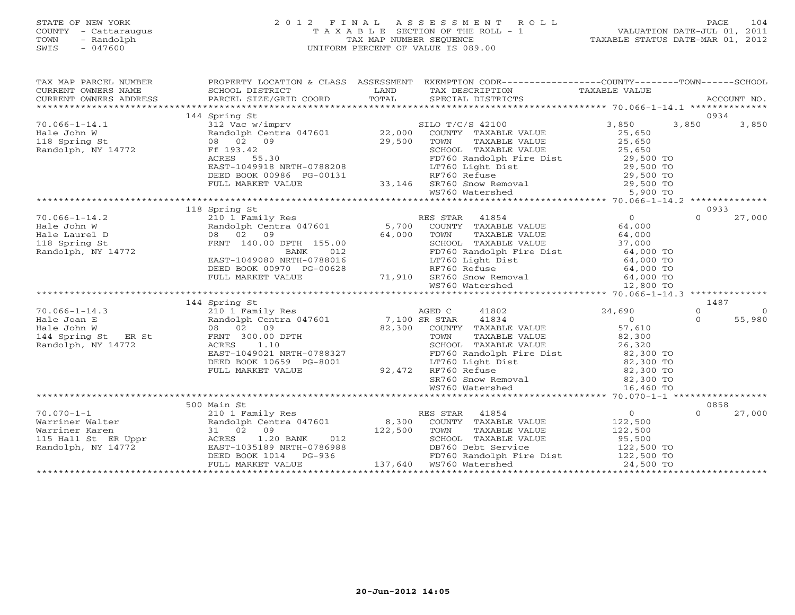#### STATE OF NEW YORK 2 0 1 2 F I N A L A S S E S S M E N T R O L L PAGE 104 COUNTY - Cattaraugus T A X A B L E SECTION OF THE ROLL - 1 VALUATION DATE-JUL 01, 2011 TOWN - Randolph TAX MAP NUMBER SEQUENCE TAXABLE STATUS DATE-MAR 01, 2012 SWIS - 047600 UNIFORM PERCENT OF VALUE IS 089.00UNIFORM PERCENT OF VALUE IS 089.00

| TAX MAP PARCEL NUMBER |               | PROPERTY LOCATION & CLASS ASSESSMENT EXEMPTION CODE----------------COUNTY-------TOWN------SCHOOL |           |          |        |
|-----------------------|---------------|--------------------------------------------------------------------------------------------------|-----------|----------|--------|
|                       |               |                                                                                                  |           |          |        |
|                       |               |                                                                                                  |           |          |        |
|                       |               |                                                                                                  |           |          |        |
|                       |               |                                                                                                  |           |          |        |
|                       |               |                                                                                                  |           |          |        |
|                       |               |                                                                                                  |           |          |        |
|                       |               |                                                                                                  |           |          |        |
|                       |               |                                                                                                  |           |          |        |
|                       |               |                                                                                                  |           |          |        |
|                       |               |                                                                                                  |           |          |        |
|                       |               |                                                                                                  |           |          |        |
|                       |               |                                                                                                  |           |          |        |
|                       |               |                                                                                                  |           |          |        |
|                       |               |                                                                                                  |           |          |        |
|                       | 118 Spring St |                                                                                                  |           | 0933     |        |
|                       |               |                                                                                                  |           | $\Omega$ | 27,000 |
|                       |               |                                                                                                  |           |          |        |
|                       |               |                                                                                                  |           |          |        |
|                       |               |                                                                                                  |           |          |        |
|                       |               |                                                                                                  |           |          |        |
|                       |               |                                                                                                  |           |          |        |
|                       |               |                                                                                                  |           |          |        |
|                       |               |                                                                                                  |           |          |        |
|                       |               |                                                                                                  |           |          |        |
|                       |               |                                                                                                  |           |          |        |
|                       | 144 Spring St |                                                                                                  |           | 1487     |        |
|                       |               |                                                                                                  |           |          |        |
|                       |               |                                                                                                  |           |          |        |
|                       |               |                                                                                                  |           |          |        |
|                       |               |                                                                                                  |           |          |        |
|                       |               |                                                                                                  |           |          |        |
|                       |               |                                                                                                  |           |          |        |
|                       |               |                                                                                                  |           |          |        |
|                       |               |                                                                                                  |           |          |        |
|                       |               |                                                                                                  |           |          |        |
|                       |               |                                                                                                  |           |          |        |
|                       |               |                                                                                                  |           |          |        |
|                       |               |                                                                                                  |           | 0858     |        |
|                       |               |                                                                                                  |           | $\Omega$ | 27,000 |
|                       |               |                                                                                                  |           |          |        |
|                       |               |                                                                                                  |           |          |        |
|                       |               |                                                                                                  |           |          |        |
|                       |               |                                                                                                  |           |          |        |
|                       |               |                                                                                                  |           |          |        |
|                       |               | DEED BOOK 1014 PG-936<br>FD760 Randolph Fire Dist<br>FULL MARKET VALUE 137,640 WS760 Watershed   | 24,500 TO |          |        |
|                       |               |                                                                                                  |           |          |        |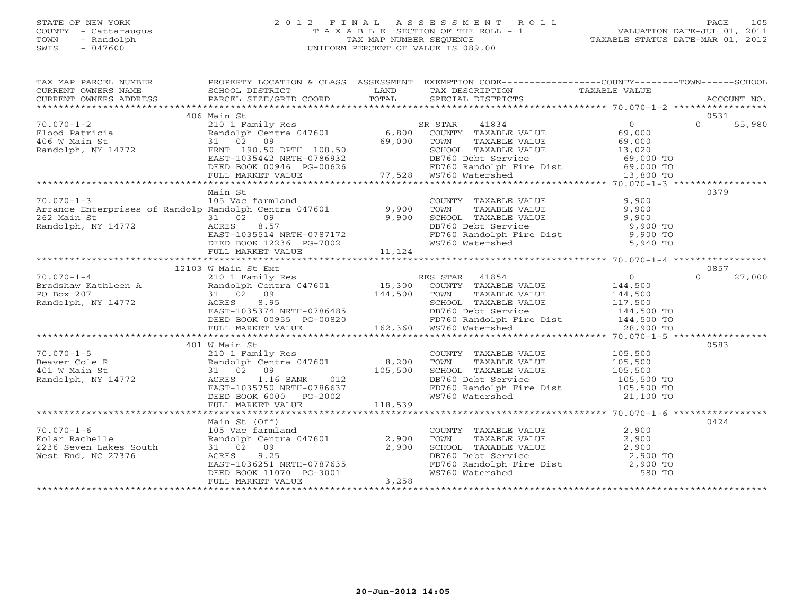#### STATE OF NEW YORK 2 0 1 2 F I N A L A S S E S S M E N T R O L L PAGE 105 COUNTY - Cattaraugus T A X A B L E SECTION OF THE ROLL - 1 VALUATION DATE-JUL 01, 2011 TOWN - Randolph TAX MAP NUMBER SEQUENCE TAXABLE STATUS DATE-MAR 01, 2012 SWIS - 047600 UNIFORM PERCENT OF VALUE IS 089.00UNIFORM PERCENT OF VALUE IS 089.00

| TAX MAP PARCEL NUMBER                                                                                                                                                                                                                                                                         |                                                                                                                                                                                      | PROPERTY LOCATION & CLASS ASSESSMENT EXEMPTION CODE----------------COUNTY-------TOWN------SCHOOL                                                                               |      |
|-----------------------------------------------------------------------------------------------------------------------------------------------------------------------------------------------------------------------------------------------------------------------------------------------|--------------------------------------------------------------------------------------------------------------------------------------------------------------------------------------|--------------------------------------------------------------------------------------------------------------------------------------------------------------------------------|------|
| CURRENT OWNERS NAME SCHOOL DISTRICT LAND                                                                                                                                                                                                                                                      |                                                                                                                                                                                      |                                                                                                                                                                                |      |
|                                                                                                                                                                                                                                                                                               |                                                                                                                                                                                      |                                                                                                                                                                                |      |
|                                                                                                                                                                                                                                                                                               | 406 Main St                                                                                                                                                                          |                                                                                                                                                                                | 0531 |
|                                                                                                                                                                                                                                                                                               |                                                                                                                                                                                      |                                                                                                                                                                                |      |
|                                                                                                                                                                                                                                                                                               |                                                                                                                                                                                      |                                                                                                                                                                                |      |
|                                                                                                                                                                                                                                                                                               |                                                                                                                                                                                      |                                                                                                                                                                                |      |
|                                                                                                                                                                                                                                                                                               |                                                                                                                                                                                      |                                                                                                                                                                                |      |
|                                                                                                                                                                                                                                                                                               |                                                                                                                                                                                      |                                                                                                                                                                                |      |
|                                                                                                                                                                                                                                                                                               |                                                                                                                                                                                      |                                                                                                                                                                                |      |
|                                                                                                                                                                                                                                                                                               |                                                                                                                                                                                      |                                                                                                                                                                                |      |
|                                                                                                                                                                                                                                                                                               |                                                                                                                                                                                      |                                                                                                                                                                                |      |
| $\begin{array}{cccccccc} 70.070-1-2 & 406 \text{ Matricia} & 2101 \text{ Family Res} & 55,980 & 55,980 & 55,980 & 55,980 & 55,980 & 55,980 & 55,980 & 55,980 & 55,980 & 55,980 & 55,980 & 55,980 & 55,980 & 55,980 & 55,980 & 55,980 & 55,980 & 55,980 & 55,980 & 55,980 & 55,980 & 55,980 &$ | Main St                                                                                                                                                                              |                                                                                                                                                                                | 0379 |
|                                                                                                                                                                                                                                                                                               |                                                                                                                                                                                      |                                                                                                                                                                                |      |
|                                                                                                                                                                                                                                                                                               |                                                                                                                                                                                      |                                                                                                                                                                                |      |
|                                                                                                                                                                                                                                                                                               |                                                                                                                                                                                      |                                                                                                                                                                                |      |
|                                                                                                                                                                                                                                                                                               |                                                                                                                                                                                      |                                                                                                                                                                                |      |
|                                                                                                                                                                                                                                                                                               |                                                                                                                                                                                      |                                                                                                                                                                                |      |
|                                                                                                                                                                                                                                                                                               |                                                                                                                                                                                      |                                                                                                                                                                                |      |
|                                                                                                                                                                                                                                                                                               |                                                                                                                                                                                      |                                                                                                                                                                                |      |
| 70.070-1-3<br>Arrance Enterprises of Randolp Randolph Centra 047601<br>262 Main St<br>Randolph, NY 14772<br>EXES 8.57<br>EXES 8.57<br>EXES 8.57<br>EXES 8.57<br>EXES 8.57<br>EXES 8.57<br>EXES 8000K 12236 PG-7002<br>FD760 Randolph Fire Dist<br>FD7                                         |                                                                                                                                                                                      |                                                                                                                                                                                |      |
|                                                                                                                                                                                                                                                                                               |                                                                                                                                                                                      |                                                                                                                                                                                |      |
|                                                                                                                                                                                                                                                                                               | 12103 W Main St Ext                                                                                                                                                                  |                                                                                                                                                                                | 0857 |
|                                                                                                                                                                                                                                                                                               |                                                                                                                                                                                      |                                                                                                                                                                                |      |
|                                                                                                                                                                                                                                                                                               |                                                                                                                                                                                      |                                                                                                                                                                                |      |
|                                                                                                                                                                                                                                                                                               |                                                                                                                                                                                      |                                                                                                                                                                                |      |
|                                                                                                                                                                                                                                                                                               |                                                                                                                                                                                      |                                                                                                                                                                                |      |
|                                                                                                                                                                                                                                                                                               |                                                                                                                                                                                      |                                                                                                                                                                                |      |
|                                                                                                                                                                                                                                                                                               |                                                                                                                                                                                      |                                                                                                                                                                                |      |
|                                                                                                                                                                                                                                                                                               |                                                                                                                                                                                      |                                                                                                                                                                                |      |
|                                                                                                                                                                                                                                                                                               |                                                                                                                                                                                      |                                                                                                                                                                                |      |
|                                                                                                                                                                                                                                                                                               | 401 W Main St                                                                                                                                                                        |                                                                                                                                                                                | 0583 |
|                                                                                                                                                                                                                                                                                               |                                                                                                                                                                                      |                                                                                                                                                                                |      |
|                                                                                                                                                                                                                                                                                               |                                                                                                                                                                                      |                                                                                                                                                                                |      |
|                                                                                                                                                                                                                                                                                               |                                                                                                                                                                                      |                                                                                                                                                                                |      |
|                                                                                                                                                                                                                                                                                               |                                                                                                                                                                                      |                                                                                                                                                                                |      |
|                                                                                                                                                                                                                                                                                               |                                                                                                                                                                                      |                                                                                                                                                                                |      |
|                                                                                                                                                                                                                                                                                               |                                                                                                                                                                                      |                                                                                                                                                                                |      |
|                                                                                                                                                                                                                                                                                               |                                                                                                                                                                                      |                                                                                                                                                                                |      |
|                                                                                                                                                                                                                                                                                               |                                                                                                                                                                                      |                                                                                                                                                                                |      |
|                                                                                                                                                                                                                                                                                               | Main St (Off)                                                                                                                                                                        |                                                                                                                                                                                | 0424 |
| 70.070-1-6<br>Kolar Rachelle<br>2236 Seven Lakes South<br>Wint Frd. NC 27376                                                                                                                                                                                                                  |                                                                                                                                                                                      |                                                                                                                                                                                |      |
|                                                                                                                                                                                                                                                                                               |                                                                                                                                                                                      |                                                                                                                                                                                |      |
|                                                                                                                                                                                                                                                                                               |                                                                                                                                                                                      |                                                                                                                                                                                |      |
|                                                                                                                                                                                                                                                                                               |                                                                                                                                                                                      |                                                                                                                                                                                |      |
|                                                                                                                                                                                                                                                                                               |                                                                                                                                                                                      |                                                                                                                                                                                |      |
|                                                                                                                                                                                                                                                                                               |                                                                                                                                                                                      | COUNTY TAXABLE VALUE<br>TOWN TAXABLE VALUE<br>SCHOOL TAXABLE VALUE<br>DB760 Debt Service<br>FD760 Randolph Fire Dist<br>WS760 Watershed<br>S80 TO<br>NS760 Watershed<br>S80 TO |      |
|                                                                                                                                                                                                                                                                                               | Main St (Off)<br>105 Vac farmland<br>Randolph Centra 047601 2,900<br>31 02 09 2,900<br>ACRES 9.25<br>EAST-1036251 NRTH-0787635<br>DEED BOOK 11070 PG-3001 3,258<br>FULL MARKET VALUE |                                                                                                                                                                                |      |
|                                                                                                                                                                                                                                                                                               |                                                                                                                                                                                      |                                                                                                                                                                                |      |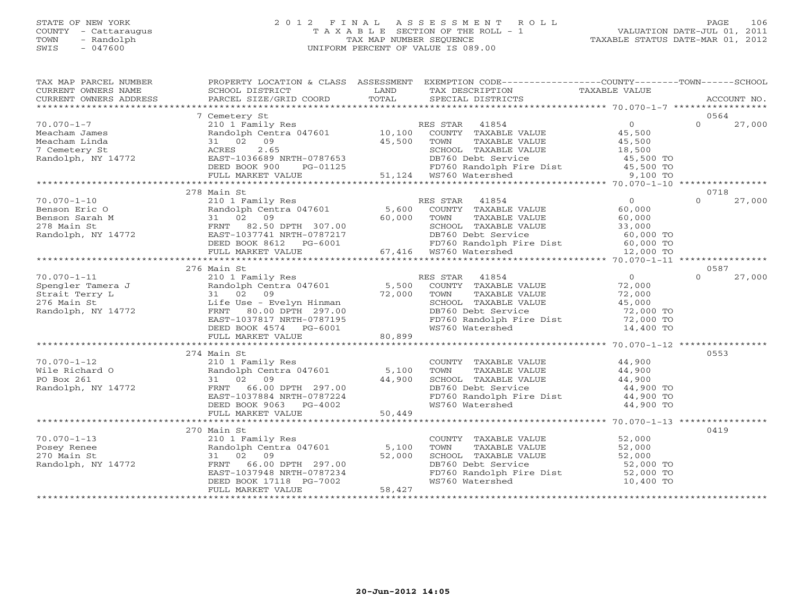#### STATE OF NEW YORK 2 0 1 2 F I N A L A S S E S S M E N T R O L L PAGE 106 COUNTY - Cattaraugus T A X A B L E SECTION OF THE ROLL - 1 VALUATION DATE-JUL 01, 2011 TOWN - Calculating Colonial - Calculating Colonial - Colonial - Colonial - Colonial - Calculating Colonial - T<br>
TAX MAP NUMBER SEQUENCE TAXABLE STATUS DATE-MAR 01, 2012<br>
SWIS - 047600 SWIS - 047600 UNIFORM PERCENT OF VALUE IS 089.00

|   |  | TAAABLE STATUS DATE-MAR UI, ZUIZ |  |  |
|---|--|----------------------------------|--|--|
| 0 |  |                                  |  |  |
|   |  |                                  |  |  |
|   |  |                                  |  |  |
|   |  |                                  |  |  |

| TAX MAP PARCEL NUMBER                                                                                                                                                                                                                                                                                                                                                                                                                                                        | PROPERTY LOCATION & CLASS ASSESSMENT EXEMPTION CODE----------------COUNTY-------TOWN------SCHOOL                                                                                                                              |        |                                                                                                                                        |           |                    |
|------------------------------------------------------------------------------------------------------------------------------------------------------------------------------------------------------------------------------------------------------------------------------------------------------------------------------------------------------------------------------------------------------------------------------------------------------------------------------|-------------------------------------------------------------------------------------------------------------------------------------------------------------------------------------------------------------------------------|--------|----------------------------------------------------------------------------------------------------------------------------------------|-----------|--------------------|
| $\begin{tabular}{lllllll} \multicolumn{2}{c}{\textbf{CURRENT}} & \multicolumn{2}{c}{\textbf{WWERS}} & \multicolumn{2}{c}{\textbf{NAME}} & \multicolumn{2}{c}{\textbf{SCH1D}} & \multicolumn{2}{c}{\textbf{LAND}} & \multicolumn{2}{c}{\textbf{TAX} \textbf{DESCRIPTION}} & \multicolumn{2}{c}{\textbf{TAXABLE} \textbf{ VALUE}} & \multicolumn{2}{c}{\textbf{NALUE}} \\ & & & & & & & \\ \multicolumn{2}{c}{\textbf{CURRENT}} & \multicolumn{2}{c}{\textbf{WURERS} \textbf{$ |                                                                                                                                                                                                                               |        |                                                                                                                                        |           |                    |
|                                                                                                                                                                                                                                                                                                                                                                                                                                                                              |                                                                                                                                                                                                                               |        |                                                                                                                                        |           |                    |
|                                                                                                                                                                                                                                                                                                                                                                                                                                                                              |                                                                                                                                                                                                                               |        |                                                                                                                                        |           |                    |
|                                                                                                                                                                                                                                                                                                                                                                                                                                                                              | 7 Cemetery St                                                                                                                                                                                                                 |        |                                                                                                                                        |           | 0564               |
| $70.070 - 1 - 7$                                                                                                                                                                                                                                                                                                                                                                                                                                                             | 210 1 Family Res<br>Randolph Centra 047601 10,100 COUNTY TAXABLE VALUE 45,500<br>31 02 09 45,500 TOWN TAXABLE VALUE 45,500<br>ACRES 2.65 2.65 SCHOOL TAXABLE VALUE 18,500                                                     |        |                                                                                                                                        |           | $\Omega$<br>27,000 |
|                                                                                                                                                                                                                                                                                                                                                                                                                                                                              |                                                                                                                                                                                                                               |        |                                                                                                                                        |           |                    |
|                                                                                                                                                                                                                                                                                                                                                                                                                                                                              |                                                                                                                                                                                                                               |        |                                                                                                                                        |           |                    |
|                                                                                                                                                                                                                                                                                                                                                                                                                                                                              |                                                                                                                                                                                                                               |        |                                                                                                                                        |           |                    |
|                                                                                                                                                                                                                                                                                                                                                                                                                                                                              |                                                                                                                                                                                                                               |        |                                                                                                                                        |           |                    |
|                                                                                                                                                                                                                                                                                                                                                                                                                                                                              |                                                                                                                                                                                                                               |        |                                                                                                                                        |           |                    |
|                                                                                                                                                                                                                                                                                                                                                                                                                                                                              |                                                                                                                                                                                                                               |        |                                                                                                                                        |           |                    |
|                                                                                                                                                                                                                                                                                                                                                                                                                                                                              |                                                                                                                                                                                                                               |        |                                                                                                                                        |           |                    |
|                                                                                                                                                                                                                                                                                                                                                                                                                                                                              | 278 Main St                                                                                                                                                                                                                   |        |                                                                                                                                        |           | 0718               |
|                                                                                                                                                                                                                                                                                                                                                                                                                                                                              |                                                                                                                                                                                                                               |        | ES STAR 41854 U<br>COUNTY TAXABLE VALUE 60,000<br>TAXABLE VALUE 60,000                                                                 |           |                    |
|                                                                                                                                                                                                                                                                                                                                                                                                                                                                              |                                                                                                                                                                                                                               |        |                                                                                                                                        |           |                    |
|                                                                                                                                                                                                                                                                                                                                                                                                                                                                              |                                                                                                                                                                                                                               |        |                                                                                                                                        |           |                    |
|                                                                                                                                                                                                                                                                                                                                                                                                                                                                              |                                                                                                                                                                                                                               |        |                                                                                                                                        |           |                    |
|                                                                                                                                                                                                                                                                                                                                                                                                                                                                              |                                                                                                                                                                                                                               |        |                                                                                                                                        |           |                    |
|                                                                                                                                                                                                                                                                                                                                                                                                                                                                              |                                                                                                                                                                                                                               |        |                                                                                                                                        |           |                    |
|                                                                                                                                                                                                                                                                                                                                                                                                                                                                              |                                                                                                                                                                                                                               |        |                                                                                                                                        |           |                    |
|                                                                                                                                                                                                                                                                                                                                                                                                                                                                              |                                                                                                                                                                                                                               |        |                                                                                                                                        |           |                    |
|                                                                                                                                                                                                                                                                                                                                                                                                                                                                              | 276 Main St                                                                                                                                                                                                                   |        |                                                                                                                                        |           | 0587               |
|                                                                                                                                                                                                                                                                                                                                                                                                                                                                              |                                                                                                                                                                                                                               |        |                                                                                                                                        |           | $\Omega$<br>27,000 |
|                                                                                                                                                                                                                                                                                                                                                                                                                                                                              |                                                                                                                                                                                                                               |        |                                                                                                                                        |           |                    |
|                                                                                                                                                                                                                                                                                                                                                                                                                                                                              |                                                                                                                                                                                                                               |        |                                                                                                                                        |           |                    |
|                                                                                                                                                                                                                                                                                                                                                                                                                                                                              |                                                                                                                                                                                                                               |        |                                                                                                                                        |           |                    |
|                                                                                                                                                                                                                                                                                                                                                                                                                                                                              |                                                                                                                                                                                                                               |        |                                                                                                                                        |           |                    |
|                                                                                                                                                                                                                                                                                                                                                                                                                                                                              |                                                                                                                                                                                                                               |        |                                                                                                                                        |           |                    |
|                                                                                                                                                                                                                                                                                                                                                                                                                                                                              |                                                                                                                                                                                                                               |        |                                                                                                                                        |           |                    |
|                                                                                                                                                                                                                                                                                                                                                                                                                                                                              |                                                                                                                                                                                                                               |        |                                                                                                                                        |           |                    |
|                                                                                                                                                                                                                                                                                                                                                                                                                                                                              |                                                                                                                                                                                                                               |        |                                                                                                                                        |           |                    |
|                                                                                                                                                                                                                                                                                                                                                                                                                                                                              | 274 Main St                                                                                                                                                                                                                   |        |                                                                                                                                        |           | 0553               |
| $70.070 - 1 - 12$                                                                                                                                                                                                                                                                                                                                                                                                                                                            |                                                                                                                                                                                                                               |        | COUNTY TAXABLE VALUE 44,900                                                                                                            |           |                    |
| Wile Richard O                                                                                                                                                                                                                                                                                                                                                                                                                                                               |                                                                                                                                                                                                                               |        |                                                                                                                                        |           |                    |
| PO Box 261                                                                                                                                                                                                                                                                                                                                                                                                                                                                   |                                                                                                                                                                                                                               |        |                                                                                                                                        |           |                    |
| Randolph, NY 14772                                                                                                                                                                                                                                                                                                                                                                                                                                                           |                                                                                                                                                                                                                               |        | TOWN TAXABLE VALUE $44,900$<br>SCHOOL TAXABLE VALUE $44,900$<br>DB760 Debt Service $44,900$ TO<br>FD760 Randolph Fire Dist $44,900$ TO |           |                    |
|                                                                                                                                                                                                                                                                                                                                                                                                                                                                              |                                                                                                                                                                                                                               |        |                                                                                                                                        |           |                    |
|                                                                                                                                                                                                                                                                                                                                                                                                                                                                              |                                                                                                                                                                                                                               |        | WS760 Watershed                                                                                                                        | 44,900 TO |                    |
|                                                                                                                                                                                                                                                                                                                                                                                                                                                                              | main st<br>210 1 Family Res<br>Randolph Centra 047601 5,100<br>31 02 09 44,900<br>FRNT 66.00 DPTH 297.00<br>EAST-1037884 NRTH-0787224<br>DEED BOOK 9063 PG-4002<br>FULL MARKET VALUE<br>50,449<br>FULL MARKET VALUE<br>50,449 |        |                                                                                                                                        |           |                    |
|                                                                                                                                                                                                                                                                                                                                                                                                                                                                              |                                                                                                                                                                                                                               |        |                                                                                                                                        |           |                    |
|                                                                                                                                                                                                                                                                                                                                                                                                                                                                              | 270 Main St                                                                                                                                                                                                                   |        |                                                                                                                                        |           | 0419               |
|                                                                                                                                                                                                                                                                                                                                                                                                                                                                              |                                                                                                                                                                                                                               |        | COUNTY TAXABLE VALUE 52,000<br>TOWN TAXABLE VALUE 52,000                                                                               |           |                    |
|                                                                                                                                                                                                                                                                                                                                                                                                                                                                              |                                                                                                                                                                                                                               |        |                                                                                                                                        |           |                    |
|                                                                                                                                                                                                                                                                                                                                                                                                                                                                              |                                                                                                                                                                                                                               |        |                                                                                                                                        |           |                    |
| 70.070-1-13<br>Posey Renee Randolph Centra 047601 5,100<br>270 Main St 31 02 09 52,000<br>Randolph, NY 14772 FRNT 66.00 DPTH 297.00<br>EAST-1037948 NRTH-0787234                                                                                                                                                                                                                                                                                                             |                                                                                                                                                                                                                               |        | SCHOOL TAXABLE VALUE 52,000<br>DB760 Debt Service 52,000 TO                                                                            |           |                    |
|                                                                                                                                                                                                                                                                                                                                                                                                                                                                              |                                                                                                                                                                                                                               |        |                                                                                                                                        |           |                    |
|                                                                                                                                                                                                                                                                                                                                                                                                                                                                              | DEED BOOK 17118 PG-7002                                                                                                                                                                                                       |        | FD760 Randolph Fire Dist 52,000 TO<br>WS760 Watershed 10,400 TO                                                                        |           |                    |
|                                                                                                                                                                                                                                                                                                                                                                                                                                                                              | FULL MARKET VALUE                                                                                                                                                                                                             | 58,427 |                                                                                                                                        |           |                    |
|                                                                                                                                                                                                                                                                                                                                                                                                                                                                              |                                                                                                                                                                                                                               |        |                                                                                                                                        |           |                    |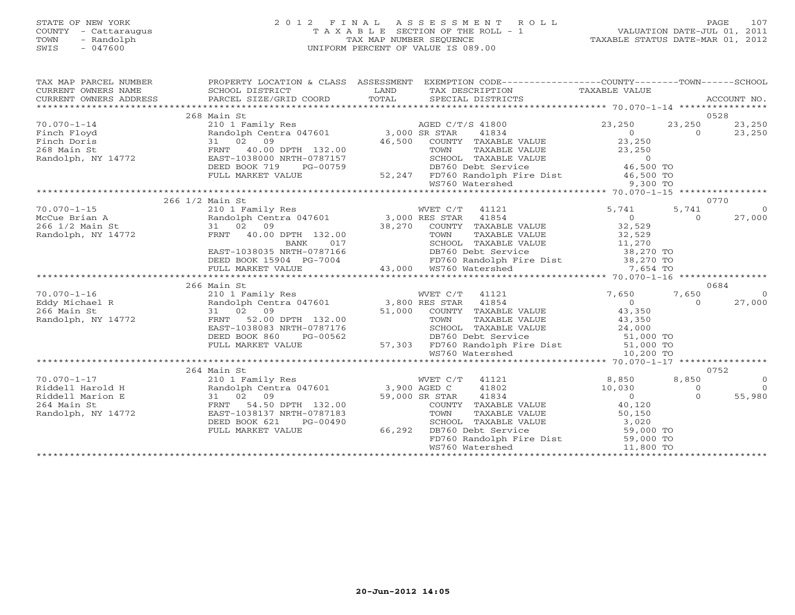#### STATE OF NEW YORK 2 0 1 2 F I N A L A S S E S S M E N T R O L L PAGE 107 COUNTY - Cattaraugus T A X A B L E SECTION OF THE ROLL - 1 VALUATION DATE-JUL 01, 2011 TOWN - Randolph TAX MAP NUMBER SEQUENCE TAXABLE STATUS DATE-MAR 01, 2012 SWIS - 047600 UNIFORM PERCENT OF VALUE IS 089.00UNIFORM PERCENT OF VALUE IS 089.00

| TAX MAP PARCEL NUMBER                                                      | PROPERTY LOCATION & CLASS ASSESSMENT                            |                                                                                                   | EXEMPTION CODE----------------COUNTY-------TOWN------SCHOOL           |                |
|----------------------------------------------------------------------------|-----------------------------------------------------------------|---------------------------------------------------------------------------------------------------|-----------------------------------------------------------------------|----------------|
|                                                                            |                                                                 |                                                                                                   |                                                                       |                |
|                                                                            |                                                                 |                                                                                                   |                                                                       |                |
|                                                                            | 268 Main St                                                     |                                                                                                   | 0528                                                                  |                |
| $70.070 - 1 - 14$                                                          | 210 1 Family Res                                                | AGED C/T/S 41800                                                                                  | 23,250<br>23,250                                                      | 23,250         |
|                                                                            |                                                                 | 41834                                                                                             | $\overline{0}$<br>$\begin{array}{c}\n\bullet \\ 0 \\ 23\n\end{array}$ | 23,250         |
| Finch Floyd<br>Finch Doris                                                 | Randolph Centra 047601 3,000 SR STAR<br>31 02 09                | 46,500<br>COUNTY TAXABLE VALUE                                                                    |                                                                       |                |
| 268 Main St                                                                | FRNT<br>40.00 DPTH 132.00                                       | TAXABLE VALUE                                                                                     | 23,250                                                                |                |
|                                                                            |                                                                 | TOWN<br>SCHOOL TAXABLE VALUE                                                                      |                                                                       |                |
| Randolph, NY 14772                                                         | EAST-1038000 NRTH-0787157                                       |                                                                                                   | UE 0<br>46,500 TO                                                     |                |
|                                                                            | DEED BOOK 719<br>PG-00759                                       | DB760 Debt Service<br>$-759$ 52                                                                   |                                                                       |                |
|                                                                            | FULL MARKET VALUE                                               | 52,247 FD760 Randolph Fire Dist 46,500 TO                                                         |                                                                       |                |
|                                                                            |                                                                 | WS760 Watershed                                                                                   | $9,300$ TO                                                            |                |
|                                                                            |                                                                 |                                                                                                   |                                                                       |                |
|                                                                            | 266 1/2 Main St                                                 |                                                                                                   | 0770                                                                  |                |
| $70.070 - 1 - 15$<br>McCue Brian A<br>266 1/2 Main St<br>Randolph NW 14756 |                                                                 | 41121                                                                                             | 5,741<br>5,741                                                        | $\circ$        |
|                                                                            |                                                                 | 41854                                                                                             | $\overline{0}$<br>$\Omega$                                            | 27,000         |
|                                                                            | 31 02 09                                                        | 38,270 COUNTY TAXABLE VALUE 32,529<br>TOWN TAXABLE VALUE 32,529<br>SCHOOL TAXABLE VALUE 32,529    |                                                                       |                |
| Randolph, NY 14772                                                         | FRNT 40.00 DPTH 132.00                                          |                                                                                                   |                                                                       |                |
|                                                                            | <b>BANK</b><br>017                                              | SCHOOL TAXABLE VALUE                                                                              | UE 32,529<br>UE 32,529<br>38,270 TO                                   |                |
|                                                                            | EAST-1038035 NRTH-0787166                                       | DB760 Debt Service                                                                                |                                                                       |                |
|                                                                            | DEED BOOK 15904 PG-7004                                         | FD760 Randolph Fire Dist 38,270 TO<br>43,000 WS760 Watershed 7,654 TO                             |                                                                       |                |
|                                                                            | FULL MARKET VALUE                                               |                                                                                                   |                                                                       |                |
|                                                                            |                                                                 |                                                                                                   |                                                                       |                |
|                                                                            | 266 Main St                                                     |                                                                                                   | 0684                                                                  |                |
| $70.070 - 1 - 16$                                                          | 210 1 Family Res                                                | WVET C/T 41121                                                                                    | 7,650<br>7,650                                                        | $\overline{0}$ |
| Eddy Michael R                                                             | Randolph Centra 047601 3,800 RES STAR                           | 41854                                                                                             | $\overline{0}$<br>$\Omega$                                            | 27,000         |
| 266 Main St                                                                | 31 02 09                                                        | 51,000 COUNTY TAXABLE VALUE 43,350                                                                |                                                                       |                |
| Randolph, NY 14772                                                         | FRNT 52.00 DPTH 132.00                                          | TAXABLE VALUE<br>TOWN                                                                             | $43,350$<br>$24,000$                                                  |                |
|                                                                            | EAST-1038083 NRTH-0787176                                       | SCHOOL TAXABLE VALUE                                                                              |                                                                       |                |
|                                                                            | DEED BOOK 860<br>PG-00562                                       |                                                                                                   |                                                                       |                |
|                                                                            | FULL MARKET VALUE                                               |                                                                                                   |                                                                       |                |
|                                                                            |                                                                 | DB760 Debt Service bist<br>57,303 FD760 Randolph Fire Dist 51,000 TO<br>WS760 Watershed 10,200 TO |                                                                       |                |
|                                                                            |                                                                 |                                                                                                   |                                                                       |                |
|                                                                            | 264 Main St                                                     |                                                                                                   | 0752                                                                  |                |
| $70.070 - 1 - 17$                                                          | 210 1 Family Res WVET C/<br>Randolph Centra 047601 3,900 AGED C | WVET C/T<br>41121                                                                                 | 8,850<br>8,850                                                        | $\overline{O}$ |
| Riddell Harold H                                                           |                                                                 | 41802                                                                                             | 10,030<br>$\circ$                                                     | $\Omega$       |
| Riddell Marion E                                                           | 31 02 09                                                        | 59,000 SR STAR<br>41834                                                                           | $\overline{0}$<br>$\Omega$                                            | 55,980         |
| 264 Main St                                                                | 54.50 DPTH 132.00<br>FRNT                                       | COUNTY TAXABLE VALUE                                                                              | 40,120                                                                |                |
| Randolph, NY 14772                                                         | EAST-1038137 NRTH-0787183                                       | TAXABLE VALUE<br>TOWN                                                                             | 50, 150                                                               |                |
|                                                                            | DEED BOOK 621<br>PG-00490                                       | TAXABLE VALUE<br>SCHOOL                                                                           | 3,020                                                                 |                |
|                                                                            | FULL MARKET VALUE                                               | 66,292<br>DB760 Debt Service                                                                      | JE 3,020<br>59,000 TO                                                 |                |
|                                                                            |                                                                 | FD760 Randolph Fire Dist 59,000 TO                                                                |                                                                       |                |
|                                                                            |                                                                 | WS760 Watershed                                                                                   | 11,800 TO                                                             |                |
|                                                                            |                                                                 |                                                                                                   |                                                                       |                |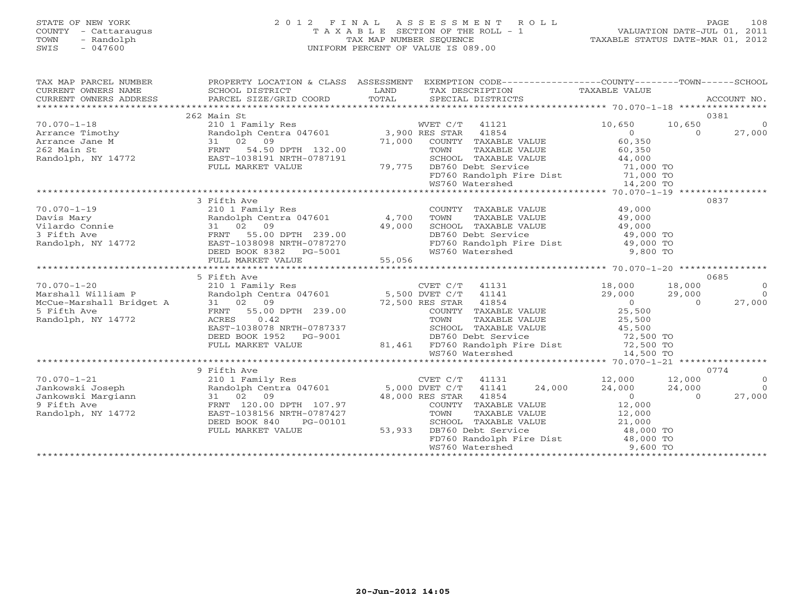#### STATE OF NEW YORK 2 0 1 2 F I N A L A S S E S S M E N T R O L L PAGE 108 COUNTY - Cattaraugus T A X A B L E SECTION OF THE ROLL - 1 VALUATION DATE-JUL 01, 2011 TOWN - Randolph TAX MAP NUMBER SEQUENCE TAXABLE STATUS DATE-MAR 01, 2012 SWIS - 047600 UNIFORM PERCENT OF VALUE IS 089.00UNIFORM PERCENT OF VALUE IS 089.00

| TAX MAP PARCEL NUMBER<br>CURRENT OWNERS NAME<br>CURRENT OWNERS ADDRESS            | SCHOOL DISTRICT                                                                                                                                                             | LAND   | PROPERTY LOCATION & CLASS ASSESSMENT EXEMPTION CODE---------------COUNTY-------TOWN------SCHOOL<br>TAX DESCRIPTION | TAXABLE VALUE                                            |                  |                |
|-----------------------------------------------------------------------------------|-----------------------------------------------------------------------------------------------------------------------------------------------------------------------------|--------|--------------------------------------------------------------------------------------------------------------------|----------------------------------------------------------|------------------|----------------|
| 262 Main St<br>0381                                                               |                                                                                                                                                                             |        |                                                                                                                    |                                                          |                  |                |
| $70.070 - 1 - 18$                                                                 | 210 1 Family Res                                                                                                                                                            |        | WVET C/T 41121                                                                                                     | 10,650                                                   | 10,650           | $\circ$        |
|                                                                                   | Randolph Centra 047601 3,900 RES STAR                                                                                                                                       |        | 41854                                                                                                              | $\overline{0}$                                           | $\Omega$         | 27,000         |
|                                                                                   | 31 02 09                                                                                                                                                                    | 71,000 | COUNTY TAXABLE VALUE                                                                                               | 60,350                                                   |                  |                |
|                                                                                   | 54.50 DPTH 132.00<br>FRNT                                                                                                                                                   |        | TAXABLE VALUE<br>TOWN                                                                                              | 60,350                                                   |                  |                |
| Arrance Timothy<br>Arrance Jane M<br>262 Main St<br>Randolph, NY 14772            | EAST-1038191 NRTH-0787191                                                                                                                                                   |        | SCHOOL TAXABLE VALUE                                                                                               | 44,000                                                   |                  |                |
|                                                                                   | FULL MARKET VALUE                                                                                                                                                           |        | 79,775 DB760 Debt Service                                                                                          |                                                          |                  |                |
|                                                                                   |                                                                                                                                                                             |        | DB760 Debt Service 71,000 TO<br>FD760 Randolph Fire Dist 71,000 TO                                                 |                                                          |                  |                |
|                                                                                   |                                                                                                                                                                             |        | WS760 Watershed                                                                                                    | 14,200 TO                                                |                  |                |
|                                                                                   |                                                                                                                                                                             |        |                                                                                                                    |                                                          |                  |                |
|                                                                                   | 3 Fifth Ave                                                                                                                                                                 |        |                                                                                                                    |                                                          |                  | 0837           |
| $70.070 - 1 - 19$                                                                 | 210 1 Family Res                                                                                                                                                            |        | COUNTY TAXABLE VALUE                                                                                               | 49,000                                                   |                  |                |
| 70.070-1-12<br>Davis Mary<br>Vilardo Connie<br>? Fifth Ave                        | Randolph Centra 047601 4,700                                                                                                                                                |        | TOWN                                                                                                               |                                                          |                  |                |
|                                                                                   | 31 02 09                                                                                                                                                                    | 49,000 | TOWN TAXABLE VALUE 49,000<br>SCHOOL TAXABLE VALUE 49,000                                                           |                                                          |                  |                |
|                                                                                   | 55.00 DPTH 239.00<br>FRNT                                                                                                                                                   |        | DB760 Debt Service                                                                                                 | 49,000 TO                                                |                  |                |
| Randolph, NY 14772                                                                | DEED BOOK 8382 PG-5001<br>FULT. MADPER 1882 PG-5001                                                                                                                         |        | FD760 Randolph Fire Dist                                                                                           | 49,000 TO                                                |                  |                |
|                                                                                   |                                                                                                                                                                             |        | WS760 Watershed                                                                                                    | 9,800 TO                                                 |                  |                |
|                                                                                   |                                                                                                                                                                             |        |                                                                                                                    |                                                          |                  |                |
|                                                                                   |                                                                                                                                                                             |        |                                                                                                                    |                                                          |                  |                |
|                                                                                   | 5 Fifth Ave<br>Fifth Ave<br>210 1 Family Res<br>Randolph Centra 047601 5,500 DVET C/T 41141<br>31 02 09 72,500 RES STAR 41854<br>72,500 RES STAR 41854 COUNTY TAXABLE VALUE |        |                                                                                                                    |                                                          |                  | 0685           |
| $70.070 - 1 - 20$                                                                 |                                                                                                                                                                             |        |                                                                                                                    | 18,000                                                   | 18,000           | $\overline{0}$ |
| Marshall William P                                                                |                                                                                                                                                                             |        |                                                                                                                    | 29,000                                                   | 29,000           | $\bigcirc$     |
| Marshall William P<br>McCue-Marshall Bridget A 31 02 09<br>5 Fifth Ave RRNT 55.00 |                                                                                                                                                                             |        |                                                                                                                    | $\overline{0}$                                           | $\Omega$         | 27,000         |
| 5 Fifth Ave                                                                       |                                                                                                                                                                             |        | COUNTY TAXABLE VALUE                                                                                               | 25,500                                                   |                  |                |
| Randolph, NY 14772                                                                |                                                                                                                                                                             |        |                                                                                                                    |                                                          |                  |                |
|                                                                                   | EAST-1038078 NRTH-0787337                                                                                                                                                   |        |                                                                                                                    |                                                          |                  |                |
|                                                                                   | DEED BOOK 1952 PG-9001                                                                                                                                                      |        | DB760 Debt Service                                                                                                 | 72,500 TO                                                |                  |                |
|                                                                                   | FULL MARKET VALUE                                                                                                                                                           |        | 81,461 FD760 Randolph Fire Dist 72,500 TO<br>WS760 Watershed 14,500 TO                                             |                                                          |                  |                |
|                                                                                   |                                                                                                                                                                             |        |                                                                                                                    |                                                          |                  |                |
| 0774                                                                              |                                                                                                                                                                             |        |                                                                                                                    |                                                          |                  |                |
| $70.070 - 1 - 21$                                                                 | 9 Fifth Ave                                                                                                                                                                 |        | CVET C/T 41131                                                                                                     |                                                          |                  | $\overline{0}$ |
|                                                                                   |                                                                                                                                                                             |        | 24,000<br>41141                                                                                                    | 12,000                                                   | 12,000<br>24,000 | $\Omega$       |
| Jankowski Joseph                                                                  | 31 02 09                                                                                                                                                                    |        | 48,000 RES STAR<br>41854                                                                                           | 24,000                                                   | $\cap$           | 27,000         |
| Jankowski Margiann<br>9 Fifth Ave<br>9 Fifth Ave                                  | FRNT 120.00 DPTH 107.97                                                                                                                                                     |        | COUNTY TAXABLE VALUE                                                                                               | $\begin{array}{c}\n\bullet \\ 0 \\ \bullet\n\end{array}$ |                  |                |
| Randolph, NY 14772                                                                | EAST-1038156 NRTH-0787427                                                                                                                                                   |        | TAXABLE VALUE<br>TOWN                                                                                              | 12,000                                                   |                  |                |
|                                                                                   | DEED BOOK 840<br>PG-00101                                                                                                                                                   |        | SCHOOL TAXABLE VALUE                                                                                               |                                                          |                  |                |
|                                                                                   | FULL MARKET VALUE                                                                                                                                                           | 53,933 | DB760 Debt Service                                                                                                 | $21,000$ TO $48,000$ TO                                  |                  |                |
|                                                                                   |                                                                                                                                                                             |        | FD760 Randolph Fire Dist 48,000 TO                                                                                 |                                                          |                  |                |
|                                                                                   |                                                                                                                                                                             |        | WS760 Watershed                                                                                                    | 9,600 TO                                                 |                  |                |
|                                                                                   |                                                                                                                                                                             |        |                                                                                                                    |                                                          |                  |                |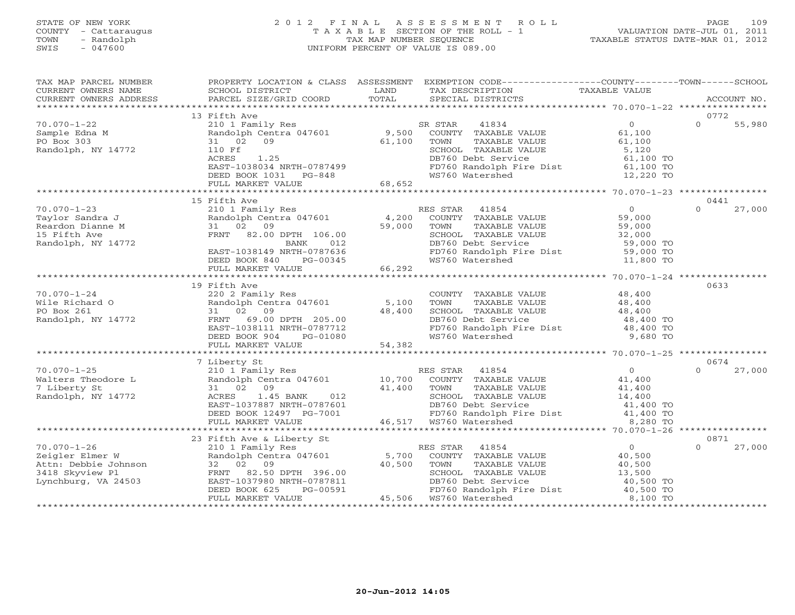### STATE OF NEW YORK 2 0 1 2 F I N A L A S S E S S M E N T R O L L PAGE 109 COUNTY - Cattaraugus T A X A B L E SECTION OF THE ROLL - 1 VALUATION DATE-JUL 01, 2011 TOWN - Randolph TAX MAP NUMBER SEQUENCE TAXABLE STATUS DATE-MAR 01, 2012 SWIS - 047600 UNIFORM PERCENT OF VALUE IS 089.00UNIFORM PERCENT OF VALUE IS 089.00

| TAX MAP PARCEL NUMBER                                                       | PROPERTY LOCATION & CLASS ASSESSMENT EXEMPTION CODE----------------COUNTY-------TOWN------SCHOOL |        |                                                                        |                |                    |
|-----------------------------------------------------------------------------|--------------------------------------------------------------------------------------------------|--------|------------------------------------------------------------------------|----------------|--------------------|
| CURRENT OWNERS NAME                                                         | SCHOOL DISTRICT                                                                                  | LAND   | TAX DESCRIPTION                                                        | TAXABLE VALUE  |                    |
| CURRENT OWNERS ADDRESS                                                      | PARCEL SIZE/GRID COORD                                                                           | TOTAL  | SPECIAL DISTRICTS                                                      |                | ACCOUNT NO.        |
|                                                                             |                                                                                                  |        |                                                                        |                |                    |
|                                                                             | 13 Fifth Ave                                                                                     |        |                                                                        |                | 0772               |
| $70.070 - 1 - 22$                                                           | 210 1 Family Res                                                                                 |        | 41834<br>SR STAR                                                       | $\overline{0}$ | $\Omega$<br>55,980 |
| Sample Edna M                                                               | Randolph Centra 047601                                                                           | 9,500  | COUNTY TAXABLE VALUE                                                   | 61,100         |                    |
| PO Box 303                                                                  | 31 02<br>09                                                                                      | 61,100 | TOWN<br>TAXABLE VALUE                                                  | 61,100         |                    |
| Randolph, NY 14772                                                          | 110 Ff                                                                                           |        | SCHOOL TAXABLE VALUE                                                   | 5,120          |                    |
|                                                                             | ACRES<br>1.25                                                                                    |        | DB760 Debt Service                                                     | 61,100 TO      |                    |
|                                                                             | EAST-1038034 NRTH-0787499                                                                        |        | FD760 Randolph Fire Dist<br>WS760 Watershed                            | 61,100 TO      |                    |
|                                                                             | DEED BOOK 1031 PG-848                                                                            |        |                                                                        | 12,220 TO      |                    |
|                                                                             | FULL MARKET VALUE                                                                                | 68,652 |                                                                        |                |                    |
|                                                                             |                                                                                                  |        |                                                                        |                | 0441               |
| $70.070 - 1 - 23$                                                           | 15 Fifth Ave<br>210 1 Family Res                                                                 |        | RES STAR 41854                                                         | $\overline{0}$ | $\Omega$<br>27,000 |
| Taylor Sandra J                                                             | Randolph Centra 047601                                                                           | 4,200  | COUNTY TAXABLE VALUE                                                   | 59,000         |                    |
| Reardon Dianne M                                                            | 31 02 09                                                                                         | 59,000 | TOWN<br>TAXABLE VALUE                                                  | 59,000         |                    |
| 15 Fifth Ave                                                                | FRNT 82.00 DPTH 106.00                                                                           |        | SCHOOL TAXABLE VALUE                                                   | 32,000         |                    |
| Randolph, NY 14772                                                          | BANK<br>012                                                                                      |        | DB760 Debt Service                                                     | 59,000 TO      |                    |
|                                                                             | EAST-1038149 NRTH-0787636                                                                        |        | FD760 Randolph Fire Dist 59,000 TO                                     |                |                    |
|                                                                             | DEED BOOK 840<br>PG-00345                                                                        |        | WS760 Watershed                                                        | 11,800 TO      |                    |
|                                                                             | FULL MARKET VALUE                                                                                | 66,292 |                                                                        |                |                    |
|                                                                             |                                                                                                  |        |                                                                        |                |                    |
|                                                                             | 19 Fifth Ave                                                                                     |        |                                                                        |                | 0633               |
| $70.070 - 1 - 24$                                                           | 220 2 Family Res                                                                                 |        | COUNTY TAXABLE VALUE                                                   | 48,400         |                    |
| Wile Richard O                                                              | Randolph Centra 047601                                                                           | 5,100  | TAXABLE VALUE<br>TOWN                                                  | 48,400         |                    |
| PO Box 261                                                                  | 31 02 09                                                                                         | 48,400 | SCHOOL TAXABLE VALUE                                                   | 48,400         |                    |
| Randolph, NY 14772                                                          | FRNT 69.00 DPTH 205.00                                                                           |        | DB760 Debt Service                                                     | 48,400 TO      |                    |
|                                                                             | EAST-1038111 NRTH-0787712                                                                        |        | FD760 Randolph Fire Dist                                               | 48,400 TO      |                    |
|                                                                             | DEED BOOK 904<br>PG-01080                                                                        |        | WS760 Watershed                                                        | 9,680 TO       |                    |
|                                                                             | FULL MARKET VALUE                                                                                | 54,382 |                                                                        |                |                    |
|                                                                             |                                                                                                  |        |                                                                        |                |                    |
|                                                                             | 7 Liberty St                                                                                     |        |                                                                        |                | 0674               |
| $70.070 - 1 - 25$                                                           | 210 1 Family Res                                                                                 |        | RES STAR 41854                                                         | $\overline{0}$ | $\Omega$<br>27,000 |
| Walters Theodore L                                                          | Randolph Centra 047601 10,700                                                                    |        | COUNTY TAXABLE VALUE                                                   | 41,400         |                    |
| 7 Liberty St                                                                | 31 02 09                                                                                         | 41,400 | TOWN<br>TAXABLE VALUE                                                  | 41,400         |                    |
| Randolph, NY 14772                                                          | ACRES<br>1.45 BANK<br>012                                                                        |        | SCHOOL TAXABLE VALUE                                                   | 14,400         |                    |
|                                                                             | EAST-1037887 NRTH-0787601                                                                        |        |                                                                        |                |                    |
|                                                                             | DEED BOOK 12497 PG-7001                                                                          |        | DB760 Debt Service and al.400 TO<br>FD760 Randolph Fire Dist 41,400 TO |                |                    |
|                                                                             | FULL MARKET VALUE                                                                                |        | 46,517 WS760 Watershed                                                 | 8,280 TO       |                    |
|                                                                             |                                                                                                  |        |                                                                        |                |                    |
|                                                                             | 23 Fifth Ave & Liberty St                                                                        |        |                                                                        |                | 0871               |
| $70.070 - 1 - 26$                                                           | 210 1 Family Res                                                                                 |        | RES STAR<br>41854                                                      | $\overline{0}$ | 27,000<br>$\Omega$ |
| Zeigler Elmer W<br>Zeigler Eimei<br>Attn: Debbie Johnson<br>Attn: January 1 | Randolph Centra 047601                                                                           | 5,700  | COUNTY TAXABLE VALUE                                                   | 40,500         |                    |
|                                                                             | 32 02 09                                                                                         | 40,500 | TAXABLE VALUE<br>TOWN                                                  | 40,500         |                    |
|                                                                             | FRNT 82.50 DPTH 396.00                                                                           |        | SCHOOL TAXABLE VALUE                                                   | 13,500         |                    |
| Lynchburg, VA 24503                                                         | EAST-1037980 NRTH-0787811                                                                        |        | DB760 Debt Service<br>FD760 Randolph Fire Dist 40,500 TO               | 40,500 TO      |                    |
|                                                                             | DEED BOOK 625<br>PG-00591                                                                        |        | 45,506 WS760 Watershed                                                 | 8,100 TO       |                    |
|                                                                             | FULL MARKET VALUE                                                                                |        |                                                                        |                |                    |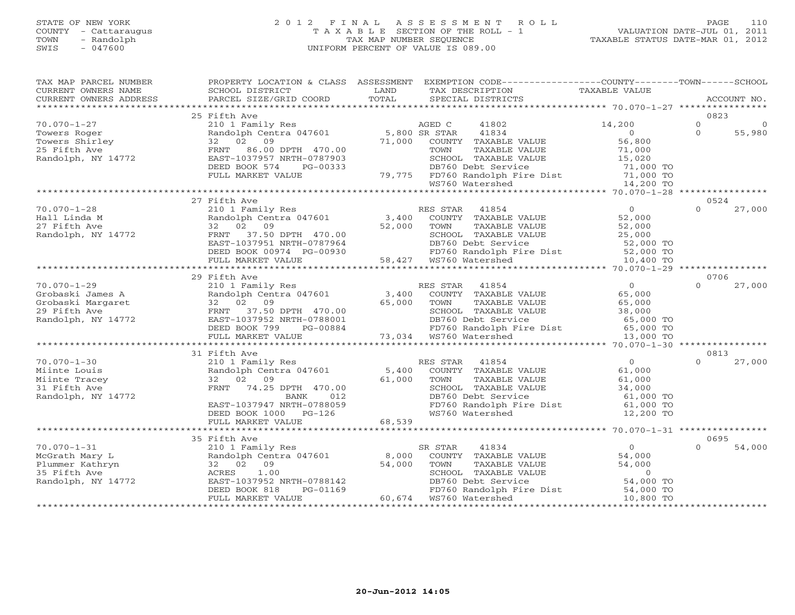#### STATE OF NEW YORK 2 0 1 2 F I N A L A S S E S S M E N T R O L L PAGE 110 COUNTY - Cattaraugus T A X A B L E SECTION OF THE ROLL - 1 VALUATION DATE-JUL 01, 2011 TOWN - Randolph TAX MAP NUMBER SEQUENCE TAXABLE STATUS DATE-MAR 01, 2012 SWIS - 047600 UNIFORM PERCENT OF VALUE IS 089.00UNIFORM PERCENT OF VALUE IS 089.00

| TAX MAP PARCEL NUMBER                                                       |                                                                                    |        | PROPERTY LOCATION & CLASS ASSESSMENT EXEMPTION CODE---------------COUNTY-------TOWN------SCHOOL                                                                                            |                             |                  |          |
|-----------------------------------------------------------------------------|------------------------------------------------------------------------------------|--------|--------------------------------------------------------------------------------------------------------------------------------------------------------------------------------------------|-----------------------------|------------------|----------|
| CURRENT OWNERS NAME                                                         | SCHOOL DISTRICT                                                                    | LAND   | TAX DESCRIPTION                                                                                                                                                                            | TAXABLE VALUE               |                  |          |
|                                                                             |                                                                                    |        |                                                                                                                                                                                            |                             |                  |          |
|                                                                             |                                                                                    |        |                                                                                                                                                                                            |                             |                  |          |
|                                                                             | 25 Fifth Ave                                                                       |        |                                                                                                                                                                                            |                             | 0823             |          |
| $70.070 - 1 - 27$                                                           | 210 1 Family Res<br>Randolph Centra 047601 5,800 SR STAR<br>32 02 09 71,000 COUNTY |        | 41802                                                                                                                                                                                      | 14,200                      | $\circ$          | $\Omega$ |
| Towers Roger                                                                |                                                                                    |        | 41834                                                                                                                                                                                      | $\Omega$                    | $\Omega$         | 55,980   |
|                                                                             | 32 02 09                                                                           | 71,000 | COUNTY TAXABLE VALUE                                                                                                                                                                       |                             |                  |          |
| Towers Shirley<br>25 Fifth Ave<br>Randolph, NY 14772                        | FRNT 86.00 DPTH 470.00                                                             |        | TOWN<br>TAXABLE VALUE                                                                                                                                                                      | $56, 0.$<br>71,000<br>- 020 |                  |          |
|                                                                             | EAST-1037957 NRTH-0787903                                                          |        | RTH-0787903<br>PG-00333<br>DB760 Debt Service<br>LUE 79,775 FD760 Randolph Fire Dist 71,000 TO<br>MS760 Watershed 14,200 TO                                                                |                             |                  |          |
|                                                                             | DEED BOOK 574                                                                      |        |                                                                                                                                                                                            |                             |                  |          |
|                                                                             | FULL MARKET VALUE                                                                  |        |                                                                                                                                                                                            |                             |                  |          |
|                                                                             |                                                                                    |        |                                                                                                                                                                                            |                             |                  |          |
|                                                                             | 27 Fifth Ave                                                                       |        |                                                                                                                                                                                            |                             | 0524             |          |
| $70.070 - 1 - 28$                                                           |                                                                                    |        |                                                                                                                                                                                            | $\overline{0}$              | $\Omega$         | 27,000   |
|                                                                             |                                                                                    |        | 210 1 Family Res<br>Randolph Centra 047601 3,400 COUNTY TAXABLE VALUE                                                                                                                      | 52,000                      |                  |          |
| Hall Linda M<br>27 Fifth Ave<br>Randolph, NY 14772                          | 32 02 09                                                                           |        | 52,000 TOWN                                                                                                                                                                                | 52,000                      |                  |          |
|                                                                             | FRNT 37.50 DPTH 470.00                                                             |        | TOWN TAXABLE VALUE<br>SCHOOL TAXABLE VALUE                                                                                                                                                 | 25,000                      |                  |          |
|                                                                             |                                                                                    |        | DB760 Debt Service 52,000 TO<br>FD760 Randolph Fire Dist 52,000 TO                                                                                                                         |                             |                  |          |
|                                                                             |                                                                                    |        |                                                                                                                                                                                            |                             |                  |          |
|                                                                             |                                                                                    |        | FRNT 37.50 DPTH 470.00 SCHOOL TAXABLE VALUE<br>EAST-1037951 NRTH-0787964 DB760 Debt Service<br>DEED BOOK 00974 PG-00930 58,427 WS760 Watershed<br>FULL MARKET VALUE 58,427 WS760 Watershed | 10,400 TO                   |                  |          |
|                                                                             |                                                                                    |        |                                                                                                                                                                                            |                             |                  |          |
|                                                                             | 29 Fifth Ave                                                                       |        |                                                                                                                                                                                            |                             | 0706             |          |
| $70.070 - 1 - 29$                                                           |                                                                                    |        |                                                                                                                                                                                            | $\overline{0}$              | $\Omega$         | 27,000   |
|                                                                             |                                                                                    |        |                                                                                                                                                                                            | 65,000                      |                  |          |
| Grobaski James A<br>Grobaski Margaret<br>29 Fifth Ave<br>Randolph, NY 14772 | 32 02 09                                                                           | 65,000 | TAXABLE VALUE<br>TOWN                                                                                                                                                                      |                             |                  |          |
|                                                                             | FRNT 37.50 DPTH 470.00                                                             |        | SCHOOL TAXABLE VALUE                                                                                                                                                                       | 65,000<br>38,000            |                  |          |
|                                                                             | EAST-1037952 NRTH-0788001                                                          |        |                                                                                                                                                                                            |                             |                  |          |
|                                                                             | DEED BOOK 799 PG-00884                                                             |        | DB760 Debt Service<br>DB760 Debt Service<br>FD760 Randolph Fire Dist 65,000 TO<br>WS760 Watershed 13,000 TO                                                                                |                             |                  |          |
|                                                                             | FULL MARKET VALUE                                                                  |        |                                                                                                                                                                                            |                             |                  |          |
|                                                                             |                                                                                    |        |                                                                                                                                                                                            |                             |                  |          |
|                                                                             | 31 Fifth Ave                                                                       |        |                                                                                                                                                                                            |                             | 0813             |          |
| $70.070 - 1 - 30$                                                           | 210 1 Family Res                                                                   |        | RES STAR 41854                                                                                                                                                                             | $\overline{0}$              | $\Omega$         | 27,000   |
| Miinte Louis                                                                | Randolph Centra 047601                                                             | 5,400  | COUNTY TAXABLE VALUE                                                                                                                                                                       | 61,000                      |                  |          |
| Miinte Tracey                                                               | 32 02 09                                                                           | 61,000 | TOWN<br>TAXABLE VALUE                                                                                                                                                                      | 61,000                      |                  |          |
| 31 Fifth Ave                                                                | FRNT 74.25 DPTH 470.00                                                             |        | SCHOOL TAXABLE VALUE                                                                                                                                                                       | 34,000                      |                  |          |
| Randolph, NY 14772                                                          | 012<br>BANK                                                                        |        | DB760 Debt Service                                                                                                                                                                         | 61,000 TO                   |                  |          |
|                                                                             | EAST-1037947 NRTH-0788059                                                          |        | FD760 Randolph Fire Dist                                                                                                                                                                   | $61,000$ TO                 |                  |          |
|                                                                             | DEED BOOK 1000 PG-126                                                              |        | WS760 Watershed                                                                                                                                                                            | 12,200 TO                   |                  |          |
|                                                                             | FULL MARKET VALUE                                                                  | 68,539 |                                                                                                                                                                                            |                             |                  |          |
|                                                                             |                                                                                    |        |                                                                                                                                                                                            |                             |                  |          |
| $70.070 - 1 - 31$                                                           | 35 Fifth Ave                                                                       |        | 41834                                                                                                                                                                                      | $\overline{0}$              | 0695<br>$\Omega$ | 54,000   |
|                                                                             | 210 1 Family Res                                                                   |        | SR STAR                                                                                                                                                                                    | 54,000                      |                  |          |
| McGrath Mary L<br>Plummer Kathryn                                           | Randolph Centra 047601 8,000<br>32 02 09 54,000                                    |        | COUNTY TAXABLE VALUE<br>TAXABLE VALUE<br>TAXABLE VALUE<br>TOWN                                                                                                                             | 54,000                      |                  |          |
| 35 Fifth Ave                                                                | 1.00<br>ACRES                                                                      |        |                                                                                                                                                                                            |                             |                  |          |
| Randolph, NY 14772                                                          | EAST-1037952 NRTH-0788142<br>DEED BOOK 818 PG-01169                                |        | CHOOL TAXABLE VALUE 0<br>DB760 Debt Service 54,000 TO<br>FD760 Randolph Fire Dist 54,000 TO<br>WS760 Watershed 10,800 TO                                                                   |                             |                  |          |
|                                                                             |                                                                                    |        |                                                                                                                                                                                            |                             |                  |          |
|                                                                             | FULL MARKET VALUE                                                                  |        | 60,674 WS760 Watershed                                                                                                                                                                     |                             |                  |          |
|                                                                             |                                                                                    |        |                                                                                                                                                                                            |                             |                  |          |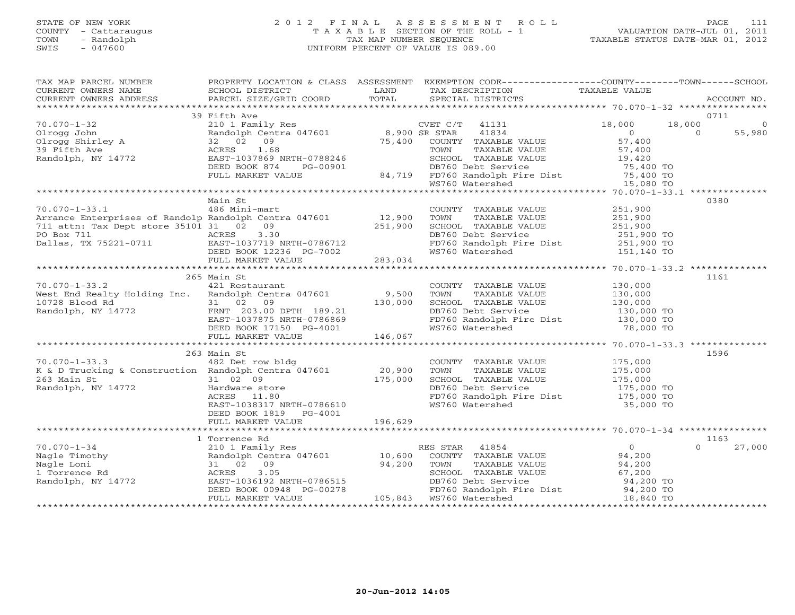### STATE OF NEW YORK 2 0 1 2 F I N A L A S S E S S M E N T R O L L PAGE 111 COUNTY - Cattaraugus T A X A B L E SECTION OF THE ROLL - 1 VALUATION DATE-JUL 01, 2011 TOWN - Randolph TAX MAP NUMBER SEQUENCE TAXABLE STATUS DATE-MAR 01, 2012 SWIS - 047600 UNIFORM PERCENT OF VALUE IS 089.00UNIFORM PERCENT OF VALUE IS 089.00

| TAX MAP PARCEL NUMBER                                                                                                                                                                                                                                                                                     |                        |         | PROPERTY LOCATION & CLASS  ASSESSMENT  EXEMPTION CODE-----------------COUNTY-------TOWN------SCHOOL                                                                                     |                                              |                |
|-----------------------------------------------------------------------------------------------------------------------------------------------------------------------------------------------------------------------------------------------------------------------------------------------------------|------------------------|---------|-----------------------------------------------------------------------------------------------------------------------------------------------------------------------------------------|----------------------------------------------|----------------|
|                                                                                                                                                                                                                                                                                                           |                        |         | TAX DESCRIPTION                                                                                                                                                                         | TAXABLE VALUE                                |                |
|                                                                                                                                                                                                                                                                                                           |                        |         | SPECIAL DISTRICTS                                                                                                                                                                       |                                              | ACCOUNT NO.    |
|                                                                                                                                                                                                                                                                                                           |                        |         |                                                                                                                                                                                         |                                              |                |
|                                                                                                                                                                                                                                                                                                           | 39 Fifth Ave           |         |                                                                                                                                                                                         |                                              | 0711           |
|                                                                                                                                                                                                                                                                                                           |                        |         |                                                                                                                                                                                         |                                              | $\overline{0}$ |
|                                                                                                                                                                                                                                                                                                           |                        |         |                                                                                                                                                                                         |                                              | 55,980         |
|                                                                                                                                                                                                                                                                                                           |                        |         |                                                                                                                                                                                         | $\begin{array}{c}\n0 \\ 57,400\n\end{array}$ |                |
|                                                                                                                                                                                                                                                                                                           |                        |         |                                                                                                                                                                                         |                                              |                |
|                                                                                                                                                                                                                                                                                                           |                        |         |                                                                                                                                                                                         |                                              |                |
|                                                                                                                                                                                                                                                                                                           |                        |         |                                                                                                                                                                                         |                                              |                |
|                                                                                                                                                                                                                                                                                                           |                        |         |                                                                                                                                                                                         |                                              |                |
|                                                                                                                                                                                                                                                                                                           |                        |         |                                                                                                                                                                                         |                                              |                |
|                                                                                                                                                                                                                                                                                                           |                        |         |                                                                                                                                                                                         |                                              |                |
|                                                                                                                                                                                                                                                                                                           |                        |         |                                                                                                                                                                                         |                                              |                |
|                                                                                                                                                                                                                                                                                                           | Main St                |         |                                                                                                                                                                                         |                                              | 0380           |
|                                                                                                                                                                                                                                                                                                           |                        |         |                                                                                                                                                                                         |                                              |                |
|                                                                                                                                                                                                                                                                                                           |                        |         |                                                                                                                                                                                         |                                              |                |
|                                                                                                                                                                                                                                                                                                           |                        |         |                                                                                                                                                                                         |                                              |                |
|                                                                                                                                                                                                                                                                                                           |                        |         |                                                                                                                                                                                         |                                              |                |
|                                                                                                                                                                                                                                                                                                           |                        |         |                                                                                                                                                                                         |                                              |                |
|                                                                                                                                                                                                                                                                                                           |                        |         |                                                                                                                                                                                         |                                              |                |
|                                                                                                                                                                                                                                                                                                           |                        |         |                                                                                                                                                                                         |                                              |                |
|                                                                                                                                                                                                                                                                                                           |                        |         |                                                                                                                                                                                         |                                              |                |
|                                                                                                                                                                                                                                                                                                           |                        |         |                                                                                                                                                                                         |                                              |                |
|                                                                                                                                                                                                                                                                                                           | 265 Main St            |         |                                                                                                                                                                                         |                                              | 1161           |
| 70.070-1-33.2 421 Restaurant                                                                                                                                                                                                                                                                              |                        |         |                                                                                                                                                                                         |                                              |                |
|                                                                                                                                                                                                                                                                                                           |                        |         |                                                                                                                                                                                         |                                              |                |
|                                                                                                                                                                                                                                                                                                           |                        |         |                                                                                                                                                                                         |                                              |                |
|                                                                                                                                                                                                                                                                                                           |                        |         |                                                                                                                                                                                         |                                              |                |
|                                                                                                                                                                                                                                                                                                           |                        |         |                                                                                                                                                                                         |                                              |                |
|                                                                                                                                                                                                                                                                                                           |                        |         |                                                                                                                                                                                         |                                              |                |
|                                                                                                                                                                                                                                                                                                           |                        |         | COUNTY TAXABLE VALUE<br>TOWN TAXABLE VALUE 130,000<br>SCHOOL TAXABLE VALUE 130,000<br>DB760 Debt Service 130,000 TO<br>FD760 Randolph Fire Dist 130,000 TO<br>WS760 Watershed 78,000 TO |                                              |                |
|                                                                                                                                                                                                                                                                                                           |                        |         |                                                                                                                                                                                         |                                              |                |
|                                                                                                                                                                                                                                                                                                           |                        |         |                                                                                                                                                                                         |                                              |                |
|                                                                                                                                                                                                                                                                                                           | 263 Main St            |         |                                                                                                                                                                                         |                                              | 1596           |
|                                                                                                                                                                                                                                                                                                           |                        |         |                                                                                                                                                                                         |                                              |                |
|                                                                                                                                                                                                                                                                                                           |                        |         |                                                                                                                                                                                         |                                              |                |
|                                                                                                                                                                                                                                                                                                           |                        |         |                                                                                                                                                                                         |                                              |                |
|                                                                                                                                                                                                                                                                                                           |                        |         |                                                                                                                                                                                         |                                              |                |
|                                                                                                                                                                                                                                                                                                           |                        |         |                                                                                                                                                                                         |                                              |                |
| 70.070-1-33.3<br>EXECUTE: THE MOVIE COUNTY TAXABLE VALUE 175,000<br>X & D Trucking & Construction Randolph Centra 047601<br>263 Main St 31 02 09<br>Randolph, NY 14772 Hardware store hardware store hardware store acres 11.80<br>EASCR                                                                  |                        |         |                                                                                                                                                                                         |                                              |                |
|                                                                                                                                                                                                                                                                                                           | DEED BOOK 1819 PG-4001 |         |                                                                                                                                                                                         |                                              |                |
|                                                                                                                                                                                                                                                                                                           | FULL MARKET VALUE      | 196,629 |                                                                                                                                                                                         |                                              |                |
|                                                                                                                                                                                                                                                                                                           |                        |         |                                                                                                                                                                                         |                                              |                |
|                                                                                                                                                                                                                                                                                                           |                        |         |                                                                                                                                                                                         |                                              |                |
|                                                                                                                                                                                                                                                                                                           | 1 Torrence Rd          |         |                                                                                                                                                                                         |                                              | 1163           |
|                                                                                                                                                                                                                                                                                                           |                        |         |                                                                                                                                                                                         |                                              | 27,000         |
|                                                                                                                                                                                                                                                                                                           |                        |         |                                                                                                                                                                                         |                                              |                |
|                                                                                                                                                                                                                                                                                                           |                        |         |                                                                                                                                                                                         |                                              |                |
|                                                                                                                                                                                                                                                                                                           |                        |         |                                                                                                                                                                                         |                                              |                |
|                                                                                                                                                                                                                                                                                                           |                        |         |                                                                                                                                                                                         |                                              |                |
|                                                                                                                                                                                                                                                                                                           |                        |         |                                                                                                                                                                                         |                                              |                |
| $\begin{array}{cccccccccccc} 70.070-1-34 & 1\, \, & 1\, \, & 1\, \, & 1\, \, & 1\, \, & 1\, \, & 1\, \, & 1\, \, & 1\, \, & 1\, \, & 1\, \, & 1\, \, & 1\, \, & 1\, \, & 1\, \, & 1\, \, & 1\, \, & 1\, \, & 1\, \, & 1\, \, & 1\, \, & 1\, \, & 1\, \, & 1\, \, & 1\, \, & 1\, \, & 1\, \, & 1\, \, & 1$ |                        |         |                                                                                                                                                                                         |                                              |                |
|                                                                                                                                                                                                                                                                                                           |                        |         |                                                                                                                                                                                         |                                              |                |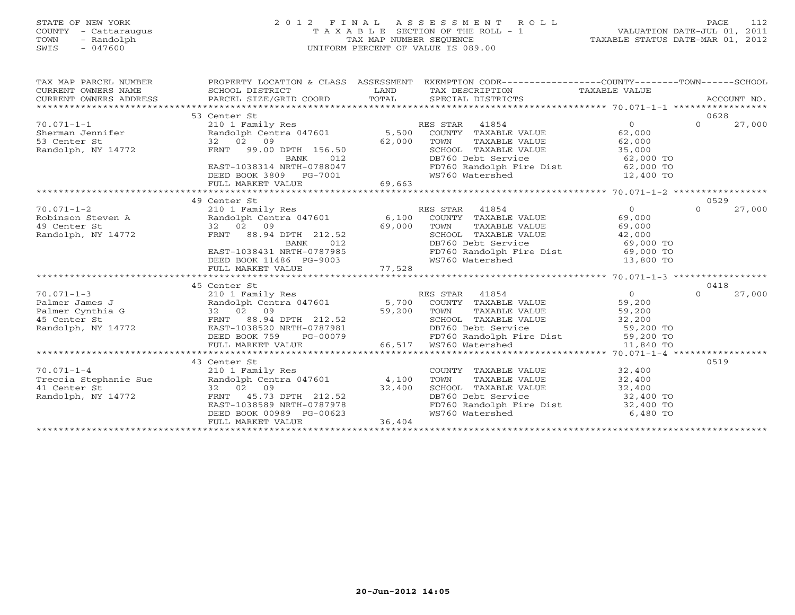### STATE OF NEW YORK 2 0 1 2 F I N A L A S S E S S M E N T R O L L PAGE 112 COUNTY - Cattaraugus T A X A B L E SECTION OF THE ROLL - 1 VALUATION DATE-JUL 01, 2011 TOWN - Randolph TAX MAP NUMBER SEQUENCE TAXABLE STATUS DATE-MAR 01, 2012 SWIS - 047600 UNIFORM PERCENT OF VALUE IS 089.00UNIFORM PERCENT OF VALUE IS 089.00

| TAX MAP PARCEL NUMBER<br>$\begin{tabular}{lllllll} \multicolumn{2}{l}{{\small\bf{CURRENT}}}& $\text{WWERS} $~\text{NAME} & $\text{SCHOOL} $~\text{DISTRICT}$ & \multicolumn{2}{l}{\small\bf{LAND}} & $\text{TAX} $~\text{DESCRIPTION}$ & $\text{TAXABLE} $~\text{VALUE}$ \\ & $\text{CURRENT} $~\text{WWERS} $~\text{ADDRESS} & $\text{PACEL} $~\text{SIZE/GRID COORD} & $\text{TOTAL}$ & $\text{SPECIAL} $~\text{DISTRICTS}$ & \multicolumn{2}{l}{\small\bf{AUCOUNT} $$ | PROPERTY LOCATION & CLASS ASSESSMENT EXEMPTION CODE-----------------COUNTY-------TOWN------SCHOOL |                                                                                                                                                                          |          |        |
|--------------------------------------------------------------------------------------------------------------------------------------------------------------------------------------------------------------------------------------------------------------------------------------------------------------------------------------------------------------------------------------------------------------------------------------------------------------------------|---------------------------------------------------------------------------------------------------|--------------------------------------------------------------------------------------------------------------------------------------------------------------------------|----------|--------|
|                                                                                                                                                                                                                                                                                                                                                                                                                                                                          |                                                                                                   |                                                                                                                                                                          |          |        |
|                                                                                                                                                                                                                                                                                                                                                                                                                                                                          | 53 Center St                                                                                      |                                                                                                                                                                          | 0628     |        |
| 10.071-1-1<br>210.1 Family Res<br>210.1 Family Res<br>210.1 Family Res<br>210.1 Family Res<br>210.1 Family Res<br>210.1 Family Res<br>2.000<br>2.000<br>2.000<br>2.000<br>2.000<br>2.000<br>2.000<br>2.000<br>2.000<br>2.000<br>2.000<br>2.000<br>2.000<br>2.000<br>2.00                                                                                                                                                                                                 |                                                                                                   |                                                                                                                                                                          | $\Omega$ | 27,000 |
|                                                                                                                                                                                                                                                                                                                                                                                                                                                                          |                                                                                                   |                                                                                                                                                                          |          |        |
|                                                                                                                                                                                                                                                                                                                                                                                                                                                                          |                                                                                                   |                                                                                                                                                                          |          |        |
|                                                                                                                                                                                                                                                                                                                                                                                                                                                                          |                                                                                                   | TOWN TAXABLE VALUE 62,000<br>SCHOOL TAXABLE VALUE 35,000<br>DB760 Debt Service 62,000 TO<br>FD760 Randolph Fire Dist 62,000 TO                                           |          |        |
|                                                                                                                                                                                                                                                                                                                                                                                                                                                                          |                                                                                                   |                                                                                                                                                                          |          |        |
|                                                                                                                                                                                                                                                                                                                                                                                                                                                                          |                                                                                                   |                                                                                                                                                                          |          |        |
|                                                                                                                                                                                                                                                                                                                                                                                                                                                                          |                                                                                                   |                                                                                                                                                                          |          |        |
| $\begin{array}{r} \texttt{EAST-1038314} \texttt{ NRTH-0788047} \end{array}$ $\begin{array}{r} \texttt{EAST-1038314} \texttt{ NRTH-0788047} \end{array}$                                                                                                                                                                                                                                                                                                                  |                                                                                                   |                                                                                                                                                                          |          |        |
|                                                                                                                                                                                                                                                                                                                                                                                                                                                                          | 49 Center St                                                                                      |                                                                                                                                                                          | 0529     |        |
| $\begin{array}{ccccccccc} 70.071-1-2 & & & 210 & 1 & \text{Family Res} & & & \text{RES STAR} & 41854 & & & 0 \\ \text{Robinson Steven A} & & & & & \text{Random of the image} & 6,100 & \text{COUNTY} & \text{TAXABLE VALUE} & 69,000 \\ 49 \text{ Center St} & & 32 & 02 & 09 & & 69,000 & \text{TOWM} & \text{TAXABLE VALUE} & 69,000 \\ \text{Random of the image} & & & & & \text{RANT} & 88.94 \text{ DPTH} & 212.52 & & & \text{SCHOOL}$                           |                                                                                                   |                                                                                                                                                                          | $\Omega$ | 27,000 |
|                                                                                                                                                                                                                                                                                                                                                                                                                                                                          |                                                                                                   |                                                                                                                                                                          |          |        |
|                                                                                                                                                                                                                                                                                                                                                                                                                                                                          |                                                                                                   |                                                                                                                                                                          |          |        |
|                                                                                                                                                                                                                                                                                                                                                                                                                                                                          |                                                                                                   |                                                                                                                                                                          |          |        |
|                                                                                                                                                                                                                                                                                                                                                                                                                                                                          |                                                                                                   |                                                                                                                                                                          |          |        |
|                                                                                                                                                                                                                                                                                                                                                                                                                                                                          |                                                                                                   |                                                                                                                                                                          |          |        |
|                                                                                                                                                                                                                                                                                                                                                                                                                                                                          |                                                                                                   |                                                                                                                                                                          |          |        |
|                                                                                                                                                                                                                                                                                                                                                                                                                                                                          |                                                                                                   |                                                                                                                                                                          |          |        |
|                                                                                                                                                                                                                                                                                                                                                                                                                                                                          |                                                                                                   |                                                                                                                                                                          |          |        |
|                                                                                                                                                                                                                                                                                                                                                                                                                                                                          | 45 Center St                                                                                      |                                                                                                                                                                          | 0418     |        |
|                                                                                                                                                                                                                                                                                                                                                                                                                                                                          |                                                                                                   |                                                                                                                                                                          |          |        |
|                                                                                                                                                                                                                                                                                                                                                                                                                                                                          |                                                                                                   |                                                                                                                                                                          |          |        |
|                                                                                                                                                                                                                                                                                                                                                                                                                                                                          |                                                                                                   |                                                                                                                                                                          |          |        |
|                                                                                                                                                                                                                                                                                                                                                                                                                                                                          |                                                                                                   |                                                                                                                                                                          |          |        |
|                                                                                                                                                                                                                                                                                                                                                                                                                                                                          |                                                                                                   |                                                                                                                                                                          |          |        |
|                                                                                                                                                                                                                                                                                                                                                                                                                                                                          |                                                                                                   |                                                                                                                                                                          |          |        |
|                                                                                                                                                                                                                                                                                                                                                                                                                                                                          |                                                                                                   |                                                                                                                                                                          |          |        |
|                                                                                                                                                                                                                                                                                                                                                                                                                                                                          | 43 Center St                                                                                      |                                                                                                                                                                          | 0519     |        |
|                                                                                                                                                                                                                                                                                                                                                                                                                                                                          |                                                                                                   | COUNTY TAXABLE VALUE $32,400$                                                                                                                                            |          |        |
|                                                                                                                                                                                                                                                                                                                                                                                                                                                                          |                                                                                                   |                                                                                                                                                                          |          |        |
|                                                                                                                                                                                                                                                                                                                                                                                                                                                                          |                                                                                                   |                                                                                                                                                                          |          |        |
|                                                                                                                                                                                                                                                                                                                                                                                                                                                                          |                                                                                                   |                                                                                                                                                                          |          |        |
|                                                                                                                                                                                                                                                                                                                                                                                                                                                                          |                                                                                                   | TOWN TAXABLE VALUE<br>TOWN TAXABLE VALUE<br>SCHOOL TAXABLE VALUE<br>DB760 Debt Service<br>FD760 Randolph Fire Dist<br>32,400 TO<br>FD760 Randolph Fire Dist<br>32,400 TO |          |        |
|                                                                                                                                                                                                                                                                                                                                                                                                                                                                          |                                                                                                   | WS760 Watershed 6,480 TO                                                                                                                                                 |          |        |
| 70.071-1-4<br>Treccia Stephanie Sue<br>210 1 Family Res<br>210 1 Family Res<br>210 1 Family Res<br>22 02 09<br>22.400<br>22.400<br>22.400<br>22.400<br>22.400<br>22.400<br>22.400<br>ERD BOOK 00989 PG-00623<br>FULL MARKET VALUE<br>212.52<br>26.404<br>212.52<br>                                                                                                                                                                                                      |                                                                                                   |                                                                                                                                                                          |          |        |
|                                                                                                                                                                                                                                                                                                                                                                                                                                                                          |                                                                                                   |                                                                                                                                                                          |          |        |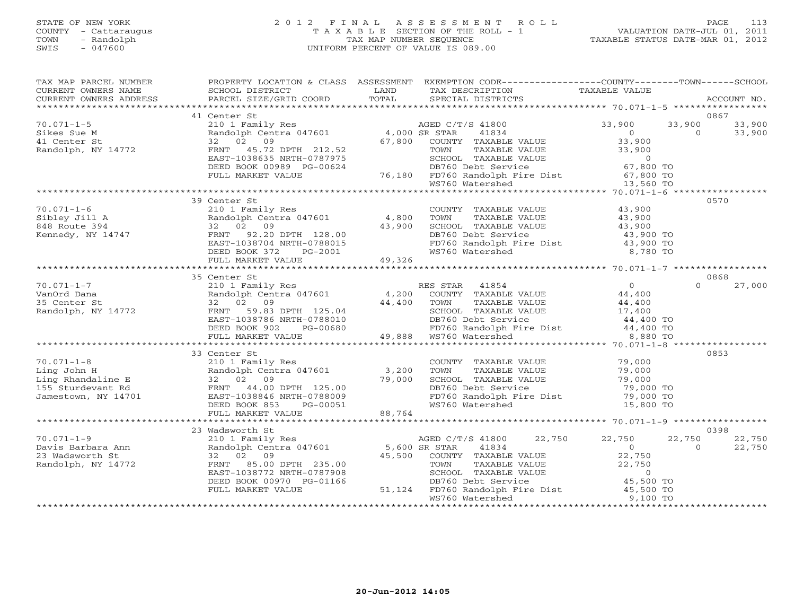#### STATE OF NEW YORK 2 0 1 2 F I N A L A S S E S S M E N T R O L L PAGE 113 COUNTY - Cattaraugus T A X A B L E SECTION OF THE ROLL - 1 VALUATION DATE-JUL 01, 2011 TOWN - Randolph TAX MAP NUMBER SEQUENCE TAXABLE STATUS DATE-MAR 01, 2012 SWIS - 047600 UNIFORM PERCENT OF VALUE IS 089.00UNIFORM PERCENT OF VALUE IS 089.00

| TAX DESCRIPTION TAXABLE VALUE<br>SPECIAL DISTRICTS<br>ACCOUNT NO.<br>41 Center St<br>0867<br>33,900 33,900 33,900<br>0 0 33,900<br>$70.071 - 1 - 5$<br>210 1 Family Res AGED C/T<br>Randolph Centra 047601 4,000 SR STAR<br>32 02 09 67,800 COUNTY<br>FRNT 45.72 DPTH 212.52 TOWN<br>EAST-1038635 NRTH-0787975 SCHOOL<br>AGED C/T/S 41800<br>ro.ori-i-j<br>Sikes Sue M<br>41 Center St<br>Randolph, NY 14772<br>Randolph Centra 047601<br>32 02 09<br>FRNT 45.72 DPTH 212.52<br>EAST-1038635 NRTH-0787975<br>DEED BOOK 00989 PG-00624 76,180 FD760 Randolph Fire Dist 67,800 TO<br>FULL MARKET VALUE 76,180 FD760 Randolph Fire Dist 67,800 TO<br>****<br>39 Center St<br>0570<br>COUNTY TAXABLE VALUE 43,900<br>$70.071 - 1 - 6$<br>210 1 Family Res<br>35 Center St<br>0868<br>$\Omega$<br>27,000<br>33 Center St<br>0853<br>COUNTY TAXABLE VALUE 79,000<br>TOWN TAXABLE VALUE 79,000<br>SCHOOL TAXABLE VALUE 79,000<br>DB760 Debt Service 79,000 TO<br>70.071-1-8<br>Ling John H<br>E 210 1 Family Res<br>Randolph Centra 047601 3,200 TOWN<br>Ling Rhandaline E 32 02 09<br>155 Sturdevant Rd<br>Jamestown, NY 14701 EAST-1038846 NRTH-0788009<br>EAST-1038846 NRTH-0788009<br>DEED BOOK 853 PG-0005<br>FD760 Randolph Fire Dist 79,000 TO<br>WS760 Watershed 15,800 TO<br>WS760 Watershed<br>FULL MARKET VALUE 88,764<br>0398<br>22,750 22,750<br>22,750<br>22,750<br>$\begin{array}{c} 0 \\ 22,750 \end{array}$<br>$\overline{0}$<br>22,750<br>45,500 COUNTY TAXABLE VALUE<br>235.00 TOWN TAXABLE VALUE 22,750<br>-0787908 SCHOOL TAXABLE VALUE 22,750<br>PG-01166 DB760 Debt Service 45,500 TO<br>51,124 FD760 Randolph Fire Dist 45,500 TO<br>DEED BOOK 00970 PG-01166<br>FULL MARKET VALUE<br>9,100 TO<br>WS760 Watershed | TAX MAP PARCEL NUMBER | PROPERTY LOCATION & CLASS ASSESSMENT EXEMPTION CODE-----------------COUNTY--------TOWN------SCHOOL |  |  |  |
|------------------------------------------------------------------------------------------------------------------------------------------------------------------------------------------------------------------------------------------------------------------------------------------------------------------------------------------------------------------------------------------------------------------------------------------------------------------------------------------------------------------------------------------------------------------------------------------------------------------------------------------------------------------------------------------------------------------------------------------------------------------------------------------------------------------------------------------------------------------------------------------------------------------------------------------------------------------------------------------------------------------------------------------------------------------------------------------------------------------------------------------------------------------------------------------------------------------------------------------------------------------------------------------------------------------------------------------------------------------------------------------------------------------------------------------------------------------------------------------------------------------------------------------------------------------------------------------------------------------------------------------------------------------------------------------------------------------------------------|-----------------------|----------------------------------------------------------------------------------------------------|--|--|--|
|                                                                                                                                                                                                                                                                                                                                                                                                                                                                                                                                                                                                                                                                                                                                                                                                                                                                                                                                                                                                                                                                                                                                                                                                                                                                                                                                                                                                                                                                                                                                                                                                                                                                                                                                    |                       |                                                                                                    |  |  |  |
|                                                                                                                                                                                                                                                                                                                                                                                                                                                                                                                                                                                                                                                                                                                                                                                                                                                                                                                                                                                                                                                                                                                                                                                                                                                                                                                                                                                                                                                                                                                                                                                                                                                                                                                                    |                       |                                                                                                    |  |  |  |
|                                                                                                                                                                                                                                                                                                                                                                                                                                                                                                                                                                                                                                                                                                                                                                                                                                                                                                                                                                                                                                                                                                                                                                                                                                                                                                                                                                                                                                                                                                                                                                                                                                                                                                                                    |                       |                                                                                                    |  |  |  |
|                                                                                                                                                                                                                                                                                                                                                                                                                                                                                                                                                                                                                                                                                                                                                                                                                                                                                                                                                                                                                                                                                                                                                                                                                                                                                                                                                                                                                                                                                                                                                                                                                                                                                                                                    |                       |                                                                                                    |  |  |  |
|                                                                                                                                                                                                                                                                                                                                                                                                                                                                                                                                                                                                                                                                                                                                                                                                                                                                                                                                                                                                                                                                                                                                                                                                                                                                                                                                                                                                                                                                                                                                                                                                                                                                                                                                    |                       |                                                                                                    |  |  |  |
|                                                                                                                                                                                                                                                                                                                                                                                                                                                                                                                                                                                                                                                                                                                                                                                                                                                                                                                                                                                                                                                                                                                                                                                                                                                                                                                                                                                                                                                                                                                                                                                                                                                                                                                                    |                       |                                                                                                    |  |  |  |
|                                                                                                                                                                                                                                                                                                                                                                                                                                                                                                                                                                                                                                                                                                                                                                                                                                                                                                                                                                                                                                                                                                                                                                                                                                                                                                                                                                                                                                                                                                                                                                                                                                                                                                                                    |                       |                                                                                                    |  |  |  |
|                                                                                                                                                                                                                                                                                                                                                                                                                                                                                                                                                                                                                                                                                                                                                                                                                                                                                                                                                                                                                                                                                                                                                                                                                                                                                                                                                                                                                                                                                                                                                                                                                                                                                                                                    |                       |                                                                                                    |  |  |  |
|                                                                                                                                                                                                                                                                                                                                                                                                                                                                                                                                                                                                                                                                                                                                                                                                                                                                                                                                                                                                                                                                                                                                                                                                                                                                                                                                                                                                                                                                                                                                                                                                                                                                                                                                    |                       |                                                                                                    |  |  |  |
|                                                                                                                                                                                                                                                                                                                                                                                                                                                                                                                                                                                                                                                                                                                                                                                                                                                                                                                                                                                                                                                                                                                                                                                                                                                                                                                                                                                                                                                                                                                                                                                                                                                                                                                                    |                       |                                                                                                    |  |  |  |
|                                                                                                                                                                                                                                                                                                                                                                                                                                                                                                                                                                                                                                                                                                                                                                                                                                                                                                                                                                                                                                                                                                                                                                                                                                                                                                                                                                                                                                                                                                                                                                                                                                                                                                                                    |                       |                                                                                                    |  |  |  |
|                                                                                                                                                                                                                                                                                                                                                                                                                                                                                                                                                                                                                                                                                                                                                                                                                                                                                                                                                                                                                                                                                                                                                                                                                                                                                                                                                                                                                                                                                                                                                                                                                                                                                                                                    |                       |                                                                                                    |  |  |  |
|                                                                                                                                                                                                                                                                                                                                                                                                                                                                                                                                                                                                                                                                                                                                                                                                                                                                                                                                                                                                                                                                                                                                                                                                                                                                                                                                                                                                                                                                                                                                                                                                                                                                                                                                    |                       |                                                                                                    |  |  |  |
|                                                                                                                                                                                                                                                                                                                                                                                                                                                                                                                                                                                                                                                                                                                                                                                                                                                                                                                                                                                                                                                                                                                                                                                                                                                                                                                                                                                                                                                                                                                                                                                                                                                                                                                                    |                       |                                                                                                    |  |  |  |
|                                                                                                                                                                                                                                                                                                                                                                                                                                                                                                                                                                                                                                                                                                                                                                                                                                                                                                                                                                                                                                                                                                                                                                                                                                                                                                                                                                                                                                                                                                                                                                                                                                                                                                                                    |                       |                                                                                                    |  |  |  |
|                                                                                                                                                                                                                                                                                                                                                                                                                                                                                                                                                                                                                                                                                                                                                                                                                                                                                                                                                                                                                                                                                                                                                                                                                                                                                                                                                                                                                                                                                                                                                                                                                                                                                                                                    |                       |                                                                                                    |  |  |  |
|                                                                                                                                                                                                                                                                                                                                                                                                                                                                                                                                                                                                                                                                                                                                                                                                                                                                                                                                                                                                                                                                                                                                                                                                                                                                                                                                                                                                                                                                                                                                                                                                                                                                                                                                    |                       |                                                                                                    |  |  |  |
|                                                                                                                                                                                                                                                                                                                                                                                                                                                                                                                                                                                                                                                                                                                                                                                                                                                                                                                                                                                                                                                                                                                                                                                                                                                                                                                                                                                                                                                                                                                                                                                                                                                                                                                                    |                       |                                                                                                    |  |  |  |
|                                                                                                                                                                                                                                                                                                                                                                                                                                                                                                                                                                                                                                                                                                                                                                                                                                                                                                                                                                                                                                                                                                                                                                                                                                                                                                                                                                                                                                                                                                                                                                                                                                                                                                                                    |                       |                                                                                                    |  |  |  |
|                                                                                                                                                                                                                                                                                                                                                                                                                                                                                                                                                                                                                                                                                                                                                                                                                                                                                                                                                                                                                                                                                                                                                                                                                                                                                                                                                                                                                                                                                                                                                                                                                                                                                                                                    |                       |                                                                                                    |  |  |  |
|                                                                                                                                                                                                                                                                                                                                                                                                                                                                                                                                                                                                                                                                                                                                                                                                                                                                                                                                                                                                                                                                                                                                                                                                                                                                                                                                                                                                                                                                                                                                                                                                                                                                                                                                    |                       |                                                                                                    |  |  |  |
|                                                                                                                                                                                                                                                                                                                                                                                                                                                                                                                                                                                                                                                                                                                                                                                                                                                                                                                                                                                                                                                                                                                                                                                                                                                                                                                                                                                                                                                                                                                                                                                                                                                                                                                                    |                       |                                                                                                    |  |  |  |
|                                                                                                                                                                                                                                                                                                                                                                                                                                                                                                                                                                                                                                                                                                                                                                                                                                                                                                                                                                                                                                                                                                                                                                                                                                                                                                                                                                                                                                                                                                                                                                                                                                                                                                                                    |                       |                                                                                                    |  |  |  |
|                                                                                                                                                                                                                                                                                                                                                                                                                                                                                                                                                                                                                                                                                                                                                                                                                                                                                                                                                                                                                                                                                                                                                                                                                                                                                                                                                                                                                                                                                                                                                                                                                                                                                                                                    |                       |                                                                                                    |  |  |  |
|                                                                                                                                                                                                                                                                                                                                                                                                                                                                                                                                                                                                                                                                                                                                                                                                                                                                                                                                                                                                                                                                                                                                                                                                                                                                                                                                                                                                                                                                                                                                                                                                                                                                                                                                    |                       |                                                                                                    |  |  |  |
|                                                                                                                                                                                                                                                                                                                                                                                                                                                                                                                                                                                                                                                                                                                                                                                                                                                                                                                                                                                                                                                                                                                                                                                                                                                                                                                                                                                                                                                                                                                                                                                                                                                                                                                                    |                       |                                                                                                    |  |  |  |
|                                                                                                                                                                                                                                                                                                                                                                                                                                                                                                                                                                                                                                                                                                                                                                                                                                                                                                                                                                                                                                                                                                                                                                                                                                                                                                                                                                                                                                                                                                                                                                                                                                                                                                                                    |                       |                                                                                                    |  |  |  |
|                                                                                                                                                                                                                                                                                                                                                                                                                                                                                                                                                                                                                                                                                                                                                                                                                                                                                                                                                                                                                                                                                                                                                                                                                                                                                                                                                                                                                                                                                                                                                                                                                                                                                                                                    |                       |                                                                                                    |  |  |  |
|                                                                                                                                                                                                                                                                                                                                                                                                                                                                                                                                                                                                                                                                                                                                                                                                                                                                                                                                                                                                                                                                                                                                                                                                                                                                                                                                                                                                                                                                                                                                                                                                                                                                                                                                    |                       |                                                                                                    |  |  |  |
|                                                                                                                                                                                                                                                                                                                                                                                                                                                                                                                                                                                                                                                                                                                                                                                                                                                                                                                                                                                                                                                                                                                                                                                                                                                                                                                                                                                                                                                                                                                                                                                                                                                                                                                                    |                       |                                                                                                    |  |  |  |
|                                                                                                                                                                                                                                                                                                                                                                                                                                                                                                                                                                                                                                                                                                                                                                                                                                                                                                                                                                                                                                                                                                                                                                                                                                                                                                                                                                                                                                                                                                                                                                                                                                                                                                                                    |                       |                                                                                                    |  |  |  |
|                                                                                                                                                                                                                                                                                                                                                                                                                                                                                                                                                                                                                                                                                                                                                                                                                                                                                                                                                                                                                                                                                                                                                                                                                                                                                                                                                                                                                                                                                                                                                                                                                                                                                                                                    |                       |                                                                                                    |  |  |  |
|                                                                                                                                                                                                                                                                                                                                                                                                                                                                                                                                                                                                                                                                                                                                                                                                                                                                                                                                                                                                                                                                                                                                                                                                                                                                                                                                                                                                                                                                                                                                                                                                                                                                                                                                    |                       |                                                                                                    |  |  |  |
|                                                                                                                                                                                                                                                                                                                                                                                                                                                                                                                                                                                                                                                                                                                                                                                                                                                                                                                                                                                                                                                                                                                                                                                                                                                                                                                                                                                                                                                                                                                                                                                                                                                                                                                                    |                       |                                                                                                    |  |  |  |
|                                                                                                                                                                                                                                                                                                                                                                                                                                                                                                                                                                                                                                                                                                                                                                                                                                                                                                                                                                                                                                                                                                                                                                                                                                                                                                                                                                                                                                                                                                                                                                                                                                                                                                                                    |                       |                                                                                                    |  |  |  |
|                                                                                                                                                                                                                                                                                                                                                                                                                                                                                                                                                                                                                                                                                                                                                                                                                                                                                                                                                                                                                                                                                                                                                                                                                                                                                                                                                                                                                                                                                                                                                                                                                                                                                                                                    |                       |                                                                                                    |  |  |  |
|                                                                                                                                                                                                                                                                                                                                                                                                                                                                                                                                                                                                                                                                                                                                                                                                                                                                                                                                                                                                                                                                                                                                                                                                                                                                                                                                                                                                                                                                                                                                                                                                                                                                                                                                    |                       |                                                                                                    |  |  |  |
|                                                                                                                                                                                                                                                                                                                                                                                                                                                                                                                                                                                                                                                                                                                                                                                                                                                                                                                                                                                                                                                                                                                                                                                                                                                                                                                                                                                                                                                                                                                                                                                                                                                                                                                                    |                       |                                                                                                    |  |  |  |
|                                                                                                                                                                                                                                                                                                                                                                                                                                                                                                                                                                                                                                                                                                                                                                                                                                                                                                                                                                                                                                                                                                                                                                                                                                                                                                                                                                                                                                                                                                                                                                                                                                                                                                                                    |                       |                                                                                                    |  |  |  |
|                                                                                                                                                                                                                                                                                                                                                                                                                                                                                                                                                                                                                                                                                                                                                                                                                                                                                                                                                                                                                                                                                                                                                                                                                                                                                                                                                                                                                                                                                                                                                                                                                                                                                                                                    |                       |                                                                                                    |  |  |  |
|                                                                                                                                                                                                                                                                                                                                                                                                                                                                                                                                                                                                                                                                                                                                                                                                                                                                                                                                                                                                                                                                                                                                                                                                                                                                                                                                                                                                                                                                                                                                                                                                                                                                                                                                    |                       |                                                                                                    |  |  |  |
|                                                                                                                                                                                                                                                                                                                                                                                                                                                                                                                                                                                                                                                                                                                                                                                                                                                                                                                                                                                                                                                                                                                                                                                                                                                                                                                                                                                                                                                                                                                                                                                                                                                                                                                                    |                       |                                                                                                    |  |  |  |
|                                                                                                                                                                                                                                                                                                                                                                                                                                                                                                                                                                                                                                                                                                                                                                                                                                                                                                                                                                                                                                                                                                                                                                                                                                                                                                                                                                                                                                                                                                                                                                                                                                                                                                                                    |                       |                                                                                                    |  |  |  |
|                                                                                                                                                                                                                                                                                                                                                                                                                                                                                                                                                                                                                                                                                                                                                                                                                                                                                                                                                                                                                                                                                                                                                                                                                                                                                                                                                                                                                                                                                                                                                                                                                                                                                                                                    |                       |                                                                                                    |  |  |  |
|                                                                                                                                                                                                                                                                                                                                                                                                                                                                                                                                                                                                                                                                                                                                                                                                                                                                                                                                                                                                                                                                                                                                                                                                                                                                                                                                                                                                                                                                                                                                                                                                                                                                                                                                    |                       |                                                                                                    |  |  |  |
|                                                                                                                                                                                                                                                                                                                                                                                                                                                                                                                                                                                                                                                                                                                                                                                                                                                                                                                                                                                                                                                                                                                                                                                                                                                                                                                                                                                                                                                                                                                                                                                                                                                                                                                                    |                       |                                                                                                    |  |  |  |
|                                                                                                                                                                                                                                                                                                                                                                                                                                                                                                                                                                                                                                                                                                                                                                                                                                                                                                                                                                                                                                                                                                                                                                                                                                                                                                                                                                                                                                                                                                                                                                                                                                                                                                                                    |                       |                                                                                                    |  |  |  |
|                                                                                                                                                                                                                                                                                                                                                                                                                                                                                                                                                                                                                                                                                                                                                                                                                                                                                                                                                                                                                                                                                                                                                                                                                                                                                                                                                                                                                                                                                                                                                                                                                                                                                                                                    |                       |                                                                                                    |  |  |  |
|                                                                                                                                                                                                                                                                                                                                                                                                                                                                                                                                                                                                                                                                                                                                                                                                                                                                                                                                                                                                                                                                                                                                                                                                                                                                                                                                                                                                                                                                                                                                                                                                                                                                                                                                    |                       |                                                                                                    |  |  |  |
|                                                                                                                                                                                                                                                                                                                                                                                                                                                                                                                                                                                                                                                                                                                                                                                                                                                                                                                                                                                                                                                                                                                                                                                                                                                                                                                                                                                                                                                                                                                                                                                                                                                                                                                                    |                       |                                                                                                    |  |  |  |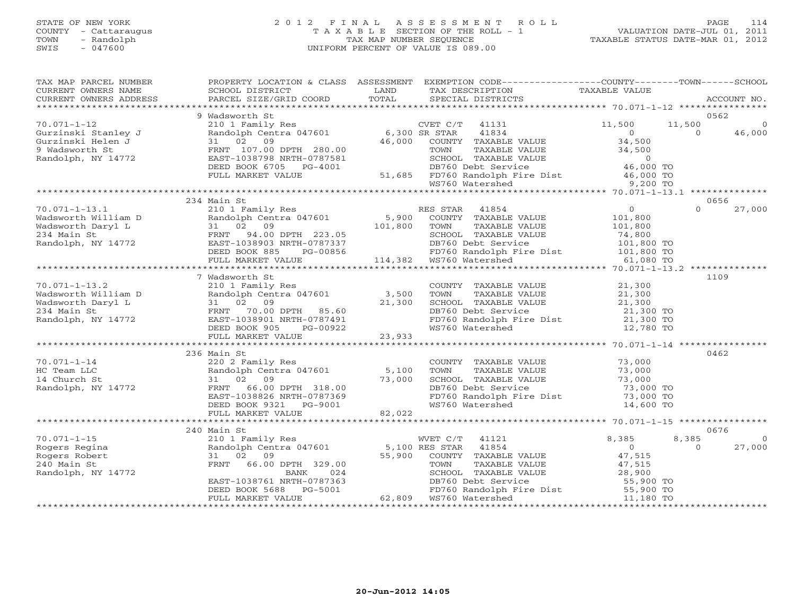# STATE OF NEW YORK 2 0 1 2 F I N A L A S S E S S M E N T R O L L PAGE 114 COUNTY - Cattaraugus T A X A B L E SECTION OF THE ROLL - 1 VALUATION DATE-JUL 01, 2011 TOWN - Randolph TAX MAP NUMBER SEQUENCE TAXABLE STATUS DATE-MAR 01, 2012 SWIS - 047600 UNIFORM PERCENT OF VALUE IS 089.00

| TAX MAP PARCEL NUMBER<br>CURRENT OWNERS NAME<br>CURRENT OWNERS ADDRESS                                                                                                                                                                                   | PROPERTY LOCATION & CLASS ASSESSMENT<br>SCHOOL DISTRICT                                                                                                                                                                                    | LAND   | EXEMPTION CODE----------------COUNTY-------TOWN------SCHOOL<br>TAX DESCRIPTION TAXABLE VALUE                                                                                                      |                                 |                |          |
|----------------------------------------------------------------------------------------------------------------------------------------------------------------------------------------------------------------------------------------------------------|--------------------------------------------------------------------------------------------------------------------------------------------------------------------------------------------------------------------------------------------|--------|---------------------------------------------------------------------------------------------------------------------------------------------------------------------------------------------------|---------------------------------|----------------|----------|
|                                                                                                                                                                                                                                                          |                                                                                                                                                                                                                                            |        |                                                                                                                                                                                                   |                                 |                |          |
|                                                                                                                                                                                                                                                          | 9 Wadsworth St                                                                                                                                                                                                                             |        |                                                                                                                                                                                                   |                                 | 0562           |          |
| $70.071 - 1 - 12$                                                                                                                                                                                                                                        | 210 1 Family Res<br>210 1 Family Res<br>Randolph Centra 047601 6,300 SR STAR<br>31 02 09 46,000 COUNTY                                                                                                                                     |        | $CVET C/T$ 41131                                                                                                                                                                                  | 11,500                          | 11,500         |          |
| Gurzinski Stanley J<br>Gurzinski Stanley J<br>Gurzinski Helen J<br>9 Wadsworth St<br>RENT 107.00 DPTH 280.00<br>Randolph, NY 14772<br>EAST-1038798 NRTH-0787581                                                                                          |                                                                                                                                                                                                                                            |        | R STAR 41834<br>COUNTY TAXABLE VALUE 34,500<br>TAXABLE VALUE 34,500                                                                                                                               |                                 | $\overline{0}$ | 46,000   |
|                                                                                                                                                                                                                                                          |                                                                                                                                                                                                                                            |        |                                                                                                                                                                                                   |                                 |                |          |
|                                                                                                                                                                                                                                                          |                                                                                                                                                                                                                                            |        |                                                                                                                                                                                                   |                                 |                |          |
|                                                                                                                                                                                                                                                          |                                                                                                                                                                                                                                            |        |                                                                                                                                                                                                   |                                 |                |          |
|                                                                                                                                                                                                                                                          |                                                                                                                                                                                                                                            |        |                                                                                                                                                                                                   |                                 |                |          |
|                                                                                                                                                                                                                                                          |                                                                                                                                                                                                                                            |        |                                                                                                                                                                                                   |                                 |                |          |
| 9 Wadsworth St CHARABLE VALUE<br>280.00 FOWN TAXABLE VALUE<br>280.00 FOWN TAXABLE VALUE 34,500<br>28Amdolph, NY 14772 EAST-1038798 NRTH-0787581 SCHOOL TAXABLE VALUE 34,500<br>DEED BOOK 6705 PG-4001 DB760 Debt Service 46,000 TO<br>FU                 |                                                                                                                                                                                                                                            |        |                                                                                                                                                                                                   |                                 |                |          |
|                                                                                                                                                                                                                                                          |                                                                                                                                                                                                                                            |        |                                                                                                                                                                                                   |                                 | 0656           |          |
|                                                                                                                                                                                                                                                          |                                                                                                                                                                                                                                            |        | ES STAR 41854<br>COUNTY TAXABLE VALUE                                                                                                                                                             | $\overline{0}$                  | $\Omega$       | 27,000   |
|                                                                                                                                                                                                                                                          |                                                                                                                                                                                                                                            |        |                                                                                                                                                                                                   | 101,800                         |                |          |
|                                                                                                                                                                                                                                                          |                                                                                                                                                                                                                                            |        |                                                                                                                                                                                                   |                                 |                |          |
|                                                                                                                                                                                                                                                          |                                                                                                                                                                                                                                            |        |                                                                                                                                                                                                   |                                 |                |          |
|                                                                                                                                                                                                                                                          |                                                                                                                                                                                                                                            |        |                                                                                                                                                                                                   |                                 |                |          |
|                                                                                                                                                                                                                                                          |                                                                                                                                                                                                                                            |        |                                                                                                                                                                                                   |                                 |                |          |
|                                                                                                                                                                                                                                                          |                                                                                                                                                                                                                                            |        | TOWN TAXABLE VALUE<br>TOWN TAXABLE VALUE 101,800<br>SCHOOL TAXABLE VALUE 74,800<br>DB760 Debt Service 101,800 TO<br>FD760 Randolph Fire Dist 101,800 TO<br>WS760 Watershed 61,080 TO              |                                 |                |          |
|                                                                                                                                                                                                                                                          |                                                                                                                                                                                                                                            |        |                                                                                                                                                                                                   |                                 |                |          |
|                                                                                                                                                                                                                                                          | 7 Wadsworth St                                                                                                                                                                                                                             |        |                                                                                                                                                                                                   |                                 | 1109           |          |
|                                                                                                                                                                                                                                                          |                                                                                                                                                                                                                                            |        | $\begin{tabular}{lllllllll} \multicolumn{2}{c}{\textbf{COUNTY}} & \textbf{TAXABLE VALUE} & & & & 21,300 \\ \multicolumn{2}{c}{\textbf{TOWN}} & \textbf{TAXABLE VALUE} & & & 21,300 \end{tabular}$ | 21,300                          |                |          |
| 70.071-1-13.2<br>Wadsworth William D Randolph Centra 047601 3,500<br>Wadsworth Daryl L 31 02 09 21,300<br>234 Main St FRNT 70.00 DPTH 85.60<br>Randolph, NY 14772 EAST-1038901 NRTH-0787491<br>REFREE POOK 0.05 PTH 2787491                              |                                                                                                                                                                                                                                            |        |                                                                                                                                                                                                   |                                 |                |          |
|                                                                                                                                                                                                                                                          |                                                                                                                                                                                                                                            |        |                                                                                                                                                                                                   |                                 |                |          |
|                                                                                                                                                                                                                                                          |                                                                                                                                                                                                                                            |        |                                                                                                                                                                                                   |                                 |                |          |
|                                                                                                                                                                                                                                                          |                                                                                                                                                                                                                                            |        | SCHOOL TAXABLE VALUE 21,300<br>DB760 Debt Service 21,300 TO<br>FD760 Randolph Fire Dist 21,300 TO<br>WS760 Watershed 12,780 TO                                                                    |                                 |                |          |
|                                                                                                                                                                                                                                                          | $PG-00922$<br>CDE 23,933<br>DEED BOOK 905                                                                                                                                                                                                  |        |                                                                                                                                                                                                   |                                 |                |          |
|                                                                                                                                                                                                                                                          | FULL MARKET VALUE                                                                                                                                                                                                                          |        |                                                                                                                                                                                                   |                                 |                |          |
|                                                                                                                                                                                                                                                          | 236 Main St                                                                                                                                                                                                                                |        |                                                                                                                                                                                                   |                                 | 0462           |          |
|                                                                                                                                                                                                                                                          |                                                                                                                                                                                                                                            |        |                                                                                                                                                                                                   | 73,000                          |                |          |
|                                                                                                                                                                                                                                                          |                                                                                                                                                                                                                                            |        | COUNTY TAXABLE VALUE<br>TOWN     TAXABLE VALUE                                                                                                                                                    | 73,000<br>73,000                |                |          |
|                                                                                                                                                                                                                                                          |                                                                                                                                                                                                                                            |        |                                                                                                                                                                                                   |                                 |                |          |
|                                                                                                                                                                                                                                                          |                                                                                                                                                                                                                                            |        | SCHOOL TAXABLE VALUE 73,000<br>DB760 Debt Service 73,000 TO                                                                                                                                       |                                 |                |          |
|                                                                                                                                                                                                                                                          |                                                                                                                                                                                                                                            |        |                                                                                                                                                                                                   |                                 |                |          |
| 70.071-1-14<br>HC Team LLC<br>14 Church St<br>220 2 Family Res<br>Randolph Centra 047601 5,100<br>14 Church St<br>31 02 09<br>73,000<br>FRNT 66.00 DPTH 318.00<br>EAST-1038826 NRTH-0787369<br>DEED BOOK 9321<br>DEED BOOK 9321<br>DEED BOOK 9321<br>DEE |                                                                                                                                                                                                                                            |        | FD760 Randolph Fire Dist<br>WS760 Watershed                                                                                                                                                       | 73,000 TO<br>14,600 TO          |                |          |
|                                                                                                                                                                                                                                                          | FULL MARKET VALUE                                                                                                                                                                                                                          | 82,022 |                                                                                                                                                                                                   |                                 |                |          |
|                                                                                                                                                                                                                                                          | ******************************                                                                                                                                                                                                             |        |                                                                                                                                                                                                   |                                 |                |          |
|                                                                                                                                                                                                                                                          | 240 Main St                                                                                                                                                                                                                                |        |                                                                                                                                                                                                   |                                 | 0676           |          |
| $70.071 - 1 - 15$                                                                                                                                                                                                                                        |                                                                                                                                                                                                                                            |        |                                                                                                                                                                                                   |                                 | 8,385          | $\Omega$ |
| Rogers Regina                                                                                                                                                                                                                                            |                                                                                                                                                                                                                                            |        |                                                                                                                                                                                                   |                                 | $\Omega$       | 27,000   |
| Rogers Robert                                                                                                                                                                                                                                            | Main St<br>210 1 Family Res<br>Randolph Centra 047601 5,100 RES STAR 41854 0<br>31 02 09 55,900 COUNTY TAXABLE VALUE 47,515<br>FRNT 66.00 DPTH 329.00 55,900 COUNTY TAXABLE VALUE 47,515<br>BANK 024 SCHOOL TAXABLE VALUE 28,900<br>EAST-1 |        |                                                                                                                                                                                                   |                                 |                |          |
| 240 Main St                                                                                                                                                                                                                                              |                                                                                                                                                                                                                                            |        |                                                                                                                                                                                                   |                                 |                |          |
| Randolph, NY 14772                                                                                                                                                                                                                                       |                                                                                                                                                                                                                                            |        |                                                                                                                                                                                                   |                                 |                |          |
|                                                                                                                                                                                                                                                          |                                                                                                                                                                                                                                            |        |                                                                                                                                                                                                   | 55,900 TO                       |                |          |
|                                                                                                                                                                                                                                                          |                                                                                                                                                                                                                                            |        | FD760 Randolph Fire Dist 55,900 TO<br>WS760 Watershed 11,180 TO                                                                                                                                   |                                 |                |          |
|                                                                                                                                                                                                                                                          |                                                                                                                                                                                                                                            |        |                                                                                                                                                                                                   | ******************************* |                |          |
|                                                                                                                                                                                                                                                          |                                                                                                                                                                                                                                            |        |                                                                                                                                                                                                   |                                 |                |          |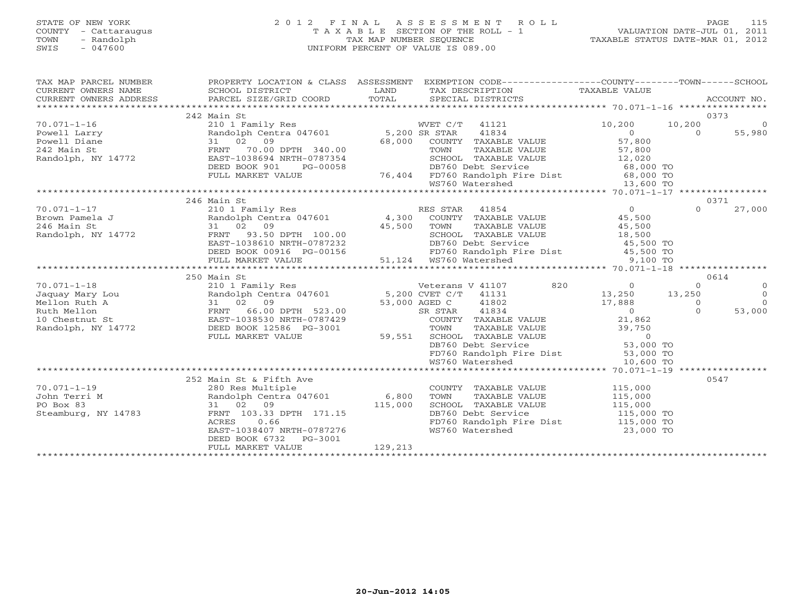### STATE OF NEW YORK 2 0 1 2 F I N A L A S S E S S M E N T R O L L PAGE 115 COUNTY - Cattaraugus T A X A B L E SECTION OF THE ROLL - 1 VALUATION DATE-JUL 01, 2011 TOWN - Randolph TAX MAP NUMBER SEQUENCE TAXABLE STATUS DATE-MAR 01, 2012 SWIS - 047600 UNIFORM PERCENT OF VALUE IS 089.00UNIFORM PERCENT OF VALUE IS 089.00

| TAX MAP PARCEL NUMBER                                                                                                                                                                                                                    |                                                                                                                                                                                                                                          |         | PROPERTY LOCATION & CLASS ASSESSMENT EXEMPTION CODE----------------COUNTY-------TOWN------SCHOOL                                                                                                                                       |               |          |                |
|------------------------------------------------------------------------------------------------------------------------------------------------------------------------------------------------------------------------------------------|------------------------------------------------------------------------------------------------------------------------------------------------------------------------------------------------------------------------------------------|---------|----------------------------------------------------------------------------------------------------------------------------------------------------------------------------------------------------------------------------------------|---------------|----------|----------------|
| CURRENT OWNERS NAME                                                                                                                                                                                                                      | SCHOOL DISTRICT                                                                                                                                                                                                                          |         | LAND TAX DESCRIPTION                                                                                                                                                                                                                   | TAXABLE VALUE |          |                |
| CURRENT OWNERS ADDRESS<br>CONNERY OWNERS ADDRESS BORCEL SIZE/GRID COORD FOTAL SECIAL DISTRICTS FOR ACCOUNT NO.<br>FOREXT PARCEL SIZE/GRID COORD TOTAL SECIAL DISTRICTS FOR POTAL SECONT NO.                                              |                                                                                                                                                                                                                                          |         |                                                                                                                                                                                                                                        |               |          |                |
|                                                                                                                                                                                                                                          |                                                                                                                                                                                                                                          |         |                                                                                                                                                                                                                                        |               |          |                |
|                                                                                                                                                                                                                                          | 242 Main St                                                                                                                                                                                                                              |         |                                                                                                                                                                                                                                        |               | 0373     |                |
| 70.071-1-16<br>Powell Larry Randolph Centra 047601 5,200 SR STAR 41834 0<br>Powell Diane 31 02 09 68,000 COUNTY TAXABLE VALUE 57,800<br>Randolph, NY 14772 EAST-1038694 NRTH-0787354 SCHOOL TAXABLE VALUE 57,800<br>Randolph, NY 1477    |                                                                                                                                                                                                                                          |         |                                                                                                                                                                                                                                        |               |          | $\overline{0}$ |
|                                                                                                                                                                                                                                          |                                                                                                                                                                                                                                          |         |                                                                                                                                                                                                                                        |               |          | 55,980         |
|                                                                                                                                                                                                                                          |                                                                                                                                                                                                                                          |         |                                                                                                                                                                                                                                        |               |          |                |
|                                                                                                                                                                                                                                          |                                                                                                                                                                                                                                          |         |                                                                                                                                                                                                                                        |               |          |                |
|                                                                                                                                                                                                                                          |                                                                                                                                                                                                                                          |         |                                                                                                                                                                                                                                        |               |          |                |
|                                                                                                                                                                                                                                          |                                                                                                                                                                                                                                          |         |                                                                                                                                                                                                                                        |               |          |                |
|                                                                                                                                                                                                                                          |                                                                                                                                                                                                                                          |         |                                                                                                                                                                                                                                        |               |          |                |
|                                                                                                                                                                                                                                          |                                                                                                                                                                                                                                          |         | FRNT 70.00 DPTH 340.00<br>EAST-1038694 NRTH-0787354 SCHOOL TAXABLE VALUE 57,800<br>DEED BOOK 901 PG-00058 76,404 FD760 Randolph Fire Dist 68,000 TO<br>FULL MARKET VALUE 76,404 FD760 Randolph Fire Dist 68,000 TO<br>**************** |               |          |                |
|                                                                                                                                                                                                                                          |                                                                                                                                                                                                                                          |         |                                                                                                                                                                                                                                        |               |          |                |
|                                                                                                                                                                                                                                          | 246 Main St                                                                                                                                                                                                                              |         |                                                                                                                                                                                                                                        |               |          | 0371           |
|                                                                                                                                                                                                                                          |                                                                                                                                                                                                                                          |         |                                                                                                                                                                                                                                        |               | $\Omega$ | 27,000         |
|                                                                                                                                                                                                                                          |                                                                                                                                                                                                                                          |         |                                                                                                                                                                                                                                        |               |          |                |
|                                                                                                                                                                                                                                          |                                                                                                                                                                                                                                          |         |                                                                                                                                                                                                                                        |               |          |                |
|                                                                                                                                                                                                                                          |                                                                                                                                                                                                                                          |         |                                                                                                                                                                                                                                        |               |          |                |
|                                                                                                                                                                                                                                          |                                                                                                                                                                                                                                          |         |                                                                                                                                                                                                                                        |               |          |                |
|                                                                                                                                                                                                                                          |                                                                                                                                                                                                                                          |         |                                                                                                                                                                                                                                        |               |          |                |
|                                                                                                                                                                                                                                          |                                                                                                                                                                                                                                          |         |                                                                                                                                                                                                                                        |               |          |                |
| Brown Pamela J<br>246 Main St 31 02 09<br>Randolph, NY 14772 32 EAST-1038610 NRTH-0787232<br>EED BOOK 00916 PG-00156 51,124 WS760 Watershed<br>245,500 EED BOOK 00916 PG-00156 51,124 WS760 Watershed 31,000 70<br>25,500 TO FULL MARKET |                                                                                                                                                                                                                                          |         |                                                                                                                                                                                                                                        |               |          |                |
|                                                                                                                                                                                                                                          | 250 Main St                                                                                                                                                                                                                              |         |                                                                                                                                                                                                                                        |               |          | 0614           |
| $70.071 - 1 - 18$                                                                                                                                                                                                                        |                                                                                                                                                                                                                                          |         |                                                                                                                                                                                                                                        |               |          | $\overline{0}$ |
|                                                                                                                                                                                                                                          |                                                                                                                                                                                                                                          |         |                                                                                                                                                                                                                                        |               |          | $\overline{0}$ |
|                                                                                                                                                                                                                                          |                                                                                                                                                                                                                                          |         |                                                                                                                                                                                                                                        |               |          | $\Omega$       |
|                                                                                                                                                                                                                                          |                                                                                                                                                                                                                                          |         |                                                                                                                                                                                                                                        |               |          | 53,000         |
|                                                                                                                                                                                                                                          |                                                                                                                                                                                                                                          |         |                                                                                                                                                                                                                                        |               |          |                |
|                                                                                                                                                                                                                                          |                                                                                                                                                                                                                                          |         |                                                                                                                                                                                                                                        |               |          |                |
|                                                                                                                                                                                                                                          |                                                                                                                                                                                                                                          |         |                                                                                                                                                                                                                                        |               |          |                |
|                                                                                                                                                                                                                                          |                                                                                                                                                                                                                                          |         |                                                                                                                                                                                                                                        |               |          |                |
|                                                                                                                                                                                                                                          |                                                                                                                                                                                                                                          |         |                                                                                                                                                                                                                                        |               |          |                |
|                                                                                                                                                                                                                                          | EXED BOOK 12586 PG-3001<br>FULL MARKET VALUE 59,551 TOWN TAXABLE VALUE 39,750<br>FULL MARKET VALUE 59,551 SCHOOL TAXABLE VALUE 0<br>DB760 Debt Service 53,000 TO<br>FULL MARKET VALUE 59,551 SCHOOL TAXABLE VALUE 0<br>DB760 Debt Servic |         |                                                                                                                                                                                                                                        |               |          |                |
|                                                                                                                                                                                                                                          |                                                                                                                                                                                                                                          |         |                                                                                                                                                                                                                                        |               |          |                |
|                                                                                                                                                                                                                                          | 252 Main St & Fifth Ave                                                                                                                                                                                                                  |         |                                                                                                                                                                                                                                        |               |          | 0547           |
| $70.071 - 1 - 19$                                                                                                                                                                                                                        |                                                                                                                                                                                                                                          |         |                                                                                                                                                                                                                                        |               |          |                |
| John Terri M                                                                                                                                                                                                                             |                                                                                                                                                                                                                                          |         |                                                                                                                                                                                                                                        |               |          |                |
| PO Box 83                                                                                                                                                                                                                                |                                                                                                                                                                                                                                          |         | COUNTY TAXABLE VALUE 115,000<br>TOWN TAXABLE VALUE 115,000<br>SCHOOL TAXABLE VALUE 115,000<br>115,000                                                                                                                                  |               |          |                |
| Steamburg, NY 14783                                                                                                                                                                                                                      | 280 Res Multiple<br>Randolph Centra 047601 6,800 TOWN<br>31 02 09 115,000 SCHOO!<br>FRNT 103.33 DPTH 171.15 DB760 DB760                                                                                                                  |         | DB760 Debt Service 115,000 TO<br>FD760 Randolph Fire Dist 115,000 TO                                                                                                                                                                   |               |          |                |
|                                                                                                                                                                                                                                          |                                                                                                                                                                                                                                          |         |                                                                                                                                                                                                                                        |               |          |                |
|                                                                                                                                                                                                                                          | EAST-1038407 NRTH-0787276                                                                                                                                                                                                                |         | WS760 Watershed                                                                                                                                                                                                                        | 23,000 TO     |          |                |
|                                                                                                                                                                                                                                          | DEED BOOK 6732 PG-3001                                                                                                                                                                                                                   | 129,213 |                                                                                                                                                                                                                                        |               |          |                |
|                                                                                                                                                                                                                                          | FULL MARKET VALUE                                                                                                                                                                                                                        |         |                                                                                                                                                                                                                                        |               |          |                |
|                                                                                                                                                                                                                                          |                                                                                                                                                                                                                                          |         |                                                                                                                                                                                                                                        |               |          |                |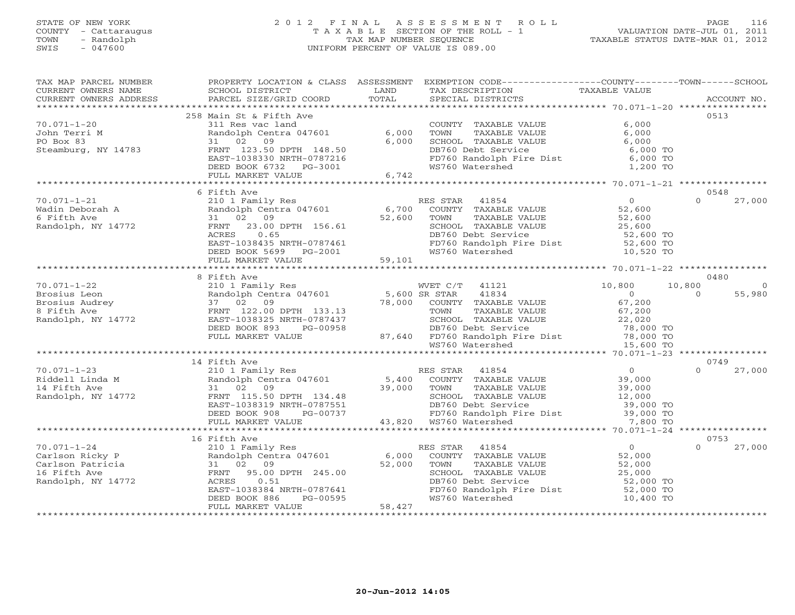#### STATE OF NEW YORK 2 0 1 2 F I N A L A S S E S S M E N T R O L L PAGE 116 COUNTY - Cattaraugus T A X A B L E SECTION OF THE ROLL - 1 VALUATION DATE-JUL 01, 2011 TOWN - Randolph TAX MAP NUMBER SEQUENCE TAXABLE STATUS DATE-MAR 01, 2012 SWIS - 047600 UNIFORM PERCENT OF VALUE IS 089.00UNIFORM PERCENT OF VALUE IS 089.00

| TAX MAP PARCEL NUMBER<br>CURRENT OWNERS NAME                                                                                                                                                                                                                                                                                                                                                                                      | SCHOOL DISTRICT                                                                 | LAND | PROPERTY LOCATION & CLASS ASSESSMENT EXEMPTION CODE----------------COUNTY-------TOWN------SCHOOL<br>TAX DESCRIPTION TAXABLE VALUE                                                                                                                                                                                      |                |                  |               |
|-----------------------------------------------------------------------------------------------------------------------------------------------------------------------------------------------------------------------------------------------------------------------------------------------------------------------------------------------------------------------------------------------------------------------------------|---------------------------------------------------------------------------------|------|------------------------------------------------------------------------------------------------------------------------------------------------------------------------------------------------------------------------------------------------------------------------------------------------------------------------|----------------|------------------|---------------|
|                                                                                                                                                                                                                                                                                                                                                                                                                                   |                                                                                 |      |                                                                                                                                                                                                                                                                                                                        |                |                  |               |
|                                                                                                                                                                                                                                                                                                                                                                                                                                   |                                                                                 |      |                                                                                                                                                                                                                                                                                                                        |                |                  |               |
|                                                                                                                                                                                                                                                                                                                                                                                                                                   | 258 Main St & Fifth Ave                                                         |      |                                                                                                                                                                                                                                                                                                                        |                | 0.513            |               |
|                                                                                                                                                                                                                                                                                                                                                                                                                                   |                                                                                 |      | COUNTY TAXABLE VALUE $\begin{array}{cccc} 6,000 \ \text{TOMN} & \text{TAXABLE VALUE} & 6,000 \ \text{SCHOOL} & \text{TAXABLE VALUE} & 6,000 \ \text{DB760 Debt Service} & 6,000 \ \text{PD760 RandomDBD10} & \text{F1} & 6,000 \ \text{F1} & 6,000 \ \text{WS760 Watershed} & 1,200 \ \text{TO} & 6,000 \ \end{array}$ |                |                  |               |
|                                                                                                                                                                                                                                                                                                                                                                                                                                   |                                                                                 |      |                                                                                                                                                                                                                                                                                                                        |                |                  |               |
|                                                                                                                                                                                                                                                                                                                                                                                                                                   |                                                                                 |      |                                                                                                                                                                                                                                                                                                                        |                |                  |               |
|                                                                                                                                                                                                                                                                                                                                                                                                                                   |                                                                                 |      |                                                                                                                                                                                                                                                                                                                        |                |                  |               |
|                                                                                                                                                                                                                                                                                                                                                                                                                                   |                                                                                 |      |                                                                                                                                                                                                                                                                                                                        |                |                  |               |
|                                                                                                                                                                                                                                                                                                                                                                                                                                   |                                                                                 |      |                                                                                                                                                                                                                                                                                                                        |                |                  |               |
| $70.071-1-20$<br>$311 \text{ Res } \text{ val} \text{ } 31 \text{ } 236 \text{ min } 5 \text{ k} \text{ } 11 \text{ } \text{Ave}$<br>$70.071-1-20$<br>$70 \text{ min} \text{ T} \text{ } 206 \text{ min} \text{ } 256 \text{ min} \text{ } 31 \text{ } 286 \text{ min} \text{ } 51 \text{ } 6 \text{ min}$<br>$70.071-1-20$<br>$70 \text{ min} \text{ } 236 \text{ min} \text{ } 31 \text{ } 28$                                  |                                                                                 |      |                                                                                                                                                                                                                                                                                                                        |                |                  |               |
|                                                                                                                                                                                                                                                                                                                                                                                                                                   |                                                                                 |      |                                                                                                                                                                                                                                                                                                                        |                |                  |               |
|                                                                                                                                                                                                                                                                                                                                                                                                                                   | 6 Fifth Ave                                                                     |      |                                                                                                                                                                                                                                                                                                                        |                | 0548             |               |
|                                                                                                                                                                                                                                                                                                                                                                                                                                   |                                                                                 |      |                                                                                                                                                                                                                                                                                                                        |                |                  | $0 \t 27,000$ |
|                                                                                                                                                                                                                                                                                                                                                                                                                                   |                                                                                 |      |                                                                                                                                                                                                                                                                                                                        |                |                  |               |
|                                                                                                                                                                                                                                                                                                                                                                                                                                   |                                                                                 |      |                                                                                                                                                                                                                                                                                                                        |                |                  |               |
|                                                                                                                                                                                                                                                                                                                                                                                                                                   |                                                                                 |      |                                                                                                                                                                                                                                                                                                                        |                |                  |               |
|                                                                                                                                                                                                                                                                                                                                                                                                                                   |                                                                                 |      |                                                                                                                                                                                                                                                                                                                        |                |                  |               |
|                                                                                                                                                                                                                                                                                                                                                                                                                                   |                                                                                 |      |                                                                                                                                                                                                                                                                                                                        |                |                  |               |
|                                                                                                                                                                                                                                                                                                                                                                                                                                   |                                                                                 |      |                                                                                                                                                                                                                                                                                                                        |                |                  |               |
| 70.071-1-21<br>Wadin Deborah A 210 1 Family Res RES STAR 41854 0<br>Wadin Deborah A Randolph Centra 047601 6,700 COUNTY TAXABLE VALUE 52,600<br>6 Fifth Ave 31 02 09<br>Randolph, NY 14772 FRNT 23.00 DPTH 156.61 52,600 SCHOOL TAXA                                                                                                                                                                                              |                                                                                 |      |                                                                                                                                                                                                                                                                                                                        |                |                  |               |
|                                                                                                                                                                                                                                                                                                                                                                                                                                   |                                                                                 |      |                                                                                                                                                                                                                                                                                                                        |                |                  |               |
|                                                                                                                                                                                                                                                                                                                                                                                                                                   | 8 Fifth Ave                                                                     |      |                                                                                                                                                                                                                                                                                                                        |                | 0480             |               |
|                                                                                                                                                                                                                                                                                                                                                                                                                                   |                                                                                 |      |                                                                                                                                                                                                                                                                                                                        |                | 10,800           | $\Omega$      |
|                                                                                                                                                                                                                                                                                                                                                                                                                                   |                                                                                 |      |                                                                                                                                                                                                                                                                                                                        |                | $\overline{0}$   | 55,980        |
|                                                                                                                                                                                                                                                                                                                                                                                                                                   |                                                                                 |      |                                                                                                                                                                                                                                                                                                                        |                |                  |               |
|                                                                                                                                                                                                                                                                                                                                                                                                                                   |                                                                                 |      |                                                                                                                                                                                                                                                                                                                        |                |                  |               |
|                                                                                                                                                                                                                                                                                                                                                                                                                                   |                                                                                 |      |                                                                                                                                                                                                                                                                                                                        |                |                  |               |
|                                                                                                                                                                                                                                                                                                                                                                                                                                   |                                                                                 |      |                                                                                                                                                                                                                                                                                                                        |                |                  |               |
|                                                                                                                                                                                                                                                                                                                                                                                                                                   |                                                                                 |      |                                                                                                                                                                                                                                                                                                                        |                |                  |               |
| $\begin{tabular}{lllllllllllllllllll} \hline 70.071-1-22 & \multicolumn{3}{c }{o r.t.} & \multicolumn{3}{c }{A} & \multicolumn{3}{c }{o r.t.} & \multicolumn{3}{c }{M} & \multicolumn{3}{c }{M} & \multicolumn{3}{c }{M} & \multicolumn{3}{c }{M} & \multicolumn{3}{c }{M} & \multicolumn{3}{c }{M} & \multicolumn{3}{c }{M} & \multicolumn{3}{c }{M} & \multicolumn{3}{c }{M} & \multicolumn{3}{c }{M} & \multicolumn{3}{c }{M}$ |                                                                                 |      |                                                                                                                                                                                                                                                                                                                        |                |                  |               |
|                                                                                                                                                                                                                                                                                                                                                                                                                                   |                                                                                 |      |                                                                                                                                                                                                                                                                                                                        |                |                  |               |
|                                                                                                                                                                                                                                                                                                                                                                                                                                   | 14 Fifth Ave                                                                    |      |                                                                                                                                                                                                                                                                                                                        | $\overline{0}$ | 0749<br>$\Omega$ |               |
|                                                                                                                                                                                                                                                                                                                                                                                                                                   |                                                                                 |      |                                                                                                                                                                                                                                                                                                                        |                |                  | 27,000        |
|                                                                                                                                                                                                                                                                                                                                                                                                                                   |                                                                                 |      |                                                                                                                                                                                                                                                                                                                        |                |                  |               |
|                                                                                                                                                                                                                                                                                                                                                                                                                                   |                                                                                 |      |                                                                                                                                                                                                                                                                                                                        |                |                  |               |
|                                                                                                                                                                                                                                                                                                                                                                                                                                   |                                                                                 |      |                                                                                                                                                                                                                                                                                                                        |                |                  |               |
|                                                                                                                                                                                                                                                                                                                                                                                                                                   |                                                                                 |      |                                                                                                                                                                                                                                                                                                                        |                |                  |               |
|                                                                                                                                                                                                                                                                                                                                                                                                                                   |                                                                                 |      |                                                                                                                                                                                                                                                                                                                        |                |                  |               |
|                                                                                                                                                                                                                                                                                                                                                                                                                                   |                                                                                 |      |                                                                                                                                                                                                                                                                                                                        |                |                  |               |
|                                                                                                                                                                                                                                                                                                                                                                                                                                   |                                                                                 |      |                                                                                                                                                                                                                                                                                                                        |                | 0753             |               |
|                                                                                                                                                                                                                                                                                                                                                                                                                                   | 16 Fifth Ave                                                                    |      |                                                                                                                                                                                                                                                                                                                        |                | $\Omega$         | 27,000        |
|                                                                                                                                                                                                                                                                                                                                                                                                                                   |                                                                                 |      |                                                                                                                                                                                                                                                                                                                        |                |                  |               |
| 10 FILLIN AVE RES STAR 41854 (1854 )<br>Carlson Ricky P (210 1 Family Res RES STAR 41854 )<br>Carlson Patricia 31 02 09 (200 TOWN TAXABLE VALUE 52,000<br>16 Fifth Ave FRNT 95.00 DPTH 245.00 (200 SCHOOL TAXABLE VALUE 52,000<br>Rand                                                                                                                                                                                            |                                                                                 |      |                                                                                                                                                                                                                                                                                                                        |                |                  |               |
|                                                                                                                                                                                                                                                                                                                                                                                                                                   |                                                                                 |      | TOWN TAXABLE VALUE<br>TOWN TAXABLE VALUE<br>S2,000<br>SCHOOL TAXABLE VALUE<br>DB760 Debt Service<br>FD760 Randolph Fire Dist<br>WS760 Watershed<br>10,400 TO                                                                                                                                                           |                |                  |               |
|                                                                                                                                                                                                                                                                                                                                                                                                                                   |                                                                                 |      |                                                                                                                                                                                                                                                                                                                        |                |                  |               |
|                                                                                                                                                                                                                                                                                                                                                                                                                                   |                                                                                 |      |                                                                                                                                                                                                                                                                                                                        |                |                  |               |
|                                                                                                                                                                                                                                                                                                                                                                                                                                   |                                                                                 |      |                                                                                                                                                                                                                                                                                                                        |                |                  |               |
|                                                                                                                                                                                                                                                                                                                                                                                                                                   | EAST-1038384 NRTH-0787641<br>DEED BOOK 886 PG-00595<br>FULL MARKET VALUE 58,427 |      |                                                                                                                                                                                                                                                                                                                        |                |                  |               |
|                                                                                                                                                                                                                                                                                                                                                                                                                                   |                                                                                 |      |                                                                                                                                                                                                                                                                                                                        |                |                  |               |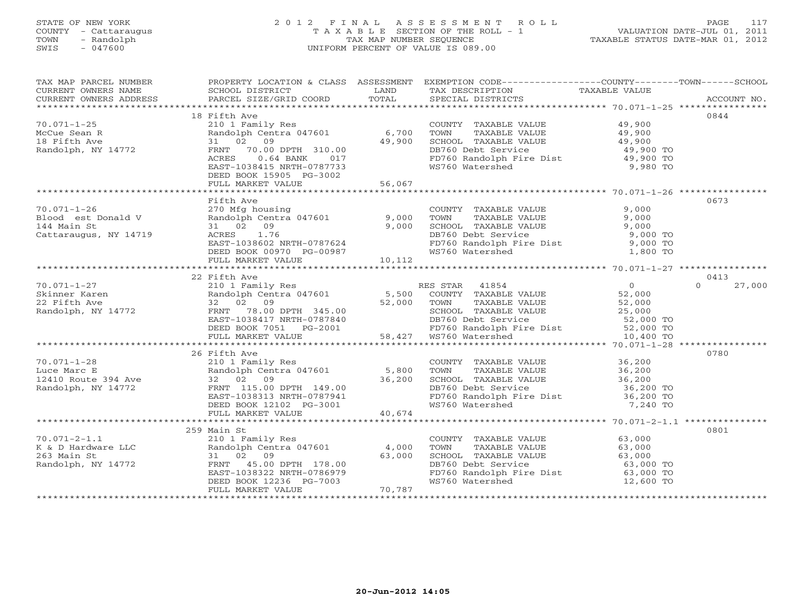### STATE OF NEW YORK 2 0 1 2 F I N A L A S S E S S M E N T R O L L PAGE 117COUNTY - Cattaraugus T A X A B L E SECTION OF THE ROLL - 1<br>
TOWN - Randolph TAX MAP NUMBER SEQUENCE<br>
SWIS - 047600 SWIS - 047600 UNIFORM PERCENT OF VALUE IS 089.00

| TAX MAP PARCEL NUMBER                                                                                                                                                                                                                                  | PROPERTY LOCATION & CLASS ASSESSMENT EXEMPTION CODE-----------------COUNTY-------TOWN------SCHOOL |        |                                                                                                                                                                                  |                     |             |
|--------------------------------------------------------------------------------------------------------------------------------------------------------------------------------------------------------------------------------------------------------|---------------------------------------------------------------------------------------------------|--------|----------------------------------------------------------------------------------------------------------------------------------------------------------------------------------|---------------------|-------------|
|                                                                                                                                                                                                                                                        |                                                                                                   |        | TAX DESCRIPTION TAXABLE VALUE                                                                                                                                                    |                     |             |
|                                                                                                                                                                                                                                                        |                                                                                                   |        | SPECIAL DISTRICTS                                                                                                                                                                |                     | ACCOUNT NO. |
|                                                                                                                                                                                                                                                        |                                                                                                   |        |                                                                                                                                                                                  |                     |             |
|                                                                                                                                                                                                                                                        | 18 Fifth Ave                                                                                      |        |                                                                                                                                                                                  |                     | 0844        |
|                                                                                                                                                                                                                                                        |                                                                                                   |        | COUNTY TAXABLE VALUE 49,900<br>TOWN TAXABLE VALUE 49,900                                                                                                                         |                     |             |
|                                                                                                                                                                                                                                                        |                                                                                                   |        | TOWN                                                                                                                                                                             |                     |             |
|                                                                                                                                                                                                                                                        |                                                                                                   |        |                                                                                                                                                                                  |                     |             |
|                                                                                                                                                                                                                                                        |                                                                                                   |        | SCHOOL TAXABLE VALUE<br>DB760 Debt Service                                                                                                                                       | 49,900<br>49,900 TO |             |
|                                                                                                                                                                                                                                                        | ACRES 0.64 BANK 017                                                                               |        |                                                                                                                                                                                  |                     |             |
|                                                                                                                                                                                                                                                        | EAST-1038415 NRTH-0787733                                                                         |        | FD760 Randolph Fire Dist $\begin{array}{ccc} 49,900 & \text{TO} \\ 9,980 & \text{TO} \end{array}$                                                                                |                     |             |
|                                                                                                                                                                                                                                                        | DEED BOOK 15905 PG-3002                                                                           |        |                                                                                                                                                                                  |                     |             |
|                                                                                                                                                                                                                                                        | FULL MARKET VALUE                                                                                 | 56,067 |                                                                                                                                                                                  |                     |             |
|                                                                                                                                                                                                                                                        |                                                                                                   |        |                                                                                                                                                                                  |                     |             |
| 10.071-1-26<br>Plood est Donald V (270 Mfg housing<br>270 Mfg housing<br>270 Mfg housing<br>270 Mfg housing<br>270 Mfg housing<br>270 Mfg housing<br>270 Mfg housing<br>270 Mfg housing<br>270 Mfg housing<br>270 Mfg housing<br>270 Mfg housing<br>27 |                                                                                                   |        |                                                                                                                                                                                  |                     | 0673        |
|                                                                                                                                                                                                                                                        |                                                                                                   |        | COUNTY TAXABLE VALUE 9,000                                                                                                                                                       |                     |             |
|                                                                                                                                                                                                                                                        |                                                                                                   |        |                                                                                                                                                                                  |                     |             |
|                                                                                                                                                                                                                                                        |                                                                                                   |        |                                                                                                                                                                                  |                     |             |
|                                                                                                                                                                                                                                                        |                                                                                                   |        |                                                                                                                                                                                  |                     |             |
|                                                                                                                                                                                                                                                        |                                                                                                   |        | COWN TAXABLE VALUE<br>TOWN TAXABLE VALUE<br>SCHOOL TAXABLE VALUE<br>DB760 Debt Service<br>FD760 Randolph Fire Dist<br>WS760 Watershed<br>1,800 TO<br>NS760 Watershed<br>1,800 TO |                     |             |
|                                                                                                                                                                                                                                                        |                                                                                                   |        |                                                                                                                                                                                  |                     |             |
|                                                                                                                                                                                                                                                        | ACKES 1:0<br>EAST-1038602 NRTH-0787624<br>DEED BOOK 00970 PG-00987<br>FULL MARKET VALUE 10,112    |        |                                                                                                                                                                                  |                     |             |
|                                                                                                                                                                                                                                                        |                                                                                                   |        |                                                                                                                                                                                  |                     |             |
|                                                                                                                                                                                                                                                        | 22 Fifth Ave                                                                                      |        |                                                                                                                                                                                  |                     | 0413        |
|                                                                                                                                                                                                                                                        |                                                                                                   |        |                                                                                                                                                                                  |                     |             |
|                                                                                                                                                                                                                                                        |                                                                                                   |        |                                                                                                                                                                                  |                     |             |
|                                                                                                                                                                                                                                                        |                                                                                                   |        |                                                                                                                                                                                  |                     |             |
|                                                                                                                                                                                                                                                        |                                                                                                   |        |                                                                                                                                                                                  |                     |             |
|                                                                                                                                                                                                                                                        |                                                                                                   |        |                                                                                                                                                                                  |                     |             |
|                                                                                                                                                                                                                                                        |                                                                                                   |        |                                                                                                                                                                                  |                     |             |
|                                                                                                                                                                                                                                                        |                                                                                                   |        |                                                                                                                                                                                  |                     |             |
|                                                                                                                                                                                                                                                        |                                                                                                   |        |                                                                                                                                                                                  |                     |             |
|                                                                                                                                                                                                                                                        | 26 Fifth Ave                                                                                      |        |                                                                                                                                                                                  |                     | 0780        |
|                                                                                                                                                                                                                                                        |                                                                                                   |        |                                                                                                                                                                                  |                     |             |
|                                                                                                                                                                                                                                                        |                                                                                                   |        | TOWN                                                                                                                                                                             |                     |             |
|                                                                                                                                                                                                                                                        |                                                                                                   |        | COUNTY TAXABLE VALUE 36,200<br>TOWN TAXABLE VALUE 36,200<br>SCHOOL TAXABLE VALUE 36,200                                                                                          |                     |             |
|                                                                                                                                                                                                                                                        |                                                                                                   |        | DB760 Debt Service                                                                                                                                                               | 36,200 TO           |             |
| 70.071-1-28<br>Luce Marc E<br>12410 Route 394 Ave 32 02 09<br>Randolph, NY 14772 FRNT 115.00 DPTH 149.00<br>EAST-1038313 NRTH-0787941<br>EAST-1038313 NRTH-0787941<br>EED BOOK 12102 PR<br>EED BOOK 12102 PR<br>EED BOOK 12102 PR-3001<br>EED BO       |                                                                                                   |        | FD760 Randolph Fire Dist<br>WS760 Watershed 7,240 TO                                                                                                                             |                     |             |
|                                                                                                                                                                                                                                                        |                                                                                                   |        |                                                                                                                                                                                  |                     |             |
|                                                                                                                                                                                                                                                        | FULL MARKET VALUE                                                                                 | 40,674 |                                                                                                                                                                                  |                     |             |
|                                                                                                                                                                                                                                                        |                                                                                                   |        |                                                                                                                                                                                  |                     |             |
|                                                                                                                                                                                                                                                        | 259 Main St                                                                                       |        |                                                                                                                                                                                  |                     | 0801        |
|                                                                                                                                                                                                                                                        |                                                                                                   |        | COUNTY TAXABLE VALUE 63,000                                                                                                                                                      |                     |             |
|                                                                                                                                                                                                                                                        |                                                                                                   |        |                                                                                                                                                                                  |                     |             |
|                                                                                                                                                                                                                                                        |                                                                                                   |        | TOWN TAXABLE VALUE 63,000<br>SCHOOL TAXABLE VALUE 63,000<br>DB760 Debt Service 63,000 TO<br>FD760 Randolph Fire Dist 63,000 TO                                                   |                     |             |
|                                                                                                                                                                                                                                                        |                                                                                                   |        |                                                                                                                                                                                  |                     |             |
|                                                                                                                                                                                                                                                        |                                                                                                   |        |                                                                                                                                                                                  |                     |             |
|                                                                                                                                                                                                                                                        |                                                                                                   |        | WS760 Watershed                                                                                                                                                                  | 12,600 TO           |             |
| 70.071-2-1.1<br>X & D Hardware LLC<br>X & D Hardware LLC<br>Randolph Centra 047601<br>210 1 Family Res<br>210 1 Family Res<br>210 1 Family Res<br>210 1 Family Res<br>210 1 Family Res<br>210 1 Family Res<br>210 1 Family Res<br>210 1 Family Res<br> |                                                                                                   |        |                                                                                                                                                                                  |                     |             |
|                                                                                                                                                                                                                                                        |                                                                                                   |        |                                                                                                                                                                                  |                     |             |
|                                                                                                                                                                                                                                                        |                                                                                                   |        |                                                                                                                                                                                  |                     |             |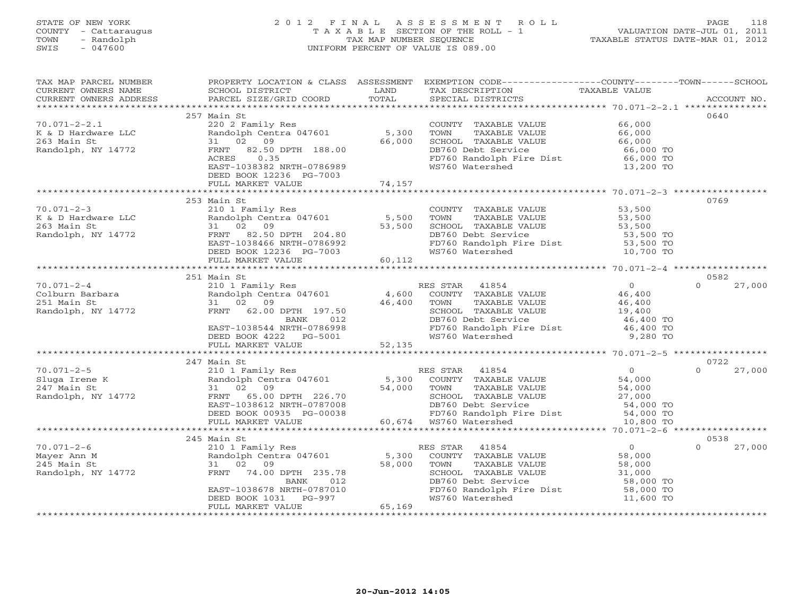### STATE OF NEW YORK 2 0 1 2 F I N A L A S S E S S M E N T R O L L PAGE 118 COUNTY - Cattaraugus T A X A B L E SECTION OF THE ROLL - 1 VALUATION DATE-JUL 01, 2011 TOWN - Randolph TAX MAP NUMBER SEQUENCE TAXABLE STATUS DATE-MAR 01, 2012 SWIS - 047600 UNIFORM PERCENT OF VALUE IS 089.00UNIFORM PERCENT OF VALUE IS 089.00

| TAX MAP PARCEL NUMBER<br>CURRENT OWNERS NAME<br>CURRENT OWNERS ADDRESS | PROPERTY LOCATION & CLASS ASSESSMENT<br><b>EXAMPLE SERVICE SERVICE SERVICE SERVICE SERVICE SERVICE SERVICE SERVICE SERVICE SERVICE SERVICE SERVICE SERVICE</b><br>SCHOOL DISTRICT<br>PARCEL SIZE/GRID COORD | TOTAL                           | EXEMPTION CODE-----------------COUNTY-------TOWN------SCHOOL<br>TAX DESCRIPTION<br>SPECIAL DISTRICTS                                                          | TAXABLE VALUE            | ACCOUNT NO.        |
|------------------------------------------------------------------------|-------------------------------------------------------------------------------------------------------------------------------------------------------------------------------------------------------------|---------------------------------|---------------------------------------------------------------------------------------------------------------------------------------------------------------|--------------------------|--------------------|
|                                                                        |                                                                                                                                                                                                             |                                 |                                                                                                                                                               |                          |                    |
|                                                                        | 257 Main St                                                                                                                                                                                                 |                                 |                                                                                                                                                               |                          | 0640               |
| $70.071 - 2 - 2.1$                                                     | 220 2 Family Res                                                                                                                                                                                            |                                 | COUNTY TAXABLE VALUE                                                                                                                                          | 66,000                   |                    |
| K & D Hardware LLC                                                     | Randolph Centra 047601                                                                                                                                                                                      | 5,300                           | TOWN<br>TAXABLE VALUE                                                                                                                                         | 66,000                   |                    |
| 263 Main St                                                            | 31 02 09                                                                                                                                                                                                    | 66,000                          | SCHOOL TAXABLE VALUE 66,000                                                                                                                                   |                          |                    |
| Randolph, NY 14772                                                     | FRNT 82.50 DPTH 188.00                                                                                                                                                                                      |                                 | DB760 Debt Service                                                                                                                                            | 66,000 TO                |                    |
|                                                                        | ACRES<br>0.35                                                                                                                                                                                               |                                 | FD760 Randolph Fire Dist 66,000 TO                                                                                                                            |                          |                    |
|                                                                        | EAST-1038382 NRTH-0786989                                                                                                                                                                                   |                                 | WS760 Watershed                                                                                                                                               | 13,200 TO                |                    |
|                                                                        | DEED BOOK 12236 PG-7003                                                                                                                                                                                     |                                 |                                                                                                                                                               |                          |                    |
|                                                                        | FULL MARKET VALUE                                                                                                                                                                                           | 74,157                          |                                                                                                                                                               |                          |                    |
|                                                                        |                                                                                                                                                                                                             |                                 |                                                                                                                                                               |                          |                    |
|                                                                        | 253 Main St                                                                                                                                                                                                 |                                 |                                                                                                                                                               |                          | 0769               |
| $70.071 - 2 - 3$                                                       | 210 1 Family Res                                                                                                                                                                                            |                                 | COUNTY TAXABLE VALUE 53,500                                                                                                                                   |                          |                    |
| K & D Hardware LLC                                                     | Randolph Centra 047601 5,500                                                                                                                                                                                |                                 | TOWN<br>TAXABLE VALUE                                                                                                                                         | 53,500<br>53,500         |                    |
| 263 Main St                                                            | 31 02 09                                                                                                                                                                                                    | 53,500                          | SCHOOL TAXABLE VALUE                                                                                                                                          |                          |                    |
| Randolph, NY 14772                                                     | FRNT 82.50 DPTH 204.80<br>EAST-1038466 NRTH-0786992                                                                                                                                                         |                                 | DB760 Debt Service<br>FD760 Randolph Fire Dist                                                                                                                | 53,500 TO<br>$53,500$ TO |                    |
|                                                                        | DEED BOOK 12236 PG-7003                                                                                                                                                                                     | $4.80$<br>6992<br>003<br>60,112 | WS760 Watershed                                                                                                                                               | 10,700 TO                |                    |
|                                                                        | FULL MARKET VALUE                                                                                                                                                                                           |                                 |                                                                                                                                                               |                          |                    |
|                                                                        |                                                                                                                                                                                                             |                                 |                                                                                                                                                               |                          |                    |
|                                                                        | 251 Main St                                                                                                                                                                                                 |                                 |                                                                                                                                                               |                          | 0582               |
| $70.071 - 2 - 4$                                                       | 210 1 Family Res                                                                                                                                                                                            |                                 | RES STAR 41854                                                                                                                                                | $\overline{0}$           | 27,000<br>$\cap$   |
|                                                                        | Randolph Centra 047601 4,600                                                                                                                                                                                |                                 | COUNTY TAXABLE VALUE                                                                                                                                          | 46,400                   |                    |
|                                                                        |                                                                                                                                                                                                             | 46,400                          | TOWN<br>TAXABLE VALUE                                                                                                                                         | 46,400                   |                    |
|                                                                        | FRNT 62.00 DPTH 197.50                                                                                                                                                                                      |                                 | TOWN LOWWELL VALUE                                                                                                                                            | 19,400                   |                    |
|                                                                        | BANK<br>012                                                                                                                                                                                                 |                                 | DB760 Debt Service                                                                                                                                            | 46,400 TO                |                    |
|                                                                        | EAST-1038544 NRTH-0786998                                                                                                                                                                                   |                                 | FD760 Randolph Fire Dist                                                                                                                                      | 46,400 TO                |                    |
|                                                                        | DEED BOOK 4222 PG-5001                                                                                                                                                                                      |                                 | WS760 Watershed                                                                                                                                               | 9,280 TO                 |                    |
|                                                                        | FULL MARKET VALUE                                                                                                                                                                                           | 52,135                          |                                                                                                                                                               |                          |                    |
|                                                                        | ********************************                                                                                                                                                                            |                                 |                                                                                                                                                               |                          |                    |
|                                                                        | 247 Main St                                                                                                                                                                                                 |                                 |                                                                                                                                                               |                          | 0722               |
| $70.071 - 2 - 5$                                                       | Main St<br>210 1 Family Res<br>Randolph Centra 047601 5,300<br>54,000                                                                                                                                       |                                 | RES STAR 41854<br>ES STAR 41854<br>COUNTY TAXABLE VALUE                                                                                                       | $\overline{0}$           | 27,000<br>$\Omega$ |
| Sluga Irene K                                                          |                                                                                                                                                                                                             |                                 |                                                                                                                                                               | 54,000                   |                    |
| 247 Main St                                                            | 31 02 09                                                                                                                                                                                                    | 54,000                          | TAXABLE VALUE<br>TOWN                                                                                                                                         |                          |                    |
| Randolph, NY 14772                                                     | FRNT<br>65.00 DPTH 226.70                                                                                                                                                                                   |                                 | SCHOOL TAXABLE VALUE                                                                                                                                          | $54,000$<br>27,000       |                    |
|                                                                        | EAST-1038612 NRTH-0787008                                                                                                                                                                                   |                                 |                                                                                                                                                               |                          |                    |
|                                                                        | DEED BOOK 00935 PG-00038                                                                                                                                                                                    |                                 | DB760 Debt Service<br>PD760 Debt Service<br>FD760 Randolph Fire Dist<br>10 800 TO<br>00038 12000 12000<br>2-00038 120760 Randolph 5<br>60,674 WS760 Watershed |                          |                    |
|                                                                        | FULL MARKET VALUE                                                                                                                                                                                           |                                 |                                                                                                                                                               | 10,800 TO                |                    |
|                                                                        | ***********************************                                                                                                                                                                         |                                 |                                                                                                                                                               |                          |                    |
|                                                                        | 245 Main St                                                                                                                                                                                                 |                                 |                                                                                                                                                               |                          | 0538               |
| $70.071 - 2 - 6$                                                       | 210 1 Family Res                                                                                                                                                                                            |                                 | RES STAR 41854                                                                                                                                                | $\Omega$                 | 27,000<br>$\Omega$ |
| Mayer Ann M                                                            | Randolph Centra 047601                                                                                                                                                                                      |                                 | 5,300 COUNTY TAXABLE VALUE                                                                                                                                    | 58,000                   |                    |
| 245 Main St                                                            | 31 02 09                                                                                                                                                                                                    | 58,000                          | TOWN<br>TAXABLE VALUE                                                                                                                                         | 58,000                   |                    |
| Randolph, NY 14772                                                     | FRNT 74.00 DPTH 235.78                                                                                                                                                                                      |                                 | SCHOOL TAXABLE VALUE                                                                                                                                          | 31,000                   |                    |
|                                                                        | 012<br>BANK                                                                                                                                                                                                 |                                 | DB760 Debt Service                                                                                                                                            | 58,000 TO                |                    |
|                                                                        | EAST-1038678 NRTH-0787010<br>PG-997                                                                                                                                                                         |                                 | FD760 Randolph Fire Dist 58,000 TO<br>WS760 Watershed                                                                                                         |                          |                    |
|                                                                        | DEED BOOK 1031<br>FULL MARKET VALUE                                                                                                                                                                         | 65,169                          |                                                                                                                                                               | 11,600 TO                |                    |
|                                                                        |                                                                                                                                                                                                             |                                 |                                                                                                                                                               |                          |                    |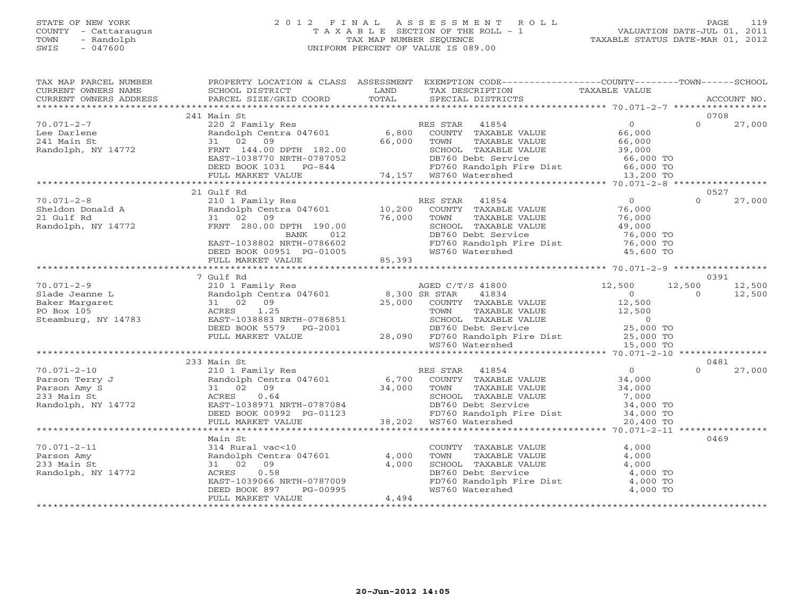#### STATE OF NEW YORK 2 0 1 2 F I N A L A S S E S S M E N T R O L L PAGE 119 COUNTY - Cattaraugus T A X A B L E SECTION OF THE ROLL - 1 VALUATION DATE-JUL 01, 2011 TOWN - Randolph TAX MAP NUMBER SEQUENCE TAXABLE STATUS DATE-MAR 01, 2012 SWIS - 047600 UNIFORM PERCENT OF VALUE IS 089.00UNIFORM PERCENT OF VALUE IS 089.00

| TAX MAP PARCEL NUMBER<br>CURRENT OWNERS NAME<br>CURRENT OWNERS ADDRESS                                                                                                                                                                                                                                                                                                                                                                                                                                                                                | <b>Example 12</b> LAND<br>SCHOOL DISTRICT<br>PARCEL SIZE/GRID COORD                                             | TOTAL  | PROPERTY LOCATION & CLASS ASSESSMENT EXEMPTION CODE---------------COUNTY-------TOWN------SCHOOL<br>TAX DESCRIPTION<br>SPECIAL DISTRICTS                                                                                                    | TAXABLE VALUE                         | ACCOUNT NO.              |
|-------------------------------------------------------------------------------------------------------------------------------------------------------------------------------------------------------------------------------------------------------------------------------------------------------------------------------------------------------------------------------------------------------------------------------------------------------------------------------------------------------------------------------------------------------|-----------------------------------------------------------------------------------------------------------------|--------|--------------------------------------------------------------------------------------------------------------------------------------------------------------------------------------------------------------------------------------------|---------------------------------------|--------------------------|
|                                                                                                                                                                                                                                                                                                                                                                                                                                                                                                                                                       |                                                                                                                 |        |                                                                                                                                                                                                                                            |                                       |                          |
|                                                                                                                                                                                                                                                                                                                                                                                                                                                                                                                                                       | 241 Main St                                                                                                     |        |                                                                                                                                                                                                                                            |                                       | 0708                     |
| $70.071 - 2 - 7$<br>Lee Darlene<br>241 Main St<br>Randolph, NY 14772                                                                                                                                                                                                                                                                                                                                                                                                                                                                                  |                                                                                                                 |        | 220 2 Family Res<br>220 2 Family Res<br>220 2 Family Res<br>31 02 09 66,000 TOWN TAXABLE VALUE 66,000<br>FRNT 144.00 DPTH 182.00 66,000 TOWN TAXABLE VALUE 66,000<br>EAST-1038770 NRTH-0787052 DB760 Debt Service 66,000 TO<br>DEED BOOK 1 |                                       | $\Omega$<br>27,000       |
|                                                                                                                                                                                                                                                                                                                                                                                                                                                                                                                                                       |                                                                                                                 |        |                                                                                                                                                                                                                                            |                                       |                          |
|                                                                                                                                                                                                                                                                                                                                                                                                                                                                                                                                                       |                                                                                                                 |        |                                                                                                                                                                                                                                            |                                       |                          |
|                                                                                                                                                                                                                                                                                                                                                                                                                                                                                                                                                       | 21 Gulf Rd                                                                                                      |        |                                                                                                                                                                                                                                            |                                       | 0527                     |
|                                                                                                                                                                                                                                                                                                                                                                                                                                                                                                                                                       |                                                                                                                 |        | SCHOOL TAXABLE VALUE 49,000<br>DB760 Debt Service 76,000 TO                                                                                                                                                                                | $\overline{O}$                        | $\Omega$<br>27,000       |
|                                                                                                                                                                                                                                                                                                                                                                                                                                                                                                                                                       | EAST-1038802 NRTH-0786602 FD760 Randolph I DEED BOOK 00951 PG-01005                                             |        | FD760 Randolph Fire Dist 76,000 TO<br>WS760 Watershed 45,600 TO                                                                                                                                                                            |                                       |                          |
|                                                                                                                                                                                                                                                                                                                                                                                                                                                                                                                                                       | FULL MARKET VALUE                                                                                               | 85,393 |                                                                                                                                                                                                                                            |                                       |                          |
|                                                                                                                                                                                                                                                                                                                                                                                                                                                                                                                                                       | 7 Gulf Rd                                                                                                       |        |                                                                                                                                                                                                                                            |                                       | 0391                     |
| $70.071 - 2 - 9$                                                                                                                                                                                                                                                                                                                                                                                                                                                                                                                                      |                                                                                                                 |        |                                                                                                                                                                                                                                            |                                       | 12,500<br>12,500         |
| Slade Jeanne L                                                                                                                                                                                                                                                                                                                                                                                                                                                                                                                                        |                                                                                                                 |        |                                                                                                                                                                                                                                            |                                       | 12,500<br>$\overline{0}$ |
| Randol<br>31 0<br>ACRES<br>Baker Margaret                                                                                                                                                                                                                                                                                                                                                                                                                                                                                                             |                                                                                                                 |        |                                                                                                                                                                                                                                            |                                       |                          |
| PO Box 105                                                                                                                                                                                                                                                                                                                                                                                                                                                                                                                                            |                                                                                                                 |        |                                                                                                                                                                                                                                            |                                       |                          |
| Steamburg, NY 14783                                                                                                                                                                                                                                                                                                                                                                                                                                                                                                                                   |                                                                                                                 |        |                                                                                                                                                                                                                                            |                                       |                          |
|                                                                                                                                                                                                                                                                                                                                                                                                                                                                                                                                                       |                                                                                                                 |        |                                                                                                                                                                                                                                            |                                       |                          |
|                                                                                                                                                                                                                                                                                                                                                                                                                                                                                                                                                       |                                                                                                                 |        |                                                                                                                                                                                                                                            |                                       |                          |
|                                                                                                                                                                                                                                                                                                                                                                                                                                                                                                                                                       |                                                                                                                 |        |                                                                                                                                                                                                                                            |                                       |                          |
|                                                                                                                                                                                                                                                                                                                                                                                                                                                                                                                                                       |                                                                                                                 |        |                                                                                                                                                                                                                                            |                                       | 0481                     |
|                                                                                                                                                                                                                                                                                                                                                                                                                                                                                                                                                       | 210 1 Family Res                                                                                                |        | RES STAR 41854                                                                                                                                                                                                                             | $\overline{0}$                        | $\Omega$<br>27,000       |
| $\begin{tabular}{lllllllll} \small & \texttt{****} & \texttt{0.071-2-10} & \smallskip & \texttt{2.1} & \smallskip \\ \texttt{Person Terry J} & & & \smallbox{Random Cenu} \\ \texttt{Person Amy S} & & & 31 & 02 & 09 \\ \texttt{Person Amy S} & & & & \smallskip \\ & & & & & \smallskip \\ & & & & & & \smallskip \\ & & & & & & \smallskip \\ & & & & & & \smallskip \\ & & & & & & \smallquad \\ & & & & & & \smallquad \\ & & & & & & & \smallquad \\ & & & & & & & \smallquad \\ & & & & & & & \smallquad \\ & & & & & & & \smallquad \\ & & &$ |                                                                                                                 |        | 210 1 randolph Centra 047601 6,700 COUNTY TAXABLE VALUE 34,000<br>31 02 09 34,000 TOWN TAXABLE VALUE 34,000<br>ACRES 0.64 34,000 SCHOOL TAXABLE VALUE 7,000                                                                                |                                       |                          |
|                                                                                                                                                                                                                                                                                                                                                                                                                                                                                                                                                       |                                                                                                                 |        | TOWN TAXABLE VALUE 34,000<br>SCHOOL TAXABLE VALUE 34,000<br>DB760 Debt Service 34,000 TO<br>FD760 Randolph Fire Dist 34,000 TO                                                                                                             |                                       |                          |
|                                                                                                                                                                                                                                                                                                                                                                                                                                                                                                                                                       | ACRES 0.64<br>EAST-1038971 NRTH-0787084<br>DEED BOOK 00992 PG-01123<br>FULL MARKET VALUE 38,202 WS760 Watershed |        |                                                                                                                                                                                                                                            |                                       |                          |
|                                                                                                                                                                                                                                                                                                                                                                                                                                                                                                                                                       |                                                                                                                 |        |                                                                                                                                                                                                                                            |                                       |                          |
|                                                                                                                                                                                                                                                                                                                                                                                                                                                                                                                                                       |                                                                                                                 |        |                                                                                                                                                                                                                                            | 20,400 TO                             |                          |
|                                                                                                                                                                                                                                                                                                                                                                                                                                                                                                                                                       | *************************                                                                                       |        |                                                                                                                                                                                                                                            | ********* 70.071-2-11 *************** |                          |
|                                                                                                                                                                                                                                                                                                                                                                                                                                                                                                                                                       | Main St                                                                                                         |        |                                                                                                                                                                                                                                            |                                       | 0469                     |
| $70.071 - 2 - 11$                                                                                                                                                                                                                                                                                                                                                                                                                                                                                                                                     |                                                                                                                 |        |                                                                                                                                                                                                                                            |                                       |                          |
| Parson Amy                                                                                                                                                                                                                                                                                                                                                                                                                                                                                                                                            |                                                                                                                 |        |                                                                                                                                                                                                                                            |                                       |                          |
| 233 Main St                                                                                                                                                                                                                                                                                                                                                                                                                                                                                                                                           | Main St<br>314 Rural vac<10<br>Randolph Centra 047601 4,000<br>31 02 09 4,000<br>3000 0 58                      |        | COUNTY TAXABLE VALUE<br>TOWN TAXABLE VALUE 4,000<br>SCHOOL TAXABLE VALUE 4,000<br>DB760 Debt Service 4,000 TO<br>FD760 Randolph Fire Dist 4,000 TO<br>WS760 Watershed 4,000 TO                                                             |                                       |                          |
| Randolph, NY 14772                                                                                                                                                                                                                                                                                                                                                                                                                                                                                                                                    |                                                                                                                 |        |                                                                                                                                                                                                                                            |                                       |                          |
|                                                                                                                                                                                                                                                                                                                                                                                                                                                                                                                                                       |                                                                                                                 |        |                                                                                                                                                                                                                                            |                                       |                          |
|                                                                                                                                                                                                                                                                                                                                                                                                                                                                                                                                                       | EAST-1039066 NRTH-0787009<br>DEED BOOK 897 PG-00995<br>FULL MARKER 111                                          |        |                                                                                                                                                                                                                                            |                                       |                          |
|                                                                                                                                                                                                                                                                                                                                                                                                                                                                                                                                                       | FULL MARKET VALUE                                                                                               | 4,494  |                                                                                                                                                                                                                                            |                                       |                          |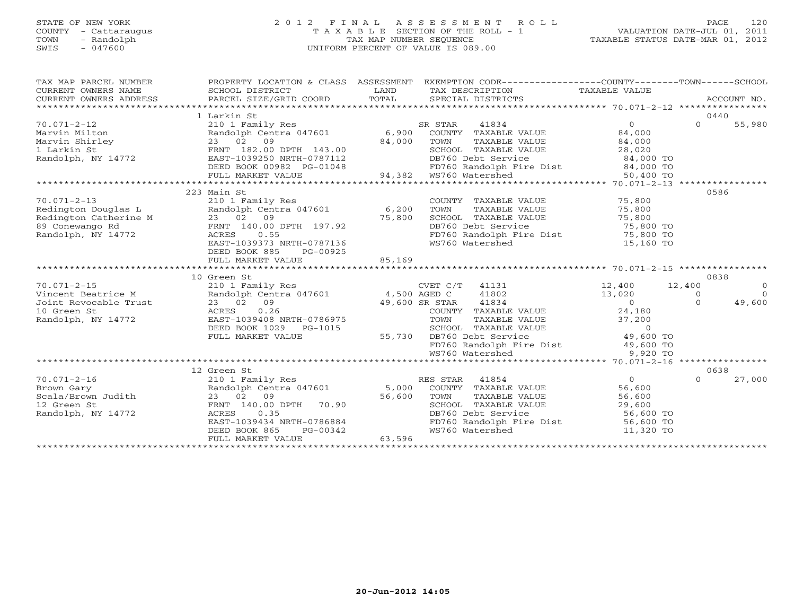#### STATE OF NEW YORK 2 0 1 2 F I N A L A S S E S S M E N T R O L L PAGE 120 COUNTY - Cattaraugus T A X A B L E SECTION OF THE ROLL - 1 VALUATION DATE-JUL 01, 2011 TOWN - Randolph TAX MAP NUMBER SEQUENCE TAXABLE STATUS DATE-MAR 01, 2012 SWIS - 047600 UNIFORM PERCENT OF VALUE IS 089.00

| TAX MAP PARCEL NUMBER<br>$\begin{tabular}{lllllll} \multicolumn{2}{c}{\textbf{CURRENT}} & \multicolumn{2}{c}{\textbf{WMERS}} & \multicolumn{2}{c}{\textbf{NAME}} & \multicolumn{2}{c}{\textbf{SCHOOL}} & \multicolumn{2}{c}{\textbf{ISTRICT}} & \multicolumn{2}{c}{\textbf{LAND}} & \multicolumn{2}{c}{\textbf{TAX} BESCRIPITION} & \multicolumn{2}{c}{\textbf{TAX} ABLE} & \multicolumn{2}{c}{\textbf{VALUE}} & \multicolumn{2}{c}{\textbf{CURRENT}} & \multicolumn{2}{c}{\textbf{NCABLE}} &$ | PROPERTY LOCATION & CLASS ASSESSMENT                                                       |        | EXEMPTION CODE----------------COUNTY-------TOWN------SCHOOL                                                      |                |                |                |
|------------------------------------------------------------------------------------------------------------------------------------------------------------------------------------------------------------------------------------------------------------------------------------------------------------------------------------------------------------------------------------------------------------------------------------------------------------------------------------------------|--------------------------------------------------------------------------------------------|--------|------------------------------------------------------------------------------------------------------------------|----------------|----------------|----------------|
|                                                                                                                                                                                                                                                                                                                                                                                                                                                                                                | 1 Larkin St                                                                                |        |                                                                                                                  |                | 0440           |                |
| $70.071 - 2 - 12$                                                                                                                                                                                                                                                                                                                                                                                                                                                                              |                                                                                            |        | SR STAR<br>41834                                                                                                 | $\Omega$       | $\Omega$       | 55,980         |
|                                                                                                                                                                                                                                                                                                                                                                                                                                                                                                | 210 1 Family Res 5F<br>Randolph Centra 047601 6,900                                        |        | COUNTY TAXABLE VALUE 84,000                                                                                      |                |                |                |
|                                                                                                                                                                                                                                                                                                                                                                                                                                                                                                |                                                                                            |        | TAXABLE VALUE 84,000<br>TOWN                                                                                     |                |                |                |
|                                                                                                                                                                                                                                                                                                                                                                                                                                                                                                |                                                                                            |        |                                                                                                                  |                |                |                |
| " (1912–12<br>Marvin Milton<br>Marvin Shirley<br>1 Larkin St<br>Randolph, NY 14772<br>Randolph, NY 14772                                                                                                                                                                                                                                                                                                                                                                                       |                                                                                            |        | SCHOOL TAXABLE VALUE 28,020<br>DB760 Debt Service 84,000 TO                                                      |                |                |                |
|                                                                                                                                                                                                                                                                                                                                                                                                                                                                                                | 84,000<br>FRNT 182.00 DPTH 143.00<br>EAST-1039250 NRTH-0787112<br>DEED BOOK 00982 PC 01015 |        |                                                                                                                  |                |                |                |
| Adiustry of the control of the control of the control of the control of the control of the control of the contro<br>DEED BOOK 00982 PG-01048 FD760 Randolph Fire Dist 64,000 TO<br>FULL MARKET VALUE 94,382 WS760 Watershed 50,400 T                                                                                                                                                                                                                                                           |                                                                                            |        |                                                                                                                  |                |                |                |
|                                                                                                                                                                                                                                                                                                                                                                                                                                                                                                |                                                                                            |        |                                                                                                                  |                |                |                |
|                                                                                                                                                                                                                                                                                                                                                                                                                                                                                                | 223 Main St                                                                                |        |                                                                                                                  |                | 0586           |                |
| $70.071 - 2 - 13$                                                                                                                                                                                                                                                                                                                                                                                                                                                                              | 210 1 Family Res<br>Randolph Centra 047601 6,200<br>23 02 09<br>FRNT 140 00                |        | COUNTY TAXABLE VALUE 75,800                                                                                      |                |                |                |
| Redington Douglas L                                                                                                                                                                                                                                                                                                                                                                                                                                                                            | M Randolph Cent<br>23 02 09<br>FRNT 140.00                                                 |        | TOWN<br>TAXABLE VALUE<br>TOWN       TAXABLE  VALUE<br>SCHOOL    TAXABLE  VALUE                                   | 75,800         |                |                |
| Redington Catherine M                                                                                                                                                                                                                                                                                                                                                                                                                                                                          | Randoiph Centra 04/001<br>23 02 09 75,800<br>FRNT 140.00 DPTH 197.92                       |        |                                                                                                                  | 75,800         |                |                |
| 89 Conewango Rd                                                                                                                                                                                                                                                                                                                                                                                                                                                                                |                                                                                            |        | DB760 Debt Service                                                                                               | 75,800 TO      |                |                |
| Randolph, NY 14772                                                                                                                                                                                                                                                                                                                                                                                                                                                                             | ACRES 0.55                                                                                 |        | FD760 Randolph Fire Dist 75,800 TO                                                                               |                |                |                |
|                                                                                                                                                                                                                                                                                                                                                                                                                                                                                                | EAST-1039373 NRTH-0787136                                                                  |        | WS760 Watershed                                                                                                  | 15,160 TO      |                |                |
|                                                                                                                                                                                                                                                                                                                                                                                                                                                                                                | DEED BOOK 885<br>PG-00925                                                                  |        |                                                                                                                  |                |                |                |
|                                                                                                                                                                                                                                                                                                                                                                                                                                                                                                |                                                                                            |        |                                                                                                                  |                |                |                |
|                                                                                                                                                                                                                                                                                                                                                                                                                                                                                                | 10 Green St                                                                                |        |                                                                                                                  |                | 0838           |                |
| $70.071 - 2 - 15$                                                                                                                                                                                                                                                                                                                                                                                                                                                                              |                                                                                            |        |                                                                                                                  |                |                | $\overline{0}$ |
|                                                                                                                                                                                                                                                                                                                                                                                                                                                                                                | 210 1 Family Res<br>Randolph Centra 047601 4,500 AGED C                                    |        | CVET C/T 41131 12,400 12,400                                                                                     |                | $\overline{0}$ | $\bigcap$      |
|                                                                                                                                                                                                                                                                                                                                                                                                                                                                                                | 23 02 09                                                                                   |        | $41802$ $13,020$ $13,020$                                                                                        |                | $\cap$         | 49,600         |
| 70.071-2-15<br>Vincent Beatrice M<br>Joint Revocable Trust<br>10 Green St                                                                                                                                                                                                                                                                                                                                                                                                                      | ACRES<br>0.26                                                                              |        | 49,600 SR STAR 41834<br>COUNTY TAXABLE VALUE 24,180                                                              |                |                |                |
| Randolph, NY 14772                                                                                                                                                                                                                                                                                                                                                                                                                                                                             | EAST-1039408 NRTH-0786975                                                                  |        |                                                                                                                  |                |                |                |
|                                                                                                                                                                                                                                                                                                                                                                                                                                                                                                | DEED BOOK 1029    PG-1015                                                                  |        |                                                                                                                  |                |                |                |
|                                                                                                                                                                                                                                                                                                                                                                                                                                                                                                | FULL MARKET VALUE                                                                          |        | TOWN TAXABLE VALUE 37,200<br>SCHOOL TAXABLE VALUE 0<br>DB760 Debt Service 49,600 TO<br>55,730 DB760 Debt Service |                |                |                |
|                                                                                                                                                                                                                                                                                                                                                                                                                                                                                                |                                                                                            |        |                                                                                                                  |                |                |                |
|                                                                                                                                                                                                                                                                                                                                                                                                                                                                                                |                                                                                            |        | FD760 Randolph Fire Dist 49,600 TO<br>WS760 Watershed 9,920 TO                                                   |                |                |                |
|                                                                                                                                                                                                                                                                                                                                                                                                                                                                                                |                                                                                            |        |                                                                                                                  |                |                |                |
|                                                                                                                                                                                                                                                                                                                                                                                                                                                                                                | 12 Green St                                                                                |        |                                                                                                                  |                | 0638           |                |
| $70.071 - 2 - 16$                                                                                                                                                                                                                                                                                                                                                                                                                                                                              |                                                                                            |        |                                                                                                                  | $\overline{O}$ | $\Omega$       | 27,000         |
| Brown Gary                                                                                                                                                                                                                                                                                                                                                                                                                                                                                     |                                                                                            |        |                                                                                                                  | 56,600         |                |                |
| Scala/Brown Judith                                                                                                                                                                                                                                                                                                                                                                                                                                                                             | 23 02 09 56,60<br>FRNT 140.00 DPTH 70.90 56,60                                             | 56,600 | TOWN<br>TAXABLE VALUE                                                                                            | 56,600         |                |                |
| 12 Green St                                                                                                                                                                                                                                                                                                                                                                                                                                                                                    |                                                                                            |        | SCHOOL TAXABLE VALUE                                                                                             | 29,600         |                |                |
| Randolph, NY 14772                                                                                                                                                                                                                                                                                                                                                                                                                                                                             | ACRES<br>0.35                                                                              |        | DB760 Debt Service                                                                                               | 56,600 TO      |                |                |
|                                                                                                                                                                                                                                                                                                                                                                                                                                                                                                | EAST-1039434 NRTH-0786884                                                                  |        | FD760 Randolph Fire Dist 56,600 TO                                                                               |                |                |                |
|                                                                                                                                                                                                                                                                                                                                                                                                                                                                                                | DEED BOOK 865<br>PG-00342                                                                  |        | WS760 Watershed                                                                                                  | 11,320 TO      |                |                |
|                                                                                                                                                                                                                                                                                                                                                                                                                                                                                                | FULL MARKET VALUE                                                                          | 63,596 |                                                                                                                  |                |                |                |
|                                                                                                                                                                                                                                                                                                                                                                                                                                                                                                |                                                                                            |        |                                                                                                                  |                |                |                |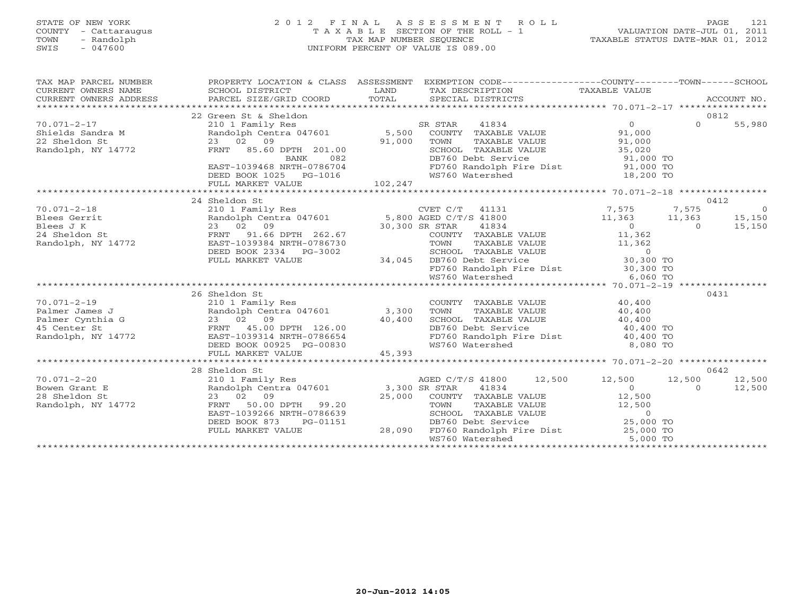### STATE OF NEW YORK 2 0 1 2 F I N A L A S S E S S M E N T R O L L PAGE 121 COUNTY - Cattaraugus T A X A B L E SECTION OF THE ROLL - 1 VALUATION DATE-JUL 01, 2011 TOWN - Randolph TAX MAP NUMBER SEQUENCE TAXABLE STATUS DATE-MAR 01, 2012 SWIS - 047600 UNIFORM PERCENT OF VALUE IS 089.00UNIFORM PERCENT OF VALUE IS 089.00

| TAX MAP PARCEL NUMBER<br>CURRENT OWNERS NAME<br>$\begin{tabular}{lllllll} \multicolumn{2}{c}{\textbf{CURERNT}} & \multicolumn{2}{c}{\textbf{WMRERS}} & \multicolumn{2}{c}{\textbf{NAME}} & \multicolumn{2}{c}{\textbf{SCHOOL}} & \multicolumn{2}{c}{\textbf{DISTRICT}} & \multicolumn{2}{c}{\textbf{LAND}} & \multicolumn{2}{c}{\textbf{TAXABLE} & \multicolumn{2}{c}{\textbf{NALUE}}\\ & \multicolumn{2}{c}{\textbf{CURERNT}} & \multicolumn{2}{c}{\textbf{WMERS}} & \multicolumn{2}{c}{\textbf{ACCOUNT}} & \multicolumn{$<br>CURRENT OWNERS ADDRESS |                                                                                                                                                                                                                                            |         | PROPERTY LOCATION & CLASS ASSESSMENT EXEMPTION CODE---------------COUNTY-------TOWN------SCHOOL |                                             |          |                |
|-------------------------------------------------------------------------------------------------------------------------------------------------------------------------------------------------------------------------------------------------------------------------------------------------------------------------------------------------------------------------------------------------------------------------------------------------------------------------------------------------------------------------------------------------------|--------------------------------------------------------------------------------------------------------------------------------------------------------------------------------------------------------------------------------------------|---------|-------------------------------------------------------------------------------------------------|---------------------------------------------|----------|----------------|
|                                                                                                                                                                                                                                                                                                                                                                                                                                                                                                                                                       |                                                                                                                                                                                                                                            |         |                                                                                                 |                                             |          |                |
|                                                                                                                                                                                                                                                                                                                                                                                                                                                                                                                                                       | 22 Green St & Sheldon                                                                                                                                                                                                                      |         |                                                                                                 |                                             |          | 0812           |
| $70.071 - 2 - 17$                                                                                                                                                                                                                                                                                                                                                                                                                                                                                                                                     |                                                                                                                                                                                                                                            |         |                                                                                                 | $\Omega$                                    | $\Omega$ | 55,980         |
| Shields Sandra M<br>22 Sheldon St                                                                                                                                                                                                                                                                                                                                                                                                                                                                                                                     |                                                                                                                                                                                                                                            |         |                                                                                                 | 91,000                                      |          |                |
|                                                                                                                                                                                                                                                                                                                                                                                                                                                                                                                                                       | 23 02 09                                                                                                                                                                                                                                   | 91,000  | TOWN<br>TAXABLE VALUE                                                                           | 91,000                                      |          |                |
| Randolph, NY 14772                                                                                                                                                                                                                                                                                                                                                                                                                                                                                                                                    | FRNT 85.60 DPTH 201.00                                                                                                                                                                                                                     |         | SCHOOL TAXABLE VALUE                                                                            | UE 35,020<br>91,000 TO                      |          |                |
|                                                                                                                                                                                                                                                                                                                                                                                                                                                                                                                                                       | 082<br>BANK                                                                                                                                                                                                                                |         | DB760 Debt Service                                                                              |                                             |          |                |
|                                                                                                                                                                                                                                                                                                                                                                                                                                                                                                                                                       | EAST-1039468 NRTH-0786704                                                                                                                                                                                                                  |         | FD760 Randolph Fire Dist 91,000 TO                                                              |                                             |          |                |
|                                                                                                                                                                                                                                                                                                                                                                                                                                                                                                                                                       | DEED BOOK 1025 PG-1016                                                                                                                                                                                                                     |         | WS760 Watershed                                                                                 | 18,200 TO                                   |          |                |
|                                                                                                                                                                                                                                                                                                                                                                                                                                                                                                                                                       | FULL MARKET VALUE                                                                                                                                                                                                                          | 102,247 |                                                                                                 |                                             |          |                |
|                                                                                                                                                                                                                                                                                                                                                                                                                                                                                                                                                       |                                                                                                                                                                                                                                            |         |                                                                                                 |                                             |          |                |
|                                                                                                                                                                                                                                                                                                                                                                                                                                                                                                                                                       | 24 Sheldon St                                                                                                                                                                                                                              |         |                                                                                                 | $7,575$<br>11 200                           |          | 0412           |
| $70.071 - 2 - 18$                                                                                                                                                                                                                                                                                                                                                                                                                                                                                                                                     | 210 1 Family Res<br>Randolph Centra 047601 5,800 AGED C/T/S 41800                                                                                                                                                                          |         |                                                                                                 |                                             | 7,575    | $\overline{0}$ |
| $\frac{1}{2}$<br>Blees Gerrit                                                                                                                                                                                                                                                                                                                                                                                                                                                                                                                         |                                                                                                                                                                                                                                            |         |                                                                                                 | $11,363$ $11,363$                           |          | 15,150         |
| Blees J K                                                                                                                                                                                                                                                                                                                                                                                                                                                                                                                                             | e de la construcción de la construcción de la construcción de la construcción de la construcción de la construcción de la construcción de la construcción de la construcción de la construcción de la construcción de la const<br>23 02 09 |         | 41834<br>30,300 SR STAR                                                                         | $\overline{0}$                              | $\cap$   | 15,150         |
| 24 Sheldon St                                                                                                                                                                                                                                                                                                                                                                                                                                                                                                                                         | FRNT 91.66 DPTH 262.67                                                                                                                                                                                                                     |         | COUNTY TAXABLE VALUE                                                                            | 11,362                                      |          |                |
| Randolph, NY 14772                                                                                                                                                                                                                                                                                                                                                                                                                                                                                                                                    | EAST-1039384 NRTH-0786730                                                                                                                                                                                                                  |         |                                                                                                 |                                             |          |                |
|                                                                                                                                                                                                                                                                                                                                                                                                                                                                                                                                                       | DEED BOOK 2334 PG-3002                                                                                                                                                                                                                     |         | TOWN TAXABLE VALUE 11,362<br>SCHOOL TAXABLE VALUE 0<br>DB760 Debt Service 30,300 TO             |                                             |          |                |
|                                                                                                                                                                                                                                                                                                                                                                                                                                                                                                                                                       | FULL MARKET VALUE                                                                                                                                                                                                                          | 34,045  | DB760 Debt Service                                                                              |                                             |          |                |
|                                                                                                                                                                                                                                                                                                                                                                                                                                                                                                                                                       |                                                                                                                                                                                                                                            |         | FD760 Randolph Fire Dist 30,300 TO<br>WS760 Watershed 6,060 TO                                  |                                             |          |                |
|                                                                                                                                                                                                                                                                                                                                                                                                                                                                                                                                                       |                                                                                                                                                                                                                                            |         |                                                                                                 |                                             |          |                |
|                                                                                                                                                                                                                                                                                                                                                                                                                                                                                                                                                       |                                                                                                                                                                                                                                            |         |                                                                                                 |                                             |          |                |
|                                                                                                                                                                                                                                                                                                                                                                                                                                                                                                                                                       | 26 Sheldon St                                                                                                                                                                                                                              |         |                                                                                                 |                                             |          | 0431           |
| $70.071 - 2 - 19$                                                                                                                                                                                                                                                                                                                                                                                                                                                                                                                                     | 210 1 Family Res<br>Randolph Centra 047601 3,300                                                                                                                                                                                           |         | COUNTY TAXABLE VALUE 40,400<br>TOWN TAXABLE VALUE 40,400                                        |                                             |          |                |
| Palmer James J                                                                                                                                                                                                                                                                                                                                                                                                                                                                                                                                        |                                                                                                                                                                                                                                            |         |                                                                                                 |                                             |          |                |
| Palmer Cynthia G                                                                                                                                                                                                                                                                                                                                                                                                                                                                                                                                      | $23$ 02 09 $40,400$<br>FRNT 45.00 DPTH 126.00 $40,400$<br>EAST-1039314 NRTH-0786654                                                                                                                                                        |         | SCHOOL TAXABLE VALUE 40,400<br>DB760 Debt Service 40,400 TO                                     |                                             |          |                |
| 45 Center St                                                                                                                                                                                                                                                                                                                                                                                                                                                                                                                                          |                                                                                                                                                                                                                                            |         | FD760 Randolph Fire Dist 40,400 TO                                                              |                                             |          |                |
| Randolph, NY 14772                                                                                                                                                                                                                                                                                                                                                                                                                                                                                                                                    | EAST-1039314 NRTH-0786654                                                                                                                                                                                                                  |         |                                                                                                 |                                             |          |                |
|                                                                                                                                                                                                                                                                                                                                                                                                                                                                                                                                                       | DEED BOOK 00925 PG-00830                                                                                                                                                                                                                   |         | WS760 Watershed                                                                                 | 8,080 TO                                    |          |                |
|                                                                                                                                                                                                                                                                                                                                                                                                                                                                                                                                                       | FULL MARKET VALUE                                                                                                                                                                                                                          | 45,393  |                                                                                                 |                                             |          |                |
|                                                                                                                                                                                                                                                                                                                                                                                                                                                                                                                                                       | 28 Sheldon St                                                                                                                                                                                                                              |         |                                                                                                 |                                             |          | 0642           |
| $70.071 - 2 - 20$                                                                                                                                                                                                                                                                                                                                                                                                                                                                                                                                     |                                                                                                                                                                                                                                            |         | AGED C/T/S 41800 12,500                                                                         | 12,500                                      | 12,500   | 12,500         |
| Bowen Grant E                                                                                                                                                                                                                                                                                                                                                                                                                                                                                                                                         |                                                                                                                                                                                                                                            |         | 41834                                                                                           | $\Omega$                                    | $\Omega$ | 12,500         |
| 28 Sheldon St                                                                                                                                                                                                                                                                                                                                                                                                                                                                                                                                         | 23 02 09                                                                                                                                                                                                                                   | 25,000  | COUNTY TAXABLE VALUE                                                                            | 12,500                                      |          |                |
| Randolph, NY 14772                                                                                                                                                                                                                                                                                                                                                                                                                                                                                                                                    | FRNT<br>50.00 DPTH 99.20                                                                                                                                                                                                                   |         | TOWN                                                                                            |                                             |          |                |
|                                                                                                                                                                                                                                                                                                                                                                                                                                                                                                                                                       | EAST-1039266 NRTH-0786639                                                                                                                                                                                                                  |         | TAXABLE VALUE 12,500<br>SCHOOL TAXABLE VALUE                                                    |                                             |          |                |
|                                                                                                                                                                                                                                                                                                                                                                                                                                                                                                                                                       | DEED BOOK 873<br>PG-01151                                                                                                                                                                                                                  |         | DB760 Debt Service                                                                              | $\overline{AB}$ b<br>25,000 TO<br>25,000 TO |          |                |
|                                                                                                                                                                                                                                                                                                                                                                                                                                                                                                                                                       | FULL MARKET VALUE                                                                                                                                                                                                                          | 28,090  | FD760 Randolph Fire Dist 25,000 TO                                                              |                                             |          |                |
|                                                                                                                                                                                                                                                                                                                                                                                                                                                                                                                                                       |                                                                                                                                                                                                                                            |         | WS760 Watershed                                                                                 | 5,000 TO                                    |          |                |
|                                                                                                                                                                                                                                                                                                                                                                                                                                                                                                                                                       |                                                                                                                                                                                                                                            |         |                                                                                                 |                                             |          |                |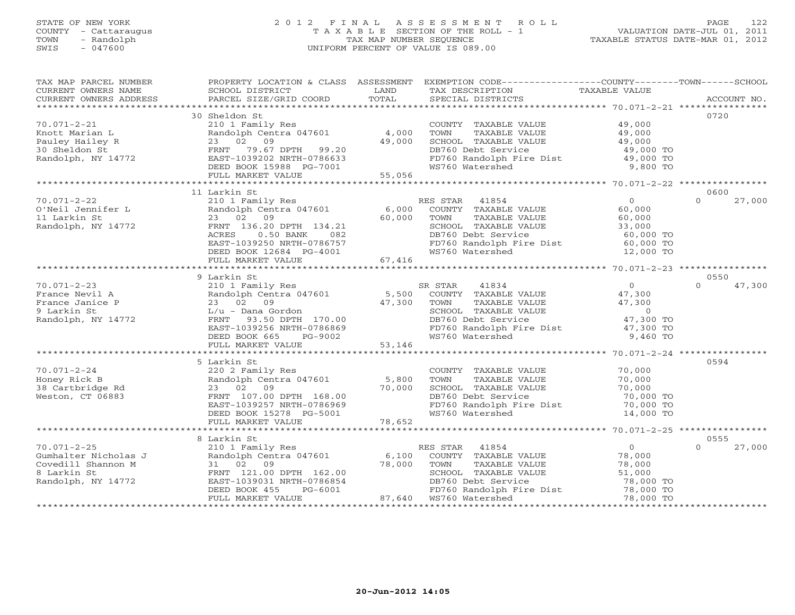#### STATE OF NEW YORK 2 0 1 2 F I N A L A S S E S S M E N T R O L L PAGE 122 COUNTY - Cattaraugus T A X A B L E SECTION OF THE ROLL - 1 VALUATION DATE-JUL 01, 2011 TOWN - Randolph TAX MAP NUMBER SEQUENCE TAXABLE STATUS DATE-MAR 01, 2012 SWIS - 047600 UNIFORM PERCENT OF VALUE IS 089.00UNIFORM PERCENT OF VALUE IS 089.00

| TAX MAP PARCEL NUMBER<br>CURRENT OWNERS NAME | SCHOOL DISTRICT                            | LAND   | PROPERTY LOCATION & CLASS ASSESSMENT EXEMPTION CODE---------------COUNTY-------TOWN------SCHOOL<br>TAX DESCRIPTION | TAXABLE VALUE  |                    |
|----------------------------------------------|--------------------------------------------|--------|--------------------------------------------------------------------------------------------------------------------|----------------|--------------------|
| CURRENT OWNERS ADDRESS                       | PARCEL SIZE/GRID COORD                     | TOTAL  | SPECIAL DISTRICTS                                                                                                  |                | ACCOUNT NO.        |
|                                              |                                            |        |                                                                                                                    |                |                    |
|                                              | 30 Sheldon St                              |        |                                                                                                                    |                | 0720               |
| $70.071 - 2 - 21$                            | 210 1 Family Res                           |        | COUNTY TAXABLE VALUE                                                                                               | 49,000         |                    |
| Knott Marian L                               | Randolph Centra 047601                     | 4,000  | TOWN<br>TAXABLE VALUE                                                                                              | 49,000         |                    |
| Pauley Hailey R                              | 23 02 09                                   | 49,000 | SCHOOL TAXABLE VALUE                                                                                               | 49,000         |                    |
| 30 Sheldon St                                | FRNT<br>79.67 DPTH 99.20                   |        | DB760 Debt Service                                                                                                 | 49,000 TO      |                    |
| Randolph, NY 14772                           | EAST-1039202 NRTH-0786633                  |        | FD760 Randolph Fire Dist                                                                                           | 49,000 TO      |                    |
|                                              | DEED BOOK 15988 PG-7001                    |        | WS760 Watershed                                                                                                    | 9,800 TO       |                    |
|                                              | FULL MARKET VALUE                          | 55,056 |                                                                                                                    |                |                    |
|                                              |                                            |        |                                                                                                                    |                |                    |
|                                              | 11 Larkin St                               |        |                                                                                                                    |                | 0600               |
| $70.071 - 2 - 22$                            | 210 1 Family Res                           |        | RES STAR<br>41854                                                                                                  | $\overline{O}$ | 27,000<br>$\Omega$ |
| O'Neil Jennifer L                            | Randolph Centra 047601                     | 6,000  | COUNTY TAXABLE VALUE                                                                                               | 60,000         |                    |
| 11 Larkin St                                 | 23 02 09                                   | 60,000 | TAXABLE VALUE<br>TOWN                                                                                              | 60,000         |                    |
| Randolph, NY 14772                           | FRNT 136.20 DPTH 134.21                    |        | SCHOOL TAXABLE VALUE                                                                                               | 33,000         |                    |
|                                              | ACRES<br>$0.50$ BANK<br>082                |        | DB760 Debt Service                                                                                                 | 60,000 TO      |                    |
|                                              | EAST-1039250 NRTH-0786757                  |        | FD760 Randolph Fire Dist                                                                                           | 60,000 TO      |                    |
|                                              | DEED BOOK 12684 PG-4001                    |        | WS760 Watershed                                                                                                    | 12,000 TO      |                    |
|                                              | FULL MARKET VALUE                          | 67,416 |                                                                                                                    |                |                    |
|                                              |                                            |        |                                                                                                                    |                |                    |
|                                              | 9 Larkin St                                |        |                                                                                                                    |                | 0550               |
| $70.071 - 2 - 23$                            | 210 1 Family Res                           |        | 41834<br>SR STAR                                                                                                   | $\overline{0}$ | 47,300<br>$\Omega$ |
| France Nevil A                               | Randolph Centra 047601                     | 5,500  | COUNTY TAXABLE VALUE                                                                                               | 47,300         |                    |
| France Janice P                              | 23 02 09                                   | 47,300 | TOWN<br>TAXABLE VALUE                                                                                              | 47,300         |                    |
| 9 Larkin St                                  | $L/u$ - Dana Gordon                        |        | SCHOOL TAXABLE VALUE                                                                                               | $\overline{0}$ |                    |
| Randolph, NY 14772                           | FRNT 93.50 DPTH 170.00                     |        | DB760 Debt Service                                                                                                 | 47,300 TO      |                    |
|                                              | EAST-1039256 NRTH-0786869                  |        | FD760 Randolph Fire Dist<br>WS760 Watershed                                                                        | 47,300 TO      |                    |
|                                              | DEED BOOK 665<br>PG-9002                   |        |                                                                                                                    | 9,460 TO       |                    |
|                                              | FULL MARKET VALUE                          | 53,146 |                                                                                                                    |                |                    |
|                                              |                                            |        |                                                                                                                    |                | 0594               |
| $70.071 - 2 - 24$                            | 5 Larkin St                                |        |                                                                                                                    | 70,000         |                    |
| Honey Rick B                                 | 220 2 Family Res<br>Randolph Centra 047601 | 5,800  | COUNTY TAXABLE VALUE<br>TOWN<br>TAXABLE VALUE                                                                      | 70,000         |                    |
| 38 Cartbridge Rd                             | 23 02 09                                   | 70,000 | SCHOOL TAXABLE VALUE                                                                                               | 70,000         |                    |
| Weston, CT 06883                             | FRNT 107.00 DPTH 168.00                    |        | DB760 Debt Service                                                                                                 | 70,000 TO      |                    |
|                                              | EAST-1039257 NRTH-0786969                  |        | FD760 Randolph Fire Dist                                                                                           | 70,000 TO      |                    |
|                                              | DEED BOOK 15278 PG-5001                    |        | WS760 Watershed                                                                                                    | 14,000 TO      |                    |
|                                              | FULL MARKET VALUE                          | 78,652 |                                                                                                                    |                |                    |
|                                              |                                            |        |                                                                                                                    |                |                    |
|                                              | 8 Larkin St                                |        |                                                                                                                    |                | 0555               |
| $70.071 - 2 - 25$                            | 210 1 Family Res                           |        | RES STAR<br>41854                                                                                                  | $\overline{0}$ | $\Omega$<br>27,000 |
| Gumhalter Nicholas J                         | Randolph Centra 047601                     | 6,100  | COUNTY TAXABLE VALUE                                                                                               | 78,000         |                    |
| Covedill Shannon M                           | 31 02 09                                   | 78,000 | TAXABLE VALUE<br>TOWN                                                                                              | 78,000         |                    |
| 8 Larkin St                                  | FRNT 121.00 DPTH 162.00                    |        | SCHOOL TAXABLE VALUE                                                                                               | 51,000         |                    |
| Randolph, NY 14772                           | EAST-1039031 NRTH-0786854                  |        | DB760 Debt Service                                                                                                 | 78,000 TO      |                    |
|                                              | PG-6001<br>DEED BOOK 455                   |        | FD760 Randolph Fire Dist                                                                                           | 78,000 TO      |                    |
|                                              | FULL MARKET VALUE                          | 87,640 | WS760 Watershed                                                                                                    | 78,000 TO      |                    |
|                                              |                                            |        |                                                                                                                    |                |                    |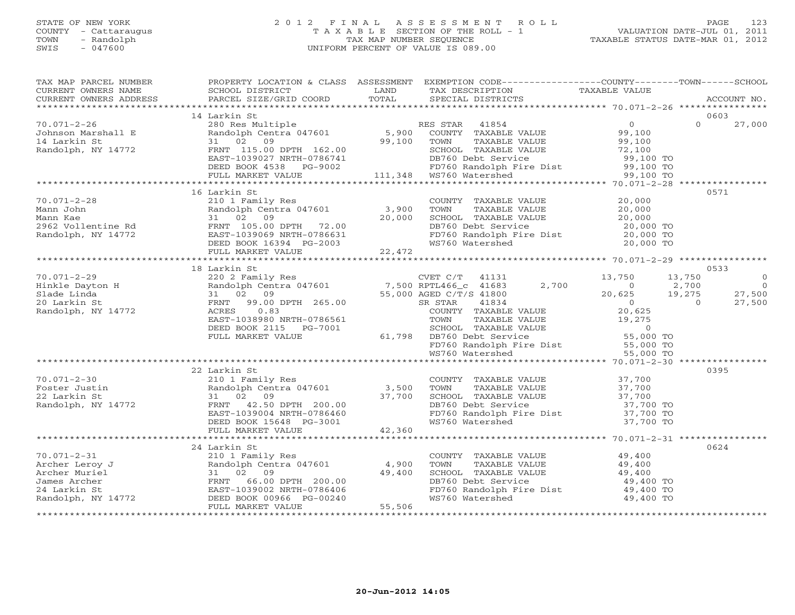#### STATE OF NEW YORK 2 0 1 2 F I N A L A S S E S S M E N T R O L L PAGE 123 COUNTY - Cattaraugus T A X A B L E SECTION OF THE ROLL - 1 VALUATION DATE-JUL 01, 2011 TOWN - Randolph TAX MAP NUMBER SEQUENCE TAXABLE STATUS DATE-MAR 01, 2012 SWIS - 047600 UNIFORM PERCENT OF VALUE IS 089.00UNIFORM PERCENT OF VALUE IS 089.00

| TAX MAP PARCEL NUMBER<br>CURRENT OWNERS NAME                                                                                                                                                                                                                                                          | SCHOOL DISTRICT                                                                                                                                                                                                                                                                                       | LAND   | PROPERTY LOCATION & CLASS ASSESSMENT EXEMPTION CODE----------------COUNTY-------TOWN------SCHOOL<br>TAX DESCRIPTION TAXABLE VALUE                                                                                                |                                                           | ACCOUNT NO.                                 |                                                      |
|-------------------------------------------------------------------------------------------------------------------------------------------------------------------------------------------------------------------------------------------------------------------------------------------------------|-------------------------------------------------------------------------------------------------------------------------------------------------------------------------------------------------------------------------------------------------------------------------------------------------------|--------|----------------------------------------------------------------------------------------------------------------------------------------------------------------------------------------------------------------------------------|-----------------------------------------------------------|---------------------------------------------|------------------------------------------------------|
|                                                                                                                                                                                                                                                                                                       |                                                                                                                                                                                                                                                                                                       |        |                                                                                                                                                                                                                                  |                                                           |                                             |                                                      |
|                                                                                                                                                                                                                                                                                                       | 14 Larkin St                                                                                                                                                                                                                                                                                          |        |                                                                                                                                                                                                                                  |                                                           | 0603                                        |                                                      |
| $70.071 - 2 - 26$<br>Johnson Marshall E<br>14 Larkin St<br>Randolph, NY 14772<br>Randolph, NY 14772<br>EAST-1039027 NRTH-0786741<br>DEED BOOK 4538 PG-9002<br>FULL MARKET VALUE 111,348 WS760 Watershed 99,100 TO<br>FULL MARKET VALUE 111,348 WS760 Watershed 99,100 TO<br>FULL MARKET VALUE 111,348 |                                                                                                                                                                                                                                                                                                       |        | 280 Res Multiple<br>Randolph Centra 047601 5,900 COUNTY TAXABLE VALUE<br>31 02 09 99,100 TOWN TAXABLE VALUE                                                                                                                      | $\overline{0}$<br>99,100<br>99,100<br>72,100<br>99,100 TO | $\Omega$                                    | 27,000                                               |
|                                                                                                                                                                                                                                                                                                       |                                                                                                                                                                                                                                                                                                       |        |                                                                                                                                                                                                                                  |                                                           |                                             |                                                      |
|                                                                                                                                                                                                                                                                                                       |                                                                                                                                                                                                                                                                                                       |        |                                                                                                                                                                                                                                  |                                                           |                                             |                                                      |
|                                                                                                                                                                                                                                                                                                       | 16 Larkin St                                                                                                                                                                                                                                                                                          |        |                                                                                                                                                                                                                                  |                                                           | 0571                                        |                                                      |
|                                                                                                                                                                                                                                                                                                       | Randolph Centra 047601 3,900<br>FRNT 105.00 DPTH 72.00<br>EAST-1039069 NRTH-0786631<br>DEED BOOK 16394 PG-2003                                                                                                                                                                                        | 20,000 | COUNTY TAXABLE VALUE<br>TOWN TAXABLE VALUE<br>SCHOOL TAXABLE VALUE<br>DB760 Debt Service                                                                                                                                         | 20,000<br>20,000<br>20,000<br>20,000 TO                   |                                             |                                                      |
|                                                                                                                                                                                                                                                                                                       |                                                                                                                                                                                                                                                                                                       |        | FD760 Randolph Fire Dist 20,000 TO<br>WS760 Watershed 20,000 TO                                                                                                                                                                  |                                                           |                                             |                                                      |
|                                                                                                                                                                                                                                                                                                       |                                                                                                                                                                                                                                                                                                       | 22,472 |                                                                                                                                                                                                                                  |                                                           |                                             |                                                      |
|                                                                                                                                                                                                                                                                                                       |                                                                                                                                                                                                                                                                                                       |        |                                                                                                                                                                                                                                  |                                                           |                                             |                                                      |
|                                                                                                                                                                                                                                                                                                       | 18 Larkin St                                                                                                                                                                                                                                                                                          |        |                                                                                                                                                                                                                                  |                                                           | 0533                                        |                                                      |
| $70.071 - 2 - 29$<br>Hinkle Dayton H<br>Slade Linda<br>20 Larkin St<br>Randolph, NY 14772                                                                                                                                                                                                             | FRNT 99.00 DPTH 265.00<br>ACRES 0.83                                                                                                                                                                                                                                                                  |        | 220 2 Family Res<br>Randolph Centra 047601 7,500 RPTL466_c 41683 2,700<br>31 02 09 55,000 AGED C/T/S 41800<br>2,700<br>55,000 AGED $C/T/S$ 41800<br>41834<br>SR STAR                                                             | 13,750<br>$\overline{0}$<br>20,625<br>$\overline{0}$      | 13,750<br>2,700<br>19,275<br>$\overline{a}$ | $\overline{0}$<br>$\overline{0}$<br>27,500<br>27,500 |
|                                                                                                                                                                                                                                                                                                       | EAST-1038980 NRTH-0786561<br>DEED BOOK 2115 PG-7001<br>FULL MARKET VALUE                                                                                                                                                                                                                              |        | R STAR 41834<br>COUNTY TAXABLE VALUE 20,625<br>TOWN TAXABLE VALUE 19,275<br>SCHOOL TAXABLE VALUE 19,275<br>DB760 Debt Service -  55,000 TO<br>61,798 DB760 Debt Service<br>FD760 Randolph Fire Dist<br>WS760 Watershed 55,000 TO |                                                           |                                             |                                                      |
|                                                                                                                                                                                                                                                                                                       |                                                                                                                                                                                                                                                                                                       |        |                                                                                                                                                                                                                                  |                                                           |                                             |                                                      |
|                                                                                                                                                                                                                                                                                                       |                                                                                                                                                                                                                                                                                                       |        |                                                                                                                                                                                                                                  |                                                           | 0395                                        |                                                      |
| $70.071 - 2 - 30$<br>Foster Justin<br>22 Larkin St<br>Randolph, NY 14772                                                                                                                                                                                                                              | 210 1 Family Res<br>Randolph Centra 047601 3,500<br>31 02 09 37.700<br>FRNT 42 50 DREV 1<br>31 02 09 37,700<br>FRNT 42.50 DPTH 200.00<br>EAST-1039004 NRTH-0786460<br>DEED BOOK 15648 PG-3001<br>FAST-1039004 NRTH-0786460<br>DEED BOOK 15648 PG-3001<br>DEED BOOK 15648 PG-3001<br>FULL MARKET VALUE | 42,360 | COUNTY TAXABLE VALUE<br>TOWN<br>TAXABLE VALUE<br>SCHOOL TAXABLE VALUE<br>DB760 Debt Service<br>FD760 Randolph Fire Dist 37,700 TO<br>WS760 Watershed                                                                             | 37,700<br>$37,700$<br>$37,700$<br>37,700 TO<br>37,700 TO  |                                             |                                                      |
|                                                                                                                                                                                                                                                                                                       |                                                                                                                                                                                                                                                                                                       |        |                                                                                                                                                                                                                                  |                                                           |                                             |                                                      |
| $70.071 - 2 - 31$                                                                                                                                                                                                                                                                                     | 24 Larkin St<br>210 1 Family Res                                                                                                                                                                                                                                                                      |        | COUNTY TAXABLE VALUE 49,400                                                                                                                                                                                                      |                                                           | 0624                                        |                                                      |
| Archer Leroy J                                                                                                                                                                                                                                                                                        | Randolph Centra 047601                                                                                                                                                                                                                                                                                | 4,900  | TOWN<br>TAXABLE VALUE                                                                                                                                                                                                            |                                                           |                                             |                                                      |
| Archer Muriel                                                                                                                                                                                                                                                                                         | 31 02 09                                                                                                                                                                                                                                                                                              | 49,400 | SCHOOL TAXABLE VALUE                                                                                                                                                                                                             | 49,400<br>49,400                                          |                                             |                                                      |
| James Archer                                                                                                                                                                                                                                                                                          | FRNT 66.00 DPTH 200.00                                                                                                                                                                                                                                                                                |        | DB760 Debt Service                                                                                                                                                                                                               | 49,400 TO                                                 |                                             |                                                      |
| 24 Larkin St                                                                                                                                                                                                                                                                                          | EAST-1039002 NRTH-0786406                                                                                                                                                                                                                                                                             |        | FD760 Randolph Fire Dist                                                                                                                                                                                                         | 49,400 TO                                                 |                                             |                                                      |
| Randolph, NY 14772                                                                                                                                                                                                                                                                                    | DEED BOOK 00966 PG-00240<br>FULL MARKET VALUE                                                                                                                                                                                                                                                         | 55,506 | WS760 Watershed                                                                                                                                                                                                                  | 49,400 TO                                                 |                                             |                                                      |
|                                                                                                                                                                                                                                                                                                       |                                                                                                                                                                                                                                                                                                       |        |                                                                                                                                                                                                                                  |                                                           |                                             |                                                      |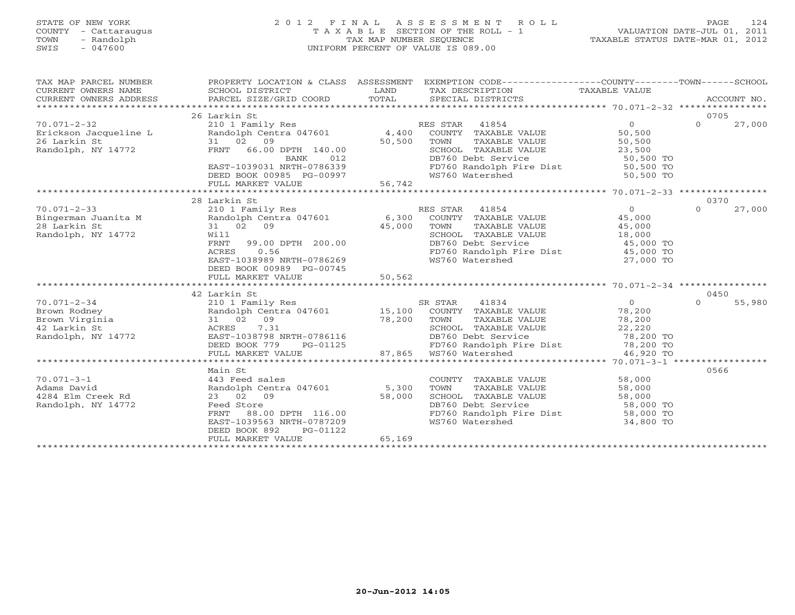# STATE OF NEW YORK 2 0 1 2 F I N A L A S S E S S M E N T R O L L PAGE 124 COUNTY - Cattaraugus T A X A B L E SECTION OF THE ROLL - 1 VALUATION DATE-JUL 01, 2011 TOWN - Randolph TAX MAP NUMBER SEQUENCE TAXABLE STATUS DATE-MAR 01, 2012 SWIS - 047600 UNIFORM PERCENT OF VALUE IS 089.00

| TAX MAP PARCEL NUMBER<br>CURRENT OWNERS NAME<br>CURRENT OWNERS ADDRESS | PROPERTY LOCATION & CLASS ASSESSMENT<br>SCHOOL DISTRICT<br>PARCEL SIZE/GRID COORD | LAND<br>TOTAL | EXEMPTION CODE-----------------COUNTY-------TOWN------SCHOOL<br>TAX DESCRIPTION<br>SPECIAL DISTRICTS | TAXABLE VALUE  |          | ACCOUNT NO. |
|------------------------------------------------------------------------|-----------------------------------------------------------------------------------|---------------|------------------------------------------------------------------------------------------------------|----------------|----------|-------------|
|                                                                        | 26 Larkin St                                                                      |               |                                                                                                      |                | 0705     |             |
| $70.071 - 2 - 32$                                                      | 210 1 Family Res                                                                  |               | RES STAR 41854                                                                                       | $\Omega$       | $\Omega$ | 27,000      |
| Erickson Jacqueline L                                                  | Randolph Centra 047601                                                            | 4,400         | COUNTY TAXABLE VALUE                                                                                 | 50,500         |          |             |
| 26 Larkin St                                                           | 31 02<br>09                                                                       | 50,500        | TOWN<br>TAXABLE VALUE                                                                                | 50,500         |          |             |
| Randolph, NY 14772                                                     | FRNT<br>66.00 DPTH 140.00                                                         |               | SCHOOL TAXABLE VALUE                                                                                 | 23,500         |          |             |
|                                                                        | 012<br>BANK                                                                       |               | DB760 Debt Service                                                                                   | 50,500 TO      |          |             |
|                                                                        | EAST-1039031 NRTH-0786339                                                         |               | FD760 Randolph Fire Dist 50,500 TO                                                                   |                |          |             |
|                                                                        | DEED BOOK 00985 PG-00997                                                          |               | WS760 Watershed                                                                                      | 50,500 TO      |          |             |
|                                                                        | FULL MARKET VALUE                                                                 | 56,742        |                                                                                                      |                |          |             |
|                                                                        |                                                                                   |               |                                                                                                      |                |          |             |
|                                                                        | 28 Larkin St                                                                      |               |                                                                                                      |                | 0370     |             |
| $70.071 - 2 - 33$                                                      | 210 1 Family Res                                                                  |               | RES STAR<br>41854                                                                                    | $\overline{0}$ | $\Omega$ | 27,000      |
| Bingerman Juanita M                                                    | Randolph Centra 047601                                                            | 6,300         | COUNTY TAXABLE VALUE                                                                                 | 45,000         |          |             |
| 28 Larkin St                                                           | 31 02 09                                                                          | 45,000        | TOWN<br>TAXABLE VALUE                                                                                | 45,000         |          |             |
| Randolph, NY 14772                                                     | Will                                                                              |               | SCHOOL TAXABLE VALUE                                                                                 | 18,000         |          |             |
|                                                                        | FRNT<br>99.00 DPTH 200.00                                                         |               | DB760 Debt Service                                                                                   | 45,000 TO      |          |             |
|                                                                        | 0.56<br>ACRES                                                                     |               | FD760 Randolph Fire Dist 45,000 TO                                                                   |                |          |             |
|                                                                        | EAST-1038989 NRTH-0786269<br>DEED BOOK 00989 PG-00745                             |               | WS760 Watershed                                                                                      | 27,000 TO      |          |             |
|                                                                        | FULL MARKET VALUE                                                                 | 50,562        |                                                                                                      |                |          |             |
|                                                                        |                                                                                   |               |                                                                                                      |                |          |             |
|                                                                        | 42 Larkin St                                                                      |               |                                                                                                      |                | 0450     |             |
| $70.071 - 2 - 34$                                                      | 210 1 Family Res                                                                  |               | 41834<br>SR STAR                                                                                     | $\circ$        | $\Omega$ | 55,980      |
| Brown Rodney                                                           | Randolph Centra 047601 15,100                                                     |               | COUNTY TAXABLE VALUE                                                                                 | 78,200         |          |             |
| Brown Virginia                                                         | 31 02 09                                                                          | 78,200        | TOWN<br>TAXABLE VALUE                                                                                | 78,200         |          |             |
| 42 Larkin St                                                           | 7.31<br>ACRES                                                                     |               | SCHOOL TAXABLE VALUE                                                                                 | 22,220         |          |             |
| Randolph, NY 14772                                                     | EAST-1038798 NRTH-0786116                                                         |               | DB760 Debt Service                                                                                   | 78,200 TO      |          |             |
|                                                                        | DEED BOOK 779<br>PG-01125                                                         |               | FD760 Randolph Fire Dist 78,200 TO                                                                   |                |          |             |
|                                                                        | FULL MARKET VALUE                                                                 | 87,865        | WS760 Watershed                                                                                      | 46,920 TO      |          |             |
|                                                                        |                                                                                   |               |                                                                                                      |                |          |             |
|                                                                        | Main St                                                                           |               |                                                                                                      |                | 0566     |             |
| $70.071 - 3 - 1$                                                       | 443 Feed sales                                                                    |               | COUNTY TAXABLE VALUE                                                                                 | 58,000         |          |             |
| Adams David                                                            | Randolph Centra 047601                                                            | 5,300         | TOWN<br>TAXABLE VALUE                                                                                | 58,000         |          |             |
| 4284 Elm Creek Rd                                                      | 23 02 09                                                                          | 58,000        | SCHOOL TAXABLE VALUE                                                                                 | 58,000         |          |             |
| Randolph, NY 14772                                                     | Feed Store                                                                        |               | DB760 Debt Service                                                                                   | 58,000 TO      |          |             |
|                                                                        | 88.00 DPTH 116.00<br>FRNT                                                         |               | FD760 Randolph Fire Dist                                                                             | 58,000 TO      |          |             |
|                                                                        | EAST-1039563 NRTH-0787209<br>DEED BOOK 892<br>PG-01122                            |               | WS760 Watershed                                                                                      | 34,800 TO      |          |             |
|                                                                        | FULL MARKET VALUE                                                                 | 65,169        |                                                                                                      |                |          |             |
|                                                                        |                                                                                   |               |                                                                                                      |                |          |             |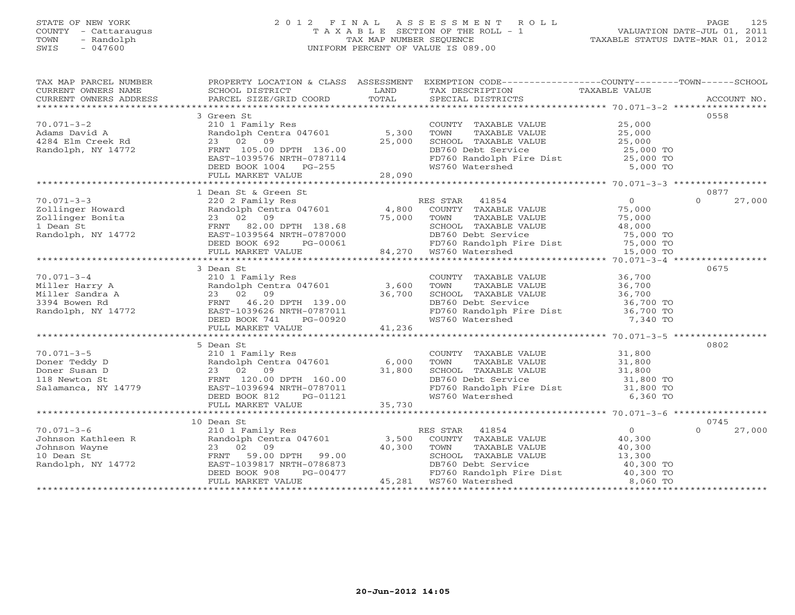### STATE OF NEW YORK 2 0 1 2 F I N A L A S S E S S M E N T R O L L PAGE 125COUNTY - Cattaraugus T A X A B L E SECTION OF THE ROLL - 1<br>
TOWN - Randolph TAX MAP NUMBER SEQUENCE<br>
SWIS - 047600 SWIS - 047600 UNIFORM PERCENT OF VALUE IS 089.00

| 0558<br>3 Green St<br>COUNTY TAXABLE VALUE<br>$70.071 - 3 - 2$<br>210 1 Family Res<br>25,000<br>Randolph Centra 047601 5,300<br>TAXABLE VALUE<br>TAXABLE VALUE 25,000<br>TAXABLE VALUE 25,000<br>Adams David A<br>4284 Elm Creek Rd<br>Randolph, NY 14772<br>TOWN<br>23 02 09<br>25,000<br>SCHOOL TAXABLE VALUE<br>DB760 Debt Service<br>FRNT 105.00 DPTH 136.00<br>25,000 TO<br>FD760 Randolph Fire Dist 25,000 TO<br>WS760 Watershed 5,000 TO<br>EAST-1039576 NRTH-0787114<br>DEED BOOK 1004 PG-255<br>FULL MARKET VALUE 28,090<br>0877<br>1 Dean St & Green St<br>Dean St & Green St<br>220 2 Family Res<br>Randolph Centra 047601 (4,800 COUNTY TAXABLE VALUE 75,000 75,000 76,000 76,000 76,000 75,000 75,000 75,000 75,000<br>27,000<br>$70.071 - 3 - 3$<br>$\Omega$ |
|----------------------------------------------------------------------------------------------------------------------------------------------------------------------------------------------------------------------------------------------------------------------------------------------------------------------------------------------------------------------------------------------------------------------------------------------------------------------------------------------------------------------------------------------------------------------------------------------------------------------------------------------------------------------------------------------------------------------------------------------------------------------------|
|                                                                                                                                                                                                                                                                                                                                                                                                                                                                                                                                                                                                                                                                                                                                                                            |
|                                                                                                                                                                                                                                                                                                                                                                                                                                                                                                                                                                                                                                                                                                                                                                            |
|                                                                                                                                                                                                                                                                                                                                                                                                                                                                                                                                                                                                                                                                                                                                                                            |
|                                                                                                                                                                                                                                                                                                                                                                                                                                                                                                                                                                                                                                                                                                                                                                            |
|                                                                                                                                                                                                                                                                                                                                                                                                                                                                                                                                                                                                                                                                                                                                                                            |
|                                                                                                                                                                                                                                                                                                                                                                                                                                                                                                                                                                                                                                                                                                                                                                            |
|                                                                                                                                                                                                                                                                                                                                                                                                                                                                                                                                                                                                                                                                                                                                                                            |
|                                                                                                                                                                                                                                                                                                                                                                                                                                                                                                                                                                                                                                                                                                                                                                            |
|                                                                                                                                                                                                                                                                                                                                                                                                                                                                                                                                                                                                                                                                                                                                                                            |
|                                                                                                                                                                                                                                                                                                                                                                                                                                                                                                                                                                                                                                                                                                                                                                            |
|                                                                                                                                                                                                                                                                                                                                                                                                                                                                                                                                                                                                                                                                                                                                                                            |
|                                                                                                                                                                                                                                                                                                                                                                                                                                                                                                                                                                                                                                                                                                                                                                            |
|                                                                                                                                                                                                                                                                                                                                                                                                                                                                                                                                                                                                                                                                                                                                                                            |
|                                                                                                                                                                                                                                                                                                                                                                                                                                                                                                                                                                                                                                                                                                                                                                            |
|                                                                                                                                                                                                                                                                                                                                                                                                                                                                                                                                                                                                                                                                                                                                                                            |
|                                                                                                                                                                                                                                                                                                                                                                                                                                                                                                                                                                                                                                                                                                                                                                            |
| DEED BOOK 692<br>PG-00061                                                                                                                                                                                                                                                                                                                                                                                                                                                                                                                                                                                                                                                                                                                                                  |
| SCHOOL TAXABLE VALUE 48,000<br>DB760 Debt Service 48,000<br>FD760 Randolph Fire Dist 75,000 TO<br>WS760 Watershed 15,000 TO<br>138.68 SCHOOL TAXABLE<br>787000 DB760 Debt Servi<br>64,270 WS760 Randolph F 84,270 WS760 Watershed<br>FULL MARKET VALUE                                                                                                                                                                                                                                                                                                                                                                                                                                                                                                                     |
|                                                                                                                                                                                                                                                                                                                                                                                                                                                                                                                                                                                                                                                                                                                                                                            |
| 0675<br>3 Dean St                                                                                                                                                                                                                                                                                                                                                                                                                                                                                                                                                                                                                                                                                                                                                          |
| COUNTY TAXABLE VALUE 36,700                                                                                                                                                                                                                                                                                                                                                                                                                                                                                                                                                                                                                                                                                                                                                |
| TOWN TAXABLE VALUE 36,700<br>SCHOOL TAXABLE VALUE 36,700<br>DB760 Debt Service 36,700 TO<br>FD760 Randolph Fire Dist 36,700 TO                                                                                                                                                                                                                                                                                                                                                                                                                                                                                                                                                                                                                                             |
|                                                                                                                                                                                                                                                                                                                                                                                                                                                                                                                                                                                                                                                                                                                                                                            |
|                                                                                                                                                                                                                                                                                                                                                                                                                                                                                                                                                                                                                                                                                                                                                                            |
|                                                                                                                                                                                                                                                                                                                                                                                                                                                                                                                                                                                                                                                                                                                                                                            |
| WS760 Watershed<br>7,340 TO                                                                                                                                                                                                                                                                                                                                                                                                                                                                                                                                                                                                                                                                                                                                                |
|                                                                                                                                                                                                                                                                                                                                                                                                                                                                                                                                                                                                                                                                                                                                                                            |
|                                                                                                                                                                                                                                                                                                                                                                                                                                                                                                                                                                                                                                                                                                                                                                            |
| 5 Dean St<br>0802                                                                                                                                                                                                                                                                                                                                                                                                                                                                                                                                                                                                                                                                                                                                                          |
|                                                                                                                                                                                                                                                                                                                                                                                                                                                                                                                                                                                                                                                                                                                                                                            |
|                                                                                                                                                                                                                                                                                                                                                                                                                                                                                                                                                                                                                                                                                                                                                                            |
|                                                                                                                                                                                                                                                                                                                                                                                                                                                                                                                                                                                                                                                                                                                                                                            |
|                                                                                                                                                                                                                                                                                                                                                                                                                                                                                                                                                                                                                                                                                                                                                                            |
|                                                                                                                                                                                                                                                                                                                                                                                                                                                                                                                                                                                                                                                                                                                                                                            |
| COUNTY TAXABLE VALUE 31,800<br>TOWN TAXABLE VALUE 31,800<br>SCHOOL TAXABLE VALUE 31,800<br>DB760 Debt Service 31,800<br>FD760 Randolph Fire Dist 31,800 TO<br>WS760 Watershed 6,360 TO                                                                                                                                                                                                                                                                                                                                                                                                                                                                                                                                                                                     |
| 70.071-3-5<br>Doner Teddy D<br>Doner Susan D<br>118 Newton St<br>Salamanca, NY 14779<br>Salamanca D<br>23 02 09<br>FRNT 120.00 DPTH 160.00<br>FRNT 120.00 DPTH 160.00<br>EAST-1039694 NRTH-0787011<br>DEED BOOK 812 PG-01121<br>FULL MARKET VALUE<br>F                                                                                                                                                                                                                                                                                                                                                                                                                                                                                                                     |
|                                                                                                                                                                                                                                                                                                                                                                                                                                                                                                                                                                                                                                                                                                                                                                            |
| 10 Dean St<br>0745                                                                                                                                                                                                                                                                                                                                                                                                                                                                                                                                                                                                                                                                                                                                                         |
| $\overline{0}$<br>$\Omega$<br>27,000<br>RES STAR 41854                                                                                                                                                                                                                                                                                                                                                                                                                                                                                                                                                                                                                                                                                                                     |
| 70.071-3-6<br>Johnson Kathleen R<br>Johnson Wayne<br>10 Dean St<br>Randolph, NY 14772<br>Randolph, NY 14772<br>PENT 59.00 DPTH 99.00<br>EAST-1039817 NRTH-0786873<br>COUNTY TAXABLE VALUE 40,300                                                                                                                                                                                                                                                                                                                                                                                                                                                                                                                                                                           |
| TOWN<br>TAXABLE VALUE<br>40,300                                                                                                                                                                                                                                                                                                                                                                                                                                                                                                                                                                                                                                                                                                                                            |
|                                                                                                                                                                                                                                                                                                                                                                                                                                                                                                                                                                                                                                                                                                                                                                            |
|                                                                                                                                                                                                                                                                                                                                                                                                                                                                                                                                                                                                                                                                                                                                                                            |
| TOWN TAXABLE VALUE<br>SCHOOL TAXABLE VALUE 13,300<br>DB760 Debt Service 40,300 TO<br>FD760 Randolph Fire Dist 40,300 TO                                                                                                                                                                                                                                                                                                                                                                                                                                                                                                                                                                                                                                                    |
| 23 02 09<br>FRNT 59.00 DPTH 99.00<br>EAST-1039817 NRTH-0786873 DB760 Debt Servi<br>DEED BOOK 908 PG-00477 PD760 Randolph F<br>FIILL MARKET VALUE 45,281 NST60 Watershed<br>8,060 TO                                                                                                                                                                                                                                                                                                                                                                                                                                                                                                                                                                                        |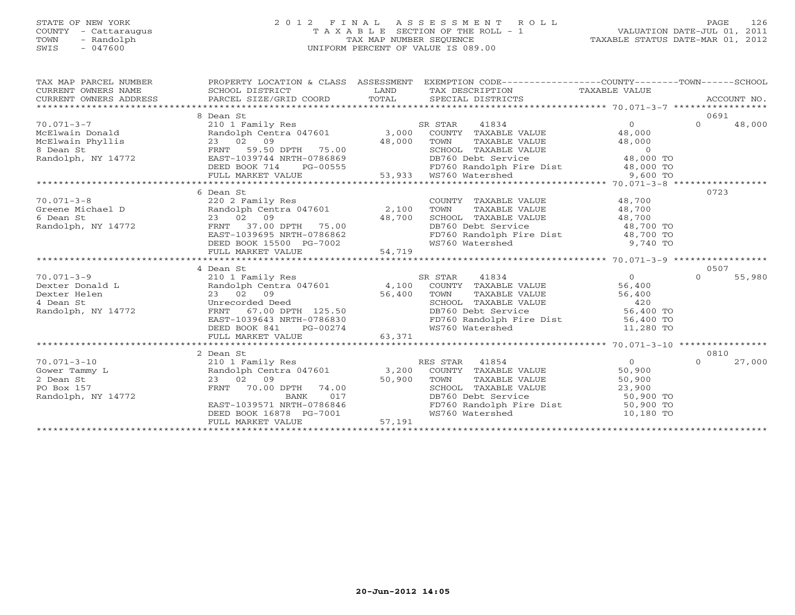#### STATE OF NEW YORK 2 0 1 2 F I N A L A S S E S S M E N T R O L L PAGE 126 COUNTY - Cattaraugus T A X A B L E SECTION OF THE ROLL - 1 VALUATION DATE-JUL 01, 2011 TOWN - Randolph TAX MAP NUMBER SEQUENCE TAXABLE STATUS DATE-MAR 01, 2012 SWIS - 047600 UNIFORM PERCENT OF VALUE IS 089.00UNIFORM PERCENT OF VALUE IS 089.00

| 8 Dean St<br>0691<br>$\frac{1}{2} \frac{1}{2} \frac{1}{2} \frac{1}{2} \frac{1}{2} \frac{1}{2} \frac{1}{2} \frac{1}{2} \frac{1}{2} \frac{1}{2} \frac{1}{2} \frac{1}{2} \frac{1}{2} \frac{1}{2} \frac{1}{2} \frac{1}{2} \frac{1}{2} \frac{1}{2} \frac{1}{2} \frac{1}{2} \frac{1}{2} \frac{1}{2} \frac{1}{2} \frac{1}{2} \frac{1}{2} \frac{1}{2} \frac{1}{2} \frac{1}{2} \frac{1}{2} \frac{1}{2} \frac{1}{2} \frac{$<br>$\Omega$<br>$\Omega$<br>48,000<br>210 1 Family Res<br>SR STAR<br>41834<br>48,000<br>TOWN TAXABLE VALUE 48,000<br>SCHOOL TAXABLE VALUE 0<br>DB760 Debt Service 48,000 TO<br>0723<br>6 Dean St<br>COUNTY TAXABLE VALUE 48,700<br>220 2 Family Res<br>Greene Michael D Randolph Centra 047601 2,100<br>6 Dean St 23 02 09 48,700<br>Randolph, NY 14772 FRNT 37.00 DPTH 75.00<br>TOWN<br>TAXABLE VALUE<br>48,700<br>CHOOL TAXABLE VALUE<br>DB760 Debt Service<br>PD760 Randolph Fire Dist<br>WS760 Watershed<br>PD760 Watershed<br>PD760 Watershed<br>PD760 Watershed<br>PD760 Watershed<br>PD760 Watershed<br>PD760 Watershed<br>PD760 Watershed<br>PD760 Watershed<br>PD<br>4 Dean St<br>0507<br>$70.071 - 3 - 9$<br>SR STAR<br>41834<br>$\Omega$<br>$\Omega$<br>55,980<br>210 1 Family Res<br>Dexter Donald L                 Randolph Centra 047601         4,100 COUNTY TAXABLE VALUE<br>56,400<br>23 02 09<br>Unrecorded Deed<br>FRNT 67.00 DPTH 125.50<br>SG,400 TOWN<br>DB760 De<br>TOWN TAXABLE VALUE 56,400<br>SCHOOL TAXABLE VALUE 420<br>DB760 Debt Service 56,400 TO<br>Dexter Helen<br>4 Dean St<br>Randolph, NY 14772<br>DB760 Debt Service<br>EAST-1039643 NRTH-0786830<br>FD760 Randolph Fire Dist 56,400 TO<br>WS760 Watershed 11,280 TO<br>DEED BOOK 841 PG-00274<br>FULL MARKET VALUE 63,371<br>2 Dean St<br>0810<br>RES STAR 41854<br>27,000<br>210 1 Family Res<br>$\overline{O}$<br>$\Omega$<br>L<br>Randolph Centra 047601 3,200 COUNTY TAXABLE VALUE<br>23 02 09 50,900 TOWN TAXABLE VALUE<br>FRNT 70.00 DPTH 74.00 50,900 TOWN TAXABLE VALUE<br>BANK 017 DR760 Debt Service<br>50,900<br>$23$ 02 09 50,900<br>FRNT 70.00 DPTH 74.00 50,900<br>2 Dean St<br>TOWN TAXABLE VALUE 50,900<br>SCHOOL TAXABLE VALUE 23,900<br>DB760 Debt Service 50,900 TO<br>FD760 Randolph Fire Dist 50,900 TO<br>PO Box 157<br>EAST-1039571 NRTH-0786846<br>DEED BOOK 16878 PG-7001<br>PEED BOOK 16878 PG-7001<br>PHIT MARKET VALUE<br>WS760 Watershed<br>10,180 TO | TAX MAP PARCEL NUMBER<br>$\begin{tabular}{lllllll} \multicolumn{2}{c}{\textbf{CURRENT}} & \multicolumn{2}{c}{\textbf{WNERS}} & \multicolumn{2}{c}{\textbf{NAME}} & \multicolumn{2}{c}{\textbf{SCHODL}} & \multicolumn{2}{c}{\textbf{TAX} BESCRIPTION} & \multicolumn{2}{c}{\textbf{TAX} BESCRIPTION} & \multicolumn{2}{c}{\textbf{TAX} BLE} & \multicolumn{2}{c}{\textbf{NALUE}} & \multicolumn{2}{c}{\textbf{CURRENT}} & \multicolumn{2}{c}{\textbf{NACCOUNT NO}} \\ & & & & & & & & \\ \$ |  | PROPERTY LOCATION & CLASS ASSESSMENT EXEMPTION CODE----------------COUNTY-------TOWN------SCHOOL |  | ACCOUNT NO. |
|--------------------------------------------------------------------------------------------------------------------------------------------------------------------------------------------------------------------------------------------------------------------------------------------------------------------------------------------------------------------------------------------------------------------------------------------------------------------------------------------------------------------------------------------------------------------------------------------------------------------------------------------------------------------------------------------------------------------------------------------------------------------------------------------------------------------------------------------------------------------------------------------------------------------------------------------------------------------------------------------------------------------------------------------------------------------------------------------------------------------------------------------------------------------------------------------------------------------------------------------------------------------------------------------------------------------------------------------------------------------------------------------------------------------------------------------------------------------------------------------------------------------------------------------------------------------------------------------------------------------------------------------------------------------------------------------------------------------------------------------------------------------------------------------------------------------------------------------------------------------------------------------------------------------------------------------------------------------------------------------------------------------------------------------------------------------------------------------------------------------------------------------------------------------------------------------------------------------------------------------------------------------------------------------------------------------------------------------------------------------------------------------|---------------------------------------------------------------------------------------------------------------------------------------------------------------------------------------------------------------------------------------------------------------------------------------------------------------------------------------------------------------------------------------------------------------------------------------------------------------------------------------------|--|--------------------------------------------------------------------------------------------------|--|-------------|
|                                                                                                                                                                                                                                                                                                                                                                                                                                                                                                                                                                                                                                                                                                                                                                                                                                                                                                                                                                                                                                                                                                                                                                                                                                                                                                                                                                                                                                                                                                                                                                                                                                                                                                                                                                                                                                                                                                                                                                                                                                                                                                                                                                                                                                                                                                                                                                                            |                                                                                                                                                                                                                                                                                                                                                                                                                                                                                             |  |                                                                                                  |  |             |
|                                                                                                                                                                                                                                                                                                                                                                                                                                                                                                                                                                                                                                                                                                                                                                                                                                                                                                                                                                                                                                                                                                                                                                                                                                                                                                                                                                                                                                                                                                                                                                                                                                                                                                                                                                                                                                                                                                                                                                                                                                                                                                                                                                                                                                                                                                                                                                                            | $70.071 - 3 - 7$                                                                                                                                                                                                                                                                                                                                                                                                                                                                            |  |                                                                                                  |  |             |
|                                                                                                                                                                                                                                                                                                                                                                                                                                                                                                                                                                                                                                                                                                                                                                                                                                                                                                                                                                                                                                                                                                                                                                                                                                                                                                                                                                                                                                                                                                                                                                                                                                                                                                                                                                                                                                                                                                                                                                                                                                                                                                                                                                                                                                                                                                                                                                                            |                                                                                                                                                                                                                                                                                                                                                                                                                                                                                             |  |                                                                                                  |  |             |
|                                                                                                                                                                                                                                                                                                                                                                                                                                                                                                                                                                                                                                                                                                                                                                                                                                                                                                                                                                                                                                                                                                                                                                                                                                                                                                                                                                                                                                                                                                                                                                                                                                                                                                                                                                                                                                                                                                                                                                                                                                                                                                                                                                                                                                                                                                                                                                                            |                                                                                                                                                                                                                                                                                                                                                                                                                                                                                             |  |                                                                                                  |  |             |
|                                                                                                                                                                                                                                                                                                                                                                                                                                                                                                                                                                                                                                                                                                                                                                                                                                                                                                                                                                                                                                                                                                                                                                                                                                                                                                                                                                                                                                                                                                                                                                                                                                                                                                                                                                                                                                                                                                                                                                                                                                                                                                                                                                                                                                                                                                                                                                                            |                                                                                                                                                                                                                                                                                                                                                                                                                                                                                             |  |                                                                                                  |  |             |
|                                                                                                                                                                                                                                                                                                                                                                                                                                                                                                                                                                                                                                                                                                                                                                                                                                                                                                                                                                                                                                                                                                                                                                                                                                                                                                                                                                                                                                                                                                                                                                                                                                                                                                                                                                                                                                                                                                                                                                                                                                                                                                                                                                                                                                                                                                                                                                                            |                                                                                                                                                                                                                                                                                                                                                                                                                                                                                             |  |                                                                                                  |  |             |
|                                                                                                                                                                                                                                                                                                                                                                                                                                                                                                                                                                                                                                                                                                                                                                                                                                                                                                                                                                                                                                                                                                                                                                                                                                                                                                                                                                                                                                                                                                                                                                                                                                                                                                                                                                                                                                                                                                                                                                                                                                                                                                                                                                                                                                                                                                                                                                                            |                                                                                                                                                                                                                                                                                                                                                                                                                                                                                             |  |                                                                                                  |  |             |
|                                                                                                                                                                                                                                                                                                                                                                                                                                                                                                                                                                                                                                                                                                                                                                                                                                                                                                                                                                                                                                                                                                                                                                                                                                                                                                                                                                                                                                                                                                                                                                                                                                                                                                                                                                                                                                                                                                                                                                                                                                                                                                                                                                                                                                                                                                                                                                                            |                                                                                                                                                                                                                                                                                                                                                                                                                                                                                             |  |                                                                                                  |  |             |
|                                                                                                                                                                                                                                                                                                                                                                                                                                                                                                                                                                                                                                                                                                                                                                                                                                                                                                                                                                                                                                                                                                                                                                                                                                                                                                                                                                                                                                                                                                                                                                                                                                                                                                                                                                                                                                                                                                                                                                                                                                                                                                                                                                                                                                                                                                                                                                                            |                                                                                                                                                                                                                                                                                                                                                                                                                                                                                             |  |                                                                                                  |  |             |
|                                                                                                                                                                                                                                                                                                                                                                                                                                                                                                                                                                                                                                                                                                                                                                                                                                                                                                                                                                                                                                                                                                                                                                                                                                                                                                                                                                                                                                                                                                                                                                                                                                                                                                                                                                                                                                                                                                                                                                                                                                                                                                                                                                                                                                                                                                                                                                                            | $70.071 - 3 - 8$                                                                                                                                                                                                                                                                                                                                                                                                                                                                            |  |                                                                                                  |  |             |
|                                                                                                                                                                                                                                                                                                                                                                                                                                                                                                                                                                                                                                                                                                                                                                                                                                                                                                                                                                                                                                                                                                                                                                                                                                                                                                                                                                                                                                                                                                                                                                                                                                                                                                                                                                                                                                                                                                                                                                                                                                                                                                                                                                                                                                                                                                                                                                                            |                                                                                                                                                                                                                                                                                                                                                                                                                                                                                             |  |                                                                                                  |  |             |
|                                                                                                                                                                                                                                                                                                                                                                                                                                                                                                                                                                                                                                                                                                                                                                                                                                                                                                                                                                                                                                                                                                                                                                                                                                                                                                                                                                                                                                                                                                                                                                                                                                                                                                                                                                                                                                                                                                                                                                                                                                                                                                                                                                                                                                                                                                                                                                                            |                                                                                                                                                                                                                                                                                                                                                                                                                                                                                             |  |                                                                                                  |  |             |
|                                                                                                                                                                                                                                                                                                                                                                                                                                                                                                                                                                                                                                                                                                                                                                                                                                                                                                                                                                                                                                                                                                                                                                                                                                                                                                                                                                                                                                                                                                                                                                                                                                                                                                                                                                                                                                                                                                                                                                                                                                                                                                                                                                                                                                                                                                                                                                                            |                                                                                                                                                                                                                                                                                                                                                                                                                                                                                             |  |                                                                                                  |  |             |
|                                                                                                                                                                                                                                                                                                                                                                                                                                                                                                                                                                                                                                                                                                                                                                                                                                                                                                                                                                                                                                                                                                                                                                                                                                                                                                                                                                                                                                                                                                                                                                                                                                                                                                                                                                                                                                                                                                                                                                                                                                                                                                                                                                                                                                                                                                                                                                                            |                                                                                                                                                                                                                                                                                                                                                                                                                                                                                             |  |                                                                                                  |  |             |
|                                                                                                                                                                                                                                                                                                                                                                                                                                                                                                                                                                                                                                                                                                                                                                                                                                                                                                                                                                                                                                                                                                                                                                                                                                                                                                                                                                                                                                                                                                                                                                                                                                                                                                                                                                                                                                                                                                                                                                                                                                                                                                                                                                                                                                                                                                                                                                                            |                                                                                                                                                                                                                                                                                                                                                                                                                                                                                             |  |                                                                                                  |  |             |
|                                                                                                                                                                                                                                                                                                                                                                                                                                                                                                                                                                                                                                                                                                                                                                                                                                                                                                                                                                                                                                                                                                                                                                                                                                                                                                                                                                                                                                                                                                                                                                                                                                                                                                                                                                                                                                                                                                                                                                                                                                                                                                                                                                                                                                                                                                                                                                                            |                                                                                                                                                                                                                                                                                                                                                                                                                                                                                             |  |                                                                                                  |  |             |
|                                                                                                                                                                                                                                                                                                                                                                                                                                                                                                                                                                                                                                                                                                                                                                                                                                                                                                                                                                                                                                                                                                                                                                                                                                                                                                                                                                                                                                                                                                                                                                                                                                                                                                                                                                                                                                                                                                                                                                                                                                                                                                                                                                                                                                                                                                                                                                                            |                                                                                                                                                                                                                                                                                                                                                                                                                                                                                             |  |                                                                                                  |  |             |
|                                                                                                                                                                                                                                                                                                                                                                                                                                                                                                                                                                                                                                                                                                                                                                                                                                                                                                                                                                                                                                                                                                                                                                                                                                                                                                                                                                                                                                                                                                                                                                                                                                                                                                                                                                                                                                                                                                                                                                                                                                                                                                                                                                                                                                                                                                                                                                                            |                                                                                                                                                                                                                                                                                                                                                                                                                                                                                             |  |                                                                                                  |  |             |
|                                                                                                                                                                                                                                                                                                                                                                                                                                                                                                                                                                                                                                                                                                                                                                                                                                                                                                                                                                                                                                                                                                                                                                                                                                                                                                                                                                                                                                                                                                                                                                                                                                                                                                                                                                                                                                                                                                                                                                                                                                                                                                                                                                                                                                                                                                                                                                                            |                                                                                                                                                                                                                                                                                                                                                                                                                                                                                             |  |                                                                                                  |  |             |
|                                                                                                                                                                                                                                                                                                                                                                                                                                                                                                                                                                                                                                                                                                                                                                                                                                                                                                                                                                                                                                                                                                                                                                                                                                                                                                                                                                                                                                                                                                                                                                                                                                                                                                                                                                                                                                                                                                                                                                                                                                                                                                                                                                                                                                                                                                                                                                                            |                                                                                                                                                                                                                                                                                                                                                                                                                                                                                             |  |                                                                                                  |  |             |
|                                                                                                                                                                                                                                                                                                                                                                                                                                                                                                                                                                                                                                                                                                                                                                                                                                                                                                                                                                                                                                                                                                                                                                                                                                                                                                                                                                                                                                                                                                                                                                                                                                                                                                                                                                                                                                                                                                                                                                                                                                                                                                                                                                                                                                                                                                                                                                                            |                                                                                                                                                                                                                                                                                                                                                                                                                                                                                             |  |                                                                                                  |  |             |
|                                                                                                                                                                                                                                                                                                                                                                                                                                                                                                                                                                                                                                                                                                                                                                                                                                                                                                                                                                                                                                                                                                                                                                                                                                                                                                                                                                                                                                                                                                                                                                                                                                                                                                                                                                                                                                                                                                                                                                                                                                                                                                                                                                                                                                                                                                                                                                                            |                                                                                                                                                                                                                                                                                                                                                                                                                                                                                             |  |                                                                                                  |  |             |
|                                                                                                                                                                                                                                                                                                                                                                                                                                                                                                                                                                                                                                                                                                                                                                                                                                                                                                                                                                                                                                                                                                                                                                                                                                                                                                                                                                                                                                                                                                                                                                                                                                                                                                                                                                                                                                                                                                                                                                                                                                                                                                                                                                                                                                                                                                                                                                                            |                                                                                                                                                                                                                                                                                                                                                                                                                                                                                             |  |                                                                                                  |  |             |
|                                                                                                                                                                                                                                                                                                                                                                                                                                                                                                                                                                                                                                                                                                                                                                                                                                                                                                                                                                                                                                                                                                                                                                                                                                                                                                                                                                                                                                                                                                                                                                                                                                                                                                                                                                                                                                                                                                                                                                                                                                                                                                                                                                                                                                                                                                                                                                                            |                                                                                                                                                                                                                                                                                                                                                                                                                                                                                             |  |                                                                                                  |  |             |
|                                                                                                                                                                                                                                                                                                                                                                                                                                                                                                                                                                                                                                                                                                                                                                                                                                                                                                                                                                                                                                                                                                                                                                                                                                                                                                                                                                                                                                                                                                                                                                                                                                                                                                                                                                                                                                                                                                                                                                                                                                                                                                                                                                                                                                                                                                                                                                                            |                                                                                                                                                                                                                                                                                                                                                                                                                                                                                             |  |                                                                                                  |  |             |
|                                                                                                                                                                                                                                                                                                                                                                                                                                                                                                                                                                                                                                                                                                                                                                                                                                                                                                                                                                                                                                                                                                                                                                                                                                                                                                                                                                                                                                                                                                                                                                                                                                                                                                                                                                                                                                                                                                                                                                                                                                                                                                                                                                                                                                                                                                                                                                                            |                                                                                                                                                                                                                                                                                                                                                                                                                                                                                             |  |                                                                                                  |  |             |
|                                                                                                                                                                                                                                                                                                                                                                                                                                                                                                                                                                                                                                                                                                                                                                                                                                                                                                                                                                                                                                                                                                                                                                                                                                                                                                                                                                                                                                                                                                                                                                                                                                                                                                                                                                                                                                                                                                                                                                                                                                                                                                                                                                                                                                                                                                                                                                                            |                                                                                                                                                                                                                                                                                                                                                                                                                                                                                             |  |                                                                                                  |  |             |
|                                                                                                                                                                                                                                                                                                                                                                                                                                                                                                                                                                                                                                                                                                                                                                                                                                                                                                                                                                                                                                                                                                                                                                                                                                                                                                                                                                                                                                                                                                                                                                                                                                                                                                                                                                                                                                                                                                                                                                                                                                                                                                                                                                                                                                                                                                                                                                                            | $70.071 - 3 - 10$                                                                                                                                                                                                                                                                                                                                                                                                                                                                           |  |                                                                                                  |  |             |
|                                                                                                                                                                                                                                                                                                                                                                                                                                                                                                                                                                                                                                                                                                                                                                                                                                                                                                                                                                                                                                                                                                                                                                                                                                                                                                                                                                                                                                                                                                                                                                                                                                                                                                                                                                                                                                                                                                                                                                                                                                                                                                                                                                                                                                                                                                                                                                                            | Gower Tammy L                                                                                                                                                                                                                                                                                                                                                                                                                                                                               |  |                                                                                                  |  |             |
|                                                                                                                                                                                                                                                                                                                                                                                                                                                                                                                                                                                                                                                                                                                                                                                                                                                                                                                                                                                                                                                                                                                                                                                                                                                                                                                                                                                                                                                                                                                                                                                                                                                                                                                                                                                                                                                                                                                                                                                                                                                                                                                                                                                                                                                                                                                                                                                            |                                                                                                                                                                                                                                                                                                                                                                                                                                                                                             |  |                                                                                                  |  |             |
|                                                                                                                                                                                                                                                                                                                                                                                                                                                                                                                                                                                                                                                                                                                                                                                                                                                                                                                                                                                                                                                                                                                                                                                                                                                                                                                                                                                                                                                                                                                                                                                                                                                                                                                                                                                                                                                                                                                                                                                                                                                                                                                                                                                                                                                                                                                                                                                            |                                                                                                                                                                                                                                                                                                                                                                                                                                                                                             |  |                                                                                                  |  |             |
|                                                                                                                                                                                                                                                                                                                                                                                                                                                                                                                                                                                                                                                                                                                                                                                                                                                                                                                                                                                                                                                                                                                                                                                                                                                                                                                                                                                                                                                                                                                                                                                                                                                                                                                                                                                                                                                                                                                                                                                                                                                                                                                                                                                                                                                                                                                                                                                            | Randolph, NY 14772                                                                                                                                                                                                                                                                                                                                                                                                                                                                          |  |                                                                                                  |  |             |
|                                                                                                                                                                                                                                                                                                                                                                                                                                                                                                                                                                                                                                                                                                                                                                                                                                                                                                                                                                                                                                                                                                                                                                                                                                                                                                                                                                                                                                                                                                                                                                                                                                                                                                                                                                                                                                                                                                                                                                                                                                                                                                                                                                                                                                                                                                                                                                                            |                                                                                                                                                                                                                                                                                                                                                                                                                                                                                             |  |                                                                                                  |  |             |
|                                                                                                                                                                                                                                                                                                                                                                                                                                                                                                                                                                                                                                                                                                                                                                                                                                                                                                                                                                                                                                                                                                                                                                                                                                                                                                                                                                                                                                                                                                                                                                                                                                                                                                                                                                                                                                                                                                                                                                                                                                                                                                                                                                                                                                                                                                                                                                                            |                                                                                                                                                                                                                                                                                                                                                                                                                                                                                             |  |                                                                                                  |  |             |
|                                                                                                                                                                                                                                                                                                                                                                                                                                                                                                                                                                                                                                                                                                                                                                                                                                                                                                                                                                                                                                                                                                                                                                                                                                                                                                                                                                                                                                                                                                                                                                                                                                                                                                                                                                                                                                                                                                                                                                                                                                                                                                                                                                                                                                                                                                                                                                                            |                                                                                                                                                                                                                                                                                                                                                                                                                                                                                             |  |                                                                                                  |  |             |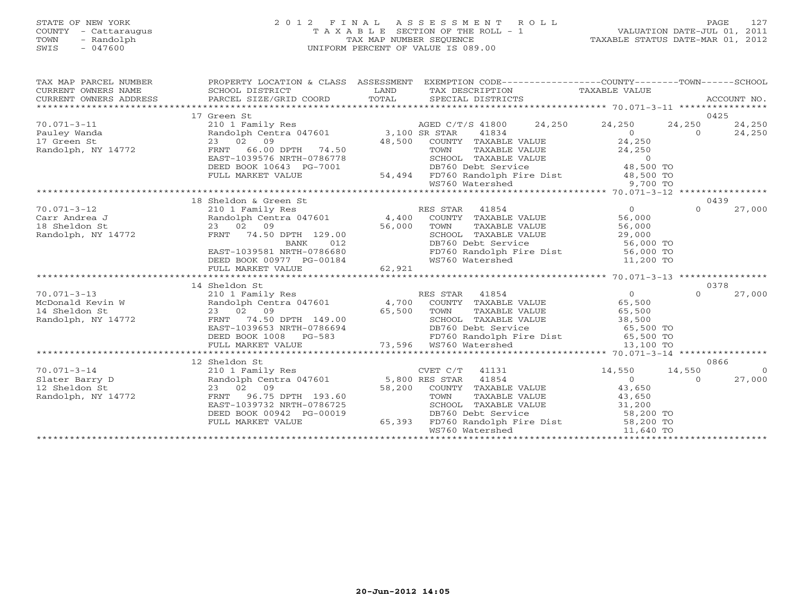#### STATE OF NEW YORK 2 0 1 2 F I N A L A S S E S S M E N T R O L L PAGE 127 COUNTY - Cattaraugus T A X A B L E SECTION OF THE ROLL - 1 VALUATION DATE-JUL 01, 2011 TOWN - Randolph TAX MAP NUMBER SEQUENCE TAXABLE STATUS DATE-MAR 01, 2012 SWIS - 047600 UNIFORM PERCENT OF VALUE IS 089.00UNIFORM PERCENT OF VALUE IS 089.00

| TAX MAP PARCEL NUMBER                                                                                                                                                                                                                    |                                                      | PROPERTY LOCATION & CLASS ASSESSMENT EXEMPTION CODE---------------COUNTY-------TOWN------SCHOOL                                                                                                                                                              |               |          |                |
|------------------------------------------------------------------------------------------------------------------------------------------------------------------------------------------------------------------------------------------|------------------------------------------------------|--------------------------------------------------------------------------------------------------------------------------------------------------------------------------------------------------------------------------------------------------------------|---------------|----------|----------------|
| CURRENT OWNERS NAME                                                                                                                                                                                                                      | SCHOOL DISTRICT                                      | LAND TAX DESCRIPTION TAXABLE VALUE                                                                                                                                                                                                                           |               |          |                |
| CURRENT OWNERS ADDRESS                                                                                                                                                                                                                   |                                                      |                                                                                                                                                                                                                                                              |               |          |                |
|                                                                                                                                                                                                                                          |                                                      |                                                                                                                                                                                                                                                              |               |          |                |
|                                                                                                                                                                                                                                          | 17 Green St                                          |                                                                                                                                                                                                                                                              |               | 0425     |                |
| $70.071 - 3 - 11$                                                                                                                                                                                                                        | 210 1 Family Res                                     | AGED C/T/S 41800 24,250 24,250 24,250                                                                                                                                                                                                                        |               |          | 24,250         |
|                                                                                                                                                                                                                                          |                                                      |                                                                                                                                                                                                                                                              |               |          | 24,250         |
|                                                                                                                                                                                                                                          |                                                      |                                                                                                                                                                                                                                                              |               |          |                |
| Pauley Wanda<br>17 Green St<br>17 Green St<br>23 02 09<br>23 02 09<br>23 02 09<br>23 02 09<br>23 02 09<br>23 02 09<br>23 02 09<br>23 02 09<br>248,500 COUNTY                                                                             |                                                      |                                                                                                                                                                                                                                                              |               |          |                |
|                                                                                                                                                                                                                                          |                                                      | 23 02 09<br>FRNT 66.00 DPTH 74.50<br>EAST-1039576 NRTH-0786778 54,494 FD760 Randolph Fire Dist<br>FULL MARKET VALUE<br>FULL MARKET VALUE<br>FULL MARKET VALUE<br>24,250<br>24,250<br>24,250<br>24,250<br>24,250<br>24,250<br>24,250<br>24,500<br>24,500<br>2 |               |          |                |
|                                                                                                                                                                                                                                          |                                                      |                                                                                                                                                                                                                                                              |               |          |                |
|                                                                                                                                                                                                                                          |                                                      |                                                                                                                                                                                                                                                              |               |          |                |
|                                                                                                                                                                                                                                          |                                                      |                                                                                                                                                                                                                                                              |               |          |                |
|                                                                                                                                                                                                                                          |                                                      |                                                                                                                                                                                                                                                              |               |          |                |
|                                                                                                                                                                                                                                          | 18 Sheldon & Green St                                |                                                                                                                                                                                                                                                              |               | 0439     |                |
|                                                                                                                                                                                                                                          |                                                      |                                                                                                                                                                                                                                                              |               | $\Omega$ | 27,000         |
|                                                                                                                                                                                                                                          |                                                      |                                                                                                                                                                                                                                                              |               |          |                |
|                                                                                                                                                                                                                                          |                                                      |                                                                                                                                                                                                                                                              |               |          |                |
|                                                                                                                                                                                                                                          |                                                      |                                                                                                                                                                                                                                                              |               |          |                |
|                                                                                                                                                                                                                                          |                                                      |                                                                                                                                                                                                                                                              |               |          |                |
|                                                                                                                                                                                                                                          |                                                      | SCHOOL TAXABLE VALUE<br>DB760 Debt Service<br>PD760 Randolph Fire Dist<br>WS760 Watershed<br>PD760 Watershed<br>PD760 Watershed<br>DI1,200 TO                                                                                                                |               |          |                |
|                                                                                                                                                                                                                                          | DEED BOOK 00977 PG-00184<br>FULL MARKET VALUE 62,921 |                                                                                                                                                                                                                                                              |               |          |                |
|                                                                                                                                                                                                                                          |                                                      |                                                                                                                                                                                                                                                              |               |          |                |
|                                                                                                                                                                                                                                          | 14 Sheldon St                                        |                                                                                                                                                                                                                                                              |               | 0378     |                |
| 14 SHOT CHE RES STAR 41854 0<br>McDonald Kevin W 14772 13<br>210 1 Family Res RES STAR 41854 0<br>23 02 09 65,500 TOWN TAXABLE VALUE 65,500<br>23 02 09 65,500 TOWN TAXABLE VALUE 65,500<br>Randolph, NY 14772 FRNT 74.50 DPTH 149.00 5C |                                                      |                                                                                                                                                                                                                                                              |               | $\Omega$ | 27,000         |
|                                                                                                                                                                                                                                          |                                                      |                                                                                                                                                                                                                                                              |               |          |                |
|                                                                                                                                                                                                                                          |                                                      |                                                                                                                                                                                                                                                              |               |          |                |
|                                                                                                                                                                                                                                          |                                                      |                                                                                                                                                                                                                                                              |               |          |                |
|                                                                                                                                                                                                                                          |                                                      |                                                                                                                                                                                                                                                              |               |          |                |
|                                                                                                                                                                                                                                          |                                                      |                                                                                                                                                                                                                                                              |               |          |                |
|                                                                                                                                                                                                                                          |                                                      |                                                                                                                                                                                                                                                              |               |          |                |
|                                                                                                                                                                                                                                          |                                                      |                                                                                                                                                                                                                                                              |               |          |                |
|                                                                                                                                                                                                                                          | 12 Sheldon St                                        |                                                                                                                                                                                                                                                              |               | 0866     |                |
|                                                                                                                                                                                                                                          |                                                      |                                                                                                                                                                                                                                                              | 14,550 14,550 |          | $\overline{0}$ |
| 70.071-3-14<br>Slater Barry D<br>2101 Family Res<br>Randolph Centra 047601 5,800 RES STAR 41854<br>23 02 09 58,200 COUNTY TAXABLE VALUE<br>Randolph, NY 14772 FRNT 96.75 DPTH 193.60 TOWN TAXABLE VALUE                                  |                                                      | 23 02 09<br>23 02 09 <sup>---</sup> 58,200 COUNTY TAXABLE VALUE 23,650<br>58,200 COUNTY TAXABLE VALUE 43,650<br>23 06.75 DPTH 193.60 TOWN TAXABLE VALUE 43,650<br>23 02 09 --- 58,200 COUNTY TAXABLE VALUE                                                   |               | $\Omega$ | 27,000         |
|                                                                                                                                                                                                                                          |                                                      |                                                                                                                                                                                                                                                              |               |          |                |
|                                                                                                                                                                                                                                          |                                                      |                                                                                                                                                                                                                                                              |               |          |                |
|                                                                                                                                                                                                                                          | EAST-1039732 NRTH-0786725                            |                                                                                                                                                                                                                                                              |               |          |                |
|                                                                                                                                                                                                                                          | DEED BOOK 00942 PG-00019                             | TOWN TAXABLE VALUE 43,650<br>SCHOOL TAXABLE VALUE 31,200<br>DB760 Debt Service 58,200 TO                                                                                                                                                                     |               |          |                |
|                                                                                                                                                                                                                                          | FULL MARKET VALUE                                    | 65,393 FD760 Randolph Fire Dist 58,200 TO                                                                                                                                                                                                                    |               |          |                |
|                                                                                                                                                                                                                                          |                                                      |                                                                                                                                                                                                                                                              |               |          |                |
|                                                                                                                                                                                                                                          |                                                      |                                                                                                                                                                                                                                                              |               |          |                |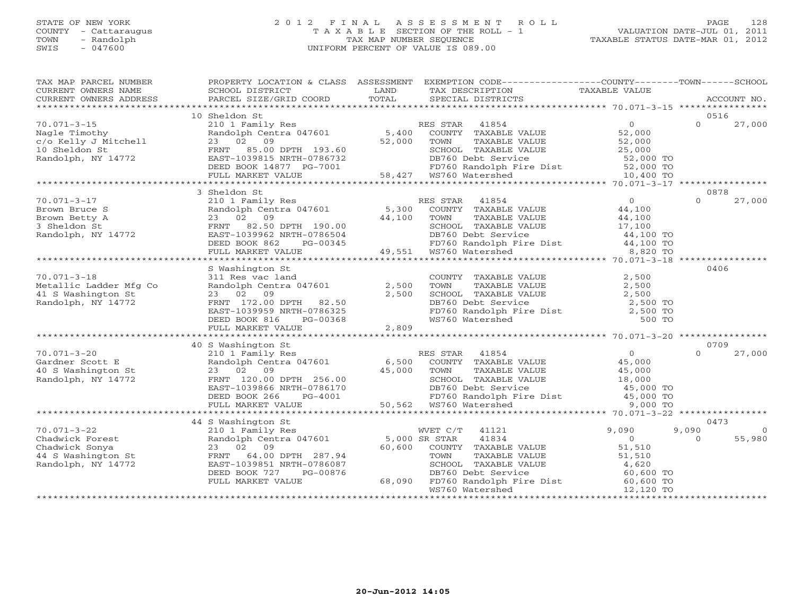#### STATE OF NEW YORK 2 0 1 2 F I N A L A S S E S S M E N T R O L L PAGE 128 COUNTY - Cattaraugus T A X A B L E SECTION OF THE ROLL - 1 VALUATION DATE-JUL 01, 2011 TOWN - Randolph TAX MAP NUMBER SEQUENCE TAXABLE STATUS DATE-MAR 01, 2012 SWIS - 047600 UNIFORM PERCENT OF VALUE IS 089.00UNIFORM PERCENT OF VALUE IS 089.00

| TAX MAP PARCEL NUMBER<br>CURRENT OWNERS NAME<br>CURRENT OWNERS ADDRESS                             | PROPERTY LOCATION & CLASS ASSESSMENT<br>SCHOOL DISTRICT<br>PARCEL SIZE/GRID COORD                                                                                                    | LAND<br>TOTAL                     | EXEMPTION CODE----------------COUNTY-------TOWN------SCHOOL<br>TAX DESCRIPTION<br>SPECIAL DISTRICTS                                                                                       | TAXABLE VALUE                                                                        | ACCOUNT NO.                                   |
|----------------------------------------------------------------------------------------------------|--------------------------------------------------------------------------------------------------------------------------------------------------------------------------------------|-----------------------------------|-------------------------------------------------------------------------------------------------------------------------------------------------------------------------------------------|--------------------------------------------------------------------------------------|-----------------------------------------------|
|                                                                                                    |                                                                                                                                                                                      |                                   |                                                                                                                                                                                           |                                                                                      |                                               |
| $70.071 - 3 - 15$<br>Nagle Timothy<br>c/o Kelly J Mitchell<br>10 Sheldon St<br>Randolph, NY 14772  | 10 Sheldon St<br>210 1 Family Res<br>Randolph Centra 047601<br>23 02<br>09<br>FRNT<br>85.00 DPTH 193.60<br>EAST-1039815 NRTH-0786732<br>DEED BOOK 14877 PG-7001<br>FULL MARKET VALUE | 5,400<br>52,000                   | 41854<br>RES STAR<br>COUNTY TAXABLE VALUE<br>TOWN<br>TAXABLE VALUE<br>SCHOOL TAXABLE VALUE<br>DB760 Debt Service<br>FD760 Randolph Fire Dist 52,000 TO<br>58,427 WS760 Watershed          | $\overline{0}$<br>52,000<br>52,000<br>25,000<br>52,000 TO<br>10,400 TO               | 0516<br>27,000<br>$\Omega$                    |
|                                                                                                    | *******************************<br>3 Sheldon St                                                                                                                                      |                                   |                                                                                                                                                                                           |                                                                                      | 0878                                          |
| $70.071 - 3 - 17$<br>Brown Bruce S<br>Brown Betty A<br>3 Sheldon St<br>Randolph, NY 14772          | 210 1 Family Res<br>Randolph Centra 047601<br>02<br>09<br>23<br>82.50 DPTH 190.00<br>FRNT<br>EAST-1039962 NRTH-0786504<br>DEED BOOK 862<br>PG-00345<br>FULL MARKET VALUE             | 5,300<br>44,100                   | RES STAR<br>41854<br>COUNTY TAXABLE VALUE<br>TOWN<br>TAXABLE VALUE<br>SCHOOL TAXABLE VALUE<br>DB760 Debt Service<br>FD760 Randolph Fire Dist<br>ws760 Watershed<br>49,551 WS760 Watershed | $\overline{O}$<br>44,100<br>44,100<br>17,100<br>44,100 TO<br>44,100 TO<br>8,820 TO   | $\Omega$<br>27,000                            |
|                                                                                                    |                                                                                                                                                                                      |                                   |                                                                                                                                                                                           |                                                                                      |                                               |
| $70.071 - 3 - 18$<br>Metallic Ladder Mfg Co<br>41 S Washington St<br>Randolph, NY 14772            | S Washington St<br>311 Res vac land<br>Randolph Centra 047601<br>23 02 09<br>FRNT 172.00 DPTH 82.50<br>EAST-1039959 NRTH-0786325<br>DEED BOOK 816<br>PG-00368<br>FULL MARKET VALUE   | 2,500<br>2,500<br>2,809           | COUNTY TAXABLE VALUE<br>TOWN<br>TAXABLE VALUE<br>SCHOOL TAXABLE VALUE<br>DB760 Debt Service<br>FD760 Randolph Fire Dist<br>WS760 Watershed                                                | 2,500<br>2,500<br>2,500<br>2,500 TO<br>$2,500$ TO<br>500 TO                          | 0406                                          |
|                                                                                                    | 40 S Washington St                                                                                                                                                                   |                                   |                                                                                                                                                                                           |                                                                                      | 0709                                          |
| $70.071 - 3 - 20$<br>Gardner Scott E<br>40 S Washington St<br>Randolph, NY 14772                   | 210 1 Family Res<br>Randolph Centra 047601<br>23 02 09<br>FRNT 120.00 DPTH 256.00<br>EAST-1039866 NRTH-0786170<br>DEED BOOK 266<br>$PG-4001$<br>FULL MARKET VALUE                    | 6,500<br>45,000                   | 41854<br>RES STAR<br>COUNTY TAXABLE VALUE<br>TOWN<br>TAXABLE VALUE<br>SCHOOL TAXABLE VALUE<br>DB760 Debt Service<br>FD760 Randolph Fire Dist<br>50,562 WS760 Watershed                    | $\overline{0}$<br>45,000<br>45,000<br>18,000<br>45,000 TO<br>45,000 TO<br>9,000 TO   | 27,000<br>$\Omega$                            |
|                                                                                                    | 44 S Washington St                                                                                                                                                                   |                                   |                                                                                                                                                                                           |                                                                                      | 0473                                          |
| $70.071 - 3 - 22$<br>Chadwick Forest<br>Chadwick Sonya<br>44 S Washington St<br>Randolph, NY 14772 | 210 1 Family Res<br>Randolph Centra 047601<br>23 02 09<br>64.00 DPTH 287.94<br>FRNT<br>EAST-1039851 NRTH-0786087<br>DEED BOOK 727<br>PG-00876<br>FULL MARKET VALUE                   | 5,000 SR STAR<br>60,600<br>68,090 | WVET C/T<br>41121<br>41834<br>COUNTY TAXABLE VALUE<br>TAXABLE VALUE<br>TOWN<br>SCHOOL TAXABLE VALUE<br>DB760 Debt Service<br>FD760 Randolph Fire Dist<br>WS760 Watershed                  | 9,090<br>$\circ$<br>51,510<br>51,510<br>4,620<br>60,600 TO<br>60,600 TO<br>12,120 TO | 9,090<br>$\overline{0}$<br>55,980<br>$\Omega$ |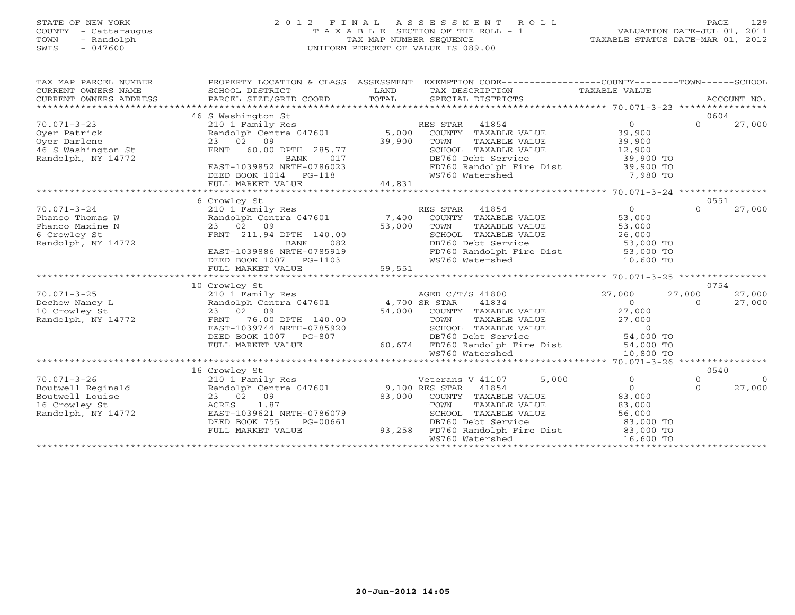### STATE OF NEW YORK 2 0 1 2 F I N A L A S S E S S M E N T R O L L PAGE 129 COUNTY - Cattaraugus T A X A B L E SECTION OF THE ROLL - 1 VALUATION DATE-JUL 01, 2011 TOWN - Randolph TAX MAP NUMBER SEQUENCE TAXABLE STATUS DATE-MAR 01, 2012 SWIS - 047600 UNIFORM PERCENT OF VALUE IS 089.00

| ACCOUNT NO.<br>0604<br>46 S Washington St<br>$70.071 - 3 - 23$<br>$\Omega$<br>$\Omega$<br>27,000<br>210 1 Family Res<br>RES STAR<br>41854<br>5,000<br>39,900<br>Oyer Patrick<br>Randolph Centra 047601<br>COUNTY TAXABLE VALUE<br>09<br>39,900<br>39,900<br>Oyer Darlene<br>23<br>02<br>TOWN<br>TAXABLE VALUE<br>46 S Washington St<br>60.00 DPTH 285.77<br>SCHOOL TAXABLE VALUE<br><b>FRNT</b><br>12,900<br>Randolph, NY 14772<br>BANK<br>017<br>DB760 Debt Service<br>39,900 TO<br>EAST-1039852 NRTH-0786023<br>FD760 Randolph Fire Dist<br>39,900 TO<br>WS760 Watershed<br>7,980 TO<br>DEED BOOK 1014<br>PG-118<br>44,831<br>FULL MARKET VALUE<br>**********************<br>0551<br>6 Crowley St<br>41854<br>$\Omega$<br>$\Omega$<br>27,000<br>210 1 Family Res<br>RES STAR<br>53,000<br>Randolph Centra 047601<br>7,400<br>COUNTY TAXABLE VALUE<br>09<br>53,000<br>TAXABLE VALUE<br>53,000<br>23 02<br>TOWN<br>6 Crowley St<br>FRNT 211.94 DPTH 140.00<br>SCHOOL TAXABLE VALUE<br>26,000<br>Randolph, NY 14772<br>082<br>DB760 Debt Service<br>53,000 TO<br><b>BANK</b><br>EAST-1039886 NRTH-0785919<br>FD760 Randolph Fire Dist<br>53,000 TO<br>WS760 Watershed<br>10,600 TO<br>DEED BOOK 1007 PG-1103<br>59,551<br>FULL MARKET VALUE<br>10 Crowley St<br>0754<br>$70.071 - 3 - 25$<br>210 1 Family Res<br>AGED C/T/S 41800<br>27,000<br>27,000<br>27,000<br>41834<br>Dechow Nancy L<br>Randolph Centra 047601<br>4,700 SR STAR<br>$\Omega$<br>$\Omega$<br>27,000<br>09<br>54,000<br>COUNTY TAXABLE VALUE<br>27,000<br>10 Crowley St<br>02<br>23<br>Randolph, NY 14772<br>FRNT<br>76.00 DPTH 140.00<br>TOWN<br>TAXABLE VALUE<br>27,000<br>$\circ$<br>EAST-1039744 NRTH-0785920<br>SCHOOL TAXABLE VALUE<br>DEED BOOK 1007<br>DB760 Debt Service<br>54,000 TO<br>$PG-807$<br>FULL MARKET VALUE<br>60,674<br>FD760 Randolph Fire Dist<br>54,000 TO<br>WS760 Watershed<br>10,800 TO<br>16 Crowley St<br>0540<br>5,000<br>$\Omega$<br>210 1 Family Res<br>Veterans V 41107<br>$\circ$<br>$\Omega$<br>9,100 RES STAR<br>$\Omega$<br>Randolph Centra 047601<br>41854<br>$\Omega$<br>27,000<br>83,000<br>23 02<br>09<br>83,000<br>COUNTY TAXABLE VALUE<br>1.87<br>83,000<br>ACRES<br>TOWN<br>TAXABLE VALUE<br>EAST-1039621 NRTH-0786079<br>SCHOOL TAXABLE VALUE<br>56,000<br>DEED BOOK 755<br>PG-00661<br>DB760 Debt Service<br>83,000 TO | TAX MAP PARCEL NUMBER<br>CURRENT OWNERS NAME | PROPERTY LOCATION & CLASS ASSESSMENT<br>SCHOOL DISTRICT | LAND   | EXEMPTION CODE-----------------COUNTY-------TOWN------SCHOOL<br>TAX DESCRIPTION | TAXABLE VALUE |  |
|----------------------------------------------------------------------------------------------------------------------------------------------------------------------------------------------------------------------------------------------------------------------------------------------------------------------------------------------------------------------------------------------------------------------------------------------------------------------------------------------------------------------------------------------------------------------------------------------------------------------------------------------------------------------------------------------------------------------------------------------------------------------------------------------------------------------------------------------------------------------------------------------------------------------------------------------------------------------------------------------------------------------------------------------------------------------------------------------------------------------------------------------------------------------------------------------------------------------------------------------------------------------------------------------------------------------------------------------------------------------------------------------------------------------------------------------------------------------------------------------------------------------------------------------------------------------------------------------------------------------------------------------------------------------------------------------------------------------------------------------------------------------------------------------------------------------------------------------------------------------------------------------------------------------------------------------------------------------------------------------------------------------------------------------------------------------------------------------------------------------------------------------------------------------------------------------------------------------------------------------------------------------------------------------------------------------------------------|----------------------------------------------|---------------------------------------------------------|--------|---------------------------------------------------------------------------------|---------------|--|
|                                                                                                                                                                                                                                                                                                                                                                                                                                                                                                                                                                                                                                                                                                                                                                                                                                                                                                                                                                                                                                                                                                                                                                                                                                                                                                                                                                                                                                                                                                                                                                                                                                                                                                                                                                                                                                                                                                                                                                                                                                                                                                                                                                                                                                                                                                                                        | CURRENT OWNERS ADDRESS                       | PARCEL SIZE/GRID COORD                                  | TOTAL  | SPECIAL DISTRICTS                                                               |               |  |
|                                                                                                                                                                                                                                                                                                                                                                                                                                                                                                                                                                                                                                                                                                                                                                                                                                                                                                                                                                                                                                                                                                                                                                                                                                                                                                                                                                                                                                                                                                                                                                                                                                                                                                                                                                                                                                                                                                                                                                                                                                                                                                                                                                                                                                                                                                                                        |                                              |                                                         |        |                                                                                 |               |  |
|                                                                                                                                                                                                                                                                                                                                                                                                                                                                                                                                                                                                                                                                                                                                                                                                                                                                                                                                                                                                                                                                                                                                                                                                                                                                                                                                                                                                                                                                                                                                                                                                                                                                                                                                                                                                                                                                                                                                                                                                                                                                                                                                                                                                                                                                                                                                        |                                              |                                                         |        |                                                                                 |               |  |
|                                                                                                                                                                                                                                                                                                                                                                                                                                                                                                                                                                                                                                                                                                                                                                                                                                                                                                                                                                                                                                                                                                                                                                                                                                                                                                                                                                                                                                                                                                                                                                                                                                                                                                                                                                                                                                                                                                                                                                                                                                                                                                                                                                                                                                                                                                                                        |                                              |                                                         |        |                                                                                 |               |  |
|                                                                                                                                                                                                                                                                                                                                                                                                                                                                                                                                                                                                                                                                                                                                                                                                                                                                                                                                                                                                                                                                                                                                                                                                                                                                                                                                                                                                                                                                                                                                                                                                                                                                                                                                                                                                                                                                                                                                                                                                                                                                                                                                                                                                                                                                                                                                        |                                              |                                                         |        |                                                                                 |               |  |
|                                                                                                                                                                                                                                                                                                                                                                                                                                                                                                                                                                                                                                                                                                                                                                                                                                                                                                                                                                                                                                                                                                                                                                                                                                                                                                                                                                                                                                                                                                                                                                                                                                                                                                                                                                                                                                                                                                                                                                                                                                                                                                                                                                                                                                                                                                                                        |                                              |                                                         |        |                                                                                 |               |  |
|                                                                                                                                                                                                                                                                                                                                                                                                                                                                                                                                                                                                                                                                                                                                                                                                                                                                                                                                                                                                                                                                                                                                                                                                                                                                                                                                                                                                                                                                                                                                                                                                                                                                                                                                                                                                                                                                                                                                                                                                                                                                                                                                                                                                                                                                                                                                        |                                              |                                                         |        |                                                                                 |               |  |
|                                                                                                                                                                                                                                                                                                                                                                                                                                                                                                                                                                                                                                                                                                                                                                                                                                                                                                                                                                                                                                                                                                                                                                                                                                                                                                                                                                                                                                                                                                                                                                                                                                                                                                                                                                                                                                                                                                                                                                                                                                                                                                                                                                                                                                                                                                                                        |                                              |                                                         |        |                                                                                 |               |  |
|                                                                                                                                                                                                                                                                                                                                                                                                                                                                                                                                                                                                                                                                                                                                                                                                                                                                                                                                                                                                                                                                                                                                                                                                                                                                                                                                                                                                                                                                                                                                                                                                                                                                                                                                                                                                                                                                                                                                                                                                                                                                                                                                                                                                                                                                                                                                        |                                              |                                                         |        |                                                                                 |               |  |
|                                                                                                                                                                                                                                                                                                                                                                                                                                                                                                                                                                                                                                                                                                                                                                                                                                                                                                                                                                                                                                                                                                                                                                                                                                                                                                                                                                                                                                                                                                                                                                                                                                                                                                                                                                                                                                                                                                                                                                                                                                                                                                                                                                                                                                                                                                                                        |                                              |                                                         |        |                                                                                 |               |  |
|                                                                                                                                                                                                                                                                                                                                                                                                                                                                                                                                                                                                                                                                                                                                                                                                                                                                                                                                                                                                                                                                                                                                                                                                                                                                                                                                                                                                                                                                                                                                                                                                                                                                                                                                                                                                                                                                                                                                                                                                                                                                                                                                                                                                                                                                                                                                        |                                              |                                                         |        |                                                                                 |               |  |
|                                                                                                                                                                                                                                                                                                                                                                                                                                                                                                                                                                                                                                                                                                                                                                                                                                                                                                                                                                                                                                                                                                                                                                                                                                                                                                                                                                                                                                                                                                                                                                                                                                                                                                                                                                                                                                                                                                                                                                                                                                                                                                                                                                                                                                                                                                                                        |                                              |                                                         |        |                                                                                 |               |  |
|                                                                                                                                                                                                                                                                                                                                                                                                                                                                                                                                                                                                                                                                                                                                                                                                                                                                                                                                                                                                                                                                                                                                                                                                                                                                                                                                                                                                                                                                                                                                                                                                                                                                                                                                                                                                                                                                                                                                                                                                                                                                                                                                                                                                                                                                                                                                        | $70.071 - 3 - 24$                            |                                                         |        |                                                                                 |               |  |
|                                                                                                                                                                                                                                                                                                                                                                                                                                                                                                                                                                                                                                                                                                                                                                                                                                                                                                                                                                                                                                                                                                                                                                                                                                                                                                                                                                                                                                                                                                                                                                                                                                                                                                                                                                                                                                                                                                                                                                                                                                                                                                                                                                                                                                                                                                                                        | Phanco Thomas W                              |                                                         |        |                                                                                 |               |  |
|                                                                                                                                                                                                                                                                                                                                                                                                                                                                                                                                                                                                                                                                                                                                                                                                                                                                                                                                                                                                                                                                                                                                                                                                                                                                                                                                                                                                                                                                                                                                                                                                                                                                                                                                                                                                                                                                                                                                                                                                                                                                                                                                                                                                                                                                                                                                        | Phanco Maxine N                              |                                                         |        |                                                                                 |               |  |
|                                                                                                                                                                                                                                                                                                                                                                                                                                                                                                                                                                                                                                                                                                                                                                                                                                                                                                                                                                                                                                                                                                                                                                                                                                                                                                                                                                                                                                                                                                                                                                                                                                                                                                                                                                                                                                                                                                                                                                                                                                                                                                                                                                                                                                                                                                                                        |                                              |                                                         |        |                                                                                 |               |  |
|                                                                                                                                                                                                                                                                                                                                                                                                                                                                                                                                                                                                                                                                                                                                                                                                                                                                                                                                                                                                                                                                                                                                                                                                                                                                                                                                                                                                                                                                                                                                                                                                                                                                                                                                                                                                                                                                                                                                                                                                                                                                                                                                                                                                                                                                                                                                        |                                              |                                                         |        |                                                                                 |               |  |
|                                                                                                                                                                                                                                                                                                                                                                                                                                                                                                                                                                                                                                                                                                                                                                                                                                                                                                                                                                                                                                                                                                                                                                                                                                                                                                                                                                                                                                                                                                                                                                                                                                                                                                                                                                                                                                                                                                                                                                                                                                                                                                                                                                                                                                                                                                                                        |                                              |                                                         |        |                                                                                 |               |  |
|                                                                                                                                                                                                                                                                                                                                                                                                                                                                                                                                                                                                                                                                                                                                                                                                                                                                                                                                                                                                                                                                                                                                                                                                                                                                                                                                                                                                                                                                                                                                                                                                                                                                                                                                                                                                                                                                                                                                                                                                                                                                                                                                                                                                                                                                                                                                        |                                              |                                                         |        |                                                                                 |               |  |
|                                                                                                                                                                                                                                                                                                                                                                                                                                                                                                                                                                                                                                                                                                                                                                                                                                                                                                                                                                                                                                                                                                                                                                                                                                                                                                                                                                                                                                                                                                                                                                                                                                                                                                                                                                                                                                                                                                                                                                                                                                                                                                                                                                                                                                                                                                                                        |                                              |                                                         |        |                                                                                 |               |  |
|                                                                                                                                                                                                                                                                                                                                                                                                                                                                                                                                                                                                                                                                                                                                                                                                                                                                                                                                                                                                                                                                                                                                                                                                                                                                                                                                                                                                                                                                                                                                                                                                                                                                                                                                                                                                                                                                                                                                                                                                                                                                                                                                                                                                                                                                                                                                        |                                              |                                                         |        |                                                                                 |               |  |
|                                                                                                                                                                                                                                                                                                                                                                                                                                                                                                                                                                                                                                                                                                                                                                                                                                                                                                                                                                                                                                                                                                                                                                                                                                                                                                                                                                                                                                                                                                                                                                                                                                                                                                                                                                                                                                                                                                                                                                                                                                                                                                                                                                                                                                                                                                                                        |                                              |                                                         |        |                                                                                 |               |  |
|                                                                                                                                                                                                                                                                                                                                                                                                                                                                                                                                                                                                                                                                                                                                                                                                                                                                                                                                                                                                                                                                                                                                                                                                                                                                                                                                                                                                                                                                                                                                                                                                                                                                                                                                                                                                                                                                                                                                                                                                                                                                                                                                                                                                                                                                                                                                        |                                              |                                                         |        |                                                                                 |               |  |
|                                                                                                                                                                                                                                                                                                                                                                                                                                                                                                                                                                                                                                                                                                                                                                                                                                                                                                                                                                                                                                                                                                                                                                                                                                                                                                                                                                                                                                                                                                                                                                                                                                                                                                                                                                                                                                                                                                                                                                                                                                                                                                                                                                                                                                                                                                                                        |                                              |                                                         |        |                                                                                 |               |  |
|                                                                                                                                                                                                                                                                                                                                                                                                                                                                                                                                                                                                                                                                                                                                                                                                                                                                                                                                                                                                                                                                                                                                                                                                                                                                                                                                                                                                                                                                                                                                                                                                                                                                                                                                                                                                                                                                                                                                                                                                                                                                                                                                                                                                                                                                                                                                        |                                              |                                                         |        |                                                                                 |               |  |
|                                                                                                                                                                                                                                                                                                                                                                                                                                                                                                                                                                                                                                                                                                                                                                                                                                                                                                                                                                                                                                                                                                                                                                                                                                                                                                                                                                                                                                                                                                                                                                                                                                                                                                                                                                                                                                                                                                                                                                                                                                                                                                                                                                                                                                                                                                                                        |                                              |                                                         |        |                                                                                 |               |  |
|                                                                                                                                                                                                                                                                                                                                                                                                                                                                                                                                                                                                                                                                                                                                                                                                                                                                                                                                                                                                                                                                                                                                                                                                                                                                                                                                                                                                                                                                                                                                                                                                                                                                                                                                                                                                                                                                                                                                                                                                                                                                                                                                                                                                                                                                                                                                        |                                              |                                                         |        |                                                                                 |               |  |
|                                                                                                                                                                                                                                                                                                                                                                                                                                                                                                                                                                                                                                                                                                                                                                                                                                                                                                                                                                                                                                                                                                                                                                                                                                                                                                                                                                                                                                                                                                                                                                                                                                                                                                                                                                                                                                                                                                                                                                                                                                                                                                                                                                                                                                                                                                                                        |                                              |                                                         |        |                                                                                 |               |  |
|                                                                                                                                                                                                                                                                                                                                                                                                                                                                                                                                                                                                                                                                                                                                                                                                                                                                                                                                                                                                                                                                                                                                                                                                                                                                                                                                                                                                                                                                                                                                                                                                                                                                                                                                                                                                                                                                                                                                                                                                                                                                                                                                                                                                                                                                                                                                        |                                              |                                                         |        |                                                                                 |               |  |
|                                                                                                                                                                                                                                                                                                                                                                                                                                                                                                                                                                                                                                                                                                                                                                                                                                                                                                                                                                                                                                                                                                                                                                                                                                                                                                                                                                                                                                                                                                                                                                                                                                                                                                                                                                                                                                                                                                                                                                                                                                                                                                                                                                                                                                                                                                                                        |                                              |                                                         |        |                                                                                 |               |  |
|                                                                                                                                                                                                                                                                                                                                                                                                                                                                                                                                                                                                                                                                                                                                                                                                                                                                                                                                                                                                                                                                                                                                                                                                                                                                                                                                                                                                                                                                                                                                                                                                                                                                                                                                                                                                                                                                                                                                                                                                                                                                                                                                                                                                                                                                                                                                        |                                              |                                                         |        |                                                                                 |               |  |
|                                                                                                                                                                                                                                                                                                                                                                                                                                                                                                                                                                                                                                                                                                                                                                                                                                                                                                                                                                                                                                                                                                                                                                                                                                                                                                                                                                                                                                                                                                                                                                                                                                                                                                                                                                                                                                                                                                                                                                                                                                                                                                                                                                                                                                                                                                                                        | $70.071 - 3 - 26$                            |                                                         |        |                                                                                 |               |  |
|                                                                                                                                                                                                                                                                                                                                                                                                                                                                                                                                                                                                                                                                                                                                                                                                                                                                                                                                                                                                                                                                                                                                                                                                                                                                                                                                                                                                                                                                                                                                                                                                                                                                                                                                                                                                                                                                                                                                                                                                                                                                                                                                                                                                                                                                                                                                        | Boutwell Reginald                            |                                                         |        |                                                                                 |               |  |
|                                                                                                                                                                                                                                                                                                                                                                                                                                                                                                                                                                                                                                                                                                                                                                                                                                                                                                                                                                                                                                                                                                                                                                                                                                                                                                                                                                                                                                                                                                                                                                                                                                                                                                                                                                                                                                                                                                                                                                                                                                                                                                                                                                                                                                                                                                                                        | Boutwell Louise                              |                                                         |        |                                                                                 |               |  |
|                                                                                                                                                                                                                                                                                                                                                                                                                                                                                                                                                                                                                                                                                                                                                                                                                                                                                                                                                                                                                                                                                                                                                                                                                                                                                                                                                                                                                                                                                                                                                                                                                                                                                                                                                                                                                                                                                                                                                                                                                                                                                                                                                                                                                                                                                                                                        | 16 Crowley St                                |                                                         |        |                                                                                 |               |  |
|                                                                                                                                                                                                                                                                                                                                                                                                                                                                                                                                                                                                                                                                                                                                                                                                                                                                                                                                                                                                                                                                                                                                                                                                                                                                                                                                                                                                                                                                                                                                                                                                                                                                                                                                                                                                                                                                                                                                                                                                                                                                                                                                                                                                                                                                                                                                        | Randolph, NY 14772                           |                                                         |        |                                                                                 |               |  |
|                                                                                                                                                                                                                                                                                                                                                                                                                                                                                                                                                                                                                                                                                                                                                                                                                                                                                                                                                                                                                                                                                                                                                                                                                                                                                                                                                                                                                                                                                                                                                                                                                                                                                                                                                                                                                                                                                                                                                                                                                                                                                                                                                                                                                                                                                                                                        |                                              |                                                         |        |                                                                                 |               |  |
|                                                                                                                                                                                                                                                                                                                                                                                                                                                                                                                                                                                                                                                                                                                                                                                                                                                                                                                                                                                                                                                                                                                                                                                                                                                                                                                                                                                                                                                                                                                                                                                                                                                                                                                                                                                                                                                                                                                                                                                                                                                                                                                                                                                                                                                                                                                                        |                                              | FULL MARKET VALUE                                       | 93,258 | FD760 Randolph Fire Dist                                                        | 83,000 TO     |  |
| WS760 Watershed<br>16,600 TO<br>**********************                                                                                                                                                                                                                                                                                                                                                                                                                                                                                                                                                                                                                                                                                                                                                                                                                                                                                                                                                                                                                                                                                                                                                                                                                                                                                                                                                                                                                                                                                                                                                                                                                                                                                                                                                                                                                                                                                                                                                                                                                                                                                                                                                                                                                                                                                 |                                              |                                                         |        |                                                                                 |               |  |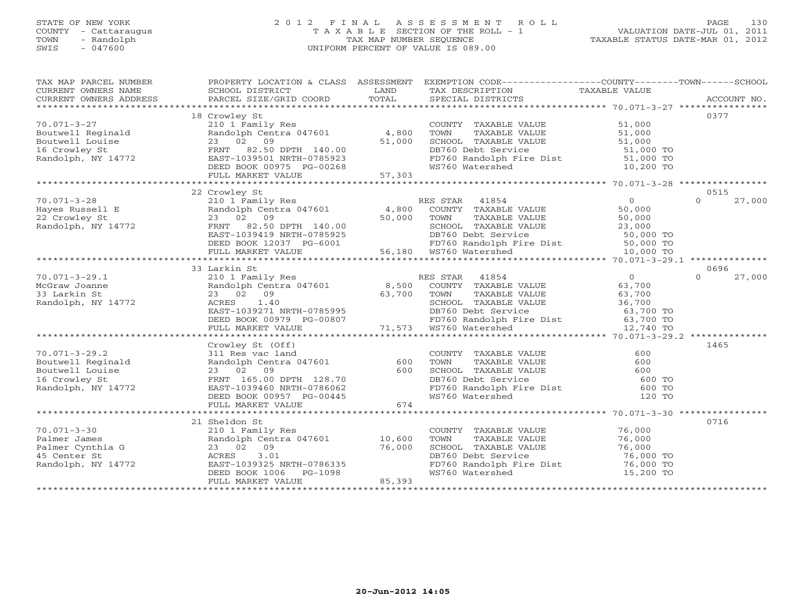#### STATE OF NEW YORK 2 0 1 2 F I N A L A S S E S S M E N T R O L L PAGE 130COUNTY - Cattaraugus T A X A B L E SECTION OF THE ROLL - 1 VALUATION DATE-JUL 01, 2011 TOWN - Randolph TAX MAP NUMBER SEQUENCE TAXABLE STATUS DATE-MAR 01, 2012<br>SWIS - 047600 SWIS - 047600 UNIFORM PERCENT OF VALUE IS 089.00

| TAX MAP PARCEL NUMBER                                                                                                                                                                                                                      | PROPERTY LOCATION & CLASS ASSESSMENT EXEMPTION CODE----------------COUNTY-------TOWN------SCHOOL                                                                         |        |                                                                                                                                                                                                                        |                  |                    |
|--------------------------------------------------------------------------------------------------------------------------------------------------------------------------------------------------------------------------------------------|--------------------------------------------------------------------------------------------------------------------------------------------------------------------------|--------|------------------------------------------------------------------------------------------------------------------------------------------------------------------------------------------------------------------------|------------------|--------------------|
| CURRENT OWNERS NAME                                                                                                                                                                                                                        | SCHOOL DISTRICT                                                                                                                                                          | LAND   | TAX DESCRIPTION                                                                                                                                                                                                        | TAXABLE VALUE    |                    |
| CURRENT OWNERS NAME<br>CURRENT OWNERS ADDRESS PARCEL SIZE/GRID COORD                                                                                                                                                                       |                                                                                                                                                                          | TOTAL  | SPECIAL DISTRICTS                                                                                                                                                                                                      |                  | ACCOUNT NO.        |
|                                                                                                                                                                                                                                            |                                                                                                                                                                          |        |                                                                                                                                                                                                                        |                  |                    |
|                                                                                                                                                                                                                                            | 18 Crowley St                                                                                                                                                            |        |                                                                                                                                                                                                                        |                  | 0377               |
| 70.071-3-27                                                                                                                                                                                                                                | 210 1 Family Res                                                                                                                                                         |        | COUNTY TAXABLE VALUE                                                                                                                                                                                                   | 51,000           |                    |
|                                                                                                                                                                                                                                            |                                                                                                                                                                          |        | TAXABLE VALUE<br>TOWN                                                                                                                                                                                                  | 51,000           |                    |
|                                                                                                                                                                                                                                            |                                                                                                                                                                          |        |                                                                                                                                                                                                                        | 51,000           |                    |
|                                                                                                                                                                                                                                            |                                                                                                                                                                          |        | SCHOOL TAXABLE VALUE<br>DB760 Debt Service                                                                                                                                                                             | 51,000 TO        |                    |
|                                                                                                                                                                                                                                            |                                                                                                                                                                          |        |                                                                                                                                                                                                                        |                  |                    |
|                                                                                                                                                                                                                                            |                                                                                                                                                                          |        | FD760 Randolph Fire Dist 51,000 TO<br>WS760 Watershed 10,200 TO                                                                                                                                                        |                  |                    |
|                                                                                                                                                                                                                                            |                                                                                                                                                                          |        |                                                                                                                                                                                                                        |                  |                    |
| 70.071-3-27<br>Boutwell Reginald Randolph Centra 047601 4,800<br>Boutwell Louise 23 02 09<br>16 Crowley St FRNT 82.50 DPTH 140.00<br>Randolph, NY 14772 EAST-1039501 NRTH-0785923<br>DEED BOOK 00975 PG-00268 FULL MARKET VALUE<br>FULL M  |                                                                                                                                                                          |        |                                                                                                                                                                                                                        |                  |                    |
|                                                                                                                                                                                                                                            |                                                                                                                                                                          |        |                                                                                                                                                                                                                        |                  |                    |
|                                                                                                                                                                                                                                            | 22 Crowley St                                                                                                                                                            |        |                                                                                                                                                                                                                        |                  | 0515               |
| $70.071 - 3 - 28$                                                                                                                                                                                                                          | 210 1 Family Res                                                                                                                                                         |        | RES STAR 41854                                                                                                                                                                                                         | $\Omega$         | 27,000<br>$\Omega$ |
|                                                                                                                                                                                                                                            |                                                                                                                                                                          |        |                                                                                                                                                                                                                        |                  |                    |
|                                                                                                                                                                                                                                            |                                                                                                                                                                          |        |                                                                                                                                                                                                                        |                  |                    |
|                                                                                                                                                                                                                                            |                                                                                                                                                                          |        |                                                                                                                                                                                                                        |                  |                    |
|                                                                                                                                                                                                                                            |                                                                                                                                                                          |        |                                                                                                                                                                                                                        |                  |                    |
|                                                                                                                                                                                                                                            |                                                                                                                                                                          |        |                                                                                                                                                                                                                        |                  |                    |
|                                                                                                                                                                                                                                            |                                                                                                                                                                          |        |                                                                                                                                                                                                                        |                  |                    |
|                                                                                                                                                                                                                                            |                                                                                                                                                                          |        |                                                                                                                                                                                                                        |                  |                    |
|                                                                                                                                                                                                                                            | 33 Larkin St                                                                                                                                                             |        |                                                                                                                                                                                                                        |                  | 0696               |
| 70.071-3-29.1                                                                                                                                                                                                                              | 210 1 Family Res<br>Randolph Centra 047601 Randolph Centra 047601 8,500 COUNTY TAXABLE VALUE<br>23 02 09 63,700 TOWN TAXABLE VALUE<br>23 02 09 63,700 TOWN TAXABLE VALUE |        |                                                                                                                                                                                                                        | $\overline{0}$   | 27,000<br>$\Omega$ |
| McGraw Joanne                                                                                                                                                                                                                              |                                                                                                                                                                          |        |                                                                                                                                                                                                                        | 63,700           |                    |
| 33 Larkin St                                                                                                                                                                                                                               |                                                                                                                                                                          |        |                                                                                                                                                                                                                        |                  |                    |
| Randolph, NY 14772                                                                                                                                                                                                                         |                                                                                                                                                                          |        | TOWN TAXABLE VALUE<br>SCHOOL TAXABLE VALUE                                                                                                                                                                             | 63,700<br>36,700 |                    |
|                                                                                                                                                                                                                                            |                                                                                                                                                                          |        |                                                                                                                                                                                                                        |                  |                    |
|                                                                                                                                                                                                                                            |                                                                                                                                                                          |        | ACRES 1.40 SCHOOL TAXABLE VALUE 36,700<br>EAST-1039271 NRTH-0785995 DB760 Debt Service 63,700 TO<br>DEED BOOK 00979 PG-00807 PTD760 Randolph Fire Dist 63,700 TO<br>FULL MARKET VALUE 71,573 WS760 Watershed 12,740 TO |                  |                    |
|                                                                                                                                                                                                                                            |                                                                                                                                                                          |        |                                                                                                                                                                                                                        |                  |                    |
|                                                                                                                                                                                                                                            |                                                                                                                                                                          |        |                                                                                                                                                                                                                        |                  |                    |
|                                                                                                                                                                                                                                            |                                                                                                                                                                          |        |                                                                                                                                                                                                                        |                  |                    |
|                                                                                                                                                                                                                                            | Crowley St (Off)                                                                                                                                                         |        |                                                                                                                                                                                                                        |                  | 1465               |
| 70.071-3-29.2                                                                                                                                                                                                                              | 311 Res vac land                                                                                                                                                         |        | COUNTY TAXABLE VALUE                                                                                                                                                                                                   | 600              |                    |
|                                                                                                                                                                                                                                            |                                                                                                                                                                          |        |                                                                                                                                                                                                                        | 600              |                    |
|                                                                                                                                                                                                                                            |                                                                                                                                                                          |        |                                                                                                                                                                                                                        | 600              |                    |
|                                                                                                                                                                                                                                            |                                                                                                                                                                          |        |                                                                                                                                                                                                                        | 600 TO           |                    |
| Political Reginal<br>Boutwell Louise (23 02 09 600<br>Boutwell Louise (23 02 09 600<br>TRNT 165.00 DPTH 128.70 600<br>Randolph, NY 14772 (EAST-1039460 NRTH-0786062<br>DEED BOOK 0957 PG-00445<br>DEED BOOK 0957 PG-00445                  |                                                                                                                                                                          |        | COUNTY TAXABLE VALUE<br>TOWN TAXABLE VALUE<br>SCHOOL TAXABLE VALUE<br>DB760 Debt Service<br>FD760 Randolph Fire Dist                                                                                                   | 600 TO           |                    |
|                                                                                                                                                                                                                                            |                                                                                                                                                                          |        |                                                                                                                                                                                                                        | 120 TO           |                    |
|                                                                                                                                                                                                                                            | FULL MARKET VALUE                                                                                                                                                        | 674    |                                                                                                                                                                                                                        |                  |                    |
|                                                                                                                                                                                                                                            |                                                                                                                                                                          |        |                                                                                                                                                                                                                        |                  |                    |
|                                                                                                                                                                                                                                            | 21 Sheldon St                                                                                                                                                            |        |                                                                                                                                                                                                                        |                  | 0716               |
| 70.071-3-30                                                                                                                                                                                                                                | 210 1 Family Res                                                                                                                                                         |        | COUNTY TAXABLE VALUE 76,000                                                                                                                                                                                            |                  |                    |
|                                                                                                                                                                                                                                            |                                                                                                                                                                          |        |                                                                                                                                                                                                                        |                  |                    |
|                                                                                                                                                                                                                                            |                                                                                                                                                                          |        |                                                                                                                                                                                                                        |                  |                    |
|                                                                                                                                                                                                                                            |                                                                                                                                                                          |        | DB760 Debt Service                                                                                                                                                                                                     | 76,000 TO        |                    |
|                                                                                                                                                                                                                                            |                                                                                                                                                                          |        | FD760 Randolph Fire Dist 76,000 TO                                                                                                                                                                                     |                  |                    |
|                                                                                                                                                                                                                                            |                                                                                                                                                                          |        | WS760 Watershed                                                                                                                                                                                                        | 15,200 TO        |                    |
| Palmer James<br>Palmer Cynthia G (23 02 09 76,000<br>45 Center St (23 02 09 76,000<br>Randolph, NY 14772 (EAST-1039325 NRTH-0786335<br>DEED BOOK 1006 PG-1098<br>PULL MARKE, WARKE, WATHER CORP CALLER<br>PETER MARKE, WARKE, WATHER CALLE | FULL MARKET VALUE                                                                                                                                                        | 85,393 |                                                                                                                                                                                                                        |                  |                    |
|                                                                                                                                                                                                                                            |                                                                                                                                                                          |        |                                                                                                                                                                                                                        |                  |                    |
|                                                                                                                                                                                                                                            |                                                                                                                                                                          |        |                                                                                                                                                                                                                        |                  |                    |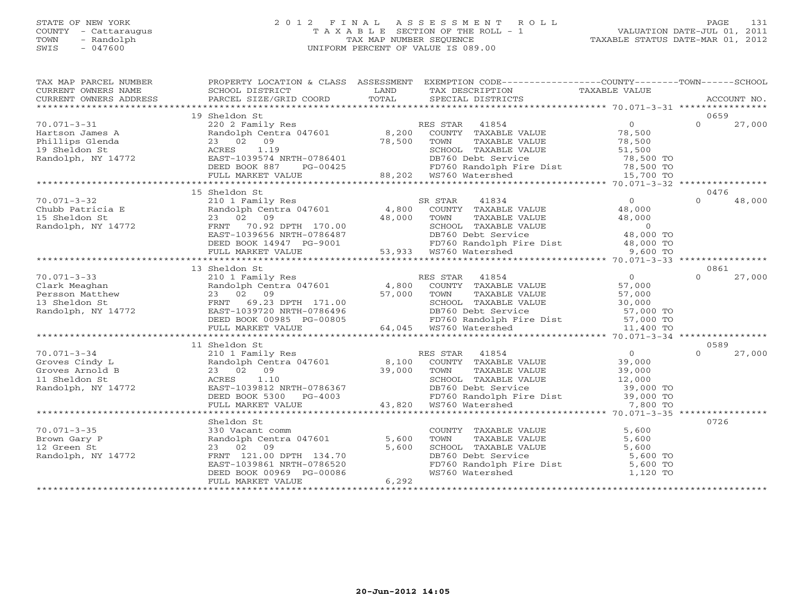#### STATE OF NEW YORK 2 0 1 2 F I N A L A S S E S S M E N T R O L L PAGE 131 COUNTY - Cattaraugus T A X A B L E SECTION OF THE ROLL - 1 VALUATION DATE-JUL 01, 2011 TOWN - Randolph TAX MAP NUMBER SEQUENCE TAXABLE STATUS DATE-MAR 01, 2012 SWIS - 047600 UNIFORM PERCENT OF VALUE IS 089.00UNIFORM PERCENT OF VALUE IS 089.00

| TAX MAP PARCEL NUMBER                                   |                                                     |          | PROPERTY LOCATION & CLASS ASSESSMENT EXEMPTION CODE---------------COUNTY-------TOWN------SCHOOL                                                                                                                                                      |                |                    |
|---------------------------------------------------------|-----------------------------------------------------|----------|------------------------------------------------------------------------------------------------------------------------------------------------------------------------------------------------------------------------------------------------------|----------------|--------------------|
|                                                         |                                                     |          |                                                                                                                                                                                                                                                      |                |                    |
|                                                         | 19 Sheldon St                                       |          |                                                                                                                                                                                                                                                      |                | 0659               |
| $70.071 - 3 - 31$                                       | 220 2 Family Res<br>Randolph Centra 047601 8,200    |          | RES STAR 41854                                                                                                                                                                                                                                       | $\overline{0}$ | $\Omega$<br>27,000 |
| Hartson James A                                         |                                                     |          | COUNTY TAXABLE VALUE                                                                                                                                                                                                                                 | 78,500         |                    |
| Phillips Glenda                                         | 23 02 09                                            | 78,500   | TOWN<br>TAXABLE VALUE                                                                                                                                                                                                                                | 78,500         |                    |
| 19 Sheldon St                                           | ACRES 1.19                                          |          | SCHOOL TAXABLE VALUE                                                                                                                                                                                                                                 | 51,500         |                    |
| Randolph, NY 14772                                      | EAST-1039574 NRTH-0786401                           |          |                                                                                                                                                                                                                                                      |                |                    |
|                                                         | DEED BOOK 887                                       | PG-00425 |                                                                                                                                                                                                                                                      |                |                    |
|                                                         | FULL MARKET VALUE                                   |          | DB760 Debt Service 78,500 TO<br>FD760 Randolph Fire Dist 78,500 TO<br>WS760 Watershed 15,700 TO<br>88,202 WS760 Watershed                                                                                                                            |                |                    |
|                                                         |                                                     |          |                                                                                                                                                                                                                                                      |                |                    |
|                                                         | 15 Sheldon St                                       |          |                                                                                                                                                                                                                                                      |                | 0476               |
| $70.071 - 3 - 32$                                       | 210 1 Family Res                                    |          | 41834<br>SR STAR                                                                                                                                                                                                                                     | $\Omega$       | $\Omega$<br>48,000 |
|                                                         | Randolph Centra 047601 4,800                        |          |                                                                                                                                                                                                                                                      |                |                    |
| Chubb Patricia E<br>15 Sheldon St<br>Randolph, NY 14772 | 23 02 09                                            | 48,000   | COUNTY TAXABLE VALUE<br>TOUNTY TAXABLE VALUE<br>TOUNTY TAXABLE VALUE<br>TOUNTY TAXABLE VALUE<br>SCHOOL TAXABLE VALUE<br>DB760 Debt Service<br>DB760 Randolph Fire Dist<br>48,000 TO<br>FD760 Randolph Fire Dist<br>48,000 TO<br>9,600 TO<br>WS760 Wa |                |                    |
|                                                         | FRNT<br>70.92 DPTH 170.00                           |          |                                                                                                                                                                                                                                                      |                |                    |
|                                                         | EAST-1039656 NRTH-0786487                           |          |                                                                                                                                                                                                                                                      |                |                    |
|                                                         | DEED BOOK 14947 PG-9001<br>FULL MARKET VALUE 53,933 |          |                                                                                                                                                                                                                                                      |                |                    |
|                                                         |                                                     |          | 53,933 WS760 Watershed                                                                                                                                                                                                                               |                |                    |
|                                                         | 13 Sheldon St                                       |          |                                                                                                                                                                                                                                                      |                | 0861               |
| $70.071 - 3 - 33$                                       |                                                     |          |                                                                                                                                                                                                                                                      | $\overline{0}$ | $\Omega$<br>27,000 |
| Clark Meaghan                                           |                                                     |          |                                                                                                                                                                                                                                                      | 57,000         |                    |
|                                                         |                                                     | 57,000   | ALU I ramily Res (RES STAR) 41854<br>Randolph Centra 047601 (4,800 COUNTY) TAXABLE VALUE<br>23 02 09<br>TAXABLE VALUE<br>TOWN                                                                                                                        | 57,000         |                    |
|                                                         |                                                     |          |                                                                                                                                                                                                                                                      |                |                    |
|                                                         |                                                     |          | SCHOOL TAXABLE VALUE 30,000<br>DB760 Debt Service 57,000 TO<br>DB760 Debt Service                                                                                                                                                                    |                |                    |
|                                                         | DEED BOOK 00985 PG-00805                            |          |                                                                                                                                                                                                                                                      |                |                    |
|                                                         | FULL MARKET VALUE                                   |          | FD760 Randolph Fire Dist<br>WS760 Watershed 11,400 TO                                                                                                                                                                                                |                |                    |
|                                                         |                                                     |          |                                                                                                                                                                                                                                                      |                |                    |
|                                                         | 11 Sheldon St                                       |          |                                                                                                                                                                                                                                                      |                | 0589               |
| $70.071 - 3 - 34$                                       |                                                     |          | RES STAR                                                                                                                                                                                                                                             | $\overline{0}$ | $\cap$<br>27,000   |
| Groves Cindy L                                          | 210 1 Family Res<br>Randolph Centra 047601 8,100    |          | ES STAR 41854<br>COUNTY TAXABLE VALUE                                                                                                                                                                                                                | 39,000         |                    |
| Groves Arnold B                                         | 23 02 09                                            | 39,000   | TAXABLE VALUE<br>TOWN                                                                                                                                                                                                                                | 39,000         |                    |
| 11 Sheldon St                                           | ACRES<br>1.10                                       |          | TOWN IANULL .<br>SCHOOL TAXABLE VALUE<br>DR760 Debt Service                                                                                                                                                                                          | 12,000         |                    |
| Randolph, NY 14772                                      | EAST-1039812 NRTH-0786367<br>DEED BOOK 5300 PG-4003 |          |                                                                                                                                                                                                                                                      |                |                    |
|                                                         |                                                     |          |                                                                                                                                                                                                                                                      |                |                    |
|                                                         | FULL MARKET VALUE                                   |          | 43,820 WS760 Watershed                                                                                                                                                                                                                               |                |                    |
|                                                         |                                                     |          |                                                                                                                                                                                                                                                      |                |                    |
|                                                         | Sheldon St                                          |          |                                                                                                                                                                                                                                                      |                | 0726               |
| $70.071 - 3 - 35$                                       | 330 Vacant comm                                     |          | COUNTY TAXABLE VALUE 5,600<br>TOWN TAXABLE VALUE 5,600<br>SCHOOL TAXABLE VALUE 5,600<br>DB760 Debt Service 5,600 TO<br>FD760 Randolph Fire Dist 5,600 TO<br>WS760 Watershed 1,120 TO                                                                 |                |                    |
| Brown Gary P                                            | Randolph Centra 047601                              | 5,600    |                                                                                                                                                                                                                                                      |                |                    |
| 12 Green St                                             | 23 02 09                                            | 5,600    |                                                                                                                                                                                                                                                      |                |                    |
| Randolph, NY 14772                                      | FRNT 121.00 DPTH 134.70                             |          |                                                                                                                                                                                                                                                      |                |                    |
|                                                         | EAST-1039861 NRTH-0786520                           |          |                                                                                                                                                                                                                                                      |                |                    |
|                                                         | DEED BOOK 00969 PG-00086                            |          |                                                                                                                                                                                                                                                      |                |                    |
|                                                         | FULL MARKET VALUE                                   | 6,292    |                                                                                                                                                                                                                                                      |                |                    |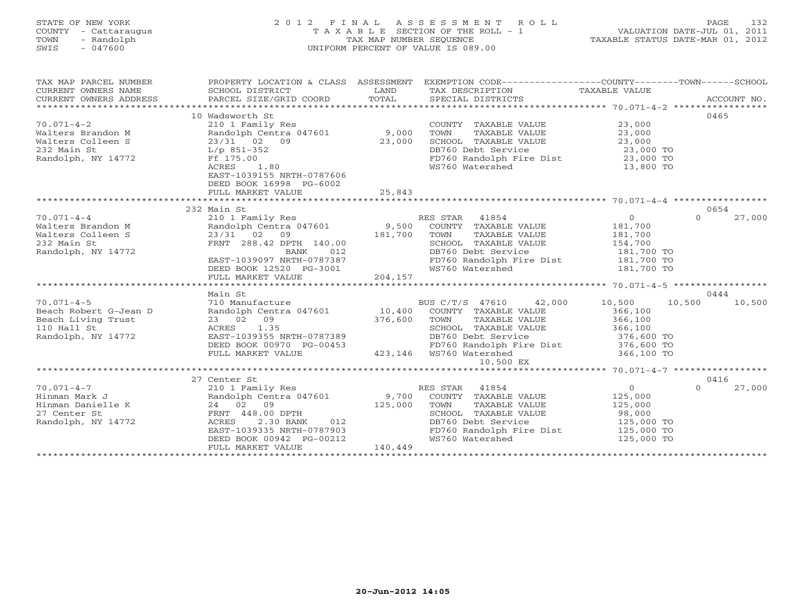### STATE OF NEW YORK 2 0 1 2 F I N A L A S S E S S M E N T R O L L PAGE 132 COUNTY - Cattaraugus T A X A B L E SECTION OF THE ROLL - 1 VALUATION DATE-JUL 01, 2011 TOWN - Randolph TAX MAP NUMBER SEQUENCE TAXABLE STATUS DATE-MAR 01, 2012 SWIS - 047600 UNIFORM PERCENT OF VALUE IS 089.00UNIFORM PERCENT OF VALUE IS 089.00

| TAX MAP PARCEL NUMBER  | PROPERTY LOCATION & CLASS ASSESSMENT                                  |         | EXEMPTION CODE-----------------COUNTY-------TOWN------SCHOOL |               |                    |
|------------------------|-----------------------------------------------------------------------|---------|--------------------------------------------------------------|---------------|--------------------|
| CURRENT OWNERS NAME    | SCHOOL DISTRICT                                                       | LAND    | TAX DESCRIPTION                                              | TAXABLE VALUE |                    |
| CURRENT OWNERS ADDRESS | PARCEL SIZE/GRID COORD                                                | TOTAL   | SPECIAL DISTRICTS                                            |               | ACCOUNT NO.        |
|                        |                                                                       |         |                                                              |               |                    |
|                        | 10 Wadsworth St                                                       |         |                                                              |               | 0465               |
| $70.071 - 4 - 2$       | 210 1 Family Res                                                      |         | COUNTY TAXABLE VALUE                                         | 23,000        |                    |
| Walters Brandon M      | Randolph Centra 047601                                                | 9,000   | TOWN<br>TAXABLE VALUE                                        | 23,000        |                    |
| Walters Colleen S      | 23/31 02 09                                                           | 23,000  | SCHOOL TAXABLE VALUE                                         | 23,000        |                    |
| 232 Main St            | L/p 851-352                                                           |         | DB760 Debt Service                                           | 23,000 TO     |                    |
| Randolph, NY 14772     | Ff 175.00                                                             |         | FD760 Randolph Fire Dist 23,000 TO                           |               |                    |
|                        | 1.80<br>ACRES<br>EAST-1039155 NRTH-0787606<br>DEED BOOK 16998 PG-6002 |         | WS760 Watershed                                              | 13,800 TO     |                    |
|                        | FULL MARKET VALUE                                                     | 25,843  |                                                              |               |                    |
|                        | 232 Main St                                                           |         |                                                              |               | 0654               |
| $70.071 - 4 - 4$       | 210 1 Family Res                                                      |         | RES STAR 41854                                               | $\Omega$      | 27,000<br>$\Omega$ |
| Walters Brandon M      | Randolph Centra 047601 9,500                                          |         | COUNTY TAXABLE VALUE                                         | 181,700       |                    |
| Walters Colleen S      | 23/31 02<br>09                                                        | 181,700 | TOWN<br>TAXABLE VALUE                                        | 181,700       |                    |
| 232 Main St            | FRNT 288.42 DPTH 140.00                                               |         | SCHOOL TAXABLE VALUE                                         | 154,700       |                    |
| Randolph, NY 14772     | BANK<br>012                                                           |         | DB760 Debt Service                                           | 181,700 TO    |                    |
|                        | EAST-1039097 NRTH-0787387                                             |         |                                                              |               |                    |
|                        | DEED BOOK 12520 PG-3001                                               |         | FD760 Randolph Fire Dist 181,700 TO<br>WS760 Watershed       | 181,700 TO    |                    |
|                        | FULL MARKET VALUE                                                     | 204,157 |                                                              |               |                    |
|                        |                                                                       |         |                                                              |               |                    |
|                        | Main St                                                               |         |                                                              |               | 0444               |
| $70.071 - 4 - 5$       | 710 Manufacture                                                       |         | BUS C/T/S 47610<br>42,000                                    | 10,500        | 10,500<br>10,500   |
| Beach Robert G-Jean D  | Randolph Centra 047601 10,400                                         |         | COUNTY TAXABLE VALUE                                         | 366,100       |                    |
| Beach Living Trust     | 23 02 09                                                              | 376,600 | TOWN<br>TAXABLE VALUE                                        | 366,100       |                    |
| 110 Hall St            | ACRES 1.35                                                            |         | SCHOOL TAXABLE VALUE                                         | 366,100       |                    |
| Randolph, NY 14772     | EAST-1039355 NRTH-0787389                                             |         | DB760 Debt Service                                           | 376,600 TO    |                    |
|                        | DEED BOOK 00970 PG-00453                                              |         | FD760 Randolph Fire Dist                                     | 376,600 TO    |                    |
|                        | FULL MARKET VALUE                                                     |         | 423,146  WS760 Watershed                                     | 366,100 TO    |                    |
|                        |                                                                       |         | 10,500 EX                                                    |               |                    |
|                        |                                                                       |         |                                                              |               |                    |
|                        | 27 Center St                                                          |         |                                                              |               | 0416               |
| $70.071 - 4 - 7$       | 210 1 Family Res                                                      |         | RES STAR 41854                                               | $\circ$       | 27,000<br>$\Omega$ |
| Hinman Mark J          | Randolph Centra 047601                                                | 9,700   | COUNTY TAXABLE VALUE                                         | 125,000       |                    |
| Hinman Danielle K      | 24 02 09                                                              | 125,000 | TAXABLE VALUE<br>TOWN                                        | 125,000       |                    |
| 27 Center St           | FRNT 448.00 DPTH                                                      |         | SCHOOL TAXABLE VALUE                                         | 98,000        |                    |
| Randolph, NY 14772     | 2.30 BANK<br>ACRES<br>012                                             |         | DB760 Debt Service                                           | 125,000 TO    |                    |
|                        | EAST-1039335 NRTH-0787903                                             |         | FD760 Randolph Fire Dist                                     | $125,000$ TO  |                    |
|                        | DEED BOOK 00942 PG-00212                                              |         | WS760 Watershed                                              | 125,000 TO    |                    |
|                        | FULL MARKET VALUE                                                     | 140,449 |                                                              |               |                    |
|                        |                                                                       |         |                                                              |               |                    |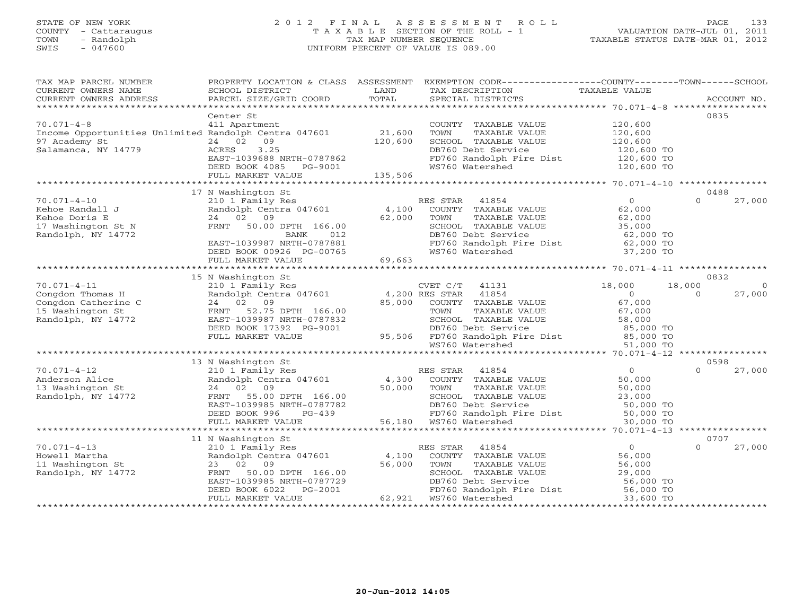### STATE OF NEW YORK 2 0 1 2 F I N A L A S S E S S M E N T R O L L PAGE 133 COUNTY - Cattaraugus T A X A B L E SECTION OF THE ROLL - 1 VALUATION DATE-JUL 01, 2011 TOWN - Randolph TAX MAP NUMBER SEQUENCE TAXABLE STATUS DATE-MAR 01, 2012 SWIS - 047600 UNIFORM PERCENT OF VALUE IS 089.00UNIFORM PERCENT OF VALUE IS 089.00

| TAX MAP PARCEL NUMBER<br>CURRENT OWNERS NAME<br>CURRENT OWNERS ADDRESS                                            | PROPERTY LOCATION & CLASS ASSESSMENT<br>SCHOOL DISTRICT<br>PARCEL SIZE/GRID COORD                                                                                                       | LAND<br>TOTAL             | EXEMPTION CODE-----------------COUNTY--------TOWN------SCHOOL<br>TAX DESCRIPTION<br>SPECIAL DISTRICTS                                                                                         | TAXABLE VALUE                                                                            |                    | ACCOUNT NO.      |
|-------------------------------------------------------------------------------------------------------------------|-----------------------------------------------------------------------------------------------------------------------------------------------------------------------------------------|---------------------------|-----------------------------------------------------------------------------------------------------------------------------------------------------------------------------------------------|------------------------------------------------------------------------------------------|--------------------|------------------|
| ***********************                                                                                           |                                                                                                                                                                                         |                           |                                                                                                                                                                                               |                                                                                          |                    |                  |
| $70.071 - 4 - 8$<br>Income Opportunities Unlimited Randolph Centra 047601<br>97 Academy St<br>Salamanca, NY 14779 | Center St<br>411 Apartment<br>24 02<br>09<br>3.25<br>ACRES                                                                                                                              | 21,600<br>120,600         | COUNTY TAXABLE VALUE<br>TOWN<br>TAXABLE VALUE<br>SCHOOL TAXABLE VALUE<br>DB760 Debt Service                                                                                                   | 120,600<br>120,600<br>120,600<br>120,600 TO                                              | 0835               |                  |
|                                                                                                                   | EAST-1039688 NRTH-0787862<br>DEED BOOK 4085 PG-9001                                                                                                                                     | 135,506                   | FD760 Randolph Fire Dist<br>WS760 Watershed                                                                                                                                                   | 120,600 TO<br>120,600 TO                                                                 |                    |                  |
|                                                                                                                   | FULL MARKET VALUE                                                                                                                                                                       |                           |                                                                                                                                                                                               |                                                                                          |                    |                  |
|                                                                                                                   | 17 N Washington St                                                                                                                                                                      |                           |                                                                                                                                                                                               |                                                                                          | 0488               |                  |
| $70.071 - 4 - 10$<br>Kehoe Randall J<br>Kehoe Doris E<br>17 Washington St N<br>Randolph, NY 14772                 | 210 1 Family Res<br>Randolph Centra 047601<br>24 02 09<br>FRNT<br>50.00 DPTH 166.00<br><b>BANK</b><br>012<br>EAST-1039987 NRTH-0787881<br>DEED BOOK 00926 PG-00765<br>FULL MARKET VALUE | 4,100<br>62,000<br>69,663 | RES STAR 41854<br>COUNTY TAXABLE VALUE<br>TOWN<br>TAXABLE VALUE<br>SCHOOL TAXABLE VALUE<br>DB760 Debt Service<br>FD760 Randolph Fire Dist<br>WS760 Watershed                                  | $\Omega$<br>62,000<br>62,000<br>35,000<br>62,000 TO<br>62,000 TO<br>37,200 TO            | $\Omega$           | 27,000           |
|                                                                                                                   | ****************************                                                                                                                                                            |                           |                                                                                                                                                                                               |                                                                                          |                    |                  |
|                                                                                                                   | 15 N Washington St                                                                                                                                                                      |                           |                                                                                                                                                                                               |                                                                                          |                    | 0832             |
| $70.071 - 4 - 11$<br>Congdon Thomas H<br>Congdon Catherine C<br>15 Washington St<br>Randolph, NY 14772            | 210 1 Family Res<br>Randolph Centra 047601<br>24 02 09<br>52.75 DPTH 166.00<br>FRNT<br>EAST-1039987 NRTH-0787832<br>DEED BOOK 17392 PG-9001<br>FULL MARKET VALUE                        | 85,000<br>95,506          | CVET C/T<br>41131<br>4,200 RES STAR<br>41854<br>COUNTY<br>TAXABLE VALUE<br>TOWN<br>TAXABLE VALUE<br>SCHOOL TAXABLE VALUE<br>DB760 Debt Service<br>FD760 Randolph Fire Dist<br>WS760 Watershed | 18,000<br>$\circ$<br>67,000<br>67,000<br>58,000<br>85,000 TO<br>$85,000$ TO<br>51,000 TO | 18,000<br>$\Omega$ | 27,000           |
|                                                                                                                   |                                                                                                                                                                                         |                           |                                                                                                                                                                                               |                                                                                          |                    |                  |
| $70.071 - 4 - 12$                                                                                                 | 13 N Washington St<br>210 1 Family Res                                                                                                                                                  |                           | RES STAR<br>41854                                                                                                                                                                             | $\overline{0}$                                                                           | $\Omega$           | 0598<br>27,000   |
| Anderson Alice<br>13 Washington St<br>Randolph, NY 14772                                                          | Randolph Centra 047601<br>24 02 09<br>FRNT<br>55.00 DPTH 166.00<br>EAST-1039985 NRTH-0787782<br>DEED BOOK 996<br>$PG-439$<br>FULL MARKET VALUE                                          | 4,300<br>50,000           | COUNTY TAXABLE VALUE<br>TOWN<br>TAXABLE VALUE<br>SCHOOL TAXABLE VALUE<br>DB760 Debt Service<br>FD760 Randolph Fire Dist<br>56,180 WS760 Watershed                                             | 50,000<br>50,000<br>23,000<br>50,000 TO<br>50,000 TO<br>30,000 TO                        |                    |                  |
|                                                                                                                   |                                                                                                                                                                                         |                           |                                                                                                                                                                                               | ********** 70.071-4-13                                                                   |                    | **************** |
|                                                                                                                   | 11 N Washington St                                                                                                                                                                      |                           |                                                                                                                                                                                               |                                                                                          | 0707               |                  |
| $70.071 - 4 - 13$<br>Howell Martha<br>11 Washington St<br>Randolph, NY 14772                                      | 210 1 Family Res<br>Randolph Centra 047601<br>23 02 09<br>50.00 DPTH 166.00<br>FRNT<br>EAST-1039985 NRTH-0787729<br>DEED BOOK 6022<br>$PG-2001$<br>FULL MARKET VALUE                    | 4,100<br>56,000           | RES STAR<br>41854<br>COUNTY TAXABLE VALUE<br>TOWN<br>TAXABLE VALUE<br>SCHOOL TAXABLE VALUE<br>DB760 Debt Service<br>FD760 Randolph Fire Dist<br>62,921 WS760 Watershed                        | $\overline{0}$<br>56,000<br>56,000<br>29,000<br>56,000 TO<br>56,000 TO<br>33,600 TO      | $\Omega$           | 27,000           |
|                                                                                                                   |                                                                                                                                                                                         |                           |                                                                                                                                                                                               |                                                                                          |                    |                  |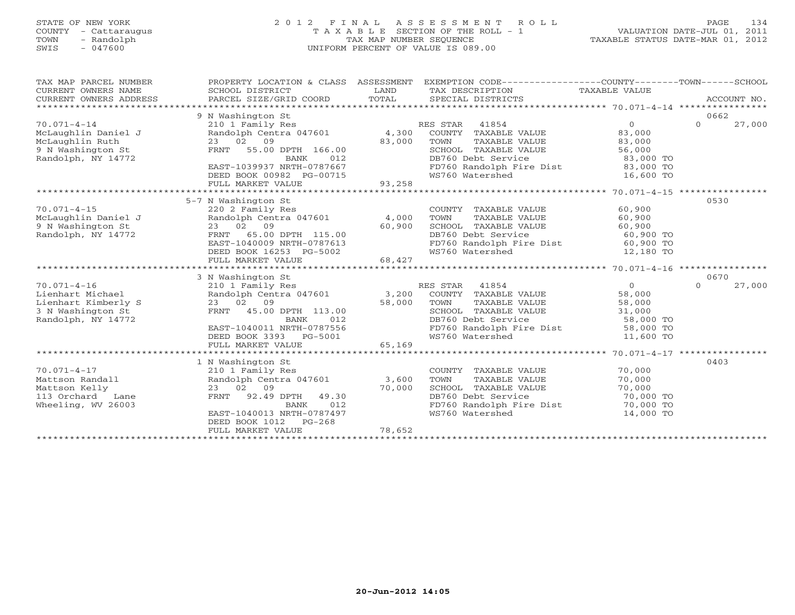### STATE OF NEW YORK 2 0 1 2 F I N A L A S S E S S M E N T R O L L PAGE 134 COUNTY - Cattaraugus T A X A B L E SECTION OF THE ROLL - 1 VALUATION DATE-JUL 01, 2011 TOWN - Randolph TAX MAP NUMBER SEQUENCE TAXABLE STATUS DATE-MAR 01, 2012 SWIS - 047600 UNIFORM PERCENT OF VALUE IS 089.00UNIFORM PERCENT OF VALUE IS 089.00

| TAX MAP PARCEL NUMBER<br>CURRENT OWNERS NAME<br>CURRENT OWNERS ADDRESS                                  | PROPERTY LOCATION & CLASS ASSESSMENT<br>SCHOOL DISTRICT<br>PARCEL SIZE/GRID COORD                                                                                                 | LAND<br>TOTAL   | EXEMPTION CODE-----------------COUNTY-------TOWN------SCHOOL<br>TAX DESCRIPTION<br>SPECIAL DISTRICTS                                                            | TAXABLE VALUE                                                                       | ACCOUNT NO.        |
|---------------------------------------------------------------------------------------------------------|-----------------------------------------------------------------------------------------------------------------------------------------------------------------------------------|-----------------|-----------------------------------------------------------------------------------------------------------------------------------------------------------------|-------------------------------------------------------------------------------------|--------------------|
|                                                                                                         | 9 N Washington St                                                                                                                                                                 |                 |                                                                                                                                                                 |                                                                                     | 0662               |
| $70.071 - 4 - 14$<br>McLaughlin Daniel J<br>McLaughlin Ruth<br>9 N Washington St<br>Randolph, NY 14772  | 210 1 Family Res<br>Randolph Centra 047601<br>23 02 09<br>FRNT 55.00 DPTH 166.00<br><b>BANK</b><br>012<br>EAST-1039937 NRTH-0787667                                               | 4,300<br>83,000 | RES STAR<br>41854<br>COUNTY TAXABLE VALUE<br>TOWN<br>TAXABLE VALUE<br>SCHOOL TAXABLE VALUE<br>DB760 Debt Service<br>FD760 Randolph Fire Dist                    | $\circ$<br>83,000<br>83,000<br>56,000<br>83,000 TO<br>83,000 TO                     | $\Omega$<br>27,000 |
|                                                                                                         | DEED BOOK 00982 PG-00715<br>FULL MARKET VALUE                                                                                                                                     | 93,258          | WS760 Watershed                                                                                                                                                 | 16,600 TO                                                                           |                    |
|                                                                                                         | **************************                                                                                                                                                        |                 |                                                                                                                                                                 |                                                                                     |                    |
|                                                                                                         | 5-7 N Washington St                                                                                                                                                               |                 |                                                                                                                                                                 |                                                                                     | 0530               |
| $70.071 - 4 - 15$<br>McLaughlin Daniel J<br>9 N Washington St<br>Randolph, NY 14772                     | 220 2 Family Res<br>Randolph Centra 047601 4,000<br>23 02 09<br>65.00 DPTH 115.00<br>FRNT<br>EAST-1040009 NRTH-0787613<br>DEED BOOK 16253 PG-5002                                 | 60,900          | COUNTY TAXABLE VALUE<br>TOWN<br>TAXABLE VALUE<br>SCHOOL TAXABLE VALUE<br>DB760 Debt Service<br>FD760 Randolph Fire Dist<br>WS760 Watershed                      | 60,900<br>60,900<br>60,900<br>60,900 TO<br>60,900 TO<br>12,180 TO                   |                    |
|                                                                                                         | FULL MARKET VALUE                                                                                                                                                                 | 68,427          |                                                                                                                                                                 |                                                                                     |                    |
|                                                                                                         | *******************                                                                                                                                                               |                 |                                                                                                                                                                 |                                                                                     |                    |
|                                                                                                         | 3 N Washington St                                                                                                                                                                 |                 |                                                                                                                                                                 |                                                                                     | 0670               |
| $70.071 - 4 - 16$<br>Lienhart Michael<br>Lienhart Kimberly S<br>3 N Washington St<br>Randolph, NY 14772 | 210 1 Family Res<br>Randolph Centra 047601<br>23 02 09<br>FRNT 45.00 DPTH 113.00<br>012<br><b>BANK</b><br>EAST-1040011 NRTH-0787556<br>DEED BOOK 3393<br>PG-5001                  | 3,200<br>58,000 | 41854<br>RES STAR<br>COUNTY TAXABLE VALUE<br>TOWN<br>TAXABLE VALUE<br>SCHOOL TAXABLE VALUE<br>DB760 Debt Service<br>FD760 Randolph Fire Dist<br>WS760 Watershed | $\overline{0}$<br>58,000<br>58,000<br>31,000<br>58,000 TO<br>58,000 TO<br>11,600 TO | $\Omega$<br>27,000 |
|                                                                                                         | FULL MARKET VALUE                                                                                                                                                                 | 65,169          |                                                                                                                                                                 |                                                                                     |                    |
|                                                                                                         |                                                                                                                                                                                   |                 |                                                                                                                                                                 |                                                                                     |                    |
| $70.071 - 4 - 17$<br>Mattson Randall<br>Mattson Kelly<br>113 Orchard<br>Lane<br>Wheeling, WV 26003      | 1 N Washington St<br>210 1 Family Res<br>Randolph Centra 047601<br>23 02 09<br>FRNT 92.49 DPTH<br>49.30<br>012<br>BANK<br>EAST-1040013 NRTH-0787497<br>$PG-268$<br>DEED BOOK 1012 | 3,600<br>70,000 | COUNTY TAXABLE VALUE<br>TOWN<br>TAXABLE VALUE<br>SCHOOL TAXABLE VALUE<br>DB760 Debt Service<br>FD760 Randolph Fire Dist<br>WS760 Watershed                      | 70,000<br>70,000<br>70,000<br>70,000 TO<br>70,000 TO<br>14,000 TO                   | 0403               |
|                                                                                                         | FULL MARKET VALUE                                                                                                                                                                 | 78,652          |                                                                                                                                                                 |                                                                                     |                    |
|                                                                                                         |                                                                                                                                                                                   |                 |                                                                                                                                                                 |                                                                                     |                    |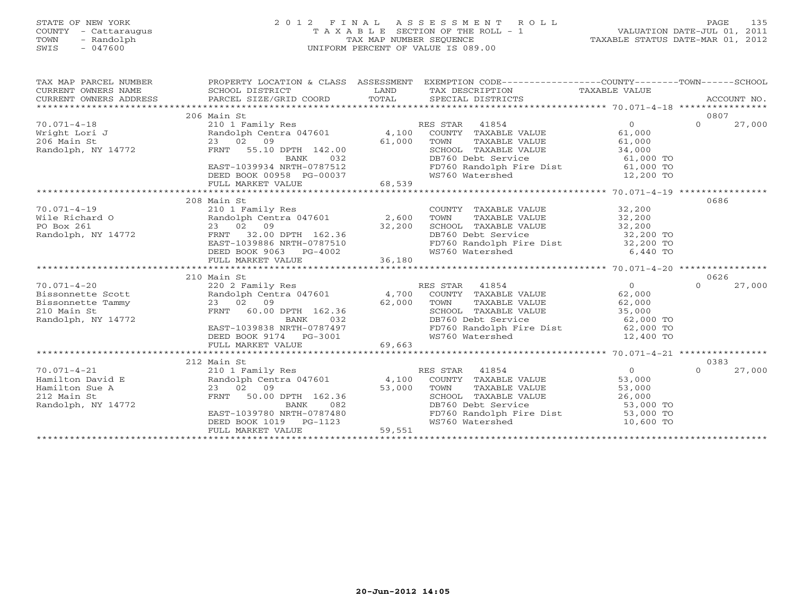### STATE OF NEW YORK 2 0 1 2 F I N A L A S S E S S M E N T R O L L PAGE 135 COUNTY - Cattaraugus T A X A B L E SECTION OF THE ROLL - 1 VALUATION DATE-JUL 01, 2011 TOWN - Randolph TAX MAP NUMBER SEQUENCE TAXABLE STATUS DATE-MAR 01, 2012 SWIS - 047600 UNIFORM PERCENT OF VALUE IS 089.00UNIFORM PERCENT OF VALUE IS 089.00

| TAX MAP PARCEL NUMBER<br>CURRENT OWNERS NAME<br>CURRENT OWNERS ADDRESS                                                                                                                                                                                                                                                                                                                                                        | SCHOOL DISTRICT<br>LAND<br>PARCEL SIZE/GRID COORD TOTAL                                                                                                                                                                                                                                                           |                  | PROPERTY LOCATION & CLASS ASSESSMENT EXEMPTION CODE---------------COUNTY-------TOWN------SCHOOL<br>TAX DESCRIPTION TAXABLE VALUE<br>SPECIAL DISTRICTS                                                                                                                                                                                        |                                           | ACCOUNT NO.                |
|-------------------------------------------------------------------------------------------------------------------------------------------------------------------------------------------------------------------------------------------------------------------------------------------------------------------------------------------------------------------------------------------------------------------------------|-------------------------------------------------------------------------------------------------------------------------------------------------------------------------------------------------------------------------------------------------------------------------------------------------------------------|------------------|----------------------------------------------------------------------------------------------------------------------------------------------------------------------------------------------------------------------------------------------------------------------------------------------------------------------------------------------|-------------------------------------------|----------------------------|
| $70.071 - 4 - 18$<br>Wright Lori J<br>206 Main St<br>Randolph, NY 14772                                                                                                                                                                                                                                                                                                                                                       | 206 Main St<br>210 1 Family Res<br>Randolph Centra 047601 $\begin{array}{cccc} 4,100 & \text{COUNTY} & \text{TAXABLE VALUE} \\ 23 & 02 & 09 & 61,000 & \text{TOWN} \end{array}$ TAXABLE VALUE<br>FRNT 55.10 DPTH 142.00<br>BANK 032<br>EAST-1039934 NRTH-0787512<br>DEED BOOK 00958 PG-00037<br>FULL MARKET VALUE | 68,539           | RES STAR 41854<br>SCHOOL TAXABLE VALUE 34,000<br>DB760 Debt Service 61,000 TO<br>FD760 Randolph Fire Dist 61,000 TO<br>WS760 Watershed 12,200 TO                                                                                                                                                                                             | $0 \qquad \qquad$<br>$61,000$<br>$61,000$ | 0807<br>$\Omega$<br>27,000 |
|                                                                                                                                                                                                                                                                                                                                                                                                                               |                                                                                                                                                                                                                                                                                                                   |                  |                                                                                                                                                                                                                                                                                                                                              |                                           |                            |
| $70.071 - 4 - 19$<br>4772<br>Wile Richard O<br>PO Box 261<br>Randolph, NY 14772                                                                                                                                                                                                                                                                                                                                               | 208 Main St<br>210 1 Family Res<br>Randolph Centra $047601$ 2,600<br>DEED BOOK 9063 PG-4002<br>FULL MARKET VALUE                                                                                                                                                                                                  | 36,180           | $\begin{tabular}{lllllllllll} \multicolumn{2}{c}{\textbf{COUNTY}} & \textbf{TAXABLE VALUE} & & & & 32\, , 200 \\ \multicolumn{2}{c}{\textbf{TOWN}} & \textbf{TAXABLE VALUE} & & & 32\, , 200 \end{tabular}$<br>SCHOOL TAXABLE VALUE 32,200<br>DB760 Debt Service 32,200 TO<br>FD760 Randolph Fire Dist 32,200 TO<br>WS760 Watershed 6,440 TO |                                           | 0686                       |
|                                                                                                                                                                                                                                                                                                                                                                                                                               |                                                                                                                                                                                                                                                                                                                   |                  |                                                                                                                                                                                                                                                                                                                                              |                                           |                            |
| $\begin{tabular}{lllllllll} \multicolumn{4}{c c c c c c} \multicolumn{4}{c c c c} \multicolumn{4}{c c c c} \multicolumn{4}{c c c} \multicolumn{4}{c c c} \multicolumn{4}{c c c} \multicolumn{4}{c c c} \multicolumn{4}{c c c} \multicolumn{4}{c c c} \multicolumn{4}{c c c} \multicolumn{4}{c c c} \multicolumn{4}{c c c} \multicolumn{4}{c c c} \multicolumn{4}{c c c} \multicolumn{4}{c c c} \multic$<br>Randolph, NY 14772 | BANK 032<br>EAST-1039838 NRTH-0787497<br>DEED BOOK 9174 PG-3001                                                                                                                                                                                                                                                   |                  | DB760 Debt Service 62,000 TO<br>FD760 Randolph Fire Dist 62,000 TO<br>WS760 Watershed 12,400 TO                                                                                                                                                                                                                                              | $\Omega$<br>62,000<br>62,000<br>35,000    | 0626<br>$\Omega$<br>27,000 |
|                                                                                                                                                                                                                                                                                                                                                                                                                               |                                                                                                                                                                                                                                                                                                                   |                  |                                                                                                                                                                                                                                                                                                                                              |                                           |                            |
| $70.071 - 4 - 21$<br>Hamilton David E<br>$\mathbf{E}$<br>Hamilton Sue A<br>212 Main St<br>Randolph, NY 14772                                                                                                                                                                                                                                                                                                                  | 212 Main St<br>210 1 Family Res<br>Randolph Centra 047601 4,100 COUNTY TAXABLE VALUE<br>Xandryn Christ - 1993<br>23 02 09<br>FRNT 50.00 DPTH 162.36<br>BANK 082<br>$\texttt{EAST-1039780} \text{ NRTH-0787480}$<br>DEED BOOK 1019 PG-1123<br>FULL MARKET VALUE                                                    | 53,000<br>59,551 | RES STAR 41854<br>TAXABLE VALUE 53,000<br>TAXABLE VALUE 53,000<br>TAXABLE VALUE 26,000<br>TOWN<br>SCHOOL TAXABLE VALUE<br>DB760 Debt Service<br>FD760 Randolph Fire Dist 53,000 TO<br>WS760 Watershed                                                                                                                                        | $\overline{0}$<br>53,000 TO<br>10,600 TO  | 0383<br>$\Omega$<br>27,000 |
|                                                                                                                                                                                                                                                                                                                                                                                                                               |                                                                                                                                                                                                                                                                                                                   |                  |                                                                                                                                                                                                                                                                                                                                              |                                           |                            |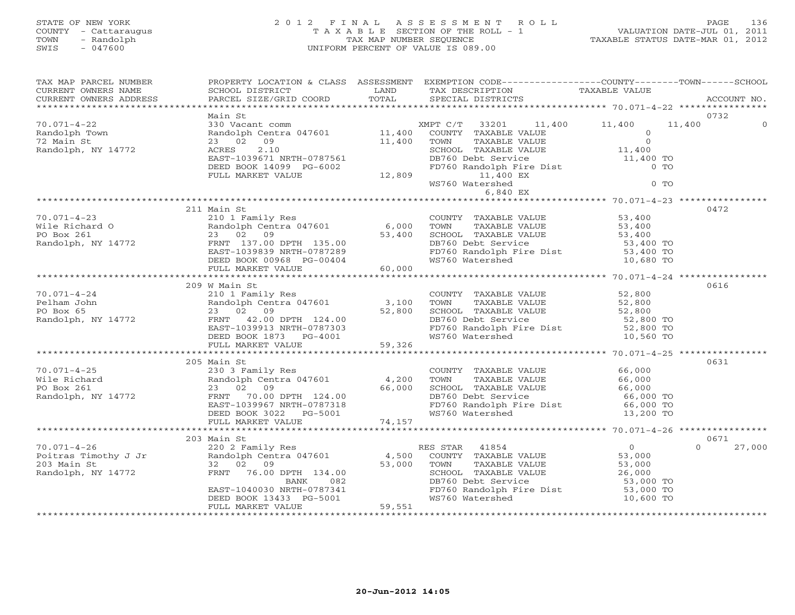### STATE OF NEW YORK 2 0 1 2 F I N A L A S S E S S M E N T R O L L PAGE 136 COUNTY - Cattaraugus T A X A B L E SECTION OF THE ROLL - 1 VALUATION DATE-JUL 01, 2011 TOWN - Randolph TAX MAP NUMBER SEQUENCE TAXABLE STATUS DATE-MAR 01, 2012 SWIS - 047600 UNIFORM PERCENT OF VALUE IS 089.00UNIFORM PERCENT OF VALUE IS 089.00

| TAX MAP PARCEL NUMBER<br>CURRENT OWNERS NAME<br>CURRENT OWNERS ADDRESS                                                                                                                                                                                                                                                                                                                           |               |  |                    |
|--------------------------------------------------------------------------------------------------------------------------------------------------------------------------------------------------------------------------------------------------------------------------------------------------------------------------------------------------------------------------------------------------|---------------|--|--------------------|
|                                                                                                                                                                                                                                                                                                                                                                                                  | Main St       |  | 0732               |
|                                                                                                                                                                                                                                                                                                                                                                                                  |               |  |                    |
|                                                                                                                                                                                                                                                                                                                                                                                                  |               |  |                    |
|                                                                                                                                                                                                                                                                                                                                                                                                  |               |  |                    |
|                                                                                                                                                                                                                                                                                                                                                                                                  |               |  |                    |
| $\begin{array}{cccccccc} 70.071-4-23 & 211 & \text{Main S1} & 10 & 1 & \text{Family Res} & 6,000 & 70 \text{WN} & 7 \text{AXABLE VALUE} & 53,400 & 94 \text{ N} \\ \text{Wile Richard O} & 210 & 1 & \text{Family Res} & 6,000 & 70 \text{WN} & 7 \text{AXABLE VALUE} & 53,400 & 53,400 \\ \text{Po Box } 261 & 23 & 02 & 09 & 7 \text{NN} & 137.00 & 53,400 & 53,400 \\ \text{Random Randolph,$ | 211 Main St   |  | 0472               |
|                                                                                                                                                                                                                                                                                                                                                                                                  |               |  |                    |
|                                                                                                                                                                                                                                                                                                                                                                                                  |               |  |                    |
|                                                                                                                                                                                                                                                                                                                                                                                                  | 209 W Main St |  | 0616               |
|                                                                                                                                                                                                                                                                                                                                                                                                  |               |  |                    |
|                                                                                                                                                                                                                                                                                                                                                                                                  |               |  |                    |
|                                                                                                                                                                                                                                                                                                                                                                                                  |               |  |                    |
| $\begin{array}{lllllllllllllllllllll} \hline & 205\; \text{Main St} & 205\; \text{Main St} & 200\; \text{Main St} & 200\; \text{Main St} & 200\; \text{I} & 200\; \text{I} & 200\; \text{I} & 200\; \text{I} & 200\; \text{I} & 200\; \text{I} & 200\; \text{I} & 200\; \text{I} & 200\; \text{I} & 200\; \text{I} & 200\; \text{I} & 200\; \text{I} & 20$                                       | 205 Main St   |  | 0631               |
|                                                                                                                                                                                                                                                                                                                                                                                                  |               |  |                    |
|                                                                                                                                                                                                                                                                                                                                                                                                  |               |  |                    |
|                                                                                                                                                                                                                                                                                                                                                                                                  | 203 Main St   |  | 0671               |
|                                                                                                                                                                                                                                                                                                                                                                                                  |               |  | $\Omega$<br>27,000 |
|                                                                                                                                                                                                                                                                                                                                                                                                  |               |  |                    |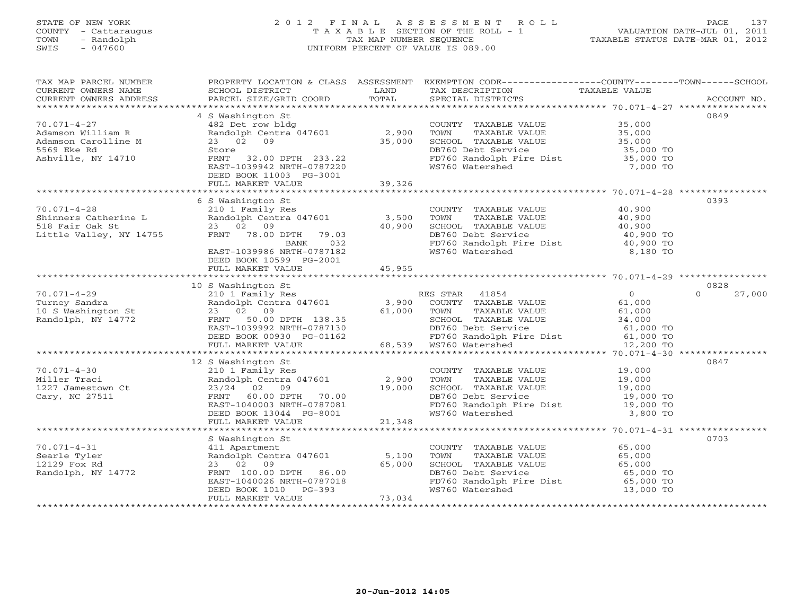### STATE OF NEW YORK 2 0 1 2 F I N A L A S S E S S M E N T R O L L PAGE 137 COUNTY - Cattaraugus T A X A B L E SECTION OF THE ROLL - 1 VALUATION DATE-JUL 01, 2011 TOWN - Randolph TAX MAP NUMBER SEQUENCE TAXABLE STATUS DATE-MAR 01, 2012 SWIS - 047600 UNIFORM PERCENT OF VALUE IS 089.00UNIFORM PERCENT OF VALUE IS 089.00

| TAX MAP PARCEL NUMBER<br>CURRENT OWNERS NAME<br>CURRENT OWNERS ADDRESS | PROPERTY LOCATION & CLASS ASSESSMENT<br>SCHOOL DISTRICT<br>PARCEL SIZE/GRID COORD | LAND<br>TOTAL | EXEMPTION CODE----------------COUNTY-------TOWN------SCHOOL<br>TAX DESCRIPTION<br>SPECIAL DISTRICTS | TAXABLE VALUE    | ACCOUNT NO.        |
|------------------------------------------------------------------------|-----------------------------------------------------------------------------------|---------------|-----------------------------------------------------------------------------------------------------|------------------|--------------------|
|                                                                        |                                                                                   |               |                                                                                                     |                  |                    |
|                                                                        | 4 S Washington St                                                                 |               |                                                                                                     |                  | 0849               |
| $70.071 - 4 - 27$                                                      | 482 Det row bldg                                                                  |               | COUNTY TAXABLE VALUE                                                                                | 35,000           |                    |
| Adamson William R                                                      | Randolph Centra 047601                                                            | 2,900         | TOWN<br>TAXABLE VALUE                                                                               | 35,000           |                    |
| Adamson Carolline M                                                    | 23 02 09                                                                          | 35,000        | SCHOOL TAXABLE VALUE                                                                                | 35,000           |                    |
| 5569 Eke Rd                                                            | Store                                                                             |               | DB760 Debt Service                                                                                  | 35,000 TO        |                    |
| Ashville, NY 14710                                                     | FRNT 32.00 DPTH 233.22                                                            |               | FD760 Randolph Fire Dist 35,000 TO                                                                  |                  |                    |
|                                                                        | EAST-1039942 NRTH-0787220<br>DEED BOOK 11003 PG-3001                              |               | WS760 Watershed                                                                                     | 7,000 TO         |                    |
|                                                                        | FULL MARKET VALUE                                                                 | 39,326        |                                                                                                     |                  |                    |
|                                                                        |                                                                                   |               |                                                                                                     |                  |                    |
|                                                                        | 6 S Washington St                                                                 |               |                                                                                                     |                  | 0393               |
| $70.071 - 4 - 28$                                                      | 210 1 Family Res                                                                  |               | COUNTY TAXABLE VALUE                                                                                | 40,900           |                    |
| Shinners Catherine L                                                   | Randolph Centra 047601                                                            | 3,500         | TAXABLE VALUE<br>TOWN                                                                               | 40,900           |                    |
| 518 Fair Oak St<br>Little Valley, NY 14755                             | 23 02 09                                                                          | 40,900        | SCHOOL TAXABLE VALUE                                                                                | 40,900           |                    |
|                                                                        | FRNT 78.00 DPTH<br>79.03                                                          |               | DB760 Debt Service                                                                                  | 40,900 TO        |                    |
|                                                                        | BANK<br>032                                                                       |               | FD760 Randolph Fire Dist<br>WS760 Watershed                                                         | 40,900 TO        |                    |
|                                                                        | EAST-1039986 NRTH-0787182                                                         |               |                                                                                                     | 8,180 TO         |                    |
|                                                                        | DEED BOOK 10599 PG-2001<br>FULL MARKET VALUE                                      | 45,955        |                                                                                                     |                  |                    |
|                                                                        |                                                                                   |               |                                                                                                     |                  |                    |
|                                                                        | 10 S Washington St                                                                |               |                                                                                                     |                  | 0828               |
| $70.071 - 4 - 29$                                                      | 210 1 Family Res                                                                  |               | RES STAR 41854                                                                                      | $\overline{0}$   | $\Omega$<br>27,000 |
| Turney Sandra                                                          | Randolph Centra 047601                                                            | 3,900         | COUNTY TAXABLE VALUE                                                                                | 61,000           |                    |
| 10 S Washington St                                                     | 23 02 09                                                                          | 61,000        | TOWN<br>TAXABLE VALUE                                                                               | 61,000           |                    |
| Randolph, NY 14772                                                     | FRNT<br>50.00 DPTH 138.35                                                         |               | SCHOOL TAXABLE VALUE                                                                                | 34,000           |                    |
|                                                                        | EAST-1039992 NRTH-0787130                                                         |               | DB760 Debt Service                                                                                  | 61,000 TO        |                    |
|                                                                        | DEED BOOK 00930 PG-01162                                                          |               | FD760 Randolph Fire Dist 61,000 TO                                                                  |                  |                    |
|                                                                        | FULL MARKET VALUE                                                                 |               | 68,539 WS760 Watershed                                                                              | 12,200 TO        |                    |
|                                                                        |                                                                                   |               |                                                                                                     |                  |                    |
|                                                                        | 12 S Washington St                                                                |               |                                                                                                     |                  | 0847               |
| $70.071 - 4 - 30$                                                      | 210 1 Family Res                                                                  |               | COUNTY TAXABLE VALUE                                                                                | 19,000<br>19,000 |                    |
| Miller Traci                                                           | Randolph Centra 047601                                                            | 2,900         | TOWN<br>TAXABLE VALUE                                                                               |                  |                    |
| 1227 Jamestown Ct                                                      | 23/24 02 09                                                                       | 19,000        | SCHOOL TAXABLE VALUE                                                                                | 19,000           |                    |
| Cary, NC 27511                                                         | FRNT 60.00 DPTH 70.00                                                             |               | DB760 Debt Service                                                                                  | 19,000 TO        |                    |
|                                                                        | EAST-1040003 NRTH-0787081                                                         |               | FD760 Randolph Fire Dist                                                                            | 19,000 TO        |                    |
|                                                                        | DEED BOOK 13044 PG-8001                                                           |               | WS760 Watershed                                                                                     | 3,800 TO         |                    |
|                                                                        | FULL MARKET VALUE                                                                 | 21,348        |                                                                                                     |                  |                    |
|                                                                        | S Washington St                                                                   |               |                                                                                                     |                  | 0703               |
| $70.071 - 4 - 31$                                                      | 411 Apartment                                                                     |               | COUNTY TAXABLE VALUE                                                                                | 65,000           |                    |
| Searle Tyler                                                           | Randolph Centra 047601                                                            | 5,100         | TOWN<br>TAXABLE VALUE                                                                               | 65,000           |                    |
| 12129 Fox Rd                                                           | 23 02 09                                                                          | 65,000        | SCHOOL TAXABLE VALUE                                                                                | 65,000           |                    |
| Randolph, NY 14772                                                     | FRNT 100.00 DPTH 86.00                                                            |               | DB760 Debt Service                                                                                  | 65,000 TO        |                    |
|                                                                        | EAST-1040026 NRTH-0787018                                                         |               | FD760 Randolph Fire Dist 65,000 TO                                                                  |                  |                    |
|                                                                        | DEED BOOK 1010 PG-393                                                             |               | WS760 Watershed                                                                                     | 13,000 TO        |                    |
|                                                                        | FULL MARKET VALUE                                                                 | 73,034        |                                                                                                     |                  |                    |
|                                                                        |                                                                                   |               |                                                                                                     |                  |                    |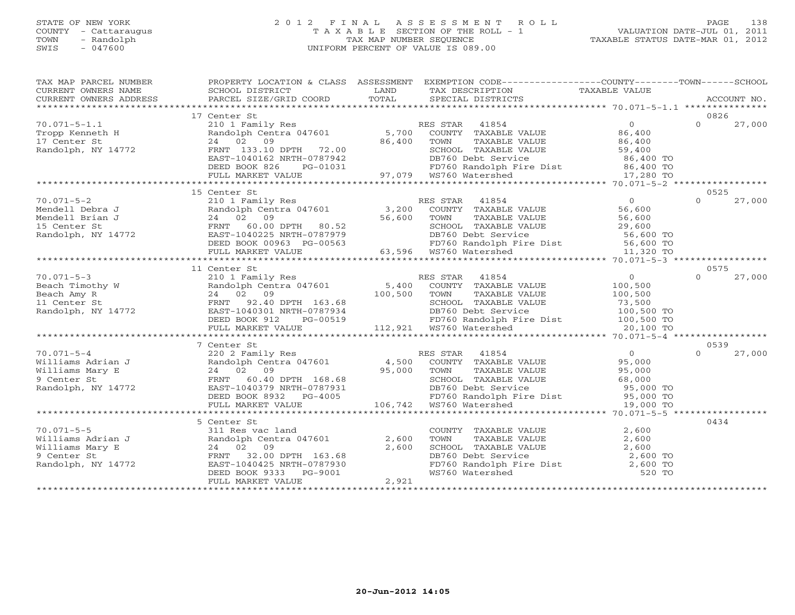#### STATE OF NEW YORK 2 0 1 2 F I N A L A S S E S S M E N T R O L L PAGE 138 COUNTY - Cattaraugus T A X A B L E SECTION OF THE ROLL - 1 VALUATION DATE-JUL 01, 2011 TOWN - Randolph TAX MAP NUMBER SEQUENCE TAXABLE STATUS DATE-MAR 01, 2012 SWIS - 047600 UNIFORM PERCENT OF VALUE IS 089.00UNIFORM PERCENT OF VALUE IS 089.00

| TAX MAP PARCEL NUMBER |                                                                                                                                                                                                                                                                                                                                                                                                                                        |       | PROPERTY LOCATION & CLASS ASSESSMENT EXEMPTION CODE----------------COUNTY-------TOWN------SCHOOL                                                                                          |                    |
|-----------------------|----------------------------------------------------------------------------------------------------------------------------------------------------------------------------------------------------------------------------------------------------------------------------------------------------------------------------------------------------------------------------------------------------------------------------------------|-------|-------------------------------------------------------------------------------------------------------------------------------------------------------------------------------------------|--------------------|
|                       | CURRENT OWNERS NOME CONSUMERT ACCOUNT NO ANNO TRANSPORT TO THE CONSUMERT OWNERS ADDRESS TO BURGEL SIZE/GRID COORD TOTAL SPECIAL DISTRICTS ACCOUNT NO.<br>CURRENT OWNERS ADDRESS PARCEL SIZE/GRID COORD TOTAL SPECIAL DISTRICTS AC                                                                                                                                                                                                      |       |                                                                                                                                                                                           |                    |
|                       |                                                                                                                                                                                                                                                                                                                                                                                                                                        |       |                                                                                                                                                                                           |                    |
|                       | 17 Center St                                                                                                                                                                                                                                                                                                                                                                                                                           |       |                                                                                                                                                                                           | 0826               |
|                       |                                                                                                                                                                                                                                                                                                                                                                                                                                        |       |                                                                                                                                                                                           |                    |
|                       |                                                                                                                                                                                                                                                                                                                                                                                                                                        |       |                                                                                                                                                                                           |                    |
|                       |                                                                                                                                                                                                                                                                                                                                                                                                                                        |       |                                                                                                                                                                                           |                    |
|                       |                                                                                                                                                                                                                                                                                                                                                                                                                                        |       |                                                                                                                                                                                           |                    |
|                       |                                                                                                                                                                                                                                                                                                                                                                                                                                        |       |                                                                                                                                                                                           |                    |
|                       |                                                                                                                                                                                                                                                                                                                                                                                                                                        |       |                                                                                                                                                                                           |                    |
|                       |                                                                                                                                                                                                                                                                                                                                                                                                                                        |       |                                                                                                                                                                                           |                    |
|                       | $\begin{tabular}{lcccccc} 70.071-5-1.1 & 17 \text{ Center St} & 17 \text{ Center St} & 1820 & 1011 \text{ Family Res} & 185,700 & \text{COUNTY TAXABLE VALUE} & 0 & 0 & 27,000 \\ \text{Tropp Kenneth H & 21011 and 01ph Central 047601 & 5,700 & \text{COUNTY TAXABLE VALUE} & 86,400 & 0 & 27,000 \\ 17 \text{ Center St} & 24 & 0 & 86,400 & 86,400 & 70 \text{NIXABLE VALUE} & 86,400 & 27,00$                                     |       |                                                                                                                                                                                           |                    |
|                       | 15 Center St                                                                                                                                                                                                                                                                                                                                                                                                                           |       |                                                                                                                                                                                           | 0525               |
| $70.071 - 5 - 2$      |                                                                                                                                                                                                                                                                                                                                                                                                                                        |       |                                                                                                                                                                                           | 27,000<br>$\Omega$ |
|                       |                                                                                                                                                                                                                                                                                                                                                                                                                                        |       | 210 1 Family Res (1990)<br>Randolph Centra 047601 (1991), 2008 COUNTY TAXABLE VALUE (1996), 56,600<br>24 (1998) (1998), 2009 (1998), 700 FOWN TAXABLE VALUE (1998), 56,600                |                    |
|                       |                                                                                                                                                                                                                                                                                                                                                                                                                                        |       |                                                                                                                                                                                           |                    |
|                       |                                                                                                                                                                                                                                                                                                                                                                                                                                        |       |                                                                                                                                                                                           |                    |
|                       |                                                                                                                                                                                                                                                                                                                                                                                                                                        |       |                                                                                                                                                                                           |                    |
|                       |                                                                                                                                                                                                                                                                                                                                                                                                                                        |       | SCHOOL TAXABLE VALUE $29,600$<br>DB760 Debt Service 56,600 TO<br>FD760 Randolph Fire Dist 56,600 TO<br>WS760 Watershed 11,320 TO                                                          |                    |
|                       |                                                                                                                                                                                                                                                                                                                                                                                                                                        |       |                                                                                                                                                                                           |                    |
|                       | 11 Center St                                                                                                                                                                                                                                                                                                                                                                                                                           |       |                                                                                                                                                                                           | 0575               |
|                       |                                                                                                                                                                                                                                                                                                                                                                                                                                        |       |                                                                                                                                                                                           | $\Omega$<br>27,000 |
|                       |                                                                                                                                                                                                                                                                                                                                                                                                                                        |       |                                                                                                                                                                                           |                    |
|                       |                                                                                                                                                                                                                                                                                                                                                                                                                                        |       |                                                                                                                                                                                           |                    |
|                       |                                                                                                                                                                                                                                                                                                                                                                                                                                        |       |                                                                                                                                                                                           |                    |
|                       |                                                                                                                                                                                                                                                                                                                                                                                                                                        |       |                                                                                                                                                                                           |                    |
|                       |                                                                                                                                                                                                                                                                                                                                                                                                                                        |       |                                                                                                                                                                                           |                    |
|                       |                                                                                                                                                                                                                                                                                                                                                                                                                                        |       |                                                                                                                                                                                           |                    |
|                       |                                                                                                                                                                                                                                                                                                                                                                                                                                        |       |                                                                                                                                                                                           |                    |
|                       | 7 Center St<br>$\begin{array}{cccccccc} 70.071-5-4 & 7 \text{ Center St} & 70.020 & \text{Family Res} & \text{RES STAR} & 41854 & 0 & 27,000 \\ \text{Williams Adrian J} & 220 & 2 \text{ Family Res} & 4,500 & \text{COUNTY} & \text{TXABLE VALUE} & 95,000 & 0 & 27,000 \\ \text{Williams Mary E} & 24 & 02 & 95,000 & 95,000 & \text{TONITY} & \text{TXABLE VALUE} & 95,000 \\ \text{9 Center St} & 24 & 02 & 95,000 & \text{SVDIN$ |       |                                                                                                                                                                                           | 0539               |
|                       |                                                                                                                                                                                                                                                                                                                                                                                                                                        |       |                                                                                                                                                                                           | 27,000             |
|                       |                                                                                                                                                                                                                                                                                                                                                                                                                                        |       |                                                                                                                                                                                           |                    |
|                       |                                                                                                                                                                                                                                                                                                                                                                                                                                        |       |                                                                                                                                                                                           |                    |
|                       |                                                                                                                                                                                                                                                                                                                                                                                                                                        |       |                                                                                                                                                                                           |                    |
|                       |                                                                                                                                                                                                                                                                                                                                                                                                                                        |       |                                                                                                                                                                                           |                    |
|                       |                                                                                                                                                                                                                                                                                                                                                                                                                                        |       |                                                                                                                                                                                           |                    |
|                       |                                                                                                                                                                                                                                                                                                                                                                                                                                        |       |                                                                                                                                                                                           |                    |
|                       | 5 Center St                                                                                                                                                                                                                                                                                                                                                                                                                            |       |                                                                                                                                                                                           | 0434               |
|                       |                                                                                                                                                                                                                                                                                                                                                                                                                                        |       |                                                                                                                                                                                           |                    |
|                       |                                                                                                                                                                                                                                                                                                                                                                                                                                        |       |                                                                                                                                                                                           |                    |
|                       |                                                                                                                                                                                                                                                                                                                                                                                                                                        |       |                                                                                                                                                                                           |                    |
|                       |                                                                                                                                                                                                                                                                                                                                                                                                                                        |       |                                                                                                                                                                                           |                    |
|                       |                                                                                                                                                                                                                                                                                                                                                                                                                                        |       |                                                                                                                                                                                           |                    |
|                       | 70.071-5-5<br>Williams Adrian J<br>Williams Mary E<br>2,600<br>9 Center St<br>Randolph, NY 14772<br>Randolph, NY 14772<br>PEED BOOK 9333<br>PG-9001<br>PEED BOOK 9333<br>PG-9001<br>PEED BOOK 9333<br>PG-9001<br>PEED BOOK 9333<br>PG-9001                                                                                                                                                                                             |       | COUNTY TAXABLE VALUE $2,600$<br>TOWN TAXABLE VALUE $2,600$<br>SCHOOL TAXABLE VALUE $2,600$<br>DB760 Debt Service $2,600$<br>FD760 Randolph Fire Dist $2,600$ TO<br>WS760 Watershed 520 TO |                    |
|                       | FULL MARKET VALUE                                                                                                                                                                                                                                                                                                                                                                                                                      | 2,921 |                                                                                                                                                                                           |                    |
|                       |                                                                                                                                                                                                                                                                                                                                                                                                                                        |       |                                                                                                                                                                                           |                    |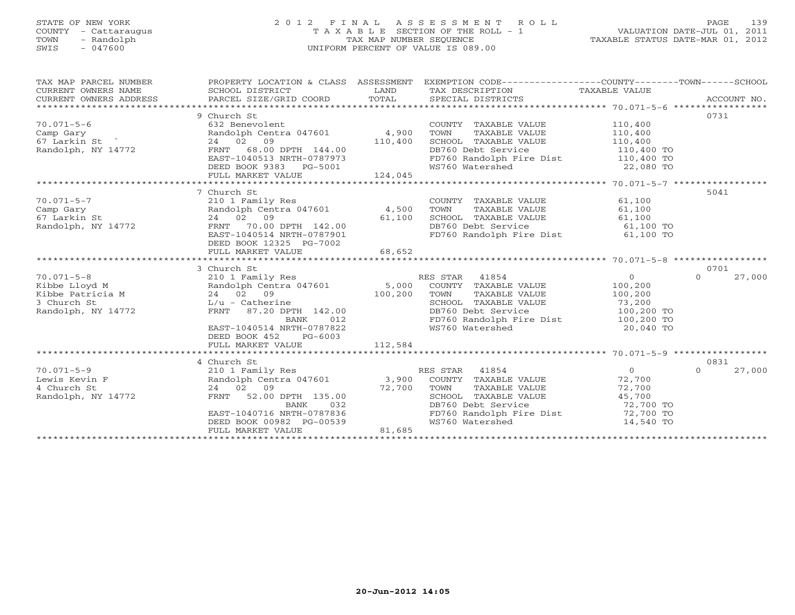### STATE OF NEW YORK 2 0 1 2 F I N A L A S S E S S M E N T R O L L PAGE 139 COUNTY - Cattaraugus T A X A B L E SECTION OF THE ROLL - 1 VALUATION DATE-JUL 01, 2011 TOWN - Randolph TAX MAP NUMBER SEQUENCE TAXABLE STATUS DATE-MAR 01, 2012 SWIS - 047600 UNIFORM PERCENT OF VALUE IS 089.00UNIFORM PERCENT OF VALUE IS 089.00

| TAX MAP PARCEL NUMBER<br>$\begin{tabular}{lllllll} \multicolumn{2}{c}{\textbf{CURRENT}} & \multicolumn{2}{c}{\textbf{WNERS}} & \multicolumn{2}{c}{\textbf{NAME}} & \multicolumn{2}{c}{\textbf{SCHOOL}} & \multicolumn{2}{c}{\textbf{LAND}} & \multicolumn{2}{c}{\textbf{TAX} \textbf{DESCRIPTION}} & \multicolumn{2}{c}{\textbf{TAXABLE} \textbf{ VALUE}} & \multicolumn{2}{c}{\textbf{ACCOUNT NO.}} \\ & \multicolumn{2}{c}{\textbf{CURRENT}} & \multicolumn{2}{c}{\textbf{WNERS} \textbf{ ADCCOUNT NO.$ |                                                                                                                                                                                                                                                      |                | PROPERTY LOCATION & CLASS ASSESSMENT EXEMPTION CODE----------------COUNTY-------TOWN------SCHOOL                                                                                                                                                                     |                |                    |
|-----------------------------------------------------------------------------------------------------------------------------------------------------------------------------------------------------------------------------------------------------------------------------------------------------------------------------------------------------------------------------------------------------------------------------------------------------------------------------------------------------------|------------------------------------------------------------------------------------------------------------------------------------------------------------------------------------------------------------------------------------------------------|----------------|----------------------------------------------------------------------------------------------------------------------------------------------------------------------------------------------------------------------------------------------------------------------|----------------|--------------------|
|                                                                                                                                                                                                                                                                                                                                                                                                                                                                                                           |                                                                                                                                                                                                                                                      |                |                                                                                                                                                                                                                                                                      |                |                    |
|                                                                                                                                                                                                                                                                                                                                                                                                                                                                                                           | 9 Church St                                                                                                                                                                                                                                          |                |                                                                                                                                                                                                                                                                      |                | 0731               |
| $70.071 - 5 - 6$                                                                                                                                                                                                                                                                                                                                                                                                                                                                                          | 632 Benevolent                                                                                                                                                                                                                                       |                | COUNTY TAXABLE VALUE                                                                                                                                                                                                                                                 | 110,400        |                    |
| 70.071–5–6<br>Camp Gary<br>67 Larkin St<br>Randolph, NY 14772                                                                                                                                                                                                                                                                                                                                                                                                                                             | 032 Benevolenc<br>Randolph Centra 047601      4,900                                                                                                                                                                                                  |                |                                                                                                                                                                                                                                                                      |                |                    |
|                                                                                                                                                                                                                                                                                                                                                                                                                                                                                                           | 24 02 09                                                                                                                                                                                                                                             | 110,400        |                                                                                                                                                                                                                                                                      |                |                    |
|                                                                                                                                                                                                                                                                                                                                                                                                                                                                                                           | FRNT 68.00 DPTH 144.00                                                                                                                                                                                                                               |                | DB760 Debt Service                                                                                                                                                                                                                                                   | 110,400 TO     |                    |
|                                                                                                                                                                                                                                                                                                                                                                                                                                                                                                           |                                                                                                                                                                                                                                                      |                |                                                                                                                                                                                                                                                                      |                |                    |
|                                                                                                                                                                                                                                                                                                                                                                                                                                                                                                           | EAST-1040513 NRTH-0787973<br>DEED BOOK 9383 PG-5001<br>FULL MARKET VALUE 124,045                                                                                                                                                                     |                | FD760 Randolph Fire Dist 110,400 TO<br>WS760 Watershed 22,080 TO                                                                                                                                                                                                     |                |                    |
|                                                                                                                                                                                                                                                                                                                                                                                                                                                                                                           |                                                                                                                                                                                                                                                      |                |                                                                                                                                                                                                                                                                      |                |                    |
|                                                                                                                                                                                                                                                                                                                                                                                                                                                                                                           |                                                                                                                                                                                                                                                      |                |                                                                                                                                                                                                                                                                      |                |                    |
|                                                                                                                                                                                                                                                                                                                                                                                                                                                                                                           | 7 Church St                                                                                                                                                                                                                                          |                |                                                                                                                                                                                                                                                                      |                | 5041               |
| $70.071 - 5 - 7$                                                                                                                                                                                                                                                                                                                                                                                                                                                                                          | 210 1 Family Res                                                                                                                                                                                                                                     |                | COUNTY TAXABLE VALUE 61,100<br>TOWN TAXABLE VALUE 61,100                                                                                                                                                                                                             |                |                    |
|                                                                                                                                                                                                                                                                                                                                                                                                                                                                                                           |                                                                                                                                                                                                                                                      |                |                                                                                                                                                                                                                                                                      |                |                    |
|                                                                                                                                                                                                                                                                                                                                                                                                                                                                                                           |                                                                                                                                                                                                                                                      |                |                                                                                                                                                                                                                                                                      |                |                    |
|                                                                                                                                                                                                                                                                                                                                                                                                                                                                                                           |                                                                                                                                                                                                                                                      |                |                                                                                                                                                                                                                                                                      |                |                    |
|                                                                                                                                                                                                                                                                                                                                                                                                                                                                                                           |                                                                                                                                                                                                                                                      |                | SCHOOL TAXABLE VALUE 61,100<br>DB760 Debt Service 61,100 TO<br>FD760 Randolph Fire Dist 61,100 TO                                                                                                                                                                    |                |                    |
|                                                                                                                                                                                                                                                                                                                                                                                                                                                                                                           | DEED BOOK 12325 PG-7002                                                                                                                                                                                                                              |                |                                                                                                                                                                                                                                                                      |                |                    |
|                                                                                                                                                                                                                                                                                                                                                                                                                                                                                                           | FULL MARKET VALUE                                                                                                                                                                                                                                    | 68,652         |                                                                                                                                                                                                                                                                      |                |                    |
|                                                                                                                                                                                                                                                                                                                                                                                                                                                                                                           |                                                                                                                                                                                                                                                      |                |                                                                                                                                                                                                                                                                      |                |                    |
|                                                                                                                                                                                                                                                                                                                                                                                                                                                                                                           | 3 Church St                                                                                                                                                                                                                                          |                |                                                                                                                                                                                                                                                                      |                | 0701               |
| $70.071 - 5 - 8$<br>$\begin{array}{lllllllllllllll} \text{Kibbe Lloyd M} & \text{andoph Central Y Res} & \text{R} \\ \text{Kibbe Patricia M} & \text{Random D1} & \text{Random D2} & \text{Random D3} \\ \text{Bibbe Patricia M} & \text{in 24} & \text{in 02} & \text{in 09} & \text{in 100,200} \\ \text{in 3} & \text{Church St} & \text{L/u - Catherine} & \text{FRNT} & \text{87.20 DPTH} & \text{142.00} & \text{in 100,200} \\ \end{array}$                                                        | and the state of the state of the state of the state of the state of the state of the state of the state of th<br>The state of the state of the state of the state of the state of the state of the state of the state of the st<br>210 1 Family Res |                | RES STAR 41854                                                                                                                                                                                                                                                       | $\overline{0}$ | $\Omega$<br>27,000 |
|                                                                                                                                                                                                                                                                                                                                                                                                                                                                                                           |                                                                                                                                                                                                                                                      |                | - COINTY TAXABLE VALUE 100,200<br>TOWN TAXABLE VALUE 100,200<br>SCHOOL TAXABLE VALUE 73,200<br>DB760 Debt Service 100,200 TO                                                                                                                                         |                |                    |
|                                                                                                                                                                                                                                                                                                                                                                                                                                                                                                           |                                                                                                                                                                                                                                                      |                |                                                                                                                                                                                                                                                                      |                |                    |
|                                                                                                                                                                                                                                                                                                                                                                                                                                                                                                           |                                                                                                                                                                                                                                                      |                |                                                                                                                                                                                                                                                                      |                |                    |
|                                                                                                                                                                                                                                                                                                                                                                                                                                                                                                           |                                                                                                                                                                                                                                                      |                |                                                                                                                                                                                                                                                                      |                |                    |
|                                                                                                                                                                                                                                                                                                                                                                                                                                                                                                           | BANK                                                                                                                                                                                                                                                 | $012$ $787822$ | FD760 Randolph Fire Dist 100,200 TO                                                                                                                                                                                                                                  |                |                    |
|                                                                                                                                                                                                                                                                                                                                                                                                                                                                                                           | EAST-1040514 NRTH-0787822                                                                                                                                                                                                                            |                | WS760 Watershed                                                                                                                                                                                                                                                      | 20,040 TO      |                    |
|                                                                                                                                                                                                                                                                                                                                                                                                                                                                                                           | DEED BOOK 452 PG-6003                                                                                                                                                                                                                                |                |                                                                                                                                                                                                                                                                      |                |                    |
|                                                                                                                                                                                                                                                                                                                                                                                                                                                                                                           |                                                                                                                                                                                                                                                      |                |                                                                                                                                                                                                                                                                      |                |                    |
|                                                                                                                                                                                                                                                                                                                                                                                                                                                                                                           |                                                                                                                                                                                                                                                      |                |                                                                                                                                                                                                                                                                      |                |                    |
|                                                                                                                                                                                                                                                                                                                                                                                                                                                                                                           | 4 Church St                                                                                                                                                                                                                                          |                |                                                                                                                                                                                                                                                                      |                | 0831               |
| $70.071 - 5 - 9$                                                                                                                                                                                                                                                                                                                                                                                                                                                                                          | 210 1 Family Res                                                                                                                                                                                                                                     |                | RES STAR 41854                                                                                                                                                                                                                                                       | $\Omega$       | 27,000<br>$\Omega$ |
| Lewis Kevin F                                                                                                                                                                                                                                                                                                                                                                                                                                                                                             |                                                                                                                                                                                                                                                      |                |                                                                                                                                                                                                                                                                      |                |                    |
| 4 Church St                                                                                                                                                                                                                                                                                                                                                                                                                                                                                               | 24 02 09 72,700<br>FRNT 52.00 DPTH 135.00 72,700                                                                                                                                                                                                     |                | Randolph Centra 047601 3,900 COUNTY TAXABLE VALUE 72,700<br>24 02 09 72,700 TOWN TAXABLE VALUE 72,700<br>14772 FRNT 52.00 DPTH 135.00 72,700 SCHOOL TAXABLE VALUE 45,700<br>TOWN TAXABLE VALUE 72,700<br>SCHOOL TAXABLE VALUE 45,700<br>DB760 Debt Service 72,700 TO |                |                    |
| Randolph, NY 14772                                                                                                                                                                                                                                                                                                                                                                                                                                                                                        |                                                                                                                                                                                                                                                      |                |                                                                                                                                                                                                                                                                      |                |                    |
|                                                                                                                                                                                                                                                                                                                                                                                                                                                                                                           |                                                                                                                                                                                                                                                      |                | DB760 Debt Service                                                                                                                                                                                                                                                   |                |                    |
|                                                                                                                                                                                                                                                                                                                                                                                                                                                                                                           | EAST-1040716 NRTH-0787836<br>DEED BOOK 00982 PG-00539                                                                                                                                                                                                |                | FD760 Randolph Fire Dist 72,700 TO                                                                                                                                                                                                                                   |                |                    |
|                                                                                                                                                                                                                                                                                                                                                                                                                                                                                                           | DEED BOOK 00982 PG-00539<br>FULL MARKET VALUE                                                                                                                                                                                                        | 81,685         | WS760 Watershed                                                                                                                                                                                                                                                      | 14,540 TO      |                    |
|                                                                                                                                                                                                                                                                                                                                                                                                                                                                                                           |                                                                                                                                                                                                                                                      |                |                                                                                                                                                                                                                                                                      |                |                    |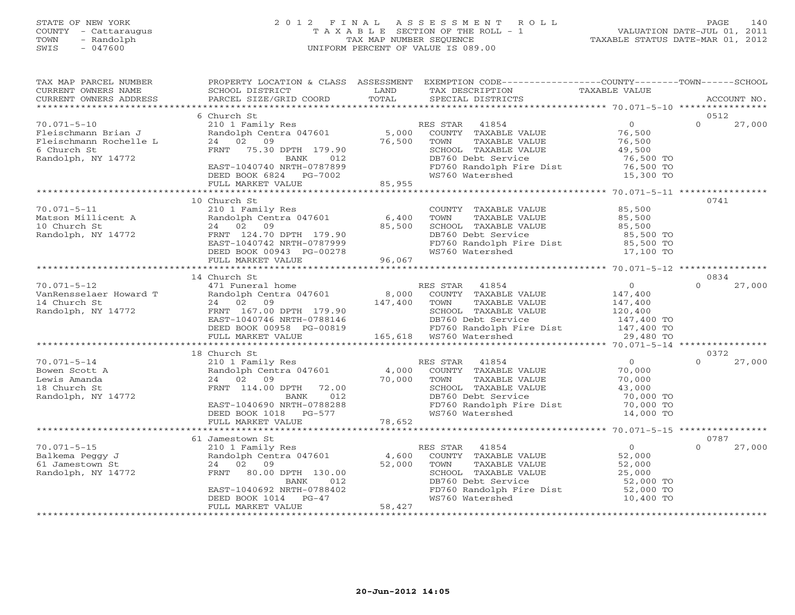#### STATE OF NEW YORK 2 0 1 2 F I N A L A S S E S S M E N T R O L L PAGE 140 COUNTY - Cattaraugus T A X A B L E SECTION OF THE ROLL - 1 VALUATION DATE-JUL 01, 2011 TOWN - Randolph TAX MAP NUMBER SEQUENCE TAXABLE STATUS DATE-MAR 01, 2012 SWIS - 047600 UNIFORM PERCENT OF VALUE IS 089.00UNIFORM PERCENT OF VALUE IS 089.00

| TAX MAP PARCEL NUMBER<br>CURRENT OWNERS NAME<br>CURRENT OWNERS ADDRESS                   | SCHOOL DISTRICT<br>PARCEL SIZE/GRID COORD                                                                                                                                       | LAND<br>TOTAL             | PROPERTY LOCATION & CLASS ASSESSMENT EXEMPTION CODE---------------COUNTY-------TOWN------SCHOOL<br>TAX DESCRIPTION<br>SPECIAL DISTRICTS                                                  | TAXABLE VALUE                                                                            |          | ACCOUNT NO. |
|------------------------------------------------------------------------------------------|---------------------------------------------------------------------------------------------------------------------------------------------------------------------------------|---------------------------|------------------------------------------------------------------------------------------------------------------------------------------------------------------------------------------|------------------------------------------------------------------------------------------|----------|-------------|
| **************************                                                               |                                                                                                                                                                                 |                           |                                                                                                                                                                                          |                                                                                          |          |             |
|                                                                                          | 6 Church St                                                                                                                                                                     |                           |                                                                                                                                                                                          |                                                                                          | 0512     |             |
| $70.071 - 5 - 10$<br>Fleischmann Brian J<br>Fleischmann Rochelle L<br>6 Church St        | 210 1 Family Res<br>210 1 Family Res<br>Randolph Centra 047601<br>24 02 09<br>FRNT 75.30 DPTH 179.90                                                                            | 5,000<br>76,500           | RES STAR<br>41854<br>COUNTY TAXABLE VALUE<br>TOWN<br>TAXABLE VALUE<br>SCHOOL TAXABLE VALUE                                                                                               | $\overline{0}$<br>76,500<br>76,500<br>49,500                                             | $\Omega$ | 27,000      |
| Randolph, NY 14772                                                                       | BANK<br>012<br>EAST-1040740 NRTH-0787899<br>DEED BOOK 6824 PG-7002<br>FULL MARKET VALUE                                                                                         | 85,955                    | DB760 Debt Service<br>FD760 Randolph Fire Dist<br>WS760 Watershed                                                                                                                        | 76,500 TO<br>76,500 TO<br>15,300 TO                                                      |          |             |
|                                                                                          |                                                                                                                                                                                 |                           |                                                                                                                                                                                          |                                                                                          |          |             |
| $70.071 - 5 - 11$<br>Matson Millicent A<br>10 Church St<br>Randolph, NY 14772            | 10 Church St<br>210 1 Family Res<br>Randolph Centra 047601<br>24 02 09<br>FRNT 124.70 DPTH 179.90<br>EAST-1040742 NRTH-0787999<br>DEED BOOK 00943 PG-00278<br>FULL MARKET VALUE | 6,400<br>85,500<br>96,067 | COUNTY TAXABLE VALUE<br>TOWN<br>TAXABLE VALUE<br>SCHOOL TAXABLE VALUE<br>DB760 Debt Service<br>FD760 Randolph Fire Dist<br>WS760 Watershed                                               | 85,500<br>85,500<br>85,500<br>85,500 TO<br>85,500 TO<br>17,100 TO                        | 0741     |             |
|                                                                                          |                                                                                                                                                                                 |                           |                                                                                                                                                                                          |                                                                                          |          |             |
|                                                                                          | 14 Church St                                                                                                                                                                    |                           |                                                                                                                                                                                          |                                                                                          | 0834     |             |
| $70.071 - 5 - 12$<br>VanRensselaer Howard T<br>14 Church St<br>Randolph, NY 14772        | 471 Funeral home<br>Randolph Centra 047601<br>24 02 09<br>FRNT 167.00 DPTH 179.90<br>EAST-1040746 NRTH-0788146<br>DEED BOOK 00958 PG-00819<br>FULL MARKET VALUE                 | 8,000<br>147,400          | RES STAR 41854<br>COUNTY TAXABLE VALUE<br>TOWN<br>TAXABLE VALUE<br>SCHOOL TAXABLE VALUE<br>DB760 Debt Service<br>FD760 Randolph Fire Dist<br>WS760 Watershed<br>165,618  WS760 Watershed | $\overline{0}$<br>147,400<br>147,400<br>120,400<br>147,400 TO<br>147,400 TO<br>29,480 TO | $\Omega$ | 27,000      |
|                                                                                          |                                                                                                                                                                                 |                           |                                                                                                                                                                                          |                                                                                          |          |             |
|                                                                                          | 18 Church St                                                                                                                                                                    |                           |                                                                                                                                                                                          |                                                                                          | 0372     |             |
| $70.071 - 5 - 14$<br>Bowen Scott A<br>Lewis Amanda<br>18 Church St<br>Randolph, NY 14772 | 210 1 Family Res<br>Randolph Centra 047601<br>24 02 09<br>FRNT 114.00 DPTH 72.00<br>BANK<br>012<br>EAST-1040690 NRTH-0788288<br>DEED BOOK 1018 PG-577                           | 4,000<br>70,000           | RES STAR 41854<br>COUNTY TAXABLE VALUE<br>TAXABLE VALUE<br>TOWN<br>SCHOOL TAXABLE VALUE<br>DB760 Debt Service<br>FD760 Randolph Fire Dist<br>WS760 Watershed                             | $\overline{0}$<br>70,000<br>70,000<br>43,000<br>70,000 TO<br>70,000 TO<br>14,000 TO      | $\Omega$ | 27,000      |
|                                                                                          | FULL MARKET VALUE                                                                                                                                                               | 78,652                    |                                                                                                                                                                                          |                                                                                          |          |             |
|                                                                                          | 61 Jamestown St                                                                                                                                                                 |                           |                                                                                                                                                                                          |                                                                                          | 0787     |             |
| $70.071 - 5 - 15$<br>Balkema Peggy J<br>61 Jamestown St<br>Randolph, NY 14772            | 210 1 Family Res<br>Randolph Centra 047601<br>24 02 09<br>FRNT 80.00 DPTH 130.00<br>BANK<br>012<br>EAST-1040692 NRTH-0788402                                                    | 4,600<br>52,000           | RES STAR<br>41854<br>COUNTY TAXABLE VALUE<br>TOWN<br>TAXABLE VALUE<br>SCHOOL TAXABLE VALUE<br>DB760 Debt Service<br>FD760 Randolph Fire Dist                                             | 0<br>52,000<br>52,000<br>25,000<br>52,000 TO<br>52,000 TO                                | $\Omega$ | 27,000      |
|                                                                                          | DEED BOOK 1014<br>$PG-47$<br>FULL MARKET VALUE                                                                                                                                  | 58,427                    | WS760 Watershed                                                                                                                                                                          | 10,400 TO                                                                                |          |             |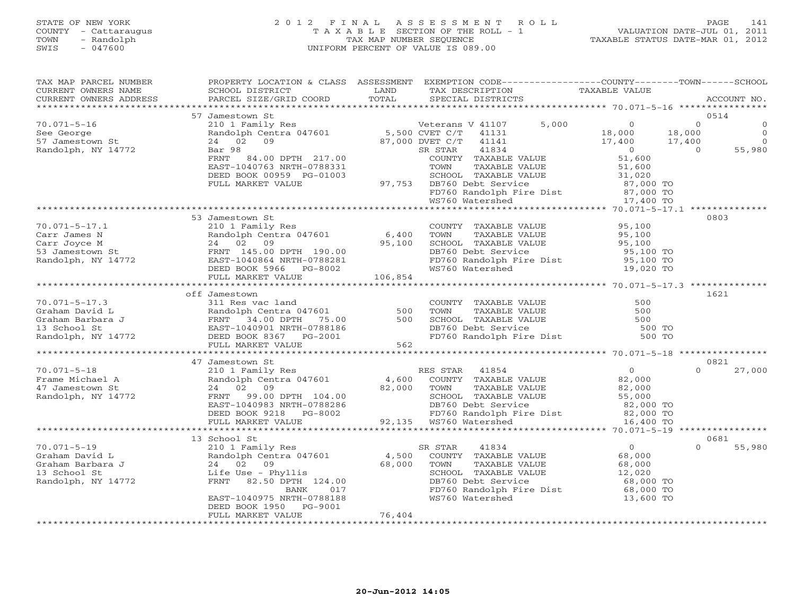# STATE OF NEW YORK 2 0 1 2 F I N A L A S S E S S M E N T R O L L PAGE 141 COUNTY - Cattaraugus T A X A B L E SECTION OF THE ROLL - 1 VALUATION DATE-JUL 01, 2011 TOWN - Randolph TAX MAP NUMBER SEQUENCE TAXABLE STATUS DATE-MAR 01, 2012 SWIS - 047600 UNIFORM PERCENT OF VALUE IS 089.00

| TOTAL<br>PARCEL SIZE/GRID COORD<br>CURRENT OWNERS ADDRESS<br>SPECIAL DISTRICTS<br>0514<br>$\overline{0}$<br>Veterans V 41107 5,000 0<br>5,000 0 0 0 0 0 0 0 0 0 0 0 0 18,000<br>9,000 DVET C/T 41141 17,400 17,400<br>$70.071 - 5 - 16$<br>$\overline{0}$<br>See George<br>57 Jamestown St<br>$\overline{0}$<br>Randolph, NY 14772<br>55,980<br>$\overline{0}$<br>53 Jamestown St<br>0803<br>210 1 Family Res<br>Randolph Centra 047601 6,400 TOWN TAXABLE VALUE 95,100<br>24 02 09 95,100 95,100 SCHOOL TAXABLE VALUE 95,100<br>24 02 09 95,100 SCHOOL TAXABLE VALUE 95,100<br>$70.071 - 5 - 17.1$ |
|-----------------------------------------------------------------------------------------------------------------------------------------------------------------------------------------------------------------------------------------------------------------------------------------------------------------------------------------------------------------------------------------------------------------------------------------------------------------------------------------------------------------------------------------------------------------------------------------------------|
|                                                                                                                                                                                                                                                                                                                                                                                                                                                                                                                                                                                                     |
|                                                                                                                                                                                                                                                                                                                                                                                                                                                                                                                                                                                                     |
|                                                                                                                                                                                                                                                                                                                                                                                                                                                                                                                                                                                                     |
|                                                                                                                                                                                                                                                                                                                                                                                                                                                                                                                                                                                                     |
|                                                                                                                                                                                                                                                                                                                                                                                                                                                                                                                                                                                                     |
|                                                                                                                                                                                                                                                                                                                                                                                                                                                                                                                                                                                                     |
|                                                                                                                                                                                                                                                                                                                                                                                                                                                                                                                                                                                                     |
|                                                                                                                                                                                                                                                                                                                                                                                                                                                                                                                                                                                                     |
|                                                                                                                                                                                                                                                                                                                                                                                                                                                                                                                                                                                                     |
| 1621<br>70.071-5-17.3<br>Graham David L<br>Graham Barbara J<br>13 School St<br>Randolph, NY 14772<br>Randolph, NY 14772<br>CREED BOOK 8367<br>PEED BOOK 8367<br>PEED BOOK 8367<br>PEED BOOK 8367<br>PEED BOOK 8367<br>PEED BOOK 8367<br>PEED BOOK 8367<br>PEED B                                                                                                                                                                                                                                                                                                                                    |
|                                                                                                                                                                                                                                                                                                                                                                                                                                                                                                                                                                                                     |
|                                                                                                                                                                                                                                                                                                                                                                                                                                                                                                                                                                                                     |
| COUNTY TAXABLE VALUE<br>TOWN TAXABLE VALUE 500<br>SCHOOL TAXABLE VALUE 500<br>DB760 Debt Service 500 TO<br>FD760 Randolph Fire Dist 500 TO                                                                                                                                                                                                                                                                                                                                                                                                                                                          |
|                                                                                                                                                                                                                                                                                                                                                                                                                                                                                                                                                                                                     |
|                                                                                                                                                                                                                                                                                                                                                                                                                                                                                                                                                                                                     |
|                                                                                                                                                                                                                                                                                                                                                                                                                                                                                                                                                                                                     |
| 0821<br>47 Jamestown St                                                                                                                                                                                                                                                                                                                                                                                                                                                                                                                                                                             |
| $\Omega$<br>$70.071 - 5 - 18$<br>27,000                                                                                                                                                                                                                                                                                                                                                                                                                                                                                                                                                             |
|                                                                                                                                                                                                                                                                                                                                                                                                                                                                                                                                                                                                     |
| 10.071-5-18<br>Frame Michael A<br>47 Jamestown St<br>Randolph, NY 14772                                                                                                                                                                                                                                                                                                                                                                                                                                                                                                                             |
|                                                                                                                                                                                                                                                                                                                                                                                                                                                                                                                                                                                                     |
|                                                                                                                                                                                                                                                                                                                                                                                                                                                                                                                                                                                                     |
| 24 02 09<br>FRNT 99.00 DPTH 104.00<br>EAST-1040983 NRTH-0788286<br>DEED BOOK 9218 PG-8002<br>FULL MARKET VALUE 92,135 WS760 Watershed<br>PULL MARKET VALUE 92,135 WS760 Watershed<br>16,400 TO                                                                                                                                                                                                                                                                                                                                                                                                      |
|                                                                                                                                                                                                                                                                                                                                                                                                                                                                                                                                                                                                     |
| 13 School St<br>0681<br>$\cap$                                                                                                                                                                                                                                                                                                                                                                                                                                                                                                                                                                      |
| 55,980<br>SR STAR                                                                                                                                                                                                                                                                                                                                                                                                                                                                                                                                                                                   |
|                                                                                                                                                                                                                                                                                                                                                                                                                                                                                                                                                                                                     |
| 12,020                                                                                                                                                                                                                                                                                                                                                                                                                                                                                                                                                                                              |
| 70.071-5-19<br>Graham David L<br>Graham Barbara J<br>13 School St<br>24 02 09<br>13 School St<br>24 02 09<br>13 School St<br>24 02 09<br>13 School St<br>24 02 09<br>24 02 09<br>24 02 09<br>24 02 09<br>24 02 09<br>24 02 09<br>24 02 09<br>24 02 09<br>24 02 09<br><br>SCHOOL TAXABLE VALUE<br>DB760 Debt Service                                                                                                                                                                                                                                                                                 |
|                                                                                                                                                                                                                                                                                                                                                                                                                                                                                                                                                                                                     |
| 68,000 TO CONTROLLER SAND TO FORD TO THE DIST OF SAND TO THE SAND TO THE SAND TO SAND THE DIST OF SAND THE SAN<br>WAS MET SAND TO MESS ON THE SAND TO SAND TO SAND TO SAND TO SAND TO SAND THE SAND THE SAND TO SAND THE SAND TH<br><br>EAST-1040975 NRTH-0788188<br>DEED BOOK 1950 PG-9001                                                                                                                                                                                                                                                                                                         |
| 76,404<br>FULL MARKET VALUE                                                                                                                                                                                                                                                                                                                                                                                                                                                                                                                                                                         |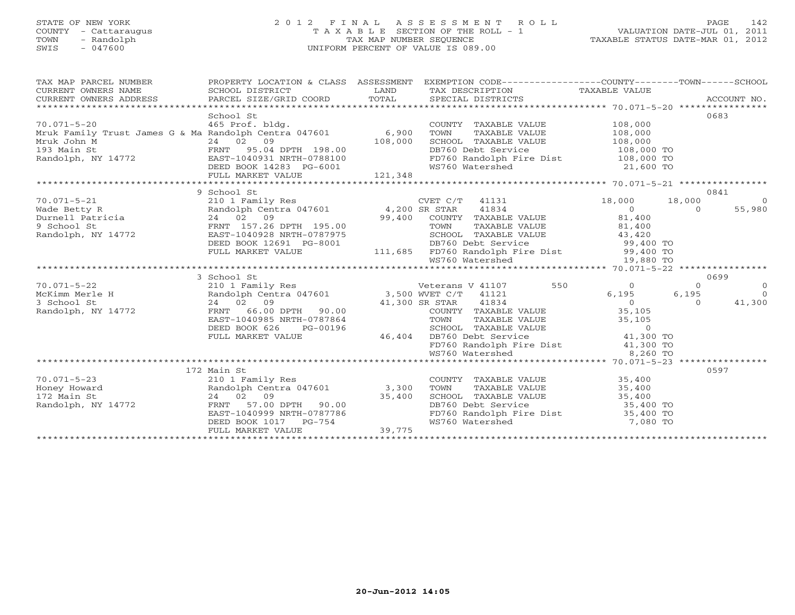# STATE OF NEW YORK 2 0 1 2 F I N A L A S S E S S M E N T R O L L PAGE 142 COUNTY - Cattaraugus T A X A B L E SECTION OF THE ROLL - 1 VALUATION DATE-JUL 01, 2011 TOWN - Randolph TAX MAP NUMBER SEQUENCE TAXABLE STATUS DATE-MAR 01, 2012 SWIS - 047600 UNIFORM PERCENT OF VALUE IS 089.00

| TAX MAP PARCEL NUMBER<br>CURRENT OWNERS NAME<br>CURRENT OWNERS NAME<br>CURRENT OWNERS ADDRESS                                                                                                                                                                                                                            | SCHOOL DISTRICT<br>PARCEL SIZE/GRID COORD TOTAL                                                                                                                                                                                             | LAND                                             | PROPERTY LOCATION & CLASS ASSESSMENT EXEMPTION CODE----------------COUNTY-------TOWN------SCHOOL<br>TAX DESCRIPTION TAXABLE VALUE<br>SPECIAL DISTRICTS<br>SPECIAL DISTRICTS                                                                |                                           |                               | ACCOUNT NO.                                |
|--------------------------------------------------------------------------------------------------------------------------------------------------------------------------------------------------------------------------------------------------------------------------------------------------------------------------|---------------------------------------------------------------------------------------------------------------------------------------------------------------------------------------------------------------------------------------------|--------------------------------------------------|--------------------------------------------------------------------------------------------------------------------------------------------------------------------------------------------------------------------------------------------|-------------------------------------------|-------------------------------|--------------------------------------------|
| $70.071 - 5 - 20$<br>70.071-5-20            465 Prof. bldg.<br>Mruk Family Trust James G & Ma Randolph Centra 047601      6,900<br>Mruk Family Trust business and the Mruk John M<br>193 Main St (Randolph, NY 14772)<br>Randolph, NY 14772 (Randolph, NY 14772)<br>EAST-1040931 NRTH-0788100<br>DEED BOOK 14283 PG-6001 | School St<br>465 Prof. bldg.                                                                                                                                                                                                                | 108,000<br>$198.00$<br>0788100<br>G-6001 121,348 | COUNTY TAXABLE VALUE<br>TOWN<br>TAXABLE VALUE<br>SCHOOL TAXABLE VALUE 108,000<br>DB760 Debt Service<br>FD760 Randolph Fire Dist 108,000 TO<br>WS760 Watershed 21,600 TO                                                                    | 108,000<br>108,000<br>108,000 TO          |                               | 0683                                       |
|                                                                                                                                                                                                                                                                                                                          |                                                                                                                                                                                                                                             |                                                  |                                                                                                                                                                                                                                            |                                           |                               |                                            |
| $70.071 - 5 - 21$                                                                                                                                                                                                                                                                                                        | 9 School St<br>210 1 Family Res<br>DEED BOOK 12691 PG-8001                                                                                                                                                                                  |                                                  | CVET $C/T$ 41131<br>COUNTY TAXABLE VALUE 81,400<br>195.00 TOWN TAXABLE VALUE 01.400<br>787975 SCHOOL TAXABLE VALUE 43,420<br>-8001 DB760 Debt Service 99,400 TO<br>111,685 FD760 Randolph Fire Dist 99,400 TO<br>WS760 Watershed 19,880 TO | 18,000<br>$\overline{0}$                  | 18,000<br>$\Omega$            | 0841<br>$\overline{0}$<br>55,980           |
|                                                                                                                                                                                                                                                                                                                          | FULL MARKET VALUE                                                                                                                                                                                                                           |                                                  |                                                                                                                                                                                                                                            |                                           |                               |                                            |
|                                                                                                                                                                                                                                                                                                                          |                                                                                                                                                                                                                                             |                                                  |                                                                                                                                                                                                                                            |                                           |                               |                                            |
|                                                                                                                                                                                                                                                                                                                          |                                                                                                                                                                                                                                             |                                                  |                                                                                                                                                                                                                                            |                                           |                               |                                            |
| 70.071–5–22<br>McKimm Merle H<br>3 School St<br>Randolph, NY 14772                                                                                                                                                                                                                                                       | 3 School St<br>Veterans V 41107<br>210 1 Family Res<br>Randolph Centra 047601 3,500 WVET C/T 41121<br>24 02 09 41,300 SR STAR 41834<br>FRNT 66.00 DPTH 90.00<br>EAST-1040985 NRTH-0787864<br>DEED BOOK 626<br>PG-00196<br>FULL MARKET VALUE | 46,404                                           | 550<br>41,300 SR STAR 41834<br>COUNTY TAXABLE<br>COUNTY TAXABLE VALUE 35,105<br>TOWN TAXABLE VALUE 35,105<br>SCHOOL TAXABLE VALUE 0<br>DB760 Debt Service 41,300 TO<br>DB760 Debt Service<br>FD760 Randolph Fire Dist 41,300 TO            | $\overline{0}$<br>6,195<br>$\overline{0}$ | $\Omega$<br>6,195<br>$\Omega$ | 0699<br>$\overline{0}$<br>$\cap$<br>41,300 |
|                                                                                                                                                                                                                                                                                                                          |                                                                                                                                                                                                                                             |                                                  | WS760 Watershed                                                                                                                                                                                                                            | 8,260 TO                                  |                               |                                            |
| $70.071 - 5 - 23$                                                                                                                                                                                                                                                                                                        | 172 Main St<br>210 1 Family Res<br>Randolph Centra 047601 3,300                                                                                                                                                                             |                                                  | COUNTY TAXABLE VALUE 35,400<br>TOWN                                                                                                                                                                                                        |                                           |                               | 0597                                       |
| Honey Howard<br>172 Main St<br>Randolph, NY 14772                                                                                                                                                                                                                                                                        | FRNT 57.00 DPTH 90.00 35,400<br>EAST-1040999 FRNT<br>EAST-1040999 NRTH-0787786<br>DEED BOOK 1017 PG-754<br>FULL MARKET VALUE                                                                                                                | 39,775                                           | TOWN TAXABLE VALUE 35,400<br>SCHOOL TAXABLE VALUE 35,400<br>DB760 Debt Service 35,400 TO<br>FD760 Randolph Fire Dist 35,400 TO<br>WS760 Watershed                                                                                          | 7,080 TO                                  |                               |                                            |
|                                                                                                                                                                                                                                                                                                                          |                                                                                                                                                                                                                                             |                                                  |                                                                                                                                                                                                                                            |                                           |                               |                                            |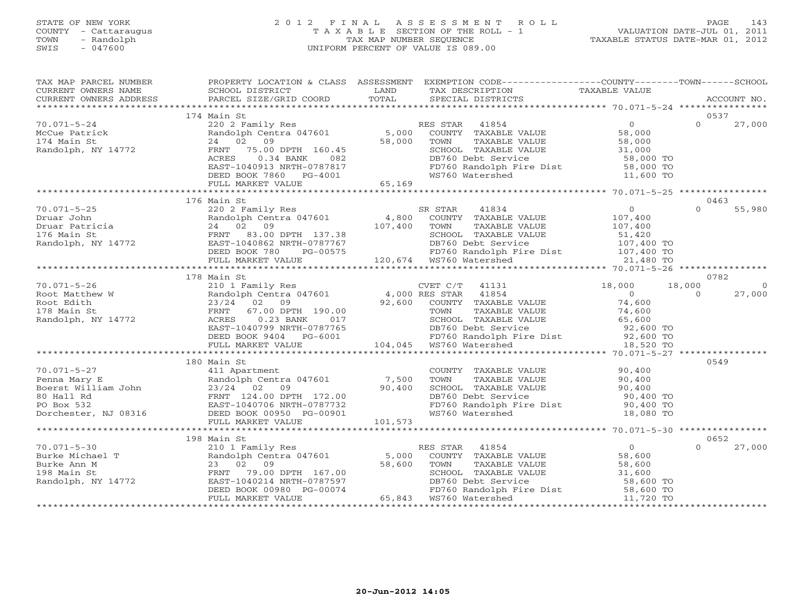### STATE OF NEW YORK 2 0 1 2 F I N A L A S S E S S M E N T R O L L PAGE 143 COUNTY - Cattaraugus T A X A B L E SECTION OF THE ROLL - 1 VALUATION DATE-JUL 01, 2011 TOWN - Randolph TAX MAP NUMBER SEQUENCE TAXABLE STATUS DATE-MAR 01, 2012 SWIS - 047600 UNIFORM PERCENT OF VALUE IS 089.00UNIFORM PERCENT OF VALUE IS 089.00

| TAX MAP PARCEL NUMBER                                                                                                                                                                                                                                                                                                                                                                                                | PROPERTY LOCATION & CLASS ASSESSMENT |                                                                                                                        |                                                                                                                                                                                                                                          |               |                          |
|----------------------------------------------------------------------------------------------------------------------------------------------------------------------------------------------------------------------------------------------------------------------------------------------------------------------------------------------------------------------------------------------------------------------|--------------------------------------|------------------------------------------------------------------------------------------------------------------------|------------------------------------------------------------------------------------------------------------------------------------------------------------------------------------------------------------------------------------------|---------------|--------------------------|
| CURRENT OWNERS NAME                                                                                                                                                                                                                                                                                                                                                                                                  | SCHOOL DISTRICT                      | <b>EXAMPLE SERVICE SERVICE SERVICE SERVICE SERVICE SERVICE SERVICE SERVICE SERVICE SERVICE SERVICE SERVICE SERVICE</b> | TAX DESCRIPTION                                                                                                                                                                                                                          | TAXABLE VALUE |                          |
| CURRENT OWNERS ADDRESS PARCEL SIZE/GRID COORD TOTAL                                                                                                                                                                                                                                                                                                                                                                  |                                      |                                                                                                                        | SPECIAL DISTRICTS                                                                                                                                                                                                                        |               | ACCOUNT NO.              |
|                                                                                                                                                                                                                                                                                                                                                                                                                      |                                      |                                                                                                                        |                                                                                                                                                                                                                                          |               |                          |
|                                                                                                                                                                                                                                                                                                                                                                                                                      | 174 Main St                          |                                                                                                                        |                                                                                                                                                                                                                                          |               | 0537                     |
| $70.071 - 5 - 24$                                                                                                                                                                                                                                                                                                                                                                                                    |                                      |                                                                                                                        |                                                                                                                                                                                                                                          |               | $\Omega$                 |
|                                                                                                                                                                                                                                                                                                                                                                                                                      |                                      |                                                                                                                        |                                                                                                                                                                                                                                          |               | 27,000                   |
|                                                                                                                                                                                                                                                                                                                                                                                                                      |                                      |                                                                                                                        |                                                                                                                                                                                                                                          |               |                          |
|                                                                                                                                                                                                                                                                                                                                                                                                                      |                                      |                                                                                                                        |                                                                                                                                                                                                                                          |               |                          |
| McCue Patrick<br>174 Main St 24 02 09<br>Randolph, NY 14772 FRNT 75.00                                                                                                                                                                                                                                                                                                                                               |                                      |                                                                                                                        |                                                                                                                                                                                                                                          |               |                          |
|                                                                                                                                                                                                                                                                                                                                                                                                                      |                                      |                                                                                                                        |                                                                                                                                                                                                                                          |               |                          |
|                                                                                                                                                                                                                                                                                                                                                                                                                      |                                      |                                                                                                                        |                                                                                                                                                                                                                                          |               |                          |
|                                                                                                                                                                                                                                                                                                                                                                                                                      |                                      |                                                                                                                        | 220 2 Family Res<br>Randolph Centra 047601 5,000 COUNTY TAXABLE VALUE<br>24 02 09 58,000 TOWN TAXABLE VALUE 58,000<br>FRNT 75.00 DPTH 160.45 58,000 TOWN TAXABLE VALUE 58,000<br>FRNT 75.00 DPTH 160.45 SCHOOL TAXABLE VALUE 31,000<br>A |               |                          |
|                                                                                                                                                                                                                                                                                                                                                                                                                      |                                      |                                                                                                                        |                                                                                                                                                                                                                                          |               |                          |
|                                                                                                                                                                                                                                                                                                                                                                                                                      |                                      |                                                                                                                        |                                                                                                                                                                                                                                          |               |                          |
|                                                                                                                                                                                                                                                                                                                                                                                                                      |                                      |                                                                                                                        |                                                                                                                                                                                                                                          |               |                          |
| $\begin{array}{cccccccc} 70.071-5-25 & 176 \text{ Main St} & 0 & 0 & 55,980 \\ \text{Druar John} & 220 & 2 \text{Family Res} & 4,800 & \text{COUNTY} & \text{TXABLE VALUE} & 107,400 & 0 & 55,980 \\ \text{Druar Tohn} & 24 & 0 & 24 & 0 & 55,980 \\ \text{Druar Patricia} & 24 & 0 & 24 & 0 & 55,980 \\ \text{I76 Main St} & 24 & 0 & 9 & 55,980 \\ \text{Random St. } & 24 & 0 & 1$                                | 176 Main St                          |                                                                                                                        |                                                                                                                                                                                                                                          |               | 0463                     |
|                                                                                                                                                                                                                                                                                                                                                                                                                      |                                      |                                                                                                                        |                                                                                                                                                                                                                                          |               |                          |
|                                                                                                                                                                                                                                                                                                                                                                                                                      |                                      |                                                                                                                        |                                                                                                                                                                                                                                          |               |                          |
|                                                                                                                                                                                                                                                                                                                                                                                                                      |                                      |                                                                                                                        |                                                                                                                                                                                                                                          |               |                          |
|                                                                                                                                                                                                                                                                                                                                                                                                                      |                                      |                                                                                                                        |                                                                                                                                                                                                                                          |               |                          |
|                                                                                                                                                                                                                                                                                                                                                                                                                      |                                      |                                                                                                                        |                                                                                                                                                                                                                                          |               |                          |
|                                                                                                                                                                                                                                                                                                                                                                                                                      |                                      |                                                                                                                        |                                                                                                                                                                                                                                          |               |                          |
|                                                                                                                                                                                                                                                                                                                                                                                                                      |                                      |                                                                                                                        |                                                                                                                                                                                                                                          |               |                          |
|                                                                                                                                                                                                                                                                                                                                                                                                                      |                                      |                                                                                                                        |                                                                                                                                                                                                                                          |               |                          |
|                                                                                                                                                                                                                                                                                                                                                                                                                      |                                      |                                                                                                                        |                                                                                                                                                                                                                                          |               |                          |
|                                                                                                                                                                                                                                                                                                                                                                                                                      | 178 Main St                          |                                                                                                                        |                                                                                                                                                                                                                                          |               | 0782                     |
|                                                                                                                                                                                                                                                                                                                                                                                                                      |                                      |                                                                                                                        |                                                                                                                                                                                                                                          |               | $\overline{0}$<br>18,000 |
|                                                                                                                                                                                                                                                                                                                                                                                                                      |                                      |                                                                                                                        |                                                                                                                                                                                                                                          |               | $\overline{0}$<br>27,000 |
|                                                                                                                                                                                                                                                                                                                                                                                                                      |                                      |                                                                                                                        |                                                                                                                                                                                                                                          |               |                          |
|                                                                                                                                                                                                                                                                                                                                                                                                                      |                                      |                                                                                                                        |                                                                                                                                                                                                                                          |               |                          |
|                                                                                                                                                                                                                                                                                                                                                                                                                      |                                      |                                                                                                                        |                                                                                                                                                                                                                                          |               |                          |
|                                                                                                                                                                                                                                                                                                                                                                                                                      |                                      |                                                                                                                        |                                                                                                                                                                                                                                          |               |                          |
|                                                                                                                                                                                                                                                                                                                                                                                                                      |                                      |                                                                                                                        |                                                                                                                                                                                                                                          |               |                          |
|                                                                                                                                                                                                                                                                                                                                                                                                                      |                                      |                                                                                                                        |                                                                                                                                                                                                                                          |               |                          |
|                                                                                                                                                                                                                                                                                                                                                                                                                      |                                      |                                                                                                                        |                                                                                                                                                                                                                                          |               |                          |
|                                                                                                                                                                                                                                                                                                                                                                                                                      |                                      |                                                                                                                        |                                                                                                                                                                                                                                          |               |                          |
|                                                                                                                                                                                                                                                                                                                                                                                                                      | 180 Main St                          |                                                                                                                        |                                                                                                                                                                                                                                          |               | 0549                     |
| $70.071 - 5 - 27$                                                                                                                                                                                                                                                                                                                                                                                                    | 411 Apartment                        |                                                                                                                        | COUNTY TAXABLE VALUE 90,400                                                                                                                                                                                                              |               |                          |
|                                                                                                                                                                                                                                                                                                                                                                                                                      |                                      |                                                                                                                        |                                                                                                                                                                                                                                          |               |                          |
|                                                                                                                                                                                                                                                                                                                                                                                                                      |                                      |                                                                                                                        |                                                                                                                                                                                                                                          |               |                          |
|                                                                                                                                                                                                                                                                                                                                                                                                                      |                                      |                                                                                                                        | TOWN TAXABLE VALUE<br>TOWN TAXABLE VALUE<br>SCHOOL TAXABLE VALUE<br>DB760 Debt Service<br>FD760 Randolph Fire Dist<br>90,400 TO<br>90,400 TO<br>90,400 TO                                                                                |               |                          |
|                                                                                                                                                                                                                                                                                                                                                                                                                      |                                      |                                                                                                                        |                                                                                                                                                                                                                                          |               |                          |
|                                                                                                                                                                                                                                                                                                                                                                                                                      |                                      |                                                                                                                        |                                                                                                                                                                                                                                          |               |                          |
|                                                                                                                                                                                                                                                                                                                                                                                                                      |                                      |                                                                                                                        | WS760 Watershed                                                                                                                                                                                                                          | 18,080 TO     |                          |
|                                                                                                                                                                                                                                                                                                                                                                                                                      |                                      |                                                                                                                        |                                                                                                                                                                                                                                          |               |                          |
|                                                                                                                                                                                                                                                                                                                                                                                                                      |                                      |                                                                                                                        |                                                                                                                                                                                                                                          |               |                          |
|                                                                                                                                                                                                                                                                                                                                                                                                                      | 198 Main St                          |                                                                                                                        |                                                                                                                                                                                                                                          |               | 0652                     |
|                                                                                                                                                                                                                                                                                                                                                                                                                      |                                      |                                                                                                                        |                                                                                                                                                                                                                                          |               | $\Omega$<br>27,000       |
| $\begin{tabular}{lcccc} \textbf{70.071--5-30} & & & 198 \text{ Main St} & & & \textbf{RES STAR} & 41854 \\ \textbf{Burke Michael T} & & & \textbf{Randolph} & \textbf{Centra 047601} & & & \textbf{RES STAR} & 41854 \\ \textbf{Burke Ann M} & & & 23 & 02 & 09 & & 58,600 & \textbf{TOWN} & \textbf{TAXABLE} \\ \textbf{Randolph, NY 14772} & & & \textbf{ERNT} & 79.00 \text{ DPTH} & 167.00 & & & \textbf{SCHOOL$ |                                      |                                                                                                                        | ES STAR 41854<br>COUNTY TAXABLE VALUE 58,600<br>TOWN TAXABLE VALUE 58,600<br>SCHOOL TAXABLE VALUE 58,600<br>DB760 Debt Service 58,600 TO<br>FD760 Randolph Fire Dist 58,600 TO<br>WS760 Watershed<br>THE 58,600 TO<br>WS760 Watershed    |               |                          |
|                                                                                                                                                                                                                                                                                                                                                                                                                      |                                      |                                                                                                                        |                                                                                                                                                                                                                                          |               |                          |
|                                                                                                                                                                                                                                                                                                                                                                                                                      |                                      |                                                                                                                        |                                                                                                                                                                                                                                          |               |                          |
|                                                                                                                                                                                                                                                                                                                                                                                                                      |                                      |                                                                                                                        |                                                                                                                                                                                                                                          |               |                          |
|                                                                                                                                                                                                                                                                                                                                                                                                                      |                                      |                                                                                                                        |                                                                                                                                                                                                                                          |               |                          |
|                                                                                                                                                                                                                                                                                                                                                                                                                      |                                      |                                                                                                                        |                                                                                                                                                                                                                                          |               |                          |
|                                                                                                                                                                                                                                                                                                                                                                                                                      |                                      |                                                                                                                        |                                                                                                                                                                                                                                          |               |                          |
|                                                                                                                                                                                                                                                                                                                                                                                                                      |                                      |                                                                                                                        |                                                                                                                                                                                                                                          |               |                          |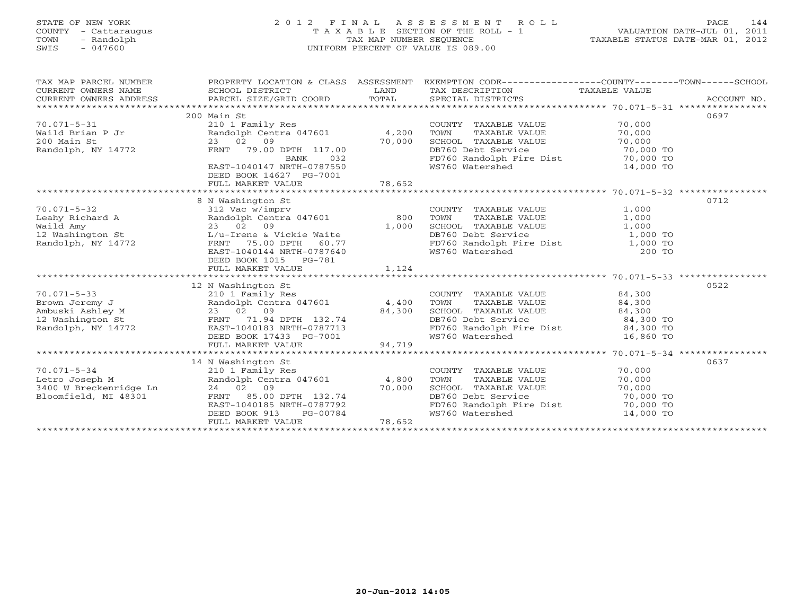# STATE OF NEW YORK 2 0 1 2 F I N A L A S S E S S M E N T R O L L PAGE 144 COUNTY - Cattaraugus T A X A B L E SECTION OF THE ROLL - 1 VALUATION DATE-JUL 01, 2011 TOWN - Randolph TAX MAP NUMBER SEQUENCE TAXABLE STATUS DATE-MAR 01, 2012 SWIS - 047600 UNIFORM PERCENT OF VALUE IS 089.00

| TAX MAP PARCEL NUMBER<br>CURRENT OWNERS NAME<br>CURRENT OWNERS ADDRESS | PROPERTY LOCATION & CLASS ASSESSMENT EXEMPTION CODE---------------COUNTY-------TOWN------SCHOOL<br>SCHOOL DISTRICT<br>PARCEL SIZE/GRID COORD | LAND<br>TOTAL | TAX DESCRIPTION TAXABLE VALUE<br>SPECIAL DISTRICTS              |           | ACCOUNT NO. |
|------------------------------------------------------------------------|----------------------------------------------------------------------------------------------------------------------------------------------|---------------|-----------------------------------------------------------------|-----------|-------------|
| $70.071 - 5 - 31$                                                      | 200 Main St<br>210 1 Family Res                                                                                                              |               | COUNTY TAXABLE VALUE                                            | 70,000    | 0697        |
| Waild Brian P Jr                                                       | Randolph Centra 047601 4,200                                                                                                                 |               | TOWN<br>TAXABLE VALUE                                           | 70,000    |             |
| 200 Main St                                                            | 23 02 09                                                                                                                                     | 70,000        | SCHOOL TAXABLE VALUE                                            | 70,000    |             |
| Randolph, NY 14772                                                     | FRNT 79.00 DPTH 117.00                                                                                                                       |               | DB760 Debt Service                                              | 70,000 TO |             |
|                                                                        | <b>BANK</b><br>032                                                                                                                           |               | FD760 Randolph Fire Dist<br>WS760 Watershed                     | 70,000 TO |             |
|                                                                        | EAST-1040147 NRTH-0787550<br>DEED BOOK 14627 PG-7001                                                                                         |               |                                                                 | 14,000 TO |             |
|                                                                        |                                                                                                                                              |               |                                                                 |           |             |
|                                                                        |                                                                                                                                              |               |                                                                 |           |             |
|                                                                        | 8 N Washington St                                                                                                                            |               |                                                                 |           | 0712        |
| $70.071 - 5 - 32$                                                      | 312 Vac w/imprv                                                                                                                              |               | COUNTY TAXABLE VALUE                                            | 1,000     |             |
| Leahy Richard A                                                        | Randolph Centra 047601                                                                                                                       | 800           | TOWN<br>TAXABLE VALUE                                           | 1,000     |             |
| Waild Amy                                                              | 23 02 09                                                                                                                                     | 1,000         | SCHOOL TAXABLE VALUE                                            | 1,000     |             |
| 12 Washington St                                                       | L/u-Irene & Vickie Waite                                                                                                                     |               | DB760 Debt Service                                              | 1,000 TO  |             |
| Randolph, NY 14772                                                     | 75.00 DPTH 60.77<br>FRNT                                                                                                                     |               | FD760 Randolph Fire Dist 1,000 TO                               |           |             |
|                                                                        | EAST-1040144 NRTH-0787640                                                                                                                    |               | WS760 Watershed                                                 | 200 TO    |             |
|                                                                        | DEED BOOK 1015 PG-781<br>FULL MARKET VALUE                                                                                                   | 1,124         |                                                                 |           |             |
|                                                                        |                                                                                                                                              |               |                                                                 |           |             |
|                                                                        | 12 N Washington St                                                                                                                           |               |                                                                 |           | 0522        |
| $70.071 - 5 - 33$                                                      | 210 1 Family Res                                                                                                                             |               | COUNTY TAXABLE VALUE                                            | 84,300    |             |
| Brown Jeremy J                                                         | Randolph Centra 047601                                                                                                                       | 4,400         | TOWN<br>TAXABLE VALUE<br>TAXABLE VALUE<br>TITE VALUE            | 84,300    |             |
| Ambuski Ashley M                                                       | 23 02 09                                                                                                                                     | 84,300        | SCHOOL TAXABLE VALUE                                            | 84,300    |             |
| 12 Washington St                                                       | FRNT 71.94 DPTH 132.74                                                                                                                       |               | DB760 Debt Service                                              | 84,300 TO |             |
| Randolph, NY 14772                                                     | EAST-1040183 NRTH-0787713                                                                                                                    |               |                                                                 |           |             |
|                                                                        | DEED BOOK 17433 PG-7001                                                                                                                      |               | FD760 Randolph Fire Dist 84,300 TO<br>WS760 Watershed 16,860 TO |           |             |
|                                                                        | FULL MARKET VALUE                                                                                                                            | 94,719        |                                                                 |           |             |
|                                                                        |                                                                                                                                              |               |                                                                 |           |             |
|                                                                        | 14 N Washington St                                                                                                                           |               |                                                                 |           | 0637        |
| $70.071 - 5 - 34$                                                      | 210 1 Family Res                                                                                                                             |               | COUNTY TAXABLE VALUE                                            | 70,000    |             |
| Letro Joseph M                                                         | Randolph Centra 047601                                                                                                                       | 4,800         | TOWN<br>TAXABLE VALUE                                           | 70,000    |             |
| 3400 W Breckenridge Ln                                                 | 24 02 09                                                                                                                                     | 70,000        | SCHOOL TAXABLE VALUE                                            | 70,000    |             |
| Bloomfield, MI 48301                                                   | 85.00 DPTH 132.74<br>FRNT                                                                                                                    |               | DB760 Debt Service                                              | 70,000 TO |             |
|                                                                        | EAST-1040185 NRTH-0787792                                                                                                                    |               | FD760 Randolph Fire Dist 70,000 TO                              |           |             |
|                                                                        | DEED BOOK 913<br>PG-00784                                                                                                                    |               | WS760 Watershed                                                 | 14,000 TO |             |
|                                                                        | FULL MARKET VALUE                                                                                                                            | 78,652        |                                                                 |           |             |
|                                                                        |                                                                                                                                              |               |                                                                 |           |             |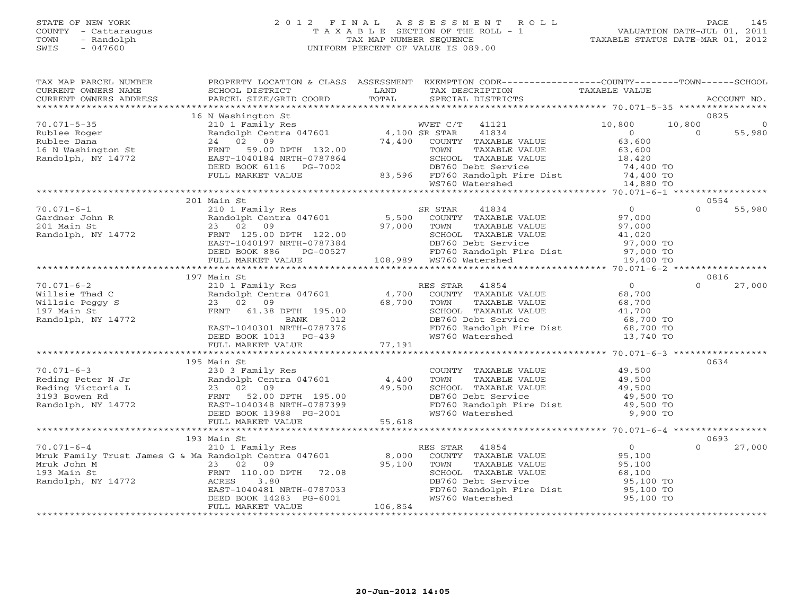# STATE OF NEW YORK 2 0 1 2 F I N A L A S S E S S M E N T R O L L PAGE 145 COUNTY - Cattaraugus T A X A B L E SECTION OF THE ROLL - 1 VALUATION DATE-JUL 01, 2011 TOWN - Randolph TAX MAP NUMBER SEQUENCE TAXABLE STATUS DATE-MAR 01, 2012 SWIS - 047600 UNIFORM PERCENT OF VALUE IS 089.00UNIFORM PERCENT OF VALUE IS 089.00

| TAX MAP PARCEL NUMBER                                                                                                                                                                                                                                    |                                                                                             |         | PROPERTY LOCATION & CLASS ASSESSMENT EXEMPTION CODE----------------COUNTY-------TOWN------SCHOOL                                                                                                                                         |                                                  |          |                |
|----------------------------------------------------------------------------------------------------------------------------------------------------------------------------------------------------------------------------------------------------------|---------------------------------------------------------------------------------------------|---------|------------------------------------------------------------------------------------------------------------------------------------------------------------------------------------------------------------------------------------------|--------------------------------------------------|----------|----------------|
| CURRENT OWNERS NAME                                                                                                                                                                                                                                      | SCHOOL DISTRICT                                                                             | LAND    | TAX DESCRIPTION                                                                                                                                                                                                                          | TAXABLE VALUE                                    |          |                |
| CURRENT OWNERS ADDRESS                                                                                                                                                                                                                                   |                                                                                             |         |                                                                                                                                                                                                                                          |                                                  |          | ACCOUNT NO.    |
|                                                                                                                                                                                                                                                          |                                                                                             |         |                                                                                                                                                                                                                                          |                                                  |          |                |
|                                                                                                                                                                                                                                                          | 16 N Washington St                                                                          |         |                                                                                                                                                                                                                                          |                                                  |          | 0825           |
| $70.071 - 5 - 35$<br>70.071-5-35<br>Rublee Roger<br>Rublee Dana<br>16 N Washington St<br>7 1.1 14772<br>24 02 09<br>FRNT 59.00 DPTH 132.00<br>FRNT 59.00 DPTH 132.00<br>24 102 09<br>FRNT 59.00 DPTH 132.00<br>24<br>24 102 09<br>FRNT 59.00 DPTH 132.00 | 210 1 Family Res WVET C/T<br>Randolph Centra 047601 4,100 SR STAR<br>24 02 09 74,400 COUNTY |         | WVET C/T 41121                                                                                                                                                                                                                           | 10,800                                           | 10,800   |                |
|                                                                                                                                                                                                                                                          |                                                                                             |         | 41834                                                                                                                                                                                                                                    | $\overline{O}$                                   | $\Omega$ | 55,980         |
|                                                                                                                                                                                                                                                          |                                                                                             |         |                                                                                                                                                                                                                                          |                                                  |          |                |
|                                                                                                                                                                                                                                                          |                                                                                             |         |                                                                                                                                                                                                                                          |                                                  |          |                |
|                                                                                                                                                                                                                                                          |                                                                                             |         |                                                                                                                                                                                                                                          |                                                  |          |                |
|                                                                                                                                                                                                                                                          |                                                                                             |         |                                                                                                                                                                                                                                          |                                                  |          |                |
|                                                                                                                                                                                                                                                          |                                                                                             |         |                                                                                                                                                                                                                                          |                                                  |          |                |
|                                                                                                                                                                                                                                                          |                                                                                             |         |                                                                                                                                                                                                                                          |                                                  |          |                |
|                                                                                                                                                                                                                                                          |                                                                                             |         |                                                                                                                                                                                                                                          |                                                  |          |                |
|                                                                                                                                                                                                                                                          | 201 Main St                                                                                 |         | 210 1 Family Res<br>Randoph Centra 047601 5,500 COUNTY TAXABLE VALUE 97,000<br>23 02 09 97,000 TOWN TAXABLE VALUE 97,000<br>FRNT 125.00 DPTH 122.00 97,000 SCHOOL TAXABLE VALUE 97,000<br>EAST-1040197 NRTH-0787384 DB760 Debt Service   |                                                  |          | 0554           |
| $70.071 - 6 - 1$                                                                                                                                                                                                                                         |                                                                                             |         |                                                                                                                                                                                                                                          |                                                  | $\Omega$ | 55,980         |
|                                                                                                                                                                                                                                                          |                                                                                             |         |                                                                                                                                                                                                                                          |                                                  |          |                |
| Gardner John R<br>201 Main St<br>Randolph, NY 14772                                                                                                                                                                                                      |                                                                                             |         |                                                                                                                                                                                                                                          |                                                  |          |                |
|                                                                                                                                                                                                                                                          |                                                                                             |         |                                                                                                                                                                                                                                          |                                                  |          |                |
|                                                                                                                                                                                                                                                          |                                                                                             |         |                                                                                                                                                                                                                                          |                                                  |          |                |
|                                                                                                                                                                                                                                                          |                                                                                             |         |                                                                                                                                                                                                                                          |                                                  |          |                |
|                                                                                                                                                                                                                                                          |                                                                                             |         | TOWN TAADDE VILLE<br>SCHOOL TAXABLE VALUE<br>DB760 Debt Service 97,000 TO<br>FD760 Randolph Fire Dist 97,000 TO<br>WS760 Watershed 19,400 TO                                                                                             |                                                  |          |                |
|                                                                                                                                                                                                                                                          | 197 Main St                                                                                 |         |                                                                                                                                                                                                                                          |                                                  |          |                |
| $70.071 - 6 - 2$                                                                                                                                                                                                                                         |                                                                                             |         |                                                                                                                                                                                                                                          |                                                  | $\cap$   | 0816<br>27,000 |
| Willsie Thad C                                                                                                                                                                                                                                           |                                                                                             |         |                                                                                                                                                                                                                                          | $\begin{array}{c}0\\68.700\end{array}$<br>68,700 |          |                |
| Willsie Peggy S                                                                                                                                                                                                                                          |                                                                                             |         |                                                                                                                                                                                                                                          |                                                  |          |                |
| 197 Main St                                                                                                                                                                                                                                              |                                                                                             |         |                                                                                                                                                                                                                                          | 68,700<br>41,700                                 |          |                |
| Randolph, NY 14772                                                                                                                                                                                                                                       |                                                                                             |         |                                                                                                                                                                                                                                          |                                                  |          |                |
|                                                                                                                                                                                                                                                          |                                                                                             |         |                                                                                                                                                                                                                                          | 68,700 TO<br>68,700 TO                           |          |                |
|                                                                                                                                                                                                                                                          |                                                                                             |         |                                                                                                                                                                                                                                          | 13,740 TO                                        |          |                |
|                                                                                                                                                                                                                                                          |                                                                                             |         | 210 1 Family Res<br>Randolph Centra 047601 (1,700 COUNTY TAXABLE VALUE<br>23 02 09 (68,700 TOWN TAXABLE VALUE<br>FRNT (1.38 DPTH 195.00 (2000 SCHOOL TAXABLE VALUE<br>BANK 012 DB760 Debt Service<br>EAST-1040301 NRTH-0787376 (FD760 Ra |                                                  |          |                |
|                                                                                                                                                                                                                                                          |                                                                                             |         |                                                                                                                                                                                                                                          |                                                  |          |                |
|                                                                                                                                                                                                                                                          | 195 Main St                                                                                 |         |                                                                                                                                                                                                                                          |                                                  |          | 0634           |
|                                                                                                                                                                                                                                                          |                                                                                             |         | COUNTY TAXABLE VALUE 49,500                                                                                                                                                                                                              |                                                  |          |                |
|                                                                                                                                                                                                                                                          |                                                                                             |         | TOWN                                                                                                                                                                                                                                     |                                                  |          |                |
|                                                                                                                                                                                                                                                          |                                                                                             |         | TAXABLE VALUE<br>TAXABLE VALUE 49,500<br>TAXABLE VALUE 49,500                                                                                                                                                                            |                                                  |          |                |
|                                                                                                                                                                                                                                                          |                                                                                             |         |                                                                                                                                                                                                                                          |                                                  |          |                |
|                                                                                                                                                                                                                                                          |                                                                                             |         |                                                                                                                                                                                                                                          |                                                  |          |                |
|                                                                                                                                                                                                                                                          |                                                                                             |         |                                                                                                                                                                                                                                          |                                                  |          |                |
|                                                                                                                                                                                                                                                          |                                                                                             |         | CONN TAXABLE VALUE<br>SCHOOL TAXABLE VALUE<br>DB760 Randolph Fire Dist<br>FD760 Randolph Fire Dist<br>WS760 Watershed<br>19,500 TO<br>9,900 TO                                                                                           |                                                  |          |                |
|                                                                                                                                                                                                                                                          |                                                                                             |         |                                                                                                                                                                                                                                          |                                                  |          |                |
|                                                                                                                                                                                                                                                          | 193 Main St                                                                                 |         |                                                                                                                                                                                                                                          |                                                  |          | 0693           |
| $70.071 - 6 - 4$                                                                                                                                                                                                                                         | 210 1 Family Res                                                                            |         | RES STAR 41854                                                                                                                                                                                                                           | $\overline{0}$                                   | $\Omega$ | 27,000         |
| Mruk Family Trust James G & Ma Randolph Centra 047601                                                                                                                                                                                                    |                                                                                             | 8,000   |                                                                                                                                                                                                                                          |                                                  |          |                |
|                                                                                                                                                                                                                                                          |                                                                                             | 95,100  | COUNTY TAXABLE VALUE<br>TOWN     TAXABLE VALUE                                                                                                                                                                                           | 95,100<br>95.100<br>95,100                       |          |                |
| Mruk John M<br>193 Main St<br>Randolph, NY 14772<br>Randolph, NY 14772<br>ACRES 3.80                                                                                                                                                                     |                                                                                             |         |                                                                                                                                                                                                                                          | 68,100                                           |          |                |
|                                                                                                                                                                                                                                                          |                                                                                             |         | SCHOOL TAXABLE VALUE<br>DB760 Debt Service                                                                                                                                                                                               | 95,100 TO                                        |          |                |
|                                                                                                                                                                                                                                                          | EAST-1040481 NRTH-0787033                                                                   |         |                                                                                                                                                                                                                                          |                                                  |          |                |
|                                                                                                                                                                                                                                                          | DEED BOOK $14283$ PG-6001                                                                   |         | FD760 Randolph Fire Dist<br>WS760 Watershed<br>WS760 Watershed                                                                                                                                                                           | 95,100 TO<br>95,100 TO                           |          |                |
|                                                                                                                                                                                                                                                          | FULL MARKET VALUE                                                                           | 106,854 |                                                                                                                                                                                                                                          |                                                  |          |                |
|                                                                                                                                                                                                                                                          |                                                                                             |         |                                                                                                                                                                                                                                          |                                                  |          |                |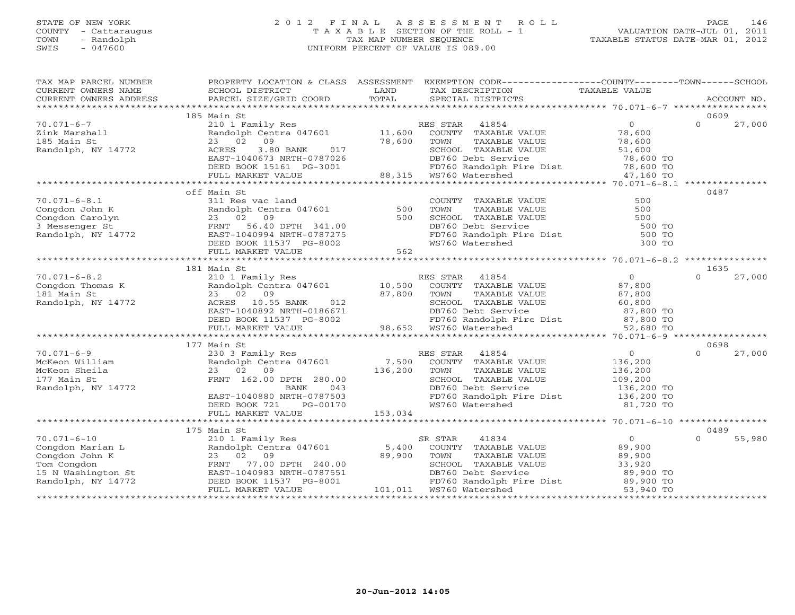# STATE OF NEW YORK 2 0 1 2 F I N A L A S S E S S M E N T R O L L PAGE 146 COUNTY - Cattaraugus T A X A B L E SECTION OF THE ROLL - 1 VALUATION DATE-JUL 01, 2011 TOWN - Randolph TAX MAP NUMBER SEQUENCE TAXABLE STATUS DATE-MAR 01, 2012 SWIS - 047600 UNIFORM PERCENT OF VALUE IS 089.00UNIFORM PERCENT OF VALUE IS 089.00

| TAX MAP PARCEL NUMBER<br>CURRENT OWNERS NAME                                                    | SCHOOL DISTRICT                                                                                                                                                                                | LAND                        | PROPERTY LOCATION & CLASS ASSESSMENT EXEMPTION CODE---------------COUNTY-------TOWN------SCHOOL<br>TAX DESCRIPTION                                                                                                                    | TAXABLE VALUE                                                            |                            |
|-------------------------------------------------------------------------------------------------|------------------------------------------------------------------------------------------------------------------------------------------------------------------------------------------------|-----------------------------|---------------------------------------------------------------------------------------------------------------------------------------------------------------------------------------------------------------------------------------|--------------------------------------------------------------------------|----------------------------|
| CURRENT OWNERS ADDRESS                                                                          | PARCEL SIZE/GRID COORD                                                                                                                                                                         | TOTAL                       | SPECIAL DISTRICTS                                                                                                                                                                                                                     |                                                                          | ACCOUNT NO.                |
|                                                                                                 | 185 Main St                                                                                                                                                                                    |                             |                                                                                                                                                                                                                                       |                                                                          | 0609                       |
| $70.071 - 6 - 7$<br>Zink Marshall<br>185 Main St<br>Randolph, NY 14772                          | 210 1 Family Res<br>Randolph Centra 047601 11,600<br>23 02<br>09<br>017<br>ACRES<br>3.80 BANK<br>EAST-1040673 NRTH-0787026<br>DEED BOOK 15161 PG-3001<br>FULL MARKET VALUE                     | 78,600                      | RES STAR<br>41854<br>COUNTY TAXABLE VALUE<br>TAXABLE VALUE<br>TOWN<br>SCHOOL TAXABLE VALUE<br>DB760 Debt Service<br>001 FD760 Randolph I<br>88,315 WS760 Watershed<br>FD760 Randolph Fire Dist 78,600 TO<br>WS760 Watershed 47,160 TO | $\overline{0}$<br>78,600<br>78,600<br>51,600<br>$78,600$ TO<br>47,160 TO | $\Omega$<br>27,000         |
|                                                                                                 |                                                                                                                                                                                                |                             |                                                                                                                                                                                                                                       |                                                                          |                            |
| $70.071 - 6 - 8.1$<br>Congdon John K<br>Congdon Carolyn<br>3 Messenger St<br>Randolph, NY 14772 | off Main St<br>311 Res vac land<br>Sil Res vac Ianu<br>Randolph Centra 047601<br>23 02 09<br>FRNT 56.40 DPTH 341.00                                                                            | 500<br>500<br>562           | COUNTY TAXABLE VALUE<br>TOWN<br>TAXABLE VALUE<br>SCHOOL TAXABLE VALUE<br>DB760 Debt Service<br>PD760 Randolph Fire Dist<br>WS760 Watershed<br>300 TO                                                                                  | 500<br>500                                                               | 0487                       |
|                                                                                                 |                                                                                                                                                                                                |                             |                                                                                                                                                                                                                                       |                                                                          |                            |
| $70.071 - 6 - 8.2$                                                                              | 181 Main St<br>210 1 Family Res                                                                                                                                                                |                             | RES STAR 41854                                                                                                                                                                                                                        | $\overline{0}$                                                           | 1635<br>$\Omega$<br>27,000 |
| Congdon Thomas K<br>181 Main St<br>Randolph, NY 14772                                           | Randolph Centra 047601 10,500<br>23 02 09<br>10.55 BANK<br>ACRES<br>012<br>EAST-1040892 NRTH-0186671                                                                                           | 87,800                      | COUNTY TAXABLE VALUE<br>TOWN<br>TAXABLE VALUE<br>SCHOOL TAXABLE VALUE<br>DB760 Debt Service                                                                                                                                           | 87,800<br>87,800<br>60,800<br>87,800 TO                                  |                            |
|                                                                                                 |                                                                                                                                                                                                |                             |                                                                                                                                                                                                                                       |                                                                          |                            |
| $70.071 - 6 - 9$<br>McKeon William<br>McKeon Sheila<br>177 Main St<br>Randolph, NY 14772        | 177 Main St<br>230 3 Family Res<br>Randolph Centra 047601<br>23 02 09<br>FRNT 162.00 DPTH 280.00<br>BANK<br>043<br>EAST-1040880 NRTH-0787503<br>DEED BOOK 721<br>PG-00170<br>FULL MARKET VALUE | 7,500<br>136,200<br>153,034 | RES STAR<br>41854<br>COUNTY TAXABLE VALUE<br>TOWN<br>TAXABLE VALUE<br>SCHOOL TAXABLE VALUE<br>DB760 Debt Service 136,200 TO<br>FD760 Randolph Fire Dist 136,200 TO<br>WS760 Watershed                                                 | 0<br>136,200<br>136,200<br>109,200<br>81,720 TO                          | 0698<br>27,000<br>$\Omega$ |
|                                                                                                 |                                                                                                                                                                                                |                             |                                                                                                                                                                                                                                       |                                                                          |                            |
| $70.071 - 6 - 10$                                                                               | 175 Main St                                                                                                                                                                                    |                             |                                                                                                                                                                                                                                       | $\overline{0}$                                                           | 0489<br>$\Omega$           |
| Congdon Marian L<br>Congdon John K<br>Tom Congdon<br>15 N Washington St<br>Randolph, NY 14772   | 210 1 Family Res<br>Randolph Centra 047601 5,400<br>23 02 09<br>77.00 DPTH 240.00<br>FRNT<br>EAST-1040983 NRTH-0787551<br>DEED BOOK 11537 PG-8001<br>FULL MARKET VALUE                         | 89,900                      | SR STAR<br>41834<br>COUNTY TAXABLE VALUE<br>TAXABLE VALUE<br>TOWN<br>SCHOOL TAXABLE VALUE<br>FD760 Randolph Fire Dist 89,900 TO<br>WS760 Watershed 53,900 TO<br>WS760 Watershed 53,900 TO                                             | 89,900<br>$89,32$<br>33,920<br>29.90                                     | 55,980                     |
|                                                                                                 |                                                                                                                                                                                                |                             |                                                                                                                                                                                                                                       |                                                                          |                            |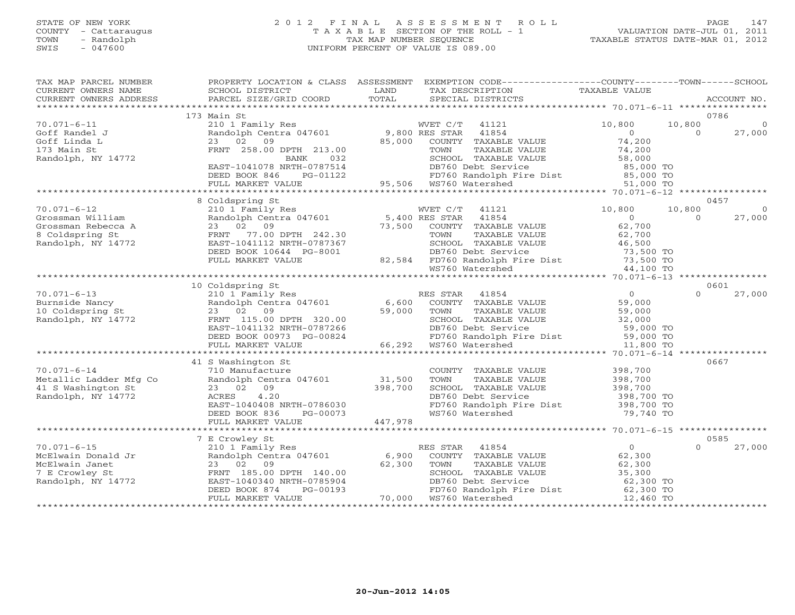# STATE OF NEW YORK 2 0 1 2 F I N A L A S S E S S M E N T R O L L PAGE 147 COUNTY - Cattaraugus T A X A B L E SECTION OF THE ROLL - 1 VALUATION DATE-JUL 01, 2011 TOWN - Randolph TAX MAP NUMBER SEQUENCE TAXABLE STATUS DATE-MAR 01, 2012 SWIS - 047600 UNIFORM PERCENT OF VALUE IS 089.00UNIFORM PERCENT OF VALUE IS 089.00

| TAX MAP PARCEL NUMBER<br>CURRENT OWNERS NAME<br>CURRENT OWNERS ADDRESS | PROPERTY LOCATION & CLASS ASSESSMENT EXEMPTION CODE---------------COUNTY-------TOWN------SCHOOL<br>SCHOOL DISTRICT<br>PARCEL SIZE/GRID COORD | LAND<br>TOTAL                     | TAX DESCRIPTION<br>SPECIAL DISTRICTS                                                                                                                                                                                                    | TAXABLE VALUE                          | ACCOUNT NO.                              |
|------------------------------------------------------------------------|----------------------------------------------------------------------------------------------------------------------------------------------|-----------------------------------|-----------------------------------------------------------------------------------------------------------------------------------------------------------------------------------------------------------------------------------------|----------------------------------------|------------------------------------------|
|                                                                        |                                                                                                                                              |                                   |                                                                                                                                                                                                                                         |                                        |                                          |
|                                                                        | 173 Main St                                                                                                                                  |                                   |                                                                                                                                                                                                                                         |                                        | 0786                                     |
| $70.071 - 6 - 11$<br>Goff Randel J<br>Goff Linda L                     | 210 1 Family Res<br>Randolph Centra 047601 9,800 RES STAR<br>23 02 09                                                                        | 85,000                            | WVET C/T<br>41121<br>41854<br>COUNTY TAXABLE VALUE                                                                                                                                                                                      | 10,800<br>$\Omega$<br>74,200           | 10,800<br>$\Omega$<br>$\Omega$<br>27,000 |
| 173 Main St<br>Randolph, NY 14772                                      | FRNT 258.00 DPTH 213.00<br>032<br>BANK                                                                                                       |                                   | TAXABLE VALUE<br>TOWN<br>SCHOOL TAXABLE VALUE                                                                                                                                                                                           | 74,200<br>58,000                       |                                          |
|                                                                        | EAST-1041078 NRTH-0787514<br>DEED BOOK 846<br>PG-01122                                                                                       |                                   | DB760 Debt Service 85,000 TO<br>FD760 Randolph Fire Dist 85,000 TO<br>2007 - 1122<br>FD760 Randolph I<br>95,506 WS760 Watershed                                                                                                         |                                        |                                          |
|                                                                        | FULL MARKET VALUE                                                                                                                            |                                   |                                                                                                                                                                                                                                         | 51,000 TO                              |                                          |
|                                                                        |                                                                                                                                              |                                   |                                                                                                                                                                                                                                         |                                        |                                          |
|                                                                        | 8 Coldspring St                                                                                                                              |                                   |                                                                                                                                                                                                                                         |                                        | 0457                                     |
| $70.071 - 6 - 12$                                                      | 210 1 Family Res<br>Randolph Centra 047601 5,400 RES STAR<br>5,400 RES STAR                                                                  |                                   | 41121                                                                                                                                                                                                                                   | 10,800                                 | 10,800<br>$\Omega$                       |
| Grossman William                                                       |                                                                                                                                              |                                   | 41854                                                                                                                                                                                                                                   | $\overline{0}$<br>62,700               | 27,000<br>$\Omega$                       |
| Grossman Rebecca A<br>8 Coldspring St                                  | 23 02 09<br>FRNT 77.00 DPTH 242.30                                                                                                           |                                   | 73,500 COUNTY TAXABLE VALUE<br>TH 242.30 TOWN TAXABLE VALUE                                                                                                                                                                             | 62,700                                 |                                          |
| Randolph, NY 14772                                                     | EAST-1041112 NRTH-0787367                                                                                                                    |                                   |                                                                                                                                                                                                                                         |                                        |                                          |
|                                                                        | DEED BOOK 10644 PG-8001                                                                                                                      |                                   | SCHOOL TAXABLE VALUE 46,500<br>DB760 Debt Service 73,500 TO<br>DB760 Debt Service                                                                                                                                                       |                                        |                                          |
|                                                                        | FULL MARKET VALUE                                                                                                                            |                                   |                                                                                                                                                                                                                                         |                                        |                                          |
|                                                                        |                                                                                                                                              |                                   | 82,584 FD760 Randolph Fire Dist 73,500 TO<br>WS760 Watershed 44,100 TO                                                                                                                                                                  |                                        |                                          |
|                                                                        |                                                                                                                                              |                                   |                                                                                                                                                                                                                                         |                                        |                                          |
|                                                                        | 10 Coldspring St                                                                                                                             |                                   |                                                                                                                                                                                                                                         |                                        | 0601                                     |
| $70.071 - 6 - 13$                                                      | 210 1 Family Res<br>Randolph Centra 047601 6,600                                                                                             |                                   | RES STAR<br>41854                                                                                                                                                                                                                       | $\overline{0}$                         | $\Omega$<br>27,000                       |
| Burnside Nancy                                                         |                                                                                                                                              |                                   | COUNTY TAXABLE VALUE                                                                                                                                                                                                                    | 59,000                                 |                                          |
| 10 Coldspring St<br>Randolph, NY 14772                                 | 23 02 09<br>FRNT 115.00 DPTH 320.00                                                                                                          | 59,000                            | TOWN<br>TAXABLE VALUE<br>SCHOOL TAXABLE VALUE                                                                                                                                                                                           | 59,000<br>32,000                       |                                          |
|                                                                        | EAST-1041132 NRTH-0787266                                                                                                                    |                                   | DB760 Debt Service                                                                                                                                                                                                                      | 59,000 TO                              |                                          |
|                                                                        | DEED BOOK 00973 PG-00824                                                                                                                     |                                   | FD760 Randolph Fire Dist 59,000 TO                                                                                                                                                                                                      |                                        |                                          |
|                                                                        | FULL MARKET VALUE                                                                                                                            |                                   | 66,292 WS760 Watershed                                                                                                                                                                                                                  | 11,800 TO                              |                                          |
|                                                                        |                                                                                                                                              | $3024$<br>$*********$<br>$66.200$ |                                                                                                                                                                                                                                         |                                        |                                          |
|                                                                        | 41 S Washington St                                                                                                                           |                                   |                                                                                                                                                                                                                                         |                                        | 0667                                     |
| $70.071 - 6 - 14$                                                      | 710 Manufacture                                                                                                                              |                                   | COUNTY TAXABLE VALUE                                                                                                                                                                                                                    | 398,700                                |                                          |
| Metallic Ladder Mfg Co                                                 | Randolph Centra 047601                                                                                                                       | 31,500                            | TOWN<br>TAXABLE VALUE                                                                                                                                                                                                                   | 398,700                                |                                          |
| 41 S Washington St                                                     | 23 02 09                                                                                                                                     | 398,700                           | SCHOOL TAXABLE VALUE                                                                                                                                                                                                                    | 398,700                                |                                          |
| Randolph, NY 14772                                                     | 4.20<br>ACRES                                                                                                                                |                                   | DB760 Debt Service                                                                                                                                                                                                                      | 398,700 TO                             |                                          |
|                                                                        | EAST-1040408 NRTH-0786030<br>DEED BOOK 836<br>PG-00073                                                                                       |                                   | FD760 Randolph Fire Dist 398,700 TO<br>WS760 Watershed                                                                                                                                                                                  | 79,740 TO                              |                                          |
|                                                                        | FULL MARKET VALUE                                                                                                                            | 447,978                           |                                                                                                                                                                                                                                         |                                        |                                          |
|                                                                        |                                                                                                                                              |                                   |                                                                                                                                                                                                                                         |                                        |                                          |
|                                                                        | 7 E Crowley St                                                                                                                               |                                   |                                                                                                                                                                                                                                         |                                        | 0585                                     |
| $70.071 - 6 - 15$                                                      |                                                                                                                                              |                                   | RES STAR<br>41854                                                                                                                                                                                                                       | $\begin{array}{c}0\\62&300\end{array}$ | $\Omega$<br>27,000                       |
| McElwain Donald Jr                                                     | 210 1 Family Res<br>Randolph Centra 047601 6,900                                                                                             |                                   | COUNTY TAXABLE VALUE                                                                                                                                                                                                                    | 62,300                                 |                                          |
| McElwain Janet                                                         | 23 02 09                                                                                                                                     | 62,300                            | TAXABLE VALUE<br>TOWN                                                                                                                                                                                                                   | 62,300                                 |                                          |
| 7 E Crowley St                                                         | FRNT 185.00 DPTH 140.00                                                                                                                      |                                   | SCHOOL TAXABLE VALUE                                                                                                                                                                                                                    | 35,300                                 |                                          |
| Randolph, NY 14772                                                     | EAST-1040340 NRTH-0785904                                                                                                                    |                                   |                                                                                                                                                                                                                                         |                                        |                                          |
|                                                                        | DEED BOOK 874<br>PG-00193<br>FULL MARKET VALUE                                                                                               |                                   | FD760 Randolph Fire Dist<br>WS760 Watershed<br>WS760 Watershed<br>WATER THE SERIES OF THE SERIES OF THE SERIES OF THE SERIES OF THE SERIES OF THE SERIES OF THE SERIES OF THE SERIES OF THE SERIES OF THE SERIES OF THE SERIES OF THE S |                                        |                                          |
|                                                                        |                                                                                                                                              |                                   |                                                                                                                                                                                                                                         |                                        |                                          |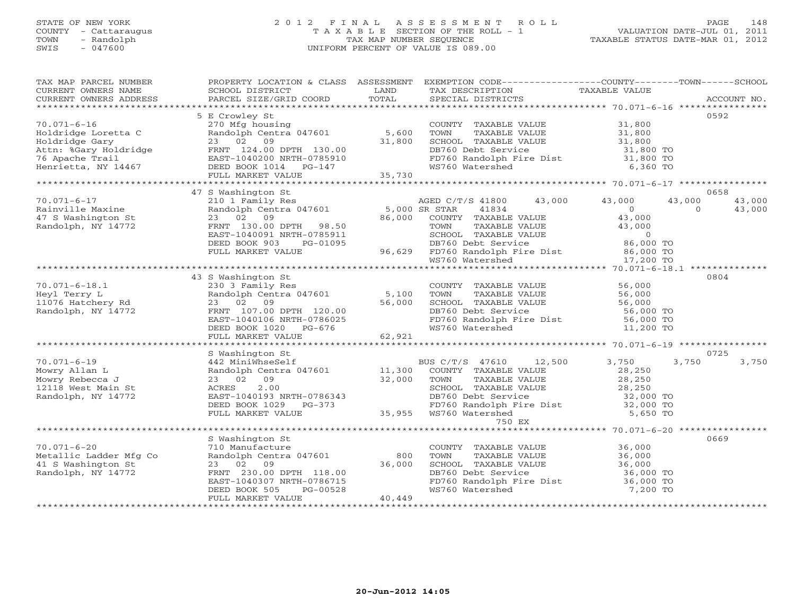# STATE OF NEW YORK 2 0 1 2 F I N A L A S S E S S M E N T R O L L PAGE 148 COUNTY - Cattaraugus T A X A B L E SECTION OF THE ROLL - 1 VALUATION DATE-JUL 01, 2011 TOWN - Randolph TAX MAP NUMBER SEQUENCE TAXABLE STATUS DATE-MAR 01, 2012 SWIS - 047600 UNIFORM PERCENT OF VALUE IS 089.00UNIFORM PERCENT OF VALUE IS 089.00

| TAX MAP PARCEL NUMBER                                                                                                                                                                                                                                                                                                                                                                                                                                         |                                                                                                                                                                          |        | PROPERTY LOCATION & CLASS ASSESSMENT EXEMPTION CODE----------------COUNTY-------TOWN------SCHOOL                                                                                                                                         |          |                |
|---------------------------------------------------------------------------------------------------------------------------------------------------------------------------------------------------------------------------------------------------------------------------------------------------------------------------------------------------------------------------------------------------------------------------------------------------------------|--------------------------------------------------------------------------------------------------------------------------------------------------------------------------|--------|------------------------------------------------------------------------------------------------------------------------------------------------------------------------------------------------------------------------------------------|----------|----------------|
| $\begin{tabular}{lllllll} \multicolumn{2}{l}{{\small\sc{CURERNT}}}& $\text{MME}$ & $\text{SCHODL}$ & $\text{SCHOOL} $ & $\text{ISTRICT}$ & $\text{LAND}$ & $\text{TAX} $ & $\text{DESCRIPTION}$ & $\text{TAXABLE} $ & $\text{VALUE}$ \\ & $\text{CURERNT} $ & $\text{ADDRES} $ & $\text{ACCOUNT} $ & $\text{NOL}$ & $\text{PACCUMT} $ & $\text{AUCVOMT} $ & $\text{AUCVOMT} $ & $\text{AUCVOMT} $ \\ & $\text{PAX} $ & $\text{AUCVOMT} $ & $\text{AUCVOMT} $$ |                                                                                                                                                                          |        |                                                                                                                                                                                                                                          |          |                |
|                                                                                                                                                                                                                                                                                                                                                                                                                                                               |                                                                                                                                                                          |        |                                                                                                                                                                                                                                          |          |                |
|                                                                                                                                                                                                                                                                                                                                                                                                                                                               |                                                                                                                                                                          |        |                                                                                                                                                                                                                                          |          |                |
|                                                                                                                                                                                                                                                                                                                                                                                                                                                               | 5 E Crowley St                                                                                                                                                           |        |                                                                                                                                                                                                                                          |          | 0592           |
| $70.071 - 6 - 16$                                                                                                                                                                                                                                                                                                                                                                                                                                             |                                                                                                                                                                          |        | E Crowley Substing<br>270 Mfg housing<br>Randolph Centra 047601 5,600 TOWN TAXABLE VALUE 31,800<br>23 02 09 31,800 SCHOOL TAXABLE VALUE 31,800<br>FRNT 124.00 DPTH 130.00 31,800 DB760 Debt Service 31,800 TO<br>EAST-1040200 NRTH-07859 |          |                |
|                                                                                                                                                                                                                                                                                                                                                                                                                                                               |                                                                                                                                                                          |        |                                                                                                                                                                                                                                          |          |                |
|                                                                                                                                                                                                                                                                                                                                                                                                                                                               |                                                                                                                                                                          |        |                                                                                                                                                                                                                                          |          |                |
|                                                                                                                                                                                                                                                                                                                                                                                                                                                               |                                                                                                                                                                          |        |                                                                                                                                                                                                                                          |          |                |
|                                                                                                                                                                                                                                                                                                                                                                                                                                                               |                                                                                                                                                                          |        |                                                                                                                                                                                                                                          |          |                |
|                                                                                                                                                                                                                                                                                                                                                                                                                                                               |                                                                                                                                                                          |        |                                                                                                                                                                                                                                          |          |                |
|                                                                                                                                                                                                                                                                                                                                                                                                                                                               |                                                                                                                                                                          |        |                                                                                                                                                                                                                                          |          |                |
|                                                                                                                                                                                                                                                                                                                                                                                                                                                               |                                                                                                                                                                          |        |                                                                                                                                                                                                                                          |          | 0658           |
|                                                                                                                                                                                                                                                                                                                                                                                                                                                               | 47 S Washington St                                                                                                                                                       |        | AGED C/T/S 41800 43,000 43,000                                                                                                                                                                                                           |          | 43,000         |
|                                                                                                                                                                                                                                                                                                                                                                                                                                                               |                                                                                                                                                                          |        |                                                                                                                                                                                                                                          |          |                |
| Rainville Maxine<br>47 S Washington St<br>Randolph, NY 14772                                                                                                                                                                                                                                                                                                                                                                                                  |                                                                                                                                                                          |        |                                                                                                                                                                                                                                          |          |                |
|                                                                                                                                                                                                                                                                                                                                                                                                                                                               |                                                                                                                                                                          |        |                                                                                                                                                                                                                                          |          |                |
|                                                                                                                                                                                                                                                                                                                                                                                                                                                               |                                                                                                                                                                          |        |                                                                                                                                                                                                                                          |          |                |
|                                                                                                                                                                                                                                                                                                                                                                                                                                                               |                                                                                                                                                                          |        |                                                                                                                                                                                                                                          |          |                |
|                                                                                                                                                                                                                                                                                                                                                                                                                                                               |                                                                                                                                                                          |        |                                                                                                                                                                                                                                          |          |                |
|                                                                                                                                                                                                                                                                                                                                                                                                                                                               |                                                                                                                                                                          |        |                                                                                                                                                                                                                                          |          |                |
|                                                                                                                                                                                                                                                                                                                                                                                                                                                               |                                                                                                                                                                          |        |                                                                                                                                                                                                                                          |          |                |
|                                                                                                                                                                                                                                                                                                                                                                                                                                                               | 43 S Washington St                                                                                                                                                       |        |                                                                                                                                                                                                                                          |          | 0804           |
|                                                                                                                                                                                                                                                                                                                                                                                                                                                               |                                                                                                                                                                          |        |                                                                                                                                                                                                                                          |          |                |
|                                                                                                                                                                                                                                                                                                                                                                                                                                                               |                                                                                                                                                                          |        |                                                                                                                                                                                                                                          |          |                |
|                                                                                                                                                                                                                                                                                                                                                                                                                                                               |                                                                                                                                                                          |        |                                                                                                                                                                                                                                          |          |                |
|                                                                                                                                                                                                                                                                                                                                                                                                                                                               |                                                                                                                                                                          |        |                                                                                                                                                                                                                                          |          |                |
|                                                                                                                                                                                                                                                                                                                                                                                                                                                               |                                                                                                                                                                          |        |                                                                                                                                                                                                                                          |          |                |
|                                                                                                                                                                                                                                                                                                                                                                                                                                                               |                                                                                                                                                                          |        |                                                                                                                                                                                                                                          |          |                |
|                                                                                                                                                                                                                                                                                                                                                                                                                                                               |                                                                                                                                                                          |        |                                                                                                                                                                                                                                          |          |                |
| 70.071-6-18.1<br>Heyl Terry L 230 3 Family Res<br>Heyl Terry L Randolph Res Randolph Res Randolph, NY 14772 FRNT 107.00 DPTH 120.00<br>Randolph, NY 14772 FRNT 107.00 DPTH 120.00 56,000 EAST-1040106 NRTH-0786025 EAST-1040106 NR                                                                                                                                                                                                                            |                                                                                                                                                                          |        |                                                                                                                                                                                                                                          |          |                |
|                                                                                                                                                                                                                                                                                                                                                                                                                                                               | S Washington St                                                                                                                                                          |        |                                                                                                                                                                                                                                          |          | 0725           |
| $70.071 - 6 - 19$                                                                                                                                                                                                                                                                                                                                                                                                                                             |                                                                                                                                                                          |        | S Washington St<br>442 MiniWhseSelf<br>Randolph Centra 047601 11,300 COUNTY TAXABLE VALUE 28,250<br>23 02 09 32,000 TOWN TAXABLE VALUE 28,250<br>ACRES 2.00 SCHOOL TAXABLE VALUE 28,250<br>EAST-1040193 NRTH-0786343 DB760 Debt Service  |          | 3,750<br>3,750 |
| Mowry Allan L                                                                                                                                                                                                                                                                                                                                                                                                                                                 |                                                                                                                                                                          |        |                                                                                                                                                                                                                                          |          |                |
| Mowry Rebecca J                                                                                                                                                                                                                                                                                                                                                                                                                                               |                                                                                                                                                                          |        |                                                                                                                                                                                                                                          |          |                |
| 12118 West Main St                                                                                                                                                                                                                                                                                                                                                                                                                                            |                                                                                                                                                                          |        |                                                                                                                                                                                                                                          |          |                |
| Randolph, NY 14772                                                                                                                                                                                                                                                                                                                                                                                                                                            |                                                                                                                                                                          |        |                                                                                                                                                                                                                                          |          |                |
|                                                                                                                                                                                                                                                                                                                                                                                                                                                               |                                                                                                                                                                          |        |                                                                                                                                                                                                                                          |          |                |
|                                                                                                                                                                                                                                                                                                                                                                                                                                                               |                                                                                                                                                                          |        |                                                                                                                                                                                                                                          |          |                |
|                                                                                                                                                                                                                                                                                                                                                                                                                                                               |                                                                                                                                                                          |        |                                                                                                                                                                                                                                          |          |                |
|                                                                                                                                                                                                                                                                                                                                                                                                                                                               |                                                                                                                                                                          |        |                                                                                                                                                                                                                                          |          |                |
|                                                                                                                                                                                                                                                                                                                                                                                                                                                               |                                                                                                                                                                          |        |                                                                                                                                                                                                                                          |          | 0669           |
| $70.071 - 6 - 20$                                                                                                                                                                                                                                                                                                                                                                                                                                             |                                                                                                                                                                          |        |                                                                                                                                                                                                                                          |          |                |
|                                                                                                                                                                                                                                                                                                                                                                                                                                                               |                                                                                                                                                                          |        |                                                                                                                                                                                                                                          |          |                |
| Metallic Ladder Mfg Co<br>41 S Washington St                                                                                                                                                                                                                                                                                                                                                                                                                  |                                                                                                                                                                          |        |                                                                                                                                                                                                                                          |          |                |
| Randolph, NY 14772                                                                                                                                                                                                                                                                                                                                                                                                                                            |                                                                                                                                                                          |        |                                                                                                                                                                                                                                          |          |                |
|                                                                                                                                                                                                                                                                                                                                                                                                                                                               | 5 Washington St<br>710 Manufacture<br>Randolph Centra 047601 800 TOWN<br>23 02 09 36,000 SCHOOL<br>FRNT 230.00 DPTH 118.00 DB760 Dr<br>EAST-1040307 NRTH-0786715 FD760 R |        | COUNTY TAXABLE VALUE $36,000$<br>TOWN TAXABLE VALUE $36,000$<br>SCHOOL TAXABLE VALUE $36,000$<br>DB760 Debt Service $36,000$ TO<br>FD760 Randolph Fire Dist $36,000$ TO<br>FO760 Randolph Fire Dist $36,000$ TO                          |          |                |
|                                                                                                                                                                                                                                                                                                                                                                                                                                                               |                                                                                                                                                                          |        | WS760 Watershed                                                                                                                                                                                                                          | 7,200 TO |                |
|                                                                                                                                                                                                                                                                                                                                                                                                                                                               | FULL MARKET VALUE                                                                                                                                                        | 40,449 |                                                                                                                                                                                                                                          |          |                |
|                                                                                                                                                                                                                                                                                                                                                                                                                                                               |                                                                                                                                                                          |        |                                                                                                                                                                                                                                          |          |                |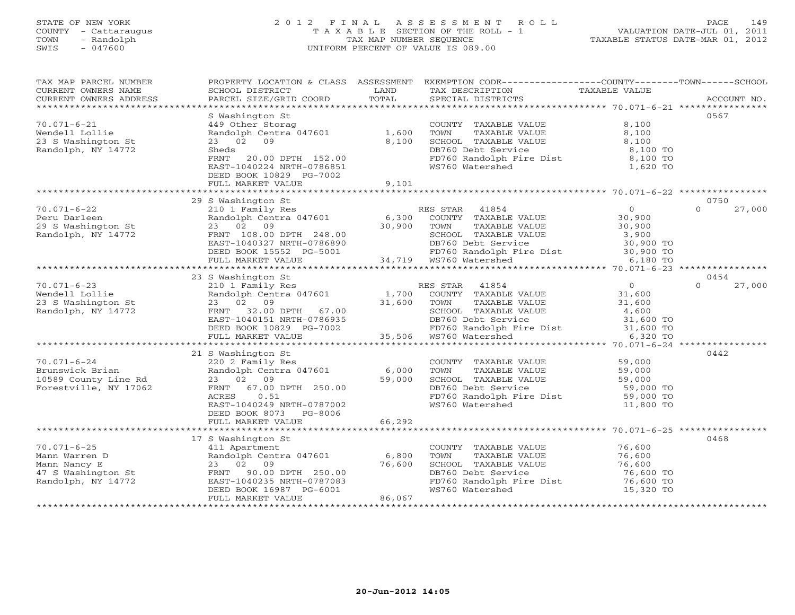# STATE OF NEW YORK 2 0 1 2 F I N A L A S S E S S M E N T R O L L PAGE 149 COUNTY - Cattaraugus T A X A B L E SECTION OF THE ROLL - 1 VALUATION DATE-JUL 01, 2011 TOWN - Randolph TAX MAP NUMBER SEQUENCE TAXABLE STATUS DATE-MAR 01, 2012 SWIS - 047600 UNIFORM PERCENT OF VALUE IS 089.00UNIFORM PERCENT OF VALUE IS 089.00

| TAX MAP PARCEL NUMBER<br>CURRENT OWNERS NAME<br>CURRENT OWNERS ADDRESS                              | SCHOOL DISTRICT<br>PARCEL SIZE/GRID COORD                                                                                                                                 | LAND<br>TOTAL  | PROPERTY LOCATION & CLASS ASSESSMENT EXEMPTION CODE----------------COUNTY-------TOWN------SCHOOL<br>TAX DESCRIPTION<br>SPECIAL DISTRICTS<br>SPECIAL DISTRICTS                                                |                                                                   | ACCOUNT NO.                |
|-----------------------------------------------------------------------------------------------------|---------------------------------------------------------------------------------------------------------------------------------------------------------------------------|----------------|--------------------------------------------------------------------------------------------------------------------------------------------------------------------------------------------------------------|-------------------------------------------------------------------|----------------------------|
| $70.071 - 6 - 21$<br>Wendell Lollie<br>23 S Washington St<br>Randolph, NY 14772                     | S Washington St<br>449 Other Storag<br>Randolph Centra 047601<br>23 02 09<br>Sheds<br>FRNT<br>20.00 DPTH 152.00<br>EAST-1040224 NRTH-0786851                              | 1,600<br>8,100 | COUNTY TAXABLE VALUE<br>TOWN<br>TAXABLE VALUE<br>SCHOOL TAXABLE VALUE<br>DB760 Debt Service<br>FD760 Debt Service<br>FD760 Randolph Fire Dist<br>WS760 Watershed                                             | 8,100<br>8,100<br>8,100<br>8,100 TO<br>$8,100$ TO<br>1,620 TO     | 0567                       |
|                                                                                                     | DEED BOOK 10829 PG-7002                                                                                                                                                   |                |                                                                                                                                                                                                              |                                                                   |                            |
|                                                                                                     | 29 S Washington St                                                                                                                                                        |                |                                                                                                                                                                                                              |                                                                   | 0750                       |
| $70.071 - 6 - 22$<br>Peru Darleen<br>29 S Washington St<br>Randolph, NY 14772<br>Randolph, NY 14772 | S Washington St<br>210 1 Family Res<br>Randolph Centra 047601 6,300<br>23 02 09 30,900<br>FRNT 108.00 DPTH 248.00<br>EAST-1040327 NRTH-0786890<br>DEED BOOK 15552 PG-5001 |                | RES STAR<br>41854<br>COUNTY TAXABLE VALUE<br>TOWN<br>TAXABLE VALUE<br>SCHOOL TAXABLE VALUE<br>1786890<br>1786890 DB760 Debt Service 30,900 TO<br>34,719 WS760 Watershed 6,180 TO<br>18760 Watershed 6,180 TO | $\Omega$<br>30,900<br>30,900<br>3,900                             | $\Omega$<br>27,000         |
|                                                                                                     | FULL MARKET VALUE                                                                                                                                                         |                |                                                                                                                                                                                                              |                                                                   |                            |
|                                                                                                     |                                                                                                                                                                           |                |                                                                                                                                                                                                              |                                                                   |                            |
| $70.071 - 6 - 23$<br>Wendell Lollie<br>23 S Washington St                                           | 23 S Washington St<br>210 1 Family Res<br>Randolph Centra 047601<br>23 02 09                                                                                              |                | RES STAR 41854<br>1,700 COUNTY TAXABLE VALUE<br>31,600 TOWN TAXABLE VALUE                                                                                                                                    | $\overline{0}$<br>$31, 00$<br>$31, 600$<br>$4, 600$               | 0454<br>27,000<br>$\Omega$ |
| Randolph, NY 14772                                                                                  | FRNT 32.00 DPTH 67.00<br>EAST-1040151 NRTH-0786935<br>DEED BOOK 10829 PG-7002 FD760 Randolph F<br>FULL MARKET VALUE 35,506 WS760 Watershed                                |                | SCHOOL TAXABLE VALUE 4,600<br>DB760 Debt Service 31,600 TO<br>FD760 Randolph Fire Dist 31,600 TO<br>WS760 Watershed 6,320 TO                                                                                 |                                                                   |                            |
|                                                                                                     |                                                                                                                                                                           |                |                                                                                                                                                                                                              |                                                                   |                            |
|                                                                                                     | 21 S Washington St                                                                                                                                                        |                |                                                                                                                                                                                                              |                                                                   | 0442                       |
| $70.071 - 6 - 24$<br>Brunswick Brian<br>10589 County Line Rd<br>Forestville, NY 17062               | 220 2 Family Res<br>FRNT 67.00 DPTH 250.00<br>0.51<br>ACRES<br>EAST-1040249 NRTH-0787002<br>DEED BOOK 8073<br>PG-8006<br>FULL MARKET VALUE                                | 66,292         | COUNTY TAXABLE VALUE<br>TOWN<br>TAXABLE VALUE<br>TOWN TAXABLE VALUE<br>DB760 Debt Service<br>FD760 Randolph Fire Dist<br>WS760 Watershed                                                                     | 59,000<br>59,000<br>59,000<br>59,000 TO<br>59,000 TO<br>11,800 TO |                            |
|                                                                                                     |                                                                                                                                                                           |                |                                                                                                                                                                                                              |                                                                   |                            |
|                                                                                                     | 17 S Washington St                                                                                                                                                        |                |                                                                                                                                                                                                              |                                                                   | 0468                       |
| $70.071 - 6 - 25$                                                                                   | 411 Apartment                                                                                                                                                             |                | COUNTY TAXABLE VALUE 76,600                                                                                                                                                                                  |                                                                   |                            |
| 70.071-0-23<br>Mann Warren D<br>Mann Nancy E<br>47 S Washington St<br>3010h NY 14772                | Randolph Centra 047601 6,800                                                                                                                                              |                | TOWN<br>TAXABLE VALUE                                                                                                                                                                                        | 76,600                                                            |                            |
|                                                                                                     | 23 02 09                                                                                                                                                                  | 76,600         | SCHOOL TAXABLE VALUE 76,600                                                                                                                                                                                  |                                                                   |                            |
|                                                                                                     | FRNT 90.00 DPTH 250.00                                                                                                                                                    |                | DB760 Debt Service                                                                                                                                                                                           | 76,600 TO                                                         |                            |
|                                                                                                     | EAST-1040235 NRTH-0787083                                                                                                                                                 |                | FD760 Randolph Fire Dist 76,600 TO                                                                                                                                                                           |                                                                   |                            |
|                                                                                                     | DEED BOOK 16987 PG-6001<br>FULL MARKET VALUE                                                                                                                              | 86,067         | WS760 Watershed                                                                                                                                                                                              | 15,320 TO                                                         |                            |
|                                                                                                     |                                                                                                                                                                           |                |                                                                                                                                                                                                              |                                                                   |                            |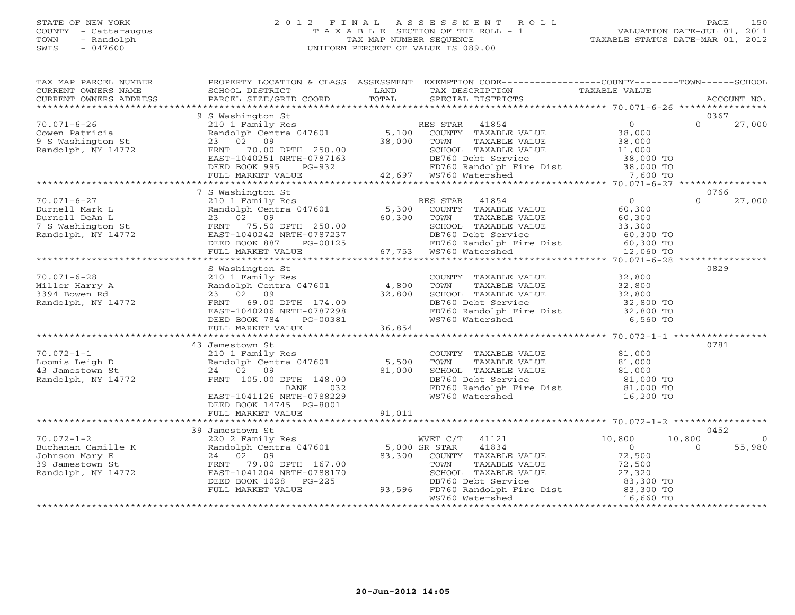# STATE OF NEW YORK 2 0 1 2 F I N A L A S S E S S M E N T R O L L PAGE 150 COUNTY - Cattaraugus T A X A B L E SECTION OF THE ROLL - 1 VALUATION DATE-JUL 01, 2011 TOWN - Randolph TAX MAP NUMBER SEQUENCE TAXABLE STATUS DATE-MAR 01, 2012 SWIS - 047600 UNIFORM PERCENT OF VALUE IS 089.00UNIFORM PERCENT OF VALUE IS 089.00

| TAX MAP PARCEL NUMBER<br>CURRENT OWNERS NAME<br>CURRENT OWNERS ADDRESS                                                                                    | SCHOOL DISTRICT<br>PARCEL SIZE/GRID COORD                                                                                                                                                                                                                                                                                              | LAND<br>TOTAL                                | PROPERTY LOCATION & CLASS ASSESSMENT EXEMPTION CODE----------------COUNTY-------TOWN------SCHOOL<br>TAX DESCRIPTION<br>SPECIAL DISTRICTS                                                                                                                                                                                 | TAXABLE VALUE                                                                                                            | ACCOUNT NO.                              |
|-----------------------------------------------------------------------------------------------------------------------------------------------------------|----------------------------------------------------------------------------------------------------------------------------------------------------------------------------------------------------------------------------------------------------------------------------------------------------------------------------------------|----------------------------------------------|--------------------------------------------------------------------------------------------------------------------------------------------------------------------------------------------------------------------------------------------------------------------------------------------------------------------------|--------------------------------------------------------------------------------------------------------------------------|------------------------------------------|
|                                                                                                                                                           |                                                                                                                                                                                                                                                                                                                                        |                                              |                                                                                                                                                                                                                                                                                                                          |                                                                                                                          |                                          |
|                                                                                                                                                           | 9 S Washington St                                                                                                                                                                                                                                                                                                                      |                                              |                                                                                                                                                                                                                                                                                                                          |                                                                                                                          | 0367                                     |
| $70.071 - 6 - 26$<br>Cowen Patricia<br>9 S Washington St<br>Randolph, NY 14772                                                                            | 210 1 Family Res<br>Randolph Centra 047601 5,100 COUNTY TAXABLE VALUE<br>23 02 09 38,000 TOWN TAXABLE VALUE<br>FRNT 70.00 DPTH 250.00<br>EAST-1040251 NRTH-0787163                                                                                                                                                                     |                                              | RES STAR 41854<br>TAXABLE VALUE<br>SCHOOL TAXABLE VALUE                                                                                                                                                                                                                                                                  | $\overline{0}$<br>$38,000$<br>$38,000$<br>$11,000$                                                                       | $\Omega$<br>27,000                       |
|                                                                                                                                                           | DEED BOOK 995<br>FULL MARKET VALUE                                                                                                                                                                                                                                                                                                     |                                              |                                                                                                                                                                                                                                                                                                                          |                                                                                                                          |                                          |
|                                                                                                                                                           |                                                                                                                                                                                                                                                                                                                                        |                                              |                                                                                                                                                                                                                                                                                                                          |                                                                                                                          |                                          |
|                                                                                                                                                           | 7 S Washington St                                                                                                                                                                                                                                                                                                                      |                                              |                                                                                                                                                                                                                                                                                                                          |                                                                                                                          | 0766                                     |
| $70.071 - 6 - 27$                                                                                                                                         | 210 1 Family Res                                                                                                                                                                                                                                                                                                                       |                                              | RES STAR 41854                                                                                                                                                                                                                                                                                                           | $\Omega$                                                                                                                 | $\Omega$<br>27,000                       |
| Durnell Mark L<br>Durnell DeAn L<br>Durneil Denne<br>7 S Washington St<br>19 November 14772                                                               | Randolph Centra 047601<br>23 02 09<br>FRNT 75.50 DPTH 250.00<br>EAST-1040242 NRTH-0787237                                                                                                                                                                                                                                              | 5,300<br>60,300                              | COUNTY TAXABLE VALUE<br>TOWN<br>TAXABLE VALUE<br>SCHOOL TAXABLE VALUE<br>OO SCHOOL TAXABLE<br>237 DB760 Debt Servi<br>125 67,753 WS760 Watershed<br>DB760 Debt Service                                                                                                                                                   | 60,300<br>60,300<br>33,300<br>60,300 TO                                                                                  |                                          |
|                                                                                                                                                           | DEED BOOK 887<br>PG-00125                                                                                                                                                                                                                                                                                                              |                                              |                                                                                                                                                                                                                                                                                                                          |                                                                                                                          |                                          |
|                                                                                                                                                           | FULL MARKET VALUE                                                                                                                                                                                                                                                                                                                      |                                              | FD760 Randolph Fire Dist 60,300 TO<br>WS760 Watershed 12,060 TO                                                                                                                                                                                                                                                          |                                                                                                                          |                                          |
|                                                                                                                                                           |                                                                                                                                                                                                                                                                                                                                        |                                              |                                                                                                                                                                                                                                                                                                                          |                                                                                                                          |                                          |
| $70.071 - 6 - 28$<br>Miller Harry A<br>3394 Bowen Rd<br>Randolph, NY 14772<br>$70.072 - 1 - 1$<br>Loomis Leigh D<br>43 Jamestown St<br>Randolph, NY 14772 | S Washington St<br>210 1 Family Res<br>Randolph Centra 047601<br>23 02 09<br>FRNT 69.00 DPTH 174.00<br>EAST-1040206 NRTH-0787298<br>DEED BOOK 784<br>PG-00381<br>FULL MARKET VALUE<br>43 Jamestown St<br>210 1 Family Res<br>Randolph Centra 047601<br>24 02 09<br>FRNT 105.00 DPTH 148.00<br>032<br>BANK<br>EAST-1041126 NRTH-0788229 | 4,800<br>32,800<br>36,854<br>5,500<br>81,000 | COUNTY TAXABLE VALUE<br>TOWN<br>TAXABLE VALUE<br>SCHOOL TAXABLE VALUE<br>DB760 Debt Service<br>FD760 Randolph Fire Dist<br>WS760 Watershed<br>COUNTY TAXABLE VALUE<br>TOWN<br>TAXABLE VALUE<br>SCHOOL TAXABLE VALUE<br>DB760 Debt Service<br>DB760 Debt Service<br>FD760 Randolph Fire Dist 81,000 TO<br>WS760 Watershed | 32,800<br>32,800<br>32,800<br>32,800 TO<br>32,800 TO<br>6,560 TO<br>81,000<br>81,000<br>81,000<br>81,000 TO<br>16,200 TO | 0829<br>0781                             |
|                                                                                                                                                           | DEED BOOK 14745 PG-8001<br>FULL MARKET VALUE                                                                                                                                                                                                                                                                                           | 91,011                                       |                                                                                                                                                                                                                                                                                                                          |                                                                                                                          |                                          |
|                                                                                                                                                           |                                                                                                                                                                                                                                                                                                                                        |                                              |                                                                                                                                                                                                                                                                                                                          |                                                                                                                          |                                          |
|                                                                                                                                                           | 39 Jamestown St                                                                                                                                                                                                                                                                                                                        |                                              |                                                                                                                                                                                                                                                                                                                          |                                                                                                                          | 0452                                     |
| $70.072 - 1 - 2$<br>Buchanan Camille K<br>Johnson Mary E<br>39 Jamestown St<br>Randolph, NY 14772                                                         | 220 2 Family Res<br>Randolph Centra 047601 5,000 SR STAR<br>24 02 09<br>FRNT 79.00 DPTH 167.00<br>EAST-1041204 NRTH-0788170<br>DEED BOOK 1028 PG-225<br>FULL MARKET VALUE                                                                                                                                                              | 83,300                                       | WVET C/T 41121<br>41834<br>COUNTY TAXABLE VALUE<br>TAXABLE VALUE<br>TOWN<br>SCHOOL TAXABLE VALUE<br>DB760 Debt Service<br>93,596 FD760 Randolph Fire Dist                                                                                                                                                                | 10,800<br>$\Omega$<br>72,500<br>72,500<br>27,320<br>$83,300$ TO<br>$83,300$ TO<br>$16,660$ TO                            | 10,800<br>$\Omega$<br>55,980<br>$\Omega$ |
|                                                                                                                                                           |                                                                                                                                                                                                                                                                                                                                        |                                              | WS760 Watershed                                                                                                                                                                                                                                                                                                          | 16,660 TO                                                                                                                |                                          |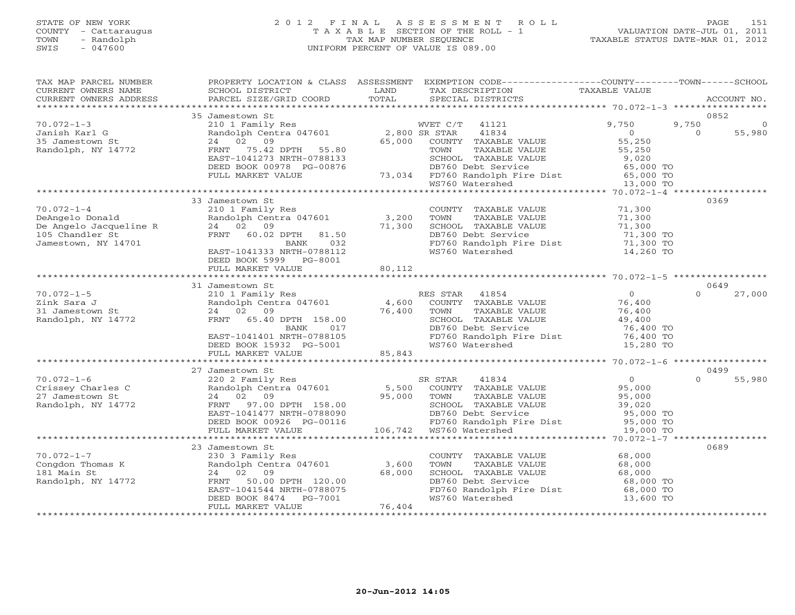# STATE OF NEW YORK 2 0 1 2 F I N A L A S S E S S M E N T R O L L PAGE 151 COUNTY - Cattaraugus T A X A B L E SECTION OF THE ROLL - 1 VALUATION DATE-JUL 01, 2011 TOWN - Randolph TAX MAP NUMBER SEQUENCE TAXABLE STATUS DATE-MAR 01, 2012 SWIS - 047600 UNIFORM PERCENT OF VALUE IS 089.00UNIFORM PERCENT OF VALUE IS 089.00

| TAX MAP PARCEL NUMBER<br>CURRENT OWNERS NAME<br>CURRENT OWNERS ADDRESS     | PROPERTY LOCATION & CLASS ASSESSMENT<br>SCHOOL DISTRICT<br>PARCEL SIZE/GRID COORD              | LAND<br>TOTAL           | EXEMPTION CODE-----------------COUNTY-------TOWN------SCHOOL<br>TAX DESCRIPTION<br>SPECIAL DISTRICTS | TAXABLE VALUE                          | ACCOUNT NO.                 |
|----------------------------------------------------------------------------|------------------------------------------------------------------------------------------------|-------------------------|------------------------------------------------------------------------------------------------------|----------------------------------------|-----------------------------|
| **********************                                                     |                                                                                                |                         |                                                                                                      |                                        |                             |
|                                                                            | 35 Jamestown St                                                                                |                         |                                                                                                      |                                        | 0852                        |
| $70.072 - 1 - 3$<br>Janish Karl G<br>35 Jamestown St<br>Randolph, NY 14772 | 210 1 Family Res<br>Randolph Centra 047601<br>24 02<br>09<br>75.42 DPTH<br>FRNT<br>55.80       | 2,800 SR STAR<br>65,000 | WVET C/T<br>41121<br>41834<br>COUNTY TAXABLE VALUE<br>TOWN<br>TAXABLE VALUE                          | 9,750<br>$\Omega$<br>55,250<br>55,250  | 9,750<br>$\Omega$<br>55,980 |
|                                                                            | EAST-1041273 NRTH-0788133<br>DEED BOOK 00978 PG-00876<br>FULL MARKET VALUE                     |                         | SCHOOL TAXABLE VALUE<br>DB760 Debt Service<br>73,034 FD760 Randolph Fire Dist                        | 9,020<br>65,000 TO<br>65,000 TO        |                             |
|                                                                            |                                                                                                |                         | WS760 Watershed                                                                                      | 13,000 TO                              |                             |
|                                                                            |                                                                                                |                         |                                                                                                      |                                        |                             |
| $70.072 - 1 - 4$<br>DeAngelo Donald<br>De Angelo Jacqueline R              | 33 Jamestown St<br>210 1 Family Res<br>Randolph Centra 047601<br>24 02<br>09                   | 3,200<br>71,300         | COUNTY TAXABLE VALUE<br>TOWN<br>TAXABLE VALUE<br>SCHOOL TAXABLE VALUE                                | 71,300<br>71,300<br>71,300             | 0369                        |
| 105 Chandler St<br>Jamestown, NY 14701                                     | FRNT 60.02 DPTH<br>81.50<br>032<br>BANK<br>EAST-1041333 NRTH-0788112<br>DEED BOOK 5999 PG-8001 | 80,112                  | DB760 Debt Service<br>FD760 Randolph Fire Dist<br>WS760 Watershed                                    | 71,300 TO<br>71,300 TO<br>14,260 TO    |                             |
|                                                                            | FULL MARKET VALUE                                                                              |                         |                                                                                                      |                                        |                             |
|                                                                            | 31 Jamestown St                                                                                |                         |                                                                                                      |                                        | 0649                        |
| $70.072 - 1 - 5$                                                           | 210 1 Family Res                                                                               |                         | RES STAR 41854                                                                                       | $\circ$                                | $\Omega$<br>27,000          |
| Zink Sara J                                                                | Randolph Centra 047601                                                                         | 4,600                   | COUNTY TAXABLE VALUE                                                                                 | 76,400                                 |                             |
| 31 Jamestown St                                                            | 24 02 09                                                                                       | 76,400                  | TOWN<br>TAXABLE VALUE                                                                                | 76,400                                 |                             |
| Randolph, NY 14772                                                         | FRNT 65.40 DPTH 158.00                                                                         |                         | SCHOOL TAXABLE VALUE                                                                                 | 49,400                                 |                             |
|                                                                            | BANK<br>017                                                                                    |                         | DB760 Debt Service                                                                                   | 76,400 TO                              |                             |
|                                                                            | EAST-1041401 NRTH-0788105                                                                      |                         | FD760 Randolph Fire Dist                                                                             | 76,400 TO                              |                             |
|                                                                            | DEED BOOK 15932 PG-5001<br>FULL MARKET VALUE                                                   | 85,843                  | WS760 Watershed                                                                                      | 15,280 TO                              |                             |
|                                                                            |                                                                                                |                         |                                                                                                      |                                        |                             |
|                                                                            | 27 Jamestown St                                                                                |                         |                                                                                                      |                                        | 0499                        |
| $70.072 - 1 - 6$                                                           | 220 2 Family Res                                                                               |                         | 41834<br>SR STAR                                                                                     | $\circ$                                | 55,980<br>$\Omega$          |
| Crissey Charles C                                                          | Randolph Centra 047601                                                                         | 5,500                   | COUNTY TAXABLE VALUE                                                                                 | 95,000                                 |                             |
| 27 Jamestown St                                                            | 24 02<br>09                                                                                    | 95,000                  | TOWN<br>TAXABLE VALUE                                                                                | 95,000                                 |                             |
| Randolph, NY 14772                                                         | FRNT 97.00 DPTH 158.00                                                                         |                         | SCHOOL TAXABLE VALUE                                                                                 | 39,020                                 |                             |
|                                                                            | EAST-1041477 NRTH-0788090                                                                      |                         | DB760 Debt Service                                                                                   | 95,000 TO                              |                             |
|                                                                            | DEED BOOK 00926 PG-00116                                                                       |                         | FD760 Randolph Fire Dist                                                                             | 95,000 TO                              |                             |
|                                                                            | FULL MARKET VALUE<br>*************************                                                 | 106,742                 | WS760 Watershed                                                                                      | 19,000 TO                              |                             |
|                                                                            |                                                                                                |                         |                                                                                                      | ********** 70.072-1-7 **************** | 0689                        |
| $70.072 - 1 - 7$                                                           | 23 Jamestown St                                                                                |                         |                                                                                                      | 68,000                                 |                             |
| Congdon Thomas K                                                           | 230 3 Family Res<br>Randolph Centra 047601                                                     | 3,600                   | COUNTY TAXABLE VALUE<br>TOWN<br>TAXABLE VALUE                                                        | 68,000                                 |                             |
| 181 Main St                                                                | 24 02<br>09                                                                                    | 68,000                  | SCHOOL TAXABLE VALUE                                                                                 | 68,000                                 |                             |
| Randolph, NY 14772                                                         | 50.00 DPTH 120.00<br>FRNT                                                                      |                         | DB760 Debt Service                                                                                   | 68,000 TO                              |                             |
|                                                                            | EAST-1041544 NRTH-0788075                                                                      |                         | FD760 Randolph Fire Dist                                                                             | 68,000 TO                              |                             |
|                                                                            | DEED BOOK 8474<br>PG-7001                                                                      |                         | WS760 Watershed                                                                                      | 13,600 TO                              |                             |
|                                                                            | FULL MARKET VALUE                                                                              | 76,404                  |                                                                                                      |                                        |                             |
|                                                                            |                                                                                                |                         |                                                                                                      |                                        |                             |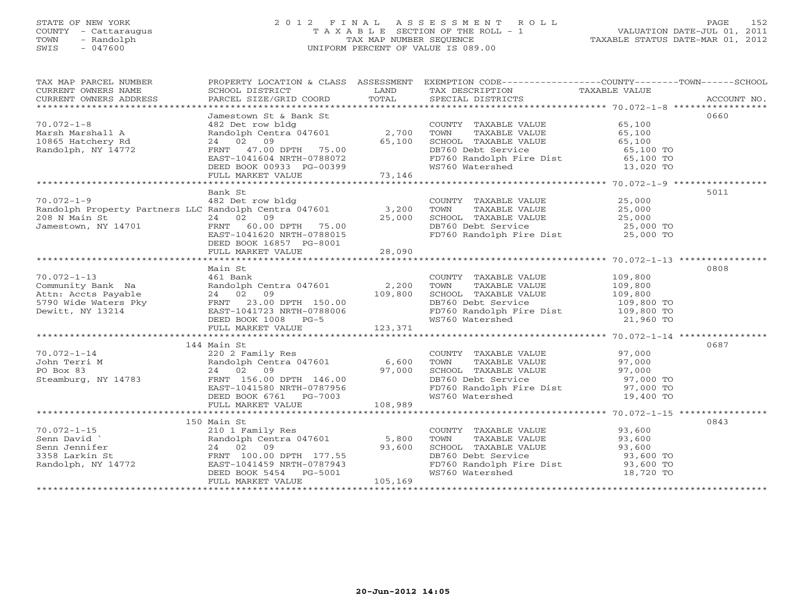# STATE OF NEW YORK 2 0 1 2 F I N A L A S S E S S M E N T R O L L PAGE 152 COUNTY - Cattaraugus T A X A B L E SECTION OF THE ROLL - 1 VALUATION DATE-JUL 01, 2011 TOWN - Randolph TAX MAP NUMBER SEQUENCE TAXABLE STATUS DATE-MAR 01, 2012 SWIS - 047600 UNIFORM PERCENT OF VALUE IS 089.00UNIFORM PERCENT OF VALUE IS 089.00

| TAX MAP PARCEL NUMBER                                                                                                                                                                                                                                    |                                                                                                                                                                                                                                          |        | PROPERTY LOCATION & CLASS ASSESSMENT EXEMPTION CODE----------------COUNTY-------TOWN------SCHOOL                         |      |
|----------------------------------------------------------------------------------------------------------------------------------------------------------------------------------------------------------------------------------------------------------|------------------------------------------------------------------------------------------------------------------------------------------------------------------------------------------------------------------------------------------|--------|--------------------------------------------------------------------------------------------------------------------------|------|
| CURRENT OWNERS NAME SCHOOL DISTRICT<br>CURRENT OWNERS ADDRESS PARCEL SIZE/GRID                                                                                                                                                                           |                                                                                                                                                                                                                                          |        |                                                                                                                          |      |
|                                                                                                                                                                                                                                                          |                                                                                                                                                                                                                                          |        |                                                                                                                          |      |
|                                                                                                                                                                                                                                                          |                                                                                                                                                                                                                                          |        |                                                                                                                          |      |
|                                                                                                                                                                                                                                                          | Jamestown St & Bank St                                                                                                                                                                                                                   |        |                                                                                                                          | 0660 |
| $70.072 - 1 - 8$                                                                                                                                                                                                                                         | 30 Jamestown St & Bank St<br>482 Det row bldg<br>Randolph Centra 047601 2,700 TOWN TAXABLE VALUE 65,100<br>24 02 09 65,100 SCHOOL TAXABLE VALUE 65,100<br>FRNT 47.00 DPTH 75.00 DB760 Debt Service 65,100 TO<br>EAST-1041604 NRTH-078807 |        |                                                                                                                          |      |
|                                                                                                                                                                                                                                                          |                                                                                                                                                                                                                                          |        |                                                                                                                          |      |
|                                                                                                                                                                                                                                                          |                                                                                                                                                                                                                                          |        |                                                                                                                          |      |
| Marsh Marshall A<br>10865 Hatchery Rd<br>Randolph, NY 14772                                                                                                                                                                                              |                                                                                                                                                                                                                                          |        |                                                                                                                          |      |
|                                                                                                                                                                                                                                                          |                                                                                                                                                                                                                                          |        |                                                                                                                          |      |
|                                                                                                                                                                                                                                                          |                                                                                                                                                                                                                                          |        |                                                                                                                          |      |
|                                                                                                                                                                                                                                                          |                                                                                                                                                                                                                                          |        |                                                                                                                          |      |
|                                                                                                                                                                                                                                                          |                                                                                                                                                                                                                                          |        |                                                                                                                          |      |
|                                                                                                                                                                                                                                                          | Bank St                                                                                                                                                                                                                                  |        |                                                                                                                          | 5011 |
|                                                                                                                                                                                                                                                          |                                                                                                                                                                                                                                          |        |                                                                                                                          |      |
|                                                                                                                                                                                                                                                          |                                                                                                                                                                                                                                          |        |                                                                                                                          |      |
|                                                                                                                                                                                                                                                          |                                                                                                                                                                                                                                          |        |                                                                                                                          |      |
|                                                                                                                                                                                                                                                          |                                                                                                                                                                                                                                          |        |                                                                                                                          |      |
|                                                                                                                                                                                                                                                          |                                                                                                                                                                                                                                          |        |                                                                                                                          |      |
|                                                                                                                                                                                                                                                          | DEED BOOK 16857 PG-8001                                                                                                                                                                                                                  |        |                                                                                                                          |      |
|                                                                                                                                                                                                                                                          | FULL MARKET VALUE                                                                                                                                                                                                                        | 28,090 |                                                                                                                          |      |
|                                                                                                                                                                                                                                                          |                                                                                                                                                                                                                                          |        |                                                                                                                          |      |
|                                                                                                                                                                                                                                                          | Main St                                                                                                                                                                                                                                  |        |                                                                                                                          | 0808 |
|                                                                                                                                                                                                                                                          |                                                                                                                                                                                                                                          |        |                                                                                                                          |      |
|                                                                                                                                                                                                                                                          |                                                                                                                                                                                                                                          |        |                                                                                                                          |      |
|                                                                                                                                                                                                                                                          |                                                                                                                                                                                                                                          |        |                                                                                                                          |      |
|                                                                                                                                                                                                                                                          |                                                                                                                                                                                                                                          |        |                                                                                                                          |      |
|                                                                                                                                                                                                                                                          |                                                                                                                                                                                                                                          |        |                                                                                                                          |      |
|                                                                                                                                                                                                                                                          |                                                                                                                                                                                                                                          |        |                                                                                                                          |      |
|                                                                                                                                                                                                                                                          |                                                                                                                                                                                                                                          |        |                                                                                                                          |      |
|                                                                                                                                                                                                                                                          |                                                                                                                                                                                                                                          |        |                                                                                                                          |      |
|                                                                                                                                                                                                                                                          |                                                                                                                                                                                                                                          |        |                                                                                                                          |      |
|                                                                                                                                                                                                                                                          | 144 Main St                                                                                                                                                                                                                              |        |                                                                                                                          | 0687 |
|                                                                                                                                                                                                                                                          |                                                                                                                                                                                                                                          |        |                                                                                                                          |      |
|                                                                                                                                                                                                                                                          |                                                                                                                                                                                                                                          |        |                                                                                                                          |      |
|                                                                                                                                                                                                                                                          |                                                                                                                                                                                                                                          |        |                                                                                                                          |      |
|                                                                                                                                                                                                                                                          |                                                                                                                                                                                                                                          |        |                                                                                                                          |      |
|                                                                                                                                                                                                                                                          |                                                                                                                                                                                                                                          |        |                                                                                                                          |      |
|                                                                                                                                                                                                                                                          |                                                                                                                                                                                                                                          |        |                                                                                                                          |      |
|                                                                                                                                                                                                                                                          |                                                                                                                                                                                                                                          |        |                                                                                                                          |      |
|                                                                                                                                                                                                                                                          |                                                                                                                                                                                                                                          |        |                                                                                                                          |      |
|                                                                                                                                                                                                                                                          | 150 Main St                                                                                                                                                                                                                              |        |                                                                                                                          | 0843 |
|                                                                                                                                                                                                                                                          |                                                                                                                                                                                                                                          |        | COUNTY TAXABLE VALUE 93,600<br>TOWN TAXABLE VALUE 93,600                                                                 |      |
|                                                                                                                                                                                                                                                          |                                                                                                                                                                                                                                          |        |                                                                                                                          |      |
|                                                                                                                                                                                                                                                          |                                                                                                                                                                                                                                          |        |                                                                                                                          |      |
|                                                                                                                                                                                                                                                          |                                                                                                                                                                                                                                          |        |                                                                                                                          |      |
|                                                                                                                                                                                                                                                          |                                                                                                                                                                                                                                          |        |                                                                                                                          |      |
| 150 Main St<br>210 1 Family Res<br>Senn David<br>Senn Jennifer<br>3358 Larkin St<br>Randolph, NY 14772<br>Randolph, NY 14772<br>PEED BOOK 5454<br>PEED BOOK 5454<br>PEED BOOK 5454<br>PEED BOOK 5454<br>PEED BOOK 5454<br>PEED BOOK 5454<br>PEED BOOK 54 |                                                                                                                                                                                                                                          |        | CHOOL TAXABLE VALUE<br>DB760 Debt Service<br>FD760 Randolph Fire Dist<br>WS760 Watershed<br>MS760 Watershed<br>18,720 TO |      |
|                                                                                                                                                                                                                                                          |                                                                                                                                                                                                                                          |        |                                                                                                                          |      |
|                                                                                                                                                                                                                                                          |                                                                                                                                                                                                                                          |        |                                                                                                                          |      |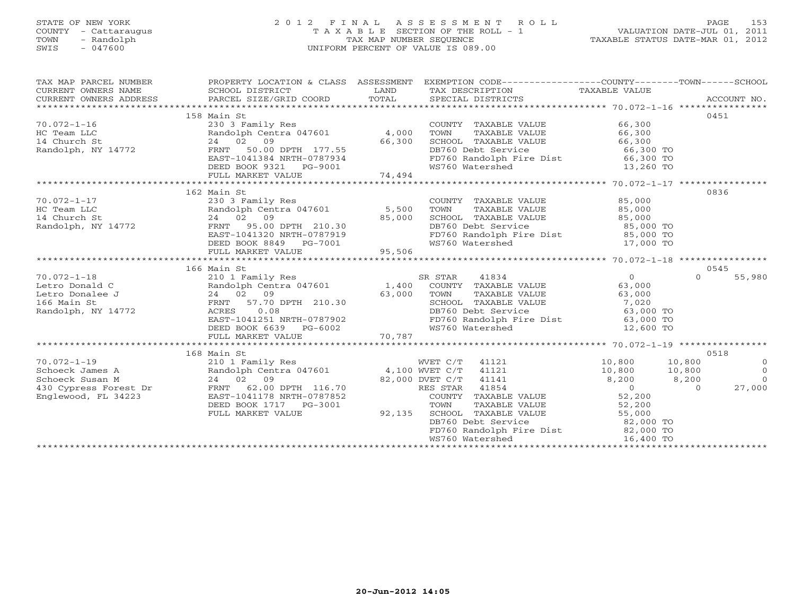# STATE OF NEW YORK 2 0 1 2 F I N A L A S S E S S M E N T R O L L PAGE 153 COUNTY - Cattaraugus T A X A B L E SECTION OF THE ROLL - 1 VALUATION DATE-JUL 01, 2011 TOWN - Randolph TAX MAP NUMBER SEQUENCE TAXABLE STATUS DATE-MAR 01, 2012 SWIS - 047600 UNIFORM PERCENT OF VALUE IS 089.00UNIFORM PERCENT OF VALUE IS 089.00

| TAX MAP PARCEL NUMBER                                                                                                                                                                                                                                |                                                                                                                                                           | PROPERTY LOCATION & CLASS ASSESSMENT EXEMPTION CODE----------------COUNTY-------TOWN------SCHOOL                                                                                                                                                     |                                                                              |                    |
|------------------------------------------------------------------------------------------------------------------------------------------------------------------------------------------------------------------------------------------------------|-----------------------------------------------------------------------------------------------------------------------------------------------------------|------------------------------------------------------------------------------------------------------------------------------------------------------------------------------------------------------------------------------------------------------|------------------------------------------------------------------------------|--------------------|
|                                                                                                                                                                                                                                                      | 158 Main St                                                                                                                                               |                                                                                                                                                                                                                                                      |                                                                              | 0451               |
|                                                                                                                                                                                                                                                      | 230 3 Family Res                                                                                                                                          | COUNTY TAXABLE VALUE 66,300                                                                                                                                                                                                                          |                                                                              |                    |
| 70.072-1-16<br>HC Team LLC<br>14 Church St 24 02 09<br>Randolph, NY 14772<br>FRNT 50.00                                                                                                                                                              | Randolph Centra 047601 4,000                                                                                                                              | TAXABLE VALUE 66,300<br>TOWN                                                                                                                                                                                                                         |                                                                              |                    |
|                                                                                                                                                                                                                                                      |                                                                                                                                                           |                                                                                                                                                                                                                                                      |                                                                              |                    |
|                                                                                                                                                                                                                                                      | 24 02 09<br>FRNT 50.00 DPTH 177.55<br>EAST-1041384 NRTH-0787934                                                                                           | SCHOOL TAXABLE VALUE 66,300<br>DB760 Debt Service 66,300 TO<br>FD760 Randolph Fire Dist 66,300 TO                                                                                                                                                    |                                                                              |                    |
|                                                                                                                                                                                                                                                      |                                                                                                                                                           |                                                                                                                                                                                                                                                      |                                                                              |                    |
|                                                                                                                                                                                                                                                      |                                                                                                                                                           | WS760 Watershed 13,260 TO                                                                                                                                                                                                                            |                                                                              |                    |
|                                                                                                                                                                                                                                                      | DEED BOOK 9321 PG-9001<br>FULL MARKET VALUE 74,494                                                                                                        |                                                                                                                                                                                                                                                      |                                                                              |                    |
|                                                                                                                                                                                                                                                      |                                                                                                                                                           |                                                                                                                                                                                                                                                      |                                                                              |                    |
|                                                                                                                                                                                                                                                      | 162 Main St                                                                                                                                               |                                                                                                                                                                                                                                                      |                                                                              | 0836               |
|                                                                                                                                                                                                                                                      |                                                                                                                                                           |                                                                                                                                                                                                                                                      |                                                                              |                    |
|                                                                                                                                                                                                                                                      |                                                                                                                                                           | COUNTY TAXABLE VALUE $85,000$<br>TOWN TAXABLE VALUE $85,000$<br>SCHOOL TAXABLE VALUE $85,000$                                                                                                                                                        |                                                                              |                    |
|                                                                                                                                                                                                                                                      |                                                                                                                                                           |                                                                                                                                                                                                                                                      |                                                                              |                    |
|                                                                                                                                                                                                                                                      |                                                                                                                                                           |                                                                                                                                                                                                                                                      |                                                                              |                    |
|                                                                                                                                                                                                                                                      |                                                                                                                                                           |                                                                                                                                                                                                                                                      |                                                                              |                    |
|                                                                                                                                                                                                                                                      |                                                                                                                                                           |                                                                                                                                                                                                                                                      |                                                                              |                    |
| 162 Main St<br>HC Team LLC<br>HC Team LLC<br>14 Church St<br>Randolph, NY 14772<br>Randolph, NY 14772<br>FRNT 95.00 DPTH 210.30<br>EAST-1041320 NRTH-0787919<br>DEED BOOK 8849 PG-7001<br>FRNT 95.00 DPTH 210.30<br>EAST-1041320 NRTH-0787919<br>PEE |                                                                                                                                                           |                                                                                                                                                                                                                                                      |                                                                              |                    |
|                                                                                                                                                                                                                                                      |                                                                                                                                                           |                                                                                                                                                                                                                                                      |                                                                              |                    |
|                                                                                                                                                                                                                                                      | 166 Main St                                                                                                                                               |                                                                                                                                                                                                                                                      |                                                                              | 0545               |
|                                                                                                                                                                                                                                                      |                                                                                                                                                           |                                                                                                                                                                                                                                                      |                                                                              | $\Omega$<br>55,980 |
|                                                                                                                                                                                                                                                      |                                                                                                                                                           |                                                                                                                                                                                                                                                      |                                                                              |                    |
|                                                                                                                                                                                                                                                      |                                                                                                                                                           |                                                                                                                                                                                                                                                      |                                                                              |                    |
|                                                                                                                                                                                                                                                      |                                                                                                                                                           |                                                                                                                                                                                                                                                      |                                                                              |                    |
|                                                                                                                                                                                                                                                      |                                                                                                                                                           |                                                                                                                                                                                                                                                      |                                                                              |                    |
|                                                                                                                                                                                                                                                      |                                                                                                                                                           |                                                                                                                                                                                                                                                      |                                                                              |                    |
|                                                                                                                                                                                                                                                      |                                                                                                                                                           |                                                                                                                                                                                                                                                      |                                                                              |                    |
|                                                                                                                                                                                                                                                      |                                                                                                                                                           |                                                                                                                                                                                                                                                      |                                                                              |                    |
|                                                                                                                                                                                                                                                      |                                                                                                                                                           |                                                                                                                                                                                                                                                      |                                                                              |                    |
|                                                                                                                                                                                                                                                      | 168 Main St<br>210 1 Family Res<br>Randolph Centra 047601 4,100 WVET C/T 41121<br>24 02 09 82,000 DVET C/T 41141<br>FRNT 62.00 DPTH 116.70 RES STAR 41854 |                                                                                                                                                                                                                                                      |                                                                              | 0518               |
| $70.072 - 1 - 19$                                                                                                                                                                                                                                    |                                                                                                                                                           | WVET C/T 41121                                                                                                                                                                                                                                       | 10,800 10,800                                                                | $\overline{0}$     |
| Schoeck James A                                                                                                                                                                                                                                      |                                                                                                                                                           |                                                                                                                                                                                                                                                      |                                                                              | $\overline{O}$     |
| Schoeck Susan M                                                                                                                                                                                                                                      |                                                                                                                                                           |                                                                                                                                                                                                                                                      | $\begin{array}{ccc} 10,800 & 10,800 \ 8,200 & 8,200 \ 0 & 0 & 0 \end{array}$ | $\overline{0}$     |
| 430 Cypress Forest Dr FRNT 62.00 DPTH 116.70                                                                                                                                                                                                         |                                                                                                                                                           |                                                                                                                                                                                                                                                      |                                                                              | 27,000             |
| Englewood, FL 34223                                                                                                                                                                                                                                  | EAST-1041178 NRTH-0787852<br>DEED BOOK 1717 PG-3001<br>FULL MARKET VALUE 92,135                                                                           |                                                                                                                                                                                                                                                      |                                                                              |                    |
|                                                                                                                                                                                                                                                      |                                                                                                                                                           |                                                                                                                                                                                                                                                      |                                                                              |                    |
|                                                                                                                                                                                                                                                      |                                                                                                                                                           |                                                                                                                                                                                                                                                      |                                                                              |                    |
|                                                                                                                                                                                                                                                      |                                                                                                                                                           |                                                                                                                                                                                                                                                      |                                                                              |                    |
|                                                                                                                                                                                                                                                      |                                                                                                                                                           | ES STAR 41854<br>COUNTY TAXABLE VALUE<br>TOWN TAXABLE VALUE<br>SCHOOL TAXABLE VALUE<br>SCHOOL TAXABLE VALUE<br>DE760 Debt Service<br>FD760 Randolph Fire Dist<br>WS760 Watershed<br>MS760 Watershed<br>MS760 Watershed<br>MS760 Watershed<br>MS760 W |                                                                              |                    |
|                                                                                                                                                                                                                                                      |                                                                                                                                                           |                                                                                                                                                                                                                                                      |                                                                              |                    |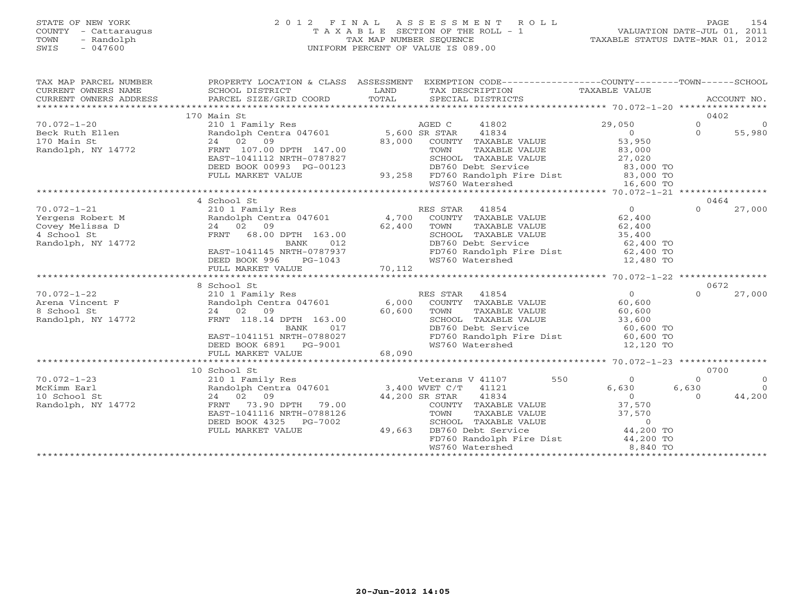# STATE OF NEW YORK 2 0 1 2 F I N A L A S S E S S M E N T R O L L PAGE 154 COUNTY - Cattaraugus T A X A B L E SECTION OF THE ROLL - 1 VALUATION DATE-JUL 01, 2011 TOWN - Randolph TAX MAP NUMBER SEQUENCE TAXABLE STATUS DATE-MAR 01, 2012 SWIS - 047600 UNIFORM PERCENT OF VALUE IS 089.00UNIFORM PERCENT OF VALUE IS 089.00

| TAX MAP PARCEL NUMBER<br>CURRENT OWNERS NAME<br>CURRENT OWNERS ADDRESS | SCHOOL DISTRICT                                                   | LAND              | PROPERTY LOCATION & CLASS ASSESSMENT EXEMPTION CODE---------------COUNTY-------TOWN------SCHOOL<br>TAX DESCRIPTION | TAXABLE VALUE          | ACCOUNT NO.         |
|------------------------------------------------------------------------|-------------------------------------------------------------------|-------------------|--------------------------------------------------------------------------------------------------------------------|------------------------|---------------------|
|                                                                        | 170 Main St                                                       |                   |                                                                                                                    |                        | 0402                |
| $70.072 - 1 - 20$                                                      | 210 1 Family Res                                                  |                   | AGED C<br>41802                                                                                                    | 29,050                 | $\Omega$<br>$\circ$ |
| Beck Ruth Ellen                                                        | Randolph Centra 047601 5,600 SR STAR                              |                   | 41834                                                                                                              | $\overline{0}$         | $\Omega$<br>55,980  |
| 170 Main St                                                            | 24 02 09                                                          | 83,000            | COUNTY TAXABLE VALUE                                                                                               | 53,950                 |                     |
| Randolph, NY 14772                                                     | FRNT 107.00 DPTH 147.00                                           |                   | TAXABLE VALUE<br>TOWN                                                                                              | 83,000                 |                     |
|                                                                        | EAST-1041112 NRTH-0787827                                         |                   | SCHOOL TAXABLE VALUE                                                                                               | 27,020                 |                     |
|                                                                        | DEED BOOK 00993 PG-00123                                          |                   | DB760 Debt Service                                                                                                 | 83,000 TO              |                     |
|                                                                        | FULL MARKET VALUE                                                 |                   |                                                                                                                    |                        |                     |
|                                                                        |                                                                   |                   | WS760 Watershed                                                                                                    | 16,600 TO              |                     |
|                                                                        |                                                                   |                   |                                                                                                                    |                        |                     |
|                                                                        | 4 School St                                                       |                   |                                                                                                                    |                        | 0464                |
| $70.072 - 1 - 21$                                                      | 210 1 Family Res                                                  |                   | RES STAR<br>41854                                                                                                  | $\overline{0}$         | $\Omega$<br>27,000  |
|                                                                        | Randolph Centra 047601                                            |                   |                                                                                                                    | 62,400                 |                     |
| Yergens Robert M<br>Covey Melissa D<br>4 School St                     | 24 02 09                                                          | 62,400            | $4,700$ COUNTY TAXABLE VALUE<br>TOWN<br>TAXABLE VALUE                                                              | 62,400                 |                     |
|                                                                        | FRNT 68.00 DPTH 163.00                                            |                   | SCHOOL TAXABLE VALUE                                                                                               | 35,400                 |                     |
| Randolph, NY 14772                                                     | BANK<br>012                                                       |                   |                                                                                                                    |                        |                     |
|                                                                        | EAST-1041145 NRTH-0787937                                         |                   | DB760 Debt Service<br>FD760 Randolph Fire Dist                                                                     | 62,400 TO<br>62,400 TO |                     |
|                                                                        | DEED BOOK 996<br>$PG-1043$                                        |                   | WS760 Watershed                                                                                                    | 12,480 TO              |                     |
|                                                                        | FULL MARKET VALUE                                                 | 70,112            |                                                                                                                    |                        |                     |
|                                                                        |                                                                   |                   |                                                                                                                    |                        |                     |
|                                                                        | 8 School St                                                       |                   |                                                                                                                    |                        | 0672                |
| $70.072 - 1 - 22$                                                      | 210 1 Family Res                                                  |                   | RES STAR 41854                                                                                                     | $\overline{0}$         | $\Omega$<br>27,000  |
| Arena Vincent F                                                        | Randolph Centra 047601 6,000 COUNTY TAXABLE VALUE                 |                   |                                                                                                                    | 60,600                 |                     |
| 8 School St                                                            | 24 02 09                                                          | 60,600            | TOWN<br>TAXABLE VALUE                                                                                              | 60,600                 |                     |
| Randolph, NY 14772                                                     | FRNT 118.14 DPTH 163.00                                           |                   | SCHOOL TAXABLE VALUE                                                                                               | 33,600                 |                     |
|                                                                        | 017<br>BANK                                                       |                   | DB760 Debt Service                                                                                                 | 60,600 TO              |                     |
|                                                                        | EAST-1041151 NRTH-0788027                                         |                   | FD760 Randolph Fire Dist 60,600 TO                                                                                 |                        |                     |
|                                                                        | DEED BOOK 6891 PG-9001                                            |                   | WS760 Watershed                                                                                                    | 12,120 TO              |                     |
|                                                                        | FULL MARKET VALUE                                                 | 9G-9001<br>68,090 |                                                                                                                    |                        |                     |
|                                                                        |                                                                   |                   |                                                                                                                    |                        |                     |
|                                                                        | 10 School St                                                      |                   |                                                                                                                    |                        | 0700                |
| $70.072 - 1 - 23$                                                      |                                                                   |                   | 550<br>Veterans V 41107                                                                                            | $\overline{0}$         | $\circ$<br>$\Omega$ |
| McKimm Earl                                                            | $210$ 1 Family Res<br>Randolph Centra 047601 3,400 WVET C/T 41121 |                   |                                                                                                                    | 6,630                  | $\Omega$<br>6,630   |
| 10 School St                                                           | 24 02 09                                                          |                   | 44,200 SR STAR<br>41834                                                                                            | $\overline{0}$         | 44,200<br>$\Omega$  |
| Randolph, NY 14772                                                     | 73.90 DPTH 79.00<br>FRNT                                          |                   | COUNTY TAXABLE VALUE                                                                                               | 37,570                 |                     |
|                                                                        | EAST-1041116 NRTH-0788126                                         |                   | TAXABLE VALUE<br>TOWN                                                                                              | 37,570                 |                     |
|                                                                        | DEED BOOK 4325<br>PG-7002                                         |                   | SCHOOL TAXABLE VALUE                                                                                               |                        |                     |
|                                                                        | FULL MARKET VALUE                                                 | 49,663            | DB760 Debt Service                                                                                                 | $0$<br>44,200 TO       |                     |
|                                                                        |                                                                   |                   | FD760 Randolph Fire Dist 44,200 TO                                                                                 |                        |                     |
|                                                                        |                                                                   |                   | WS760 Watershed                                                                                                    | 8,840 TO               |                     |
|                                                                        |                                                                   |                   |                                                                                                                    |                        |                     |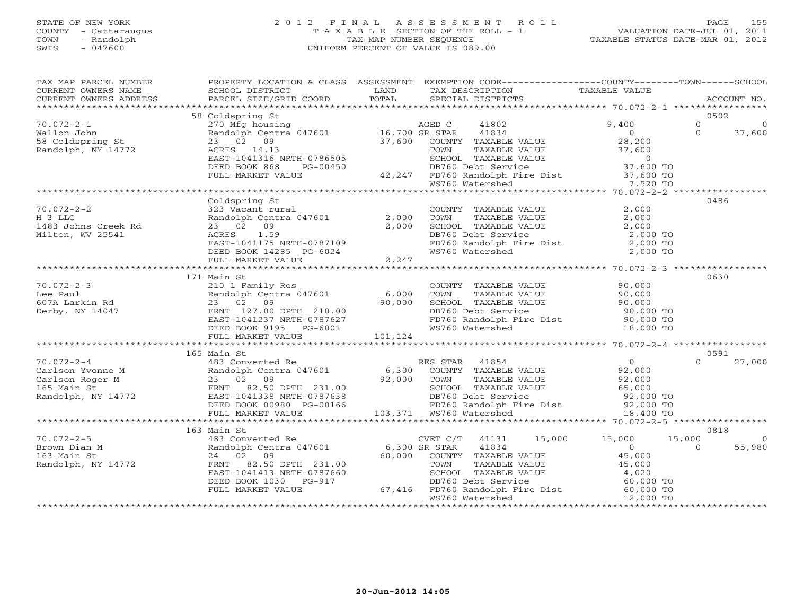# STATE OF NEW YORK 2 0 1 2 F I N A L A S S E S S M E N T R O L L PAGE 155 COUNTY - Cattaraugus T A X A B L E SECTION OF THE ROLL - 1 VALUATION DATE-JUL 01, 2011 TOWN - Randolph TAX MAP NUMBER SEQUENCE TAXABLE STATUS DATE-MAR 01, 2012 SWIS - 047600 UNIFORM PERCENT OF VALUE IS 089.00UNIFORM PERCENT OF VALUE IS 089.00

| TAX MAP PARCEL NUMBER<br>CURRENT OWNERS NAME<br>CURRENT OWNERS ADDRESS                                                                                                                                                                              | <b>LAND</b><br>SCHOOL DISTRICT                                                    |       | PROPERTY LOCATION & CLASS ASSESSMENT EXEMPTION CODE---------------COUNTY-------TOWN------SCHOOL<br>TAX DESCRIPTION TAXABLE VALUE<br>SPECIAL DISTRICTS TAXABLE VALUE<br>TAX DESCRIPTION                                                                       |                      |
|-----------------------------------------------------------------------------------------------------------------------------------------------------------------------------------------------------------------------------------------------------|-----------------------------------------------------------------------------------|-------|--------------------------------------------------------------------------------------------------------------------------------------------------------------------------------------------------------------------------------------------------------------|----------------------|
|                                                                                                                                                                                                                                                     |                                                                                   |       |                                                                                                                                                                                                                                                              |                      |
|                                                                                                                                                                                                                                                     | 58 Coldspring St                                                                  |       | 270 Mfg housing<br>270 Mfg housing<br>270 Mfg housing<br>276 Mfg housing<br>28,200<br>28,200<br>28,200<br>28,200<br>28,200<br>28,200<br>28,200<br>28,200<br>28,200<br>28,200<br>28,200<br>28,200<br>28,200<br>28,200<br>28,200<br>28,200<br>28,200<br>28,200 | 0502                 |
| $70.072 - 2 - 1$                                                                                                                                                                                                                                    |                                                                                   |       |                                                                                                                                                                                                                                                              | $\Omega$<br>$\Omega$ |
| Wallon John<br>waiion John<br>58 Coldspring St<br>Persili I II                                                                                                                                                                                      |                                                                                   |       |                                                                                                                                                                                                                                                              | $\Omega$<br>37,600   |
|                                                                                                                                                                                                                                                     |                                                                                   |       |                                                                                                                                                                                                                                                              |                      |
| Randolph, NY 14772                                                                                                                                                                                                                                  |                                                                                   |       |                                                                                                                                                                                                                                                              |                      |
|                                                                                                                                                                                                                                                     |                                                                                   |       |                                                                                                                                                                                                                                                              |                      |
|                                                                                                                                                                                                                                                     |                                                                                   |       |                                                                                                                                                                                                                                                              |                      |
|                                                                                                                                                                                                                                                     |                                                                                   |       | ACRES 14.13<br>EAST-1041316 NRTH-0786505<br>DEED BOOK 868 PG-00450 42,247 FD760 Randolph Fire Dist 37,600 TOWN<br>FULL MARKET VALUE 42,247 FD760 Randolph Fire Dist 37,600 TO<br>WS760 Watershed 7,520 TO                                                    |                      |
|                                                                                                                                                                                                                                                     |                                                                                   |       |                                                                                                                                                                                                                                                              |                      |
|                                                                                                                                                                                                                                                     | Coldspring St                                                                     |       |                                                                                                                                                                                                                                                              | 0486                 |
| $70.072 - 2 - 2$                                                                                                                                                                                                                                    |                                                                                   |       | COUNTY TAXABLE VALUE<br>323 O2 09<br>ACRES 1.59<br>EAST-1041175 NRTH-0787109<br>DETENDING COUNTY TAXABLE VALUE<br>2,000<br>CHOOL TAXABLE VALUE<br>DETENDING DESCRIPED DETENDENT CONTRAINS<br>DETENDENT COUNTY FOR SCHOOL TAXABLE VALUE<br>DETEND             |                      |
| H 3 LLC                                                                                                                                                                                                                                             |                                                                                   |       |                                                                                                                                                                                                                                                              |                      |
| 1483 Johns Creek Rd                                                                                                                                                                                                                                 |                                                                                   |       |                                                                                                                                                                                                                                                              |                      |
| Milton, WV 25541                                                                                                                                                                                                                                    |                                                                                   |       |                                                                                                                                                                                                                                                              |                      |
|                                                                                                                                                                                                                                                     | EAST-1041175 NRTH-0787109<br>EAST-1041175 NRTH-0787109<br>DEED BOOK 14285 PG-6024 |       |                                                                                                                                                                                                                                                              |                      |
|                                                                                                                                                                                                                                                     | FULL MARKET VALUE                                                                 | 2,247 |                                                                                                                                                                                                                                                              |                      |
|                                                                                                                                                                                                                                                     |                                                                                   |       |                                                                                                                                                                                                                                                              |                      |
|                                                                                                                                                                                                                                                     | 171 Main St                                                                       |       |                                                                                                                                                                                                                                                              | 0630                 |
| $70.072 - 2 - 3$                                                                                                                                                                                                                                    |                                                                                   |       | mani Strength (Manuscript 127.00 DFNT 210.00)<br>23 02 09 90,000 SCHOOL TAXABLE VALUE 90,000<br>FRNT 127.00 DPTH 210.00 90,000 DB760 Debt Service 90,000 TOWN<br>EAST-1041237 NRTH-0787627 FRNT 127.00 DETE POOK 9195<br>EAST-1041237                        |                      |
| Lee Paul                                                                                                                                                                                                                                            |                                                                                   |       |                                                                                                                                                                                                                                                              |                      |
| 607A Larkin Rd                                                                                                                                                                                                                                      |                                                                                   |       |                                                                                                                                                                                                                                                              |                      |
| Derby, NY 14047                                                                                                                                                                                                                                     |                                                                                   |       |                                                                                                                                                                                                                                                              |                      |
|                                                                                                                                                                                                                                                     |                                                                                   |       |                                                                                                                                                                                                                                                              |                      |
|                                                                                                                                                                                                                                                     |                                                                                   |       |                                                                                                                                                                                                                                                              |                      |
| ee Paul and tandoigh Centra 047001<br>07A Larkin Rd 23 02 09 90,000 SCHOOL TAXABLE VALUE 90,000<br>erby, NY 14047 FRNT 127.00 DPTH 210.00<br>EAST-1041237 NRTH-0787627 ED760 Randolph Fire Dist 90,000 TO<br>DEED BOOK 9195 PG-6001 10              |                                                                                   |       |                                                                                                                                                                                                                                                              |                      |
|                                                                                                                                                                                                                                                     | 165 Main St                                                                       |       |                                                                                                                                                                                                                                                              | 0591                 |
| 70.072-2-4<br>Carlson Yvonne M<br>Carlson Roger M<br>23 02 09<br>FRNT 82.50 DPTH 231.00<br>Randolph, NY 14772<br>EAST-1041338 NRTH-0787638<br>DEED BOOK 00980 PG-00166<br>23 02 09<br>PGD 66 Service<br>DEED BOOK 00980 PG-00166<br>22,000 TOWN TAX |                                                                                   |       |                                                                                                                                                                                                                                                              | 27,000<br>$\Omega$   |
|                                                                                                                                                                                                                                                     |                                                                                   |       |                                                                                                                                                                                                                                                              |                      |
|                                                                                                                                                                                                                                                     |                                                                                   |       |                                                                                                                                                                                                                                                              |                      |
|                                                                                                                                                                                                                                                     |                                                                                   |       |                                                                                                                                                                                                                                                              |                      |
|                                                                                                                                                                                                                                                     |                                                                                   |       |                                                                                                                                                                                                                                                              |                      |
|                                                                                                                                                                                                                                                     |                                                                                   |       |                                                                                                                                                                                                                                                              |                      |
|                                                                                                                                                                                                                                                     |                                                                                   |       |                                                                                                                                                                                                                                                              |                      |
|                                                                                                                                                                                                                                                     |                                                                                   |       |                                                                                                                                                                                                                                                              |                      |
|                                                                                                                                                                                                                                                     | 163 Main St                                                                       |       |                                                                                                                                                                                                                                                              | 0818                 |
| $70.072 - 2 - 5$                                                                                                                                                                                                                                    |                                                                                   |       |                                                                                                                                                                                                                                                              | $\bigcirc$           |
|                                                                                                                                                                                                                                                     |                                                                                   |       |                                                                                                                                                                                                                                                              | 55,980               |
| no.ozz=2<br>Brown Dian M<br>163 Main St<br>Randolph, NY 14772                                                                                                                                                                                       |                                                                                   |       |                                                                                                                                                                                                                                                              |                      |
|                                                                                                                                                                                                                                                     |                                                                                   |       |                                                                                                                                                                                                                                                              |                      |
|                                                                                                                                                                                                                                                     |                                                                                   |       |                                                                                                                                                                                                                                                              |                      |
|                                                                                                                                                                                                                                                     |                                                                                   |       |                                                                                                                                                                                                                                                              |                      |
|                                                                                                                                                                                                                                                     |                                                                                   |       | Main St<br>483 Converted Re<br>24 0 200 0<br>Randolph Centra 047601 6,300 SR STAR 41834 0<br>45,000 15,000 0<br>24 02 09 60,000 COUNTY TAXABLE VALUE 45,000<br>EAST-1041413 NRTH-0787660 5CHOOL TAXABLE VALUE 4,020<br>DEED BOOK 1030 PG-917                 |                      |
|                                                                                                                                                                                                                                                     |                                                                                   |       |                                                                                                                                                                                                                                                              |                      |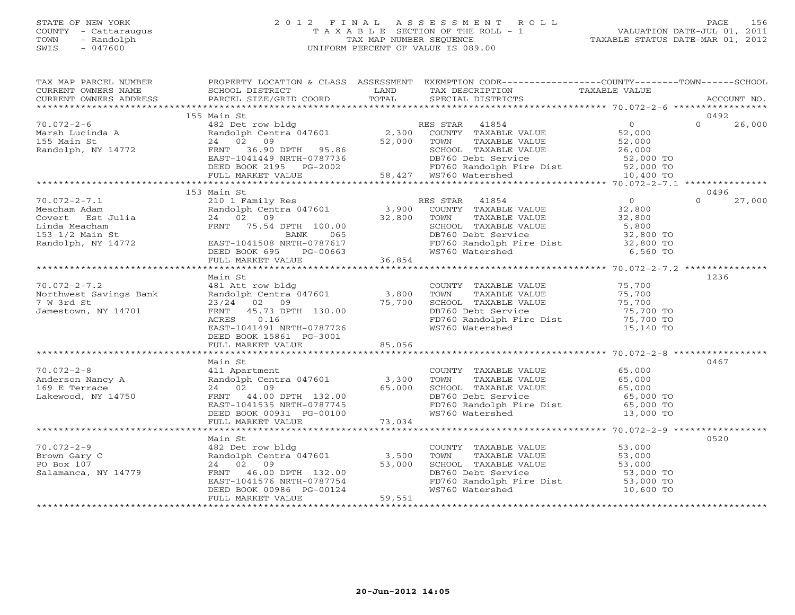# STATE OF NEW YORK 2 0 1 2 F I N A L A S S E S S M E N T R O L L PAGE 156 COUNTY - Cattaraugus T A X A B L E SECTION OF THE ROLL - 1 VALUATION DATE-JUL 01, 2011 TOWN - Randolph TAX MAP NUMBER SEQUENCE TAXABLE STATUS DATE-MAR 01, 2012 SWIS - 047600 UNIFORM PERCENT OF VALUE IS 089.00UNIFORM PERCENT OF VALUE IS 089.00

| TAX MAP PARCEL NUMBER                                                                                                                                                                                                                        | PROPERTY LOCATION & CLASS ASSESSMENT EXEMPTION CODE----------------COUNTY-------TOWN------SCHOOL                                                                                                                                                                       |                                                                                                                                                                                                            |                    |
|----------------------------------------------------------------------------------------------------------------------------------------------------------------------------------------------------------------------------------------------|------------------------------------------------------------------------------------------------------------------------------------------------------------------------------------------------------------------------------------------------------------------------|------------------------------------------------------------------------------------------------------------------------------------------------------------------------------------------------------------|--------------------|
|                                                                                                                                                                                                                                              |                                                                                                                                                                                                                                                                        |                                                                                                                                                                                                            |                    |
|                                                                                                                                                                                                                                              |                                                                                                                                                                                                                                                                        |                                                                                                                                                                                                            |                    |
|                                                                                                                                                                                                                                              |                                                                                                                                                                                                                                                                        |                                                                                                                                                                                                            | 0492               |
| 70.072-2-6<br>Marsh Lucinda A<br>- Yain St                                                                                                                                                                                                   | 155 Main St                                                                                                                                                                                                                                                            |                                                                                                                                                                                                            |                    |
|                                                                                                                                                                                                                                              |                                                                                                                                                                                                                                                                        |                                                                                                                                                                                                            |                    |
|                                                                                                                                                                                                                                              |                                                                                                                                                                                                                                                                        |                                                                                                                                                                                                            |                    |
|                                                                                                                                                                                                                                              |                                                                                                                                                                                                                                                                        |                                                                                                                                                                                                            |                    |
|                                                                                                                                                                                                                                              |                                                                                                                                                                                                                                                                        |                                                                                                                                                                                                            |                    |
|                                                                                                                                                                                                                                              |                                                                                                                                                                                                                                                                        |                                                                                                                                                                                                            |                    |
|                                                                                                                                                                                                                                              |                                                                                                                                                                                                                                                                        |                                                                                                                                                                                                            |                    |
|                                                                                                                                                                                                                                              |                                                                                                                                                                                                                                                                        |                                                                                                                                                                                                            |                    |
|                                                                                                                                                                                                                                              | 153 Main St                                                                                                                                                                                                                                                            |                                                                                                                                                                                                            | 0496               |
|                                                                                                                                                                                                                                              |                                                                                                                                                                                                                                                                        |                                                                                                                                                                                                            | 27,000<br>$\Omega$ |
|                                                                                                                                                                                                                                              |                                                                                                                                                                                                                                                                        |                                                                                                                                                                                                            |                    |
|                                                                                                                                                                                                                                              |                                                                                                                                                                                                                                                                        |                                                                                                                                                                                                            |                    |
|                                                                                                                                                                                                                                              |                                                                                                                                                                                                                                                                        |                                                                                                                                                                                                            |                    |
|                                                                                                                                                                                                                                              |                                                                                                                                                                                                                                                                        |                                                                                                                                                                                                            |                    |
|                                                                                                                                                                                                                                              |                                                                                                                                                                                                                                                                        |                                                                                                                                                                                                            |                    |
|                                                                                                                                                                                                                                              |                                                                                                                                                                                                                                                                        |                                                                                                                                                                                                            |                    |
|                                                                                                                                                                                                                                              |                                                                                                                                                                                                                                                                        |                                                                                                                                                                                                            |                    |
|                                                                                                                                                                                                                                              |                                                                                                                                                                                                                                                                        |                                                                                                                                                                                                            |                    |
|                                                                                                                                                                                                                                              | Main St                                                                                                                                                                                                                                                                |                                                                                                                                                                                                            | 1236               |
| $70.072 - 2 - 7.2$                                                                                                                                                                                                                           |                                                                                                                                                                                                                                                                        |                                                                                                                                                                                                            |                    |
| Northwest Savings Bank                                                                                                                                                                                                                       |                                                                                                                                                                                                                                                                        |                                                                                                                                                                                                            |                    |
| 7 W 3rd St                                                                                                                                                                                                                                   |                                                                                                                                                                                                                                                                        |                                                                                                                                                                                                            |                    |
| Jamestown, NY 14701                                                                                                                                                                                                                          |                                                                                                                                                                                                                                                                        |                                                                                                                                                                                                            |                    |
|                                                                                                                                                                                                                                              | 481 At row bldg<br>481 At row bldg<br>481 At row bldg<br>23/24 02 09 75,700<br>75,700<br>75,700<br>75,700<br>75,700<br>75,700<br>75,700<br>75,700<br>75,700<br>23/24 02 09<br>75,700<br>75,700<br>23/24 02 09<br>75,700<br>23/24 02 09<br>75,700<br>23/24 02 09<br>75, |                                                                                                                                                                                                            |                    |
|                                                                                                                                                                                                                                              | DEED BOOK 15861 PG-3001                                                                                                                                                                                                                                                |                                                                                                                                                                                                            |                    |
|                                                                                                                                                                                                                                              | FULL MARKET VALUE 85,056                                                                                                                                                                                                                                               |                                                                                                                                                                                                            |                    |
|                                                                                                                                                                                                                                              |                                                                                                                                                                                                                                                                        |                                                                                                                                                                                                            |                    |
|                                                                                                                                                                                                                                              | Main St                                                                                                                                                                                                                                                                |                                                                                                                                                                                                            | 0467               |
| $70.072 - 2 - 8$                                                                                                                                                                                                                             | Main St<br>411 Apartment<br>Randolph Centra 047601 (1990) 1990                                                                                                                                                                                                         | COUNTY TAXABLE VALUE 65,000                                                                                                                                                                                |                    |
|                                                                                                                                                                                                                                              |                                                                                                                                                                                                                                                                        |                                                                                                                                                                                                            |                    |
| Anderson Nancy A<br>169 E Terrace                                                                                                                                                                                                            |                                                                                                                                                                                                                                                                        |                                                                                                                                                                                                            |                    |
|                                                                                                                                                                                                                                              |                                                                                                                                                                                                                                                                        |                                                                                                                                                                                                            |                    |
|                                                                                                                                                                                                                                              |                                                                                                                                                                                                                                                                        |                                                                                                                                                                                                            |                    |
|                                                                                                                                                                                                                                              |                                                                                                                                                                                                                                                                        | FOWN TAXABLE VALUE<br>TOWN TAXABLE VALUE<br>SCHOOL TAXABLE VALUE<br>DB760 Debt Service<br>FD760 Randolph Fire Dist<br>WS760 Watershed<br>Taxable Value<br>S5,000 TO<br>55,000 TO<br>13,000 TO<br>13,000 TO |                    |
|                                                                                                                                                                                                                                              |                                                                                                                                                                                                                                                                        |                                                                                                                                                                                                            |                    |
| Anderson Nancy A<br>169 E Terrace 24 02 09<br>Lakewood, NY 14750 24 02 09 EAST-1041535 NRTH-0787745<br>DEED BOOK 0931 PG-00100 73,034<br>FULL MARKET VALUE 73,034<br>FULL MARKET VALUE 73,034<br>FULL MARKET VALUE 73,034<br>FULL MARKET VAL |                                                                                                                                                                                                                                                                        |                                                                                                                                                                                                            |                    |
|                                                                                                                                                                                                                                              | Main St                                                                                                                                                                                                                                                                |                                                                                                                                                                                                            | 0520               |
| $70.072 - 2 - 9$                                                                                                                                                                                                                             |                                                                                                                                                                                                                                                                        |                                                                                                                                                                                                            |                    |
| Brown Gary C                                                                                                                                                                                                                                 |                                                                                                                                                                                                                                                                        | COUNTY TAXABLE VALUE 53,000<br>TOWN TAXABLE VALUE 53,000                                                                                                                                                   |                    |
| PO Box 107                                                                                                                                                                                                                                   |                                                                                                                                                                                                                                                                        |                                                                                                                                                                                                            |                    |
| Salamanca, NY 14779                                                                                                                                                                                                                          |                                                                                                                                                                                                                                                                        |                                                                                                                                                                                                            |                    |
|                                                                                                                                                                                                                                              |                                                                                                                                                                                                                                                                        | CHOOL TAXABLE VALUE<br>DB760 Debt Service<br>FD760 Randolph Fire Dist<br>WS760 Watershed<br>MS760 Watershed<br>10,600 TO                                                                                   |                    |
|                                                                                                                                                                                                                                              | Main St<br>482 Det row bldg<br>Randolph Centra 047601 3,500<br>24 02 09 53,000<br>FRNT 46.00 DPTH 132.00<br>EAST-1041576 NRTH-0787754<br>DEED BOOK 00986 PG-00124<br>FULL MARKET VALUE<br>FULL MARKET VALUE                                                            |                                                                                                                                                                                                            |                    |
|                                                                                                                                                                                                                                              |                                                                                                                                                                                                                                                                        |                                                                                                                                                                                                            |                    |
|                                                                                                                                                                                                                                              |                                                                                                                                                                                                                                                                        |                                                                                                                                                                                                            |                    |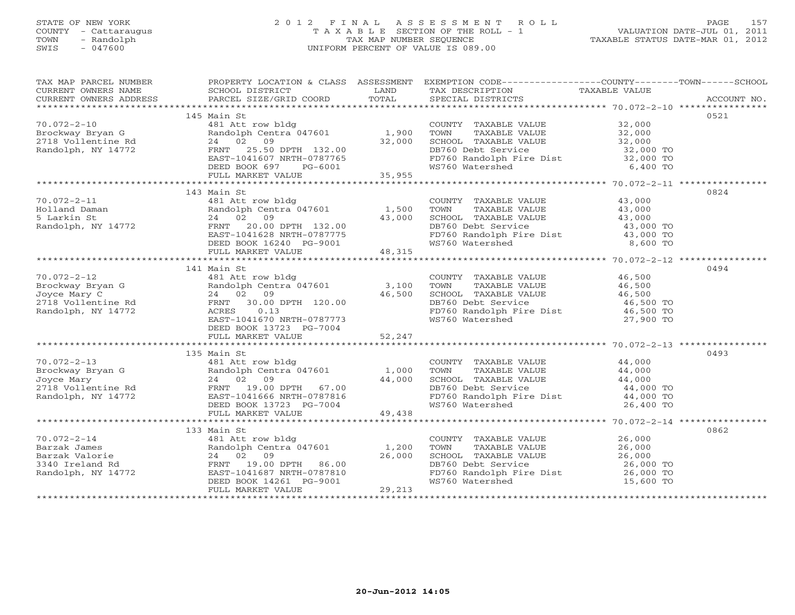# STATE OF NEW YORK 2 0 1 2 F I N A L A S S E S S M E N T R O L L PAGE 157 COUNTY - Cattaraugus T A X A B L E SECTION OF THE ROLL - 1 VALUATION DATE-JUL 01, 2011 TOWN - Randolph TAX MAP NUMBER SEQUENCE TAXABLE STATUS DATE-MAR 01, 2012 SWIS - 047600 UNIFORM PERCENT OF VALUE IS 089.00UNIFORM PERCENT OF VALUE IS 089.00

| TAX MAP PARCEL NUMBER                                                                                                                                                                                                          |                                                                                                                                                                            |               | PROPERTY LOCATION & CLASS ASSESSMENT EXEMPTION CODE---------------COUNTY-------TOWN------SCHOOL                                                                                                                                                                                                                                                       |           |      |
|--------------------------------------------------------------------------------------------------------------------------------------------------------------------------------------------------------------------------------|----------------------------------------------------------------------------------------------------------------------------------------------------------------------------|---------------|-------------------------------------------------------------------------------------------------------------------------------------------------------------------------------------------------------------------------------------------------------------------------------------------------------------------------------------------------------|-----------|------|
|                                                                                                                                                                                                                                |                                                                                                                                                                            |               |                                                                                                                                                                                                                                                                                                                                                       |           |      |
| TA PIE TAND TRINITY AND TRINITY IN THE TAND TRINITY OWNERS NOTICE THE CONFERNT OWNERS ADDRESS SCHOOL DISTRICT DAND TOTAL TAX DESCRIPTION TAXABLE VALUE THAT THE MANUSCRIPTION TAXABLE VALUE THAT THE MANUSCRIPTION TO A PART O |                                                                                                                                                                            |               |                                                                                                                                                                                                                                                                                                                                                       |           |      |
|                                                                                                                                                                                                                                |                                                                                                                                                                            |               |                                                                                                                                                                                                                                                                                                                                                       |           |      |
|                                                                                                                                                                                                                                | 145 Main St                                                                                                                                                                |               |                                                                                                                                                                                                                                                                                                                                                       |           | 0521 |
| $70.072 - 2 - 10$                                                                                                                                                                                                              | 481 Att row bldg                                                                                                                                                           |               | COUNTY TAXABLE VALUE 32,000                                                                                                                                                                                                                                                                                                                           |           |      |
| Brockway Bryan G<br>2718 Vollentine Rd                                                                                                                                                                                         | Randolph Centra 047601 1,900                                                                                                                                               |               |                                                                                                                                                                                                                                                                                                                                                       |           |      |
|                                                                                                                                                                                                                                | 24 02 09                                                                                                                                                                   | 32,000        |                                                                                                                                                                                                                                                                                                                                                       |           |      |
| Randolph, NY 14772                                                                                                                                                                                                             | FRNT 25.50 DPTH 132.00                                                                                                                                                     |               |                                                                                                                                                                                                                                                                                                                                                       |           |      |
|                                                                                                                                                                                                                                | FANI 20.00 DPTH 132.00<br>EAST-1041607 NRTH-0787765                                                                                                                        |               | TOWN TAXABLE VALUE<br>TOWN TAXABLE VALUE<br>SCHOOL TAXABLE VALUE<br>DB760 Debt Service<br>FD760 Randolph Fire Dist<br>WS760 Watershed<br>6,400 TO                                                                                                                                                                                                     |           |      |
|                                                                                                                                                                                                                                | DEED BOOK 697 PG-6001                                                                                                                                                      | $5001$ 35,955 |                                                                                                                                                                                                                                                                                                                                                       |           |      |
|                                                                                                                                                                                                                                | FULL MARKET VALUE                                                                                                                                                          |               |                                                                                                                                                                                                                                                                                                                                                       |           |      |
|                                                                                                                                                                                                                                |                                                                                                                                                                            |               |                                                                                                                                                                                                                                                                                                                                                       |           |      |
|                                                                                                                                                                                                                                | 143 Main St                                                                                                                                                                |               |                                                                                                                                                                                                                                                                                                                                                       |           | 0824 |
| $70.072 - 2 - 11$                                                                                                                                                                                                              |                                                                                                                                                                            |               |                                                                                                                                                                                                                                                                                                                                                       |           |      |
| Holland Daman<br>5 Larkin St<br>Randolph, NY 14772                                                                                                                                                                             |                                                                                                                                                                            |               |                                                                                                                                                                                                                                                                                                                                                       |           |      |
|                                                                                                                                                                                                                                |                                                                                                                                                                            |               |                                                                                                                                                                                                                                                                                                                                                       |           |      |
|                                                                                                                                                                                                                                |                                                                                                                                                                            |               |                                                                                                                                                                                                                                                                                                                                                       |           |      |
|                                                                                                                                                                                                                                |                                                                                                                                                                            |               |                                                                                                                                                                                                                                                                                                                                                       |           |      |
|                                                                                                                                                                                                                                |                                                                                                                                                                            |               | COUNTY TAXABLE VALUE $\begin{array}{cccc} 43,000 \ \text{TOMN} & \text{TAXABLE VALUE} & 43,000 \ \text{SCHOOL} & \text{TAXABLE VALUE} & 43,000 \ \text{DB760 Debt Service} & 43,000 \ \text{PD760 Random Price} & 43,000 \ \text{FD760 Random Price} & 43,000 \ \text{WS760 Watershed} & 8,600 \ \text{TO} & 8,600 \ \text{TO} & 8,000 \ \end{array}$ |           |      |
|                                                                                                                                                                                                                                | 481 Att row bldg<br>Randolph Centra 047601 1,500<br>24 02 09 43,000<br>FRNT 20.00 DPTH 132.00<br>EAST-1041628 NRTH-0787775<br>DEED BOOK 16240 PG-9001<br>FULL MARKET VALUE |               |                                                                                                                                                                                                                                                                                                                                                       |           |      |
|                                                                                                                                                                                                                                |                                                                                                                                                                            |               |                                                                                                                                                                                                                                                                                                                                                       |           |      |
|                                                                                                                                                                                                                                | 141 Main St                                                                                                                                                                |               |                                                                                                                                                                                                                                                                                                                                                       |           | 0494 |
| $70.072 - 2 - 12$                                                                                                                                                                                                              | 481 Att row bldg                                                                                                                                                           |               | COUNTY TAXABLE VALUE                                                                                                                                                                                                                                                                                                                                  | 46,500    |      |
|                                                                                                                                                                                                                                |                                                                                                                                                                            |               |                                                                                                                                                                                                                                                                                                                                                       |           |      |
|                                                                                                                                                                                                                                | Randolph Centra 047601 3,100<br>24 02 09 46,500                                                                                                                            |               |                                                                                                                                                                                                                                                                                                                                                       |           |      |
| Frockway Bryan G<br>Joyce Mary C<br>2718 Vollentine Rd<br>Randolph Cent<br>24 02 09<br>2718 Vollentine Rd<br>RENT 30.00<br>Randolph, NY 14772<br>ACRES 0.13                                                                    |                                                                                                                                                                            |               |                                                                                                                                                                                                                                                                                                                                                       |           |      |
|                                                                                                                                                                                                                                | 0.13                                                                                                                                                                       |               |                                                                                                                                                                                                                                                                                                                                                       |           |      |
|                                                                                                                                                                                                                                | EAST-1041670 NRTH-0787773                                                                                                                                                  |               | TOWN TAXABLE VALUE<br>TOWN TAXABLE VALUE<br>SCHOOL TAXABLE VALUE<br>DB760 Debt Service<br>PD760 Randolph Fire Dist<br>WS760 Watershed<br>27,900 TO                                                                                                                                                                                                    |           |      |
|                                                                                                                                                                                                                                | DEED BOOK 13723 PG-7004                                                                                                                                                    |               |                                                                                                                                                                                                                                                                                                                                                       |           |      |
|                                                                                                                                                                                                                                | FULL MARKET VALUE                                                                                                                                                          | 52, 247       |                                                                                                                                                                                                                                                                                                                                                       |           |      |
|                                                                                                                                                                                                                                |                                                                                                                                                                            |               |                                                                                                                                                                                                                                                                                                                                                       |           |      |
|                                                                                                                                                                                                                                | 135 Main St                                                                                                                                                                |               |                                                                                                                                                                                                                                                                                                                                                       |           | 0493 |
|                                                                                                                                                                                                                                | 481 Att row bldg                                                                                                                                                           |               | COUNTY TAXABLE VALUE 44,000                                                                                                                                                                                                                                                                                                                           |           |      |
|                                                                                                                                                                                                                                |                                                                                                                                                                            |               | TAXABLE VALUE 44,000<br>TAXABLE VALUE 44,000<br>TOWN                                                                                                                                                                                                                                                                                                  |           |      |
|                                                                                                                                                                                                                                |                                                                                                                                                                            |               |                                                                                                                                                                                                                                                                                                                                                       |           |      |
|                                                                                                                                                                                                                                |                                                                                                                                                                            |               |                                                                                                                                                                                                                                                                                                                                                       |           |      |
|                                                                                                                                                                                                                                |                                                                                                                                                                            |               |                                                                                                                                                                                                                                                                                                                                                       |           |      |
|                                                                                                                                                                                                                                |                                                                                                                                                                            |               | SCHOOL TAXABLE VALUE $44,000$<br>DB760 Debt Service $44,000$ TO<br>FD760 Randolph Fire Dist $44,000$ TO<br>WS760 Watershed 26,400 TO                                                                                                                                                                                                                  |           |      |
|                                                                                                                                                                                                                                |                                                                                                                                                                            |               |                                                                                                                                                                                                                                                                                                                                                       |           |      |
|                                                                                                                                                                                                                                |                                                                                                                                                                            |               |                                                                                                                                                                                                                                                                                                                                                       |           |      |
|                                                                                                                                                                                                                                | 133 Main St                                                                                                                                                                |               |                                                                                                                                                                                                                                                                                                                                                       |           | 0862 |
| $70.072 - 2 - 14$                                                                                                                                                                                                              |                                                                                                                                                                            |               |                                                                                                                                                                                                                                                                                                                                                       |           |      |
|                                                                                                                                                                                                                                | 481 Att row bldg<br>Randolph Centra 047601 1,200<br>24 02 09 26,000                                                                                                        |               | COUNTY TAXABLE VALUE $26,000$<br>TOWN TAXABLE VALUE $26,000$<br>TOWN TAXABLE VALUE 26,000<br>SCHOOL TAXABLE VALUE 26,000<br>DB760 Debt Service 26,000 TO                                                                                                                                                                                              |           |      |
|                                                                                                                                                                                                                                |                                                                                                                                                                            | 26,000        |                                                                                                                                                                                                                                                                                                                                                       |           |      |
|                                                                                                                                                                                                                                |                                                                                                                                                                            |               |                                                                                                                                                                                                                                                                                                                                                       |           |      |
|                                                                                                                                                                                                                                |                                                                                                                                                                            |               | FD760 Randolph Fire Dist 26,000 TO                                                                                                                                                                                                                                                                                                                    |           |      |
|                                                                                                                                                                                                                                | EAST-1041687 NRTH-0787810<br>DEED BOOK 14261 PG-9001                                                                                                                       |               | WS760 Watershed NS760 WS760                                                                                                                                                                                                                                                                                                                           | 15,600 TO |      |
|                                                                                                                                                                                                                                | FULL MARKET VALUE                                                                                                                                                          | 29,213        |                                                                                                                                                                                                                                                                                                                                                       |           |      |
|                                                                                                                                                                                                                                |                                                                                                                                                                            |               |                                                                                                                                                                                                                                                                                                                                                       |           |      |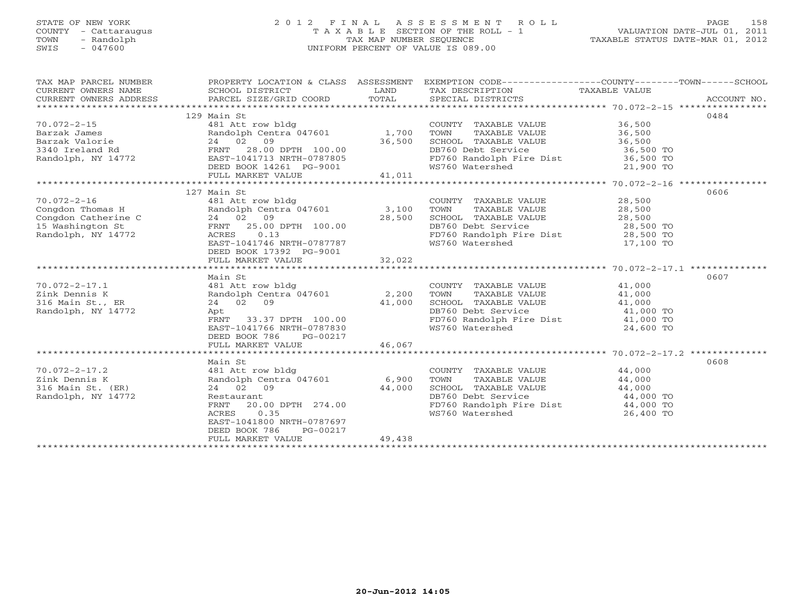# STATE OF NEW YORK 2 0 1 2 F I N A L A S S E S S M E N T R O L L PAGE 158 COUNTY - Cattaraugus T A X A B L E SECTION OF THE ROLL - 1 VALUATION DATE-JUL 01, 2011 TOWN - Randolph TAX MAP NUMBER SEQUENCE TAXABLE STATUS DATE-MAR 01, 2012 SWIS - 047600 UNIFORM PERCENT OF VALUE IS 089.00UNIFORM PERCENT OF VALUE IS 089.00

| TAX MAP PARCEL NUMBER  | PROPERTY LOCATION & CLASS ASSESSMENT                                      |        |                                                                   |               |             |
|------------------------|---------------------------------------------------------------------------|--------|-------------------------------------------------------------------|---------------|-------------|
| CURRENT OWNERS NAME    | SCHOOL DISTRICT                                                           | LAND   | TAX DESCRIPTION                                                   | TAXABLE VALUE |             |
| CURRENT OWNERS ADDRESS | PARCEL SIZE/GRID COORD                                                    | TOTAL  | SPECIAL DISTRICTS                                                 |               | ACCOUNT NO. |
|                        |                                                                           |        |                                                                   |               |             |
|                        | 129 Main St                                                               |        |                                                                   |               | 0484        |
| $70.072 - 2 - 15$      | 481 Att row bldg                                                          |        | COUNTY TAXABLE VALUE                                              | 36,500        |             |
| Barzak James           | Randolph Centra 047601                                                    | 1,700  | TOWN<br>TAXABLE VALUE                                             | 36,500        |             |
| Barzak Valorie         | 24 02 09                                                                  | 36,500 | SCHOOL TAXABLE VALUE                                              | 36,500        |             |
| 3340 Ireland Rd        | FRNT 28.00 DPTH 100.00                                                    |        | DB760 Debt Service                                                | 36,500 TO     |             |
|                        | EAST-1041713 NRTH-0787805                                                 |        | DB760 Debt Service<br>FD760 Randolph Fire Dist<br>WS760 Watershed | 36,500 TO     |             |
| Randolph, NY 14772     |                                                                           |        |                                                                   |               |             |
|                        | DEED BOOK 14261 PG-9001                                                   |        |                                                                   | 21,900 TO     |             |
|                        | FULL MARKET VALUE                                                         | 41,011 |                                                                   |               |             |
|                        |                                                                           |        |                                                                   |               |             |
|                        | 127 Main St                                                               |        |                                                                   |               | 0606        |
| $70.072 - 2 - 16$      | 481 Att row bldg                                                          |        | COUNTY TAXABLE VALUE                                              | 28,500        |             |
| Congdon Thomas H       | Randolph Centra 047601<br>Randolph Cent (24 02 09)<br>24 02 09 FRNT 25.00 | 3,100  | TOWN       TAXABLE  VALUE<br>SCHOOL    TAXABLE  VALUE             | 28,500        |             |
| Congdon Catherine C    |                                                                           | 28,500 |                                                                   | 28,500        |             |
| 15 Washington St       | FRNT 25.00 DPTH 100.00                                                    |        | DB760 Debt Service                                                | 28,500 TO     |             |
| Randolph, NY 14772     | 0.13<br>ACRES                                                             |        |                                                                   |               |             |
|                        | EAST-1041746 NRTH-0787787                                                 |        | FD760 Randolph Fire Dist 28,500 TO<br>WS760 Watershed 17,100 TO   |               |             |
|                        | DEED BOOK 17392 PG-9001                                                   |        |                                                                   |               |             |
|                        | FULL MARKET VALUE                                                         | 32,022 |                                                                   |               |             |
|                        |                                                                           |        |                                                                   |               |             |
|                        | Main St                                                                   |        |                                                                   |               | 0607        |
| $70.072 - 2 - 17.1$    | 481 Att row bldg                                                          |        | COUNTY TAXABLE VALUE 41,000                                       |               |             |
| Zink Dennis K          | Randolph Centra 047601                                                    | 2,200  | TOWN<br>TAXABLE VALUE                                             | 41,000        |             |
|                        |                                                                           |        |                                                                   |               |             |
| 316 Main St., ER       | 24 02 09                                                                  | 41,000 | SCHOOL TAXABLE VALUE                                              | 41,000        |             |
| Randolph, NY 14772     | Apt                                                                       |        | DB760 Debt Service                                                | 41,000 TO     |             |
|                        | 33.37 DPTH 100.00<br>FRNT                                                 |        | FD760 Randolph Fire Dist 41,000 TO                                |               |             |
|                        | EAST-1041766 NRTH-0787830                                                 |        | WS760 Watershed                                                   | 24,600 TO     |             |
|                        | DEED BOOK 786 PG-00217                                                    |        |                                                                   |               |             |
|                        | FULL MARKET VALUE                                                         | 46,067 |                                                                   |               |             |
|                        |                                                                           |        |                                                                   |               |             |
|                        | Main St                                                                   |        |                                                                   |               | 0608        |
| $70.072 - 2 - 17.2$    | 481 Att row bldg                                                          |        | COUNTY TAXABLE VALUE                                              | 44,000        |             |
| Zink Dennis K          | Randolph Centra 047601                                                    | 6,900  | TOWN<br>TAXABLE VALUE                                             | 44,000        |             |
| 316 Main St. (ER)      | 24 02 09                                                                  | 44,000 | SCHOOL TAXABLE VALUE                                              | 44,000        |             |
| Randolph, NY 14772     | Restaurant                                                                |        | DB760 Debt Service                                                | 44,000 TO     |             |
|                        | 20.00 DPTH 274.00<br>FRNT                                                 |        | FD760 Randolph Fire Dist 44,000 TO                                |               |             |
|                        | 0.35<br>ACRES                                                             |        | WS760 Watershed                                                   | 26,400 TO     |             |
|                        | EAST-1041800 NRTH-0787697                                                 |        |                                                                   |               |             |
|                        | DEED BOOK 786                                                             |        |                                                                   |               |             |
|                        | PG-00217                                                                  |        |                                                                   |               |             |
|                        | FULL MARKET VALUE                                                         | 49,438 |                                                                   |               |             |
|                        |                                                                           |        |                                                                   |               |             |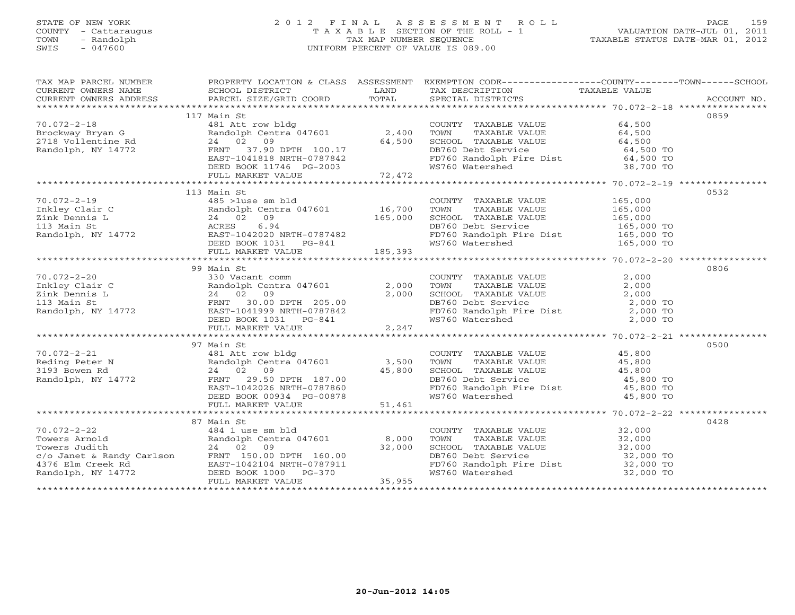# STATE OF NEW YORK 2 0 1 2 F I N A L A S S E S S M E N T R O L L PAGE 159COUNTY - Cattaraugus T A X A B L E SECTION OF THE ROLL - 1<br>
TOWN - Randolph TAX MAP NUMBER SEQUENCE<br>
SWIS - 047600 SWIS - 047600 UNIFORM PERCENT OF VALUE IS 089.00

| TAX MAP PARCEL NUMBER<br>CURRENT OWNERS NAME                                                                                                                                                                                                                                                                                                                                                                                                  | PROPERTY LOCATION & CLASS ASSESSMENT EXEMPTION CODE----------------COUNTY-------TOWN------SCHOOL<br>SCHOOL DISTRICT | <b>EXAMPLE SERVICE SERVICE SERVICE SERVICE SERVICE SERVICE SERVICE SERVICE SERVICE SERVICE SERVICE SERVICE SERVICE</b> | TAX DESCRIPTION TAXABLE VALUE SPECIAL DISTRICTS                                                                                                                                                                   |      |
|-----------------------------------------------------------------------------------------------------------------------------------------------------------------------------------------------------------------------------------------------------------------------------------------------------------------------------------------------------------------------------------------------------------------------------------------------|---------------------------------------------------------------------------------------------------------------------|------------------------------------------------------------------------------------------------------------------------|-------------------------------------------------------------------------------------------------------------------------------------------------------------------------------------------------------------------|------|
| CURRENT OWNERS ADDRESS                                                                                                                                                                                                                                                                                                                                                                                                                        |                                                                                                                     |                                                                                                                        |                                                                                                                                                                                                                   |      |
|                                                                                                                                                                                                                                                                                                                                                                                                                                               | 117 Main St                                                                                                         |                                                                                                                        |                                                                                                                                                                                                                   | 0859 |
| $70.072 - 2 - 18$                                                                                                                                                                                                                                                                                                                                                                                                                             | 481 Att row bldg                                                                                                    |                                                                                                                        | COUNTY TAXABLE VALUE<br>TOWN TAXABLE VALUE 64,500<br>SCHOOL TAXABLE VALUE 64,500<br>DB760 Debt Service 64,500<br>FD760 Randolph Fire Dist 64,500 TO<br>WS760 Watershed 38,700 TO                                  |      |
|                                                                                                                                                                                                                                                                                                                                                                                                                                               |                                                                                                                     |                                                                                                                        |                                                                                                                                                                                                                   |      |
|                                                                                                                                                                                                                                                                                                                                                                                                                                               |                                                                                                                     |                                                                                                                        |                                                                                                                                                                                                                   |      |
|                                                                                                                                                                                                                                                                                                                                                                                                                                               |                                                                                                                     |                                                                                                                        |                                                                                                                                                                                                                   |      |
|                                                                                                                                                                                                                                                                                                                                                                                                                                               |                                                                                                                     |                                                                                                                        |                                                                                                                                                                                                                   |      |
|                                                                                                                                                                                                                                                                                                                                                                                                                                               |                                                                                                                     |                                                                                                                        |                                                                                                                                                                                                                   |      |
|                                                                                                                                                                                                                                                                                                                                                                                                                                               |                                                                                                                     |                                                                                                                        |                                                                                                                                                                                                                   |      |
|                                                                                                                                                                                                                                                                                                                                                                                                                                               |                                                                                                                     |                                                                                                                        |                                                                                                                                                                                                                   |      |
|                                                                                                                                                                                                                                                                                                                                                                                                                                               | 113 Main St                                                                                                         |                                                                                                                        |                                                                                                                                                                                                                   | 0532 |
|                                                                                                                                                                                                                                                                                                                                                                                                                                               |                                                                                                                     |                                                                                                                        |                                                                                                                                                                                                                   |      |
|                                                                                                                                                                                                                                                                                                                                                                                                                                               |                                                                                                                     |                                                                                                                        |                                                                                                                                                                                                                   |      |
|                                                                                                                                                                                                                                                                                                                                                                                                                                               |                                                                                                                     |                                                                                                                        |                                                                                                                                                                                                                   |      |
|                                                                                                                                                                                                                                                                                                                                                                                                                                               |                                                                                                                     |                                                                                                                        |                                                                                                                                                                                                                   |      |
|                                                                                                                                                                                                                                                                                                                                                                                                                                               |                                                                                                                     |                                                                                                                        |                                                                                                                                                                                                                   |      |
|                                                                                                                                                                                                                                                                                                                                                                                                                                               |                                                                                                                     |                                                                                                                        | COUNTY TAXABLE VALUE<br>TOWN TAXABLE VALUE 165,000<br>SCHOOL TAXABLE VALUE 165,000<br>DB760 Debt Service 165,000<br>FD760 Randolph Fire Dist 165,000 TO<br>WS760 Watershed 165,000 TO<br>165,000 TO<br>165,000 TO |      |
| 70.072-2-19<br>Inkley Clair C<br>$\begin{array}{r} \text{113} \text{ Man SL} \\ \text{Inkley Clair C} \\ \text{Zink Dennis L} \\ \text{13 Main St} \\ \text{RandomS} \\ \text{RandomS} \\ \text{RandomS} \\ \text{RandomS} \\ \text{143 Main St} \\ \text{155,000} \\ \text{165,000} \\ \text{173 Main St} \\ \text{183 Min St} \\ \text{193 Min St} \\ \text{103 Min St} \\ \text{114772} \\ \text{125,393} \\ \text{134min} \\ \text{14772$ |                                                                                                                     |                                                                                                                        |                                                                                                                                                                                                                   |      |
|                                                                                                                                                                                                                                                                                                                                                                                                                                               | 99 Main St                                                                                                          |                                                                                                                        |                                                                                                                                                                                                                   | 0806 |
|                                                                                                                                                                                                                                                                                                                                                                                                                                               |                                                                                                                     |                                                                                                                        |                                                                                                                                                                                                                   |      |
|                                                                                                                                                                                                                                                                                                                                                                                                                                               |                                                                                                                     |                                                                                                                        |                                                                                                                                                                                                                   |      |
|                                                                                                                                                                                                                                                                                                                                                                                                                                               |                                                                                                                     |                                                                                                                        |                                                                                                                                                                                                                   |      |
|                                                                                                                                                                                                                                                                                                                                                                                                                                               |                                                                                                                     |                                                                                                                        |                                                                                                                                                                                                                   |      |
|                                                                                                                                                                                                                                                                                                                                                                                                                                               |                                                                                                                     |                                                                                                                        |                                                                                                                                                                                                                   |      |
|                                                                                                                                                                                                                                                                                                                                                                                                                                               |                                                                                                                     |                                                                                                                        |                                                                                                                                                                                                                   |      |
| $\begin{array}{cccccccc} 70.072-2-20 & 99 \text{ MAD} & \text{SC} & 99 \text{ MAD} & 100 \text{ C} & 330 \text{ Vacant comm} & 2,000 & \text{TOUNTY} & \text{TXABLE VALUE} & 2,000 & 2,000 \text{ NAD} & 2,000 & 2,000 \text{ NAD} & 2,000 & 2,000 \text{ NAD} & 2,000 & 2,000 \text{ NAD} & 2,000 \text{ NAD} & 2,000 \text{ NAD} & 2,000 \text{ NAD} & 2,000 \text$                                                                         |                                                                                                                     |                                                                                                                        |                                                                                                                                                                                                                   |      |
|                                                                                                                                                                                                                                                                                                                                                                                                                                               |                                                                                                                     |                                                                                                                        |                                                                                                                                                                                                                   |      |
|                                                                                                                                                                                                                                                                                                                                                                                                                                               | 97 Main St                                                                                                          |                                                                                                                        |                                                                                                                                                                                                                   | 0500 |
|                                                                                                                                                                                                                                                                                                                                                                                                                                               |                                                                                                                     |                                                                                                                        |                                                                                                                                                                                                                   |      |
|                                                                                                                                                                                                                                                                                                                                                                                                                                               |                                                                                                                     |                                                                                                                        |                                                                                                                                                                                                                   |      |
|                                                                                                                                                                                                                                                                                                                                                                                                                                               |                                                                                                                     |                                                                                                                        |                                                                                                                                                                                                                   |      |
|                                                                                                                                                                                                                                                                                                                                                                                                                                               |                                                                                                                     |                                                                                                                        |                                                                                                                                                                                                                   |      |
|                                                                                                                                                                                                                                                                                                                                                                                                                                               |                                                                                                                     |                                                                                                                        |                                                                                                                                                                                                                   |      |
|                                                                                                                                                                                                                                                                                                                                                                                                                                               |                                                                                                                     |                                                                                                                        |                                                                                                                                                                                                                   |      |
| 70.072-2-21<br>$\begin{array}{ccccccccc}\n 70.072-2-21 & & & & 45,800 \\  193 & & & 481 & & & 451 & & & 451 \\  105 & & & 481 & & & 451 & & & 451 \\  117 & & & 481 & & & 451 & & & 451 \\  127 & & & 481 & & & 451 & & & 451 & & 451 \\  139 & & & 49 & & & 45 & & 451 & & 451 \\  140 & & & 45 & & 45 & & 451 & & 451 \\  150 & &$                                                                                                          |                                                                                                                     |                                                                                                                        |                                                                                                                                                                                                                   |      |
|                                                                                                                                                                                                                                                                                                                                                                                                                                               | 87 Main St                                                                                                          |                                                                                                                        |                                                                                                                                                                                                                   | 0428 |
|                                                                                                                                                                                                                                                                                                                                                                                                                                               |                                                                                                                     |                                                                                                                        |                                                                                                                                                                                                                   |      |
|                                                                                                                                                                                                                                                                                                                                                                                                                                               |                                                                                                                     |                                                                                                                        |                                                                                                                                                                                                                   |      |
|                                                                                                                                                                                                                                                                                                                                                                                                                                               |                                                                                                                     |                                                                                                                        |                                                                                                                                                                                                                   |      |
|                                                                                                                                                                                                                                                                                                                                                                                                                                               |                                                                                                                     |                                                                                                                        |                                                                                                                                                                                                                   |      |
|                                                                                                                                                                                                                                                                                                                                                                                                                                               |                                                                                                                     |                                                                                                                        |                                                                                                                                                                                                                   |      |
|                                                                                                                                                                                                                                                                                                                                                                                                                                               |                                                                                                                     |                                                                                                                        | COUNTY TAXABLE VALUE<br>TOWN TAXABLE VALUE<br>SCHOOL TAXABLE VALUE<br>DB760 Debt Service<br>FD760 Randolph Fire Dist<br>WS760 Watershed<br>22,000 TO<br>WS760 Watershed<br>32,000 TO                              |      |
| 70.072-2-22<br>Towers Arnold<br>Towers Judith 18,000<br>Towers Judith 24 02 09<br>24 02 09<br>24 02 09<br>24 02 09<br>24 02 09<br>24 02 09<br>24 02 09<br>24 02 09<br>24 02 09<br>24 02 09<br>24 02 09<br>24 02 09<br>24 02 09<br>24 02 09<br>24 02 09<br>24 02 09                                                                                                                                                                            |                                                                                                                     |                                                                                                                        |                                                                                                                                                                                                                   |      |
|                                                                                                                                                                                                                                                                                                                                                                                                                                               |                                                                                                                     |                                                                                                                        |                                                                                                                                                                                                                   |      |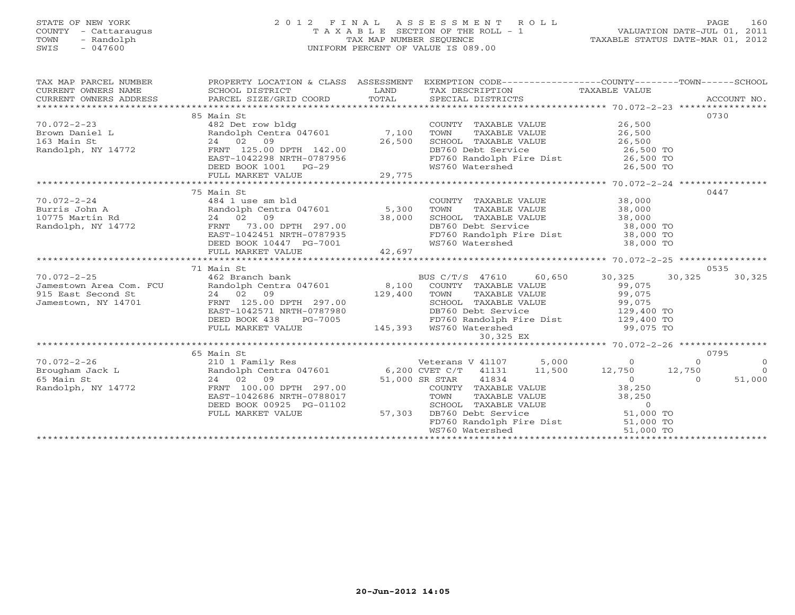# STATE OF NEW YORK 2 0 1 2 F I N A L A S S E S S M E N T R O L L PAGE 160 COUNTY - Cattaraugus T A X A B L E SECTION OF THE ROLL - 1 VALUATION DATE-JUL 01, 2011 TOWN - Randolph TAX MAP NUMBER SEQUENCE TAXABLE STATUS DATE-MAR 01, 2012 SWIS - 047600 UNIFORM PERCENT OF VALUE IS 089.00UNIFORM PERCENT OF VALUE IS 089.00

| 0730<br>85 Main St<br>COUNTY TAXABLE VALUE 26,500<br>TOWN TAXABLE VALUE 26,500<br>SCHOOL TAXABLE VALUE 26,500<br>Randolph Centra 04/001<br>24 02 09 26,500<br>FRNT 125.00 DPTH 142.00<br>FAST-1042298 NRTH-0787956<br>DEED BOOK 1001 PG-29<br>FULL MARKET VALUE 29 29,775<br>75 Main St<br>0447<br>COUNTY TAXABLE VALUE 38,000<br>TOWN      TAXABLE VALUE 38,000<br>$70.072 - 2 - 24$<br>484 1 use sm bld<br>POLOGZ=2-24<br>Burris John A Randolph Cent<br>10775 Martin Rd 24 02 09<br>Randolph, NY 14772 FRNT 73.00<br>Randolph Centra 047601 5,300 | TAX MAP PARCEL NUMBER<br>CURRENT OWNERS NAME<br>CURRENT OWNERS ADDRESS |  | PROPERTY LOCATION & CLASS ASSESSMENT EXEMPTION CODE---------------COUNTY-------TOWN------SCHOOL |  |
|------------------------------------------------------------------------------------------------------------------------------------------------------------------------------------------------------------------------------------------------------------------------------------------------------------------------------------------------------------------------------------------------------------------------------------------------------------------------------------------------------------------------------------------------------|------------------------------------------------------------------------|--|-------------------------------------------------------------------------------------------------|--|
|                                                                                                                                                                                                                                                                                                                                                                                                                                                                                                                                                      |                                                                        |  |                                                                                                 |  |
|                                                                                                                                                                                                                                                                                                                                                                                                                                                                                                                                                      |                                                                        |  |                                                                                                 |  |
|                                                                                                                                                                                                                                                                                                                                                                                                                                                                                                                                                      |                                                                        |  |                                                                                                 |  |
|                                                                                                                                                                                                                                                                                                                                                                                                                                                                                                                                                      |                                                                        |  |                                                                                                 |  |
|                                                                                                                                                                                                                                                                                                                                                                                                                                                                                                                                                      |                                                                        |  |                                                                                                 |  |
|                                                                                                                                                                                                                                                                                                                                                                                                                                                                                                                                                      |                                                                        |  |                                                                                                 |  |
|                                                                                                                                                                                                                                                                                                                                                                                                                                                                                                                                                      |                                                                        |  |                                                                                                 |  |
|                                                                                                                                                                                                                                                                                                                                                                                                                                                                                                                                                      |                                                                        |  |                                                                                                 |  |
|                                                                                                                                                                                                                                                                                                                                                                                                                                                                                                                                                      |                                                                        |  |                                                                                                 |  |
|                                                                                                                                                                                                                                                                                                                                                                                                                                                                                                                                                      |                                                                        |  |                                                                                                 |  |
|                                                                                                                                                                                                                                                                                                                                                                                                                                                                                                                                                      |                                                                        |  |                                                                                                 |  |
|                                                                                                                                                                                                                                                                                                                                                                                                                                                                                                                                                      |                                                                        |  |                                                                                                 |  |
|                                                                                                                                                                                                                                                                                                                                                                                                                                                                                                                                                      |                                                                        |  |                                                                                                 |  |
|                                                                                                                                                                                                                                                                                                                                                                                                                                                                                                                                                      |                                                                        |  |                                                                                                 |  |
|                                                                                                                                                                                                                                                                                                                                                                                                                                                                                                                                                      |                                                                        |  |                                                                                                 |  |
| SCHOOL TAXABLE VALUE<br>DB760 Debt Service<br>PD760 Randolph Fire Dist<br>WS760 Watershed<br>38,000 TO<br>WS760 Watershed<br>38,000 TO<br>38,000 TO<br>DEED BOOK 10447 PG-7001                                                                                                                                                                                                                                                                                                                                                                       |                                                                        |  |                                                                                                 |  |
| 42,697<br>FULL MARKET VALUE                                                                                                                                                                                                                                                                                                                                                                                                                                                                                                                          |                                                                        |  |                                                                                                 |  |
| 0535                                                                                                                                                                                                                                                                                                                                                                                                                                                                                                                                                 |                                                                        |  |                                                                                                 |  |
| BUS C/T/S 47610 60,650 30,325 30,325                                                                                                                                                                                                                                                                                                                                                                                                                                                                                                                 |                                                                        |  |                                                                                                 |  |
| 30,325                                                                                                                                                                                                                                                                                                                                                                                                                                                                                                                                               |                                                                        |  |                                                                                                 |  |
|                                                                                                                                                                                                                                                                                                                                                                                                                                                                                                                                                      |                                                                        |  |                                                                                                 |  |
|                                                                                                                                                                                                                                                                                                                                                                                                                                                                                                                                                      |                                                                        |  |                                                                                                 |  |
|                                                                                                                                                                                                                                                                                                                                                                                                                                                                                                                                                      |                                                                        |  |                                                                                                 |  |
|                                                                                                                                                                                                                                                                                                                                                                                                                                                                                                                                                      |                                                                        |  |                                                                                                 |  |
| DEED BOOK 438 PG-7005 FD760 Randolph Fire Dist 129,400 TO<br>FULL MARKET VALUE 145,393 WS760 Watershed 99,075 TO                                                                                                                                                                                                                                                                                                                                                                                                                                     |                                                                        |  |                                                                                                 |  |
| 30,325 EX                                                                                                                                                                                                                                                                                                                                                                                                                                                                                                                                            |                                                                        |  |                                                                                                 |  |
|                                                                                                                                                                                                                                                                                                                                                                                                                                                                                                                                                      |                                                                        |  |                                                                                                 |  |
| 0795<br>Volume 12,750<br>210 1 Family Res<br>Brougham Jack L Randolph Centra 047601<br>24 02 09<br>Randolph, NY 14772<br>2750<br>2750<br>2750<br>2750<br>2750<br>2750<br>2750<br>2750<br>2750<br>2750<br>2750<br>2750<br>2750<br>2750<br>27750<br>27750<br>27750<br>27750<br>27750<br>                                                                                                                                                                                                                                                               |                                                                        |  |                                                                                                 |  |
| $\bigcirc$                                                                                                                                                                                                                                                                                                                                                                                                                                                                                                                                           |                                                                        |  |                                                                                                 |  |
| $\bigcap$                                                                                                                                                                                                                                                                                                                                                                                                                                                                                                                                            |                                                                        |  |                                                                                                 |  |
| 51,000                                                                                                                                                                                                                                                                                                                                                                                                                                                                                                                                               |                                                                        |  |                                                                                                 |  |
|                                                                                                                                                                                                                                                                                                                                                                                                                                                                                                                                                      |                                                                        |  |                                                                                                 |  |
| EAST-1042686 NRTH-0788017                                                                                                                                                                                                                                                                                                                                                                                                                                                                                                                            |                                                                        |  |                                                                                                 |  |
| DEED BOOK 00925 PG-01102                                                                                                                                                                                                                                                                                                                                                                                                                                                                                                                             |                                                                        |  |                                                                                                 |  |
| $3-01102$ 57,303<br>FULL MARKET VALUE                                                                                                                                                                                                                                                                                                                                                                                                                                                                                                                |                                                                        |  |                                                                                                 |  |
| COUNTY TAXABLE VALUE<br>COUNTY TAXABLE VALUE<br>TOWN TAXABLE VALUE<br>SEHOOL TAXABLE VALUE<br>DE760 Debt Service<br>DE760 Randolph Fire Dist<br>NE760 Kandolph Fire Dist<br>NE760 Kandolph Fire Dist<br>NE760 Kandolph Fire Dist<br>FD760 Randolph Fire Dist 51,000 TO<br>WS760 Watershod 51,000 TO                                                                                                                                                                                                                                                  |                                                                        |  |                                                                                                 |  |
|                                                                                                                                                                                                                                                                                                                                                                                                                                                                                                                                                      |                                                                        |  |                                                                                                 |  |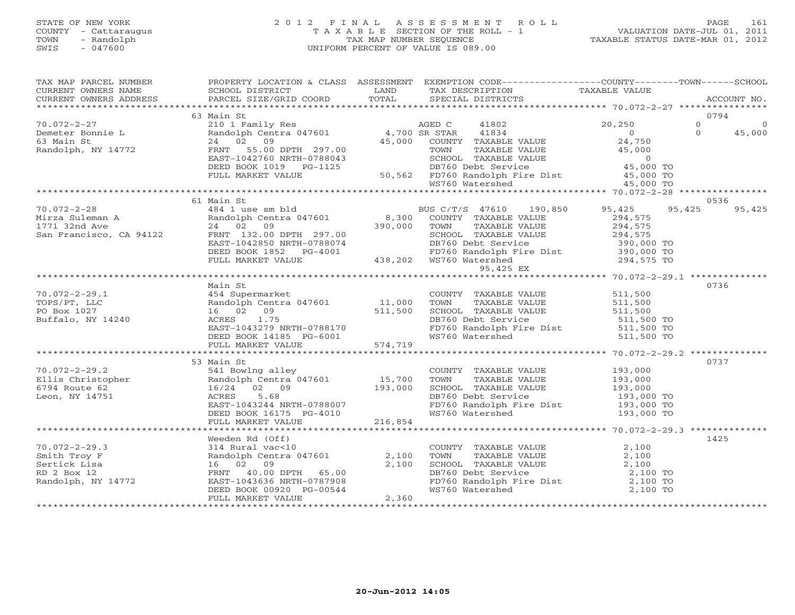# STATE OF NEW YORK 2 0 1 2 F I N A L A S S E S S M E N T R O L L PAGE 161 COUNTY - Cattaraugus T A X A B L E SECTION OF THE ROLL - 1 VALUATION DATE-JUL 01, 2011 TOWN - Randolph TAX MAP NUMBER SEQUENCE TAXABLE STATUS DATE-MAR 01, 2012 SWIS - 047600 UNIFORM PERCENT OF VALUE IS 089.00UNIFORM PERCENT OF VALUE IS 089.00

| TAX MAP PARCEL NUMBER<br>CURRENT OWNERS NAME<br>CURRENT OWNERS ADDRESS                                                                                                                                                                              | SCHOOL DISTRICT<br>PARCEL SIZE/GRID COORD                                                                                                                               | <b>LAND</b><br>TOTAL | PROPERTY LOCATION & CLASS ASSESSMENT EXEMPTION CODE----------------COUNTY-------TOWN------SCHOOL<br>TAX DESCRIPTION TAXABLE VALUE<br>SPECIAL DISTRICTS                                                                                 | ACCOUNT NO.      |
|-----------------------------------------------------------------------------------------------------------------------------------------------------------------------------------------------------------------------------------------------------|-------------------------------------------------------------------------------------------------------------------------------------------------------------------------|----------------------|----------------------------------------------------------------------------------------------------------------------------------------------------------------------------------------------------------------------------------------|------------------|
|                                                                                                                                                                                                                                                     |                                                                                                                                                                         |                      |                                                                                                                                                                                                                                        |                  |
|                                                                                                                                                                                                                                                     | 63 Main St                                                                                                                                                              |                      |                                                                                                                                                                                                                                        | 0794             |
|                                                                                                                                                                                                                                                     |                                                                                                                                                                         |                      |                                                                                                                                                                                                                                        |                  |
|                                                                                                                                                                                                                                                     |                                                                                                                                                                         |                      |                                                                                                                                                                                                                                        |                  |
|                                                                                                                                                                                                                                                     |                                                                                                                                                                         |                      |                                                                                                                                                                                                                                        |                  |
|                                                                                                                                                                                                                                                     |                                                                                                                                                                         |                      |                                                                                                                                                                                                                                        |                  |
|                                                                                                                                                                                                                                                     |                                                                                                                                                                         |                      |                                                                                                                                                                                                                                        |                  |
|                                                                                                                                                                                                                                                     |                                                                                                                                                                         |                      |                                                                                                                                                                                                                                        |                  |
|                                                                                                                                                                                                                                                     |                                                                                                                                                                         |                      |                                                                                                                                                                                                                                        |                  |
|                                                                                                                                                                                                                                                     | 61 Main St                                                                                                                                                              |                      |                                                                                                                                                                                                                                        | 0536             |
|                                                                                                                                                                                                                                                     |                                                                                                                                                                         |                      |                                                                                                                                                                                                                                        | 95,425<br>95,425 |
|                                                                                                                                                                                                                                                     |                                                                                                                                                                         |                      |                                                                                                                                                                                                                                        |                  |
|                                                                                                                                                                                                                                                     |                                                                                                                                                                         |                      |                                                                                                                                                                                                                                        |                  |
|                                                                                                                                                                                                                                                     |                                                                                                                                                                         |                      |                                                                                                                                                                                                                                        |                  |
|                                                                                                                                                                                                                                                     |                                                                                                                                                                         |                      |                                                                                                                                                                                                                                        |                  |
|                                                                                                                                                                                                                                                     |                                                                                                                                                                         |                      |                                                                                                                                                                                                                                        |                  |
|                                                                                                                                                                                                                                                     |                                                                                                                                                                         |                      |                                                                                                                                                                                                                                        |                  |
| 70.072-2-28<br>Mirza Suleman A<br>Mirza Suleman A<br>1771 32nd Ave 24 02 09<br>San Francisco, CA 94122<br>ERST-102.00 DPTH 297.00<br>DEED BOOK 1852 PG-4001<br>FULL MARKET VALUE<br>FULL MARKET VALUE<br>FULL MARKET VALUE<br>294,575<br>FULL MARKE |                                                                                                                                                                         |                      |                                                                                                                                                                                                                                        |                  |
|                                                                                                                                                                                                                                                     | Main St                                                                                                                                                                 |                      |                                                                                                                                                                                                                                        | 0736             |
|                                                                                                                                                                                                                                                     |                                                                                                                                                                         |                      |                                                                                                                                                                                                                                        |                  |
|                                                                                                                                                                                                                                                     |                                                                                                                                                                         |                      |                                                                                                                                                                                                                                        |                  |
|                                                                                                                                                                                                                                                     |                                                                                                                                                                         |                      |                                                                                                                                                                                                                                        |                  |
|                                                                                                                                                                                                                                                     |                                                                                                                                                                         |                      |                                                                                                                                                                                                                                        |                  |
|                                                                                                                                                                                                                                                     |                                                                                                                                                                         |                      |                                                                                                                                                                                                                                        |                  |
|                                                                                                                                                                                                                                                     |                                                                                                                                                                         |                      |                                                                                                                                                                                                                                        |                  |
|                                                                                                                                                                                                                                                     |                                                                                                                                                                         |                      |                                                                                                                                                                                                                                        |                  |
|                                                                                                                                                                                                                                                     |                                                                                                                                                                         |                      |                                                                                                                                                                                                                                        |                  |
| $70.072 - 2 - 29.2$                                                                                                                                                                                                                                 | 53 Main St                                                                                                                                                              |                      | 941 Bowlng alley<br>Randolph Centra 047601 15,700 TOWN TAXABLE VALUE 193,000<br>16/24 02 09 193,000 SCHOOL TAXABLE VALUE 193,000<br>ACRES 5.68 5.68 DB760 Debt Service 193,000 TO<br>EAST-1043244 NRTH-0788007 FD760 Randolph Fire Dis | 0737             |
|                                                                                                                                                                                                                                                     |                                                                                                                                                                         |                      |                                                                                                                                                                                                                                        |                  |
|                                                                                                                                                                                                                                                     |                                                                                                                                                                         |                      |                                                                                                                                                                                                                                        |                  |
| <i>void=2-23.2</i><br>Ellis Christopher<br>6794 Route 62<br>Leon, NY 14751                                                                                                                                                                          |                                                                                                                                                                         |                      |                                                                                                                                                                                                                                        |                  |
|                                                                                                                                                                                                                                                     |                                                                                                                                                                         |                      |                                                                                                                                                                                                                                        |                  |
|                                                                                                                                                                                                                                                     | DEED BOOK $16175$ PG-4010                                                                                                                                               |                      | FD760 Randolph Fire Dist 193,000 TO<br>WS760 Watershed 193,000 TO                                                                                                                                                                      |                  |
|                                                                                                                                                                                                                                                     | FULL MARKET VALUE                                                                                                                                                       | 216,854              |                                                                                                                                                                                                                                        |                  |
|                                                                                                                                                                                                                                                     |                                                                                                                                                                         |                      |                                                                                                                                                                                                                                        |                  |
|                                                                                                                                                                                                                                                     | Weeden Rd (Off)                                                                                                                                                         |                      |                                                                                                                                                                                                                                        | 1425             |
| $70.072 - 2 - 29.3$                                                                                                                                                                                                                                 |                                                                                                                                                                         |                      |                                                                                                                                                                                                                                        |                  |
| Smith Troy F<br>Sertick Lisa<br>RD 2 Box 12<br>Randolph, NY 14772                                                                                                                                                                                   | Weeden Rd (Off)<br>314 Rural vac<10<br>Randolph Centra 047601 2,100<br>16 02 09 2,100<br>FRNT 40.00 DPTH 65.00<br>EAST-1043636 NRTH-0787908<br>DEED BOOK 00920 PG-00544 |                      | COUNTY TAXABLE VALUE<br>TOWN TAXABLE VALUE<br>SCHOOL TAXABLE VALUE<br>DB760 Debt Service<br>FD760 Randolph Fire Dist<br>WS760 Watershed<br>2,100 TO<br>2,100 TO<br>2,100 TO<br>2,100 TO<br>2,100 TO                                    |                  |
|                                                                                                                                                                                                                                                     |                                                                                                                                                                         |                      |                                                                                                                                                                                                                                        |                  |
|                                                                                                                                                                                                                                                     |                                                                                                                                                                         |                      |                                                                                                                                                                                                                                        |                  |
|                                                                                                                                                                                                                                                     |                                                                                                                                                                         |                      |                                                                                                                                                                                                                                        |                  |
|                                                                                                                                                                                                                                                     | FULL MARKET VALUE                                                                                                                                                       | 2,360                |                                                                                                                                                                                                                                        |                  |
|                                                                                                                                                                                                                                                     |                                                                                                                                                                         |                      |                                                                                                                                                                                                                                        |                  |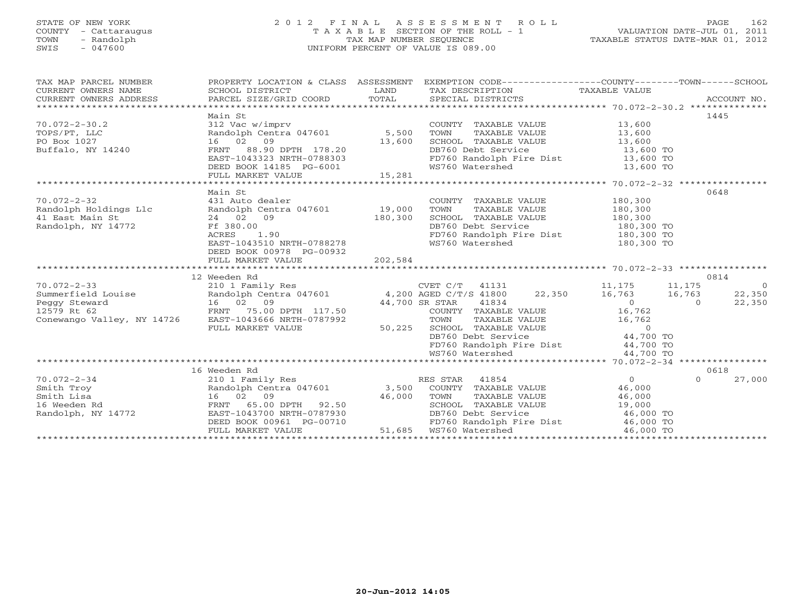# STATE OF NEW YORK 2 0 1 2 F I N A L A S S E S S M E N T R O L L PAGE 162 COUNTY - Cattaraugus T A X A B L E SECTION OF THE ROLL - 1 VALUATION DATE-JUL 01, 2011 TOWN - Randolph TAX MAP NUMBER SEQUENCE TAXABLE STATUS DATE-MAR 01, 2012 SWIS - 047600 UNIFORM PERCENT OF VALUE IS 089.00UNIFORM PERCENT OF VALUE IS 089.00

| TAX MAP PARCEL NUMBER<br>CURRENT OWNERS NAME<br>CURRENT OWNERS ADDRESS              | SCHOOL DISTRICT                                                                                                                                                                                  | <b>EXAMPLE SERVICE SERVICE SERVICE SERVICE SERVICE SERVICE SERVICE SERVICE SERVICE SERVICE SERVICE SERVICE SERVICE</b> | PROPERTY LOCATION & CLASS ASSESSMENT EXEMPTION CODE---------------COUNTY-------TOWN------SCHOOL<br>TAX DESCRIPTION TAXABLE VALUE                                                                                                                                      |                                                                |                                    |
|-------------------------------------------------------------------------------------|--------------------------------------------------------------------------------------------------------------------------------------------------------------------------------------------------|------------------------------------------------------------------------------------------------------------------------|-----------------------------------------------------------------------------------------------------------------------------------------------------------------------------------------------------------------------------------------------------------------------|----------------------------------------------------------------|------------------------------------|
| $70.072 - 2 - 30.2$<br>TOPS/PT, LLC<br>PO Box 1027<br>Buffalo, NY 14240             | Main St<br>312 Vac w/imprv<br>Randolph Centra 047601 5,500<br>FRNT 88.90 DPTH 178.20<br>EAST-1043333 WILLIAM 178.20<br>EAST-1043323 NRTH-0788303<br>DEED BOOK 14185 PG-6001<br>FULL MARKET VALUE | $G-6001$ 15,281                                                                                                        | COUNTY TAXABLE VALUE 13,600<br>TOWN<br>TAXABLE VALUE<br>TOWN TAAADDD WALLE<br>SCHOOL TAXABLE VALUE<br>FD760 Randolph Fire Dist 13,600 TO<br>WS760 Watershed                                                                                                           | 13,600<br>13,600<br>13,600 TO<br>13,600 TO                     | 1445                               |
|                                                                                     |                                                                                                                                                                                                  |                                                                                                                        |                                                                                                                                                                                                                                                                       |                                                                |                                    |
| $70.072 - 2 - 32$<br>Randolph Holdings Llc<br>41 East Main St<br>Randolph, NY 14772 | Main St<br>431 Auto dealer<br>Randolph Centra 047601 19,000<br>24 02 09<br>Ff 380.00<br>ACRES<br>1.90<br>EAST-1043510 NRTH-0788278<br>DEED BOOK 00978 PG-00932<br>FULL MARKET VALUE              | 180,300<br>202,584                                                                                                     | COUNTY TAXABLE VALUE<br>TAXABLE VALUE<br>TOWN<br>SCHOOL TAXABLE VALUE 180,300<br>DB760 Debt Service<br>FD760 Randolph Fire Dist<br>WS760 Watershed                                                                                                                    | 180,300<br>180,300<br>$180,300$ TO<br>180,300 TO<br>180,300 TO | 0648                               |
|                                                                                     |                                                                                                                                                                                                  |                                                                                                                        |                                                                                                                                                                                                                                                                       |                                                                |                                    |
|                                                                                     | 12 Weeden Rd                                                                                                                                                                                     |                                                                                                                        |                                                                                                                                                                                                                                                                       |                                                                | 0814                               |
| Conewango Valley, NY 14726 EAST-1043666 NRTH-0787992                                | FULL MARKET VALUE                                                                                                                                                                                | 50,225                                                                                                                 | CVET C/T 41131 11,175 11,175<br>TOWN TAXABLE VALUE 16,762<br>SCHOOL TAXABLE VALUE 0<br>DB760 Debt Service 44,700 TO<br>FD760 Randolph Fire Dist 44,700 TO<br>WS760 Watershed                                                                                          | 16,763<br>$\overline{0}$<br>44,700 TO                          | $\overline{0}$<br>22,350<br>22,350 |
|                                                                                     |                                                                                                                                                                                                  |                                                                                                                        |                                                                                                                                                                                                                                                                       |                                                                |                                    |
| $70.072 - 2 - 34$<br>Smith Troy<br>Smith Lisa<br>16 Weeden Rd<br>Randolph, NY 14772 | 16 Weeden Rd<br>210 1 Family Res<br>FRNT 65.00 DPTH 92.50 $46,000$<br>FAST-1043700 ---<br>EAST-1043700 NRTH-0787930<br>DEED BOOK 00961 PG-00710<br>FULL MARKET VALUE                             | $\frac{1}{1+\frac{1}{2}}\left( \frac{1}{1+\frac{1}{2}}\right) ^{2}$                                                    | RES STAR 41854<br>Randolph Centra 047601 3,500 COUNTY TAXABLE VALUE<br>TOWN<br>TAXABLE VALUE 46,000<br>TAXABLE VALUE 46,000<br>TAXABLE VALUE 19,000<br>SCHOOL TAXABLE VALUE<br>DB760 Debt Service<br>$FD760$ Randolph Fire Dist $46,000$ TO<br>51,685 WS760 Watershed | $\overline{O}$<br>46,000<br>46,000 TO<br>46,000 TO             | 0618<br>27,000<br>$\Omega$         |
|                                                                                     |                                                                                                                                                                                                  |                                                                                                                        |                                                                                                                                                                                                                                                                       |                                                                |                                    |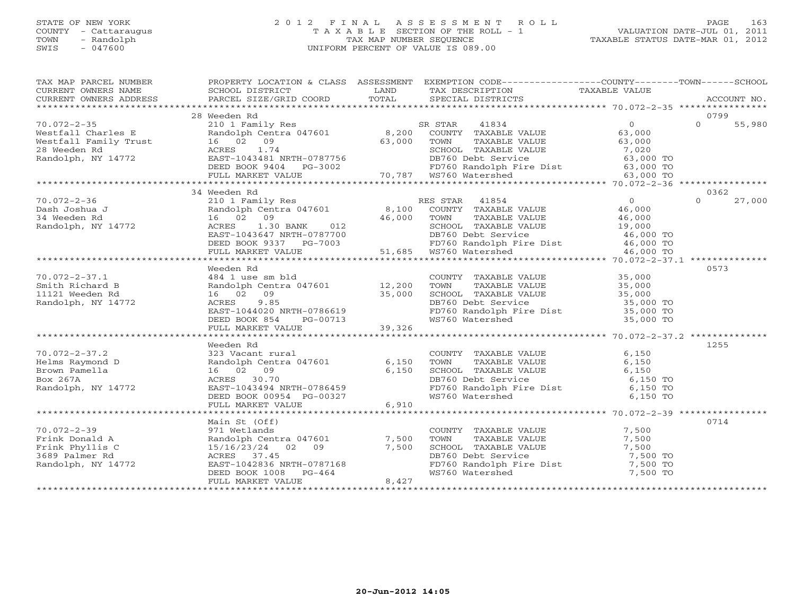# STATE OF NEW YORK 2012 FINAL ASSESSMENT ROLL PAGE 163 COUNTY - Cattaraugus T A X A B L E SECTION OF THE ROLL - 1<br>
TOWN - Randolph TAX MAP NUMBER SEQUENCE<br>
SWIS - 047600 SWIS - 047600 UNIFORM PERCENT OF VALUE IS 089.00

VALUATION DATE-JUL  $\overline{01}$ , 2011 TAXABLE STATUS DATE-MAR 01, 2012

| TAX MAP PARCEL NUMBER<br>EXAMPLE NOTIFIES A TRANSPORT CONTREST TO A CONTREST TO THE CONTREST OF THE CONTREST OF THE CONTREST OF THE CONTREST OF THE CONTREST OF THE CONTREST OF THE CONTREST OF THE CONTREST OF THE CONTRES ACCOUNT NO.<br>CURRENT OWNERS                                                                                                                                                                     |                                                                                                             |       | PROPERTY LOCATION & CLASS ASSESSMENT EXEMPTION CODE---------------COUNTY-------TOWN------SCHOOL                                                                                                                                                  |        |
|-------------------------------------------------------------------------------------------------------------------------------------------------------------------------------------------------------------------------------------------------------------------------------------------------------------------------------------------------------------------------------------------------------------------------------|-------------------------------------------------------------------------------------------------------------|-------|--------------------------------------------------------------------------------------------------------------------------------------------------------------------------------------------------------------------------------------------------|--------|
|                                                                                                                                                                                                                                                                                                                                                                                                                               |                                                                                                             |       |                                                                                                                                                                                                                                                  |        |
| $\begin{array}{cccccccc} 70.072-2-35 & 28 \text{ Weeden Rd} & 0 & 0 & 55,980 \\ \text{Westfall Charles E} & 210.1 \text{ Femily Res} & 8,200 & \text{COUNTY TAXABLE VALUE} & 63,000 & 0 & 55,980 \\ \text{Westfall Family Trust} & 16 & 02 & 09 & 55,980 \\ \text{Westfall: Family Trust} & 16 & 02 & 09 & 55,980 \\ \text{Newestfall: Family Trust} & 16 & 02 & 09 & 55,980 \\ \text{Xestfall: Family Trust} & 16 & 02 & 09$ | 28 Weeden Rd                                                                                                |       |                                                                                                                                                                                                                                                  | 0799   |
|                                                                                                                                                                                                                                                                                                                                                                                                                               |                                                                                                             |       |                                                                                                                                                                                                                                                  |        |
|                                                                                                                                                                                                                                                                                                                                                                                                                               |                                                                                                             |       |                                                                                                                                                                                                                                                  |        |
|                                                                                                                                                                                                                                                                                                                                                                                                                               |                                                                                                             |       |                                                                                                                                                                                                                                                  |        |
|                                                                                                                                                                                                                                                                                                                                                                                                                               |                                                                                                             |       |                                                                                                                                                                                                                                                  |        |
|                                                                                                                                                                                                                                                                                                                                                                                                                               |                                                                                                             |       |                                                                                                                                                                                                                                                  |        |
|                                                                                                                                                                                                                                                                                                                                                                                                                               |                                                                                                             |       |                                                                                                                                                                                                                                                  |        |
|                                                                                                                                                                                                                                                                                                                                                                                                                               |                                                                                                             |       |                                                                                                                                                                                                                                                  |        |
|                                                                                                                                                                                                                                                                                                                                                                                                                               | 34 Weeden Rd                                                                                                |       |                                                                                                                                                                                                                                                  | 0362   |
| $\begin{tabular}{lllllllllllllllllll} 1.072-2-36 & 34 \text{ Weeden Rd} & 210 &1 \text{ Family Res} & \text{RES STRR} & 41854 & 0 & 0 & 27,00 \\ 210 &1 \text{ Family Res} & 8,100 & \text{COUNTY TAXABLE VALUE} & 46,000 & 0 & 27,00 \\ 4 \text{Weeden Rd} & 16 & 02 & 09 & 46,000 & \text{TONNN} & \text{TXXABLE VALUE} & 46,000 \\ 16 & 02 & 09 & 46,000 & \text{TONN} & \text{TXXABLE$<br>$70.072 - 2 - 36$               |                                                                                                             |       |                                                                                                                                                                                                                                                  | 27,000 |
|                                                                                                                                                                                                                                                                                                                                                                                                                               |                                                                                                             |       |                                                                                                                                                                                                                                                  |        |
| Dash Joshua J<br>34 Weeden Rd<br>Randolph, NY 14772<br>Randolph, NY 14772<br>ACRES<br>1.30                                                                                                                                                                                                                                                                                                                                    |                                                                                                             |       |                                                                                                                                                                                                                                                  |        |
|                                                                                                                                                                                                                                                                                                                                                                                                                               |                                                                                                             |       |                                                                                                                                                                                                                                                  |        |
|                                                                                                                                                                                                                                                                                                                                                                                                                               |                                                                                                             |       |                                                                                                                                                                                                                                                  |        |
|                                                                                                                                                                                                                                                                                                                                                                                                                               |                                                                                                             |       |                                                                                                                                                                                                                                                  |        |
|                                                                                                                                                                                                                                                                                                                                                                                                                               |                                                                                                             |       |                                                                                                                                                                                                                                                  |        |
|                                                                                                                                                                                                                                                                                                                                                                                                                               |                                                                                                             |       |                                                                                                                                                                                                                                                  |        |
|                                                                                                                                                                                                                                                                                                                                                                                                                               | Weeden Rd                                                                                                   |       |                                                                                                                                                                                                                                                  | 0573   |
| $70.072 - 2 - 37.1$                                                                                                                                                                                                                                                                                                                                                                                                           |                                                                                                             |       |                                                                                                                                                                                                                                                  |        |
| Smith Richard B                                                                                                                                                                                                                                                                                                                                                                                                               |                                                                                                             |       |                                                                                                                                                                                                                                                  |        |
| 11121 Weeden Rd                                                                                                                                                                                                                                                                                                                                                                                                               |                                                                                                             |       |                                                                                                                                                                                                                                                  |        |
| Randolph, NY 14772                                                                                                                                                                                                                                                                                                                                                                                                            |                                                                                                             |       |                                                                                                                                                                                                                                                  |        |
|                                                                                                                                                                                                                                                                                                                                                                                                                               |                                                                                                             |       |                                                                                                                                                                                                                                                  |        |
|                                                                                                                                                                                                                                                                                                                                                                                                                               |                                                                                                             |       |                                                                                                                                                                                                                                                  |        |
|                                                                                                                                                                                                                                                                                                                                                                                                                               |                                                                                                             |       | Westall and the sm bld<br>484 1 use sm bld<br>484 12,200 TOWN TAXABLE VALUE<br>484 12,200 TOWN TAXABLE VALUE<br>484 12,200 TOWN TAXABLE VALUE<br>484 12,200 TOWN TAXABLE VALUE<br>484 12,200 TOWN TAXABLE VALUE<br>485,000<br>46 02 09<br>35,000 |        |
|                                                                                                                                                                                                                                                                                                                                                                                                                               |                                                                                                             |       |                                                                                                                                                                                                                                                  |        |
|                                                                                                                                                                                                                                                                                                                                                                                                                               | Weeden Rd                                                                                                   |       |                                                                                                                                                                                                                                                  | 1255   |
|                                                                                                                                                                                                                                                                                                                                                                                                                               |                                                                                                             |       |                                                                                                                                                                                                                                                  |        |
|                                                                                                                                                                                                                                                                                                                                                                                                                               |                                                                                                             |       |                                                                                                                                                                                                                                                  |        |
|                                                                                                                                                                                                                                                                                                                                                                                                                               |                                                                                                             |       |                                                                                                                                                                                                                                                  |        |
| 70.072-2-37.2<br>Helms Raymond D<br>Brown Pamella<br>Brown Pamella<br>Box 267A<br>Randolph, NY 14772<br>Randolph, NY 14772<br>COUNT<br>Randolph Centra 047601<br>2009<br>COUNT<br>COUNT<br>COUNT<br>COUNT<br>COUNT<br>COUNT<br>COUNT<br>COUNT<br>COUNT<br>COUNT<br>COU                                                                                                                                                        | EAST-1043494 NRTH-0786459<br>DEED BOOK 00954 PG-00327<br>FULL MARKET VALUE 6,910<br>FULL MARKET VALUE 6,910 |       | COUNTY TAXABLE VALUE 6,150<br>TOWN TAXABLE VALUE 6,150<br>SCHOOL TAXABLE VALUE 6,150<br>DB760 Debt Service 6,150<br>FD760 Randolph Fire Dist 6,150 TO<br>WS760 Watershed 6,150 TO<br>6,150 TO                                                    |        |
|                                                                                                                                                                                                                                                                                                                                                                                                                               |                                                                                                             |       |                                                                                                                                                                                                                                                  |        |
|                                                                                                                                                                                                                                                                                                                                                                                                                               |                                                                                                             |       |                                                                                                                                                                                                                                                  |        |
|                                                                                                                                                                                                                                                                                                                                                                                                                               |                                                                                                             |       |                                                                                                                                                                                                                                                  |        |
|                                                                                                                                                                                                                                                                                                                                                                                                                               |                                                                                                             |       |                                                                                                                                                                                                                                                  |        |
|                                                                                                                                                                                                                                                                                                                                                                                                                               |                                                                                                             |       |                                                                                                                                                                                                                                                  | 0714   |
| $70.072 - 2 - 39$                                                                                                                                                                                                                                                                                                                                                                                                             |                                                                                                             |       |                                                                                                                                                                                                                                                  |        |
| Frink Donald A                                                                                                                                                                                                                                                                                                                                                                                                                | Main St (Off)<br>971 Wetlands<br>Randolph Centra 047601 7,500<br>15/16/23/24 02 09 7,500<br>27.45           |       | COUNTY TAXABLE VALUE 7,500<br>TOWN TAXABLE VALUE 7,500<br>SCHOOL TAXABLE VALUE 7,500<br>DB760 Debt Service 7,500 TO<br>FD760 Randolph Fire Dist 7,500 TO<br>WS760 Watershed 7,500 TO                                                             |        |
| Frink Phyllis C<br>3689 Palmer Rd                                                                                                                                                                                                                                                                                                                                                                                             |                                                                                                             |       |                                                                                                                                                                                                                                                  |        |
| Randolph, NY 14772                                                                                                                                                                                                                                                                                                                                                                                                            |                                                                                                             |       |                                                                                                                                                                                                                                                  |        |
|                                                                                                                                                                                                                                                                                                                                                                                                                               |                                                                                                             |       |                                                                                                                                                                                                                                                  |        |
|                                                                                                                                                                                                                                                                                                                                                                                                                               | EAST-1042836 NRTH-0787168<br>DEED BOOK 1008 PG-464<br>FULL MARKET ::--<br>FULL MARKET VALUE                 | 8,427 |                                                                                                                                                                                                                                                  |        |
|                                                                                                                                                                                                                                                                                                                                                                                                                               |                                                                                                             |       |                                                                                                                                                                                                                                                  |        |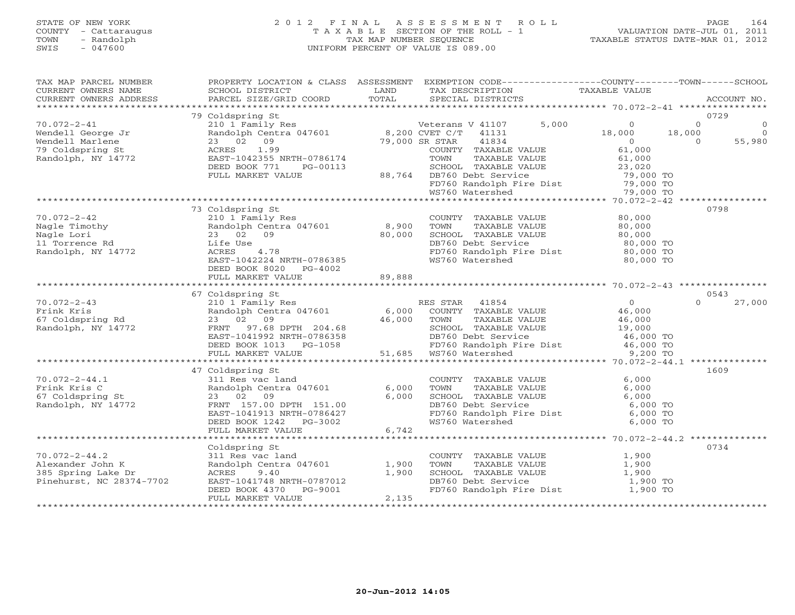# STATE OF NEW YORK 2 0 1 2 F I N A L A S S E S S M E N T R O L L PAGE 164 COUNTY - Cattaraugus T A X A B L E SECTION OF THE ROLL - 1 VALUATION DATE-JUL 01, 2011 TOWN - Randolph TAX MAP NUMBER SEQUENCE TAXABLE STATUS DATE-MAR 01, 2012 SWIS - 047600 UNIFORM PERCENT OF VALUE IS 089.00

| TAX MAP PARCEL NUMBER<br>CURRENT OWNERS NAME<br>CURRENT OWNERS ADDRESS | SCHOOL DISTRICT<br>PARCEL SIZE/GRID COORD                                                    | LAND<br>TOTAL | PROPERTY LOCATION & CLASS ASSESSMENT EXEMPTION CODE----------------COUNTY-------TOWN------SCHOOL<br>TAX DESCRIPTION<br>SPECIAL DISTRICTS | TAXABLE VALUE                           | ACCOUNT NO.                              |
|------------------------------------------------------------------------|----------------------------------------------------------------------------------------------|---------------|------------------------------------------------------------------------------------------------------------------------------------------|-----------------------------------------|------------------------------------------|
|                                                                        |                                                                                              |               |                                                                                                                                          |                                         |                                          |
| $70.072 - 2 - 41$                                                      | 79 Coldspring St<br>210 1 Family Res                                                         |               | 5,000<br>Veterans V 41107                                                                                                                | $\Omega$                                | 0729<br>$\Omega$                         |
| Wendell George Jr<br>Wendell Marlene                                   | Randolph Centra 047601 8,200 CVET C/T 41131<br>23 02 09                                      |               | 41834<br>79,000 SR STAR                                                                                                                  | 18,000<br>$\overline{0}$                | 18,000<br>$\Omega$<br>55,980<br>$\Omega$ |
| 79 Coldspring St<br>Randolph, NY 14772                                 | 1.99<br>ACRES<br>EAST-1042355 NRTH-0786174<br>DEED BOOK 771<br>PG-00113<br>FULL MARKET VALUE |               | COUNTY TAXABLE VALUE<br>TOWN<br>TAXABLE VALUE<br>SCHOOL TAXABLE VALUE<br>88,764 DB760 Debt Service                                       | 61,000<br>61,000<br>23,020<br>79,000 TO |                                          |
|                                                                        |                                                                                              |               | FD760 Randolph Fire Dist<br>WS760 Watershed                                                                                              | 79,000 TO<br>79,000 TO                  |                                          |
|                                                                        |                                                                                              |               |                                                                                                                                          |                                         |                                          |
| $70.072 - 2 - 42$                                                      | 73 Coldspring St<br>210 1 Family Res                                                         |               | COUNTY TAXABLE VALUE                                                                                                                     | 80,000                                  | 0798                                     |
| Nagle Timothy                                                          | Randolph Centra 047601                                                                       | 8,900         | TOWN<br>TAXABLE VALUE                                                                                                                    | 80,000                                  |                                          |
| Nagle Lori                                                             | 23 02 09                                                                                     | 80,000        | SCHOOL TAXABLE VALUE                                                                                                                     | 80,000                                  |                                          |
| 11 Torrence Rd                                                         | Life Use                                                                                     |               | DB760 Debt Service                                                                                                                       | 80,000 TO                               |                                          |
| Randolph, NY 14772                                                     | ACRES<br>4.78                                                                                |               | FD760 Randolph Fire Dist 80,000 TO                                                                                                       |                                         |                                          |
|                                                                        | EAST-1042224 NRTH-0786385<br>DEED BOOK 8020 PG-4002                                          |               | WS760 Watershed                                                                                                                          | 80,000 TO                               |                                          |
|                                                                        | FULL MARKET VALUE                                                                            | 89,888        |                                                                                                                                          |                                         |                                          |
|                                                                        | 67 Coldspring St                                                                             |               |                                                                                                                                          |                                         | 0543                                     |
| $70.072 - 2 - 43$                                                      | 210 1 Family Res                                                                             |               | RES STAR 41854                                                                                                                           | $\overline{0}$                          | $\Omega$<br>27,000                       |
| Frink Kris                                                             | Randolph Centra 047601                                                                       | 6,000         | COUNTY TAXABLE VALUE                                                                                                                     | 46,000                                  |                                          |
| 67 Coldspring Rd                                                       | 23 02 09                                                                                     | 46,000        | TOWN<br>TAXABLE VALUE                                                                                                                    | 46,000                                  |                                          |
| Randolph, NY 14772                                                     | FRNT 97.68 DPTH 204.68                                                                       |               | SCHOOL TAXABLE VALUE                                                                                                                     | 19,000                                  |                                          |
|                                                                        | EAST-1041992 NRTH-0786358                                                                    |               | DB760 Debt Service                                                                                                                       | 46,000 TO                               |                                          |
|                                                                        | DEED BOOK 1013<br>PG-1058                                                                    |               | DB760 Debt Service<br>FD760 Randolph Fire Dist                                                                                           | 46,000 TO                               |                                          |
|                                                                        | FULL MARKET VALUE                                                                            | 51,685        | WS760 Watershed                                                                                                                          | 9,200 TO                                |                                          |
|                                                                        |                                                                                              |               |                                                                                                                                          |                                         |                                          |
|                                                                        | 47 Coldspring St                                                                             |               |                                                                                                                                          |                                         | 1609                                     |
| $70.072 - 2 - 44.1$                                                    | 311 Res vac land                                                                             |               | COUNTY TAXABLE VALUE                                                                                                                     | 6,000                                   |                                          |
| Frink Kris C                                                           | Randolph Centra 047601                                                                       | 6,000         | TOWN<br>TAXABLE VALUE                                                                                                                    | 6,000                                   |                                          |
| 67 Coldspring St                                                       | 23 02<br>09                                                                                  | 6,000         | SCHOOL TAXABLE VALUE                                                                                                                     | 6.000                                   |                                          |
| Randolph, NY 14772                                                     | FRNT 157.00 DPTH 151.00                                                                      |               | DB760 Debt Service                                                                                                                       | 6,000 TO                                |                                          |
|                                                                        | EAST-1041913 NRTH-0786427                                                                    |               | FD760 Randolph Fire Dist 6,000 TO                                                                                                        |                                         |                                          |
|                                                                        | DEED BOOK 1242 PG-3002                                                                       |               | WS760 Watershed                                                                                                                          | 6,000 TO                                |                                          |
|                                                                        | FULL MARKET VALUE                                                                            | 6,742         |                                                                                                                                          |                                         |                                          |
|                                                                        |                                                                                              |               |                                                                                                                                          |                                         |                                          |
|                                                                        | Coldspring St                                                                                |               |                                                                                                                                          |                                         | 0734                                     |
| $70.072 - 2 - 44.2$                                                    | 311 Res vac land                                                                             |               | COUNTY TAXABLE VALUE                                                                                                                     | 1,900                                   |                                          |
| Alexander John K                                                       | Randolph Centra 047601                                                                       | 1,900         | TOWN<br>TAXABLE VALUE                                                                                                                    | 1,900                                   |                                          |
| 385 Spring Lake Dr                                                     | ACRES<br>9.40                                                                                | 1,900         | SCHOOL TAXABLE VALUE                                                                                                                     | 1,900                                   |                                          |
| Pinehurst, NC 28374-7702                                               | EAST-1041748 NRTH-0787012                                                                    |               | DB760 Debt Service                                                                                                                       | 1,900 TO                                |                                          |
|                                                                        | DEED BOOK 4370<br>PG-9001                                                                    |               | FD760 Randolph Fire Dist 1,900 TO                                                                                                        |                                         |                                          |
|                                                                        | FULL MARKET VALUE                                                                            | 2,135         |                                                                                                                                          |                                         |                                          |
|                                                                        | *************************                                                                    |               |                                                                                                                                          |                                         |                                          |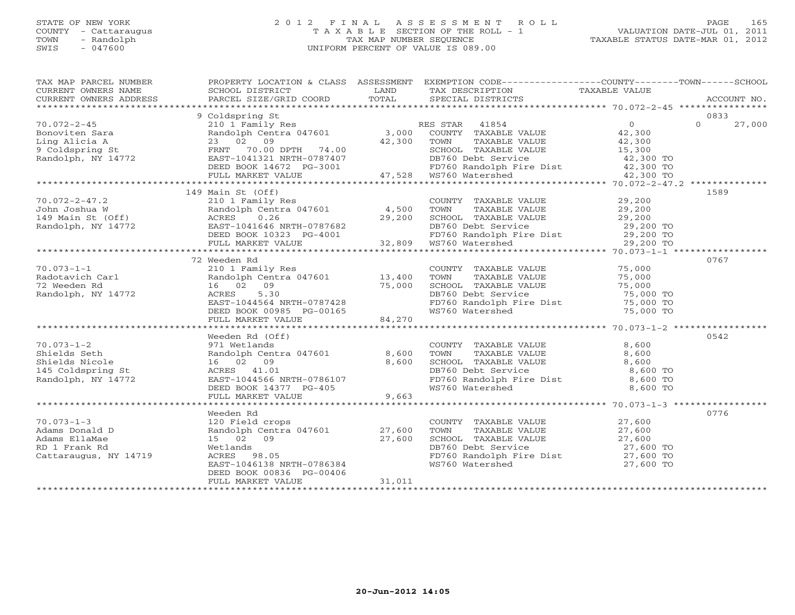# STATE OF NEW YORK 2 0 1 2 F I N A L A S S E S S M E N T R O L L PAGE 165 COUNTY - Cattaraugus T A X A B L E SECTION OF THE ROLL - 1 VALUATION DATE-JUL 01, 2011 TOWN - Randolph TAX MAP NUMBER SEQUENCE TAXABLE STATUS DATE-MAR 01, 2012 SWIS - 047600 UNIFORM PERCENT OF VALUE IS 089.00UNIFORM PERCENT OF VALUE IS 089.00

| TAX MAP PARCEL NUMBER<br>CURRENT OWNERS NAME<br>CURRENT OWNERS ADDRESS | SCHOOL DISTRICT<br>PARCEL SIZE/GRID COORD          | LAND<br>TOTAL | PROPERTY LOCATION & CLASS ASSESSMENT EXEMPTION CODE---------------COUNTY-------TOWN-----SCHOOL<br>TAX DESCRIPTION<br>SPECIAL DISTRICTS | TAXABLE VALUE          | ACCOUNT NO.      |
|------------------------------------------------------------------------|----------------------------------------------------|---------------|----------------------------------------------------------------------------------------------------------------------------------------|------------------------|------------------|
|                                                                        |                                                    |               |                                                                                                                                        |                        |                  |
|                                                                        | 9 Coldspring St                                    |               |                                                                                                                                        | $\Omega$               | 0833<br>$\Omega$ |
| $70.072 - 2 - 45$                                                      | 210 1 Family Res<br>Randolph Centra 047601 3,000   |               | RES STAR 41854                                                                                                                         |                        | 27,000           |
| Bonoviten Sara                                                         |                                                    |               | COUNTY TAXABLE VALUE                                                                                                                   | 42,300                 |                  |
| Ling Alicia A                                                          | 23 02 09                                           | 42,300        | TOWN<br>TAXABLE VALUE                                                                                                                  | 42,300<br>15,300       |                  |
| 9 Coldspring St<br>Randolph, NY 14772                                  | FRNT 70.00 DPTH 74.00<br>EAST-1041321 NRTH-0787407 |               | SCHOOL TAXABLE VALUE                                                                                                                   |                        |                  |
|                                                                        | DEED BOOK 14672 PG-3001                            |               | DB760 Debt Service<br>FD760 Randolph Fire Dist                                                                                         | 42,300 TO<br>42,300 TO |                  |
|                                                                        | FULL MARKET VALUE                                  |               |                                                                                                                                        | 42,300 TO              |                  |
|                                                                        |                                                    |               |                                                                                                                                        |                        |                  |
|                                                                        | 149 Main St (Off)                                  |               |                                                                                                                                        |                        | 1589             |
| $70.072 - 2 - 47.2$                                                    | 210 1 Family Res                                   |               | COUNTY TAXABLE VALUE                                                                                                                   | 29,200                 |                  |
| John Joshua W                                                          | Randolph Centra 047601                             | 4,500         | TOWN<br>TAXABLE VALUE                                                                                                                  | 29,200                 |                  |
| 149 Main St (Off)                                                      | ACRES<br>0.26                                      | 29,200        | SCHOOL TAXABLE VALUE                                                                                                                   | 29,200                 |                  |
| Randolph, NY 14772                                                     | EAST-1041646 NRTH-0787682                          |               |                                                                                                                                        | 29,200 TO              |                  |
|                                                                        | DEED BOOK 10323 PG-4001                            |               | DB760 Debt Service<br>FD760 Randolph Fire Dist                                                                                         | $29,200$ TO            |                  |
|                                                                        | FULL MARKET VALUE                                  | 32,809        | WS760 Watershed                                                                                                                        | 29,200 TO              |                  |
|                                                                        |                                                    |               |                                                                                                                                        |                        |                  |
|                                                                        | 72 Weeden Rd                                       |               |                                                                                                                                        |                        | 0767             |
| $70.073 - 1 - 1$                                                       | 210 1 Family Res                                   |               | COUNTY TAXABLE VALUE                                                                                                                   | 75,000                 |                  |
| Radotavich Carl                                                        | Randolph Centra 047601 13,400                      |               | TAXABLE VALUE<br>TOWN                                                                                                                  | 75,000                 |                  |
| 72 Weeden Rd                                                           | 16 02 09                                           | 75,000        | SCHOOL TAXABLE VALUE                                                                                                                   | 75,000                 |                  |
| Randolph, NY 14772                                                     | 5.30<br>ACRES                                      |               | DB760 Debt Service                                                                                                                     | 75,000 TO              |                  |
|                                                                        | EAST-1044564 NRTH-0787428                          |               | FD760 Randolph Fire Dist                                                                                                               | 75,000 TO              |                  |
|                                                                        | DEED BOOK 00985 PG-00165                           |               | WS760 Watershed                                                                                                                        | 75,000 TO              |                  |
|                                                                        | FULL MARKET VALUE                                  | 84,270        |                                                                                                                                        |                        |                  |
|                                                                        |                                                    |               |                                                                                                                                        |                        |                  |
|                                                                        | Weeden Rd (Off)                                    |               |                                                                                                                                        |                        | 0542             |
| $70.073 - 1 - 2$                                                       | 971 Wetlands                                       |               | COUNTY TAXABLE VALUE                                                                                                                   | 8,600                  |                  |
| Shields Seth                                                           | Randolph Centra 047601                             | 8,600         | TOWN<br>TAXABLE VALUE                                                                                                                  | 8,600                  |                  |
| Shields Nicole                                                         | 16 02 09                                           | 8,600         | SCHOOL TAXABLE VALUE                                                                                                                   | 8,600                  |                  |
| 145 Coldspring St                                                      | ACRES 41.01                                        |               | DB760 Debt Service<br>FD760 Randolph Fire Dist                                                                                         | 8,600 TO               |                  |
| Randolph, NY 14772                                                     | EAST-1044566 NRTH-0786107                          |               |                                                                                                                                        | 8,600 TO               |                  |
|                                                                        | DEED BOOK 14377 PG-405                             |               | WS760 Watershed                                                                                                                        | 8,600 TO               |                  |
|                                                                        | FULL MARKET VALUE                                  | 9,663         |                                                                                                                                        |                        |                  |
|                                                                        |                                                    |               |                                                                                                                                        |                        |                  |
|                                                                        | Weeden Rd                                          |               |                                                                                                                                        |                        | 0776             |
| $70.073 - 1 - 3$                                                       | 120 Field crops                                    |               | COUNTY TAXABLE VALUE                                                                                                                   | 27,600                 |                  |
| Adams Donald D                                                         | Randolph Centra 047601 27,600                      |               | TAXABLE VALUE<br>TOWN                                                                                                                  | 27,600                 |                  |
| Adams EllaMae                                                          | 15 02 09                                           | 27,600        | SCHOOL TAXABLE VALUE 27,600                                                                                                            |                        |                  |
| RD 1 Frank Rd                                                          | Wetlands                                           |               | DB760 Debt Service                                                                                                                     | 27,600 TO              |                  |
| Cattaraugus, NY 14719                                                  | ACRES<br>98.05                                     |               | FD760 Randolph Fire Dist 27,600 TO                                                                                                     |                        |                  |
|                                                                        | EAST-1046138 NRTH-0786384                          |               | WS760 Watershed                                                                                                                        | 27,600 TO              |                  |
|                                                                        | DEED BOOK 00836 PG-00406                           |               |                                                                                                                                        |                        |                  |
|                                                                        | FULL MARKET VALUE                                  | 31,011        |                                                                                                                                        |                        |                  |
|                                                                        |                                                    |               |                                                                                                                                        |                        |                  |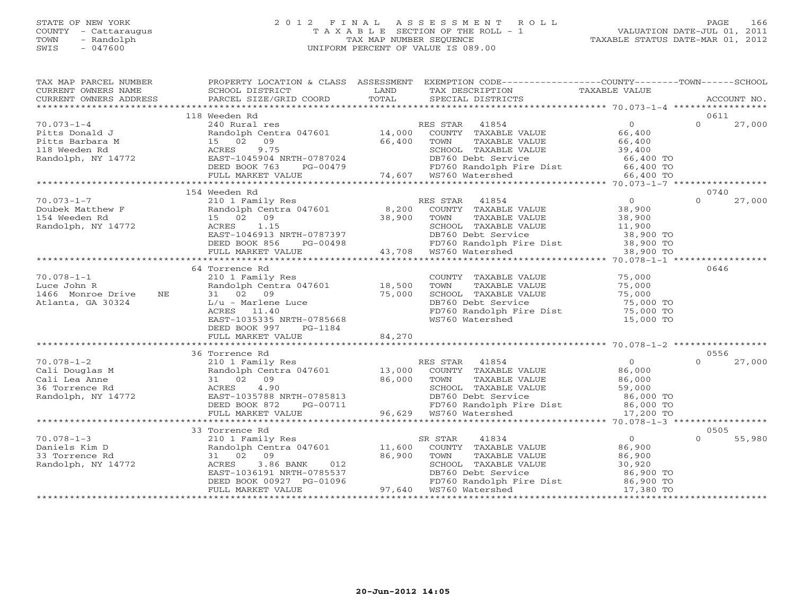# STATE OF NEW YORK 2 0 1 2 F I N A L A S S E S S M E N T R O L L PAGE 166 COUNTY - Cattaraugus T A X A B L E SECTION OF THE ROLL - 1 VALUATION DATE-JUL 01, 2011 TOWN - Randolph TAX MAP NUMBER SEQUENCE TAXABLE STATUS DATE-MAR 01, 2012 SWIS - 047600 UNIFORM PERCENT OF VALUE IS 089.00UNIFORM PERCENT OF VALUE IS 089.00

| TAX MAP PARCEL NUMBER<br>CURRENT OWNERS NAME                                                 | SCHOOL DISTRICT                                                                                                                                                                                     | LAND            | PROPERTY LOCATION & CLASS ASSESSMENT EXEMPTION CODE---------------COUNTY-------TOWN------SCHOOL<br>TAX DESCRIPTION                                                                                                                                                                | TAXABLE VALUE                                                                       |          |             |
|----------------------------------------------------------------------------------------------|-----------------------------------------------------------------------------------------------------------------------------------------------------------------------------------------------------|-----------------|-----------------------------------------------------------------------------------------------------------------------------------------------------------------------------------------------------------------------------------------------------------------------------------|-------------------------------------------------------------------------------------|----------|-------------|
| CURRENT OWNERS ADDRESS                                                                       | PARCEL SIZE/GRID COORD                                                                                                                                                                              | TOTAL           | SPECIAL DISTRICTS                                                                                                                                                                                                                                                                 |                                                                                     |          | ACCOUNT NO. |
|                                                                                              | 118 Weeden Rd                                                                                                                                                                                       |                 |                                                                                                                                                                                                                                                                                   |                                                                                     | 0611     |             |
| $70.073 - 1 - 4$<br>Pitts Donald J<br>Pitts Barbara M<br>118 Weeden Rd<br>Randolph, NY 14772 | 240 Rural res<br>15 02<br>09<br>9.75<br>ACRES<br>EAST-1045904 NRTH-0787024<br>DEED BOOK 763<br>PG-00479                                                                                             | 66,400          | RES STAR 41854<br>Randolph Centra 047601 14,000 COUNTY TAXABLE VALUE<br>TOWN<br>TAXABLE VALUE<br>SCHOOL TAXABLE VALUE<br>$\overline{U}$<br>DB760 Debt Service<br>FD760 Randolph Fire Dist 66,400 TO<br>WS760 Watershed 66,400 TO<br>1479 FD760 Randolph<br>14,607 WS760 Watershed | $\overline{0}$<br>66,400<br>66,400<br>39,400<br>66,400 TO                           | $\Omega$ | 27,000      |
|                                                                                              | FULL MARKET VALUE                                                                                                                                                                                   |                 |                                                                                                                                                                                                                                                                                   |                                                                                     |          |             |
|                                                                                              | 154 Weeden Rd                                                                                                                                                                                       |                 |                                                                                                                                                                                                                                                                                   |                                                                                     | 0740     |             |
| $70.073 - 1 - 7$<br>Doubek Matthew F<br>154 Weeden Rd<br>Randolph, NY 14772                  | 210 1 Family Res<br>Randolph Centra 047601<br>15 02 09<br>ACRES 1.15<br>EAST-1046913 NRTH-0787397<br>DEED BOOK 856<br>FULL MARKET VALUE                                                             | 8,200<br>38,900 | RES STAR 41854<br>COUNTY TAXABLE VALUE<br>TAXABLE VALUE<br>TOWN<br>SCHOOL TAXABLE VALUE<br>SCHOOL TAXABLE VALUE 11,900<br>RTH-0787397 DB760 Debt Service 38,900 TO<br>PG-00498 PD760 Randolph Fire Dist 38,900 TO<br>LUE 13,708 WS760 Watershed 38,900 TO                         | $\overline{0}$<br>38,900<br>38,900<br>38,900<br>11,900                              | $\Omega$ | 27,000      |
|                                                                                              |                                                                                                                                                                                                     |                 |                                                                                                                                                                                                                                                                                   |                                                                                     |          |             |
| $70.078 - 1 - 1$<br>Luce John R<br>1466 Monroe Drive<br>NE<br>Atlanta, GA 30324              | 64 Torrence Rd<br>210 1 Family Res<br>Randolph Centra 047601 18,500<br>31 02 09<br>$L/u$ - Marlene Luce<br>ACRES<br>11.40<br>EAST-1035335 NRTH-0785668<br>DEED BOOK 997<br>PG-1184                  | 75,000          | COUNTY TAXABLE VALUE<br>TOWN<br>TAXABLE VALUE<br>SCHOOL TAXABLE VALUE<br>DB760 Debt Service<br>FD760 Randolph Fire Dist<br>WS760 Watershed                                                                                                                                        | 75,000<br>75,000<br>75,000<br>75,000 TO<br>$75,000$ TO<br>15,000 TO                 | 0646     |             |
|                                                                                              | FULL MARKET VALUE                                                                                                                                                                                   | 84,270          |                                                                                                                                                                                                                                                                                   |                                                                                     |          |             |
|                                                                                              | 36 Torrence Rd                                                                                                                                                                                      |                 |                                                                                                                                                                                                                                                                                   |                                                                                     | 0556     |             |
| $70.078 - 1 - 2$<br>Cali Douglas M<br>Cali Lea Anne<br>36 Torrence Rd<br>Randolph, NY 14772  | 210 1 Family Res<br>Randolph Centra 047601<br>31 02 09<br>4.90<br>ACRES<br>EAST-1035788 NRTH-0785813<br>DEED BOOK 872<br>PG-00711<br>FULL MARKET VALUE                                              | 86,000          | RES STAR 41854<br>13,000 COUNTY TAXABLE VALUE<br>TOWN<br>TAXABLE VALUE<br>SCHOOL TAXABLE VALUE<br>DB760 Debt Service 59,000<br>FD760 Randolph Fire Dist 86,000 TO<br>WS760 Watershed 17,200 TO<br>FD760 Randolph I<br>96,629   WS760 Watershed                                    | $\overline{0}$<br>86,000<br>86,000                                                  | $\cap$   | 27,000      |
|                                                                                              |                                                                                                                                                                                                     |                 |                                                                                                                                                                                                                                                                                   |                                                                                     |          |             |
|                                                                                              | 33 Torrence Rd                                                                                                                                                                                      |                 |                                                                                                                                                                                                                                                                                   |                                                                                     | 0505     |             |
| $70.078 - 1 - 3$<br>Daniels Kim D<br>33 Torrence Rd<br>Randolph, NY 14772                    | 210 1 Family Res<br>$210$ T $P_{\text{unit-1}y}$ $\text{Res}$ $210$ $11,600$<br>31 02 09<br>3.86 BANK<br>012<br>ACRES<br>EAST-1036191 NRTH-0785537<br>DEED BOOK 00927 PG-01096<br>FULL MARKET VALUE | 86,900          | SR STAR<br>41834<br>COUNTY TAXABLE VALUE<br>TOWN<br>TAXABLE VALUE<br>SCHOOL TAXABLE VALUE<br>DB760 Debt Service<br>FD760 Randolph Fire Dist<br>97,640 WS760 Watershed                                                                                                             | $\overline{0}$<br>86,900<br>86,900<br>30,920<br>86,900 TO<br>86,900 TO<br>17,380 TO | $\Omega$ | 55,980      |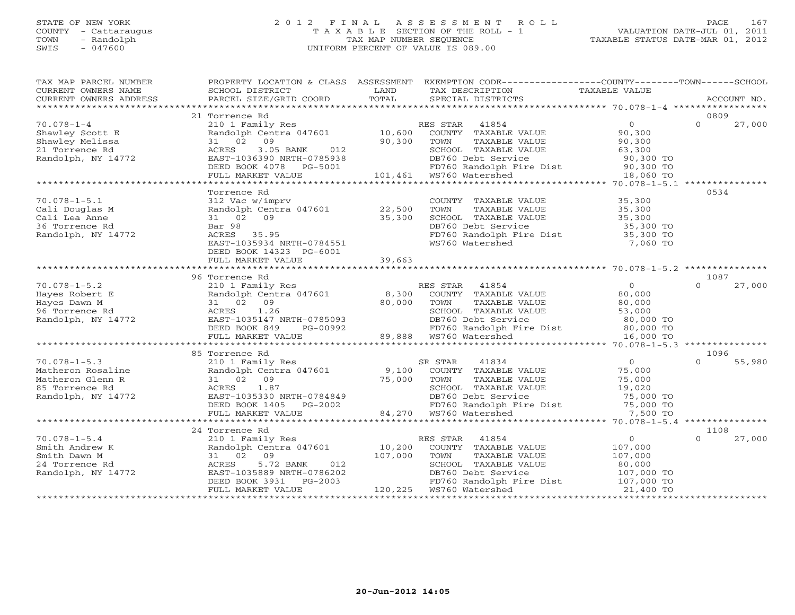# STATE OF NEW YORK 2 0 1 2 F I N A L A S S E S S M E N T R O L L PAGE 167 COUNTY - Cattaraugus T A X A B L E SECTION OF THE ROLL - 1 VALUATION DATE-JUL 01, 2011 TOWN - Randolph TAX MAP NUMBER SEQUENCE TAXABLE STATUS DATE-MAR 01, 2012 SWIS - 047600 UNIFORM PERCENT OF VALUE IS 089.00UNIFORM PERCENT OF VALUE IS 089.00

| TAX MAP PARCEL NUMBER<br>CURRENT OWNERS NAME<br>CURRENT OWNERS ADDRESS | PROPERTY LOCATION & CLASS ASSESSMENT<br>SCHOOL DISTRICT<br>PARCEL SIZE/GRID COORD | LAND<br>TOTAL | EXEMPTION CODE-----------------COUNTY-------TOWN------SCHOOL<br>TAX DESCRIPTION<br>SPECIAL DISTRICTS | <b>TAXABLE VALUE</b> | ACCOUNT NO.        |
|------------------------------------------------------------------------|-----------------------------------------------------------------------------------|---------------|------------------------------------------------------------------------------------------------------|----------------------|--------------------|
|                                                                        |                                                                                   |               |                                                                                                      |                      |                    |
|                                                                        | 21 Torrence Rd                                                                    |               |                                                                                                      |                      | 0809<br>$\Omega$   |
| $70.078 - 1 - 4$<br>Shawley Scott E                                    | 210 1 Family Res<br>Randolph Centra 047601                                        | 10,600        | RES STAR<br>41854<br>COUNTY TAXABLE VALUE                                                            | $\circ$<br>90,300    | 27,000             |
| Shawley Melissa                                                        | 09<br>31 02                                                                       | 90,300        | TOWN                                                                                                 | 90,300               |                    |
| 21 Torrence Rd                                                         | ACRES<br>3.05 BANK<br>012                                                         |               | TAXABLE VALUE<br>SCHOOL TAXABLE VALUE                                                                | 63,300               |                    |
| Randolph, NY 14772                                                     | EAST-1036390 NRTH-0785938                                                         |               | DB760 Debt Service                                                                                   | 90,300 TO            |                    |
|                                                                        | DEED BOOK 4078<br>PG-5001                                                         |               | FD760 Randolph Fire Dist                                                                             | 90,300 TO            |                    |
|                                                                        | FULL MARKET VALUE                                                                 | 101,461       | WS760 Watershed                                                                                      | 18,060 TO            |                    |
|                                                                        |                                                                                   |               |                                                                                                      |                      |                    |
|                                                                        | Torrence Rd                                                                       |               |                                                                                                      |                      | 0534               |
| $70.078 - 1 - 5.1$                                                     | 312 Vac w/imprv                                                                   |               | COUNTY TAXABLE VALUE                                                                                 | 35,300               |                    |
| Cali Douglas M                                                         | Randolph Centra 047601                                                            | 22,500        | TOWN<br>TAXABLE VALUE                                                                                | 35,300               |                    |
| Cali Lea Anne                                                          | 31 02<br>09                                                                       | 35,300        | SCHOOL TAXABLE VALUE                                                                                 | 35,300               |                    |
| 36 Torrence Rd                                                         | Bar 98                                                                            |               | DB760 Debt Service                                                                                   | 35,300 TO            |                    |
| Randolph, NY 14772                                                     | ACRES 35.95                                                                       |               | FD760 Randolph Fire Dist                                                                             | 35,300 TO            |                    |
|                                                                        | EAST-1035934 NRTH-0784551                                                         |               | WS760 Watershed                                                                                      | 7,060 TO             |                    |
|                                                                        | DEED BOOK 14323 PG-6001                                                           |               |                                                                                                      |                      |                    |
|                                                                        | FULL MARKET VALUE                                                                 | 39,663        |                                                                                                      |                      |                    |
|                                                                        |                                                                                   |               |                                                                                                      |                      |                    |
|                                                                        | 96 Torrence Rd                                                                    |               |                                                                                                      |                      | 1087               |
| $70.078 - 1 - 5.2$                                                     | 210 1 Family Res                                                                  |               | RES STAR<br>41854                                                                                    | $\Omega$             | $\Omega$<br>27,000 |
| Hayes Robert E                                                         | Randolph Centra 047601                                                            | 8,300         | COUNTY TAXABLE VALUE                                                                                 | 80,000               |                    |
| Hayes Dawn M                                                           | 31 02<br>09                                                                       | 80,000        | TOWN<br>TAXABLE VALUE                                                                                | 80,000               |                    |
| 96 Torrence Rd                                                         | 1.26<br>ACRES                                                                     |               | SCHOOL TAXABLE VALUE                                                                                 | 53,000               |                    |
| Randolph, NY 14772                                                     | EAST-1035147 NRTH-0785093                                                         |               | DB760 Debt Service                                                                                   | 80,000 TO            |                    |
|                                                                        | DEED BOOK 849<br>PG-00992                                                         |               | FD760 Randolph Fire Dist                                                                             | 80,000 TO            |                    |
|                                                                        | FULL MARKET VALUE                                                                 | 89,888        | WS760 Watershed                                                                                      | 16,000 TO            |                    |
|                                                                        |                                                                                   |               |                                                                                                      |                      |                    |
|                                                                        | 85 Torrence Rd                                                                    |               |                                                                                                      |                      | 1096               |
| $70.078 - 1 - 5.3$                                                     | 210 1 Family Res                                                                  |               | SR STAR<br>41834                                                                                     | $\overline{0}$       | 55,980<br>$\cap$   |
| Matheron Rosaline                                                      | Randolph Centra 047601                                                            | 9,100         | COUNTY TAXABLE VALUE                                                                                 | 75,000               |                    |
| Matheron Glenn R                                                       | 31 02<br>09                                                                       | 75,000        | TOWN<br>TAXABLE VALUE                                                                                | 75,000               |                    |
| 85 Torrence Rd                                                         | 1.87<br>ACRES                                                                     |               | SCHOOL TAXABLE VALUE                                                                                 | 19,020               |                    |
| Randolph, NY 14772                                                     | EAST-1035330 NRTH-0784849                                                         |               | DB760 Debt Service                                                                                   | 75,000 TO            |                    |
|                                                                        | DEED BOOK 1405 PG-2002                                                            |               | FD760 Randolph Fire Dist                                                                             | 75,000 TO            |                    |
|                                                                        | FULL MARKET VALUE                                                                 | 84,270        | WS760 Watershed                                                                                      | 7,500 TO             |                    |
|                                                                        | 24 Torrence Rd                                                                    |               |                                                                                                      |                      | 1108               |
| $70.078 - 1 - 5.4$                                                     | 210 1 Family Res                                                                  |               | RES STAR<br>41854                                                                                    | $\circ$              | 27,000<br>$\cap$   |
| Smith Andrew K                                                         | Randolph Centra 047601                                                            | 10,200        | COUNTY TAXABLE VALUE                                                                                 | 107,000              |                    |
| Smith Dawn M                                                           | 31 02<br>09                                                                       | 107,000       | TOWN<br>TAXABLE VALUE                                                                                | 107,000              |                    |
| 24 Torrence Rd                                                         | 5.72 BANK<br>012<br>ACRES                                                         |               | SCHOOL TAXABLE VALUE                                                                                 | 80,000               |                    |
| Randolph, NY 14772                                                     | EAST-1035889 NRTH-0786202                                                         |               | DB760 Debt Service                                                                                   | 107,000 TO           |                    |
|                                                                        | DEED BOOK 3931<br>PG-2003                                                         |               | FD760 Randolph Fire Dist                                                                             | 107,000 TO           |                    |
|                                                                        | FULL MARKET VALUE                                                                 | 120,225       | WS760 Watershed                                                                                      | 21,400 TO            |                    |
|                                                                        |                                                                                   |               |                                                                                                      |                      |                    |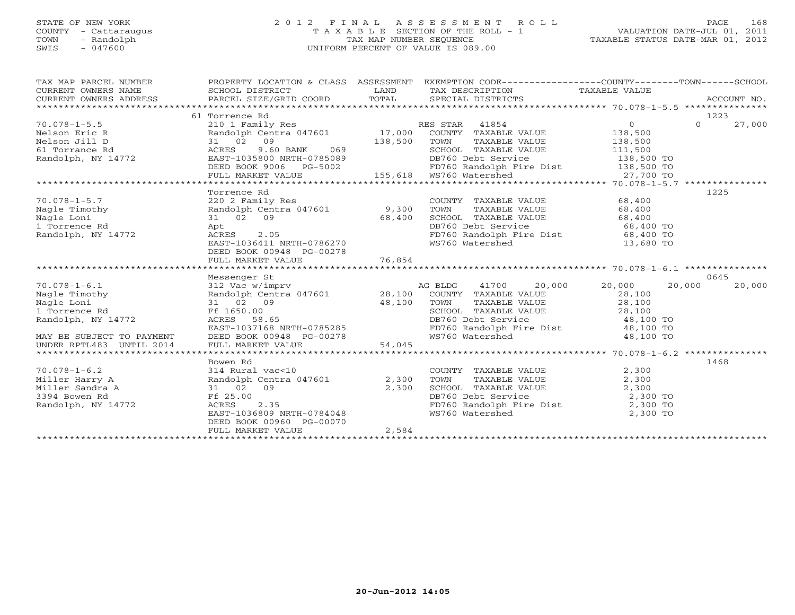# STATE OF NEW YORK 2 0 1 2 F I N A L A S S E S S M E N T R O L L PAGE 168 COUNTY - Cattaraugus T A X A B L E SECTION OF THE ROLL - 1 VALUATION DATE-JUL 01, 2011 TOWN - Randolph TAX MAP NUMBER SEQUENCE TAXABLE STATUS DATE-MAR 01, 2012 SWIS - 047600 UNIFORM PERCENT OF VALUE IS 089.00UNIFORM PERCENT OF VALUE IS 089.00

| TAX MAP PARCEL NUMBER                                                                                                                                                                                                                         |                                                                                                        |       | PROPERTY LOCATION & CLASS ASSESSMENT EXEMPTION CODE----------------COUNTY-------TOWN------SCHOOL                                                                                                             |        |                    |
|-----------------------------------------------------------------------------------------------------------------------------------------------------------------------------------------------------------------------------------------------|--------------------------------------------------------------------------------------------------------|-------|--------------------------------------------------------------------------------------------------------------------------------------------------------------------------------------------------------------|--------|--------------------|
| CURRENT OWNERS ADDRESS                                                                                                                                                                                                                        |                                                                                                        |       |                                                                                                                                                                                                              |        |                    |
|                                                                                                                                                                                                                                               | 61 Torrence Rd                                                                                         |       |                                                                                                                                                                                                              |        | 1223               |
| 70.078-1-5.5<br>Nelson Eric R<br>Nelson Eric R<br>Nelson Jill D<br>31 02 09<br>ACRES 9.60 BANK 069 138,500 TOWN TAXABLE VALUE 138,500<br>Randolph, NY 14772 EAST-1035800 NRTH-0785089<br>Randolph, NY 14772 EAST-1035800 NRTH-0785089<br>Rand |                                                                                                        |       |                                                                                                                                                                                                              |        | $\Omega$<br>27,000 |
|                                                                                                                                                                                                                                               |                                                                                                        |       |                                                                                                                                                                                                              |        |                    |
|                                                                                                                                                                                                                                               |                                                                                                        |       |                                                                                                                                                                                                              |        |                    |
|                                                                                                                                                                                                                                               |                                                                                                        |       |                                                                                                                                                                                                              |        |                    |
|                                                                                                                                                                                                                                               |                                                                                                        |       |                                                                                                                                                                                                              |        |                    |
|                                                                                                                                                                                                                                               |                                                                                                        |       |                                                                                                                                                                                                              |        |                    |
| Nelson Eric R<br>Nelson Jill D<br>31 02 09 138,500 TONN TAXABLE VALUE<br>42 2 09 138,500 TONN NY 14772<br>EAST-1035800 NRTH-0785089<br>DEED BOOK 9006 PG-5002 FD760 Randolph Fire Dist 138,500 TO<br>FULL MARKET VALUE 155,618 WS760 Water    |                                                                                                        |       |                                                                                                                                                                                                              |        |                    |
|                                                                                                                                                                                                                                               |                                                                                                        |       |                                                                                                                                                                                                              |        |                    |
| $70.078 - 1 - 5.7$                                                                                                                                                                                                                            | Torrence Rd                                                                                            |       |                                                                                                                                                                                                              |        | 1225               |
|                                                                                                                                                                                                                                               | 220 2 Family Res<br>Randolph Centra 047601 9,300                                                       |       | COUNTY TAXABLE VALUE 68,400<br>TAXABLE VALUE 68,400<br>TOWN                                                                                                                                                  |        |                    |
| Nagle Timothy<br>Nagle Loni<br>1 Torronce Pd                                                                                                                                                                                                  |                                                                                                        |       |                                                                                                                                                                                                              |        |                    |
|                                                                                                                                                                                                                                               |                                                                                                        |       |                                                                                                                                                                                                              |        |                    |
| Nagle Loni<br>1 Torrence Rd<br>Randolph, NY 14772                                                                                                                                                                                             | 31 02 09 68,400<br>Apt 68,400<br>ACRES 2.05                                                            |       | SCHOOL TAXABLE VALUE 68,400<br>DB760 Debt Service 68,400 TO<br>FD760 Randolph Fire Dist 68,400 TO                                                                                                            |        |                    |
|                                                                                                                                                                                                                                               | EAST-1036411 NRTH-0786270                                                                              |       | WS760 Watershed 13,680 TO                                                                                                                                                                                    |        |                    |
|                                                                                                                                                                                                                                               | DEED BOOK 00948 PG-00278                                                                               |       |                                                                                                                                                                                                              |        |                    |
|                                                                                                                                                                                                                                               |                                                                                                        |       |                                                                                                                                                                                                              |        |                    |
|                                                                                                                                                                                                                                               |                                                                                                        |       |                                                                                                                                                                                                              |        |                    |
|                                                                                                                                                                                                                                               | Messenger St                                                                                           |       |                                                                                                                                                                                                              |        | 0645               |
| Nagle Timothy<br>Nagle Timothy<br>Nagle Loni<br>1 Torrence Rd<br>Randolph, NY 14772<br>Randolph, NY 14772<br>ACRES 58.                                                                                                                        |                                                                                                        |       | Messenger St<br>312 Vac w/imprv<br>Randolph Centra 047601 28,100 COUNTY TAXABLE VALUE VALUE 28,100                                                                                                           | 20,000 | 20,000             |
|                                                                                                                                                                                                                                               |                                                                                                        |       |                                                                                                                                                                                                              |        |                    |
|                                                                                                                                                                                                                                               | 31 02 09<br>Ff 1650.00<br>RES 58.65<br>EAST-1037168 NRTH-0785285<br>EAST-1037168 NRTH-0785285<br>FD760 |       |                                                                                                                                                                                                              |        |                    |
|                                                                                                                                                                                                                                               |                                                                                                        |       |                                                                                                                                                                                                              |        |                    |
|                                                                                                                                                                                                                                               |                                                                                                        |       |                                                                                                                                                                                                              |        |                    |
|                                                                                                                                                                                                                                               |                                                                                                        |       |                                                                                                                                                                                                              |        |                    |
| MAY BE SUBJECT TO PAYMENT                                                                                                                                                                                                                     |                                                                                                        |       | TOWN TAXABLE VALUE<br>SCHOOL TAXABLE VALUE<br>SCHOOL TAXABLE VALUE<br>DB760 Debt Service<br>FD760 Randolph Fire Dist<br>WS760 Watershed<br>A8,100 TO<br>WS760 Watershed<br>A8,100 TO                         |        |                    |
|                                                                                                                                                                                                                                               |                                                                                                        |       |                                                                                                                                                                                                              |        |                    |
|                                                                                                                                                                                                                                               | Bowen Rd                                                                                               |       |                                                                                                                                                                                                              |        | 1468               |
| 70.078-1-6.2<br>Miller Harry A<br>Miller Sandra A<br>Miller Sandra A<br>31 02 09<br>3394 Bowen Rd<br>Randolph, NY 14772<br>Randolph, NY 14772<br>$R = 5.00$<br>Randolph, NY 14772<br>$R = 5.00$<br>RAST-1036809 NRTH-0784048                  |                                                                                                        |       | COUNTY TAXABLE VALUE $2,300$<br>TOWN TAXABLE VALUE $2,300$<br>SCHOOL TAXABLE VALUE $2,300$<br>DB760 Debt Service $2,300$ TO<br>FD760 Randolph Fire Dist $2,300$ TO<br>WS760 Watershed $2,300$ TO<br>2,300 TO |        |                    |
|                                                                                                                                                                                                                                               |                                                                                                        | 2,300 |                                                                                                                                                                                                              |        |                    |
|                                                                                                                                                                                                                                               |                                                                                                        |       |                                                                                                                                                                                                              |        |                    |
|                                                                                                                                                                                                                                               |                                                                                                        |       |                                                                                                                                                                                                              |        |                    |
|                                                                                                                                                                                                                                               |                                                                                                        |       |                                                                                                                                                                                                              |        |                    |
|                                                                                                                                                                                                                                               |                                                                                                        |       |                                                                                                                                                                                                              |        |                    |
|                                                                                                                                                                                                                                               | DEED BOOK 00960 PG-00070                                                                               |       |                                                                                                                                                                                                              |        |                    |
|                                                                                                                                                                                                                                               | FULL MARKET VALUE                                                                                      | 2,584 |                                                                                                                                                                                                              |        |                    |
|                                                                                                                                                                                                                                               |                                                                                                        |       |                                                                                                                                                                                                              |        |                    |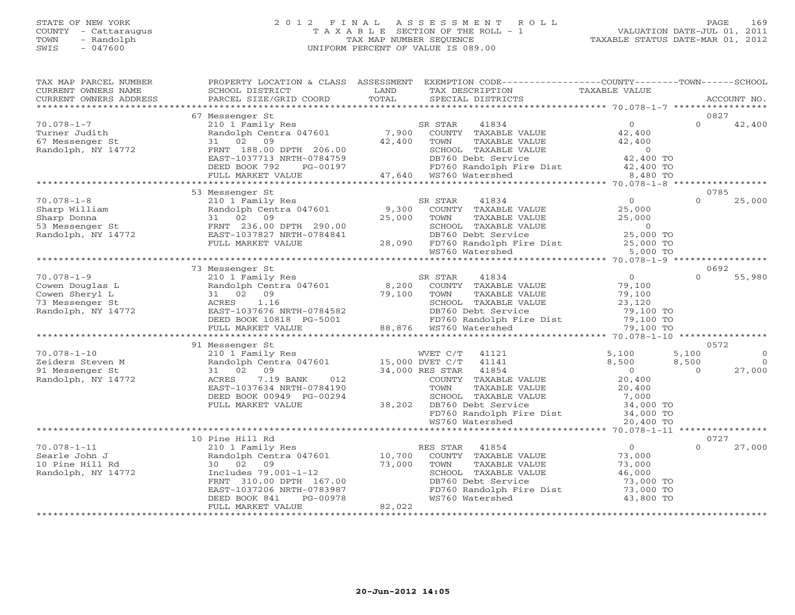# STATE OF NEW YORK 2 0 1 2 F I N A L A S S E S S M E N T R O L L PAGE 169 COUNTY - Cattaraugus T A X A B L E SECTION OF THE ROLL - 1 VALUATION DATE-JUL 01, 2011 TOWN - Randolph TAX MAP NUMBER SEQUENCE TAXABLE STATUS DATE-MAR 01, 2012 SWIS - 047600 UNIFORM PERCENT OF VALUE IS 089.00UNIFORM PERCENT OF VALUE IS 089.00

| TAX MAP PARCEL NUMBER<br>CURRENT OWNERS NAME<br>CURRENT OWNERS ADDRESS                                                                                                   | PROPERTY LOCATION & CLASS ASSESSMENT<br>SCHOOL DISTRICT<br>PARCEL SIZE/GRID COORD                        | LAND<br>TOTAL   | EXEMPTION CODE-----------------COUNTY-------TOWN------SCHOOL<br>TAX DESCRIPTION<br>SPECIAL DISTRICTS                                                                                       | TAXABLE VALUE                                         | ACCOUNT NO.                         |
|--------------------------------------------------------------------------------------------------------------------------------------------------------------------------|----------------------------------------------------------------------------------------------------------|-----------------|--------------------------------------------------------------------------------------------------------------------------------------------------------------------------------------------|-------------------------------------------------------|-------------------------------------|
| **************************                                                                                                                                               |                                                                                                          |                 |                                                                                                                                                                                            |                                                       |                                     |
|                                                                                                                                                                          | 67 Messenger St                                                                                          |                 |                                                                                                                                                                                            |                                                       | 0827                                |
| $70.078 - 1 - 7$<br>Turner Judith<br>67 Messenger St<br>Randolph, NY 14772                                                                                               | 210 1 Family Res<br>210 1 Family Res<br>Randolph Centra 047601<br>31 02<br>09<br>FRNT 188.00 DPTH 206.00 | 7,900<br>42,400 | SR STAR<br>41834<br>COUNTY TAXABLE VALUE<br>TAXABLE VALUE<br>TOWN                                                                                                                          | $\overline{0}$<br>42,400<br>42,400                    | $\Omega$<br>42,400                  |
|                                                                                                                                                                          | EAST-1037713 NRTH-0784759<br>DEED BOOK 792<br>PG-00197<br>FULL MARKET VALUE                              |                 | SCHOOL TAXABLE VALUE 0<br>DB760 Debt Service 42,400 TO<br>FD760 Randolph Fire Dist 42,400 TO<br>WS760 Watershed 8,480 TO<br>DB/60 Debt Servi<br>FD760 Randolph F<br>47,640 WS760 Watershed | $\begin{array}{c} 0 \\ 42,400 \text{ TO} \end{array}$ |                                     |
|                                                                                                                                                                          |                                                                                                          |                 |                                                                                                                                                                                            |                                                       |                                     |
|                                                                                                                                                                          | 53 Messenger St                                                                                          |                 |                                                                                                                                                                                            |                                                       | 0785                                |
| $70.078 - 1 - 8$                                                                                                                                                         | 210 1 Family Res                                                                                         |                 | SR STAR<br>41834                                                                                                                                                                           | $\overline{0}$                                        | $\Omega$<br>25,000                  |
| Sharp William<br>Sharp William Randolph Centra 047601<br>Sharp Donna 31 02 09<br>53 Messenger St FRNT 236.00 DPTH 290.00<br>Randolph, NY 14772 EAST-1037827 NRTH-0784841 | Randolph Centra 047601                                                                                   | 9,300<br>25,000 | COUNTY TAXABLE VALUE<br>TOWN<br>TAXABLE VALUE                                                                                                                                              | 25,000<br>25,000                                      |                                     |
|                                                                                                                                                                          |                                                                                                          |                 | SCHOOL TAXABLE VALUE                                                                                                                                                                       | $\overline{0}$<br>25,000 TO                           |                                     |
|                                                                                                                                                                          | FULL MARKET VALUE                                                                                        |                 | SCHOOL TAXABLE VALUE<br>1 DB760 Debt Service<br>28,090 FD760 Randolph Fire Dist<br>1 WS760 Watershed                                                                                       | $25,000$ TO<br>5,000 TO                               |                                     |
|                                                                                                                                                                          |                                                                                                          |                 |                                                                                                                                                                                            |                                                       |                                     |
|                                                                                                                                                                          | 73 Messenger St                                                                                          |                 |                                                                                                                                                                                            |                                                       | 0692                                |
| $70.078 - 1 - 9$                                                                                                                                                         | 210 1 Family Res                                                                                         |                 | SR STAR<br>41834                                                                                                                                                                           | $\overline{O}$                                        | $\Omega$<br>55,980                  |
| Cowen Douglas L<br>Cowen Sheryl L                                                                                                                                        | Randolph Centra 047601<br>31 02 09                                                                       | 8,200<br>79,100 | COUNTY TAXABLE VALUE<br>TOWN<br>TAXABLE VALUE                                                                                                                                              | 79,100<br>79,100                                      |                                     |
| 73 Messenger St                                                                                                                                                          | 1.16<br>ACRES                                                                                            |                 | SCHOOL TAXABLE VALUE                                                                                                                                                                       | 79,100<br>23,120                                      |                                     |
| Randolph, NY 14772                                                                                                                                                       |                                                                                                          |                 |                                                                                                                                                                                            | 79,100 TO                                             |                                     |
|                                                                                                                                                                          |                                                                                                          |                 | DB760 Debt Service<br>FD760 Randolph Fire Dist                                                                                                                                             | 79,100 TO                                             |                                     |
|                                                                                                                                                                          |                                                                                                          |                 | 88,876 WS760 Watershed                                                                                                                                                                     | 79,100 TO                                             |                                     |
|                                                                                                                                                                          |                                                                                                          |                 |                                                                                                                                                                                            |                                                       |                                     |
|                                                                                                                                                                          | 91 Messenger St                                                                                          |                 |                                                                                                                                                                                            |                                                       | 0572                                |
| $70.078 - 1 - 10$<br>Zeiders Steven M                                                                                                                                    | 210 1 Family Res<br>Randolph Centra 047601 15,000 DVET C/T                                               |                 | WVET C/T<br>41121<br>41141                                                                                                                                                                 | 5,100                                                 | $\Omega$<br>5,100<br>$\overline{0}$ |
| 91 Messenger St                                                                                                                                                          | 31 02 09                                                                                                 |                 | 34,000 RES STAR 41854                                                                                                                                                                      | 8,500<br>$\overline{0}$                               | 8,500<br>27,000<br>$\Omega$         |
| Randolph, NY 14772                                                                                                                                                       | 7.19 BANK<br>012<br>ACRES                                                                                |                 | COUNTY TAXABLE VALUE                                                                                                                                                                       | 20,400                                                |                                     |
|                                                                                                                                                                          | EAST-1037634 NRTH-0784190                                                                                |                 | TOWN<br>TAXABLE VALUE                                                                                                                                                                      | 20,400                                                |                                     |
|                                                                                                                                                                          | DEED BOOK 00949 PG-00294                                                                                 |                 | SCHOOL TAXABLE VALUE                                                                                                                                                                       | 20,400<br>7,000                                       |                                     |
|                                                                                                                                                                          | FULL MARKET VALUE                                                                                        |                 | DB760 Debt Service 34,000 TO<br>FD760 Randolph Fire Dist 34,000 TO<br>38,202 DB760 Debt Service                                                                                            |                                                       |                                     |
|                                                                                                                                                                          |                                                                                                          |                 |                                                                                                                                                                                            |                                                       |                                     |
|                                                                                                                                                                          |                                                                                                          |                 | WS760 Watershed                                                                                                                                                                            | 20,400 TO                                             |                                     |
|                                                                                                                                                                          | 10 Pine Hill Rd                                                                                          |                 |                                                                                                                                                                                            |                                                       | 0727                                |
| $70.078 - 1 - 11$                                                                                                                                                        | 210 1 Family Res                                                                                         |                 | RES STAR<br>41854                                                                                                                                                                          | $\overline{0}$                                        | $\Omega$<br>27,000                  |
| Searle John J                                                                                                                                                            | Randolph Centra 047601                                                                                   | 10,700          | COUNTY TAXABLE VALUE                                                                                                                                                                       | 73,000                                                |                                     |
| 10 Pine Hill Rd                                                                                                                                                          | 30 02 09                                                                                                 | 73,000          | TOWN<br>TAXABLE VALUE                                                                                                                                                                      | 73,000                                                |                                     |
| Randolph, NY 14772                                                                                                                                                       | Includes 79.001-1-12                                                                                     |                 | SCHOOL TAXABLE VALUE                                                                                                                                                                       | 46,000                                                |                                     |
|                                                                                                                                                                          | FRNT 310.00 DPTH 167.00                                                                                  |                 | DB760 Debt Service                                                                                                                                                                         | 73,000 TO                                             |                                     |
|                                                                                                                                                                          | EAST-1037206 NRTH-0783987                                                                                |                 | FD760 Randolph Fire Dist                                                                                                                                                                   | 73,000 TO                                             |                                     |
|                                                                                                                                                                          | PG-00978<br>DEED BOOK 841<br>FULL MARKET VALUE                                                           | 82,022          | WS760 Watershed                                                                                                                                                                            | 43,800 TO                                             |                                     |
|                                                                                                                                                                          |                                                                                                          |                 |                                                                                                                                                                                            |                                                       |                                     |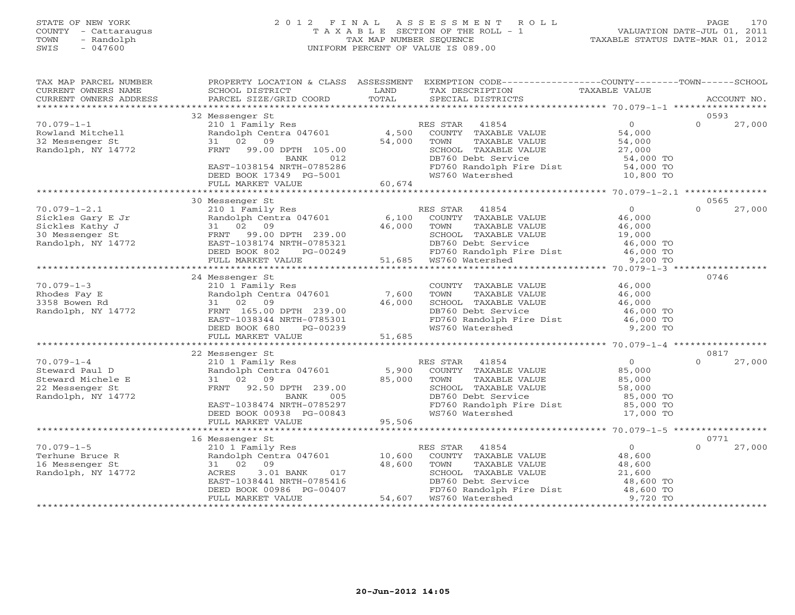# STATE OF NEW YORK 2 0 1 2 F I N A L A S S E S S M E N T R O L L PAGE 170 COUNTY - Cattaraugus T A X A B L E SECTION OF THE ROLL - 1 VALUATION DATE-JUL 01, 2011 TOWN - Randolph TAX MAP NUMBER SEQUENCE TAXABLE STATUS DATE-MAR 01, 2012 SWIS - 047600 UNIFORM PERCENT OF VALUE IS 089.00UNIFORM PERCENT OF VALUE IS 089.00

| TAX MAP PARCEL NUMBER<br>CURRENT OWNERS NAME<br>CURRENT OWNERS ADDRESS | PROPERTY LOCATION & CLASS ASSESSMENT<br>SCHOOL DISTRICT<br>PARCEL SIZE/GRID COORD | LAND<br>TOTAL | EXEMPTION CODE-----------------COUNTY-------TOWN------SCHOOL<br>TAX DESCRIPTION<br>SPECIAL DISTRICTS | TAXABLE VALUE         | ACCOUNT NO.                |
|------------------------------------------------------------------------|-----------------------------------------------------------------------------------|---------------|------------------------------------------------------------------------------------------------------|-----------------------|----------------------------|
| ***********************                                                |                                                                                   |               |                                                                                                      |                       |                            |
|                                                                        | 32 Messenger St                                                                   |               |                                                                                                      |                       | 0593                       |
| $70.079 - 1 - 1$                                                       | 210 1 Family Res                                                                  |               | RES STAR<br>41854                                                                                    | $\overline{O}$        | $\Omega$<br>27,000         |
| Rowland Mitchell                                                       | Randolph Centra 047601                                                            |               | 4,500 COUNTY TAXABLE VALUE                                                                           | 54,000                |                            |
| 32 Messenger St                                                        | 31 02 09                                                                          | 54,000        | TOWN<br>TAXABLE VALUE                                                                                | 54,000                |                            |
| Randolph, NY 14772                                                     | FRNT<br>99.00 DPTH 105.00                                                         |               | SCHOOL TAXABLE VALUE                                                                                 | 27,000                |                            |
|                                                                        | BANK<br>012                                                                       |               | DB760 Debt Service                                                                                   | 54,000 TO             |                            |
|                                                                        | EAST-1038154 NRTH-0785286                                                         |               | FD760 Randolph Fire Dist                                                                             | 54,000 TO             |                            |
|                                                                        | DEED BOOK 17349 PG-5001                                                           |               | WS760 Watershed                                                                                      | 10,800 TO             |                            |
|                                                                        | FULL MARKET VALUE                                                                 | 60,674        |                                                                                                      |                       |                            |
|                                                                        |                                                                                   |               |                                                                                                      |                       |                            |
|                                                                        | 30 Messenger St                                                                   |               |                                                                                                      |                       | 0565                       |
| $70.079 - 1 - 2.1$                                                     | 210 1 Family Res                                                                  |               | RES STAR<br>41854                                                                                    | $\overline{0}$        | $\Omega$<br>27,000         |
| Sickles Gary E Jr                                                      | Randolph Centra 047601                                                            | 6,100         | COUNTY TAXABLE VALUE                                                                                 | 46,000                |                            |
| Sickles Kathy J                                                        | 31 02 09                                                                          | 46,000        | TAXABLE VALUE<br>TOWN                                                                                | 46,000                |                            |
| 30 Messenger St                                                        | FRNT 99.00 DPTH 239.00                                                            |               | SCHOOL TAXABLE VALUE                                                                                 | 19,000                |                            |
| Randolph, NY 14772                                                     | EAST-1038174 NRTH-0785321<br>DEED BOOK 802<br>PG-00249                            |               | DB760 Debt Service<br>FD760 Randolph Fire Dist                                                       | 46,000 TO             |                            |
|                                                                        | FULL MARKET VALUE                                                                 | 51,685        | WS760 Watershed                                                                                      | 46,000 TO<br>9,200 TO |                            |
|                                                                        | *****************************                                                     |               |                                                                                                      |                       |                            |
|                                                                        | 24 Messenger St                                                                   |               |                                                                                                      |                       | 0746                       |
| $70.079 - 1 - 3$                                                       | 210 1 Family Res                                                                  |               | COUNTY TAXABLE VALUE                                                                                 | 46,000                |                            |
| Rhodes Fay E                                                           | Randolph Centra 047601                                                            | 7,600         | TOWN<br>TAXABLE VALUE                                                                                | 46,000                |                            |
| 3358 Bowen Rd                                                          | 31 02 09                                                                          | 46,000        | SCHOOL TAXABLE VALUE                                                                                 | 46,000                |                            |
| Randolph, NY 14772                                                     | FRNT 165.00 DPTH 239.00                                                           |               | DB760 Debt Service                                                                                   | 46,000 TO             |                            |
|                                                                        | EAST-1038344 NRTH-0785301                                                         |               | FD760 Randolph Fire Dist                                                                             | 46,000 TO             |                            |
|                                                                        | DEED BOOK 680<br>PG-00239                                                         |               | WS760 Watershed                                                                                      | 9,200 TO              |                            |
|                                                                        | FULL MARKET VALUE                                                                 | 51,685        |                                                                                                      |                       |                            |
|                                                                        |                                                                                   |               |                                                                                                      |                       |                            |
|                                                                        | 22 Messenger St                                                                   |               |                                                                                                      |                       | 0817                       |
| $70.079 - 1 - 4$                                                       | 210 1 Family Res                                                                  |               | RES STAR 41854                                                                                       | $\overline{0}$        | 27,000<br>$\Omega$         |
| Steward Paul D                                                         | Randolph Centra 047601                                                            | 5,900         | COUNTY TAXABLE VALUE                                                                                 | 85,000                |                            |
| Steward Michele E                                                      | 31 02 09                                                                          | 85,000        | TOWN<br>TAXABLE VALUE                                                                                | 85,000                |                            |
| 22 Messenger St                                                        | FRNT 92.50 DPTH 239.00                                                            |               | SCHOOL TAXABLE VALUE                                                                                 | 58,000                |                            |
| Randolph, NY 14772                                                     | BANK<br>005                                                                       |               | DB760 Debt Service                                                                                   | 85,000 TO             |                            |
|                                                                        | EAST-1038474 NRTH-0785297                                                         |               | FD760 Randolph Fire Dist                                                                             | 85,000 TO             |                            |
|                                                                        | DEED BOOK 00938 PG-00843                                                          |               | WS760 Watershed                                                                                      | 17,000 TO             |                            |
|                                                                        | FULL MARKET VALUE<br>************************                                     | 95,506        |                                                                                                      |                       |                            |
|                                                                        |                                                                                   |               |                                                                                                      |                       |                            |
| $70.079 - 1 - 5$                                                       | 16 Messenger St                                                                   |               | RES STAR<br>41854                                                                                    | $\overline{0}$        | 0771<br>27,000<br>$\Omega$ |
| Terhune Bruce R                                                        | 210 1 Family Res<br>Randolph Centra 047601 10,600                                 |               | COUNTY TAXABLE VALUE                                                                                 | 48,600                |                            |
| 16 Messenger St                                                        | 09<br>31 02                                                                       | 48,600        | TAXABLE VALUE<br>TOWN                                                                                | 48,600                |                            |
| Randolph, NY 14772                                                     | 3.01 BANK<br>017<br>ACRES                                                         |               | SCHOOL TAXABLE VALUE                                                                                 | 21,600                |                            |
|                                                                        | EAST-1038441 NRTH-0785416                                                         |               | DB760 Debt Service                                                                                   | 48,600 TO             |                            |
|                                                                        | DEED BOOK 00986 PG-00407                                                          |               | FD760 Randolph Fire Dist                                                                             | 48,600 TO             |                            |
|                                                                        | FULL MARKET VALUE                                                                 | 54,607        | WS760 Watershed                                                                                      | 9,720 TO              |                            |
|                                                                        |                                                                                   |               |                                                                                                      |                       |                            |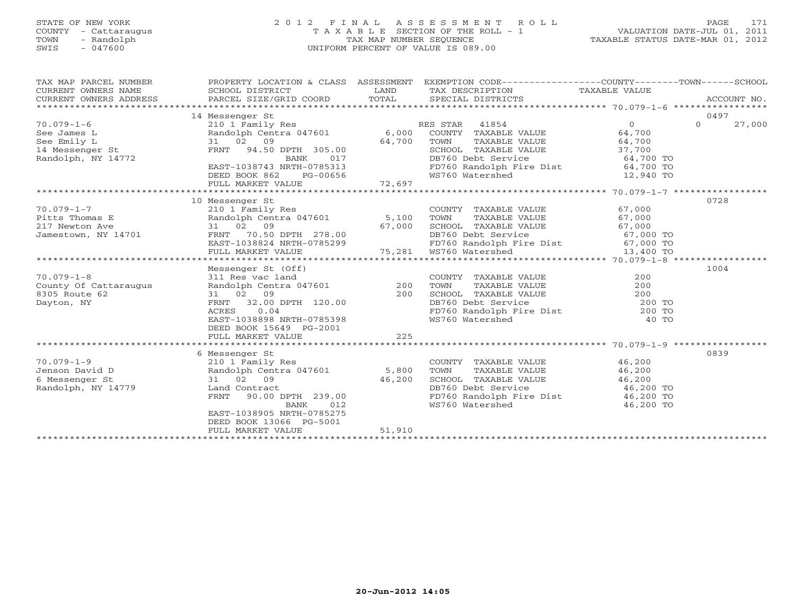# STATE OF NEW YORK 2 0 1 2 F I N A L A S S E S S M E N T R O L L PAGE 171 COUNTY - Cattaraugus T A X A B L E SECTION OF THE ROLL - 1 VALUATION DATE-JUL 01, 2011 TOWN - Randolph TAX MAP NUMBER SEQUENCE TAXABLE STATUS DATE-MAR 01, 2012 SWIS - 047600 UNIFORM PERCENT OF VALUE IS 089.00UNIFORM PERCENT OF VALUE IS 089.00

| TAX MAP PARCEL NUMBER<br>CURRENT OWNERS NAME<br>CURRENT OWNERS ADDRESS                          | PROPERTY LOCATION & CLASS ASSESSMENT<br>SCHOOL DISTRICT<br>PARCEL SIZE/GRID COORD                                                                                                                    | LAND<br>TOTAL             | EXEMPTION CODE-----------------COUNTY-------TOWN------SCHOOL<br>TAX DESCRIPTION TAXABLE VALUE<br>SPECIAL DISTRICTS                                                                                 |                                                                              | ACCOUNT NO.                |
|-------------------------------------------------------------------------------------------------|------------------------------------------------------------------------------------------------------------------------------------------------------------------------------------------------------|---------------------------|----------------------------------------------------------------------------------------------------------------------------------------------------------------------------------------------------|------------------------------------------------------------------------------|----------------------------|
| $70.079 - 1 - 6$<br>See James L<br>See Emily L<br>14 Messenger St<br>Randolph, NY 14772         | 14 Messenger St<br>210 1 Family Res<br>Randolph Centra 047601<br>31 02 09<br>FRNT<br>94.50 DPTH 305.00<br>BANK<br>017<br>EAST-1038743 NRTH-0785313<br>DEED BOOK 862<br>PG-00656<br>FULL MARKET VALUE | 6,000<br>64,700<br>72,697 | RES STAR 41854<br>COUNTY TAXABLE VALUE<br>TAXABLE VALUE<br>TOWN<br>SCHOOL TAXABLE VALUE 37,700<br>DB760 Debt Service<br>FD760 Randolph Fire Dist<br>WS760 Watershed                                | $0 \qquad \qquad$<br>64,700<br>64,700<br>64,700 TO<br>64,700 TO<br>12,940 TO | 0497<br>$\Omega$<br>27,000 |
|                                                                                                 |                                                                                                                                                                                                      |                           |                                                                                                                                                                                                    |                                                                              |                            |
| $70.079 - 1 - 7$<br>Pitts Thomas E<br>217 Newton Ave<br>Jamestown, NY 14701<br>$70.079 - 1 - 8$ | 10 Messenger St<br>210 1 Family Res<br>Randolph Centra 047601 5,100<br>31 02 09<br>70.50 DPTH 278.00<br>FRNT<br>FULL MARKET VALUE<br>Messenger St (Off)<br>311 Res vac land                          | 67,000                    | COUNTY TAXABLE VALUE<br>TOWN<br>TAXABLE VALUE<br>TOWN 11444-<br>SCHOOL TAXABLE VALUE<br>22360 Dobt Service<br>FD760 Randolph Fire Dist 67,000 TO<br>75,281 WS760 Watershed<br>COUNTY TAXABLE VALUE | 67,000<br>67,000<br>67,000<br>67,000 TO<br>13,400 TO<br>200                  | 0728<br>1004               |
| County Of Cattaraugus<br>8305 Route 62<br>Dayton, NY                                            | Randolph Centra 047601<br>31 02 09<br>32.00 DPTH 120.00<br>FRNT<br>0.04<br>ACRES<br>EAST-1038898 NRTH-0785398<br>DEED BOOK 15649 PG-2001<br>FULL MARKET VALUE                                        | 200<br>200<br>225         | TOWN<br>TAXABLE VALUE<br>SCHOOL TAXABLE VALUE 200<br>DB760 Debt Service 200 TO<br>FD760 Randolph Fire Dist 200 TO<br>WS760 Watershed                                                               | 200<br>40 TO                                                                 |                            |
|                                                                                                 | 6 Messenger St                                                                                                                                                                                       |                           |                                                                                                                                                                                                    |                                                                              | 0839                       |
| $70.079 - 1 - 9$<br>Jenson David D<br>6 Messenger St<br>Randolph, NY 14779                      | 210 1 Family Res<br>Randolph Centra 047601<br>31 02 09<br>Land Contract<br>90.00 DPTH 239.00<br>FRNT<br><b>BANK</b><br>012<br>EAST-1038905 NRTH-0785275<br>DEED BOOK 13066 PG-5001                   | 5,800<br>46,200           | COUNTY TAXABLE VALUE<br>TOWN<br>TAXABLE VALUE<br>SCHOOL TAXABLE VALUE<br>DB760 Debt Service<br>FD760 Randolph Fire Dist 46,200 TO<br>WS760 Watershed                                               | 46,200<br>46,200<br>46,200<br>46,200 TO<br>46,200 TO                         |                            |
|                                                                                                 | FULL MARKET VALUE                                                                                                                                                                                    | 51,910                    |                                                                                                                                                                                                    |                                                                              |                            |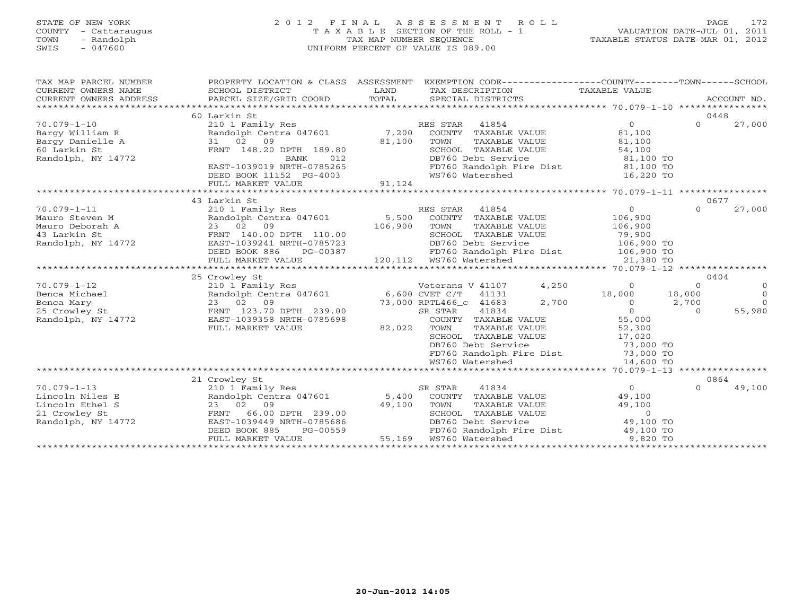# STATE OF NEW YORK 2 0 1 2 F I N A L A S S E S S M E N T R O L L PAGE 172 COUNTY - Cattaraugus T A X A B L E SECTION OF THE ROLL - 1 VALUATION DATE-JUL 01, 2011 TOWN - Randolph TAX MAP NUMBER SEQUENCE TAXABLE STATUS DATE-MAR 01, 2012 SWIS - 047600 UNIFORM PERCENT OF VALUE IS 089.00UNIFORM PERCENT OF VALUE IS 089.00

| TAX MAP PARCEL NUMBER<br>CURRENT OWNERS NAME<br>CURRENT OWNERS ADDRESS | PROPERTY LOCATION & CLASS ASSESSMENT<br>SCHOOL DISTRICT<br>PARCEL SIZE/GRID COORD | LAND<br>TOTAL  | EXEMPTION CODE-----------------COUNTY-------TOWN------SCHOOL<br>TAX DESCRIPTION TAXABLE VALUE<br>SPECIAL DISTRICTS |                |          | ACCOUNT NO.    |
|------------------------------------------------------------------------|-----------------------------------------------------------------------------------|----------------|--------------------------------------------------------------------------------------------------------------------|----------------|----------|----------------|
|                                                                        | 60 Larkin St                                                                      |                |                                                                                                                    |                |          | 0448           |
| $70.079 - 1 - 10$                                                      | 210 1 Family Res                                                                  |                | RES STAR<br>41854                                                                                                  | $\Omega$       | $\Omega$ | 27,000         |
| Bargy William R                                                        | Randolph Centra 047601                                                            | 7,200          | COUNTY TAXABLE VALUE                                                                                               | 81,100         |          |                |
| Barqy Danielle A                                                       | 31 02 09                                                                          | 81,100         | TOWN<br>TAXABLE VALUE                                                                                              | 81,100         |          |                |
| 60 Larkin St                                                           | FRNT 148.20 DPTH 189.80                                                           |                | SCHOOL TAXABLE VALUE                                                                                               | 54,100         |          |                |
| Randolph, NY 14772                                                     | BANK<br>012                                                                       |                | DB760 Debt Service                                                                                                 | 81,100 TO      |          |                |
|                                                                        | EAST-1039019 NRTH-0785265                                                         |                | FD760 Randolph Fire Dist                                                                                           | 81,100 TO      |          |                |
|                                                                        | DEED BOOK 11152 PG-4003                                                           |                | WS760 Watershed                                                                                                    | 16,220 TO      |          |                |
|                                                                        | FULL MARKET VALUE                                                                 | 91,124         |                                                                                                                    |                |          |                |
|                                                                        |                                                                                   |                |                                                                                                                    |                |          |                |
|                                                                        | 43 Larkin St                                                                      |                |                                                                                                                    |                |          | 0677           |
| $70.079 - 1 - 11$                                                      | 210 1 Family Res                                                                  |                | RES STAR<br>41854                                                                                                  | $\overline{0}$ | $\Omega$ | 27,000         |
| Mauro Steven M                                                         | Randolph Centra 047601                                                            | 5,500          | COUNTY TAXABLE VALUE                                                                                               | 106,900        |          |                |
| Mauro Deborah A                                                        | 23 02 09                                                                          | 106,900        | TOWN<br>TAXABLE VALUE                                                                                              | 106,900        |          |                |
| 43 Larkin St                                                           | FRNT 140.00 DPTH 110.00                                                           |                | SCHOOL TAXABLE VALUE                                                                                               | 79,900         |          |                |
| Randolph, NY 14772                                                     | EAST-1039241 NRTH-0785723                                                         |                | DB760 Debt Service                                                                                                 | 106,900 TO     |          |                |
|                                                                        | DEED BOOK 886<br>PG-00387                                                         |                | FD760 Randolph Fire Dist 106,900 TO                                                                                |                |          |                |
|                                                                        | FULL MARKET VALUE                                                                 |                |                                                                                                                    | 21,380 TO      |          |                |
|                                                                        |                                                                                   |                |                                                                                                                    |                |          |                |
|                                                                        | 25 Crowley St                                                                     |                |                                                                                                                    |                |          | 0404           |
| $70.079 - 1 - 12$                                                      | 210 1 Family Res                                                                  |                | 4,250<br>Veterans V 41107                                                                                          | $\Omega$       | $\Omega$ | $\circ$        |
| Benca Michael                                                          | Randolph Centra 047601                                                            | 6,600 CVET C/T | 41131                                                                                                              | 18,000         | 18,000   | $\overline{0}$ |
| Benca Mary                                                             | 23 02 09                                                                          |                | 2,700<br>73,000 RPTL466 c 41683                                                                                    | $\Omega$       | 2,700    | $\Omega$       |
| 25 Crowley St                                                          | FRNT 123.70 DPTH 239.00                                                           |                | 41834<br>SR STAR                                                                                                   | $\Omega$       | $\Omega$ | 55,980         |
| Randolph, NY 14772                                                     | EAST-1039358 NRTH-0785698                                                         |                | COUNTY TAXABLE VALUE                                                                                               | 55,000         |          |                |
|                                                                        | FULL MARKET VALUE                                                                 | 82,022         | TOWN<br>TAXABLE VALUE                                                                                              | 52,300         |          |                |
|                                                                        |                                                                                   |                | SCHOOL TAXABLE VALUE                                                                                               | 17,020         |          |                |
|                                                                        |                                                                                   |                | DB760 Debt Service                                                                                                 | 73,000 TO      |          |                |
|                                                                        |                                                                                   |                | FD760 Randolph Fire Dist                                                                                           | 73,000 TO      |          |                |
|                                                                        |                                                                                   |                | WS760 Watershed                                                                                                    | 14,600 TO      |          |                |
|                                                                        |                                                                                   |                |                                                                                                                    |                |          |                |
|                                                                        | 21 Crowley St                                                                     |                |                                                                                                                    |                |          | 0864           |
| $70.079 - 1 - 13$                                                      | 210 1 Family Res                                                                  |                | SR STAR<br>41834                                                                                                   | $\overline{0}$ | $\cap$   | 49,100         |
| Lincoln Niles E                                                        | Randolph Centra 047601                                                            | 5,400          | COUNTY TAXABLE VALUE                                                                                               | 49,100         |          |                |
| Lincoln Ethel S                                                        | 23 02 09                                                                          | 49,100         | TOWN<br>TAXABLE VALUE                                                                                              | 49,100         |          |                |
| 21 Crowley St                                                          | FRNT 66.00 DPTH 239.00                                                            |                | SCHOOL TAXABLE VALUE                                                                                               | $\circ$        |          |                |
| Randolph, NY 14772                                                     | EAST-1039449 NRTH-0785686                                                         |                | DB760 Debt Service                                                                                                 | 49,100 TO      |          |                |
|                                                                        | DEED BOOK 885<br>PG-00559                                                         |                | FD760 Randolph Fire Dist                                                                                           | 49,100 TO      |          |                |
|                                                                        | FULL MARKET VALUE                                                                 | 55,169         | WS760 Watershed                                                                                                    | 9,820 TO       |          |                |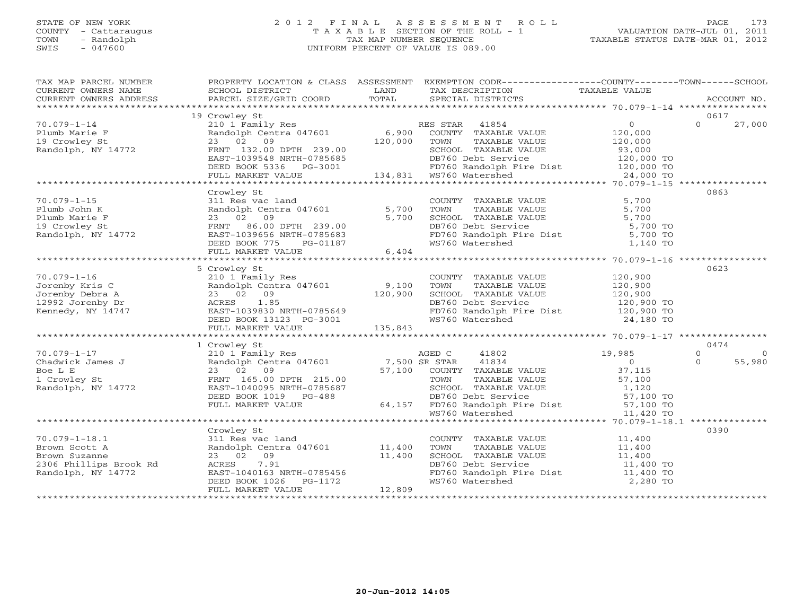# STATE OF NEW YORK 2 0 1 2 F I N A L A S S E S S M E N T R O L L PAGE 173 COUNTY - Cattaraugus T A X A B L E SECTION OF THE ROLL - 1 VALUATION DATE-JUL 01, 2011 TOWN - Randolph TAX MAP NUMBER SEQUENCE TAXABLE STATUS DATE-MAR 01, 2012 SWIS - 047600 UNIFORM PERCENT OF VALUE IS 089.00UNIFORM PERCENT OF VALUE IS 089.00

| SCHOOL DISTRICT                             |                                                                                                                                                |                 |                                                                                                                                                                                                                                                                                                                                                             |                                                                                                                                                                                                                                                                                                                                                                                                                                                                                                                                                                                                                                                                                                                                                                                                                                                                                                                                                                                                                                                                                                                                                                                                                                                                                                                                                                                                                                                                                                                                                                                                                                                                                                                                                   |
|---------------------------------------------|------------------------------------------------------------------------------------------------------------------------------------------------|-----------------|-------------------------------------------------------------------------------------------------------------------------------------------------------------------------------------------------------------------------------------------------------------------------------------------------------------------------------------------------------------|---------------------------------------------------------------------------------------------------------------------------------------------------------------------------------------------------------------------------------------------------------------------------------------------------------------------------------------------------------------------------------------------------------------------------------------------------------------------------------------------------------------------------------------------------------------------------------------------------------------------------------------------------------------------------------------------------------------------------------------------------------------------------------------------------------------------------------------------------------------------------------------------------------------------------------------------------------------------------------------------------------------------------------------------------------------------------------------------------------------------------------------------------------------------------------------------------------------------------------------------------------------------------------------------------------------------------------------------------------------------------------------------------------------------------------------------------------------------------------------------------------------------------------------------------------------------------------------------------------------------------------------------------------------------------------------------------------------------------------------------------|
|                                             |                                                                                                                                                |                 |                                                                                                                                                                                                                                                                                                                                                             |                                                                                                                                                                                                                                                                                                                                                                                                                                                                                                                                                                                                                                                                                                                                                                                                                                                                                                                                                                                                                                                                                                                                                                                                                                                                                                                                                                                                                                                                                                                                                                                                                                                                                                                                                   |
|                                             |                                                                                                                                                |                 |                                                                                                                                                                                                                                                                                                                                                             | 0617                                                                                                                                                                                                                                                                                                                                                                                                                                                                                                                                                                                                                                                                                                                                                                                                                                                                                                                                                                                                                                                                                                                                                                                                                                                                                                                                                                                                                                                                                                                                                                                                                                                                                                                                              |
|                                             |                                                                                                                                                |                 |                                                                                                                                                                                                                                                                                                                                                             | $\Omega$<br>27,000                                                                                                                                                                                                                                                                                                                                                                                                                                                                                                                                                                                                                                                                                                                                                                                                                                                                                                                                                                                                                                                                                                                                                                                                                                                                                                                                                                                                                                                                                                                                                                                                                                                                                                                                |
|                                             |                                                                                                                                                |                 |                                                                                                                                                                                                                                                                                                                                                             |                                                                                                                                                                                                                                                                                                                                                                                                                                                                                                                                                                                                                                                                                                                                                                                                                                                                                                                                                                                                                                                                                                                                                                                                                                                                                                                                                                                                                                                                                                                                                                                                                                                                                                                                                   |
|                                             |                                                                                                                                                |                 |                                                                                                                                                                                                                                                                                                                                                             | 0863                                                                                                                                                                                                                                                                                                                                                                                                                                                                                                                                                                                                                                                                                                                                                                                                                                                                                                                                                                                                                                                                                                                                                                                                                                                                                                                                                                                                                                                                                                                                                                                                                                                                                                                                              |
| 311 Res vac land<br>23 02 09                |                                                                                                                                                |                 |                                                                                                                                                                                                                                                                                                                                                             |                                                                                                                                                                                                                                                                                                                                                                                                                                                                                                                                                                                                                                                                                                                                                                                                                                                                                                                                                                                                                                                                                                                                                                                                                                                                                                                                                                                                                                                                                                                                                                                                                                                                                                                                                   |
|                                             |                                                                                                                                                |                 |                                                                                                                                                                                                                                                                                                                                                             |                                                                                                                                                                                                                                                                                                                                                                                                                                                                                                                                                                                                                                                                                                                                                                                                                                                                                                                                                                                                                                                                                                                                                                                                                                                                                                                                                                                                                                                                                                                                                                                                                                                                                                                                                   |
| 210 1 Family Res                            |                                                                                                                                                |                 |                                                                                                                                                                                                                                                                                                                                                             | 0623                                                                                                                                                                                                                                                                                                                                                                                                                                                                                                                                                                                                                                                                                                                                                                                                                                                                                                                                                                                                                                                                                                                                                                                                                                                                                                                                                                                                                                                                                                                                                                                                                                                                                                                                              |
|                                             |                                                                                                                                                |                 |                                                                                                                                                                                                                                                                                                                                                             | 0474                                                                                                                                                                                                                                                                                                                                                                                                                                                                                                                                                                                                                                                                                                                                                                                                                                                                                                                                                                                                                                                                                                                                                                                                                                                                                                                                                                                                                                                                                                                                                                                                                                                                                                                                              |
|                                             |                                                                                                                                                |                 |                                                                                                                                                                                                                                                                                                                                                             | $\circ$<br>$\Omega$                                                                                                                                                                                                                                                                                                                                                                                                                                                                                                                                                                                                                                                                                                                                                                                                                                                                                                                                                                                                                                                                                                                                                                                                                                                                                                                                                                                                                                                                                                                                                                                                                                                                                                                               |
|                                             |                                                                                                                                                |                 |                                                                                                                                                                                                                                                                                                                                                             | $\Omega$<br>55,980                                                                                                                                                                                                                                                                                                                                                                                                                                                                                                                                                                                                                                                                                                                                                                                                                                                                                                                                                                                                                                                                                                                                                                                                                                                                                                                                                                                                                                                                                                                                                                                                                                                                                                                                |
|                                             |                                                                                                                                                |                 |                                                                                                                                                                                                                                                                                                                                                             |                                                                                                                                                                                                                                                                                                                                                                                                                                                                                                                                                                                                                                                                                                                                                                                                                                                                                                                                                                                                                                                                                                                                                                                                                                                                                                                                                                                                                                                                                                                                                                                                                                                                                                                                                   |
| Crowley St<br>23 02 09<br>FULL MARKET VALUE |                                                                                                                                                | WS760 Watershed | 2,280 TO                                                                                                                                                                                                                                                                                                                                                    | 0390                                                                                                                                                                                                                                                                                                                                                                                                                                                                                                                                                                                                                                                                                                                                                                                                                                                                                                                                                                                                                                                                                                                                                                                                                                                                                                                                                                                                                                                                                                                                                                                                                                                                                                                                              |
|                                             | 19 Crowley St<br>Crowley St<br>5 Crowley St<br>70.079-1-18.1<br>Brown Scott A<br>Brown Suzanne<br>2306 Phillips Brook Rd<br>Randolph, NY 14772 | 12,809          | <b>LAND</b><br>311 Res vac land<br>Randolph Centra 047601 5,700<br>23 02 09 5,700<br>23 02 09 5,700<br>FRNT 86.00 DPTH 239.00<br>EAST-1039656 NRTH-0785683<br>DEED BOOK 775 PG-01187<br>FULL MARKET VALUE 6,404<br>311 Res vac land<br>Randolph Centra 047601 11,400<br>11,400<br>EAST-1040163 NRTH-0785456<br>DEED BOOK 1026 PG-1172<br>FULI MARKET WALLER | PROPERTY LOCATION & CLASS ASSESSMENT EXEMPTION CODE----------------COUNTY-------TOWN------SCHOOL<br>TAX DESCRIPTION TAXABLE VALUE<br>SPECIAL DISTRICTS<br>Crowley St<br>210 1 Family Res<br>Randolph Centra 047601 6,900 COUNTY TAXABLE VALUE<br>23 02 09 120,000 TOWN TAXABLE VALUE 120,000<br>FRNT 132.00 DPTH 239.00 SCHOOL TAXABLE VALUE 93,000<br>EAST-1039548 NRTH-0785685 DG-3001 BDF760 Ra<br>COUNTY TAXABLE VALUE 5,700<br>TOWN TAXABLE VALUE 5,700<br>SCHOOL TAXABLE VALUE 5,700<br>DB760 Debt Service 5,700<br>FD760 Randolph Fire Dist 5,700 TO<br>WS760 Watershed 1,140 TO<br>COUNTY TAXABLE VALUE 120,900<br>$\begin{tabular}{lllllllllllllllllllllll} \hline 70.079-1-16 & 210 & 1 Family Res & 120,900 \\ \hline Jorenby Reis C & Randolph Centra 047601 & 9,100 & TAXABLE VALUE & 120,900 \\ \hline Jorenby Debra A & 23 & 02 & 09 & 100 & TMXABLE VALUE & 120,900 \\ \hline 12992 Jorenby Dr & 23 & 23 & 02 & 09 & 185 \\ \hline 12094 & 14747 & EAST-1039830 NRTH-0785649 & 15$<br>$\begin{tabular}{l c c c c c c c c} \multicolumn{3}{c c c c} \multicolumn{3}{c c c c} \multicolumn{3}{c c c} \multicolumn{3}{c c c} \multicolumn{3}{c c c} \multicolumn{3}{c c c} \multicolumn{3}{c c c} \multicolumn{3}{c c c} \multicolumn{3}{c c c} \multicolumn{3}{c c c} \multicolumn{3}{c c c} \multicolumn{3}{c c c} \multicolumn{3}{c c c} \multicolumn{3}{c c c} \multicolumn{3}{c c$<br>$\begin{tabular}{lllllllll} \multicolumn{2}{c}{\textbf{COUNTY}} & \textbf{TAXABLE VALUE} & & & & 11,400 \\ \multicolumn{2}{c}{\textbf{TOWN}} & \textbf{TAXABLE VALUE} & & & 11,400 \end{tabular}$<br>TOWN TAXABLE VALUE $11,400$<br>SCHOOL TAXABLE VALUE $11,400$<br>DB760 Debt Service $11,400$ TO<br>FD760 Randolph Fire Dist 11,400 TO |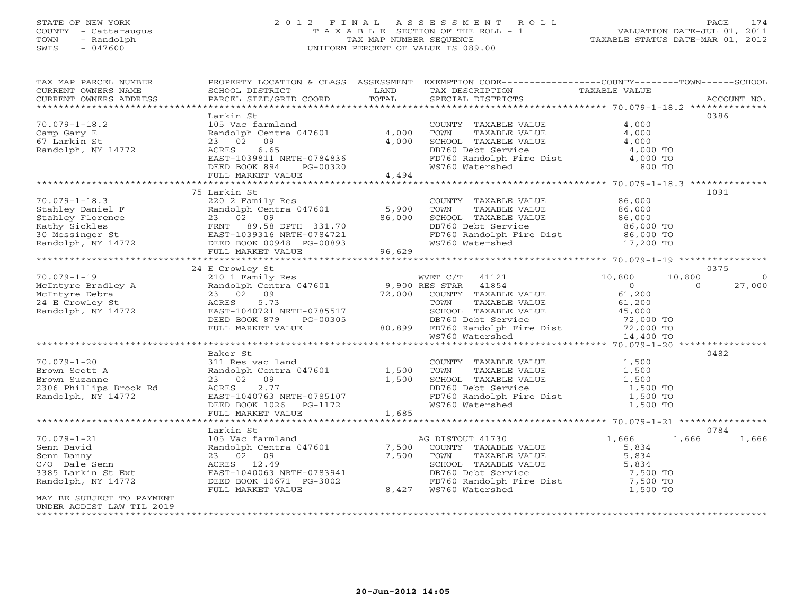# STATE OF NEW YORK 2 0 1 2 F I N A L A S S E S S M E N T R O L L PAGE 174 COUNTY - Cattaraugus T A X A B L E SECTION OF THE ROLL - 1 VALUATION DATE-JUL 01, 2011 TOWN - Randolph TAX MAP NUMBER SEQUENCE TAXABLE STATUS DATE-MAR 01, 2012 SWIS - 047600 UNIFORM PERCENT OF VALUE IS 089.00UNIFORM PERCENT OF VALUE IS 089.00

| TAX MAP PARCEL NUMBER                                                                                                                                                                                                                                                                                                                                         |                                                                                              |       | PROPERTY LOCATION & CLASS ASSESSMENT EXEMPTION CODE----------------COUNTY-------TOWN------SCHOOL                                                                                                                             |                      |                |
|---------------------------------------------------------------------------------------------------------------------------------------------------------------------------------------------------------------------------------------------------------------------------------------------------------------------------------------------------------------|----------------------------------------------------------------------------------------------|-------|------------------------------------------------------------------------------------------------------------------------------------------------------------------------------------------------------------------------------|----------------------|----------------|
| CURRENT OWNERS NAME                                                                                                                                                                                                                                                                                                                                           | SCHOOL DISTRICT                                                                              | LAND  | TAX DESCRIPTION                                                                                                                                                                                                              | <b>TAXABLE VALUE</b> |                |
|                                                                                                                                                                                                                                                                                                                                                               |                                                                                              |       |                                                                                                                                                                                                                              |                      |                |
|                                                                                                                                                                                                                                                                                                                                                               |                                                                                              |       |                                                                                                                                                                                                                              |                      |                |
|                                                                                                                                                                                                                                                                                                                                                               | Larkin St                                                                                    |       |                                                                                                                                                                                                                              |                      | 0386           |
| $70.079 - 1 - 18.2$                                                                                                                                                                                                                                                                                                                                           | Randolph Centra 047601 4,000<br>23 02 09 4,000<br>ACRES 6.65<br>ACRES 6.65                   |       | COUNTY TAXABLE VALUE                                                                                                                                                                                                         | 4,000                |                |
| Camp Gary E                                                                                                                                                                                                                                                                                                                                                   |                                                                                              |       |                                                                                                                                                                                                                              |                      |                |
| 67 Larkin St                                                                                                                                                                                                                                                                                                                                                  |                                                                                              |       |                                                                                                                                                                                                                              |                      |                |
| Randolph, NY 14772                                                                                                                                                                                                                                                                                                                                            |                                                                                              |       |                                                                                                                                                                                                                              |                      |                |
|                                                                                                                                                                                                                                                                                                                                                               |                                                                                              |       |                                                                                                                                                                                                                              |                      |                |
|                                                                                                                                                                                                                                                                                                                                                               | ACRES 6.65<br>EAST-1039811 NRTH-0784836<br>DEED BOOK 894 PG-00320<br>FULL MARKET VALUE 4,494 |       | TOWN TAXABLE VALUE 4,000<br>SCHOOL TAXABLE VALUE 4,000<br>DB760 Debt Service 4,000 TO<br>FD760 Randolph Fire Dist 4,000 TO<br>WS760 Watershed 800 TO                                                                         |                      |                |
|                                                                                                                                                                                                                                                                                                                                                               |                                                                                              |       |                                                                                                                                                                                                                              |                      |                |
|                                                                                                                                                                                                                                                                                                                                                               |                                                                                              |       |                                                                                                                                                                                                                              |                      |                |
|                                                                                                                                                                                                                                                                                                                                                               | 75 Larkin St                                                                                 |       |                                                                                                                                                                                                                              |                      | 1091           |
|                                                                                                                                                                                                                                                                                                                                                               |                                                                                              |       | COUNTY TAXABLE VALUE<br>COUNTY TAAADDE VALUE<br>TOWN TAXABLE VALUE 86,000<br>SCHOOL TAXABLE VALUE 86,000<br>ALUE 86,000<br>COUNTY TAXABLE VALUE 86,000                                                                       | 86,000               |                |
|                                                                                                                                                                                                                                                                                                                                                               |                                                                                              |       |                                                                                                                                                                                                                              |                      |                |
|                                                                                                                                                                                                                                                                                                                                                               |                                                                                              |       |                                                                                                                                                                                                                              |                      |                |
|                                                                                                                                                                                                                                                                                                                                                               |                                                                                              |       |                                                                                                                                                                                                                              | 86,000 TO            |                |
|                                                                                                                                                                                                                                                                                                                                                               |                                                                                              |       | FD760 Randolph Fire Dist 86,000 TO<br>WS760 Watershed 17,200 TO                                                                                                                                                              |                      |                |
|                                                                                                                                                                                                                                                                                                                                                               |                                                                                              |       |                                                                                                                                                                                                                              |                      |                |
| 70.079-1-18.3<br>Stahley Daniel F<br>Stahley Florence<br>Stahley Florence<br>Xathy Sickles<br>Text Base of Care and Care and Care and Care and Care and Care and Care and Care and Care and Care and Care and Care and Care and Care and                                                                                                                      |                                                                                              |       |                                                                                                                                                                                                                              |                      |                |
| $\begin{tabular}{lllllllllll} & $\text{0.079--1--19}$ & $\text{1.00019$} & $\text{2.100019}$ & $\text{2.100019}$ & $\text{2.100019}$ & $\text{2.100019}$ & $\text{2.100019}$ & $\text{2.100019}$ & $\text{2.100019}$ & $\text{2.100019}$ & $\text{2.100019}$ & $\text{2.100019}$ & $\text{2.100019}$ & $\text{2.100019}$ & $\text{2.100019}$ & $\text{2.1000$ |                                                                                              |       |                                                                                                                                                                                                                              |                      |                |
|                                                                                                                                                                                                                                                                                                                                                               |                                                                                              |       |                                                                                                                                                                                                                              |                      | 0375           |
|                                                                                                                                                                                                                                                                                                                                                               |                                                                                              |       | WVET $C/T$ 41121 10,800                                                                                                                                                                                                      | 10,800               | $\overline{0}$ |
|                                                                                                                                                                                                                                                                                                                                                               |                                                                                              |       |                                                                                                                                                                                                                              | $\sim$ 0<br>$\Omega$ | 27,000         |
|                                                                                                                                                                                                                                                                                                                                                               |                                                                                              |       |                                                                                                                                                                                                                              | 61,200               |                |
|                                                                                                                                                                                                                                                                                                                                                               |                                                                                              |       |                                                                                                                                                                                                                              | 61,200               |                |
|                                                                                                                                                                                                                                                                                                                                                               |                                                                                              |       |                                                                                                                                                                                                                              |                      |                |
|                                                                                                                                                                                                                                                                                                                                                               | DEED BOOK 879                                                                                |       |                                                                                                                                                                                                                              |                      |                |
|                                                                                                                                                                                                                                                                                                                                                               | FULL MARKET VALUE                                                                            |       |                                                                                                                                                                                                                              |                      |                |
|                                                                                                                                                                                                                                                                                                                                                               |                                                                                              |       | 1978 FRTH-0785517<br>PG-00305 BB760 DB760 Debt Service and the Mathematic CRT of the Mathematic CRT of the Mathematic CRT of the Mathematic<br>27,000 TO DB760 Randolph Fire Dist 72,000 TO MATHEM MS760 Watershed 14,400 TO |                      |                |
|                                                                                                                                                                                                                                                                                                                                                               |                                                                                              |       |                                                                                                                                                                                                                              |                      |                |
|                                                                                                                                                                                                                                                                                                                                                               | Baker St                                                                                     |       |                                                                                                                                                                                                                              |                      | 0482           |
| $70.079 - 1 - 20$                                                                                                                                                                                                                                                                                                                                             | 311 Res vac land                                                                             |       | COUNTY TAXABLE VALUE                                                                                                                                                                                                         | 1,500                |                |
| Brown Scott A                                                                                                                                                                                                                                                                                                                                                 | Randolph Centra 047601 1,500                                                                 |       |                                                                                                                                                                                                                              | 1,500                |                |
| Brown Suzanne                                                                                                                                                                                                                                                                                                                                                 | 23 02 09                                                                                     | 1,500 |                                                                                                                                                                                                                              | 1,500                |                |
|                                                                                                                                                                                                                                                                                                                                                               | 2.77<br>ACRES                                                                                |       |                                                                                                                                                                                                                              | 1,500 TO             |                |
| 2306 Phillips Brook Rd<br>Randolph, NY 14772                                                                                                                                                                                                                                                                                                                  |                                                                                              |       | TOWN TAXABLE VALUE<br>SCHOOL TAXABLE VALUE<br>DB760 Debt Service<br>FD760 Randolph Fire Dist<br>WS760 Watershed                                                                                                              | $1,500$ TO           |                |
|                                                                                                                                                                                                                                                                                                                                                               |                                                                                              |       |                                                                                                                                                                                                                              | 1,500 TO             |                |
|                                                                                                                                                                                                                                                                                                                                                               | ACRES 2.77<br>EAST-1040763 NRTH-0785107<br>DEED BOOK 1026 PG-1172<br>FULL MARKET VALUE 1,685 |       |                                                                                                                                                                                                                              |                      |                |
|                                                                                                                                                                                                                                                                                                                                                               |                                                                                              |       |                                                                                                                                                                                                                              |                      |                |
|                                                                                                                                                                                                                                                                                                                                                               | Larkin St                                                                                    |       |                                                                                                                                                                                                                              |                      | 0784           |
| $70.079 - 1 - 21$                                                                                                                                                                                                                                                                                                                                             | 105 Vac farmland                                                                             |       | AG DISTOUT 41730                                                                                                                                                                                                             | 1,666<br>1,666       | 1,666          |
| Senn David                                                                                                                                                                                                                                                                                                                                                    | Randolph Centra 047601 7,500                                                                 |       | COUNTY TAXABLE VALUE                                                                                                                                                                                                         | 5,834                |                |
| Senn Danny                                                                                                                                                                                                                                                                                                                                                    | 23 02 09                                                                                     | 7,500 |                                                                                                                                                                                                                              |                      |                |
| C/O Dale Senn                                                                                                                                                                                                                                                                                                                                                 | ACRES 12.49                                                                                  |       | TOWN TAXABLE VALUE<br>S. 834<br>SCHOOL TAXABLE VALUE<br>DB760 Debt Service<br>FD760 Randolph Fire Dist<br>WS760 Watershed<br>T, 500 TO<br>WS760 Watershed<br>T, 500 TO                                                       |                      |                |
| 3385 Larkin St Ext                                                                                                                                                                                                                                                                                                                                            | EAST-1040063 NRTH-0783941                                                                    |       |                                                                                                                                                                                                                              |                      |                |
| Randolph, NY 14772                                                                                                                                                                                                                                                                                                                                            | DEED BOOK 10671 PG-3002                                                                      |       |                                                                                                                                                                                                                              |                      |                |
|                                                                                                                                                                                                                                                                                                                                                               | FULL MARKET VALUE                                                                            |       | 8,427 WS760 Watershed                                                                                                                                                                                                        |                      |                |
| MAY BE SUBJECT TO PAYMENT                                                                                                                                                                                                                                                                                                                                     |                                                                                              |       |                                                                                                                                                                                                                              |                      |                |
| UNDER AGDIST LAW TIL 2019                                                                                                                                                                                                                                                                                                                                     |                                                                                              |       |                                                                                                                                                                                                                              |                      |                |
|                                                                                                                                                                                                                                                                                                                                                               |                                                                                              |       |                                                                                                                                                                                                                              |                      |                |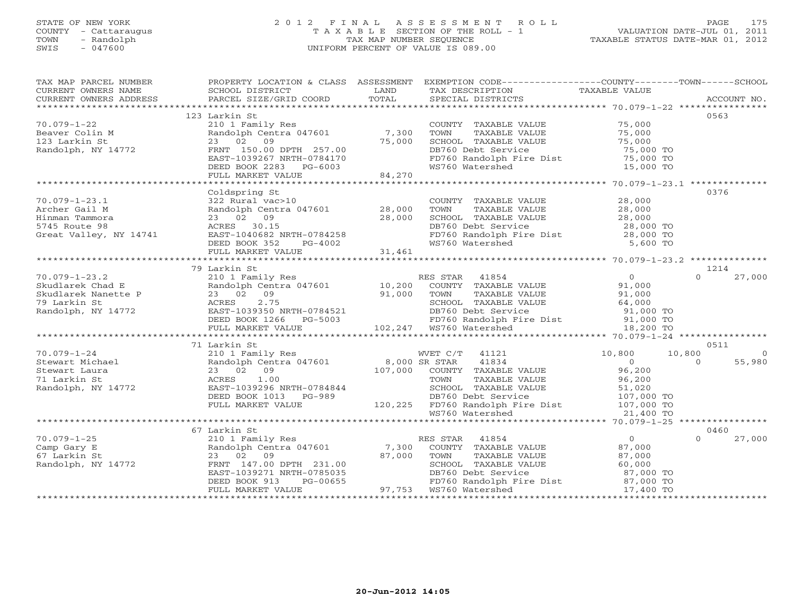# STATE OF NEW YORK 2 0 1 2 F I N A L A S S E S S M E N T R O L L PAGE 175 COUNTY - Cattaraugus T A X A B L E SECTION OF THE ROLL - 1 VALUATION DATE-JUL 01, 2011 TOWN - Randolph TAX MAP NUMBER SEQUENCE TAXABLE STATUS DATE-MAR 01, 2012 SWIS - 047600 UNIFORM PERCENT OF VALUE IS 089.00UNIFORM PERCENT OF VALUE IS 089.00

| TAX MAP PARCEL NUMBER<br>CURRENT OWNERS NAME                                                                                                                                                                                                                                                                                                                                                                                                                                                             | SCHOOL DISTRICT | PROPERTY LOCATION & CLASS ASSESSMENT EXEMPTION CODE----------------COUNTY-------TOWN------SCHOOL<br>LAND TAX DESCRIPTION TAXABLE VALUE                                                                         |                |                |
|----------------------------------------------------------------------------------------------------------------------------------------------------------------------------------------------------------------------------------------------------------------------------------------------------------------------------------------------------------------------------------------------------------------------------------------------------------------------------------------------------------|-----------------|----------------------------------------------------------------------------------------------------------------------------------------------------------------------------------------------------------------|----------------|----------------|
|                                                                                                                                                                                                                                                                                                                                                                                                                                                                                                          |                 |                                                                                                                                                                                                                |                |                |
|                                                                                                                                                                                                                                                                                                                                                                                                                                                                                                          | 123 Larkin St   |                                                                                                                                                                                                                | 0563           |                |
| 70.079-1-22<br>Beaver Colin M<br>123 Larkin St<br>Randolph, NY 14772<br>Randolph, NY 14772<br>ERNT 150.00 DPTH 257.00<br>ERST-1039267 NRTH-0784170<br>DEED BOOK 2283 PG-6003<br>THE MARKET VALUE<br>24,270<br>270                                                                                                                                                                                                                                                                                        |                 | COUNTY TAXABLE VALUE 75,000                                                                                                                                                                                    |                |                |
|                                                                                                                                                                                                                                                                                                                                                                                                                                                                                                          |                 |                                                                                                                                                                                                                |                |                |
|                                                                                                                                                                                                                                                                                                                                                                                                                                                                                                          |                 |                                                                                                                                                                                                                |                |                |
|                                                                                                                                                                                                                                                                                                                                                                                                                                                                                                          |                 |                                                                                                                                                                                                                |                |                |
|                                                                                                                                                                                                                                                                                                                                                                                                                                                                                                          |                 |                                                                                                                                                                                                                |                |                |
|                                                                                                                                                                                                                                                                                                                                                                                                                                                                                                          |                 |                                                                                                                                                                                                                |                |                |
|                                                                                                                                                                                                                                                                                                                                                                                                                                                                                                          |                 |                                                                                                                                                                                                                |                |                |
|                                                                                                                                                                                                                                                                                                                                                                                                                                                                                                          |                 |                                                                                                                                                                                                                |                |                |
|                                                                                                                                                                                                                                                                                                                                                                                                                                                                                                          | Coldspring St   |                                                                                                                                                                                                                | 0376           |                |
|                                                                                                                                                                                                                                                                                                                                                                                                                                                                                                          |                 |                                                                                                                                                                                                                |                |                |
|                                                                                                                                                                                                                                                                                                                                                                                                                                                                                                          |                 |                                                                                                                                                                                                                |                |                |
|                                                                                                                                                                                                                                                                                                                                                                                                                                                                                                          |                 |                                                                                                                                                                                                                |                |                |
|                                                                                                                                                                                                                                                                                                                                                                                                                                                                                                          |                 |                                                                                                                                                                                                                |                |                |
|                                                                                                                                                                                                                                                                                                                                                                                                                                                                                                          |                 | COUNTY TAXABLE VALUE<br>TOWN TAXABLE VALUE<br>SCHOOL TAXABLE VALUE<br>DB760 Debt Service<br>PD760 Randolph Fire Dist<br>WS760 Watershed<br>The Dist<br>S28,000 TO<br>NS760 Watershed<br>S5,600 TO<br>S5,600 TO |                |                |
|                                                                                                                                                                                                                                                                                                                                                                                                                                                                                                          |                 |                                                                                                                                                                                                                |                |                |
|                                                                                                                                                                                                                                                                                                                                                                                                                                                                                                          |                 |                                                                                                                                                                                                                |                |                |
|                                                                                                                                                                                                                                                                                                                                                                                                                                                                                                          | 79 Larkin St    |                                                                                                                                                                                                                | 1214           |                |
|                                                                                                                                                                                                                                                                                                                                                                                                                                                                                                          |                 |                                                                                                                                                                                                                |                |                |
|                                                                                                                                                                                                                                                                                                                                                                                                                                                                                                          |                 |                                                                                                                                                                                                                |                |                |
|                                                                                                                                                                                                                                                                                                                                                                                                                                                                                                          |                 |                                                                                                                                                                                                                |                |                |
|                                                                                                                                                                                                                                                                                                                                                                                                                                                                                                          |                 |                                                                                                                                                                                                                |                |                |
|                                                                                                                                                                                                                                                                                                                                                                                                                                                                                                          |                 |                                                                                                                                                                                                                |                |                |
|                                                                                                                                                                                                                                                                                                                                                                                                                                                                                                          |                 |                                                                                                                                                                                                                |                |                |
|                                                                                                                                                                                                                                                                                                                                                                                                                                                                                                          |                 |                                                                                                                                                                                                                |                |                |
| $\begin{tabular}{lcccc} \texttt{\textbf{7}} & \texttt{\textbf{7}} & \texttt{\textbf{7}} & \texttt{\textbf{1}} & \texttt{\textbf{1}} & \texttt{\textbf{1}} & \texttt{\textbf{1}} & \texttt{\textbf{1}} & \texttt{\textbf{1}} & \texttt{\textbf{1}} & \texttt{\textbf{1}} & \texttt{\textbf{1}} & \texttt{\textbf{1}} & \texttt{\textbf{1}} & \texttt{\textbf{1}} & \texttt{\textbf{1}} & \texttt{\textbf{1}} & \texttt{\textbf{1}} & \texttt{\textbf{1}} & \texttt{\textbf{1}} & \texttt{\textbf{1}} & \$ |                 |                                                                                                                                                                                                                | 0511           |                |
|                                                                                                                                                                                                                                                                                                                                                                                                                                                                                                          |                 |                                                                                                                                                                                                                | 10,800         | $\overline{0}$ |
|                                                                                                                                                                                                                                                                                                                                                                                                                                                                                                          |                 |                                                                                                                                                                                                                | $\overline{0}$ | 55,980         |
|                                                                                                                                                                                                                                                                                                                                                                                                                                                                                                          |                 |                                                                                                                                                                                                                |                |                |
|                                                                                                                                                                                                                                                                                                                                                                                                                                                                                                          |                 |                                                                                                                                                                                                                |                |                |
|                                                                                                                                                                                                                                                                                                                                                                                                                                                                                                          |                 |                                                                                                                                                                                                                |                |                |
|                                                                                                                                                                                                                                                                                                                                                                                                                                                                                                          |                 |                                                                                                                                                                                                                |                |                |
|                                                                                                                                                                                                                                                                                                                                                                                                                                                                                                          |                 |                                                                                                                                                                                                                |                |                |
|                                                                                                                                                                                                                                                                                                                                                                                                                                                                                                          |                 |                                                                                                                                                                                                                |                |                |
|                                                                                                                                                                                                                                                                                                                                                                                                                                                                                                          |                 |                                                                                                                                                                                                                |                |                |
|                                                                                                                                                                                                                                                                                                                                                                                                                                                                                                          | 67 Larkin St    |                                                                                                                                                                                                                | 0460           |                |
|                                                                                                                                                                                                                                                                                                                                                                                                                                                                                                          |                 |                                                                                                                                                                                                                |                | 27,000         |
|                                                                                                                                                                                                                                                                                                                                                                                                                                                                                                          |                 |                                                                                                                                                                                                                |                |                |
|                                                                                                                                                                                                                                                                                                                                                                                                                                                                                                          |                 |                                                                                                                                                                                                                |                |                |
|                                                                                                                                                                                                                                                                                                                                                                                                                                                                                                          |                 |                                                                                                                                                                                                                |                |                |
|                                                                                                                                                                                                                                                                                                                                                                                                                                                                                                          |                 |                                                                                                                                                                                                                |                |                |
|                                                                                                                                                                                                                                                                                                                                                                                                                                                                                                          |                 |                                                                                                                                                                                                                |                |                |
|                                                                                                                                                                                                                                                                                                                                                                                                                                                                                                          |                 |                                                                                                                                                                                                                |                |                |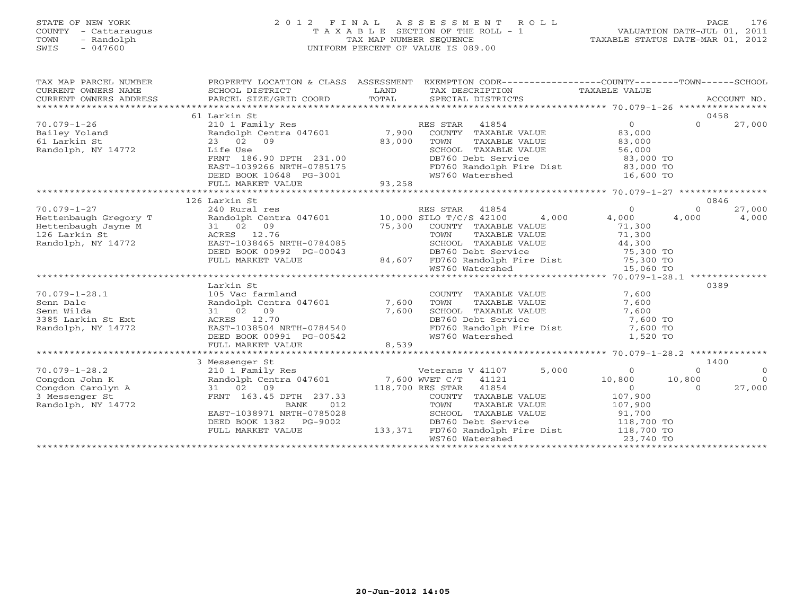# STATE OF NEW YORK 2 0 1 2 F I N A L A S S E S S M E N T R O L L PAGE 176 COUNTY - Cattaraugus T A X A B L E SECTION OF THE ROLL - 1 VALUATION DATE-JUL 01, 2011 TOWN - Randolph TAX MAP NUMBER SEQUENCE TAXABLE STATUS DATE-MAR 01, 2012 SWIS - 047600 UNIFORM PERCENT OF VALUE IS 089.00UNIFORM PERCENT OF VALUE IS 089.00

| 0458<br>61 Larkin St<br>$\Omega$<br>$70.079 - 1 - 26$<br>$\Omega$<br>27,000<br>210 1 Family Res<br>RES STAR 41854<br>Randolph Centra 047601 7,900<br>Bailey Yoland<br>COUNTY TAXABLE VALUE<br>83,000                                                                                                                                                                        |          |
|-----------------------------------------------------------------------------------------------------------------------------------------------------------------------------------------------------------------------------------------------------------------------------------------------------------------------------------------------------------------------------|----------|
|                                                                                                                                                                                                                                                                                                                                                                             |          |
|                                                                                                                                                                                                                                                                                                                                                                             |          |
|                                                                                                                                                                                                                                                                                                                                                                             |          |
| 61 Larkin St<br>23 02<br>09<br>83,000<br>TOWN<br>TAXABLE VALUE<br>83,000                                                                                                                                                                                                                                                                                                    |          |
| Randolph, NY 14772<br>Life Use<br>SCHOOL TAXABLE VALUE<br>56,000                                                                                                                                                                                                                                                                                                            |          |
| FRNT 186.90 DPTH 231.00<br>DB760 Debt Service<br>83,000 TO                                                                                                                                                                                                                                                                                                                  |          |
| FD760 Randolph Fire Dist 83,000 TO<br>EAST-1039266 NRTH-0785175                                                                                                                                                                                                                                                                                                             |          |
| WS760 Watershed<br>DEED BOOK 10648 PG-3001<br>16,600 TO                                                                                                                                                                                                                                                                                                                     |          |
| 93,258<br>FULL MARKET VALUE                                                                                                                                                                                                                                                                                                                                                 |          |
|                                                                                                                                                                                                                                                                                                                                                                             |          |
| 126 Larkin St<br>0846                                                                                                                                                                                                                                                                                                                                                       |          |
| $70.079 - 1 - 27$<br>RES STAR 41854<br>240 Rural res<br>$\circ$<br>27,000<br>$\circ$                                                                                                                                                                                                                                                                                        |          |
| Randolph Centra 047601 10,000 SILO T/C/S 42100<br>Hettenbaugh Gregory T<br>4,000<br>4,000<br>4,000<br>4,000                                                                                                                                                                                                                                                                 |          |
| 75,300<br>COUNTY TAXABLE VALUE<br>Hettenbaugh Jayne M<br>71,300                                                                                                                                                                                                                                                                                                             |          |
| 126 Larkin St<br>TOWN<br>71,300<br>TAXABLE VALUE                                                                                                                                                                                                                                                                                                                            |          |
| $\begin{array}{ccc}\n\lambda \text{r} \text{y} & \text{T} & & \text{1} & 02 & \text{v} \\ \text{a} & \text{M} & & & \text{31} & 02 & \text{v} \\ \text{ACRES} & & & 12.76 & \text{EAST} - 1038465 & & \text{EAST} - 1038465 & & \text{EAST} - 000 \text{K} & 00 \text{S}\n\end{array}$<br>Randolph, NY 14772<br>EAST-1038465 NRTH-0784085<br>SCHOOL TAXABLE VALUE<br>44,300 |          |
| DB760 Debt Service<br>75,300 TO<br>DEED BOOK 00992 PG-00043                                                                                                                                                                                                                                                                                                                 |          |
| 84,607<br>FD760 Randolph Fire Dist 75,300 TO<br>WS760 Watershed 15,060 TO<br>FULL MARKET VALUE                                                                                                                                                                                                                                                                              |          |
|                                                                                                                                                                                                                                                                                                                                                                             |          |
|                                                                                                                                                                                                                                                                                                                                                                             |          |
| Larkin St<br>0389                                                                                                                                                                                                                                                                                                                                                           |          |
| $70.079 - 1 - 28.1$<br>105 Vac farmland<br>COUNTY TAXABLE VALUE<br>7,600                                                                                                                                                                                                                                                                                                    |          |
| Randolph Centra 047601<br>7,600<br>Senn Dale<br>7,600<br>TOWN<br>TAXABLE VALUE<br>7,600<br>Senn Wilda<br>31 02 09<br>SCHOOL TAXABLE VALUE<br>7,600                                                                                                                                                                                                                          |          |
| DB760 Debt Service<br>ACRES 12.70<br>7,600 TO                                                                                                                                                                                                                                                                                                                               |          |
| 3385 Larkin St Ext<br>EAST-1038504 NRTH-0784540<br>Randolph, NY 14772<br>7,600 TO                                                                                                                                                                                                                                                                                           |          |
| FD760 Randolph Fire Dist<br>WS760 Watershed<br>WS760 Watershed<br>DEED BOOK 00991 PG-00542<br>1,520 TO                                                                                                                                                                                                                                                                      |          |
| FULL MARKET VALUE<br>8,539                                                                                                                                                                                                                                                                                                                                                  |          |
|                                                                                                                                                                                                                                                                                                                                                                             |          |
| 1400<br>3 Messenger St                                                                                                                                                                                                                                                                                                                                                      |          |
| 5,000<br>$70.079 - 1 - 28.2$<br>Veterans V 41107<br>$\circ$<br>210 1 Family Res<br>$\Omega$                                                                                                                                                                                                                                                                                 | $\Omega$ |
| Randolph Centra 047601 7,600 WVET C/T 41121<br>Congdon John K<br>10,800<br>10,800                                                                                                                                                                                                                                                                                           | $\Omega$ |
| 31 02 09<br>Congdon Carolyn A<br>118,700 RES STAR 41854<br>$\Omega$<br>27,000<br>$\Omega$                                                                                                                                                                                                                                                                                   |          |
| 3 Messenger St<br>FRNT 163.45 DPTH 237.33<br>COUNTY TAXABLE VALUE<br>107,900                                                                                                                                                                                                                                                                                                |          |
| Randolph, NY 14772<br>BANK<br>012<br>TOWN<br>TAXABLE VALUE<br>107,900                                                                                                                                                                                                                                                                                                       |          |
| EAST-1038971 NRTH-0785028<br>SCHOOL TAXABLE VALUE<br>91,700                                                                                                                                                                                                                                                                                                                 |          |
| DEED BOOK 1382<br>PG-9002<br>DB760 Debt Service<br>118,700 TO                                                                                                                                                                                                                                                                                                               |          |
| FD760 Randolph Fire Dist 118,700 TO<br>133,371<br>FULL MARKET VALUE                                                                                                                                                                                                                                                                                                         |          |
| WS760 Watershed<br>23,740 TO                                                                                                                                                                                                                                                                                                                                                |          |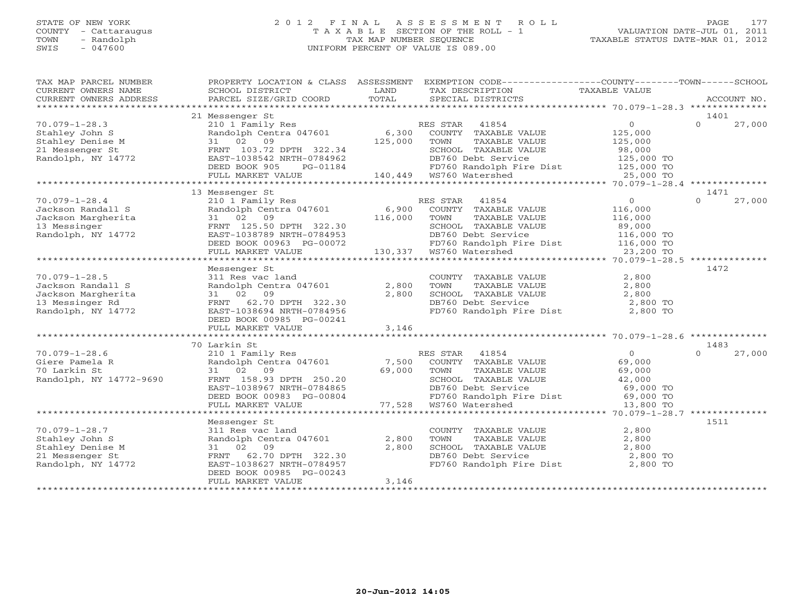# STATE OF NEW YORK 2 0 1 2 F I N A L A S S E S S M E N T R O L L PAGE 177 COUNTY - Cattaraugus T A X A B L E SECTION OF THE ROLL - 1 VALUATION DATE-JUL 01, 2011 TOWN - Randolph TAX MAP NUMBER SEQUENCE TAXABLE STATUS DATE-MAR 01, 2012 SWIS - 047600 UNIFORM PERCENT OF VALUE IS 089.00UNIFORM PERCENT OF VALUE IS 089.00

| TAX MAP PARCEL NUMBER                                 |                                                                                                             |        | PROPERTY LOCATION & CLASS ASSESSMENT EXEMPTION CODE----------------COUNTY-------TOWN------SCHOOL                                                                                                      |                                                         |                    |
|-------------------------------------------------------|-------------------------------------------------------------------------------------------------------------|--------|-------------------------------------------------------------------------------------------------------------------------------------------------------------------------------------------------------|---------------------------------------------------------|--------------------|
| CURRENT OWNERS NAME                                   | SCHOOL DISTRICT                                                                                             | LAND   | TAX DESCRIPTION TAXABLE VALUE                                                                                                                                                                         |                                                         |                    |
|                                                       |                                                                                                             |        |                                                                                                                                                                                                       |                                                         |                    |
|                                                       |                                                                                                             |        |                                                                                                                                                                                                       |                                                         |                    |
|                                                       | 21 Messenger St                                                                                             |        |                                                                                                                                                                                                       |                                                         | 1401               |
| $70.079 - 1 - 28.3$                                   | 210 1 Family Res                                                                                            |        | RES STAR 41854                                                                                                                                                                                        | $\overline{0}$                                          | $\Omega$<br>27,000 |
| Stahley John S                                        |                                                                                                             |        | Fandolph Centra 047601 6,300 COUNTY TAXABLE VALUE<br>31 02 09 125,000 TOWN TAXABLE VALUE                                                                                                              | $\begin{smallmatrix}&&&\cup\&125\end{smallmatrix}$ ,000 |                    |
| Stahley Denise M                                      |                                                                                                             |        | TAXABLE VALUE                                                                                                                                                                                         | 125,000                                                 |                    |
| 21 Messenger St                                       | FRNT 103.72 DPTH 322.34                                                                                     |        | SCHOOL TAXABLE VALUE<br>DB760 Debt Service                                                                                                                                                            | 98,000<br>125,000 TO                                    |                    |
| Randolph, NY 14772                                    | EAST-1038542 NRTH-0784962                                                                                   |        | DB760 Debt Service                                                                                                                                                                                    |                                                         |                    |
|                                                       | DEED BOOK 905<br>PG-01184                                                                                   |        | FD760 Randolph Fire Dist 125,000 TO<br>WS760 Watershed 25,000 TO                                                                                                                                      |                                                         |                    |
|                                                       | FULL MARKET VALUE                                                                                           |        |                                                                                                                                                                                                       |                                                         |                    |
|                                                       |                                                                                                             |        |                                                                                                                                                                                                       |                                                         |                    |
|                                                       | 13 Messenger St                                                                                             |        |                                                                                                                                                                                                       |                                                         | 1471               |
| $70.079 - 1 - 28.4$                                   | 210 1 Family Res<br>Randolph Centra 047601 6,900 COUNTY TAXABLE VALUE<br>3102 09 116,000 TOWN TAXABLE VALUE |        |                                                                                                                                                                                                       | $\overline{0}$                                          | $\Omega$<br>27,000 |
| Jackson Randall S                                     |                                                                                                             |        |                                                                                                                                                                                                       | 116,000                                                 |                    |
| Jackson Margherita                                    |                                                                                                             |        | TAXABLE VALUE 116,000<br>TAXABLE VALUE 89,000                                                                                                                                                         |                                                         |                    |
| 13 Messinger                                          | FRNT 125.50 DPTH 322.30                                                                                     |        |                                                                                                                                                                                                       |                                                         |                    |
| Randolph, NY 14772                                    | EAST-1038789 NRTH-0784953                                                                                   |        |                                                                                                                                                                                                       |                                                         |                    |
|                                                       | DEED BOOK 00963 PG-00072                                                                                    |        |                                                                                                                                                                                                       |                                                         |                    |
|                                                       | FULL MARKET VALUE                                                                                           |        | SCHOOL TAXABLE VALUE 89,000<br>DB760 Debt Service 116,000 TO<br>FD760 Randolph Fire Dist 116,000 TO<br>WS760 Watershed 23,200 TO<br>0.00072<br>3-00072 ED760 Debt Service<br>3-00072 FD760 Randolph F |                                                         |                    |
|                                                       |                                                                                                             |        |                                                                                                                                                                                                       |                                                         |                    |
|                                                       | Messenger St                                                                                                |        |                                                                                                                                                                                                       |                                                         | 1472               |
| $70.079 - 1 - 28.5$                                   | 311 Res vac land                                                                                            |        | COUNTY TAXABLE VALUE<br>TOWN      TAXABLE VALUE                                                                                                                                                       | 2,800                                                   |                    |
| Jackson Randall S                                     | Randolph Centra 047601                                                                                      | 2,800  |                                                                                                                                                                                                       | 2,800                                                   |                    |
| Jackson Margherita                                    | 31 02 09                                                                                                    | 2,800  | CHOOL TAXABLE VALUE<br>DB760 Debt Service 2,800 TO<br>FD760 Randolph Fire Dist 2,800 TO                                                                                                               |                                                         |                    |
| 13 Messinger Rd                                       | FRNT 62.70 DPTH 322.30                                                                                      |        |                                                                                                                                                                                                       |                                                         |                    |
| Randolph, NY 14772                                    | EAST-1038694 NRTH-0784956                                                                                   |        |                                                                                                                                                                                                       |                                                         |                    |
|                                                       | DEED BOOK 00985 PG-00241                                                                                    |        |                                                                                                                                                                                                       |                                                         |                    |
|                                                       | FULL MARKET VALUE                                                                                           | 3,146  |                                                                                                                                                                                                       |                                                         |                    |
|                                                       |                                                                                                             |        |                                                                                                                                                                                                       |                                                         |                    |
|                                                       | 70 Larkin St                                                                                                |        |                                                                                                                                                                                                       |                                                         | 1483               |
| $70.079 - 1 - 28.6$<br>Giere Pamela R<br>70 Larkin St | 210 1 Family Res                                                                                            |        | RES STAR 41854                                                                                                                                                                                        | $\overline{0}$                                          | $\cap$<br>27,000   |
|                                                       | Randolph Centra 047601 7,500                                                                                |        | COUNTY TAXABLE VALUE                                                                                                                                                                                  | 69,000                                                  |                    |
|                                                       | 31 02 09                                                                                                    | 69,000 | TOWN<br>TAXABLE VALUE                                                                                                                                                                                 | 69,000                                                  |                    |
| Randolph, NY 14772-9690                               | FRNT 158.93 DPTH 250.20                                                                                     |        | TOWN TAXABLE VALUE<br>SCHOOL TAXABLE VALUE<br>DB760 Debt Service 69,000 TO<br>FD760 Randolph Fire Dist 69,000 TO<br>FOT60 Natawahod 13,800 TO                                                         |                                                         |                    |
|                                                       | EAST-1038967 NRTH-0784865                                                                                   |        |                                                                                                                                                                                                       |                                                         |                    |
|                                                       | DEED BOOK 00983 PG-00804                                                                                    |        |                                                                                                                                                                                                       |                                                         |                    |
|                                                       | FULL MARKET VALUE                                                                                           |        | G-00804 22.00 ED760 Randolph F<br>TD760 Randolph F 77,528 WS760 Watershed                                                                                                                             | 13,800 TO                                               |                    |
|                                                       |                                                                                                             |        |                                                                                                                                                                                                       |                                                         |                    |
|                                                       | Messenger St                                                                                                |        |                                                                                                                                                                                                       |                                                         | 1511               |
| $70.079 - 1 - 28.7$                                   | 311 Res vac land                                                                                            |        | COUNTY TAXABLE VALUE                                                                                                                                                                                  | 2,800                                                   |                    |
| Stahley John S                                        | Randolph Centra 047601                                                                                      | 2,800  |                                                                                                                                                                                                       | 2,800                                                   |                    |
| Stahley Denise M                                      | 31 02 09                                                                                                    | 2,800  |                                                                                                                                                                                                       |                                                         |                    |
| 21 Messenger St                                       | FRNT 62.70 DPTH 322.30                                                                                      |        |                                                                                                                                                                                                       |                                                         |                    |
| Randolph, NY 14772                                    | EAST-1038627 NRTH-0784957                                                                                   |        | TOWN TAXABLE VALUE 2,800<br>SCHOOL TAXABLE VALUE 2,800<br>DB760 Debt Service 2,800 TO<br>FD760 Randolph Fire Dist 2,800 TO                                                                            |                                                         |                    |
|                                                       | DEED BOOK 00985 PG-00243                                                                                    |        |                                                                                                                                                                                                       |                                                         |                    |
|                                                       | FULL MARKET VALUE                                                                                           | 3,146  |                                                                                                                                                                                                       |                                                         |                    |
|                                                       |                                                                                                             |        |                                                                                                                                                                                                       |                                                         |                    |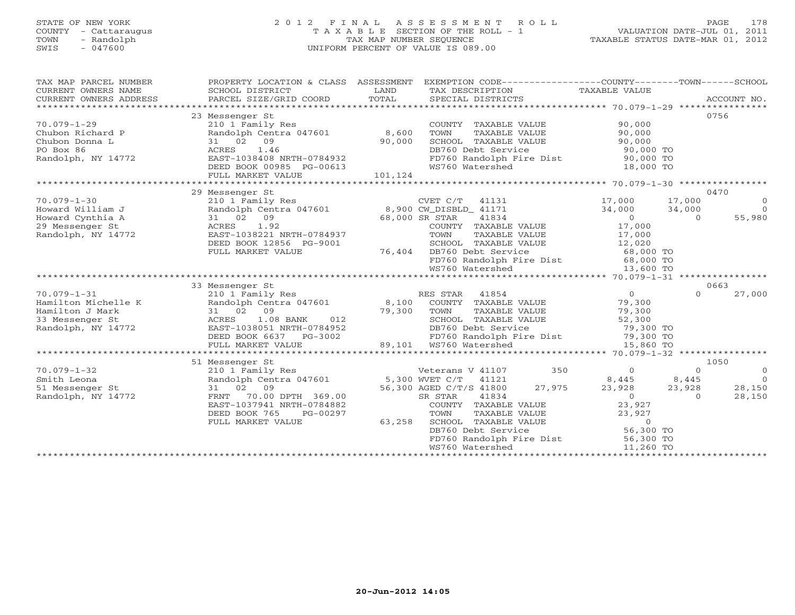# STATE OF NEW YORK 2 0 1 2 F I N A L A S S E S S M E N T R O L L PAGE 178 COUNTY - Cattaraugus T A X A B L E SECTION OF THE ROLL - 1 VALUATION DATE-JUL 01, 2011 TOWN - Randolph TAX MAP NUMBER SEQUENCE TAXABLE STATUS DATE-MAR 01, 2012 SWIS - 047600 UNIFORM PERCENT OF VALUE IS 089.00UNIFORM PERCENT OF VALUE IS 089.00

| TAX MAP PARCEL NUMBER                                                                                                   | PROPERTY LOCATION & CLASS ASSESSMENT<br>$\begin{tabular}{lllllll} \multicolumn{2}{l}{{\small\sc{CURRENT}}}& $\text{MME}$& $\text{SCHOOL} & $\text{DISTRICT}$& $\text{LAND}$& $\text{TAX} & $\text{DESCRIPTION}$& $\text{TAXABLE} & $\text{VALUE}$\\ & $\text{CURRENT} & $\text{WWERS} & $\text{ADDRESS}$& $\text{PARGEL} & $\text{STZE/GRID} & $\text{COORD}$& $\text{TOTAL}$& $\text{SPECIAL} & $\text{DISTRICTS}$& $\text{RCCOUNT} & $\text{NOL}$\\ & $\text{*X} & $\text{X} & $\text{X} & $\text{X} & $\text{$                                                                                                                     |                    | EXEMPTION CODE-----------------COUNTY-------TOWN------SCHOOL                                                                                                                                                                                                                     |                                                                                   |                                                                                                |
|-------------------------------------------------------------------------------------------------------------------------|---------------------------------------------------------------------------------------------------------------------------------------------------------------------------------------------------------------------------------------------------------------------------------------------------------------------------------------------------------------------------------------------------------------------------------------------------------------------------------------------------------------------------------------------------------------------------------------------------------------------------------------|--------------------|----------------------------------------------------------------------------------------------------------------------------------------------------------------------------------------------------------------------------------------------------------------------------------|-----------------------------------------------------------------------------------|------------------------------------------------------------------------------------------------|
| $70.079 - 1 - 29$<br>Chubon Richard P<br>Chubon Donna L<br>PO Box 86<br>Randolph, NY 14772                              | 23 Messenger St<br>210 1 Family Res<br>Randolph Centra 047601 8,600<br>31 02 09<br>ACRES 1.46<br>EAST-1038408 NRTH-0784932<br>DEED BOOK 00985 PG-00613<br>FULL MARKET VALUE                                                                                                                                                                                                                                                                                                                                                                                                                                                           | 90,000<br>101, 124 | COUNTY TAXABLE VALUE<br>TAXABLE VALUE<br>TOWN<br>SCHOOL TAXABLE VALUE 90,000<br>DB760 Debt Service 90,000 TO<br>FD760 Randolph Fire Dist 90,000 TO<br>WS760 Watershed                                                                                                            | 90,000<br>90,000<br>90,000 TO<br>90,000 TO<br>000 TC<br>18,000 TO                 | 0756                                                                                           |
|                                                                                                                         | 29 Messenger St                                                                                                                                                                                                                                                                                                                                                                                                                                                                                                                                                                                                                       |                    |                                                                                                                                                                                                                                                                                  |                                                                                   | 0470                                                                                           |
| $70.079 - 1 - 30$<br>Howard William J<br>Howard Cynthia A<br>29 Messenger St<br>Randolph, NY 14772                      | 210 1 Family Res<br>Randolph Centra 047601 8,900 CW_DISBLD_ 41171<br>31 02 09<br>ACRES 1.92<br>EAST-1038221 NRTH-0784937<br>DEED BOOK 12856 PG-9001<br>FULL MARKET VALUE                                                                                                                                                                                                                                                                                                                                                                                                                                                              |                    | CVET C/T 41131 17,000<br>$68,000$ SR STAR $-41834$<br>COUNTY TAXABLE VALUE 17,000<br>TOWN<br>TAXABLE VALUE 17,000<br>SCHOOL TAXABLE VALUE 12,020<br>DB760 Debt Service 68,000 TO<br>76,404 DB760 Debt Service<br>FD760 Randolph Fire Dist 68,000 TO<br>WS760 Watershed 13,600 TO | 34,000<br>$\overline{0}$                                                          | 17,000<br>$\overline{0}$<br>$\bigcap$<br>34,000<br>55,980<br>$\Omega$                          |
|                                                                                                                         |                                                                                                                                                                                                                                                                                                                                                                                                                                                                                                                                                                                                                                       |                    |                                                                                                                                                                                                                                                                                  |                                                                                   |                                                                                                |
| $70.079 - 1 - 31$<br>Hamilton Michelle K<br>Hamilton J Mark<br>33 Messenger St<br>33 Messenger St<br>Randolph, NY 14772 | 33 Messenger St<br>210 1 Family Res<br>e K<br>2 31 02 09<br>31 02 09<br>ACRES 1.08<br>$\begin{array}{cccccc} 7.233 & 0.000000 & 7.000000 & 7.00000 & 7.00000 & 7.0000 & 7.0000 & 7.0000 & 7.0000 & 7.0000 & 7.0000 & 7.0000 & 7.0000 & 7.0000 & 7.0000 & 7.0000 & 7.0000 & 7.0000 & 7.0000 & 7.0000 & 7.0000 & 7.0000 & 7.0000 & 7.0000 & 7.0000 & 7.0000$<br>ACRES 1.08 BANK<br>EAST-1038051 NRTH-0784952<br>1.111120111.1120111.1120111.1120111.112011.112011.112011.112011.112011.112011.112011.112011.112011.112011.1120<br>FULL MARKET VALUE 89,101 WS760 Watershed 15,860 TO FULL MARKET VALUE 89,101 WS760 Watershed 15,860 TO |                    | RES STAR 41854<br>Randolph Centra 047601 8,100 COUNTY TAXABLE VALUE<br>TAXABLE VALUE<br>SCHOOL TAXABLE VALUE<br>DB760 Debt Service                                                                                                                                               | $\overline{O}$<br>79,300<br>79,300<br>52,300<br>79,300 TO                         | 0663<br>$\Omega$<br>27,000                                                                     |
|                                                                                                                         |                                                                                                                                                                                                                                                                                                                                                                                                                                                                                                                                                                                                                                       |                    |                                                                                                                                                                                                                                                                                  |                                                                                   |                                                                                                |
| $70.079 - 1 - 32$<br>Smith Leona<br>51 Messenger St<br>Randolph, NY 14772                                               | 51 Messenger St<br>Example 5.<br>210 1 Family Res<br>Randolph Centra 047601<br>5,300 WET C/T (41121<br>31 02 09<br>70.00 DPTH 369.00<br>FRNT<br>EAST-1037941 NRTH-0784882<br>DEED BOOK 765<br>PG-00297<br>FULL MARKET VALUE                                                                                                                                                                                                                                                                                                                                                                                                           | 63,258             | Veterans V 41107<br>27,975<br>56,300 AGED C/T/S 41800<br>41834<br>SR STAR<br>COUNTY TAXABLE VALUE<br>TOWN TAXABLE VALUE 23,927<br>SCHOOL TAXABLE VALUE 0<br>DB760 Debt Service 56,300 TO<br>FD760 Randolph Fire Dist 56,300 TO<br>WS760 Watershed 11.260 TO<br>WS760 Watershed   | 350<br>$\overline{0}$<br>8,445 8,445<br>23,928<br>$\sim$ 0<br>23,927<br>11,260 TO | 1050<br>$\Omega$<br>$\overline{0}$<br>$\overline{0}$<br>23,928<br>28,150<br>28,150<br>$\Omega$ |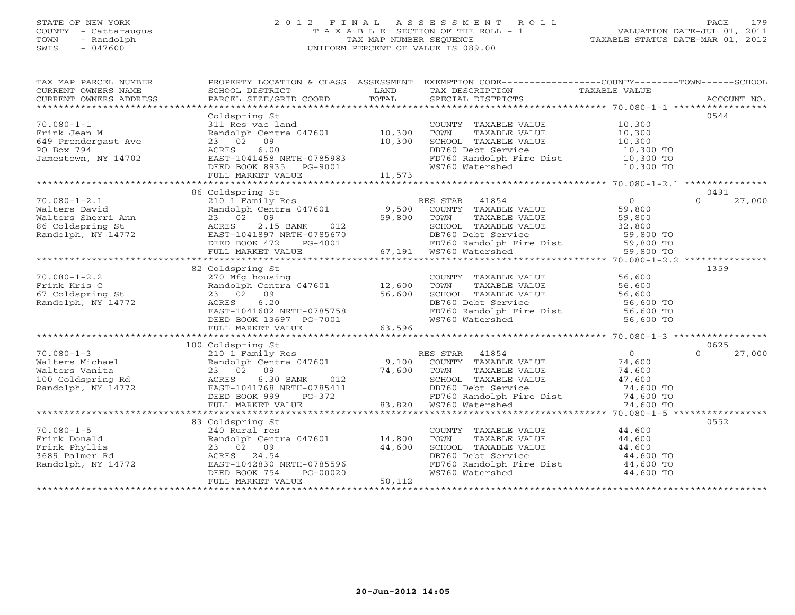# STATE OF NEW YORK 2 0 1 2 F I N A L A S S E S S M E N T R O L L PAGE 179COUNTY - Cattaraugus T A X A B L E SECTION OF THE ROLL - 1<br>
TOWN - Randolph TAX MAP NUMBER SEQUENCE<br>
SWIS - 047600 SWIS - 047600 UNIFORM PERCENT OF VALUE IS 089.00

| TAX MAP PARCEL NUMBER<br>TA PIE TANDER NOTIFIES AND RESERVE TO THE TAXING SCHOOL DISTRICT TO LAND THE TAXING SCRIPTION TAXABLE VALUE<br>CURRENT OWNERS ADDRESS BARCEL SIZE/GRID COORD INTIAL SPECIAL DISTRICTS ACCOUNT NO.<br>******************************* |                                                                                                                                                                                               |        | PROPERTY LOCATION & CLASS ASSESSMENT EXEMPTION CODE---------------COUNTY-------TOWN------SCHOOL                                |           |                    |
|---------------------------------------------------------------------------------------------------------------------------------------------------------------------------------------------------------------------------------------------------------------|-----------------------------------------------------------------------------------------------------------------------------------------------------------------------------------------------|--------|--------------------------------------------------------------------------------------------------------------------------------|-----------|--------------------|
|                                                                                                                                                                                                                                                               |                                                                                                                                                                                               |        |                                                                                                                                |           |                    |
|                                                                                                                                                                                                                                                               | Coldspring St<br>$311$ Res vac land                                                                                                                                                           |        |                                                                                                                                |           | 0544               |
| $70.080 - 1 - 1$                                                                                                                                                                                                                                              |                                                                                                                                                                                               |        | COUNTY TAXABLE VALUE 10,300                                                                                                    |           |                    |
|                                                                                                                                                                                                                                                               | Randolph Centra 047601 10,300                                                                                                                                                                 |        | TAXABLE VALUE 10,300<br>TAXABLE VALUE 10,300<br>TOWN                                                                           |           |                    |
|                                                                                                                                                                                                                                                               | 23 02 09<br>10,300                                                                                                                                                                            |        | SCHOOL TAXABLE VALUE<br>DB760 Debt Service                                                                                     |           |                    |
|                                                                                                                                                                                                                                                               | 6.00<br>ACRES                                                                                                                                                                                 |        |                                                                                                                                | 10,300 TO |                    |
| 70.080-1-1<br>Frink Jean M<br>649 Prendergast Ave<br>PO Box 794<br>Jamestown, NY 14702                                                                                                                                                                        | EAST-1041458 NRTH-0785983                                                                                                                                                                     |        | FD760 Randolph Fire Dist 10,300 TO<br>WS760 Watershed 10,300 TO                                                                |           |                    |
|                                                                                                                                                                                                                                                               | DEED BOOK 8935 PG-9001                                                                                                                                                                        |        |                                                                                                                                |           |                    |
|                                                                                                                                                                                                                                                               | FULL MARKET VALUE                                                                                                                                                                             | 11,573 |                                                                                                                                |           |                    |
|                                                                                                                                                                                                                                                               |                                                                                                                                                                                               |        |                                                                                                                                |           |                    |
|                                                                                                                                                                                                                                                               | 86 Coldspring St                                                                                                                                                                              |        |                                                                                                                                |           | 0491               |
|                                                                                                                                                                                                                                                               |                                                                                                                                                                                               |        |                                                                                                                                |           | 27,000             |
|                                                                                                                                                                                                                                                               |                                                                                                                                                                                               |        |                                                                                                                                |           |                    |
| Valters David<br>Walters Sherri Ann (23 02 09)<br>86 Coldspring St (23 02 09)<br>Randolph, NY 14772 (EAST-1041897 NRTH-0785670<br>DEED BOOK 472 PG-4001<br>FULL MARKET VALUE                                                                                  |                                                                                                                                                                                               |        |                                                                                                                                |           |                    |
|                                                                                                                                                                                                                                                               |                                                                                                                                                                                               |        |                                                                                                                                |           |                    |
|                                                                                                                                                                                                                                                               |                                                                                                                                                                                               |        |                                                                                                                                |           |                    |
|                                                                                                                                                                                                                                                               |                                                                                                                                                                                               |        |                                                                                                                                |           |                    |
|                                                                                                                                                                                                                                                               |                                                                                                                                                                                               |        |                                                                                                                                |           |                    |
|                                                                                                                                                                                                                                                               |                                                                                                                                                                                               |        |                                                                                                                                |           |                    |
|                                                                                                                                                                                                                                                               | 82 Coldspring St                                                                                                                                                                              |        |                                                                                                                                |           | 1359               |
| $70.080 - 1 - 2.2$                                                                                                                                                                                                                                            |                                                                                                                                                                                               |        | COUNTY TAXABLE VALUE 56,600                                                                                                    |           |                    |
|                                                                                                                                                                                                                                                               |                                                                                                                                                                                               |        |                                                                                                                                |           |                    |
| Frink Kris C<br>67 Coldspring St<br>Randolph, NY 14772                                                                                                                                                                                                        |                                                                                                                                                                                               |        | TOWN TAXABLE VALUE 56,600<br>SCHOOL TAXABLE VALUE 56,600<br>DB760 Debt Service 56,600 TO<br>FD760 Randolph Fire Dist 56,600 TO |           |                    |
|                                                                                                                                                                                                                                                               |                                                                                                                                                                                               |        |                                                                                                                                |           |                    |
|                                                                                                                                                                                                                                                               |                                                                                                                                                                                               |        |                                                                                                                                |           |                    |
|                                                                                                                                                                                                                                                               |                                                                                                                                                                                               |        | WS760 Watershed                                                                                                                | 56,600 TO |                    |
|                                                                                                                                                                                                                                                               | Coldspring St<br>270 Mfg housing<br>Randolph Centra 047601 12,600<br>33 02 09 56,600<br>ACRES 6.20 56,600<br>EAST-1041602 NRTH-0785758<br>DEED BOOK 13697 PG-7001 63,596<br>FULL MARKET VALUE |        |                                                                                                                                |           |                    |
|                                                                                                                                                                                                                                                               |                                                                                                                                                                                               |        |                                                                                                                                |           |                    |
|                                                                                                                                                                                                                                                               | 100 Coldspring St                                                                                                                                                                             |        |                                                                                                                                |           | 0625               |
|                                                                                                                                                                                                                                                               |                                                                                                                                                                                               |        |                                                                                                                                |           | 27,000<br>$\Omega$ |
|                                                                                                                                                                                                                                                               |                                                                                                                                                                                               |        |                                                                                                                                |           |                    |
|                                                                                                                                                                                                                                                               |                                                                                                                                                                                               |        |                                                                                                                                |           |                    |
|                                                                                                                                                                                                                                                               |                                                                                                                                                                                               |        |                                                                                                                                |           |                    |
|                                                                                                                                                                                                                                                               |                                                                                                                                                                                               |        |                                                                                                                                |           |                    |
|                                                                                                                                                                                                                                                               |                                                                                                                                                                                               |        |                                                                                                                                |           |                    |
|                                                                                                                                                                                                                                                               |                                                                                                                                                                                               |        |                                                                                                                                |           |                    |
|                                                                                                                                                                                                                                                               |                                                                                                                                                                                               |        |                                                                                                                                |           |                    |
|                                                                                                                                                                                                                                                               | 83 Coldspring St                                                                                                                                                                              |        |                                                                                                                                |           | 0552               |
|                                                                                                                                                                                                                                                               |                                                                                                                                                                                               |        | COUNTY TAXABLE VALUE 44,600                                                                                                    |           |                    |
| VOLUGU-1-5<br>Frink Donald<br>Frink Phyllis<br>3689 Palmer Rd<br>Randolph, NY 14772<br>Randolph, NY 14772<br>Packer 24.54<br>Randolph, NY 14772<br>Randolph, NY 14772<br>Packer 24.54<br>Packer 24.54<br>Packer 24.54<br>Packer 24.54<br>Packer 24.54<br>P    | Randolph Centra 047601 14,800                                                                                                                                                                 |        | TAXABLE VALUE 44,600<br>TOWN                                                                                                   |           |                    |
|                                                                                                                                                                                                                                                               |                                                                                                                                                                                               |        |                                                                                                                                |           |                    |
|                                                                                                                                                                                                                                                               |                                                                                                                                                                                               | 44,600 | SCHOOL TAXABLE VALUE 44,600<br>DB760 Debt Service 44,600 TO<br>FD760 Randolph Fire Dist 44,600 TO<br>WS760 Watershed 44,600 TO |           |                    |
|                                                                                                                                                                                                                                                               |                                                                                                                                                                                               |        |                                                                                                                                |           |                    |
|                                                                                                                                                                                                                                                               |                                                                                                                                                                                               |        |                                                                                                                                |           |                    |
|                                                                                                                                                                                                                                                               | ACRES 24.54<br>EAST-1042830 NRTH-0785596<br>DEED BOOK 754 PG-00020<br>FULL MARKET VALUE 50,112                                                                                                |        |                                                                                                                                |           |                    |
|                                                                                                                                                                                                                                                               |                                                                                                                                                                                               |        |                                                                                                                                |           |                    |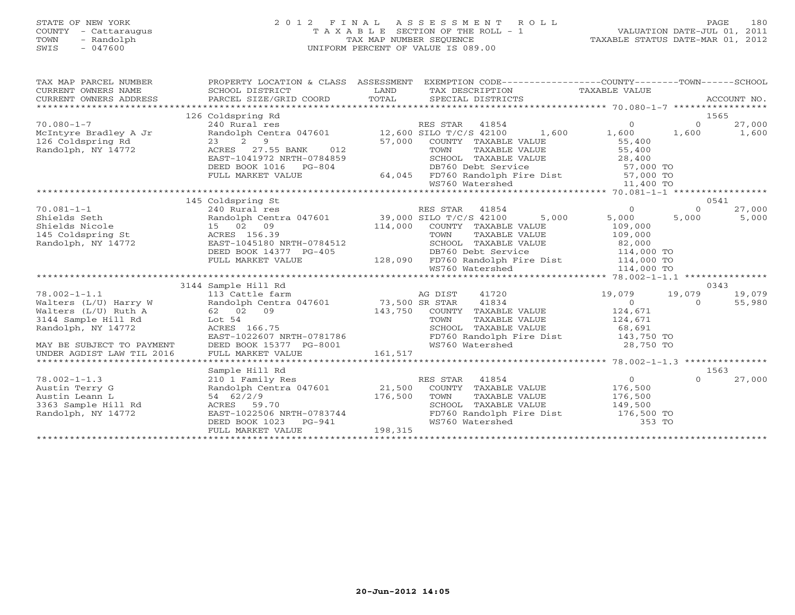# STATE OF NEW YORK 2 0 1 2 F I N A L A S S E S S M E N T R O L L PAGE 180 COUNTY - Cattaraugus T A X A B L E SECTION OF THE ROLL - 1 VALUATION DATE-JUL 01, 2011 TOWN - Randolph TAX MAP NUMBER SEQUENCE TAXABLE STATUS DATE-MAR 01, 2012 SWIS - 047600 UNIFORM PERCENT OF VALUE IS 089.00UNIFORM PERCENT OF VALUE IS 089.00

| TAX MAP PARCEL NUMBER<br>CURRENT OWNERS NAME<br>CURRENT OWNERS ADDRESS | PROPERTY LOCATION & CLASS ASSESSMENT<br>SCHOOL DISTRICT<br>PARCEL SIZE/GRID COORD |         | EXEMPTION CODE-----------------COUNTY-------TOWN------SCHOOL<br>TAX DESCRIPTION TAXABLE VALUE<br>SPECIAL DISTRICTS                                                                                                                                                                                                                                                                                                          |                    |                    | ACCOUNT NO.      |
|------------------------------------------------------------------------|-----------------------------------------------------------------------------------|---------|-----------------------------------------------------------------------------------------------------------------------------------------------------------------------------------------------------------------------------------------------------------------------------------------------------------------------------------------------------------------------------------------------------------------------------|--------------------|--------------------|------------------|
|                                                                        | 126 Coldspring Rd                                                                 |         |                                                                                                                                                                                                                                                                                                                                                                                                                             |                    |                    | 1565             |
| $70.080 - 1 - 7$                                                       |                                                                                   |         |                                                                                                                                                                                                                                                                                                                                                                                                                             | $\overline{0}$     | $\circ$            | 27,000           |
| McIntyre Bradley A Jr                                                  |                                                                                   |         | 240 $\overline{\text{Rus}}$ and $\overline{\text{res}}$ and $\overline{\text{res}}$ and $\overline{\text{Rus}}$ and $\overline{\text{res}}$ and $\overline{\text{res}}$ and $\overline{\text{res}}$ and $\overline{\text{res}}$ and $\overline{\text{res}}$ and $\overline{\text{res}}$ and $\overline{\text{res}}$ and $\overline{\text{res}}$ and $\overline{\text{res}}$ and $\overline{\text{res}}$ and $\overline{\$   | 1,600 1,600        |                    | 1,600            |
| 126 Coldspring Rd                                                      | $2^9$<br>23                                                                       |         | 57,000 COUNTY TAXABLE VALUE<br>TOWN TAXABLE VALUE                                                                                                                                                                                                                                                                                                                                                                           | 55,400             |                    |                  |
| Randolph, NY 14772                                                     | 012<br>ACRES 27.55 BANK                                                           |         | TAXABLE VALUE 55,400                                                                                                                                                                                                                                                                                                                                                                                                        |                    |                    |                  |
|                                                                        | EAST-1041972 NRTH-0784859                                                         |         | 1859 SCHOOL TAXABLE VALUE 28,400<br>DB760 Debt Service 37,000 TO<br>64,045 FD760 Randolph Fire Dist 57,000 TO                                                                                                                                                                                                                                                                                                               |                    |                    |                  |
|                                                                        | DEED BOOK 1016 PG-804                                                             |         |                                                                                                                                                                                                                                                                                                                                                                                                                             |                    |                    |                  |
|                                                                        | FULL MARKET VALUE                                                                 |         |                                                                                                                                                                                                                                                                                                                                                                                                                             |                    |                    |                  |
|                                                                        |                                                                                   |         | WS760 Watershed                                                                                                                                                                                                                                                                                                                                                                                                             | 11,400 TO          |                    |                  |
|                                                                        |                                                                                   |         |                                                                                                                                                                                                                                                                                                                                                                                                                             |                    |                    |                  |
|                                                                        | 145 Coldspring St                                                                 |         |                                                                                                                                                                                                                                                                                                                                                                                                                             |                    |                    | 0541             |
| $70.081 - 1 - 1$                                                       | 240 Rural res                                                                     |         | RES STAR 41854                                                                                                                                                                                                                                                                                                                                                                                                              | $\overline{0}$     | $\Omega$           | 27,000           |
| Shields Seth                                                           | Randolph Centra 047601 39,000 SILO T/C/S 42100                                    |         |                                                                                                                                                                                                                                                                                                                                                                                                                             | 5,000<br>5,000     | 5,000              | 5,000            |
| Shields Nicole<br>145 Coldspring St                                    | 15 02 09                                                                          |         | 114,000 COUNTY TAXABLE VALUE<br>TAXABLE VALUE<br>TAXABLE VALUE                                                                                                                                                                                                                                                                                                                                                              | 109,000<br>109,000 |                    |                  |
|                                                                        | ACRES 156.39                                                                      |         | TOWN                                                                                                                                                                                                                                                                                                                                                                                                                        |                    |                    |                  |
| Randolph, NY 14772                                                     |                                                                                   |         |                                                                                                                                                                                                                                                                                                                                                                                                                             |                    |                    |                  |
|                                                                        |                                                                                   |         |                                                                                                                                                                                                                                                                                                                                                                                                                             |                    |                    |                  |
|                                                                        |                                                                                   |         |                                                                                                                                                                                                                                                                                                                                                                                                                             |                    |                    |                  |
|                                                                        |                                                                                   |         |                                                                                                                                                                                                                                                                                                                                                                                                                             |                    |                    |                  |
|                                                                        |                                                                                   |         |                                                                                                                                                                                                                                                                                                                                                                                                                             |                    |                    |                  |
| $78.002 - 1 - 1.1$                                                     | 3144 Sample Hill Rd                                                               |         | $AG DIST$ $AG DIST$ $41720$ $19,079$<br>$93,500$ $SP STR$ $41834$ $0$                                                                                                                                                                                                                                                                                                                                                       |                    |                    | 0343             |
|                                                                        | 113 Cattle farm<br>Randolph Centra 047601 73,500 SR STAR                          |         |                                                                                                                                                                                                                                                                                                                                                                                                                             |                    | 19,079<br>$\Omega$ | 19,079<br>55,980 |
| Walters (L/U) Harry W<br>Walters (L/U) Ruth A                          | 62 02 09                                                                          |         | 143,750 COUNTY TAXABLE VALUE 124,671                                                                                                                                                                                                                                                                                                                                                                                        |                    |                    |                  |
| 3144 Sample Hill Rd                                                    | Lot 54                                                                            |         |                                                                                                                                                                                                                                                                                                                                                                                                                             |                    |                    |                  |
| Randolph, NY 14772                                                     | ACRES 166.75                                                                      |         |                                                                                                                                                                                                                                                                                                                                                                                                                             |                    |                    |                  |
|                                                                        | EAST-1022607 NRTH-0781786                                                         |         |                                                                                                                                                                                                                                                                                                                                                                                                                             |                    |                    |                  |
| MAY BE SUBJECT TO PAYMENT                                              | DEED BOOK 15377 PG-8001                                                           |         | WS760 Watershed                                                                                                                                                                                                                                                                                                                                                                                                             | 28,750 TO          |                    |                  |
|                                                                        |                                                                                   | 161,517 |                                                                                                                                                                                                                                                                                                                                                                                                                             |                    |                    |                  |
|                                                                        |                                                                                   |         |                                                                                                                                                                                                                                                                                                                                                                                                                             |                    |                    |                  |
|                                                                        | Sample Hill Rd                                                                    |         |                                                                                                                                                                                                                                                                                                                                                                                                                             |                    |                    | 1563             |
| $78.002 - 1 - 1.3$                                                     | 210 1 Family Res                                                                  |         | 41854<br>RES STAR                                                                                                                                                                                                                                                                                                                                                                                                           | $\overline{0}$     | $\Omega$           | 27,000           |
| Austin Terry G                                                         |                                                                                   |         | $\begin{array}{ccccccccc}\n\text{Z10} & \text{L} & \text{L} & \text{L} & \text{L} & \text{L} & \text{L} & \text{L} & \text{L} & \text{L} & \text{L} & \text{L} & \text{L} & \text{L} & \text{L} & \text{L} & \text{L} & \text{L} & \text{L} & \text{L} & \text{L} & \text{L} & \text{L} & \text{L} & \text{L} & \text{L} & \text{L} & \text{L} & \text{L} & \text{L} & \text{L} & \text{L} & \text{L} & \text{L} & \text{L$ |                    |                    |                  |
| Austin Leann L                                                         |                                                                                   |         |                                                                                                                                                                                                                                                                                                                                                                                                                             |                    |                    |                  |
| 3363 Sample Hill Rd                                                    |                                                                                   |         |                                                                                                                                                                                                                                                                                                                                                                                                                             |                    |                    |                  |
| Randolph, NY 14772                                                     | EAST-1022506 NRTH-0783744                                                         |         | FD760 Randolph Fire Dist 176,500 TO                                                                                                                                                                                                                                                                                                                                                                                         |                    |                    |                  |
|                                                                        | DEED BOOK 1023 PG-941                                                             |         | WS760 Watershed                                                                                                                                                                                                                                                                                                                                                                                                             | 353 TO             |                    |                  |
|                                                                        | FULL MARKET VALUE                                                                 | 198,315 |                                                                                                                                                                                                                                                                                                                                                                                                                             |                    |                    |                  |
|                                                                        |                                                                                   |         |                                                                                                                                                                                                                                                                                                                                                                                                                             |                    |                    |                  |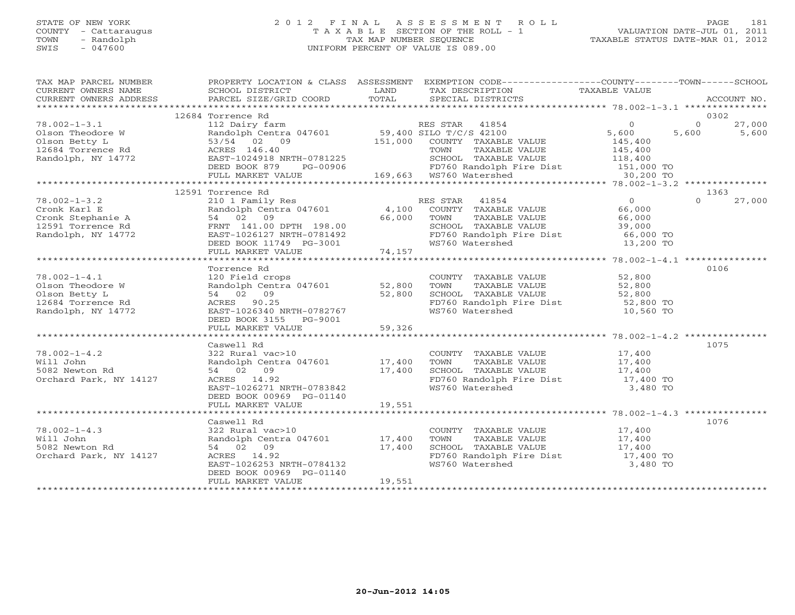# STATE OF NEW YORK 2 0 1 2 F I N A L A S S E S S M E N T R O L L PAGE 181 COUNTY - Cattaraugus T A X A B L E SECTION OF THE ROLL - 1 VALUATION DATE-JUL 01, 2011 TOWN - Randolph TAX MAP NUMBER SEQUENCE TAXABLE STATUS DATE-MAR 01, 2012 SWIS - 047600 UNIFORM PERCENT OF VALUE IS 089.00UNIFORM PERCENT OF VALUE IS 089.00

| TAX MAP PARCEL NUMBER<br>CURRENT OWNERS NAME SCHOOL DISTRICT LAND INCHEMENT POWERS ADDRESS TO SCHOOL DISTRICT LAND TRAX DESCRIPTION TAXABLE VALUE THAT THE MANAGEMENT OWNERS ADDRESS PARCEL SIZE/GRID COORD TOTAL SPECIAL DISTRICTS ACCOUNT NO. |                                                                     |             | PROPERTY LOCATION & CLASS ASSESSMENT EXEMPTION CODE---------------COUNTY-------TOWN------SCHOOL                                                                         |          |                          |
|-------------------------------------------------------------------------------------------------------------------------------------------------------------------------------------------------------------------------------------------------|---------------------------------------------------------------------|-------------|-------------------------------------------------------------------------------------------------------------------------------------------------------------------------|----------|--------------------------|
|                                                                                                                                                                                                                                                 |                                                                     |             |                                                                                                                                                                         |          |                          |
|                                                                                                                                                                                                                                                 | 12684 Torrence Rd                                                   |             |                                                                                                                                                                         |          | 0302                     |
| $78.002 - 1 - 3.1$                                                                                                                                                                                                                              |                                                                     |             |                                                                                                                                                                         | $\Omega$ | 27,000<br>$\overline{0}$ |
| Contract of the Color Theodore Wandolph Central<br>Clson Theodore Wandolph Central<br>12684 Torrence Rd<br>Randolph, NY 14772<br>BEED BOOK 879<br>DEED BOOK 879                                                                                 |                                                                     |             |                                                                                                                                                                         | 5,600    | 5,600<br>5,600           |
|                                                                                                                                                                                                                                                 |                                                                     |             |                                                                                                                                                                         | 145,400  |                          |
|                                                                                                                                                                                                                                                 |                                                                     |             |                                                                                                                                                                         |          |                          |
|                                                                                                                                                                                                                                                 | EAST-1024918 NRTH-0781225                                           |             |                                                                                                                                                                         |          |                          |
|                                                                                                                                                                                                                                                 |                                                                     |             |                                                                                                                                                                         |          |                          |
|                                                                                                                                                                                                                                                 | DEED BOOK 879 PG-00906 169,663 WS760 Watershed                      |             | TOWN TAXABLE VALUE<br>TOWN TAXABLE VALUE<br>SCHOOL TAXABLE VALUE<br>TOWN TAXABLE VALUE<br>118,400<br>FD760 Randolph Fire Dist<br>151,000 TO<br>151,000 TO<br>130,200 TO |          |                          |
|                                                                                                                                                                                                                                                 |                                                                     |             |                                                                                                                                                                         |          |                          |
|                                                                                                                                                                                                                                                 | 12591 Torrence Rd                                                   |             |                                                                                                                                                                         |          | 1363                     |
| $78.002 - 1 - 3.2$                                                                                                                                                                                                                              |                                                                     |             | 210 1 Family Res<br>Randolph Centra 047601 (4,100 COUNTY TAXABLE VALUE (66,000 54 02 09)<br>54 02 09 (66,000 TOWN TAXABLE VALUE (66,000 66,000                          |          | 27,000<br>$\Omega$       |
|                                                                                                                                                                                                                                                 |                                                                     |             |                                                                                                                                                                         |          |                          |
| Cronk Karl E<br>Cronk Stephanie A<br>12591 Torrence Rd<br>Randolph, NY 14772<br>EAST-1026127 NRTH-0781492<br>EAST-1026127 NRTH-0781492<br>EAST-1026127 NRTH-0781492<br>EAST-1026127 NRTH-0781492<br>DEED BOOK 11749<br>PG-3001                  |                                                                     | 66,000 TOWN |                                                                                                                                                                         |          |                          |
|                                                                                                                                                                                                                                                 |                                                                     |             |                                                                                                                                                                         |          |                          |
|                                                                                                                                                                                                                                                 |                                                                     |             |                                                                                                                                                                         |          |                          |
|                                                                                                                                                                                                                                                 |                                                                     |             | SCHOOL TAXABLE VALUE<br>FD760 Randolph Fire Dist 59,000<br>WS760 Watershed 13,200 TO                                                                                    |          |                          |
|                                                                                                                                                                                                                                                 | DEED BOOK 11749 PG-3001<br>FULL MARKET VALUE 74,157                 |             |                                                                                                                                                                         |          |                          |
|                                                                                                                                                                                                                                                 |                                                                     |             |                                                                                                                                                                         |          |                          |
|                                                                                                                                                                                                                                                 | Torrence Rd                                                         |             |                                                                                                                                                                         |          | 0106                     |
|                                                                                                                                                                                                                                                 |                                                                     |             | COUNTY TAXABLE VALUE 52,800                                                                                                                                             |          |                          |
|                                                                                                                                                                                                                                                 |                                                                     |             |                                                                                                                                                                         |          |                          |
|                                                                                                                                                                                                                                                 | 120 Field crops<br>Randolph Centra 047601 52,800<br>54 02 09 52,800 |             |                                                                                                                                                                         |          |                          |
| 78.002-1-4.1<br>Olson Theodore W<br>Olson Betty L<br>12684 Torrence Rd<br>Randolph, NY 14772                                                                                                                                                    | ACRES 90.25                                                         |             | TOWN TAXABLE VALUE 52,800<br>SCHOOL TAXABLE VALUE 52,800<br>FD760 Randolph Fire Dist 52,800 TO<br>WS760 Watershed 10,560 TO                                             |          |                          |
|                                                                                                                                                                                                                                                 | EAST-1026340 NRTH-0782767                                           |             |                                                                                                                                                                         |          |                          |
|                                                                                                                                                                                                                                                 | DEED BOOK 3155 PG-9001                                              |             |                                                                                                                                                                         |          |                          |
|                                                                                                                                                                                                                                                 | FULL MARKET VALUE                                                   | 59,326      |                                                                                                                                                                         |          |                          |
|                                                                                                                                                                                                                                                 |                                                                     |             |                                                                                                                                                                         |          |                          |
|                                                                                                                                                                                                                                                 | Caswell Rd                                                          |             |                                                                                                                                                                         |          | 1075                     |
| $78.002 - 1 - 4.2$                                                                                                                                                                                                                              |                                                                     |             |                                                                                                                                                                         |          |                          |
| Will John                                                                                                                                                                                                                                       | 322 Rural vac $>10$<br>Randolph Centra 047601 17,400                |             | COUNTY TAXABLE VALUE 17,400<br>TOWN TAXABLE VALUE 17,400                                                                                                                |          |                          |
| 5082 Newton Rd                                                                                                                                                                                                                                  | 54 02 09                                                            | 17,400      |                                                                                                                                                                         |          |                          |
| Orchard Park, NY 14127                                                                                                                                                                                                                          | ACRES 14.92                                                         |             |                                                                                                                                                                         |          |                          |
|                                                                                                                                                                                                                                                 | EAST-1026271 NRTH-0783842                                           |             | CHOOL TAXABLE VALUE 17,400<br>FD760 Randolph Fire Dist 17,400 TO<br>WS760 Watershed 3,480 TO                                                                            |          |                          |
|                                                                                                                                                                                                                                                 | DEED BOOK 00969 PG-01140                                            |             |                                                                                                                                                                         |          |                          |
|                                                                                                                                                                                                                                                 | FULL MARKET VALUE                                                   | 19,551      |                                                                                                                                                                         |          |                          |
|                                                                                                                                                                                                                                                 |                                                                     |             |                                                                                                                                                                         |          |                          |
|                                                                                                                                                                                                                                                 | Caswell Rd                                                          |             |                                                                                                                                                                         |          | 1076                     |
| $78.002 - 1 - 4.3$                                                                                                                                                                                                                              |                                                                     |             |                                                                                                                                                                         |          |                          |
| Will John                                                                                                                                                                                                                                       | 322 Rural vac>10<br>Randolph Centra 047601 17,400                   |             | COUNTY TAXABLE VALUE $17,400$<br>TOWN TAXABLE VALUE $17,400$<br>SCHOOL TAXABLE VALUE $17,400$<br>FD760 Randolph Fire Dist $17,400$<br>TD760 Randolph Fire Dist $17,400$ |          |                          |
| 5082 Newton Rd                                                                                                                                                                                                                                  | 54 02 09                                                            |             |                                                                                                                                                                         |          |                          |
| Orchard Park, NY 14127                                                                                                                                                                                                                          | ACRES 14.92                                                         | 17,400      |                                                                                                                                                                         |          |                          |
|                                                                                                                                                                                                                                                 | EAST-1026253 NRTH-0784132                                           |             | WS760 Watershed                                                                                                                                                         | 3,480 TO |                          |
|                                                                                                                                                                                                                                                 | DEED BOOK 00969 PG-01140                                            |             |                                                                                                                                                                         |          |                          |
|                                                                                                                                                                                                                                                 | FULL MARKET VALUE                                                   | 19,551      |                                                                                                                                                                         |          |                          |
|                                                                                                                                                                                                                                                 |                                                                     |             |                                                                                                                                                                         |          |                          |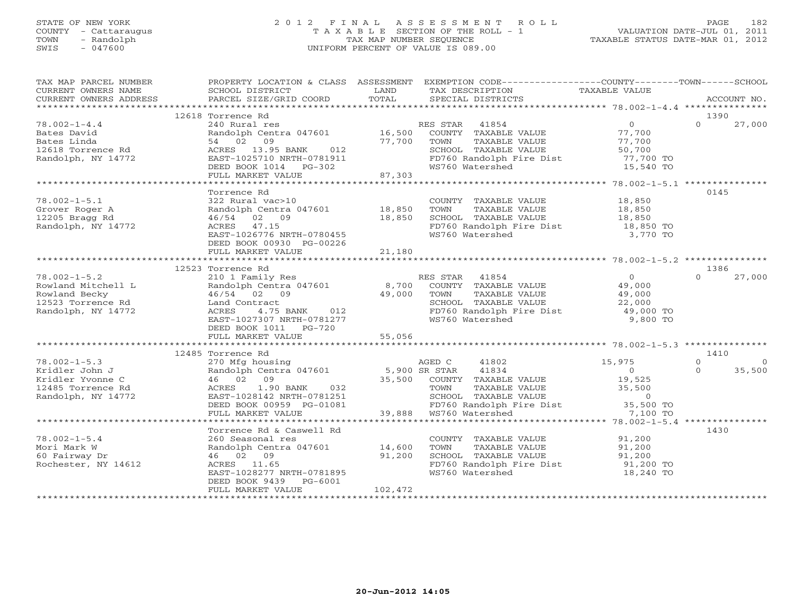# STATE OF NEW YORK 2 0 1 2 F I N A L A S S E S S M E N T R O L L PAGE 182 COUNTY - Cattaraugus T A X A B L E SECTION OF THE ROLL - 1 VALUATION DATE-JUL 01, 2011 TOWN - Randolph TAX MAP NUMBER SEQUENCE TAXABLE STATUS DATE-MAR 01, 2012 SWIS - 047600 UNIFORM PERCENT OF VALUE IS 089.00UNIFORM PERCENT OF VALUE IS 089.00

| TAX MAP PARCEL NUMBER<br>CURRENT OWNERS NAME<br>CURRENT OWNERS ADDRESS | PROPERTY LOCATION & CLASS ASSESSMENT<br>SCHOOL DISTRICT<br><b>Example 12 Distribution of the LAND</b><br>PARCEL SIZE/GRID COORD                                                                                                                                   | TOTAL            | EXEMPTION CODE-----------------COUNTY-------TOWN------SCHOOL<br>TAX DESCRIPTION TAXABLE VALUE<br>SPECIAL DISTRICTS<br>SPECIAL DISTRICTS                                                                                                                                                                     |                                            | ACCOUNT NO.                    |
|------------------------------------------------------------------------|-------------------------------------------------------------------------------------------------------------------------------------------------------------------------------------------------------------------------------------------------------------------|------------------|-------------------------------------------------------------------------------------------------------------------------------------------------------------------------------------------------------------------------------------------------------------------------------------------------------------|--------------------------------------------|--------------------------------|
|                                                                        |                                                                                                                                                                                                                                                                   |                  |                                                                                                                                                                                                                                                                                                             |                                            |                                |
|                                                                        | 12618 Torrence Rd                                                                                                                                                                                                                                                 |                  |                                                                                                                                                                                                                                                                                                             |                                            | 1390                           |
| $78.002 - 1 - 4.4$                                                     | 240 Rural res                                                                                                                                                                                                                                                     |                  | RES STAR 41854                                                                                                                                                                                                                                                                                              | $\overline{0}$                             | $\Omega$<br>27,000             |
| Bates David                                                            |                                                                                                                                                                                                                                                                   |                  |                                                                                                                                                                                                                                                                                                             |                                            |                                |
| Bates Linda                                                            |                                                                                                                                                                                                                                                                   |                  |                                                                                                                                                                                                                                                                                                             |                                            |                                |
| 12618 Torrence Rd                                                      |                                                                                                                                                                                                                                                                   |                  | 240 Nural Les Mandelph Centra 047601 16,500 NUR TAXABLE VALUE 77,700<br>Randolph Centra 047601 16,500 NUR TAXABLE VALUE 77,700<br>34 02 09 77,700 TOWN TAXABLE VALUE 77,700<br>ACRES 13.95 BANK 012 5CHOOL TAXABLE VALUE 50,700<br>EAS<br>SCHOOL TAXABLE VALUE 50,700<br>FD760 Randolph Fire Dist 77,700 TO |                                            |                                |
| Randolph, NY 14772                                                     |                                                                                                                                                                                                                                                                   |                  |                                                                                                                                                                                                                                                                                                             |                                            |                                |
|                                                                        | DEED BOOK 1014    PG-302                                                                                                                                                                                                                                          | 87.302<br>87,303 | WS760 Watershed                                                                                                                                                                                                                                                                                             | 15,540 TO                                  |                                |
|                                                                        | FULL MARKET VALUE                                                                                                                                                                                                                                                 |                  |                                                                                                                                                                                                                                                                                                             |                                            |                                |
|                                                                        | Torrence Rd                                                                                                                                                                                                                                                       |                  |                                                                                                                                                                                                                                                                                                             |                                            | 0145                           |
| $78.002 - 1 - 5.1$                                                     |                                                                                                                                                                                                                                                                   |                  |                                                                                                                                                                                                                                                                                                             |                                            |                                |
| Grover Roger A                                                         | 322 Rural vac $>10$<br>Randolph Centra 047601 18,850                                                                                                                                                                                                              |                  | COUNTY TAXABLE VALUE 18,850<br>TOWN TAXABLE VALUE 18,850                                                                                                                                                                                                                                                    |                                            |                                |
| 12205 Bragg Rd                                                         | 46/54 02 09                                                                                                                                                                                                                                                       | 18,850           |                                                                                                                                                                                                                                                                                                             |                                            |                                |
| Randolph, NY 14772                                                     | ACRES 47.15                                                                                                                                                                                                                                                       |                  |                                                                                                                                                                                                                                                                                                             |                                            |                                |
|                                                                        | EAST-1026776 NRTH-0780455                                                                                                                                                                                                                                         |                  | FD760 Randolph Fire Dist<br>WS760 Watershed                                                                                                                                                                                                                                                                 | 3,770 TO                                   |                                |
|                                                                        | DEED BOOK 00930 PG-00226                                                                                                                                                                                                                                          |                  |                                                                                                                                                                                                                                                                                                             |                                            |                                |
|                                                                        | FULL MARKET VALUE                                                                                                                                                                                                                                                 | 21,180           |                                                                                                                                                                                                                                                                                                             |                                            |                                |
|                                                                        |                                                                                                                                                                                                                                                                   |                  |                                                                                                                                                                                                                                                                                                             |                                            |                                |
|                                                                        | 12523 Torrence Rd                                                                                                                                                                                                                                                 |                  |                                                                                                                                                                                                                                                                                                             |                                            | 1386                           |
| $78.002 - 1 - 5.2$                                                     | 210 1 Family Res                                                                                                                                                                                                                                                  |                  | RES STAR 41854                                                                                                                                                                                                                                                                                              | $\overline{0}$                             | $\Omega$<br>27,000             |
| Rowland Mitchell L                                                     |                                                                                                                                                                                                                                                                   |                  | 210 I Family Res<br>Randolph Centra 047601 8,700 COUNTY TAXABLE VALUE 49,000<br>$49.000$ 49,000 49.000 TOWN TAXABLE VALUE 49,000                                                                                                                                                                            |                                            |                                |
| Rowland Becky                                                          |                                                                                                                                                                                                                                                                   |                  |                                                                                                                                                                                                                                                                                                             |                                            |                                |
| 12523 Torrence Rd                                                      | Land Contract                                                                                                                                                                                                                                                     |                  |                                                                                                                                                                                                                                                                                                             |                                            |                                |
| Randolph, NY 14772                                                     | ACRES                                                                                                                                                                                                                                                             |                  |                                                                                                                                                                                                                                                                                                             |                                            |                                |
|                                                                        | EAST-1027307 NRTH-0781277                                                                                                                                                                                                                                         |                  |                                                                                                                                                                                                                                                                                                             |                                            |                                |
|                                                                        | DEED BOOK 1011    PG-720                                                                                                                                                                                                                                          |                  |                                                                                                                                                                                                                                                                                                             |                                            |                                |
|                                                                        |                                                                                                                                                                                                                                                                   |                  |                                                                                                                                                                                                                                                                                                             |                                            |                                |
|                                                                        |                                                                                                                                                                                                                                                                   |                  |                                                                                                                                                                                                                                                                                                             |                                            | 1410                           |
|                                                                        | 12485 Torrence Rd<br>Torrence Rd<br>270 Mfg housing<br>Randolph Centra 047601 5,900 SR STAR 41834<br>46 02 09 35,500 COUNTY TAXABLE VALUE<br>ACRES 1.90 BANK 032 TOWN TAXABLE VALUE<br>ACRES 1.90 BANK 032 TOWN TAXABLE VALUE<br>SCHOOL TAXABLE VALUE<br>SCHOOL T |                  |                                                                                                                                                                                                                                                                                                             |                                            | $\Omega$                       |
| $78.002 - 1 - 5.3$                                                     |                                                                                                                                                                                                                                                                   |                  |                                                                                                                                                                                                                                                                                                             | 15,975                                     | $\Omega$<br>35,500<br>$\Omega$ |
| Kridler John J<br>Kridler Yvonne C                                     |                                                                                                                                                                                                                                                                   |                  |                                                                                                                                                                                                                                                                                                             | $\begin{array}{c} 0 \\ 19,525 \end{array}$ |                                |
| 12485 Torrence Rd                                                      |                                                                                                                                                                                                                                                                   |                  |                                                                                                                                                                                                                                                                                                             |                                            |                                |
| Randolph, NY 14772                                                     |                                                                                                                                                                                                                                                                   |                  |                                                                                                                                                                                                                                                                                                             |                                            |                                |
|                                                                        |                                                                                                                                                                                                                                                                   | 39.880           |                                                                                                                                                                                                                                                                                                             |                                            |                                |
|                                                                        | FULL MARKET VALUE                                                                                                                                                                                                                                                 |                  | FD760 Randolph Fire Dist 35,500 TO<br>WS760 Watershed 7,100 TO<br>39,888 WS760 Watershed                                                                                                                                                                                                                    |                                            |                                |
|                                                                        |                                                                                                                                                                                                                                                                   |                  |                                                                                                                                                                                                                                                                                                             |                                            |                                |
|                                                                        | Torrence Rd & Caswell Rd                                                                                                                                                                                                                                          |                  |                                                                                                                                                                                                                                                                                                             |                                            | 1430                           |
| $78.002 - 1 - 5.4$                                                     |                                                                                                                                                                                                                                                                   |                  |                                                                                                                                                                                                                                                                                                             |                                            |                                |
| Mori Mark W                                                            | 260 Seasonal res<br>Randolph Centra 047601 14,600                                                                                                                                                                                                                 |                  | COUNTY TAXABLE VALUE<br>TOWN     TAXABLE VALUE                                                                                                                                                                                                                                                              | 91,200<br>91,200                           |                                |
| 60 Fairway Dr                                                          | 46 02 09                                                                                                                                                                                                                                                          | 91,200           |                                                                                                                                                                                                                                                                                                             |                                            |                                |
| Rochester, NY 14612                                                    | ACRES 11.65                                                                                                                                                                                                                                                       |                  | SCHOOL TAXABLE VALUE 91,200<br>FD760 Randolph Fire Dist 91,200 TO                                                                                                                                                                                                                                           |                                            |                                |
|                                                                        | EAST-1028277 NRTH-0781895                                                                                                                                                                                                                                         |                  | WS760 Watershed                                                                                                                                                                                                                                                                                             | 18,240 TO                                  |                                |
|                                                                        | DEED BOOK 9439 PG-6001                                                                                                                                                                                                                                            |                  |                                                                                                                                                                                                                                                                                                             |                                            |                                |
|                                                                        | FULL MARKET VALUE                                                                                                                                                                                                                                                 | 102,472          |                                                                                                                                                                                                                                                                                                             |                                            |                                |
|                                                                        |                                                                                                                                                                                                                                                                   |                  |                                                                                                                                                                                                                                                                                                             |                                            |                                |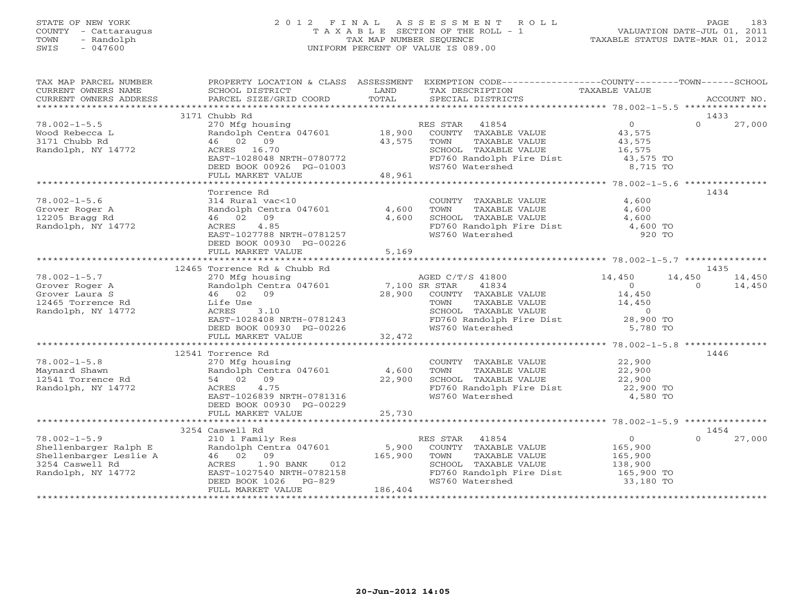# STATE OF NEW YORK 2 0 1 2 F I N A L A S S E S S M E N T R O L L PAGE 183 COUNTY - Cattaraugus T A X A B L E SECTION OF THE ROLL - 1 VALUATION DATE-JUL 01, 2011 TOWN - Randolph TAX MAP NUMBER SEQUENCE TAXABLE STATUS DATE-MAR 01, 2012 SWIS - 047600 UNIFORM PERCENT OF VALUE IS 089.00UNIFORM PERCENT OF VALUE IS 089.00

| TAX MAP PARCEL NUMBER<br>CURRENT OWNERS NAME                                                                                             | SCHOOL DISTRICT<br><b>EXAMPLE SERVICE SERVICE SERVICE SERVICE SERVICE SERVICE SERVICE SERVICE SERVICE SERVICE SERVICE SERVICE SERVICE</b>                                                               | TOTAL                     | PROPERTY LOCATION & CLASS ASSESSMENT EXEMPTION CODE----------------COUNTY-------TOWN------SCHOOL<br>TAX DESCRIPTION                                                                                | TAXABLE VALUE                                                                           | ACCOUNT NO.                                    |
|------------------------------------------------------------------------------------------------------------------------------------------|---------------------------------------------------------------------------------------------------------------------------------------------------------------------------------------------------------|---------------------------|----------------------------------------------------------------------------------------------------------------------------------------------------------------------------------------------------|-----------------------------------------------------------------------------------------|------------------------------------------------|
| CURRENT OWNERS ADDRESS                                                                                                                   | PARCEL SIZE/GRID COORD                                                                                                                                                                                  |                           | SPECIAL DISTRICTS                                                                                                                                                                                  |                                                                                         |                                                |
|                                                                                                                                          | 3171 Chubb Rd                                                                                                                                                                                           |                           |                                                                                                                                                                                                    |                                                                                         | 1433                                           |
| $78.002 - 1 - 5.5$<br>Wood Rebecca L<br>3171 Chubb Rd<br>Randolph, NY 14772                                                              | 270 Mfg housing<br>ACRES 16.70<br>EAST-1028048 NRTH-0780772<br>DEED BOOK 00926 PG-01003<br>FULL MARKET VALUE                                                                                            | $1003$ $48,961$           | RES STAR 41854<br>Fandolph Centra 047601 18,900 COUNTY TAXABLE VALUE<br>46 02 09 43,575 TOWN TAXABLE VALUE<br>SCHOOL TAXABLE VALUE 16,575<br>FD760 Randolph Fire Dist 43,575 TO<br>WS760 Watershed | $\overline{0}$<br>43,575<br>43,575<br>8,715 TO                                          | $\Omega$<br>27,000                             |
|                                                                                                                                          |                                                                                                                                                                                                         |                           |                                                                                                                                                                                                    |                                                                                         |                                                |
| $78.002 - 1 - 5.6$<br>Grover Roger A<br>12205 Bragg Rd<br>Randolph, NY 14772                                                             | Torrence Rd<br>314 Rural vac<10<br>Randolph Centra 047601 4,600<br>46 02 09<br>4.85<br>ACRES<br>EAST-1027788 NRTH-0781257<br>DEED BOOK 00930 PG-00226<br>FULL MARKET VALUE                              | 4,600<br>5,169            | COUNTY TAXABLE VALUE<br>TOWN     TAXABLE VALUE<br>SCHOOL TAXABLE VALUE 4,600<br>FD760 Randolph Fire Dist 4,600 TO<br>WS760 Watershed 920 TO                                                        | 4,600<br>4,600                                                                          | 1434                                           |
|                                                                                                                                          |                                                                                                                                                                                                         |                           |                                                                                                                                                                                                    |                                                                                         |                                                |
| $78.002 - 1 - 5.7$<br>Grover Roger A<br>Grover Laura S<br>12465 Torrence Rd<br>Randolph, NY 14772                                        | 12465 Torrence Rd & Chubb Rd<br>270 Mfg housing<br>Randolph Centra 047601 7,100 SR STAR<br>46 02 09 28,900 COUNTY<br>Life Use<br>3.10<br>ACRES<br>EAST-1028408 NRTH-0781243<br>DEED BOOK 00930 PG-00226 |                           | AGED C/T/S 41800<br>41834<br>COUNTY TAXABLE VALUE<br>TOWN       TAXABLE  VALUE<br>SCHOOL    TAXABLE  VALUE<br>FD760 Randolph Fire Dist<br>WS760 Watershed                                          | 14,450<br>$\overline{0}$<br>14,450<br>14,450<br>$\overline{0}$<br>28,900 TO<br>5,780 TO | 1435<br>14,450<br>14,450<br>14,450<br>$\Omega$ |
|                                                                                                                                          | FULL MARKET VALUE                                                                                                                                                                                       | 32,472                    |                                                                                                                                                                                                    |                                                                                         |                                                |
| $78.002 - 1 - 5.8$<br>Maynard Shawn<br>12541 Torrence Rd<br>Randolph, NY 14772                                                           | 12541 Torrence Rd<br>270 Mfg housing<br>Randolph Centra 047601<br>54 02 09<br>ACRES<br>4.75<br>EAST-1026839 NRTH-0781316<br>DEED BOOK 00930 PG-00229<br>FULL MARKET VALUE                               | 4,600<br>22,900<br>25,730 | COUNTY TAXABLE VALUE 22,900<br>TOWN       TAXABLE  VALUE<br>SCHOOL    TAXABLE  VALUE<br>FD760 Randolph Fire Dist 22,900 TO<br>WS760 Watershed                                                      | 22,900<br>22,900<br>4,580 TO                                                            | 1446                                           |
|                                                                                                                                          |                                                                                                                                                                                                         |                           |                                                                                                                                                                                                    |                                                                                         |                                                |
|                                                                                                                                          | 3254 Caswell Rd                                                                                                                                                                                         |                           |                                                                                                                                                                                                    |                                                                                         | 1454                                           |
| $78.002 - 1 - 5.9$<br>$E$<br>$\Rightarrow$ A<br>Shellenbarger Ralph E<br>Shellenbarger Leslie A<br>3254 Caswell Rd<br>Randolph, NY 14772 | 210 1 Family Res<br>Randolph Centra 047601 5,900<br>0,900<br>ACRES 1.90 BANK 012<br>EAST-1027540 NRTH-0782158<br>DEED BOOK 1026 DC 0200<br>FULL MARKET VALUE                                            | 186,404                   | RES STAR<br>41854<br>COUNTY TAXABLE VALUE<br>TAXABLE VALUE<br>TOWN<br>SCHOOL TAXABLE VALUE<br>FD760 Randolph Fire Dist<br>WS760 Watershed                                                          | $\Omega$<br>165,900<br>165,900<br>138,900<br>$165,900$ TO<br>33,180 TO                  | 27,000<br>$\cap$                               |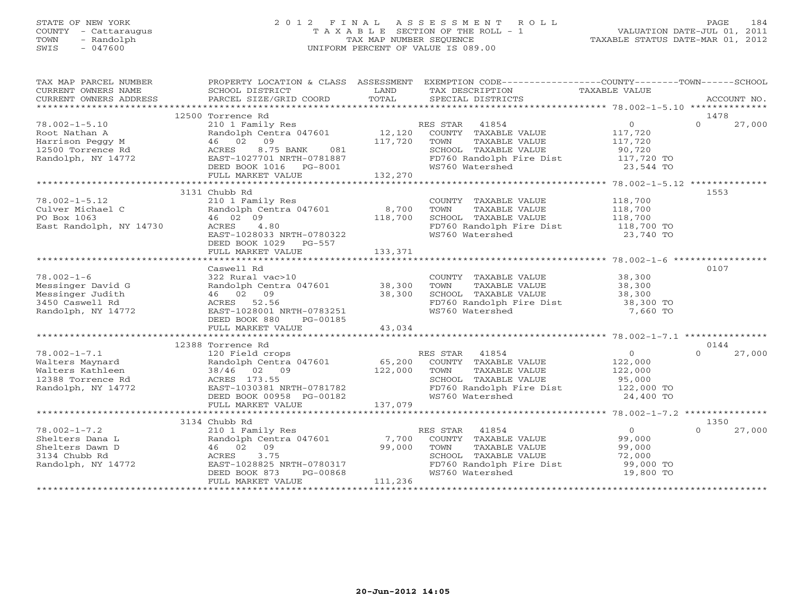# STATE OF NEW YORK 2 0 1 2 F I N A L A S S E S S M E N T R O L L PAGE 184 COUNTY - Cattaraugus T A X A B L E SECTION OF THE ROLL - 1 VALUATION DATE-JUL 01, 2011 TOWN - Randolph TAX MAP NUMBER SEQUENCE TAXABLE STATUS DATE-MAR 01, 2012 SWIS - 047600 UNIFORM PERCENT OF VALUE IS 089.00

| TAX MAP PARCEL NUMBER<br>CURRENT OWNERS NAME<br>CURRENT OWNERS ADDRESS BORCEL SIZE/GRID COORD TOTAL SECIAL DISTRICTS THEORY ACCOUNT NO.<br>TECLE SIZE/GRID COORD TOTAL SECIAL DISTRICTS FOR PORT ACCOUNT NO. | SCHOOL DISTRICT                                                                                                                                                            | LAND              | PROPERTY LOCATION & CLASS ASSESSMENT EXEMPTION CODE----------------COUNTY-------TOWN------SCHOOL<br>TAX DESCRIPTION                    | TAXABLE VALUE                                                          |                            |
|--------------------------------------------------------------------------------------------------------------------------------------------------------------------------------------------------------------|----------------------------------------------------------------------------------------------------------------------------------------------------------------------------|-------------------|----------------------------------------------------------------------------------------------------------------------------------------|------------------------------------------------------------------------|----------------------------|
|                                                                                                                                                                                                              |                                                                                                                                                                            |                   |                                                                                                                                        |                                                                        |                            |
| $78.002 - 1 - 5.10$                                                                                                                                                                                          | 12500 Torrence Rd<br>210 1 Family Res<br>Randolph Centra 047601 12,120                                                                                                     |                   | RES STAR 41854<br>COUNTY TAXABLE VALUE                                                                                                 | $\overline{0}$<br>117,720                                              | 1478<br>$\Omega$<br>27,000 |
| Not Nathan A<br>Harrison Peggy M<br>12500 Torrence Rd<br>1177 NY 14772                                                                                                                                       | 46 02 09<br>8.75 BANK<br>081<br>ACRES<br>EAST-1027701 NRTH-0781887                                                                                                         | 117,720           | TOWN<br>TAXABLE VALUE<br>SCHOOL TAXABLE VALUE<br>FD760 Randolph Fire Dist                                                              | 117,720<br>90,720<br>117,720 TO                                        |                            |
|                                                                                                                                                                                                              | DEED BOOK 1016 PG-8001<br>FULL MARKET VALUE                                                                                                                                | 132,270           | WS760 Watershed                                                                                                                        | 23,544 TO                                                              |                            |
|                                                                                                                                                                                                              | 3131 Chubb Rd                                                                                                                                                              |                   |                                                                                                                                        |                                                                        | 1553                       |
| $78.002 - 1 - 5.12$<br>Culver Michael C<br>PO Box 1063<br>East Randolph, NY 14730                                                                                                                            | 210 1 Family Res<br>Randolph Centra 047601<br>46 02 09<br>ACRES<br>4.80                                                                                                    | 8,700<br>118,700  | COUNTY TAXABLE VALUE 118,700<br>TOWN<br>TAXABLE VALUE<br>SCHOOL TAXABLE VALUE<br>FD760 Randolph Fire Dist 118,700 TO                   | 118,700<br>118,700                                                     |                            |
|                                                                                                                                                                                                              | EAST-1028033 NRTH-0780322<br>DEED BOOK 1029 PG-557<br>FULL MARKET VALUE                                                                                                    | 133,371           | WS760 Watershed                                                                                                                        | 23,740 TO                                                              |                            |
|                                                                                                                                                                                                              | Caswell Rd                                                                                                                                                                 |                   |                                                                                                                                        |                                                                        | 0107                       |
| $78.002 - 1 - 6$<br>Messinger David G<br>Messinger Judith<br>3450 Caswell Rd<br>Randolph, NY 14772                                                                                                           | 322 Rural vac>10<br>Randolph Centra 047601 38,300<br>46 02 09 38,300<br>ACRES 52.56 38,300<br>EAST-1028001 NRTH-0783251<br>DEED BOOK 880<br>PG-00185                       |                   | COUNTY TAXABLE VALUE 38,300<br>TAXABLE VALUE<br>TOWN<br>SCHOOL TAXABLE VALUE<br>FD760 Randolph Fire Dist<br>WS760 Watershed            | 38,300<br>38,300<br>38,300 TO<br>7,660 TO                              |                            |
|                                                                                                                                                                                                              | FULL MARKET VALUE                                                                                                                                                          | 43,034            |                                                                                                                                        |                                                                        |                            |
|                                                                                                                                                                                                              | 12388 Torrence Rd                                                                                                                                                          |                   |                                                                                                                                        |                                                                        | 0144                       |
| $78.002 - 1 - 7.1$<br>Walters Maynard<br>Walters Kathleen<br>Walters Autoria<br>12388 Torrence Rd<br>Bandolph, NY 14772                                                                                      | 120 Field crops<br>Randolph Centra 047601 65,200 COUNTY TAXABLE VALUE<br>38/46 02 09<br>ACRES 173.55<br>EAST-1030381 NRTH-0781782<br>DEED BOOK 00958 PG-00182              | 122,000           | TOWN<br>TAXABLE VALUE<br>SCHOOL TAXABLE VALUE<br>FD760 Randolph Fire Dist 122,000 TO<br>WS760 Watershed                                | $\overline{0}$<br>122,000<br>122,000<br>95,000<br>24,400 TO            | $\cap$<br>27,000           |
|                                                                                                                                                                                                              | FULL MARKET VALUE                                                                                                                                                          | 137,079           |                                                                                                                                        |                                                                        |                            |
|                                                                                                                                                                                                              |                                                                                                                                                                            |                   |                                                                                                                                        |                                                                        |                            |
| $78.002 - 1 - 7.2$<br>Shelters Dana L<br>Shelters Dawn D<br>3134 Chubb Rd<br>Randolph, NY 14772                                                                                                              | 3134 Chubb Rd<br>210 1 Family Res<br>Randolph Centra 047601 7,700<br>46 02 09<br>3.75<br>ACRES<br>EAST-1028825 NRTH-0780317<br>DEED BOOK 873 PG-00868<br>FULL MARKET VALUE | 99,000<br>111,236 | RES STAR 41854<br>COUNTY TAXABLE VALUE<br>TAXABLE VALUE<br>TOWN<br>SCHOOL TAXABLE VALUE<br>FD760 Randolph Fire Dist<br>WS760 Watershed | $\overline{0}$<br>99,000<br>99,000<br>72,000<br>99,000 TO<br>19,800 TO | 1350<br>27,000<br>$\Omega$ |
|                                                                                                                                                                                                              |                                                                                                                                                                            |                   |                                                                                                                                        |                                                                        |                            |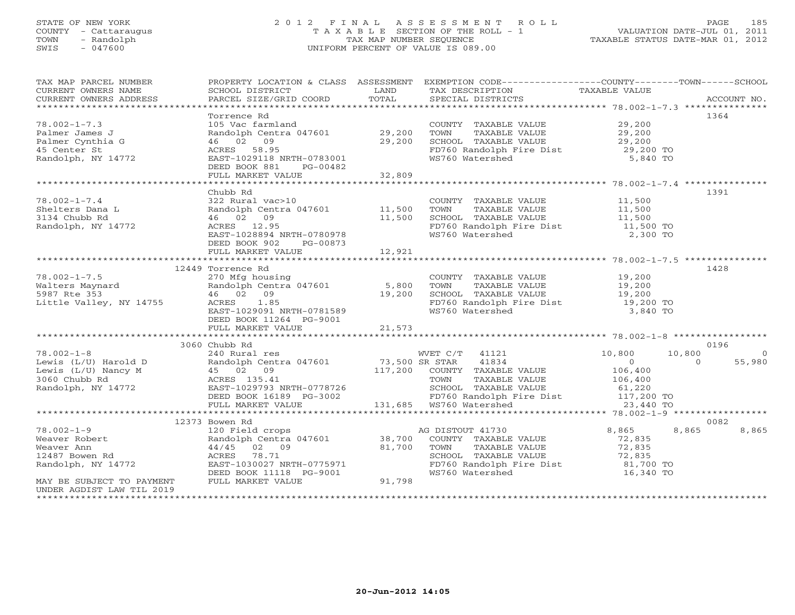# STATE OF NEW YORK 2 0 1 2 F I N A L A S S E S S M E N T R O L L PAGE 185 COUNTY - Cattaraugus T A X A B L E SECTION OF THE ROLL - 1 VALUATION DATE-JUL 01, 2011 TOWN - Randolph TAX MAP NUMBER SEQUENCE TAXABLE STATUS DATE-MAR 01, 2012 SWIS - 047600 UNIFORM PERCENT OF VALUE IS 089.00UNIFORM PERCENT OF VALUE IS 089.00

| TAX MAP PARCEL NUMBER<br>CURRENT OWNERS NAME                                                                                                                        | SCHOOL DISTRICT                                                                                                                   | LAND           | PROPERTY LOCATION & CLASS ASSESSMENT EXEMPTION CODE---------------COUNTY-------TOWN------SCHOOL<br>TAX DESCRIPTION | TAXABLE VALUE       |                |                |
|---------------------------------------------------------------------------------------------------------------------------------------------------------------------|-----------------------------------------------------------------------------------------------------------------------------------|----------------|--------------------------------------------------------------------------------------------------------------------|---------------------|----------------|----------------|
| CURRENT OWNERS ADDRESS                                                                                                                                              | PARCEL SIZE/GRID COORD                                                                                                            | TOTAL          | SPECIAL DISTRICTS                                                                                                  |                     |                | ACCOUNT NO.    |
|                                                                                                                                                                     |                                                                                                                                   |                |                                                                                                                    |                     |                |                |
|                                                                                                                                                                     | Torrence Rd                                                                                                                       |                |                                                                                                                    |                     | 1364           |                |
| $78.002 - 1 - 7.3$                                                                                                                                                  | 105 Vac farmland                                                                                                                  |                | COUNTY TAXABLE VALUE 29,200                                                                                        |                     |                |                |
| Palmer James J<br>Palmer Cynthia G                                                                                                                                  | Randolph Centra 047601 29,200<br>46 02 09                                                                                         |                |                                                                                                                    |                     |                |                |
| 45 Center St                                                                                                                                                        | ACRES 58.95                                                                                                                       | 29,200         |                                                                                                                    | 29,200 TO           |                |                |
| Randolph, NY 14772                                                                                                                                                  | EAST-1029118 NRTH-0783001                                                                                                         |                | FD760 Randolph Fire Dist<br>WS760 Watershed                                                                        | 5,840 TO            |                |                |
|                                                                                                                                                                     | DEED BOOK 881<br>PG-00482                                                                                                         |                |                                                                                                                    |                     |                |                |
|                                                                                                                                                                     | FULL MARKET VALUE                                                                                                                 | 32,809         |                                                                                                                    |                     |                |                |
|                                                                                                                                                                     |                                                                                                                                   |                |                                                                                                                    |                     |                |                |
|                                                                                                                                                                     | Chubb Rd                                                                                                                          |                |                                                                                                                    |                     | 1391           |                |
| $78.002 - 1 - 7.4$                                                                                                                                                  | 322 Rural vac>10                                                                                                                  |                |                                                                                                                    |                     |                |                |
| Shelters Dana L<br>Shelters Dana L                                                                                                                                  | Randolph Centra 047601 11,500                                                                                                     |                | COUNTY TAXABLE VALUE<br>TOWN     TAXABLE VALUE                                                                     | 11,500<br>11,500    |                |                |
|                                                                                                                                                                     | 46 02 09<br>11,500                                                                                                                |                |                                                                                                                    |                     |                |                |
| Randolph, NY 14772                                                                                                                                                  | ACRES 12.95                                                                                                                       |                | SCHOOL TAXABLE VALUE<br>FD760 Randolph Fire Dist                                                                   | 11,500<br>11,500 TO |                |                |
|                                                                                                                                                                     | EAST-1028894 NRTH-0780978                                                                                                         |                | WS760 Watershed                                                                                                    | 2,300 TO            |                |                |
|                                                                                                                                                                     | DEED BOOK 902<br>PG-00873                                                                                                         |                |                                                                                                                    |                     |                |                |
|                                                                                                                                                                     | FULL MARKET VALUE                                                                                                                 | 12,921         |                                                                                                                    |                     |                |                |
|                                                                                                                                                                     |                                                                                                                                   |                |                                                                                                                    |                     |                |                |
|                                                                                                                                                                     | 12449 Torrence Rd                                                                                                                 |                |                                                                                                                    |                     | 1428           |                |
| $78.002 - 1 - 7.5$                                                                                                                                                  | 270 Mfg housing                                                                                                                   |                | COUNTY TAXABLE VALUE 19,200                                                                                        |                     |                |                |
| Walters Maynard                       Randolph Centra 047601              5,800<br>5987 Rte 353                       46   02   09                           19,200 |                                                                                                                                   |                | TOWN      TAXABLE VALUE<br>SCHOOL   TAXABLE VALUE                                                                  | 19,200<br>19,200    |                |                |
|                                                                                                                                                                     |                                                                                                                                   |                |                                                                                                                    |                     |                |                |
| Little Valley, NY 14755                                                                                                                                             | ACRES 1.85<br>ACRES 1.85<br>EAST-1029091 NRTH-0781589                                                                             |                | FD760 Randolph Fire Dist 19,200 TO                                                                                 |                     |                |                |
|                                                                                                                                                                     |                                                                                                                                   |                | WS760 Watershed                                                                                                    | 3,840 TO            |                |                |
|                                                                                                                                                                     | DEED BOOK 11264 PG-9001                                                                                                           |                |                                                                                                                    |                     |                |                |
|                                                                                                                                                                     |                                                                                                                                   |                |                                                                                                                    |                     |                |                |
|                                                                                                                                                                     | 3060 Chubb Rd                                                                                                                     |                |                                                                                                                    |                     | 0196           |                |
| $78.002 - 1 - 8$                                                                                                                                                    | 240 Rural res                                                                                                                     |                | WVET C/T 41121                                                                                                     | 10,800              | 10,800         | $\overline{0}$ |
|                                                                                                                                                                     |                                                                                                                                   |                |                                                                                                                    | $\overline{0}$      | $\overline{a}$ | 55,980         |
|                                                                                                                                                                     |                                                                                                                                   |                |                                                                                                                    |                     |                |                |
|                                                                                                                                                                     |                                                                                                                                   |                |                                                                                                                    | 106,400<br>106,400  |                |                |
|                                                                                                                                                                     |                                                                                                                                   |                |                                                                                                                    |                     |                |                |
|                                                                                                                                                                     |                                                                                                                                   |                |                                                                                                                    |                     |                |                |
|                                                                                                                                                                     | EAST-1029793 NRTH-0778726 SCHOOL TAXABLE<br>DEED BOOK 16189 PG-3002 FD760 Randolph F<br>FULL MARKET VALUE 131,685 WS760 Watershed |                |                                                                                                                    |                     |                |                |
|                                                                                                                                                                     |                                                                                                                                   |                |                                                                                                                    |                     |                |                |
|                                                                                                                                                                     | 12373 Bowen Rd                                                                                                                    |                |                                                                                                                    |                     | 0082           |                |
| $78.002 - 1 - 9$                                                                                                                                                    | 120 Field crops                                                                                                                   |                | AG DISTOUT 41730                                                                                                   | 8,865               | 8,865          | 8,865          |
| Weaver Robert                                                                                                                                                       | Randolph Centra 047601 38,700                                                                                                     |                | COUNTY TAXABLE VALUE                                                                                               | 72,835              |                |                |
| Weaver Ann                                                                                                                                                          | 44/45 02 09                                                                                                                       | 81,700         | TAXABLE VALUE<br>TOWN                                                                                              | 72,835              |                |                |
| 12487 Bowen Rd                                                                                                                                                      | ACRES 78.71                                                                                                                       |                | SCHOOL TAXABLE VALUE<br>FD760 Randolph Fire Dist                                                                   | 72,835<br>81,700 TO |                |                |
| Randolph, NY 14772                                                                                                                                                  | EAST-1030027 NRTH-0775971                                                                                                         |                |                                                                                                                    |                     |                |                |
|                                                                                                                                                                     | DEED BOOK 11118 PG-9001<br>FULL MARKET VALUE                                                                                      | $-9001$ 91,798 | WS760 Watershed                                                                                                    | 16,340 TO           |                |                |
| MAY BE SUBJECT TO PAYMENT<br>UNDER AGDIST LAW TIL 2019                                                                                                              |                                                                                                                                   |                |                                                                                                                    |                     |                |                |
|                                                                                                                                                                     |                                                                                                                                   |                |                                                                                                                    |                     |                |                |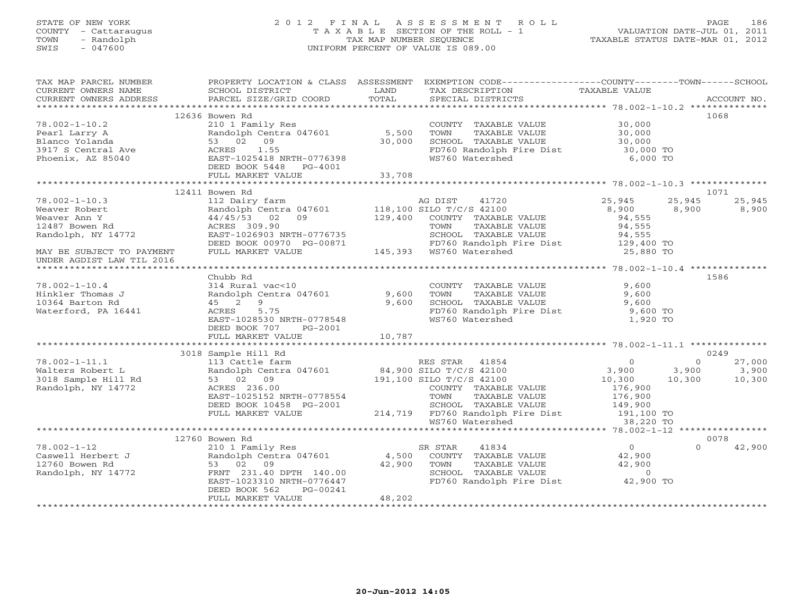# STATE OF NEW YORK 2 0 1 2 F I N A L A S S E S S M E N T R O L L PAGE 186 COUNTY - Cattaraugus T A X A B L E SECTION OF THE ROLL - 1 VALUATION DATE-JUL 01, 2011 TOWN - Randolph TAX MAP NUMBER SEQUENCE TAXABLE STATUS DATE-MAR 01, 2012 SWIS - 047600 UNIFORM PERCENT OF VALUE IS 089.00UNIFORM PERCENT OF VALUE IS 089.00

| TAX MAP PARCEL NUMBER<br>CURRENT OWNERS NAME                                                                                                                                                                                         | SCHOOL DISTRICT                                                                | <b>LAND</b> | PROPERTY LOCATION & CLASS ASSESSMENT EXEMPTION CODE---------------COUNTY-------TOWN------SCHOOL<br>TAX DESCRIPTION                                                             | TAXABLE VALUE                          |          |                                  |
|--------------------------------------------------------------------------------------------------------------------------------------------------------------------------------------------------------------------------------------|--------------------------------------------------------------------------------|-------------|--------------------------------------------------------------------------------------------------------------------------------------------------------------------------------|----------------------------------------|----------|----------------------------------|
|                                                                                                                                                                                                                                      |                                                                                |             |                                                                                                                                                                                |                                        |          |                                  |
|                                                                                                                                                                                                                                      |                                                                                |             |                                                                                                                                                                                |                                        |          |                                  |
|                                                                                                                                                                                                                                      | 12636 Bowen Rd                                                                 |             |                                                                                                                                                                                |                                        |          | 1068                             |
| $78.002 - 1 - 10.2$                                                                                                                                                                                                                  | 210 1 Family Res                                                               |             | COUNTY TAXABLE VALUE<br>TOWN TAXABLE VALUE 30,000<br>SCHOOL TAXABLE VALUE 30,000<br>FD760 Randolph Fire Dist 30,000 TO<br>WS760 Watershed 6,000 TO                             |                                        |          |                                  |
|                                                                                                                                                                                                                                      | Randolph Centra 047601 5,500<br>53 02 09 30,000<br>ACRES 1.55                  |             |                                                                                                                                                                                |                                        |          |                                  |
|                                                                                                                                                                                                                                      |                                                                                |             |                                                                                                                                                                                |                                        |          |                                  |
|                                                                                                                                                                                                                                      |                                                                                |             |                                                                                                                                                                                |                                        |          |                                  |
|                                                                                                                                                                                                                                      |                                                                                |             |                                                                                                                                                                                |                                        |          |                                  |
|                                                                                                                                                                                                                                      | DEED BOOK 5448 PG-4001                                                         |             |                                                                                                                                                                                |                                        |          |                                  |
|                                                                                                                                                                                                                                      | FULL MARKET VALUE                                                              | 33,708      |                                                                                                                                                                                |                                        |          |                                  |
|                                                                                                                                                                                                                                      |                                                                                |             |                                                                                                                                                                                |                                        |          |                                  |
|                                                                                                                                                                                                                                      | 12411 Bowen Rd                                                                 |             |                                                                                                                                                                                |                                        |          | 1071                             |
|                                                                                                                                                                                                                                      |                                                                                |             |                                                                                                                                                                                | 25,945                                 | 25,945   | 25,945                           |
|                                                                                                                                                                                                                                      |                                                                                |             |                                                                                                                                                                                | 8,900                                  |          | 8,900 8,900                      |
|                                                                                                                                                                                                                                      |                                                                                |             |                                                                                                                                                                                | 94,555                                 |          |                                  |
|                                                                                                                                                                                                                                      |                                                                                |             |                                                                                                                                                                                |                                        |          |                                  |
|                                                                                                                                                                                                                                      |                                                                                |             |                                                                                                                                                                                |                                        |          |                                  |
|                                                                                                                                                                                                                                      |                                                                                |             |                                                                                                                                                                                |                                        |          |                                  |
| MAY BE SUBJECT TO PAYMENT                                                                                                                                                                                                            | FULL MARKET VALUE                                                              |             | FD760 Randolph Fire Dist 129,400 TO<br>WS760 Watershed 25,880 TO<br>5-00871 FD760 Randolph I<br>145,393 WS760 Watershed                                                        |                                        |          |                                  |
| UNDER AGDIST LAW TIL 2016                                                                                                                                                                                                            |                                                                                |             |                                                                                                                                                                                |                                        |          |                                  |
|                                                                                                                                                                                                                                      |                                                                                |             |                                                                                                                                                                                |                                        |          |                                  |
|                                                                                                                                                                                                                                      | Chubb Rd                                                                       |             |                                                                                                                                                                                |                                        |          | 1586                             |
| $78.002 - 1 - 10.4$                                                                                                                                                                                                                  |                                                                                |             |                                                                                                                                                                                |                                        |          |                                  |
| Hinkler Thomas J                                                                                                                                                                                                                     |                                                                                |             |                                                                                                                                                                                |                                        |          |                                  |
| 10364 Barton Rd                                                                                                                                                                                                                      | 314 Rural vac<10<br>Randolph Centra 047601 9,600<br>45 2 9<br>ACRES 5.75 9,600 |             | COUNTY TAXABLE VALUE $9,600$<br>TOWN TAXABLE VALUE $9,600$<br>SCHOOL TAXABLE VALUE $9,600$<br>FD760 Randolph Fire Dist $9,600$<br>WS760 Watershed 1,920 TO                     |                                        |          |                                  |
| Waterford, PA 16441                                                                                                                                                                                                                  | ACRES 5.75                                                                     |             |                                                                                                                                                                                |                                        |          |                                  |
|                                                                                                                                                                                                                                      | EAST-1028530 NRTH-0778548                                                      |             |                                                                                                                                                                                |                                        |          |                                  |
|                                                                                                                                                                                                                                      | DEED BOOK 707 PG-2001                                                          |             |                                                                                                                                                                                |                                        |          |                                  |
|                                                                                                                                                                                                                                      | FULL MARKET VALUE                                                              | 10,787      |                                                                                                                                                                                |                                        |          |                                  |
|                                                                                                                                                                                                                                      |                                                                                |             |                                                                                                                                                                                |                                        |          |                                  |
|                                                                                                                                                                                                                                      | 3018 Sample Hill Rd                                                            |             |                                                                                                                                                                                |                                        |          | 0249                             |
| --<br>J018 Sample Hill Rd<br>Randolph, NY 14772                                                                                                                                                                                      |                                                                                |             |                                                                                                                                                                                |                                        | $\Omega$ | 27,000                           |
|                                                                                                                                                                                                                                      |                                                                                |             |                                                                                                                                                                                |                                        |          |                                  |
|                                                                                                                                                                                                                                      | 53 02 09                                                                       |             |                                                                                                                                                                                |                                        |          | $3,900$ $3,900$<br>10,300 10,300 |
|                                                                                                                                                                                                                                      |                                                                                |             |                                                                                                                                                                                |                                        |          |                                  |
|                                                                                                                                                                                                                                      |                                                                                |             |                                                                                                                                                                                |                                        |          |                                  |
|                                                                                                                                                                                                                                      | DEED BOOK 10458 PG-2001                                                        |             |                                                                                                                                                                                |                                        |          |                                  |
|                                                                                                                                                                                                                                      | FULL MARKET VALUE                                                              |             |                                                                                                                                                                                |                                        |          |                                  |
|                                                                                                                                                                                                                                      |                                                                                |             | COUNTY TAXABLE VALUE 176,900<br>PG-2001 COUNTY TAXABLE VALUE 176,900<br>PG-2001 SCHOOL TAXABLE VALUE 149,900<br>214,719 FD760 Randolph Fire Dist 191,100 TO<br>WS760 Watershed |                                        |          |                                  |
|                                                                                                                                                                                                                                      |                                                                                |             |                                                                                                                                                                                |                                        |          |                                  |
|                                                                                                                                                                                                                                      | 12760 Bowen Rd                                                                 |             |                                                                                                                                                                                |                                        |          | 0078                             |
|                                                                                                                                                                                                                                      |                                                                                |             |                                                                                                                                                                                |                                        | $\Omega$ | 42,900                           |
| 12760 Bowell Herbert J<br>12760 Bowen Rd 12760 Bowen Rd 12772<br>Randolph Centra 047601<br>231.40 DPTH 140.00 2311.40 DPTH 140.00 23310 NRTH-0776447 231.40 DPTH 140.00 22.900 22.900 22.900 22.900 22.900 22.900 22.900 22.900 22.9 |                                                                                |             |                                                                                                                                                                                | $\begin{array}{c}0\\42,900\end{array}$ |          |                                  |
|                                                                                                                                                                                                                                      |                                                                                |             |                                                                                                                                                                                |                                        |          |                                  |
|                                                                                                                                                                                                                                      |                                                                                |             |                                                                                                                                                                                |                                        |          |                                  |
|                                                                                                                                                                                                                                      |                                                                                |             | FD760 Randolph Fire Dist 42,900 TO                                                                                                                                             |                                        |          |                                  |
|                                                                                                                                                                                                                                      | DEED BOOK 562<br>PG-00241                                                      |             |                                                                                                                                                                                |                                        |          |                                  |
|                                                                                                                                                                                                                                      | FULL MARKET VALUE                                                              | 48,202      |                                                                                                                                                                                |                                        |          |                                  |
|                                                                                                                                                                                                                                      |                                                                                |             |                                                                                                                                                                                |                                        |          |                                  |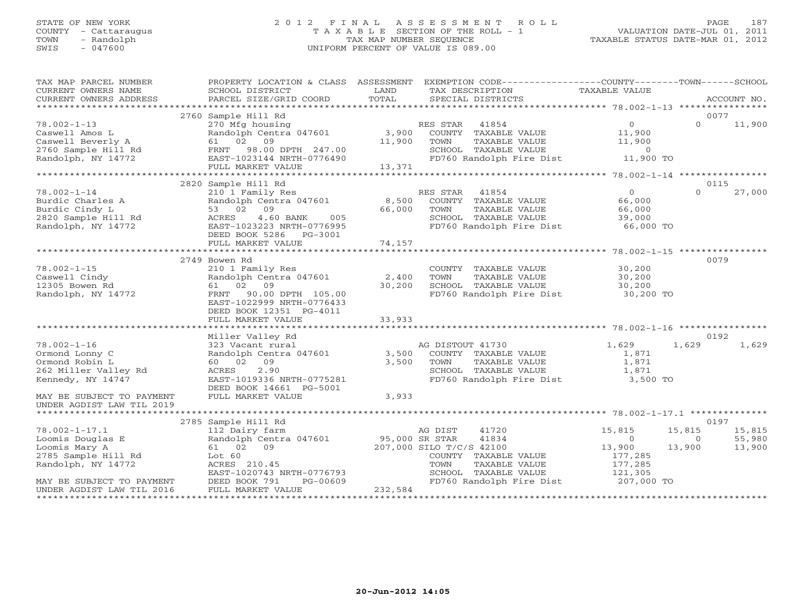# STATE OF NEW YORK 2 0 1 2 F I N A L A S S E S S M E N T R O L L PAGE 187 COUNTY - Cattaraugus T A X A B L E SECTION OF THE ROLL - 1 VALUATION DATE-JUL 01, 2011 TOWN - Randolph TAX MAP NUMBER SEQUENCE TAXABLE STATUS DATE-MAR 01, 2012 SWIS - 047600 UNIFORM PERCENT OF VALUE IS 089.00UNIFORM PERCENT OF VALUE IS 089.00

| TAX MAP PARCEL NUMBER<br>CURRENT OWNERS NAME<br>CURRENT OWNERS ADDRESS                                                             | SCHOOL DISTRICT<br>PARCEL SIZE/GRID COORD                                                                                                                         | LAND<br>TOTAL           | PROPERTY LOCATION & CLASS ASSESSMENT EXEMPTION CODE----------------COUNTY-------TOWN------SCHOOL<br>TAX DESCRIPTION<br>SPECIAL DISTRICTS                   | TAXABLE VALUE                                                               | ACCOUNT NO.                                                |
|------------------------------------------------------------------------------------------------------------------------------------|-------------------------------------------------------------------------------------------------------------------------------------------------------------------|-------------------------|------------------------------------------------------------------------------------------------------------------------------------------------------------|-----------------------------------------------------------------------------|------------------------------------------------------------|
|                                                                                                                                    | 2760 Sample Hill Rd                                                                                                                                               |                         |                                                                                                                                                            |                                                                             | 0077                                                       |
| $78.002 - 1 - 13$<br>Caswell Amos L<br>Caswell Beverly A<br>Caswell Devell,<br>2760 Sample Hill Rd<br>Randolph, NY 14772           | 270 Mfg housing<br>Randolph Centra 047601<br>61 02 09<br>FRNT 98.00 DPTH 247.00<br>EAST-1023144 NRTH-0776490                                                      | 3,900<br>11,900         | RES STAR 41854<br>COUNTY TAXABLE VALUE<br>TOWN<br>TAXABLE VALUE                                                                                            | $\overline{0}$<br>11,900<br>11,900                                          | $\Omega$<br>11,900                                         |
|                                                                                                                                    | FULL MARKET VALUE                                                                                                                                                 | 13,371                  |                                                                                                                                                            |                                                                             |                                                            |
|                                                                                                                                    |                                                                                                                                                                   |                         |                                                                                                                                                            |                                                                             |                                                            |
| $78.002 - 1 - 14$<br>Burdic Charles A<br>Burdic Cindy L<br>2820 Sample Hill Rd<br>Randolph, NY 14772                               | 2820 Sample Hill Rd<br>210 1 Family Res<br>Randolph Centra 047601<br>53 02 09<br>ACRES<br>4.60 BANK<br>005<br>EAST-1023223 NRTH-0776995<br>DEED BOOK 5286 PG-3001 | 8,500<br>66,000         | RES STAR 41854<br>COUNTY TAXABLE VALUE<br>TOWN<br>TAXABLE VALUE<br>SCHOOL TAXABLE VALUE<br>FD760 Randolph Fire Dist                                        | $\overline{0}$<br>66,000<br>66,000<br>39,000<br>66,000 TO                   | 0115<br>27,000<br>$\Omega$                                 |
|                                                                                                                                    | FULL MARKET VALUE                                                                                                                                                 | 74,157                  |                                                                                                                                                            |                                                                             |                                                            |
|                                                                                                                                    | 2749 Bowen Rd                                                                                                                                                     |                         |                                                                                                                                                            |                                                                             | 0079                                                       |
| $78.002 - 1 - 15$<br>Caswell Cindy<br>12305 Bowen Rd<br>Randolph, NY 14772                                                         | 210 1 Family Res<br>Randolph Centra 047601<br>61 02 09<br>FRNT 90.00 DPTH 105.00<br>EAST-1022999 NRTH-0776433<br>DEED BOOK 12351 PG-4011                          | 2,400<br>30,200         | COUNTY TAXABLE VALUE<br>TOWN<br>TAXABLE VALUE<br>SCHOOL TAXABLE VALUE<br>FD760 Randolph Fire Dist                                                          | 30,200<br>30,200<br>30,200<br>30,200 TO                                     |                                                            |
|                                                                                                                                    | FULL MARKET VALUE                                                                                                                                                 | 33,933                  |                                                                                                                                                            |                                                                             |                                                            |
|                                                                                                                                    | Miller Valley Rd                                                                                                                                                  |                         |                                                                                                                                                            |                                                                             | 0192                                                       |
| $78.002 - 1 - 16$<br>Ormond Lonny C<br>Ormond Robin L<br>262 Miller Valley Rd<br>Kennedy, NY 14747<br>MAY BE SUBJECT TO PAYMENT    | 323 Vacant rural<br>Randolph Centra 047601<br>60 02 09<br>ACRES<br>2.90<br>EAST-1019336 NRTH-0775281<br>DEED BOOK 14661 PG-5001<br>FULL MARKET VALUE              | 3,500<br>3,500<br>3,933 | AG DISTOUT 41730<br>COUNTY TAXABLE VALUE<br>TOWN<br>TAXABLE VALUE<br>SCHOOL TAXABLE VALUE<br>FD760 Randolph Fire Dist                                      | 1,629<br>1,871<br>1,871<br>1,871<br>3,500 TO                                | 1,629<br>1,629                                             |
| UNDER AGDIST LAW TIL 2019                                                                                                          |                                                                                                                                                                   |                         |                                                                                                                                                            |                                                                             |                                                            |
|                                                                                                                                    | 2785 Sample Hill Rd                                                                                                                                               |                         |                                                                                                                                                            |                                                                             | 0197                                                       |
| $78.002 - 1 - 17.1$<br>Loomis Douglas E<br>Loomis Mary A<br>2785 Sample Hill Rd<br>Randolph, NY 14772<br>MAY BE SUBJECT TO PAYMENT | 112 Dairy farm<br>Randolph Centra 047601 95,000 SR STAR<br>61 02 09<br>Lot 60<br>ACRES 210.45<br>EAST-1020743 NRTH-0776793<br>PG-00609<br>DEED BOOK 791           |                         | 41720<br>AG DIST<br>41834<br>207,000 SILO T/C/S 42100<br>COUNTY TAXABLE VALUE<br>TOWN<br>TAXABLE VALUE<br>SCHOOL TAXABLE VALUE<br>FD760 Randolph Fire Dist | 15,815<br>$\Omega$<br>13,900<br>177,285<br>177,285<br>121,305<br>207,000 TO | 15,815<br>15,815<br>55,980<br>$\Omega$<br>13,900<br>13,900 |
| UNDER AGDIST LAW TIL 2016                                                                                                          | FULL MARKET VALUE                                                                                                                                                 | 232,584                 |                                                                                                                                                            | ********************************                                            |                                                            |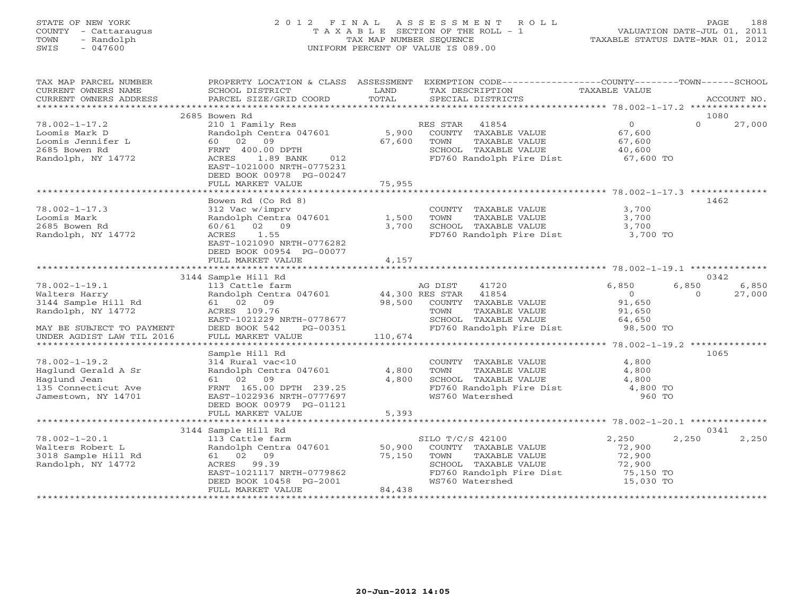# STATE OF NEW YORK 2 0 1 2 F I N A L A S S E S S M E N T R O L L PAGE 188 COUNTY - Cattaraugus T A X A B L E SECTION OF THE ROLL - 1 VALUATION DATE-JUL 01, 2011 TOWN - Randolph TAX MAP NUMBER SEQUENCE TAXABLE STATUS DATE-MAR 01, 2012 SWIS - 047600 UNIFORM PERCENT OF VALUE IS 089.00

| TAX MAP PARCEL NUMBER<br>CURRENT OWNERS NAME<br>CURRENT OWNERS ADDRESS                                   | PROPERTY LOCATION & CLASS ASSESSMENT<br>SCHOOL DISTRICT<br>PARCEL SIZE/GRID COORD                                                                                   | LAND<br>TOTAL              | EXEMPTION CODE-----------------COUNTY-------TOWN------SCHOOL<br>TAX DESCRIPTION<br>SPECIAL DISTRICTS                                     | TAXABLE VALUE                                                 | ACCOUNT NO.                          |
|----------------------------------------------------------------------------------------------------------|---------------------------------------------------------------------------------------------------------------------------------------------------------------------|----------------------------|------------------------------------------------------------------------------------------------------------------------------------------|---------------------------------------------------------------|--------------------------------------|
|                                                                                                          |                                                                                                                                                                     |                            |                                                                                                                                          |                                                               |                                      |
|                                                                                                          | 2685 Bowen Rd                                                                                                                                                       |                            |                                                                                                                                          |                                                               | 1080                                 |
| $78.002 - 1 - 17.2$<br>Loomis Mark D<br>Loomis Jennifer L<br>2685 Bowen Rd<br>Randolph, NY 14772         | 210 1 Family Res<br>Randolph Centra 047601<br>60 02<br>09<br>FRNT 400.00 DPTH<br>1.89 BANK<br>ACRES<br>012<br>EAST-1021000 NRTH-0775231<br>DEED BOOK 00978 PG-00247 | 5,900<br>67,600            | 41854<br>RES STAR<br>COUNTY TAXABLE VALUE<br>TOWN<br>TAXABLE VALUE<br>SCHOOL TAXABLE VALUE<br>FD760 Randolph Fire Dist                   | $\overline{0}$<br>67,600<br>67,600<br>40,600<br>$67,600$ TO   | $\Omega$<br>27,000                   |
|                                                                                                          | FULL MARKET VALUE                                                                                                                                                   | 75,955                     |                                                                                                                                          |                                                               |                                      |
|                                                                                                          |                                                                                                                                                                     |                            |                                                                                                                                          |                                                               |                                      |
|                                                                                                          | Bowen Rd (Co Rd 8)                                                                                                                                                  |                            |                                                                                                                                          |                                                               | 1462                                 |
| $78.002 - 1 - 17.3$<br>Loomis Mark<br>2685 Bowen Rd<br>Randolph, NY 14772                                | 312 Vac w/imprv<br>Randolph Centra 047601<br>60/61 02 09<br>ACRES<br>1.55<br>EAST-1021090 NRTH-0776282<br>DEED BOOK 00954 PG-00077                                  | 1,500<br>3,700             | COUNTY TAXABLE VALUE<br>TOWN<br>TAXABLE VALUE<br>SCHOOL TAXABLE VALUE<br>FD760 Randolph Fire Dist 3,700 TO                               | 3,700<br>3,700<br>3,700                                       |                                      |
|                                                                                                          | FULL MARKET VALUE                                                                                                                                                   | 4,157                      |                                                                                                                                          |                                                               |                                      |
|                                                                                                          |                                                                                                                                                                     |                            |                                                                                                                                          |                                                               |                                      |
|                                                                                                          | 3144 Sample Hill Rd                                                                                                                                                 |                            |                                                                                                                                          |                                                               | 0342                                 |
| $78.002 - 1 - 19.1$<br>Walters Harry<br>3144 Sample Hill Rd<br>Randolph, NY 14772                        | 113 Cattle farm<br>Randolph Centra 047601 44,300 RES STAR<br>61 02 09<br>ACRES 109.76<br>EAST-1021229 NRTH-0778677                                                  | 98,500                     | AG DIST<br>41720<br>41854<br>COUNTY TAXABLE VALUE<br>TOWN<br>TAXABLE VALUE<br>SCHOOL TAXABLE VALUE                                       | 6,850<br>$\Omega$<br>91,650<br>91,650<br>64,650               | 6,850<br>6,850<br>27,000<br>$\Omega$ |
| MAY BE SUBJECT TO PAYMENT                                                                                | DEED BOOK 542<br>PG-00351                                                                                                                                           |                            | FD760 Randolph Fire Dist                                                                                                                 | $98,500$ TO                                                   |                                      |
| UNDER AGDIST LAW TIL 2016                                                                                | FULL MARKET VALUE                                                                                                                                                   | 110,674                    |                                                                                                                                          |                                                               |                                      |
|                                                                                                          | Sample Hill Rd                                                                                                                                                      |                            |                                                                                                                                          |                                                               | 1065                                 |
| $78.002 - 1 - 19.2$<br>Haglund Gerald A Sr<br>Haglund Jean<br>135 Connecticut Ave<br>Jamestown, NY 14701 | 314 Rural vac<10<br>Randolph Centra 047601<br>61 02 09<br>FRNT 165.00 DPTH 239.25<br>EAST-1022936 NRTH-0777697<br>DEED BOOK 00979 PG-01121<br>FULL MARKET VALUE     | 4,800<br>4,800<br>5,393    | COUNTY TAXABLE VALUE<br>TOWN<br>TAXABLE VALUE<br>SCHOOL TAXABLE VALUE<br>FD760 Randolph Fire Dist<br>WS760 Watershed                     | 4,800<br>4,800<br>4,800<br>4,800 TO<br>960 TO                 |                                      |
|                                                                                                          |                                                                                                                                                                     |                            |                                                                                                                                          |                                                               |                                      |
|                                                                                                          | 3144 Sample Hill Rd                                                                                                                                                 |                            |                                                                                                                                          |                                                               | 0341                                 |
| $78.002 - 1 - 20.1$<br>Walters Robert L<br>3018 Sample Hill Rd<br>Randolph, NY 14772                     | 113 Cattle farm<br>Randolph Centra 047601<br>61 02 09<br>ACRES<br>99.39<br>EAST-1021117 NRTH-0779862<br>DEED BOOK 10458 PG-2001<br>FULL MARKET VALUE                | 50,900<br>75,150<br>84,438 | SILO T/C/S 42100<br>COUNTY TAXABLE VALUE<br>TOWN<br>TAXABLE VALUE<br>SCHOOL TAXABLE VALUE<br>FD760 Randolph Fire Dist<br>WS760 Watershed | 2,250<br>72,900<br>72,900<br>72,900<br>75,150 TO<br>15,030 TO | 2,250<br>2,250                       |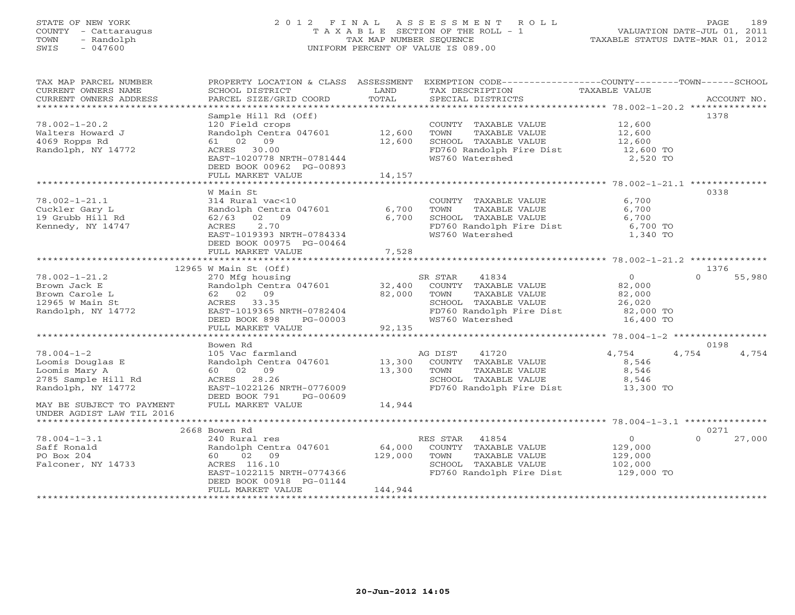# STATE OF NEW YORK 2 0 1 2 F I N A L A S S E S S M E N T R O L L PAGE 189 COUNTY - Cattaraugus T A X A B L E SECTION OF THE ROLL - 1 VALUATION DATE-JUL 01, 2011 TOWN - Randolph TAX MAP NUMBER SEQUENCE TAXABLE STATUS DATE-MAR 01, 2012 SWIS - 047600 UNIFORM PERCENT OF VALUE IS 089.00UNIFORM PERCENT OF VALUE IS 089.00

| Sample Hill Rd (Off)<br>1378<br>COUNTY TAXABLE VALUE 12,600<br>$78.002 - 1 - 20.2$<br>120 Field crops<br>Randolph Centra 047601 12,600<br>TAXABLE VALUE 12,600<br>TOWN<br>Walters Howard J<br>61 02 09<br>SCHOOL TAXABLE VALUE<br>4069 Ropps Rd<br>12,600<br>12,600<br>FD760 Randolph Fire Dist 12,600 TO<br>Randolph, NY 14772<br>ACRES 30.00<br>EAST-1020778 NRTH-0781444<br>WS760 Watershed<br>2,520 TO<br>DEED BOOK 00962 PG-00893<br>FULL MARKET VALUE<br>14,157<br>0338<br>W Main St<br>314 Rural vac<10<br>Randolph Centra 047601<br>62/63 02 09<br>6,700<br>$78.002 - 1 - 21.1$<br>COUNTY TAXABLE VALUE<br>6,700<br>Cuckler Gary L<br>TOWN<br>TAXABLE VALUE<br>6,700<br>SCHOOL TAXABLE VALUE<br>19 Grubb Hill Rd<br>6,700<br>6,700<br>ACRES 2.70<br>Kennedy, NY 14747<br>FD760 Randolph Fire Dist<br>6,700 TO<br>EAST-1019393 NRTH-0784334<br>WS760 Watershed<br>1,340 TO<br>DEED BOOK 00975 PG-00464<br>FULL MARKET VALUE<br>7,528<br>1376<br>$12965$ W Main St (Off)<br>$78.002 - 1 - 21.2$<br>$\overline{0}$<br>$\Omega$<br>270 Mfg housing<br>SR STAR<br>41834<br>55,980<br>Brown Jack E<br>Brown Carole L<br>Brown Carole L<br>12965 W Main St<br>Randolph, NY 14772<br>Randolph, NY 14772<br>EAST-1019365 NRTH-0782404<br>EAST-1019365 NRTH-0782404<br>EAST-1019365 NRTH-0782404<br>Randolph Centra 047601 32,400<br>COUNTY TAXABLE VALUE 82,000<br>TOWN<br>TAXABLE VALUE<br>82,000<br>CHOOL TAXABLE VALUE<br>FD760 Randolph Fire Dist 26,020<br>WS760 Watershed 16,400 TO<br>$\frac{1}{5}$ -00003<br>92,135<br>DEED BOOK 898<br>PG-00003<br>FULL MARKET VALUE<br>0198<br>Bowen Rd<br>$78.004 - 1 - 2$<br>EXECUTE IN THE MAGNET MAGNET MAGNET AND THE VALUE Randolph Centra 047601 13,300 COUNTY TAXABLE VALUE 13,300 COUNTY TAXABLE VALUE ACRES 28.26 13,300 COUNTY TAXABLE VALUE ACRES 28.26 13,300 COUNTY TAXABLE VALUE ACRES 28.26<br>4,754<br>4,754<br>4,754<br>Loomis Douglas E<br>8,546<br>8,546<br>Loomis Mary A<br>2785 Sample Hill Rd<br>8,546<br>ACRES 28.26<br>EAST-1022126 NRTH-0776009<br>FD760 Randolph Fire Dist 13,300 TO<br>Randolph, NY 14772<br>DEED BOOK 791 PG-00609<br>14,944<br>FULL MARKET VALUE<br>MAY BE SUBJECT TO PAYMENT<br>UNDER AGDIST LAW TIL 2016<br>0271<br>2668 Bowen Rd<br>$78.004 - 1 - 3.1$<br>240 Rural res<br>Randolph Centra 047601 64,000 COUNTY TAXABLE VALUE<br>$\overline{0}$<br>$\Omega$<br>27,000<br>129,000<br>Saff Ronald<br>129,000<br>129,000<br>PO Box 204<br>60 02 09<br>TOWN<br>TAXABLE VALUE<br>Falconer, NY 14733<br>ACRES 116.10<br>SCHOOL TAXABLE VALUE<br>102,000<br>EAST-1022115 NRTH-0774366<br>FD760 Randolph Fire Dist 129,000 TO<br>DEED BOOK 00918 PG-01144<br>FULL MARKET VALUE<br>144,944 | TAX MAP PARCEL NUMBER<br>CURRENT OWNERS NAME<br>CURRENT OWNERS ADDRESS | PROPERTY LOCATION & CLASS ASSESSMENT<br>SCHOOL DISTRICT<br>PARCEL SIZE/GRID COORD | LAND<br>TOTAL | EXEMPTION CODE-----------------COUNTY-------TOWN------SCHOOL<br>TAX DESCRIPTION TAXABLE VALUE<br>SPECIAL DISTRICTS<br>SPECIAL DISTRICTS | ACCOUNT NO. |
|-----------------------------------------------------------------------------------------------------------------------------------------------------------------------------------------------------------------------------------------------------------------------------------------------------------------------------------------------------------------------------------------------------------------------------------------------------------------------------------------------------------------------------------------------------------------------------------------------------------------------------------------------------------------------------------------------------------------------------------------------------------------------------------------------------------------------------------------------------------------------------------------------------------------------------------------------------------------------------------------------------------------------------------------------------------------------------------------------------------------------------------------------------------------------------------------------------------------------------------------------------------------------------------------------------------------------------------------------------------------------------------------------------------------------------------------------------------------------------------------------------------------------------------------------------------------------------------------------------------------------------------------------------------------------------------------------------------------------------------------------------------------------------------------------------------------------------------------------------------------------------------------------------------------------------------------------------------------------------------------------------------------------------------------------------------------------------------------------------------------------------------------------------------------------------------------------------------------------------------------------------------------------------------------------------------------------------------------------------------------------------------------------------------------------------------------------------------------------------------------------------------------------------------------------------------------------------------------------------------------------------------------------------------------------------|------------------------------------------------------------------------|-----------------------------------------------------------------------------------|---------------|-----------------------------------------------------------------------------------------------------------------------------------------|-------------|
|                                                                                                                                                                                                                                                                                                                                                                                                                                                                                                                                                                                                                                                                                                                                                                                                                                                                                                                                                                                                                                                                                                                                                                                                                                                                                                                                                                                                                                                                                                                                                                                                                                                                                                                                                                                                                                                                                                                                                                                                                                                                                                                                                                                                                                                                                                                                                                                                                                                                                                                                                                                                                                                                             |                                                                        |                                                                                   |               |                                                                                                                                         |             |
|                                                                                                                                                                                                                                                                                                                                                                                                                                                                                                                                                                                                                                                                                                                                                                                                                                                                                                                                                                                                                                                                                                                                                                                                                                                                                                                                                                                                                                                                                                                                                                                                                                                                                                                                                                                                                                                                                                                                                                                                                                                                                                                                                                                                                                                                                                                                                                                                                                                                                                                                                                                                                                                                             |                                                                        |                                                                                   |               |                                                                                                                                         |             |
|                                                                                                                                                                                                                                                                                                                                                                                                                                                                                                                                                                                                                                                                                                                                                                                                                                                                                                                                                                                                                                                                                                                                                                                                                                                                                                                                                                                                                                                                                                                                                                                                                                                                                                                                                                                                                                                                                                                                                                                                                                                                                                                                                                                                                                                                                                                                                                                                                                                                                                                                                                                                                                                                             |                                                                        |                                                                                   |               |                                                                                                                                         |             |
|                                                                                                                                                                                                                                                                                                                                                                                                                                                                                                                                                                                                                                                                                                                                                                                                                                                                                                                                                                                                                                                                                                                                                                                                                                                                                                                                                                                                                                                                                                                                                                                                                                                                                                                                                                                                                                                                                                                                                                                                                                                                                                                                                                                                                                                                                                                                                                                                                                                                                                                                                                                                                                                                             |                                                                        |                                                                                   |               |                                                                                                                                         |             |
|                                                                                                                                                                                                                                                                                                                                                                                                                                                                                                                                                                                                                                                                                                                                                                                                                                                                                                                                                                                                                                                                                                                                                                                                                                                                                                                                                                                                                                                                                                                                                                                                                                                                                                                                                                                                                                                                                                                                                                                                                                                                                                                                                                                                                                                                                                                                                                                                                                                                                                                                                                                                                                                                             |                                                                        |                                                                                   |               |                                                                                                                                         |             |
|                                                                                                                                                                                                                                                                                                                                                                                                                                                                                                                                                                                                                                                                                                                                                                                                                                                                                                                                                                                                                                                                                                                                                                                                                                                                                                                                                                                                                                                                                                                                                                                                                                                                                                                                                                                                                                                                                                                                                                                                                                                                                                                                                                                                                                                                                                                                                                                                                                                                                                                                                                                                                                                                             |                                                                        |                                                                                   |               |                                                                                                                                         |             |
|                                                                                                                                                                                                                                                                                                                                                                                                                                                                                                                                                                                                                                                                                                                                                                                                                                                                                                                                                                                                                                                                                                                                                                                                                                                                                                                                                                                                                                                                                                                                                                                                                                                                                                                                                                                                                                                                                                                                                                                                                                                                                                                                                                                                                                                                                                                                                                                                                                                                                                                                                                                                                                                                             |                                                                        |                                                                                   |               |                                                                                                                                         |             |
|                                                                                                                                                                                                                                                                                                                                                                                                                                                                                                                                                                                                                                                                                                                                                                                                                                                                                                                                                                                                                                                                                                                                                                                                                                                                                                                                                                                                                                                                                                                                                                                                                                                                                                                                                                                                                                                                                                                                                                                                                                                                                                                                                                                                                                                                                                                                                                                                                                                                                                                                                                                                                                                                             |                                                                        |                                                                                   |               |                                                                                                                                         |             |
|                                                                                                                                                                                                                                                                                                                                                                                                                                                                                                                                                                                                                                                                                                                                                                                                                                                                                                                                                                                                                                                                                                                                                                                                                                                                                                                                                                                                                                                                                                                                                                                                                                                                                                                                                                                                                                                                                                                                                                                                                                                                                                                                                                                                                                                                                                                                                                                                                                                                                                                                                                                                                                                                             |                                                                        |                                                                                   |               |                                                                                                                                         |             |
|                                                                                                                                                                                                                                                                                                                                                                                                                                                                                                                                                                                                                                                                                                                                                                                                                                                                                                                                                                                                                                                                                                                                                                                                                                                                                                                                                                                                                                                                                                                                                                                                                                                                                                                                                                                                                                                                                                                                                                                                                                                                                                                                                                                                                                                                                                                                                                                                                                                                                                                                                                                                                                                                             |                                                                        |                                                                                   |               |                                                                                                                                         |             |
|                                                                                                                                                                                                                                                                                                                                                                                                                                                                                                                                                                                                                                                                                                                                                                                                                                                                                                                                                                                                                                                                                                                                                                                                                                                                                                                                                                                                                                                                                                                                                                                                                                                                                                                                                                                                                                                                                                                                                                                                                                                                                                                                                                                                                                                                                                                                                                                                                                                                                                                                                                                                                                                                             |                                                                        |                                                                                   |               |                                                                                                                                         |             |
|                                                                                                                                                                                                                                                                                                                                                                                                                                                                                                                                                                                                                                                                                                                                                                                                                                                                                                                                                                                                                                                                                                                                                                                                                                                                                                                                                                                                                                                                                                                                                                                                                                                                                                                                                                                                                                                                                                                                                                                                                                                                                                                                                                                                                                                                                                                                                                                                                                                                                                                                                                                                                                                                             |                                                                        |                                                                                   |               |                                                                                                                                         |             |
|                                                                                                                                                                                                                                                                                                                                                                                                                                                                                                                                                                                                                                                                                                                                                                                                                                                                                                                                                                                                                                                                                                                                                                                                                                                                                                                                                                                                                                                                                                                                                                                                                                                                                                                                                                                                                                                                                                                                                                                                                                                                                                                                                                                                                                                                                                                                                                                                                                                                                                                                                                                                                                                                             |                                                                        |                                                                                   |               |                                                                                                                                         |             |
|                                                                                                                                                                                                                                                                                                                                                                                                                                                                                                                                                                                                                                                                                                                                                                                                                                                                                                                                                                                                                                                                                                                                                                                                                                                                                                                                                                                                                                                                                                                                                                                                                                                                                                                                                                                                                                                                                                                                                                                                                                                                                                                                                                                                                                                                                                                                                                                                                                                                                                                                                                                                                                                                             |                                                                        |                                                                                   |               |                                                                                                                                         |             |
|                                                                                                                                                                                                                                                                                                                                                                                                                                                                                                                                                                                                                                                                                                                                                                                                                                                                                                                                                                                                                                                                                                                                                                                                                                                                                                                                                                                                                                                                                                                                                                                                                                                                                                                                                                                                                                                                                                                                                                                                                                                                                                                                                                                                                                                                                                                                                                                                                                                                                                                                                                                                                                                                             |                                                                        |                                                                                   |               |                                                                                                                                         |             |
|                                                                                                                                                                                                                                                                                                                                                                                                                                                                                                                                                                                                                                                                                                                                                                                                                                                                                                                                                                                                                                                                                                                                                                                                                                                                                                                                                                                                                                                                                                                                                                                                                                                                                                                                                                                                                                                                                                                                                                                                                                                                                                                                                                                                                                                                                                                                                                                                                                                                                                                                                                                                                                                                             |                                                                        |                                                                                   |               |                                                                                                                                         |             |
|                                                                                                                                                                                                                                                                                                                                                                                                                                                                                                                                                                                                                                                                                                                                                                                                                                                                                                                                                                                                                                                                                                                                                                                                                                                                                                                                                                                                                                                                                                                                                                                                                                                                                                                                                                                                                                                                                                                                                                                                                                                                                                                                                                                                                                                                                                                                                                                                                                                                                                                                                                                                                                                                             |                                                                        |                                                                                   |               |                                                                                                                                         |             |
|                                                                                                                                                                                                                                                                                                                                                                                                                                                                                                                                                                                                                                                                                                                                                                                                                                                                                                                                                                                                                                                                                                                                                                                                                                                                                                                                                                                                                                                                                                                                                                                                                                                                                                                                                                                                                                                                                                                                                                                                                                                                                                                                                                                                                                                                                                                                                                                                                                                                                                                                                                                                                                                                             |                                                                        |                                                                                   |               |                                                                                                                                         |             |
|                                                                                                                                                                                                                                                                                                                                                                                                                                                                                                                                                                                                                                                                                                                                                                                                                                                                                                                                                                                                                                                                                                                                                                                                                                                                                                                                                                                                                                                                                                                                                                                                                                                                                                                                                                                                                                                                                                                                                                                                                                                                                                                                                                                                                                                                                                                                                                                                                                                                                                                                                                                                                                                                             |                                                                        |                                                                                   |               |                                                                                                                                         |             |
|                                                                                                                                                                                                                                                                                                                                                                                                                                                                                                                                                                                                                                                                                                                                                                                                                                                                                                                                                                                                                                                                                                                                                                                                                                                                                                                                                                                                                                                                                                                                                                                                                                                                                                                                                                                                                                                                                                                                                                                                                                                                                                                                                                                                                                                                                                                                                                                                                                                                                                                                                                                                                                                                             |                                                                        |                                                                                   |               |                                                                                                                                         |             |
|                                                                                                                                                                                                                                                                                                                                                                                                                                                                                                                                                                                                                                                                                                                                                                                                                                                                                                                                                                                                                                                                                                                                                                                                                                                                                                                                                                                                                                                                                                                                                                                                                                                                                                                                                                                                                                                                                                                                                                                                                                                                                                                                                                                                                                                                                                                                                                                                                                                                                                                                                                                                                                                                             |                                                                        |                                                                                   |               |                                                                                                                                         |             |
|                                                                                                                                                                                                                                                                                                                                                                                                                                                                                                                                                                                                                                                                                                                                                                                                                                                                                                                                                                                                                                                                                                                                                                                                                                                                                                                                                                                                                                                                                                                                                                                                                                                                                                                                                                                                                                                                                                                                                                                                                                                                                                                                                                                                                                                                                                                                                                                                                                                                                                                                                                                                                                                                             |                                                                        |                                                                                   |               |                                                                                                                                         |             |
|                                                                                                                                                                                                                                                                                                                                                                                                                                                                                                                                                                                                                                                                                                                                                                                                                                                                                                                                                                                                                                                                                                                                                                                                                                                                                                                                                                                                                                                                                                                                                                                                                                                                                                                                                                                                                                                                                                                                                                                                                                                                                                                                                                                                                                                                                                                                                                                                                                                                                                                                                                                                                                                                             |                                                                        |                                                                                   |               |                                                                                                                                         |             |
|                                                                                                                                                                                                                                                                                                                                                                                                                                                                                                                                                                                                                                                                                                                                                                                                                                                                                                                                                                                                                                                                                                                                                                                                                                                                                                                                                                                                                                                                                                                                                                                                                                                                                                                                                                                                                                                                                                                                                                                                                                                                                                                                                                                                                                                                                                                                                                                                                                                                                                                                                                                                                                                                             |                                                                        |                                                                                   |               |                                                                                                                                         |             |
|                                                                                                                                                                                                                                                                                                                                                                                                                                                                                                                                                                                                                                                                                                                                                                                                                                                                                                                                                                                                                                                                                                                                                                                                                                                                                                                                                                                                                                                                                                                                                                                                                                                                                                                                                                                                                                                                                                                                                                                                                                                                                                                                                                                                                                                                                                                                                                                                                                                                                                                                                                                                                                                                             |                                                                        |                                                                                   |               |                                                                                                                                         |             |
|                                                                                                                                                                                                                                                                                                                                                                                                                                                                                                                                                                                                                                                                                                                                                                                                                                                                                                                                                                                                                                                                                                                                                                                                                                                                                                                                                                                                                                                                                                                                                                                                                                                                                                                                                                                                                                                                                                                                                                                                                                                                                                                                                                                                                                                                                                                                                                                                                                                                                                                                                                                                                                                                             |                                                                        |                                                                                   |               |                                                                                                                                         |             |
|                                                                                                                                                                                                                                                                                                                                                                                                                                                                                                                                                                                                                                                                                                                                                                                                                                                                                                                                                                                                                                                                                                                                                                                                                                                                                                                                                                                                                                                                                                                                                                                                                                                                                                                                                                                                                                                                                                                                                                                                                                                                                                                                                                                                                                                                                                                                                                                                                                                                                                                                                                                                                                                                             |                                                                        |                                                                                   |               |                                                                                                                                         |             |
|                                                                                                                                                                                                                                                                                                                                                                                                                                                                                                                                                                                                                                                                                                                                                                                                                                                                                                                                                                                                                                                                                                                                                                                                                                                                                                                                                                                                                                                                                                                                                                                                                                                                                                                                                                                                                                                                                                                                                                                                                                                                                                                                                                                                                                                                                                                                                                                                                                                                                                                                                                                                                                                                             |                                                                        |                                                                                   |               |                                                                                                                                         |             |
|                                                                                                                                                                                                                                                                                                                                                                                                                                                                                                                                                                                                                                                                                                                                                                                                                                                                                                                                                                                                                                                                                                                                                                                                                                                                                                                                                                                                                                                                                                                                                                                                                                                                                                                                                                                                                                                                                                                                                                                                                                                                                                                                                                                                                                                                                                                                                                                                                                                                                                                                                                                                                                                                             |                                                                        |                                                                                   |               |                                                                                                                                         |             |
|                                                                                                                                                                                                                                                                                                                                                                                                                                                                                                                                                                                                                                                                                                                                                                                                                                                                                                                                                                                                                                                                                                                                                                                                                                                                                                                                                                                                                                                                                                                                                                                                                                                                                                                                                                                                                                                                                                                                                                                                                                                                                                                                                                                                                                                                                                                                                                                                                                                                                                                                                                                                                                                                             |                                                                        |                                                                                   |               |                                                                                                                                         |             |
|                                                                                                                                                                                                                                                                                                                                                                                                                                                                                                                                                                                                                                                                                                                                                                                                                                                                                                                                                                                                                                                                                                                                                                                                                                                                                                                                                                                                                                                                                                                                                                                                                                                                                                                                                                                                                                                                                                                                                                                                                                                                                                                                                                                                                                                                                                                                                                                                                                                                                                                                                                                                                                                                             |                                                                        |                                                                                   |               |                                                                                                                                         |             |
|                                                                                                                                                                                                                                                                                                                                                                                                                                                                                                                                                                                                                                                                                                                                                                                                                                                                                                                                                                                                                                                                                                                                                                                                                                                                                                                                                                                                                                                                                                                                                                                                                                                                                                                                                                                                                                                                                                                                                                                                                                                                                                                                                                                                                                                                                                                                                                                                                                                                                                                                                                                                                                                                             |                                                                        |                                                                                   |               |                                                                                                                                         |             |
|                                                                                                                                                                                                                                                                                                                                                                                                                                                                                                                                                                                                                                                                                                                                                                                                                                                                                                                                                                                                                                                                                                                                                                                                                                                                                                                                                                                                                                                                                                                                                                                                                                                                                                                                                                                                                                                                                                                                                                                                                                                                                                                                                                                                                                                                                                                                                                                                                                                                                                                                                                                                                                                                             |                                                                        |                                                                                   |               |                                                                                                                                         |             |
|                                                                                                                                                                                                                                                                                                                                                                                                                                                                                                                                                                                                                                                                                                                                                                                                                                                                                                                                                                                                                                                                                                                                                                                                                                                                                                                                                                                                                                                                                                                                                                                                                                                                                                                                                                                                                                                                                                                                                                                                                                                                                                                                                                                                                                                                                                                                                                                                                                                                                                                                                                                                                                                                             |                                                                        |                                                                                   |               |                                                                                                                                         |             |
|                                                                                                                                                                                                                                                                                                                                                                                                                                                                                                                                                                                                                                                                                                                                                                                                                                                                                                                                                                                                                                                                                                                                                                                                                                                                                                                                                                                                                                                                                                                                                                                                                                                                                                                                                                                                                                                                                                                                                                                                                                                                                                                                                                                                                                                                                                                                                                                                                                                                                                                                                                                                                                                                             |                                                                        |                                                                                   |               |                                                                                                                                         |             |
|                                                                                                                                                                                                                                                                                                                                                                                                                                                                                                                                                                                                                                                                                                                                                                                                                                                                                                                                                                                                                                                                                                                                                                                                                                                                                                                                                                                                                                                                                                                                                                                                                                                                                                                                                                                                                                                                                                                                                                                                                                                                                                                                                                                                                                                                                                                                                                                                                                                                                                                                                                                                                                                                             |                                                                        |                                                                                   |               |                                                                                                                                         |             |
|                                                                                                                                                                                                                                                                                                                                                                                                                                                                                                                                                                                                                                                                                                                                                                                                                                                                                                                                                                                                                                                                                                                                                                                                                                                                                                                                                                                                                                                                                                                                                                                                                                                                                                                                                                                                                                                                                                                                                                                                                                                                                                                                                                                                                                                                                                                                                                                                                                                                                                                                                                                                                                                                             |                                                                        |                                                                                   |               |                                                                                                                                         |             |
|                                                                                                                                                                                                                                                                                                                                                                                                                                                                                                                                                                                                                                                                                                                                                                                                                                                                                                                                                                                                                                                                                                                                                                                                                                                                                                                                                                                                                                                                                                                                                                                                                                                                                                                                                                                                                                                                                                                                                                                                                                                                                                                                                                                                                                                                                                                                                                                                                                                                                                                                                                                                                                                                             |                                                                        |                                                                                   |               |                                                                                                                                         |             |
|                                                                                                                                                                                                                                                                                                                                                                                                                                                                                                                                                                                                                                                                                                                                                                                                                                                                                                                                                                                                                                                                                                                                                                                                                                                                                                                                                                                                                                                                                                                                                                                                                                                                                                                                                                                                                                                                                                                                                                                                                                                                                                                                                                                                                                                                                                                                                                                                                                                                                                                                                                                                                                                                             |                                                                        |                                                                                   |               |                                                                                                                                         |             |
|                                                                                                                                                                                                                                                                                                                                                                                                                                                                                                                                                                                                                                                                                                                                                                                                                                                                                                                                                                                                                                                                                                                                                                                                                                                                                                                                                                                                                                                                                                                                                                                                                                                                                                                                                                                                                                                                                                                                                                                                                                                                                                                                                                                                                                                                                                                                                                                                                                                                                                                                                                                                                                                                             |                                                                        |                                                                                   |               |                                                                                                                                         |             |
|                                                                                                                                                                                                                                                                                                                                                                                                                                                                                                                                                                                                                                                                                                                                                                                                                                                                                                                                                                                                                                                                                                                                                                                                                                                                                                                                                                                                                                                                                                                                                                                                                                                                                                                                                                                                                                                                                                                                                                                                                                                                                                                                                                                                                                                                                                                                                                                                                                                                                                                                                                                                                                                                             |                                                                        |                                                                                   |               |                                                                                                                                         |             |
|                                                                                                                                                                                                                                                                                                                                                                                                                                                                                                                                                                                                                                                                                                                                                                                                                                                                                                                                                                                                                                                                                                                                                                                                                                                                                                                                                                                                                                                                                                                                                                                                                                                                                                                                                                                                                                                                                                                                                                                                                                                                                                                                                                                                                                                                                                                                                                                                                                                                                                                                                                                                                                                                             |                                                                        |                                                                                   |               |                                                                                                                                         |             |
|                                                                                                                                                                                                                                                                                                                                                                                                                                                                                                                                                                                                                                                                                                                                                                                                                                                                                                                                                                                                                                                                                                                                                                                                                                                                                                                                                                                                                                                                                                                                                                                                                                                                                                                                                                                                                                                                                                                                                                                                                                                                                                                                                                                                                                                                                                                                                                                                                                                                                                                                                                                                                                                                             |                                                                        |                                                                                   |               |                                                                                                                                         |             |
|                                                                                                                                                                                                                                                                                                                                                                                                                                                                                                                                                                                                                                                                                                                                                                                                                                                                                                                                                                                                                                                                                                                                                                                                                                                                                                                                                                                                                                                                                                                                                                                                                                                                                                                                                                                                                                                                                                                                                                                                                                                                                                                                                                                                                                                                                                                                                                                                                                                                                                                                                                                                                                                                             |                                                                        |                                                                                   |               |                                                                                                                                         |             |
|                                                                                                                                                                                                                                                                                                                                                                                                                                                                                                                                                                                                                                                                                                                                                                                                                                                                                                                                                                                                                                                                                                                                                                                                                                                                                                                                                                                                                                                                                                                                                                                                                                                                                                                                                                                                                                                                                                                                                                                                                                                                                                                                                                                                                                                                                                                                                                                                                                                                                                                                                                                                                                                                             |                                                                        |                                                                                   |               |                                                                                                                                         |             |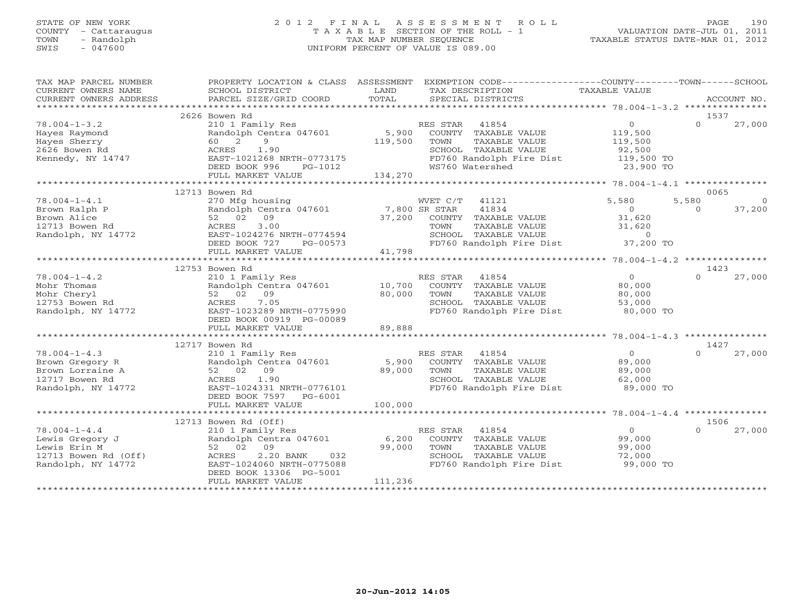# STATE OF NEW YORK 2 0 1 2 F I N A L A S S E S S M E N T R O L L PAGE 190 COUNTY - Cattaraugus T A X A B L E SECTION OF THE ROLL - 1 VALUATION DATE-JUL 01, 2011 TOWN - Randolph TAX MAP NUMBER SEQUENCE TAXABLE STATUS DATE-MAR 01, 2012 SWIS - 047600 UNIFORM PERCENT OF VALUE IS 089.00

| TAX MAP PARCEL NUMBER                                                                                                     |                                                                                                                                                                                                |                                 | PROPERTY LOCATION & CLASS ASSESSMENT EXEMPTION CODE---------------COUNTY-------TOWN------SCHOOL                                                              |                                                                                        |                   |                          |
|---------------------------------------------------------------------------------------------------------------------------|------------------------------------------------------------------------------------------------------------------------------------------------------------------------------------------------|---------------------------------|--------------------------------------------------------------------------------------------------------------------------------------------------------------|----------------------------------------------------------------------------------------|-------------------|--------------------------|
|                                                                                                                           |                                                                                                                                                                                                |                                 |                                                                                                                                                              |                                                                                        |                   |                          |
| $78.004 - 1 - 3.2$<br>Hayes Raymond<br>Hayes Sherry<br>2626 Bowen Rd<br>Kennedy, NY 14747                                 | 2626 Bowen Rd<br>210 1 Family Res<br>Randolph Centra 047601 5,900<br>$\overline{9}$<br>60 2<br>1.90<br>ACRES<br>EAST-1021268 NRTH-0773175<br>DEED BOOK 996<br>FULL MARKET VALUE                | 119,500<br>$PG-1012$<br>134,270 | RES STAR<br>41854<br>COUNTY TAXABLE VALUE<br>TOWN<br>TAXABLE VALUE<br>SCHOOL TAXABLE VALUE<br>FD760 Randolph Fire Dist<br>WS760 Watershed                    | $\Omega$<br>119,500<br>119,500<br>92,500<br>119,500 TO<br>23,900 TO                    | 1537<br>$\Omega$  | 27,000                   |
|                                                                                                                           |                                                                                                                                                                                                |                                 |                                                                                                                                                              |                                                                                        | 0065              |                          |
| $78.004 - 1 - 4.1$<br>Brown Ralph P<br>Brown Alice<br>12713 Bowen Rd<br>Randolph, NY 14772                                | 12713 Bowen Rd<br>270 Mfg housing<br>ACRES<br>3.00<br>EAST-1024276 NRTH-0774594<br>PG-00573<br>DEED BOOK 727<br>FULL MARKET VALUE                                                              | 41,798                          | WVET C/T 41121<br>Randolph Centra 047601 7,800 SR STAR 41834<br>52 02 09 99<br>52 02 09 09 37,200 COUNTY TAXABLE VALUE<br>FD760 Randolph Fire Dist 37,200 TO | 5,580<br>$\begin{array}{c} 0 \\ 316 \end{array}$<br>31,620<br>31,620<br>$\overline{0}$ | 5,580<br>$\Omega$ | $\overline{0}$<br>37,200 |
|                                                                                                                           | 12753 Bowen Rd                                                                                                                                                                                 |                                 |                                                                                                                                                              |                                                                                        | 1423              |                          |
| $78.004 - 1 - 4.2$<br>Mohr Thomas<br>Mohr Cheryl<br>12753 Bowen Rd<br>Randolph, NY 14772                                  | 210 1 Family Res<br>52 02 09<br>7.05<br>ACRES<br>EAST-1023289 NRTH-0775990<br>DEED BOOK 00919 PG-00089                                                                                         | 80,000                          | RES STAR 41854<br>Randolph Centra 047601 10,700 COUNTY TAXABLE VALUE<br>TAXABLE VALUE<br>TOWN<br>SCHOOL TAXABLE VALUE<br>FD760 Randolph Fire Dist            | $\overline{0}$<br>80,000<br>80,000<br>53,000<br>$80,000$ TO                            | $\cap$            | 27,000                   |
|                                                                                                                           | FULL MARKET VALUE                                                                                                                                                                              | 89,888                          |                                                                                                                                                              |                                                                                        |                   |                          |
|                                                                                                                           | 12717 Bowen Rd                                                                                                                                                                                 |                                 |                                                                                                                                                              |                                                                                        | 1427              |                          |
| $78.004 - 1 - 4.3$<br>Brown Gregory R<br>Brown Lorraine A<br>12717 Bowen Rd<br>Randolph, NY 14772                         | 210 1 Family Res<br>Randolph Centra 047601<br>52 02 09<br>1.90<br>ACRES<br>EAST-1024331 NRTH-0776101<br>DEED BOOK 7597 PG-6001                                                                 | 5,900<br>89,000                 | RES STAR<br>41854<br>COUNTY TAXABLE VALUE<br>TAXABLE VALUE<br>TOWN<br>SCHOOL TAXABLE VALUE<br>FD760 Randolph Fire Dist 89,000 TO                             | $\overline{0}$<br>89,000<br>89,000<br>62,000                                           | $\Omega$          | 27,000                   |
|                                                                                                                           | FULL MARKET VALUE                                                                                                                                                                              | 100,000                         |                                                                                                                                                              |                                                                                        |                   |                          |
|                                                                                                                           |                                                                                                                                                                                                |                                 |                                                                                                                                                              |                                                                                        |                   |                          |
| $78.004 - 1 - 4.4$<br>Lewis Gregory J<br>Lewis Erin M<br>12713 Bowen Rd (Off)<br>Randolph, NY 14772<br>Randolph, NY 14772 | 12713 Bowen Rd (Off)<br>210 1 Family Res<br>Randolph Centra 047601 6,200<br>52 02 09<br>2.20 BANK<br>032<br>ACRES<br>EAST-1024060 NRTH-0775088<br>DEED BOOK 13306 PG-5001<br>FULL MARKET VALUE | 99,000<br>111,236               | RES STAR<br>41854<br>COUNTY TAXABLE VALUE<br>TOWN<br>TAXABLE VALUE<br>SCHOOL TAXABLE VALUE<br>FD760 Randolph Fire Dist 99,000 TO                             | $\overline{0}$<br>99,000<br>$99, 00$<br>$72,000$                                       | 1506<br>$\Omega$  | 27,000                   |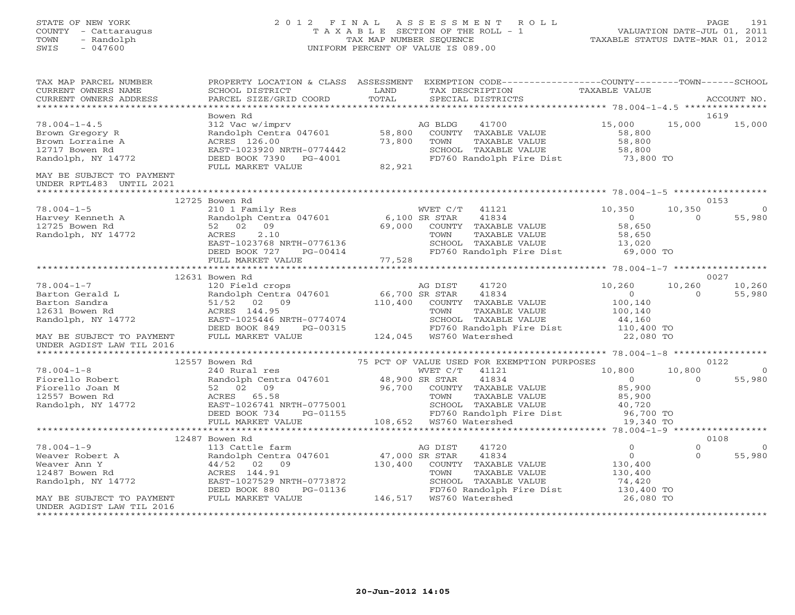# STATE OF NEW YORK 2 0 1 2 F I N A L A S S E S S M E N T R O L L PAGE 191 COUNTY - Cattaraugus T A X A B L E SECTION OF THE ROLL - 1 VALUATION DATE-JUL 01, 2011 TOWN - Randolph TAX MAP NUMBER SEQUENCE TAXABLE STATUS DATE-MAR 01, 2012 SWIS - 047600 UNIFORM PERCENT OF VALUE IS 089.00UNIFORM PERCENT OF VALUE IS 089.00

| TAX MAP PARCEL NUMBER<br>CURRENT OWNERS NAME<br>CURRENT OWNERS ADDRESS                            | PROPERTY LOCATION & CLASS ASSESSMENT<br>SCHOOL DISTRICT<br>PARCEL SIZE/GRID COORD                                                                                       | LAND<br>TOTAL             | EXEMPTION CODE-----------------COUNTY-------TOWN------SCHOOL<br>TAX DESCRIPTION<br>SPECIAL DISTRICTS                                                                                                                  | TAXABLE VALUE                                                                  |                      | ACCOUNT NO.              |
|---------------------------------------------------------------------------------------------------|-------------------------------------------------------------------------------------------------------------------------------------------------------------------------|---------------------------|-----------------------------------------------------------------------------------------------------------------------------------------------------------------------------------------------------------------------|--------------------------------------------------------------------------------|----------------------|--------------------------|
|                                                                                                   |                                                                                                                                                                         |                           |                                                                                                                                                                                                                       |                                                                                |                      |                          |
| $78.004 - 1 - 4.5$<br>Brown Gregory R<br>Brown Lorraine A<br>12717 Bowen Rd<br>Randolph, NY 14772 | Bowen Rd<br>312 Vac w/imprv<br>Randolph Centra 047601<br>ACRES 126.00<br>EAST-1023920 NRTH-0774442<br>DEED BOOK 7390 PG-4001                                            | 58,800<br>73,800          | 41700<br>AG BLDG<br>COUNTY TAXABLE VALUE<br>TOWN<br>TAXABLE VALUE<br>SCHOOL TAXABLE VALUE<br>FD760 Randolph Fire Dist 73,800 TO                                                                                       | 15,000<br>58,800<br>58,800<br>58,800                                           | 15,000               | 1619<br>15,000           |
|                                                                                                   | FULL MARKET VALUE                                                                                                                                                       | 82,921                    |                                                                                                                                                                                                                       |                                                                                |                      |                          |
| MAY BE SUBJECT TO PAYMENT<br>UNDER RPTL483 UNTIL 2021                                             |                                                                                                                                                                         |                           |                                                                                                                                                                                                                       |                                                                                |                      |                          |
|                                                                                                   | 12725 Bowen Rd                                                                                                                                                          |                           |                                                                                                                                                                                                                       |                                                                                |                      | 0153                     |
| $78.004 - 1 - 5$<br>Harvey Kenneth A<br>12725 Bowen Rd<br>Randolph, NY 14772                      | 210 1 Family Res<br>Randolph Centra 047601 6,100 SR STAR<br>52 02<br>09<br>2.10<br>ACRES<br>EAST-1023768 NRTH-0776136<br>DEED BOOK 727<br>PG-00414<br>FULL MARKET VALUE | 69,000<br>77,528          | WVET C/T 41121<br>41834<br>COUNTY TAXABLE VALUE<br>TAXABLE VALUE<br>TOWN<br>SCHOOL TAXABLE VALUE<br>FD760 Randolph Fire Dist 69,000 TO                                                                                | 10,350<br>$\overline{0}$<br>58,650<br>58,650<br>13,020                         | 10,350<br>$\Omega$   | 55,980                   |
|                                                                                                   |                                                                                                                                                                         |                           |                                                                                                                                                                                                                       |                                                                                |                      |                          |
|                                                                                                   | 12631 Bowen Rd                                                                                                                                                          |                           |                                                                                                                                                                                                                       |                                                                                |                      | 0027                     |
| $78.004 - 1 - 7$<br>Barton Gerald L<br>Barton Sandra<br>12631 Bowen Rd<br>Randolph, NY 14772      | 120 Field crops<br>Randolph Centra 047601<br>51/52 02 09<br>ACRES 144.95<br>EAST-1025446 NRTH-0774074<br>DEED BOOK 849<br>PG-00315                                      | 66,700 SR STAR<br>110,400 | AG DIST<br>41720<br>41834<br>COUNTY TAXABLE VALUE<br>TOWN<br>TAXABLE VALUE<br>SCHOOL TAXABLE VALUE<br>FD760 Randolph Fire Dist                                                                                        | 10,260<br>$\overline{0}$<br>100,140<br>100,140<br>44,160<br>110,400 TO         | 10,260<br>$\Omega$   | 10,260<br>55,980         |
| MAY BE SUBJECT TO PAYMENT<br>UNDER AGDIST LAW TIL 2016                                            | FULL MARKET VALUE                                                                                                                                                       |                           | 124,045  WS760 Watershed                                                                                                                                                                                              | 22,080 TO                                                                      |                      |                          |
|                                                                                                   | 12557 Bowen Rd                                                                                                                                                          |                           | 75 PCT OF VALUE USED FOR EXEMPTION PURPOSES                                                                                                                                                                           |                                                                                |                      | 0122                     |
| $78.004 - 1 - 8$                                                                                  | 240 Rural res                                                                                                                                                           |                           | WVET C/T<br>41121                                                                                                                                                                                                     | 10,800                                                                         | 10,800               | $\overline{0}$           |
| Fiorello Robert<br>Fiorello Joan M<br>12557 Bowen Rd<br>Randolph, NY 14772                        | Randolph Centra 047601 48,900 SR STAR<br>52 02 09<br>RUALS 05.58<br>EAST-1026741 NRTH-0775001<br>DEED BOOK 734<br>FIIJ MABET WATTER<br>FULL MARKET VALUE                | 96,700                    | 41834<br>COUNTY TAXABLE VALUE<br>TAXABLE VALUE<br>TOWN<br>SCHOOL TAXABLE VALUE<br>SCHOOL   TAXABLE VALUE                     40,720<br>FD760 Randolph Fire Dist                  96,700 TO<br>108,652 WS760 Watershed | $\overline{0}$<br>85,900<br>85,900<br>40,720<br>19,340 TO                      | $\Omega$             | 55,980                   |
|                                                                                                   |                                                                                                                                                                         |                           |                                                                                                                                                                                                                       |                                                                                |                      | 0108                     |
| $78.004 - 1 - 9$<br>Weaver Robert A<br>Weaver Ann Y<br>12487 Bowen Rd<br>Randolph, NY 14772       | 12487 Bowen Rd<br>113 Cattle farm<br>Randolph Centra 047601<br>44/52 02 09<br>ACRES 144.91<br>EAST-1027529 NRTH-0773872<br>DEED BOOK 880<br>PG-01136                    | 47,000 SR STAR<br>130,400 | 41720<br>AG DIST<br>41834<br>COUNTY TAXABLE VALUE<br>TOWN<br>TAXABLE VALUE<br>SCHOOL TAXABLE VALUE<br>FD760 Randolph Fire Dist                                                                                        | $\overline{O}$<br>$\overline{0}$<br>130,400<br>130,400<br>74,420<br>130,400 TO | $\Omega$<br>$\Omega$ | $\overline{0}$<br>55,980 |
| MAY BE SUBJECT TO PAYMENT<br>UNDER AGDIST LAW TIL 2016<br>*************************************   | FULL MARKET VALUE                                                                                                                                                       |                           | 146,517 WS760 Watershed                                                                                                                                                                                               | 26,080 TO                                                                      |                      |                          |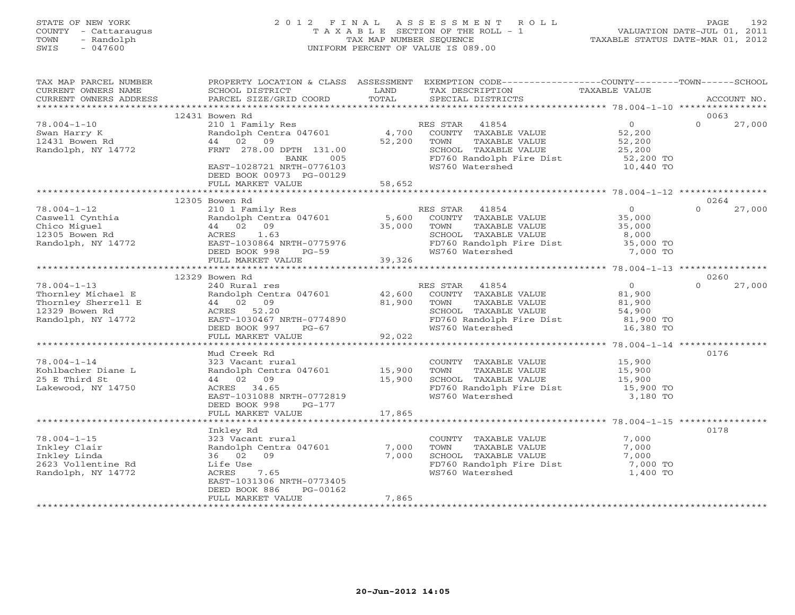# STATE OF NEW YORK 2 0 1 2 F I N A L A S S E S S M E N T R O L L PAGE 192 COUNTY - Cattaraugus T A X A B L E SECTION OF THE ROLL - 1 VALUATION DATE-JUL 01, 2011 TOWN - Randolph TAX MAP NUMBER SEQUENCE TAXABLE STATUS DATE-MAR 01, 2012 SWIS - 047600 UNIFORM PERCENT OF VALUE IS 089.00UNIFORM PERCENT OF VALUE IS 089.00

| TAX MAP PARCEL NUMBER<br>CURRENT OWNERS NAME<br>CURRENT OWNERS ADDRESS                                 | PROPERTY LOCATION & CLASS ASSESSMENT<br>SCHOOL DISTRICT<br>PARCEL SIZE/GRID COORD                                                                                               | LAND<br>TOTAL              | EXEMPTION CODE-----------------COUNTY-------TOWN------SCHOOL<br>TAX DESCRIPTION<br>SPECIAL DISTRICTS                                      | TAXABLE VALUE                                                          | ACCOUNT NO.        |
|--------------------------------------------------------------------------------------------------------|---------------------------------------------------------------------------------------------------------------------------------------------------------------------------------|----------------------------|-------------------------------------------------------------------------------------------------------------------------------------------|------------------------------------------------------------------------|--------------------|
|                                                                                                        |                                                                                                                                                                                 |                            |                                                                                                                                           |                                                                        |                    |
|                                                                                                        | 12431 Bowen Rd                                                                                                                                                                  |                            |                                                                                                                                           |                                                                        | 0063               |
| $78.004 - 1 - 10$<br>Swan Harry K<br>12431 Bowen Rd<br>Randolph, NY 14772                              | 210 1 Family Res<br>Randolph Centra 047601<br>44 02<br>09<br>FRNT 278.00 DPTH 131.00<br>005<br>BANK<br>EAST-1028721 NRTH-0776103<br>DEED BOOK 00973 PG-00129                    | 4,700<br>52,200            | RES STAR<br>41854<br>COUNTY TAXABLE VALUE<br>TOWN<br>TAXABLE VALUE<br>SCHOOL TAXABLE VALUE<br>FD760 Randolph Fire Dist<br>WS760 Watershed | $\overline{0}$<br>52,200<br>52,200<br>25,200<br>52,200 TO<br>10,440 TO | $\Omega$<br>27,000 |
|                                                                                                        | FULL MARKET VALUE                                                                                                                                                               | 58,652                     |                                                                                                                                           |                                                                        |                    |
|                                                                                                        | **************************                                                                                                                                                      |                            |                                                                                                                                           |                                                                        |                    |
|                                                                                                        | 12305 Bowen Rd                                                                                                                                                                  |                            |                                                                                                                                           |                                                                        | 0264               |
| $78.004 - 1 - 12$<br>Caswell Cynthia<br>Chico Miguel<br>12305 Bowen Rd<br>Randolph, NY 14772           | 210 1 Family Res<br>Randolph Centra 047601<br>44 02 09<br>1.63<br>ACRES<br>EAST-1030864 NRTH-0775976<br>DEED BOOK 998<br>$PG-59$                                                | 5,600<br>35,000            | RES STAR<br>41854<br>COUNTY TAXABLE VALUE<br>TOWN<br>TAXABLE VALUE<br>SCHOOL TAXABLE VALUE<br>FD760 Randolph Fire Dist<br>WS760 Watershed | $\overline{0}$<br>35,000<br>35,000<br>8,000<br>35,000 TO<br>7,000 TO   | $\Omega$<br>27,000 |
|                                                                                                        | FULL MARKET VALUE                                                                                                                                                               | 39,326                     |                                                                                                                                           |                                                                        |                    |
|                                                                                                        | 12329 Bowen Rd                                                                                                                                                                  |                            |                                                                                                                                           |                                                                        | 0260               |
| $78.004 - 1 - 13$<br>Thornley Michael E<br>Thornley Sherrell E<br>12329 Bowen Rd<br>Randolph, NY 14772 | 240 Rural res<br>Randolph Centra 047601<br>44 02 09<br>ACRES 52.20<br>EAST-1030467 NRTH-0774890<br>DEED BOOK 997<br>PG-67<br>FULL MARKET VALUE                                  | 42,600<br>81,900<br>92,022 | RES STAR<br>41854<br>COUNTY TAXABLE VALUE<br>TAXABLE VALUE<br>TOWN<br>SCHOOL TAXABLE VALUE<br>FD760 Randolph Fire Dist<br>WS760 Watershed | $\overline{0}$<br>81,900<br>81,900<br>54,900<br>81,900 TO<br>16,380 TO | 27,000<br>$\cap$   |
|                                                                                                        |                                                                                                                                                                                 |                            |                                                                                                                                           | ***************** 78.004-1-14 ***********                              |                    |
| $78.004 - 1 - 14$<br>Kohlbacher Diane L<br>25 E Third St<br>Lakewood, NY 14750                         | Mud Creek Rd<br>323 Vacant rural<br>Randolph Centra 047601<br>44 02 09<br>ACRES 34.65<br>EAST-1031088 NRTH-0772819<br>DEED BOOK 998<br>$PG-177$                                 | 15,900<br>15,900           | COUNTY TAXABLE VALUE<br>TAXABLE VALUE<br>TOWN<br>SCHOOL TAXABLE VALUE<br>FD760 Randolph Fire Dist<br>WS760 Watershed                      | 15,900<br>15,900<br>15,900<br>15,900 TO<br>3,180 TO                    | 0176               |
|                                                                                                        | FULL MARKET VALUE                                                                                                                                                               | 17,865                     |                                                                                                                                           |                                                                        |                    |
|                                                                                                        |                                                                                                                                                                                 |                            |                                                                                                                                           |                                                                        |                    |
| $78.004 - 1 - 15$<br>Inkley Clair<br>Inkley Linda<br>2623 Vollentine Rd<br>Randolph, NY 14772          | Inkley Rd<br>323 Vacant rural<br>Randolph Centra 047601<br>36 02 09<br>Life Use<br>7.65<br>ACRES<br>EAST-1031306 NRTH-0773405<br>DEED BOOK 886<br>PG-00162<br>FULL MARKET VALUE | 7,000<br>7,000<br>7,865    | COUNTY TAXABLE VALUE<br>TOWN<br>TAXABLE VALUE<br>SCHOOL TAXABLE VALUE<br>FD760 Randolph Fire Dist<br>WS760 Watershed                      | 7,000<br>7,000<br>7,000<br>7,000 TO<br>1,400 TO                        | 0178               |
|                                                                                                        | *************************                                                                                                                                                       | *******************        |                                                                                                                                           |                                                                        |                    |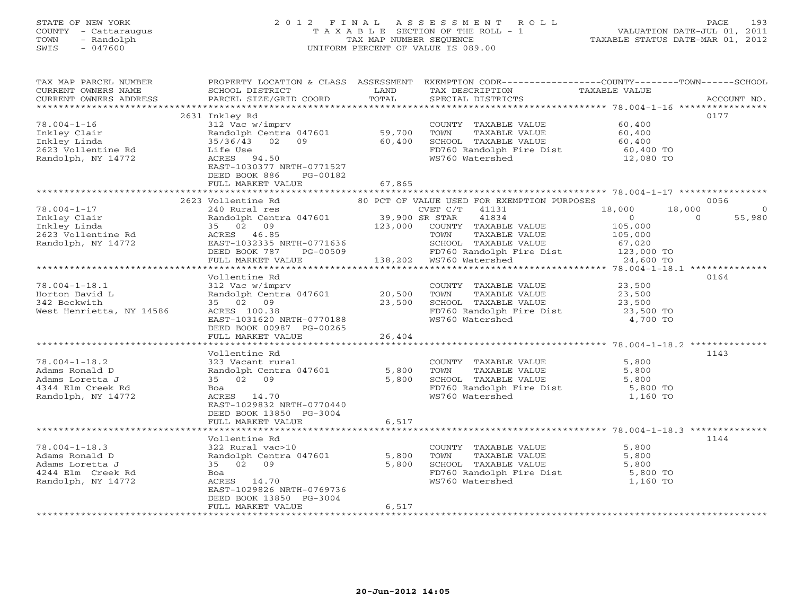# STATE OF NEW YORK 2 0 1 2 F I N A L A S S E S S M E N T R O L L PAGE 193 COUNTY - Cattaraugus T A X A B L E SECTION OF THE ROLL - 1 VALUATION DATE-JUL 01, 2011 TOWN - Randolph TAX MAP NUMBER SEQUENCE TAXABLE STATUS DATE-MAR 01, 2012 SWIS - 047600 UNIFORM PERCENT OF VALUE IS 089.00UNIFORM PERCENT OF VALUE IS 089.00

| TAX MAP PARCEL NUMBER<br>CURRENT OWNERS NAME<br>CURRENT OWNERS ADDRESS                                                                                                                                                                                                                                                                                                                                                                                                                                                 | PROPERTY LOCATION & CLASS ASSESSMENT<br>SCHOOL DISTRICT          | LAND   | EXEMPTION CODE-----------------COUNTY-------TOWN------SCHOOL<br>TAX DESCRIPTION | TAXABLE VALUE                            |                          |
|------------------------------------------------------------------------------------------------------------------------------------------------------------------------------------------------------------------------------------------------------------------------------------------------------------------------------------------------------------------------------------------------------------------------------------------------------------------------------------------------------------------------|------------------------------------------------------------------|--------|---------------------------------------------------------------------------------|------------------------------------------|--------------------------|
| $\begin{minipage}{.45\textwidth} \begin{minipage}{.45\textwidth} \begin{minipage}{.45\textwidth} \begin{minipage}{.45\textwidth} \begin{minipage}{.45\textwidth} \begin{minipage}{.45\textwidth} \begin{minipage}{.45\textwidth} \begin{minipage}{.45\textwidth} \begin{minipage}{.45\textwidth} \begin{minipage}{.45\textwidth} \begin{minipage}{.45\textwidth} \begin{minipage}{.45\textwidth} \begin{minipage}{.45\textwidth} \begin{minipage}{.45\textwidth} \begin{minipage}{.45\textwidth} \begin{minipage}{.45$ |                                                                  |        |                                                                                 |                                          |                          |
|                                                                                                                                                                                                                                                                                                                                                                                                                                                                                                                        | 2631 Inkley Rd                                                   |        |                                                                                 |                                          | 0177                     |
| $78.004 - 1 - 16$                                                                                                                                                                                                                                                                                                                                                                                                                                                                                                      | 312 Vac w/imprv                                                  |        | COUNTY TAXABLE VALUE                                                            | 60,400                                   |                          |
| Inkley Clair                                                                                                                                                                                                                                                                                                                                                                                                                                                                                                           | Randolph Centra 047601                                           | 59,700 | TOWN<br>TAXABLE VALUE                                                           | 60,400                                   |                          |
| Inkley Linda<br>2623 Vollentine Rd                                                                                                                                                                                                                                                                                                                                                                                                                                                                                     | 02 09 60,400<br>35/36/43<br>Life Use                             |        | SCHOOL TAXABLE VALUE<br>FD760 Randolph Fire Dist                                | 60,400<br>60,400 TO                      |                          |
| Randolph, NY 14772                                                                                                                                                                                                                                                                                                                                                                                                                                                                                                     | ACRES 94.50                                                      |        | WS760 Watershed                                                                 | 12,080 TO                                |                          |
|                                                                                                                                                                                                                                                                                                                                                                                                                                                                                                                        | EAST-1030377 NRTH-0771527                                        |        |                                                                                 |                                          |                          |
|                                                                                                                                                                                                                                                                                                                                                                                                                                                                                                                        | DEED BOOK 886<br>PG-00182                                        |        |                                                                                 |                                          |                          |
|                                                                                                                                                                                                                                                                                                                                                                                                                                                                                                                        | FULL MARKET VALUE                                                | 67,865 |                                                                                 |                                          |                          |
|                                                                                                                                                                                                                                                                                                                                                                                                                                                                                                                        |                                                                  |        |                                                                                 |                                          |                          |
|                                                                                                                                                                                                                                                                                                                                                                                                                                                                                                                        | 2623 Vollentine Rd                                               |        | 80 PCT OF VALUE USED FOR EXEMPTION PURPOSES                                     |                                          | 0056                     |
| $78.004 - 1 - 17$<br>Inkley Clair                                                                                                                                                                                                                                                                                                                                                                                                                                                                                      | 240 Rural res                                                    |        | CVET C/T<br>41131<br>41834                                                      | 18,000<br>18,000<br>$\sim$ 0<br>$\Omega$ | $\overline{0}$<br>55,980 |
| Inkley Linda                                                                                                                                                                                                                                                                                                                                                                                                                                                                                                           | Randolph Centra 047601 39,900 SR STAR<br>35 02 09 123,000 COUNTY |        | COUNTY TAXABLE VALUE                                                            | 105,000                                  |                          |
| 2623 Vollentine Rd                                                                                                                                                                                                                                                                                                                                                                                                                                                                                                     | ACRES 46.85                                                      |        | TAXABLE VALUE<br>TOWN                                                           | 105,000                                  |                          |
| Randolph, NY 14772                                                                                                                                                                                                                                                                                                                                                                                                                                                                                                     | EAST-1032335 NRTH-0771636                                        |        | SCHOOL TAXABLE VALUE                                                            | 67,020                                   |                          |
|                                                                                                                                                                                                                                                                                                                                                                                                                                                                                                                        | DEED BOOK 787                                                    |        | FD760 Randolph Fire Dist 123,000 TO<br>WS760 Watershed 24,600 TO                |                                          |                          |
|                                                                                                                                                                                                                                                                                                                                                                                                                                                                                                                        | FULL MARKET VALUE                                                |        | PG-00509 PO FD760 Randolph I<br>LLUE 138,202 WS760 Watershed                    | 24,600 TO                                |                          |
|                                                                                                                                                                                                                                                                                                                                                                                                                                                                                                                        |                                                                  |        |                                                                                 |                                          |                          |
|                                                                                                                                                                                                                                                                                                                                                                                                                                                                                                                        | Vollentine Rd                                                    |        |                                                                                 |                                          | 0164                     |
| $78.004 - 1 - 18.1$                                                                                                                                                                                                                                                                                                                                                                                                                                                                                                    | 312 Vac w/imprv                                                  |        | COUNTY TAXABLE VALUE                                                            | 23,500                                   |                          |
| Horton David L                                                                                                                                                                                                                                                                                                                                                                                                                                                                                                         | Randolph Centra 047601 20,500                                    |        | TOWN<br>TAXABLE VALUE                                                           | 23,500                                   |                          |
| 342 Beckwith<br>West Henrietta, NY 14586                                                                                                                                                                                                                                                                                                                                                                                                                                                                               | 35 02 09<br>ACRES 100.38                                         | 23,500 | SCHOOL TAXABLE VALUE<br>FD760 Randolph Fire Dist                                | 23,500<br>23,500 TO                      |                          |
|                                                                                                                                                                                                                                                                                                                                                                                                                                                                                                                        | EAST-1031620 NRTH-0770188                                        |        | WS760 Watershed                                                                 | 4,700 TO                                 |                          |
|                                                                                                                                                                                                                                                                                                                                                                                                                                                                                                                        | DEED BOOK 00987 PG-00265                                         |        |                                                                                 |                                          |                          |
|                                                                                                                                                                                                                                                                                                                                                                                                                                                                                                                        | FULL MARKET VALUE                                                | 26,404 |                                                                                 |                                          |                          |
|                                                                                                                                                                                                                                                                                                                                                                                                                                                                                                                        |                                                                  |        |                                                                                 |                                          |                          |
|                                                                                                                                                                                                                                                                                                                                                                                                                                                                                                                        | Vollentine Rd                                                    |        |                                                                                 |                                          | 1143                     |
| $78.004 - 1 - 18.2$                                                                                                                                                                                                                                                                                                                                                                                                                                                                                                    | 323 Vacant rural                                                 |        | COUNTY TAXABLE VALUE                                                            | 5,800                                    |                          |
| Adams Ronald D                                                                                                                                                                                                                                                                                                                                                                                                                                                                                                         | Randolph Centra 047601                                           | 5,800  | TOWN<br>TAXABLE VALUE                                                           | 5,800                                    |                          |
| Adams Loretta J                                                                                                                                                                                                                                                                                                                                                                                                                                                                                                        | 35 02 09                                                         | 5,800  | SCHOOL TAXABLE VALUE                                                            | 5,800                                    |                          |
| 4344 Elm Creek Rd<br>Randolph, NY 14772                                                                                                                                                                                                                                                                                                                                                                                                                                                                                | Boa<br>ACRES 14.70                                               |        | FD760 Randolph Fire Dist<br>WS760 Watershed<br>WS760 Watershed                  | 5,800 TO<br>1,160 TO                     |                          |
|                                                                                                                                                                                                                                                                                                                                                                                                                                                                                                                        | EAST-1029832 NRTH-0770440                                        |        |                                                                                 |                                          |                          |
|                                                                                                                                                                                                                                                                                                                                                                                                                                                                                                                        | DEED BOOK 13850 PG-3004                                          |        |                                                                                 |                                          |                          |
|                                                                                                                                                                                                                                                                                                                                                                                                                                                                                                                        | FULL MARKET VALUE                                                | 6,517  |                                                                                 |                                          |                          |
|                                                                                                                                                                                                                                                                                                                                                                                                                                                                                                                        |                                                                  |        |                                                                                 |                                          |                          |
|                                                                                                                                                                                                                                                                                                                                                                                                                                                                                                                        | Vollentine Rd                                                    |        |                                                                                 |                                          | 1144                     |
| $78.004 - 1 - 18.3$                                                                                                                                                                                                                                                                                                                                                                                                                                                                                                    | 322 Rural vac>10                                                 |        | COUNTY TAXABLE VALUE                                                            | 5,800                                    |                          |
| Adams Ronald D                                                                                                                                                                                                                                                                                                                                                                                                                                                                                                         | Randolph Centra 047601                                           | 5,800  | TOWN<br>TAXABLE VALUE                                                           | 5,800                                    |                          |
| Adams Loretta J<br>4244 Elm Creek Rd                                                                                                                                                                                                                                                                                                                                                                                                                                                                                   | 35 02 09<br>Boa                                                  | 5,800  | SCHOOL TAXABLE VALUE<br>FD760 Randolph Fire Dist                                | 5,800<br>5,800 TO                        |                          |
| Randolph, NY 14772                                                                                                                                                                                                                                                                                                                                                                                                                                                                                                     | ACRES 14.70                                                      |        | WS760 Watershed                                                                 | 1,160 TO                                 |                          |
|                                                                                                                                                                                                                                                                                                                                                                                                                                                                                                                        | EAST-1029826 NRTH-0769736                                        |        |                                                                                 |                                          |                          |
|                                                                                                                                                                                                                                                                                                                                                                                                                                                                                                                        | DEED BOOK 13850 PG-3004                                          |        |                                                                                 |                                          |                          |
|                                                                                                                                                                                                                                                                                                                                                                                                                                                                                                                        | FULL MARKET VALUE                                                | 6,517  |                                                                                 |                                          |                          |
|                                                                                                                                                                                                                                                                                                                                                                                                                                                                                                                        |                                                                  |        |                                                                                 |                                          |                          |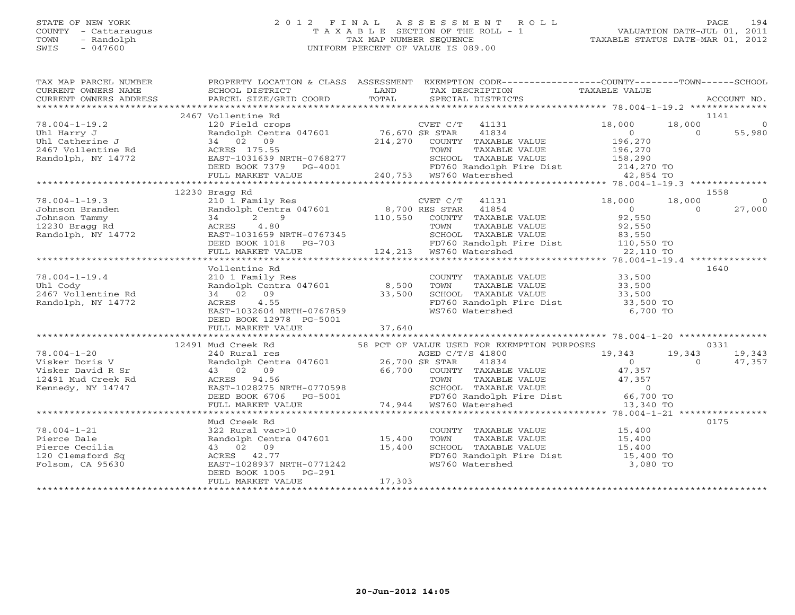# STATE OF NEW YORK 2 0 1 2 F I N A L A S S E S S M E N T R O L L PAGE 194 COUNTY - Cattaraugus T A X A B L E SECTION OF THE ROLL - 1 VALUATION DATE-JUL 01, 2011 TOWN - Randolph TAX MAP NUMBER SEQUENCE TAXABLE STATUS DATE-MAR 01, 2012 SWIS - 047600 UNIFORM PERCENT OF VALUE IS 089.00UNIFORM PERCENT OF VALUE IS 089.00

| $\begin{tabular}{lllllllll} \textsc{rank} & \textsc{map} & \textsc{p}} & \textsc{properry} & \textsc{comp} & \textsc{p}} & \textsc{properry} & \textsc{propary} & \textsc{propary} & \textsc{propary} & \textsc{propary} & \textsc{propary} & \textsc{propary} & \textsc{propary} & \textsc{propary} & \textsc{propary} & \textsc{propary} & \textsc{propary} & \textsc{propary} & \textsc{propary} & \textsc{propary} & \textsc{propary} & \textsc{propary} & \textsc{propary} & \textsc{propary} & \textsc{propary} & \textsc{prop$ |                            |        |                                                                                                                                                                  |  |                |
|---------------------------------------------------------------------------------------------------------------------------------------------------------------------------------------------------------------------------------------------------------------------------------------------------------------------------------------------------------------------------------------------------------------------------------------------------------------------------------------------------------------------------------------|----------------------------|--------|------------------------------------------------------------------------------------------------------------------------------------------------------------------|--|----------------|
|                                                                                                                                                                                                                                                                                                                                                                                                                                                                                                                                       |                            |        |                                                                                                                                                                  |  |                |
|                                                                                                                                                                                                                                                                                                                                                                                                                                                                                                                                       |                            |        |                                                                                                                                                                  |  |                |
|                                                                                                                                                                                                                                                                                                                                                                                                                                                                                                                                       |                            |        |                                                                                                                                                                  |  |                |
|                                                                                                                                                                                                                                                                                                                                                                                                                                                                                                                                       |                            |        |                                                                                                                                                                  |  |                |
|                                                                                                                                                                                                                                                                                                                                                                                                                                                                                                                                       |                            |        |                                                                                                                                                                  |  |                |
|                                                                                                                                                                                                                                                                                                                                                                                                                                                                                                                                       |                            |        |                                                                                                                                                                  |  |                |
|                                                                                                                                                                                                                                                                                                                                                                                                                                                                                                                                       | 12230 Bragg Rd             |        |                                                                                                                                                                  |  | 1558           |
|                                                                                                                                                                                                                                                                                                                                                                                                                                                                                                                                       |                            |        |                                                                                                                                                                  |  | $\overline{0}$ |
|                                                                                                                                                                                                                                                                                                                                                                                                                                                                                                                                       |                            |        |                                                                                                                                                                  |  | 27,000         |
|                                                                                                                                                                                                                                                                                                                                                                                                                                                                                                                                       |                            |        |                                                                                                                                                                  |  |                |
|                                                                                                                                                                                                                                                                                                                                                                                                                                                                                                                                       |                            |        |                                                                                                                                                                  |  |                |
|                                                                                                                                                                                                                                                                                                                                                                                                                                                                                                                                       |                            |        |                                                                                                                                                                  |  |                |
|                                                                                                                                                                                                                                                                                                                                                                                                                                                                                                                                       |                            |        |                                                                                                                                                                  |  |                |
|                                                                                                                                                                                                                                                                                                                                                                                                                                                                                                                                       |                            |        |                                                                                                                                                                  |  |                |
|                                                                                                                                                                                                                                                                                                                                                                                                                                                                                                                                       | Vollentine Rd              |        |                                                                                                                                                                  |  | 1640           |
|                                                                                                                                                                                                                                                                                                                                                                                                                                                                                                                                       |                            |        |                                                                                                                                                                  |  |                |
|                                                                                                                                                                                                                                                                                                                                                                                                                                                                                                                                       |                            |        |                                                                                                                                                                  |  |                |
|                                                                                                                                                                                                                                                                                                                                                                                                                                                                                                                                       |                            |        |                                                                                                                                                                  |  |                |
|                                                                                                                                                                                                                                                                                                                                                                                                                                                                                                                                       |                            |        | FD760 Randolph Fire Dist 33,500 TO<br>WS760 Watershed 6,700 TO                                                                                                   |  |                |
| VOLLERCINE RANGE VALUE<br>VOLLERCINE RANGE VALUE<br>210 1 Family Res<br>210 1 Family Res<br>210 1 Family Res<br>210 1 Family Res<br>210 1 Family Res<br>210 1 Family Res<br>210 1 Family Res<br>210 1 Family Res<br>210 1 Family Res<br>210 1 Family                                                                                                                                                                                                                                                                                  |                            |        |                                                                                                                                                                  |  |                |
|                                                                                                                                                                                                                                                                                                                                                                                                                                                                                                                                       | DEED BOOK 12978 PG-5001    |        |                                                                                                                                                                  |  |                |
|                                                                                                                                                                                                                                                                                                                                                                                                                                                                                                                                       |                            |        |                                                                                                                                                                  |  |                |
|                                                                                                                                                                                                                                                                                                                                                                                                                                                                                                                                       |                            |        |                                                                                                                                                                  |  |                |
|                                                                                                                                                                                                                                                                                                                                                                                                                                                                                                                                       |                            |        |                                                                                                                                                                  |  |                |
|                                                                                                                                                                                                                                                                                                                                                                                                                                                                                                                                       |                            |        |                                                                                                                                                                  |  |                |
|                                                                                                                                                                                                                                                                                                                                                                                                                                                                                                                                       |                            |        |                                                                                                                                                                  |  |                |
|                                                                                                                                                                                                                                                                                                                                                                                                                                                                                                                                       |                            |        |                                                                                                                                                                  |  |                |
|                                                                                                                                                                                                                                                                                                                                                                                                                                                                                                                                       |                            |        |                                                                                                                                                                  |  |                |
|                                                                                                                                                                                                                                                                                                                                                                                                                                                                                                                                       |                            |        |                                                                                                                                                                  |  |                |
|                                                                                                                                                                                                                                                                                                                                                                                                                                                                                                                                       |                            |        |                                                                                                                                                                  |  |                |
|                                                                                                                                                                                                                                                                                                                                                                                                                                                                                                                                       |                            |        |                                                                                                                                                                  |  |                |
|                                                                                                                                                                                                                                                                                                                                                                                                                                                                                                                                       | Mud Creek Rd               |        |                                                                                                                                                                  |  | 0175           |
|                                                                                                                                                                                                                                                                                                                                                                                                                                                                                                                                       |                            |        |                                                                                                                                                                  |  |                |
| 78.004-1-21<br>Pierce Dale<br>Pierce Cecilia<br>Pierce Cecilia<br>20 Clemsford Sq<br>20 Clemsford Sq<br>20 ACRES<br>21.77<br>Folsom, CA 95630<br>20 EAST-1028937 NRTH-0771242<br>21.77<br>21.77<br>22.8011202937 NRTH-0771242<br>22.801 15,400<br>22.99<br>2                                                                                                                                                                                                                                                                          |                            |        | COUNTY TAXABLE VALUE $15,400$<br>TOWN TAXABLE VALUE $15,400$<br>SCHOOL TAXABLE VALUE $15,400$<br>FD760 Randolph Fire Dist $15,400$<br>WS760 Watershed $3,080$ TO |  |                |
|                                                                                                                                                                                                                                                                                                                                                                                                                                                                                                                                       |                            |        |                                                                                                                                                                  |  |                |
|                                                                                                                                                                                                                                                                                                                                                                                                                                                                                                                                       |                            |        |                                                                                                                                                                  |  |                |
|                                                                                                                                                                                                                                                                                                                                                                                                                                                                                                                                       | $PG-291$<br>DEED BOOK 1005 |        |                                                                                                                                                                  |  |                |
|                                                                                                                                                                                                                                                                                                                                                                                                                                                                                                                                       | FULL MARKET VALUE          | 17,303 |                                                                                                                                                                  |  |                |
|                                                                                                                                                                                                                                                                                                                                                                                                                                                                                                                                       |                            |        |                                                                                                                                                                  |  |                |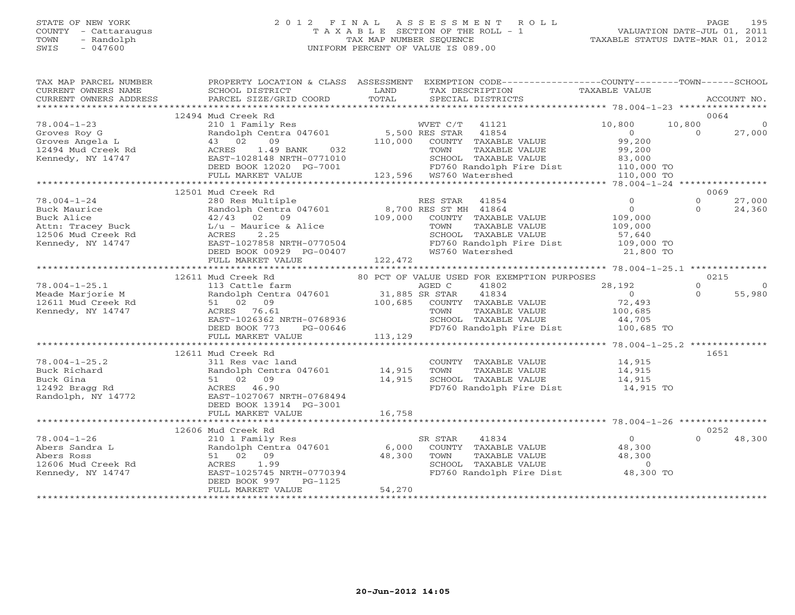# STATE OF NEW YORK 2 0 1 2 F I N A L A S S E S S M E N T R O L L PAGE 195COUNTY - Cattaraugus T A X A B L E SECTION OF THE ROLL - 1 VALUATION DATE-JUL 01, 2011 SWIS - 047600 UNIFORM PERCENT OF VALUE IS 089.00

| PARCEL SIZE/GRID COORD<br>TOTAL<br>CURRENT OWNERS ADDRESS<br>SPECIAL DISTRICTS<br>12494 Mud Creek Rd<br>210 1 Family Res<br>78.004-1-23<br>WVET C/T<br>41121<br>10,800<br>10,800<br>Randolph Centra 047601<br>5,500 RES STAR<br>41854<br>$\bigcap$<br>Groves Roy G<br>$\overline{0}$<br>09<br>99,200<br>Groves Angela L<br>43 02<br>110,000<br>COUNTY TAXABLE VALUE<br>1.49 BANK 032<br>TAXABLE VALUE<br>ACRES<br>TOWN<br>99,200                                                            | ACCOUNT NO.<br>0064<br>27,000            |
|---------------------------------------------------------------------------------------------------------------------------------------------------------------------------------------------------------------------------------------------------------------------------------------------------------------------------------------------------------------------------------------------------------------------------------------------------------------------------------------------|------------------------------------------|
|                                                                                                                                                                                                                                                                                                                                                                                                                                                                                             |                                          |
|                                                                                                                                                                                                                                                                                                                                                                                                                                                                                             |                                          |
| 12494 Mud Creek Rd<br>Konnody, NY 14747<br>EAST-1028148 NRTH-0771010<br>Kennedy, NY 14747<br>SCHOOL TAXABLE VALUE<br>83,000<br>DEED BOOK 12020 PG-7001<br>FD760 Randolph Fire Dist<br>WS760 Watershed<br>110,000 TO                                                                                                                                                                                                                                                                         |                                          |
| 123,596 WS760 Watershed<br>FULL MARKET VALUE<br>110,000 TO                                                                                                                                                                                                                                                                                                                                                                                                                                  |                                          |
| 12501 Mud Creek Rd                                                                                                                                                                                                                                                                                                                                                                                                                                                                          | 0069                                     |
| 78.004-1-24<br>$\Omega$<br>280 Res Multiple<br>RES STAR<br>41854<br>Randolph Centra 047601 8,700 RES ST MH 41864<br>$\overline{0}$<br>Buck Maurice<br>42/43 02 09<br>109,000<br>Buck Alice<br>COUNTY TAXABLE VALUE<br>109,000<br>TOWN<br>TAXABLE VALUE<br>109,000<br>SCHOOL TAXABLE VALUE<br>57,640<br>EAST-1027858 NRTH-0770504<br>DEED BOOK 00929 PG-00407<br>Kennedy, NY 14747<br>FD760 Randolph Fire Dist 109,000 TO<br>WS760 Watershed<br>21,800 TO                                    | 27,000<br>$\Omega$<br>24,360<br>$\Omega$ |
| 122,472<br>FULL MARKET VALUE                                                                                                                                                                                                                                                                                                                                                                                                                                                                |                                          |
| 12611 Mud Creek Rd<br>80 PCT OF VALUE USED FOR EXEMPTION PURPOSES                                                                                                                                                                                                                                                                                                                                                                                                                           | 0215                                     |
| 78.004-1-25.1<br>113 Cattle farm<br>AGED C<br>41802<br>28,192<br>$31,885$ SR STAR<br>Randolph Centra 047601<br>Meade Marjorie M<br>41834<br>$\overline{0}$<br>72,493<br>12611 Mud Creek Rd<br>51 02 09<br>100,685<br>COUNTY TAXABLE VALUE<br>Kennedy, NY 14747<br>ACRES 76.61<br>TOWN<br>TAXABLE VALUE<br>100,685<br>EAST-1026362 NRTH-0768936<br>SCHOOL TAXABLE VALUE<br>44,705<br>DEED BOOK 773<br>PG-00646<br>FD760 Randolph Fire Dist 100,685 TO                                        | $\Omega$<br>55,980<br>$\Omega$           |
| FULL MARKET VALUE<br>113,129                                                                                                                                                                                                                                                                                                                                                                                                                                                                |                                          |
|                                                                                                                                                                                                                                                                                                                                                                                                                                                                                             |                                          |
| 12611 Mud Creek Rd<br>78.004-1-25.2<br>311 Res vac land<br>COUNTY TAXABLE VALUE<br>14,915<br>Randolph Centra 047601 14,915<br>51 02 09 14,915<br>ACRES 46.90 14,915<br>14,915<br>Buck Richard<br>SCHOOL TAXABLE VALUE<br>Buck Gina<br>14,915<br>FD760 Randolph Fire Dist<br>14,915 TO<br>12492 Bragg Rd<br>Randolph, NY 14772<br>EAST-1027067 NRTH-0768494<br>DEED BOOK 13914 PG-3001                                                                                                       | 1651                                     |
|                                                                                                                                                                                                                                                                                                                                                                                                                                                                                             |                                          |
| 12606 Mud Creek Rd                                                                                                                                                                                                                                                                                                                                                                                                                                                                          | 0252                                     |
| $\overline{0}$<br>78.004-1-26<br>210 1 Family Res<br>SR STAR<br>41834<br>Randolph Centra 047601<br>Abers Sandra L<br>6,000<br>COUNTY TAXABLE VALUE<br>48,300<br>Randoi <sub>p</sub><br>51 02 09<br>ACRES 1.99<br>2m 1025745<br>TAXABLE VALUE<br>TAXABLE VALUE<br>48,300<br>TOWN<br>48,300<br>Abers Ross<br>$\overline{0}$<br>12606 Mud Creek Rd<br>SCHOOL TAXABLE VALUE<br>EAST-1025745 NRTH-0770394<br>FD760 Randolph Fire Dist 48,300 TO<br>Kennedy, NY 14747<br>DEED BOOK 997<br>PG-1125 | 48,300<br>$\cap$                         |
| 54,270<br>FULL MARKET VALUE<br>*****************************                                                                                                                                                                                                                                                                                                                                                                                                                                |                                          |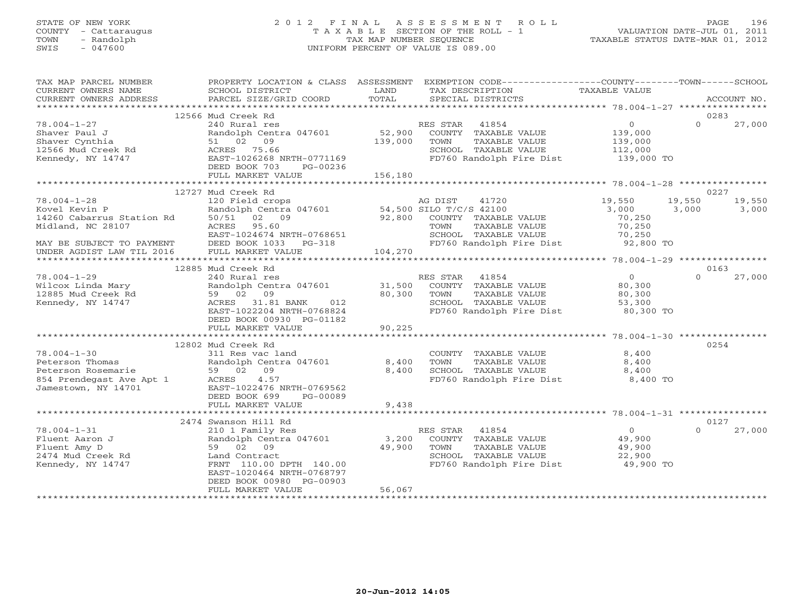# STATE OF NEW YORK 2 0 1 2 F I N A L A S S E S S M E N T R O L L PAGE 196 COUNTY - Cattaraugus T A X A B L E SECTION OF THE ROLL - 1 VALUATION DATE-JUL 01, 2011 TOWN - Randolph TAX MAP NUMBER SEQUENCE TAXABLE STATUS DATE-MAR 01, 2012 SWIS - 047600 UNIFORM PERCENT OF VALUE IS 089.00UNIFORM PERCENT OF VALUE IS 089.00

| TAX MAP PARCEL NUMBER<br>CURRENT OWNERS NAME                                                                                                       | PROPERTY LOCATION & CLASS ASSESSMENT<br>SCHOOL DISTRICT                                                                                                                                                        | LAND                       | EXEMPTION CODE-----------------COUNTY-------TOWN------SCHOOL<br>TAX DESCRIPTION                                                  | TAXABLE VALUE                                                   |          |                        |
|----------------------------------------------------------------------------------------------------------------------------------------------------|----------------------------------------------------------------------------------------------------------------------------------------------------------------------------------------------------------------|----------------------------|----------------------------------------------------------------------------------------------------------------------------------|-----------------------------------------------------------------|----------|------------------------|
| CURRENT OWNERS ADDRESS                                                                                                                             | PARCEL SIZE/GRID COORD                                                                                                                                                                                         | TOTAL                      | SPECIAL DISTRICTS                                                                                                                |                                                                 |          | ACCOUNT NO.            |
|                                                                                                                                                    | 12566 Mud Creek Rd                                                                                                                                                                                             |                            |                                                                                                                                  |                                                                 | 0283     |                        |
| $78.004 - 1 - 27$<br>Shaver Paul J<br>Shaver Cynthia<br>12566 Mud Creek Rd<br>Kennedy, NY 14747                                                    | 240 Rural res<br>Randolph Centra 047601<br>51 02 09<br>ACRES 75.66<br>EAST-1026268 NRTH-0771169<br>DEED BOOK 703<br>PG-00236                                                                                   | 139,000                    | RES STAR 41854<br>52,900 COUNTY TAXABLE VALUE<br>TOWN<br>TAXABLE VALUE<br>SCHOOL TAXABLE VALUE<br>FD760 Randolph Fire Dist       | $\overline{0}$<br>139,000<br>139,000<br>112,000<br>$139,000$ TO | $\Omega$ | 27,000                 |
|                                                                                                                                                    | FULL MARKET VALUE                                                                                                                                                                                              | 156,180                    |                                                                                                                                  |                                                                 |          |                        |
|                                                                                                                                                    | 12727 Mud Creek Rd                                                                                                                                                                                             |                            |                                                                                                                                  |                                                                 |          | 0227                   |
| $78.004 - 1 - 28$<br>Kovel Kevin P<br>14260 Cabarrus Station Rd<br>Midland, NC 28107<br>MAY BE SUBJECT TO PAYMENT<br>UNDER AGDIST LAW TIL 2016     | 120 Field crops<br>Randolph Centra 047601 54,500 SILO T/C/S 42100<br>50/51 02 09<br>ACRES<br>95.60<br>EAST-1024674 NRTH-0768651<br>DEED BOOK 1033 PG-318<br>FULL MARKET VALUE                                  | 92,800<br>104,270          | AG DIST<br>41720<br>COUNTY TAXABLE VALUE<br>TOWN<br>TAXABLE VALUE<br>SCHOOL TAXABLE VALUE<br>FD760 Randolph Fire Dist 92,800 TO  | 19,550<br>3,000<br>70,250<br>70,250<br>70,250                   | 3,000    | 19,550 19,550<br>3,000 |
|                                                                                                                                                    | 12885 Mud Creek Rd                                                                                                                                                                                             |                            |                                                                                                                                  |                                                                 |          | 0163                   |
| $78.004 - 1 - 29$<br>Wilcox Linda Mary<br>12885 Mud Creek Rd<br>Kennedy, NY 14747                                                                  | 240 Rural res<br>Randolph Centra 047601<br>59 02 09<br>ACRES 31.81 BANK<br>012<br>EAST-1022204 NRTH-0768824<br>DEED BOOK 00930 PG-01182<br>FULL MARKET VALUE                                                   | 31,500<br>80,300<br>90,225 | RES STAR<br>41854<br>COUNTY TAXABLE VALUE<br>TOWN<br>TAXABLE VALUE<br>SCHOOL TAXABLE VALUE<br>FD760 Randolph Fire Dist           | $\overline{0}$<br>80,300<br>80,300<br>53,300<br>80,300 TO       | $\Omega$ | 27,000                 |
|                                                                                                                                                    |                                                                                                                                                                                                                |                            |                                                                                                                                  |                                                                 |          |                        |
| $78.004 - 1 - 30$<br>Peterson Thomas<br>Peterson Rosemarie<br>Parameter and the Apt 1<br>354 Prendegast Ave Apt 1<br>Jamestown, NY 14701 EAST-1022 | 12802 Mud Creek Rd<br>311 Res vac land<br>Randolph Centra 047601<br>59 02 09<br>4.57<br>EAST-1022476 NRTH-0769562<br>DEED BOOK 699<br>PG-00089                                                                 | 8,400<br>8,400             | COUNTY TAXABLE VALUE<br>TAXABLE VALUE<br>TOWN<br>SCHOOL TAXABLE VALUE<br>FD760 Randolph Fire Dist                                | 8,400<br>8,400<br>8,400<br>8,400 TO                             | 0254     |                        |
|                                                                                                                                                    | FULL MARKET VALUE                                                                                                                                                                                              | 9,438                      |                                                                                                                                  |                                                                 |          |                        |
|                                                                                                                                                    | 2474 Swanson Hill Rd                                                                                                                                                                                           |                            |                                                                                                                                  |                                                                 |          | 0127                   |
| $78.004 - 1 - 31$<br>Fluent Aaron J<br>Fluent Amy D<br>2474 Mud Creek Rd<br>Kennedy, NY 14747<br>*************************                         | 210 1 Family Res<br>Randolph Centra 047601<br>59 02 09<br>Land Contract<br>FRNT 110.00 DPTH 140.00<br>EAST-1020464 NRTH-0768797<br>DEED BOOK 00980 PG-00903<br>FULL MARKET VALUE<br>************************** | 3,200<br>49,900<br>56,067  | 41854<br>RES STAR<br>COUNTY TAXABLE VALUE<br>TAXABLE VALUE<br>TOWN<br>SCHOOL TAXABLE VALUE<br>FD760 Randolph Fire Dist 49,900 TO | $\overline{0}$<br>49,900<br>49,900<br>22,900                    | $\Omega$ | 27,000                 |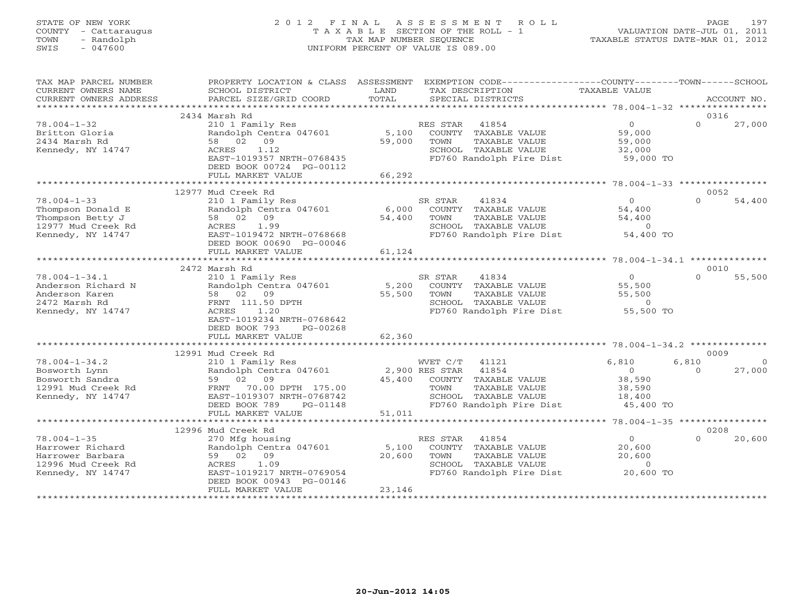# STATE OF NEW YORK 2 0 1 2 F I N A L A S S E S S M E N T R O L L PAGE 197 COUNTY - Cattaraugus T A X A B L E SECTION OF THE ROLL - 1 VALUATION DATE-JUL 01, 2011 TOWN - Randolph TAX MAP NUMBER SEQUENCE TAXABLE STATUS DATE-MAR 01, 2012 SWIS - 047600 UNIFORM PERCENT OF VALUE IS 089.00UNIFORM PERCENT OF VALUE IS 089.00

| TAX MAP PARCEL NUMBER  |                                            |                | PROPERTY LOCATION & CLASS ASSESSMENT EXEMPTION CODE---------------COUNTY-------TOWN------SCHOOL |                  |                  |             |
|------------------------|--------------------------------------------|----------------|-------------------------------------------------------------------------------------------------|------------------|------------------|-------------|
| CURRENT OWNERS NAME    | SCHOOL DISTRICT                            | LAND           | TAX DESCRIPTION                                                                                 | TAXABLE VALUE    |                  |             |
| CURRENT OWNERS ADDRESS | PARCEL SIZE/GRID COORD                     | TOTAL          | SPECIAL DISTRICTS                                                                               |                  |                  | ACCOUNT NO. |
|                        |                                            |                |                                                                                                 |                  |                  |             |
|                        | 2434 Marsh Rd                              |                |                                                                                                 |                  | 0316             |             |
| $78.004 - 1 - 32$      | 210 1 Family Res                           |                | RES STAR<br>41854                                                                               | $\overline{0}$   | $\cap$           | 27,000      |
| Britton Gloria         | Randolph Centra 047601                     |                | 5,100 COUNTY TAXABLE VALUE                                                                      | 59,000           |                  |             |
| 2434 Marsh Rd          | 58 02 09                                   | 59,000         | TAXABLE VALUE<br>TOWN                                                                           | 59,000           |                  |             |
| Kennedy, NY 14747      | 1.12<br>ACRES                              |                | SCHOOL TAXABLE VALUE                                                                            | 32,000           |                  |             |
|                        | EAST-1019357 NRTH-0768435                  |                | FD760 Randolph Fire Dist 59,000 TO                                                              |                  |                  |             |
|                        | DEED BOOK 00724 PG-00112                   |                |                                                                                                 |                  |                  |             |
|                        | FULL MARKET VALUE                          | 66,292         |                                                                                                 |                  |                  |             |
|                        |                                            |                |                                                                                                 |                  |                  |             |
|                        | 12977 Mud Creek Rd                         |                |                                                                                                 | $\Omega$         | 0052<br>$\Omega$ |             |
| $78.004 - 1 - 33$      | 210 1 Family Res<br>Randolph Centra 047601 |                | SR STAR<br>41834                                                                                |                  |                  | 54,400      |
| Thompson Donald E      |                                            | 6,000          | COUNTY TAXABLE VALUE                                                                            | 54,400           |                  |             |
| Thompson Betty J       | 58 02 09                                   | 54,400         | TOWN<br>TAXABLE VALUE                                                                           | 54,400           |                  |             |
| 12977 Mud Creek Rd     | ACRES<br>1.99                              |                | SCHOOL TAXABLE VALUE                                                                            | $\overline{0}$   |                  |             |
| Kennedy, NY 14747      | EAST-1019472 NRTH-0768668                  |                | FD760 Randolph Fire Dist                                                                        | 54,400 TO        |                  |             |
|                        | DEED BOOK 00690 PG-00046                   |                |                                                                                                 |                  |                  |             |
|                        | FULL MARKET VALUE                          | 61,124         |                                                                                                 |                  |                  |             |
|                        | 2472 Marsh Rd                              |                |                                                                                                 |                  | 0010             |             |
| $78.004 - 1 - 34.1$    | 210 1 Family Res                           |                | SR STAR<br>41834                                                                                | $\Omega$         | $\Omega$         | 55,500      |
| Anderson Richard N     | Randolph Centra 047601                     |                | 5,200 COUNTY TAXABLE VALUE                                                                      |                  |                  |             |
| Anderson Karen         | 58 02 09                                   | 55,500         | TOWN<br>TAXABLE VALUE                                                                           | 55,500<br>55,500 |                  |             |
| 2472 Marsh Rd          | FRNT 111.50 DPTH                           |                | SCHOOL TAXABLE VALUE                                                                            | $\overline{0}$   |                  |             |
| Kennedy, NY 14747      | ACRES<br>1.20                              |                | FD760 Randolph Fire Dist                                                                        | 55,500 TO        |                  |             |
|                        | EAST-1019234 NRTH-0768642                  |                |                                                                                                 |                  |                  |             |
|                        | DEED BOOK 793<br>$PG-00268$                |                |                                                                                                 |                  |                  |             |
|                        | FULL MARKET VALUE                          | 62,360         |                                                                                                 |                  |                  |             |
|                        |                                            |                |                                                                                                 |                  |                  |             |
|                        | 12991 Mud Creek Rd                         |                |                                                                                                 |                  | 0009             |             |
| $78.004 - 1 - 34.2$    | 210 1 Family Res                           |                | WVET C/T 41121                                                                                  | 6,810            | 6,810            | $\Omega$    |
| Bosworth Lynn          | Randolph Centra 047601                     | 2,900 RES STAR | 41854                                                                                           | $\overline{0}$   | $\Omega$         | 27,000      |
| Bosworth Sandra        | 59 02 09                                   |                | 45,400 COUNTY TAXABLE VALUE                                                                     | 38,590           |                  |             |
| 12991 Mud Creek Rd     | FRNT 70.00 DPTH 175.00                     |                | TAXABLE VALUE<br>TOWN                                                                           | 38,590           |                  |             |
| Kennedy, NY 14747      | EAST-1019307 NRTH-0768742                  |                | SCHOOL TAXABLE VALUE                                                                            | 18,400           |                  |             |
|                        | DEED BOOK 789<br>PG-01148                  |                | FD760 Randolph Fire Dist 45,400 TO                                                              |                  |                  |             |
|                        | FULL MARKET VALUE                          | 51,011         |                                                                                                 |                  |                  |             |
|                        |                                            |                |                                                                                                 |                  |                  |             |
|                        | 12996 Mud Creek Rd                         |                |                                                                                                 |                  | 0208             |             |
| $78.004 - 1 - 35$      | 270 Mfg housing                            |                | RES STAR<br>41854                                                                               | 0                | $\Omega$         | 20,600      |
| Harrower Richard       | 270 Mig nousing<br>Randolph Centra 047601  | 5,100          | COUNTY TAXABLE VALUE                                                                            | 20,600           |                  |             |
| Harrower Barbara       | 59 02 09                                   | 20,600         | TAXABLE VALUE<br>TOWN                                                                           | 20,600           |                  |             |
| 12996 Mud Creek Rd     | ACRES<br>1.09                              |                | SCHOOL TAXABLE VALUE                                                                            | $\Omega$         |                  |             |
| Kennedy, NY 14747      | EAST-1019217 NRTH-0769054                  |                | FD760 Randolph Fire Dist 20,600 TO                                                              |                  |                  |             |
|                        | DEED BOOK 00943 PG-00146                   |                |                                                                                                 |                  |                  |             |
|                        | FULL MARKET VALUE                          | 23,146         |                                                                                                 |                  |                  |             |
|                        |                                            |                |                                                                                                 |                  |                  |             |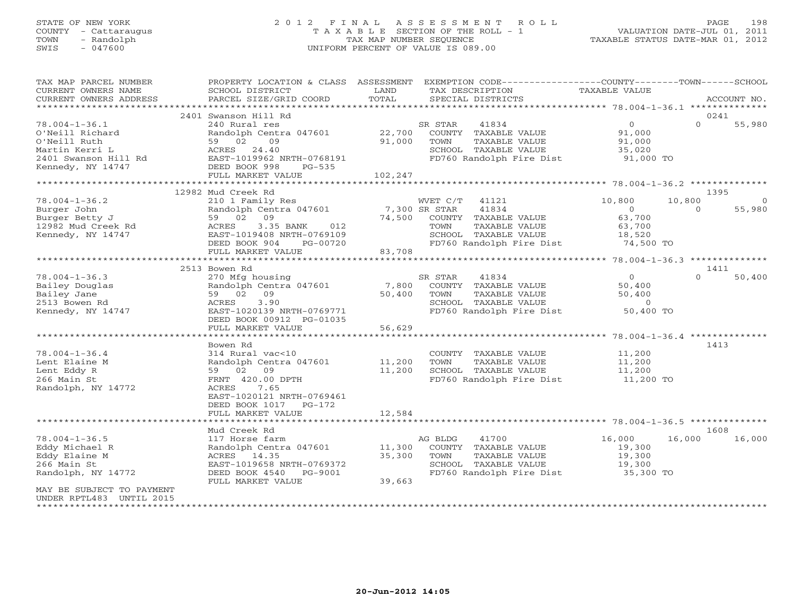# STATE OF NEW YORK 2 0 1 2 F I N A L A S S E S S M E N T R O L L PAGE 198 COUNTY - Cattaraugus T A X A B L E SECTION OF THE ROLL - 1 VALUATION DATE-JUL 01, 2011 TOWN - Randolph TAX MAP NUMBER SEQUENCE TAXABLE STATUS DATE-MAR 01, 2012 SWIS - 047600 UNIFORM PERCENT OF VALUE IS 089.00UNIFORM PERCENT OF VALUE IS 089.00

| TAX MAP PARCEL NUMBER<br>CURRENT OWNERS NAME<br>CURRENT OWNERS ADDRESS                                                   | PROPERTY LOCATION & CLASS ASSESSMENT<br>SCHOOL DISTRICT<br><b>Example 12</b> LAND<br>PARCEL SIZE/GRID COORD                                                                                              | TOTAL         | EXEMPTION CODE-----------------COUNTY-------TOWN------SCHOOL<br>TAX DESCRIPTION<br>SPECIAL DISTRICTS                                                                       | TAXABLE VALUE                                                     | ACCOUNT NO.                          |                |
|--------------------------------------------------------------------------------------------------------------------------|----------------------------------------------------------------------------------------------------------------------------------------------------------------------------------------------------------|---------------|----------------------------------------------------------------------------------------------------------------------------------------------------------------------------|-------------------------------------------------------------------|--------------------------------------|----------------|
|                                                                                                                          |                                                                                                                                                                                                          |               |                                                                                                                                                                            |                                                                   |                                      |                |
|                                                                                                                          | 2401 Swanson Hill Rd                                                                                                                                                                                     |               |                                                                                                                                                                            |                                                                   | 0241                                 |                |
| $78.004 - 1 - 36.1$<br>O'Neill Richard<br>O'Neill Ruth<br>Martin Kerri L<br>2401 Swanson Hill Rd                         | 240 Rural res<br>ACRES 24.40<br>EAST-1019962 NRTH-0768191                                                                                                                                                |               | SR STAR<br>41834<br>Fandolph Centra 047601 22,700 COUNTY TAXABLE VALUE<br>59 02 09 91,000 TOWN TAXABLE VALUE<br>SCHOOL TAXABLE VALUE<br>FD760 Randolph Fire Dist 91,000 TO | $0$<br>$91,000$<br>$91,000$<br>$35,020$                           | $\Omega$<br>55,980                   |                |
| Kennedy, NY 14747                                                                                                        | DEED BOOK 998<br>PG-535                                                                                                                                                                                  |               |                                                                                                                                                                            |                                                                   |                                      |                |
|                                                                                                                          | FULL MARKET VALUE                                                                                                                                                                                        | 102,247       |                                                                                                                                                                            |                                                                   |                                      |                |
|                                                                                                                          |                                                                                                                                                                                                          |               |                                                                                                                                                                            |                                                                   |                                      |                |
| $78.004 - 1 - 36.2$                                                                                                      | 12982 Mud Creek Rd<br>210 1 Family Res                                                                                                                                                                   |               | WVET C/T 41121<br>41834                                                                                                                                                    | 10,800<br>$\begin{array}{c}\n0 \\ 63\n\end{array}$                | 1395<br>10,800<br>$\Omega$<br>55,980 | $\overline{0}$ |
| -----<br>Burger Betty J<br>12982 Mud Creek Rd<br>Kennedy, NY 14747                                                       | 210 I Family Res<br>Randolph Centra 047601 7,300 SR STRAR<br>59 02 09 74,500 COUNTY<br>ACRES 3.35 BANK 012 TOWN<br>EAST-1019408 NRTH-0769109 SCHOOL<br>DEED BOOK 904 PG-00720 83,708 FD760 I<br>59 02 09 |               | COUNTY TAXABLE VALUE<br>TOWN       TAXABLE  VALUE<br>SCHOOL    TAXABLE  VALUE<br>FD760 Randolph Fire Dist 74,500 TO                                                        | 63,700<br>18,520                                                  |                                      |                |
|                                                                                                                          |                                                                                                                                                                                                          |               |                                                                                                                                                                            |                                                                   |                                      |                |
|                                                                                                                          |                                                                                                                                                                                                          |               |                                                                                                                                                                            |                                                                   |                                      |                |
|                                                                                                                          | 2513 Bowen Rd                                                                                                                                                                                            |               |                                                                                                                                                                            |                                                                   | 1411                                 |                |
| $78.004 - 1 - 36.3$<br>Bailey Douglas<br>Bailey Jane<br>2513 Bowen Rd<br>Kennedy, NY 14747                               | 270 Mfg housing<br>Randolph Centra 047601 7,800<br>59 02 09<br>3.90<br>ACRES<br>EAST-1020139 NRTH-0769771<br>DEED BOOK 00912 PG-01035                                                                    | 50,400        | SR STAR<br>41834<br>COUNTY TAXABLE VALUE<br>TOWN TAXABLE VALUE<br>CULOOL TAXABLE VALUE<br>TOWN<br>SCHOOL TAXABLE VALUE<br>FD760 Randolph Fire Dist                         | $\overline{0}$<br>50,400<br>50,400<br>$\overline{0}$<br>50,400 TO | $\Omega$<br>50,400                   |                |
|                                                                                                                          | FULL MARKET VALUE                                                                                                                                                                                        | 56,629        |                                                                                                                                                                            |                                                                   |                                      |                |
|                                                                                                                          |                                                                                                                                                                                                          | ************* |                                                                                                                                                                            |                                                                   |                                      |                |
| $78.004 - 1 - 36.4$<br>Lent Elaine M<br>Lent Eddy R<br>266 Main St<br>Randolph, NY 14772                                 | Bowen Rd<br>314 Rural vac<10<br>Randolph Centra 047601 11,200<br>59 02 09<br>FRNT 420.00 DPTH<br>ACRES<br>7.65<br>EAST-1020121 NRTH-0769461<br>DEED BOOK 1017 PG-172                                     | 11,200        | COUNTY TAXABLE VALUE 11,200<br>TOWN TAXABLE VALUE 11,200<br>TOWN TAASDED VIDEO<br>SCHOOL TAXABLE VALUE 11,200<br>FD760 Randolph Fire Dist 11,200 TO                        |                                                                   | 1413                                 |                |
|                                                                                                                          | FULL MARKET VALUE                                                                                                                                                                                        | 12,584        |                                                                                                                                                                            |                                                                   |                                      |                |
|                                                                                                                          |                                                                                                                                                                                                          |               |                                                                                                                                                                            |                                                                   |                                      |                |
|                                                                                                                          | Mud Creek Rd                                                                                                                                                                                             |               |                                                                                                                                                                            |                                                                   | 1608                                 |                |
| $78.004 - 1 - 36.5$<br>Eddy Michael R<br>Eddy Elaine M<br>266 Main St<br>Randolph, NY 14772<br>MAY BE SUBJECT TO PAYMENT | 117 Horse farm<br>Randolph Centra 047601 11,300<br>ACRES 14.35<br>EAST-1019658 NRTH-0769372<br>DEED BOOK 4540 PG-9001<br>FULL MARKET VALUE                                                               | 39,663        | 41700<br>AG BLDG<br>COUNTY TAXABLE VALUE<br>35,300 TOWN<br>TAXABLE VALUE<br>SCHOOL TAXABLE VALUE<br>FD760 Randolph Fire Dist 55,300 TO                                     | 16,000<br>19,300<br>19,300                                        | 16,000<br>16,000                     |                |
| UNDER RPTL483 UNTIL 2015<br>***********************************                                                          |                                                                                                                                                                                                          |               |                                                                                                                                                                            |                                                                   |                                      |                |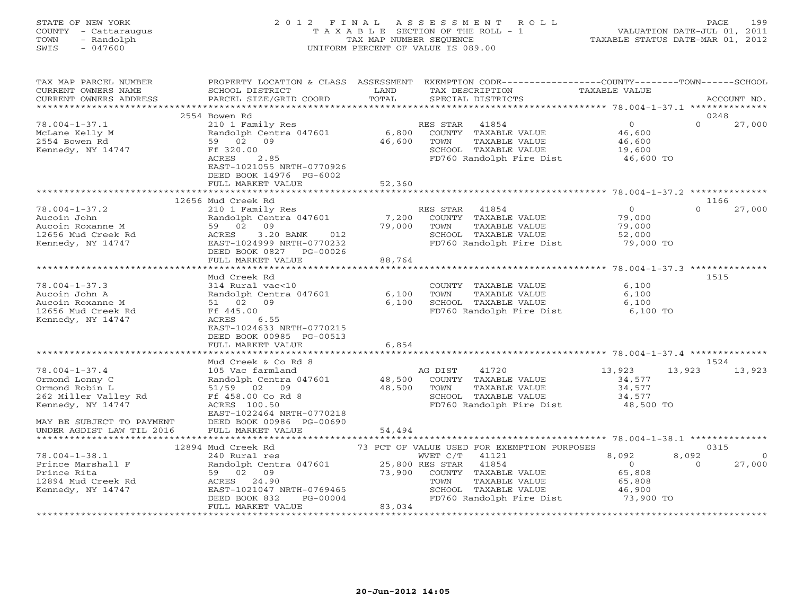# STATE OF NEW YORK 2 0 1 2 F I N A L A S S E S S M E N T R O L L PAGE 199 COUNTY - Cattaraugus T A X A B L E SECTION OF THE ROLL - 1 VALUATION DATE-JUL 01, 2011 TOWN - Randolph TAX MAP NUMBER SEQUENCE TAXABLE STATUS DATE-MAR 01, 2012 SWIS - 047600 UNIFORM PERCENT OF VALUE IS 089.00UNIFORM PERCENT OF VALUE IS 089.00

| TAX MAP PARCEL NUMBER<br>CURRENT OWNERS NAME<br>CURRENT OWNERS ADDRESS                               | PROPERTY LOCATION & CLASS ASSESSMENT<br>SCHOOL DISTRICT<br>PARCEL SIZE/GRID COORD                                                                     | LAND<br>TOTAL    | TAX DESCRIPTION<br>SPECIAL DISTRICTS                                                                  | EXEMPTION CODE-----------------COUNTY-------TOWN------SCHOOL | TAXABLE VALUE                                               |                         | ACCOUNT NO.        |
|------------------------------------------------------------------------------------------------------|-------------------------------------------------------------------------------------------------------------------------------------------------------|------------------|-------------------------------------------------------------------------------------------------------|--------------------------------------------------------------|-------------------------------------------------------------|-------------------------|--------------------|
| ***********************                                                                              |                                                                                                                                                       |                  |                                                                                                       |                                                              |                                                             |                         |                    |
|                                                                                                      | 2554 Bowen Rd                                                                                                                                         |                  |                                                                                                       |                                                              |                                                             | 0248                    |                    |
| $78.004 - 1 - 37.1$<br>McLane Kelly M<br>2554 Bowen Rd<br>Kennedy, NY 14747                          | 210 1 Family Res<br>Randolph Centra 047601<br>59 02 09<br>Ff 320.00                                                                                   | 6,800<br>46,600  | 41854<br>RES STAR<br>COUNTY TAXABLE VALUE<br>TOWN<br>SCHOOL TAXABLE VALUE                             | TAXABLE VALUE                                                | $\overline{0}$<br>46,600<br>46,600<br>19,600                | $\Omega$                | 27,000             |
|                                                                                                      | 2.85<br>ACRES<br>EAST-1021055 NRTH-0770926<br>DEED BOOK 14976 PG-6002<br>FULL MARKET VALUE                                                            | 52,360           |                                                                                                       | FD760 Randolph Fire Dist                                     | 46,600 TO                                                   |                         |                    |
|                                                                                                      | 12656 Mud Creek Rd                                                                                                                                    |                  |                                                                                                       |                                                              |                                                             | 1166                    |                    |
| $78.004 - 1 - 37.2$<br>Aucoin John<br>Aucoin Roxanne M<br>12656 Mud Creek Rd<br>Kennedy, NY 14747    | 210 1 Family Res<br>Randolph Centra 047601<br>59 02<br>09<br>3.20 BANK<br>ACRES<br>012<br>EAST-1024999 NRTH-0770232<br>DEED BOOK 0827<br>PG-00026     | 7,200<br>79,000  | RES STAR<br>41854<br>COUNTY TAXABLE VALUE<br>TOWN<br>SCHOOL TAXABLE VALUE                             | TAXABLE VALUE<br>FD760 Randolph Fire Dist                    | $\circ$<br>79,000<br>79,000<br>52,000<br>79,000 TO          | $\Omega$                | 27,000             |
|                                                                                                      | FULL MARKET VALUE                                                                                                                                     | 88,764           |                                                                                                       |                                                              |                                                             |                         |                    |
|                                                                                                      | Mud Creek Rd                                                                                                                                          |                  |                                                                                                       |                                                              |                                                             | 1515                    |                    |
| $78.004 - 1 - 37.3$<br>Aucoin John A<br>Aucoin Roxanne M<br>12656 Mud Creek Rd<br>Kennedy, NY 14747  | 314 Rural vac<10<br>Randolph Centra 047601<br>51 02<br>09<br>Ff 445.00<br>6.55<br>ACRES<br>EAST-1024633 NRTH-0770215<br>DEED BOOK 00985 PG-00513      | 6,100<br>6,100   | COUNTY TAXABLE VALUE<br>TOWN<br>SCHOOL TAXABLE VALUE                                                  | TAXABLE VALUE<br>FD760 Randolph Fire Dist                    | 6,100<br>6,100<br>6,100<br>6,100 TO                         |                         |                    |
|                                                                                                      | FULL MARKET VALUE                                                                                                                                     | 6,854            |                                                                                                       |                                                              |                                                             |                         |                    |
|                                                                                                      |                                                                                                                                                       |                  |                                                                                                       |                                                              |                                                             |                         |                    |
| $78.004 - 1 - 37.4$<br>Ormond Lonny C<br>Ormond Robin L<br>262 Miller Valley Rd<br>Kennedy, NY 14747 | Mud Creek & Co Rd 8<br>105 Vac farmland<br>Randolph Centra 047601<br>51/59 02<br>09<br>Ff 458.00 Co Rd 8<br>ACRES 100.50<br>EAST-1022464 NRTH-0770218 | 48,500<br>48,500 | AG DIST<br>41720<br>COUNTY TAXABLE VALUE<br>TOWN<br>SCHOOL TAXABLE VALUE                              | TAXABLE VALUE<br>FD760 Randolph Fire Dist                    | 13,923<br>34,577<br>34,577<br>34,577<br>48,500 TO           | 1524<br>13,923          | 13,923             |
| MAY BE SUBJECT TO PAYMENT                                                                            | DEED BOOK 00986 PG-00690                                                                                                                              |                  |                                                                                                       |                                                              |                                                             |                         |                    |
| UNDER AGDIST LAW TIL 2016                                                                            | FULL MARKET VALUE                                                                                                                                     | 54,494           |                                                                                                       |                                                              |                                                             |                         |                    |
|                                                                                                      | 12894 Mud Creek Rd                                                                                                                                    |                  |                                                                                                       | 73 PCT OF VALUE USED FOR EXEMPTION PURPOSES                  |                                                             | 0315                    |                    |
| $78.004 - 1 - 38.1$<br>Prince Marshall F<br>Prince Rita<br>12894 Mud Creek Rd<br>Kennedy, NY 14747   | 240 Rural res<br>Randolph Centra 047601<br>59 02 09<br>ACRES 24.90<br>EAST-1021047 NRTH-0769465<br>DEED BOOK 832<br>$PG-00004$                        | 73,900           | WVET C/T<br>41121<br>25,800 RES STAR<br>41854<br>COUNTY TAXABLE VALUE<br>TOWN<br>SCHOOL TAXABLE VALUE | TAXABLE VALUE<br>FD760 Randolph Fire Dist                    | 8,092<br>$\circ$<br>65,808<br>65,808<br>46,900<br>73,900 TO | 8,092<br>$\Omega$       | $\Omega$<br>27,000 |
|                                                                                                      | FULL MARKET VALUE                                                                                                                                     | 83,034           |                                                                                                       |                                                              |                                                             | *********************** |                    |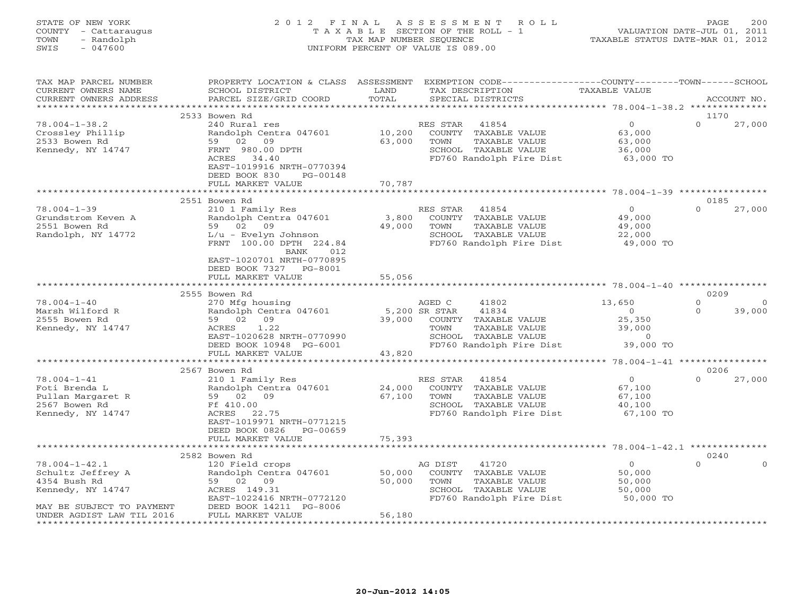# STATE OF NEW YORK 2 0 1 2 F I N A L A S S E S S M E N T R O L L PAGE 200 COUNTY - Cattaraugus T A X A B L E SECTION OF THE ROLL - 1 VALUATION DATE-JUL 01, 2011 TOWN - Randolph TAX MAP NUMBER SEQUENCE TAXABLE STATUS DATE-MAR 01, 2012 SWIS - 047600 UNIFORM PERCENT OF VALUE IS 089.00UNIFORM PERCENT OF VALUE IS 089.00

| TAX MAP PARCEL NUMBER<br>CURRENT OWNERS NAME<br>CURRENT OWNERS ADDRESS                                                                  | PROPERTY LOCATION & CLASS<br>SCHOOL DISTRICT<br>PARCEL SIZE/GRID COORD                                                                                                 | ASSESSMENT<br>LAND<br>TOTAL     | EXEMPTION CODE-----------------COUNTY-------TOWN------SCHOOL<br>TAX DESCRIPTION<br>SPECIAL DISTRICTS                          | <b>TAXABLE VALUE</b>                                                     |                          | ACCOUNT NO.       |
|-----------------------------------------------------------------------------------------------------------------------------------------|------------------------------------------------------------------------------------------------------------------------------------------------------------------------|---------------------------------|-------------------------------------------------------------------------------------------------------------------------------|--------------------------------------------------------------------------|--------------------------|-------------------|
|                                                                                                                                         |                                                                                                                                                                        | ***********                     |                                                                                                                               |                                                                          |                          |                   |
| $78.004 - 1 - 38.2$<br>Crossley Phillip<br>2533 Bowen Rd<br>Kennedy, NY 14747                                                           | 2533 Bowen Rd<br>240 Rural res<br>Randolph Centra 047601<br>02 09<br>59<br>FRNT 980.00 DPTH<br>ACRES 34.40<br>EAST-1019916 NRTH-0770394<br>DEED BOOK 830<br>PG-00148   | 10,200<br>63,000                | 41854<br>RES STAR<br>COUNTY TAXABLE VALUE<br>TOWN<br>TAXABLE VALUE<br>SCHOOL TAXABLE VALUE<br>FD760 Randolph Fire Dist        | $\overline{O}$<br>63,000<br>63,000<br>36,000<br>63,000 TO                | 1170<br>$\Omega$         | 27,000            |
|                                                                                                                                         | FULL MARKET VALUE                                                                                                                                                      | 70,787<br>* * * * * * * * * * * |                                                                                                                               |                                                                          |                          |                   |
| $78.004 - 1 - 39$<br>Grundstrom Keven A<br>2551 Bowen Rd<br>Randolph, NY 14772                                                          | 2551 Bowen Rd<br>210 1 Family Res<br>Randolph Centra 047601<br>59 02 09<br>L/u - Evelyn Johnson<br>FRNT 100.00 DPTH 224.84<br>BANK<br>012<br>EAST-1020701 NRTH-0770895 | 3,800<br>49,000                 | RES STAR<br>41854<br>COUNTY TAXABLE VALUE<br>TAXABLE VALUE<br>TOWN<br>SCHOOL TAXABLE VALUE<br>FD760 Randolph Fire Dist        | $\overline{O}$<br>49,000<br>49,000<br>22,000<br>49,000 TO                | 0185<br>$\Omega$         | 27,000            |
|                                                                                                                                         | DEED BOOK 7327<br>PG-8001<br>FULL MARKET VALUE                                                                                                                         | 55,056                          |                                                                                                                               |                                                                          |                          |                   |
|                                                                                                                                         |                                                                                                                                                                        |                                 |                                                                                                                               |                                                                          | 0209                     |                   |
| $78.004 - 1 - 40$<br>Marsh Wilford R<br>2555 Bowen Rd<br>Kennedy, NY 14747                                                              | 2555 Bowen Rd<br>270 Mfg housing<br>Randolph Centra 047601<br>09<br>59 02<br>1.22<br>ACRES<br>EAST-1020628 NRTH-0770990<br>DEED BOOK 10948 PG-6001                     | 5,200 SR STAR<br>39,000         | AGED C<br>41802<br>41834<br>COUNTY TAXABLE VALUE<br>TOWN<br>TAXABLE VALUE<br>SCHOOL TAXABLE VALUE<br>FD760 Randolph Fire Dist | 13,650<br>$\overline{O}$<br>25,350<br>39,000<br>$\mathbf 0$<br>39,000 TO | $\Omega$<br>$\mathbf{0}$ | $\circ$<br>39,000 |
|                                                                                                                                         | FULL MARKET VALUE                                                                                                                                                      | 43,820                          |                                                                                                                               |                                                                          |                          |                   |
|                                                                                                                                         | 2567 Bowen Rd                                                                                                                                                          |                                 |                                                                                                                               |                                                                          | 0206                     |                   |
| $78.004 - 1 - 41$<br>Foti Brenda L<br>Pullan Margaret R<br>2567 Bowen Rd<br>Kennedy, NY 14747                                           | 210 1 Family Res<br>Randolph Centra 047601<br>59 02 09<br>Ff 410.00<br>ACRES 22.75<br>EAST-1019971 NRTH-0771215<br>DEED BOOK 0826<br>PG-00659                          | 24,000<br>67,100                | RES STAR<br>41854<br>COUNTY TAXABLE VALUE<br>TOWN<br>TAXABLE VALUE<br>SCHOOL TAXABLE VALUE<br>FD760 Randolph Fire Dist        | $\overline{0}$<br>67,100<br>67,100<br>40,100<br>67,100 TO                | $\Omega$                 | 27,000            |
|                                                                                                                                         | FULL MARKET VALUE<br>****************************                                                                                                                      | 75,393                          |                                                                                                                               |                                                                          |                          |                   |
|                                                                                                                                         | 2582 Bowen Rd                                                                                                                                                          |                                 |                                                                                                                               |                                                                          | 0240                     |                   |
| $78.004 - 1 - 42.1$<br>Schultz Jeffrey A<br>4354 Bush Rd<br>Kennedy, NY 14747<br>MAY BE SUBJECT TO PAYMENT<br>UNDER AGDIST LAW TIL 2016 | 120 Field crops<br>Randolph Centra 047601<br>59 02 09<br>ACRES 149.31<br>EAST-1022416 NRTH-0772120<br>DEED BOOK 14211 PG-8006<br>FULL MARKET VALUE                     | 50,000<br>50,000<br>56,180      | AG DIST<br>41720<br>COUNTY TAXABLE VALUE<br>TOWN<br>TAXABLE VALUE<br>SCHOOL TAXABLE VALUE<br>FD760 Randolph Fire Dist         | $\overline{0}$<br>50,000<br>50,000<br>50,000<br>50,000 TO                | $\Omega$                 | $\Omega$          |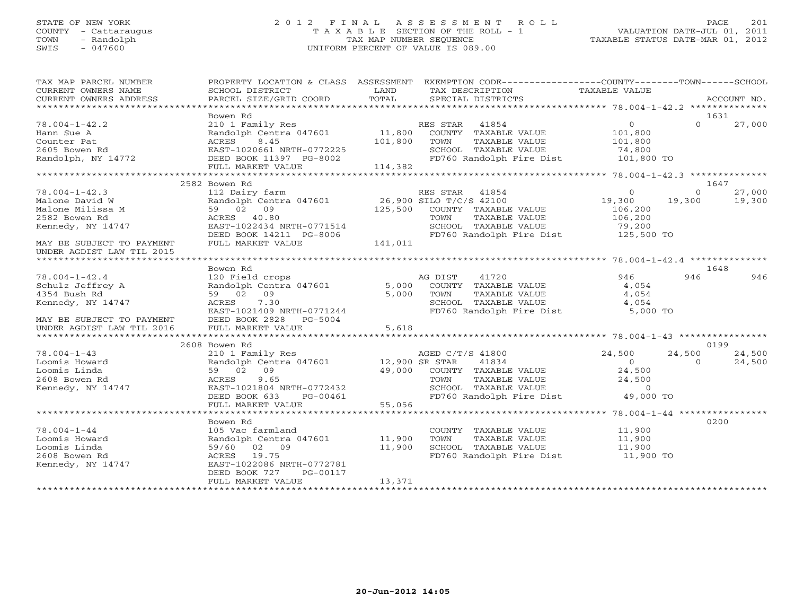# STATE OF NEW YORK 2 0 1 2 F I N A L A S S E S S M E N T R O L L PAGE 201 COUNTY - Cattaraugus T A X A B L E SECTION OF THE ROLL - 1 VALUATION DATE-JUL 01, 2011 TOWN - Randolph TAX MAP NUMBER SEQUENCE TAXABLE STATUS DATE-MAR 01, 2012 SWIS - 047600 UNIFORM PERCENT OF VALUE IS 089.00UNIFORM PERCENT OF VALUE IS 089.00

| TAX MAP PARCEL NUMBER         |                                                                                            |         | PROPERTY LOCATION & CLASS ASSESSMENT EXEMPTION CODE---------------COUNTY-------TOWN------SCHOOL |                     |          |        |
|-------------------------------|--------------------------------------------------------------------------------------------|---------|-------------------------------------------------------------------------------------------------|---------------------|----------|--------|
|                               |                                                                                            |         |                                                                                                 |                     |          |        |
|                               | Bowen Rd                                                                                   |         |                                                                                                 |                     |          | 1631   |
| $78.004 - 1 - 42.2$           | 210 1 Family Res                                                                           |         | RES STAR 41854                                                                                  | $\overline{O}$      | $\Omega$ | 27,000 |
| Hann Sue A                    | Randolph Centra 047601 11,800 COUNTY TAXABLE VALUE                                         |         |                                                                                                 | 101,800             |          |        |
| Counter Pat                   | 8.45<br>ACRES                                                                              | 101,800 | TOWN<br>TAXABLE VALUE                                                                           | 101,800             |          |        |
| 2605 Bowen Rd                 |                                                                                            |         | SCHOOL TAXABLE VALUE                                                                            | 74,800              |          |        |
| Randolph, NY 14772            |                                                                                            |         | FD760 Randolph Fire Dist 101,800 TO                                                             |                     |          |        |
|                               | ACALD<br>EAST-1020661 NRTH-0772225<br>DEED BOOK 11397 PG-8002<br>FULL MARKET VALUE 114,382 |         |                                                                                                 |                     |          |        |
|                               |                                                                                            |         |                                                                                                 |                     |          |        |
|                               | 2582 Bowen Rd                                                                              |         |                                                                                                 |                     |          | 1647   |
| $78.004 - 1 - 42.3$           | 112 Dairy farm                                                                             |         | RES STAR 41854                                                                                  | $\circ$             | $\Omega$ | 27,000 |
| Malone David W                | Randolph Centra 047601 26,900 SILO T/C/S 42100                                             |         |                                                                                                 | 19,300              | 19,300   | 19,300 |
| Malone Milissa M              | 59 02 09                                                                                   |         | 125,500 COUNTY TAXABLE VALUE                                                                    | 106,200             |          |        |
| 2582 Bowen Rd                 | ACRES 40.80                                                                                |         | TOWN<br>TAXABLE VALUE                                                                           | 106,200             |          |        |
| Kennedy, NY 14747             | EAST-1022434 NRTH-0771514                                                                  |         | SCHOOL TAXABLE VALUE                                                                            | 79,200              |          |        |
|                               | DEED BOOK 14211 PG-8006                                                                    |         | FD760 Randolph Fire Dist 125,500 TO                                                             |                     |          |        |
| MAY BE SUBJECT TO PAYMENT     | FULL MARKET VALUE                                                                          | 141,011 |                                                                                                 |                     |          |        |
| UNDER AGDIST LAW TIL 2015     |                                                                                            |         |                                                                                                 |                     |          |        |
|                               |                                                                                            |         |                                                                                                 |                     |          |        |
|                               | Bowen Rd                                                                                   |         |                                                                                                 |                     |          | 1648   |
| $78.004 - 1 - 42.4$           | 120 Field crops                                                                            |         | AG DIST<br>41720                                                                                | 946                 | 946      | 946    |
| Schulz Jeffrey A              | Randolph Centra 047601                                                                     |         | 5,000 COUNTY TAXABLE VALUE                                                                      | 4,054               |          |        |
| 4354 Bush Rd                  | 59 02 09                                                                                   | 5,000   | TOWN<br>TAXABLE VALUE                                                                           | 4,054               |          |        |
| Kennedy, NY 14747             | ACRES<br>7.30                                                                              |         |                                                                                                 | 4,054               |          |        |
|                               | EAST-1021409 NRTH-0771244                                                                  |         | SCHOOL TAXABLE VALUE<br>FD760 Randolph Fire Dist                                                | $5,000$ TO          |          |        |
| MAY BE SUBJECT TO PAYMENT     | DEED BOOK 2828 PG-5004                                                                     |         |                                                                                                 |                     |          |        |
| UNDER AGDIST LAW TIL 2016     | FULL MARKET VALUE                                                                          | 5,618   |                                                                                                 |                     |          |        |
|                               |                                                                                            |         |                                                                                                 |                     |          |        |
|                               | 2608 Bowen Rd                                                                              |         |                                                                                                 |                     |          | 0199   |
| $78.004 - 1 - 43$             |                                                                                            |         | AGED C/T/S 41800                                                                                | 24,500              | 24,500   | 24,500 |
|                               |                                                                                            |         |                                                                                                 | $\overline{0}$      | $\Omega$ |        |
| Loomis Howard<br>Loomis Linda | 59 02 09                                                                                   |         | 41834<br>49,000 COUNTY TAXABLE VALUE                                                            | 24,500              |          | 24,500 |
|                               | 9.65                                                                                       |         |                                                                                                 |                     |          |        |
| 2608 Bowen Rd                 | ACRES                                                                                      |         | TAXABLE VALUE<br>TOWN<br>SCHOOL TAXABLE VALUE                                                   | 24,500              |          |        |
| Kennedy, NY 14747             | EAST-1021804 NRTH-0772432                                                                  |         |                                                                                                 | $\overline{0}$      |          |        |
|                               | DEED BOOK 633 PG-00461                                                                     |         | FD760 Randolph Fire Dist                                                                        | 49,000 TO           |          |        |
|                               | FULL MARKET VALUE                                                                          | 55,056  |                                                                                                 |                     |          |        |
|                               |                                                                                            |         |                                                                                                 |                     |          |        |
|                               | Bowen Rd                                                                                   |         |                                                                                                 |                     |          | 0200   |
| $78.004 - 1 - 44$             | 105 Vac farmland<br>Randolph Centra 047601 11,900                                          |         | COUNTY TAXABLE VALUE                                                                            | 11,900              |          |        |
| Loomis Howard                 |                                                                                            |         | TAXABLE VALUE<br>TOWN                                                                           | 11,900              |          |        |
| Loomis Linda                  | 59/60 02 09                                                                                | 11,900  | SCHOOL TAXABLE VALUE                                                                            | 11,900<br>11,900 TO |          |        |
| 2608 Bowen Rd                 | ACRES 19.75                                                                                |         | FD760 Randolph Fire Dist                                                                        |                     |          |        |
| Kennedy, NY 14747             | EAST-1022086 NRTH-0772781                                                                  |         |                                                                                                 |                     |          |        |
|                               | DEED BOOK 727<br>PG-00117                                                                  |         |                                                                                                 |                     |          |        |
|                               | FULL MARKET VALUE                                                                          | 13,371  |                                                                                                 |                     |          |        |
|                               |                                                                                            |         |                                                                                                 |                     |          |        |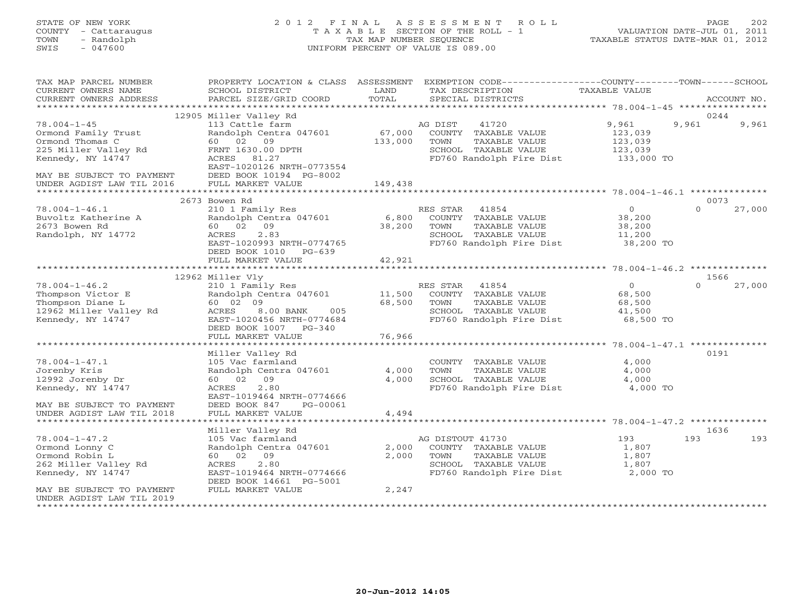# STATE OF NEW YORK 2 0 1 2 F I N A L A S S E S S M E N T R O L L PAGE 202 COUNTY - Cattaraugus T A X A B L E SECTION OF THE ROLL - 1 VALUATION DATE-JUL 01, 2011 TOWN - Randolph TAX MAP NUMBER SEQUENCE TAXABLE STATUS DATE-MAR 01, 2012 SWIS - 047600 UNIFORM PERCENT OF VALUE IS 089.00UNIFORM PERCENT OF VALUE IS 089.00

| TAX MAP PARCEL NUMBER<br>CURRENT OWNERS NAME<br>CURRENT OWNERS ADDRESS | PROPERTY LOCATION & CLASS ASSESSMENT<br>SCHOOL DISTRICT<br>PARCEL SIZE/GRID COORD | LAND<br>TOTAL     | EXEMPTION CODE----------------COUNTY-------TOWN-----SCHOOL<br>TAX DESCRIPTION<br>SPECIAL DISTRICTS | TAXABLE VALUE      | ACCOUNT NO.            |
|------------------------------------------------------------------------|-----------------------------------------------------------------------------------|-------------------|----------------------------------------------------------------------------------------------------|--------------------|------------------------|
|                                                                        |                                                                                   |                   |                                                                                                    |                    |                        |
| $78.004 - 1 - 45$                                                      | 12905 Miller Valley Rd<br>113 Cattle farm                                         |                   | 41720<br>AG DIST                                                                                   | 9,961              | 0244<br>9,961<br>9,961 |
| Ormond Family Trust<br>Ormond Thomas C                                 | Randolph Centra 047601<br>60 02 09                                                | 67,000<br>133,000 | COUNTY TAXABLE VALUE<br>TOWN<br>TAXABLE VALUE                                                      | 123,039<br>123,039 |                        |
| 225 Miller Valley Rd                                                   | FRNT 1630.00 DPTH                                                                 |                   | SCHOOL TAXABLE VALUE                                                                               | 123,039            |                        |
| Kennedy, NY 14747                                                      | ACRES 81.27                                                                       |                   | FD760 Randolph Fire Dist                                                                           | 133,000 TO         |                        |
|                                                                        | EAST-1020126 NRTH-0773554                                                         |                   |                                                                                                    |                    |                        |
| MAY BE SUBJECT TO PAYMENT                                              | DEED BOOK 10194 PG-8002                                                           |                   |                                                                                                    |                    |                        |
| UNDER AGDIST LAW TIL 2016<br>*******************                       | FULL MARKET VALUE<br>**************************                                   | 149,438           |                                                                                                    |                    |                        |
|                                                                        | 2673 Bowen Rd                                                                     |                   |                                                                                                    |                    | 0073                   |
| $78.004 - 1 - 46.1$                                                    | 210 1 Family Res                                                                  |                   | RES STAR<br>41854                                                                                  | $\overline{0}$     | $\Omega$<br>27,000     |
| Buvoltz Katherine A                                                    | Randolph Centra 047601                                                            | 6,800             | COUNTY TAXABLE VALUE                                                                               | 38,200             |                        |
| 2673 Bowen Rd                                                          | 60 02<br>09                                                                       | 38,200            | TAXABLE VALUE<br>TOWN                                                                              | 38,200             |                        |
| Randolph, NY 14772                                                     | 2.83<br>ACRES                                                                     |                   | SCHOOL TAXABLE VALUE                                                                               | 11,200             |                        |
|                                                                        | EAST-1020993 NRTH-0774765                                                         |                   | FD760 Randolph Fire Dist                                                                           | 38,200 TO          |                        |
|                                                                        | DEED BOOK 1010<br>$PG-639$<br>FULL MARKET VALUE                                   | 42,921            |                                                                                                    |                    |                        |
|                                                                        | ****************************                                                      |                   |                                                                                                    |                    |                        |
|                                                                        | 12962 Miller Vly                                                                  |                   |                                                                                                    |                    | 1566                   |
| $78.004 - 1 - 46.2$                                                    | 210 1 Family Res                                                                  |                   | RES STAR<br>41854                                                                                  | $\overline{0}$     | 27,000<br>$\Omega$     |
| Thompson Victor E                                                      | Randolph Centra 047601                                                            | 11,500            | COUNTY TAXABLE VALUE                                                                               | 68,500             |                        |
| Thompson Diane L                                                       | 60 02 09                                                                          | 68,500            | TOWN<br>TAXABLE VALUE                                                                              | 68,500             |                        |
| 12962 Miller Valley Rd                                                 | ACRES<br>005<br>8.00 BANK                                                         |                   | SCHOOL TAXABLE VALUE                                                                               | 41,500             |                        |
| Kennedy, NY 14747                                                      | EAST-1020456 NRTH-0774684                                                         |                   | FD760 Randolph Fire Dist                                                                           | 68,500 TO          |                        |
|                                                                        | DEED BOOK 1007 PG-340                                                             |                   |                                                                                                    |                    |                        |
|                                                                        | FULL MARKET VALUE                                                                 | 76,966            |                                                                                                    |                    |                        |
|                                                                        | Miller Valley Rd                                                                  |                   |                                                                                                    |                    | 0191                   |
| $78.004 - 1 - 47.1$                                                    | 105 Vac farmland                                                                  |                   | COUNTY TAXABLE VALUE                                                                               | 4,000              |                        |
| Jorenby Kris                                                           | Randolph Centra 047601                                                            | 4,000             | TOWN<br>TAXABLE VALUE                                                                              | 4,000              |                        |
| 12992 Jorenby Dr                                                       | 60 02 09                                                                          | 4,000             | SCHOOL TAXABLE VALUE                                                                               | 4,000              |                        |
| Kennedy, NY 14747                                                      | ACRES<br>2.80                                                                     |                   | FD760 Randolph Fire Dist 4,000 TO                                                                  |                    |                        |
|                                                                        | EAST-1019464 NRTH-0774666                                                         |                   |                                                                                                    |                    |                        |
| MAY BE SUBJECT TO PAYMENT                                              | DEED BOOK 847<br>PG-00061                                                         |                   |                                                                                                    |                    |                        |
| UNDER AGDIST LAW TIL 2018<br>**************************                | FULL MARKET VALUE<br>***************************                                  | 4,494             |                                                                                                    |                    |                        |
|                                                                        | Miller Valley Rd                                                                  |                   |                                                                                                    |                    | 1636                   |
| $78.004 - 1 - 47.2$                                                    | 105 Vac farmland                                                                  |                   | AG DISTOUT 41730                                                                                   | 193                | 193<br>193             |
| Ormond Lonny C                                                         | Randolph Centra 047601                                                            | 2,000             | COUNTY TAXABLE VALUE                                                                               | 1,807              |                        |
| Ormond Robin L                                                         | 60 02 09                                                                          | 2,000             | TOWN<br>TAXABLE VALUE                                                                              | 1,807              |                        |
| 262 Miller Valley Rd                                                   | 2.80<br>ACRES                                                                     |                   | SCHOOL TAXABLE VALUE                                                                               | 1,807              |                        |
| Kennedy, NY 14747                                                      | EAST-1019464 NRTH-0774666                                                         |                   | FD760 Randolph Fire Dist                                                                           | 2,000 TO           |                        |
|                                                                        | DEED BOOK 14661 PG-5001                                                           |                   |                                                                                                    |                    |                        |
| MAY BE SUBJECT TO PAYMENT                                              | FULL MARKET VALUE                                                                 | 2,247             |                                                                                                    |                    |                        |
| UNDER AGDIST LAW TIL 2019                                              |                                                                                   |                   |                                                                                                    |                    |                        |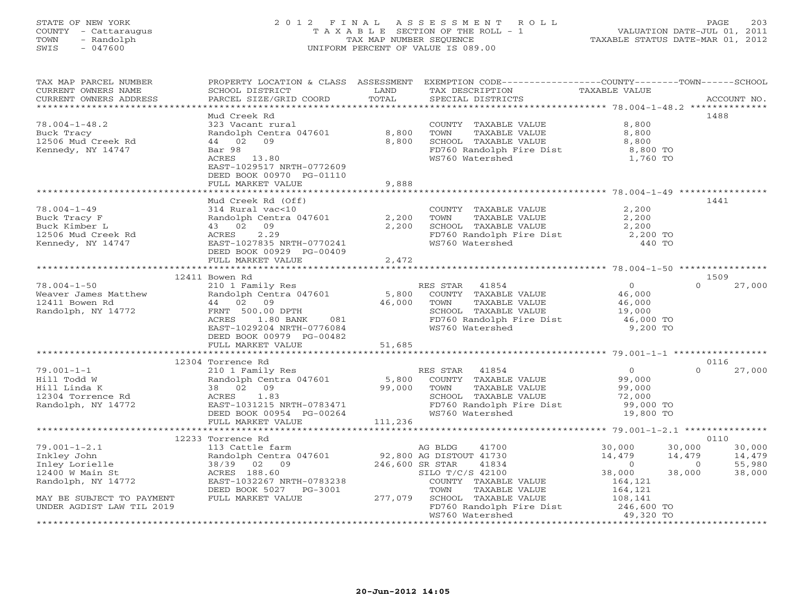# STATE OF NEW YORK 2012 FINAL ASSESSMENT ROLL PAGE 203 COUNTY - Cattaraugus T A X A B L E SECTION OF THE ROLL - 1<br>
TOWN - Randolph TAX MAP NUMBER SEQUENCE<br>
SWIS - 047600 SWIS - 047600 UNIFORM PERCENT OF VALUE IS 089.00

| TAX MAP PARCEL NUMBER<br>CURRENT OWNERS NAME<br>CURRENT OWNERS ADDRESS | SCHOOL DISTRICT<br>PARCEL SIZE/GRID COORD             | LAND<br>TOTAL   | PROPERTY LOCATION & CLASS ASSESSMENT EXEMPTION CODE---------------COUNTY-------TOWN------SCHOOL<br>TAX DESCRIPTION<br>SPECIAL DISTRICTS | TAXABLE VALUE                    | ACCOUNT NO.              |
|------------------------------------------------------------------------|-------------------------------------------------------|-----------------|-----------------------------------------------------------------------------------------------------------------------------------------|----------------------------------|--------------------------|
| ***********************                                                |                                                       |                 |                                                                                                                                         |                                  |                          |
|                                                                        | Mud Creek Rd                                          |                 |                                                                                                                                         |                                  | 1488                     |
| $78.004 - 1 - 48.2$                                                    | 323 Vacant rural                                      |                 | COUNTY TAXABLE VALUE                                                                                                                    | 8,800                            |                          |
| Buck Tracy                                                             | Randolph Centra 047601                                | 8,800           | TAXABLE VALUE<br>TOWN                                                                                                                   | 8,800                            |                          |
| 12506 Mud Creek Rd                                                     | 44 02 09                                              | 8,800           | SCHOOL TAXABLE VALUE                                                                                                                    | 8,800                            |                          |
| Kennedy, NY 14747                                                      | Bar 98                                                |                 | FD760 Randolph Fire Dist                                                                                                                | 8,000 TO<br>8,800 TO<br>1 760 TO |                          |
|                                                                        | ACRES 13.80                                           |                 | WS760 Watershed                                                                                                                         | 1,760 TO                         |                          |
|                                                                        | EAST-1029517 NRTH-0772609<br>DEED BOOK 00970 PG-01110 |                 |                                                                                                                                         |                                  |                          |
|                                                                        | FULL MARKET VALUE                                     | 9,888           |                                                                                                                                         |                                  |                          |
|                                                                        |                                                       |                 |                                                                                                                                         |                                  |                          |
|                                                                        | Mud Creek Rd (Off)                                    |                 |                                                                                                                                         |                                  | 1441                     |
| $78.004 - 1 - 49$                                                      | 314 Rural vac<10                                      |                 | COUNTY TAXABLE VALUE                                                                                                                    | 2,200                            |                          |
| Buck Tracy F                                                           | Randolph Centra 047601                                | 2,200           | TOWN<br>TAXABLE VALUE                                                                                                                   | 2,200                            |                          |
| Buck Kimber L                                                          | 43 02 09                                              | 2,200           | SCHOOL TAXABLE VALUE                                                                                                                    |                                  |                          |
| 12506 Mud Creek Rd                                                     | 2.29<br>ACRES                                         |                 | FD760 Randolph Fire Dist                                                                                                                | $2,200$<br>$2,200$ TO            |                          |
| Kennedy, NY 14747                                                      | EAST-1027835 NRTH-0770241                             |                 | WS760 Watershed                                                                                                                         | 440 TO                           |                          |
|                                                                        | DEED BOOK 00929 PG-00409<br>FULL MARKET VALUE         | 2,472           |                                                                                                                                         |                                  |                          |
|                                                                        |                                                       |                 |                                                                                                                                         |                                  |                          |
|                                                                        | 12411 Bowen Rd                                        |                 |                                                                                                                                         |                                  | 1509                     |
| $78.004 - 1 - 50$                                                      | 210 1 Family Res                                      |                 | RES STAR<br>41854                                                                                                                       | $\overline{0}$                   | $\Omega$<br>27,000       |
| Weaver James Matthew                                                   | Randolph Centra 047601                                | 5,800           | COUNTY TAXABLE VALUE                                                                                                                    | 46,000                           |                          |
| 12411 Bowen Rd                                                         | 44 02 09                                              | 46,000          | TAXABLE VALUE<br>TOWN                                                                                                                   | 46,000                           |                          |
| Randolph, NY 14772                                                     | FRNT 500.00 DPTH                                      |                 | SCHOOL TAXABLE VALUE                                                                                                                    | 19,000<br>46,000 TO              |                          |
|                                                                        | 081<br>ACRES 1.80 BANK                                |                 | FD760 Randolph Fire Dist                                                                                                                | 9,200 TO                         |                          |
|                                                                        | EAST-1029204 NRTH-0776084<br>DEED BOOK 00979 PG-00482 |                 | WS760 Watershed                                                                                                                         |                                  |                          |
|                                                                        | FULL MARKET VALUE                                     | 51,685          |                                                                                                                                         |                                  |                          |
|                                                                        |                                                       |                 |                                                                                                                                         |                                  |                          |
|                                                                        | 12304 Torrence Rd                                     |                 |                                                                                                                                         |                                  | 0116                     |
| $79.001 - 1 - 1$                                                       | 210 1 Family Res                                      |                 | RES STAR 41854                                                                                                                          | $\overline{0}$                   | $\Omega$<br>27,000       |
| Hill Todd W                                                            | Randolph Centra 047601                                |                 | 5,800 COUNTY TAXABLE VALUE<br>99,000 TOWN TAXABLE VALUE                                                                                 | 99,000                           |                          |
| Hill Linda K                                                           | Randolph Centi<br>38 02 09<br>ACRES 1.83              |                 |                                                                                                                                         | 99,000<br>72,000                 |                          |
| 12304 Torrence Rd<br>Randolph, NY 14772                                | EAST-1031215 NRTH-0783471                             |                 | SCHOOL TAXABLE VALUE<br>FD760 Randolph Fire Dist                                                                                        | $99,000$ TO                      |                          |
|                                                                        | DEED BOOK 00954 PG-00264                              |                 | WS760 Watershed                                                                                                                         | 19,800 TO                        |                          |
|                                                                        | FULL MARKET VALUE                                     | 111,236         |                                                                                                                                         |                                  |                          |
|                                                                        |                                                       |                 |                                                                                                                                         |                                  |                          |
|                                                                        | 12233 Torrence Rd                                     |                 |                                                                                                                                         |                                  | 0110                     |
| $79.001 - 1 - 2.1$                                                     | 113 Cattle farm                                       |                 | AG BLDG<br>41700                                                                                                                        | 30,000<br>30,000                 | 30,000                   |
| Inkley John                                                            | Randolph Centra 047601                                |                 | 92,800 AG DISTOUT 41730                                                                                                                 | 14,479<br>14,479                 | 14,479                   |
| Inley Lorielle                                                         | 38/39 02 09                                           | 246,600 SR STAR | 41834                                                                                                                                   | $\overline{0}$                   | 55,980<br>$\overline{0}$ |
| $12400$ W Main St<br>Randolph, NY 14772                                | ACRES 188.60<br>EAST-1032267 NRTH-0783238             |                 | SILO T/C/S 42100<br>COUNTY TAXABLE VALUE                                                                                                | 38,000<br>38,000<br>164,121      | 38,000                   |
|                                                                        | DEED BOOK 5027<br>PG-3001                             |                 | TOWN<br>TAXABLE VALUE                                                                                                                   | 164,121                          |                          |
| MAY BE SUBJECT TO PAYMENT                                              | FULL MARKET VALUE                                     | 277,079         | SCHOOL TAXABLE VALUE                                                                                                                    |                                  |                          |
| UNDER AGDIST LAW TIL 2019                                              |                                                       |                 | FD760 Randolph Fire Dist                                                                                                                | $108,141$<br>$246,600$ TO        |                          |
|                                                                        |                                                       |                 | WS760 Watershed                                                                                                                         | 49,320 TO                        |                          |
|                                                                        |                                                       |                 |                                                                                                                                         |                                  |                          |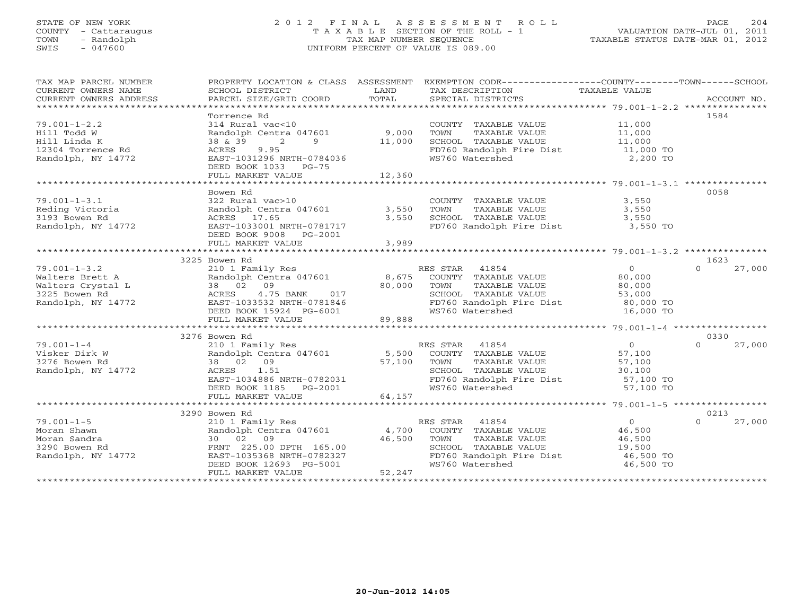# STATE OF NEW YORK 2 0 1 2 F I N A L A S S E S S M E N T R O L L PAGE 204 COUNTY - Cattaraugus T A X A B L E SECTION OF THE ROLL - 1 VALUATION DATE-JUL 01, 2011 TOWN - Randolph TAX MAP NUMBER SEQUENCE TAXABLE STATUS DATE-MAR 01, 2012 SWIS - 047600 UNIFORM PERCENT OF VALUE IS 089.00

| EXEMPTION CODE----------------COUNTY-------TOWN------SCHOOL<br>PROPERTY LOCATION & CLASS ASSESSMENT<br>TAX MAP PARCEL NUMBER  |                    |
|-------------------------------------------------------------------------------------------------------------------------------|--------------------|
| CURRENT OWNERS NAME<br>SCHOOL DISTRICT<br>TAX DESCRIPTION TAXABLE VALUE<br>LAND                                               |                    |
| TOTAL<br>PARCEL SIZE/GRID COORD<br>SPECIAL DISTRICTS<br>CURRENT OWNERS ADDRESS                                                | ACCOUNT NO.        |
|                                                                                                                               |                    |
| Torrence Rd                                                                                                                   | 1584               |
| 11,000<br>$79.001 - 1 - 2.2$<br>314 Rural vac<10<br>COUNTY TAXABLE VALUE                                                      |                    |
| 9,000<br>TAXABLE VALUE<br>11,000<br>Hill Todd W<br>Randolph Centra 047601<br>TOWN                                             |                    |
| 11,000<br>2<br>SCHOOL TAXABLE VALUE<br>11,000<br>Hill Linda K<br>38 & 39<br>$9 \left( \frac{1}{2} \right)$                    |                    |
| 12304 Torrence Rd<br>9.95<br>FD760 Randolph Fire Dist<br>$11,000$ TO<br>ACRES                                                 |                    |
| 2,200 TO<br>Randolph, NY 14772<br>EAST-1031296 NRTH-0784036<br>WS760 Watershed                                                |                    |
| DEED BOOK 1033 PG-75                                                                                                          |                    |
|                                                                                                                               |                    |
|                                                                                                                               |                    |
| Bowen Rd                                                                                                                      | 0058               |
| $79.001 - 1 - 3.1$<br>322 Rural vac>10<br>COUNTY TAXABLE VALUE<br>3,550                                                       |                    |
| Reding Victoria<br>Randolph Centra 047601<br>3,550<br>TOWN<br>TAXABLE VALUE<br>3,550                                          |                    |
| SCHOOL TAXABLE VALUE<br>3193 Bowen Rd<br>ACRES 17.65<br>3,550<br>3,550                                                        |                    |
| FD760 Randolph Fire Dist 3,550 TO<br>Randolph, NY 14772<br>EAST-1033001 NRTH-0781717                                          |                    |
| DEED BOOK 9008 PG-2001                                                                                                        |                    |
| FULL MARKET VALUE<br>3,989                                                                                                    |                    |
|                                                                                                                               |                    |
| 3225 Bowen Rd                                                                                                                 | 1623               |
| $79.001 - 1 - 3.2$<br>210 1 Family Res<br>RES STAR 41854<br>$\overline{0}$                                                    | $\Omega$<br>27,000 |
| Randolph Centra 047601 8,675<br>COUNTY TAXABLE VALUE<br>80,000<br>Walters Brett A                                             |                    |
| 38 02 09<br>Walters Crystal L<br>TAXABLE VALUE<br>80,000<br>TOWN<br>80,000                                                    |                    |
| 3225 Bowen Rd<br>4.75 BANK<br>SCHOOL TAXABLE VALUE<br>ACRES<br>017<br>53,000                                                  |                    |
| Randolph, NY 14772                                                                                                            |                    |
| FD760 Randolph Fire Dist 80,000 TO<br>WS760 Watershed<br>16,000 TO                                                            |                    |
| دهما - 1933532 NRTH-0781846<br>DEED BOOK 15924 PG-6001<br>EULL MARYTT -<br>89,888                                             |                    |
| FULL MARKET VALUE                                                                                                             |                    |
| 3276 Bowen Rd                                                                                                                 | 0330               |
| $\overline{0}$<br>$79.001 - 1 - 4$                                                                                            | $\Omega$<br>27,000 |
| 210 1 Family Res<br>RES STAR 41854<br>Randolph Centra 047601 5,500<br>COUNTY TAXABLE VALUE                                    |                    |
| Visker Dirk W<br>57,100<br>3276 Bowen Rd<br>38 02 09                                                                          |                    |
| 57,100<br>TAXABLE VALUE<br>TOWN<br>57,100                                                                                     |                    |
| SCHOOL TAXABLE VALUE<br>Randolph, NY 14772<br>30,100                                                                          |                    |
| FD760 Randolph Fire Dist 57,100 TO                                                                                            |                    |
| ACRES 1.51<br>EAST-1034886 NRTH-0782031<br>DEED BOOK 1185 PG-2001<br>PULL MARKER 1185 PG-2001<br>WS760 Watershed<br>57,100 TO |                    |
| 64,157<br>FULL MARKET VALUE                                                                                                   |                    |
|                                                                                                                               |                    |
| 3290 Bowen Rd                                                                                                                 | 0213               |
| $79.001 - 1 - 5$<br>$\overline{0}$<br>210 1 Family Res<br>RES STAR 41854                                                      | $\Omega$<br>27,000 |
| Randolph Centra 047601 4,700<br>Moran Shawn<br>COUNTY TAXABLE VALUE<br>46,500                                                 |                    |
| 30 02 09<br>46,500<br>Moran Sandra<br>TOWN<br>TAXABLE VALUE<br>46,500                                                         |                    |
| FRNT 225.00 DPTH 165.00<br>SCHOOL TAXABLE VALUE<br>3290 Bowen Rd<br>19,500                                                    |                    |
| EAST-1035368 NRTH-0782327<br>FD760 Randolph Fire Dist<br>Randolph, NY 14772<br>46,500 TO                                      |                    |
| DEED BOOK 12693 PG-5001<br>WS760 Watershed<br>46,500 TO                                                                       |                    |
| 52,247<br>FULL MARKET VALUE                                                                                                   |                    |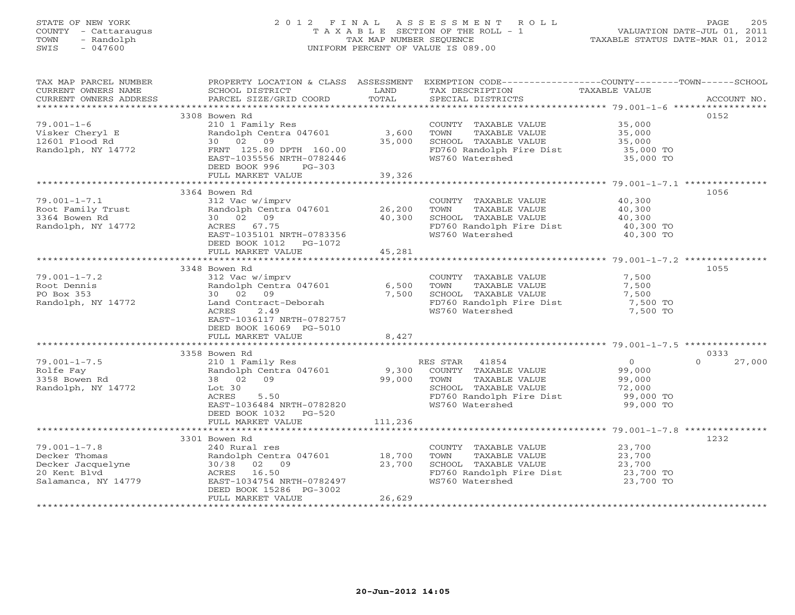# STATE OF NEW YORK 2 0 1 2 F I N A L A S S E S S M E N T R O L L PAGE 205 COUNTY - Cattaraugus T A X A B L E SECTION OF THE ROLL - 1 VALUATION DATE-JUL 01, 2011 TOWN - Randolph TAX MAP NUMBER SEQUENCE TAXABLE STATUS DATE-MAR 01, 2012 SWIS - 047600 UNIFORM PERCENT OF VALUE IS 089.00UNIFORM PERCENT OF VALUE IS 089.00

| TAX MAP PARCEL NUMBER<br>CURRENT OWNERS NAME                                                          | <b>EXAMPLE DESCRIPTION OF A LAND</b><br>SCHOOL DISTRICT                                                                                                                                                                                     |                  | TAX DESCRIPTION                                                                                                                                                         | PROPERTY LOCATION & CLASS ASSESSMENT EXEMPTION CODE----------------COUNTY-------TOWN------SCHOOL<br>TAXABLE VALUE                                                                                                                                                                                                                                                                                                                                                                                                      |  |
|-------------------------------------------------------------------------------------------------------|---------------------------------------------------------------------------------------------------------------------------------------------------------------------------------------------------------------------------------------------|------------------|-------------------------------------------------------------------------------------------------------------------------------------------------------------------------|------------------------------------------------------------------------------------------------------------------------------------------------------------------------------------------------------------------------------------------------------------------------------------------------------------------------------------------------------------------------------------------------------------------------------------------------------------------------------------------------------------------------|--|
|                                                                                                       |                                                                                                                                                                                                                                             |                  |                                                                                                                                                                         | $\begin{minipage}{.45\textwidth} \begin{minipage}{.45\textwidth} \begin{minipage}{.45\textwidth} \begin{minipage}{.45\textwidth} \begin{minipage}{.45\textwidth} \begin{minipage}{.45\textwidth} \begin{minipage}{.45\textwidth} \begin{minipage}{.45\textwidth} \begin{minipage}{.45\textwidth} \begin{minipage}{.45\textwidth} \begin{minipage}{.45\textwidth} \begin{minipage}{.45\textwidth} \begin{minipage}{.45\textwidth} \begin{minipage}{.45\textwidth} \begin{minipage}{.45\textwidth} \begin{minipage}{.45$ |  |
| $79.001 - 1 - 6$<br>Visker Cheryl E<br>12601 Flood Rd<br>Randolph, NY 14772                           | 3308 Bowen Rd<br>210 1 Family Res<br>Randolph Centra 047601 3,600 TOWN<br>30 02 09 35,000 SCHOOL<br>FRNT 125.80 DPTH 160.00                                                                                                                 |                  | COUNTY TAXABLE VALUE 35,000<br>3,600 TOWN TAXABLE VALUE 35,000<br>35,000 SCHOOL TAXABLE VALUE 35,000<br>FD760 Randolph Fire Dist 35,000 TO<br>WS760 Watershed 35,000 TO | 0152                                                                                                                                                                                                                                                                                                                                                                                                                                                                                                                   |  |
|                                                                                                       | EAST-1035556 NRTH-0782446<br>DEED BOOK 996 PG-303<br>FULL MARKET VALUE                                                                                                                                                                      | 39,326           |                                                                                                                                                                         |                                                                                                                                                                                                                                                                                                                                                                                                                                                                                                                        |  |
|                                                                                                       |                                                                                                                                                                                                                                             |                  |                                                                                                                                                                         |                                                                                                                                                                                                                                                                                                                                                                                                                                                                                                                        |  |
| $79.001 - 1 - 7.1$<br>Providently Trust<br>Root Family Trust<br>30 02 09 10,300<br>Randolph, NY 14772 | 3364 Bowen Rd<br>312 Vac w/imprv<br>ACRES 67.75<br>EAST-1035101 NRTH-0783356<br>DEED BOOK 1012    PG-1072                                                                                                                                   |                  | COUNTY TAXABLE VALUE 40,300<br>TOWN TAXABLE VALUE 40,300<br>SCHOOL TAXABLE VALUE 40,300<br>FD760 Randolph Fire Dist 40,300 TO<br>WS760 Watershed 40,300 TO              | 1056                                                                                                                                                                                                                                                                                                                                                                                                                                                                                                                   |  |
|                                                                                                       | FULL MARKET VALUE 45,281                                                                                                                                                                                                                    |                  |                                                                                                                                                                         |                                                                                                                                                                                                                                                                                                                                                                                                                                                                                                                        |  |
| $79.001 - 1 - 7.2$<br>Root Dennis                                                                     | 3348 Bowen Rd<br>312 Vac w/imprv<br>Randolph Centra 047601 6,500                                                                                                                                                                            |                  | COUNTY TAXABLE VALUE 7,500<br>TOWN TAXABLE VALUE 7,500<br>SCHOOL TAXABLE VALUE 7,500<br>7,500                                                                           | 1055                                                                                                                                                                                                                                                                                                                                                                                                                                                                                                                   |  |
| PO Box 353<br>Randolph, NY 14772                                                                      | 30 02 09<br>Land Contract-Deborah<br>ACRES<br>2.49<br>EAST-1036117 NRTH-0782757<br>DEED BOOK 16069 PG-5010<br>FULL MARKET VALUE 8,427                                                                                                       | 7,500            | FD760 Randolph Fire Dist<br>WS760 Watershed 7,500 TO                                                                                                                    |                                                                                                                                                                                                                                                                                                                                                                                                                                                                                                                        |  |
|                                                                                                       |                                                                                                                                                                                                                                             |                  |                                                                                                                                                                         |                                                                                                                                                                                                                                                                                                                                                                                                                                                                                                                        |  |
|                                                                                                       | 3358 Bowen Rd                                                                                                                                                                                                                               |                  |                                                                                                                                                                         | 0333                                                                                                                                                                                                                                                                                                                                                                                                                                                                                                                   |  |
| $79.001 - 1 - 7.5$<br>Rolfe Fay<br>3358 Bowen Rd<br>Randolph, NY 14772                                | ES STAR 41094<br>210 1 Family Res Randolph Centra 047601 9,300 COUNTY TAXABLE VALUE 99,000<br>99,000 TOWN TAXABLE VALUE 99,000 99,000<br>Lot 30<br>ACRES<br>5.50<br>EAST-1036484 NRTH-0782820<br>DEED BOOK 1032 PG-520<br>FULL MARKET VALUE | 111,236          | SCHOOL TAXABLE VALUE 72,000<br>FD760 Randolph Fire Dist 99,000 TO<br>WS760 Watershed                                                                                    | $\Omega$<br>27,000<br>72,000<br>99,000 TO                                                                                                                                                                                                                                                                                                                                                                                                                                                                              |  |
|                                                                                                       |                                                                                                                                                                                                                                             |                  |                                                                                                                                                                         |                                                                                                                                                                                                                                                                                                                                                                                                                                                                                                                        |  |
|                                                                                                       | 3301 Bowen Rd                                                                                                                                                                                                                               |                  |                                                                                                                                                                         | 1232                                                                                                                                                                                                                                                                                                                                                                                                                                                                                                                   |  |
| $79.001 - 1 - 7.8$<br>Decker Thomas<br>Decker Jacquelyne<br>20 Kent Blvd<br>Salamanca, NY 14779       | 240 Rural res<br>Randolph Centra 047601 18,700<br>30/38 02 09<br>ACRES 16.50<br>EAST-1034754 NRTH-0782497<br>DEED BOOK 15286 PG-3002<br>FULL MARKET VALUE                                                                                   | 23,700<br>26,629 | COUNTY TAXABLE VALUE 23,700<br>TOWN TAXABLE VALUE 23,700<br>SCHOOL TAXABLE VALUE<br>FD760 Randolph Fire Dist 23,700 TO<br>WS760 Watershed                               | 23,700 TO                                                                                                                                                                                                                                                                                                                                                                                                                                                                                                              |  |
|                                                                                                       |                                                                                                                                                                                                                                             |                  |                                                                                                                                                                         |                                                                                                                                                                                                                                                                                                                                                                                                                                                                                                                        |  |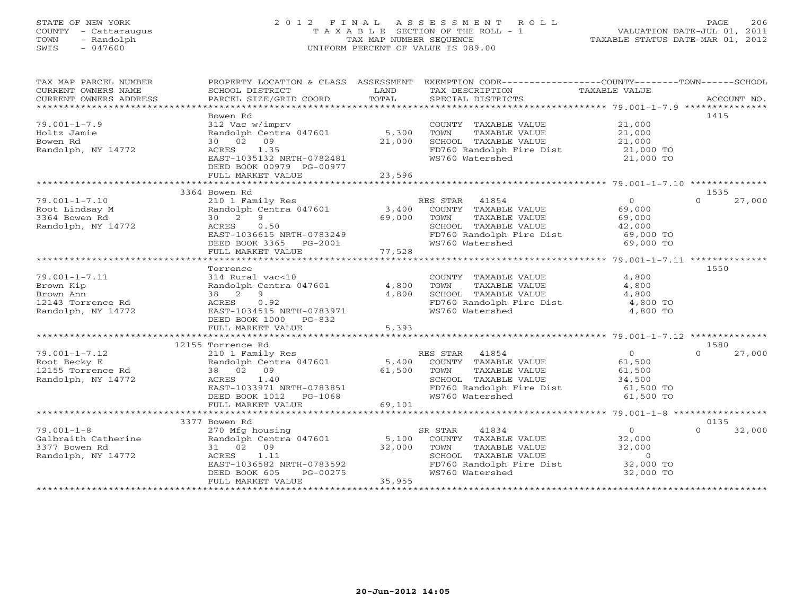# STATE OF NEW YORK 2 0 1 2 F I N A L A S S E S S M E N T R O L L PAGE 206 COUNTY - Cattaraugus T A X A B L E SECTION OF THE ROLL - 1 VALUATION DATE-JUL 01, 2011 TOWN - Randolph TAX MAP NUMBER SEQUENCE TAXABLE STATUS DATE-MAR 01, 2012 SWIS - 047600 UNIFORM PERCENT OF VALUE IS 089.00UNIFORM PERCENT OF VALUE IS 089.00

| TAX MAP PARCEL NUMBER |                                                     |        | PROPERTY LOCATION & CLASS ASSESSMENT EXEMPTION CODE----------------COUNTY-------TOWN------SCHOOL           |                       |                    |
|-----------------------|-----------------------------------------------------|--------|------------------------------------------------------------------------------------------------------------|-----------------------|--------------------|
| CURRENT OWNERS NAME   | SCHOOL DISTRICT                                     | LAND   | TAX DESCRIPTION                                                                                            | TAXABLE VALUE         |                    |
|                       |                                                     |        |                                                                                                            |                       |                    |
|                       |                                                     |        |                                                                                                            |                       |                    |
|                       | Bowen Rd                                            |        |                                                                                                            |                       | 1415               |
| $79.001 - 1 - 7.9$    | 312 Vac w/imprv                                     |        | COUNTY TAXABLE VALUE                                                                                       | 21,000                |                    |
| Holtz Jamie           | Randolph Centra 047601                              | 5,300  | TOWN<br>TAXABLE VALUE                                                                                      | 21,000<br>21,000      |                    |
| Bowen Rd              | 30 02 09                                            | 21,000 | SCHOOL TAXABLE VALUE                                                                                       |                       |                    |
| Randolph, NY 14772    | ACRES 1.35                                          |        | FD760 Randolph Fire Dist                                                                                   | 21,000 TO             |                    |
|                       | EAST-1035132 NRTH-0782481                           |        | WS760 Watershed                                                                                            | 21,000 TO             |                    |
|                       | DEED BOOK 00979 PG-00977                            |        |                                                                                                            |                       |                    |
|                       | FULL MARKET VALUE                                   | 23,596 |                                                                                                            |                       |                    |
|                       |                                                     |        |                                                                                                            |                       |                    |
|                       | 3364 Bowen Rd                                       |        |                                                                                                            |                       | 1535               |
| $79.001 - 1 - 7.10$   | 210 1 Family Res                                    |        | RES STAR 41854                                                                                             | $\overline{0}$        | 27,000<br>$\cap$   |
| Root Lindsay M        | Randolph Centra 047601                              | 3,400  | COUNTY TAXABLE VALUE                                                                                       | 69,000                |                    |
| 3364 Bowen Rd         | 30 2 9                                              | 69,000 | TAXABLE VALUE<br>TOWN                                                                                      | 69,000                |                    |
| Randolph, NY 14772    | ACRES<br>0.50                                       |        | SCHOOL TAXABLE VALUE                                                                                       | 42,000                |                    |
|                       | EAST-1036615 NRTH-0783249                           |        | SCHOOL   TAXABLE VALUE                        42,000<br>FD760 Randolph Fire Dist                 69,000 TO |                       |                    |
|                       | DEED BOOK 3365 PG-2001                              |        | WS760 Watershed                                                                                            | 69,000 TO             |                    |
|                       | FULL MARKET VALUE                                   | 77,528 |                                                                                                            |                       |                    |
|                       |                                                     |        |                                                                                                            |                       |                    |
|                       | Torrence                                            |        |                                                                                                            |                       | 1550               |
| $79.001 - 1 - 7.11$   | 314 Rural vac<10                                    |        | COUNTY TAXABLE VALUE                                                                                       | 4,800                 |                    |
| Brown Kip             | Randolph Centra 047601                              | 4,800  | TOWN<br>TAXABLE VALUE                                                                                      | 4,800                 |                    |
| Brown Ann             | 38 2 9                                              | 4,800  | SCHOOL TAXABLE VALUE                                                                                       |                       |                    |
| 12143 Torrence Rd     | ACRES 0.92                                          |        | FD760 Randolph Fire Dist                                                                                   | $4,800$<br>$4,800$ TO |                    |
| Randolph, NY 14772    | EAST-1034515 NRTH-0783971                           |        | WS760 Watershed                                                                                            | 4,800 TO              |                    |
|                       | DEED BOOK 1000 PG-832                               |        |                                                                                                            |                       |                    |
|                       | FULL MARKET VALUE                                   | 5,393  |                                                                                                            |                       |                    |
|                       |                                                     |        |                                                                                                            |                       |                    |
|                       | 12155 Torrence Rd                                   |        |                                                                                                            |                       | 1580               |
| $79.001 - 1 - 7.12$   | 210 1 Family Res                                    |        | RES STAR 41854                                                                                             | $\overline{O}$        | 27,000             |
| Root Becky E          | Randolph Centra 047601                              | 5,400  | COUNTY TAXABLE VALUE                                                                                       | 61,500                |                    |
| 12155 Torrence Rd     | 38 02 09                                            | 61,500 | TOWN<br>TAXABLE VALUE                                                                                      | 61,500                |                    |
| Randolph, NY 14772    | ACRES 1.40                                          |        | SCHOOL TAXABLE VALUE                                                                                       | 34,500                |                    |
|                       |                                                     |        | FD760 Randolph Fire Dist                                                                                   | 61,500 TO             |                    |
|                       | EAST-1033971 NRTH-0783851<br>DEED BOOK 1012 PG-1068 |        | WS760 Watershed                                                                                            | 61,500 TO             |                    |
|                       | FULL MARKET VALUE                                   | 69,101 |                                                                                                            |                       |                    |
|                       |                                                     |        |                                                                                                            |                       |                    |
|                       | 3377 Bowen Rd                                       |        |                                                                                                            |                       | 0135               |
| $79.001 - 1 - 8$      | 270 Mfg housing                                     |        | SR STAR<br>41834                                                                                           | $\overline{0}$        | $\Omega$<br>32,000 |
| Galbraith Catherine   | Randolph Centra 047601                              | 5,100  | COUNTY TAXABLE VALUE 32,000                                                                                |                       |                    |
| 3377 Bowen Rd         | 31 02 09                                            | 32,000 | TOWN<br>TAXABLE VALUE<br>TAXABLE VALUE<br>TAXARLE VALUE                                                    | 32,000                |                    |
| Randolph, NY 14772    | ACRES 1.11                                          |        | SCHOOL TAXABLE VALUE                                                                                       | $\overline{0}$        |                    |
|                       | EAST-1036582 NRTH-0783592                           |        | FD760 Randolph Fire Dist 32,000 TO<br>WS760 Watershed 32,000 TO                                            |                       |                    |
|                       | DEED BOOK 605<br>PG-00275                           |        | WS760 Watershed                                                                                            | 32,000 TO             |                    |
|                       | FULL MARKET VALUE                                   | 35,955 |                                                                                                            |                       |                    |
|                       |                                                     |        |                                                                                                            |                       |                    |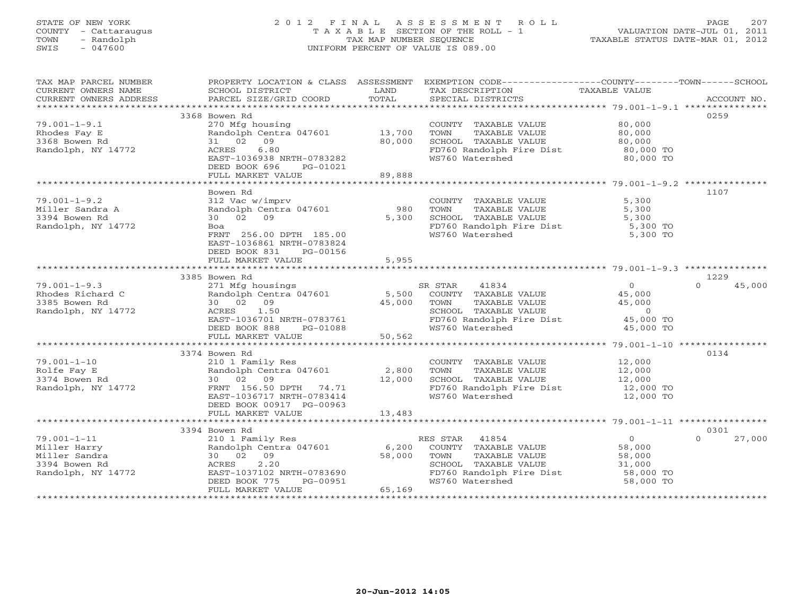# STATE OF NEW YORK 2 0 1 2 F I N A L A S S E S S M E N T R O L L PAGE 207 COUNTY - Cattaraugus T A X A B L E SECTION OF THE ROLL - 1 VALUATION DATE-JUL 01, 2011 TOWN - Randolph TAX MAP NUMBER SEQUENCE TAXABLE STATUS DATE-MAR 01, 2012 SWIS - 047600 UNIFORM PERCENT OF VALUE IS 089.00UNIFORM PERCENT OF VALUE IS 089.00

| TAX MAP PARCEL NUMBER<br>CURRENT OWNERS NAME | PROPERTY LOCATION & CLASS ASSESSMENT<br>SCHOOL DISTRICT | LAND   | TAX DESCRIPTION          | EXEMPTION CODE-----------------COUNTY-------TOWN------SCHOOL<br>TAXABLE VALUE |             |
|----------------------------------------------|---------------------------------------------------------|--------|--------------------------|-------------------------------------------------------------------------------|-------------|
| CURRENT OWNERS ADDRESS                       | PARCEL SIZE/GRID COORD                                  | TOTAL  | SPECIAL DISTRICTS        |                                                                               | ACCOUNT NO. |
|                                              | 3368 Bowen Rd                                           |        |                          | 0259                                                                          |             |
| $79.001 - 1 - 9.1$                           | 270 Mfg housing                                         |        | COUNTY TAXABLE VALUE     | 80,000                                                                        |             |
| Rhodes Fay E                                 | Randolph Centra 047601                                  | 13,700 | TOWN<br>TAXABLE VALUE    | 80,000                                                                        |             |
| 3368 Bowen Rd                                | 31 02<br>09                                             | 80,000 | SCHOOL TAXABLE VALUE     | 80,000                                                                        |             |
| Randolph, NY 14772                           | 6.80<br>ACRES                                           |        | FD760 Randolph Fire Dist | 80,000 TO                                                                     |             |
|                                              | EAST-1036938 NRTH-0783282                               |        | WS760 Watershed          | 80,000 TO                                                                     |             |
|                                              | DEED BOOK 696<br>PG-01021                               |        |                          |                                                                               |             |
|                                              | FULL MARKET VALUE                                       | 89,888 |                          |                                                                               |             |
|                                              |                                                         |        |                          |                                                                               |             |
|                                              | Bowen Rd                                                |        |                          | 1107                                                                          |             |
| $79.001 - 1 - 9.2$                           | 312 Vac w/imprv                                         |        | COUNTY TAXABLE VALUE     | 5,300                                                                         |             |
| Miller Sandra A                              | Randolph Centra 047601                                  | 980    | TAXABLE VALUE<br>TOWN    | 5,300                                                                         |             |
| 3394 Bowen Rd                                | 30 02 09                                                | 5,300  | SCHOOL TAXABLE VALUE     | 5,300                                                                         |             |
| Randolph, NY 14772                           | Boa                                                     |        | FD760 Randolph Fire Dist | $5,300$ TO                                                                    |             |
|                                              | FRNT 256.00 DPTH 185.00                                 |        | WS760 Watershed          | 5,300 TO                                                                      |             |
|                                              | EAST-1036861 NRTH-0783824                               |        |                          |                                                                               |             |
|                                              | DEED BOOK 831<br>PG-00156                               |        |                          |                                                                               |             |
|                                              | FULL MARKET VALUE                                       | 5,955  |                          |                                                                               |             |
|                                              |                                                         |        |                          |                                                                               |             |
|                                              | 3385 Bowen Rd                                           |        |                          | 1229                                                                          |             |
| $79.001 - 1 - 9.3$                           | 271 Mfg housings                                        |        | 41834<br>SR STAR         | $\Omega$<br>$\Omega$                                                          | 45,000      |
| Rhodes Richard C                             | Randolph Centra 047601 5,500                            |        | COUNTY TAXABLE VALUE     | 45,000                                                                        |             |
| 3385 Bowen Rd                                | 30 02 09                                                | 45,000 | TOWN<br>TAXABLE VALUE    | 45,000                                                                        |             |
| Randolph, NY 14772                           | 1.50<br>ACRES                                           |        | SCHOOL TAXABLE VALUE     | $\overline{0}$                                                                |             |
|                                              | EAST-1036701 NRTH-0783761                               |        | FD760 Randolph Fire Dist | 45,000 TO                                                                     |             |
|                                              | DEED BOOK 888<br>PG-01088                               |        | WS760 Watershed          | 45,000 TO                                                                     |             |
|                                              | FULL MARKET VALUE                                       | 50,562 |                          |                                                                               |             |
|                                              |                                                         |        |                          |                                                                               |             |
|                                              | 3374 Bowen Rd                                           |        |                          | 0134                                                                          |             |
| $79.001 - 1 - 10$                            | 210 1 Family Res                                        |        | COUNTY TAXABLE VALUE     | 12,000                                                                        |             |
| Rolfe Fay E                                  | Randolph Centra 047601                                  | 2,800  | TOWN<br>TAXABLE VALUE    | 12,000                                                                        |             |
| 3374 Bowen Rd                                | 30 02 09                                                | 12,000 | SCHOOL TAXABLE VALUE     | 12,000                                                                        |             |
| Randolph, NY 14772                           | FRNT 156.50 DPTH 74.71                                  |        | FD760 Randolph Fire Dist | 12,000 TO                                                                     |             |
|                                              | EAST-1036717 NRTH-0783414                               |        | WS760 Watershed          | 12,000 TO                                                                     |             |
|                                              | DEED BOOK 00917 PG-00963                                |        |                          |                                                                               |             |
|                                              | FULL MARKET VALUE                                       | 13,483 |                          |                                                                               |             |
|                                              |                                                         |        |                          |                                                                               |             |
|                                              | 3394 Bowen Rd                                           |        |                          | 0301                                                                          |             |
| $79.001 - 1 - 11$                            | 210 1 Family Res                                        |        | RES STAR<br>41854        | $\overline{0}$<br>$\Omega$                                                    | 27,000      |
| Miller Harry                                 | Randolph Centra 047601                                  | 6,200  | COUNTY TAXABLE VALUE     | 58,000                                                                        |             |
| Miller Sandra                                | 30 02 09                                                | 58,000 | TOWN<br>TAXABLE VALUE    | 58,000                                                                        |             |
| 3394 Bowen Rd                                | 2.20<br>ACRES                                           |        | SCHOOL TAXABLE VALUE     | 31,000                                                                        |             |
| Randolph, NY 14772                           | EAST-1037102 NRTH-0783690                               |        | FD760 Randolph Fire Dist | 58,000 TO                                                                     |             |
|                                              | DEED BOOK 775<br>PG-00951                               |        | WS760 Watershed          | 58,000 TO                                                                     |             |
|                                              | FULL MARKET VALUE                                       | 65,169 |                          |                                                                               |             |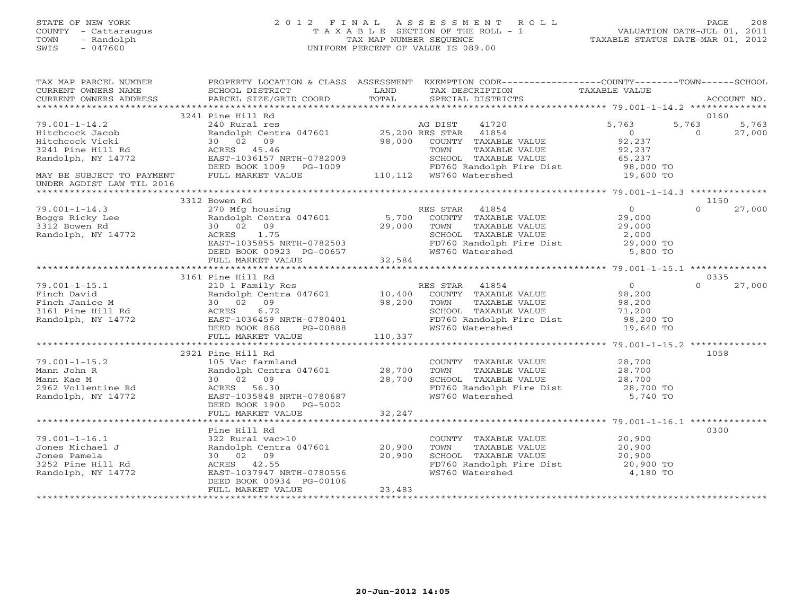# STATE OF NEW YORK 2 0 1 2 F I N A L A S S E S S M E N T R O L L PAGE 208 COUNTY - Cattaraugus T A X A B L E SECTION OF THE ROLL - 1 VALUATION DATE-JUL 01, 2011 TOWN - Randolph TAX MAP NUMBER SEQUENCE TAXABLE STATUS DATE-MAR 01, 2012 SWIS - 047600 UNIFORM PERCENT OF VALUE IS 089.00UNIFORM PERCENT OF VALUE IS 089.00

| TAX MAP PARCEL NUMBER<br>TA PIE TAND TRINITY AND TRINITY IN THE TAXING CONSUMERT OWNERS NOTES SCHOOL DISTRICT TO LAND THAT DESCRIPTION TAXABLE VALUE<br>CURRENT OWNERS ADDRESS PARCEL SIZE/GRID COORD TOTAL SPECIAL DISTRICTS ACCOUNT NO.<br>****************<br>CURRENT OWNERS ADDRESS     |                                                                                                                  |        | PROPERTY LOCATION & CLASS ASSESSMENT EXEMPTION CODE----------------COUNTY-------TOWN------SCHOOL                                                                    |                            |
|---------------------------------------------------------------------------------------------------------------------------------------------------------------------------------------------------------------------------------------------------------------------------------------------|------------------------------------------------------------------------------------------------------------------|--------|---------------------------------------------------------------------------------------------------------------------------------------------------------------------|----------------------------|
|                                                                                                                                                                                                                                                                                             |                                                                                                                  |        |                                                                                                                                                                     |                            |
|                                                                                                                                                                                                                                                                                             |                                                                                                                  |        |                                                                                                                                                                     | 0160<br>5,763 5,763        |
|                                                                                                                                                                                                                                                                                             |                                                                                                                  |        |                                                                                                                                                                     | $\overline{0}$<br>27,000   |
|                                                                                                                                                                                                                                                                                             |                                                                                                                  |        |                                                                                                                                                                     |                            |
|                                                                                                                                                                                                                                                                                             |                                                                                                                  |        |                                                                                                                                                                     |                            |
|                                                                                                                                                                                                                                                                                             | 3312 Bowen Rd                                                                                                    |        |                                                                                                                                                                     | 1150                       |
| $\begin{array}{cccccccc} 79.001-1-14.3 & 3312 & 80\text{w}m & \text{RHS} & \text{RHS} & 0 & 1150 & 1150 & 1150 & 1150 & 1150 & 1150 & 1150 & 1150 & 1150 & 1150 & 1150 & 1150 & 1150 & 1150 & 1150 & 1150 & 1150 & 1150 & 1150 & 1150 & 1150 & 1150 & 1150 & 1150 & 1150 & 1150 & 1150 & 1$ |                                                                                                                  |        |                                                                                                                                                                     |                            |
|                                                                                                                                                                                                                                                                                             |                                                                                                                  |        |                                                                                                                                                                     |                            |
|                                                                                                                                                                                                                                                                                             |                                                                                                                  |        |                                                                                                                                                                     |                            |
|                                                                                                                                                                                                                                                                                             | 3161 Pine Hill Rd                                                                                                |        | FD760 Randolph Fire Dist 98,200 TO<br>WS760 Watershed 19,640 TO                                                                                                     | 0335<br>$\Omega$<br>27,000 |
|                                                                                                                                                                                                                                                                                             | FULL MARKET VALUE 110,337                                                                                        |        |                                                                                                                                                                     |                            |
| 79.001-1-15.2<br>Mann John R<br>Mann Kae M<br>28,700<br>2962 Vollentine Rd<br>Randolph, NY 14772<br>Randolph, NY 14772<br>28,700<br>28,700<br>28,700<br>28,700<br>28,700<br>28,700<br>28,700<br>28,700<br>28,700<br>28,700<br>28,700<br>28,700<br>28,700<br>28,700<br>28                    | 2921 Pine Hill Rd<br>rine niii ku<br>105 Vac farmland                                                            |        | COUNTY TAXABLE VALUE 28,700<br>TOWN TAXABLE VALUE 28,700<br>COUOT TAXABLE VALUE 28,700                                                                              | 1058                       |
|                                                                                                                                                                                                                                                                                             | DEED BOOK 1900 PG-5002<br>FULL MARKET VALUE                                                                      | 32,247 |                                                                                                                                                                     |                            |
|                                                                                                                                                                                                                                                                                             |                                                                                                                  |        |                                                                                                                                                                     |                            |
| 79.001-1-16.1<br>Jones Michael J<br>Jones Pamela<br>322 Rural vac>10<br>Randolph Centra 047601<br>20,900<br>20,900<br>20,900<br>20,900<br>20,900<br>20,900<br>20,900<br>20,900<br>Randolph, NY 14772                                                                                        | Pine Hill Rd<br>ACRES 42.55<br>EAST-1037947 NRTH-0780556<br>DEED BOOK 00001 DG 00105<br>DEED BOOK 00934 PG-00106 |        | COUNTY TAXABLE VALUE $20,900$<br>TOWN TAXABLE VALUE $20,900$<br>SCHOOL TAXABLE VALUE $20,900$<br>FD760 Randolph Fire Dist $20,900$ TO<br>WS760 Watershed $4,180$ TO | 0300                       |
|                                                                                                                                                                                                                                                                                             | FULL MARKET VALUE                                                                                                | 23,483 |                                                                                                                                                                     |                            |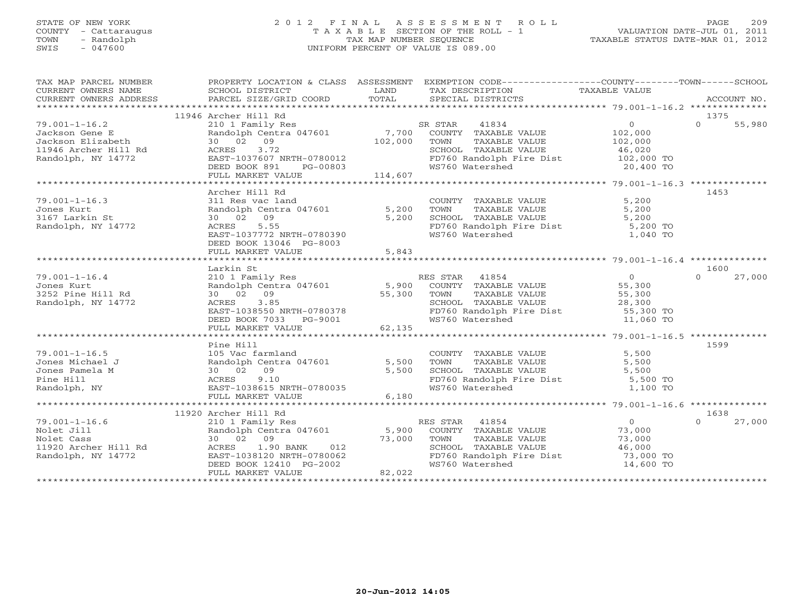# STATE OF NEW YORK 2 0 1 2 F I N A L A S S E S S M E N T R O L L PAGE 209 COUNTY - Cattaraugus T A X A B L E SECTION OF THE ROLL - 1 VALUATION DATE-JUL 01, 2011 TOWN - Randolph TAX MAP NUMBER SEQUENCE TAXABLE STATUS DATE-MAR 01, 2012 SWIS - 047600 UNIFORM PERCENT OF VALUE IS 089.00UNIFORM PERCENT OF VALUE IS 089.00

| TAX MAP PARCEL NUMBER                                                                                                                                                                                                                                          |                                                                                                                                                                  |       | PROPERTY LOCATION & CLASS ASSESSMENT EXEMPTION CODE----------------COUNTY-------TOWN------SCHOOL |               |                    |
|----------------------------------------------------------------------------------------------------------------------------------------------------------------------------------------------------------------------------------------------------------------|------------------------------------------------------------------------------------------------------------------------------------------------------------------|-------|--------------------------------------------------------------------------------------------------|---------------|--------------------|
|                                                                                                                                                                                                                                                                |                                                                                                                                                                  |       |                                                                                                  |               |                    |
|                                                                                                                                                                                                                                                                | 11946 Archer Hill Rd                                                                                                                                             |       |                                                                                                  |               | 1375               |
| 1991 1993<br>19946 Archer Hill Rd<br>2010 Family Res<br>2010 Family Res<br>300209 COUNTY TAXABLE VALUE<br>202,000<br>102,000<br>102,000<br>102,000<br>102,000<br>20,000<br>ERST-1037607 NRTH-0780012<br>DEED BOOK 891<br>PG-00803<br>PG-00803<br>20,400        |                                                                                                                                                                  |       |                                                                                                  |               | $\Omega$<br>55,980 |
|                                                                                                                                                                                                                                                                |                                                                                                                                                                  |       |                                                                                                  |               |                    |
|                                                                                                                                                                                                                                                                |                                                                                                                                                                  |       |                                                                                                  |               |                    |
|                                                                                                                                                                                                                                                                |                                                                                                                                                                  |       |                                                                                                  |               |                    |
|                                                                                                                                                                                                                                                                |                                                                                                                                                                  |       |                                                                                                  |               |                    |
|                                                                                                                                                                                                                                                                |                                                                                                                                                                  |       | SCHOOL TAXABLE VALUE 46,020<br>FD760 Randolph Fire Dist 102,000 TO<br>WS760 Watershed 20,400 TO  |               |                    |
|                                                                                                                                                                                                                                                                |                                                                                                                                                                  |       |                                                                                                  |               |                    |
|                                                                                                                                                                                                                                                                |                                                                                                                                                                  |       |                                                                                                  |               |                    |
|                                                                                                                                                                                                                                                                | Archer Hill Rd                                                                                                                                                   |       |                                                                                                  |               | 1453               |
| $79.001 - 1 - 16.3$                                                                                                                                                                                                                                            |                                                                                                                                                                  |       | COUNTY TAXABLE VALUE 5,200<br>TOWN TAXABLE VALUE 5,200<br>SCHOOL TAXABLE VALUE 5,200             |               |                    |
| Jones Kurt                                                                                                                                                                                                                                                     |                                                                                                                                                                  |       |                                                                                                  |               |                    |
| 3167 Larkin St                                                                                                                                                                                                                                                 |                                                                                                                                                                  |       |                                                                                                  |               |                    |
| Randolph, NY 14772                                                                                                                                                                                                                                             |                                                                                                                                                                  |       | FD760 Randolph Fire Dist 5,200 TO<br>WS760 Watershed 1,040 TO                                    |               |                    |
|                                                                                                                                                                                                                                                                | Archer nii Ku<br>311 Res vac land<br>Randolph Centra 047601 5,200 TOWN<br>30 02 09 5,200 SCHOOI<br>ACRES 5.55 FD760<br>EAST-1037772 NRTH-0780390 WS760           |       |                                                                                                  |               |                    |
|                                                                                                                                                                                                                                                                | DEED BOOK 13046 PG-8003                                                                                                                                          |       |                                                                                                  |               |                    |
|                                                                                                                                                                                                                                                                |                                                                                                                                                                  |       |                                                                                                  |               |                    |
|                                                                                                                                                                                                                                                                |                                                                                                                                                                  |       |                                                                                                  |               |                    |
|                                                                                                                                                                                                                                                                | Larkin St                                                                                                                                                        |       |                                                                                                  |               | 1600               |
| $79.001 - 1 - 16.4$                                                                                                                                                                                                                                            |                                                                                                                                                                  |       |                                                                                                  | $0$<br>55,300 |                    |
| Jones Kurt                                                                                                                                                                                                                                                     |                                                                                                                                                                  |       |                                                                                                  |               |                    |
| 3252 Pine Hill Rd                                                                                                                                                                                                                                              |                                                                                                                                                                  |       |                                                                                                  |               |                    |
| Randolph, NY 14772                                                                                                                                                                                                                                             |                                                                                                                                                                  |       |                                                                                                  |               |                    |
|                                                                                                                                                                                                                                                                |                                                                                                                                                                  |       |                                                                                                  |               |                    |
|                                                                                                                                                                                                                                                                |                                                                                                                                                                  |       |                                                                                                  |               |                    |
| 1001-1-16.4<br>1001-1-16.4<br>1001-1-16.4<br>2101 Family Res<br>2101 Family Res<br>2101 Family Res<br>2101 Family Res<br>2101 Family Res<br>2101 Family Res<br>2101 Family Res<br>2100 SED BOOK 7000<br>27,000<br>27,000<br>27,000<br>27,000<br>27,000<br>27,0 |                                                                                                                                                                  |       |                                                                                                  |               |                    |
|                                                                                                                                                                                                                                                                |                                                                                                                                                                  |       |                                                                                                  |               |                    |
|                                                                                                                                                                                                                                                                | Pine Hill                                                                                                                                                        |       |                                                                                                  |               | 1599               |
| $79.001 - 1 - 16.5$                                                                                                                                                                                                                                            |                                                                                                                                                                  |       | COUNTY TAXABLE VALUE                                                                             | 5,500         |                    |
| Jones Michael J                                                                                                                                                                                                                                                |                                                                                                                                                                  |       |                                                                                                  |               |                    |
| Jones Pamela M                                                                                                                                                                                                                                                 |                                                                                                                                                                  |       |                                                                                                  |               |                    |
| Pine Hill                                                                                                                                                                                                                                                      |                                                                                                                                                                  |       | FD760 Randolph Fire Dist 5,500 TO<br>WS760 Watershed 1,100 TO                                    |               |                    |
| Randolph, NY                                                                                                                                                                                                                                                   | 3<br>105 Vac farmland<br>2 30 02 09<br>2 30 02 09<br>2 4 5,500<br>30 02 09<br>2 5,500<br>5,500<br>2 5,500<br>2 5,500<br>2 5,500<br>2 5,500<br>2 5,500<br>2 5,500 |       |                                                                                                  |               |                    |
|                                                                                                                                                                                                                                                                | FULL MARKET VALUE                                                                                                                                                | 6,180 |                                                                                                  |               |                    |
|                                                                                                                                                                                                                                                                |                                                                                                                                                                  |       |                                                                                                  |               |                    |
|                                                                                                                                                                                                                                                                | 11920 Archer Hill Rd                                                                                                                                             |       |                                                                                                  |               | 1638               |
|                                                                                                                                                                                                                                                                |                                                                                                                                                                  |       |                                                                                                  |               | $\Omega$<br>27,000 |
|                                                                                                                                                                                                                                                                |                                                                                                                                                                  |       |                                                                                                  |               |                    |
|                                                                                                                                                                                                                                                                |                                                                                                                                                                  |       | TOWN                                                                                             |               |                    |
|                                                                                                                                                                                                                                                                |                                                                                                                                                                  |       |                                                                                                  |               |                    |
| 79.001-1-16.6<br>Nolet Jill Randolph Cent<br>Nolet Cass 30 02 09<br>11920 Archer Hill Rd ACRES 1.90<br>Randolph, NY 14772 EAST-1038120<br>NEED PON 12/                                                                                                         |                                                                                                                                                                  |       | FD760 Randolph Fire Dist 73,000 TO<br>WS760 Watershed 14,600 TO                                  |               |                    |
|                                                                                                                                                                                                                                                                | 30 02 09<br>30 02 09<br>ACRES 1.90 BANK 012<br>EAST-1038120 NRTH-0780062<br>DEED BOOK 12410 PG-2002<br>FULL MARKET VALUE 82,022                                  |       |                                                                                                  |               |                    |
|                                                                                                                                                                                                                                                                |                                                                                                                                                                  |       |                                                                                                  |               |                    |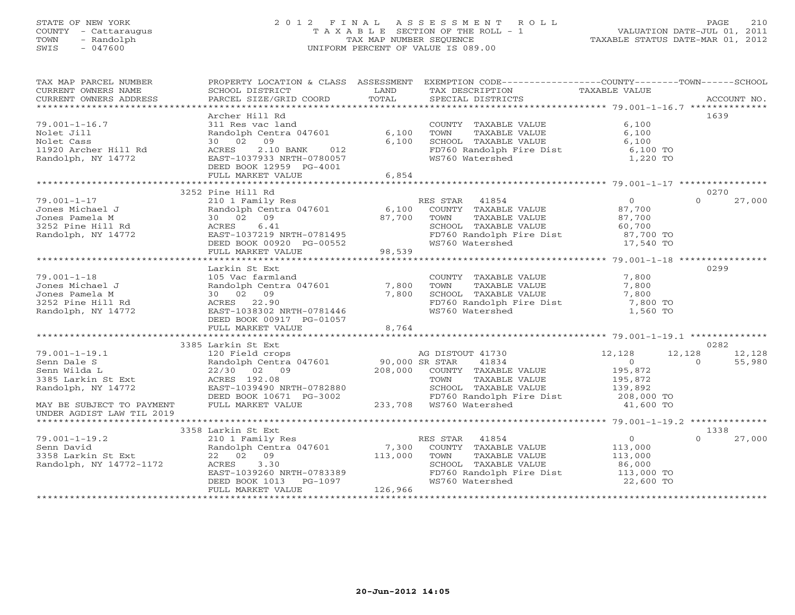# STATE OF NEW YORK 2 0 1 2 F I N A L A S S E S S M E N T R O L L PAGE 210 COUNTY - Cattaraugus T A X A B L E SECTION OF THE ROLL - 1 VALUATION DATE-JUL 01, 2011 TOWN - Randolph TAX MAP NUMBER SEQUENCE TAXABLE STATUS DATE-MAR 01, 2012 SWIS - 047600 UNIFORM PERCENT OF VALUE IS 089.00

| TAX MAP PARCEL NUMBER                                                        |                                                                             |                | PROPERTY LOCATION & CLASS ASSESSMENT EXEMPTION CODE----------------COUNTY-------TOWN------SCHOOL                                              |                                             |                    |
|------------------------------------------------------------------------------|-----------------------------------------------------------------------------|----------------|-----------------------------------------------------------------------------------------------------------------------------------------------|---------------------------------------------|--------------------|
|                                                                              |                                                                             |                |                                                                                                                                               |                                             |                    |
|                                                                              | Archer Hill Rd                                                              |                |                                                                                                                                               |                                             | 1639               |
| $79.001 - 1 - 16.7$                                                          | 311 Res vac land                                                            |                | COUNTY TAXABLE VALUE                                                                                                                          | 6,100                                       |                    |
| Nolet Jill                                                                   | Randolph Centra 047601                                                      | 6,100          | TOWN TAXABLE VALUE<br>SCHOOL TAXABLE VALUE                                                                                                    | 6.100                                       |                    |
| Nolet Cass<br>11920 Archer Hill Rd                                           | 30 02 09<br>ACRES<br>2.10 BANK<br>012                                       | 6,100          | FD760 Randolph Fire Dist 6,100 TO                                                                                                             | 6,100                                       |                    |
| Randolph, NY 14772                                                           | EAST-1037933 NRTH-0780057                                                   |                | WS760 Watershed                                                                                                                               | 1,220 TO                                    |                    |
|                                                                              | DEED BOOK 12959 PG-4001                                                     |                |                                                                                                                                               |                                             |                    |
|                                                                              |                                                                             |                |                                                                                                                                               |                                             |                    |
|                                                                              |                                                                             |                |                                                                                                                                               |                                             |                    |
|                                                                              | 3252 Pine Hill Rd                                                           |                |                                                                                                                                               |                                             | 0270               |
| $79.001 - 1 - 17$                                                            |                                                                             |                |                                                                                                                                               |                                             | $\Omega$<br>27,000 |
| Jones Michael J<br>Jones Pamela M<br>3252 Pine Hill Rd<br>Randolph, NY 14772 |                                                                             |                | 210 1 Family Res<br>Randolph Centra 047601 6,100 COUNTY TAXABLE VALUE                                                                         | 0<br>87,700                                 |                    |
|                                                                              | 30 02 09                                                                    | 87,700 TOWN    | TOWN TAXABLE VALUE<br>SCHOOL TAXABLE VALUE 60,700<br>FD760 Randolph Fire Dist 87,700 TO<br>FD760 Randolph Fire Dist 87,700 TO                 |                                             |                    |
|                                                                              | ACRES 6.41                                                                  |                |                                                                                                                                               |                                             |                    |
|                                                                              |                                                                             |                |                                                                                                                                               |                                             |                    |
|                                                                              | EAST-1037219 NRTH-0781495<br>DEED BOOK 00920 PG-00552<br>FULL MARKER 111 12 |                | WS760 Watershed                                                                                                                               | 17,540 TO                                   |                    |
|                                                                              | FULL MARKET VALUE                                                           | 98,539         |                                                                                                                                               |                                             |                    |
|                                                                              |                                                                             |                |                                                                                                                                               |                                             |                    |
|                                                                              | Larkin St Ext                                                               |                |                                                                                                                                               |                                             | 0299               |
| $79.001 - 1 - 18$                                                            | 105 Vac farmland                                                            |                | COUNTY TAXABLE VALUE<br>TOWN TAXABLE VALUE<br>SCHOOL TAXABLE VALUE                                                                            | 7,800                                       |                    |
| Jones Michael J                                                              | Randolph Centra 047601 7,800                                                |                |                                                                                                                                               | 7,800                                       |                    |
| Jones Pamela M                                                               | 30 02 09                                                                    | 7,800          |                                                                                                                                               | 7,800                                       |                    |
| 3252 Pine Hill Rd<br>Randolph, NY 14772                                      | ACRES 22.90                                                                 |                | FD760 Randolph Fire Dist 7,800 TO                                                                                                             |                                             |                    |
|                                                                              | AURES 22.90<br>EAST-1038302 NRTH-0781446                                    |                | WS760 Watershed                                                                                                                               | 1,560 TO                                    |                    |
|                                                                              | DEED BOOK 00917 PG-01057                                                    |                |                                                                                                                                               |                                             |                    |
|                                                                              | FULL MARKET VALUE                                                           | $-01031$ 8,764 |                                                                                                                                               |                                             |                    |
|                                                                              |                                                                             |                |                                                                                                                                               |                                             |                    |
|                                                                              |                                                                             |                |                                                                                                                                               |                                             | 0282               |
|                                                                              |                                                                             |                | 120 Field crops<br>Randolph Centra 047601 90,000 SR STAR 41834<br>22/30 02 09 208,000 COUNTY TAXABLE VALUE<br>ACRES 192.08 TOWN TAXABLE VALUE | 12,128                                      | 12,128<br>12,128   |
|                                                                              |                                                                             |                |                                                                                                                                               | $\overline{0}$                              | 55,980<br>$\Omega$ |
|                                                                              |                                                                             |                |                                                                                                                                               | 195,872<br>195,872                          |                    |
|                                                                              |                                                                             |                | TAXABLE VALUE                                                                                                                                 |                                             |                    |
|                                                                              |                                                                             |                | SCHOOL TAXABLE VALUE<br>FD760 Randolph Fire Dist 139,892<br>FD760 Randolph Fire Dist 208,000 TO                                               |                                             |                    |
|                                                                              |                                                                             |                | FD760 Randolph Fire Dist                                                                                                                      |                                             |                    |
|                                                                              |                                                                             |                |                                                                                                                                               | 41,600 TO                                   |                    |
|                                                                              |                                                                             |                |                                                                                                                                               |                                             |                    |
|                                                                              |                                                                             |                |                                                                                                                                               |                                             | 1338               |
| $79.001 - 1 - 19.2$                                                          |                                                                             |                |                                                                                                                                               |                                             | 27,000             |
|                                                                              |                                                                             |                | 210 1 Family Res<br>Randolph Centra 047601 7,300 COUNTY TAXABLE VALUE                                                                         | $\begin{array}{c} 0 \\ 113,000 \end{array}$ |                    |
| Senn David<br>3358 Larkin St Ext<br>Randolph, NY 14772-1172                  |                                                                             |                | TOWN                                                                                                                                          |                                             |                    |
|                                                                              |                                                                             |                | TAXABLE VALUE 113,000<br>TAXABLE VALUE 86,000<br>SCHOOL TAXABLE VALUE                                                                         |                                             |                    |
|                                                                              | 22 02 09 113,000<br>ACRES 3.30 113,000<br>DEED BOOK 1013 PG-1097            |                | FD760 Randolph Fire Dist 113,000 TO                                                                                                           |                                             |                    |
|                                                                              | DEED BOOK 1013 PG-1097                                                      |                | WS760 Watershed                                                                                                                               | 22,600 TO                                   |                    |
|                                                                              | FULL MARKET VALUE                                                           | 126,966        |                                                                                                                                               |                                             |                    |
|                                                                              |                                                                             |                |                                                                                                                                               |                                             |                    |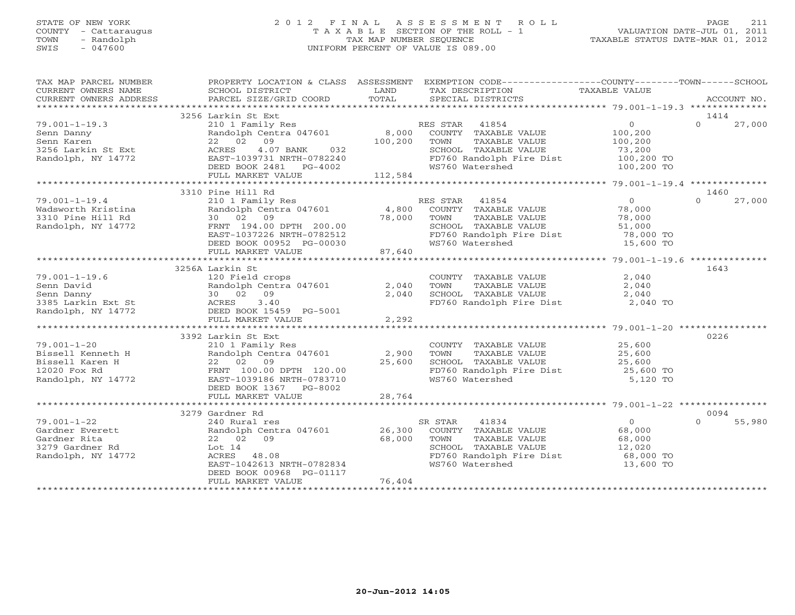# STATE OF NEW YORK 2 0 1 2 F I N A L A S S E S S M E N T R O L L PAGE 211 COUNTY - Cattaraugus T A X A B L E SECTION OF THE ROLL - 1 VALUATION DATE-JUL 01, 2011 TOWN - Randolph TAX MAP NUMBER SEQUENCE TAXABLE STATUS DATE-MAR 01, 2012 SWIS - 047600 UNIFORM PERCENT OF VALUE IS 089.00UNIFORM PERCENT OF VALUE IS 089.00

| TAX MAP PARCEL NUMBER<br>CURRENT OWNERS NAME                                                                                                                | SCHOOL DISTRICT<br><b>Example 12</b> LAND                                              |         | PROPERTY LOCATION & CLASS ASSESSMENT EXEMPTION CODE---------------COUNTY-------TOWN------SCHOOL<br>TAX DESCRIPTION | TAXABLE VALUE    |                    |
|-------------------------------------------------------------------------------------------------------------------------------------------------------------|----------------------------------------------------------------------------------------|---------|--------------------------------------------------------------------------------------------------------------------|------------------|--------------------|
|                                                                                                                                                             |                                                                                        |         |                                                                                                                    |                  |                    |
|                                                                                                                                                             | 3256 Larkin St Ext                                                                     |         |                                                                                                                    |                  | 1414               |
| $79.001 - 1 - 19.3$                                                                                                                                         | 210 1 Family Res                                                                       |         | RES STAR 41854                                                                                                     | $\overline{0}$   | $\Omega$<br>27,000 |
| Senn Danny                                                                                                                                                  | Randolph Centra 047601 8,000                                                           |         | COUNTY TAXABLE VALUE                                                                                               | 100,200          |                    |
| Senn Karen                                                                                                                                                  | 22 02 09                                                                               | 100,200 | TOWN<br>TAXABLE VALUE                                                                                              | 100,200          |                    |
| 3256 Larkin St Ext                                                                                                                                          | 4.07 BANK<br>032<br>ACRES                                                              |         | SCHOOL TAXABLE VALUE                                                                                               | 73,200           |                    |
| Randolph, NY 14772                                                                                                                                          | EAST-1039731 NRTH-0782240                                                              |         | FD760 Randolph Fire Dist                                                                                           | 100,200 TO       |                    |
|                                                                                                                                                             | DEED BOOK 2481    PG-4002                                                              |         | WS760 Watershed                                                                                                    | 100,200 TO       |                    |
|                                                                                                                                                             | FULL MARKET VALUE                                                                      | 112,584 |                                                                                                                    |                  |                    |
|                                                                                                                                                             |                                                                                        |         |                                                                                                                    |                  |                    |
|                                                                                                                                                             | 3310 Pine Hill Rd<br>210 1 Family Res                                                  |         |                                                                                                                    |                  | 1460<br>$\Omega$   |
| $79.001 - 1 - 19.4$                                                                                                                                         |                                                                                        |         | RES STAR 41854                                                                                                     | $\overline{0}$   | 27,000             |
| Wadsworth Kristina<br>3310 Pine Hill Rd                                                                                                                     | Randolph Centra 047601 (4,800 COUNTY TAXABLE VALUE 30 02 09 (78,000 TOWN TAXABLE VALUE |         |                                                                                                                    | 78,000<br>78,000 |                    |
|                                                                                                                                                             |                                                                                        | 78,000  |                                                                                                                    |                  |                    |
| Randolph, NY 14772                                                                                                                                          | FRNT 194.00 DPTH 200.00                                                                |         | SCHOOL TAXABLE VALUE                                                                                               |                  |                    |
|                                                                                                                                                             |                                                                                        |         |                                                                                                                    |                  |                    |
|                                                                                                                                                             | DEED BOOK 00952 PG-00030                                                               |         | WS760 Watershed                                                                                                    | 15,600 TO        |                    |
|                                                                                                                                                             | FULL MARKET VALUE                                                                      | 87,640  |                                                                                                                    |                  |                    |
|                                                                                                                                                             |                                                                                        |         |                                                                                                                    |                  | 1643               |
| $79.001 - 1 - 19.6$                                                                                                                                         | 3256A Larkin St                                                                        |         |                                                                                                                    |                  |                    |
|                                                                                                                                                             | 120 Field crops<br>Randolph Centra 047601                                              | 2,040   | COUNTY TAXABLE VALUE                                                                                               | 2,040            |                    |
| Senn David                                                                                                                                                  |                                                                                        |         | TOWN<br>TAXABLE VALUE<br>SCHOOL TAXABLE VALUE                                                                      | 2,040            |                    |
|                                                                                                                                                             |                                                                                        | 2,040   |                                                                                                                    | 2,040            |                    |
| Senn David<br>Senn Danny<br>30 02 09<br>3385 Larkin Ext St<br>Randolph, NY 14772<br>Randolph, NY 14772<br>DEED BOOK 15459 PG-5001<br>THE BOOK 15459 PG-5001 |                                                                                        |         | FD760 Randolph Fire Dist                                                                                           | 2,040 TO         |                    |
|                                                                                                                                                             | FULL MARKET VALUE                                                                      | 2,292   |                                                                                                                    |                  |                    |
|                                                                                                                                                             |                                                                                        |         |                                                                                                                    |                  |                    |
|                                                                                                                                                             | 3392 Larkin St Ext                                                                     |         |                                                                                                                    |                  | 0226               |
| $79.001 - 1 - 20$                                                                                                                                           |                                                                                        |         | COUNTY TAXABLE VALUE 25,600                                                                                        |                  |                    |
|                                                                                                                                                             | 210 1 Family Res<br>Randolph Centra 047601 2,900                                       |         | TOWN<br>TAXABLE VALUE                                                                                              | 25,600           |                    |
|                                                                                                                                                             | 22 02 09                                                                               | 25,600  | SCHOOL TAXABLE VALUE                                                                                               | 25,600           |                    |
| Bissell Kenneth H<br>Bissell Karen H<br>12020 Fox Rd<br>12020 Fox Rd                                                                                        | FRNT 100.00 DPTH 120.00                                                                |         |                                                                                                                    | 25,600 TO        |                    |
| Randolph, NY 14772                                                                                                                                          | EAST-1039186 NRTH-0783710                                                              |         | FD760 Randolph Fire Dist<br>WS760 Watershed                                                                        | 5,120 TO         |                    |
|                                                                                                                                                             | DEED BOOK 1367 PG-8002                                                                 |         |                                                                                                                    |                  |                    |
|                                                                                                                                                             | FULL MARKET VALUE                                                                      | 28,764  |                                                                                                                    |                  |                    |
|                                                                                                                                                             |                                                                                        |         |                                                                                                                    |                  |                    |
|                                                                                                                                                             | 3279 Gardner Rd                                                                        |         |                                                                                                                    |                  | 0094               |
| $79.001 - 1 - 22$                                                                                                                                           | 240 Rural res                                                                          |         | SR STAR                                                                                                            | $\overline{0}$   | $\Omega$<br>55,980 |
| Gardner Everett                                                                                                                                             | Randolph Centra 047601 26,300                                                          |         | R STAR 41834<br>COUNTY TAXABLE VALUE                                                                               | 68,000           |                    |
| Gardner Rita                                                                                                                                                | 22 02 09                                                                               | 68,000  | TAXABLE VALUE<br>TOWN                                                                                              |                  |                    |
| 3279 Gardner Rd                                                                                                                                             | Lot $14$                                                                               |         | SCHOOL TAXABLE VALUE                                                                                               | 68,000<br>12,020 |                    |
| Randolph, NY 14772                                                                                                                                          | ACRES 48.08                                                                            |         | FD760 Randolph Fire Dist                                                                                           | 68,000 TO        |                    |
|                                                                                                                                                             | EAST-1042613 NRTH-0782834                                                              |         | WS760 Watershed                                                                                                    | 13,600 TO        |                    |
|                                                                                                                                                             | DEED BOOK 00968 PG-01117                                                               |         |                                                                                                                    |                  |                    |
|                                                                                                                                                             | FULL MARKET VALUE                                                                      | 76,404  |                                                                                                                    |                  |                    |
|                                                                                                                                                             |                                                                                        |         |                                                                                                                    |                  |                    |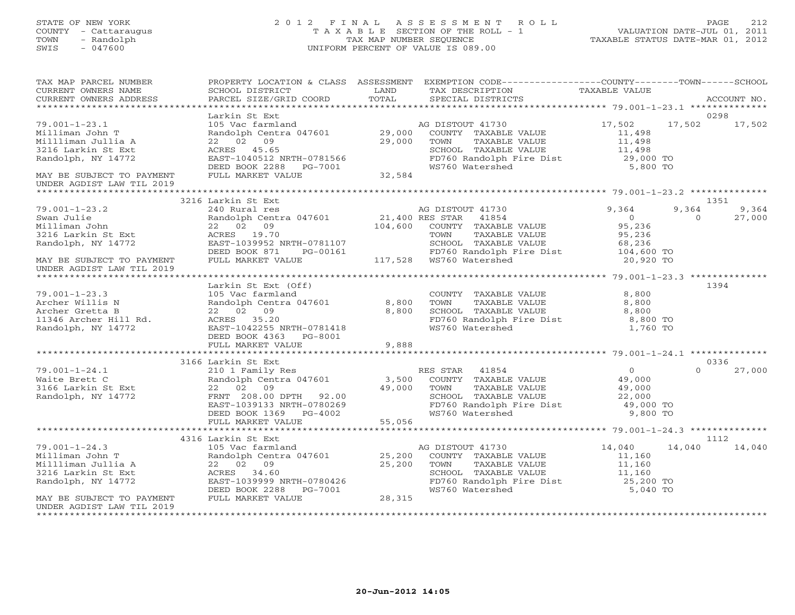# STATE OF NEW YORK 2 0 1 2 F I N A L A S S E S S M E N T R O L L PAGE 212 COUNTY - Cattaraugus T A X A B L E SECTION OF THE ROLL - 1 VALUATION DATE-JUL 01, 2011 TOWN - Randolph TAX MAP NUMBER SEQUENCE TAXABLE STATUS DATE-MAR 01, 2012 SWIS - 047600 UNIFORM PERCENT OF VALUE IS 089.00

| SCHOOL DISTRICT                                                                                                                          | LAND                                                                                                                               | TAX DESCRIPTION                                                                                       |                                                                                                                                                                                                                                                                                                                                                                                                                                                                                                                                                                                                                                                                               |                                                                                                                                                                       | ACCOUNT NO.                                                                                                                                                                                                                                                                                                                                                                                                                                                                   |
|------------------------------------------------------------------------------------------------------------------------------------------|------------------------------------------------------------------------------------------------------------------------------------|-------------------------------------------------------------------------------------------------------|-------------------------------------------------------------------------------------------------------------------------------------------------------------------------------------------------------------------------------------------------------------------------------------------------------------------------------------------------------------------------------------------------------------------------------------------------------------------------------------------------------------------------------------------------------------------------------------------------------------------------------------------------------------------------------|-----------------------------------------------------------------------------------------------------------------------------------------------------------------------|-------------------------------------------------------------------------------------------------------------------------------------------------------------------------------------------------------------------------------------------------------------------------------------------------------------------------------------------------------------------------------------------------------------------------------------------------------------------------------|
|                                                                                                                                          |                                                                                                                                    |                                                                                                       |                                                                                                                                                                                                                                                                                                                                                                                                                                                                                                                                                                                                                                                                               |                                                                                                                                                                       |                                                                                                                                                                                                                                                                                                                                                                                                                                                                               |
| Larkin St Ext<br>22 02 09                                                                                                                |                                                                                                                                    | TAXABLE VALUE<br>TOWN<br>SCHOOL TAXABLE VALUE<br>WS760 Watershed                                      | 11,498<br>11,498                                                                                                                                                                                                                                                                                                                                                                                                                                                                                                                                                                                                                                                              |                                                                                                                                                                       | 0298<br>17,502                                                                                                                                                                                                                                                                                                                                                                                                                                                                |
|                                                                                                                                          |                                                                                                                                    |                                                                                                       |                                                                                                                                                                                                                                                                                                                                                                                                                                                                                                                                                                                                                                                                               |                                                                                                                                                                       |                                                                                                                                                                                                                                                                                                                                                                                                                                                                               |
|                                                                                                                                          |                                                                                                                                    |                                                                                                       |                                                                                                                                                                                                                                                                                                                                                                                                                                                                                                                                                                                                                                                                               |                                                                                                                                                                       | 1351                                                                                                                                                                                                                                                                                                                                                                                                                                                                          |
| DEED BOOK 871<br>PG-00161<br>FULL MARKET VALUE                                                                                           |                                                                                                                                    |                                                                                                       | 9,364<br>$\overline{0}$<br>95,236<br>95,236                                                                                                                                                                                                                                                                                                                                                                                                                                                                                                                                                                                                                                   | 9,364<br>$\circ$                                                                                                                                                      | 9,364<br>27,000                                                                                                                                                                                                                                                                                                                                                                                                                                                               |
|                                                                                                                                          |                                                                                                                                    |                                                                                                       |                                                                                                                                                                                                                                                                                                                                                                                                                                                                                                                                                                                                                                                                               |                                                                                                                                                                       |                                                                                                                                                                                                                                                                                                                                                                                                                                                                               |
| Larkin St Ext (Off)<br>DEED BOOK 4363 PG-8001                                                                                            |                                                                                                                                    | COUNTY TAXABLE VALUE<br>TAXABLE VALUE<br>TOWN                                                         | 8,800<br>8,800<br>8,800                                                                                                                                                                                                                                                                                                                                                                                                                                                                                                                                                                                                                                                       |                                                                                                                                                                       | 1394                                                                                                                                                                                                                                                                                                                                                                                                                                                                          |
|                                                                                                                                          |                                                                                                                                    |                                                                                                       |                                                                                                                                                                                                                                                                                                                                                                                                                                                                                                                                                                                                                                                                               |                                                                                                                                                                       |                                                                                                                                                                                                                                                                                                                                                                                                                                                                               |
|                                                                                                                                          |                                                                                                                                    |                                                                                                       | $\begin{array}{c} 0 \\ 49,000 \end{array}$                                                                                                                                                                                                                                                                                                                                                                                                                                                                                                                                                                                                                                    | $\Omega$                                                                                                                                                              | 0336<br>27,000                                                                                                                                                                                                                                                                                                                                                                                                                                                                |
|                                                                                                                                          |                                                                                                                                    |                                                                                                       |                                                                                                                                                                                                                                                                                                                                                                                                                                                                                                                                                                                                                                                                               |                                                                                                                                                                       |                                                                                                                                                                                                                                                                                                                                                                                                                                                                               |
| 105 Vac farmland<br>105 Vac farmland<br>Randolph Centra 047601<br>22 02 09<br>ACRES 34.60<br>DEED BOOK 2288 PG-7001<br>FULL MARKET VALUE | 28,315                                                                                                                             | TAXABLE VALUE<br>SCHOOL TAXABLE VALUE<br>WS760 Watershed                                              | 14,040<br>11,160<br>11,160<br>11,160                                                                                                                                                                                                                                                                                                                                                                                                                                                                                                                                                                                                                                          |                                                                                                                                                                       | 1112<br>14,040                                                                                                                                                                                                                                                                                                                                                                                                                                                                |
|                                                                                                                                          | PARCEL SIZE/GRID COORD<br>3216 Larkin St Ext<br>FULL MARKET VALUE<br>3166 Larkin St Ext<br>FULL MARKET VALUE<br>4316 Larkin St Ext | TOTAL<br>EAST-1039952 NRTH-0781107<br>EAST-1042255 NRTH-0781418<br>9,888<br>EAST-1039999 NRTH-0780426 | SPECIAL DISTRICTS<br>29,000<br>ACRES 45.65<br>EAST-1040512 NRTH-0781566<br>DEED BOOK 2288 PG-7001<br>FULL MARKET VALUE 32,584<br>Larkin St Ext<br>240 Rural res<br>Randolph Centra 047601<br>21,400 RES STAR 41854<br>22 02 09<br>22 02 09<br>22 02 09<br>22 02 09<br>22 02 09<br>DEN STRING STRING STRING STRING STRING STRING STRING STRING STRING STRING STRING STRING STRING STRING STRING STRING STRING STRING STRING STRING STRING STRING STRING STRING STRING STRING STRING STRING STRING STRING STRING S<br>FRNT 208.00 DPTH 92.00<br>EAST-1039133 NRTH-0780269<br>DEED BOOK 1369 PG-4002<br>55,056<br>AG DISTOUT 41730<br>25,200 COUNTY TAXABLE VALUE<br>25,200 TOWN | TAXABLE VALUE<br><b>TOWN TAXABLE VALUE</b><br>SCHOOL TAXABLE VALUE<br>SCHOOL TAXABLE VALUE<br>FD760 Randolph Fire Dist<br>WS760 Watershed<br>FD760 Randolph Fire Dist | PROPERTY LOCATION & CLASS ASSESSMENT EXEMPTION CODE---------------COUNTY-------TOWN------SCHOOL<br>17,502<br>FD760 Randolph Fire Dist 29,000 TO<br>5,800 TO<br>CHOOL TAXABLE VALUE<br>SCHOOL TAXABLE VALUE<br>FD760 Randolph Fire Dist $104,600$ TO<br>WS760 Watershed 20,920 TO<br>$8,800$ TO<br>1,760 TO<br>- THAT THAT THE VALUE<br>SCHOOL TAXABLE VALUE<br>FD760 Randolph Fire Dist<br>WS760 Watershed<br>WS760 Watershed<br>A 2000 TO<br>14,040<br>25,200 TO<br>5,040 TO |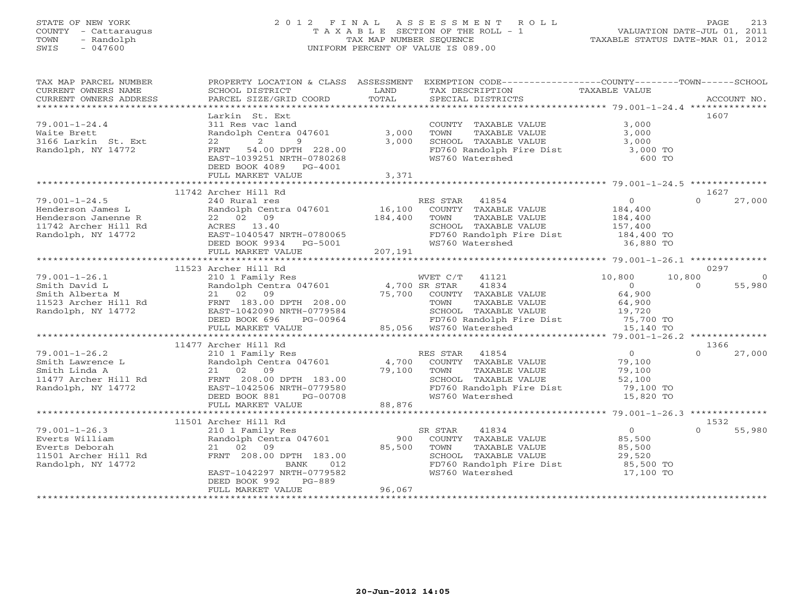# STATE OF NEW YORK 2 0 1 2 F I N A L A S S E S S M E N T R O L L PAGE 213 COUNTY - Cattaraugus T A X A B L E SECTION OF THE ROLL - 1 VALUATION DATE-JUL 01, 2011 TOWN - Randolph TAX MAP NUMBER SEQUENCE TAXABLE STATUS DATE-MAR 01, 2012 SWIS - 047600 UNIFORM PERCENT OF VALUE IS 089.00UNIFORM PERCENT OF VALUE IS 089.00

| TAX MAP PARCEL NUMBER<br>CURRENT OWNERS NAME<br>CURRENT OWNERS ADDRESS | SCHOOL DISTRICT<br>PARCEL SIZE/GRID COORD                      | LAND<br>TOTAL | PROPERTY LOCATION & CLASS ASSESSMENT EXEMPTION CODE----------------COUNTY-------TOWN------SCHOOL<br>TAX DESCRIPTION<br>SPECIAL DISTRICTS | TAXABLE VALUE             |          | ACCOUNT NO. |
|------------------------------------------------------------------------|----------------------------------------------------------------|---------------|------------------------------------------------------------------------------------------------------------------------------------------|---------------------------|----------|-------------|
|                                                                        |                                                                |               |                                                                                                                                          |                           |          |             |
|                                                                        | Larkin St. Ext                                                 |               |                                                                                                                                          |                           | 1607     |             |
| $79.001 - 1 - 24.4$                                                    | 311 Res vac land                                               |               | COUNTY TAXABLE VALUE                                                                                                                     | 3,000                     |          |             |
| Waite Brett                                                            | Randolph Centra 047601                                         | 3,000         | TOWN<br>TAXABLE VALUE                                                                                                                    | 3,000                     |          |             |
| 3166 Larkin St. Ext                                                    | 2<br>9<br>22                                                   | 3,000         | SCHOOL TAXABLE VALUE                                                                                                                     | 3,000                     |          |             |
| Randolph, NY 14772                                                     | FRNT<br>54.00 DPTH 228.00                                      |               | FD760 Randolph Fire Dist 3,000 TO                                                                                                        |                           |          |             |
|                                                                        | EAST-1039251 NRTH-0780268                                      |               | WS760 Watershed                                                                                                                          | 600 TO                    |          |             |
|                                                                        | DEED BOOK 4089 PG-4001<br>FULL MARKET VALUE                    | 3,371         |                                                                                                                                          |                           |          |             |
|                                                                        |                                                                |               |                                                                                                                                          |                           |          |             |
|                                                                        | 11742 Archer Hill Rd                                           |               |                                                                                                                                          |                           | 1627     |             |
| $79.001 - 1 - 24.5$                                                    | 240 Rural res                                                  |               | RES STAR 41854                                                                                                                           | $\overline{0}$            | $\Omega$ | 27,000      |
| Henderson James L                                                      | Randolph Centra 047601                                         | 16,100        | COUNTY TAXABLE VALUE                                                                                                                     | 184,400                   |          |             |
| Henderson Janenne R                                                    | 22 02 09                                                       | 184,400       | TOWN<br>TAXABLE VALUE                                                                                                                    | 184,400                   |          |             |
| 11742 Archer Hill Rd                                                   | ACRES 13.40                                                    |               | SCHOOL TAXABLE VALUE                                                                                                                     | 157,400                   |          |             |
| Randolph, NY 14772                                                     | EAST-1040547 NRTH-0780065                                      |               | FD760 Randolph Fire Dist 184,400 TO                                                                                                      |                           |          |             |
|                                                                        | DEED BOOK 9934 PG-5001                                         |               | WS760 Watershed                                                                                                                          | 36,880 TO                 |          |             |
|                                                                        | FULL MARKET VALUE                                              | 207,191       |                                                                                                                                          |                           |          |             |
|                                                                        |                                                                |               |                                                                                                                                          |                           |          |             |
|                                                                        | 11523 Archer Hill Rd                                           |               |                                                                                                                                          |                           | 0297     |             |
| $79.001 - 1 - 26.1$                                                    | 210 1 Family Res                                               |               | WVET C/T 41121                                                                                                                           | 10,800                    | 10,800   | $\Omega$    |
| Smith David L                                                          | Randolph Centra 047601 4,700 SR STAR<br>21 02 09 75,700 COUNTY |               | 41834                                                                                                                                    | $\Omega$                  | $\Omega$ | 55,980      |
| Smith Alberta M                                                        |                                                                |               | COUNTY TAXABLE VALUE                                                                                                                     | 64,900                    |          |             |
| 11523 Archer Hill Rd                                                   | FRNT 183.00 DPTH 208.00                                        |               | TAXABLE VALUE<br>TOWN                                                                                                                    | 64,900                    |          |             |
| Randolph, NY 14772                                                     | EAST-1042090 NRTH-0779584                                      |               | SCHOOL TAXABLE VALUE                                                                                                                     | 19,720                    |          |             |
|                                                                        | DEED BOOK 696<br>PG-00964                                      |               | FD760 Randolph Fire Dist 75,700 TO<br>WS760 Watershed 15,140 TO                                                                          |                           |          |             |
|                                                                        | FULL MARKET VALUE                                              |               | 85,056 WS760 Watershed                                                                                                                   |                           |          |             |
|                                                                        |                                                                |               |                                                                                                                                          |                           |          |             |
|                                                                        | 11477 Archer Hill Rd                                           |               |                                                                                                                                          |                           | 1366     |             |
| $79.001 - 1 - 26.2$                                                    | 210 1 Family Res                                               |               | RES STAR<br>41854                                                                                                                        | $0 \qquad \qquad$         | $\Omega$ | 27,000      |
| Smith Lawrence L                                                       | Randolph Centra 047601                                         | 4,700         | COUNTY TAXABLE VALUE                                                                                                                     | 79,100                    |          |             |
| Smith Linda A<br>11477 Archer Hill Rd                                  | 21 02 09<br>FRNT 208.00 DPTH 183.00                            | 79,100        | TOWN<br>TAXABLE VALUE<br>SCHOOL TAXABLE VALUE                                                                                            | 79,100                    |          |             |
| Randolph, NY 14772                                                     | EAST-1042506 NRTH-0779580                                      |               | FD760 Randolph Fire Dist                                                                                                                 | 52,100<br>79,100 TO       |          |             |
|                                                                        | DEED BOOK 881<br>PG-00708                                      |               | WS760 Watershed                                                                                                                          | 15,820 TO                 |          |             |
|                                                                        | FULL MARKET VALUE                                              | 88,876        |                                                                                                                                          |                           |          |             |
|                                                                        |                                                                |               |                                                                                                                                          |                           |          |             |
|                                                                        | 11501 Archer Hill Rd                                           |               |                                                                                                                                          |                           | 1532     |             |
| $79.001 - 1 - 26.3$                                                    | 210 1 Family Res                                               |               | 41834<br>SR STAR                                                                                                                         | $\overline{0}$            | $\Omega$ | 55,980      |
| Everts William                                                         | Randolph Centra 047601                                         | 900           | COUNTY TAXABLE VALUE                                                                                                                     |                           |          |             |
| Everts Deborah                                                         | 21 02 09                                                       | 85,500        | TOWN<br>TAXABLE VALUE                                                                                                                    | 85,JJ<br>85,500<br>^^ 520 |          |             |
| 11501 Archer Hill Rd                                                   | FRNT 208.00 DPTH 183.00                                        |               |                                                                                                                                          | 29,520                    |          |             |
| Randolph, NY 14772                                                     | BANK<br>012                                                    |               | schoop TAXABLE VALUE<br>FD760 Randolph Fire Dist<br>W9760 Y                                                                              | 85,500 TO                 |          |             |
|                                                                        | EAST-1042297 NRTH-0779582                                      |               | WS760 Watershed                                                                                                                          | 17,100 TO                 |          |             |
|                                                                        | DEED BOOK 992<br>PG-889                                        |               |                                                                                                                                          |                           |          |             |
|                                                                        | FULL MARKET VALUE                                              | 96,067        |                                                                                                                                          |                           |          |             |
|                                                                        |                                                                |               |                                                                                                                                          |                           |          |             |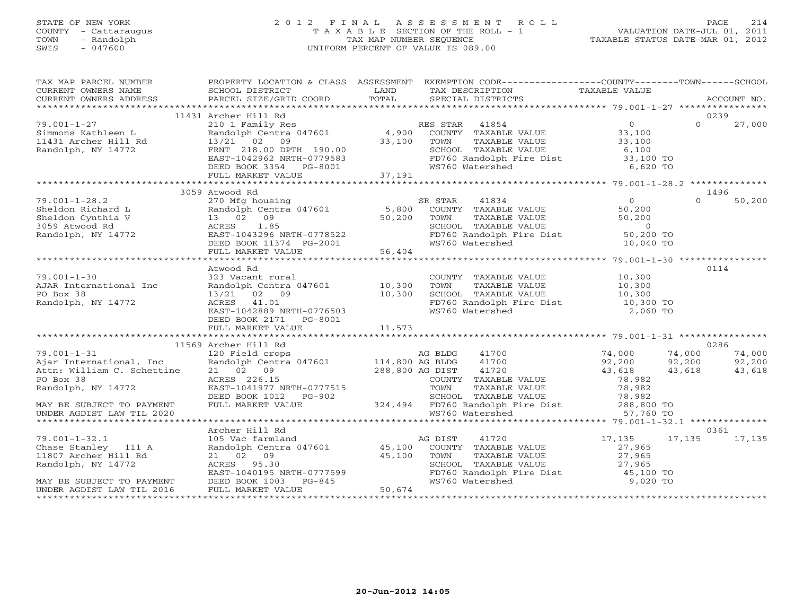# STATE OF NEW YORK 2 0 1 2 F I N A L A S S E S S M E N T R O L L PAGE 214 COUNTY - Cattaraugus T A X A B L E SECTION OF THE ROLL - 1 VALUATION DATE-JUL 01, 2011 TOWN - Randolph TAX MAP NUMBER SEQUENCE TAXABLE STATUS DATE-MAR 01, 2012 SWIS - 047600 UNIFORM PERCENT OF VALUE IS 089.00

| TAX MAP PARCEL NUMBER<br>CURRENT OWNERS NAME<br>CURRENT OWNERS ADDRESS                                                                                                                                                                                     | SCHOOL DISTRICT<br><b>Example 12</b> LAND<br>PARCEL SIZE/GRID COORD                               | TOTAL                  | PROPERTY LOCATION & CLASS ASSESSMENT EXEMPTION CODE---------------COUNTY-------TOWN------SCHOOL<br>TAX DESCRIPTION TAXABLE VALUE<br>SPECIAL DISTRICTS |                                            | ACCOUNT NO.                |
|------------------------------------------------------------------------------------------------------------------------------------------------------------------------------------------------------------------------------------------------------------|---------------------------------------------------------------------------------------------------|------------------------|-------------------------------------------------------------------------------------------------------------------------------------------------------|--------------------------------------------|----------------------------|
|                                                                                                                                                                                                                                                            |                                                                                                   |                        |                                                                                                                                                       |                                            |                            |
| 19.001-1-27<br>210 1 Family Res<br>Simmons Kathleen L<br>210 1 Family Res<br>210 1 Family Res<br>210 1 Family Res<br>210 1 Family Res<br>4,900 COUNTY TAXABLE VALUE<br>4,900 COUNTY TAXABLE VALUE<br>23,100<br>23,100<br>23,100<br>23,100<br>23,100<br>23, |                                                                                                   |                        |                                                                                                                                                       |                                            | 0239<br>$\Omega$<br>27,000 |
|                                                                                                                                                                                                                                                            |                                                                                                   |                        |                                                                                                                                                       |                                            |                            |
|                                                                                                                                                                                                                                                            |                                                                                                   |                        |                                                                                                                                                       |                                            |                            |
|                                                                                                                                                                                                                                                            | FRNT 218.00 DPTH 190.00<br>EAST-1042962 NRTH-0779583                                              |                        | SCHOOL TAXABLE VALUE<br>FD760 Randolph Fire Dist                                                                                                      | 6,100<br>33,100 TO                         |                            |
|                                                                                                                                                                                                                                                            |                                                                                                   |                        |                                                                                                                                                       |                                            |                            |
|                                                                                                                                                                                                                                                            | DEED BOOK 3354 PG-8001<br>FULL MARKET VALUE 37,191                                                |                        | WS760 Watershed                                                                                                                                       | 6,620 TO                                   |                            |
|                                                                                                                                                                                                                                                            |                                                                                                   |                        |                                                                                                                                                       |                                            |                            |
|                                                                                                                                                                                                                                                            | 3059 Atwood Rd                                                                                    |                        |                                                                                                                                                       |                                            | 1496                       |
| $79.001 - 1 - 28.2$                                                                                                                                                                                                                                        |                                                                                                   |                        |                                                                                                                                                       |                                            | 50,200<br>$\Omega$         |
| Sheldon Richard L                                                                                                                                                                                                                                          |                                                                                                   |                        | 270 Mfg housing 38 SR STAR 41834<br>Randolph Centra 047601 5,800 COUNTY TAXABLE VALUE                                                                 | $\begin{array}{c} 0 \\ 50,200 \end{array}$ |                            |
| Sheldon Cynthia V                                                                                                                                                                                                                                          | 13 02 09                                                                                          | 50,200 TOWN            | TAXABLE VALUE                                                                                                                                         | 50,200                                     |                            |
| 3059 Atwood Rd                                                                                                                                                                                                                                             |                                                                                                   |                        | SCHOOL TAXABLE VALUE                                                                                                                                  | $\sim$ 0                                   |                            |
| Randolph, NY 14772                                                                                                                                                                                                                                         |                                                                                                   |                        | FD760 Randolph Fire Dist 50,200 TO                                                                                                                    |                                            |                            |
|                                                                                                                                                                                                                                                            |                                                                                                   |                        | WS760 Watershed                                                                                                                                       | 10,040 TO                                  |                            |
|                                                                                                                                                                                                                                                            |                                                                                                   |                        |                                                                                                                                                       |                                            |                            |
|                                                                                                                                                                                                                                                            |                                                                                                   |                        |                                                                                                                                                       |                                            |                            |
|                                                                                                                                                                                                                                                            | Atwood Rd                                                                                         |                        |                                                                                                                                                       |                                            | 0114                       |
| $79.001 - 1 - 30$                                                                                                                                                                                                                                          | 323 Vacant rural                                                                                  |                        | COUNTY TAXABLE VALUE 10,300                                                                                                                           |                                            |                            |
| AJAR International Inc                                                                                                                                                                                                                                     | Randolph Centra 047601 10,300                                                                     |                        | TAXABLE VALUE<br>TAXABLE VALUE 10,300<br>TAXABLE VALUE 10,300<br>TOWN                                                                                 |                                            |                            |
| PO Box 38                                                                                                                                                                                                                                                  | 13/21 02 09                                                                                       | 10,300                 | SCHOOL TAXABLE VALUE                                                                                                                                  |                                            |                            |
| Randolph, NY 14772                                                                                                                                                                                                                                         | ACRES 41.01<br>EAST-1042889 NRTH-0776503                                                          |                        | FD760 Randolph Fire Dist 10,300 TO                                                                                                                    |                                            |                            |
|                                                                                                                                                                                                                                                            |                                                                                                   |                        | WS760 Watershed                                                                                                                                       | 2,060 TO                                   |                            |
|                                                                                                                                                                                                                                                            | DEED BOOK 2171 PG-8001                                                                            |                        |                                                                                                                                                       |                                            |                            |
|                                                                                                                                                                                                                                                            |                                                                                                   |                        |                                                                                                                                                       |                                            |                            |
|                                                                                                                                                                                                                                                            | 11569 Archer Hill Rd                                                                              |                        |                                                                                                                                                       |                                            | 0286                       |
| $79.001 - 1 - 31$                                                                                                                                                                                                                                          | 120 Field crops                                                                                   |                        | AG BLDG<br>41700                                                                                                                                      |                                            | 74,000                     |
| Ajar International, Inc                                                                                                                                                                                                                                    | Example 120 Field crops<br>Randolph Centra 047601 114,800 AG BLDG                                 |                        | 41700                                                                                                                                                 | 74,000<br>92,200<br>74,000<br>92,200       | 92,200                     |
| Attn: William C. Schettine                                                                                                                                                                                                                                 | 21 02 09                                                                                          |                        | 288,800 AG DIST 41720<br>COUNTY TAXARLE                                                                                                               | 43,618                                     | 43,618<br>43,618           |
| PO Box 38                                                                                                                                                                                                                                                  | -1041977 NRTH-0777515<br>DEED BOOK 1012 PG-902<br>FULL MARKET VALUE                               |                        | COUNTY TAXABLE VALUE                                                                                                                                  | 78,982                                     |                            |
| Randolph, NY 14772                                                                                                                                                                                                                                         |                                                                                                   |                        | 0777515 TOWN TAXABLE VALUE 78,982<br>G-902 SCHOOL TAXABLE VALUE 78,982<br>324,494 FD760 Randolph Fire Dist 288,800 TO                                 |                                            |                            |
|                                                                                                                                                                                                                                                            |                                                                                                   |                        |                                                                                                                                                       |                                            |                            |
| MAY BE SUBJECT TO PAYMENT                                                                                                                                                                                                                                  |                                                                                                   |                        |                                                                                                                                                       |                                            |                            |
| UNDER AGDIST LAW TIL 2020                                                                                                                                                                                                                                  |                                                                                                   |                        | WS760 Watershed                                                                                                                                       | 57,760 TO                                  |                            |
|                                                                                                                                                                                                                                                            |                                                                                                   |                        |                                                                                                                                                       |                                            |                            |
|                                                                                                                                                                                                                                                            | Archer Hill Rd                                                                                    |                        |                                                                                                                                                       |                                            | 0361                       |
| $79.001 - 1 - 32.1$<br>Chase Stanley 111 A                                                                                                                                                                                                                 | 105.100 MG DIST<br>105 Vac farmland MG DIST<br>Randolph Centra 047601 45,100 COUNTY TAXABLE VALUE |                        |                                                                                                                                                       | 17,135 17,135<br>27,965                    | 17,135                     |
| 11807 Archer Hill Rd                                                                                                                                                                                                                                       | 21 02 09                                                                                          |                        |                                                                                                                                                       |                                            |                            |
| Randolph, NY 14772                                                                                                                                                                                                                                         | ACRES 95.30                                                                                       | $45,100$ TOWN<br>SCHOC | TAXABLE VALUE<br>SCHOOL TAXABLE VALUE                                                                                                                 | 27,965<br>27,965                           |                            |
|                                                                                                                                                                                                                                                            |                                                                                                   |                        | FD760 Randolph Fire Dist 45,100 TO                                                                                                                    |                                            |                            |
| MAY BE SUBJECT TO PAYMENT                                                                                                                                                                                                                                  | ACRES 95.30<br>EAST-1040195 NRTH-0777599<br>DEED BOOK 1003 PG-845                                 |                        | WS760 Watershed                                                                                                                                       | 9,020 TO                                   |                            |
| UNDER AGDIST LAW TIL 2016                                                                                                                                                                                                                                  | FULL MARKET VALUE                                                                                 | 50,674                 |                                                                                                                                                       |                                            |                            |
|                                                                                                                                                                                                                                                            |                                                                                                   |                        |                                                                                                                                                       | ******************************             |                            |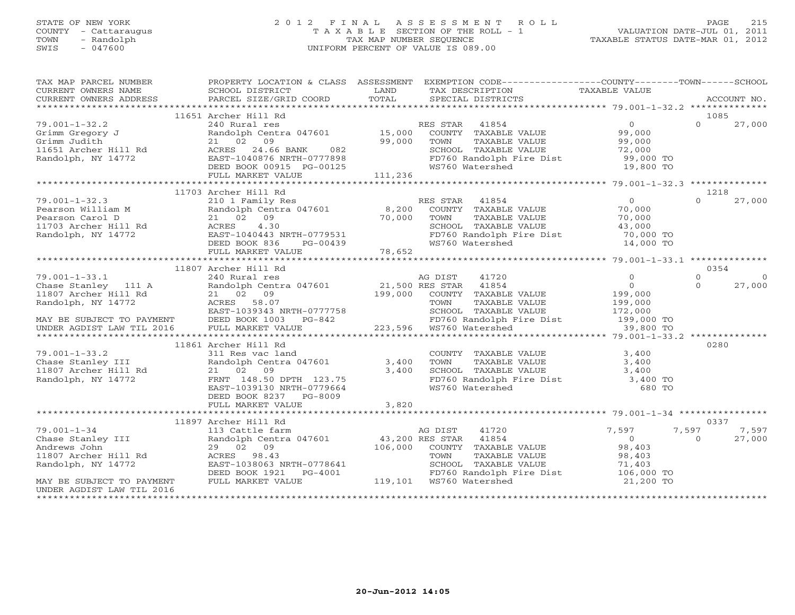# STATE OF NEW YORK 2 0 1 2 F I N A L A S S E S S M E N T R O L L PAGE 215 COUNTY - Cattaraugus T A X A B L E SECTION OF THE ROLL - 1 VALUATION DATE-JUL 01, 2011 TOWN - Randolph TAX MAP NUMBER SEQUENCE TAXABLE STATUS DATE-MAR 01, 2012 SWIS - 047600 UNIFORM PERCENT OF VALUE IS 089.00UNIFORM PERCENT OF VALUE IS 089.00

| TAX MAP PARCEL NUMBER<br>CURRENT OWNERS NAME                                                                                                                                                                                                 | SCHOOL DISTRICT                                                            | <b>EXAMPLE EXAMPLE EXAMPLE EXAMPLE EXAMPLE EXAMPLE EXAMPLE EXAMPLE EXAMPLE EXAMPLE EXAMPLE EXAMPLE EXAMPLE EXAMPLE EXAMPLE EXAMPLE EXAMPLE EXAMPLE EXAMPLE EXAMPLE EXAMPLE EXAMPLE EXAMPLE E</b> | PROPERTY LOCATION & CLASS ASSESSMENT EXEMPTION CODE---------------COUNTY-------TOWN------SCHOOL<br>TAX DESCRIPTION TAXABLE VALUE                                                                                                         |           |                    |
|----------------------------------------------------------------------------------------------------------------------------------------------------------------------------------------------------------------------------------------------|----------------------------------------------------------------------------|--------------------------------------------------------------------------------------------------------------------------------------------------------------------------------------------------|------------------------------------------------------------------------------------------------------------------------------------------------------------------------------------------------------------------------------------------|-----------|--------------------|
|                                                                                                                                                                                                                                              |                                                                            |                                                                                                                                                                                                  |                                                                                                                                                                                                                                          |           |                    |
|                                                                                                                                                                                                                                              |                                                                            |                                                                                                                                                                                                  |                                                                                                                                                                                                                                          |           |                    |
|                                                                                                                                                                                                                                              | 11651 Archer Hill Rd                                                       |                                                                                                                                                                                                  |                                                                                                                                                                                                                                          |           | 1085               |
| 79.001-1-32.2                                                                                                                                                                                                                                |                                                                            |                                                                                                                                                                                                  | Archer Hill Rd<br>240 Rural res<br>Randolph Centra 047601 15,000 COUNTY TAXABLE VALUE 99,000<br>21 02 09 99,000 TOWN TAXABLE VALUE 99,000<br>ACRES 24.66 BANK 082 SCHOOL TAXABLE VALUE 72,000<br>EAST-1040876 NRTH-0777898 FD760 Randolp |           | $\Omega$<br>27,000 |
| Grimm Gregory J<br>Grimm Judith<br>11651 Archer Hill Rd<br>Randolph, NY 14772                                                                                                                                                                |                                                                            |                                                                                                                                                                                                  |                                                                                                                                                                                                                                          |           |                    |
|                                                                                                                                                                                                                                              |                                                                            |                                                                                                                                                                                                  |                                                                                                                                                                                                                                          |           |                    |
|                                                                                                                                                                                                                                              |                                                                            |                                                                                                                                                                                                  |                                                                                                                                                                                                                                          |           |                    |
|                                                                                                                                                                                                                                              |                                                                            |                                                                                                                                                                                                  |                                                                                                                                                                                                                                          | 19,800 TO |                    |
|                                                                                                                                                                                                                                              |                                                                            |                                                                                                                                                                                                  |                                                                                                                                                                                                                                          |           |                    |
|                                                                                                                                                                                                                                              |                                                                            |                                                                                                                                                                                                  |                                                                                                                                                                                                                                          |           |                    |
| 79.001-1-32.3<br>Pearson William M Randolp<br>Pearson Carol D 21 02<br>11703 Archer Hill Rd ACRES<br>Randolph, NY 14772 EAST-1<br>FULL<br>FULL<br>FULL<br>THE RAND                                                                           | 11703 Archer Hill Rd                                                       |                                                                                                                                                                                                  |                                                                                                                                                                                                                                          |           | 1218               |
|                                                                                                                                                                                                                                              | 210 1 Family Res<br>Randolph Centra 047601 8,200                           |                                                                                                                                                                                                  | ES STAR 41854 0<br>COUNTY TAXABLE VALUE 70,000<br>TAXABLE VALUE 70,000<br>RES STAR 41854                                                                                                                                                 |           | $\Omega$<br>27,000 |
|                                                                                                                                                                                                                                              |                                                                            |                                                                                                                                                                                                  |                                                                                                                                                                                                                                          |           |                    |
|                                                                                                                                                                                                                                              |                                                                            |                                                                                                                                                                                                  |                                                                                                                                                                                                                                          |           |                    |
|                                                                                                                                                                                                                                              |                                                                            |                                                                                                                                                                                                  |                                                                                                                                                                                                                                          |           |                    |
|                                                                                                                                                                                                                                              |                                                                            |                                                                                                                                                                                                  |                                                                                                                                                                                                                                          |           |                    |
|                                                                                                                                                                                                                                              |                                                                            |                                                                                                                                                                                                  |                                                                                                                                                                                                                                          |           |                    |
| Pearson William M<br>Pearson Carol D<br>21 02 09 000 70,000 TONN TAXABLE VALUE<br>21703 Archer Hill Rd<br>Randolph, NY 14772 EAST-1040443 NRTH-0779531<br>EED BOOK 836 PG-00439 FOLD MARKET VALUE<br>FULL MARKET VALUE 78,652<br>*********** |                                                                            |                                                                                                                                                                                                  |                                                                                                                                                                                                                                          |           |                    |
|                                                                                                                                                                                                                                              |                                                                            |                                                                                                                                                                                                  |                                                                                                                                                                                                                                          |           |                    |
|                                                                                                                                                                                                                                              | 11807 Archer Hill Rd                                                       |                                                                                                                                                                                                  |                                                                                                                                                                                                                                          |           | 0354               |
|                                                                                                                                                                                                                                              |                                                                            |                                                                                                                                                                                                  |                                                                                                                                                                                                                                          |           |                    |
|                                                                                                                                                                                                                                              |                                                                            |                                                                                                                                                                                                  |                                                                                                                                                                                                                                          |           |                    |
|                                                                                                                                                                                                                                              |                                                                            |                                                                                                                                                                                                  |                                                                                                                                                                                                                                          |           |                    |
|                                                                                                                                                                                                                                              |                                                                            |                                                                                                                                                                                                  |                                                                                                                                                                                                                                          |           |                    |
|                                                                                                                                                                                                                                              |                                                                            |                                                                                                                                                                                                  |                                                                                                                                                                                                                                          |           |                    |
|                                                                                                                                                                                                                                              |                                                                            |                                                                                                                                                                                                  |                                                                                                                                                                                                                                          |           |                    |
|                                                                                                                                                                                                                                              |                                                                            |                                                                                                                                                                                                  |                                                                                                                                                                                                                                          |           |                    |
|                                                                                                                                                                                                                                              | 11861 Archer Hill Rd                                                       |                                                                                                                                                                                                  |                                                                                                                                                                                                                                          |           | 0280               |
| $79.001 - 1 - 33.2$<br>79.001-1-33.2<br>Chase Stanley III Randolph Centra 047601 3,400<br>11807 Archer Hill Rd 21 02 09 3,400<br>Randolph, NY 14772 FRNT 148.50 DPTH 123.75<br>THE 148.50 DPTH 123.75                                        | 311 Res vac land                                                           |                                                                                                                                                                                                  |                                                                                                                                                                                                                                          |           |                    |
|                                                                                                                                                                                                                                              |                                                                            |                                                                                                                                                                                                  |                                                                                                                                                                                                                                          |           |                    |
|                                                                                                                                                                                                                                              |                                                                            |                                                                                                                                                                                                  |                                                                                                                                                                                                                                          |           |                    |
|                                                                                                                                                                                                                                              | $21$ $02$ 09 3,400<br>FRNT 148.50 DPTH 123.75<br>EAST-1039130 NRTH-0779664 |                                                                                                                                                                                                  |                                                                                                                                                                                                                                          |           |                    |
|                                                                                                                                                                                                                                              |                                                                            |                                                                                                                                                                                                  | COUNTY TAXABLE VALUE<br>TOWN TAXABLE VALUE 3,400<br>SCHOOL TAXABLE VALUE 3,400<br>FD760 Randolph Fire Dist 3,400 TO<br>WS760 Watershed 680 TO                                                                                            |           |                    |
|                                                                                                                                                                                                                                              | DEED BOOK 8237 PG-8009<br>FULL MARKET VALUE                                | 3,820                                                                                                                                                                                            |                                                                                                                                                                                                                                          |           |                    |
|                                                                                                                                                                                                                                              |                                                                            |                                                                                                                                                                                                  |                                                                                                                                                                                                                                          |           |                    |
|                                                                                                                                                                                                                                              | 11897 Archer Hill Rd                                                       |                                                                                                                                                                                                  |                                                                                                                                                                                                                                          |           | 0337               |
| - *******<br>79.001-1-34 - 13<br>Chase Stanley III R<br>Andrews John 2<br>11807 Archer Hill Rd 2<br>Tradob, NY 14772                                                                                                                         |                                                                            |                                                                                                                                                                                                  | Archer Hill Rd<br>113 Cattle farm (17601 and 20 DIST 41720 113<br>Randolph Centra 047601 43,200 RES STAR 41854 0<br>29 02 09 106,000 COUNTY TAXABLE VALUE 98,403<br>ACRES 98.43 TOWN TAXABLE VALUE 98,403<br>20 106,000 COUNTY TAXABLE V | 7,597     | 7,597<br>7,597     |
|                                                                                                                                                                                                                                              |                                                                            |                                                                                                                                                                                                  |                                                                                                                                                                                                                                          |           | 27,000<br>$\Omega$ |
|                                                                                                                                                                                                                                              |                                                                            |                                                                                                                                                                                                  |                                                                                                                                                                                                                                          |           |                    |
|                                                                                                                                                                                                                                              |                                                                            |                                                                                                                                                                                                  |                                                                                                                                                                                                                                          |           |                    |
|                                                                                                                                                                                                                                              |                                                                            |                                                                                                                                                                                                  |                                                                                                                                                                                                                                          |           |                    |
|                                                                                                                                                                                                                                              |                                                                            |                                                                                                                                                                                                  | ACRES 98.43<br>EAST-1038063 NRTH-0778641 SCHOOL TAXABLE VALUE 98,403<br>DEED BOOK 1921 PG-4001 119,101 WS760 Watershed 21,200 TO<br>FULL MARKET VALUE 105,000 12<br>PULL MARKET VALUE 119,101 WS760 Watershed 21,200 TO                  |           |                    |
| MAY BE SUBJECT TO PAYMENT                                                                                                                                                                                                                    | FULL MARKET VALUE                                                          |                                                                                                                                                                                                  |                                                                                                                                                                                                                                          |           |                    |
| UNDER AGDIST LAW TIL 2016                                                                                                                                                                                                                    |                                                                            |                                                                                                                                                                                                  |                                                                                                                                                                                                                                          |           |                    |
|                                                                                                                                                                                                                                              |                                                                            |                                                                                                                                                                                                  |                                                                                                                                                                                                                                          |           |                    |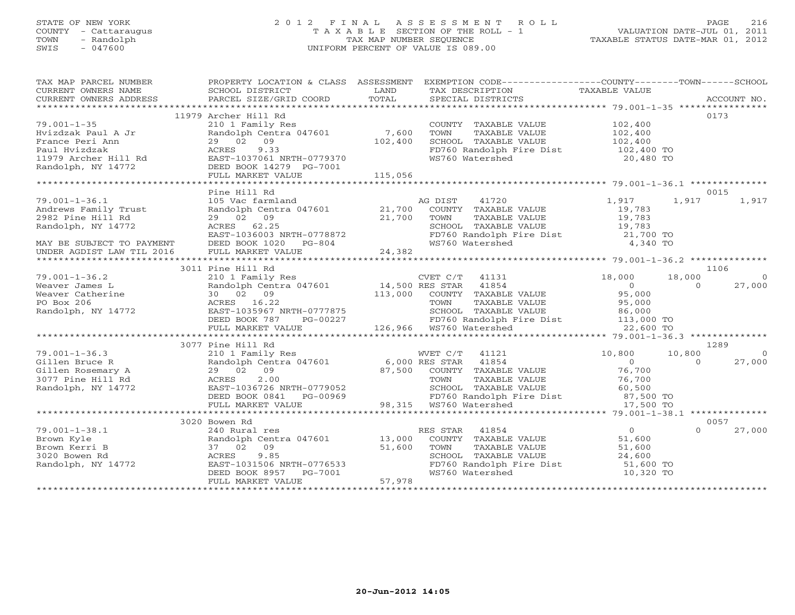# STATE OF NEW YORK 2 0 1 2 F I N A L A S S E S S M E N T R O L L PAGE 216 COUNTY - Cattaraugus T A X A B L E SECTION OF THE ROLL - 1 VALUATION DATE-JUL 01, 2011 TOWN - Randolph TAX MAP NUMBER SEQUENCE TAXABLE STATUS DATE-MAR 01, 2012 SWIS - 047600 UNIFORM PERCENT OF VALUE IS 089.00UNIFORM PERCENT OF VALUE IS 089.00

| TAX MAP PARCEL NUMBER<br>CURRENT OWNERS NAME                                                                                                                                                                                                                                                                                                                               | PROPERTY LOCATION & CLASS ASSESSMENT EXEMPTION CODE---------------COUNTY-------TOWN------SCHOOL<br>SCHOOL DISTRICT<br><b>Example 12 Distribution of the LAND</b> |         | TAX DESCRIPTION                                               | TAXABLE VALUE                                          |          |                |
|----------------------------------------------------------------------------------------------------------------------------------------------------------------------------------------------------------------------------------------------------------------------------------------------------------------------------------------------------------------------------|------------------------------------------------------------------------------------------------------------------------------------------------------------------|---------|---------------------------------------------------------------|--------------------------------------------------------|----------|----------------|
|                                                                                                                                                                                                                                                                                                                                                                            |                                                                                                                                                                  |         |                                                               |                                                        |          |                |
|                                                                                                                                                                                                                                                                                                                                                                            | 11979 Archer Hill Rd                                                                                                                                             |         |                                                               |                                                        |          | 0173           |
| $79.001 - 1 - 35$                                                                                                                                                                                                                                                                                                                                                          | 210 1 Family Res                                                                                                                                                 |         |                                                               | COUNTY TAXABLE VALUE 102,400                           |          |                |
| Hvizdzak Paul A Jr                                                                                                                                                                                                                                                                                                                                                         | Randolph Centra 047601 7,600                                                                                                                                     |         | TOWN<br>TAXABLE VALUE                                         | $102,400$<br>$102,400$                                 |          |                |
|                                                                                                                                                                                                                                                                                                                                                                            | 29 02 09                                                                                                                                                         | 102,400 | SCHOOL TAXABLE VALUE                                          | 102,400                                                |          |                |
|                                                                                                                                                                                                                                                                                                                                                                            |                                                                                                                                                                  |         |                                                               | FD760 Randolph Fire Dist 102,400 TO                    |          |                |
|                                                                                                                                                                                                                                                                                                                                                                            | EAST-1037061 NRTH-0779370                                                                                                                                        |         | WS760 Watershed                                               | 20,480 TO                                              |          |                |
| France Peri Ann $\begin{array}{lll} \text{France} & \text{Peri} & \text{Ann} & \text{ACRES} & 9.33 \\ \text{Paul Hvizdzak} & & & & & \text{ACRES} & 9.33 \\ 11979 Archer Hill Rd & & & & \text{EAST-1037061 NRTH-0779370} \\ \text{Random, NY 14772} & & & & \text{DEED BOK 14279 PG-7001} \\ \text{Randolph, NY 14772} & & & & \text{DEED BOK 14279 PG-7001} \end{array}$ |                                                                                                                                                                  |         |                                                               |                                                        |          |                |
|                                                                                                                                                                                                                                                                                                                                                                            | FULL MARKET VALUE                                                                                                                                                | 115,056 |                                                               |                                                        |          |                |
|                                                                                                                                                                                                                                                                                                                                                                            |                                                                                                                                                                  |         |                                                               |                                                        |          |                |
|                                                                                                                                                                                                                                                                                                                                                                            | Pine Hill Rd                                                                                                                                                     |         |                                                               |                                                        |          | 0015           |
| $79.001 - 1 - 36.1$                                                                                                                                                                                                                                                                                                                                                        | 1 1113 1111 112.<br>105 Vac farmland                                                                                                                             |         | AG DIST                                                       | 41720<br>1,917                                         | 1,917    | 1,917          |
| Andrews Family Trust<br>2982 Pine Hill Rd                                                                                                                                                                                                                                                                                                                                  | Randolph Centra 047601 21,700 COUNTY TAXABLE VALUE                                                                                                               |         |                                                               | 19,783<br>19,783                                       |          |                |
|                                                                                                                                                                                                                                                                                                                                                                            | $29$ $02$ 09                                                                                                                                                     | 21,700  | TOWN                                                          | TAXABLE VALUE                                          |          |                |
| Randolph, NY 14772                                                                                                                                                                                                                                                                                                                                                         |                                                                                                                                                                  |         | SCHOOL TAXABLE VALUE<br>FD760 Randolph Fire Dist              | 19,783<br>21,700 TO                                    |          |                |
|                                                                                                                                                                                                                                                                                                                                                                            |                                                                                                                                                                  |         |                                                               |                                                        |          |                |
|                                                                                                                                                                                                                                                                                                                                                                            |                                                                                                                                                                  |         |                                                               |                                                        |          |                |
|                                                                                                                                                                                                                                                                                                                                                                            |                                                                                                                                                                  |         |                                                               |                                                        |          |                |
|                                                                                                                                                                                                                                                                                                                                                                            |                                                                                                                                                                  |         |                                                               |                                                        |          |                |
|                                                                                                                                                                                                                                                                                                                                                                            | 3011 Pine Hill Rd                                                                                                                                                |         |                                                               |                                                        |          | 1106           |
| $79.001 - 1 - 36.2$                                                                                                                                                                                                                                                                                                                                                        |                                                                                                                                                                  |         |                                                               | 18,000                                                 | 18,000   | $\overline{a}$ |
|                                                                                                                                                                                                                                                                                                                                                                            | Plue nili KG<br>210 1 Family Res<br>Randolph Centra 047601 14,500 RES STAR 41854<br>30 02 09 113,000 COUNTY TAXABLE VALUE                                        |         |                                                               | $\overline{0}$                                         | $\Omega$ | 27,000         |
|                                                                                                                                                                                                                                                                                                                                                                            |                                                                                                                                                                  |         |                                                               | 95,000                                                 |          |                |
|                                                                                                                                                                                                                                                                                                                                                                            |                                                                                                                                                                  |         | TOWN                                                          | TAXABLE VALUE<br>95,000<br>SCHOOL TAXABLE VALUE 75,000 |          |                |
|                                                                                                                                                                                                                                                                                                                                                                            |                                                                                                                                                                  |         |                                                               |                                                        |          |                |
|                                                                                                                                                                                                                                                                                                                                                                            | DEED BOOK 787<br>PG-00227<br>FULL MARKET VALUE                                                                                                                   |         | 975<br>227 126,966 WS760 Watershed<br>126,966 WS760 Watershed | FD760 Randolph Fire Dist 113,000 TO<br>22,600 TO       |          |                |
|                                                                                                                                                                                                                                                                                                                                                                            |                                                                                                                                                                  |         |                                                               |                                                        |          |                |
|                                                                                                                                                                                                                                                                                                                                                                            | 3077 Pine Hill Rd                                                                                                                                                |         |                                                               |                                                        |          | 1289           |
| $79.001 - 1 - 36.3$                                                                                                                                                                                                                                                                                                                                                        |                                                                                                                                                                  |         |                                                               | 10,800                                                 | 10,800   | $\overline{0}$ |
| Gillen Bruce R                                                                                                                                                                                                                                                                                                                                                             |                                                                                                                                                                  |         |                                                               | $\overline{0}$                                         | $\Omega$ | 27,000         |
| Gillen Rosemary A                                                                                                                                                                                                                                                                                                                                                          |                                                                                                                                                                  |         |                                                               | 76,700                                                 |          |                |
| 3077 Pine Hill Rd                                                                                                                                                                                                                                                                                                                                                          | 210 1 Family Res<br>Randolph Centra 047601 6,000 RES STAR 41854<br>29 02 09 87,500 COUNTY TAXABLE VALUE<br>ACRES 2.00 70WN TAXABLE VALUE                         |         |                                                               | TAXABLE VALUE<br>76,700                                |          |                |
| Randolph, NY 14772                                                                                                                                                                                                                                                                                                                                                         | ACRES 2.00 TOWN TAXABLE<br>EAST-1036726 NRTH-0779052 SCHOOL TAXABLE<br>DEED BOOK 0841 PG-00969 FD760 Randolph FULL MARKET VALUE 98,315 WS760 Watershed           |         |                                                               | SCHOOL TAXABLE VALUE 60,500                            |          |                |
|                                                                                                                                                                                                                                                                                                                                                                            |                                                                                                                                                                  |         |                                                               | 87,500 TO                                              |          |                |
|                                                                                                                                                                                                                                                                                                                                                                            |                                                                                                                                                                  |         | FD760 Randolph Fire Dist<br>WS760 Watershed                   | 17,500 TO                                              |          |                |
|                                                                                                                                                                                                                                                                                                                                                                            |                                                                                                                                                                  |         |                                                               |                                                        |          |                |
|                                                                                                                                                                                                                                                                                                                                                                            | 3020 Bowen Rd                                                                                                                                                    |         |                                                               |                                                        |          | 0057           |
| $79.001 - 1 - 38.1$                                                                                                                                                                                                                                                                                                                                                        |                                                                                                                                                                  |         | RES STAR 41854                                                | $\overline{0}$                                         | $\cap$   | 27,000         |
| Brown Kyle                                                                                                                                                                                                                                                                                                                                                                 | 240 Rural res<br>Randolph Centra 047601 13,000                                                                                                                   |         |                                                               | ES STAR 41854<br>COUNTY TAXABLE VALUE<br>51,600        |          |                |
| Brown Kerri B                                                                                                                                                                                                                                                                                                                                                              | 37 02 09                                                                                                                                                         | 51,600  | TAXABLE VALUE<br>TOWN                                         | 51,600                                                 |          |                |
| 3020 Bowen Rd                                                                                                                                                                                                                                                                                                                                                              | 9.85<br>ACRES                                                                                                                                                    |         | SCHOOL TAXABLE VALUE                                          | 24,600                                                 |          |                |
| Randolph, NY 14772                                                                                                                                                                                                                                                                                                                                                         |                                                                                                                                                                  |         |                                                               | FD760 Randolph Fire Dist 51,600 TO                     |          |                |
|                                                                                                                                                                                                                                                                                                                                                                            | EAST-1031506 NRTH-0776533<br>DEED BOOK 8957 PG-7001<br>FUJ.L. MARKET VALUE                                                                                       |         | WS760 Watershed                                               | 10,320 TO                                              |          |                |
|                                                                                                                                                                                                                                                                                                                                                                            | FULL MARKET VALUE                                                                                                                                                | 57,978  |                                                               |                                                        |          |                |
|                                                                                                                                                                                                                                                                                                                                                                            |                                                                                                                                                                  |         |                                                               |                                                        |          |                |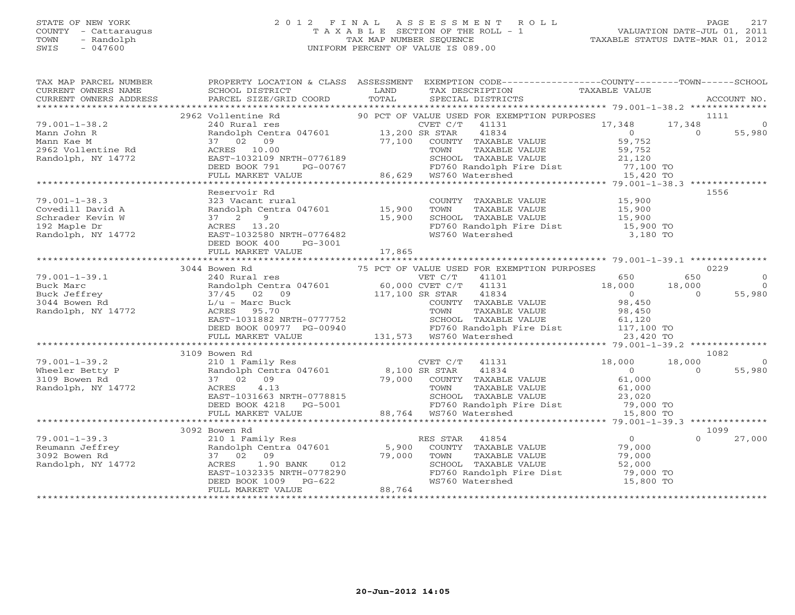#### STATE OF NEW YORK 2 0 1 2 F I N A L A S S E S S M E N T R O L L PAGE 217 COUNTY - Cattaraugus T A X A B L E SECTION OF THE ROLL - 1 VALUATION DATE-JUL 01, 2011 TOWN - Randolph TAX MAP NUMBER SEQUENCE TAXABLE STATUS DATE-MAR 01, 2012 SWIS - 047600 UNIFORM PERCENT OF VALUE IS 089.00UNIFORM PERCENT OF VALUE IS 089.00

| TAX MAP PARCEL NUMBER<br>CURRENT OWNERS NAME<br>CURRENT OWNERS ADDRESS                                                                                                                                                                                                                                                                               | SCHOOL DISTRICT<br>PARCEL SIZE/GRID COORD TOTAL    | <b>EXAMPLE SERVICE SERVICE SERVICE SERVICE SERVICE SERVICE SERVICE SERVICE SERVICE SERVICE SERVICE SERVICE SERVICE</b> | PROPERTY LOCATION & CLASS ASSESSMENT EXEMPTION CODE----------------COUNTY-------TOWN------SCHOOL<br>TAX DESCRIPTION TAXABLE VALUE<br>SPECIAL DISTRICTS                                                                                    |                    |                | ACCOUNT NO. |
|------------------------------------------------------------------------------------------------------------------------------------------------------------------------------------------------------------------------------------------------------------------------------------------------------------------------------------------------------|----------------------------------------------------|------------------------------------------------------------------------------------------------------------------------|-------------------------------------------------------------------------------------------------------------------------------------------------------------------------------------------------------------------------------------------|--------------------|----------------|-------------|
|                                                                                                                                                                                                                                                                                                                                                      |                                                    |                                                                                                                        |                                                                                                                                                                                                                                           |                    |                |             |
|                                                                                                                                                                                                                                                                                                                                                      | 2962 Vollentine Rd                                 |                                                                                                                        | Vollentine Rd <sup>90</sup> PCT OF VALUE USED FOR EXEMPTION PURPOSES <sup>240</sup> Rural res <sup>240</sup> CUET C/T <sup>41131</sup> <sup>17,348</sup> Randolph Centra 047601 <sup>13,200</sup> SR STAR <sup>41834</sup> <sup>0</sup>   |                    |                | 1111        |
| $79.001 - 1 - 38.2$                                                                                                                                                                                                                                                                                                                                  |                                                    |                                                                                                                        |                                                                                                                                                                                                                                           | $17,348$ $17,348$  |                | $\Omega$    |
| Mann John R                                                                                                                                                                                                                                                                                                                                          |                                                    |                                                                                                                        |                                                                                                                                                                                                                                           | $59752$<br>$59752$ |                | 55,980      |
| Mann Kae M                                                                                                                                                                                                                                                                                                                                           |                                                    |                                                                                                                        |                                                                                                                                                                                                                                           |                    |                |             |
| Mann Nae A<br>2962 Vollentine Rd<br>Derdalph NV 14772                                                                                                                                                                                                                                                                                                |                                                    |                                                                                                                        |                                                                                                                                                                                                                                           |                    |                |             |
| Randolph, NY 14772                                                                                                                                                                                                                                                                                                                                   |                                                    |                                                                                                                        |                                                                                                                                                                                                                                           |                    |                |             |
|                                                                                                                                                                                                                                                                                                                                                      |                                                    |                                                                                                                        |                                                                                                                                                                                                                                           |                    |                |             |
|                                                                                                                                                                                                                                                                                                                                                      |                                                    |                                                                                                                        |                                                                                                                                                                                                                                           |                    |                |             |
| ann John R<br>ann Kae M<br>37 (2) 09 17,100 COUNTY TAXABLE VALUE 59,752<br>962 Vollentine Rd<br>21,120 58,752<br>21,120 58,752 EAST-1032109 NRTH-0776189 5CHOOL TAXABLE VALUE 59,752<br>DEED BOOK 791 PG-00767 86,629 WS760 Watershed 15,4                                                                                                           |                                                    |                                                                                                                        |                                                                                                                                                                                                                                           |                    |                |             |
|                                                                                                                                                                                                                                                                                                                                                      | Reservoir Rd                                       |                                                                                                                        |                                                                                                                                                                                                                                           |                    |                | 1556        |
| $79.001 - 1 - 38.3$                                                                                                                                                                                                                                                                                                                                  |                                                    |                                                                                                                        |                                                                                                                                                                                                                                           |                    |                |             |
| Covedill David A                                                                                                                                                                                                                                                                                                                                     |                                                    |                                                                                                                        |                                                                                                                                                                                                                                           |                    |                |             |
| Schrader Kevin W                                                                                                                                                                                                                                                                                                                                     | 37 2 9                                             |                                                                                                                        | 15,900 SCHOOL TAXABLE VALUE 15,900 15,900<br>15,900 FD760 Randolph Fire Dist 15,900 TO<br>RTH-0776482 WS760 Watershed 3,180 TO                                                                                                            |                    |                |             |
| 192 Maple Dr                                                                                                                                                                                                                                                                                                                                         |                                                    |                                                                                                                        |                                                                                                                                                                                                                                           |                    |                |             |
| Randolph, NY 14772                                                                                                                                                                                                                                                                                                                                   | EAST-1032580 NRTH-0776482<br>DEED BOOK 400 PG-3001 |                                                                                                                        |                                                                                                                                                                                                                                           |                    |                |             |
|                                                                                                                                                                                                                                                                                                                                                      |                                                    |                                                                                                                        |                                                                                                                                                                                                                                           |                    |                |             |
|                                                                                                                                                                                                                                                                                                                                                      |                                                    |                                                                                                                        |                                                                                                                                                                                                                                           |                    |                |             |
|                                                                                                                                                                                                                                                                                                                                                      |                                                    |                                                                                                                        |                                                                                                                                                                                                                                           |                    |                |             |
|                                                                                                                                                                                                                                                                                                                                                      | 3044 Bowen Rd                                      |                                                                                                                        |                                                                                                                                                                                                                                           |                    |                | 0229        |
|                                                                                                                                                                                                                                                                                                                                                      |                                                    |                                                                                                                        |                                                                                                                                                                                                                                           |                    |                |             |
|                                                                                                                                                                                                                                                                                                                                                      |                                                    |                                                                                                                        |                                                                                                                                                                                                                                           |                    |                |             |
|                                                                                                                                                                                                                                                                                                                                                      |                                                    |                                                                                                                        |                                                                                                                                                                                                                                           |                    |                |             |
|                                                                                                                                                                                                                                                                                                                                                      |                                                    |                                                                                                                        |                                                                                                                                                                                                                                           |                    |                |             |
|                                                                                                                                                                                                                                                                                                                                                      |                                                    |                                                                                                                        |                                                                                                                                                                                                                                           |                    |                |             |
|                                                                                                                                                                                                                                                                                                                                                      |                                                    |                                                                                                                        |                                                                                                                                                                                                                                           |                    |                |             |
|                                                                                                                                                                                                                                                                                                                                                      |                                                    |                                                                                                                        |                                                                                                                                                                                                                                           |                    |                |             |
| $\begin{tabular}{l c c c c c c} \hline 79.001-1-39.1 & 3044 Bown Rd & 240 Rvar & 240 Rvar & 240 Rvar & 240 Rvar & 240 Rvar & 240 Rvar & 240 Rvar & 240 Rvar & 240 Rvar & 240 Rvar & 240 Rvar & 240 Rvar & 240 Rvar & 240 Rvar & 240 Rvar & 240 Rvar & 240 Rvar & 240 Rvar & 240 Rvar & 240 Rvar & 240 Rvar & 240 Rvar & 240 Rvar & 240 Rvar & 240 R$ |                                                    |                                                                                                                        |                                                                                                                                                                                                                                           |                    |                |             |
|                                                                                                                                                                                                                                                                                                                                                      | 3109 Bowen Rd                                      |                                                                                                                        |                                                                                                                                                                                                                                           |                    |                | 1082        |
| $79.001 - 1 - 39.2$                                                                                                                                                                                                                                                                                                                                  |                                                    |                                                                                                                        | Bowen Rd<br>210 1 Family Res<br>Randolph Centra 047601 8,100 SR STAR 41834 0<br>37 02 09 79,000 COUNTY TAXABLE VALUE 61,000<br>ACRES 4.13 TOWN TAXABLE VALUE 61,000<br>EAST-1031663 NRTH-0778815 SCHOOL TAXABLE VALUE 23,020<br>DEED BOOK |                    | 18,000         | $\bigcirc$  |
| Wheeler Betty P                                                                                                                                                                                                                                                                                                                                      |                                                    |                                                                                                                        |                                                                                                                                                                                                                                           |                    | $\overline{0}$ | 55,980      |
| 3109 Bowen Rd                                                                                                                                                                                                                                                                                                                                        |                                                    |                                                                                                                        |                                                                                                                                                                                                                                           |                    |                |             |
| Randolph, NY 14772                                                                                                                                                                                                                                                                                                                                   |                                                    |                                                                                                                        |                                                                                                                                                                                                                                           |                    |                |             |
|                                                                                                                                                                                                                                                                                                                                                      |                                                    |                                                                                                                        |                                                                                                                                                                                                                                           |                    |                |             |
|                                                                                                                                                                                                                                                                                                                                                      |                                                    |                                                                                                                        |                                                                                                                                                                                                                                           |                    |                |             |
|                                                                                                                                                                                                                                                                                                                                                      |                                                    |                                                                                                                        |                                                                                                                                                                                                                                           |                    |                |             |
|                                                                                                                                                                                                                                                                                                                                                      |                                                    |                                                                                                                        |                                                                                                                                                                                                                                           |                    |                |             |
|                                                                                                                                                                                                                                                                                                                                                      | 3092 Bowen Rd                                      |                                                                                                                        |                                                                                                                                                                                                                                           |                    |                | 1099        |
| $79.001 - 1 - 39.3$                                                                                                                                                                                                                                                                                                                                  |                                                    |                                                                                                                        |                                                                                                                                                                                                                                           |                    | $\Omega$       | 27,000      |
| Reumann Jeffrey                                                                                                                                                                                                                                                                                                                                      |                                                    |                                                                                                                        |                                                                                                                                                                                                                                           |                    |                |             |
| 3092 Bowen Rd                                                                                                                                                                                                                                                                                                                                        |                                                    |                                                                                                                        | ES STAR 41854 0<br>Randolph Centra 047601 5,900 COUNTY TAXABLE VALUE 79,000<br>Randolph Centra 047601 5,900 COUNTY TAXABLE VALUE 79,000<br>ACRES 1.90 BANK 012 52,000 SCHOOL TAXABLE VALUE 52,000<br>EAST-1032335 NRTH-0778290 FD760 R    |                    |                |             |
| Randolph, NY 14772                                                                                                                                                                                                                                                                                                                                   |                                                    |                                                                                                                        |                                                                                                                                                                                                                                           |                    |                |             |
|                                                                                                                                                                                                                                                                                                                                                      |                                                    |                                                                                                                        | PD760 Randolph Fire Dist 79,000 TO<br>FD760 Randolph Fire Dist 79,000 TO                                                                                                                                                                  |                    |                |             |
|                                                                                                                                                                                                                                                                                                                                                      |                                                    |                                                                                                                        |                                                                                                                                                                                                                                           |                    |                |             |
|                                                                                                                                                                                                                                                                                                                                                      |                                                    |                                                                                                                        |                                                                                                                                                                                                                                           |                    |                |             |
|                                                                                                                                                                                                                                                                                                                                                      |                                                    |                                                                                                                        |                                                                                                                                                                                                                                           |                    |                |             |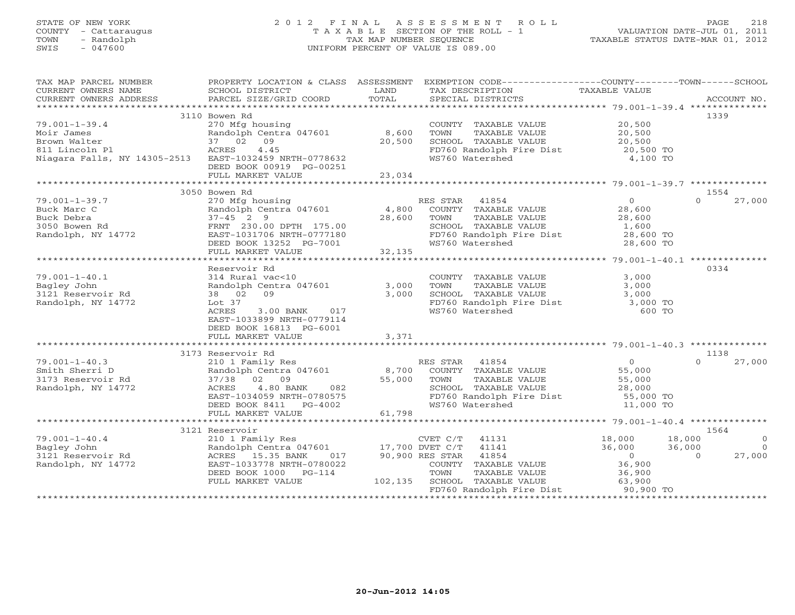## STATE OF NEW YORK 2 0 1 2 F I N A L A S S E S S M E N T R O L L PAGE 218 COUNTY - Cattaraugus T A X A B L E SECTION OF THE ROLL - 1 VALUATION DATE-JUL 01, 2011 TOWN - Randolph TAX MAP NUMBER SEQUENCE TAXABLE STATUS DATE-MAR 01, 2012 SWIS - 047600 UNIFORM PERCENT OF VALUE IS 089.00UNIFORM PERCENT OF VALUE IS 089.00

| TAX MAP PARCEL NUMBER                                                                                                                                                                                                                |                                                                                                             |                        | PROPERTY LOCATION & CLASS  ASSESSMENT  EXEMPTION CODE-----------------COUNTY-------TOWN------SCHOOL                                                                                            |                  |                    |
|--------------------------------------------------------------------------------------------------------------------------------------------------------------------------------------------------------------------------------------|-------------------------------------------------------------------------------------------------------------|------------------------|------------------------------------------------------------------------------------------------------------------------------------------------------------------------------------------------|------------------|--------------------|
| CURRENT OWNERS NAME                                                                                                                                                                                                                  | SCHOOL DISTRICT                                                                                             | <b>Example 12</b> LAND | TAX DESCRIPTION                                                                                                                                                                                | TAXABLE VALUE    |                    |
| CURRENT OWNERS ADDRESS PARCEL SIZE/GRID COORD TOTAL                                                                                                                                                                                  |                                                                                                             |                        | SPECIAL DISTRICTS                                                                                                                                                                              |                  | ACCOUNT NO.        |
|                                                                                                                                                                                                                                      |                                                                                                             |                        |                                                                                                                                                                                                |                  |                    |
|                                                                                                                                                                                                                                      | 3110 Bowen Rd                                                                                               |                        |                                                                                                                                                                                                |                  | 1339               |
| $79.001 - 1 - 39.4$                                                                                                                                                                                                                  | 270 Mfg housing                                                                                             |                        | COUNTY TAXABLE VALUE                                                                                                                                                                           | 20,500           |                    |
| Moir James                                                                                                                                                                                                                           | Randolph Centra 047601 8,600                                                                                |                        | TAXABLE VALUE 20,500<br>TOWN                                                                                                                                                                   |                  |                    |
| Brown Walter                                                                                                                                                                                                                         | 37 02 09                                                                                                    | 20,500                 |                                                                                                                                                                                                |                  |                    |
| 811 Lincoln Pl                                                                                                                                                                                                                       | ACRES 4.45                                                                                                  |                        |                                                                                                                                                                                                |                  |                    |
| Niagara Falls, NY 14305-2513 EAST-1032459 NRTH-0778632                                                                                                                                                                               |                                                                                                             |                        | WS760 Watershed                                                                                                                                                                                | 4,100 TO         |                    |
|                                                                                                                                                                                                                                      | DEED BOOK 00919 PG-00251                                                                                    |                        |                                                                                                                                                                                                |                  |                    |
|                                                                                                                                                                                                                                      | FULL MARKET VALUE                                                                                           |                        |                                                                                                                                                                                                |                  |                    |
|                                                                                                                                                                                                                                      |                                                                                                             | 23,034                 |                                                                                                                                                                                                |                  |                    |
|                                                                                                                                                                                                                                      |                                                                                                             |                        |                                                                                                                                                                                                |                  |                    |
|                                                                                                                                                                                                                                      | 3050 Bowen Rd                                                                                               |                        |                                                                                                                                                                                                |                  | 1554               |
| $79.001 - 1 - 39.7$                                                                                                                                                                                                                  | 270 Mfg housing                                                                                             |                        | RES STAR 41854                                                                                                                                                                                 | $\overline{0}$   | 27,000<br>$\Omega$ |
| Buck Marc C<br>Buck Debra<br>3050 Bowen Rd<br>Randolph, NY 14772                                                                                                                                                                     | Randolph Centra 047601                                                                                      | $\frac{4,800}{28,600}$ | COUNTY TAXABLE VALUE<br>TOWN      TAXABLE VALUE                                                                                                                                                | 28,600<br>28,600 |                    |
|                                                                                                                                                                                                                                      | $37 - 45$ 2 9                                                                                               |                        |                                                                                                                                                                                                |                  |                    |
|                                                                                                                                                                                                                                      |                                                                                                             |                        |                                                                                                                                                                                                |                  |                    |
|                                                                                                                                                                                                                                      |                                                                                                             |                        |                                                                                                                                                                                                |                  |                    |
|                                                                                                                                                                                                                                      |                                                                                                             |                        | SCHOOL TAXABLE VALUE $1,600$<br>FD760 Randolph Fire Dist 28,600 TO<br>WS760 Watershed 28,600 TO                                                                                                |                  |                    |
|                                                                                                                                                                                                                                      | FRNT 230.00 DPTH 175.00<br>EAST-1031706 NRTH-0777180<br>DEED BOOK 13252 PG-7001<br>FULL MARKET VALUE 32,135 |                        |                                                                                                                                                                                                |                  |                    |
|                                                                                                                                                                                                                                      |                                                                                                             |                        |                                                                                                                                                                                                |                  |                    |
|                                                                                                                                                                                                                                      | Reservoir Rd                                                                                                |                        |                                                                                                                                                                                                |                  | 0334               |
| $79.001 - 1 - 40.1$                                                                                                                                                                                                                  | 314 Rural vac<10                                                                                            |                        |                                                                                                                                                                                                | 3,000            |                    |
| Bagley John                                                                                                                                                                                                                          | 314 Kurdi vacaro<br>Randolph Centra 047601 3,000<br>3 000                                                   |                        | TAXABLE VALUE<br>TOWN                                                                                                                                                                          | 3,000            |                    |
| 3121 Reservoir Rd                                                                                                                                                                                                                    | 38 02 09                                                                                                    | 3,000                  |                                                                                                                                                                                                |                  |                    |
| Randolph, NY 14772                                                                                                                                                                                                                   | Lot 37                                                                                                      |                        |                                                                                                                                                                                                |                  |                    |
|                                                                                                                                                                                                                                      | 3.00 BANK 017<br>ACRES                                                                                      |                        | SCHOOL TAXABLE VALUE<br>FD760 Randolph Fire Dist 3,000 TO<br>WS760 Watershed 600 TO                                                                                                            |                  |                    |
|                                                                                                                                                                                                                                      | EAST-1033899 NRTH-0779114                                                                                   |                        |                                                                                                                                                                                                |                  |                    |
|                                                                                                                                                                                                                                      | DEED BOOK 16813 PG-6001                                                                                     |                        |                                                                                                                                                                                                |                  |                    |
|                                                                                                                                                                                                                                      | FULL MARKET VALUE                                                                                           | 3,371                  |                                                                                                                                                                                                |                  |                    |
|                                                                                                                                                                                                                                      |                                                                                                             |                        |                                                                                                                                                                                                |                  |                    |
|                                                                                                                                                                                                                                      | 3173 Reservoir Rd                                                                                           |                        |                                                                                                                                                                                                |                  | 1138               |
|                                                                                                                                                                                                                                      |                                                                                                             |                        |                                                                                                                                                                                                |                  | 27,000<br>$\cap$   |
| $79.001 - 1 - 40.3$                                                                                                                                                                                                                  |                                                                                                             |                        |                                                                                                                                                                                                |                  |                    |
|                                                                                                                                                                                                                                      |                                                                                                             |                        |                                                                                                                                                                                                |                  |                    |
| 79.001-1-40.3 210 1 Family Res<br>Smith Sherri D<br>3173 Reservoir Rd<br>37/38 02 09                                                                                                                                                 |                                                                                                             |                        | 210 1 Family Res (1894)<br>210 1 Family Res (1894)<br>210 1 Family Res (1894)<br>210 1 Family Res (1894)<br>210 1 Family Res (1896)<br>210 1 Family Res (1896)<br>22 6,000<br>28,000<br>28,000 |                  |                    |
| Randolph, NY 14772                                                                                                                                                                                                                   |                                                                                                             |                        |                                                                                                                                                                                                |                  |                    |
|                                                                                                                                                                                                                                      | ACRES 4.80 BANK 082<br>EAST-1034059 NRTH-0780575<br>DEED BOOK 8411 PG-4002                                  |                        | SCHOOL TAXABLE VALUE 28,000<br>FD760 Randolph Fire Dist 55,000 TO                                                                                                                              |                  |                    |
|                                                                                                                                                                                                                                      |                                                                                                             |                        | WS760 Watershed                                                                                                                                                                                | 11,000 TO        |                    |
|                                                                                                                                                                                                                                      | FULL MARKET VALUE                                                                                           | 61,798                 |                                                                                                                                                                                                |                  |                    |
|                                                                                                                                                                                                                                      |                                                                                                             |                        |                                                                                                                                                                                                |                  |                    |
|                                                                                                                                                                                                                                      | 3121 Reservoir                                                                                              |                        |                                                                                                                                                                                                |                  | 1564               |
|                                                                                                                                                                                                                                      |                                                                                                             |                        |                                                                                                                                                                                                |                  | $\Omega$           |
|                                                                                                                                                                                                                                      |                                                                                                             |                        |                                                                                                                                                                                                |                  | $\Omega$           |
| 79.001-1-40.4 210 1 Family Res CVET C/T 41131 18,000 18,000 18,000<br>Bagley John Randolph Centra 047601 17,700 DVET C/T 41141 36,000 36,000<br>36,000 36,000 ACRES 15.35 BANK 017 90,900 RES STAR 41854 0<br>Randolph, NY 14772 EAS |                                                                                                             |                        | ES STAR 41854 (0)<br>COUNTY TAXABLE VALUE (36,900                                                                                                                                              |                  | 27,000             |
|                                                                                                                                                                                                                                      |                                                                                                             |                        |                                                                                                                                                                                                |                  |                    |
|                                                                                                                                                                                                                                      | DEED BOOK 1000 PG-114                                                                                       |                        |                                                                                                                                                                                                |                  |                    |
|                                                                                                                                                                                                                                      | FULL MARKET VALUE                                                                                           |                        | G-114 TOWN TAXABLE VALUE $36,900$<br>102,135 SCHOOL TAXABLE VALUE 63,900                                                                                                                       |                  |                    |
|                                                                                                                                                                                                                                      |                                                                                                             |                        | FD760 Randolph Fire Dist 90,900 TO                                                                                                                                                             |                  |                    |
|                                                                                                                                                                                                                                      |                                                                                                             |                        |                                                                                                                                                                                                |                  |                    |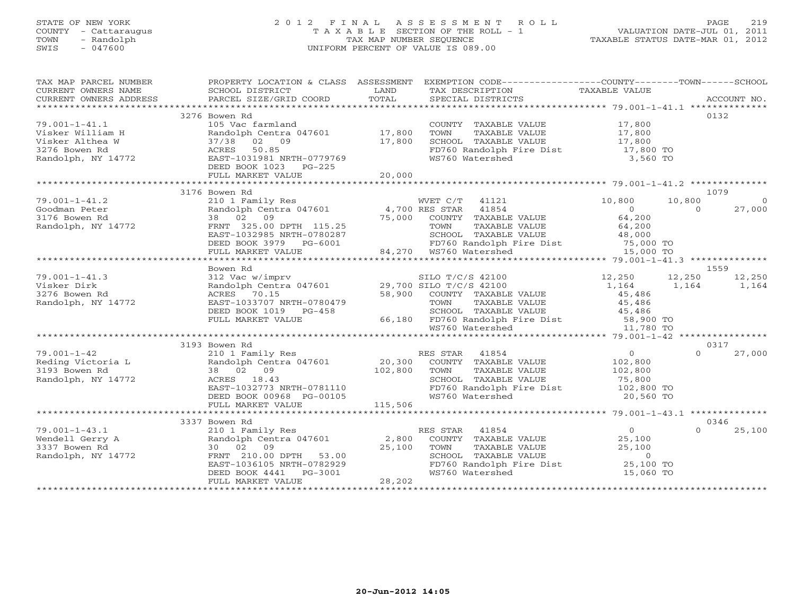## STATE OF NEW YORK 2 0 1 2 F I N A L A S S E S S M E N T R O L L PAGE 219 COUNTY - Cattaraugus T A X A B L E SECTION OF THE ROLL - 1 VALUATION DATE-JUL 01, 2011 TOWN - Randolph TAX MAP NUMBER SEQUENCE TAXABLE STATUS DATE-MAR 01, 2012 SWIS - 047600 UNIFORM PERCENT OF VALUE IS 089.00UNIFORM PERCENT OF VALUE IS 089.00

| TAX MAP PARCEL NUMBER<br>CURRENT OWNERS NAME         | <b>Example 19 The LAND</b><br>SCHOOL DISTRICT                                                            |                       | PROPERTY LOCATION & CLASS ASSESSMENT EXEMPTION CODE----------------COUNTY-------TOWN------SCHOOL<br>TAX DESCRIPTION         | TAXABLE VALUE     |          |                |
|------------------------------------------------------|----------------------------------------------------------------------------------------------------------|-----------------------|-----------------------------------------------------------------------------------------------------------------------------|-------------------|----------|----------------|
|                                                      |                                                                                                          |                       |                                                                                                                             |                   |          |                |
|                                                      | 3276 Bowen Rd                                                                                            |                       |                                                                                                                             |                   |          | 0132           |
| $79.001 - 1 - 41.1$                                  | 105 Vac farmland                                                                                         |                       | COUNTY TAXABLE VALUE 17,800                                                                                                 |                   |          |                |
| Visker William H                                     | Randolph Centra 047601 17,800                                                                            |                       | TOWN<br>TAXABLE VALUE                                                                                                       | 17,800            |          |                |
|                                                      | 37/38 02 09                                                                                              | 17,800                | SCHOOL TAXABLE VALUE                                                                                                        | 17,800            |          |                |
|                                                      | ACRES 50.85                                                                                              |                       | FD760 Randolph Fire Dist 17,800 TO                                                                                          |                   |          |                |
|                                                      | EAST-1031981 NRTH-0779769                                                                                |                       | WS760 Watershed                                                                                                             | 3,560 TO          |          |                |
|                                                      | DEED BOOK 1023 PG-225                                                                                    |                       |                                                                                                                             |                   |          |                |
| Bowen Rd<br>Randolph, NY 14772<br>**********         | FULL MARKET VALUE                                                                                        | 20,000                |                                                                                                                             |                   |          |                |
|                                                      | 3176 Bowen Rd                                                                                            |                       |                                                                                                                             |                   |          | 1079           |
| $79.001 - 1 - 41.2$                                  | 210 1 Family Res                                                                                         |                       | WVET C/T 41121                                                                                                              | 10,800            | 10,800   | $\overline{0}$ |
| Goodman Peter                                        |                                                                                                          |                       |                                                                                                                             | $\overline{0}$    | $\Omega$ | 27,000         |
| Goodman Peter<br>3176 Bowen Rd<br>Randolph, NY 14772 |                                                                                                          |                       |                                                                                                                             | 64,200            |          |                |
|                                                      |                                                                                                          |                       |                                                                                                                             |                   |          |                |
|                                                      |                                                                                                          |                       |                                                                                                                             |                   |          |                |
|                                                      | DEED BOOK 3979 PG-6001                                                                                   |                       | TOWN TAXABLE VALUE 64,200<br>SCHOOL TAXABLE VALUE 48,000<br>FD760 Randolph Fire Dist 75,000 TO<br>WS760 Watershed 15,000 TO |                   |          |                |
|                                                      | FULL MARKET VALUE                                                                                        |                       | FD760 Randolph F<br>84,270   WS760 Watershed                                                                                |                   |          |                |
|                                                      |                                                                                                          |                       |                                                                                                                             |                   |          |                |
|                                                      | Bowen Rd                                                                                                 |                       |                                                                                                                             |                   |          | 1559           |
| $79.001 - 1 - 41.3$                                  | 312 Vac w/imprv<br>Randolph Centra 047601 29,700 SILO T/C/S 42100<br>RANDIS 2015 29,700 SILO T/C/S 42100 |                       |                                                                                                                             | 12,250            | 12,250   | 12,250         |
| Visker Dirk                                          |                                                                                                          |                       |                                                                                                                             | 1,164             | 1,164    | 1,164          |
| 3276 Bowen Rd                                        | ACRES 70.15                                                                                              |                       | 58,900 COUNTY TAXABLE VALUE                                                                                                 | 45,486            |          |                |
| Randolph, NY 14772                                   | EAST-1033707 NRTH-0780479                                                                                |                       | TAXABLE VALUE<br>TOWN                                                                                                       | 45,486            |          |                |
|                                                      | DEED BOOK 1019 PG-458<br>FULL MARKED VALUE                                                               |                       | SCHOOL TAXABLE VALUE 45,486                                                                                                 |                   |          |                |
|                                                      | FULL MARKET VALUE                                                                                        |                       | 66,180 FD760 Randolph Fire Dist 58,900 TO<br>WS760 Watershed 11,780 TO                                                      |                   |          |                |
|                                                      |                                                                                                          |                       |                                                                                                                             |                   |          |                |
|                                                      |                                                                                                          |                       |                                                                                                                             |                   |          |                |
|                                                      | 3193 Bowen Rd                                                                                            |                       |                                                                                                                             |                   |          | 0317           |
| $79.001 - 1 - 42$                                    | 210 1 Family Res<br>Randolph Centra 047601 20,300                                                        |                       | RES STAR 41854                                                                                                              | 0                 | $\Omega$ | 27,000         |
|                                                      |                                                                                                          |                       | COUNTY TAXABLE VALUE                                                                                                        | 102,800           |          |                |
|                                                      | 38 02 09                                                                                                 | 102,800               | TAXABLE VALUE<br>TOWN                                                                                                       | 102,800<br>75,800 |          |                |
| Randolph, NY 14772                                   | ACRES 18.43                                                                                              |                       | SCHOOL TAXABLE VALUE                                                                                                        |                   |          |                |
|                                                      | EAST-1032773 NRTH-0781110                                                                                |                       | FD760 Randolph Fire Dist 102,800 TO                                                                                         |                   |          |                |
|                                                      | DEED BOOK 00968 PG-00105                                                                                 |                       | WS760 Watershed                                                                                                             | 20,560 TO         |          |                |
|                                                      |                                                                                                          |                       |                                                                                                                             |                   |          |                |
|                                                      | 3337 Bowen Rd                                                                                            |                       |                                                                                                                             |                   |          | 0346           |
| $79.001 - 1 - 43.1$                                  |                                                                                                          |                       | RES STAR 41854                                                                                                              | $\overline{0}$    |          | 25,100         |
| Wendell Gerry A                                      | 210 1 Family Res<br>Randolph Centra 047601 2,800                                                         |                       | COUNTY TAXABLE VALUE 25,100                                                                                                 |                   |          |                |
| 3337 Bowen Rd                                        | 30 02 09                                                                                                 | $2\overline{5}$ , 100 | TOWN<br>TAXABLE VALUE                                                                                                       | 25,100            |          |                |
| Randolph, NY 14772                                   |                                                                                                          |                       | SCHOOL TAXABLE VALUE                                                                                                        | $\overline{0}$    |          |                |
|                                                      | FRNT 210.00 DPTH 53.00<br>EAST-1036105 NRTH-0782929<br>DEED BOOK 4441 PG-3001                            |                       | $FD760$ Randolph Fire Dist 25,100 TO                                                                                        |                   |          |                |
|                                                      |                                                                                                          |                       | WS760 Watershed                                                                                                             | 15,060 TO         |          |                |
|                                                      | FULL MARKET VALUE                                                                                        | 28,202                |                                                                                                                             |                   |          |                |
|                                                      |                                                                                                          |                       |                                                                                                                             |                   |          |                |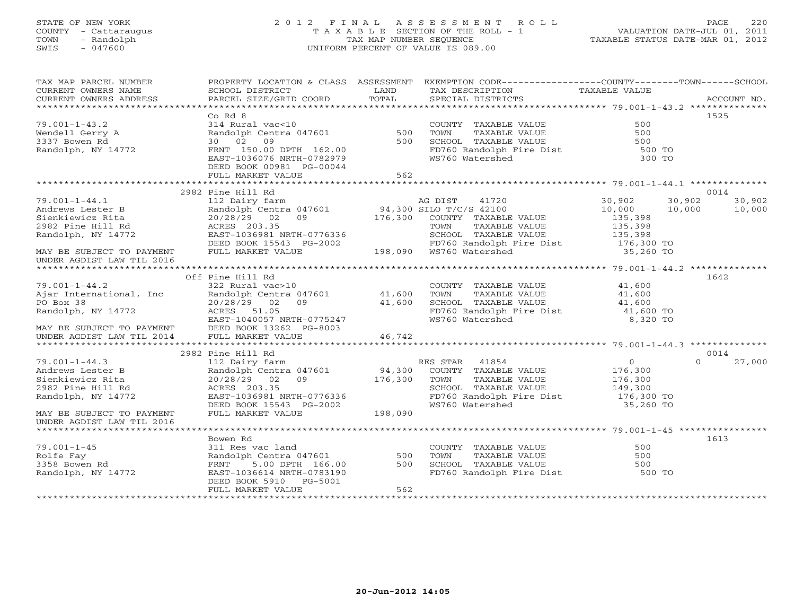## STATE OF NEW YORK 2 0 1 2 F I N A L A S S E S S M E N T R O L L PAGE 220 COUNTY - Cattaraugus T A X A B L E SECTION OF THE ROLL - 1 VALUATION DATE-JUL 01, 2011 TOWN - Randolph TAX MAP NUMBER SEQUENCE TAXABLE STATUS DATE-MAR 01, 2012 SWIS - 047600 UNIFORM PERCENT OF VALUE IS 089.00UNIFORM PERCENT OF VALUE IS 089.00

| TAX MAP PARCEL NUMBER<br>CURRENT OWNERS NAME<br>CURRENT OWNERS ADDRESS | <b>Example 12</b> LAND<br>SCHOOL DISTRICT<br>PARCEL SIZE/GRID COORD                                               | TOTAL   | PROPERTY LOCATION & CLASS ASSESSMENT EXEMPTION CODE---------------COUNTY-------TOWN------SCHOOL<br>TAX DESCRIPTION<br>SPECIAL DISTRICTS | TAXABLE VALUE                                               | ACCOUNT NO.        |
|------------------------------------------------------------------------|-------------------------------------------------------------------------------------------------------------------|---------|-----------------------------------------------------------------------------------------------------------------------------------------|-------------------------------------------------------------|--------------------|
|                                                                        |                                                                                                                   |         |                                                                                                                                         |                                                             |                    |
| $79.001 - 1 - 43.2$                                                    | Co Rd 8<br>314 Rural vac<10                                                                                       |         |                                                                                                                                         | 500                                                         | 1525               |
| Wendell Gerry A                                                        | Randolph Centra 047601                                                                                            | 500     | COUNTY TAXABLE VALUE<br>TOWN<br>TAXABLE VALUE                                                                                           | 500                                                         |                    |
| 3337 Bowen Rd                                                          | 30 02 09                                                                                                          | 500     | SCHOOL TAXABLE VALUE                                                                                                                    | 500                                                         |                    |
| Randolph, NY 14772                                                     | FRNT 150.00 DPTH 162.00                                                                                           |         | FD760 Randolph Fire Dist 500 TO                                                                                                         |                                                             |                    |
|                                                                        | EAST-1036076 NRTH-0782979                                                                                         |         | WS760 Watershed                                                                                                                         | 300 TO                                                      |                    |
|                                                                        | DEED BOOK 00981 PG-00044                                                                                          |         |                                                                                                                                         |                                                             |                    |
|                                                                        | FULL MARKET VALUE                                                                                                 | 562     |                                                                                                                                         |                                                             |                    |
|                                                                        |                                                                                                                   |         |                                                                                                                                         | ***************************** 79.001-1-44.1 *************** |                    |
|                                                                        | 2982 Pine Hill Rd                                                                                                 |         |                                                                                                                                         |                                                             | 0014               |
| $79.001 - 1 - 44.1$                                                    | 112 Dairy farm<br>Randolph Centra 047601 94,300 SILO T/C/S 42100<br>20/28/29 02 09 176,300 COUNTY TAXABLE         |         |                                                                                                                                         | 30,902                                                      | 30,902<br>30,902   |
| Andrews Lester B                                                       |                                                                                                                   |         |                                                                                                                                         | 10,000                                                      | 10,000<br>10,000   |
| Sienkiewicz Rita                                                       |                                                                                                                   |         | COUNTY TAXABLE VALUE                                                                                                                    | 135,398<br>135,398                                          |                    |
| 2982 Pine Hill Rd<br>Randolph, NY 14772                                | ACRES 203.35<br>EAST-1036981 NRTH-0776336                                                                         |         | TAXABLE VALUE<br>TOWN<br>SCHOOL TAXABLE VALUE                                                                                           |                                                             |                    |
|                                                                        |                                                                                                                   |         |                                                                                                                                         | 135,398<br>176,300 TO                                       |                    |
| MAY BE SUBJECT TO PAYMENT                                              | EAST-1000001 MARIE 2002<br>DEED BOOK 15543 PG-2002 FD/60 Kanuoipa 2<br>ENTIT MARKET VALUE 198,090 WS760 Watershed |         | FD760 Randolph Fire Dist<br>WS760 Watershed                                                                                             | 35,260 TO                                                   |                    |
| UNDER AGDIST LAW TIL 2016                                              |                                                                                                                   |         |                                                                                                                                         |                                                             |                    |
|                                                                        |                                                                                                                   |         |                                                                                                                                         |                                                             |                    |
|                                                                        | Off Pine Hill Rd                                                                                                  |         |                                                                                                                                         |                                                             | 1642               |
| $79.001 - 1 - 44.2$                                                    | 322 Rural vac>10                                                                                                  |         | COUNTY TAXABLE VALUE                                                                                                                    | 41,600                                                      |                    |
| Ajar International, Inc                                                | Randolph Centra 047601 41,600                                                                                     |         | TAXABLE VALUE<br>TOWN                                                                                                                   | 41,600                                                      |                    |
| PO Box 38                                                              | 20/28/29 02<br>09                                                                                                 | 41,600  | SCHOOL TAXABLE VALUE                                                                                                                    | 41,600<br>41,600 TO                                         |                    |
| Randolph, NY 14772                                                     | ACRES 51.05                                                                                                       |         | FD760 Randolph Fire Dist<br>WS760 Watershed                                                                                             |                                                             |                    |
|                                                                        | EAST-1040057 NRTH-0775247                                                                                         |         | WS760 Watershed                                                                                                                         | 8,320 TO                                                    |                    |
| MAY BE SUBJECT TO PAYMENT                                              | DEED BOOK 13262 PG-8003<br>FULL MARKET VALUE                                                                      | 46,742  |                                                                                                                                         |                                                             |                    |
| UNDER AGDIST LAW TIL 2014                                              |                                                                                                                   |         |                                                                                                                                         |                                                             |                    |
|                                                                        | 2982 Pine Hill Rd                                                                                                 |         |                                                                                                                                         |                                                             | 0014               |
| $79.001 - 1 - 44.3$                                                    | 112 Dairy farm                                                                                                    |         | RES STAR 41854                                                                                                                          | $\overline{0}$                                              | $\Omega$<br>27,000 |
| Andrews Lester B                                                       |                                                                                                                   |         | Randolph Centra 047601 94,300 COUNTY TAXABLE VALUE                                                                                      |                                                             |                    |
| Sienkiewicz Rita                                                       | 20/28/29 02 09                                                                                                    | 176,300 | TOWN<br>TAXABLE VALUE                                                                                                                   | 176,300<br>176,300                                          |                    |
| 2982 Pine Hill Rd                                                      | ACRES 203.35                                                                                                      |         | SCHOOL TAXABLE VALUE                                                                                                                    | 149,300<br>st 176,300 TO                                    |                    |
| Randolph, NY 14772                                                     | EAST-1036981 NRTH-0776336                                                                                         |         | FD760 Randolph Fire Dist                                                                                                                |                                                             |                    |
|                                                                        | DEED BOOK 15543 PG-2002<br>FULL MARKET VALUE 198,090                                                              |         | WS760 Watershed                                                                                                                         | 35,260 TO                                                   |                    |
| MAY BE SUBJECT TO PAYMENT                                              |                                                                                                                   |         |                                                                                                                                         |                                                             |                    |
| UNDER AGDIST LAW TIL 2016                                              |                                                                                                                   |         |                                                                                                                                         |                                                             |                    |
|                                                                        | Bowen Rd                                                                                                          |         |                                                                                                                                         |                                                             | 1613               |
| $79.001 - 1 - 45$                                                      | 311 Res vac land                                                                                                  |         | COUNTY TAXABLE VALUE                                                                                                                    | 500                                                         |                    |
| Rolfe Fay                                                              | Randolph Centra 047601                                                                                            | 500     | TOWN<br>TAXABLE VALUE                                                                                                                   | 500                                                         |                    |
| 3358 Bowen Rd                                                          | FRNT 5.00 DPTH 166.00                                                                                             | 500     | SCHOOL TAXABLE VALUE                                                                                                                    | 500                                                         |                    |
| Randolph, NY 14772                                                     | EAST-1036614 NRTH-0783190                                                                                         |         | FD760 Randolph Fire Dist 500 TO                                                                                                         |                                                             |                    |
|                                                                        | DEED BOOK 5910 PG-5001                                                                                            |         |                                                                                                                                         |                                                             |                    |
|                                                                        | FULL MARKET VALUE                                                                                                 | 562     |                                                                                                                                         |                                                             |                    |
|                                                                        |                                                                                                                   |         |                                                                                                                                         |                                                             |                    |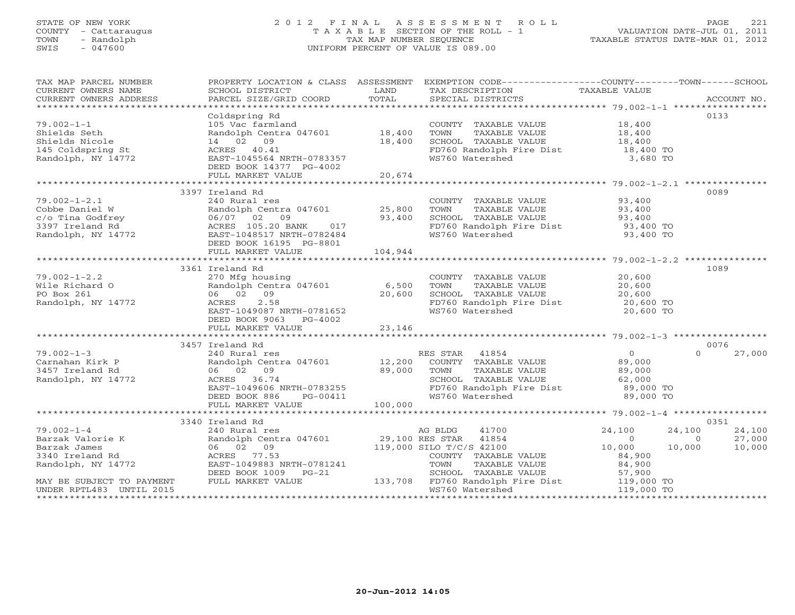#### STATE OF NEW YORK 2 0 1 2 F I N A L A S S E S S M E N T R O L L PAGE 221 COUNTY - Cattaraugus T A X A B L E SECTION OF THE ROLL - 1 VALUATION DATE-JUL 01, 2011 TOWN - Randolph TAX MAP NUMBER SEQUENCE TAXABLE STATUS DATE-MAR 01, 2012 SWIS - 047600 UNIFORM PERCENT OF VALUE IS 089.00UNIFORM PERCENT OF VALUE IS 089.00

| TAX MAP PARCEL NUMBER<br>CURRENT OWNERS NAME<br>CURRENT OWNERS ADDRESS                                                                                         | SCHOOL DISTRICT<br>PARCEL SIZE/GRID COORD                                         | LAND<br>TOTAL | PROPERTY LOCATION & CLASS ASSESSMENT EXEMPTION CODE----------------COUNTY-------TOWN------SCHOOL<br>TAX DESCRIPTION TAXABLE VALUE<br>SPECIAL DISTRICTS |                  | ACCOUNT NO.              |
|----------------------------------------------------------------------------------------------------------------------------------------------------------------|-----------------------------------------------------------------------------------|---------------|--------------------------------------------------------------------------------------------------------------------------------------------------------|------------------|--------------------------|
|                                                                                                                                                                |                                                                                   |               |                                                                                                                                                        |                  | 0133                     |
|                                                                                                                                                                | Coldspring Rd<br>105 Vac farmland                                                 |               | COUNTY TAXABLE VALUE 18,400                                                                                                                            |                  |                          |
| $79.002 - 1 - 1$                                                                                                                                               |                                                                                   |               |                                                                                                                                                        |                  |                          |
| Shields Seth                                                                                                                                                   | Randolph Centra 047601 18,400                                                     |               | TOWN<br>TAXABLE VALUE 18,400<br>TAXABLE VALUE 18,400                                                                                                   |                  |                          |
| Shields Nicole                                                                                                                                                 | 14 02 09                                                                          | 18,400        | SCHOOL TAXABLE VALUE                                                                                                                                   |                  |                          |
| 145 Coldspring St<br>Randolph, NY 14772                                                                                                                        | ACRES 40.41<br>EAST-1045564 NRTH-0783357                                          |               | FD760 Randolph Fire Dist 18,400 TO<br>WS760 Watershed                                                                                                  | 3,680 TO         |                          |
|                                                                                                                                                                |                                                                                   |               |                                                                                                                                                        |                  |                          |
|                                                                                                                                                                | DEED BOOK 14377 PG-4002<br>FULL MARKET VALUE                                      | 20,674        |                                                                                                                                                        |                  |                          |
|                                                                                                                                                                |                                                                                   |               |                                                                                                                                                        |                  |                          |
|                                                                                                                                                                | 3397 Ireland Rd                                                                   |               |                                                                                                                                                        |                  | 0089                     |
|                                                                                                                                                                |                                                                                   |               |                                                                                                                                                        |                  |                          |
| $79.002 - 1 - 2.1$                                                                                                                                             | 240 Rural res<br>Randolph Centra 047601 25,800                                    |               | COUNTY TAXABLE VALUE                                                                                                                                   | 93,400<br>93,400 |                          |
| Cobbe Daniel W<br>Cobbe Daniel W  Randolph Centra 047601  25,800<br>25,800<br>27  27  27  27  28  28  28  29  29  29<br>27  28  28  28  28  29  29  29  29  29 |                                                                                   |               | TOWN<br>TAXABLE VALUE                                                                                                                                  |                  |                          |
|                                                                                                                                                                |                                                                                   |               | SCHOOL TAXABLE VALUE 503,400<br>FD760 Randolph Fire Dist 503,400 TO<br>WS760 Watershed 503,400 TO                                                      |                  |                          |
|                                                                                                                                                                |                                                                                   |               |                                                                                                                                                        |                  |                          |
|                                                                                                                                                                |                                                                                   |               |                                                                                                                                                        |                  |                          |
|                                                                                                                                                                | DEED BOOK 16195 PG-8801                                                           |               |                                                                                                                                                        |                  |                          |
|                                                                                                                                                                | FULL MARKET VALUE                                                                 | 104,944       |                                                                                                                                                        |                  |                          |
|                                                                                                                                                                |                                                                                   |               |                                                                                                                                                        |                  |                          |
|                                                                                                                                                                | 3361 Ireland Rd                                                                   |               |                                                                                                                                                        |                  | 1089                     |
| $79.002 - 1 - 2.2$                                                                                                                                             | 270 Mfg housing                                                                   |               | COUNTY TAXABLE VALUE                                                                                                                                   | 20,600           |                          |
| Wile Richard O<br>PO Box 261                                                                                                                                   | Randolph Centra 047601 6,500<br>06 02 09 20,600                                   |               | TOWN<br>TAXABLE VALUE                                                                                                                                  | 20,600<br>20,600 |                          |
| PO Box 261                                                                                                                                                     |                                                                                   |               | SCHOOL TAXABLE VALUE                                                                                                                                   |                  |                          |
| Randolph, NY 14772                                                                                                                                             | ACRES 2.58<br>EAST-1049087 NRTH-0781652                                           |               | FD760 Randolph Fire Dist 20,600 TO                                                                                                                     |                  |                          |
|                                                                                                                                                                |                                                                                   |               | WS760 Watershed                                                                                                                                        | 20,600 TO        |                          |
|                                                                                                                                                                | DEED BOOK 9063 PG-4002                                                            |               |                                                                                                                                                        |                  |                          |
|                                                                                                                                                                | FULL MARKET VALUE                                                                 | 23,146        |                                                                                                                                                        |                  |                          |
|                                                                                                                                                                |                                                                                   |               |                                                                                                                                                        |                  |                          |
|                                                                                                                                                                | 3457 Ireland Rd                                                                   |               |                                                                                                                                                        |                  | 0076                     |
| $79.002 - 1 - 3$                                                                                                                                               | 240 Rural res                                                                     |               | RES STAR 41854                                                                                                                                         | 0                | 27,000<br>$\Omega$       |
| Carnahan Kirk P                                                                                                                                                | Randolph Centra 047601 12,200                                                     |               | COUNTY TAXABLE VALUE                                                                                                                                   | 89,000           |                          |
| 3457 Ireland Rd                                                                                                                                                | 89,000<br>06 02 09                                                                |               | TOWN<br>TAXABLE VALUE                                                                                                                                  | 89,000<br>62,000 |                          |
| Randolph, NY 14772                                                                                                                                             | ACRES 36.74                                                                       |               | SCHOOL TAXABLE VALUE                                                                                                                                   |                  |                          |
|                                                                                                                                                                |                                                                                   |               | FD760 Randolph Fire Dist                                                                                                                               | 89,000 TO        |                          |
|                                                                                                                                                                |                                                                                   |               | WS760 Watershed                                                                                                                                        | 89,000 TO        |                          |
|                                                                                                                                                                | FULL MARKET VALUE                                                                 | 100,000       |                                                                                                                                                        |                  |                          |
|                                                                                                                                                                |                                                                                   |               |                                                                                                                                                        |                  |                          |
|                                                                                                                                                                | 3340 Ireland Rd                                                                   |               |                                                                                                                                                        |                  | 0351                     |
| $79.002 - 1 - 4$                                                                                                                                               | 240 Rural res                                                                     |               | 41700<br>AG BLDG                                                                                                                                       | 24,100           | 24,100<br>24,100         |
| Barzak Valorie K                                                                                                                                               | Randolph Centra 047601 29,100 RES STAR 41854<br>06 02 09 119,000 SILO T/C/S 42100 |               |                                                                                                                                                        | $\Omega$         | 27,000<br>$\overline{0}$ |
| Barzak James                                                                                                                                                   |                                                                                   |               |                                                                                                                                                        | 10,000           | 10,000<br>10,000         |
| 3340 Ireland Rd                                                                                                                                                | ACRES 77.53                                                                       |               | COUNTY TAXABLE VALUE                                                                                                                                   | 84,900           |                          |
| Randolph, NY 14772                                                                                                                                             | EAST-1049883 NRTH-0781241                                                         |               | TOWN<br>TAXABLE VALUE                                                                                                                                  | 84,900           |                          |
|                                                                                                                                                                | DEED BOOK 1009 PG-21                                                              |               | 3-21 SCHOOL TAXABLE VALUE 57,900<br>133,708 FD760 Randolph Fire Dist 119,000 TO                                                                        |                  |                          |
| MAY BE SUBJECT TO PAYMENT                                                                                                                                      | FULL MARKET VALUE                                                                 |               |                                                                                                                                                        |                  |                          |
| UNDER RPTL483 UNTIL 2015                                                                                                                                       |                                                                                   |               | WS760 Watershed                                                                                                                                        | 119,000 TO       |                          |
|                                                                                                                                                                |                                                                                   |               |                                                                                                                                                        |                  |                          |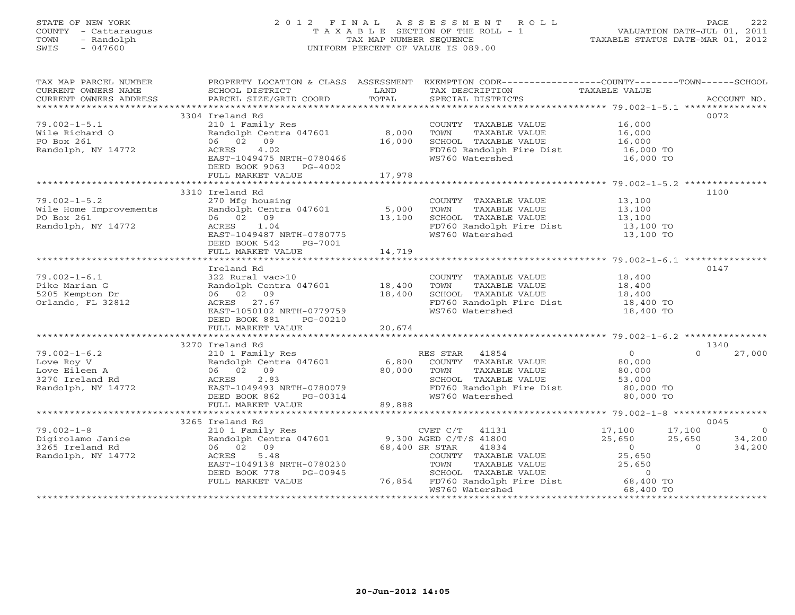## STATE OF NEW YORK 2 0 1 2 F I N A L A S S E S S M E N T R O L L PAGE 222 COUNTY - Cattaraugus T A X A B L E SECTION OF THE ROLL - 1 VALUATION DATE-JUL 01, 2011 TOWN - Randolph TAX MAP NUMBER SEQUENCE TAXABLE STATUS DATE-MAR 01, 2012 SWIS - 047600 UNIFORM PERCENT OF VALUE IS 089.00UNIFORM PERCENT OF VALUE IS 089.00

| TAX MAP PARCEL NUMBER<br>CURRENT OWNERS NAME<br>CURRENT OWNERS ADDRESS           | SCHOOL DISTRICT<br>PARCEL SIZE/GRID COORD                                                                                                               | LAND<br>TOTAL              | PROPERTY LOCATION & CLASS ASSESSMENT EXEMPTION CODE---------------COUNTY-------TOWN------SCHOOL<br>TAX DESCRIPTION<br>SPECIAL DISTRICTS | TAXABLE VALUE                                                      | ACCOUNT NO.                                                        |
|----------------------------------------------------------------------------------|---------------------------------------------------------------------------------------------------------------------------------------------------------|----------------------------|-----------------------------------------------------------------------------------------------------------------------------------------|--------------------------------------------------------------------|--------------------------------------------------------------------|
| ************************                                                         |                                                                                                                                                         |                            |                                                                                                                                         |                                                                    |                                                                    |
|                                                                                  | 3304 Ireland Rd                                                                                                                                         |                            |                                                                                                                                         |                                                                    | 0072                                                               |
| $79.002 - 1 - 5.1$<br>Wile Richard O<br>PO Box 261                               | 210 1 Family Res<br>Randolph Centra 047601<br>06 02 09                                                                                                  | 8,000<br>16,000            | COUNTY TAXABLE VALUE<br>TOWN<br>TAXABLE VALUE<br>SCHOOL TAXABLE VALUE                                                                   | 16,000<br>16,000<br>16,000                                         |                                                                    |
| Randolph, NY 14772                                                               | 4.02<br>ACRES<br>EAST-1049475 NRTH-0780466<br>DEED BOOK 9063 PG-4002<br>FULL MARKET VALUE                                                               | 17,978                     | FD760 Randolph Fire Dist<br>WS760 Watershed                                                                                             | 16,000 TO<br>16,000 TO                                             |                                                                    |
|                                                                                  |                                                                                                                                                         |                            |                                                                                                                                         |                                                                    |                                                                    |
|                                                                                  | 3310 Ireland Rd                                                                                                                                         |                            |                                                                                                                                         |                                                                    | 1100                                                               |
| $79.002 - 1 - 5.2$<br>Wile Home Improvements<br>PO Box 261<br>Randolph, NY 14772 | 270 Mfg housing<br>Randolph Centra 047601<br>06 02 09<br>ACRES<br>1.04<br>EAST-1049487 NRTH-0780775<br>DEED BOOK 542<br>PG-7001                         | 5,000<br>13,100            | COUNTY TAXABLE VALUE<br>TOWN<br>TAXABLE VALUE<br>SCHOOL TAXABLE VALUE<br>FD760 Randolph Fire Dist<br>WS760 Watershed                    | 13,100<br>13,100<br>13,100<br>13,100 TO<br>13,100 TO               |                                                                    |
|                                                                                  | FULL MARKET VALUE                                                                                                                                       | 14,719                     |                                                                                                                                         |                                                                    |                                                                    |
|                                                                                  | Ireland Rd                                                                                                                                              |                            |                                                                                                                                         |                                                                    | 0147                                                               |
| $79.002 - 1 - 6.1$<br>Pike Marian G<br>5205 Kempton Dr<br>Orlando, FL 32812      | 322 Rural vac>10<br>Randolph Centra 047601<br>06 02<br>09<br>ACRES 27.67<br>EAST-1050102 NRTH-0779759<br>DEED BOOK 881<br>PG-00210<br>FULL MARKET VALUE | 18,400<br>18,400<br>20,674 | COUNTY TAXABLE VALUE<br>TOWN<br>TAXABLE VALUE<br>SCHOOL TAXABLE VALUE<br>FD760 Randolph Fire Dist<br>WS760 Watershed                    | 18,400<br>18,400<br>18,400<br>18,400 TO<br>18,400 TO               |                                                                    |
|                                                                                  |                                                                                                                                                         |                            |                                                                                                                                         |                                                                    |                                                                    |
| $79.002 - 1 - 6.2$                                                               | 3270 Ireland Rd<br>210 1 Family Res                                                                                                                     |                            | RES STAR 41854                                                                                                                          | $\overline{O}$                                                     | 1340<br>$\Omega$<br>27,000                                         |
| Love Roy V<br>Love Eileen A<br>3270 Ireland Rd<br>Randolph, NY 14772             | Randolph Centra 047601<br>06 02 09<br>2.83<br>ACRES<br>EAST-1049493 NRTH-0780079<br>DEED BOOK 862<br>PG-00314<br>FULL MARKET VALUE                      | 6,800<br>80,000<br>89,888  | COUNTY TAXABLE VALUE<br>TOWN<br>TAXABLE VALUE<br>SCHOOL TAXABLE VALUE<br>FD760 Randolph Fire Dist<br>WS760 Watershed                    | 80,000<br>80,000<br>53,000<br>80,000 TO<br>80,000 TO               |                                                                    |
|                                                                                  |                                                                                                                                                         |                            |                                                                                                                                         |                                                                    |                                                                    |
|                                                                                  | 3265 Ireland Rd                                                                                                                                         |                            |                                                                                                                                         |                                                                    | 0045                                                               |
| $79.002 - 1 - 8$<br>Digirolamo Janice<br>3265 Ireland Rd<br>Randolph, NY 14772   | 210 1 Family Res<br>Randolph Centra 047601<br>06 02 09<br>5.48<br>ACRES<br>EAST-1049138 NRTH-0780230<br>DEED BOOK 778<br>PG-00945                       | 68,400 SR STAR             | CVET $C/T$ 41131<br>9,300 AGED C/T/S 41800<br>41834<br>COUNTY TAXABLE VALUE<br>TAXABLE VALUE<br>TOWN<br>SCHOOL TAXABLE VALUE            | 17,100<br>25,650<br>$\overline{0}$<br>25,650<br>25,650<br>$\sim$ 0 | 17,100<br>$\overline{0}$<br>25,650<br>34,200<br>34,200<br>$\Omega$ |
|                                                                                  | FULL MARKET VALUE                                                                                                                                       | 76,854                     | FD760 Randolph Fire Dist<br>WS760 Watershed                                                                                             | 68,400 TO<br>68,400 TO                                             |                                                                    |
|                                                                                  |                                                                                                                                                         |                            |                                                                                                                                         |                                                                    |                                                                    |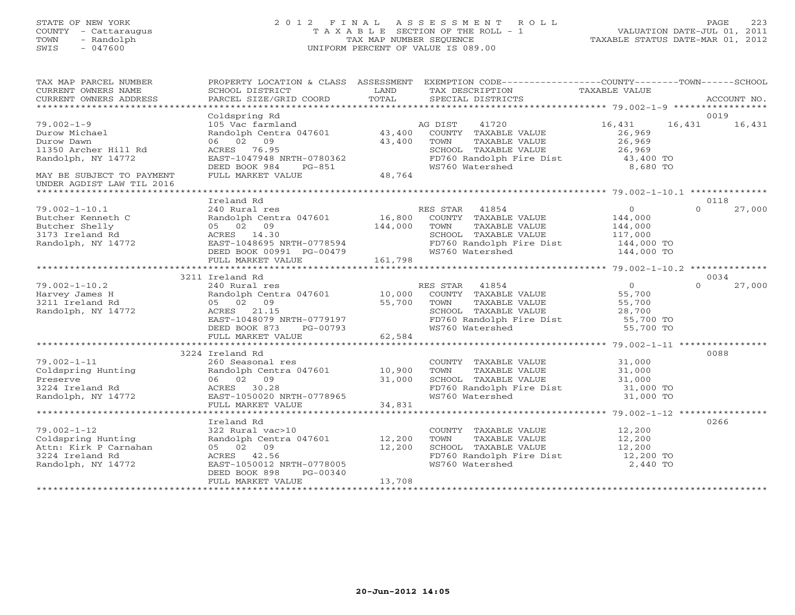# STATE OF NEW YORK 2 0 1 2 F I N A L A S S E S S M E N T R O L L PAGE 223 COUNTY - Cattaraugus T A X A B L E SECTION OF THE ROLL - 1 VALUATION DATE-JUL 01, 2011 TOWN - Randolph TAX MAP NUMBER SEQUENCE TAXABLE STATUS DATE-MAR 01, 2012 SWIS - 047600 UNIFORM PERCENT OF VALUE IS 089.00

| TAX MAP PARCEL NUMBER<br>CURRENT OWNERS NAME<br>CURRENT OWNERS ADDRESS                                                                                  | SCHOOL DISTRICT<br>PARCEL SIZE/GRID COORD                                                                                                                                                  | LAND<br>TOTAL      | PROPERTY LOCATION & CLASS ASSESSMENT EXEMPTION CODE----------------COUNTY-------TOWN------SCHOOL<br>TAX DESCRIPTION TAXABLE VALUE<br>SPECIAL DISTRICTS                                                                                   |                                                    | ACCOUNT NO.                |
|---------------------------------------------------------------------------------------------------------------------------------------------------------|--------------------------------------------------------------------------------------------------------------------------------------------------------------------------------------------|--------------------|------------------------------------------------------------------------------------------------------------------------------------------------------------------------------------------------------------------------------------------|----------------------------------------------------|----------------------------|
| $79.002 - 1 - 9$<br>Durow Michael<br>Durow Dawn<br>11350 Archer Hill Rd<br>Randolph, NY 14772<br>MAY BE SUBJECT TO PAYMENT<br>UNDER AGDIST LAW TIL 2016 | Coldspring Rd<br>105 Vac farmland<br>Randolph Centra 047601 43,400<br>06 02 09<br>ACRES 76.95<br>EAST-1047948 NRTH-0780362<br>DEED BOOK 984 PG-851<br>FULL MARKET VALUE                    | 43,400<br>48,764   | AG DIST<br>41720<br>COUNTY TAXABLE VALUE<br>TOWN<br>TOWN      TAXABLE VALUE<br>SCHOOL   TAXABLE VALUE<br>FD760 Randolph Fire Dist 43,400 TO<br>WS760 Watershed 8,680 TO                                                                  | 16,431<br>26,969<br>26,969<br>ره, ۵۵<br>26,969     | 0019<br>16,431<br>16,431   |
|                                                                                                                                                         |                                                                                                                                                                                            |                    |                                                                                                                                                                                                                                          |                                                    |                            |
| $79.002 - 1 - 10.1$<br>Butcher Kenneth C<br>Butcher Shelly<br>3173 Ireland Rd<br>Randolph, NY 14772                                                     | Ireland Rd<br>240 Rural res<br>Randolph Centra 047601 16,800 COUNTY TAXABLE VALUE<br>05 02 09<br>ACRES 14.30<br>EAST-1048695 NRTH-0778594<br>DEED BOOK 00991 PG-00479<br>FULL MARKET VALUE | 144,000<br>161,798 | RES STAR 41854<br>TAXABLE VALUE<br>TOWN<br>SCHOOL TAXABLE VALUE 117,000<br>FD760 Randolph Fire Dist 144,000 TO<br>WS760 Watershed                                                                                                        | $\overline{0}$<br>144,000<br>144,000<br>144,000 TO | 0118<br>$\Omega$<br>27,000 |
|                                                                                                                                                         |                                                                                                                                                                                            |                    |                                                                                                                                                                                                                                          |                                                    |                            |
| $79.002 - 1 - 10.2$<br>Harvey James H<br>3211 Ireland Rd<br>Randolph, NY 14772                                                                          | 3211 Ireland Rd<br>240 Rural res<br>Randolph Centra 047601 10,000<br>05 02 09<br>ACRES 21.15<br>ACRES 21.15<br>EAST-1048079 NRTH-0779197<br>DEED BOOK 873 PG-00793<br>FULL MARKET VALUE    | 55,700<br>62,584   | RES STAR<br>TOWN                                                                                                                                                                                                                         |                                                    | 0034<br>$\Omega$<br>27,000 |
|                                                                                                                                                         | 3224 Ireland Rd                                                                                                                                                                            |                    |                                                                                                                                                                                                                                          |                                                    | 0088                       |
| $79.002 - 1 - 11$<br>79.002-1-11<br>Coldspring Hunting<br>Preserve<br>3224 Ireland Rd<br>Randolph, NY 14772                                             | 260 Seasonal res<br>Randolph Centra 047601 10,900<br>06 02 09<br>31,000<br>ACRES 30.28<br>EAST-1050020 NRTH-0778965<br>FULL MARKET VALUE                                                   | 34,831             | $\begin{tabular}{llllll} \multicolumn{2}{c}{\textbf{COUNTY}} & \textbf{TAXABLE VALUE} & & & 31,000 \\ \multicolumn{2}{c}{\textbf{TOWN}} & \textbf{TAXABLE VALUE} & & 31,000 \\ \end{tabular}$<br>SCHOOL TAXABLE VALUE<br>WS760 Watershed | 31,000<br>31,000 TO                                |                            |
|                                                                                                                                                         |                                                                                                                                                                                            |                    |                                                                                                                                                                                                                                          |                                                    |                            |
| $79.002 - 1 - 12$<br>coldspring Hunting<br>Attn: Kirk P Carnahan<br>3224 Ireland Rd<br>Randolph, NY 14772                                               | Ireland Rd<br>322 Rural vac>10<br>Randolph Centra 047601 12,200<br>05 02 09<br>ACRES 42.56<br>EAST-1050012 NRTH-0778005<br>DEED BOOK 898<br>PG-00340<br>FULL MARKET VALUE                  | 12,200<br>13,708   | COUNTY TAXABLE VALUE<br>TOWN     TAXABLE VALUE<br>SCHOOL TAXABLE VALUE 12,200<br>FD760 Randolph Fire Dist 12,200 TO<br>WS760 Watershed                                                                                                   | 12,200<br>12,200<br>2,440 TO                       | 0266                       |
|                                                                                                                                                         |                                                                                                                                                                                            |                    |                                                                                                                                                                                                                                          |                                                    |                            |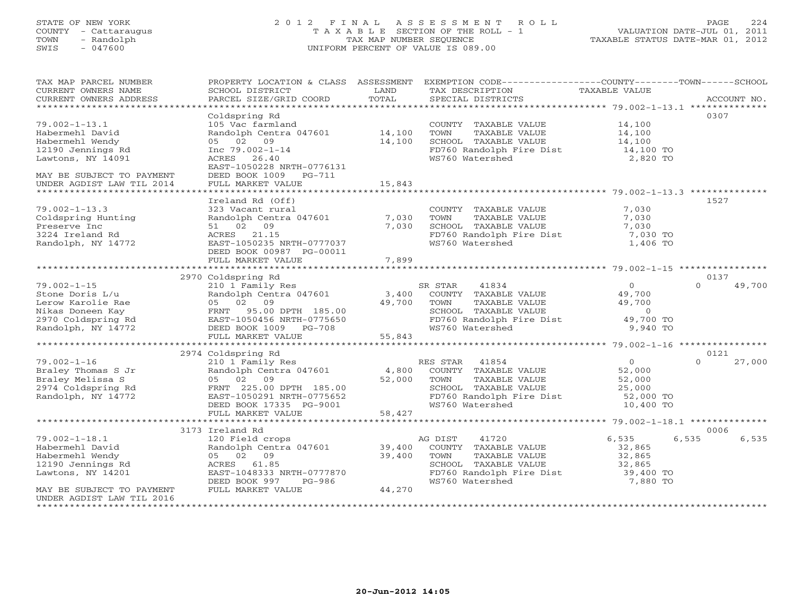## STATE OF NEW YORK 2 0 1 2 F I N A L A S S E S S M E N T R O L L PAGE 224 COUNTY - Cattaraugus T A X A B L E SECTION OF THE ROLL - 1 VALUATION DATE-JUL 01, 2011 TOWN - Randolph TAX MAP NUMBER SEQUENCE TAXABLE STATUS DATE-MAR 01, 2012 SWIS - 047600 UNIFORM PERCENT OF VALUE IS 089.00UNIFORM PERCENT OF VALUE IS 089.00

| TAX MAP PARCEL NUMBER                               | PROPERTY LOCATION & CLASS ASSESSMENT               |        | EXEMPTION CODE-----------------COUNTY-------TOWN-----SCHOOL |                |                    |
|-----------------------------------------------------|----------------------------------------------------|--------|-------------------------------------------------------------|----------------|--------------------|
| CURRENT OWNERS NAME                                 | SCHOOL DISTRICT                                    | LAND   | TAX DESCRIPTION                                             | TAXABLE VALUE  |                    |
| CURRENT OWNERS ADDRESS<br>************************* | PARCEL SIZE/GRID COORD                             | TOTAL  | SPECIAL DISTRICTS                                           |                | ACCOUNT NO.        |
|                                                     |                                                    |        |                                                             |                |                    |
|                                                     | Coldspring Rd                                      |        |                                                             |                | 0307               |
| $79.002 - 1 - 13.1$                                 | 105 Vac farmland                                   |        | COUNTY TAXABLE VALUE                                        | 14,100         |                    |
| Habermehl David                                     | Randolph Centra 047601 14,100                      |        | TOWN<br>TAXABLE VALUE                                       | 14,100         |                    |
| Habermehl Wendy                                     | 05 02 09                                           | 14,100 | SCHOOL TAXABLE VALUE                                        | 14,100         |                    |
| 12190 Jennings Rd                                   | Inc $79.002 - 1 - 14$                              |        | FD760 Randolph Fire Dist                                    | 14,100 TO      |                    |
| Lawtons, NY 14091                                   | ACRES 26.40                                        |        | WS760 Watershed                                             | 2,820 TO       |                    |
|                                                     | EAST-1050228 NRTH-0776131<br>DEED BOOK 1009 PG-711 |        |                                                             |                |                    |
| MAY BE SUBJECT TO PAYMENT                           |                                                    |        |                                                             |                |                    |
| UNDER AGDIST LAW TIL 2014<br>********************   | FULL MARKET VALUE                                  | 15,843 |                                                             |                |                    |
|                                                     | Ireland Rd (Off)                                   |        |                                                             |                | 1527               |
| $79.002 - 1 - 13.3$                                 | 323 Vacant rural                                   |        |                                                             |                |                    |
|                                                     |                                                    | 7,030  | COUNTY TAXABLE VALUE<br>TOWN<br>TAXABLE VALUE               | 7,030<br>7,030 |                    |
| Coldspring Hunting                                  | Randolph Centra 047601                             | 7,030  | SCHOOL TAXABLE VALUE                                        |                |                    |
| Preserve Inc<br>3224 Ireland Rd                     | 51 02 09                                           |        |                                                             | 7,030          |                    |
|                                                     | ACRES 21.15                                        |        | FD760 Randolph Fire Dist                                    | 7,030 TO       |                    |
| Randolph, NY 14772                                  | EAST-1050235 NRTH-0777037                          |        | WS760 Watershed                                             | 1,406 TO       |                    |
|                                                     | DEED BOOK 00987 PG-00011                           |        |                                                             |                |                    |
|                                                     | FULL MARKET VALUE                                  | 7,899  |                                                             |                |                    |
|                                                     | 2970 Coldspring Rd                                 |        |                                                             |                | 0137               |
| $79.002 - 1 - 15$                                   | 210 1 Family Res                                   |        | 41834<br>SR STAR                                            | $\overline{0}$ | 49,700<br>$\Omega$ |
| Stone Doris L/u                                     | Randolph Centra 047601                             | 3,400  | COUNTY TAXABLE VALUE                                        | 49,700         |                    |
| Lerow Karolie Rae                                   | 05 02 09                                           | 49,700 | TAXABLE VALUE<br>TOWN                                       | 49,700         |                    |
| Nikas Doneen Kay                                    | FRNT 95.00 DPTH 185.00                             |        | SCHOOL TAXABLE VALUE                                        | $\circ$        |                    |
| 2970 Coldspring Rd                                  | EAST-1050456 NRTH-0775650                          |        | FD760 Randolph Fire Dist                                    | 49,700 TO      |                    |
| Randolph, NY 14772                                  | DEED BOOK 1009 PG-708                              |        | WS760 Watershed                                             | 9,940 TO       |                    |
|                                                     | FULL MARKET VALUE                                  | 55,843 |                                                             |                |                    |
|                                                     |                                                    |        |                                                             |                |                    |
|                                                     | 2974 Coldspring Rd                                 |        |                                                             |                | 0121               |
| $79.002 - 1 - 16$                                   | 210 1 Family Res                                   |        | RES STAR 41854                                              | $\overline{O}$ | $\Omega$<br>27,000 |
| Braley Thomas S Jr                                  | Randolph Centra 047601                             | 4,800  | COUNTY TAXABLE VALUE                                        | 52,000         |                    |
| Braley Melissa S                                    | 05 02 09                                           | 52,000 | TOWN<br>TAXABLE VALUE                                       | 52,000         |                    |
| 2974 Coldspring Rd                                  | FRNT 225.00 DPTH 185.00                            |        | SCHOOL TAXABLE VALUE                                        | 25,000         |                    |
| Randolph, NY 14772                                  | EAST-1050291 NRTH-0775652                          |        | FD760 Randolph Fire Dist                                    | 52,000 TO      |                    |
|                                                     | DEED BOOK 17335 PG-9001                            |        | WS760 Watershed                                             | 10,400 TO      |                    |
|                                                     | FULL MARKET VALUE                                  | 58,427 |                                                             |                |                    |
|                                                     | **************************                         |        |                                                             |                |                    |
|                                                     | 3173 Ireland Rd                                    |        |                                                             |                | 0006               |
| $79.002 - 1 - 18.1$                                 | 120 Field crops                                    |        | 41720<br>AG DIST                                            | 6,535          | 6,535<br>6,535     |
| Habermehl David                                     | Randolph Centra 047601                             | 39,400 | COUNTY TAXABLE VALUE                                        | 32,865         |                    |
| Habermehl Wendy                                     | 05 02 09                                           | 39,400 | TOWN<br>TAXABLE VALUE                                       | 32,865         |                    |
| 12190 Jennings Rd                                   | ACRES 61.85                                        |        | SCHOOL TAXABLE VALUE                                        | 32,865         |                    |
| Lawtons, NY 14201                                   | EAST-1048333 NRTH-0777870                          |        | FD760 Randolph Fire Dist                                    | 39,400 TO      |                    |
|                                                     | DEED BOOK 997<br>PG-986                            |        | WS760 Watershed                                             | 7,880 TO       |                    |
| MAY BE SUBJECT TO PAYMENT                           | FULL MARKET VALUE                                  | 44,270 |                                                             |                |                    |
| UNDER AGDIST LAW TIL 2016                           |                                                    |        |                                                             |                |                    |
| ************************************                |                                                    |        |                                                             |                |                    |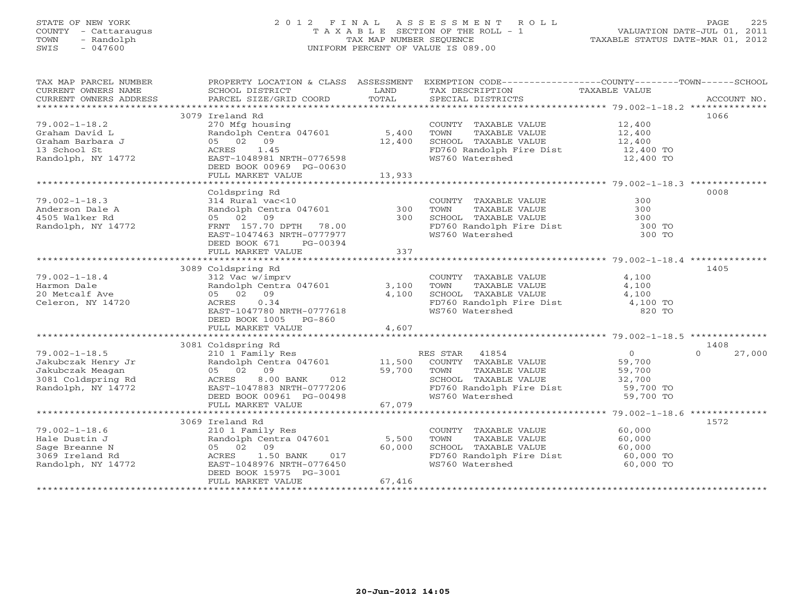## STATE OF NEW YORK 2 0 1 2 F I N A L A S S E S S M E N T R O L L PAGE 225 COUNTY - Cattaraugus T A X A B L E SECTION OF THE ROLL - 1 VALUATION DATE-JUL 01, 2011 TOWN - Randolph TAX MAP NUMBER SEQUENCE TAXABLE STATUS DATE-MAR 01, 2012 SWIS - 047600 UNIFORM PERCENT OF VALUE IS 089.00UNIFORM PERCENT OF VALUE IS 089.00

| TAX MAP PARCEL NUMBER<br>ENGLES AND EXAMPLE SURFAILLY A CONDUCTED MANUEUR CONSUMERT OWNERS NOTIFIES ACCOUNT NO CONSUMERT OWNERS ADDRESS<br>CURRENT OWNERS ADDRESS BARCEL SIZE/GRID COORD TOTAL SPECIAL DISTRICTS ACCOUNT NO.<br>***************************** |                                                                                                |                   | PROPERTY LOCATION & CLASS ASSESSMENT EXEMPTION CODE----------------COUNTY-------TOWN------SCHOOL                                                 |                                               |                  |
|---------------------------------------------------------------------------------------------------------------------------------------------------------------------------------------------------------------------------------------------------------------|------------------------------------------------------------------------------------------------|-------------------|--------------------------------------------------------------------------------------------------------------------------------------------------|-----------------------------------------------|------------------|
|                                                                                                                                                                                                                                                               |                                                                                                |                   |                                                                                                                                                  |                                               |                  |
|                                                                                                                                                                                                                                                               | 3079 Ireland Rd                                                                                |                   |                                                                                                                                                  |                                               | 1066             |
| 79.002-1-18.2                                                                                                                                                                                                                                                 | 270 Mfg housing<br>Randolph Centra 047601 5,400                                                | $5,400$<br>12,400 | COUNTY TAXABLE VALUE 12,400                                                                                                                      |                                               |                  |
| Graham David L                                                                                                                                                                                                                                                |                                                                                                |                   | TAXABLE VALUE<br>TAXABLE VALUE 12,400<br>TAXABLE VALUE 12,400<br>TOWN                                                                            |                                               |                  |
| Graham Barbara J                                                                                                                                                                                                                                              | 05 02 09                                                                                       |                   | SCHOOL TAXABLE VALUE 12,400<br>FD760 Randolph Fire Dist 12,400 TO                                                                                |                                               |                  |
| 13 School St                                                                                                                                                                                                                                                  | 1.45<br>ACRES                                                                                  |                   |                                                                                                                                                  |                                               |                  |
| Randolph, NY 14772                                                                                                                                                                                                                                            | EAST-1048981 NRTH-0776598                                                                      |                   | WS760 Watershed                                                                                                                                  | 12,400 TO                                     |                  |
|                                                                                                                                                                                                                                                               | DEED BOOK 00969 PG-00630<br>FULL MARKET VALUE                                                  |                   |                                                                                                                                                  |                                               |                  |
|                                                                                                                                                                                                                                                               |                                                                                                | 13,933            |                                                                                                                                                  |                                               |                  |
|                                                                                                                                                                                                                                                               | Coldspring Rd                                                                                  |                   |                                                                                                                                                  |                                               | 0008             |
| $79.002 - 1 - 18.3$                                                                                                                                                                                                                                           |                                                                                                |                   | COUNTY TAXABLE VALUE                                                                                                                             | 300                                           |                  |
| Anderson Dale A                                                                                                                                                                                                                                               |                                                                                                |                   |                                                                                                                                                  |                                               |                  |
| 4505 Walker Rd                                                                                                                                                                                                                                                |                                                                                                |                   |                                                                                                                                                  |                                               |                  |
| Randolph, NY 14772                                                                                                                                                                                                                                            |                                                                                                |                   |                                                                                                                                                  |                                               |                  |
|                                                                                                                                                                                                                                                               | FRNT 157.70 DPTH 78.00<br>EAST-1047463 NRTH-0777977                                            |                   | FD760 Randolph Fire Dist 300 TO<br>WS760 Watershed 300 TO                                                                                        |                                               |                  |
|                                                                                                                                                                                                                                                               | DEED BOOK 671<br>PG-00394                                                                      |                   |                                                                                                                                                  |                                               |                  |
|                                                                                                                                                                                                                                                               | FULL MARKET VALUE                                                                              | 337               |                                                                                                                                                  |                                               |                  |
|                                                                                                                                                                                                                                                               |                                                                                                |                   |                                                                                                                                                  |                                               |                  |
|                                                                                                                                                                                                                                                               | 3089 Coldspring Rd                                                                             |                   |                                                                                                                                                  |                                               | 1405             |
| $79.002 - 1 - 18.4$                                                                                                                                                                                                                                           |                                                                                                |                   | COUNTY TAXABLE VALUE 4,100                                                                                                                       |                                               |                  |
| Harmon Dale                                                                                                                                                                                                                                                   |                                                                                                |                   |                                                                                                                                                  | 4,100                                         |                  |
| 20 Metcalf Ave                                                                                                                                                                                                                                                |                                                                                                |                   | 312 Vac w/imprv<br>Randolph Centra 047601 3,100 TOWN TAXABLE VALUE<br>05 02 09 4,100 SCHOOL TAXABLE VALUE<br>ACRES 0.34 FD760 Randolph Fire Dist | 4,100                                         |                  |
| Celeron, NY 14720                                                                                                                                                                                                                                             |                                                                                                |                   | FD760 Randolph Fire Dist 4,100 TO<br>WS760 Watershed 820 TO                                                                                      |                                               |                  |
|                                                                                                                                                                                                                                                               | EAST-1047780 NRTH-0777618                                                                      |                   |                                                                                                                                                  |                                               |                  |
|                                                                                                                                                                                                                                                               | DEED BOOK 1005 PG-860                                                                          |                   |                                                                                                                                                  |                                               |                  |
|                                                                                                                                                                                                                                                               | FULL MARKET VALUE                                                                              | 4,607             |                                                                                                                                                  |                                               |                  |
|                                                                                                                                                                                                                                                               |                                                                                                |                   |                                                                                                                                                  |                                               |                  |
|                                                                                                                                                                                                                                                               | 3081 Coldspring Rd                                                                             |                   |                                                                                                                                                  |                                               | 1408             |
| $79.002 - 1 - 18.5$                                                                                                                                                                                                                                           |                                                                                                |                   | 210 1 Family Res<br>Randolph Centra 047601 11,500 COUNTY TAXABLE VALUE                                                                           | $\begin{array}{c} 0 \\ 59\,, 700 \end{array}$ | 27,000<br>$\cap$ |
|                                                                                                                                                                                                                                                               |                                                                                                |                   |                                                                                                                                                  |                                               |                  |
|                                                                                                                                                                                                                                                               |                                                                                                |                   | TAXABLE VALUE<br>TAXABLE VALUE 59,700<br>TAXABLE VALUE 32,700                                                                                    |                                               |                  |
| Jakubczak Henry Jr<br>Jakubczak Meagan<br>3081 Coldspring Rd<br>Randolph, NY 14772                                                                                                                                                                            | 05 02 09<br>ACRES 8.00 BANK 012<br>EAST-1047883 NRTH-0777206<br>DEED BOOK 00961 PG-00498 WS760 |                   | SCHOOL TAXABLE VALUE 32,700<br>FD760 Randolph Fire Dist 59,700 TO                                                                                |                                               |                  |
|                                                                                                                                                                                                                                                               |                                                                                                |                   | WS760 Watershed                                                                                                                                  | 59,700 TO                                     |                  |
|                                                                                                                                                                                                                                                               | FULL MARKET VALUE                                                                              | 67,079            |                                                                                                                                                  |                                               |                  |
|                                                                                                                                                                                                                                                               |                                                                                                |                   |                                                                                                                                                  |                                               |                  |
|                                                                                                                                                                                                                                                               | 3069 Ireland Rd                                                                                |                   |                                                                                                                                                  |                                               | 1572             |
| $79.002 - 1 - 18.6$                                                                                                                                                                                                                                           |                                                                                                |                   |                                                                                                                                                  |                                               |                  |
| Hale Dustin J                                                                                                                                                                                                                                                 | 210 1 Family Res<br>Randolph Centra 047601 5,500                                               |                   | COUNTY TAXABLE VALUE<br>TOWN     TAXABLE VALUE                                                                                                   | 60,000<br>60.000<br>60,000                    |                  |
| Sage Breanne N                                                                                                                                                                                                                                                | 05 02 09                                                                                       | 60,000            | SCHOOL TAXABLE VALUE 60,000<br>FD760 Randolph Fire Dist 60,000 TO                                                                                |                                               |                  |
| 3069 Ireland Rd                                                                                                                                                                                                                                               |                                                                                                |                   |                                                                                                                                                  |                                               |                  |
| Randolph, NY 14772                                                                                                                                                                                                                                            | EAST-1048976 NRTH-0776450                                                                      |                   | WS760 Watershed                                                                                                                                  | 60,000 TO                                     |                  |
|                                                                                                                                                                                                                                                               | DEED BOOK 15975 PG-3001                                                                        |                   |                                                                                                                                                  |                                               |                  |
|                                                                                                                                                                                                                                                               | FULL MARKET VALUE                                                                              | 67,416            |                                                                                                                                                  |                                               |                  |
|                                                                                                                                                                                                                                                               |                                                                                                |                   |                                                                                                                                                  |                                               |                  |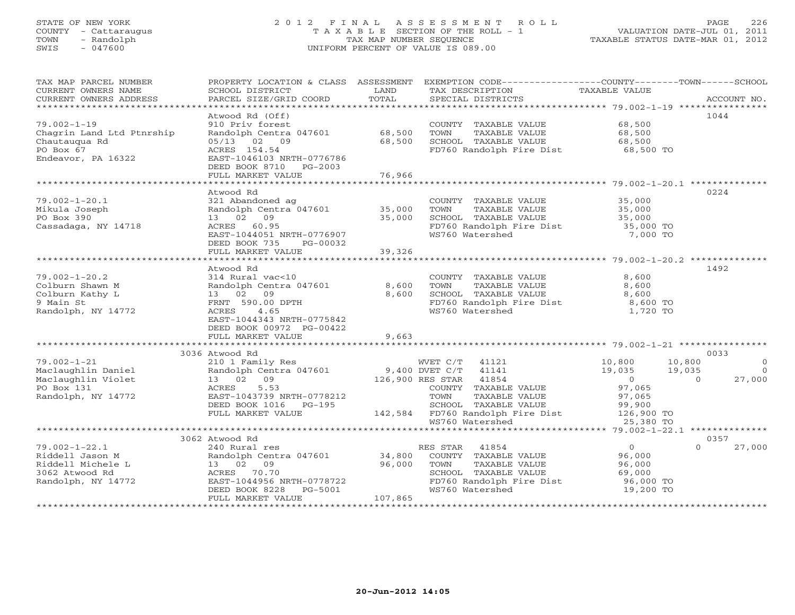### STATE OF NEW YORK 2 0 1 2 F I N A L A S S E S S M E N T R O L L PAGE 226 COUNTY - Cattaraugus T A X A B L E SECTION OF THE ROLL - 1 VALUATION DATE-JUL 01, 2011 TOWN - Randolph TAX MAP NUMBER SEQUENCE TAXABLE STATUS DATE-MAR 01, 2012 SWIS - 047600 UNIFORM PERCENT OF VALUE IS 089.00UNIFORM PERCENT OF VALUE IS 089.00

| TAX MAP PARCEL NUMBER               |                                                   |         | PROPERTY LOCATION & CLASS ASSESSMENT EXEMPTION CODE----------------COUNTY-------TOWN------SCHOOL |                        |                |            |
|-------------------------------------|---------------------------------------------------|---------|--------------------------------------------------------------------------------------------------|------------------------|----------------|------------|
| CURRENT OWNERS NAME                 | SCHOOL DISTRICT                                   | LAND    | TAX DESCRIPTION                                                                                  | TAXABLE VALUE          |                |            |
| CURRENT OWNERS ADDRESS              |                                                   |         |                                                                                                  |                        |                |            |
| *********************               |                                                   |         |                                                                                                  |                        |                |            |
|                                     | Atwood Rd (Off)                                   |         |                                                                                                  |                        | 1044           |            |
| $79.002 - 1 - 19$                   | 910 Priv forest                                   |         | COUNTY TAXABLE VALUE                                                                             | 68,500                 |                |            |
| Chagrin Land Ltd Ptnrship           | Randolph Centra 047601                            | 68,500  | TOWN<br>TAXABLE VALUE                                                                            | 68,500                 |                |            |
| Chautauqua Rd                       | 05/13 02 09                                       | 68,500  | SCHOOL TAXABLE VALUE                                                                             | 68,500<br>68,500 TO    |                |            |
| PO Box 67                           | ACRES 154.54                                      |         | FD760 Randolph Fire Dist                                                                         |                        |                |            |
| Endeavor, PA 16322                  | EAST-1046103 NRTH-0776786                         |         |                                                                                                  |                        |                |            |
|                                     | DEED BOOK 8710 PG-2003<br>FULL MARKET VALUE       | 76,966  |                                                                                                  |                        |                |            |
|                                     |                                                   |         |                                                                                                  |                        |                |            |
|                                     | Atwood Rd                                         |         |                                                                                                  |                        |                | 0224       |
| $79.002 - 1 - 20.1$                 | 321 Abandoned ag                                  |         | COUNTY TAXABLE VALUE 35,000                                                                      |                        |                |            |
| Mikula Joseph                       | Randolph Centra 047601 35,000                     |         | TAXABLE VALUE<br>TOWN                                                                            | 35,000                 |                |            |
| PO Box 390                          | 13 02 09                                          | 35,000  | SCHOOL TAXABLE VALUE                                                                             | 35,000                 |                |            |
| Cassadaga, NY 14718                 | ACRES 60.95                                       |         | Ponses<br>FD760 Randolph Fire Dist<br>WS760 Watershed                                            | 35,000 TO              |                |            |
|                                     | EAST-1044051 NRTH-0776907                         |         |                                                                                                  | 7,000 TO               |                |            |
|                                     | DEED BOOK 735<br>PG-00032                         |         |                                                                                                  |                        |                |            |
|                                     | FULL MARKET VALUE                                 | 39,326  |                                                                                                  |                        |                |            |
|                                     |                                                   |         |                                                                                                  |                        |                |            |
|                                     | Atwood Rd                                         |         |                                                                                                  |                        |                | 1492       |
| $79.002 - 1 - 20.2$                 | 314 Rural vac<10                                  |         | COUNTY TAXABLE VALUE 8,600                                                                       |                        |                |            |
| Colburn Shawn M                     | Randolph Centra 047601                            | 8,600   | TOWN<br>TAXABLE VALUE<br>TAXABLE VALUE                                                           | 8,600                  |                |            |
| Colburn Kathy L                     | 13 02 09                                          | 8,600   | SCHOOL TAXABLE VALUE                                                                             | 8,600                  |                |            |
| 9 Main St                           | FRNT 590.00 DPTH                                  |         | FD760 Randolph Fire Dist 8,600 TO                                                                |                        |                |            |
| Randolph, NY 14772                  | 4.65<br>ACRES                                     |         | WS760 Watershed                                                                                  | 1,720 TO               |                |            |
|                                     | EAST-1044343 NRTH-0775842                         |         |                                                                                                  |                        |                |            |
|                                     | DEED BOOK 00972 PG-00422                          |         |                                                                                                  |                        |                |            |
|                                     | FULL MARKET VALUE                                 | 9,663   |                                                                                                  |                        |                |            |
|                                     | 3036 Atwood Rd                                    |         |                                                                                                  |                        |                | 0033       |
| $79.002 - 1 - 21$                   | 210 1 Family Res                                  |         | WVET C/T 41121                                                                                   | 10,800                 | 10,800         | $\bigcirc$ |
| Maclaughlin Daniel                  | Randolph Centra 047601                            |         | 9,400 DVET C/T 41141                                                                             | 19,035                 | 19,035         | $\bigcirc$ |
| Maclaughlin Violet                  | 13 02 09                                          |         | 126,900 RES STAR 41854                                                                           |                        | $\overline{0}$ | 27,000     |
| PO Box 131                          | 5.53<br>ACRES                                     |         | COUNTY TAXABLE VALUE                                                                             | 0<br>97,065            |                |            |
| Randolph, NY 14772                  | EAST-1043739 NRTH-0778212                         |         | TOWN<br>TAXABLE VALUE                                                                            | 97,065                 |                |            |
|                                     | DEED BOOK 1016    PG-195                          |         | SCHOOL TAXABLE VALUE                                                                             | 99,900                 |                |            |
|                                     | FULL MARKET VALUE                                 |         | 142,584 FD760 Randolph Fire Dist 126,900 TO                                                      |                        |                |            |
|                                     |                                                   |         | WS760 Watershed                                                                                  | 25,380 TO              |                |            |
|                                     |                                                   |         |                                                                                                  |                        |                |            |
|                                     | 3062 Atwood Rd                                    |         |                                                                                                  |                        |                | 0357       |
| $79.002 - 1 - 22.1$                 | 240 Rural res                                     |         | RES STAR 41854                                                                                   | 0                      | $\Omega$       | 27,000     |
| Riddell Jason M                     |                                                   | 34,800  | COUNTY TAXABLE VALUE                                                                             | 96,000                 |                |            |
| Riddell Michele L<br>3062 Atwood Rd | Randolph Centra 047601<br>13 02 09<br>ACPES 70.70 | 96,000  | TOWN<br>TAXABLE VALUE                                                                            | 96,000                 |                |            |
| 3062 Atwood Rd                      | ACRES 70.70                                       |         | SCHOOL TAXABLE VALUE                                                                             | 69,000                 |                |            |
| Randolph, NY 14772                  | EAST-1044956 NRTH-0778722                         |         | FD760 Randolph Fire Dist<br>WS760 Watershed                                                      | 96,000 TO<br>19,200 TO |                |            |
|                                     | DEED BOOK 8228<br>PG-5001                         |         | WS760 Watershed                                                                                  |                        |                |            |
|                                     | FULL MARKET VALUE                                 | 107,865 |                                                                                                  |                        |                |            |
|                                     |                                                   |         |                                                                                                  |                        |                |            |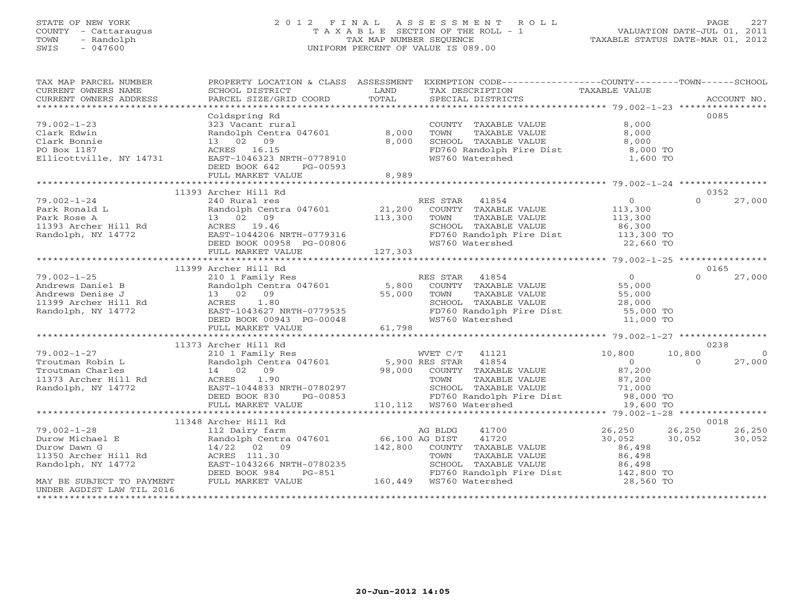#### STATE OF NEW YORK 2 0 1 2 F I N A L A S S E S S M E N T R O L L PAGE 227 COUNTY - Cattaraugus T A X A B L E SECTION OF THE ROLL - 1 VALUATION DATE-JUL 01, 2011 TOWN - Randolph TAX MAP NUMBER SEQUENCE TAXABLE STATUS DATE-MAR 01, 2012 SWIS - 047600 UNIFORM PERCENT OF VALUE IS 089.00UNIFORM PERCENT OF VALUE IS 089.00

| TAX MAP PARCEL NUMBER<br>CURRENT OWNERS NAME                                                        | PROPERTY LOCATION & CLASS ASSESSMENT<br>SCHOOL DISTRICT               | LAND                                          | EXEMPTION CODE----------------COUNTY-------TOWN------SCHOOL<br>TAX DESCRIPTION | TAXABLE VALUE                 |                  |          |
|-----------------------------------------------------------------------------------------------------|-----------------------------------------------------------------------|-----------------------------------------------|--------------------------------------------------------------------------------|-------------------------------|------------------|----------|
| CURRENT OWNERS ADDRESS                                                                              | PARCEL SIZE/GRID COORD                                                | TOTAL                                         | SPECIAL DISTRICTS                                                              |                               | ACCOUNT NO.      |          |
|                                                                                                     | Coldspring Rd                                                         |                                               |                                                                                |                               | 0085             |          |
| $79.002 - 1 - 23$<br>Clark Edwin<br>Clark Bonnie                                                    | 323 Vacant rural<br>Randolph Centra 047601<br>13 02 09                | 8,000<br>8,000                                | COUNTY TAXABLE VALUE<br>TOWN<br>TAXABLE VALUE<br>SCHOOL TAXABLE VALUE          | 8,000<br>8,000<br>8,000       |                  |          |
| PO Box 1187<br>Ellicottville, NY 14731                                                              | ACRES 16.15<br>EAST-1046323 NRTH-0778910<br>DEED BOOK 642<br>PG-00593 |                                               | FD760 Randolph Fire Dist<br>WS760 Watershed                                    | 8,000 TO<br>1,600 TO          |                  |          |
|                                                                                                     | FULL MARKET VALUE                                                     | 8,989                                         |                                                                                |                               |                  |          |
|                                                                                                     |                                                                       |                                               |                                                                                |                               |                  |          |
|                                                                                                     | 11393 Archer Hill Rd                                                  |                                               |                                                                                |                               | 0352<br>$\Omega$ |          |
| $79.002 - 1 - 24$<br>Park Ronald L                                                                  | 240 Rural res<br>Randolph Centra 047601                               | 21,200                                        | RES STAR 41854<br>COUNTY TAXABLE VALUE                                         | $\overline{0}$<br>113,300     |                  | 27,000   |
| Park Rose A                                                                                         | 13 02 09                                                              | 113,300                                       | TOWN<br>TAXABLE VALUE                                                          | 113,300                       |                  |          |
| 11393 Archer Hill Rd                                                                                | ACRES 19.46                                                           |                                               | SCHOOL TAXABLE VALUE                                                           | 86,300                        |                  |          |
| Randolph, NY 14772                                                                                  | EAST-1044206 NRTH-0779316<br>DEED BOOK 00958 PG-00806<br>FULL MIRTH-  |                                               |                                                                                |                               |                  |          |
|                                                                                                     |                                                                       |                                               | FD760 Randolph Fire Dist 113,300 TO<br>WS760 Watershed 22,660 TO               |                               |                  |          |
|                                                                                                     | FULL MARKET VALUE                                                     | 127,303                                       |                                                                                |                               |                  |          |
|                                                                                                     |                                                                       |                                               |                                                                                |                               |                  |          |
|                                                                                                     | 11399 Archer Hill Rd                                                  |                                               |                                                                                |                               | 0165             |          |
| $79.002 - 1 - 25$                                                                                   | 210 1 Family Res                                                      | $\begin{array}{c} 5,800 \\ 55,00 \end{array}$ | RES STAR 41854                                                                 | $\overline{0}$                | $\Omega$         | 27,000   |
| Andrews Daniel B                                                                                    | Randolph Centra 047601                                                |                                               | COUNTY TAXABLE VALUE                                                           | 55,000                        |                  |          |
| Andrews Denise J                                                                                    | 13 02 09                                                              |                                               | TOWN<br>TAXABLE VALUE<br>SCHOOL TAXABLE VALUE                                  | 55,000                        |                  |          |
| 11399 Archer Hill Rd<br>Randolph, NY 14772                                                          | ACRES 1.80<br>EAST-1043627 NRTH-0779535                               |                                               | SCHOOL TAXABLE VALUE<br>FD760 Randolph Fire Dist                               | 28,000<br>28,000<br>55,000 TO |                  |          |
|                                                                                                     | DEED BOOK 00943 PG-00048                                              |                                               | WS760 Watershed                                                                | 11,000 TO                     |                  |          |
|                                                                                                     | FULL MARKET VALUE                                                     | 61,798                                        |                                                                                |                               |                  |          |
|                                                                                                     |                                                                       |                                               |                                                                                |                               |                  |          |
|                                                                                                     | 11373 Archer Hill Rd                                                  |                                               |                                                                                |                               | 0238             |          |
| $79.002 - 1 - 27$                                                                                   | 210 1 Family Res                                                      |                                               | WVET C/T 41121                                                                 | 10,800                        | 10,800           | $\Omega$ |
| Troutman Robin L                                                                                    | Randolph Centra 047601 5,900 RES STAR                                 |                                               | 41854                                                                          | 0                             | $\Omega$         | 27,000   |
|                                                                                                     |                                                                       |                                               | 98,000 COUNTY TAXABLE VALUE                                                    | 87,200                        |                  |          |
| Troutman Charles 14 02 09<br>11373 Archer Hill Rd 2 ACRES 1.90<br>Randolph, NY 14772 EAST-1044833 N |                                                                       |                                               | TOWN<br>TAXABLE VALUE                                                          | 87,200                        |                  |          |
|                                                                                                     | EAST-1044833 NRTH-0780297                                             |                                               |                                                                                |                               |                  |          |
|                                                                                                     | DEED BOOK 830<br>PG-00853<br>FULL MARKET VALUE                        |                                               |                                                                                | 19,600 TO                     |                  |          |
|                                                                                                     |                                                                       |                                               |                                                                                |                               |                  |          |
|                                                                                                     | 11348 Archer Hill Rd                                                  |                                               |                                                                                |                               | 0018             |          |
| $79.002 - 1 - 28$                                                                                   | 112 Dairy farm                                                        |                                               | AG BLDG<br>41700                                                               | 26,250                        | 26,250           | 26,250   |
| Durow Michael E                                                                                     | Randolph Centra 047601                                                | 66,100 AG DIST                                | 41720                                                                          | 30,052                        | 30,052           | 30,052   |
| Durow Dawn G                                                                                        | 14/22 02 09                                                           | 142,800                                       | COUNTY TAXABLE VALUE                                                           | 86,498                        |                  |          |
| 11350 Archer Hill Rd                                                                                | ACRES 111.30                                                          |                                               | TOWN<br>TAXABLE VALUE                                                          | 86,498                        |                  |          |
| Randolph, NY 14772                                                                                  | EAST-1043266 NRTH-0780235                                             |                                               | SCHOOL TAXABLE VALUE                                                           | 86,498                        |                  |          |
|                                                                                                     | DEED BOOK 984<br>PG-851                                               |                                               | 5-851 FD760 Randolph E<br>160,449 WS760 Watershed<br>FD760 Randolph Fire Dist  | 142,800 TO                    |                  |          |
| MAY BE SUBJECT TO PAYMENT                                                                           | FULL MARKET VALUE                                                     |                                               |                                                                                | 28,560 TO                     |                  |          |
| UNDER AGDIST LAW TIL 2016                                                                           |                                                                       |                                               |                                                                                |                               |                  |          |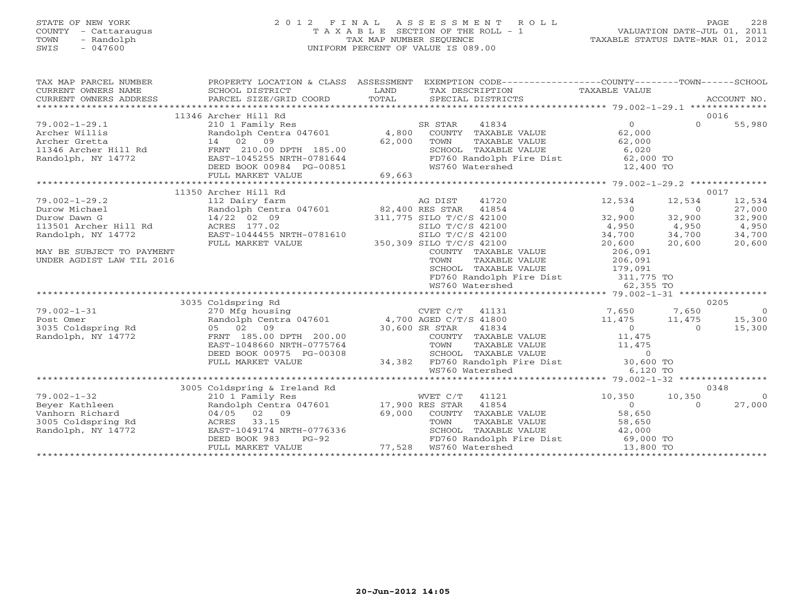## STATE OF NEW YORK 2 0 1 2 F I N A L A S S E S S M E N T R O L L PAGE 228 COUNTY - Cattaraugus T A X A B L E SECTION OF THE ROLL - 1 VALUATION DATE-JUL 01, 2011 TOWN - Randolph TAX MAP NUMBER SEQUENCE TAXABLE STATUS DATE-MAR 01, 2012 SWIS - 047600 UNIFORM PERCENT OF VALUE IS 089.00UNIFORM PERCENT OF VALUE IS 089.00

| TAX MAP PARCEL NUMBER<br>CURRENT OWNERS NAME<br>CURRENT OWNERS ADDRESS                                                                                        | PROPERTY LOCATION & CLASS ASSESSMENT<br>SCHOOL DISTRICT<br>PARCEL SIZE/GRID COORD                                                                                                                           | LAND<br>TOTAL    | EXEMPTION CODE-----------------COUNTY-------TOWN------SCHOOL<br>TAX DESCRIPTION TAXABLE VALUE<br>SPECIAL DISTRICTS                                                                                                                                                                        |                                                                                                               |                                                                 | ACCOUNT NO.                                                     |
|---------------------------------------------------------------------------------------------------------------------------------------------------------------|-------------------------------------------------------------------------------------------------------------------------------------------------------------------------------------------------------------|------------------|-------------------------------------------------------------------------------------------------------------------------------------------------------------------------------------------------------------------------------------------------------------------------------------------|---------------------------------------------------------------------------------------------------------------|-----------------------------------------------------------------|-----------------------------------------------------------------|
| $79.002 - 1 - 29.1$<br>Archer Willis<br>Archer Gretta<br>11346 Archer Hill Rd<br>Randolph, NY 14772                                                           | 11346 Archer Hill Rd<br>210 1 Family Res<br>Randolph Centra 047601 4,800<br>14 02<br>09<br>FRNT 210.00 DPTH 185.00<br>EAST-1045255 NRTH-0781644<br>DEED BOOK 00984 PG-00851<br>FULL MARKET VALUE            | 62,000<br>69,663 | SR STAR<br>41834<br>COUNTY TAXABLE VALUE<br>TOWN<br>TAXABLE VALUE<br>SCHOOL TAXABLE VALUE<br>FD760 Randolph Fire Dist 62,000 TO<br>WS760 Watershed                                                                                                                                        | $\Omega$<br>62,000<br>62,000<br>6,020<br>12,400 TO                                                            | $\Omega$                                                        | 0016<br>55,980                                                  |
|                                                                                                                                                               |                                                                                                                                                                                                             |                  |                                                                                                                                                                                                                                                                                           |                                                                                                               |                                                                 |                                                                 |
| $79.002 - 1 - 29.2$<br>Durow Michael<br>Durow Dawn G<br>113501 Archer Hill Rd<br>Randolph, NY 14772<br>MAY BE SUBJECT TO PAYMENT<br>UNDER AGDIST LAW TIL 2016 | 11350 Archer Hill Rd<br>112 Dairy farm<br>Randolph Centra 047601 82,400 RES STAR<br>14/22 02 09<br>ACRES 177.02<br>EAST-1044455 NRTH-0781610<br>FULL MARKET VALUE                                           |                  | AG DIST<br>41720<br>41854<br>311,775 SILO T/C/S 42100<br>SILO T/C/S 42100<br>SILO T/C/S 42100<br>350,309 SILO T/C/S 42100<br>COUNTY TAXABLE VALUE<br>TAXABLE VALUE<br>TOWN<br>SCHOOL TAXABLE VALUE<br>FD760 Randolph Fire Dist 311,775 TO<br>WS760 Watershed 62 355 TO<br>WS760 Watershed | 12,534<br>$\overline{0}$<br>32,900<br>4,950<br>34,700<br>20,600<br>206,091<br>206,091<br>179,091<br>62,355 TO | 12,534<br>$\overline{0}$<br>32,900<br>4,950<br>34,700<br>20,600 | 0017<br>12,534<br>27,000<br>32,900<br>4,950<br>34,700<br>20,600 |
|                                                                                                                                                               |                                                                                                                                                                                                             |                  |                                                                                                                                                                                                                                                                                           |                                                                                                               |                                                                 |                                                                 |
| $79.002 - 1 - 31$<br>Post Omer<br>3035 Coldspring Rd<br>Randolph, NY 14772                                                                                    | 3035 Coldspring Rd<br>270 Mfg housing<br>Randolph Centra 047601 4,700 AGED C/T/S 41800<br>05 02 09<br>FRNT 185.00 DPTH 200.00<br>EAST-1048660 NRTH-0775764<br>DEED BOOK 00975 PG-00308<br>FULL MARKET VALUE | 30,600 SR STAR   | CVET C/T<br>41131<br>41834<br>COUNTY TAXABLE VALUE<br>TOWN<br>TAXABLE VALUE<br>SCHOOL TAXABLE VALUE<br>34,382 FD760 Randolph Fire Dist 30,600 TO<br>WS760 Watershed                                                                                                                       | 7,650<br>11,475<br>$\overline{0}$<br>11,475<br>11,475<br>$\Omega$<br>6,120 TO                                 | 7,650<br>11,475<br>$\Omega$                                     | 0205<br>$\overline{0}$<br>15,300<br>15,300                      |
|                                                                                                                                                               |                                                                                                                                                                                                             |                  |                                                                                                                                                                                                                                                                                           |                                                                                                               |                                                                 |                                                                 |
| $79.002 - 1 - 32$<br>Beyer Kathleen<br>Vanhorn Richard<br>3005 Coldspring Rd<br>Randolph, NY 14772                                                            | 3005 Coldspring & Ireland Rd<br>210 1 Family Res<br>Randolph Centra 047601 17,900 RES STAR<br>04/05 02 09<br>33.15<br>ACRES<br>EAST-1049174 NRTH-0776336<br>$PG-92$<br>DEED BOOK 983<br>FULL MARKET VALUE   | 69,000           | WVET C/T<br>41121<br>41854<br>COUNTY TAXABLE VALUE<br>TOWN<br>TAXABLE VALUE<br>SCHOOL TAXABLE VALUE<br>FD760 Randolph Fire Dist 69,000 TO                                                                                                                                                 | 10,350<br>$\Omega$<br>58,650<br>58,650<br>42,000<br>13,800 TO                                                 | 10,350<br>$\Omega$                                              | 0348<br>$\Omega$<br>27,000                                      |
|                                                                                                                                                               |                                                                                                                                                                                                             |                  |                                                                                                                                                                                                                                                                                           |                                                                                                               |                                                                 |                                                                 |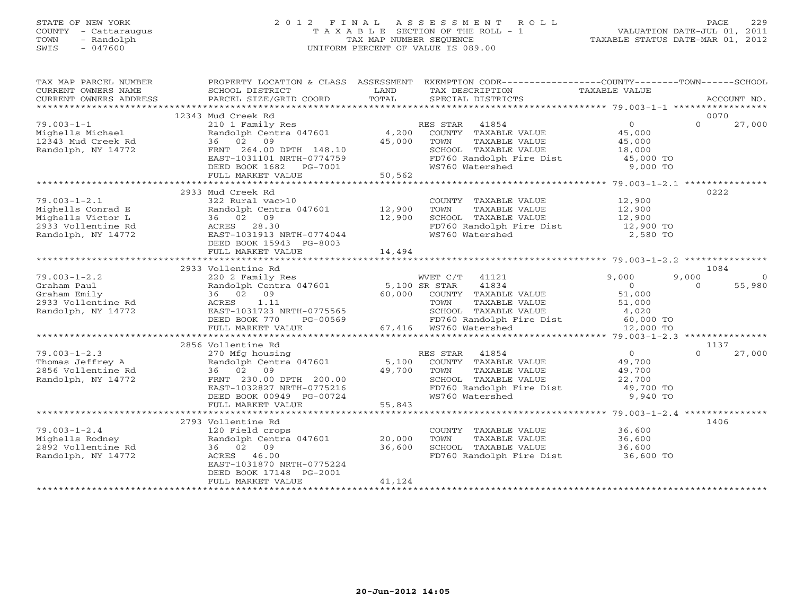## STATE OF NEW YORK 2 0 1 2 F I N A L A S S E S S M E N T R O L L PAGE 229 COUNTY - Cattaraugus T A X A B L E SECTION OF THE ROLL - 1 VALUATION DATE-JUL 01, 2011 TOWN - Randolph TAX MAP NUMBER SEQUENCE TAXABLE STATUS DATE-MAR 01, 2012 SWIS - 047600 UNIFORM PERCENT OF VALUE IS 089.00UNIFORM PERCENT OF VALUE IS 089.00

| TAX MAP PARCEL NUMBER                         |                                                                                |                  | PROPERTY LOCATION & CLASS ASSESSMENT EXEMPTION CODE----------------COUNTY-------TOWN------SCHOOL      |                                            |                         |
|-----------------------------------------------|--------------------------------------------------------------------------------|------------------|-------------------------------------------------------------------------------------------------------|--------------------------------------------|-------------------------|
| CURRENT OWNERS NAME                           | SCHOOL DISTRICT                                                                | LAND             | TAX DESCRIPTION                                                                                       | TAXABLE VALUE                              |                         |
| CURRENT OWNERS ADDRESS PARCEL SIZE/GRID COORD |                                                                                | TOTAL            | SPECIAL DISTRICTS                                                                                     |                                            | ACCOUNT NO.             |
|                                               |                                                                                |                  |                                                                                                       |                                            |                         |
|                                               | 12343 Mud Creek Rd                                                             |                  |                                                                                                       |                                            | 0070                    |
| $79.003 - 1 - 1$                              | 210 1 Family Res                                                               |                  | RES STAR 41854                                                                                        | $\overline{0}$                             | $\Omega$<br>27,000      |
| Mighells Michael                              | Randolph Centra 047601 4,200                                                   |                  | COUNTY TAXABLE VALUE 45,000                                                                           |                                            |                         |
| 12343 Mud Creek Rd                            | 36 02 09                                                                       | 45,000           | TOWN<br>TAXABLE VALUE                                                                                 |                                            |                         |
| Randolph, NY 14772                            | FRNT 264.00 DPTH 148.10                                                        |                  | SCHOOL TAXABLE VALUE                                                                                  | 45,000<br>18,000                           |                         |
|                                               | FRNT 264.00 DPTH 148.10<br>EAST-1031101 NRTH-0774759<br>DEED BOOK 1682 PG-7001 |                  | FD760 Randolph Fire Dist 45,000 TO                                                                    |                                            |                         |
|                                               |                                                                                |                  | WS760 Watershed                                                                                       | 9,000 TO                                   |                         |
|                                               | FULL MARKET VALUE                                                              | 50, 562          |                                                                                                       |                                            |                         |
|                                               |                                                                                |                  |                                                                                                       |                                            |                         |
|                                               | 2933 Mud Creek Rd                                                              |                  |                                                                                                       |                                            | 0222                    |
| $79.003 - 1 - 2.1$                            | 322 Rural vac>10                                                               |                  |                                                                                                       |                                            |                         |
| Mighells Conrad E                             | Randolph Centra 047601 12,900                                                  |                  | COUNTY TAXABLE VALUE 12,900<br>TOWN TAXABLE VALUE 12,900                                              |                                            |                         |
| Mighells Victor L                             | 36 02 09                                                                       | 12,900           |                                                                                                       |                                            |                         |
|                                               |                                                                                |                  | SCHOOL TAXABLE VALUE 12,900<br>FD760 Randolph Fire Dist 12,900 TO                                     |                                            |                         |
| 2933 Vollentine Rd                            | ACRES 28.30                                                                    |                  |                                                                                                       |                                            |                         |
| Randolph, NY 14772                            | EAST-1031913 NRTH-0774044                                                      |                  | WS760 Watershed                                                                                       | 2,580 TO                                   |                         |
|                                               | DEED BOOK 15943 PG-8003                                                        |                  |                                                                                                       |                                            |                         |
|                                               | FULL MARKET VALUE                                                              | 14,494           |                                                                                                       |                                            |                         |
|                                               |                                                                                |                  |                                                                                                       |                                            |                         |
|                                               | 2933 Vollentine Rd                                                             |                  |                                                                                                       |                                            | 1084                    |
| $79.003 - 1 - 2.2$                            | 220 2 Family Res                                                               |                  | WVET C/T 41121                                                                                        | 9,000                                      | 9,000<br>$\overline{0}$ |
| Graham Paul                                   | Randolph Cent<br>36 02 09<br>Randolph Centra 047601 5,100 SR STAR 41834        |                  |                                                                                                       | $\begin{array}{c} 0 \\ 51,000 \end{array}$ | $\Omega$<br>55,980      |
| Graham Emily                                  |                                                                                |                  | 60,000 COUNTY TAXABLE VALUE                                                                           |                                            |                         |
|                                               | ACRES 1.11                                                                     |                  | TAXABLE VALUE 51,000<br>TOWN                                                                          |                                            |                         |
| 2933 Vollentine Rd<br>Randolph, NY 14772      | EAST-1031723 NRTH-0775565                                                      |                  |                                                                                                       |                                            |                         |
|                                               |                                                                                |                  | SCHOOL TAXABLE VALUE 4,020<br>FD760 Randolph Fire Dist 60,000 TO                                      |                                            |                         |
|                                               | DEED BOOK 770 PG-00569 FD760 Randolph FULL MARKET VALUE 67,416 WS760 Watershed |                  |                                                                                                       | 12,000 TO                                  |                         |
|                                               |                                                                                |                  |                                                                                                       |                                            |                         |
|                                               | 2856 Vollentine Rd                                                             |                  |                                                                                                       |                                            | 1137                    |
| $79.003 - 1 - 2.3$                            | 270 Mfg housing                                                                |                  | RES STAR 41854                                                                                        | $\overline{O}$                             | $\Omega$<br>27,000      |
| Thomas Jeffrey A<br>2856 Vollentine Rd        |                                                                                |                  | Randolph Centra 047601 5,100 COUNTY TAXABLE VALUE 49,700<br>36 02 09 39,700 TOWN TAXABLE VALUE 49,700 |                                            |                         |
|                                               | 36 02 09                                                                       |                  |                                                                                                       |                                            |                         |
| Randolph, NY 14772                            | EAST-1032827 NRTH-0775216<br>EAST-1032827 NRTH-0775216                         |                  |                                                                                                       |                                            |                         |
|                                               |                                                                                |                  | SCHOOL TAXABLE VALUE $22,700$<br>FD760 Randolph Fire Dist $49,700$ TO<br>WS760 Watershed 9,940 TO     |                                            |                         |
|                                               | DEED BOOK 00949 PG-00724                                                       |                  |                                                                                                       |                                            |                         |
|                                               | FULL MARKET VALUE                                                              | $G-00724$ 55,843 |                                                                                                       |                                            |                         |
|                                               |                                                                                |                  |                                                                                                       |                                            |                         |
|                                               | 2793 Vollentine Rd                                                             |                  |                                                                                                       |                                            | 1406                    |
| $79.003 - 1 - 2.4$                            | 120 Field crops                                                                |                  | COUNTY TAXABLE VALUE 36,600                                                                           |                                            |                         |
| Mighells Rodney                               |                                                                                |                  | TAXABLE VALUE<br>TOWN                                                                                 | 36,600                                     |                         |
| 2892 Vollentine Rd                            | Randolph Centra 047601 20,000<br>36 02 09                                      | 36,600           | SCHOOL TAXABLE VALUE 80,000<br>SCHOOL TAXABLE VALUE 36,600                                            |                                            |                         |
| Randolph, NY 14772                            | ACRES 46.00                                                                    |                  | FD760 Randolph Fire Dist 36,600 TO                                                                    |                                            |                         |
|                                               | EAST-1031870 NRTH-0775224                                                      |                  |                                                                                                       |                                            |                         |
|                                               |                                                                                |                  |                                                                                                       |                                            |                         |
|                                               | DEED BOOK 17148 PG-2001                                                        | 41,124           |                                                                                                       |                                            |                         |
|                                               | FULL MARKET VALUE                                                              |                  |                                                                                                       |                                            |                         |
|                                               |                                                                                |                  |                                                                                                       |                                            |                         |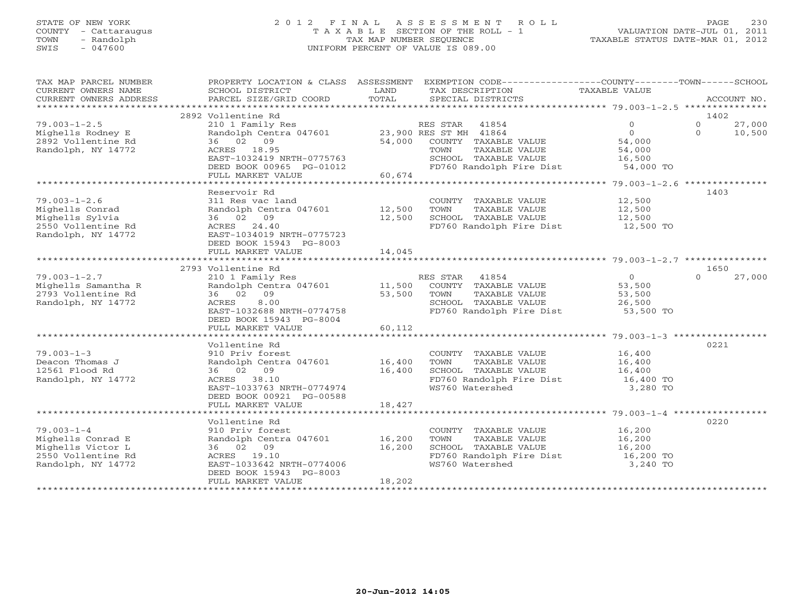# STATE OF NEW YORK 2 0 1 2 F I N A L A S S E S S M E N T R O L L PAGE 230 COUNTY - Cattaraugus T A X A B L E SECTION OF THE ROLL - 1 VALUATION DATE-JUL 01, 2011 TOWN - Randolph TAX MAP NUMBER SEQUENCE TAXABLE STATUS DATE-MAR 01, 2012 SWIS - 047600 UNIFORM PERCENT OF VALUE IS 089.00

| TAX MAP PARCEL NUMBER<br>CURRENT OWNERS NAME                                                           | PROPERTY LOCATION & CLASS ASSESSMENT<br>SCHOOL DISTRICT                                                                                              | LAND             | EXEMPTION CODE----------------COUNTY-------TOWN------SCHOOL<br>TAX DESCRIPTION                                                                                 | TAXABLE VALUE                                               |                                          |
|--------------------------------------------------------------------------------------------------------|------------------------------------------------------------------------------------------------------------------------------------------------------|------------------|----------------------------------------------------------------------------------------------------------------------------------------------------------------|-------------------------------------------------------------|------------------------------------------|
| CURRENT OWNERS ADDRESS                                                                                 | PARCEL SIZE/GRID COORD                                                                                                                               | TOTAL            | SPECIAL DISTRICTS                                                                                                                                              |                                                             | ACCOUNT NO.                              |
|                                                                                                        | 2892 Vollentine Rd                                                                                                                                   |                  |                                                                                                                                                                |                                                             | 1402                                     |
| $79.003 - 1 - 2.5$<br>Mighells Rodney E<br>2892 Vollentine Rd<br>Randolph, NY 14772                    | 210 1 Family Res<br>Randolph Centra 047601<br>36 02 09<br>ACRES 18.95<br>EAST-1032419 NRTH-0775763<br>DEED BOOK 00965 PG-01012                       |                  | RES STAR 41854<br>23,900 RES ST MH 41864<br>54,000 COUNTY TAXABLE VALUE<br>TAXABLE VALUE<br>TOWN<br>SCHOOL TAXABLE VALUE<br>FD760 Randolph Fire Dist 54,000 TO | $\Omega$<br>$\Omega$<br>54,000<br>54,000<br>16,500          | $\Omega$<br>27,000<br>$\Omega$<br>10,500 |
|                                                                                                        | FULL MARKET VALUE                                                                                                                                    | 60,674           |                                                                                                                                                                |                                                             |                                          |
| $79.003 - 1 - 2.6$<br>Mighells Conrad<br>Mighells Sylvia<br>2550 Vollentine Rd<br>Randolph, NY 14772   | Reservoir Rd<br>311 Res vac land<br>Randolph Centra 047601 12,500<br>36 02 09<br>ACRES 24.40<br>EAST-1034019 NRTH-0775723<br>DEED BOOK 15943 PG-8003 | 12,500           | COUNTY TAXABLE VALUE<br>TOWN<br>TAXABLE VALUE<br>SCHOOL TAXABLE VALUE<br>FD760 Randolph Fire Dist 12,500 TO                                                    | 12,500<br>12,500<br>$\frac{12}{12}$ , 500                   | 1403                                     |
|                                                                                                        | FULL MARKET VALUE                                                                                                                                    | 14,045           |                                                                                                                                                                |                                                             |                                          |
|                                                                                                        | 2793 Vollentine Rd                                                                                                                                   |                  |                                                                                                                                                                |                                                             | 1650                                     |
| $79.003 - 1 - 2.7$<br>Mighells Samantha R<br>2793 Vollentine Rd<br>Randolph, NY 14772                  | 210 1 Family Res<br>Randolph Centra 047601 11,500<br>36 02 09<br>8.00<br>ACRES<br>EAST-1032688 NRTH-0774758<br>DEED BOOK 15943 PG-8004               | 53,500           | RES STAR<br>41854<br>COUNTY TAXABLE VALUE<br>TAXABLE VALUE<br>TOWN<br>SCHOOL TAXABLE VALUE<br>FD760 Randolph Fire Dist                                         | $\overline{0}$<br>53,500<br>53,500<br>26,500<br>$53,500$ TO | $\cap$<br>27,000                         |
|                                                                                                        | FULL MARKET VALUE                                                                                                                                    | 60,112           |                                                                                                                                                                |                                                             |                                          |
|                                                                                                        |                                                                                                                                                      |                  |                                                                                                                                                                |                                                             |                                          |
| $79.003 - 1 - 3$<br>Deacon Thomas J<br>12561 Flood Rd<br>Randolph, NY 14772                            | Vollentine Rd<br>910 Priv forest<br>Randolph Centra 047601<br>36 02 09<br>ACRES 38.10<br>EAST-1033763 NRTH-0774974<br>DEED BOOK 00921 PG-00588       | 16,400<br>16,400 | COUNTY TAXABLE VALUE<br>TOWN<br>TAXABLE VALUE<br>SCHOOL TAXABLE VALUE<br>FD760 Randolph Fire Dist<br>WS760 Watershed                                           | 16,400<br>16,400<br>16,400<br>16,400 TO<br>3,280 TO         | 0221                                     |
|                                                                                                        | FULL MARKET VALUE                                                                                                                                    | 18,427           |                                                                                                                                                                |                                                             |                                          |
|                                                                                                        |                                                                                                                                                      |                  |                                                                                                                                                                |                                                             |                                          |
| $79.003 - 1 - 4$<br>Mighells Conrad E<br>Mighells Victor L<br>2550 Vollentine Rd<br>Randolph, NY 14772 | Vollentine Rd<br>910 Priv forest<br>Randolph Centra 047601<br>36 02 09<br>ACRES 19.10<br>EAST-1033642 NRTH-0774006<br>DEED BOOK 15943 PG-8003        | 16,200<br>16,200 | COUNTY TAXABLE VALUE<br>TAXABLE VALUE<br>TOWN<br>SCHOOL TAXABLE VALUE<br>FD760 Randolph Fire Dist<br>WS760 Watershed                                           | 16,200<br>16,200<br>16,200<br>$16,200$ TO<br>3,240 TO       | 0220                                     |
|                                                                                                        | FULL MARKET VALUE                                                                                                                                    | 18,202           |                                                                                                                                                                |                                                             |                                          |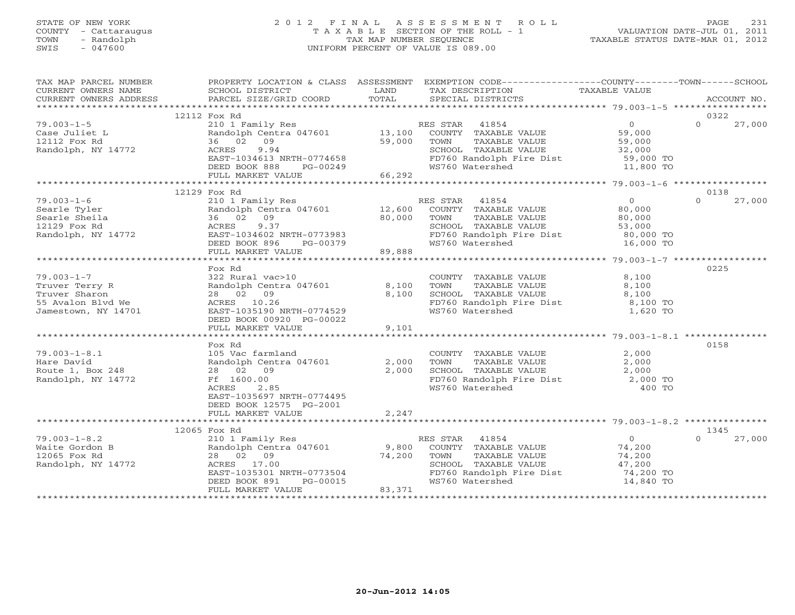#### STATE OF NEW YORK 2 0 1 2 F I N A L A S S E S S M E N T R O L L PAGE 231 COUNTY - Cattaraugus T A X A B L E SECTION OF THE ROLL - 1 VALUATION DATE-JUL 01, 2011 TOWN - Randolph TAX MAP NUMBER SEQUENCE TAXABLE STATUS DATE-MAR 01, 2012 SWIS - 047600 UNIFORM PERCENT OF VALUE IS 089.00UNIFORM PERCENT OF VALUE IS 089.00

| TAX MAP PARCEL NUMBER<br>CURRENT OWNERS NAME<br>CURRENT OWNERS ADDRESS                  | SCHOOL DISTRICT<br><b>Example 19 The LAND</b><br>PARCEL SIZE/GRID COORD                                                                                               | TOTAL            | PROPERTY LOCATION & CLASS ASSESSMENT EXEMPTION CODE---------------COUNTY-------TOWN------SCHOOL<br>TAX DESCRIPTION<br>SPECIAL DISTRICTS                               | TAXABLE VALUE                                                    | ACCOUNT NO.                |
|-----------------------------------------------------------------------------------------|-----------------------------------------------------------------------------------------------------------------------------------------------------------------------|------------------|-----------------------------------------------------------------------------------------------------------------------------------------------------------------------|------------------------------------------------------------------|----------------------------|
|                                                                                         |                                                                                                                                                                       |                  |                                                                                                                                                                       |                                                                  |                            |
| $79.003 - 1 - 5$<br>Case Juliet L<br>12112 Fox Rd<br>Randolph, NY 14772                 | 12112 Fox Rd<br>210 1 Family Res<br>Randolph Centra 047601 13,100<br>36 02 09<br>ACRES<br>9.94<br>EAST-1034613 NRTH-0774658                                           | 59,000           | RES STAR 41854<br>SCHOOL TAXABLE VALUE<br>FD760 Randolph Fire Dist 59,000 TO                                                                                          |                                                                  | 0322<br>$\Omega$<br>27,000 |
|                                                                                         | DEED BOOK 888<br>PG-00249<br>FULL MARKET VALUE                                                                                                                        | 66,292           | WS760 Watershed                                                                                                                                                       | 11,800 TO                                                        |                            |
|                                                                                         | 12129 Fox Rd                                                                                                                                                          |                  |                                                                                                                                                                       |                                                                  | 0138                       |
| $79.003 - 1 - 6$<br>Searle Tyler<br>Searle Sheila<br>12129 Fox Rd<br>Randolph, NY 14772 | 210 1 Family Res<br>Randolph Centra 047601 12,600<br>36 02 09<br>AURES 9.3/<br>EAST-1034602 NRTH-0773983<br>DEED BOOK 896 - PG-00379<br>FULL MORKER --- -- - PG-00379 | 80,000           | RES STAR 41854<br>ES STAR - 41854<br>COUNTY - TAXABLE VALUE<br>TOWN<br>TAXABLE VALUE<br>SCHOOL TAXABLE VALUE<br>FD760 Randolph Fire Dist 80,000 TO<br>WS760 Watershed | $\overline{0}$<br>80,000<br>80,000<br>53,000<br>16,000 TO        | $\Omega$<br>27,000         |
|                                                                                         | FULL MARKET VALUE                                                                                                                                                     | 89,888           |                                                                                                                                                                       |                                                                  |                            |
| $79.003 - 1 - 7$<br>Truver Terry R<br>Truver Sharon<br>55 Avalon Blvd We                | Fox Rd<br>322 Rural vac>10<br>Randolph Centra 047601<br>28 02 09<br>ACRES 10.26                                                                                       | 8,100<br>8,100   | COUNTY TAXABLE VALUE<br>TAXABLE VALUE<br>TOWN<br>SCHOOL TAXABLE VALUE<br>FD760 Randolph Fire Dist 8,100 TO                                                            | 8,100<br>8,100<br>8,100                                          | 0225                       |
| Jamestown, NY 14701                                                                     | EAST-1035190 NRTH-0774529<br>DEED BOOK 00920 PG-00022<br>FULL MARKET VALUE                                                                                            | 9,101            | WS760 Watershed                                                                                                                                                       | 1,620 TO                                                         |                            |
|                                                                                         |                                                                                                                                                                       |                  |                                                                                                                                                                       |                                                                  |                            |
| $79.003 - 1 - 8.1$<br>Hare David<br>Route 1, Box 248<br>Randolph, NY 14772              | Fox Rd<br>105 Vac farmland<br>Randolph Centra 047601<br>28 02 09<br>Ff 1600.00<br>ACRES<br>2.85<br>EAST-1035697 NRTH-0774495<br>DEED BOOK 12575 PG-2001               | 2,000<br>2,000   | COUNTY TAXABLE VALUE<br>TAXABLE VALUE<br>TAXABLE VALUE<br>TOWN<br>CHROOL TAXABLE VALUE<br>FD760 Randolph Fire Dist 2,000<br>WS760 Watershed 400 TO<br>WS760 Watershed | 2,000<br>2,000<br>400 TO                                         | 0158                       |
|                                                                                         | FULL MARKET VALUE                                                                                                                                                     | 2,247            |                                                                                                                                                                       |                                                                  |                            |
|                                                                                         | 12065 Fox Rd                                                                                                                                                          |                  |                                                                                                                                                                       |                                                                  | 1345                       |
| $79.003 - 1 - 8.2$<br>Waite Gordon B<br>12065 Fox Rd<br>Randolph, NY 14772              | 210 1 Family Res<br>Randolph Centra 047601 9,800<br>28 02 09<br>ACRES 17.00<br>EAST-1035301 NRTH-0773504<br>DEED BOOK 891<br>PG-00015<br>FULL MARKET VALUE            | 74,200<br>83,371 | RES STAR<br>41854<br>COUNTY TAXABLE VALUE<br>TAXABLE VALUE<br>TOWN<br>SCHOOL TAXABLE VALUE<br>FD760 Randolph Fire Dist<br>WS760 Watershed                             | $\Omega$<br>74,200<br>74,200<br>47,200<br>74,200 TO<br>14,840 TO | 27,000<br>$\cap$           |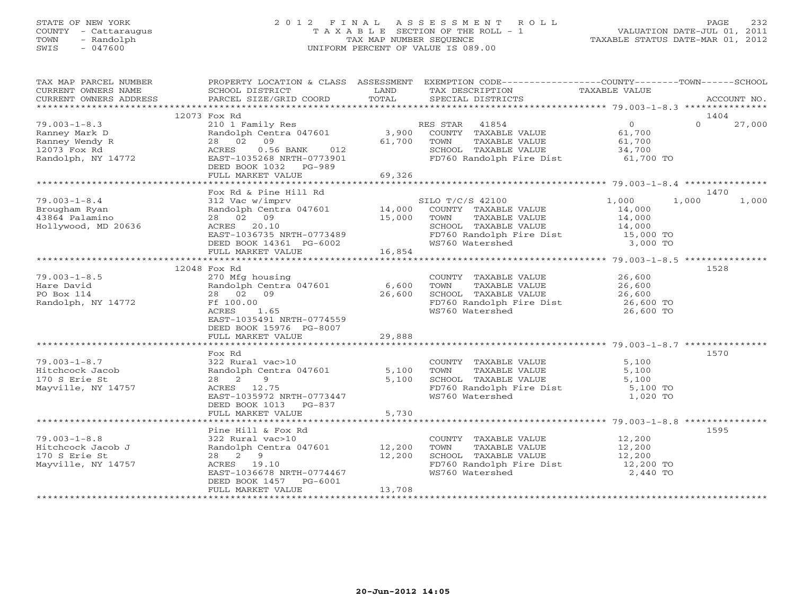### STATE OF NEW YORK 2 0 1 2 F I N A L A S S E S S M E N T R O L L PAGE 232 COUNTY - Cattaraugus T A X A B L E SECTION OF THE ROLL - 1 VALUATION DATE-JUL 01, 2011 TOWN - Randolph TAX MAP NUMBER SEQUENCE TAXABLE STATUS DATE-MAR 01, 2012 SWIS - 047600 UNIFORM PERCENT OF VALUE IS 089.00UNIFORM PERCENT OF VALUE IS 089.00

| TAX MAP PARCEL NUMBER                                                                                                                                                                                                                    |                                                                |        | PROPERTY LOCATION & CLASS ASSESSMENT EXEMPTION CODE---------------COUNTY-------TOWN------SCHOOL                                                                                                                                                                                                                                                           |          |                    |
|------------------------------------------------------------------------------------------------------------------------------------------------------------------------------------------------------------------------------------------|----------------------------------------------------------------|--------|-----------------------------------------------------------------------------------------------------------------------------------------------------------------------------------------------------------------------------------------------------------------------------------------------------------------------------------------------------------|----------|--------------------|
|                                                                                                                                                                                                                                          |                                                                |        |                                                                                                                                                                                                                                                                                                                                                           |          |                    |
|                                                                                                                                                                                                                                          |                                                                |        |                                                                                                                                                                                                                                                                                                                                                           |          |                    |
|                                                                                                                                                                                                                                          |                                                                |        |                                                                                                                                                                                                                                                                                                                                                           |          |                    |
|                                                                                                                                                                                                                                          | 12073 Fox Rd                                                   |        |                                                                                                                                                                                                                                                                                                                                                           |          | 1404               |
| $79.003 - 1 - 8.3$<br>79.003-1-8.3<br>Ranney Mark D<br>Ranney Wendy R<br>12073 Fox Rd<br>Randolph, NY 14772                                                                                                                              |                                                                |        | 210 1 Family Res RES STAR 41854 0<br>Randolph Centra 047601 3,900 COUNTY TAXABLE VALUE 61,700<br>28 02 09 61,700 TOWN TAXABLE VALUE 61,700<br>ACRES 0.56 BANK 012 SCHOOL TAXABLE VALUE 34,700<br>34,700                                                                                                                                                   |          | $\Omega$<br>27,000 |
|                                                                                                                                                                                                                                          |                                                                |        |                                                                                                                                                                                                                                                                                                                                                           |          |                    |
|                                                                                                                                                                                                                                          |                                                                |        |                                                                                                                                                                                                                                                                                                                                                           |          |                    |
|                                                                                                                                                                                                                                          |                                                                |        |                                                                                                                                                                                                                                                                                                                                                           |          |                    |
|                                                                                                                                                                                                                                          | EAST-1035268 NRTH-0773901                                      |        | FD760 Randolph Fire Dist 61,700 TO                                                                                                                                                                                                                                                                                                                        |          |                    |
|                                                                                                                                                                                                                                          | DEED BOOK 1032 PG-989                                          |        |                                                                                                                                                                                                                                                                                                                                                           |          |                    |
|                                                                                                                                                                                                                                          | FULL MARKET VALUE                                              | 69,326 |                                                                                                                                                                                                                                                                                                                                                           |          |                    |
|                                                                                                                                                                                                                                          | Fox Rd & Pine Hill Rd                                          |        |                                                                                                                                                                                                                                                                                                                                                           |          | 1470               |
| 1,000 1-8.4 312 Vac w/imprv 5ILO T/C/S 42100 51.000 1,000<br>Brougham Ryan                       Randolph Centra 047601 14,000 COUNTY TAXABLE VALUE 14,000<br>15.000 TOWN TAXABLE VALUE 14,000 15 AM                                     |                                                                |        |                                                                                                                                                                                                                                                                                                                                                           | 1,000    | 1,000 1,000        |
|                                                                                                                                                                                                                                          |                                                                |        |                                                                                                                                                                                                                                                                                                                                                           |          |                    |
|                                                                                                                                                                                                                                          |                                                                |        |                                                                                                                                                                                                                                                                                                                                                           |          |                    |
|                                                                                                                                                                                                                                          |                                                                |        |                                                                                                                                                                                                                                                                                                                                                           |          |                    |
|                                                                                                                                                                                                                                          |                                                                |        |                                                                                                                                                                                                                                                                                                                                                           |          |                    |
|                                                                                                                                                                                                                                          |                                                                |        |                                                                                                                                                                                                                                                                                                                                                           |          |                    |
|                                                                                                                                                                                                                                          |                                                                |        |                                                                                                                                                                                                                                                                                                                                                           |          |                    |
| Brougham Kyan<br>43864 Palamino 28 02 09<br>Hollywood, MD 20636 2002 02 09<br>EAST-1036735 NRTH-0773489 FD760 Randolph Fire Dist 14,000<br>FULL MARKET VALUE 16,854 MS760 Watershed 3,000 TO<br>FULL MARKET VALUE 16,854 16,854 79.003-1 |                                                                |        |                                                                                                                                                                                                                                                                                                                                                           |          |                    |
|                                                                                                                                                                                                                                          | 12048 Fox Rd                                                   |        |                                                                                                                                                                                                                                                                                                                                                           |          | 1528               |
| $79.003 - 1 - 8.5$                                                                                                                                                                                                                       | 270 Mfg housing                                                |        | COUNTY TAXABLE VALUE 26,600                                                                                                                                                                                                                                                                                                                               |          |                    |
| Hare David                                                                                                                                                                                                                               |                                                                |        |                                                                                                                                                                                                                                                                                                                                                           |          |                    |
| PO Box 114                                                                                                                                                                                                                               |                                                                |        |                                                                                                                                                                                                                                                                                                                                                           |          |                    |
| Randolph, NY 14772                                                                                                                                                                                                                       | Ff 100.00                                                      |        |                                                                                                                                                                                                                                                                                                                                                           |          |                    |
|                                                                                                                                                                                                                                          | ACRES<br>1.65                                                  |        | TOWN TAXABLE VALUE $26,600$<br>SCHOOL TAXABLE VALUE $26,600$<br>FD760 Randolph Fire Dist $26,600$ TO<br>WS760 Watershed $26,600$ TO                                                                                                                                                                                                                       |          |                    |
|                                                                                                                                                                                                                                          | EAST-1035491 NRTH-0774559                                      |        |                                                                                                                                                                                                                                                                                                                                                           |          |                    |
|                                                                                                                                                                                                                                          | DEED BOOK 15976 PG-8007                                        |        |                                                                                                                                                                                                                                                                                                                                                           |          |                    |
|                                                                                                                                                                                                                                          | FULL MARKET VALUE                                              | 29,888 |                                                                                                                                                                                                                                                                                                                                                           |          |                    |
|                                                                                                                                                                                                                                          |                                                                |        |                                                                                                                                                                                                                                                                                                                                                           |          |                    |
|                                                                                                                                                                                                                                          | Fox Rd<br>322 Rural vac>10<br>Randolph Centra 047601<br>?º 2 9 |        |                                                                                                                                                                                                                                                                                                                                                           |          | 1570               |
| $79.003 - 1 - 8.7$                                                                                                                                                                                                                       |                                                                |        | COUNTY TAXABLE VALUE 5,100<br>5,100 TOWN TAXABLE VALUE 5,100<br>5,100 SCHOOL TAXABLE VALUE 5,100                                                                                                                                                                                                                                                          |          |                    |
| Hitchcock Jacob                                                                                                                                                                                                                          |                                                                |        |                                                                                                                                                                                                                                                                                                                                                           |          |                    |
| 170 S Erie St                                                                                                                                                                                                                            |                                                                |        |                                                                                                                                                                                                                                                                                                                                                           |          |                    |
| Mayville, NY 14757                                                                                                                                                                                                                       |                                                                |        | FD760 Randolph Fire Dist 5,100 TO<br>WS760 Watershed 1,020 TO                                                                                                                                                                                                                                                                                             |          |                    |
|                                                                                                                                                                                                                                          | EAST-1035972 NRTH-0773447                                      |        |                                                                                                                                                                                                                                                                                                                                                           |          |                    |
|                                                                                                                                                                                                                                          | DEED BOOK 1013 PG-837                                          |        |                                                                                                                                                                                                                                                                                                                                                           |          |                    |
|                                                                                                                                                                                                                                          | FULL MARKET VALUE                                              | 5,730  |                                                                                                                                                                                                                                                                                                                                                           |          |                    |
|                                                                                                                                                                                                                                          |                                                                |        |                                                                                                                                                                                                                                                                                                                                                           |          |                    |
|                                                                                                                                                                                                                                          | Pine Hill & Fox Rd                                             |        |                                                                                                                                                                                                                                                                                                                                                           |          | 1595               |
| $79.003 - 1 - 8.8$                                                                                                                                                                                                                       |                                                                |        | $\begin{array}{cccc} \texttt{322}\ \texttt{Rural}\ \texttt{vac}>10 \end{array} \qquad \begin{array}{cccc} \texttt{COUNTY}\ \texttt{TAXABLE}\ \texttt{VALUE} \end{array} \qquad \begin{array}{cccc} \texttt{12,200}\ \texttt{TOWNY}\ \texttt{TAXABLE}\ \texttt{VALUE} \end{array} \qquad \begin{array}{cccc} \texttt{12,200}\ \texttt{12,200} \end{array}$ |          |                    |
| Hitchcock Jacob J<br>170 S Erie St                                                                                                                                                                                                       | 28 2 9                                                         |        |                                                                                                                                                                                                                                                                                                                                                           |          |                    |
| Mayville, NY 14757                                                                                                                                                                                                                       | 12,200<br>ACRES 19.10                                          |        |                                                                                                                                                                                                                                                                                                                                                           |          |                    |
|                                                                                                                                                                                                                                          | EAST-1036678 NRTH-0774467                                      |        | WS760 Watershed                                                                                                                                                                                                                                                                                                                                           | 2,440 TO |                    |
|                                                                                                                                                                                                                                          | DEED BOOK 1457 PG-6001                                         |        |                                                                                                                                                                                                                                                                                                                                                           |          |                    |
|                                                                                                                                                                                                                                          | FULL MARKET VALUE                                              | 13,708 |                                                                                                                                                                                                                                                                                                                                                           |          |                    |
|                                                                                                                                                                                                                                          |                                                                |        |                                                                                                                                                                                                                                                                                                                                                           |          |                    |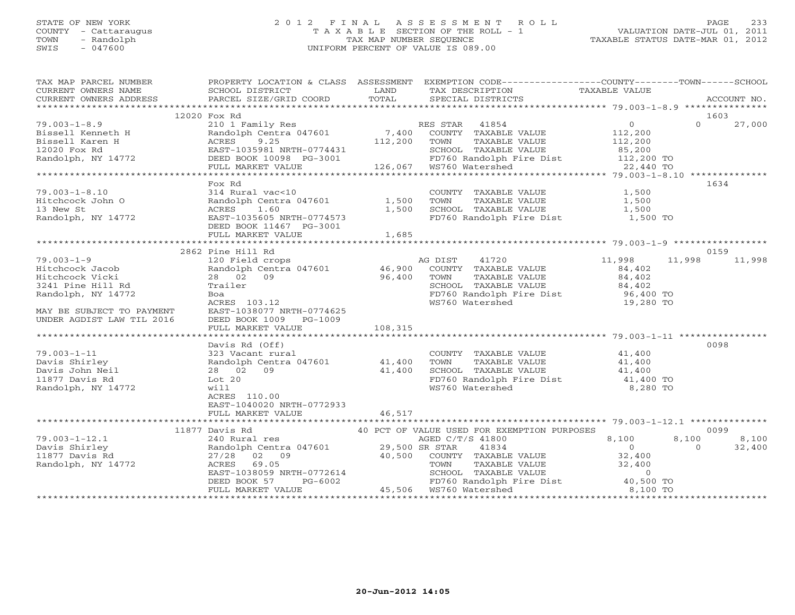### STATE OF NEW YORK 2 0 1 2 F I N A L A S S E S S M E N T R O L L PAGE 233 COUNTY - Cattaraugus T A X A B L E SECTION OF THE ROLL - 1 VALUATION DATE-JUL 01, 2011 TOWN - Randolph TAX MAP NUMBER SEQUENCE TAXABLE STATUS DATE-MAR 01, 2012 SWIS - 047600 UNIFORM PERCENT OF VALUE IS 089.00

| TAX MAP PARCEL NUMBER<br>TAX PARCES ADDRESS FOURDALLY A CHAIN ADDEDING THE DESCRIPTION TAXABLE VALUE<br>CURRENT OWNERS ADDRESS BORNOL DISTRICT TO TAX DESCRIPTION TAXABLE VALUE<br>CURRENT OWNERS ADDRESS PARCEL SIZE/GRID COORD TOTAL SPECIAL DISTRICTS ACCO |                                                                       | PROPERTY LOCATION & CLASS ASSESSMENT EXEMPTION CODE----------------COUNTY-------TOWN------SCHOOL                                                                                                                                           |                           |
|---------------------------------------------------------------------------------------------------------------------------------------------------------------------------------------------------------------------------------------------------------------|-----------------------------------------------------------------------|--------------------------------------------------------------------------------------------------------------------------------------------------------------------------------------------------------------------------------------------|---------------------------|
|                                                                                                                                                                                                                                                               |                                                                       |                                                                                                                                                                                                                                            |                           |
|                                                                                                                                                                                                                                                               | 12020 Fox Rd                                                          |                                                                                                                                                                                                                                            | 1603                      |
|                                                                                                                                                                                                                                                               |                                                                       |                                                                                                                                                                                                                                            |                           |
|                                                                                                                                                                                                                                                               |                                                                       |                                                                                                                                                                                                                                            |                           |
|                                                                                                                                                                                                                                                               |                                                                       |                                                                                                                                                                                                                                            |                           |
|                                                                                                                                                                                                                                                               | Fox Rd                                                                |                                                                                                                                                                                                                                            | 1634                      |
|                                                                                                                                                                                                                                                               | FULL MARKET VALUE 1,685                                               |                                                                                                                                                                                                                                            |                           |
|                                                                                                                                                                                                                                                               |                                                                       |                                                                                                                                                                                                                                            |                           |
|                                                                                                                                                                                                                                                               | 2862 Pine Hill Rd                                                     |                                                                                                                                                                                                                                            | 0159                      |
| $79.003 - 1 - 9$<br>Hitchcock Jacob<br>Hitchcock Vicki<br>3241 Pine Hill Rd<br>Randolph, NY 14772<br>MAY BE SUBJECT TO PAYMENT<br>UNDER AGDIST LAW TIL 2016                                                                                                   | DEED BOOK 1009 PG-1009<br>Davis Rd (Off)                              | Pine Hill Rd<br>120 Field crops<br>Randolph Centra 047601 46,900 COUNTY TAXABLE VALUE<br>28 02 09 96,400 TOWN TAXABLE VALUE<br>28 02 09 96,400 TOWN TAXABLE VALUE<br>28 02 09 96,400 TOWN TAXABLE VALUE<br>28 02 09 96,400 TOWN TAXABLE VA | 11,998<br>0098            |
|                                                                                                                                                                                                                                                               | ACRES 110.00<br>EAST-1040020 NRTH-0772933<br>FULL MARKET VALUE 46,517 |                                                                                                                                                                                                                                            |                           |
|                                                                                                                                                                                                                                                               |                                                                       |                                                                                                                                                                                                                                            | 0099                      |
|                                                                                                                                                                                                                                                               |                                                                       |                                                                                                                                                                                                                                            |                           |
|                                                                                                                                                                                                                                                               |                                                                       |                                                                                                                                                                                                                                            | $8,100$ $8,100$<br>32,400 |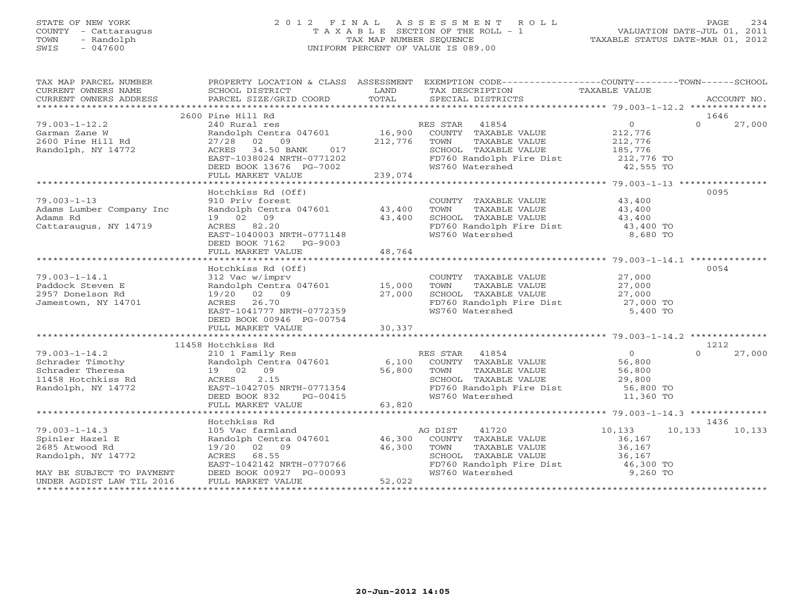### STATE OF NEW YORK 2 0 1 2 F I N A L A S S E S S M E N T R O L L PAGE 234 COUNTY - Cattaraugus T A X A B L E SECTION OF THE ROLL - 1 VALUATION DATE-JUL 01, 2011 TOWN - Randolph TAX MAP NUMBER SEQUENCE TAXABLE STATUS DATE-MAR 01, 2012 SWIS - 047600 UNIFORM PERCENT OF VALUE IS 089.00UNIFORM PERCENT OF VALUE IS 089.00

| TAX MAP PARCEL NUMBER    |                                                                              |                        | PROPERTY LOCATION & CLASS ASSESSMENT EXEMPTION CODE---------------COUNTY-------TOWN------SCHOOL                                                                                                                                          |                  |                    |
|--------------------------|------------------------------------------------------------------------------|------------------------|------------------------------------------------------------------------------------------------------------------------------------------------------------------------------------------------------------------------------------------|------------------|--------------------|
| CURRENT OWNERS NAME      | SCHOOL DISTRICT                                                              | <b>Example 12</b> LAND | TAX DESCRIPTION                                                                                                                                                                                                                          | TAXABLE VALUE    |                    |
| CURRENT OWNERS ADDRESS   | PARCEL SIZE/GRID COORD TOTAL                                                 |                        | SPECIAL DISTRICTS                                                                                                                                                                                                                        |                  | ACCOUNT NO.        |
|                          |                                                                              |                        |                                                                                                                                                                                                                                          |                  |                    |
|                          | 2600 Pine Hill Rd                                                            |                        |                                                                                                                                                                                                                                          |                  | 1646               |
| $79.003 - 1 - 12.2$      |                                                                              |                        |                                                                                                                                                                                                                                          | $\overline{0}$   | $\Omega$<br>27,000 |
| Garman Zane W            |                                                                              |                        |                                                                                                                                                                                                                                          |                  |                    |
| 2600 Pine Hill Rd        |                                                                              |                        |                                                                                                                                                                                                                                          |                  |                    |
| Randolph, NY 14772       |                                                                              |                        | 27/28 02 09 212,776 TOWN TAXABLE VALUE 212,776<br>ACRES 34.50 BANK 017 SCHOOL TAXABLE VALUE 185,776                                                                                                                                      |                  |                    |
|                          | ACRES 34.50 BANK 017<br>EAST-1038024 NRTH-0771202<br>DEED BOOK 13676 PG-7002 |                        | FD760 Randolph Fire Dist 212,776 TO                                                                                                                                                                                                      |                  |                    |
|                          |                                                                              |                        | WS760 Watershed                                                                                                                                                                                                                          | 42,555 TO        |                    |
|                          | FULL MARKET VALUE                                                            | 239,074                |                                                                                                                                                                                                                                          |                  |                    |
|                          |                                                                              |                        |                                                                                                                                                                                                                                          |                  |                    |
|                          |                                                                              |                        |                                                                                                                                                                                                                                          |                  | 0095               |
|                          | Hotchkiss Rd (Off)                                                           |                        |                                                                                                                                                                                                                                          |                  |                    |
| $79.003 - 1 - 13$        | 910 Priv forest<br>COUNT<br>Randolph Centra 047601 43,400 TOWN               |                        | COUNTY TAXABLE VALUE 43,400<br>TOWN TAXABLE VALUE 43,400                                                                                                                                                                                 |                  |                    |
| Adams Lumber Company Inc |                                                                              |                        |                                                                                                                                                                                                                                          |                  |                    |
| Adams Rd                 | 19 02 09                                                                     | 43,400                 | SCHOOL   TAXABLE VALUE                          43,400<br>FD760 Randolph Fire Dist                  43,400 TO                                                                                                                            |                  |                    |
| Cattaraugus, NY 14719    | ACRES 82.20                                                                  |                        |                                                                                                                                                                                                                                          |                  |                    |
|                          | EAST-1040003 NRTH-0771148                                                    |                        | WS760 Watershed                                                                                                                                                                                                                          | 8,680 TO         |                    |
|                          | DEED BOOK 7162 PG-9003                                                       |                        |                                                                                                                                                                                                                                          |                  |                    |
|                          | FULL MARKET VALUE                                                            | 48,764                 |                                                                                                                                                                                                                                          |                  |                    |
|                          |                                                                              |                        |                                                                                                                                                                                                                                          |                  |                    |
|                          | Hotchkiss Rd (Off)                                                           |                        |                                                                                                                                                                                                                                          |                  | 0054               |
| $79.003 - 1 - 14.1$      |                                                                              |                        | COUNTY TAXABLE VALUE $27,000$<br>TOWN TAXABLE VALUE $27,000$<br>COUNTING TAXABLE VALUE $27,000$                                                                                                                                          |                  |                    |
| Paddock Steven E         | 312 Vac w/imprv<br>Randolph Centra 047601 15,000                             |                        |                                                                                                                                                                                                                                          |                  |                    |
| 2957 Donelson Rd         | 19/20 02 09                                                                  | 27,000                 | SCHOOL TAXABLE VALUE 17,000<br>FD760 Randolph Fire Dist 27,000 TO                                                                                                                                                                        |                  |                    |
| Jamestown, NY 14701      |                                                                              |                        |                                                                                                                                                                                                                                          |                  |                    |
|                          | ACRES 26.70<br>EAST-1041777 NRTH-0772359<br>ERED ROOK 00046 RG 00754         |                        | WS760 Watershed                                                                                                                                                                                                                          | 5,400 TO         |                    |
|                          | DEED BOOK 00946 PG-00754                                                     |                        |                                                                                                                                                                                                                                          |                  |                    |
|                          |                                                                              |                        |                                                                                                                                                                                                                                          |                  |                    |
|                          |                                                                              |                        |                                                                                                                                                                                                                                          |                  |                    |
|                          | 11458 Hotchkiss Rd                                                           |                        |                                                                                                                                                                                                                                          |                  | 1212               |
| $79.003 - 1 - 14.2$      |                                                                              |                        | 210 1 Family Res<br>Randolph Centra 047601 6,100 COUNTY TAXABLE VALUE 56,800<br>19 02 09 56,800 TOWN TAXABLE VALUE 56,800<br>ACRES 2.15 SCHOOL TAXABLE VALUE 56,800<br>EAST-1042705 NRTH-0771354 FD760 Randolph Fire Dist 56,800<br>DEED |                  | 27,000<br>$\Omega$ |
|                          |                                                                              |                        |                                                                                                                                                                                                                                          |                  |                    |
|                          |                                                                              |                        |                                                                                                                                                                                                                                          |                  |                    |
|                          |                                                                              |                        |                                                                                                                                                                                                                                          |                  |                    |
| 11458 Hotchkiss Rd       |                                                                              |                        | CHOOL TAXABLE VALUE<br>SCHOOL TAXABLE VALUE 199,800<br>FD760 Randolph Fire Dist 56,800 TO<br>WS760 Watershed 11,360 TO                                                                                                                   |                  |                    |
| Randolph, NY 14772       |                                                                              |                        |                                                                                                                                                                                                                                          |                  |                    |
|                          | $PG-00415$<br>LUE 63,820                                                     |                        |                                                                                                                                                                                                                                          |                  |                    |
|                          | FULL MARKET VALUE                                                            |                        |                                                                                                                                                                                                                                          |                  |                    |
|                          |                                                                              |                        |                                                                                                                                                                                                                                          |                  |                    |
|                          | Hotchkiss Rd                                                                 |                        |                                                                                                                                                                                                                                          |                  | 1436               |
| $79.003 - 1 - 14.3$      | 105 Vac farmland                                                             |                        | AG DIST<br>41720                                                                                                                                                                                                                         | 10,133           | 10,133 10,133      |
| Spinler Hazel E          |                                                                              |                        | For the central 047601 46,300 COUNTY TAXABLE VALUE<br>19/20 02 09 46,300 TOWN TAXABLE VALUE                                                                                                                                              | 36,167<br>36,167 |                    |
| 2685 Atwood Rd           |                                                                              |                        |                                                                                                                                                                                                                                          |                  |                    |
|                          |                                                                              |                        |                                                                                                                                                                                                                                          |                  |                    |
|                          |                                                                              |                        |                                                                                                                                                                                                                                          |                  |                    |
|                          |                                                                              |                        | WS760 Watershed                                                                                                                                                                                                                          | 9,260 TO         |                    |
|                          |                                                                              |                        |                                                                                                                                                                                                                                          |                  |                    |
|                          |                                                                              |                        |                                                                                                                                                                                                                                          |                  |                    |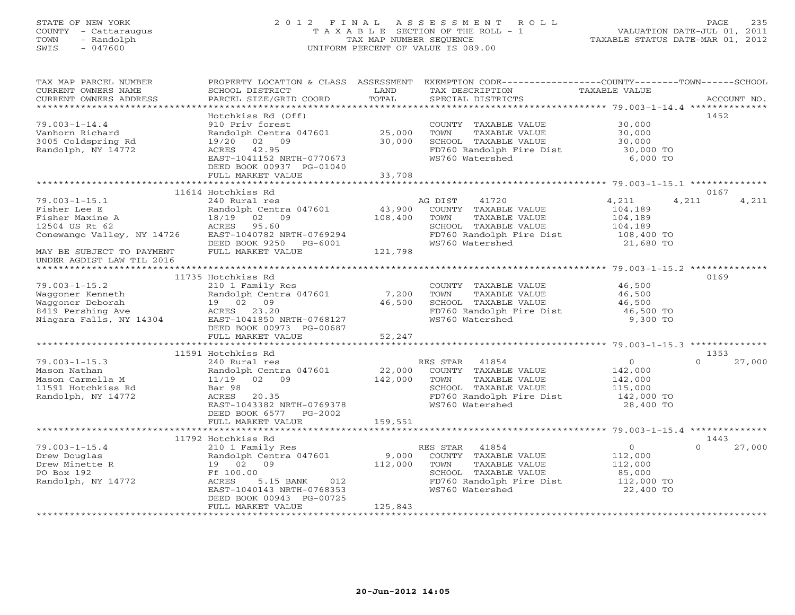## STATE OF NEW YORK 2 0 1 2 F I N A L A S S E S S M E N T R O L L PAGE 235 COUNTY - Cattaraugus T A X A B L E SECTION OF THE ROLL - 1 VALUATION DATE-JUL 01, 2011 TOWN - Randolph TAX MAP NUMBER SEQUENCE TAXABLE STATUS DATE-MAR 01, 2012 SWIS - 047600 UNIFORM PERCENT OF VALUE IS 089.00UNIFORM PERCENT OF VALUE IS 089.00

| TAX MAP PARCEL NUMBER<br>CURRENT OWNERS NAME<br>CURRENT OWNERS ADDRESS                                                              | PROPERTY LOCATION & CLASS ASSESSMENT<br>SCHOOL DISTRICT<br>PARCEL SIZE/GRID COORD                                                                                         | LAND<br>TOTAL                | EXEMPTION CODE-----------------COUNTY-------TOWN------SCHOOL<br>TAX DESCRIPTION<br>SPECIAL DISTRICTS                                      | TAXABLE VALUE                                                              | ACCOUNT NO.                |
|-------------------------------------------------------------------------------------------------------------------------------------|---------------------------------------------------------------------------------------------------------------------------------------------------------------------------|------------------------------|-------------------------------------------------------------------------------------------------------------------------------------------|----------------------------------------------------------------------------|----------------------------|
| $79.003 - 1 - 14.4$<br>Vanhorn Richard<br>3005 Coldspring Rd<br>Randolph, NY 14772                                                  | Hotchkiss Rd (Off)<br>910 Priv forest<br>Randolph Centra 047601<br>19/20 02 09<br>ACRES 42.95<br>EAST-1041152 NRTH-0770673<br>DEED BOOK 00937 PG-01040                    | 25,000<br>30,000<br>33,708   | COUNTY TAXABLE VALUE<br>TOWN<br>TAXABLE VALUE<br>SCHOOL TAXABLE VALUE<br>FD760 Randolph Fire Dist<br>WS760 Watershed                      | 30,000<br>30,000<br>30,000<br>30,000 TO<br>6,000 TO                        | 1452                       |
|                                                                                                                                     | FULL MARKET VALUE                                                                                                                                                         |                              |                                                                                                                                           |                                                                            |                            |
|                                                                                                                                     | 11614 Hotchkiss Rd                                                                                                                                                        |                              |                                                                                                                                           |                                                                            | 0167                       |
| $79.003 - 1 - 15.1$<br>Fisher Lee E<br>Fisher Maxine A<br>12504 US Rt 62<br>Conewango Valley, NY 14726<br>MAY BE SUBJECT TO PAYMENT | 240 Rural res<br>Randolph Centra 047601<br>02 09<br>18/19<br>ACRES 95.60<br>EAST-1040782 NRTH-0769294<br>DEED BOOK 9250 PG-6001<br>FULL MARKET VALUE                      | 43,900<br>108,400<br>121,798 | AG DIST<br>41720<br>COUNTY TAXABLE VALUE<br>TOWN<br>TAXABLE VALUE<br>SCHOOL TAXABLE VALUE<br>FD760 Randolph Fire Dist<br>WS760 Watershed  | 4,211<br>4,211<br>104,189<br>104,189<br>104,189<br>108,400 TO<br>21,680 TO | 4,211                      |
| UNDER AGDIST LAW TIL 2016                                                                                                           |                                                                                                                                                                           |                              |                                                                                                                                           |                                                                            |                            |
| $79.003 - 1 - 15.2$<br>Waggoner Kenneth<br>Waggoner Deborah<br>8419 Pershing Ave<br>Niagara Falls, NY 14304                         | 11735 Hotchkiss Rd<br>210 1 Family Res<br>Randolph Centra 047601<br>19 02 09<br>ACRES 23.20<br>EAST-1041850 NRTH-0768127<br>DEED BOOK 00973 PG-00687<br>FULL MARKET VALUE | 7,200<br>46,500<br>52,247    | COUNTY TAXABLE VALUE<br>TAXABLE VALUE<br>TOWN<br>SCHOOL TAXABLE VALUE<br>FD760 Randolph Fire Dist<br>WS760 Watershed                      | 46,500<br>46,500<br>46,500<br>46,500 TO<br>9,300 TO                        | 0169                       |
|                                                                                                                                     |                                                                                                                                                                           |                              |                                                                                                                                           |                                                                            |                            |
|                                                                                                                                     | 11591 Hotchkiss Rd                                                                                                                                                        |                              |                                                                                                                                           |                                                                            | 1353                       |
| $79.003 - 1 - 15.3$<br>Mason Nathan<br>Mason Carmella M<br>11591 Hotchkiss Rd<br>Randolph, NY 14772                                 | 240 Rural res<br>Randolph Centra 047601<br>$11/19$ 02 09<br>Bar 98<br>20.35<br>ACRES<br>EAST-1043382 NRTH-0769378<br>DEED BOOK 6577 PG-2002                               | 22,000<br>142,000            | RES STAR<br>41854<br>COUNTY TAXABLE VALUE<br>TOWN<br>TAXABLE VALUE<br>SCHOOL TAXABLE VALUE<br>FD760 Randolph Fire Dist<br>WS760 Watershed | $\circ$<br>142,000<br>142,000<br>115,000<br>142,000 TO<br>28,400 TO        | $\Omega$<br>27,000         |
|                                                                                                                                     | FULL MARKET VALUE                                                                                                                                                         | 159,551                      |                                                                                                                                           |                                                                            |                            |
|                                                                                                                                     | 11792 Hotchkiss Rd                                                                                                                                                        |                              |                                                                                                                                           |                                                                            |                            |
| $79.003 - 1 - 15.4$<br>Drew Douglas<br>Drew Minette R<br>PO Box 192<br>Randolph, NY 14772                                           | 210 1 Family Res<br>Randolph Centra 047601<br>19 02 09<br>Ff 100.00<br>ACRES<br>5.15 BANK 012<br>EAST-1040143 NRTH-0768353<br>DEED BOOK 00943 PG-00725                    | 9,000<br>112,000             | RES STAR<br>41854<br>COUNTY TAXABLE VALUE<br>TAXABLE VALUE<br>TOWN<br>SCHOOL TAXABLE VALUE<br>FD760 Randolph Fire Dist<br>WS760 Watershed | $\circ$<br>112,000<br>112,000<br>85,000<br>112,000 TO<br>22,400 TO         | 1443<br>27,000<br>$\Omega$ |
|                                                                                                                                     | FULL MARKET VALUE                                                                                                                                                         | 125,843                      |                                                                                                                                           |                                                                            |                            |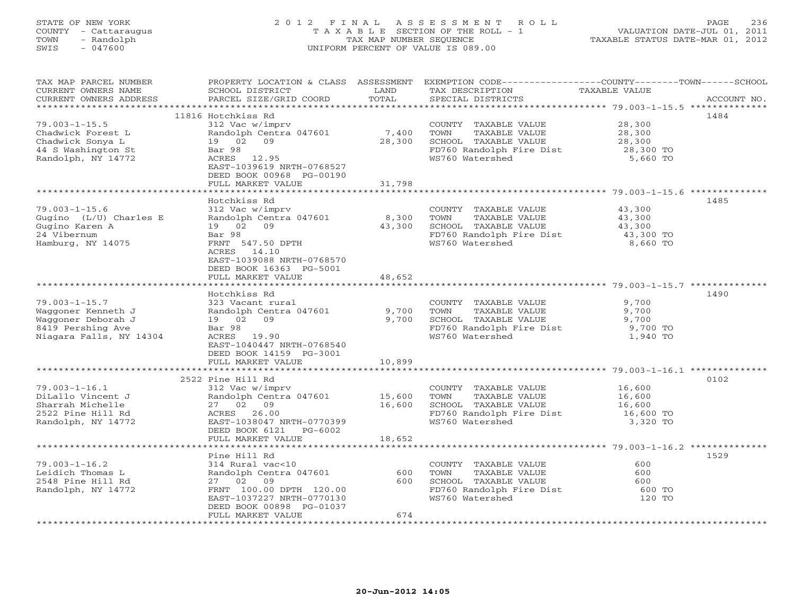### STATE OF NEW YORK 2 0 1 2 F I N A L A S S E S S M E N T R O L L PAGE 236 COUNTY - Cattaraugus T A X A B L E SECTION OF THE ROLL - 1 VALUATION DATE-JUL 01, 2011 TOWN - Randolph TAX MAP NUMBER SEQUENCE TAXABLE STATUS DATE-MAR 01, 2012 SWIS - 047600 UNIFORM PERCENT OF VALUE IS 089.00UNIFORM PERCENT OF VALUE IS 089.00

| TAX MAP PARCEL NUMBER   |                           |        | PROPERTY LOCATION & CLASS ASSESSMENT EXEMPTION CODE----------------COUNTY-------TOWN------SCHOOL |                     |             |
|-------------------------|---------------------------|--------|--------------------------------------------------------------------------------------------------|---------------------|-------------|
| CURRENT OWNERS NAME     | SCHOOL DISTRICT           | LAND   | TAX DESCRIPTION                                                                                  | TAXABLE VALUE       |             |
| CURRENT OWNERS ADDRESS  | PARCEL SIZE/GRID COORD    | TOTAL  | SPECIAL DISTRICTS                                                                                |                     | ACCOUNT NO. |
|                         |                           |        |                                                                                                  |                     |             |
|                         | 11816 Hotchkiss Rd        |        |                                                                                                  |                     | 1484        |
| $79.003 - 1 - 15.5$     | 312 Vac w/imprv           |        | COUNTY TAXABLE VALUE                                                                             | 28,300              |             |
| Chadwick Forest L       | Randolph Centra 047601    | 7,400  | TAXABLE VALUE<br>TOWN                                                                            | 28,300              |             |
| Chadwick Sonya L        | 19 02 09                  | 28,300 | SCHOOL TAXABLE VALUE                                                                             | 28,300              |             |
|                         |                           |        |                                                                                                  |                     |             |
| 44 S Washington St      | Bar 98                    |        | FD760 Randolph Fire Dist<br>WS760 Watershed                                                      | 28,300 TO           |             |
| Randolph, NY 14772      | ACRES 12.95               |        |                                                                                                  | 5,660 TO            |             |
|                         | EAST-1039619 NRTH-0768527 |        |                                                                                                  |                     |             |
|                         | DEED BOOK 00968 PG-00190  |        |                                                                                                  |                     |             |
|                         | FULL MARKET VALUE         | 31,798 |                                                                                                  |                     |             |
|                         |                           |        |                                                                                                  |                     |             |
|                         | Hotchkiss Rd              |        |                                                                                                  |                     | 1485        |
| $79.003 - 1 - 15.6$     | 312 Vac w/imprv           |        | COUNTY TAXABLE VALUE                                                                             | 43,300              |             |
| Gugino (L/U) Charles E  | Randolph Centra 047601    | 8,300  | TOWN<br>TAAADDD .<br>TAXABLE VALUE                                                               |                     |             |
| Gugino Karen A          | 19 02 09                  | 43,300 | SCHOOL TAXABLE VALUE                                                                             | 43,300<br>43,300    |             |
| 24 Vibernum             | Bar 98                    |        |                                                                                                  |                     |             |
| Hamburg, NY 14075       | FRNT 547.50 DPTH          |        | FD760 Randolph Fire Dist 43,300 TO<br>WS760 Watershed 8,660 TO<br>WS760 Watershed                | 8,660 TO            |             |
|                         | ACRES 14.10               |        |                                                                                                  |                     |             |
|                         | EAST-1039088 NRTH-0768570 |        |                                                                                                  |                     |             |
|                         |                           |        |                                                                                                  |                     |             |
|                         | DEED BOOK 16363 PG-5001   |        |                                                                                                  |                     |             |
|                         | FULL MARKET VALUE         | 48,652 |                                                                                                  |                     |             |
|                         |                           |        |                                                                                                  |                     |             |
|                         | Hotchkiss Rd              |        |                                                                                                  |                     | 1490        |
| $79.003 - 1 - 15.7$     | 323 Vacant rural          |        | COUNTY TAXABLE VALUE                                                                             | 9,700               |             |
| Waqqoner Kenneth J      | Randolph Centra 047601    | 9,700  | TOWN<br>TAXABLE VALUE                                                                            | 9,700               |             |
| Waggoner Deborah J      | 19 02 09                  | 9,700  | SCHOOL TAXABLE VALUE                                                                             | 9,700               |             |
| 8419 Pershing Ave       | Bar 98                    |        | FD760 Randolph Fire Dist                                                                         | $9,700$ TO          |             |
| Niagara Falls, NY 14304 | ACRES 19.90               |        | WS760 Watershed                                                                                  | 1,940 TO            |             |
|                         | EAST-1040447 NRTH-0768540 |        |                                                                                                  |                     |             |
|                         | DEED BOOK 14159 PG-3001   |        |                                                                                                  |                     |             |
|                         | FULL MARKET VALUE         | 10,899 |                                                                                                  |                     |             |
|                         |                           |        |                                                                                                  |                     |             |
|                         | 2522 Pine Hill Rd         |        |                                                                                                  |                     | 0102        |
| $79.003 - 1 - 16.1$     | 312 Vac w/imprv           |        | COUNTY TAXABLE VALUE 16,600                                                                      |                     |             |
|                         |                           |        |                                                                                                  |                     |             |
| DiLallo Vincent J       | Randolph Centra 047601    | 15,600 | TAXABLE VALUE<br>TOWN                                                                            | 16,600              |             |
| Sharrah Michelle        | 27 02 09                  | 16,600 | SCHOOL TAXABLE VALUE                                                                             | 16,600<br>16,600 TO |             |
| 2522 Pine Hill Rd       | ACRES 26.00               |        | FD760 Randolph Fire Dist                                                                         |                     |             |
| Randolph, NY 14772      | EAST-1038047 NRTH-0770399 |        | WS760 Watershed                                                                                  | 3,320 TO            |             |
|                         | DEED BOOK 6121 PG-6002    |        |                                                                                                  |                     |             |
|                         | FULL MARKET VALUE         | 18,652 |                                                                                                  |                     |             |
|                         |                           |        |                                                                                                  |                     |             |
|                         | Pine Hill Rd              |        |                                                                                                  |                     | 1529        |
| $79.003 - 1 - 16.2$     | 314 Rural vac<10          |        | COUNTY TAXABLE VALUE                                                                             | 600                 |             |
| Leidich Thomas L        | Randolph Centra 047601    | 600    | TOWN<br>TAXABLE VALUE                                                                            | 600                 |             |
| 2548 Pine Hill Rd       | 27 02 09                  |        | SCHOOL TAXABLE VALUE<br>FD760 Randolph Fire Dist<br>600 SCHOOL TAXABLE VALUE                     | 600                 |             |
| Randolph, NY 14772      | FRNT 100.00 DPTH 120.00   |        |                                                                                                  | 600 TO              |             |
|                         | EAST-1037227 NRTH-0770130 |        | WS760 Watershed                                                                                  | 120 TO              |             |
|                         | DEED BOOK 00898 PG-01037  |        |                                                                                                  |                     |             |
|                         | FULL MARKET VALUE         | 674    |                                                                                                  |                     |             |
|                         | *******************       |        |                                                                                                  |                     |             |
|                         |                           |        |                                                                                                  |                     |             |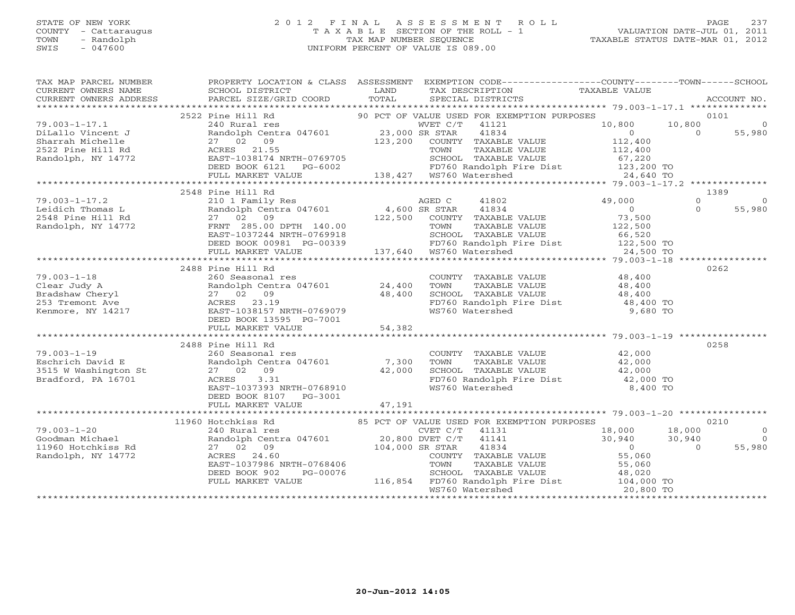#### STATE OF NEW YORK 2 0 1 2 F I N A L A S S E S S M E N T R O L L PAGE 237 COUNTY - Cattaraugus T A X A B L E SECTION OF THE ROLL - 1 VALUATION DATE-JUL 01, 2011 TOWN - Randolph TAX MAP NUMBER SEQUENCE TAXABLE STATUS DATE-MAR 01, 2012 SWIS - 047600 UNIFORM PERCENT OF VALUE IS 089.00UNIFORM PERCENT OF VALUE IS 089.00

| TAX MAP PARCEL NUMBER<br>$\begin{array}{ccccccccc}\n\text{CURRENT} & \text{WNERS} & \text{NMEE} & \text{NMEE} & \text{SCHOOL} & \text{DISTRICT} & \text{LAND} & \text{TAX} & \text{DESCRIPTION} & \text{TAXABLE VALUE} & \text{ACCOUNT NO.} \\\n\text{CURRENT} & \text{WNERS} & \text{ADDRESS} & \text{PARGEL} & \text{STZE/GRID COORD} & \text{TOTAL} & \text{SPECIAL DISTRIBUT} & \text{TASTRICTS} & \text{ACCOUNT NO.} \\\n\end{array}$ | PROPERTY LOCATION & CLASS ASSESSMENT EXEMPTION CODE----------------COUNTY-------TOWN------SCHOOL                                                                                                                                                    |         |                                                                                                                               |                                            |                     |
|--------------------------------------------------------------------------------------------------------------------------------------------------------------------------------------------------------------------------------------------------------------------------------------------------------------------------------------------------------------------------------------------------------------------------------------------|-----------------------------------------------------------------------------------------------------------------------------------------------------------------------------------------------------------------------------------------------------|---------|-------------------------------------------------------------------------------------------------------------------------------|--------------------------------------------|---------------------|
|                                                                                                                                                                                                                                                                                                                                                                                                                                            |                                                                                                                                                                                                                                                     |         |                                                                                                                               |                                            |                     |
|                                                                                                                                                                                                                                                                                                                                                                                                                                            | 2522 Pine Hill Rd<br>Pine Hill Rd 240 Rural res 240 Rural res 23,000 SR STAR 23,000 SR STAR 23,000 SR STAR 23,000 SR STAR 23,000 SR STAR 23,000 SR STAR 23,000 SR STAR 23,000 SR STAR 23,000 SR STAR 23,000 SR STAR 23,000 SR STAR 23,000 SR STAR 2 |         | 90 PCT OF VALUE USED FOR EXEMPTION PURPOSES                                                                                   |                                            | 0101                |
| $79.003 - 1 - 17.1$                                                                                                                                                                                                                                                                                                                                                                                                                        |                                                                                                                                                                                                                                                     |         | WVET C/T 41121                                                                                                                | 10,800<br>10,800                           | $\overline{0}$      |
| DiLallo Vincent J                                                                                                                                                                                                                                                                                                                                                                                                                          | Randolph Centra 047601<br>27 02 09<br>ACRES 21.55<br>EAST-1038174 NRTH-0769705                                                                                                                                                                      |         | 41834                                                                                                                         | $\overline{0}$                             | $\Omega$<br>55,980  |
| Sharrah Michelle                                                                                                                                                                                                                                                                                                                                                                                                                           |                                                                                                                                                                                                                                                     | 123,200 | COUNTY TAXABLE VALUE                                                                                                          | 112,400                                    |                     |
| 2522 Pine Hill Rd                                                                                                                                                                                                                                                                                                                                                                                                                          |                                                                                                                                                                                                                                                     |         |                                                                                                                               |                                            |                     |
| Randolph, NY 14772                                                                                                                                                                                                                                                                                                                                                                                                                         |                                                                                                                                                                                                                                                     |         | TOWN TAXABLE VALUE 112,400<br>SCHOOL TAXABLE VALUE 67,220<br>FD760 Randolph Fire Dist 123,200 TO<br>WS760 Watershed 24,640 TO |                                            |                     |
|                                                                                                                                                                                                                                                                                                                                                                                                                                            | DEED BOOK 6121                                                                                                                                                                                                                                      |         | PG-6002<br>PG-6002 PG-6002 PD760 Randolph F<br>LUE 138,427 WS760 Watershed                                                    |                                            |                     |
|                                                                                                                                                                                                                                                                                                                                                                                                                                            | FULL MARKET VALUE                                                                                                                                                                                                                                   |         |                                                                                                                               |                                            |                     |
|                                                                                                                                                                                                                                                                                                                                                                                                                                            | 2548 Pine Hill Rd                                                                                                                                                                                                                                   |         |                                                                                                                               |                                            | 1389                |
| $79.003 - 1 - 17.2$                                                                                                                                                                                                                                                                                                                                                                                                                        |                                                                                                                                                                                                                                                     |         | 41802                                                                                                                         | 49,000                                     | $\Omega$<br>$\circ$ |
| Leidich Thomas L                                                                                                                                                                                                                                                                                                                                                                                                                           |                                                                                                                                                                                                                                                     |         | 41834                                                                                                                         | $\overline{0}$                             | $\Omega$<br>55,980  |
| 2548 Pine Hill Rd                                                                                                                                                                                                                                                                                                                                                                                                                          | 210 1 Family Res<br>Randolph Centra 047601 4,600 SR STAR<br>27 02 09 122,500 COUNTY                                                                                                                                                                 |         | COUNTY TAXABLE VALUE                                                                                                          |                                            |                     |
| Randolph, NY 14772                                                                                                                                                                                                                                                                                                                                                                                                                         |                                                                                                                                                                                                                                                     |         | TAXABLE VALUE                                                                                                                 | 73,500<br>122,500                          |                     |
|                                                                                                                                                                                                                                                                                                                                                                                                                                            |                                                                                                                                                                                                                                                     |         |                                                                                                                               |                                            |                     |
|                                                                                                                                                                                                                                                                                                                                                                                                                                            |                                                                                                                                                                                                                                                     |         |                                                                                                                               |                                            |                     |
|                                                                                                                                                                                                                                                                                                                                                                                                                                            | FRNT 285.00 DPTH 140.00 TOWN TAXABLE<br>EAST-1037244 NRTH-0769918 SCHOOL TAXABLE<br>DEED BOOK 00981 PG-00339 FD760 Randolph FULL MARKET VALUE 137,640 WS760 Watershed                                                                               |         | SCHOOL TAXABLE VALUE<br>FD760 Randolph Fire Dist 122,500 TO<br>WS760 Watershed 24,500 TO                                      |                                            |                     |
|                                                                                                                                                                                                                                                                                                                                                                                                                                            |                                                                                                                                                                                                                                                     |         |                                                                                                                               |                                            |                     |
|                                                                                                                                                                                                                                                                                                                                                                                                                                            | 2488 Pine Hill Rd                                                                                                                                                                                                                                   |         |                                                                                                                               |                                            | 0262                |
| $79.003 - 1 - 18$                                                                                                                                                                                                                                                                                                                                                                                                                          | 260 Seasonal res                                                                                                                                                                                                                                    |         | COUNTY TAXABLE VALUE 48,400                                                                                                   |                                            |                     |
|                                                                                                                                                                                                                                                                                                                                                                                                                                            | Randolph Centra 047601 24,400                                                                                                                                                                                                                       |         | TOWN TAXABLE VALUE 48,400<br>SCHOOL TAXABLE VALUE 48,400                                                                      |                                            |                     |
| Clear Judy A<br>Bradshaw Cheryl<br>27 02 09<br>253 Tremont Ave 2017 27 02 09<br>253 Tremont Ave 2018<br>27 02 09<br>253 Tremont Ave 2018<br>27 02 09<br>27 28 23.19<br>27 02 09<br>253 Tremont Ave 2018<br>27 02 09<br>2851 DREED 23.19<br>27 DREED BOOK                                                                                                                                                                                   |                                                                                                                                                                                                                                                     | 48,400  |                                                                                                                               |                                            |                     |
|                                                                                                                                                                                                                                                                                                                                                                                                                                            |                                                                                                                                                                                                                                                     |         | FD760 Randolph Fire Dist 18,400 TO<br>WS760 Watershed 9,680 TO                                                                |                                            |                     |
|                                                                                                                                                                                                                                                                                                                                                                                                                                            |                                                                                                                                                                                                                                                     |         |                                                                                                                               |                                            |                     |
|                                                                                                                                                                                                                                                                                                                                                                                                                                            | DEED BOOK 13595 PG-7001                                                                                                                                                                                                                             |         |                                                                                                                               |                                            |                     |
|                                                                                                                                                                                                                                                                                                                                                                                                                                            | FULL MARKET VALUE                                                                                                                                                                                                                                   | 54,382  |                                                                                                                               |                                            |                     |
|                                                                                                                                                                                                                                                                                                                                                                                                                                            | 2488 Pine Hill Rd                                                                                                                                                                                                                                   |         |                                                                                                                               |                                            | 0258                |
| $79.003 - 1 - 19$                                                                                                                                                                                                                                                                                                                                                                                                                          | 260 Seasonal res                                                                                                                                                                                                                                    |         |                                                                                                                               |                                            |                     |
| Eschrich David E                                                                                                                                                                                                                                                                                                                                                                                                                           | Randolph Centra 047601 7,300                                                                                                                                                                                                                        |         |                                                                                                                               |                                            |                     |
| 3515 W Washington St                                                                                                                                                                                                                                                                                                                                                                                                                       | 27 02 09                                                                                                                                                                                                                                            | 42,000  |                                                                                                                               |                                            |                     |
| Bradford, PA 16701                                                                                                                                                                                                                                                                                                                                                                                                                         | 3.31<br>ACRES                                                                                                                                                                                                                                       |         |                                                                                                                               |                                            |                     |
|                                                                                                                                                                                                                                                                                                                                                                                                                                            | EAST-1037393 NRTH-0768910                                                                                                                                                                                                                           |         |                                                                                                                               |                                            |                     |
|                                                                                                                                                                                                                                                                                                                                                                                                                                            | DEED BOOK 8107 PG-3001                                                                                                                                                                                                                              |         |                                                                                                                               |                                            |                     |
|                                                                                                                                                                                                                                                                                                                                                                                                                                            | FULL MARKET VALUE                                                                                                                                                                                                                                   | 47,191  |                                                                                                                               |                                            |                     |
|                                                                                                                                                                                                                                                                                                                                                                                                                                            |                                                                                                                                                                                                                                                     |         |                                                                                                                               |                                            |                     |
|                                                                                                                                                                                                                                                                                                                                                                                                                                            | 11960 Hotchkiss Rd                                                                                                                                                                                                                                  |         | 85 PCT OF VALUE USED FOR EXEMPTION PURPOSES                                                                                   |                                            | 0210                |
| $79.003 - 1 - 20$                                                                                                                                                                                                                                                                                                                                                                                                                          |                                                                                                                                                                                                                                                     |         |                                                                                                                               | 18,000                                     | $\circ$             |
| Goodman Michael                                                                                                                                                                                                                                                                                                                                                                                                                            | A HOTCHAIS REP (ALUE USED FOR EXE 240 Rural res (ALUE USED FOR EXE CVET C/T 41131<br>Randolph Centra 047601 20,800 DVET C/T 41141<br>27 02 09 104,000 SR STAR 41834<br>ACRES 24.60<br>Randolph Cent<br>27 02 09                                     |         |                                                                                                                               | $18,000$<br>$30,940$<br>(1, 340)<br>30,940 | $\bigcirc$          |
| 11960 Hotchkiss Rd                                                                                                                                                                                                                                                                                                                                                                                                                         |                                                                                                                                                                                                                                                     |         |                                                                                                                               |                                            | 55,980<br>$\Omega$  |
| Randolph, NY 14772                                                                                                                                                                                                                                                                                                                                                                                                                         |                                                                                                                                                                                                                                                     |         | COUNTY TAXABLE VALUE 55,060<br>TOWN TAXABLE VALUE 55,060                                                                      |                                            |                     |
|                                                                                                                                                                                                                                                                                                                                                                                                                                            | EAST-1037986 NRTH-0768406                                                                                                                                                                                                                           |         |                                                                                                                               |                                            |                     |
|                                                                                                                                                                                                                                                                                                                                                                                                                                            | DEED BOOK 902<br>PG-00076<br>FULL MARKET VALUE                                                                                                                                                                                                      |         | SCHOOL TAXABLE VALUE 48,020<br>116,854 FD760 Randolph Fire Dist 104,000 TO                                                    |                                            |                     |
|                                                                                                                                                                                                                                                                                                                                                                                                                                            |                                                                                                                                                                                                                                                     |         | WS760 Watershed                                                                                                               | 20,800 TO                                  |                     |
|                                                                                                                                                                                                                                                                                                                                                                                                                                            |                                                                                                                                                                                                                                                     |         |                                                                                                                               |                                            |                     |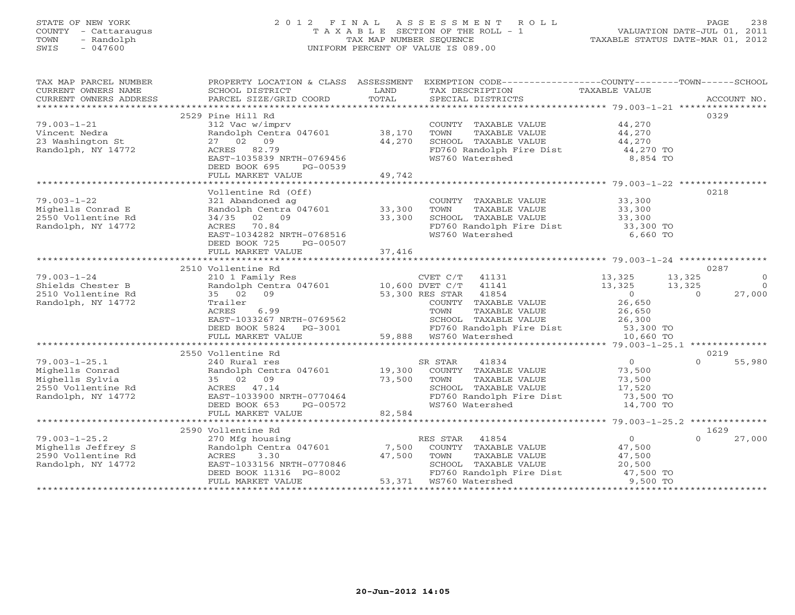## STATE OF NEW YORK 2 0 1 2 F I N A L A S S E S S M E N T R O L L PAGE 238 COUNTY - Cattaraugus T A X A B L E SECTION OF THE ROLL - 1 VALUATION DATE-JUL 01, 2011 TOWN - Randolph TAX MAP NUMBER SEQUENCE TAXABLE STATUS DATE-MAR 01, 2012 SWIS - 047600 UNIFORM PERCENT OF VALUE IS 089.00UNIFORM PERCENT OF VALUE IS 089.00

| TAX MAP PARCEL NUMBER                                                                                                                                                                                                                                                                                                                                                                                                                                                                                                  | PROPERTY LOCATION & CLASS ASSESSMENT EXEMPTION CODE----------------COUNTY-------TOWN------SCHOOL |        |                                                                       |                        |                          |
|------------------------------------------------------------------------------------------------------------------------------------------------------------------------------------------------------------------------------------------------------------------------------------------------------------------------------------------------------------------------------------------------------------------------------------------------------------------------------------------------------------------------|--------------------------------------------------------------------------------------------------|--------|-----------------------------------------------------------------------|------------------------|--------------------------|
| CURRENT OWNERS NAME                                                                                                                                                                                                                                                                                                                                                                                                                                                                                                    | SCHOOL DISTRICT                                                                                  | LAND   | TAX DESCRIPTION                                                       | TAXABLE VALUE          |                          |
| $\begin{minipage}{.45\textwidth} \begin{minipage}{.45\textwidth} \begin{minipage}{.45\textwidth} \begin{minipage}{.45\textwidth} \begin{minipage}{.45\textwidth} \begin{minipage}{.45\textwidth} \begin{minipage}{.45\textwidth} \begin{minipage}{.45\textwidth} \begin{minipage}{.45\textwidth} \begin{minipage}{.45\textwidth} \begin{minipage}{.45\textwidth} \begin{minipage}{.45\textwidth} \begin{minipage}{.45\textwidth} \begin{minipage}{.45\textwidth} \begin{minipage}{.45\textwidth} \begin{minipage}{.45$ |                                                                                                  |        |                                                                       |                        |                          |
|                                                                                                                                                                                                                                                                                                                                                                                                                                                                                                                        |                                                                                                  |        |                                                                       |                        |                          |
|                                                                                                                                                                                                                                                                                                                                                                                                                                                                                                                        | 2529 Pine Hill Rd                                                                                |        |                                                                       |                        | 0329                     |
| $79.003 - 1 - 21$                                                                                                                                                                                                                                                                                                                                                                                                                                                                                                      | 312 Vac w/imprv                                                                                  |        | COUNTY TAXABLE VALUE 44,270                                           |                        |                          |
| Vincent Nedra                                                                                                                                                                                                                                                                                                                                                                                                                                                                                                          | Randolph Centra 047601 38,170                                                                    |        | TOWN<br>TAXABLE VALUE                                                 | 44,270<br>44,270       |                          |
| 23 Washington St                                                                                                                                                                                                                                                                                                                                                                                                                                                                                                       | 27 02 09                                                                                         | 44,270 | SCHOOL TAXABLE VALUE                                                  |                        |                          |
| Randolph, NY 14772                                                                                                                                                                                                                                                                                                                                                                                                                                                                                                     | ACRES 82.79                                                                                      |        | FD760 Randolph Fire Dist                                              | 44,270 TO              |                          |
|                                                                                                                                                                                                                                                                                                                                                                                                                                                                                                                        | EAST-1035839 NRTH-0769456                                                                        |        | WS760 Watershed                                                       | 8,854 TO               |                          |
|                                                                                                                                                                                                                                                                                                                                                                                                                                                                                                                        | DEED BOOK 695<br>PG-00539                                                                        |        |                                                                       |                        |                          |
|                                                                                                                                                                                                                                                                                                                                                                                                                                                                                                                        | FULL MARKET VALUE                                                                                | 49,742 |                                                                       |                        |                          |
|                                                                                                                                                                                                                                                                                                                                                                                                                                                                                                                        |                                                                                                  |        |                                                                       |                        |                          |
|                                                                                                                                                                                                                                                                                                                                                                                                                                                                                                                        | Vollentine Rd (Off)                                                                              |        |                                                                       |                        | 0218                     |
| $79.003 - 1 - 22$                                                                                                                                                                                                                                                                                                                                                                                                                                                                                                      | 321 Abandoned ag                                                                                 |        | COUNTY TAXABLE VALUE 33,300                                           |                        |                          |
| Mighells Conrad E                                                                                                                                                                                                                                                                                                                                                                                                                                                                                                      | Randolph Centra 047601 33,300                                                                    |        | TOWN<br>TAXABLE VALUE                                                 |                        |                          |
| 2550 Vollentine Rd                                                                                                                                                                                                                                                                                                                                                                                                                                                                                                     | $34/35$ 02 09                                                                                    | 33,300 | SCHOOL TAXABLE VALUE                                                  | 33,300<br>33,300       |                          |
| Randolph, NY 14772                                                                                                                                                                                                                                                                                                                                                                                                                                                                                                     | ACRES 70.84                                                                                      |        | FD760 Randolph Fire Dist                                              | 33,300 TO              |                          |
|                                                                                                                                                                                                                                                                                                                                                                                                                                                                                                                        | EAST-1034282 NRTH-0768516                                                                        |        | WS760 Watershed                                                       | 6,660 TO               |                          |
|                                                                                                                                                                                                                                                                                                                                                                                                                                                                                                                        | DEED BOOK 725<br>PG-00507                                                                        |        |                                                                       |                        |                          |
|                                                                                                                                                                                                                                                                                                                                                                                                                                                                                                                        | FULL MARKET VALUE                                                                                | 37,416 |                                                                       |                        |                          |
|                                                                                                                                                                                                                                                                                                                                                                                                                                                                                                                        |                                                                                                  |        |                                                                       |                        |                          |
|                                                                                                                                                                                                                                                                                                                                                                                                                                                                                                                        | 2510 Vollentine Rd                                                                               |        |                                                                       |                        | 0287                     |
| $79.003 - 1 - 24$                                                                                                                                                                                                                                                                                                                                                                                                                                                                                                      |                                                                                                  |        | CVET C/T 41131                                                        | 13,325                 | 13,325<br>$\Omega$       |
| Shields Chester B                                                                                                                                                                                                                                                                                                                                                                                                                                                                                                      | 210 1 Family Res<br>Randolph Centra 047601 10,600 DVET C/T 41141                                 |        |                                                                       |                        | 13,325<br>$\overline{0}$ |
| 2510 Vollentine Rd                                                                                                                                                                                                                                                                                                                                                                                                                                                                                                     | 35 02 09                                                                                         |        | 53,300 RES STAR 41854                                                 | $13,325$<br>0          | 27,000<br>$\Omega$       |
| Randolph, NY 14772                                                                                                                                                                                                                                                                                                                                                                                                                                                                                                     | Trailer                                                                                          |        | COUNTY TAXABLE VALUE                                                  | 26,650                 |                          |
|                                                                                                                                                                                                                                                                                                                                                                                                                                                                                                                        | ACRES<br>6.99                                                                                    |        | TOWN<br>TAXABLE VALUE                                                 | 26,650                 |                          |
|                                                                                                                                                                                                                                                                                                                                                                                                                                                                                                                        | EAST-1033267 NRTH-0769562                                                                        |        |                                                                       |                        |                          |
|                                                                                                                                                                                                                                                                                                                                                                                                                                                                                                                        | DEED BOOK 5824 PG-3001 FD760 Randolph F<br>FULL MARKET VALUE 59,888 WS760 Watershed              |        | SCHOOL TAXABLE VALUE 26,300<br>FD760 Randolph Fire Dist 53,300 TO     |                        |                          |
|                                                                                                                                                                                                                                                                                                                                                                                                                                                                                                                        |                                                                                                  |        |                                                                       | 10,660 TO              |                          |
|                                                                                                                                                                                                                                                                                                                                                                                                                                                                                                                        |                                                                                                  |        |                                                                       |                        |                          |
|                                                                                                                                                                                                                                                                                                                                                                                                                                                                                                                        | 2550 Vollentine Rd                                                                               |        |                                                                       |                        | 0219                     |
| $79.003 - 1 - 25.1$                                                                                                                                                                                                                                                                                                                                                                                                                                                                                                    | 240 Rural res                                                                                    |        | 41834<br>SR STAR                                                      | $\overline{0}$         | $\Omega$<br>55,980       |
| Mighells Conrad                                                                                                                                                                                                                                                                                                                                                                                                                                                                                                        | Randolph Centra 047601                                                                           | 19,300 | COUNTY TAXABLE VALUE                                                  | 73,500                 |                          |
| Mighells Sylvia                                                                                                                                                                                                                                                                                                                                                                                                                                                                                                        | 35 02 09                                                                                         | 73,500 | TOWN<br>TAXABLE VALUE                                                 | 73,500                 |                          |
| 2550 Vollentine Rd ACRES 47.14                                                                                                                                                                                                                                                                                                                                                                                                                                                                                         |                                                                                                  |        | SCHOOL TAXABLE VALUE                                                  | 17,520                 |                          |
| Randolph, NY 14772                                                                                                                                                                                                                                                                                                                                                                                                                                                                                                     | EAST-1033900 NRTH-0770464                                                                        |        |                                                                       |                        |                          |
|                                                                                                                                                                                                                                                                                                                                                                                                                                                                                                                        | DEED BOOK 653<br>PG-00572                                                                        |        | FD760 Randolph Fire Dist<br>WS760 Watershed                           | 73,500 TO<br>14,700 TO |                          |
|                                                                                                                                                                                                                                                                                                                                                                                                                                                                                                                        | FULL MARKET VALUE                                                                                | 82,584 |                                                                       |                        |                          |
|                                                                                                                                                                                                                                                                                                                                                                                                                                                                                                                        |                                                                                                  |        |                                                                       |                        |                          |
|                                                                                                                                                                                                                                                                                                                                                                                                                                                                                                                        | 2590 Vollentine Rd                                                                               |        |                                                                       |                        | 1629                     |
| $79.003 - 1 - 25.2$                                                                                                                                                                                                                                                                                                                                                                                                                                                                                                    | 270 Mfg housing                                                                                  |        | 41854<br>RES STAR                                                     | $\overline{0}$         | 27,000<br>$\Omega$       |
| Mighells Jeffrey S                                                                                                                                                                                                                                                                                                                                                                                                                                                                                                     | Randolph Centra 047601                                                                           | 7,500  | COUNTY TAXABLE VALUE                                                  |                        |                          |
| 2590 Vollentine Rd                                                                                                                                                                                                                                                                                                                                                                                                                                                                                                     | 3.30<br>ACRES                                                                                    | 47,500 | TOWN<br>TAXABLE VALUE                                                 | 47,500<br>47,500       |                          |
| Randolph, NY 14772                                                                                                                                                                                                                                                                                                                                                                                                                                                                                                     | EAST-1033156 NRTH-0770846                                                                        |        | SCHOOL TAXABLE VALUE                                                  |                        |                          |
|                                                                                                                                                                                                                                                                                                                                                                                                                                                                                                                        | DEED BOOK 11316 PG-8002                                                                          |        |                                                                       | 20,500<br>47,500 TO    |                          |
|                                                                                                                                                                                                                                                                                                                                                                                                                                                                                                                        | FULL MARKET VALUE                                                                                |        | FD760 Randolph Fire Dist<br>WS760 Watershed<br>53,371 WS760 Watershed | 9,500 TO               |                          |
|                                                                                                                                                                                                                                                                                                                                                                                                                                                                                                                        |                                                                                                  |        |                                                                       |                        |                          |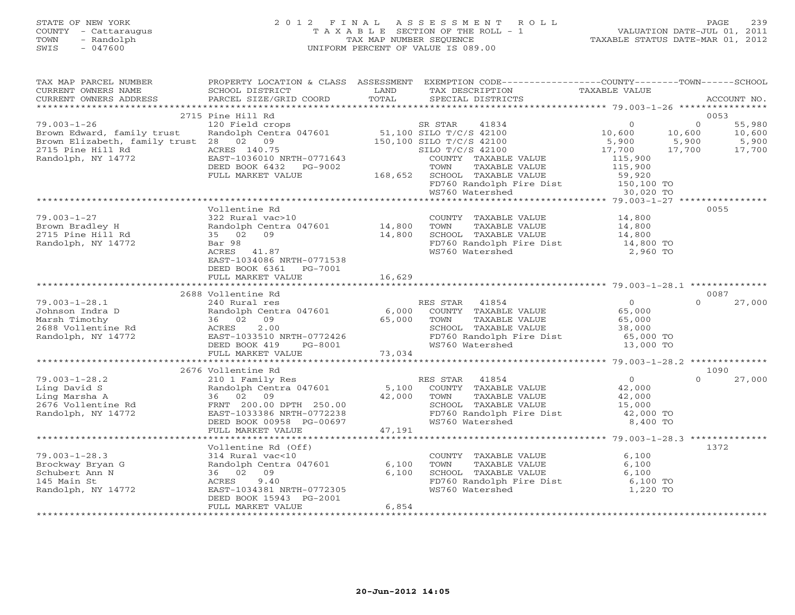## STATE OF NEW YORK 2 0 1 2 F I N A L A S S E S S M E N T R O L L PAGE 239 COUNTY - Cattaraugus T A X A B L E SECTION OF THE ROLL - 1 VALUATION DATE-JUL 01, 2011 TOWN - Randolph TAX MAP NUMBER SEQUENCE TAXABLE STATUS DATE-MAR 01, 2012 SWIS - 047600 UNIFORM PERCENT OF VALUE IS 089.00UNIFORM PERCENT OF VALUE IS 089.00

| TAX MAP PARCEL NUMBER                                                                                                                                                                                                                                                                                                                                                                                                                                                                                                  |                                                                                        |        | PROPERTY LOCATION & CLASS ASSESSMENT EXEMPTION CODE----------------COUNTY-------TOWN------SCHOOL | TAXABLE VALUE                              |                                |
|------------------------------------------------------------------------------------------------------------------------------------------------------------------------------------------------------------------------------------------------------------------------------------------------------------------------------------------------------------------------------------------------------------------------------------------------------------------------------------------------------------------------|----------------------------------------------------------------------------------------|--------|--------------------------------------------------------------------------------------------------|--------------------------------------------|--------------------------------|
| CURRENT OWNERS NAME<br>CURRENT OWNERS ADDRESS                                                                                                                                                                                                                                                                                                                                                                                                                                                                          | SCHOOL DISTRICT                                                                        | LAND   | TAX DESCRIPTION                                                                                  |                                            |                                |
| $\begin{minipage}{.45\textwidth} \begin{minipage}{.45\textwidth} \begin{minipage}{.45\textwidth} \begin{minipage}{.45\textwidth} \begin{minipage}{.45\textwidth} \begin{minipage}{.45\textwidth} \begin{minipage}{.45\textwidth} \begin{minipage}{.45\textwidth} \begin{minipage}{.45\textwidth} \begin{minipage}{.45\textwidth} \begin{minipage}{.45\textwidth} \begin{minipage}{.45\textwidth} \begin{minipage}{.45\textwidth} \begin{minipage}{.45\textwidth} \begin{minipage}{.45\textwidth} \begin{minipage}{.45$ |                                                                                        |        |                                                                                                  |                                            |                                |
|                                                                                                                                                                                                                                                                                                                                                                                                                                                                                                                        | 2715 Pine Hill Rd                                                                      |        |                                                                                                  |                                            | 0053                           |
| $79.003 - 1 - 26$                                                                                                                                                                                                                                                                                                                                                                                                                                                                                                      |                                                                                        |        |                                                                                                  | $\Omega$                                   | $\overline{0}$<br>55,980       |
| Brown Edward, family trust                                                                                                                                                                                                                                                                                                                                                                                                                                                                                             | 120 Field crops 51,100 SR STAR 41834<br>Randolph Centra 047601 51,100 SILO T/C/S 42100 |        |                                                                                                  | 10,600                                     | 10,600<br>10,600               |
| Brown Elizabeth, family trust 28 02 09                                                                                                                                                                                                                                                                                                                                                                                                                                                                                 |                                                                                        |        |                                                                                                  | 5,900                                      | 5,900                          |
| 2715 Pine Hill Rd                                                                                                                                                                                                                                                                                                                                                                                                                                                                                                      | ACRES 140.75<br>EAST-1036010                                                           |        | $150,100$ SILO T/C/S 42100<br>SILO T/C/S 42100<br>SILO T/C/S 42100<br>COUNTY TAXABLE             | 17,700                                     | $\frac{5}{17}$ , 900<br>17,700 |
| Randolph, NY 14772                                                                                                                                                                                                                                                                                                                                                                                                                                                                                                     | EAST-1036010 NRTH-0771643                                                              |        | COUNTY TAXABLE VALUE                                                                             | 115,900                                    |                                |
|                                                                                                                                                                                                                                                                                                                                                                                                                                                                                                                        | DEED BOOK 6432<br>PG-9002                                                              |        | TAXABLE VALUE<br>TOWN                                                                            | 115,900                                    |                                |
|                                                                                                                                                                                                                                                                                                                                                                                                                                                                                                                        | FULL MARKET VALUE                                                                      |        | 168,652 SCHOOL TAXABLE VALUE                                                                     | 59,920                                     |                                |
|                                                                                                                                                                                                                                                                                                                                                                                                                                                                                                                        |                                                                                        |        | FD760 Randolph Fire Dist 150,100 TO                                                              |                                            |                                |
|                                                                                                                                                                                                                                                                                                                                                                                                                                                                                                                        |                                                                                        |        | WS760 Watershed                                                                                  | 30,020 TO                                  |                                |
|                                                                                                                                                                                                                                                                                                                                                                                                                                                                                                                        |                                                                                        |        |                                                                                                  |                                            |                                |
|                                                                                                                                                                                                                                                                                                                                                                                                                                                                                                                        | Vollentine Rd                                                                          |        |                                                                                                  |                                            | 0055                           |
| $79.003 - 1 - 27$                                                                                                                                                                                                                                                                                                                                                                                                                                                                                                      | 322 Rural vac>10                                                                       |        | COUNTY TAXABLE VALUE                                                                             | 14,800<br>14,800                           |                                |
| Brown Bradley H<br>2715 Pine Hill Rd                                                                                                                                                                                                                                                                                                                                                                                                                                                                                   | Randolph Centra 047601 14,800                                                          |        | TOWN<br>TAXABLE VALUE                                                                            |                                            |                                |
|                                                                                                                                                                                                                                                                                                                                                                                                                                                                                                                        | 35 02 09                                                                               | 14,800 | SCHOOL TAXABLE VALUE<br>FD760 Randolph Fire Dist 14,800 TO                                       | 14,800                                     |                                |
| Randolph, NY 14772                                                                                                                                                                                                                                                                                                                                                                                                                                                                                                     | Bar 98                                                                                 |        |                                                                                                  |                                            |                                |
|                                                                                                                                                                                                                                                                                                                                                                                                                                                                                                                        | ACRES 41.87                                                                            |        | WS760 Watershed                                                                                  | 2,960 TO                                   |                                |
|                                                                                                                                                                                                                                                                                                                                                                                                                                                                                                                        | EAST-1034086 NRTH-0771538<br>DEED BOOK 6361 PG-7001                                    |        |                                                                                                  |                                            |                                |
|                                                                                                                                                                                                                                                                                                                                                                                                                                                                                                                        | FULL MARKET VALUE                                                                      | 16,629 |                                                                                                  |                                            |                                |
|                                                                                                                                                                                                                                                                                                                                                                                                                                                                                                                        |                                                                                        |        |                                                                                                  |                                            |                                |
|                                                                                                                                                                                                                                                                                                                                                                                                                                                                                                                        | 2688 Vollentine Rd                                                                     |        |                                                                                                  |                                            | 0087                           |
| $79.003 - 1 - 28.1$                                                                                                                                                                                                                                                                                                                                                                                                                                                                                                    | 240 Rural res                                                                          |        | RES STAR 41854                                                                                   |                                            | 27,000<br>$\Omega$             |
| Johnson Indra D                                                                                                                                                                                                                                                                                                                                                                                                                                                                                                        |                                                                                        |        | Randolph Centra 047601 6,000 COUNTY TAXABLE VALUE                                                | $\begin{array}{c} 0 \\ 65,000 \end{array}$ |                                |
| Marsh Timothy                                                                                                                                                                                                                                                                                                                                                                                                                                                                                                          | 36 02 09                                                                               | 65,000 | TAXABLE VALUE 65,000<br>TOWN                                                                     |                                            |                                |
| 2688 Vollentine Rd                                                                                                                                                                                                                                                                                                                                                                                                                                                                                                     | ACRES<br>2.00                                                                          |        | SCHOOL TAXABLE VALUE                                                                             | 38,000                                     |                                |
| Randolph, NY 14772                                                                                                                                                                                                                                                                                                                                                                                                                                                                                                     | EAST-1033510 NRTH-0772426                                                              |        | FD760 Randolph Fire Dist 65,000 TO                                                               |                                            |                                |
|                                                                                                                                                                                                                                                                                                                                                                                                                                                                                                                        | DEED BOOK 419<br>PG-8001                                                               |        | WS760 Watershed                                                                                  | 13,000 TO                                  |                                |
|                                                                                                                                                                                                                                                                                                                                                                                                                                                                                                                        | FULL MARKET VALUE                                                                      | 73,034 |                                                                                                  |                                            |                                |
|                                                                                                                                                                                                                                                                                                                                                                                                                                                                                                                        |                                                                                        |        |                                                                                                  |                                            |                                |
|                                                                                                                                                                                                                                                                                                                                                                                                                                                                                                                        | 2676 Vollentine Rd                                                                     |        |                                                                                                  |                                            | 1090                           |
| $79.003 - 1 - 28.2$                                                                                                                                                                                                                                                                                                                                                                                                                                                                                                    | 210 1 Family Res                                                                       |        | RES STAR 41854                                                                                   | $\overline{O}$                             | 27,000<br>$\Omega$             |
|                                                                                                                                                                                                                                                                                                                                                                                                                                                                                                                        | Randolph Centra 047601                                                                 |        | 5,100 COUNTY TAXABLE VALUE                                                                       | 42,000                                     |                                |
| Ling David S<br>Ling Marsha A<br>2676 Vollentine Rd                                                                                                                                                                                                                                                                                                                                                                                                                                                                    | 36 02 09                                                                               | 42,000 | TAXABLE VALUE<br>TOWN                                                                            | 42,000                                     |                                |
|                                                                                                                                                                                                                                                                                                                                                                                                                                                                                                                        | FRNT 200.00 DPTH 250.00                                                                |        | SCHOOL TAXABLE VALUE                                                                             | 15,000                                     |                                |
| Randolph, NY 14772                                                                                                                                                                                                                                                                                                                                                                                                                                                                                                     | EAST-1033386 NRTH-0772238                                                              |        | FD760 Randolph Fire Dist 42,000 TO                                                               |                                            |                                |
|                                                                                                                                                                                                                                                                                                                                                                                                                                                                                                                        | DEED BOOK 00958 PG-00697                                                               |        | WS760 Watershed                                                                                  | 8,400 TO                                   |                                |
|                                                                                                                                                                                                                                                                                                                                                                                                                                                                                                                        | FULL MARKET VALUE                                                                      | 47,191 |                                                                                                  |                                            |                                |
|                                                                                                                                                                                                                                                                                                                                                                                                                                                                                                                        |                                                                                        |        |                                                                                                  |                                            |                                |
|                                                                                                                                                                                                                                                                                                                                                                                                                                                                                                                        | Vollentine Rd (Off)                                                                    |        |                                                                                                  |                                            | 1372                           |
| $79.003 - 1 - 28.3$<br>Brockway Bryan G                                                                                                                                                                                                                                                                                                                                                                                                                                                                                | 314 Rural vac<10                                                                       | 6,100  | COUNTY TAXABLE VALUE<br>TOWN<br>TAXABLE VALUE                                                    | 6,100                                      |                                |
| Schubert Ann N                                                                                                                                                                                                                                                                                                                                                                                                                                                                                                         | Randolph Centra 047601<br>36    02    09<br>36 02 09                                   | 6,100  | SCHOOL TAXABLE VALUE                                                                             | 6,100<br>6,100                             |                                |
| 145 Main St                                                                                                                                                                                                                                                                                                                                                                                                                                                                                                            | ACRES 9.40                                                                             |        | FD760 Randolph Fire Dist                                                                         | 6,100 TO                                   |                                |
| Randolph, NY 14772                                                                                                                                                                                                                                                                                                                                                                                                                                                                                                     | EAST-1034381 NRTH-0772305                                                              |        | WS760 Watershed                                                                                  | 1,220 TO                                   |                                |
|                                                                                                                                                                                                                                                                                                                                                                                                                                                                                                                        | DEED BOOK 15943 PG-2001                                                                |        |                                                                                                  |                                            |                                |
|                                                                                                                                                                                                                                                                                                                                                                                                                                                                                                                        | FULL MARKET VALUE                                                                      | 6,854  |                                                                                                  |                                            |                                |
|                                                                                                                                                                                                                                                                                                                                                                                                                                                                                                                        |                                                                                        |        |                                                                                                  |                                            |                                |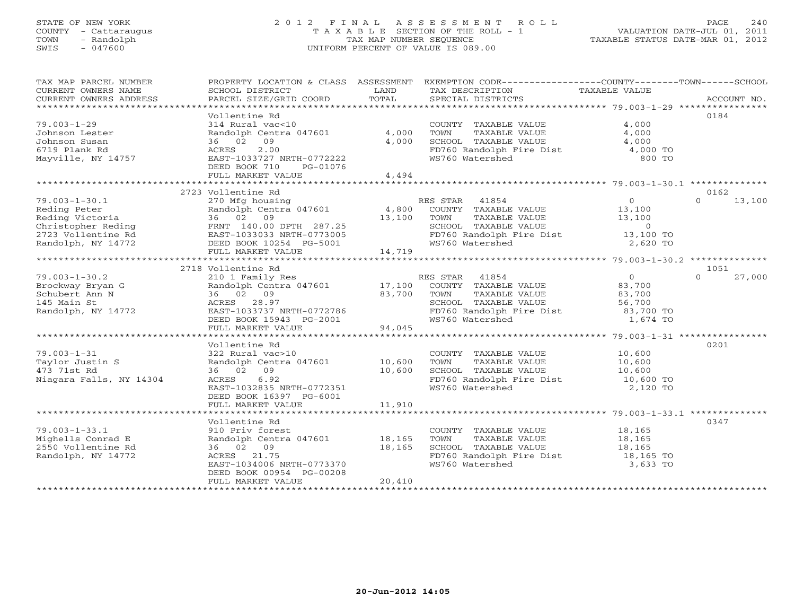# STATE OF NEW YORK 2 0 1 2 F I N A L A S S E S S M E N T R O L L PAGE 240 COUNTY - Cattaraugus T A X A B L E SECTION OF THE ROLL - 1 VALUATION DATE-JUL 01, 2011 TOWN - Randolph TAX MAP NUMBER SEQUENCE TAXABLE STATUS DATE-MAR 01, 2012 SWIS - 047600 UNIFORM PERCENT OF VALUE IS 089.00

| TAX MAP PARCEL NUMBER<br>CURRENT OWNERS NAME<br>CURRENT OWNERS ADDRESS                                                   | PROPERTY LOCATION & CLASS ASSESSMENT<br>SCHOOL DISTRICT<br>PARCEL SIZE/GRID COORD                                                                                       | LAND<br>TOTAL              | EXEMPTION CODE-----------------COUNTY-------TOWN------SCHOOL<br>TAX DESCRIPTION<br>SPECIAL DISTRICTS                                      | TAXABLE VALUE                                                           | ACCOUNT NO.        |
|--------------------------------------------------------------------------------------------------------------------------|-------------------------------------------------------------------------------------------------------------------------------------------------------------------------|----------------------------|-------------------------------------------------------------------------------------------------------------------------------------------|-------------------------------------------------------------------------|--------------------|
| $79.003 - 1 - 29$<br>Johnson Lester<br>Johnson Susan<br>6719 Plank Rd<br>Mayville, NY 14757                              | Vollentine Rd<br>314 Rural vac<10<br>Randolph Centra 047601<br>36 02 09<br>2.00<br>ACRES<br>EAST-1033727 NRTH-0772222<br>DEED BOOK 710<br>PG-01076<br>FULL MARKET VALUE | 4,000<br>4,000<br>4,494    | COUNTY TAXABLE VALUE<br>TAXABLE VALUE<br>TOWN<br>SCHOOL TAXABLE VALUE<br>FD760 Randolph Fire Dist<br>WS760 Watershed                      | 4,000<br>4,000<br>4,000<br>4,000 TO<br>800 TO                           | 0184               |
|                                                                                                                          | 2723 Vollentine Rd                                                                                                                                                      |                            |                                                                                                                                           |                                                                         | 0162               |
| $79.003 - 1 - 30.1$<br>Reding Peter<br>Reding Victoria<br>Christopher Reding<br>2723 Vollentine Rd<br>Randolph, NY 14772 | 270 Mfg housing<br>Randolph Centra 047601<br>36 02 09<br>FRNT 140.00 DPTH 287.25<br>EAST-1033033 NRTH-0773005<br>DEED BOOK 10254 PG-5001<br>FULL MARKET VALUE           | 4,800<br>13,100<br>14,719  | RES STAR 41854<br>COUNTY TAXABLE VALUE<br>TAXABLE VALUE<br>TOWN<br>SCHOOL TAXABLE VALUE<br>FD760 Randolph Fire Dist<br>WS760 Watershed    | $\overline{0}$<br>13,100<br>13,100<br>$\Omega$<br>13,100 TO<br>2,620 TO | $\Omega$<br>13,100 |
|                                                                                                                          | 2718 Vollentine Rd                                                                                                                                                      |                            |                                                                                                                                           |                                                                         | 1051               |
| $79.003 - 1 - 30.2$<br>Brockway Bryan G<br>Schubert Ann N<br>145 Main St<br>Randolph, NY 14772                           | 210 1 Family Res<br>Randolph Centra 047601<br>36 02 09<br>ACRES 28.97<br>EAST-1033737 NRTH-0772786<br>DEED BOOK 15943 PG-2001                                           | 17,100<br>83,700           | RES STAR<br>41854<br>COUNTY TAXABLE VALUE<br>TAXABLE VALUE<br>TOWN<br>SCHOOL TAXABLE VALUE<br>FD760 Randolph Fire Dist<br>WS760 Watershed | $\overline{O}$<br>83,700<br>83,700<br>56,700<br>83,700 TO<br>1,674 TO   | $\Omega$<br>27,000 |
|                                                                                                                          | FULL MARKET VALUE                                                                                                                                                       | 94,045                     |                                                                                                                                           |                                                                         |                    |
| $79.003 - 1 - 31$<br>Taylor Justin S<br>473 71st Rd<br>Niagara Falls, NY 14304                                           | Vollentine Rd<br>322 Rural vac>10<br>Randolph Centra 047601<br>36 02 09<br>6.92<br>ACRES<br>EAST-1032835 NRTH-0772351<br>DEED BOOK 16397 PG-6001                        | 10,600<br>10,600           | COUNTY TAXABLE VALUE<br>TOWN<br>TAXABLE VALUE<br>SCHOOL TAXABLE VALUE<br>FD760 Randolph Fire Dist<br>WS760 Watershed                      | 10,600<br>10,600<br>10,600<br>10,600 TO<br>2,120 TO                     | 0201               |
|                                                                                                                          | FULL MARKET VALUE                                                                                                                                                       | 11,910                     |                                                                                                                                           |                                                                         |                    |
| $79.003 - 1 - 33.1$<br>Mighells Conrad E<br>2550 Vollentine Rd<br>Randolph, NY 14772                                     | Vollentine Rd<br>910 Priv forest<br>Randolph Centra 047601<br>36 02 09<br>21.75<br>ACRES<br>EAST-1034006 NRTH-0773370<br>DEED BOOK 00954 PG-00208<br>FULL MARKET VALUE  | 18,165<br>18,165<br>20,410 | COUNTY TAXABLE VALUE<br>TAXABLE VALUE<br>TOWN<br>SCHOOL TAXABLE VALUE<br>FD760 Randolph Fire Dist<br>WS760 Watershed                      | 18,165<br>18,165<br>18,165<br>18,165 TO<br>3,633 TO                     | 0347               |
|                                                                                                                          |                                                                                                                                                                         |                            |                                                                                                                                           |                                                                         |                    |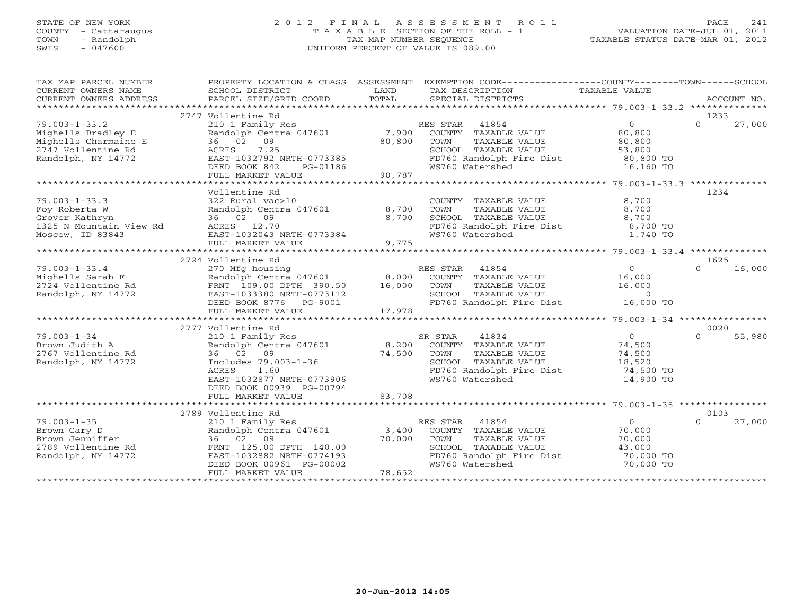# STATE OF NEW YORK 2 0 1 2 F I N A L A S S E S S M E N T R O L L PAGE 241 COUNTY - Cattaraugus T A X A B L E SECTION OF THE ROLL - 1 VALUATION DATE-JUL 01, 2011 TOWN - Randolph TAX MAP NUMBER SEQUENCE TAXABLE STATUS DATE-MAR 01, 2012 SWIS - 047600 UNIFORM PERCENT OF VALUE IS 089.00

| TAX MAP PARCEL NUMBER<br>CURRENT OWNERS NAME<br>CURRENT OWNERS ADDRESS | PROPERTY LOCATION & CLASS ASSESSMENT<br>SCHOOL DISTRICT | LAND<br>TOTAL | EXEMPTION CODE-----------------COUNTY-------TOWN------SCHOOL<br>TAX DESCRIPTION | TAXABLE VALUE  | ACCOUNT NO.        |
|------------------------------------------------------------------------|---------------------------------------------------------|---------------|---------------------------------------------------------------------------------|----------------|--------------------|
|                                                                        | PARCEL SIZE/GRID COORD                                  |               | SPECIAL DISTRICTS                                                               |                |                    |
|                                                                        | 2747 Vollentine Rd                                      |               |                                                                                 |                | 1233               |
| $79.003 - 1 - 33.2$                                                    | 210 1 Family Res                                        |               | RES STAR<br>41854                                                               | $\overline{0}$ | 27,000<br>$\Omega$ |
| Mighells Bradley E                                                     | Randolph Centra 047601                                  | 7,900         | COUNTY TAXABLE VALUE                                                            | 80,800         |                    |
| Mighells Charmaine E                                                   | 36 02 09                                                | 80,800        | TOWN<br>TAXABLE VALUE                                                           | 80,800         |                    |
| 2747 Vollentine Rd                                                     | 7.25<br>ACRES                                           |               | SCHOOL TAXABLE VALUE                                                            | 53,800         |                    |
| Randolph, NY 14772                                                     | EAST-1032792 NRTH-0773385                               |               | FD760 Randolph Fire Dist                                                        | 80,800 TO      |                    |
|                                                                        | DEED BOOK 842<br>PG-01186                               |               | WS760 Watershed                                                                 | 16,160 TO      |                    |
|                                                                        | FULL MARKET VALUE                                       | 90,787        |                                                                                 |                |                    |
|                                                                        |                                                         |               |                                                                                 |                |                    |
|                                                                        | Vollentine Rd                                           |               |                                                                                 |                | 1234               |
| $79.003 - 1 - 33.3$                                                    | 322 Rural vac>10                                        |               | COUNTY TAXABLE VALUE                                                            | 8,700          |                    |
| Foy Roberta W                                                          | Randolph Centra 047601                                  | 8,700         | TAXABLE VALUE<br>TOWN                                                           | 8,700          |                    |
| Grover Kathryn                                                         | 36 02 09                                                | 8,700         | SCHOOL TAXABLE VALUE                                                            | 8,700          |                    |
| 1325 N Mountain View Rd                                                | ACRES 12.70                                             |               | FD760 Randolph Fire Dist<br>WS760 Watershed                                     | 8,700 TO       |                    |
| Moscow, ID 83843                                                       | EAST-1032043 NRTH-0773384                               |               | WS760 Watershed                                                                 | 1,740 TO       |                    |
|                                                                        | FULL MARKET VALUE                                       | 9,775         |                                                                                 |                |                    |
|                                                                        |                                                         |               |                                                                                 |                |                    |
|                                                                        | 2724 Vollentine Rd                                      |               |                                                                                 |                | 1625               |
| $79.003 - 1 - 33.4$                                                    | 270 Mfg housing                                         |               | RES STAR<br>41854                                                               | $\circ$        | 16,000<br>$\Omega$ |
| Mighells Sarah F                                                       | Randolph Centra 047601                                  | 8,000         | COUNTY TAXABLE VALUE                                                            | 16,000         |                    |
| 2724 Vollentine Rd                                                     | FRNT 109.00 DPTH 390.50                                 | 16,000        | TOWN<br>TAXABLE VALUE                                                           | 16,000         |                    |
| Randolph, NY 14772                                                     | EAST-1033380 NRTH-0773112                               |               | SCHOOL TAXABLE VALUE                                                            | $\overline{0}$ |                    |
|                                                                        | DEED BOOK 8776 PG-9001                                  |               | FD760 Randolph Fire Dist                                                        | 16,000 TO      |                    |
|                                                                        | FULL MARKET VALUE                                       | 17,978        |                                                                                 |                |                    |
|                                                                        |                                                         |               |                                                                                 |                |                    |
|                                                                        | 2777 Vollentine Rd                                      |               |                                                                                 |                | 0020<br>$\Omega$   |
| $79.003 - 1 - 34$                                                      | 210 1 Family Res                                        |               | 41834<br>SR STAR                                                                | $\overline{0}$ | 55,980             |
| Brown Judith A                                                         | Randolph Centra 047601                                  | 8,200         | COUNTY TAXABLE VALUE                                                            | 74,500         |                    |
| 2767 Vollentine Rd                                                     | 02<br>09<br>36                                          | 74,500        | TOWN<br>TAXABLE VALUE                                                           | 74,500         |                    |
| Randolph, NY 14772                                                     | Includes 79.003-1-36                                    |               | SCHOOL TAXABLE VALUE                                                            | 18,520         |                    |
|                                                                        | ACRES<br>1.60                                           |               | FD760 Randolph Fire Dist                                                        | 74,500 TO      |                    |
|                                                                        | EAST-1032877 NRTH-0773906                               |               | WS760 Watershed                                                                 | 14,900 TO      |                    |
|                                                                        | DEED BOOK 00939 PG-00794                                |               |                                                                                 |                |                    |
|                                                                        | FULL MARKET VALUE                                       | 83,708        |                                                                                 |                |                    |
|                                                                        | 2789 Vollentine Rd                                      |               |                                                                                 |                | 0103               |
| $79.003 - 1 - 35$                                                      |                                                         |               |                                                                                 | $\overline{0}$ | $\Omega$<br>27,000 |
| Brown Gary D                                                           | 210 1 Family Res<br>Randolph Centra 047601              | 3,400         | RES STAR 41854<br>COUNTY TAXABLE VALUE                                          | 70,000         |                    |
| Brown Jenniffer                                                        | 36 02 09                                                | 70,000        | TOWN<br>TAXABLE VALUE                                                           | 70,000         |                    |
| 2789 Vollentine Rd                                                     | FRNT 125.00 DPTH 140.00                                 |               | SCHOOL TAXABLE VALUE                                                            | 43,000         |                    |
| Randolph, NY 14772                                                     | EAST-1032882 NRTH-0774193                               |               | FD760 Randolph Fire Dist                                                        | 70,000 TO      |                    |
|                                                                        | DEED BOOK 00961 PG-00002                                |               | WS760 Watershed                                                                 | 70,000 TO      |                    |
|                                                                        | FULL MARKET VALUE                                       | 78,652        |                                                                                 |                |                    |
|                                                                        |                                                         |               |                                                                                 |                |                    |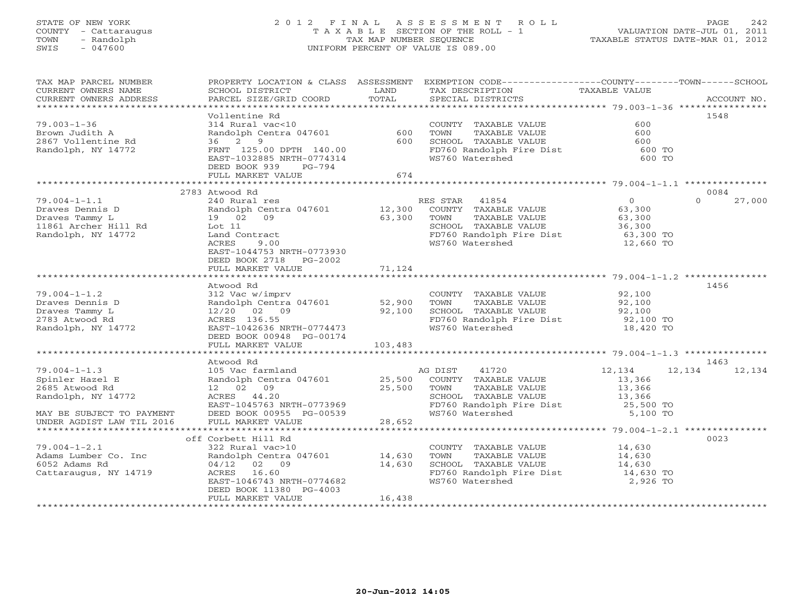# STATE OF NEW YORK 2 0 1 2 F I N A L A S S E S S M E N T R O L L PAGE 242 COUNTY - Cattaraugus T A X A B L E SECTION OF THE ROLL - 1 VALUATION DATE-JUL 01, 2011 TOWN - Randolph TAX MAP NUMBER SEQUENCE TAXABLE STATUS DATE-MAR 01, 2012 SWIS - 047600 UNIFORM PERCENT OF VALUE IS 089.00

| TAX MAP PARCEL NUMBER                      |                                                  |         | PROPERTY LOCATION & CLASS ASSESSMENT EXEMPTION CODE----------------COUNTY-------TOWN------SCHOOL |                  |                    |
|--------------------------------------------|--------------------------------------------------|---------|--------------------------------------------------------------------------------------------------|------------------|--------------------|
| CURRENT OWNERS NAME                        | SCHOOL DISTRICT                                  | LAND    | TAX DESCRIPTION                                                                                  | TAXABLE VALUE    |                    |
| CURRENT OWNERS ADDRESS                     | PARCEL SIZE/GRID COORD                           | TOTAL   | SPECIAL DISTRICTS                                                                                |                  | ACCOUNT NO.        |
|                                            |                                                  |         |                                                                                                  |                  |                    |
|                                            | Vollentine Rd                                    |         |                                                                                                  |                  | 1548               |
| $79.003 - 1 - 36$                          | 314 Rural vac<10                                 |         | COUNTY TAXABLE VALUE                                                                             | 600              |                    |
| Brown Judith A                             | Randolph Centra 047601                           | 600     | TOWN<br>TAXABLE VALUE                                                                            | 600              |                    |
| 2867 Vollentine Rd                         | 36 2 9                                           | 600     | SCHOOL TAXABLE VALUE                                                                             | 600              |                    |
| Randolph, NY 14772                         | FRNT 125.00 DPTH 140.00                          |         | FD760 Randolph Fire Dist 600 TO                                                                  |                  |                    |
|                                            | EAST-1032885 NRTH-0774314                        |         | WS760 Watershed                                                                                  | 600 TO           |                    |
|                                            | DEED BOOK 939<br>PG-794                          |         |                                                                                                  |                  |                    |
|                                            | FULL MARKET VALUE                                | 674     |                                                                                                  |                  |                    |
|                                            |                                                  |         |                                                                                                  |                  |                    |
|                                            | 2783 Atwood Rd                                   |         |                                                                                                  |                  | 0084               |
| $79.004 - 1 - 1.1$                         | 240 Rural res                                    |         | RES STAR<br>41854                                                                                | $\overline{0}$   | $\Omega$<br>27,000 |
| Draves Dennis D                            | Randolph Centra 047601<br>19   02   09<br>Lot 11 | 12,300  | COUNTY TAXABLE VALUE                                                                             | 63,300           |                    |
| Draves Tammy L                             |                                                  | 63,300  | TOWN<br>TAXABLE VALUE                                                                            | 63,300           |                    |
| 11861 Archer Hill Rd<br>Randolph, NY 14772 |                                                  |         | SCHOOL TAXABLE VALUE                                                                             | 36,300           |                    |
| Randolph, NY 14772                         | Land Contract                                    |         | FD760 Randolph Fire Dist                                                                         | 63,300 TO        |                    |
|                                            | 9.00<br>ACRES                                    |         | WS760 Watershed                                                                                  | 12,660 TO        |                    |
|                                            | EAST-1044753 NRTH-0773930                        |         |                                                                                                  |                  |                    |
|                                            | DEED BOOK 2718 PG-2002                           |         |                                                                                                  |                  |                    |
|                                            | FULL MARKET VALUE                                | 71,124  |                                                                                                  |                  |                    |
|                                            |                                                  |         |                                                                                                  |                  |                    |
|                                            | Atwood Rd                                        |         |                                                                                                  |                  | 1456               |
| $79.004 - 1 - 1.2$                         | 312 Vac w/imprv                                  |         | COUNTY TAXABLE VALUE 92,100                                                                      |                  |                    |
| Draves Dennis D                            | Randolph Centra 047601                           | 52,900  | TOWN<br>TAXABLE VALUE                                                                            | 92,100           |                    |
| Draves Tammy L                             | 12/20 02 09                                      | 92,100  | SCHOOL TAXABLE VALUE                                                                             | 92,100           |                    |
| 2783 Atwood Rd                             | ACRES 136.55                                     |         | FD760 Randolph Fire Dist<br>we760 Watershed                                                      | 92,100 TO        |                    |
| Randolph, NY 14772                         | EAST-1042636 NRTH-0774473                        |         | WS760 Watershed                                                                                  | 18,420 TO        |                    |
|                                            | DEED BOOK 00948 PG-00174                         |         |                                                                                                  |                  |                    |
|                                            | FULL MARKET VALUE                                | 103,483 |                                                                                                  |                  |                    |
|                                            |                                                  |         |                                                                                                  |                  |                    |
|                                            | Atwood Rd                                        |         |                                                                                                  |                  | 1463               |
| $79.004 - 1 - 1.3$                         | 105 Vac farmland                                 |         | 41720<br>AG DIST                                                                                 | 12,134<br>12,134 | 12,134             |
| Spinler Hazel E                            | Randolph Centra 047601 25,500                    |         | COUNTY TAXABLE VALUE                                                                             | 13,366           |                    |
| 2685 Atwood Rd                             | 12 02 09                                         | 25,500  | TAXABLE VALUE<br>TOWN                                                                            | 13,366           |                    |
| Randolph, NY 14772                         | ACRES 44.20                                      |         | SCHOOL TAXABLE VALUE                                                                             | 13,366           |                    |
|                                            | EAST-1045763 NRTH-0773969                        |         | SCHOOL TAXABLE VALUE<br>FD760 Randolph Fire Dist                                                 | 25,500 TO        |                    |
| MAY BE SUBJECT TO PAYMENT                  | DEED BOOK 00955 PG-00539                         |         | WS760 Watershed                                                                                  | 5,100 TO         |                    |
| UNDER AGDIST LAW TIL 2016                  | FULL MARKET VALUE                                | 28,652  |                                                                                                  |                  |                    |
|                                            |                                                  |         |                                                                                                  |                  |                    |
|                                            | off Corbett Hill Rd                              |         |                                                                                                  |                  | 0023               |
| $79.004 - 1 - 2.1$                         | 322 Rural vac>10                                 |         | COUNTY TAXABLE VALUE                                                                             | 14,630           |                    |
| Adams Lumber Co. Inc                       | Randolph Centra 047601                           | 14,630  | TOWN<br>TAXABLE VALUE                                                                            | 14,630           |                    |
| 6052 Adams Rd                              | $04/12$ 02 09                                    | 14,630  | SCHOOL TAXABLE VALUE                                                                             | 14,630           |                    |
| Cattaraugus, NY 14719                      | ACRES 16.60                                      |         | FD760 Randolph Fire Dist 14,630 TO                                                               |                  |                    |
|                                            | EAST-1046743 NRTH-0774682                        |         | WS760 Watershed                                                                                  | 2,926 TO         |                    |
|                                            | DEED BOOK 11380 PG-4003                          |         |                                                                                                  |                  |                    |
|                                            | FULL MARKET VALUE                                | 16,438  |                                                                                                  |                  |                    |
|                                            |                                                  |         |                                                                                                  |                  |                    |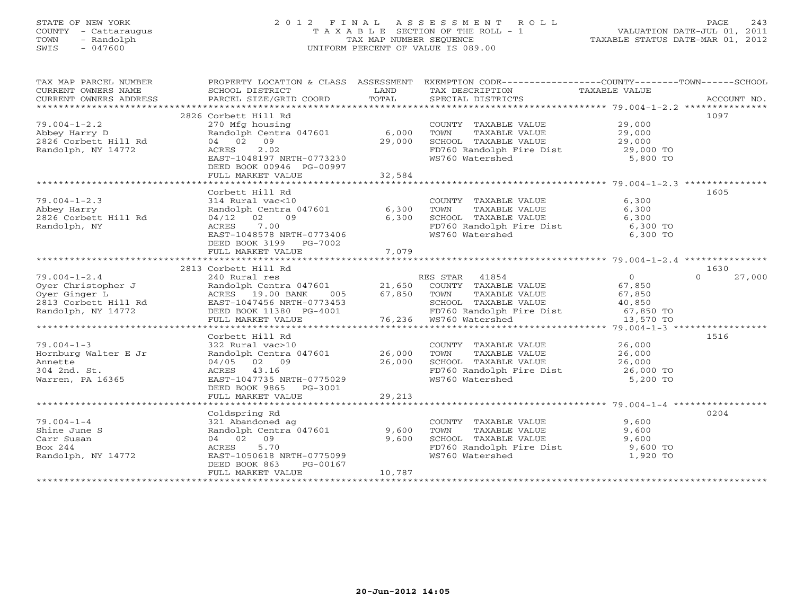## STATE OF NEW YORK 2 0 1 2 F I N A L A S S E S S M E N T R O L L PAGE 243 COUNTY - Cattaraugus T A X A B L E SECTION OF THE ROLL - 1 VALUATION DATE-JUL 01, 2011 TOWN - Randolph TAX MAP NUMBER SEQUENCE TAXABLE STATUS DATE-MAR 01, 2012 SWIS - 047600 UNIFORM PERCENT OF VALUE IS 089.00UNIFORM PERCENT OF VALUE IS 089.00

| TAX MAP PARCEL NUMBER                                                                                                                                                                                                                                                                                                                                                                                                |                                                                                                                                                                                                                                            |        | PROPERTY LOCATION & CLASS ASSESSMENT EXEMPTION CODE----------------COUNTY-------TOWN------SCHOOL                                                                                                                                                                                                                                                                                                                                                                                                   |                                                       |                    |
|----------------------------------------------------------------------------------------------------------------------------------------------------------------------------------------------------------------------------------------------------------------------------------------------------------------------------------------------------------------------------------------------------------------------|--------------------------------------------------------------------------------------------------------------------------------------------------------------------------------------------------------------------------------------------|--------|----------------------------------------------------------------------------------------------------------------------------------------------------------------------------------------------------------------------------------------------------------------------------------------------------------------------------------------------------------------------------------------------------------------------------------------------------------------------------------------------------|-------------------------------------------------------|--------------------|
|                                                                                                                                                                                                                                                                                                                                                                                                                      |                                                                                                                                                                                                                                            |        |                                                                                                                                                                                                                                                                                                                                                                                                                                                                                                    |                                                       |                    |
|                                                                                                                                                                                                                                                                                                                                                                                                                      | 2826 Corbett Hill Rd                                                                                                                                                                                                                       |        |                                                                                                                                                                                                                                                                                                                                                                                                                                                                                                    |                                                       | 1097               |
| 79.004-1-2.2<br>Abbey Harry D<br>2826 Corbett Hill Rd<br>2826 Corbett Hill Rd<br>29,000<br>Randolph, NY 14772<br>2.02<br>2.02<br>2.02<br>2.02                                                                                                                                                                                                                                                                        |                                                                                                                                                                                                                                            |        | COUNTY TAXABLE VALUE<br>TOWN TAXABLE VALUE 29,000<br>SCHOOL TAXABLE VALUE 29,000                                                                                                                                                                                                                                                                                                                                                                                                                   |                                                       |                    |
|                                                                                                                                                                                                                                                                                                                                                                                                                      | ACRES 2.02<br>EAST-1048197 NRTH-0773230<br>DEED BOOK 00946 PG-00997                                                                                                                                                                        |        | FD760 Randolph Fire Dist 29,000 TO<br>WS760 Watershed 5,800 TO                                                                                                                                                                                                                                                                                                                                                                                                                                     |                                                       |                    |
|                                                                                                                                                                                                                                                                                                                                                                                                                      |                                                                                                                                                                                                                                            |        |                                                                                                                                                                                                                                                                                                                                                                                                                                                                                                    |                                                       |                    |
|                                                                                                                                                                                                                                                                                                                                                                                                                      |                                                                                                                                                                                                                                            |        |                                                                                                                                                                                                                                                                                                                                                                                                                                                                                                    |                                                       | 1605               |
| $79.004 - 1 - 2.3$<br>/9.004-1-2.3<br>Abbey Harry<br>2826 Corbett Hill Rd<br>Randolph, NY                                                                                                                                                                                                                                                                                                                            | $x * x * $<br>Corbett Hill Rd<br>314 Rural vac<10<br>Randolph Centra 047601 6,300<br>04/12 02 09 6,300<br>7 00 ---106<br>DEED BOOK 3199 PG-7002                                                                                            |        | COUNTY TAXABLE VALUE<br>TOWN        TAXABLE  VALUE<br>SCHOOL    TAXABLE  VALUE<br>FD760 Randolph Fire Dist 6,300 TO<br>WS760 Watershed 6,300 TO                                                                                                                                                                                                                                                                                                                                                    | 6,300<br>6,300<br>6,300                               |                    |
|                                                                                                                                                                                                                                                                                                                                                                                                                      |                                                                                                                                                                                                                                            |        |                                                                                                                                                                                                                                                                                                                                                                                                                                                                                                    |                                                       |                    |
|                                                                                                                                                                                                                                                                                                                                                                                                                      |                                                                                                                                                                                                                                            |        |                                                                                                                                                                                                                                                                                                                                                                                                                                                                                                    |                                                       |                    |
|                                                                                                                                                                                                                                                                                                                                                                                                                      | 2813 Corbett Hill Rd                                                                                                                                                                                                                       |        |                                                                                                                                                                                                                                                                                                                                                                                                                                                                                                    |                                                       | 1630               |
| $79.004 - 1 - 2.4$                                                                                                                                                                                                                                                                                                                                                                                                   |                                                                                                                                                                                                                                            |        |                                                                                                                                                                                                                                                                                                                                                                                                                                                                                                    |                                                       | $\Omega$<br>27,000 |
| $\begin{array}{cccccccc} 79.004-1-2.4 & 240 \text{ KUT} & \text{KED} & \text{STAR} & 41004 \\\text{Over Christopher J} & \text{RandO1ph} & \text{CUTY} & \text{RandO1ph} & 21,650 & \text{CUMTY} & \text{TXABLE VALUE} & 67,850 \\\text{Over Ginger L} & \text{RandO1ph} & \text{RCTRES} & 19.00 \text{ BANK} & 005 & 67,850 & \text{TOMN} & \text{TXABLE VALUE} & 67,850 \\\text{QPT} & \text{Gright} & \text{EST}$ | Corbett Hill Rd<br>240 Rural res<br>Randolph Centra 047601 21,650 COUNTY TAXABLE VALUE 67,850<br>21,650 COUNTY TAXABLE VALUE 67,850<br>21,650 COUNTY TAXABLE VALUE 67,850<br>27,850 COUNTY TAXABLE VALUE 67,850<br>27,850 SCHOOL TAXABLE V |        |                                                                                                                                                                                                                                                                                                                                                                                                                                                                                                    | $\begin{array}{c}\n0 \\ 67 \text{ or } \n\end{array}$ |                    |
|                                                                                                                                                                                                                                                                                                                                                                                                                      |                                                                                                                                                                                                                                            |        |                                                                                                                                                                                                                                                                                                                                                                                                                                                                                                    |                                                       |                    |
|                                                                                                                                                                                                                                                                                                                                                                                                                      | Corbett Hill Rd                                                                                                                                                                                                                            |        |                                                                                                                                                                                                                                                                                                                                                                                                                                                                                                    |                                                       | 1516               |
| $79.004 - 1 - 3$<br>Hornburg Walter E Jr<br>Annette<br>304 2nd. St.<br>Warren, PA 16365                                                                                                                                                                                                                                                                                                                              | 322 Rural vac>10<br>Randolph Centra 047601 26,000<br>04/05 02 09<br>ACRES 43.16<br>EAST-1047735 NRTH-0775029<br>DEED BOOK 9865 PG-3001                                                                                                     | 26,000 | $\begin{tabular}{llllll} \multicolumn{2}{c}{\textbf{COUNTY}} & \textbf{TAXABLE VALUE} & & \\ \multicolumn{2}{c}{\textbf{TOXABLE VALUE}} & & \\ \multicolumn{2}{c}{\textbf{TOXABLE VALUE}} & & \\ \multicolumn{2}{c}{\textbf{26,000}} & & \\ \multicolumn{2}{c}{\textbf{18.25}} & & \\ \multicolumn{2}{c}{\textbf{19.2}} & & \\ \multicolumn{2}{c}{\textbf{19.2}} & & \\ \multicolumn{2}{c}{\textbf{19.2}} & & \\ \multicolumn{2}{c}{\textbf{19.2}} & & \\ \multicolumn{2}{c}{\$<br>WS760 Watershed | 5,200 TO                                              |                    |
|                                                                                                                                                                                                                                                                                                                                                                                                                      | FULL MARKET VALUE                                                                                                                                                                                                                          | 29,213 |                                                                                                                                                                                                                                                                                                                                                                                                                                                                                                    |                                                       |                    |
|                                                                                                                                                                                                                                                                                                                                                                                                                      |                                                                                                                                                                                                                                            |        |                                                                                                                                                                                                                                                                                                                                                                                                                                                                                                    |                                                       |                    |
| $79.004 - 1 - 4$<br>Shine June S<br>Carr Susan<br>Box 244<br>Randolph, NY 14772                                                                                                                                                                                                                                                                                                                                      | Coldspring Rd<br>321 Abandoned ag<br>Randolph Centra 047601 9,600<br>04 02 09<br>5.70<br>ACRES<br>EAST-1050618 NRTH-0775099<br>PG-00167<br>DEED BOOK 863                                                                                   | 9,600  | COUNTY TAXABLE VALUE<br>TOWN TAXABLE VALUE<br>SCHOOL TAXABLE VALUE 9,600<br>FD760 Randolph Fire Dist 9,600 TO<br>WS760 Watershed                                                                                                                                                                                                                                                                                                                                                                   | 9,600<br>9,600<br>1,920 TO                            | 0204               |
|                                                                                                                                                                                                                                                                                                                                                                                                                      | FULL MARKET VALUE                                                                                                                                                                                                                          | 10,787 |                                                                                                                                                                                                                                                                                                                                                                                                                                                                                                    |                                                       |                    |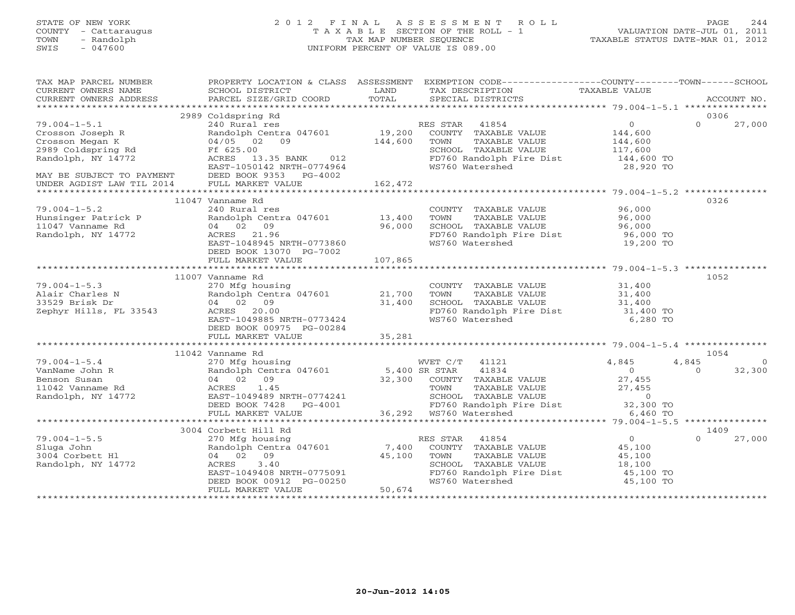## STATE OF NEW YORK 2 0 1 2 F I N A L A S S E S S M E N T R O L L PAGE 244 COUNTY - Cattaraugus T A X A B L E SECTION OF THE ROLL - 1 VALUATION DATE-JUL 01, 2011 TOWN - Randolph TAX MAP NUMBER SEQUENCE TAXABLE STATUS DATE-MAR 01, 2012 SWIS - 047600 UNIFORM PERCENT OF VALUE IS 089.00UNIFORM PERCENT OF VALUE IS 089.00

| TAX MAP PARCEL NUMBER<br>CURRENT OWNERS NAME<br>CURRENT OWNERS ADDRESS                                                                                                   | SCHOOL DISTRICT<br>PARCEL SIZE/GRID COORD                                                             | <b>LAND</b><br>TOTAL | PROPERTY LOCATION & CLASS ASSESSMENT EXEMPTION CODE---------------COUNTY-------TOWN------SCHOOL<br>TAX DESCRIPTION<br>SPECIAL DISTRICTS                                                                                                       | TAXABLE VALUE                              | ACCOUNT NO.                |
|--------------------------------------------------------------------------------------------------------------------------------------------------------------------------|-------------------------------------------------------------------------------------------------------|----------------------|-----------------------------------------------------------------------------------------------------------------------------------------------------------------------------------------------------------------------------------------------|--------------------------------------------|----------------------------|
|                                                                                                                                                                          |                                                                                                       |                      |                                                                                                                                                                                                                                               |                                            |                            |
|                                                                                                                                                                          | 2989 Coldspring Rd                                                                                    |                      |                                                                                                                                                                                                                                               | $\overline{O}$                             | 0306<br>27,000<br>$\Omega$ |
| $79.004 - 1 - 5.1$                                                                                                                                                       | 240 Rural res                                                                                         |                      | RES STAR 41854                                                                                                                                                                                                                                |                                            |                            |
| Crosson Joseph R                                                                                                                                                         |                                                                                                       |                      | Randolph Centra 047601 19,200 COUNTY TAXABLE VALUE 144,600<br>04/05 02 09 144,600 TOWN TAXABLE VALUE 144,600                                                                                                                                  |                                            |                            |
| Crosson Megan<br>2989 Coldspring Rd<br>1977 - 1977                                                                                                                       | Ff 625.00                                                                                             |                      | TOWN TAXABLE VALUE<br>SCHOOL TAXABLE VALUE 117,600<br>TRICO Rendelph Fire Dist 144,600 TO                                                                                                                                                     |                                            |                            |
|                                                                                                                                                                          | ACRES 13.35 BANK 012                                                                                  |                      | FD760 Randolph Fire Dist                                                                                                                                                                                                                      |                                            |                            |
|                                                                                                                                                                          | EAST-1050142 NRTH-0774964                                                                             |                      | WS760 Watershed                                                                                                                                                                                                                               | 28,920 TO                                  |                            |
| MAY BE SUBJECT TO PAYMENT DEED BOOK 9353 PG-4002                                                                                                                         |                                                                                                       |                      |                                                                                                                                                                                                                                               |                                            |                            |
| UNDER AGDIST LAW TIL 2014                                                                                                                                                | FULL MARKET VALUE                                                                                     | 162,472              |                                                                                                                                                                                                                                               |                                            |                            |
|                                                                                                                                                                          |                                                                                                       |                      |                                                                                                                                                                                                                                               |                                            |                            |
|                                                                                                                                                                          | 11047 Vanname Rd                                                                                      |                      |                                                                                                                                                                                                                                               |                                            | 0326                       |
| $79.004 - 1 - 5.2$                                                                                                                                                       | 240 Rural res                                                                                         |                      | COUNTY TAXABLE VALUE 96,000                                                                                                                                                                                                                   |                                            |                            |
| Hunsinger Patrick P andolph Cent<br>11047 Vanname Rd 04 02 09                                                                                                            | Randolph Centra 047601 13,400                                                                         | 96,000               | TAXABLE VALUE 96,000<br>TAXABLE VALUE 96,000<br>TOWN<br>SCHOOL TAXABLE VALUE                                                                                                                                                                  |                                            |                            |
| Randolph, NY 14772                                                                                                                                                       | ACRES 21.96                                                                                           |                      | FD760 Randolph Fire Dist 96,000 TO                                                                                                                                                                                                            |                                            |                            |
|                                                                                                                                                                          | AUKES 21.96<br>EAST-1048945 NRTH-0773860                                                              |                      | WS760 Watershed                                                                                                                                                                                                                               | 19,200 TO                                  |                            |
|                                                                                                                                                                          | DEED BOOK 13070 PG-7002                                                                               |                      |                                                                                                                                                                                                                                               |                                            |                            |
|                                                                                                                                                                          | FULL MARKET VALUE                                                                                     | 107,865              |                                                                                                                                                                                                                                               |                                            |                            |
|                                                                                                                                                                          |                                                                                                       |                      |                                                                                                                                                                                                                                               |                                            |                            |
|                                                                                                                                                                          | 11007 Vanname Rd                                                                                      |                      |                                                                                                                                                                                                                                               |                                            | 1052                       |
| $79.004 - 1 - 5.3$                                                                                                                                                       | 270 Mfg housing                                                                                       |                      | $\begin{tabular}{llllll} \multicolumn{2}{c}{\textbf{COUNTY}} & \textbf{TAXABLE VALUE} & & & 31,400 \\ \multicolumn{2}{c}{\textbf{TOWN}} & \textbf{TAXABLE VALUE} & & 31,400 \\ \end{tabular}$                                                 |                                            |                            |
| Alair Charles N                                                                                                                                                          |                                                                                                       |                      |                                                                                                                                                                                                                                               |                                            |                            |
| 33529 Brisk Dr                                                                                                                                                           | 270 Mrg housing<br>Randolph Centra 047601 21,700<br>04 02 09 31,400<br>ACRES 20.00                    |                      | SCHOOL TAXABLE VALUE                                                                                                                                                                                                                          | 31,400<br>31,400 TO                        |                            |
| Zephyr Hills, FL 33543                                                                                                                                                   |                                                                                                       |                      | FD760 Randolph Fire Dist<br>WS760 Watershed                                                                                                                                                                                                   |                                            |                            |
|                                                                                                                                                                          | EAST-1049885 NRTH-0773424                                                                             |                      | WS760 Watershed                                                                                                                                                                                                                               | 6,280 TO                                   |                            |
|                                                                                                                                                                          | DEED BOOK 00975 PG-00284<br>FULL MARKET VALUE                                                         | 35,281               |                                                                                                                                                                                                                                               |                                            |                            |
|                                                                                                                                                                          |                                                                                                       |                      |                                                                                                                                                                                                                                               |                                            |                            |
|                                                                                                                                                                          | 11042 Vanname Rd                                                                                      |                      |                                                                                                                                                                                                                                               |                                            | 1054                       |
| 79.004-1-5.4<br>VanName John R<br>Benson Susan<br>11042 Vanname Rd<br>11042 Vanname Rd                                                                                   | 270 Mfg housing                                                                                       |                      | WVET C/T 41121                                                                                                                                                                                                                                | 4,845                                      | 4,845<br>$\overline{0}$    |
|                                                                                                                                                                          |                                                                                                       |                      |                                                                                                                                                                                                                                               |                                            | 32,300<br>$\Omega$         |
|                                                                                                                                                                          | 270 Mrg nousing<br>Randolph Centra 047601 5,400 SR STAR 41834<br>04 02 09 32,300 COUNTY TAXABLE VALUE |                      |                                                                                                                                                                                                                                               | $\begin{array}{c} 0 \\ 27,455 \end{array}$ |                            |
|                                                                                                                                                                          | ACRES 1.45                                                                                            |                      | COUNIT IAAADDE VADUE<br>TOWN TAXABLE VALUE 27,455<br>SCHOOL TAXABLE VALUE 20,300 TO<br>FD760 Randolph Fire Dist 32,300 TO                                                                                                                     |                                            |                            |
|                                                                                                                                                                          | EAST-1049489 NRTH-0774241                                                                             |                      | 774241 SCHOOL TAXABLE<br>4001 FD760 Randolph F+<br>36,292 WS760 Watershed                                                                                                                                                                     |                                            |                            |
|                                                                                                                                                                          | DEED BOOK 7428 PG-4001                                                                                |                      |                                                                                                                                                                                                                                               |                                            |                            |
|                                                                                                                                                                          | FULL MARKET VALUE                                                                                     |                      |                                                                                                                                                                                                                                               | 6,460 TO                                   |                            |
|                                                                                                                                                                          |                                                                                                       |                      |                                                                                                                                                                                                                                               |                                            |                            |
| $79.004 - 1 - 5.5$                                                                                                                                                       | 3004 Corbett Hill Rd                                                                                  |                      |                                                                                                                                                                                                                                               |                                            | 1409<br>$\Omega$           |
| Sluga John                                                                                                                                                               |                                                                                                       |                      |                                                                                                                                                                                                                                               | $\begin{array}{c} 0 \\ 45,100 \end{array}$ | 27,000                     |
| $\begin{array}{c}\n\mathbf{1} & \mathbf{1} & \mathbf{1} \\ \mathbf{1} & \mathbf{1} & \mathbf{1} \\ \mathbf{1} & \mathbf{1} & \mathbf{1}\n\end{array}$<br>3004 Corbett H1 |                                                                                                       |                      | TAXABLE VALUE                                                                                                                                                                                                                                 |                                            |                            |
| Randolph, NY 14772                                                                                                                                                       | 3.40<br>ACRES                                                                                         |                      | COLDECT HILL KO<br>270 Mfg housing<br>Randolph Centra 047601 7,400 COUNTY TAXABLE VALUE<br>Randolph Centra 047601 7,400 COUNTY TAXABLE VALUE<br>04 02 09 45,100 TOWN TAXABLE VALUE<br>ACRES 3.40 SCHOOL TAXABLE VALUE<br>SCHOOL TAXABLE VALUE | 45,100<br>18,100                           |                            |
|                                                                                                                                                                          |                                                                                                       |                      | FD760 Randolph Fire Dist 45,100 TO                                                                                                                                                                                                            |                                            |                            |
|                                                                                                                                                                          | EAST-1049408 NRTH-0775091<br>DEED BOOK 00912 PG-00250<br>FULL MADELER WILLE                           |                      | WS760 Watershed                                                                                                                                                                                                                               | 45,100 TO                                  |                            |
|                                                                                                                                                                          | FULL MARKET VALUE                                                                                     | 50,674               |                                                                                                                                                                                                                                               |                                            |                            |
|                                                                                                                                                                          |                                                                                                       |                      |                                                                                                                                                                                                                                               |                                            |                            |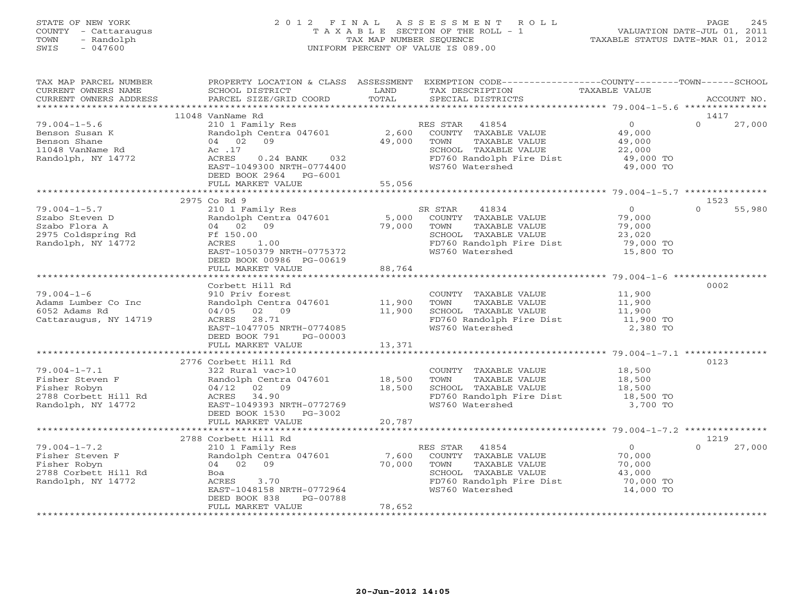## STATE OF NEW YORK 2 0 1 2 F I N A L A S S E S S M E N T R O L L PAGE 245 COUNTY - Cattaraugus T A X A B L E SECTION OF THE ROLL - 1 VALUATION DATE-JUL 01, 2011 TOWN - Randolph TAX MAP NUMBER SEQUENCE TAXABLE STATUS DATE-MAR 01, 2012 SWIS - 047600 UNIFORM PERCENT OF VALUE IS 089.00UNIFORM PERCENT OF VALUE IS 089.00

| TAX MAP PARCEL NUMBER<br>CURRENT OWNERS NAME<br>CURRENT OWNERS ADDRESS                                                                                                                        | SCHOOL DISTRICT<br>PARCEL SIZE/GRID COORD                                                                                                                                          | LAND<br>TOTAL                     | PROPERTY LOCATION & CLASS ASSESSMENT EXEMPTION CODE---------------COUNTY-------TOWN------SCHOOL<br>TAX DESCRIPTION<br>SPECIAL DISTRICTS                                    | TAXABLE VALUE                                                                      | ACCOUNT NO.                |
|-----------------------------------------------------------------------------------------------------------------------------------------------------------------------------------------------|------------------------------------------------------------------------------------------------------------------------------------------------------------------------------------|-----------------------------------|----------------------------------------------------------------------------------------------------------------------------------------------------------------------------|------------------------------------------------------------------------------------|----------------------------|
|                                                                                                                                                                                               |                                                                                                                                                                                    |                                   |                                                                                                                                                                            |                                                                                    |                            |
| $79.004 - 1 - 5.6$<br>Benson Susan K<br>Benson Shane<br>11048 VanName Rd<br>Randolph, NY 14772                                                                                                | 11048 VanName Rd<br>04 02 09<br>Ac .17<br>ACRES<br>0.24 BANK 032<br>EAST-1049300 NRTH-0774400<br>DEED BOOK 2964 PG-6001<br>FULL MARKET VALUE                                       | 49,000 TOWN<br>55,056             | 210 1 Family Res<br>Randolph Centra 047601 2,600 COUNTY TAXABLE VALUE<br>TAXABLE VALUE<br>SCHOOL TAXABLE VALUE<br>FD760 Randolph Fire Dist 49,000 TO<br>WS760 Watershed    | $\begin{array}{c} 0 \\ 49,000 \end{array}$<br>$\frac{49,000}{22,000}$<br>49,000 TO | 1417<br>$\Omega$<br>27,000 |
|                                                                                                                                                                                               |                                                                                                                                                                                    |                                   |                                                                                                                                                                            |                                                                                    |                            |
| $79.004 - 1 - 5.7$<br>Szabo Steven D<br>Szabo Flora A<br>Szabo Fiora A<br>2975 Coldspring Rd<br>Randolph, NY 14772                                                                            | 2975 Co Rd 9<br>210 1 Family Res<br>Randolph Centra 047601<br>04 02 09<br>Ff 150.00<br>$0.00$<br>1.00<br>ACRES<br>EAST-1050379 NRTH-0775372<br>DEED BOOK 00986 PG-00619            |                                   | SR STAR<br>41834<br>5,000 COUNTY TAXABLE VALUE<br>79,000 TOWN TAXABLE VALUE<br>SCHOOL TAXABLE VALUE<br>SCHOOL TAXABLE VALUE<br>FD760 Randolph Fire Dist<br>WS760 Watershed | $\overline{0}$<br>79,000<br>79,000<br>23,020<br>79,000 TO<br>15,800 TO             | 1523<br>$\Omega$<br>55,980 |
|                                                                                                                                                                                               | FULL MARKET VALUE                                                                                                                                                                  | 88,764                            |                                                                                                                                                                            |                                                                                    |                            |
| $79.004 - 1 - 6$<br>Adams Lumber Co Inc<br>6052 Adams Rd<br>Cattaraugus, NY 14719                                                                                                             | Corbett Hill Rd<br>910 Priv forest<br>Randolph Centra 047601 11,900<br>04/05 02 09<br>ACRES 28.71<br>EAST-1047705 NRTH-0774085<br>DEED BOOK 791<br>$PG-00003$<br>FULL MARKET VALUE | 11,900<br>13,371<br>************* | COUNTY TAXABLE VALUE<br>TOWN TAXABLE VALUE<br>SCHOOL TAXABLE VALUE<br>FD760 Randolph Fire Dist                                                                             | 11,900<br>11,900<br>11,900<br>$11,900$ TO<br>2,380 TO                              | 0002                       |
| $79.004 - 1 - 7.1$<br>79.004-1-7.1 322 Rural vac>10<br>Fisher Steven F Randolph Centra<br>Fisher Robyn 04/12 02 09<br>2788 Corbett Hill Rd ACRES 34.90<br>Randolph, NY 14772 EAST-1049393 NR1 | 2776 Corbett Hill Rd<br>322 Rural vac>10<br>Randolph Centra 047601 18,500<br>EAST-1049393 NRTH-0772769<br>DEED BOOK 1530 PG-3002<br>FULL MARKET VALUE                              | $\frac{13,500}{18,500}$<br>20,787 | COUNTY TAXABLE VALUE<br>TAXABLE VALUE<br>TOWN<br>SCHOOL TAXABLE VALUE 18,500<br>FD760 Randolph Fire Dist 18,500 TO<br>WS760 Watershed                                      | 18,500<br>18,500<br>3,700 TO                                                       | 0123                       |
|                                                                                                                                                                                               | 2788 Corbett Hill Rd                                                                                                                                                               |                                   |                                                                                                                                                                            |                                                                                    | 1219                       |
| $79.004 - 1 - 7.2$<br>79.004-1-7.4<br>Fisher Steven F<br>Fisher Bohum<br>2788 Corbett Hill Rd<br>Randolph, NY 14772                                                                           | 210 1 Family Res<br>Randolph Centra 047601<br>04 02 09<br>Boa<br>ACRES<br>3.70<br>EAST-1048158 NRTH-0772964<br>DEED BOOK 838<br>PG-00788<br>FULL MARKET VALUE                      | 7,600<br>70,000<br>78,652         | RES STAR 41854<br>COUNTY TAXABLE VALUE<br>TOWN<br>TAXABLE VALUE<br>SCHOOL TAXABLE VALUE<br>FD760 Randolph Fire Dist<br>WS760 Watershed                                     | $\overline{0}$<br>70,000<br>70,000<br>43,000<br>70,000 TO<br>14,000 TO             | $\Omega$<br>27,000         |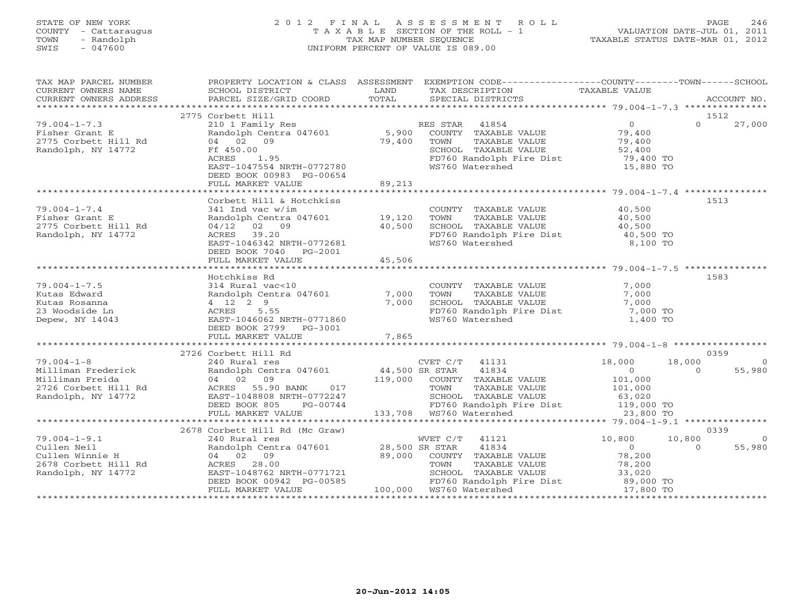# STATE OF NEW YORK 2 0 1 2 F I N A L A S S E S S M E N T R O L L PAGE 246 COUNTY - Cattaraugus T A X A B L E SECTION OF THE ROLL - 1 VALUATION DATE-JUL 01, 2011 TOWN - Randolph TAX MAP NUMBER SEQUENCE TAXABLE STATUS DATE-MAR 01, 2012 SWIS - 047600 UNIFORM PERCENT OF VALUE IS 089.00

| TAX MAP PARCEL NUMBER | PROPERTY LOCATION & CLASS ASSESSMENT EXEMPTION CODE-----------------COUNTY-------TOWN------SCHOOL                                          |                                                                                                                                                                     |      |  |
|-----------------------|--------------------------------------------------------------------------------------------------------------------------------------------|---------------------------------------------------------------------------------------------------------------------------------------------------------------------|------|--|
|                       |                                                                                                                                            |                                                                                                                                                                     |      |  |
|                       |                                                                                                                                            |                                                                                                                                                                     |      |  |
|                       | 2775 Corbett Hill                                                                                                                          |                                                                                                                                                                     | 1512 |  |
|                       |                                                                                                                                            |                                                                                                                                                                     |      |  |
|                       |                                                                                                                                            |                                                                                                                                                                     |      |  |
|                       |                                                                                                                                            |                                                                                                                                                                     |      |  |
|                       |                                                                                                                                            |                                                                                                                                                                     |      |  |
|                       |                                                                                                                                            |                                                                                                                                                                     |      |  |
|                       |                                                                                                                                            |                                                                                                                                                                     |      |  |
|                       |                                                                                                                                            |                                                                                                                                                                     |      |  |
|                       |                                                                                                                                            |                                                                                                                                                                     |      |  |
|                       |                                                                                                                                            |                                                                                                                                                                     |      |  |
|                       | Corbett Hill & Hotchkiss                                                                                                                   |                                                                                                                                                                     | 1513 |  |
| $79.004 - 1 - 7.4$    | 341 Ind vac w/im                                                                                                                           |                                                                                                                                                                     |      |  |
| Fisher Grant E        |                                                                                                                                            |                                                                                                                                                                     |      |  |
| 2775 Corbett Hill Rd  |                                                                                                                                            |                                                                                                                                                                     |      |  |
| Randolph, NY 14772    |                                                                                                                                            |                                                                                                                                                                     |      |  |
|                       | 341 Ind vac w/im<br>Randolph Centra 047601 19,120 TOWN<br>04/12 02 09 40,500 SCHOOL<br>ACRES 39.20 FD760 RaST-1046342 NRTH-0772681 WS760 W | COUNTY TAXABLE VALUE $40,500$<br>TOWN TAXABLE VALUE $40,500$<br>SCHOOL TAXABLE VALUE $40,500$<br>FD760 Randolph Fire Dist $40,500$ TO<br>WS760 Watershed $8,100$ TO |      |  |
|                       | DEED BOOK 7040 PG-2001                                                                                                                     |                                                                                                                                                                     |      |  |
|                       |                                                                                                                                            |                                                                                                                                                                     |      |  |
|                       |                                                                                                                                            |                                                                                                                                                                     | 1583 |  |
|                       |                                                                                                                                            |                                                                                                                                                                     |      |  |
|                       |                                                                                                                                            |                                                                                                                                                                     |      |  |
|                       |                                                                                                                                            |                                                                                                                                                                     |      |  |
|                       |                                                                                                                                            |                                                                                                                                                                     |      |  |
|                       |                                                                                                                                            |                                                                                                                                                                     |      |  |
|                       |                                                                                                                                            |                                                                                                                                                                     |      |  |
|                       |                                                                                                                                            |                                                                                                                                                                     |      |  |
|                       |                                                                                                                                            |                                                                                                                                                                     |      |  |
|                       |                                                                                                                                            |                                                                                                                                                                     |      |  |
|                       |                                                                                                                                            |                                                                                                                                                                     |      |  |
|                       |                                                                                                                                            |                                                                                                                                                                     |      |  |
|                       |                                                                                                                                            |                                                                                                                                                                     |      |  |
|                       |                                                                                                                                            |                                                                                                                                                                     |      |  |
|                       |                                                                                                                                            |                                                                                                                                                                     |      |  |
|                       |                                                                                                                                            |                                                                                                                                                                     |      |  |
|                       |                                                                                                                                            |                                                                                                                                                                     |      |  |
|                       | 2678 Corbett Hill Rd (Mc Graw)                                                                                                             |                                                                                                                                                                     | 0339 |  |
|                       |                                                                                                                                            |                                                                                                                                                                     |      |  |
|                       |                                                                                                                                            |                                                                                                                                                                     |      |  |
|                       |                                                                                                                                            |                                                                                                                                                                     |      |  |
|                       |                                                                                                                                            |                                                                                                                                                                     |      |  |
|                       |                                                                                                                                            |                                                                                                                                                                     |      |  |
|                       |                                                                                                                                            |                                                                                                                                                                     |      |  |
|                       |                                                                                                                                            |                                                                                                                                                                     |      |  |
|                       |                                                                                                                                            |                                                                                                                                                                     |      |  |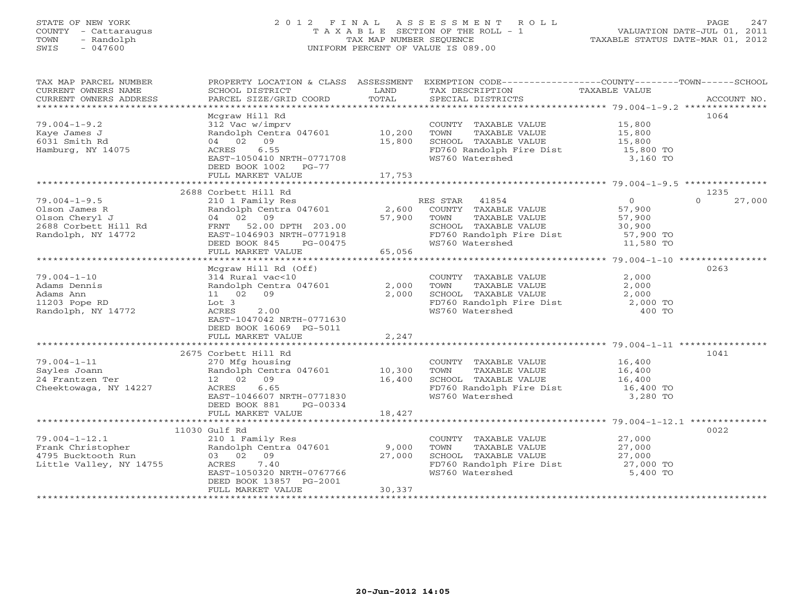## STATE OF NEW YORK 2 0 1 2 F I N A L A S S E S S M E N T R O L L PAGE 247 COUNTY - Cattaraugus T A X A B L E SECTION OF THE ROLL - 1 VALUATION DATE-JUL 01, 2011 TOWN - Randolph TAX MAP NUMBER SEQUENCE TAXABLE STATUS DATE-MAR 01, 2012 SWIS - 047600 UNIFORM PERCENT OF VALUE IS 089.00UNIFORM PERCENT OF VALUE IS 089.00

| TAX MAP PARCEL NUMBER<br>CURRENT OWNERS NAME<br>CURRENT OWNERS ADDRESS                                                                                                                    | PROPERTY LOCATION & CLASS ASSESSMENT<br>SCHOOL DISTRICT<br>PARCEL SIZE/GRID COORD | LAND<br>TOTAL | TAX DESCRIPTION<br>SPECIAL DISTRICTS                            | EXEMPTION CODE-----------------COUNTY-------TOWN------SCHOOL<br>TAXABLE VALUE<br>ACCOUNT NO. |        |
|-------------------------------------------------------------------------------------------------------------------------------------------------------------------------------------------|-----------------------------------------------------------------------------------|---------------|-----------------------------------------------------------------|----------------------------------------------------------------------------------------------|--------|
|                                                                                                                                                                                           |                                                                                   |               |                                                                 |                                                                                              |        |
|                                                                                                                                                                                           | Mcgraw Hill Rd                                                                    |               |                                                                 | 1064                                                                                         |        |
| $79.004 - 1 - 9.2$                                                                                                                                                                        | 312 Vac w/imprv                                                                   |               | COUNTY TAXABLE VALUE 15,800                                     |                                                                                              |        |
| Kaye James J                                                                                                                                                                              | Randolph Centra 047601 10,200                                                     |               |                                                                 |                                                                                              |        |
| 6031 Smith Rd                                                                                                                                                                             | 04 02 09                                                                          | 15,800        |                                                                 |                                                                                              |        |
| Hamburg, NY 14075                                                                                                                                                                         | 6.55<br>ACRES                                                                     |               | FD760 Randolph Fire Dist 15,800 TO                              |                                                                                              |        |
|                                                                                                                                                                                           | EAST-1050410 NRTH-0771708<br>DEED BOOK 1002 PG-77                                 |               | WS760 Watershed                                                 | 3,160 TO                                                                                     |        |
|                                                                                                                                                                                           | FULL MARKET VALUE                                                                 | 17,753        |                                                                 |                                                                                              |        |
|                                                                                                                                                                                           |                                                                                   |               |                                                                 |                                                                                              |        |
|                                                                                                                                                                                           | 2688 Corbett Hill Rd                                                              |               |                                                                 | 1235                                                                                         |        |
| $79.004 - 1 - 9.5$                                                                                                                                                                        | 210 1 Family Res<br>Randolph Centra 047601 2,600                                  |               | RES STAR 41854                                                  | $\Omega$                                                                                     | 27,000 |
|                                                                                                                                                                                           |                                                                                   |               |                                                                 |                                                                                              |        |
|                                                                                                                                                                                           |                                                                                   | 57,900        | TOWN<br>TAXABLE VALUE                                           |                                                                                              |        |
| 01son James R<br>01son Cheryl J<br>2688 Corbett Hill Rd<br>2688 Corbett Hill Rd<br>2688 Corbett Hill Rd<br>2688 Corbett Hill Rd<br>2688 Corbett Hill Rd<br>2688 Corbett Hill Rd<br>271019 |                                                                                   |               | SCHOOL TAXABLE VALUE                                            | $57, 30, 900$<br>$57, 90$                                                                    |        |
| Randolph, NY 14772                                                                                                                                                                        | EAST-1046903 NRTH-0771918                                                         |               | FD760 Randolph Fire Dist 57,900 TO<br>WS760 Watershed 11,580 TO |                                                                                              |        |
|                                                                                                                                                                                           | DEED BOOK 845                                                                     |               |                                                                 |                                                                                              |        |
|                                                                                                                                                                                           | FULL MARKET VALUE                                                                 |               |                                                                 |                                                                                              |        |
|                                                                                                                                                                                           | Mcgraw Hill Rd (Off)                                                              |               |                                                                 | 0263                                                                                         |        |
| $79.004 - 1 - 10$                                                                                                                                                                         | 314 Rural vac<10                                                                  |               | COUNTY TAXABLE VALUE                                            | 2,000                                                                                        |        |
| Adams Dennis                                                                                                                                                                              | Pandolph Centra 047601 2,000<br>11 02 09 2,000<br>Lot 3 2.00                      |               |                                                                 | 2,000                                                                                        |        |
| Adams Ann                                                                                                                                                                                 |                                                                                   |               | TOWN      TAXABLE VALUE<br>SCHOOL   TAXABLE VALUE               | 2,000                                                                                        |        |
| 11203 Pope RD                                                                                                                                                                             |                                                                                   |               | FD760 Randolph Fire Dist 2,000 TO<br>WS760 Watershed 400 TO     |                                                                                              |        |
| Randolph, NY 14772                                                                                                                                                                        | 2.00<br>ACRES                                                                     |               | WS760 Watershed                                                 | 400 TO                                                                                       |        |
|                                                                                                                                                                                           | EAST-1047042 NRTH-0771630                                                         |               |                                                                 |                                                                                              |        |
|                                                                                                                                                                                           | DEED BOOK 16069 PG-5011                                                           |               |                                                                 |                                                                                              |        |
|                                                                                                                                                                                           | FULL MARKET VALUE                                                                 | 2,247         |                                                                 |                                                                                              |        |
|                                                                                                                                                                                           | 2675 Corbett Hill Rd                                                              |               |                                                                 | 1041                                                                                         |        |
| $79.004 - 1 - 11$                                                                                                                                                                         |                                                                                   |               | COUNTY TAXABLE VALUE 16,400                                     |                                                                                              |        |
| Sayles Joann                                                                                                                                                                              | Consect mini (m. 1982)<br>270 Mfg housing<br>Randolph Centra 047601 10,300        |               | TOWN<br>TAXABLE VALUE                                           | 16,400                                                                                       |        |
| 24 Frantzen Ter                                                                                                                                                                           | 12 02 09                                                                          | 16,400        | SCHOOL TAXABLE VALUE                                            | 16,400                                                                                       |        |
| Cheektowaga, NY 14227                                                                                                                                                                     | ACRES 6.65                                                                        |               | FD760 Randolph Fire Dist                                        | 16,400 TO                                                                                    |        |
|                                                                                                                                                                                           | EAST-1046607 NRTH-0771830                                                         |               | WS760 Watershed                                                 | 3,280 TO                                                                                     |        |
|                                                                                                                                                                                           | DEED BOOK 881<br>PG-00334                                                         |               |                                                                 |                                                                                              |        |
|                                                                                                                                                                                           | FULL MARKET VALUE                                                                 | 18,427        |                                                                 |                                                                                              |        |
|                                                                                                                                                                                           | 11030 Gulf Rd                                                                     |               |                                                                 | 0022                                                                                         |        |
|                                                                                                                                                                                           |                                                                                   |               | COUNTY TAXABLE VALUE                                            | 27,000                                                                                       |        |
|                                                                                                                                                                                           |                                                                                   |               | TAXABLE VALUE 27,000<br>TOWN                                    |                                                                                              |        |
|                                                                                                                                                                                           |                                                                                   |               | SCHOOL TAXABLE VALUE                                            | 27,000                                                                                       |        |
| Little Valley, NY 14755                                                                                                                                                                   | 7.40<br>ACRES                                                                     |               | FD760 Randolph Fire Dist 27,000 TO                              |                                                                                              |        |
|                                                                                                                                                                                           | EAST-1050320 NRTH-0767766                                                         |               | WS760 Watershed                                                 | 5,400 TO                                                                                     |        |
|                                                                                                                                                                                           | DEED BOOK 13857 PG-2001                                                           |               |                                                                 |                                                                                              |        |
|                                                                                                                                                                                           | FULL MARKET VALUE                                                                 | 30,337        |                                                                 |                                                                                              |        |
|                                                                                                                                                                                           |                                                                                   |               |                                                                 |                                                                                              |        |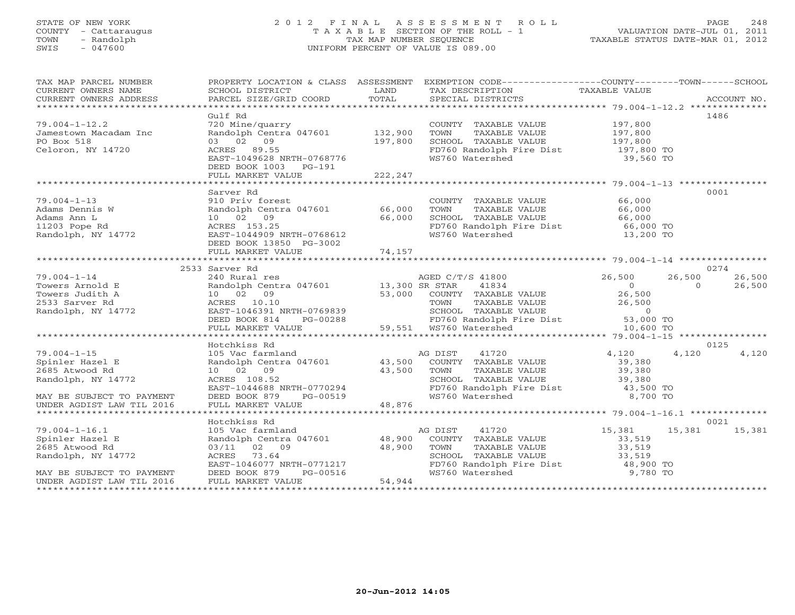### STATE OF NEW YORK 2 0 1 2 F I N A L A S S E S S M E N T R O L L PAGE 248 COUNTY - Cattaraugus T A X A B L E SECTION OF THE ROLL - 1 VALUATION DATE-JUL 01, 2011 TOWN - Randolph TAX MAP NUMBER SEQUENCE TAXABLE STATUS DATE-MAR 01, 2012 SWIS - 047600 UNIFORM PERCENT OF VALUE IS 089.00UNIFORM PERCENT OF VALUE IS 089.00

| TAX MAP PARCEL NUMBER                                                                                                                    |                                                                                                                                                                             |                                | PROPERTY LOCATION & CLASS ASSESSMENT EXEMPTION CODE---------------COUNTY-------TOWN------SCHOOL                                                                                                                                                        |                                                          |                                        |  |
|------------------------------------------------------------------------------------------------------------------------------------------|-----------------------------------------------------------------------------------------------------------------------------------------------------------------------------|--------------------------------|--------------------------------------------------------------------------------------------------------------------------------------------------------------------------------------------------------------------------------------------------------|----------------------------------------------------------|----------------------------------------|--|
| $79.004 - 1 - 12.2$<br>Jamestown Macadam Inc<br>PO Box 518<br>Celoron, NY 14720                                                          | Gulf Rd<br>720 Mine/quarry<br>Randolph Centra 047601<br>03 02 09<br>ACRES 89.55<br>EAST-1049628 NRTH-0768776<br>DEED BOOK 1003 PG-191<br>FULL MARKET VALUE                  | 132,900<br>197,800<br>222,247  | COUNTY TAXABLE VALUE<br>TOWN<br>TAXABLE VALUE<br>SCHOOL TAXABLE VALUE<br>SCHOOL TAXABLE VALUE<br>FD760 Randolph Fire Dist<br>WS760 Watershed                                                                                                           | 197,800<br>197,800<br>197,800<br>197,800 TO<br>39,560 TO | 1486                                   |  |
| $79.004 - 1 - 13$<br>Adams Dennis W<br>Adams Ann L<br>11203 Pope Rd<br>Randolph, NY 14772                                                | Sarver Rd<br>910 Priv forest<br>Randolph Centra 047601 66,000<br>10 02 09<br>ACRES 153.25<br>EAST-1044909 NRTH-0768612<br>DEED BOOK 13850 PG-3002<br>FULL MARKET VALUE      | 66,000<br>74,157               | COUNTY TAXABLE VALUE<br>TOWN<br>TAXABLE VALUE<br>SCHOOL TAXABLE VALUE<br>FD760 Randolph Fire Dist 66,000 TO<br>WS760 Watershed                                                                                                                         | 66,000<br>66,000<br>66,000<br>13,200 TO                  | 0001                                   |  |
|                                                                                                                                          | 2533 Sarver Rd                                                                                                                                                              |                                |                                                                                                                                                                                                                                                        |                                                          | 0274                                   |  |
| $79.004 - 1 - 14$<br>Towers Arnold E<br>Towers Judith A<br>2533 Sarver Rd<br>Randolph, NY 14772                                          | 240 Rural res<br>Randolph Centra 047601 13,300 SR STAR<br>10 02 09<br>ACRES 10.10<br>EAST-1046391 NRTH-0769839<br>DEED BOOK 814<br>FULL MARKET VALUE                        |                                | AGED C/T/S 41800<br>41834<br>53,000 COUNTY TAXABLE VALUE<br>TOWN TAXABLE VALUE 26,500<br>SCHOOL TAXABLE VALUE 0<br>FD760 Randolph Fire Dist 53,000 TO<br>WS760 Watershed 10,600 TO<br>PG-00288 PG-00288 PD760 Randolph I<br>LUE 59,551 WS760 Watershed | 26,500<br>$0 \qquad \qquad$<br>26,500                    | 26,500<br>26,500<br>26,500<br>$\Omega$ |  |
|                                                                                                                                          | Hotchkiss Rd                                                                                                                                                                |                                |                                                                                                                                                                                                                                                        |                                                          | 0125                                   |  |
| $79.004 - 1 - 15$<br>Spinler Hazel E<br>2685 Atwood Rd<br>Randolph, NY 14772<br>MAY BE SUBJECT TO PAYMENT<br>UNDER AGDIST LAW TIL 2016   | 105 Vac farmland<br>Randolph Centra 047601 43,500<br>10 02 09<br>ACRES 108.52<br>EAST-1044688 NRTH-0770294<br>DEED BOOK 879<br>PG-00519<br>FULL MARKET VALUE                | 43,500<br>48,876               | 41720<br>AG DIST<br>COUNTY TAXABLE VALUE<br>TAXABLE VALUE<br>TOWN<br>SCHOOL TAXABLE VALUE<br>WS760 Watershed                                                                                                                                           | 4,120<br>39,380<br>39,380<br>39,380<br>8,700 TO          | 4,120<br>4,120                         |  |
|                                                                                                                                          |                                                                                                                                                                             |                                |                                                                                                                                                                                                                                                        |                                                          |                                        |  |
| $79.004 - 1 - 16.1$<br>Spinler Hazel E<br>2685 Atwood Rd<br>Randolph, NY 14772<br>MAY BE SUBJECT TO PAYMENT<br>UNDER AGDIST LAW TIL 2016 | Hotchkiss Rd<br>105 Vac farmland<br>Randolph Centra 047601 48,900<br>03/11 02 09<br>ACRES 73.64<br>EAST-1046077 NRTH-0771217<br>DEED BOOK 879 PG-00516<br>FULL MARKET VALUE | $\frac{1}{48}$ , 900<br>54,944 | AG DIST<br>41720<br>COUNTY TAXABLE VALUE<br>TOWN<br>TAXABLE VALUE<br>SCHOOL TAXABLE VALUE<br>FD760 Randolph Fire Dist 48,900 TO<br>WS760 Watershed                                                                                                     | 15,381<br>33,519<br>33,519<br>33,519<br>9,780 TO         | 0021<br>15,381<br>15,381               |  |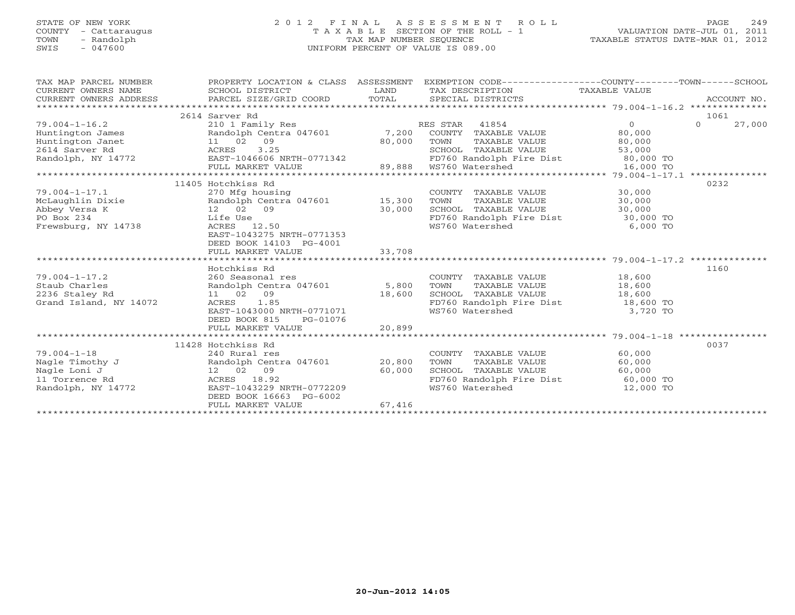# STATE OF NEW YORK 2 0 1 2 F I N A L A S S E S S M E N T R O L L PAGE 249 COUNTY - Cattaraugus T A X A B L E SECTION OF THE ROLL - 1 VALUATION DATE-JUL 01, 2011 TOWN - Randolph TAX MAP NUMBER SEQUENCE TAXABLE STATUS DATE-MAR 01, 2012 SWIS - 047600 UNIFORM PERCENT OF VALUE IS 089.00

| TAX MAP PARCEL NUMBER<br>CURRENT OWNERS NAME<br>CURRENT OWNERS ADDRESS | PROPERTY LOCATION & CLASS ASSESSMENT<br>SCHOOL DISTRICT<br>PARCEL SIZE/GRID COORD | LAND<br>TOTAL | EXEMPTION CODE-----------------COUNTY-------TOWN------SCHOOL<br>TAX DESCRIPTION<br>SPECIAL DISTRICTS | TAXABLE VALUE                                     | ACCOUNT NO.        |
|------------------------------------------------------------------------|-----------------------------------------------------------------------------------|---------------|------------------------------------------------------------------------------------------------------|---------------------------------------------------|--------------------|
| *******************                                                    |                                                                                   |               |                                                                                                      |                                                   |                    |
|                                                                        | 2614 Sarver Rd                                                                    |               |                                                                                                      |                                                   | 1061               |
| $79.004 - 1 - 16.2$                                                    | 210 1 Family Res                                                                  |               | 41854<br>RES STAR                                                                                    | $\overline{O}$                                    | $\Omega$<br>27,000 |
| Huntington James                                                       | Randolph Centra 047601                                                            | 7,200         | COUNTY TAXABLE VALUE                                                                                 | 80,000                                            |                    |
| Huntington Janet                                                       | 11 02<br>09                                                                       | 80,000        | TOWN<br>TAXABLE VALUE                                                                                | 80,000                                            |                    |
| 2614 Sarver Rd                                                         | 3.25<br>ACRES                                                                     |               | SCHOOL TAXABLE VALUE                                                                                 | 53,000                                            |                    |
| Randolph, NY 14772                                                     | EAST-1046606 NRTH-0771342                                                         |               | FD760 Randolph Fire Dist                                                                             | 80,000 TO                                         |                    |
|                                                                        | FULL MARKET VALUE                                                                 | 89,888        | WS760 Watershed                                                                                      | 16,000 TO                                         |                    |
|                                                                        | ****************************                                                      |               |                                                                                                      | **** 79.004-1-17.1 *************                  |                    |
|                                                                        | 11405 Hotchkiss Rd                                                                |               |                                                                                                      |                                                   | 0232               |
| $79.004 - 1 - 17.1$                                                    | 270 Mfg housing                                                                   |               | COUNTY TAXABLE VALUE                                                                                 | 30,000                                            |                    |
| McLaughlin Dixie                                                       | Randolph Centra 047601                                                            | 15,300        | TAXABLE VALUE<br>TOWN                                                                                | 30,000                                            |                    |
| Abbey Versa K                                                          | 12 02<br>09                                                                       | 30,000        | SCHOOL TAXABLE VALUE                                                                                 | 30,000                                            |                    |
| PO Box 234                                                             | Life Use                                                                          |               | FD760 Randolph Fire Dist                                                                             | 30,000 TO                                         |                    |
| Frewsburg, NY 14738                                                    | 12.50<br>ACRES                                                                    |               | WS760 Watershed                                                                                      | 6,000 TO                                          |                    |
|                                                                        | EAST-1043275 NRTH-0771353                                                         |               |                                                                                                      |                                                   |                    |
|                                                                        | DEED BOOK 14103 PG-4001                                                           |               |                                                                                                      |                                                   |                    |
|                                                                        | FULL MARKET VALUE                                                                 | 33,708        |                                                                                                      |                                                   |                    |
|                                                                        |                                                                                   |               |                                                                                                      | ******************** 79.004-1-17.2 ************** |                    |
|                                                                        | Hotchkiss Rd                                                                      |               |                                                                                                      |                                                   | 1160               |
| $79.004 - 1 - 17.2$                                                    | 260 Seasonal res                                                                  |               | COUNTY TAXABLE VALUE                                                                                 | 18,600                                            |                    |
| Staub Charles                                                          | Randolph Centra 047601                                                            | 5,800         | TOWN<br>TAXABLE VALUE                                                                                | 18,600                                            |                    |
| 2236 Staley Rd                                                         | 11 02 09                                                                          | 18,600        | SCHOOL TAXABLE VALUE                                                                                 | 18,600                                            |                    |
| Grand Island, NY 14072                                                 | ACRES<br>1.85                                                                     |               | FD760 Randolph Fire Dist                                                                             | 18,600 TO                                         |                    |
|                                                                        | EAST-1043000 NRTH-0771071                                                         |               | WS760 Watershed                                                                                      | 3,720 TO                                          |                    |
|                                                                        | DEED BOOK 815<br>PG-01076                                                         |               |                                                                                                      |                                                   |                    |
|                                                                        | FULL MARKET VALUE                                                                 | 20,899        |                                                                                                      |                                                   |                    |
|                                                                        | ***************************                                                       |               |                                                                                                      | ****************** 79.004-1-18 **************     |                    |
|                                                                        | 11428 Hotchkiss Rd                                                                |               |                                                                                                      |                                                   | 0037               |
| $79.004 - 1 - 18$                                                      | 240 Rural res                                                                     |               | COUNTY TAXABLE VALUE                                                                                 | 60,000                                            |                    |
| Nagle Timothy J                                                        | Randolph Centra 047601                                                            | 20,800        | TOWN<br><b>TAXABLE VALUE</b>                                                                         | 60,000                                            |                    |
| Nagle Loni J                                                           | 12 02<br>09                                                                       | 60,000        | SCHOOL TAXABLE VALUE                                                                                 | 60,000                                            |                    |
| 11 Torrence Rd                                                         | 18.92<br>ACRES                                                                    |               | FD760 Randolph Fire Dist                                                                             | 60,000 TO                                         |                    |
| Randolph, NY 14772                                                     | EAST-1043229 NRTH-0772209                                                         |               | WS760 Watershed                                                                                      | 12,000 TO                                         |                    |
|                                                                        | DEED BOOK 16663 PG-6002                                                           |               |                                                                                                      |                                                   |                    |
|                                                                        | FULL MARKET VALUE                                                                 | 67,416        |                                                                                                      |                                                   |                    |
|                                                                        |                                                                                   |               |                                                                                                      |                                                   |                    |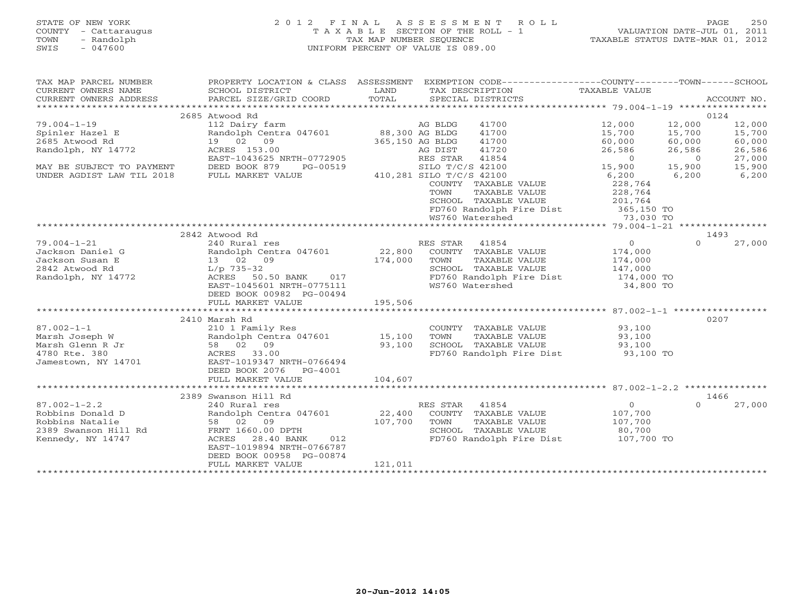## STATE OF NEW YORK 2 0 1 2 F I N A L A S S E S S M E N T R O L L PAGE 250 COUNTY - Cattaraugus T A X A B L E SECTION OF THE ROLL - 1 VALUATION DATE-JUL 01, 2011 TOWN - Randolph TAX MAP NUMBER SEQUENCE TAXABLE STATUS DATE-MAR 01, 2012 SWIS - 047600 UNIFORM PERCENT OF VALUE IS 089.00UNIFORM PERCENT OF VALUE IS 089.00

| TAX MAP PARCEL NUMBER<br>CURRENT OWNERS NAME<br>CURRENT OWNERS ADDRESS                                                                                                                                                                                   | PROPERTY LOCATION & CLASS ASSESSMENT EXEMPTION CODE----------------COUNTY-------TOWN------SCHOOL<br>SCHOOL DISTRICT<br>PARCEL SIZE/GRID COORD | LAND<br>TOTAL            |                  | SPECIAL DISTRICTS        | TAX DESCRIPTION TAXABLE VALUE                                                                                                                               |                | ACCOUNT NO. |
|----------------------------------------------------------------------------------------------------------------------------------------------------------------------------------------------------------------------------------------------------------|-----------------------------------------------------------------------------------------------------------------------------------------------|--------------------------|------------------|--------------------------|-------------------------------------------------------------------------------------------------------------------------------------------------------------|----------------|-------------|
|                                                                                                                                                                                                                                                          |                                                                                                                                               |                          |                  |                          |                                                                                                                                                             |                |             |
|                                                                                                                                                                                                                                                          | 2685 Atwood Rd                                                                                                                                |                          |                  |                          |                                                                                                                                                             |                | 0124        |
| $79.004 - 1 - 19$                                                                                                                                                                                                                                        | 112 Dairy farm AG BLDG<br>Randolph Centra 047601 88,300 AG BLDG<br>19 02 09 365,150 AG BLDG                                                   |                          |                  | 41700                    | 12,000                                                                                                                                                      | 12,000         | 12,000      |
| Spinler Hazel E                                                                                                                                                                                                                                          |                                                                                                                                               |                          |                  | 41700                    | 15,700                                                                                                                                                      | 15,700         | 15,700      |
| 2685 Atwood Rd                                                                                                                                                                                                                                           |                                                                                                                                               |                          | 365,150 AG BLDG  | 41700                    | 60,000                                                                                                                                                      | 60,000         | 60,000      |
| Randolph, NY 14772                                                                                                                                                                                                                                       | ACRES 153.00                                                                                                                                  |                          | AG DIST          | 41720                    | 26,586                                                                                                                                                      | 26,586         | 26,586      |
|                                                                                                                                                                                                                                                          | EAST-1043625 NRTH-0772905                                                                                                                     |                          | RES STAR         | 41854                    | $-0,586$<br>15                                                                                                                                              | $\overline{0}$ | 27,000      |
| MAY BE SUBJECT TO PAYMENT                                                                                                                                                                                                                                | DEED BOOK 879<br>PG-00519                                                                                                                     |                          | SILO T/C/S 42100 |                          |                                                                                                                                                             | 15,900         | 15,900      |
| UNDER AGDIST LAW TIL 2018                                                                                                                                                                                                                                | FULL MARKET VALUE                                                                                                                             | 410,281 SILO T/C/S 42100 |                  |                          | 6,200                                                                                                                                                       | 6,200          | 6, 200      |
|                                                                                                                                                                                                                                                          |                                                                                                                                               |                          |                  | COUNTY TAXABLE VALUE     | 228,764                                                                                                                                                     |                |             |
|                                                                                                                                                                                                                                                          |                                                                                                                                               |                          |                  |                          | $\begin{tabular}{llllll} \textbf{TOWN} & \textbf{TAXABLE VALUE} & & & & 228,764 \\ \textbf{SCHOOL} & \textbf{TAXABLE VALUE} & & & 201,764 \\ \end{tabular}$ |                |             |
|                                                                                                                                                                                                                                                          |                                                                                                                                               |                          |                  |                          |                                                                                                                                                             |                |             |
|                                                                                                                                                                                                                                                          |                                                                                                                                               |                          |                  |                          | FD760 Randolph Fire Dist 365,150 TO                                                                                                                         |                |             |
|                                                                                                                                                                                                                                                          |                                                                                                                                               |                          |                  | WS760 Watershed          | 73,030 TO                                                                                                                                                   |                |             |
|                                                                                                                                                                                                                                                          |                                                                                                                                               |                          |                  |                          |                                                                                                                                                             |                |             |
|                                                                                                                                                                                                                                                          | 2842 Atwood Rd                                                                                                                                |                          |                  |                          |                                                                                                                                                             |                | 1493        |
| $79.004 - 1 - 21$                                                                                                                                                                                                                                        | 240 Rural res                                                                                                                                 |                          | RES STAR 41854   |                          | $\overline{0}$                                                                                                                                              | $\Omega$       | 27,000      |
| Jackson Daniel G<br>Jackson Susan E<br>2842 Atwood Rd<br>2842 Atwood Rd<br>2842 Atwood Rd<br>2842 Atwood Rd<br>2842 Atwood Rd<br>2842 Atwood Rd<br>2842 Atwood Rd<br>2842 Atwood Rd<br>2842 Atwood Rd<br>2842 Atwood Rd<br>2842 Atwood Rd<br>2842 Atwood |                                                                                                                                               |                          |                  |                          | 174,000<br>174,000                                                                                                                                          |                |             |
|                                                                                                                                                                                                                                                          |                                                                                                                                               |                          |                  |                          |                                                                                                                                                             |                |             |
|                                                                                                                                                                                                                                                          | L/p 735-32<br>ACRES    50.50 BANK      017                                                                                                    |                          |                  |                          | SCHOOL TAXABLE VALUE 147,000                                                                                                                                |                |             |
| Randolph, NY 14772                                                                                                                                                                                                                                       |                                                                                                                                               |                          |                  | FD760 Randolph Fire Dist | 174,000 TO                                                                                                                                                  |                |             |
|                                                                                                                                                                                                                                                          | EAST-1045601 NRTH-0775111                                                                                                                     |                          |                  | WS760 Watershed          | 34,800 TO                                                                                                                                                   |                |             |
|                                                                                                                                                                                                                                                          | DEED BOOK 00982 PG-00494                                                                                                                      |                          |                  |                          |                                                                                                                                                             |                |             |
|                                                                                                                                                                                                                                                          | FULL MARKET VALUE                                                                                                                             | 195,506                  |                  |                          |                                                                                                                                                             |                |             |
|                                                                                                                                                                                                                                                          |                                                                                                                                               |                          |                  |                          |                                                                                                                                                             |                |             |
|                                                                                                                                                                                                                                                          | 2410 Marsh Rd                                                                                                                                 |                          |                  |                          |                                                                                                                                                             |                | 0207        |
| $87.002 - 1 - 1$                                                                                                                                                                                                                                         | 210 1 Family Res                                                                                                                              |                          |                  |                          | COUNTY TAXABLE VALUE 93,100                                                                                                                                 |                |             |
| Marsh Joseph W                                                                                                                                                                                                                                           |                                                                                                                                               |                          | TOWN             |                          | TAXABLE VALUE 93,100<br>TAXABLE VALUE 93,100                                                                                                                |                |             |
| Marsh Glenn R Jr                                                                                                                                                                                                                                         |                                                                                                                                               |                          |                  | SCHOOL TAXABLE VALUE     |                                                                                                                                                             |                |             |
| 4780 Rte. 380                                                                                                                                                                                                                                            | 210 1 Family Res<br>Randolph Centra 047601 15,100<br>58 02 09 93,100<br>ACRES 33.00<br>EAST-1019347_NRTH-0766494                              |                          |                  |                          | FD760 Randolph Fire Dist 93,100 TO                                                                                                                          |                |             |
| Jamestown, NY 14701                                                                                                                                                                                                                                      |                                                                                                                                               |                          |                  |                          |                                                                                                                                                             |                |             |
|                                                                                                                                                                                                                                                          | DEED BOOK 2076 PG-4001                                                                                                                        |                          |                  |                          |                                                                                                                                                             |                |             |
|                                                                                                                                                                                                                                                          | FULL MARKET VALUE                                                                                                                             | 104,607                  |                  |                          |                                                                                                                                                             |                |             |
|                                                                                                                                                                                                                                                          |                                                                                                                                               |                          |                  |                          |                                                                                                                                                             |                |             |
|                                                                                                                                                                                                                                                          | 2389 Swanson Hill Rd                                                                                                                          |                          |                  |                          |                                                                                                                                                             |                | 1466        |
| $87.002 - 1 - 2.2$                                                                                                                                                                                                                                       | 240 Rural res                                                                                                                                 |                          | RES STAR 41854   |                          | $\overline{0}$                                                                                                                                              | $\Omega$       | 27,000      |
| Robbins Donald D                                                                                                                                                                                                                                         | Randolph Centra 047601 22,400                                                                                                                 |                          |                  |                          | COUNTY TAXABLE VALUE 107,700                                                                                                                                |                |             |
| Robbins Natalie                                                                                                                                                                                                                                          | 58 02 09 107,700<br>FRNT 1660.00 DPTH                                                                                                         |                          | TOWN             |                          | TOWN TAXABLE VALUE 107,700<br>SCHOOL TAXABLE VALUE 20,700                                                                                                   |                |             |
| Robbins Natalie<br>2389 Swanson Hill Rd                                                                                                                                                                                                                  |                                                                                                                                               |                          |                  |                          |                                                                                                                                                             |                |             |
| Kennedy, NY 14747                                                                                                                                                                                                                                        | ACRES 28.40 BANK                                                                                                                              | 012                      |                  |                          | FD760 Randolph Fire Dist 107,700 TO                                                                                                                         |                |             |
|                                                                                                                                                                                                                                                          | EAST-1019894 NRTH-0766787                                                                                                                     |                          |                  |                          |                                                                                                                                                             |                |             |
|                                                                                                                                                                                                                                                          | DEED BOOK 00958 PG-00874                                                                                                                      |                          |                  |                          |                                                                                                                                                             |                |             |
|                                                                                                                                                                                                                                                          | FULL MARKET VALUE                                                                                                                             | 121,011                  |                  |                          |                                                                                                                                                             |                |             |
|                                                                                                                                                                                                                                                          |                                                                                                                                               |                          |                  |                          |                                                                                                                                                             |                |             |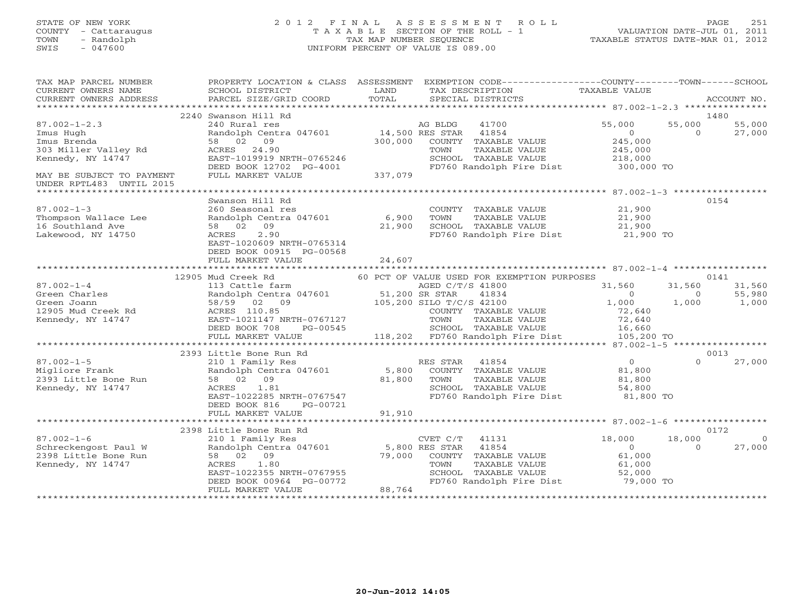## STATE OF NEW YORK 2 0 1 2 F I N A L A S S E S S M E N T R O L L PAGE 251 COUNTY - Cattaraugus T A X A B L E SECTION OF THE ROLL - 1 VALUATION DATE-JUL 01, 2011 TOWN - Randolph TAX MAP NUMBER SEQUENCE TAXABLE STATUS DATE-MAR 01, 2012 SWIS - 047600 UNIFORM PERCENT OF VALUE IS 089.00UNIFORM PERCENT OF VALUE IS 089.00

| TAX MAP PARCEL NUMBER<br>CURRENT OWNERS NAME<br>CURRENT OWNERS ADDRESS | SCHOOL DISTRICT<br>PARCEL SIZE/GRID COORD                                                | LAND<br>TOTAL | PROPERTY LOCATION & CLASS ASSESSMENT EXEMPTION CODE---------------COUNTY-------TOWN-----SCHOOL<br>TAX DESCRIPTION<br>SPECIAL DISTRICTS | TAXABLE VALUE         |          | ACCOUNT NO. |
|------------------------------------------------------------------------|------------------------------------------------------------------------------------------|---------------|----------------------------------------------------------------------------------------------------------------------------------------|-----------------------|----------|-------------|
|                                                                        |                                                                                          |               |                                                                                                                                        |                       |          |             |
|                                                                        | 2240 Swanson Hill Rd                                                                     |               |                                                                                                                                        |                       |          | 1480        |
| $87.002 - 1 - 2.3$                                                     | 240 Rural res                                                                            |               | AG BLDG<br>41700                                                                                                                       | 55,000                | 55,000   | 55,000      |
| Imus Hugh                                                              | Randolph Centra 047601                                                                   |               | 14,500 RES STAR<br>41854                                                                                                               | $\Omega$              | $\Omega$ | 27,000      |
| Imus Brenda                                                            | 58 02 09                                                                                 | 300,000       | COUNTY TAXABLE VALUE                                                                                                                   | 245,000               |          |             |
| 303 Miller Valley Rd                                                   | ACRES 24.90                                                                              |               | TOWN<br>TAXABLE VALUE                                                                                                                  | 245,000               |          |             |
| Kennedy, NY 14747                                                      | EAST-1019919 NRTH-0765246                                                                |               | SCHOOL TAXABLE VALUE                                                                                                                   | 218,000               |          |             |
|                                                                        | DEED BOOK 12702 PG-4001                                                                  |               | FD760 Randolph Fire Dist                                                                                                               | 218,000<br>300,000 TO |          |             |
| MAY BE SUBJECT TO PAYMENT                                              | FULL MARKET VALUE                                                                        | 337,079       |                                                                                                                                        |                       |          |             |
| UNDER RPTL483 UNTIL 2015                                               |                                                                                          |               |                                                                                                                                        |                       |          |             |
|                                                                        |                                                                                          |               |                                                                                                                                        |                       |          |             |
|                                                                        | Swanson Hill Rd                                                                          |               |                                                                                                                                        |                       |          | 0154        |
| $87.002 - 1 - 3$                                                       | 260 Seasonal res                                                                         |               | COUNTY TAXABLE VALUE                                                                                                                   | 21,900                |          |             |
| Thompson Wallace Lee                                                   | Randolph Centra 047601 6,900                                                             |               | TOWN<br>TAXABLE VALUE                                                                                                                  | 21,900                |          |             |
| 16 Southland Ave                                                       | 58 02 09                                                                                 | 21,900        | SCHOOL TAXABLE VALUE                                                                                                                   | 21,900                |          |             |
| Lakewood, NY 14750                                                     | 2.90<br>ACRES                                                                            |               | FD760 Randolph Fire Dist 21,900 TO                                                                                                     |                       |          |             |
|                                                                        |                                                                                          |               |                                                                                                                                        |                       |          |             |
|                                                                        | EAST-1020609 NRTH-0765314                                                                |               |                                                                                                                                        |                       |          |             |
|                                                                        | DEED BOOK 00915 PG-00568                                                                 |               |                                                                                                                                        |                       |          |             |
|                                                                        | FULL MARKET VALUE                                                                        | 24,607        |                                                                                                                                        |                       |          |             |
|                                                                        |                                                                                          |               |                                                                                                                                        |                       |          |             |
|                                                                        | 12905 Mud Creek Rd                                                                       |               | 60 PCT OF VALUE USED FOR EXEMPTION PURPOSES                                                                                            |                       |          | 0141        |
| $87.002 - 1 - 4$                                                       |                                                                                          |               | AGED C/T/S 41800                                                                                                                       | 31,560                | 31,560   | 31,560      |
| Green Charles                                                          |                                                                                          |               | 41834                                                                                                                                  | $\overline{0}$        | $\circ$  | 55,980      |
| Green Joann                                                            | 113 Cattle farm<br>Randolph Centra 047601 51,200 SR STAR<br>Forso 02 09 105,200 SILO T/C |               | 105,200 SILO T/C/S 42100                                                                                                               | 1,000                 | 1,000    | 1,000       |
| 12905 Mud Creek Rd                                                     | ACRES 110.85                                                                             |               | COUNTY TAXABLE VALUE                                                                                                                   | 72,640                |          |             |
| Kennedy, NY 14747                                                      | EAST-1021147 NRTH-0767127                                                                |               | TAXABLE VALUE<br>TOWN                                                                                                                  | 72,640                |          |             |
|                                                                        | DEED BOOK 708<br>PG-00545                                                                |               | SCHOOL TAXABLE VALUE                                                                                                                   | 16,660                |          |             |
|                                                                        | FULL MARKET VALUE                                                                        |               | 118,202 FD760 Randolph Fire Dist 105,200 TO                                                                                            |                       |          |             |
|                                                                        |                                                                                          |               |                                                                                                                                        |                       |          |             |
|                                                                        | 2393 Little Bone Run Rd                                                                  |               |                                                                                                                                        |                       |          | 0013        |
| $87.002 - 1 - 5$                                                       | 210 1 Family Res                                                                         |               | RES STAR<br>41854                                                                                                                      | $\overline{0}$        | $\Omega$ | 27,000      |
| Migliore Frank                                                         | Randolph Centra 047601 5,800                                                             |               | COUNTY TAXABLE VALUE                                                                                                                   | 81,800                |          |             |
| 2393 Little Bone Run                                                   | 58 02 09                                                                                 | 81,800        | TAXABLE VALUE<br>TOWN                                                                                                                  | 81,800                |          |             |
| Kennedy, NY 14747                                                      | 1.81<br>ACRES                                                                            |               | SCHOOL TAXABLE VALUE                                                                                                                   | 54,800                |          |             |
|                                                                        | EAST-1022285 NRTH-0767547                                                                |               | FD760 Randolph Fire Dist                                                                                                               | 81,800 TO             |          |             |
|                                                                        | DEED BOOK 816<br>PG-00721                                                                |               |                                                                                                                                        |                       |          |             |
|                                                                        | FULL MARKET VALUE                                                                        | 91,910        |                                                                                                                                        |                       |          |             |
|                                                                        |                                                                                          |               |                                                                                                                                        |                       |          |             |
|                                                                        | 2398 Little Bone Run Rd                                                                  |               |                                                                                                                                        |                       |          | 0172        |
| $87.002 - 1 - 6$                                                       |                                                                                          |               | 41131                                                                                                                                  | 18,000                | 18,000   |             |
| Schreckengost Paul W                                                   | 210 1 Family Res<br>Pandolph Centra 047601 5,800 RES STAR<br>58 02 09 79,000 COUNTY      |               | 41854                                                                                                                                  | $\Omega$              | $\Omega$ | 27,000      |
| 2398 Little Bone Run                                                   | 58 02 09                                                                                 | 79,000        | COUNTY TAXABLE VALUE                                                                                                                   | 61,000                |          |             |
| Kennedy, NY 14747                                                      | 1.80<br>ACRES                                                                            |               | TOWN<br>TAXABLE VALUE                                                                                                                  | 61,000                |          |             |
|                                                                        | EAST-1022355 NRTH-0767955                                                                |               | SCHOOL TAXABLE VALUE                                                                                                                   | 52,000                |          |             |
|                                                                        | DEED BOOK 00964 PG-00772                                                                 |               | FD760 Randolph Fire Dist                                                                                                               | 79,000 TO             |          |             |
|                                                                        | FULL MARKET VALUE                                                                        | 88,764        |                                                                                                                                        |                       |          |             |
|                                                                        |                                                                                          |               |                                                                                                                                        |                       |          |             |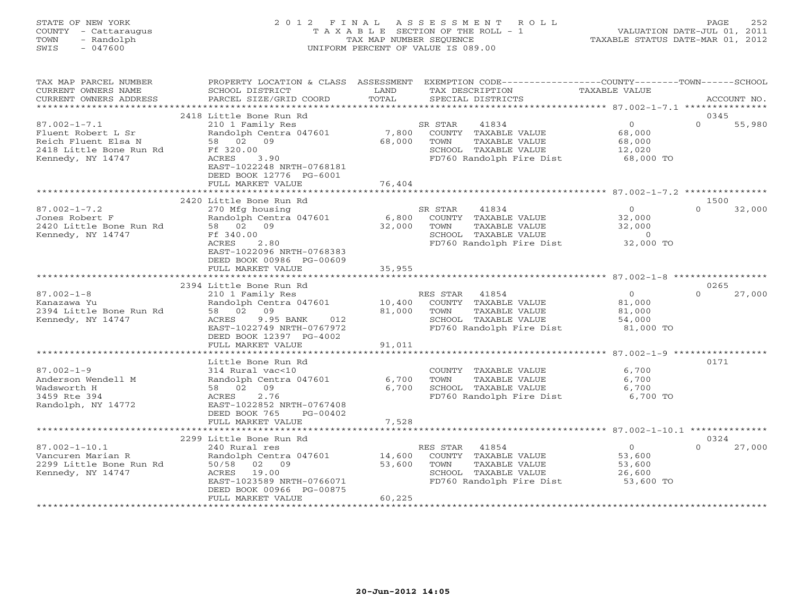## STATE OF NEW YORK 2 0 1 2 F I N A L A S S E S S M E N T R O L L PAGE 252 COUNTY - Cattaraugus T A X A B L E SECTION OF THE ROLL - 1 VALUATION DATE-JUL 01, 2011 TOWN - Randolph TAX MAP NUMBER SEQUENCE TAXABLE STATUS DATE-MAR 01, 2012 SWIS - 047600 UNIFORM PERCENT OF VALUE IS 089.00UNIFORM PERCENT OF VALUE IS 089.00

| TAX MAP PARCEL NUMBER<br>CURRENT OWNERS NAME<br>CURRENT OWNERS ADDRESS                                          | PROPERTY LOCATION & CLASS ASSESSMENT<br>SCHOOL DISTRICT<br>PARCEL SIZE/GRID COORD                                                                                                            | LAND<br>TOTAL              | EXEMPTION CODE-----------------COUNTY-------TOWN------SCHOOL<br>TAX DESCRIPTION<br>SPECIAL DISTRICTS                   | TAXABLE VALUE                                              | ACCOUNT NO.                |
|-----------------------------------------------------------------------------------------------------------------|----------------------------------------------------------------------------------------------------------------------------------------------------------------------------------------------|----------------------------|------------------------------------------------------------------------------------------------------------------------|------------------------------------------------------------|----------------------------|
| ************************                                                                                        |                                                                                                                                                                                              |                            |                                                                                                                        |                                                            |                            |
| $87.002 - 1 - 7.1$<br>Fluent Robert L Sr<br>Reich Fluent Elsa N<br>2418 Little Bone Run Rd<br>Kennedy, NY 14747 | 2418 Little Bone Run Rd<br>210 1 Family Res<br>Randolph Centra 047601<br>58 02 09<br>Ff 320.00<br>ACRES<br>3.90<br>EAST-1022248 NRTH-0768181<br>DEED BOOK 12776 PG-6001<br>FULL MARKET VALUE | 7,800<br>68,000<br>76,404  | SR STAR<br>41834<br>COUNTY TAXABLE VALUE<br>TOWN<br>TAXABLE VALUE<br>SCHOOL TAXABLE VALUE<br>FD760 Randolph Fire Dist  | $\overline{0}$<br>68,000<br>68,000<br>12,020<br>68,000 TO  | 0345<br>$\Omega$<br>55,980 |
|                                                                                                                 |                                                                                                                                                                                              |                            |                                                                                                                        |                                                            |                            |
| $87.002 - 1 - 7.2$<br>Jones Robert F<br>2420 Little Bone Run Rd<br>Kennedy, NY 14747                            | 2420 Little Bone Run Rd<br>270 Mfg housing<br>Randolph Centra 047601<br>58 02 09<br>Ff 340.00<br>ACRES<br>2.80<br>EAST-1022096 NRTH-0768383<br>DEED BOOK 00986 PG-00609                      | 6,800<br>32,000            | SR STAR<br>41834<br>COUNTY TAXABLE VALUE<br>TOWN<br>TAXABLE VALUE<br>SCHOOL TAXABLE VALUE<br>FD760 Randolph Fire Dist  | $\overline{0}$<br>32,000<br>32,000<br>$\circ$<br>32,000 TO | 1500<br>$\Omega$<br>32,000 |
|                                                                                                                 | FULL MARKET VALUE                                                                                                                                                                            | 35,955                     |                                                                                                                        |                                                            |                            |
|                                                                                                                 |                                                                                                                                                                                              |                            |                                                                                                                        |                                                            | 0265                       |
| $87.002 - 1 - 8$<br>Kanazawa Yu<br>2394 Little Bone Run Rd<br>Kennedy, NY 14747                                 | 2394 Little Bone Run Rd<br>210 1 Family Res<br>Randolph Centra 047601<br>58 02 09<br>ACRES<br>9.95 BANK<br>012<br>EAST-1022749 NRTH-0767972<br>DEED BOOK 12397 PG-4002<br>FULL MARKET VALUE  | 10,400<br>81,000<br>91,011 | RES STAR 41854<br>COUNTY TAXABLE VALUE<br>TOWN<br>TAXABLE VALUE<br>SCHOOL TAXABLE VALUE<br>FD760 Randolph Fire Dist    | $\overline{0}$<br>81,000<br>81,000<br>54,000<br>81,000 TO  | $\Omega$<br>27,000         |
|                                                                                                                 |                                                                                                                                                                                              |                            |                                                                                                                        |                                                            |                            |
| $87.002 - 1 - 9$<br>Anderson Wendell M<br>Wadsworth H<br>3459 Rte 394<br>Randolph, NY 14772                     | Little Bone Run Rd<br>314 Rural vac<10<br>Randolph Centra 047601<br>58 02 09<br>2.76<br>ACRES<br>EAST-1022852 NRTH-0767408<br>DEED BOOK 765<br>$PG-00402$<br>FULL MARKET VALUE               | 6,700<br>6,700<br>7,528    | COUNTY TAXABLE VALUE<br>TOWN<br>TAXABLE VALUE<br>SCHOOL TAXABLE VALUE<br>FD760 Randolph Fire Dist                      | 6,700<br>6,700<br>6,700<br>6,700 TO                        | 0171                       |
|                                                                                                                 | ******************                                                                                                                                                                           |                            |                                                                                                                        | ***************** 87.002-1-10.1 *************              |                            |
| $87.002 - 1 - 10.1$<br>Vancuren Marian R<br>2299 Little Bone Run Rd<br>Kennedy, NY 14747                        | 2299 Little Bone Run Rd<br>240 Rural res<br>Randolph Centra 047601<br>50/58 02 09<br>19.00<br>ACRES<br>EAST-1023589 NRTH-0766071<br>DEED BOOK 00966 PG-00875<br>FULL MARKET VALUE            | 14,600<br>53,600<br>60,225 | 41854<br>RES STAR<br>COUNTY TAXABLE VALUE<br>TOWN<br>TAXABLE VALUE<br>SCHOOL TAXABLE VALUE<br>FD760 Randolph Fire Dist | $\overline{0}$<br>53,600<br>53,600<br>26,600<br>53,600 TO  | 0324<br>27,000<br>$\Omega$ |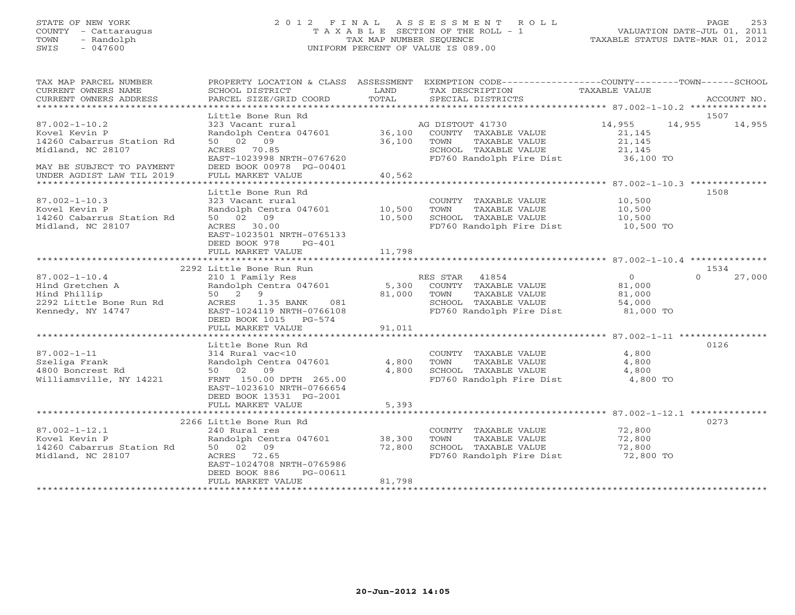# STATE OF NEW YORK 2 0 1 2 F I N A L A S S E S S M E N T R O L L PAGE 253 COUNTY - Cattaraugus T A X A B L E SECTION OF THE ROLL - 1 VALUATION DATE-JUL 01, 2011 TOWN - Randolph TAX MAP NUMBER SEQUENCE TAXABLE STATUS DATE-MAR 01, 2012 SWIS - 047600 UNIFORM PERCENT OF VALUE IS 089.00UNIFORM PERCENT OF VALUE IS 089.00

| TAX MAP PARCEL NUMBER<br>CURRENT OWNERS NAME | SCHOOL DISTRICT                                                       | LAND   | PROPERTY LOCATION & CLASS ASSESSMENT EXEMPTION CODE---------------COUNTY-------TOWN------SCHOOL<br>TAX DESCRIPTION | TAXABLE VALUE       |                          |
|----------------------------------------------|-----------------------------------------------------------------------|--------|--------------------------------------------------------------------------------------------------------------------|---------------------|--------------------------|
| CURRENT OWNERS ADDRESS                       | PARCEL SIZE/GRID COORD                                                | TOTAL  | SPECIAL DISTRICTS                                                                                                  |                     | ACCOUNT NO.              |
|                                              |                                                                       |        |                                                                                                                    |                     |                          |
| $87.002 - 1 - 10.2$                          | Little Bone Run Rd<br>323 Vacant rural                                |        | AG DISTOUT 41730                                                                                                   | 14,955              | 1507<br>14,955<br>14,955 |
| Kovel Kevin P                                |                                                                       |        | Randolph Centra 047601 36,100 COUNTY TAXABLE VALUE                                                                 | 21,145              |                          |
| 14260 Cabarrus Station Rd                    | 50 02 09                                                              | 36,100 | TOWN<br>TAXABLE VALUE                                                                                              | 21,145              |                          |
| Midland, NC 28107                            | ACRES 70.85<br>EAST-1023998 NRTH-0767620                              |        | SCHOOL TAXABLE VALUE<br>FD760 Randolph Fire Dist                                                                   | 21,145<br>36,100 TO |                          |
| MAY BE SUBJECT TO PAYMENT                    | DEED BOOK 00978 PG-00401                                              |        |                                                                                                                    |                     |                          |
| UNDER AGDIST LAW TIL 2019                    | FULL MARKET VALUE                                                     | 40,562 |                                                                                                                    |                     |                          |
|                                              |                                                                       |        |                                                                                                                    |                     |                          |
|                                              | Little Bone Run Rd                                                    |        |                                                                                                                    |                     | 1508                     |
| $87.002 - 1 - 10.3$<br>Kovel Kevin P         | 323 Vacant rural<br>Randolph Centra 047601 10,500                     |        | COUNTY TAXABLE VALUE 10,500<br>TOWN<br>TAXABLE VALUE                                                               | 10,500              |                          |
| 14260 Cabarrus Station Rd                    | 50 02 09                                                              | 10,500 | SCHOOL TAXABLE VALUE                                                                                               | 10,500              |                          |
| Midland, NC 28107                            | ACRES 30.00                                                           |        | FD760 Randolph Fire Dist 10,500 TO                                                                                 |                     |                          |
|                                              | EAST-1023501 NRTH-0765133                                             |        |                                                                                                                    |                     |                          |
|                                              | DEED BOOK 978<br>$PG-401$                                             |        |                                                                                                                    |                     |                          |
|                                              | FULL MARKET VALUE                                                     | 11,798 |                                                                                                                    |                     |                          |
|                                              | 2292 Little Bone Run Run                                              |        |                                                                                                                    |                     | 1534                     |
| $87.002 - 1 - 10.4$                          | 210 1 Family Res                                                      |        | RES STAR 41854                                                                                                     | $\overline{0}$      | $\Omega$<br>27,000       |
| Hind Gretchen A                              | 210 1 Family Res<br>Randolph Centra 047601 5,300 COUNTY TAXABLE VALUE |        |                                                                                                                    | 81,000              |                          |
| Hind Phillip                                 | 50 2 9                                                                | 81,000 | TOWN<br>TAXABLE VALUE                                                                                              |                     |                          |
| 2292 Little Bone Run Rd                      | ACRES 1.35 BANK 081                                                   |        | SCHOOL TAXABLE VALUE                                                                                               | 81,000<br>54,000    |                          |
| Kennedy, NY 14747                            | EAST-1024119 NRTH-0766108                                             |        | FD760 Randolph Fire Dist 81,000 TO                                                                                 |                     |                          |
|                                              | DEED BOOK 1015 PG-574                                                 |        |                                                                                                                    |                     |                          |
|                                              | FULL MARKET VALUE                                                     | 91,011 |                                                                                                                    |                     |                          |
|                                              | Little Bone Run Rd                                                    |        |                                                                                                                    |                     | 0126                     |
| $87.002 - 1 - 11$                            | 314 Rural vac<10                                                      |        | COUNTY TAXABLE VALUE                                                                                               | 4,800               |                          |
| Szeliga Frank                                | Randolph Centra 047601                                                | 4,800  | TAXABLE VALUE<br>TOWN                                                                                              | 4,800               |                          |
| 4800 Boncrest Rd                             | 50 02 09                                                              | 4,800  | SCHOOL TAXABLE VALUE                                                                                               | 4,800               |                          |
| Williamsville, NY 14221                      | FRNT 150.00 DPTH 265.00                                               |        | FD760 Randolph Fire Dist 4,800 TO                                                                                  |                     |                          |
|                                              | EAST-1023610 NRTH-0766654                                             |        |                                                                                                                    |                     |                          |
|                                              | DEED BOOK 13531 PG-2001<br>FULL MARKET VALUE                          | 5,393  |                                                                                                                    |                     |                          |
|                                              |                                                                       |        |                                                                                                                    |                     |                          |
|                                              | 2266 Little Bone Run Rd                                               |        |                                                                                                                    |                     | 0273                     |
| $87.002 - 1 - 12.1$                          | 240 Rural res                                                         |        | COUNTY TAXABLE VALUE 72,800                                                                                        |                     |                          |
| Kovel Kevin P                                | Randolph Centra 047601                                                | 38,300 | TOWN<br>TAXABLE VALUE                                                                                              | 72,800              |                          |
| 14260 Cabarrus Station Rd                    | 50 02 09                                                              | 72,800 | SCHOOL TAXABLE VALUE                                                                                               | 72,800              |                          |
| Midland, NC 28107                            | ACRES 72.65                                                           |        | FD760 Randolph Fire Dist 72,800 TO                                                                                 |                     |                          |
|                                              | EAST-1024708 NRTH-0765986<br>DEED BOOK 886<br>PG-00611                |        |                                                                                                                    |                     |                          |
|                                              | FULL MARKET VALUE                                                     | 81,798 |                                                                                                                    |                     |                          |
|                                              |                                                                       |        |                                                                                                                    |                     |                          |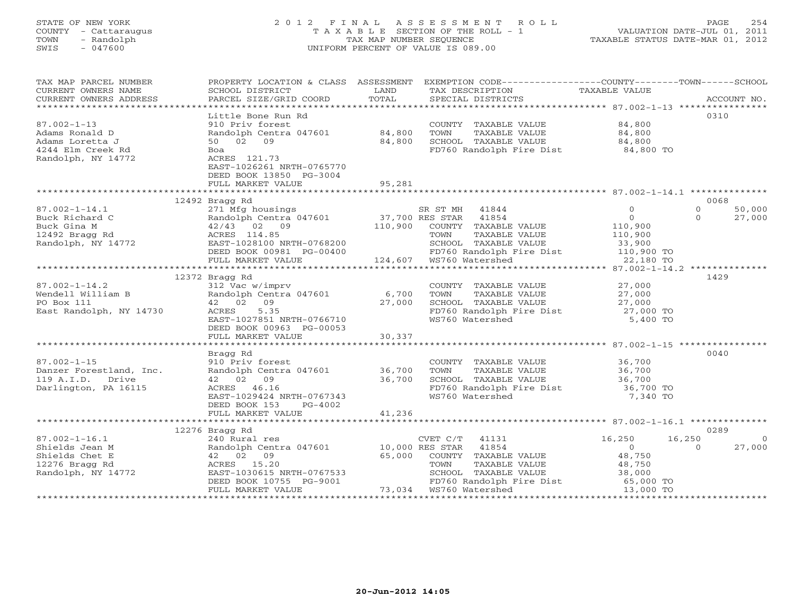# STATE OF NEW YORK 2 0 1 2 F I N A L A S S E S S M E N T R O L L PAGE 254 COUNTY - Cattaraugus T A X A B L E SECTION OF THE ROLL - 1 VALUATION DATE-JUL 01, 2011 TOWN - Randolph TAX MAP NUMBER SEQUENCE TAXABLE STATUS DATE-MAR 01, 2012 SWIS - 047600 UNIFORM PERCENT OF VALUE IS 089.00UNIFORM PERCENT OF VALUE IS 089.00

| TAX MAP PARCEL NUMBER<br>CURRENT OWNERS NAME                                             | SCHOOL DISTRICT                                                                                                                                                             | LAND             | PROPERTY LOCATION & CLASS ASSESSMENT EXEMPTION CODE---------------COUNTY-------TOWN------SCHOOL<br>TAX DESCRIPTION                           | TAXABLE VALUE                                       |                                          |
|------------------------------------------------------------------------------------------|-----------------------------------------------------------------------------------------------------------------------------------------------------------------------------|------------------|----------------------------------------------------------------------------------------------------------------------------------------------|-----------------------------------------------------|------------------------------------------|
| CURRENT OWNERS ADDRESS                                                                   | PARCEL SIZE/GRID COORD                                                                                                                                                      | TOTAL            | SPECIAL DISTRICTS                                                                                                                            |                                                     | ACCOUNT NO.                              |
|                                                                                          | Little Bone Run Rd                                                                                                                                                          |                  |                                                                                                                                              |                                                     | 0310                                     |
| $87.002 - 1 - 13$<br>Adams Ronald D<br>Adams Loretta J                                   | 910 Priv forest<br>Randolph Centra 047601<br>50 02 09                                                                                                                       | 84,800<br>84,800 | COUNTY TAXABLE VALUE<br>TOWN<br>TAXABLE VALUE<br>SCHOOL TAXABLE VALUE                                                                        | 84,800<br>84,800<br>84,800                          |                                          |
| 4244 Elm Creek Rd<br>Randolph, NY 14772                                                  | Boa<br>ACRES 121.73<br>EAST-1026261 NRTH-0765770<br>DEED BOOK 13850 PG-3004<br>FULL MARKET VALUE                                                                            | 95,281           | FD760 Randolph Fire Dist 84,800 TO                                                                                                           |                                                     |                                          |
|                                                                                          |                                                                                                                                                                             |                  |                                                                                                                                              |                                                     |                                          |
|                                                                                          | 12492 Bragg Rd                                                                                                                                                              |                  |                                                                                                                                              |                                                     | 0068                                     |
| $87.002 - 1 - 14.1$<br>Buck Richard C<br>Buck Gina M                                     | 271 Mfg housings<br>Example 12.1 and the centers of 12.7, 700 RES STAR 41854<br>42/43 02 09 110.900 COUNTY TAXABLI<br>$42/43$ 02 09                                         | 110,900          | SR ST MH 41844<br>COUNTY TAXABLE VALUE                                                                                                       | $\Omega$<br>$\Omega$<br>110,900                     | $\Omega$<br>50,000<br>$\Omega$<br>27,000 |
| 12492 Bragg Rd<br>Randolph, NY 14772                                                     | ACRES 114.85<br>EAST-1028100 NRTH-0768200<br>DEED BOOK 00981 PG-00400<br>FULL MARKET VALUE                                                                                  |                  | TAXABLE VALUE<br>TOWN<br>SCHOOL TAXABLE VALUE<br>FD760 Randolph Fire Dist 110,900 TO<br>WS760 Watershed 22,180 TO<br>124,607 WS760 Watershed | 110,900<br>33,900                                   |                                          |
|                                                                                          |                                                                                                                                                                             |                  |                                                                                                                                              |                                                     |                                          |
|                                                                                          | 12372 Bragg Rd                                                                                                                                                              |                  |                                                                                                                                              |                                                     | 1429                                     |
| $87.002 - 1 - 14.2$<br>Wendell William B<br>PO Box 111<br>East Randolph, NY 14730        | 312 Vac w/imprv<br>Randolph Centra 047601<br>42 02 09<br>5.35<br>ACRES<br>EAST-1027851 NRTH-0766710<br>DEED BOOK 00963 PG-00053                                             | 6,700<br>27,000  | COUNTY TAXABLE VALUE<br>TOWN<br>TAXABLE VALUE<br>SCHOOL TAXABLE VALUE<br>FD760 Randolph Fire Dist<br>WS760 Watershed                         | 27,000<br>27,000<br>27,000<br>27,000 TO<br>5,400 TO |                                          |
|                                                                                          | FULL MARKET VALUE                                                                                                                                                           | 30,337           |                                                                                                                                              |                                                     |                                          |
|                                                                                          |                                                                                                                                                                             |                  |                                                                                                                                              |                                                     |                                          |
| $87.002 - 1 - 15$<br>Danzer Forestland, Inc.<br>119 A.I.D. Drive<br>Darlington, PA 16115 | Bragg Rd<br>910 Priv forest<br>Randolph Centra 047601 36,700<br>42 02 09<br>ACRES 46.16<br>EAST-1029424 NRTH-0767343<br>DEED BOOK 153<br>PG-4002                            | 36,700           | COUNTY TAXABLE VALUE 36,700<br>TOWN<br>TAXABLE VALUE<br>SCHOOL TAXABLE VALUE<br>FD760 Randolph Fire Dist 36,700 TO<br>WS760 Watershed        | 36,700<br>36,700<br>7,340 TO                        | 0040                                     |
|                                                                                          | FULL MARKET VALUE                                                                                                                                                           | 41,236           |                                                                                                                                              |                                                     |                                          |
|                                                                                          |                                                                                                                                                                             |                  |                                                                                                                                              |                                                     |                                          |
| $87.002 - 1 - 16.1$                                                                      | 12276 Bragg Rd                                                                                                                                                              |                  | CVET C/T<br>41131                                                                                                                            | 16,250                                              | 0289<br>16,250<br>$\Omega$               |
| Shields Jean M<br>Shields Chet E<br>12276 Bragg Rd<br>Randolph, NY 14772                 | 240 Rural res<br>Randolph Centra 047601 10,000 RES STAR 41854<br>42 02 09<br>ACRES 15.20<br>EAST-1030615 NRTH-0767533<br>PERD BOOK 10755 PG-9001<br>DEED BOOK 10755 PG-9001 | 65,000           | COUNTY TAXABLE VALUE<br>TOWN<br>TAXABLE VALUE<br>SCHOOL TAXABLE VALUE 38,000<br>FD760 Randolph Fire Dist 65,000 TO                           | $\Omega$<br>48,750<br>48,750                        | 27,000<br>$\Omega$                       |
|                                                                                          | FULL MARKET VALUE                                                                                                                                                           |                  | 73,034 WS760 Watershed                                                                                                                       | 13,000 TO                                           |                                          |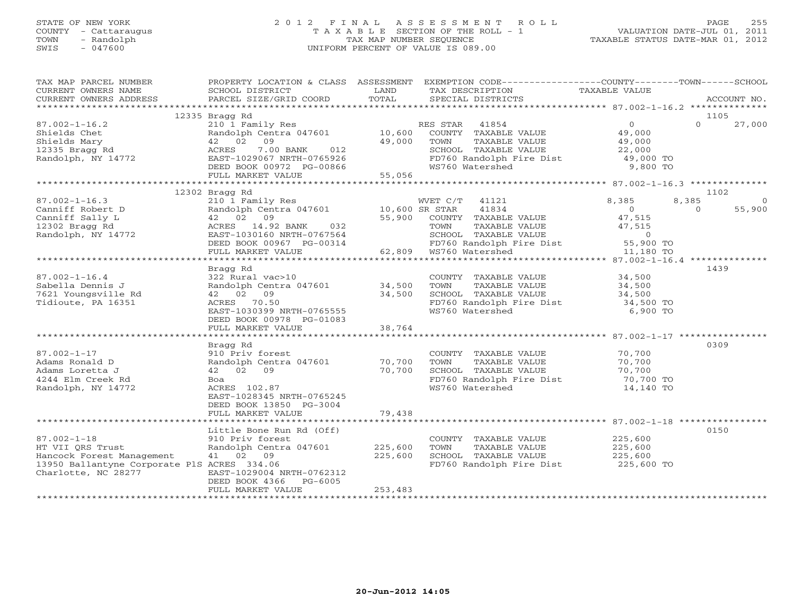# STATE OF NEW YORK 2 0 1 2 F I N A L A S S E S S M E N T R O L L PAGE 255 COUNTY - Cattaraugus T A X A B L E SECTION OF THE ROLL - 1 VALUATION DATE-JUL 01, 2011 TOWN - Randolph TAX MAP NUMBER SEQUENCE TAXABLE STATUS DATE-MAR 01, 2012 SWIS - 047600 UNIFORM PERCENT OF VALUE IS 089.00UNIFORM PERCENT OF VALUE IS 089.00

| TAX MAP PARCEL NUMBER<br>CURRENT OWNERS NAME<br>CURRENT OWNERS ADDRESS                                                                   | SCHOOL DISTRICT<br>PARCEL SIZE/GRID COORD                                                                                                                                                                                                           | LAND<br>TOTAL                     | PROPERTY LOCATION & CLASS ASSESSMENT EXEMPTION CODE---------------COUNTY-------TOWN------SCHOOL<br>TAX DESCRIPTION<br>SPECIAL DISTRICTS                  | TAXABLE VALUE                                                  | ACCOUNT NO.               |
|------------------------------------------------------------------------------------------------------------------------------------------|-----------------------------------------------------------------------------------------------------------------------------------------------------------------------------------------------------------------------------------------------------|-----------------------------------|----------------------------------------------------------------------------------------------------------------------------------------------------------|----------------------------------------------------------------|---------------------------|
|                                                                                                                                          |                                                                                                                                                                                                                                                     |                                   |                                                                                                                                                          |                                                                |                           |
|                                                                                                                                          | 12335 Bragg Rd                                                                                                                                                                                                                                      |                                   |                                                                                                                                                          |                                                                | 1105                      |
| $87.002 - 1 - 16.2$<br>Shields Chet<br>Shields Mary<br>12335 Bragg Rd<br>Randolph, NY 14772                                              | 210 1 Family Res<br>Randolph Centra 047601<br>42 02<br>09<br>7.00 BANK 012<br>ACRES<br>EAST-1029067 NRTH-0765926<br>DEED BOOK 00972 PG-00866<br>FULL MARKET VALUE                                                                                   | 10,600<br>49,000<br>366<br>55,056 | RES STAR 41854<br>COUNTY TAXABLE VALUE<br>TAXABLE VALUE<br>TOWN<br>WS760 Watershed                                                                       | $\overline{0}$<br>49,000<br>49,000<br>9,800 TO                 | $\Omega$<br>27,000        |
|                                                                                                                                          |                                                                                                                                                                                                                                                     |                                   |                                                                                                                                                          |                                                                |                           |
| $87.002 - 1 - 16.3$                                                                                                                      | 12302 Bragg Rd<br>210 1 Family Res                                                                                                                                                                                                                  |                                   | WVET C/T 41121                                                                                                                                           | 8,385                                                          | 1102<br>8,385<br>$\Omega$ |
| Canniff Robert D<br>Canniff Sally L<br>Canniff Sally L<br>12302 Bragg Rd<br>Randolph, NY 14772                                           | $\angle$ 10 1 Family Res WVET C/T<br>Randolph Centra 047601 10,600 SR STAR<br>42 02 09<br>ACRES 14.92 BANK 032<br>EAST-1030160 NRTH-0767564 SCHOOL TAXABLE<br>DEED BOOK 00967 PG-00314 FD760 Randolph F<br>FULL MARKET VALUE 62,809 WS760 Watershed |                                   | 41834<br>55,900 COUNTY TAXABLE VALUE<br>TAXABLE VALUE<br>TOWN<br>SCHOOL TAXABLE VALUE<br>FD760 Randolph Fire Dist 55,900 TO<br>WS760 Watershed 11,180 TO | $\overline{0}$<br>47,515<br>47,515                             | 55,900<br>$\Omega$        |
|                                                                                                                                          |                                                                                                                                                                                                                                                     |                                   |                                                                                                                                                          |                                                                |                           |
| $87.002 - 1 - 16.4$                                                                                                                      | Bragg Rd<br>322 Rural vac>10                                                                                                                                                                                                                        |                                   | COUNTY TAXABLE VALUE                                                                                                                                     | 34,500                                                         | 1439                      |
| Sabella Dennis J<br>7621 Youngsville Rd<br>Tidioute, PA 16351                                                                            | Randolph Centra 047601<br>42 02 09<br>ACRES 70.50<br>EAST-1030399 NRTH-0765555<br>DEED BOOK 00978 PG-01083<br>FULL MARKET VALUE                                                                                                                     | 34,500<br>34,500<br>38,764        | INAABLE VALUE<br>SCHOOL TAXABLE VALUE<br>FD760 Bandelet<br>FD760 Randolph Fire Dist 34,500 TO<br>WS760 Watershed                                         | 34,500<br>34,500<br>6,900 TO                                   |                           |
|                                                                                                                                          |                                                                                                                                                                                                                                                     |                                   |                                                                                                                                                          |                                                                |                           |
| $87.002 - 1 - 17$<br>Adams Ronald D<br>Adams Loretta J<br>4244 Elm Creek Rd<br>Randolph, NY 14772                                        | Bragg Rd<br>910 Priv forest<br>Randolph Centra 047601<br>42 02 09<br>Boa<br>ACRES 102.87<br>EAST-1028345 NRTH-0765245<br>DEED BOOK 13850 PG-3004                                                                                                    | 70,700<br>70,700                  | COUNTY TAXABLE VALUE<br>TAXABLE VALUE<br>TOWN<br>SCHOOL TAXABLE VALUE<br>FD760 Randolph Fire Dist<br>WS760 Watershed                                     | 70,700<br>70.700<br>70,700<br>70,700<br>70,700 TO<br>14,140 TO | 0309                      |
|                                                                                                                                          | FULL MARKET VALUE                                                                                                                                                                                                                                   | 79,438                            |                                                                                                                                                          |                                                                |                           |
| $87.002 - 1 - 18$<br>HT VII QRS Trust<br>Hancock Forest Management<br>13950 Ballantyne Corporate PlS ACRES 334.06<br>Charlotte, NC 28277 | Little Bone Run Rd (Off)<br>910 Priv forest<br>Randolph Centra 047601 225,600<br>41 02 09<br>EAST-1029004 NRTH-0762312<br>DEED BOOK 4366 PG-6005                                                                                                    | 225,600                           | COUNTY TAXABLE VALUE<br>TOWN<br>TAXABLE VALUE<br>SCHOOL TAXABLE VALUE<br>FD760 Randolph Fire Dist                                                        | 225,600<br>225,600<br>225,600<br>st 225,600 TO                 | 0150                      |
|                                                                                                                                          | FULL MARKET VALUE                                                                                                                                                                                                                                   | 253,483                           |                                                                                                                                                          |                                                                |                           |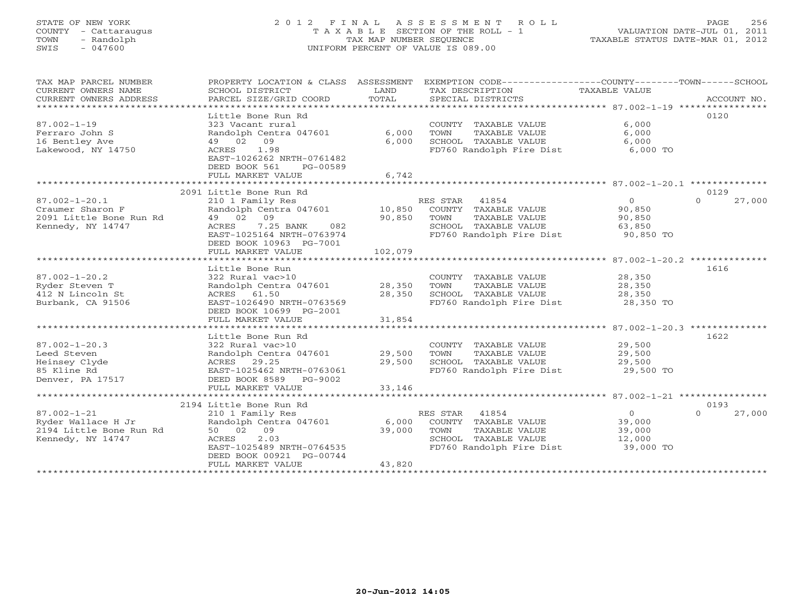# STATE OF NEW YORK 2 0 1 2 F I N A L A S S E S S M E N T R O L L PAGE 256 COUNTY - Cattaraugus T A X A B L E SECTION OF THE ROLL - 1 VALUATION DATE-JUL 01, 2011 TOWN - Randolph TAX MAP NUMBER SEQUENCE TAXABLE STATUS DATE-MAR 01, 2012 SWIS - 047600 UNIFORM PERCENT OF VALUE IS 089.00UNIFORM PERCENT OF VALUE IS 089.00

| TAX MAP PARCEL NUMBER<br>CURRENT OWNERS NAME<br>CURRENT OWNERS ADDRESS<br>************************* | PROPERTY LOCATION & CLASS ASSESSMENT<br>SCHOOL DISTRICT<br>PARCEL SIZE/GRID COORD                                                                          | LAND<br>TOTAL             | EXEMPTION CODE----------------COUNTY-------TOWN------SCHOOL<br>TAX DESCRIPTION<br>SPECIAL DISTRICTS                    | TAXABLE VALUE                                             | ACCOUNT NO.        |
|-----------------------------------------------------------------------------------------------------|------------------------------------------------------------------------------------------------------------------------------------------------------------|---------------------------|------------------------------------------------------------------------------------------------------------------------|-----------------------------------------------------------|--------------------|
| $87.002 - 1 - 19$<br>Ferraro John S<br>16 Bentley Ave<br>Lakewood, NY 14750                         | Little Bone Run Rd<br>323 Vacant rural<br>Randolph Centra 047601<br>09<br>49 02<br>1.98<br>ACRES<br>EAST-1026262 NRTH-0761482<br>DEED BOOK 561<br>PG-00589 | 6,000<br>6,000            | COUNTY TAXABLE VALUE<br>TOWN<br>TAXABLE VALUE<br>SCHOOL TAXABLE VALUE<br>FD760 Randolph Fire Dist                      | 6,000<br>6,000<br>6,000<br>6,000 TO                       | 0120               |
|                                                                                                     | FULL MARKET VALUE                                                                                                                                          | 6,742                     |                                                                                                                        |                                                           |                    |
|                                                                                                     | 2091 Little Bone Run Rd                                                                                                                                    |                           |                                                                                                                        |                                                           | 0129               |
| $87.002 - 1 - 20.1$<br>Craumer Sharon F<br>2091 Little Bone Run Rd<br>Kennedy, NY 14747             | 210 1 Family Res<br>Randolph Centra 047601<br>49 02 09<br>ACRES<br>7.25 BANK<br>082<br>EAST-1025164 NRTH-0763974<br>DEED BOOK 10963 PG-7001                | 10,850<br>90,850          | RES STAR<br>41854<br>COUNTY TAXABLE VALUE<br>TOWN<br>TAXABLE VALUE<br>SCHOOL TAXABLE VALUE<br>FD760 Randolph Fire Dist | $\circ$<br>90,850<br>90,850<br>63,850<br>90,850 TO        | 27,000<br>$\Omega$ |
|                                                                                                     | FULL MARKET VALUE                                                                                                                                          | 102,079                   |                                                                                                                        |                                                           |                    |
|                                                                                                     |                                                                                                                                                            |                           |                                                                                                                        |                                                           |                    |
|                                                                                                     | Little Bone Run                                                                                                                                            |                           |                                                                                                                        |                                                           | 1616               |
| $87.002 - 1 - 20.2$<br>Ryder Steven T<br>412 N Lincoln St<br>Burbank, CA 91506                      | 322 Rural vac>10<br>Randolph Centra 047601<br>ACRES 61.50<br>EAST-1026490 NRTH-0763569                                                                     | 28,350<br>28,350          | COUNTY TAXABLE VALUE<br>TAXABLE VALUE<br>TOWN<br>SCHOOL TAXABLE VALUE<br>FD760 Randolph Fire Dist                      | 28,350<br>28,350<br>28,350<br>28,350 TO                   |                    |
|                                                                                                     | DEED BOOK 10699 PG-2001                                                                                                                                    |                           |                                                                                                                        |                                                           |                    |
|                                                                                                     | FULL MARKET VALUE<br>******************                                                                                                                    | 31,854<br>*********       |                                                                                                                        | ************************ 87.002-1-20.3 **************     |                    |
| $87.002 - 1 - 20.3$                                                                                 | Little Bone Run Rd<br>322 Rural vac>10                                                                                                                     |                           | COUNTY TAXABLE VALUE                                                                                                   | 29,500                                                    | 1622               |
| Leed Steven                                                                                         | Randolph Centra 047601                                                                                                                                     | 29,500                    | TOWN<br>TAXABLE VALUE                                                                                                  | 29,500                                                    |                    |
| Heinsey Clyde<br>85 Kline Rd<br>Denver, PA 17517                                                    | 29.25<br>ACRES<br>EAST-1025462 NRTH-0763061<br>DEED BOOK 8589<br>PG-9002                                                                                   | 29,500                    | SCHOOL TAXABLE VALUE<br>FD760 Randolph Fire Dist                                                                       | 29,500<br>29,500 TO                                       |                    |
|                                                                                                     | FULL MARKET VALUE                                                                                                                                          | 33,146                    |                                                                                                                        |                                                           |                    |
|                                                                                                     |                                                                                                                                                            |                           |                                                                                                                        |                                                           |                    |
|                                                                                                     | 2194 Little Bone Run Rd                                                                                                                                    |                           |                                                                                                                        |                                                           | 0193               |
| $87.002 - 1 - 21$<br>Ryder Wallace H Jr<br>2194 Little Bone Run Rd<br>Kennedy, NY 14747             | 210 1 Family Res<br>Randolph Centra 047601<br>50 02<br>09<br>2.03<br>ACRES<br>EAST-1025489 NRTH-0764535<br>DEED BOOK 00921 PG-00744<br>FULL MARKET VALUE   | 6,000<br>39,000<br>43,820 | 41854<br>RES STAR<br>COUNTY TAXABLE VALUE<br>TOWN<br>TAXABLE VALUE<br>SCHOOL TAXABLE VALUE<br>FD760 Randolph Fire Dist | $\overline{0}$<br>39,000<br>39,000<br>12,000<br>39,000 TO | $\Omega$<br>27,000 |
|                                                                                                     | *******************                                                                                                                                        |                           |                                                                                                                        |                                                           |                    |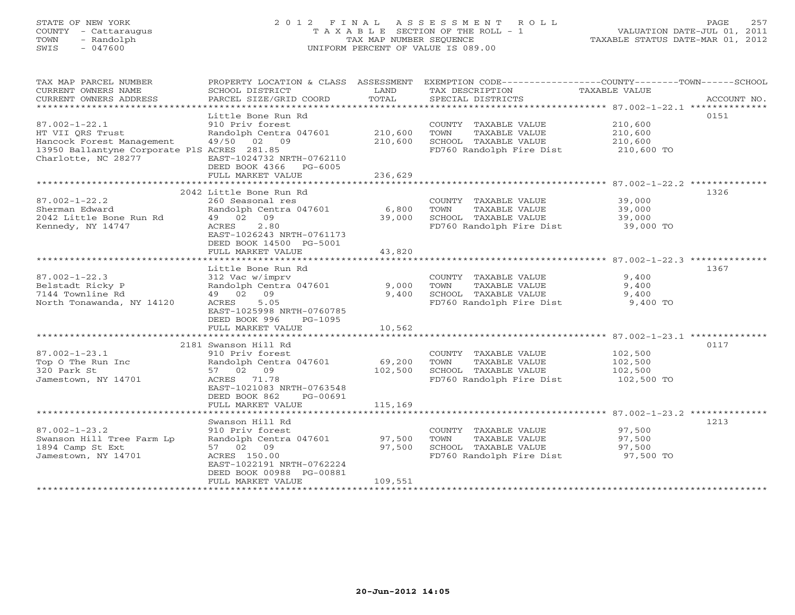# STATE OF NEW YORK 2 0 1 2 F I N A L A S S E S S M E N T R O L L PAGE 257 COUNTY - Cattaraugus T A X A B L E SECTION OF THE ROLL - 1 VALUATION DATE-JUL 01, 2011 TOWN - Randolph TAX MAP NUMBER SEQUENCE TAXABLE STATUS DATE-MAR 01, 2012 SWIS - 047600 UNIFORM PERCENT OF VALUE IS 089.00UNIFORM PERCENT OF VALUE IS 089.00

| TAX MAP PARCEL NUMBER                       | PROPERTY LOCATION & CLASS ASSESSMENT |         | EXEMPTION CODE-----------------COUNTY-------TOWN------SCHOOL |               |             |
|---------------------------------------------|--------------------------------------|---------|--------------------------------------------------------------|---------------|-------------|
| CURRENT OWNERS NAME                         | SCHOOL DISTRICT                      | LAND    | TAX DESCRIPTION                                              | TAXABLE VALUE |             |
| CURRENT OWNERS ADDRESS                      | PARCEL SIZE/GRID COORD               | TOTAL   | SPECIAL DISTRICTS                                            |               | ACCOUNT NO. |
|                                             |                                      |         |                                                              |               |             |
|                                             | Little Bone Run Rd                   |         |                                                              |               | 0151        |
| $87.002 - 1 - 22.1$                         | 910 Priv forest                      |         | COUNTY TAXABLE VALUE                                         | 210,600       |             |
| HT VII ORS Trust                            | Randolph Centra 047601               | 210,600 | TOWN<br>TAXABLE VALUE                                        | 210,600       |             |
| Hancock Forest Management 49/50 02 09       |                                      | 210,600 | SCHOOL TAXABLE VALUE                                         | 210,600       |             |
| 13950 Ballantyne Corporate PlS ACRES 281.85 |                                      |         | FD760 Randolph Fire Dist                                     | 210,600 TO    |             |
| Charlotte, NC 28277                         | EAST-1024732 NRTH-0762110            |         |                                                              |               |             |
|                                             | DEED BOOK 4366 PG-6005               |         |                                                              |               |             |
|                                             | FULL MARKET VALUE                    | 236,629 |                                                              |               |             |
|                                             |                                      |         |                                                              |               |             |
|                                             | 2042 Little Bone Run Rd              |         |                                                              |               | 1326        |
| $87.002 - 1 - 22.2$                         | 260 Seasonal res                     |         | COUNTY TAXABLE VALUE                                         | 39,000        |             |
| Sherman Edward                              | Randolph Centra 047601               | 6,800   | TAXABLE VALUE<br>TOWN                                        | 39,000        |             |
| 2042 Little Bone Run Rd                     | 49 02 09                             | 39,000  | SCHOOL TAXABLE VALUE                                         | 39,000        |             |
| Kennedy, NY 14747                           | 2.80<br>ACRES                        |         | FD760 Randolph Fire Dist                                     | 39,000 TO     |             |
|                                             | EAST-1026243 NRTH-0761173            |         |                                                              |               |             |
|                                             | DEED BOOK 14500 PG-5001              |         |                                                              |               |             |
|                                             | FULL MARKET VALUE                    | 43,820  |                                                              |               |             |
|                                             |                                      |         |                                                              |               |             |
|                                             | Little Bone Run Rd                   |         |                                                              |               | 1367        |
| $87.002 - 1 - 22.3$                         | 312 Vac w/imprv                      |         | COUNTY TAXABLE VALUE                                         | 9,400         |             |
| Belstadt Ricky P                            | Randolph Centra 047601               | 9,000   | TOWN<br>TAXABLE VALUE                                        | 9,400         |             |
| 7144 Townline Rd                            | 49 02 09                             | 9,400   | SCHOOL TAXABLE VALUE                                         | 9,400         |             |
| North Tonawanda, NY 14120                   | ACRES<br>5.05                        |         | FD760 Randolph Fire Dist 9,400 TO                            |               |             |
|                                             | EAST-1025998 NRTH-0760785            |         |                                                              |               |             |
|                                             | DEED BOOK 996<br>PG-1095             |         |                                                              |               |             |
|                                             | FULL MARKET VALUE                    | 10,562  |                                                              |               |             |
|                                             |                                      |         |                                                              |               |             |
|                                             | 2181 Swanson Hill Rd                 |         |                                                              |               | 0117        |
| $87.002 - 1 - 23.1$                         | 910 Priv forest                      |         | COUNTY TAXABLE VALUE                                         | 102,500       |             |
| Top O The Run Inc                           | Randolph Centra 047601               | 69,200  | TAXABLE VALUE<br>TOWN                                        | 102,500       |             |
| 320 Park St                                 | 57 02 09                             | 102,500 | SCHOOL TAXABLE VALUE                                         | 102,500       |             |
| Jamestown, NY 14701                         | ACRES 71.78                          |         | FD760 Randolph Fire Dist 102,500 TO                          |               |             |
|                                             | EAST-1021083 NRTH-0763548            |         |                                                              |               |             |
|                                             | DEED BOOK 862<br>PG-00691            |         |                                                              |               |             |
|                                             | FULL MARKET VALUE                    | 115,169 |                                                              |               |             |
|                                             |                                      |         |                                                              |               |             |
|                                             | Swanson Hill Rd                      |         |                                                              |               | 1213        |
| $87.002 - 1 - 23.2$                         | 910 Priv forest                      |         | COUNTY TAXABLE VALUE                                         | 97,500        |             |
| Swanson Hill Tree Farm Lp                   | Randolph Centra 047601               | 97,500  | TOWN<br>TAXABLE VALUE                                        | 97,500        |             |
| 1894 Camp St Ext                            | 57 02 09                             | 97,500  | SCHOOL TAXABLE VALUE                                         | 97,500        |             |
| Jamestown, NY 14701                         | ACRES 150.00                         |         | FD760 Randolph Fire Dist                                     | 97,500 TO     |             |
|                                             | EAST-1022191 NRTH-0762224            |         |                                                              |               |             |
|                                             | DEED BOOK 00988 PG-00881             |         |                                                              |               |             |
|                                             | FULL MARKET VALUE                    | 109,551 |                                                              |               |             |
|                                             |                                      |         |                                                              |               |             |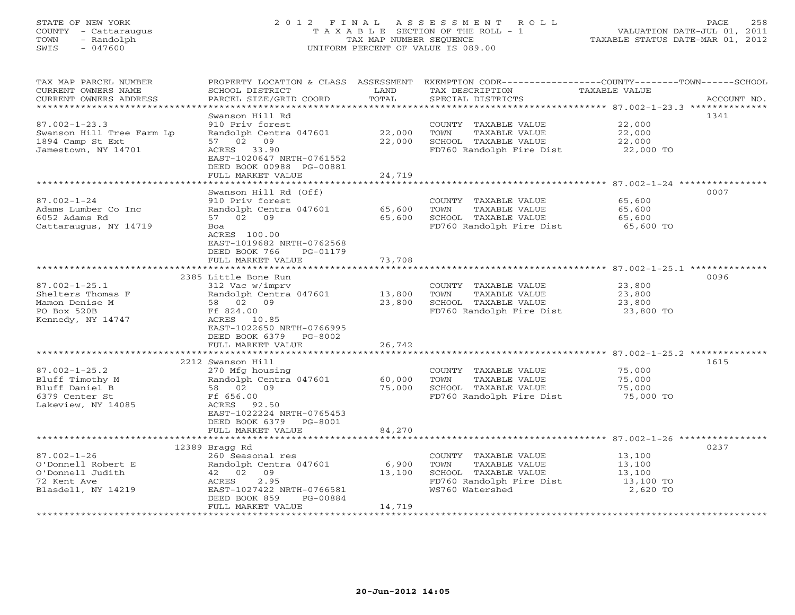# STATE OF NEW YORK 2 0 1 2 F I N A L A S S E S S M E N T R O L L PAGE 258 COUNTY - Cattaraugus T A X A B L E SECTION OF THE ROLL - 1 VALUATION DATE-JUL 01, 2011 TOWN - Randolph TAX MAP NUMBER SEQUENCE TAXABLE STATUS DATE-MAR 01, 2012 SWIS - 047600 UNIFORM PERCENT OF VALUE IS 089.00UNIFORM PERCENT OF VALUE IS 089.00

| TAX MAP PARCEL NUMBER<br>CURRENT OWNERS NAME<br>CURRENT OWNERS ADDRESS | PROPERTY LOCATION & CLASS ASSESSMENT<br>SCHOOL DISTRICT<br>PARCEL SIZE/GRID COORD | LAND<br>TOTAL        | EXEMPTION CODE----------------COUNTY-------TOWN-----SCHOOL<br>TAX DESCRIPTION<br>SPECIAL DISTRICTS | TAXABLE VALUE                                      | ACCOUNT NO. |
|------------------------------------------------------------------------|-----------------------------------------------------------------------------------|----------------------|----------------------------------------------------------------------------------------------------|----------------------------------------------------|-------------|
|                                                                        |                                                                                   |                      |                                                                                                    |                                                    |             |
|                                                                        | Swanson Hill Rd                                                                   |                      |                                                                                                    |                                                    | 1341        |
| $87.002 - 1 - 23.3$                                                    | 910 Priv forest                                                                   |                      | COUNTY TAXABLE VALUE                                                                               | 22,000                                             |             |
| Swanson Hill Tree Farm Lp                                              | Randolph Centra 047601                                                            | 22,000               | TOWN<br>TAXABLE VALUE                                                                              | 22,000                                             |             |
| 1894 Camp St Ext<br>Jamestown, NY 14701                                | 57 02 09<br>ACRES 33.90                                                           | 22,000               | SCHOOL TAXABLE VALUE<br>FD760 Randolph Fire Dist                                                   | 22,000<br>22,000 TO                                |             |
|                                                                        | EAST-1020647 NRTH-0761552                                                         |                      |                                                                                                    |                                                    |             |
|                                                                        | DEED BOOK 00988 PG-00881                                                          |                      |                                                                                                    |                                                    |             |
|                                                                        | FULL MARKET VALUE                                                                 | 24,719               |                                                                                                    |                                                    |             |
|                                                                        | *******************                                                               | ******************** |                                                                                                    |                                                    |             |
|                                                                        | Swanson Hill Rd (Off)                                                             |                      |                                                                                                    |                                                    | 0007        |
| $87.002 - 1 - 24$                                                      | 910 Priv forest                                                                   |                      | COUNTY TAXABLE VALUE                                                                               | 65,600                                             |             |
| Adams Lumber Co Inc                                                    | Randolph Centra 047601                                                            | 65,600               | TOWN<br>TAXABLE VALUE                                                                              | 65,600                                             |             |
| 6052 Adams Rd                                                          | 57 02<br>09                                                                       | 65,600               | SCHOOL TAXABLE VALUE                                                                               | 65,600                                             |             |
| Cattaraugus, NY 14719                                                  | Boa                                                                               |                      | FD760 Randolph Fire Dist                                                                           | 65,600 TO                                          |             |
|                                                                        | ACRES 100.00<br>EAST-1019682 NRTH-0762568                                         |                      |                                                                                                    |                                                    |             |
|                                                                        | DEED BOOK 766<br>PG-01179                                                         |                      |                                                                                                    |                                                    |             |
|                                                                        | FULL MARKET VALUE                                                                 | 73,708               |                                                                                                    |                                                    |             |
|                                                                        | ***********************                                                           |                      |                                                                                                    |                                                    |             |
|                                                                        | 2385 Little Bone Run                                                              |                      |                                                                                                    |                                                    | 0096        |
| $87.002 - 1 - 25.1$                                                    | 312 Vac w/imprv                                                                   |                      | COUNTY TAXABLE VALUE                                                                               | 23,800                                             |             |
| Shelters Thomas F                                                      | Randolph Centra 047601                                                            | 13,800               | TOWN<br>TAXABLE VALUE                                                                              | 23,800                                             |             |
| Mamon Denise M                                                         | 58 02 09                                                                          | 23,800               | SCHOOL TAXABLE VALUE                                                                               | 23,800                                             |             |
| PO Box 520B                                                            | Ff 824.00                                                                         |                      | FD760 Randolph Fire Dist                                                                           | 23,800 TO                                          |             |
| Kennedy, NY 14747                                                      | ACRES 10.85                                                                       |                      |                                                                                                    |                                                    |             |
|                                                                        | EAST-1022650 NRTH-0766995                                                         |                      |                                                                                                    |                                                    |             |
|                                                                        | DEED BOOK 6379<br>PG-8002                                                         |                      |                                                                                                    |                                                    |             |
|                                                                        | FULL MARKET VALUE<br>**********************                                       | 26,742<br>********   |                                                                                                    | ********************* 87.002-1-25.2 ************** |             |
|                                                                        | 2212 Swanson Hill                                                                 |                      |                                                                                                    |                                                    | 1615        |
| $87.002 - 1 - 25.2$                                                    | 270 Mfg housing                                                                   |                      | COUNTY TAXABLE VALUE                                                                               | 75,000                                             |             |
| Bluff Timothy M                                                        | Randolph Centra 047601                                                            | 60,000               | TOWN<br>TAXABLE VALUE                                                                              | 75,000                                             |             |
| Bluff Daniel B                                                         | 58 02 09                                                                          | 75,000               | SCHOOL TAXABLE VALUE                                                                               | 75,000                                             |             |
| 6379 Center St                                                         | Ff 656.00                                                                         |                      | FD760 Randolph Fire Dist                                                                           | 75,000 TO                                          |             |
| Lakeview, NY 14085                                                     | ACRES 92.50                                                                       |                      |                                                                                                    |                                                    |             |
|                                                                        | EAST-1022224 NRTH-0765453                                                         |                      |                                                                                                    |                                                    |             |
|                                                                        | DEED BOOK 6379<br>PG-8001                                                         |                      |                                                                                                    |                                                    |             |
|                                                                        | FULL MARKET VALUE<br>*********                                                    | 84,270               |                                                                                                    |                                                    |             |
|                                                                        | 12389 Bragg Rd                                                                    |                      |                                                                                                    |                                                    | 0237        |
| $87.002 - 1 - 26$                                                      | 260 Seasonal res                                                                  |                      | COUNTY TAXABLE VALUE                                                                               | 13,100                                             |             |
| O'Donnell Robert E                                                     | Randolph Centra 047601                                                            | 6,900                | TOWN<br>TAXABLE VALUE                                                                              | 13,100                                             |             |
| O'Donnell Judith                                                       | 42 02<br>09                                                                       | 13,100               | SCHOOL TAXABLE VALUE                                                                               | 13,100                                             |             |
| 72 Kent Ave                                                            | 2.95<br>ACRES                                                                     |                      | FD760 Randolph Fire Dist                                                                           | 13,100 TO                                          |             |
| Blasdell, NY 14219                                                     | EAST-1027422 NRTH-0766581                                                         |                      | WS760 Watershed                                                                                    | 2,620 TO                                           |             |
|                                                                        | DEED BOOK 859<br>PG-00884                                                         |                      |                                                                                                    |                                                    |             |
|                                                                        | FULL MARKET VALUE                                                                 | 14,719               |                                                                                                    |                                                    |             |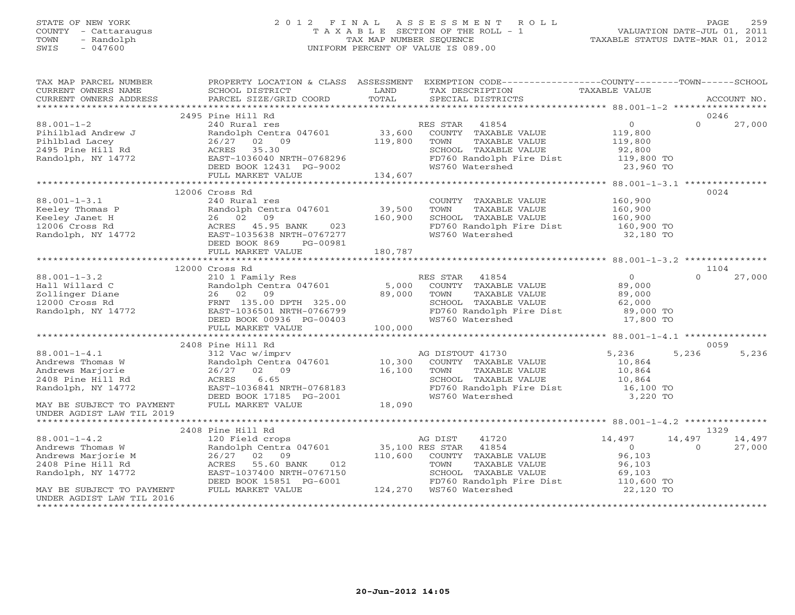# STATE OF NEW YORK 2 0 1 2 F I N A L A S S E S S M E N T R O L L PAGE 259 COUNTY - Cattaraugus T A X A B L E SECTION OF THE ROLL - 1 VALUATION DATE-JUL 01, 2011 TOWN - Randolph TAX MAP NUMBER SEQUENCE TAXABLE STATUS DATE-MAR 01, 2012 SWIS - 047600 UNIFORM PERCENT OF VALUE IS 089.00UNIFORM PERCENT OF VALUE IS 089.00

| TAX MAP PARCEL NUMBER<br>CURRENT OWNERS NAME                                                                                                                                                                                                                                                                                                                 | SCHOOL DISTRICT                                                                                                                                                           | LAND | PROPERTY LOCATION & CLASS ASSESSMENT EXEMPTION CODE---------------COUNTY-------TOWN------SCHOOL<br>TAX DESCRIPTION                                                                                                                                                                                                                                                               | TAXABLE VALUE                         |                    |                  |
|--------------------------------------------------------------------------------------------------------------------------------------------------------------------------------------------------------------------------------------------------------------------------------------------------------------------------------------------------------------|---------------------------------------------------------------------------------------------------------------------------------------------------------------------------|------|----------------------------------------------------------------------------------------------------------------------------------------------------------------------------------------------------------------------------------------------------------------------------------------------------------------------------------------------------------------------------------|---------------------------------------|--------------------|------------------|
|                                                                                                                                                                                                                                                                                                                                                              |                                                                                                                                                                           |      |                                                                                                                                                                                                                                                                                                                                                                                  |                                       |                    |                  |
|                                                                                                                                                                                                                                                                                                                                                              | 2495 Pine Hill Rd                                                                                                                                                         |      |                                                                                                                                                                                                                                                                                                                                                                                  |                                       | 0246               |                  |
| $\begin{array}{cccccccc} 88.001-1-2 & 2495 & \text{Piniblbad Andrew J} & 2495 & \text{Pinibilbad Andrew J} & 2495 & \text{Pinibilbad Andrew J} & 2408 & \text{RMS STAR} & 41854 & 0 & 27,000 \\ & 2408 & 2408 & 2408 & 2408 & 2408 & 2408 & 2408 & 2408 \\ \text{Pinibilad Andrew J} & 2408 & 2408 & 2408 & 2408 & 2408 \\ \text{Pinibilad Lacey & 2408 & 2$ |                                                                                                                                                                           |      |                                                                                                                                                                                                                                                                                                                                                                                  |                                       |                    |                  |
|                                                                                                                                                                                                                                                                                                                                                              |                                                                                                                                                                           |      |                                                                                                                                                                                                                                                                                                                                                                                  |                                       |                    |                  |
| $88.001 - 1 - 3.1$                                                                                                                                                                                                                                                                                                                                           | 12006 Cross Rd<br>240 Rural res<br>DEED BOOK 869<br>PG-00981<br>FULL MARKET VALUE 180,787                                                                                 |      | COUNTY TAXABLE VALUE 160,900<br>TOWN TAXABLE VALUE 160,900<br>SCHOOL TAXABLE VALUE 160,900<br>EUROUL INANDER VIEWS<br>FD760 Randolph Fire Dist 160,900 TO<br>WSTAN Watershed 32,180 TO                                                                                                                                                                                           |                                       | 0024               |                  |
|                                                                                                                                                                                                                                                                                                                                                              |                                                                                                                                                                           |      |                                                                                                                                                                                                                                                                                                                                                                                  |                                       |                    |                  |
|                                                                                                                                                                                                                                                                                                                                                              | 12000 Cross Rd                                                                                                                                                            |      |                                                                                                                                                                                                                                                                                                                                                                                  |                                       | 1104               |                  |
| 98.001-1-3.2<br>Hall Willard C Randolph Centra 047601 5,000 COUNII<br>2011inger Diane 26 02 09<br>12000 Cross Rd FRNT 135.00 DPTH 325.00 SCHOOL<br>Randolph, NY 14772 DEED BOOK 00936 PG-00403 WS760 WS760 V<br>FULL MARKET VALUE<br>FULL                                                                                                                    |                                                                                                                                                                           |      | UIDEN NOTE: NOTE: THE STAR 41854 MESS ON THE 1999 MESS ON THE 1999 MESS TAR 41854 MESS ON THE 1999 MESS TAR 41854<br>Randolph Centra 047601 5,000 COUNTY TAXABLE VALUE 39,000<br>26 02 09 39,000 TOWN TAXABLE VALUE 39,000<br>TOWN TAXABLE VALUE<br>SCHOOL TAXABLE VALUE 62,000<br>FD760 Randolph Fire Dist 89,000 TO<br>WS760 Watershed 17,800 TO                               |                                       | $\Omega$           | 27,000           |
|                                                                                                                                                                                                                                                                                                                                                              |                                                                                                                                                                           |      |                                                                                                                                                                                                                                                                                                                                                                                  |                                       |                    |                  |
|                                                                                                                                                                                                                                                                                                                                                              | 2408 Pine Hill Rd                                                                                                                                                         |      |                                                                                                                                                                                                                                                                                                                                                                                  |                                       | 0059               |                  |
| 88.001-1-4.1<br>Andrews Thomas W<br>Andrews Marjorie<br>2408 Pine Hill Rd<br>Randolph, NY 14772                                                                                                                                                                                                                                                              | ACRES 6.65<br>EAST-1036841 NRTH-0768183<br>DEED BOOK 17185 PG-2001<br>FULL MARKET VALUE 18,090                                                                            |      | Pine Hill Rd<br>312 Vac w/imprv<br>Rd DISTOUT 41730 5,236 5<br>26/27 02 09 16,100 TOWN TAXABLE VALUE 10,864<br>ACRES 6.65 SCHOOL TAXABLE VALUE 10,864<br>EAST-1036841 NRTH-0768183 FD760 Randolph Fire Dist 16,100 TO<br>DEED BOOK 17185 P                                                                                                                                       |                                       | 5,236              | 5,236            |
| MAY BE SUBJECT TO PAYMENT<br>UNDER AGDIST LAW TIL 2019                                                                                                                                                                                                                                                                                                       |                                                                                                                                                                           |      |                                                                                                                                                                                                                                                                                                                                                                                  |                                       |                    |                  |
|                                                                                                                                                                                                                                                                                                                                                              | 2408 Pine Hill Rd                                                                                                                                                         |      |                                                                                                                                                                                                                                                                                                                                                                                  |                                       | 1329               |                  |
| $88.001 - 1 - 4.2$<br>88.001-1-4.2<br>Andrews Thomas W<br>Andrews Marjorie M<br>2408 Pine Hill Rd<br>Randolph, NY 14772<br>MAY BE SUBJECT TO PAYMENT                                                                                                                                                                                                         | 120 Field crops<br>Randolph Centra 047601 35,100 RES STAR<br>26/27 02 09<br>ACRES 55.60 BANK<br>EAST-1037400 NRTH-0767150<br>DEED BOOK 15851 PG-6001<br>FULL MARKET VALUE |      | AG DIST<br>41720<br>41854<br>$\begin{array}{cccc}\n\text{N}\text{K} & 012 & 110,600 & \text{COUNTY} & \text{TAXABLE VALUE} & 96,103 \\ \text{N}\text{K} & 012 & \text{TOWN} & \text{TAXABLE VALUE} & 96,103\n\end{array}$<br>767150 SCHOOL TAXABLE<br>5-6001 FD760 Randolph F++<br>124,270 WS760 Watershed<br>SCHOOL TAXABLE VALUE 69,103<br>FD760 Randolph Fire Dist 110,600 TO | 14,497<br>$\overline{0}$<br>22,120 TO | 14,497<br>$\Omega$ | 14,497<br>27,000 |
| UNDER AGDIST LAW TIL 2016                                                                                                                                                                                                                                                                                                                                    |                                                                                                                                                                           |      |                                                                                                                                                                                                                                                                                                                                                                                  |                                       |                    |                  |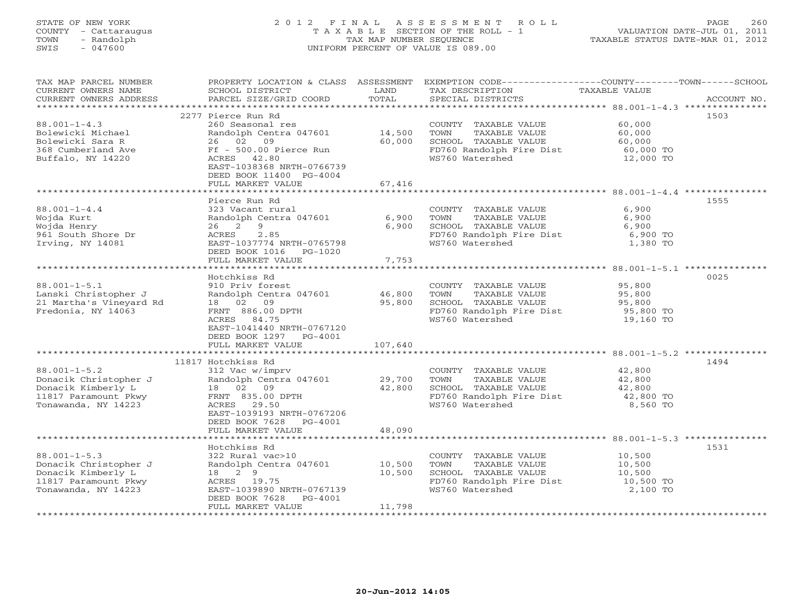# STATE OF NEW YORK 2 0 1 2 F I N A L A S S E S S M E N T R O L L PAGE 260 COUNTY - Cattaraugus T A X A B L E SECTION OF THE ROLL - 1 VALUATION DATE-JUL 01, 2011 TOWN - Randolph TAX MAP NUMBER SEQUENCE TAXABLE STATUS DATE-MAR 01, 2012 SWIS - 047600 UNIFORM PERCENT OF VALUE IS 089.00UNIFORM PERCENT OF VALUE IS 089.00

| TAX MAP PARCEL NUMBER<br>CURRENT OWNERS NAME<br>CURRENT OWNERS ADDRESS | PROPERTY LOCATION & CLASS ASSESSMENT<br>SCHOOL DISTRICT<br>PARCEL SIZE/GRID COORD                            | LAND<br>TOTAL    | TAX DESCRIPTION<br>SPECIAL DISTRICTS                                | EXEMPTION CODE-----------------COUNTY-------TOWN------SCHOOL<br>TAXABLE VALUE<br>ACCOUNT NO. |
|------------------------------------------------------------------------|--------------------------------------------------------------------------------------------------------------|------------------|---------------------------------------------------------------------|----------------------------------------------------------------------------------------------|
|                                                                        |                                                                                                              |                  |                                                                     |                                                                                              |
| $88.001 - 1 - 4.3$<br>Bolewicki Michael                                | 2277 Pierce Run Rd<br>260 Seasonal res<br>Randolph Centra 047601                                             | 14,500           | COUNTY TAXABLE VALUE<br>TOWN<br>TAXABLE VALUE                       | 1503<br>60,000<br>60,000                                                                     |
| Bolewicki Sara R<br>368 Cumberland Ave<br>Buffalo, NY 14220            | 26 02<br>09<br>Ff - 500.00 Pierce Run<br>ACRES 42.80<br>EAST-1038368 NRTH-0766739<br>DEED BOOK 11400 PG-4004 | 60,000           | SCHOOL TAXABLE VALUE<br>FD760 Randolph Fire Dist<br>WS760 Watershed | 60,000<br>60,000 TO<br>12,000 TO                                                             |
|                                                                        | FULL MARKET VALUE                                                                                            | 67,416           |                                                                     |                                                                                              |
|                                                                        | Pierce Run Rd                                                                                                |                  |                                                                     | 1555                                                                                         |
| $88.001 - 1 - 4.4$                                                     | 323 Vacant rural                                                                                             |                  | COUNTY TAXABLE VALUE                                                | 6,900                                                                                        |
| Wojda Kurt                                                             | Randolph Centra 047601                                                                                       | 6,900            | TAXABLE VALUE<br>TOWN                                               | 6,900                                                                                        |
| Wojda Henry                                                            | 9<br>$26 \quad 2$                                                                                            | 6,900            | SCHOOL TAXABLE VALUE                                                | 6,900                                                                                        |
| 961 South Shore Dr                                                     | 2.85<br>ACRES                                                                                                |                  | FD760 Randolph Fire Dist                                            | 6,900 TO                                                                                     |
| Irving, NY 14081                                                       | EAST-1037774 NRTH-0765798<br>DEED BOOK 1016 PG-1020                                                          |                  | WS760 Watershed                                                     | 1,380 TO                                                                                     |
|                                                                        | FULL MARKET VALUE                                                                                            | 7,753            |                                                                     |                                                                                              |
|                                                                        |                                                                                                              |                  |                                                                     |                                                                                              |
|                                                                        | Hotchkiss Rd                                                                                                 |                  |                                                                     | 0025                                                                                         |
| $88.001 - 1 - 5.1$                                                     | 910 Priv forest                                                                                              |                  | COUNTY TAXABLE VALUE                                                | 95,800                                                                                       |
| Lanski Christopher J                                                   | Randolph Centra 047601                                                                                       | 46,800           | TOWN<br>TAXABLE VALUE                                               | 95,800                                                                                       |
| 21 Martha's Vineyard Rd                                                | 18 02 09                                                                                                     | 95,800           | SCHOOL TAXABLE VALUE                                                | 95,800                                                                                       |
| Fredonia, NY 14063                                                     | FRNT 886.00 DPTH                                                                                             |                  | FD760 Randolph Fire Dist                                            | 95,800 TO                                                                                    |
|                                                                        | ACRES 84.75                                                                                                  |                  | WS760 Watershed                                                     | 19,160 TO                                                                                    |
|                                                                        | EAST-1041440 NRTH-0767120                                                                                    |                  |                                                                     |                                                                                              |
|                                                                        | DEED BOOK 1297<br>PG-4001                                                                                    |                  |                                                                     |                                                                                              |
|                                                                        | FULL MARKET VALUE                                                                                            | 107,640          |                                                                     |                                                                                              |
|                                                                        |                                                                                                              |                  |                                                                     | 1494                                                                                         |
| $88.001 - 1 - 5.2$                                                     | 11817 Hotchkiss Rd                                                                                           |                  | COUNTY TAXABLE VALUE                                                | 42,800                                                                                       |
|                                                                        | 312 Vac w/imprv                                                                                              |                  | TOWN<br>TAXABLE VALUE                                               | 42,800                                                                                       |
| Donacik Christopher J<br>Donacik Kimberly L                            | Randolph Centra 047601<br>18 02 09                                                                           | 29,700<br>42,800 | SCHOOL TAXABLE VALUE                                                | 42,800                                                                                       |
| 11817 Paramount Pkwy                                                   | FRNT 835.00 DPTH                                                                                             |                  | FD760 Randolph Fire Dist                                            | 42,800 TO                                                                                    |
| Tonawanda, NY 14223                                                    | ACRES 29.50                                                                                                  |                  | WS760 Watershed                                                     | 8,560 TO                                                                                     |
|                                                                        | EAST-1039193 NRTH-0767206                                                                                    |                  |                                                                     |                                                                                              |
|                                                                        | DEED BOOK 7628<br>$PG-4001$                                                                                  |                  |                                                                     |                                                                                              |
|                                                                        | FULL MARKET VALUE                                                                                            | 48,090           |                                                                     |                                                                                              |
|                                                                        |                                                                                                              |                  |                                                                     |                                                                                              |
|                                                                        | Hotchkiss Rd                                                                                                 |                  |                                                                     | 1531                                                                                         |
| $88.001 - 1 - 5.3$                                                     | 322 Rural vac>10                                                                                             |                  | COUNTY TAXABLE VALUE                                                | 10,500                                                                                       |
| Donacik Christopher J                                                  | Randolph Centra 047601                                                                                       | 10,500           | TOWN<br>TAXABLE VALUE                                               | 10,500                                                                                       |
| Donacik Kimberly L                                                     | 18 2 9                                                                                                       | 10,500           | SCHOOL TAXABLE VALUE                                                | 10,500                                                                                       |
| 11817 Paramount Pkwy                                                   | ACRES 19.75                                                                                                  |                  | FD760 Randolph Fire Dist                                            | 10,500 TO                                                                                    |
| Tonawanda, NY 14223                                                    | EAST-1039890 NRTH-0767139                                                                                    |                  | WS760 Watershed                                                     | 2,100 TO                                                                                     |
|                                                                        | DEED BOOK 7628<br>$PG-4001$                                                                                  |                  |                                                                     |                                                                                              |
|                                                                        | FULL MARKET VALUE                                                                                            | 11,798           |                                                                     |                                                                                              |
|                                                                        |                                                                                                              |                  |                                                                     |                                                                                              |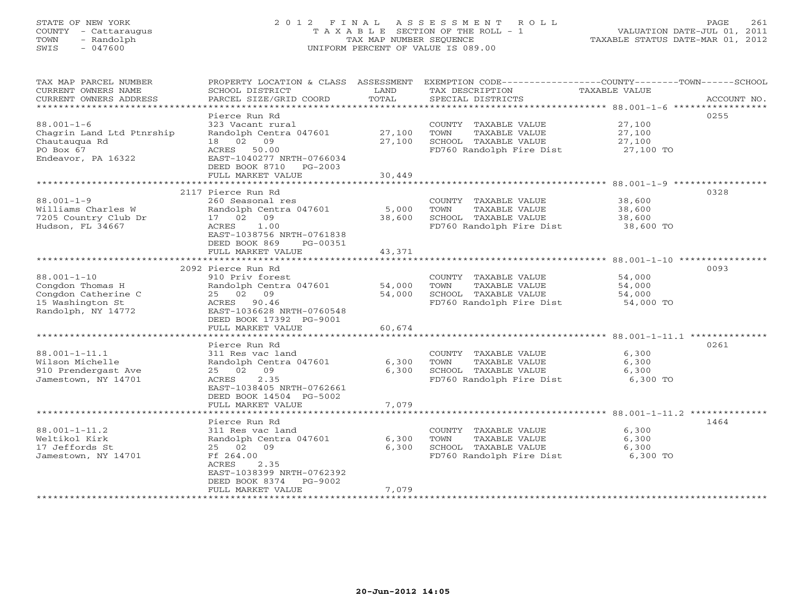# STATE OF NEW YORK 2 0 1 2 F I N A L A S S E S S M E N T R O L L PAGE 261 COUNTY - Cattaraugus T A X A B L E SECTION OF THE ROLL - 1 VALUATION DATE-JUL 01, 2011 TOWN - Randolph TAX MAP NUMBER SEQUENCE TAXABLE STATUS DATE-MAR 01, 2012 SWIS - 047600 UNIFORM PERCENT OF VALUE IS 089.00UNIFORM PERCENT OF VALUE IS 089.00

| TAX MAP PARCEL NUMBER      | PROPERTY LOCATION & CLASS ASSESSMENT                |        | EXEMPTION CODE-----------------COUNTY-------TOWN------SCHOOL |                      |             |
|----------------------------|-----------------------------------------------------|--------|--------------------------------------------------------------|----------------------|-------------|
| CURRENT OWNERS NAME        | SCHOOL DISTRICT                                     | LAND   | TAX DESCRIPTION                                              | <b>TAXABLE VALUE</b> |             |
| CURRENT OWNERS ADDRESS     | PARCEL SIZE/GRID COORD                              | TOTAL  | SPECIAL DISTRICTS                                            |                      | ACCOUNT NO. |
| *************************  |                                                     |        |                                                              |                      |             |
|                            | Pierce Run Rd                                       |        |                                                              |                      | 0255        |
| $88.001 - 1 - 6$           | 323 Vacant rural                                    |        | COUNTY TAXABLE VALUE                                         | 27,100               |             |
| Chagrin Land Ltd Ptnrship  | Randolph Centra 047601                              | 27,100 | TOWN<br>TAXABLE VALUE                                        | 27,100               |             |
| Chautauqua Rd              | 18 02 09                                            | 27,100 | SCHOOL TAXABLE VALUE                                         | 27,100               |             |
| PO Box 67                  | ACRES 50.00                                         |        | FD760 Randolph Fire Dist                                     | 27,100 TO            |             |
| Endeavor, PA 16322         | EAST-1040277 NRTH-0766034                           |        |                                                              |                      |             |
|                            | DEED BOOK 8710 PG-2003                              |        |                                                              |                      |             |
|                            | FULL MARKET VALUE                                   | 30,449 |                                                              |                      |             |
|                            |                                                     |        |                                                              |                      |             |
|                            | 2117 Pierce Run Rd                                  |        |                                                              |                      | 0328        |
| $88.001 - 1 - 9$           | 260 Seasonal res                                    |        | COUNTY TAXABLE VALUE                                         | 38,600               |             |
| Williams Charles W         | Randolph Centra 047601                              | 5,000  | TOWN<br>TAXABLE VALUE                                        | 38,600               |             |
| 7205 Country Club Dr       | 17 02 09                                            | 38,600 | SCHOOL TAXABLE VALUE                                         | 38,600               |             |
| Hudson, FL 34667           | ACRES<br>1.00                                       |        | FD760 Randolph Fire Dist 38,600 TO                           |                      |             |
|                            | EAST-1038756 NRTH-0761838                           |        |                                                              |                      |             |
|                            | DEED BOOK 869<br>PG-00351<br>FULL MARKET VALUE      | 43,371 |                                                              |                      |             |
|                            |                                                     |        |                                                              |                      |             |
|                            | 2092 Pierce Run Rd                                  |        |                                                              |                      | 0093        |
| $88.001 - 1 - 10$          | 910 Priv forest                                     |        | COUNTY TAXABLE VALUE                                         | 54,000               |             |
| Congdon Thomas H           | Randolph Centra 047601                              | 54,000 | TAXABLE VALUE<br>TOWN                                        | 54,000               |             |
| Congdon Catherine C        | 25 02 09                                            | 54,000 | SCHOOL TAXABLE VALUE                                         | 54,000               |             |
| 15 Washington St           | ACRES 90.46                                         |        | FD760 Randolph Fire Dist                                     | 54,000 TO            |             |
| Randolph, NY 14772         | EAST-1036628 NRTH-0760548                           |        |                                                              |                      |             |
|                            | DEED BOOK 17392 PG-9001                             |        |                                                              |                      |             |
|                            | FULL MARKET VALUE                                   | 60,674 |                                                              |                      |             |
|                            |                                                     |        |                                                              |                      |             |
|                            | Pierce Run Rd                                       |        |                                                              |                      | 0261        |
| 88.001-1-11.1              | 311 Res vac land                                    |        | COUNTY TAXABLE VALUE                                         | 6,300                |             |
| Wilson Michelle            | Randolph Centra 047601                              | 6,300  | TOWN<br>TAXABLE VALUE                                        | 6,300                |             |
| 910 Prendergast Ave        | 25 02 09                                            | 6,300  | SCHOOL TAXABLE VALUE                                         | 6,300                |             |
| Jamestown, NY 14701        | 2.35<br>ACRES                                       |        | FD760 Randolph Fire Dist 6,300 TO                            |                      |             |
|                            | EAST-1038405 NRTH-0762661                           |        |                                                              |                      |             |
|                            | DEED BOOK 14504 PG-5002                             |        |                                                              |                      |             |
|                            | FULL MARKET VALUE                                   | 7,079  |                                                              |                      |             |
|                            |                                                     |        |                                                              |                      |             |
|                            | Pierce Run Rd                                       |        |                                                              |                      | 1464        |
| $88.001 - 1 - 11.2$        | 311 Res vac land                                    |        | COUNTY TAXABLE VALUE                                         | 6,300                |             |
| Weltikol Kirk              | Randolph Centra 047601                              | 6,300  | TOWN<br>TAXABLE VALUE                                        | 6,300                |             |
| 17 Jeffords St             | 25 02 09                                            | 6,300  | SCHOOL TAXABLE VALUE                                         | 6,300                |             |
| Jamestown, NY 14701        | Ff 264.00                                           |        | FD760 Randolph Fire Dist                                     | 6,300 TO             |             |
|                            | ACRES<br>2.35                                       |        |                                                              |                      |             |
|                            | EAST-1038399 NRTH-0762392<br>DEED BOOK 8374 PG-9002 |        |                                                              |                      |             |
|                            | FULL MARKET VALUE                                   | 7,079  |                                                              |                      |             |
| ************************** |                                                     |        |                                                              |                      |             |
|                            |                                                     |        |                                                              |                      |             |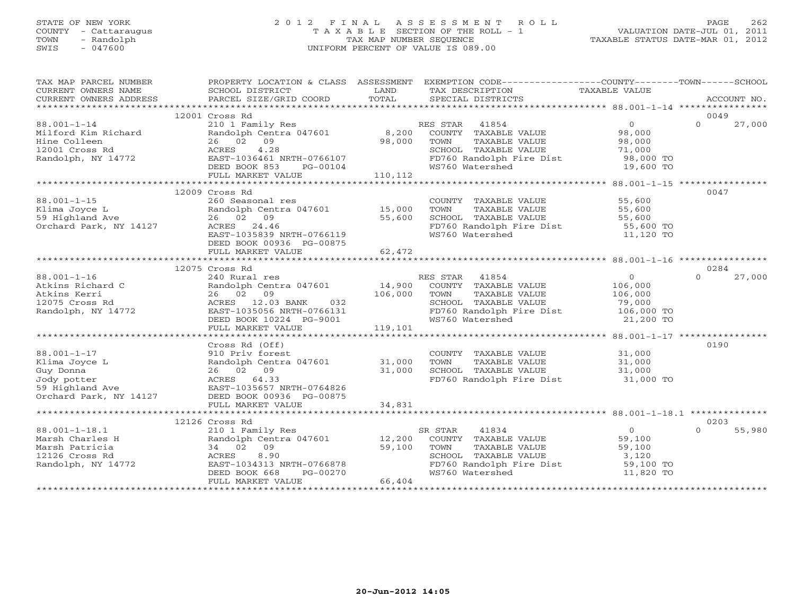# STATE OF NEW YORK 20 1 2 F I N A L A S S E S S M E N T R O L L PAGE 262 COUNTY - Cattaraugus T A X A B L E SECTION OF THE ROLL - 1<br>
TOWN - Randolph TAX MAP NUMBER SEQUENCE<br>
SWIS - 047600 SWIS - 047600 UNIFORM PERCENT OF VALUE IS 089.00

| TAX MAP PARCEL NUMBER                                                                                                                                                                                                                    |                                                                                                                                                                                                              |             | PROPERTY LOCATION & CLASS ASSESSMENT EXEMPTION CODE---------------COUNTY-------TOWN------SCHOOL                                                                |                                                                    |                            |
|------------------------------------------------------------------------------------------------------------------------------------------------------------------------------------------------------------------------------------------|--------------------------------------------------------------------------------------------------------------------------------------------------------------------------------------------------------------|-------------|----------------------------------------------------------------------------------------------------------------------------------------------------------------|--------------------------------------------------------------------|----------------------------|
|                                                                                                                                                                                                                                          |                                                                                                                                                                                                              |             |                                                                                                                                                                |                                                                    |                            |
| $88.001 - 1 - 14$<br>Milford Kim Richard                                                                                                                                                                                                 | 12001 Cross Rd<br>26 02 09<br>4.28<br>ACKES 4.20<br>EAST-1036461 NRTH-0766107<br>DEED BOOK 853 PG-00104<br>FULL MARKET VALUE 110,112                                                                         | 98,000 TOWN | TOWN TAXABLE VALUE<br>SCHOOL TAXABLE VALUE 71,000<br>FD760 Randolph Fire Dist 98,000 TO<br>The Contract of the 19,600 TO<br>WS760 Watershed                    |                                                                    | 0049<br>27,000<br>$\Omega$ |
|                                                                                                                                                                                                                                          |                                                                                                                                                                                                              |             |                                                                                                                                                                |                                                                    |                            |
| $88.001 - 1 - 15$                                                                                                                                                                                                                        | 12009 Cross Rd<br>260 Seasonal res<br>260 Seasonar 155<br>Randolph Centra 047601 15,000<br>26 02 09 55,600<br>EAST-1035839 NRTH-0766119<br>DEED BOOK 00936 PG-00875                                          |             | COUNTY TAXABLE VALUE 55,600<br>FD760 Randolph Fire Dist 55,600 TO<br>WS760 Watershed 11,120 TO                                                                 |                                                                    | 0047                       |
|                                                                                                                                                                                                                                          | FULL MARKET VALUE                                                                                                                                                                                            | 62,472      |                                                                                                                                                                |                                                                    |                            |
|                                                                                                                                                                                                                                          | 12075 Cross Rd                                                                                                                                                                                               |             |                                                                                                                                                                |                                                                    | 0284                       |
| $88.001 - 1 - 16$<br>Atkins Richard C<br>Atkins Kerri 26 02 09<br>12075 Cross Rd<br>Randolph, NY 14772<br>EAST-1035056 NRTH-0766131<br>T-T-1035056 NRTH-0766131                                                                          | 14,900 Rural res<br>Randolph Centra 047601 14,900 COUNTY TAXABLE VALUE 106,000<br>26 02 09 106,000 TOWN TAXABLE VALUE 106,000<br>ACRES 12.03 BANK 032 SCHOOL TAXABLE VALUE 79,000<br>DEED BOOK 10224 PG-9001 |             | SCHOOL TAXABLE VALUE                  79,000<br>FD760 Randolph Fire Dist             106,000 TO<br>WS760 Watershed                                             | 21,200 TO                                                          | 27,000<br>$\Omega$         |
|                                                                                                                                                                                                                                          | FULL MARKET VALUE                                                                                                                                                                                            | 119,101     |                                                                                                                                                                |                                                                    |                            |
| 88.001-1-17<br>Klima Joyce L<br>GUNTY S10 Priv for the 047601 31,000 TOWN<br>Guy Donna 26 02 09 31,000 SCHOOL<br>Jody potter ACRES 64.33<br>59 Highland Ave EAST-1035657 NRTH-0764826<br>Orchard Park, NY 14127 DEED BOOK 00936 PG-00875 | Cross Rd (Off)                                                                                                                                                                                               |             | COUNTY TAXABLE VALUE $31,000$<br>TOWN TAXABLE VALUE $31,000$<br>SCHOOL TAXABLE VALUE $31,000$<br>FD760 Randolph Fire Dist $31,000$ TO                          |                                                                    | 0190                       |
|                                                                                                                                                                                                                                          | FULL MARKET VALUE                                                                                                                                                                                            | 34,831      |                                                                                                                                                                |                                                                    |                            |
| $88.001 - 1 - 18.1$<br>Marsh Charles H<br>Marsh Patricia<br>12126 Cross Rd<br>Randolph, NY 14772                                                                                                                                         | 12126 Cross Rd<br>210 1 Family Res<br>Randolph Centra 047601 12,200<br>34 02 09<br>$\frac{1}{59}$ , 100<br>ACRES 8.90<br>EAST-1034313 NRTH-0766878<br>DEED BOOK 668 PG-00270<br>FULL MARKET VALUE 66,404     |             | SR STAR<br>41834<br>COUNTY TAXABLE VALUE<br>TOWN<br>TOWN      TAXABLE VALUE<br>SCHOOL   TAXABLE VALUE<br>FD760 Randolph Fire Dist 59,100 TO<br>WS760 Watershed | $\overline{0}$<br>59,100<br>59,100<br>59,100<br>3,120<br>11,820 TO | 0203<br>$\cap$<br>55,980   |
|                                                                                                                                                                                                                                          |                                                                                                                                                                                                              |             |                                                                                                                                                                |                                                                    |                            |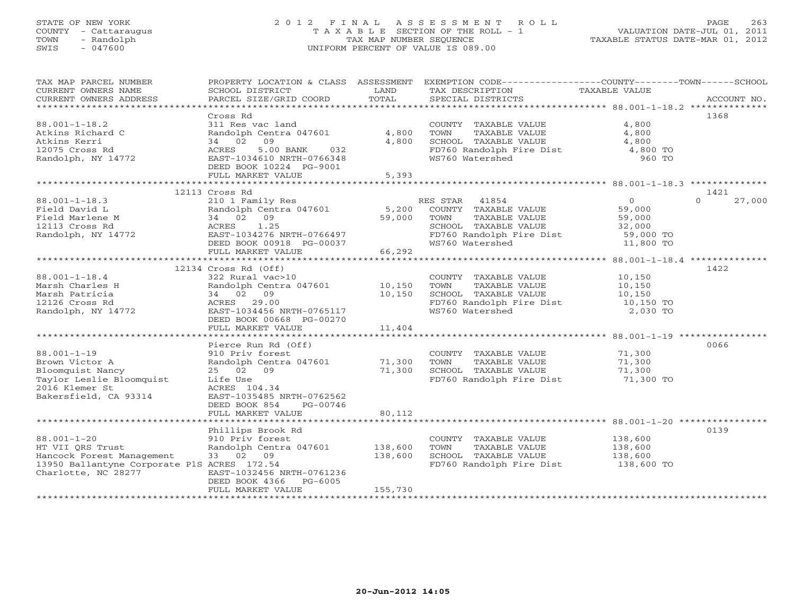# STATE OF NEW YORK 2 0 1 2 F I N A L A S S E S S M E N T R O L L PAGE 263 COUNTY - Cattaraugus T A X A B L E SECTION OF THE ROLL - 1 VALUATION DATE-JUL 01, 2011 TOWN - Randolph TAX MAP NUMBER SEQUENCE TAXABLE STATUS DATE-MAR 01, 2012 SWIS - 047600 UNIFORM PERCENT OF VALUE IS 089.00UNIFORM PERCENT OF VALUE IS 089.00

| 1368<br>Cross Rd<br>$88.001 - 1 - 18.2$<br>311 Res vac land<br>COUNTY TAXABLE VALUE<br>4,800<br>Atkins Richard C<br>Randolph Centra 047601<br>4,800<br>TOWN<br>TAXABLE VALUE<br>4,800<br>34 02<br>09<br>4,800<br>SCHOOL TAXABLE VALUE<br>Atkins Kerri<br>4,800<br>FD760 Randolph Fire Dist<br>12075 Cross Rd<br>5.00 BANK<br>032<br>4,800 TO<br>ACRES<br>WS760 Watershed<br>Randolph, NY 14772<br>EAST-1034610 NRTH-0766348<br>960 TO<br>DEED BOOK 10224 PG-9001<br>FULL MARKET VALUE<br>5,393<br>12113 Cross Rd<br>1421<br>$88.001 - 1 - 18.3$<br>210 1 Family Res<br>$\overline{O}$<br>27,000<br>RES STAR 41854<br>$\Omega$<br>5,200<br>Randolph Centra 047601<br>COUNTY TAXABLE VALUE<br>59,000<br>Field David L<br>Field Marlene M<br>34 02 09<br>59,000<br>TAXABLE VALUE<br>59,000<br>TOWN<br>ACRES 1.25<br>SCHOOL TAXABLE VALUE<br>12113 Cross Rd<br>32,000<br>Randolph, NY 14772<br>EAST-1034276 NRTH-0766497<br>FD760 Randolph Fire Dist<br>59,000 TO<br>DEED BOOK 00918 PG-00037<br>WS760 Watershed<br>11,800 TO<br>66, 292<br>FULL MARKET VALUE<br>12134 Cross Rd (Off)<br>1422<br>$88.001 - 1 - 18.4$<br>322 Rural vac>10<br>COUNTY TAXABLE VALUE<br>10,150<br>Marsh Charles H<br>Randolph Centra 047601<br>10,150<br>TAXABLE VALUE<br>TOWN<br>10,150<br>10,150<br>Marsh Patricia<br>34 02 09<br>SCHOOL TAXABLE VALUE<br>10,150<br>ACRES 29.00<br>FD760 Randolph Fire Dist<br>12126 Cross Rd<br>10,150 TO<br>WS760 Watershed<br>2,030 TO<br>Randolph, NY 14772<br>EAST-1034456 NRTH-0765117<br>DEED BOOK 00668 PG-00270<br>11,404<br>FULL MARKET VALUE<br>0066<br>Pierce Run Rd (Off)<br>71,300<br>$88.001 - 1 - 19$<br>910 Priv forest<br>COUNTY TAXABLE VALUE<br>Brown Victor A<br>Randolph Centra 047601<br>71,300<br>TAXABLE VALUE<br>71,300<br>TOWN<br>71,300<br>SCHOOL TAXABLE VALUE<br>Bloomquist Nancy<br>25 02 09<br>71,300 | TAX MAP PARCEL NUMBER<br>CURRENT OWNERS NAME<br>CURRENT OWNERS ADDRESS | PROPERTY LOCATION & CLASS ASSESSMENT<br>SCHOOL DISTRICT<br>PARCEL SIZE/GRID COORD | LAND<br>TOTAL | EXEMPTION CODE-----------------COUNTY-------TOWN------SCHOOL<br>TAX DESCRIPTION<br>SPECIAL DISTRICTS | TAXABLE VALUE | ACCOUNT NO. |
|-------------------------------------------------------------------------------------------------------------------------------------------------------------------------------------------------------------------------------------------------------------------------------------------------------------------------------------------------------------------------------------------------------------------------------------------------------------------------------------------------------------------------------------------------------------------------------------------------------------------------------------------------------------------------------------------------------------------------------------------------------------------------------------------------------------------------------------------------------------------------------------------------------------------------------------------------------------------------------------------------------------------------------------------------------------------------------------------------------------------------------------------------------------------------------------------------------------------------------------------------------------------------------------------------------------------------------------------------------------------------------------------------------------------------------------------------------------------------------------------------------------------------------------------------------------------------------------------------------------------------------------------------------------------------------------------------------------------------------------------------------------------------------------------------------------------------------------------------|------------------------------------------------------------------------|-----------------------------------------------------------------------------------|---------------|------------------------------------------------------------------------------------------------------|---------------|-------------|
|                                                                                                                                                                                                                                                                                                                                                                                                                                                                                                                                                                                                                                                                                                                                                                                                                                                                                                                                                                                                                                                                                                                                                                                                                                                                                                                                                                                                                                                                                                                                                                                                                                                                                                                                                                                                                                                 |                                                                        |                                                                                   |               |                                                                                                      |               |             |
|                                                                                                                                                                                                                                                                                                                                                                                                                                                                                                                                                                                                                                                                                                                                                                                                                                                                                                                                                                                                                                                                                                                                                                                                                                                                                                                                                                                                                                                                                                                                                                                                                                                                                                                                                                                                                                                 |                                                                        |                                                                                   |               |                                                                                                      |               |             |
|                                                                                                                                                                                                                                                                                                                                                                                                                                                                                                                                                                                                                                                                                                                                                                                                                                                                                                                                                                                                                                                                                                                                                                                                                                                                                                                                                                                                                                                                                                                                                                                                                                                                                                                                                                                                                                                 |                                                                        |                                                                                   |               |                                                                                                      |               |             |
|                                                                                                                                                                                                                                                                                                                                                                                                                                                                                                                                                                                                                                                                                                                                                                                                                                                                                                                                                                                                                                                                                                                                                                                                                                                                                                                                                                                                                                                                                                                                                                                                                                                                                                                                                                                                                                                 |                                                                        |                                                                                   |               |                                                                                                      |               |             |
|                                                                                                                                                                                                                                                                                                                                                                                                                                                                                                                                                                                                                                                                                                                                                                                                                                                                                                                                                                                                                                                                                                                                                                                                                                                                                                                                                                                                                                                                                                                                                                                                                                                                                                                                                                                                                                                 |                                                                        |                                                                                   |               |                                                                                                      |               |             |
|                                                                                                                                                                                                                                                                                                                                                                                                                                                                                                                                                                                                                                                                                                                                                                                                                                                                                                                                                                                                                                                                                                                                                                                                                                                                                                                                                                                                                                                                                                                                                                                                                                                                                                                                                                                                                                                 |                                                                        |                                                                                   |               |                                                                                                      |               |             |
|                                                                                                                                                                                                                                                                                                                                                                                                                                                                                                                                                                                                                                                                                                                                                                                                                                                                                                                                                                                                                                                                                                                                                                                                                                                                                                                                                                                                                                                                                                                                                                                                                                                                                                                                                                                                                                                 |                                                                        |                                                                                   |               |                                                                                                      |               |             |
|                                                                                                                                                                                                                                                                                                                                                                                                                                                                                                                                                                                                                                                                                                                                                                                                                                                                                                                                                                                                                                                                                                                                                                                                                                                                                                                                                                                                                                                                                                                                                                                                                                                                                                                                                                                                                                                 |                                                                        |                                                                                   |               |                                                                                                      |               |             |
|                                                                                                                                                                                                                                                                                                                                                                                                                                                                                                                                                                                                                                                                                                                                                                                                                                                                                                                                                                                                                                                                                                                                                                                                                                                                                                                                                                                                                                                                                                                                                                                                                                                                                                                                                                                                                                                 |                                                                        |                                                                                   |               |                                                                                                      |               |             |
|                                                                                                                                                                                                                                                                                                                                                                                                                                                                                                                                                                                                                                                                                                                                                                                                                                                                                                                                                                                                                                                                                                                                                                                                                                                                                                                                                                                                                                                                                                                                                                                                                                                                                                                                                                                                                                                 |                                                                        |                                                                                   |               |                                                                                                      |               |             |
|                                                                                                                                                                                                                                                                                                                                                                                                                                                                                                                                                                                                                                                                                                                                                                                                                                                                                                                                                                                                                                                                                                                                                                                                                                                                                                                                                                                                                                                                                                                                                                                                                                                                                                                                                                                                                                                 |                                                                        |                                                                                   |               |                                                                                                      |               |             |
|                                                                                                                                                                                                                                                                                                                                                                                                                                                                                                                                                                                                                                                                                                                                                                                                                                                                                                                                                                                                                                                                                                                                                                                                                                                                                                                                                                                                                                                                                                                                                                                                                                                                                                                                                                                                                                                 |                                                                        |                                                                                   |               |                                                                                                      |               |             |
|                                                                                                                                                                                                                                                                                                                                                                                                                                                                                                                                                                                                                                                                                                                                                                                                                                                                                                                                                                                                                                                                                                                                                                                                                                                                                                                                                                                                                                                                                                                                                                                                                                                                                                                                                                                                                                                 |                                                                        |                                                                                   |               |                                                                                                      |               |             |
|                                                                                                                                                                                                                                                                                                                                                                                                                                                                                                                                                                                                                                                                                                                                                                                                                                                                                                                                                                                                                                                                                                                                                                                                                                                                                                                                                                                                                                                                                                                                                                                                                                                                                                                                                                                                                                                 |                                                                        |                                                                                   |               |                                                                                                      |               |             |
|                                                                                                                                                                                                                                                                                                                                                                                                                                                                                                                                                                                                                                                                                                                                                                                                                                                                                                                                                                                                                                                                                                                                                                                                                                                                                                                                                                                                                                                                                                                                                                                                                                                                                                                                                                                                                                                 |                                                                        |                                                                                   |               |                                                                                                      |               |             |
|                                                                                                                                                                                                                                                                                                                                                                                                                                                                                                                                                                                                                                                                                                                                                                                                                                                                                                                                                                                                                                                                                                                                                                                                                                                                                                                                                                                                                                                                                                                                                                                                                                                                                                                                                                                                                                                 |                                                                        |                                                                                   |               |                                                                                                      |               |             |
|                                                                                                                                                                                                                                                                                                                                                                                                                                                                                                                                                                                                                                                                                                                                                                                                                                                                                                                                                                                                                                                                                                                                                                                                                                                                                                                                                                                                                                                                                                                                                                                                                                                                                                                                                                                                                                                 |                                                                        |                                                                                   |               |                                                                                                      |               |             |
|                                                                                                                                                                                                                                                                                                                                                                                                                                                                                                                                                                                                                                                                                                                                                                                                                                                                                                                                                                                                                                                                                                                                                                                                                                                                                                                                                                                                                                                                                                                                                                                                                                                                                                                                                                                                                                                 |                                                                        |                                                                                   |               |                                                                                                      |               |             |
|                                                                                                                                                                                                                                                                                                                                                                                                                                                                                                                                                                                                                                                                                                                                                                                                                                                                                                                                                                                                                                                                                                                                                                                                                                                                                                                                                                                                                                                                                                                                                                                                                                                                                                                                                                                                                                                 |                                                                        |                                                                                   |               |                                                                                                      |               |             |
|                                                                                                                                                                                                                                                                                                                                                                                                                                                                                                                                                                                                                                                                                                                                                                                                                                                                                                                                                                                                                                                                                                                                                                                                                                                                                                                                                                                                                                                                                                                                                                                                                                                                                                                                                                                                                                                 |                                                                        |                                                                                   |               |                                                                                                      |               |             |
|                                                                                                                                                                                                                                                                                                                                                                                                                                                                                                                                                                                                                                                                                                                                                                                                                                                                                                                                                                                                                                                                                                                                                                                                                                                                                                                                                                                                                                                                                                                                                                                                                                                                                                                                                                                                                                                 |                                                                        |                                                                                   |               |                                                                                                      |               |             |
|                                                                                                                                                                                                                                                                                                                                                                                                                                                                                                                                                                                                                                                                                                                                                                                                                                                                                                                                                                                                                                                                                                                                                                                                                                                                                                                                                                                                                                                                                                                                                                                                                                                                                                                                                                                                                                                 |                                                                        |                                                                                   |               |                                                                                                      |               |             |
|                                                                                                                                                                                                                                                                                                                                                                                                                                                                                                                                                                                                                                                                                                                                                                                                                                                                                                                                                                                                                                                                                                                                                                                                                                                                                                                                                                                                                                                                                                                                                                                                                                                                                                                                                                                                                                                 |                                                                        |                                                                                   |               |                                                                                                      |               |             |
|                                                                                                                                                                                                                                                                                                                                                                                                                                                                                                                                                                                                                                                                                                                                                                                                                                                                                                                                                                                                                                                                                                                                                                                                                                                                                                                                                                                                                                                                                                                                                                                                                                                                                                                                                                                                                                                 |                                                                        |                                                                                   |               |                                                                                                      |               |             |
|                                                                                                                                                                                                                                                                                                                                                                                                                                                                                                                                                                                                                                                                                                                                                                                                                                                                                                                                                                                                                                                                                                                                                                                                                                                                                                                                                                                                                                                                                                                                                                                                                                                                                                                                                                                                                                                 |                                                                        |                                                                                   |               |                                                                                                      |               |             |
|                                                                                                                                                                                                                                                                                                                                                                                                                                                                                                                                                                                                                                                                                                                                                                                                                                                                                                                                                                                                                                                                                                                                                                                                                                                                                                                                                                                                                                                                                                                                                                                                                                                                                                                                                                                                                                                 |                                                                        |                                                                                   |               |                                                                                                      |               |             |
|                                                                                                                                                                                                                                                                                                                                                                                                                                                                                                                                                                                                                                                                                                                                                                                                                                                                                                                                                                                                                                                                                                                                                                                                                                                                                                                                                                                                                                                                                                                                                                                                                                                                                                                                                                                                                                                 |                                                                        |                                                                                   |               |                                                                                                      |               |             |
|                                                                                                                                                                                                                                                                                                                                                                                                                                                                                                                                                                                                                                                                                                                                                                                                                                                                                                                                                                                                                                                                                                                                                                                                                                                                                                                                                                                                                                                                                                                                                                                                                                                                                                                                                                                                                                                 |                                                                        |                                                                                   |               |                                                                                                      |               |             |
|                                                                                                                                                                                                                                                                                                                                                                                                                                                                                                                                                                                                                                                                                                                                                                                                                                                                                                                                                                                                                                                                                                                                                                                                                                                                                                                                                                                                                                                                                                                                                                                                                                                                                                                                                                                                                                                 |                                                                        |                                                                                   |               |                                                                                                      |               |             |
|                                                                                                                                                                                                                                                                                                                                                                                                                                                                                                                                                                                                                                                                                                                                                                                                                                                                                                                                                                                                                                                                                                                                                                                                                                                                                                                                                                                                                                                                                                                                                                                                                                                                                                                                                                                                                                                 | Taylor Leslie Bloomquist                                               | Life Use                                                                          |               | FD760 Randolph Fire Dist                                                                             | 71,300 TO     |             |
| 2016 Klemer St<br>ACRES 104.34                                                                                                                                                                                                                                                                                                                                                                                                                                                                                                                                                                                                                                                                                                                                                                                                                                                                                                                                                                                                                                                                                                                                                                                                                                                                                                                                                                                                                                                                                                                                                                                                                                                                                                                                                                                                                  |                                                                        |                                                                                   |               |                                                                                                      |               |             |
| EAST-1035485 NRTH-0762562<br>Bakersfield, CA 93314                                                                                                                                                                                                                                                                                                                                                                                                                                                                                                                                                                                                                                                                                                                                                                                                                                                                                                                                                                                                                                                                                                                                                                                                                                                                                                                                                                                                                                                                                                                                                                                                                                                                                                                                                                                              |                                                                        |                                                                                   |               |                                                                                                      |               |             |
| DEED BOOK 854<br>PG-00746                                                                                                                                                                                                                                                                                                                                                                                                                                                                                                                                                                                                                                                                                                                                                                                                                                                                                                                                                                                                                                                                                                                                                                                                                                                                                                                                                                                                                                                                                                                                                                                                                                                                                                                                                                                                                       |                                                                        |                                                                                   |               |                                                                                                      |               |             |
| 80,112<br>FULL MARKET VALUE                                                                                                                                                                                                                                                                                                                                                                                                                                                                                                                                                                                                                                                                                                                                                                                                                                                                                                                                                                                                                                                                                                                                                                                                                                                                                                                                                                                                                                                                                                                                                                                                                                                                                                                                                                                                                     |                                                                        |                                                                                   |               |                                                                                                      |               |             |
| 0139<br>Phillips Brook Rd                                                                                                                                                                                                                                                                                                                                                                                                                                                                                                                                                                                                                                                                                                                                                                                                                                                                                                                                                                                                                                                                                                                                                                                                                                                                                                                                                                                                                                                                                                                                                                                                                                                                                                                                                                                                                       |                                                                        |                                                                                   |               |                                                                                                      |               |             |
| $88.001 - 1 - 20$<br>910 Priv forest<br>COUNTY TAXABLE VALUE<br>138,600                                                                                                                                                                                                                                                                                                                                                                                                                                                                                                                                                                                                                                                                                                                                                                                                                                                                                                                                                                                                                                                                                                                                                                                                                                                                                                                                                                                                                                                                                                                                                                                                                                                                                                                                                                         |                                                                        |                                                                                   |               |                                                                                                      |               |             |
| 138,600<br>TAXABLE VALUE<br>HT VII QRS Trust<br>Randolph Centra 047601<br>TOWN<br>138,600                                                                                                                                                                                                                                                                                                                                                                                                                                                                                                                                                                                                                                                                                                                                                                                                                                                                                                                                                                                                                                                                                                                                                                                                                                                                                                                                                                                                                                                                                                                                                                                                                                                                                                                                                       |                                                                        |                                                                                   |               |                                                                                                      |               |             |
| 33 02 09<br>138,600<br>Hancock Forest Management<br>SCHOOL TAXABLE VALUE<br>138,600                                                                                                                                                                                                                                                                                                                                                                                                                                                                                                                                                                                                                                                                                                                                                                                                                                                                                                                                                                                                                                                                                                                                                                                                                                                                                                                                                                                                                                                                                                                                                                                                                                                                                                                                                             |                                                                        |                                                                                   |               |                                                                                                      |               |             |
| 13950 Ballantyne Corporate PlS ACRES 172.54<br>FD760 Randolph Fire Dist<br>138,600 TO                                                                                                                                                                                                                                                                                                                                                                                                                                                                                                                                                                                                                                                                                                                                                                                                                                                                                                                                                                                                                                                                                                                                                                                                                                                                                                                                                                                                                                                                                                                                                                                                                                                                                                                                                           |                                                                        |                                                                                   |               |                                                                                                      |               |             |
| Charlotte, NC 28277<br>EAST-1032456 NRTH-0761236                                                                                                                                                                                                                                                                                                                                                                                                                                                                                                                                                                                                                                                                                                                                                                                                                                                                                                                                                                                                                                                                                                                                                                                                                                                                                                                                                                                                                                                                                                                                                                                                                                                                                                                                                                                                |                                                                        |                                                                                   |               |                                                                                                      |               |             |
| DEED BOOK 4366<br>PG-6005                                                                                                                                                                                                                                                                                                                                                                                                                                                                                                                                                                                                                                                                                                                                                                                                                                                                                                                                                                                                                                                                                                                                                                                                                                                                                                                                                                                                                                                                                                                                                                                                                                                                                                                                                                                                                       |                                                                        |                                                                                   |               |                                                                                                      |               |             |
| FULL MARKET VALUE<br>155,730                                                                                                                                                                                                                                                                                                                                                                                                                                                                                                                                                                                                                                                                                                                                                                                                                                                                                                                                                                                                                                                                                                                                                                                                                                                                                                                                                                                                                                                                                                                                                                                                                                                                                                                                                                                                                    |                                                                        |                                                                                   |               |                                                                                                      |               |             |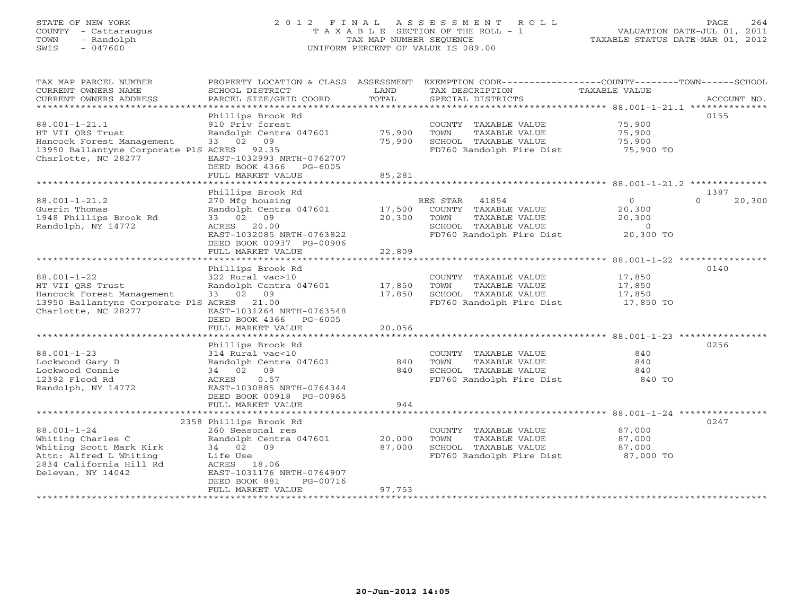# STATE OF NEW YORK 2 0 1 2 F I N A L A S S E S S M E N T R O L L PAGE 264 COUNTY - Cattaraugus T A X A B L E SECTION OF THE ROLL - 1 VALUATION DATE-JUL 01, 2011 TOWN - Randolph TAX MAP NUMBER SEQUENCE TAXABLE STATUS DATE-MAR 01, 2012 SWIS - 047600 UNIFORM PERCENT OF VALUE IS 089.00

| TAX MAP PARCEL NUMBER<br>CURRENT OWNERS NAME<br>CURRENT OWNERS ADDRESS<br>********************** | PROPERTY LOCATION & CLASS ASSESSMENT<br>SCHOOL DISTRICT<br>PARCEL SIZE/GRID COORD | LAND<br>TOTAL            | EXEMPTION CODE-----------------COUNTY-------TOWN------SCHOOL<br>TAX DESCRIPTION<br>SPECIAL DISTRICTS | TAXABLE VALUE    | ACCOUNT NO.        |
|--------------------------------------------------------------------------------------------------|-----------------------------------------------------------------------------------|--------------------------|------------------------------------------------------------------------------------------------------|------------------|--------------------|
|                                                                                                  |                                                                                   |                          |                                                                                                      |                  |                    |
| $88.001 - 1 - 21.1$<br>HT VII ORS Trust                                                          | Phillips Brook Rd<br>910 Priv forest<br>Randolph Centra 047601                    | 75,900                   | COUNTY TAXABLE VALUE<br>TOWN<br>TAXABLE VALUE                                                        | 75,900<br>75,900 | 0155               |
| Hancock Forest Management                                                                        | 33 02<br>09                                                                       | 75,900                   | SCHOOL TAXABLE VALUE                                                                                 | 75,900           |                    |
| 13950 Ballantyne Corporate PlS ACRES<br>Charlotte, NC 28277                                      | 92.35<br>EAST-1032993 NRTH-0762707<br>DEED BOOK 4366 PG-6005                      |                          | FD760 Randolph Fire Dist                                                                             | 75,900 TO        |                    |
|                                                                                                  | FULL MARKET VALUE                                                                 | 85,281<br>************** |                                                                                                      |                  |                    |
|                                                                                                  | Phillips Brook Rd                                                                 |                          |                                                                                                      |                  | 1387               |
| $88.001 - 1 - 21.2$                                                                              | 270 Mfg housing                                                                   |                          | RES STAR<br>41854                                                                                    | $\overline{O}$   | 20,300<br>$\Omega$ |
| Guerin Thomas                                                                                    | Randolph Centra 047601                                                            | 17,500                   | COUNTY TAXABLE VALUE                                                                                 | 20,300           |                    |
| 1948 Phillips Brook Rd                                                                           | 33 02 09                                                                          | 20,300                   | TOWN<br>TAXABLE VALUE                                                                                | 20,300           |                    |
| Randolph, NY 14772                                                                               | ACRES 20.00                                                                       |                          | SCHOOL TAXABLE VALUE                                                                                 | $\overline{0}$   |                    |
|                                                                                                  | EAST-1032085 NRTH-0763822                                                         |                          | FD760 Randolph Fire Dist                                                                             | 20,300 TO        |                    |
|                                                                                                  | DEED BOOK 00937 PG-00906                                                          |                          |                                                                                                      |                  |                    |
|                                                                                                  | FULL MARKET VALUE                                                                 | 22,809                   |                                                                                                      |                  |                    |
|                                                                                                  | Phillips Brook Rd                                                                 |                          |                                                                                                      |                  | 0140               |
| $88.001 - 1 - 22$                                                                                | 322 Rural vac>10                                                                  |                          | COUNTY TAXABLE VALUE                                                                                 | 17,850           |                    |
| HT VII QRS Trust                                                                                 | Randolph Centra 047601                                                            | 17,850                   | TOWN<br>TAXABLE VALUE                                                                                | 17,850           |                    |
| Hancock Forest Management                                                                        | 33 02 09                                                                          | 17,850                   | SCHOOL TAXABLE VALUE                                                                                 | 17,850           |                    |
| 13950 Ballantyne Corporate PlS ACRES 21.00                                                       |                                                                                   |                          | FD760 Randolph Fire Dist 17,850 TO                                                                   |                  |                    |
| Charlotte, NC 28277                                                                              | EAST-1031264 NRTH-0763548                                                         |                          |                                                                                                      |                  |                    |
|                                                                                                  | DEED BOOK 4366 PG-6005                                                            |                          |                                                                                                      |                  |                    |
|                                                                                                  | FULL MARKET VALUE                                                                 | 20,056                   |                                                                                                      |                  |                    |
|                                                                                                  | Phillips Brook Rd                                                                 |                          |                                                                                                      |                  | 0256               |
| $88.001 - 1 - 23$                                                                                | 314 Rural vac<10                                                                  |                          | COUNTY TAXABLE VALUE                                                                                 | 840              |                    |
| Lockwood Gary D                                                                                  | Randolph Centra 047601                                                            | 840                      | TOWN<br>TAXABLE VALUE                                                                                | 840              |                    |
| Lockwood Connie                                                                                  | 09<br>34 02                                                                       | 840                      | SCHOOL TAXABLE VALUE                                                                                 | 840              |                    |
| 12392 Flood Rd                                                                                   | 0.57<br>ACRES                                                                     |                          | FD760 Randolph Fire Dist                                                                             | 840 TO           |                    |
| Randolph, NY 14772                                                                               | EAST-1030885 NRTH-0764344                                                         |                          |                                                                                                      |                  |                    |
|                                                                                                  | DEED BOOK 00918 PG-00965                                                          |                          |                                                                                                      |                  |                    |
|                                                                                                  | FULL MARKET VALUE                                                                 | 944                      |                                                                                                      |                  |                    |
|                                                                                                  | 2358 Phillips Brook Rd                                                            |                          |                                                                                                      |                  | 0247               |
| $88.001 - 1 - 24$                                                                                | 260 Seasonal res                                                                  |                          | COUNTY TAXABLE VALUE                                                                                 | 87,000           |                    |
| Whiting Charles C                                                                                | Randolph Centra 047601                                                            | 20,000                   | TOWN<br>TAXABLE VALUE                                                                                | 87,000           |                    |
| Whiting Scott Mark Kirk                                                                          | 34 02 09                                                                          | 87,000                   | SCHOOL TAXABLE VALUE                                                                                 | 87,000           |                    |
| Attn: Alfred L Whiting                                                                           | Life Use                                                                          |                          | FD760 Randolph Fire Dist 87,000 TO                                                                   |                  |                    |
| 2834 California Hill Rd                                                                          | ACRES 18.06                                                                       |                          |                                                                                                      |                  |                    |
| Delevan, NY 14042                                                                                | EAST-1031176 NRTH-0764907                                                         |                          |                                                                                                      |                  |                    |
|                                                                                                  | DEED BOOK 881<br>PG-00716<br>FULL MARKET VALUE                                    | 97,753                   |                                                                                                      |                  |                    |
|                                                                                                  |                                                                                   |                          |                                                                                                      |                  |                    |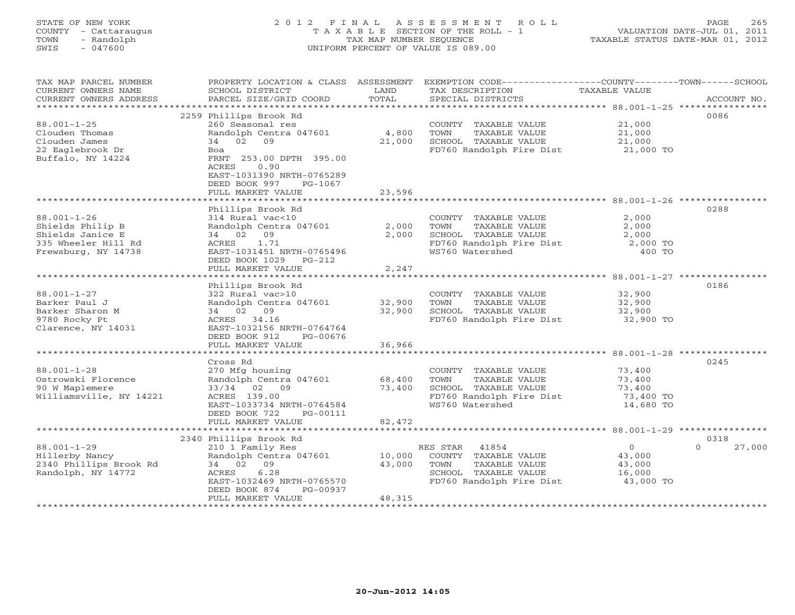# STATE OF NEW YORK 2 0 1 2 F I N A L A S S E S S M E N T R O L L PAGE 265 COUNTY - Cattaraugus T A X A B L E SECTION OF THE ROLL - 1 VALUATION DATE-JUL 01, 2011 TOWN - Randolph TAX MAP NUMBER SEQUENCE TAXABLE STATUS DATE-MAR 01, 2012 SWIS - 047600 UNIFORM PERCENT OF VALUE IS 089.00UNIFORM PERCENT OF VALUE IS 089.00

| TAX MAP PARCEL NUMBER<br>CURRENT OWNERS NAME<br>CURRENT OWNERS ADDRESS                                                 | PROPERTY LOCATION & CLASS ASSESSMENT<br>SCHOOL DISTRICT<br>PARCEL SIZE/GRID COORD                                                                                                                                 | LAND<br>TOTAL              | EXEMPTION CODE-----------------COUNTY-------TOWN------SCHOOL<br>TAX DESCRIPTION<br>SPECIAL DISTRICTS                   | TAXABLE VALUE                                        | ACCOUNT NO.                |
|------------------------------------------------------------------------------------------------------------------------|-------------------------------------------------------------------------------------------------------------------------------------------------------------------------------------------------------------------|----------------------------|------------------------------------------------------------------------------------------------------------------------|------------------------------------------------------|----------------------------|
| *********************<br>$88.001 - 1 - 25$<br>Clouden Thomas<br>Clouden James<br>22 Eaglebrook Dr<br>Buffalo, NY 14224 | 2259 Phillips Brook Rd<br>260 Seasonal res<br>Randolph Centra 047601<br>34 02 09<br>Boa<br>FRNT 253.00 DPTH 395.00<br>0.90<br>ACRES<br>EAST-1031390 NRTH-0765289<br>DEED BOOK 997<br>PG-1067<br>FULL MARKET VALUE | 4,800<br>21,000<br>23,596  | COUNTY TAXABLE VALUE<br>TOWN<br>TAXABLE VALUE<br>SCHOOL TAXABLE VALUE<br>FD760 Randolph Fire Dist                      | 21,000<br>21,000<br>21,000<br>21,000 TO              | 0086                       |
|                                                                                                                        |                                                                                                                                                                                                                   |                            |                                                                                                                        |                                                      |                            |
| $88.001 - 1 - 26$<br>Shields Philip B<br>Shields Janice E<br>335 Wheeler Hill Rd<br>Frewsburg, NY 14738                | Phillips Brook Rd<br>314 Rural vac<10<br>Randolph Centra 047601<br>34 02 09<br>1.71<br>ACRES<br>EAST-1031451 NRTH-0765496<br>DEED BOOK 1029<br>$PG-212$<br>FULL MARKET VALUE                                      | 2,000<br>2,000<br>2,247    | COUNTY TAXABLE VALUE<br>TOWN<br>TAXABLE VALUE<br>SCHOOL TAXABLE VALUE<br>FD760 Randolph Fire Dist<br>WS760 Watershed   | 2,000<br>2,000<br>2,000<br>2,000 TO<br>400 TO        | 0288                       |
|                                                                                                                        |                                                                                                                                                                                                                   |                            |                                                                                                                        |                                                      |                            |
| $88.001 - 1 - 27$<br>Barker Paul J<br>Barker Sharon M<br>9780 Rocky Pt<br>Clarence, NY 14031                           | Phillips Brook Rd<br>322 Rural vac>10<br>Randolph Centra 047601<br>34 02 09<br>ACRES 34.16<br>EAST-1032156 NRTH-0764764<br>DEED BOOK 912<br>PG-00676<br>FULL MARKET VALUE                                         | 32,900<br>32,900<br>36,966 | COUNTY TAXABLE VALUE<br>TOWN<br>TAXABLE VALUE<br>SCHOOL TAXABLE VALUE<br>FD760 Randolph Fire Dist                      | 32,900<br>32,900<br>32,900<br>32,900 TO              | 0186                       |
|                                                                                                                        |                                                                                                                                                                                                                   |                            |                                                                                                                        |                                                      |                            |
| $88.001 - 1 - 28$<br>Ostrowski Florence<br>90 W Maplemere<br>Williamsville, NY 14221                                   | Cross Rd<br>270 Mfg housing<br>Randolph Centra 047601<br>33/34 02 09<br>ACRES 139.00<br>EAST-1033734 NRTH-0764584<br>DEED BOOK 722<br>PG-00111<br>FULL MARKET VALUE                                               | 68,400<br>73,400<br>82,472 | COUNTY TAXABLE VALUE<br>TAXABLE VALUE<br>TOWN<br>SCHOOL TAXABLE VALUE<br>FD760 Randolph Fire Dist<br>WS760 Watershed   | 73,400<br>73,400<br>73,400<br>73,400 TO<br>14,680 TO | 0245                       |
|                                                                                                                        | *************************                                                                                                                                                                                         | **************             |                                                                                                                        |                                                      |                            |
| $88.001 - 1 - 29$<br>Hillerby Nancy<br>2340 Phillips Brook Rd<br>Randolph, NY 14772                                    | 2340 Phillips Brook Rd<br>210 1 Family Res<br>Randolph Centra 047601<br>34 02 09<br>6.28<br>ACRES<br>EAST-1032469 NRTH-0765570<br>DEED BOOK 874<br>PG-00937                                                       | 10,000<br>43,000           | RES STAR<br>41854<br>COUNTY TAXABLE VALUE<br>TAXABLE VALUE<br>TOWN<br>SCHOOL TAXABLE VALUE<br>FD760 Randolph Fire Dist | $\circ$<br>43,000<br>43,000<br>16,000<br>43,000 TO   | 0318<br>27,000<br>$\Omega$ |
|                                                                                                                        | FULL MARKET VALUE                                                                                                                                                                                                 | 48,315                     |                                                                                                                        |                                                      |                            |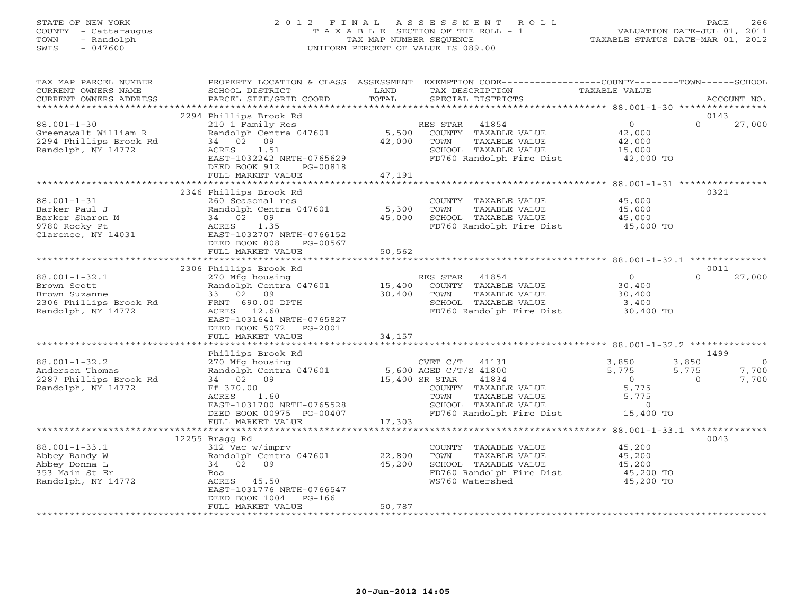# STATE OF NEW YORK 2 0 1 2 F I N A L A S S E S S M E N T R O L L PAGE 266 COUNTY - Cattaraugus T A X A B L E SECTION OF THE ROLL - 1 VALUATION DATE-JUL 01, 2011 TOWN - Randolph TAX MAP NUMBER SEQUENCE TAXABLE STATUS DATE-MAR 01, 2012 SWIS - 047600 UNIFORM PERCENT OF VALUE IS 089.00UNIFORM PERCENT OF VALUE IS 089.00

| TAX MAP PARCEL NUMBER<br>CURRENT OWNERS NAME<br>CURRENT OWNERS ADDRESS                                                     | PROPERTY LOCATION & CLASS ASSESSMENT<br>SCHOOL DISTRICT<br>PARCEL SIZE/GRID COORD                                                                                                                               | LAND<br>TOTAL              | EXEMPTION CODE-----------------COUNTY-------TOWN------SCHOOL<br>TAX DESCRIPTION<br>SPECIAL DISTRICTS                                        | TAXABLE VALUE                                                      | ACCOUNT NO.                                     |
|----------------------------------------------------------------------------------------------------------------------------|-----------------------------------------------------------------------------------------------------------------------------------------------------------------------------------------------------------------|----------------------------|---------------------------------------------------------------------------------------------------------------------------------------------|--------------------------------------------------------------------|-------------------------------------------------|
| *********************                                                                                                      |                                                                                                                                                                                                                 |                            |                                                                                                                                             |                                                                    |                                                 |
|                                                                                                                            | 2294 Phillips Brook Rd                                                                                                                                                                                          |                            |                                                                                                                                             |                                                                    | 0143                                            |
| $88.001 - 1 - 30$<br>Greenawalt William R<br>2294 Phillips Brook Rd<br>Randolph, NY 14772                                  | 210 1 Family Res<br>Randolph Centra 047601<br>34 02<br>09<br>ACRES<br>1.51<br>EAST-1032242 NRTH-0765629<br>DEED BOOK 912<br>PG-00818<br>FULL MARKET VALUE                                                       | 5,500<br>42,000<br>47,191  | RES STAR<br>41854<br>COUNTY TAXABLE VALUE<br>TOWN<br>TAXABLE VALUE<br>SCHOOL TAXABLE VALUE<br>FD760 Randolph Fire Dist                      | $\circ$<br>42,000<br>42,000<br>15,000<br>42,000 TO                 | $\Omega$<br>27,000                              |
|                                                                                                                            | *******************                                                                                                                                                                                             | ***********                |                                                                                                                                             | ********************* 88.001-1-31 ************                     |                                                 |
|                                                                                                                            | 2346 Phillips Brook Rd                                                                                                                                                                                          |                            |                                                                                                                                             |                                                                    | 0321                                            |
| $88.001 - 1 - 31$<br>Barker Paul J<br>Barker Sharon M<br>9780 Rocky Pt<br>Clarence, NY 14031                               | 260 Seasonal res<br>Randolph Centra 047601<br>34 02 09<br>ACRES<br>1.35<br>EAST-1032707 NRTH-0766152<br>DEED BOOK 808<br>PG-00567                                                                               | 5,300<br>45,000            | COUNTY TAXABLE VALUE<br>TOWN<br>TAXABLE VALUE<br>SCHOOL TAXABLE VALUE<br>FD760 Randolph Fire Dist                                           | 45,000<br>45,000<br>45,000<br>45,000 TO                            |                                                 |
|                                                                                                                            | FULL MARKET VALUE                                                                                                                                                                                               | 50,562                     |                                                                                                                                             |                                                                    |                                                 |
|                                                                                                                            | ************************                                                                                                                                                                                        | ************               | ************************************88.001-1-32.1 ***************                                                                           |                                                                    |                                                 |
|                                                                                                                            | 2306 Phillips Brook Rd                                                                                                                                                                                          |                            |                                                                                                                                             |                                                                    | 0011                                            |
| $88.001 - 1 - 32.1$<br>Brown Scott<br>Brown Suzanne<br>2306 Phillips Brook Rd<br>Randolph, NY 14772<br>$88.001 - 1 - 32.2$ | 270 Mfg housing<br>Randolph Centra 047601<br>33 02 09<br>FRNT 690.00 DPTH<br>ACRES 12.60<br>EAST-1031641 NRTH-0765827<br>DEED BOOK 5072<br>PG-2001<br>FULL MARKET VALUE<br>Phillips Brook Rd<br>270 Mfg housing | 15,400<br>30,400<br>34,157 | 41854<br>RES STAR<br>COUNTY TAXABLE VALUE<br>TOWN<br>TAXABLE VALUE<br>SCHOOL TAXABLE VALUE<br>FD760 Randolph Fire Dist<br>CVET C/T<br>41131 | $\circ$<br>30,400<br>30,400<br>3,400<br>30,400 TO<br>3,850         | $\Omega$<br>27,000<br>1499<br>3,850<br>$\Omega$ |
| Anderson Thomas<br>2287 Phillips Brook Rd<br>Randolph, NY 14772                                                            | Randolph Centra 047601<br>34 02 09<br>Ff 370.00<br>ACRES<br>1.60<br>EAST-1031700 NRTH-0765528<br>DEED BOOK 00975 PG-00407<br>FULL MARKET VALUE<br>********************                                          | 15,400 SR STAR<br>17,303   | 5,600 AGED C/T/S 41800<br>41834<br>COUNTY TAXABLE VALUE<br>TOWN<br>TAXABLE VALUE<br>SCHOOL TAXABLE VALUE<br>FD760 Randolph Fire Dist        | 5,775<br>$\overline{0}$<br>5,775<br>5,775<br>$\Omega$<br>15,400 TO | 5,775<br>7,700<br>7,700<br>$\Omega$             |
|                                                                                                                            | 12255 Bragg Rd                                                                                                                                                                                                  |                            |                                                                                                                                             |                                                                    | 0043                                            |
| $88.001 - 1 - 33.1$<br>Abbey Randy W<br>Abbey Donna L<br>353 Main St Er<br>Randolph, NY 14772                              | 312 Vac w/imprv<br>Randolph Centra 047601<br>34 02<br>09<br>Boa<br>ACRES 45.50<br>EAST-1031776 NRTH-0766547<br>DEED BOOK 1004<br>$PG-166$<br>FULL MARKET VALUE                                                  | 22,800<br>45,200<br>50,787 | COUNTY TAXABLE VALUE<br>TOWN<br>TAXABLE VALUE<br>SCHOOL TAXABLE VALUE<br>FD760 Randolph Fire Dist<br>WS760 Watershed                        | 45,200<br>45,200<br>45,200<br>45,200 TO<br>45,200 TO               |                                                 |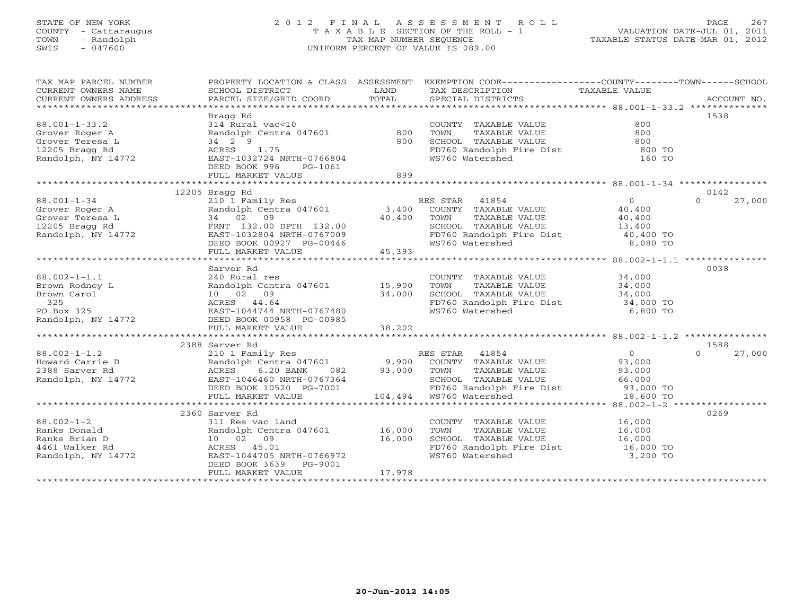### STATE OF NEW YORK 2 0 1 2 F I N A L A S S E S S M E N T R O L L PAGE 267 COUNTY - Cattaraugus T A X A B L E SECTION OF THE ROLL - 1 VALUATION DATE-JUL 01, 2011 TOWN - Randolph TAX MAP NUMBER SEQUENCE TAXABLE STATUS DATE-MAR 01, 2012 SWIS - 047600 UNIFORM PERCENT OF VALUE IS 089.00UNIFORM PERCENT OF VALUE IS 089.00

| TAX MAP PARCEL NUMBER                |                                                                                                                              |                    | PROPERTY LOCATION & CLASS ASSESSMENT EXEMPTION CODE---------------COUNTY-------TOWN------SCHOOL |                  |                            |
|--------------------------------------|------------------------------------------------------------------------------------------------------------------------------|--------------------|-------------------------------------------------------------------------------------------------|------------------|----------------------------|
|                                      |                                                                                                                              |                    |                                                                                                 |                  |                            |
|                                      | Bragg Rd                                                                                                                     |                    |                                                                                                 |                  | 1538                       |
| $88.001 - 1 - 33.2$                  | 314 Rural vac<10                                                                                                             |                    | COUNTY TAXABLE VALUE                                                                            | 800              |                            |
| Grover Roger A                       | Randolph Centra 047601                                                                                                       | 800                | TOWN<br>TAXABLE VALUE                                                                           | 800              |                            |
| Grover Teresa L                      | 34 2 9                                                                                                                       | 800                | SCHOOL TAXABLE VALUE                                                                            | 800              |                            |
| 12205 Bragg Rd                       | 1.75<br>ACRES                                                                                                                |                    |                                                                                                 | 800 TO           |                            |
| 12205 Bragg Rd<br>Randolph, NY 14772 | EAST-1032724 NRTH-0766804                                                                                                    |                    | FD760 Randolph Fire Dist<br>WS760 Watershed<br>WS760 Watershed                                  | 160 TO           |                            |
|                                      | DEED BOOK 996<br>PG-1061                                                                                                     |                    |                                                                                                 |                  |                            |
|                                      | FULL MARKET VALUE                                                                                                            | 899                |                                                                                                 |                  |                            |
|                                      |                                                                                                                              |                    |                                                                                                 |                  |                            |
|                                      | 12205 Bragg Rd                                                                                                               |                    |                                                                                                 |                  | 0142                       |
| $88.001 - 1 - 34$                    |                                                                                                                              |                    | RES STAR 41854                                                                                  | 0                | $\Omega$<br>27,000         |
| Grover Roger A<br>Grover Teresa L    | 210 1 Family Res<br>Randolph Centra 047601 3,400<br>34 02 09 40,400                                                          |                    | COUNTY TAXABLE VALUE                                                                            | 40,400           |                            |
|                                      |                                                                                                                              |                    | TOWN<br>TAXABLE VALUE                                                                           | 40,400           |                            |
| 12205 Bragg Rd<br>Randolph, NY 14772 | FRNT 132.00 DPTH 132.00                                                                                                      |                    | SCHOOL TAXABLE VALUE                                                                            | 13,400           |                            |
|                                      | FRNT 132.00 DPTH 132.00<br>EAST-1032804 NRTH-0767009                                                                         |                    |                                                                                                 |                  |                            |
|                                      | DEED BOOK 00927 PG-00446                                                                                                     | $G-00446$ $45,393$ | FD760 Randolph Fire Dist 140,400 TO<br>WS760 Watershed 8,080 TO                                 |                  |                            |
|                                      | FULL MARKET VALUE                                                                                                            |                    |                                                                                                 |                  |                            |
|                                      |                                                                                                                              |                    |                                                                                                 |                  |                            |
|                                      | Sarver Rd                                                                                                                    |                    |                                                                                                 |                  | 0038                       |
| $88.002 - 1 - 1.1$                   | 240 Rural res                                                                                                                |                    | COUNTY TAXABLE VALUE                                                                            | 34,000           |                            |
| Brown Rodney L                       | Randolph Centra 047601 15,900                                                                                                |                    | TAXABLE VALUE<br>TOWN                                                                           | 34,000           |                            |
| Brown Carol                          | 10 02 09                                                                                                                     | 34,000             | SCHOOL TAXABLE VALUE                                                                            | 34,000           |                            |
| 325                                  | ACRES 44.64<br>ACRES 44.64<br>EAST-1044744 NRTH-0767480                                                                      |                    | FD760 Randolph Fire Dist 34,000 TO<br>WS760 Watershed 6,800 TO                                  |                  |                            |
| PO Box 325                           |                                                                                                                              |                    | WS760 Watershed                                                                                 | 6,800 TO         |                            |
| Randolph, NY 14772                   | DEED BOOK 00958 PG-00985                                                                                                     |                    |                                                                                                 |                  |                            |
|                                      | FULL MARKET VALUE                                                                                                            | 38,202             |                                                                                                 |                  |                            |
|                                      |                                                                                                                              |                    |                                                                                                 |                  |                            |
| $88.002 - 1 - 1.2$                   | 2388 Sarver Rd                                                                                                               |                    | RES STAR 41854                                                                                  | 0                | 1588<br>27,000<br>$\Omega$ |
|                                      | 210 1 Family Res<br>Randolph Centra 047601 9,900                                                                             |                    |                                                                                                 |                  |                            |
| Howard Carrie D<br>2388 Sarver Rd    |                                                                                                                              | 082 93,000         | COUNTY TAXABLE VALUE<br>TOWN<br>TAXABLE VALUE                                                   | 93,000<br>93,000 |                            |
|                                      | ACRES<br>6.20 BANK                                                                                                           |                    |                                                                                                 |                  |                            |
| Randolph, NY 14772                   | EAST-1046460 NRTH-0767364                                                                                                    |                    | SCHOOL TAXABLE VALUE 66,000<br>FDT60 Randolph Fire Dist 93,000 TO                               |                  |                            |
|                                      | EAST-1046460 NRTH-0767364 SCHOOL TAXABLE<br>DEED BOOK 10520 PG-7001 FD760 Randolph FULL MARKET VALUE 104,494 WS760 Watershed |                    |                                                                                                 | 18,600 TO        |                            |
|                                      |                                                                                                                              |                    |                                                                                                 |                  |                            |
|                                      | 2360 Sarver Rd                                                                                                               |                    |                                                                                                 |                  | 0269                       |
| $88.002 - 1 - 2$                     | 311 Res vac land                                                                                                             |                    | COUNTY TAXABLE VALUE                                                                            | 16,000           |                            |
| Ranks Donald                         | Randolph Centra 047601 16,000                                                                                                |                    | TOWN<br>TAXABLE VALUE                                                                           | 16,000           |                            |
| Ranks Brian D                        | 10 02 09                                                                                                                     | 16,000             | SCHOOL TAXABLE VALUE                                                                            | 16,000           |                            |
| 4461 Walker Rd                       | ACRES 45.01                                                                                                                  |                    | SCHOOL TAXABLE VALUE 16,000<br>FD760 Randolph Fire Dist 16,000 TO                               |                  |                            |
| Randolph, NY 14772                   | EAST-1044705 NRTH-0766972                                                                                                    |                    | WS760 Watershed                                                                                 | 3,200 TO         |                            |
|                                      | DEED BOOK 3639 PG-9001                                                                                                       |                    |                                                                                                 |                  |                            |
|                                      | FULL MARKET VALUE                                                                                                            | 17,978             |                                                                                                 |                  |                            |
|                                      |                                                                                                                              |                    |                                                                                                 |                  |                            |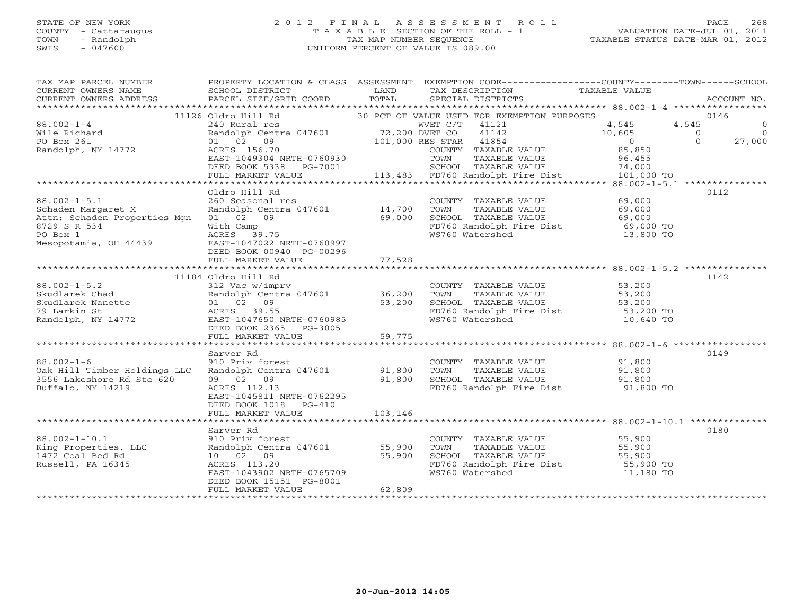#### STATE OF NEW YORK 2 0 1 2 F I N A L A S S E S S M E N T R O L L PAGE 268 COUNTY - Cattaraugus T A X A B L E SECTION OF THE ROLL - 1 VALUATION DATE-JUL 01, 2011 TOWN - Randolph TAX MAP NUMBER SEQUENCE TAXABLE STATUS DATE-MAR 01, 2012 SWIS - 047600 UNIFORM PERCENT OF VALUE IS 089.00UNIFORM PERCENT OF VALUE IS 089.00

| TAX MAP PARCEL NUMBER<br>CURRENT OWNERS NAME<br>CURRENT OWNERS ADDRESS | PROPERTY LOCATION & CLASS ASSESSMENT<br>SCHOOL DISTRICT<br>PARCEL SIZE/GRID COORD | LAND<br>TOTAL  | EXEMPTION CODE-----------------COUNTY-------TOWN------SCHOOL<br>TAX DESCRIPTION<br>SPECIAL DISTRICTS | TAXABLE VALUE       | ACCOUNT NO.                      |
|------------------------------------------------------------------------|-----------------------------------------------------------------------------------|----------------|------------------------------------------------------------------------------------------------------|---------------------|----------------------------------|
|                                                                        |                                                                                   |                |                                                                                                      |                     |                                  |
|                                                                        | 11126 Oldro Hill Rd                                                               |                | 30 PCT OF VALUE USED FOR EXEMPTION PURPOSES                                                          |                     | 0146                             |
| $88.002 - 1 - 4$                                                       | 240 Rural res                                                                     | 72,200 DVET CO | WVET C/T 41121                                                                                       | 4,545               | 4,545<br>$\circ$                 |
| Wile Richard                                                           | Randolph Centra 047601                                                            |                | 41142                                                                                                | 10,605<br>$\Omega$  | $\Omega$<br>$\Omega$<br>$\Omega$ |
| PO Box 261<br>Randolph, NY 14772                                       | 01 02 09<br>ACRES 156.70                                                          |                | 101,000 RES STAR 41854                                                                               | 85,850              | 27,000                           |
|                                                                        | EAST-1049304 NRTH-0760930                                                         |                | COUNTY TAXABLE VALUE<br>TAXABLE VALUE<br>TOWN                                                        | 96,455              |                                  |
|                                                                        | DEED BOOK 5338 PG-7001                                                            |                | SCHOOL TAXABLE VALUE                                                                                 | 74,000              |                                  |
|                                                                        | FULL MARKET VALUE                                                                 |                | 113,483 FD760 Randolph Fire Dist                                                                     | 101,000 TO          |                                  |
|                                                                        |                                                                                   |                |                                                                                                      |                     |                                  |
|                                                                        | Oldro Hill Rd                                                                     |                |                                                                                                      |                     | 0112                             |
| $88.002 - 1 - 5.1$                                                     | 260 Seasonal res                                                                  |                | COUNTY TAXABLE VALUE                                                                                 | 69,000              |                                  |
| Schaden Margaret M                                                     | Randolph Centra 047601                                                            | 14,700         | TAXABLE VALUE<br>TOWN                                                                                | 69,000              |                                  |
| Attn: Schaden Properties Mgn 01 02 09                                  |                                                                                   | 69,000         | SCHOOL TAXABLE VALUE                                                                                 | 69,000              |                                  |
| 8729 S R 534                                                           | With Camp                                                                         |                | FD760 Randolph Fire Dist                                                                             | 69,000 TO           |                                  |
| PO Box 1                                                               | ACRES 39.75                                                                       |                | WS760 Watershed                                                                                      | 13,800 TO           |                                  |
| Mesopotamia, OH 44439                                                  | EAST-1047022 NRTH-0760997                                                         |                |                                                                                                      |                     |                                  |
|                                                                        | DEED BOOK 00940 PG-00296                                                          |                |                                                                                                      |                     |                                  |
|                                                                        | FULL MARKET VALUE                                                                 | 77,528         |                                                                                                      |                     |                                  |
|                                                                        |                                                                                   |                |                                                                                                      |                     |                                  |
|                                                                        | 11184 Oldro Hill Rd                                                               |                |                                                                                                      |                     | 1142                             |
| $88.002 - 1 - 5.2$                                                     | 312 Vac w/imprv                                                                   |                | COUNTY TAXABLE VALUE                                                                                 | 53,200              |                                  |
| Skudlarek Chad                                                         | Randolph Centra 047601 36,200                                                     |                | TOWN<br>TAXABLE VALUE                                                                                | 53,200              |                                  |
| Skudlarek Nanette                                                      | 01 02 09                                                                          | 53,200         | SCHOOL TAXABLE VALUE                                                                                 | 53,200              |                                  |
| 79 Larkin St                                                           | ACRES 39.55                                                                       |                | FD760 Randolph Fire Dist                                                                             | 53,200 TO           |                                  |
| Randolph, NY 14772                                                     | EAST-1047650 NRTH-0760985                                                         |                | WS760 Watershed                                                                                      | 10,640 TO           |                                  |
|                                                                        | DEED BOOK 2365<br>PG-3005                                                         |                |                                                                                                      |                     |                                  |
|                                                                        | FULL MARKET VALUE                                                                 | 59,775         |                                                                                                      |                     |                                  |
|                                                                        |                                                                                   |                |                                                                                                      |                     |                                  |
|                                                                        | Sarver Rd                                                                         |                |                                                                                                      |                     | 0149                             |
| $88.002 - 1 - 6$                                                       | 910 Priv forest                                                                   |                | COUNTY TAXABLE VALUE                                                                                 | 91,800              |                                  |
| Oak Hill Timber Holdings LLC<br>3556 Lakeshore Rd Ste 620              | Randolph Centra 047601<br>09 02 09                                                | 91,800         | TOWN<br>TAXABLE VALUE<br>SCHOOL TAXABLE VALUE                                                        | 91,800              |                                  |
| Buffalo, NY 14219                                                      | ACRES 112.13                                                                      | 91,800         | FD760 Randolph Fire Dist                                                                             | 91,800<br>91,800 TO |                                  |
|                                                                        | EAST-1045811 NRTH-0762295                                                         |                |                                                                                                      |                     |                                  |
|                                                                        | DEED BOOK 1018 PG-410                                                             |                |                                                                                                      |                     |                                  |
|                                                                        | FULL MARKET VALUE                                                                 | 103,146        |                                                                                                      |                     |                                  |
|                                                                        |                                                                                   |                |                                                                                                      |                     |                                  |
|                                                                        | Sarver Rd                                                                         |                |                                                                                                      |                     | 0180                             |
| $88.002 - 1 - 10.1$                                                    | 910 Priv forest                                                                   |                | COUNTY TAXABLE VALUE                                                                                 | 55,900              |                                  |
| King Properties, LLC                                                   | Randolph Centra 047601                                                            | 55,900         | TAXABLE VALUE<br>TOWN                                                                                | 55,900              |                                  |
| 1472 Coal Bed Rd                                                       | 10 02 09                                                                          | 55,900         | SCHOOL TAXABLE VALUE                                                                                 | 55,900              |                                  |
| Russell, PA 16345                                                      | ACRES 113.20                                                                      |                | FD760 Randolph Fire Dist                                                                             | 55,900 TO           |                                  |
|                                                                        | EAST-1043902 NRTH-0765709                                                         |                | WS760 Watershed                                                                                      | 11,180 TO           |                                  |
|                                                                        | DEED BOOK 15151 PG-8001                                                           |                |                                                                                                      |                     |                                  |
|                                                                        | FULL MARKET VALUE                                                                 | 62,809         |                                                                                                      |                     |                                  |
|                                                                        |                                                                                   |                |                                                                                                      |                     |                                  |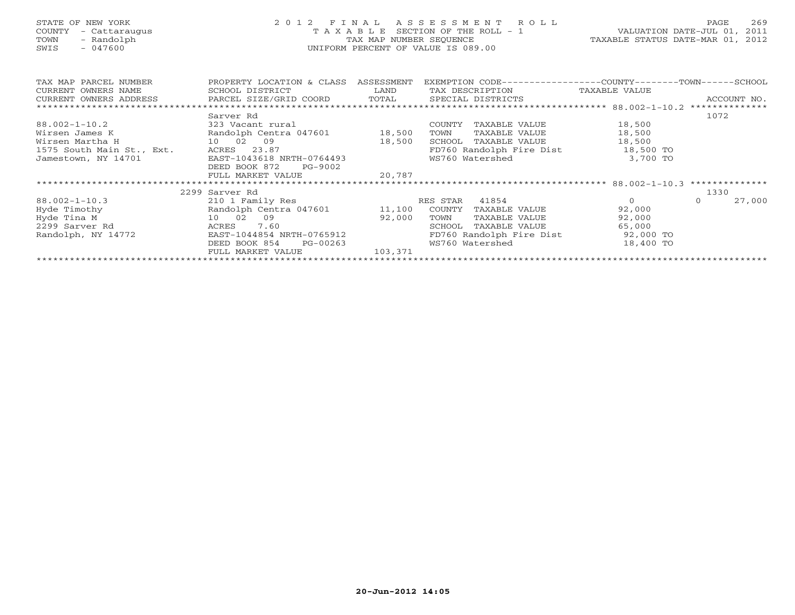| STATE OF NEW YORK<br>COUNTY<br>- Cattaraugus<br>- Randolph<br>TOWN<br>SWIS<br>$-047600$                            | 2 0 1 2<br>FINAL ASSESSMENT ROLL<br>T A X A B L E SECTION OF THE ROLL - 1<br>TAX MAP NUMBER SEQUENCE<br>UNIFORM PERCENT OF VALUE IS 089.00 | VALUATION DATE-JUL 01, 2011<br>TAXABLE STATUS DATE-MAR 01, 2012 | 269<br>PAGE                                                  |           |                    |
|--------------------------------------------------------------------------------------------------------------------|--------------------------------------------------------------------------------------------------------------------------------------------|-----------------------------------------------------------------|--------------------------------------------------------------|-----------|--------------------|
| TAX MAP PARCEL NUMBER                                                                                              | PROPERTY LOCATION & CLASS ASSESSMENT                                                                                                       |                                                                 | EXEMPTION CODE-----------------COUNTY-------TOWN------SCHOOL |           |                    |
| CURRENT OWNERS NAME<br>CURRENT OWNERS ADDRESS           PARCEL SIZE/GRID COORD       TOTAL       SPECIAL DISTRICTS | SCHOOL DISTRICT                                                                                                                            | <b>Example 12</b> LAND                                          | TAX DESCRIPTION TAXABLE VALUE                                |           | ACCOUNT NO.        |
|                                                                                                                    |                                                                                                                                            |                                                                 |                                                              |           |                    |
|                                                                                                                    | Sarver Rd                                                                                                                                  |                                                                 |                                                              |           | 1072               |
| $88.002 - 1 - 10.2$                                                                                                | 323 Vacant rural                                                                                                                           |                                                                 | COUNTY TAXABLE VALUE 18,500                                  |           |                    |
| Wirsen James K                                                                                                     | Randolph Centra 047601 18,500                                                                                                              |                                                                 | TOWN<br>TAXABLE VALUE                                        | 18,500    |                    |
| Wirsen Martha H                                                                                                    | 10 02 09                                                                                                                                   | 18,500                                                          | SCHOOL TAXABLE VALUE 18,500                                  |           |                    |
| 1575 South Main St., Ext. ACRES 23.87                                                                              |                                                                                                                                            |                                                                 | FD760 Randolph Fire Dist 18,500 TO                           |           |                    |
| Jamestown, NY 14701                                                                                                | EAST-1043618 NRTH-0764493                                                                                                                  |                                                                 | WS760 Watershed                                              | 3,700 TO  |                    |
|                                                                                                                    | DEED BOOK 872<br>PG-9002                                                                                                                   |                                                                 |                                                              |           |                    |
|                                                                                                                    | FULL MARKET VALUE                                                                                                                          | 20,787                                                          |                                                              |           |                    |
|                                                                                                                    |                                                                                                                                            |                                                                 |                                                              |           |                    |
|                                                                                                                    | 2299 Sarver Rd                                                                                                                             |                                                                 |                                                              |           | 1330               |
| $88.002 - 1 - 10.3$                                                                                                | 210 1 Family Res                                                                                                                           |                                                                 | RES STAR 41854                                               | $\Omega$  | 27,000<br>$\Omega$ |
| Hyde Timothy                                                                                                       | Randolph Centra 047601 11,100 COUNTY TAXABLE VALUE                                                                                         |                                                                 |                                                              | 92,000    |                    |
| Hyde Tina M                                                                                                        | 10 02 09                                                                                                                                   | 92,000                                                          | TOWN<br>TAXABLE VALUE                                        | 92,000    |                    |
| 2299 Sarver Rd                                                                                                     | 7.60<br>ACRES                                                                                                                              |                                                                 | TAXABLE VALUE<br>SCHOOL                                      | 65,000    |                    |
| Randolph, NY 14772                                                                                                 | EAST-1044854 NRTH-0765912                                                                                                                  |                                                                 | FD760 Randolph Fire Dist 92,000 TO                           |           |                    |
|                                                                                                                    | DEED BOOK 854<br>PG-00263                                                                                                                  |                                                                 | WS760 Watershed                                              | 18,400 TO |                    |
|                                                                                                                    | FULL MARKET VALUE                                                                                                                          | 103,371                                                         |                                                              |           |                    |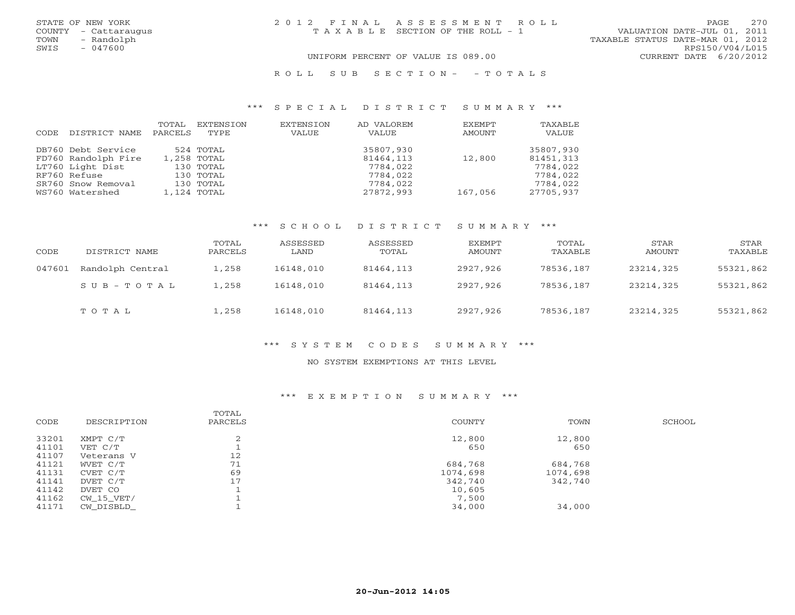| STATE OF NEW YORK<br>COUNTY - Cattaraugus<br>TOWN<br>- Randolph | 2012 FINAL ASSESSMENT ROLL<br>T A X A B L E SECTION OF THE ROLL - 1 | 270<br>PAGE<br>VALUATION DATE-JUL 01, 2011<br>TAXABLE STATUS DATE-MAR 01, 2012 |
|-----------------------------------------------------------------|---------------------------------------------------------------------|--------------------------------------------------------------------------------|
| SWIS<br>- 047600                                                | UNIFORM PERCENT OF VALUE IS 089.00                                  | RPS150/V04/L015<br>CURRENT DATE 6/20/2012                                      |

#### R O L L S U B S E C T I O N - - T O T A L S

#### \*\*\* S P E C I A L D I S T R I C T S U M M A R Y \*\*\*

|      |                     | TOTAL   | EXTENSION   | EXTENSION | AD VALOREM | EXEMPT  | TAXABLE   |
|------|---------------------|---------|-------------|-----------|------------|---------|-----------|
| CODE | DISTRICT NAME       | PARCELS | TYPE        | VALUE     | VALUE      | AMOUNT  | VALUE     |
|      | DB760 Debt Service  |         | 524 TOTAL   |           | 35807,930  |         | 35807,930 |
|      | FD760 Randolph Fire |         | 1,258 TOTAL |           | 81464,113  | 12,800  | 81451,313 |
|      | LT760 Light Dist    |         | 130 TOTAL   |           | 7784,022   |         | 7784,022  |
|      | RF760 Refuse        |         | 130 TOTAL   |           | 7784,022   |         | 7784,022  |
|      | SR760 Snow Removal  |         | 130 TOTAL   |           | 7784,022   |         | 7784,022  |
|      | WS760 Watershed     |         | 1,124 TOTAL |           | 27872,993  | 167,056 | 27705,937 |

#### \*\*\* S C H O O L D I S T R I C T S U M M A R Y \*\*\*

| CODE   | DISTRICT NAME    | TOTAL<br>PARCELS | ASSESSED<br>LAND | ASSESSED<br>TOTAL | EXEMPT<br>AMOUNT | TOTAL<br>TAXABLE | STAR<br>AMOUNT | STAR<br>TAXABLE |
|--------|------------------|------------------|------------------|-------------------|------------------|------------------|----------------|-----------------|
| 047601 | Randolph Central | $\pm$ , 258      | 16148,010        | 81464,113         | 2927,926         | 78536,187        | 23214,325      | 55321,862       |
|        | $SUB - TO T AL$  | .,258            | 16148,010        | 81464,113         | 2927,926         | 78536,187        | 23214,325      | 55321,862       |
|        | TOTAL            | ., 258           | 16148,010        | 81464,113         | 2927,926         | 78536,187        | 23214,325      | 55321,862       |

#### \*\*\* S Y S T E M C O D E S S U M M A R Y \*\*\*

#### NO SYSTEM EXEMPTIONS AT THIS LEVEL

#### \*\*\* E X E M P T I O N S U M M A R Y \*\*\*

| CODE  | DESCRIPTION | TOTAL<br>PARCELS | COUNTY   | TOWN     | SCHOOL |
|-------|-------------|------------------|----------|----------|--------|
| 33201 | XMPT C/T    | $\bigcap$        | 12,800   | 12,800   |        |
| 41101 | VET C/T     |                  | 650      | 650      |        |
| 41107 | Veterans V  | 12               |          |          |        |
| 41121 | WVET C/T    | 71               | 684,768  | 684,768  |        |
| 41131 | CVET C/T    | 69               | 1074,698 | 1074,698 |        |
| 41141 | DVET C/T    | 17               | 342,740  | 342,740  |        |
| 41142 | DVET CO     |                  | 10,605   |          |        |
| 41162 | CW 15 VET/  |                  | 7,500    |          |        |
| 41171 | CW DISBLD   |                  | 34,000   | 34,000   |        |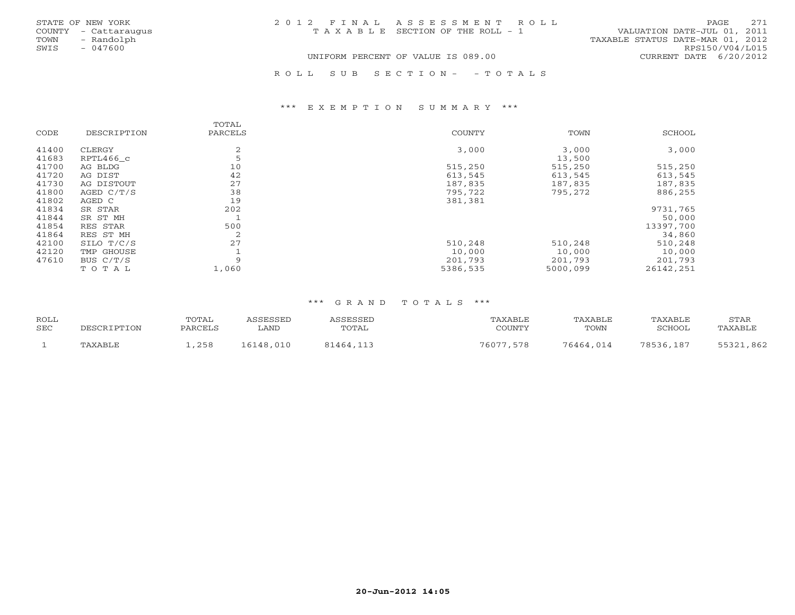| STATE OF NEW YORK<br>COUNTY - Cattaraugus<br>TOWN<br>- Randolph | 2012 FINAL ASSESSMENT ROLL<br>TAXABLE SECTION OF THE ROLL - 1 | 2.71<br>PAGE.<br>VALUATION DATE-JUL 01, 2011<br>TAXABLE STATUS DATE-MAR 01, 2012 |
|-----------------------------------------------------------------|---------------------------------------------------------------|----------------------------------------------------------------------------------|
| SWIS<br>$-047600$                                               | UNIFORM PERCENT OF VALUE IS 089.00                            | RPS150/V04/L015<br>CURRENT DATE 6/20/2012                                        |

R O L L S U B S E C T I O N - - T O T A L S

#### \*\*\* E X E M P T I O N S U M M A R Y \*\*\*

|       |              | TOTAL   |          |          |               |
|-------|--------------|---------|----------|----------|---------------|
| CODE  | DESCRIPTION  | PARCELS | COUNTY   | TOWN     | <b>SCHOOL</b> |
| 41400 | CLERGY       | 2       | 3,000    | 3,000    | 3,000         |
| 41683 | RPTL466 c    | 5       |          | 13,500   |               |
| 41700 | AG BLDG      | 10      | 515,250  | 515,250  | 515,250       |
| 41720 | AG DIST      | 42      | 613,545  | 613,545  | 613,545       |
| 41730 | AG DISTOUT   | 27      | 187,835  | 187,835  | 187,835       |
| 41800 | AGED $C/T/S$ | 38      | 795,722  | 795,272  | 886,255       |
| 41802 | AGED C       | 19      | 381,381  |          |               |
| 41834 | SR STAR      | 202     |          |          | 9731,765      |
| 41844 | SR ST MH     |         |          |          | 50,000        |
| 41854 | RES STAR     | 500     |          |          | 13397,700     |
| 41864 | RES ST MH    | 2       |          |          | 34,860        |
| 42100 | SILO T/C/S   | 27      | 510,248  | 510,248  | 510,248       |
| 42120 | TMP GHOUSE   |         | 10,000   | 10,000   | 10,000        |
| 47610 | BUS C/T/S    | 9       | 201,793  | 201,793  | 201,793       |
|       | TOTAL        | 1,060   | 5386,535 | 5000,099 | 26142,251     |

#### \*\*\* G R A N D T O T A L S \*\*\*

| <b>ROLL</b><br><b>SEC</b> | DESCRIPTION | TOTAL<br>PARCELS | ASSESSED<br>LAND | ASSESSED<br>TOTAL | TAXABLE<br>COUNTY | TAXABLE<br>TOWN | TAXABLE<br><b>SCHOOL</b> | STAR<br>TAXABLE |
|---------------------------|-------------|------------------|------------------|-------------------|-------------------|-----------------|--------------------------|-----------------|
|                           | TAXABLE     | 1,258            | 16148,010        | 81464,113         | 76077,578         | 76464,014       | 78536,187                | 55321,862       |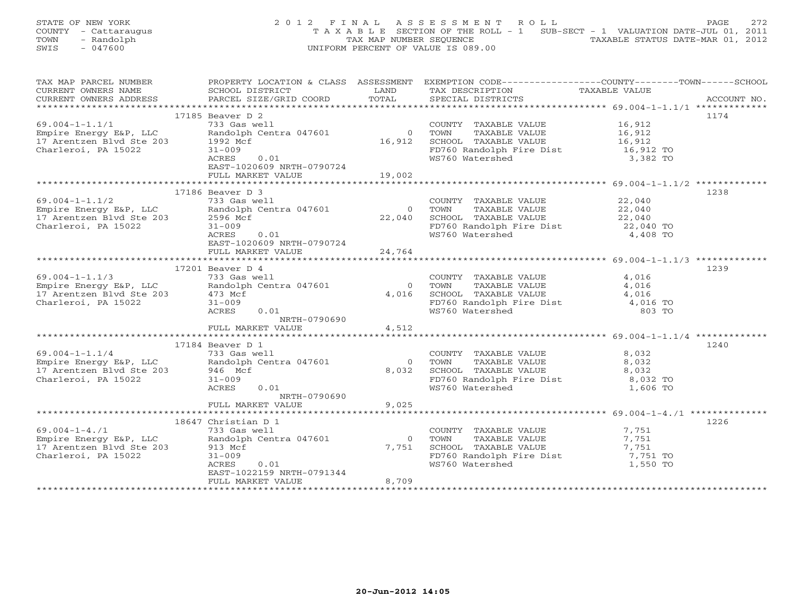|      | STATE OF NEW YORK    | 2012 FINAL ASSESSMENT ROLL                                                     | <b>PAGE</b> | 2.72 |
|------|----------------------|--------------------------------------------------------------------------------|-------------|------|
|      | COUNTY - Cattaraugus | T A X A B L E SECTION OF THE ROLL - 1 SUB-SECT - 1 VALUATION DATE-JUL 01, 2011 |             |      |
| TOWN | - Randolph           | TAXABLE STATUS DATE-MAR 01, 2012<br>TAX MAP NUMBER SEOUENCE                    |             |      |
| SWIS | $-047600$            | UNIFORM PERCENT OF VALUE IS 089.00                                             |             |      |
|      |                      |                                                                                |             |      |

| TAX MAP PARCEL NUMBER                                               |                                                                                  |                | PROPERTY LOCATION & CLASS ASSESSMENT EXEMPTION CODE---------------COUNTY-------TOWN------SCHOOL |                                                        |             |
|---------------------------------------------------------------------|----------------------------------------------------------------------------------|----------------|-------------------------------------------------------------------------------------------------|--------------------------------------------------------|-------------|
| CURRENT OWNERS NAME                                                 | SCHOOL DISTRICT                                                                  | LAND           | TAX DESCRIPTION                                                                                 | TAXABLE VALUE                                          |             |
| CURRENT OWNERS ADDRESS                                              | PARCEL SIZE/GRID COORD                                                           | TOTAL          | SPECIAL DISTRICTS                                                                               |                                                        | ACCOUNT NO. |
|                                                                     |                                                                                  |                |                                                                                                 |                                                        |             |
|                                                                     | 17185 Beaver D 2                                                                 |                |                                                                                                 |                                                        | 1174        |
| $69.004 - 1 - 1.1/1$                                                | 733 Gas well                                                                     |                | COUNTY TAXABLE VALUE                                                                            | 16,912                                                 |             |
| Empire Energy E&P, LLC                                              | Randolph Centra 047601                                                           | $\Omega$       | TOWN<br>TAXABLE VALUE                                                                           | 16,912                                                 |             |
| 17 Arentzen Blvd Ste 203                                            | 1992 Mcf                                                                         | 16,912         | SCHOOL TAXABLE VALUE                                                                            | 16,912                                                 |             |
| Charleroi, PA 15022                                                 | $31 - 009$                                                                       |                | FD760 Randolph Fire Dist 16,912 TO                                                              |                                                        |             |
|                                                                     | ACRES<br>0.01                                                                    |                | WS760 Watershed                                                                                 | 3,382 TO                                               |             |
|                                                                     | EAST-1020609 NRTH-0790724                                                        |                |                                                                                                 |                                                        |             |
|                                                                     | FULL MARKET VALUE                                                                | 19,002         |                                                                                                 |                                                        |             |
|                                                                     |                                                                                  |                |                                                                                                 |                                                        |             |
|                                                                     | 17186 Beaver D 3                                                                 |                |                                                                                                 |                                                        | 1238        |
| $69.004 - 1 - 1.1/2$                                                | 733 Gas well                                                                     |                | COUNTY TAXABLE VALUE                                                                            | 22,040                                                 |             |
| Empire Energy E&P, LLC                                              | Randolph Centra 047601                                                           | $\overline{0}$ | TOWN<br>TAXABLE VALUE                                                                           | 22,040                                                 |             |
| 17 Arentzen Blvd Ste 203                                            | 2596 Mcf                                                                         | 22,040         | SCHOOL TAXABLE VALUE                                                                            | 22,040                                                 |             |
| Charleroi, PA 15022                                                 | $31 - 009$                                                                       |                |                                                                                                 | 22,040 TO                                              |             |
|                                                                     | ACRES<br>0.01                                                                    |                | FD760 Randolph Fire Dist<br>WS760 Watershed                                                     | 4,408 TO                                               |             |
|                                                                     | EAST-1020609 NRTH-0790724                                                        |                |                                                                                                 |                                                        |             |
|                                                                     |                                                                                  | 24,764         |                                                                                                 |                                                        |             |
|                                                                     | FULL MARKET VALUE                                                                |                |                                                                                                 |                                                        |             |
|                                                                     | $17201$ Beaver D $4$                                                             |                |                                                                                                 |                                                        | 1239        |
| $69.004 - 1 - 1.1/3$                                                | 733 Gas well                                                                     |                | COUNTY TAXABLE VALUE                                                                            | 4,016                                                  |             |
|                                                                     |                                                                                  |                |                                                                                                 |                                                        |             |
|                                                                     | Empire Energy E&P, LLC andolph Centra 047601<br>17 Arentzen Blyd Ste 203 473 Mcf | $\overline{0}$ | TOWN<br>TAXABLE VALUE                                                                           | 4,016                                                  |             |
| 17 Arentzen Blvd Ste 203                                            | 473 Mcf                                                                          | 4,016          | SCHOOL TAXABLE VALUE                                                                            | 4,016                                                  |             |
| Charleroi, PA 15022                                                 | $31 - 009$                                                                       |                | FD760 Randolph Fire Dist 4,016 TO                                                               |                                                        |             |
|                                                                     | ACRES<br>0.01                                                                    |                | WS760 Watershed                                                                                 | 803 TO                                                 |             |
|                                                                     | NRTH-0790690                                                                     |                |                                                                                                 |                                                        |             |
|                                                                     | FULL MARKET VALUE                                                                | 4,512          |                                                                                                 |                                                        |             |
|                                                                     |                                                                                  |                |                                                                                                 | ************************ 69.004-1-1.1/4 ************** |             |
|                                                                     | 17184 Beaver D 1                                                                 |                |                                                                                                 |                                                        | 1240        |
| $69.004 - 1 - 1.1/4$                                                | 733 Gas well                                                                     |                | COUNTY TAXABLE VALUE                                                                            | 8,032                                                  |             |
| Empire Energy E&P, LLC Randolph<br>17 Arentzen Blvd Ste 203 946 Mcf | Randolph Centra 047601                                                           | $\overline{0}$ | TOWN<br>TAXABLE VALUE                                                                           | 8,032                                                  |             |
|                                                                     |                                                                                  | 8,032          | SCHOOL TAXABLE VALUE                                                                            | 8,032                                                  |             |
| Charleroi, PA 15022                                                 | $31 - 009$                                                                       |                | FD760 Randolph Fire Dist                                                                        | 8,032 TO                                               |             |
|                                                                     | ACRES<br>0.01                                                                    |                | WS760 Watershed                                                                                 | 1,606 TO                                               |             |
|                                                                     | NRTH-0790690                                                                     |                |                                                                                                 |                                                        |             |
|                                                                     | FULL MARKET VALUE                                                                | 9,025          |                                                                                                 |                                                        |             |
|                                                                     |                                                                                  |                |                                                                                                 |                                                        |             |
|                                                                     | 18647 Christian D 1                                                              |                |                                                                                                 |                                                        | 1226        |
| $69.004 - 1 - 4.71$                                                 | 733 Gas well                                                                     |                | COUNTY TAXABLE VALUE                                                                            | 7,751                                                  |             |
| Empire Energy E&P, LLC                                              | Randolph Centra 047601                                                           | $\overline{0}$ | TAXABLE VALUE<br>TOWN                                                                           | 7,751                                                  |             |
| 17 Arentzen Blvd Ste 203                                            | 913 Mcf                                                                          | 7,751          | SCHOOL TAXABLE VALUE                                                                            | 7,751                                                  |             |
| Charleroi, PA 15022                                                 | $31 - 009$                                                                       |                | FD760 Randolph Fire Dist 7,751 TO                                                               |                                                        |             |
|                                                                     | ACRES<br>0.01                                                                    |                | WS760 Watershed                                                                                 | 1,550 TO                                               |             |
|                                                                     | EAST-1022159 NRTH-0791344                                                        |                |                                                                                                 |                                                        |             |
|                                                                     | FULL MARKET VALUE                                                                | 8,709          |                                                                                                 |                                                        |             |
|                                                                     |                                                                                  |                |                                                                                                 |                                                        |             |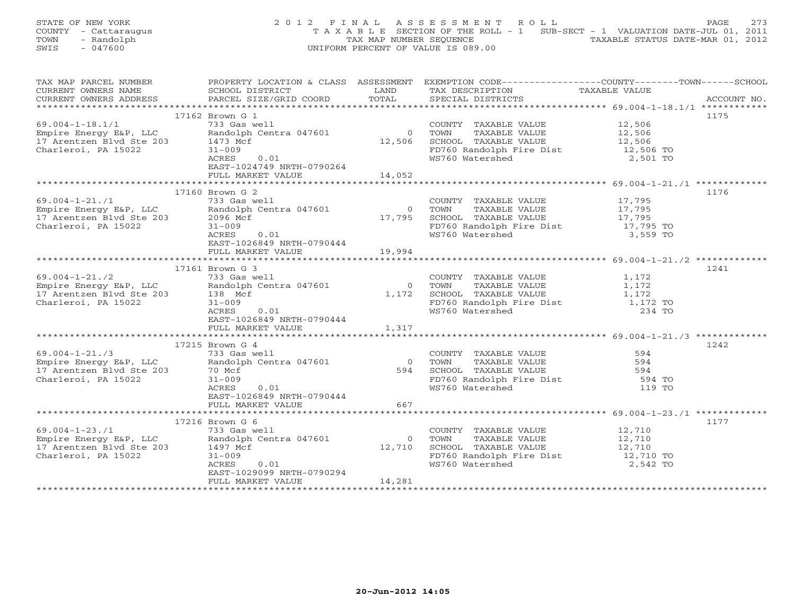|      | STATE OF NEW YORK    | 2012 FINAL ASSESSMENT ROLL                                                     |                                  | PAGE | 2.73 |
|------|----------------------|--------------------------------------------------------------------------------|----------------------------------|------|------|
|      | COUNTY - Cattaraugus | T A X A B L E SECTION OF THE ROLL - 1 SUB-SECT - 1 VALUATION DATE-JUL 01, 2011 |                                  |      |      |
| TOWN | - Randolph           | TAX MAP NUMBER SEOUENCE                                                        | TAXABLE STATUS DATE-MAR 01, 2012 |      |      |
| SWIS | - 047600             | UNIFORM PERCENT OF VALUE IS 089.00                                             |                                  |      |      |
|      |                      |                                                                                |                                  |      |      |

| SCHOOL DISTRICT                                                                        | LAND                                                                                                                                                                                                                                                                                                                                                                                                                                                                                                                                                                                                                                              | TAX DESCRIPTION                                                                                                                                                                                                                                             |                                                                                       |                                                                                                                                                                                                                                                                                                                                                                                                                                                                                                                                                                                                                                                                                                                    |
|----------------------------------------------------------------------------------------|---------------------------------------------------------------------------------------------------------------------------------------------------------------------------------------------------------------------------------------------------------------------------------------------------------------------------------------------------------------------------------------------------------------------------------------------------------------------------------------------------------------------------------------------------------------------------------------------------------------------------------------------------|-------------------------------------------------------------------------------------------------------------------------------------------------------------------------------------------------------------------------------------------------------------|---------------------------------------------------------------------------------------|--------------------------------------------------------------------------------------------------------------------------------------------------------------------------------------------------------------------------------------------------------------------------------------------------------------------------------------------------------------------------------------------------------------------------------------------------------------------------------------------------------------------------------------------------------------------------------------------------------------------------------------------------------------------------------------------------------------------|
| PARCEL SIZE/GRID COORD                                                                 |                                                                                                                                                                                                                                                                                                                                                                                                                                                                                                                                                                                                                                                   | SPECIAL DISTRICTS                                                                                                                                                                                                                                           |                                                                                       | ACCOUNT NO.                                                                                                                                                                                                                                                                                                                                                                                                                                                                                                                                                                                                                                                                                                        |
|                                                                                        |                                                                                                                                                                                                                                                                                                                                                                                                                                                                                                                                                                                                                                                   |                                                                                                                                                                                                                                                             |                                                                                       |                                                                                                                                                                                                                                                                                                                                                                                                                                                                                                                                                                                                                                                                                                                    |
|                                                                                        |                                                                                                                                                                                                                                                                                                                                                                                                                                                                                                                                                                                                                                                   |                                                                                                                                                                                                                                                             |                                                                                       | 1175                                                                                                                                                                                                                                                                                                                                                                                                                                                                                                                                                                                                                                                                                                               |
| 733 Gas well                                                                           |                                                                                                                                                                                                                                                                                                                                                                                                                                                                                                                                                                                                                                                   |                                                                                                                                                                                                                                                             |                                                                                       |                                                                                                                                                                                                                                                                                                                                                                                                                                                                                                                                                                                                                                                                                                                    |
|                                                                                        |                                                                                                                                                                                                                                                                                                                                                                                                                                                                                                                                                                                                                                                   | TOWN                                                                                                                                                                                                                                                        |                                                                                       |                                                                                                                                                                                                                                                                                                                                                                                                                                                                                                                                                                                                                                                                                                                    |
|                                                                                        |                                                                                                                                                                                                                                                                                                                                                                                                                                                                                                                                                                                                                                                   |                                                                                                                                                                                                                                                             |                                                                                       |                                                                                                                                                                                                                                                                                                                                                                                                                                                                                                                                                                                                                                                                                                                    |
|                                                                                        |                                                                                                                                                                                                                                                                                                                                                                                                                                                                                                                                                                                                                                                   |                                                                                                                                                                                                                                                             |                                                                                       |                                                                                                                                                                                                                                                                                                                                                                                                                                                                                                                                                                                                                                                                                                                    |
|                                                                                        |                                                                                                                                                                                                                                                                                                                                                                                                                                                                                                                                                                                                                                                   |                                                                                                                                                                                                                                                             |                                                                                       |                                                                                                                                                                                                                                                                                                                                                                                                                                                                                                                                                                                                                                                                                                                    |
|                                                                                        |                                                                                                                                                                                                                                                                                                                                                                                                                                                                                                                                                                                                                                                   |                                                                                                                                                                                                                                                             |                                                                                       |                                                                                                                                                                                                                                                                                                                                                                                                                                                                                                                                                                                                                                                                                                                    |
|                                                                                        |                                                                                                                                                                                                                                                                                                                                                                                                                                                                                                                                                                                                                                                   |                                                                                                                                                                                                                                                             |                                                                                       |                                                                                                                                                                                                                                                                                                                                                                                                                                                                                                                                                                                                                                                                                                                    |
|                                                                                        |                                                                                                                                                                                                                                                                                                                                                                                                                                                                                                                                                                                                                                                   |                                                                                                                                                                                                                                                             |                                                                                       |                                                                                                                                                                                                                                                                                                                                                                                                                                                                                                                                                                                                                                                                                                                    |
|                                                                                        |                                                                                                                                                                                                                                                                                                                                                                                                                                                                                                                                                                                                                                                   |                                                                                                                                                                                                                                                             |                                                                                       | 1176                                                                                                                                                                                                                                                                                                                                                                                                                                                                                                                                                                                                                                                                                                               |
|                                                                                        |                                                                                                                                                                                                                                                                                                                                                                                                                                                                                                                                                                                                                                                   |                                                                                                                                                                                                                                                             |                                                                                       |                                                                                                                                                                                                                                                                                                                                                                                                                                                                                                                                                                                                                                                                                                                    |
|                                                                                        |                                                                                                                                                                                                                                                                                                                                                                                                                                                                                                                                                                                                                                                   |                                                                                                                                                                                                                                                             |                                                                                       |                                                                                                                                                                                                                                                                                                                                                                                                                                                                                                                                                                                                                                                                                                                    |
|                                                                                        |                                                                                                                                                                                                                                                                                                                                                                                                                                                                                                                                                                                                                                                   |                                                                                                                                                                                                                                                             |                                                                                       |                                                                                                                                                                                                                                                                                                                                                                                                                                                                                                                                                                                                                                                                                                                    |
|                                                                                        |                                                                                                                                                                                                                                                                                                                                                                                                                                                                                                                                                                                                                                                   |                                                                                                                                                                                                                                                             |                                                                                       |                                                                                                                                                                                                                                                                                                                                                                                                                                                                                                                                                                                                                                                                                                                    |
|                                                                                        |                                                                                                                                                                                                                                                                                                                                                                                                                                                                                                                                                                                                                                                   |                                                                                                                                                                                                                                                             |                                                                                       |                                                                                                                                                                                                                                                                                                                                                                                                                                                                                                                                                                                                                                                                                                                    |
|                                                                                        |                                                                                                                                                                                                                                                                                                                                                                                                                                                                                                                                                                                                                                                   |                                                                                                                                                                                                                                                             |                                                                                       |                                                                                                                                                                                                                                                                                                                                                                                                                                                                                                                                                                                                                                                                                                                    |
|                                                                                        |                                                                                                                                                                                                                                                                                                                                                                                                                                                                                                                                                                                                                                                   |                                                                                                                                                                                                                                                             |                                                                                       |                                                                                                                                                                                                                                                                                                                                                                                                                                                                                                                                                                                                                                                                                                                    |
|                                                                                        |                                                                                                                                                                                                                                                                                                                                                                                                                                                                                                                                                                                                                                                   |                                                                                                                                                                                                                                                             |                                                                                       |                                                                                                                                                                                                                                                                                                                                                                                                                                                                                                                                                                                                                                                                                                                    |
|                                                                                        |                                                                                                                                                                                                                                                                                                                                                                                                                                                                                                                                                                                                                                                   |                                                                                                                                                                                                                                                             |                                                                                       |                                                                                                                                                                                                                                                                                                                                                                                                                                                                                                                                                                                                                                                                                                                    |
|                                                                                        |                                                                                                                                                                                                                                                                                                                                                                                                                                                                                                                                                                                                                                                   |                                                                                                                                                                                                                                                             |                                                                                       | 1241                                                                                                                                                                                                                                                                                                                                                                                                                                                                                                                                                                                                                                                                                                               |
|                                                                                        |                                                                                                                                                                                                                                                                                                                                                                                                                                                                                                                                                                                                                                                   |                                                                                                                                                                                                                                                             |                                                                                       |                                                                                                                                                                                                                                                                                                                                                                                                                                                                                                                                                                                                                                                                                                                    |
|                                                                                        |                                                                                                                                                                                                                                                                                                                                                                                                                                                                                                                                                                                                                                                   | TOWN                                                                                                                                                                                                                                                        |                                                                                       |                                                                                                                                                                                                                                                                                                                                                                                                                                                                                                                                                                                                                                                                                                                    |
|                                                                                        |                                                                                                                                                                                                                                                                                                                                                                                                                                                                                                                                                                                                                                                   |                                                                                                                                                                                                                                                             |                                                                                       |                                                                                                                                                                                                                                                                                                                                                                                                                                                                                                                                                                                                                                                                                                                    |
| $31 - 009$                                                                             |                                                                                                                                                                                                                                                                                                                                                                                                                                                                                                                                                                                                                                                   |                                                                                                                                                                                                                                                             |                                                                                       |                                                                                                                                                                                                                                                                                                                                                                                                                                                                                                                                                                                                                                                                                                                    |
| ACRES<br>0.01                                                                          |                                                                                                                                                                                                                                                                                                                                                                                                                                                                                                                                                                                                                                                   | WS760 Watershed                                                                                                                                                                                                                                             |                                                                                       |                                                                                                                                                                                                                                                                                                                                                                                                                                                                                                                                                                                                                                                                                                                    |
|                                                                                        |                                                                                                                                                                                                                                                                                                                                                                                                                                                                                                                                                                                                                                                   |                                                                                                                                                                                                                                                             |                                                                                       |                                                                                                                                                                                                                                                                                                                                                                                                                                                                                                                                                                                                                                                                                                                    |
| FULL MARKET VALUE                                                                      |                                                                                                                                                                                                                                                                                                                                                                                                                                                                                                                                                                                                                                                   |                                                                                                                                                                                                                                                             |                                                                                       |                                                                                                                                                                                                                                                                                                                                                                                                                                                                                                                                                                                                                                                                                                                    |
|                                                                                        |                                                                                                                                                                                                                                                                                                                                                                                                                                                                                                                                                                                                                                                   |                                                                                                                                                                                                                                                             |                                                                                       |                                                                                                                                                                                                                                                                                                                                                                                                                                                                                                                                                                                                                                                                                                                    |
|                                                                                        |                                                                                                                                                                                                                                                                                                                                                                                                                                                                                                                                                                                                                                                   |                                                                                                                                                                                                                                                             |                                                                                       | 1242                                                                                                                                                                                                                                                                                                                                                                                                                                                                                                                                                                                                                                                                                                               |
|                                                                                        |                                                                                                                                                                                                                                                                                                                                                                                                                                                                                                                                                                                                                                                   |                                                                                                                                                                                                                                                             |                                                                                       |                                                                                                                                                                                                                                                                                                                                                                                                                                                                                                                                                                                                                                                                                                                    |
|                                                                                        |                                                                                                                                                                                                                                                                                                                                                                                                                                                                                                                                                                                                                                                   |                                                                                                                                                                                                                                                             |                                                                                       |                                                                                                                                                                                                                                                                                                                                                                                                                                                                                                                                                                                                                                                                                                                    |
|                                                                                        |                                                                                                                                                                                                                                                                                                                                                                                                                                                                                                                                                                                                                                                   |                                                                                                                                                                                                                                                             |                                                                                       |                                                                                                                                                                                                                                                                                                                                                                                                                                                                                                                                                                                                                                                                                                                    |
|                                                                                        |                                                                                                                                                                                                                                                                                                                                                                                                                                                                                                                                                                                                                                                   |                                                                                                                                                                                                                                                             |                                                                                       |                                                                                                                                                                                                                                                                                                                                                                                                                                                                                                                                                                                                                                                                                                                    |
|                                                                                        |                                                                                                                                                                                                                                                                                                                                                                                                                                                                                                                                                                                                                                                   |                                                                                                                                                                                                                                                             |                                                                                       |                                                                                                                                                                                                                                                                                                                                                                                                                                                                                                                                                                                                                                                                                                                    |
|                                                                                        |                                                                                                                                                                                                                                                                                                                                                                                                                                                                                                                                                                                                                                                   |                                                                                                                                                                                                                                                             |                                                                                       |                                                                                                                                                                                                                                                                                                                                                                                                                                                                                                                                                                                                                                                                                                                    |
|                                                                                        |                                                                                                                                                                                                                                                                                                                                                                                                                                                                                                                                                                                                                                                   |                                                                                                                                                                                                                                                             |                                                                                       |                                                                                                                                                                                                                                                                                                                                                                                                                                                                                                                                                                                                                                                                                                                    |
|                                                                                        |                                                                                                                                                                                                                                                                                                                                                                                                                                                                                                                                                                                                                                                   |                                                                                                                                                                                                                                                             |                                                                                       |                                                                                                                                                                                                                                                                                                                                                                                                                                                                                                                                                                                                                                                                                                                    |
|                                                                                        |                                                                                                                                                                                                                                                                                                                                                                                                                                                                                                                                                                                                                                                   |                                                                                                                                                                                                                                                             |                                                                                       |                                                                                                                                                                                                                                                                                                                                                                                                                                                                                                                                                                                                                                                                                                                    |
|                                                                                        |                                                                                                                                                                                                                                                                                                                                                                                                                                                                                                                                                                                                                                                   |                                                                                                                                                                                                                                                             |                                                                                       |                                                                                                                                                                                                                                                                                                                                                                                                                                                                                                                                                                                                                                                                                                                    |
| 17216 Brown G 6                                                                        |                                                                                                                                                                                                                                                                                                                                                                                                                                                                                                                                                                                                                                                   |                                                                                                                                                                                                                                                             |                                                                                       | 1177                                                                                                                                                                                                                                                                                                                                                                                                                                                                                                                                                                                                                                                                                                               |
| 733 Gas well                                                                           |                                                                                                                                                                                                                                                                                                                                                                                                                                                                                                                                                                                                                                                   | COUNTY TAXABLE VALUE 12,710                                                                                                                                                                                                                                 |                                                                                       |                                                                                                                                                                                                                                                                                                                                                                                                                                                                                                                                                                                                                                                                                                                    |
| Randolph Centra 047601                                                                 | $\Omega$                                                                                                                                                                                                                                                                                                                                                                                                                                                                                                                                                                                                                                          |                                                                                                                                                                                                                                                             | 12,710                                                                                |                                                                                                                                                                                                                                                                                                                                                                                                                                                                                                                                                                                                                                                                                                                    |
| 69.004-1-23./1<br>Empire Energy E&P, LLC Randolph<br>17 Arentzen Blvd Ste 203 1497 Mcf | 12,710                                                                                                                                                                                                                                                                                                                                                                                                                                                                                                                                                                                                                                            | TOWN      TAXABLE VALUE<br>SCHOOL   TAXABLE VALUE                                                                                                                                                                                                           | 12,710                                                                                |                                                                                                                                                                                                                                                                                                                                                                                                                                                                                                                                                                                                                                                                                                                    |
| $31 - 009$                                                                             |                                                                                                                                                                                                                                                                                                                                                                                                                                                                                                                                                                                                                                                   | FD760 Randolph Fire Dist 12,710 TO                                                                                                                                                                                                                          |                                                                                       |                                                                                                                                                                                                                                                                                                                                                                                                                                                                                                                                                                                                                                                                                                                    |
| ACRES<br>0.01                                                                          |                                                                                                                                                                                                                                                                                                                                                                                                                                                                                                                                                                                                                                                   | WS760 Watershed                                                                                                                                                                                                                                             | 2,542 TO                                                                              |                                                                                                                                                                                                                                                                                                                                                                                                                                                                                                                                                                                                                                                                                                                    |
| EAST-1029099 NRTH-0790294                                                              |                                                                                                                                                                                                                                                                                                                                                                                                                                                                                                                                                                                                                                                   |                                                                                                                                                                                                                                                             |                                                                                       |                                                                                                                                                                                                                                                                                                                                                                                                                                                                                                                                                                                                                                                                                                                    |
| FULL MARKET VALUE                                                                      | 14,281                                                                                                                                                                                                                                                                                                                                                                                                                                                                                                                                                                                                                                            |                                                                                                                                                                                                                                                             |                                                                                       |                                                                                                                                                                                                                                                                                                                                                                                                                                                                                                                                                                                                                                                                                                                    |
|                                                                                        | 17162 Brown G 1<br>Randolph Centra 047601<br>17 Arentzen Blvd Ste 203<br>1473 Mcf<br>$31 - 009$<br>ACRES<br>0.01<br>17160 Brown G 2<br>733 Gas well<br>Empire Energy E&P, LLC<br>Randolph Centra 047601<br>17 Arentzen Blvd Ste 203<br>2096 Mcf<br>$31 - 009$<br>ACRES<br>0.01<br>FULL MARKET VALUE<br>17161 Brown G 3<br>733 Gas well<br>by.uu4-1-414<br>Empire Energy E&P, LLC<br>17 Arentzen Blvd Ste 203<br>21 Marci – DA 15022<br>Randolph Centra 047601<br>138 Mcf<br>17215 Brown G 4<br>733 Gas well<br>$69.004-1-21.73$<br>Empire Energy E&P, LLC Randolp<br>Plud Ste 203 70 Mcf<br>Randolph Centra 047601<br>$31 - 009$<br>ACRES<br>0.01 | PROPERTY LOCATION & CLASS ASSESSMENT<br><b>TOTAL</b><br>EAST-1024749 NRTH-0790264<br>EAST-1026849 NRTH-0790444<br>19,994<br>$\overline{0}$<br>EAST-1026849 NRTH-0790444<br>1,317<br>$\overline{0}$<br>EAST-1026849 NRTH-0790444<br>667<br>FULL MARKET VALUE | $\overline{0}$<br>12,506<br>$\overline{0}$<br>TOWN<br>1,172<br>594<br>WS760 Watershed | EXEMPTION CODE-----------------COUNTY-------TOWN-----SCHOOL<br>TAXABLE VALUE<br>COUNTY TAXABLE VALUE 12,506<br>TOWN TAXABLE VALUE 12,506<br>SCHOOL TAXABLE VALUE 12,506<br>FD760 Randolph Fire Dist 12,506 TO<br>WS760 Watershed 2,501 TO<br>TAXABLE VALUE 17,795<br>TAXABLE VALUE 17,795<br>COUNTY TAXABLE VALUE<br>17,795 SCHOOL TAXABLE VALUE 17,795<br>FD760 Randolph Fire Dist 17,795 TO<br>WS760 Watershed 3,559 TO<br>COUNTY TAXABLE VALUE<br>1,172<br>TAXABLE VALUE 1,172<br>SCHOOL TAXABLE VALUE 1,172<br>FD760 Randolph Fire Dist 1,172 TO<br>234 TO<br>COUNTY TAXABLE VALUE<br>594<br>TOWN        TAXABLE  VALUE<br>SCHOOL    TAXABLE  VALUE<br>594<br>594<br>FD760 Randolph Fire Dist 594 TO<br>119 TO |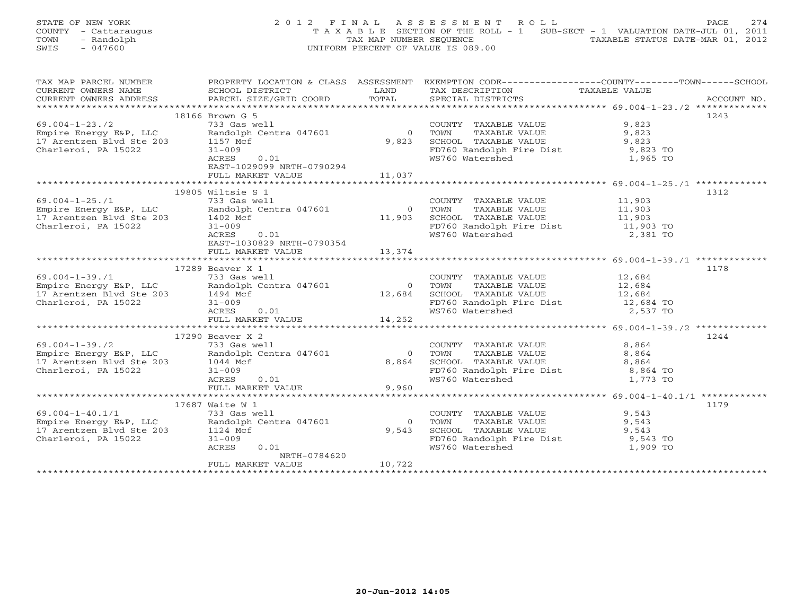|      | STATE OF NEW YORK    | 2012 FINAL ASSESSMENT ROLL                                                     | 2.74                             |
|------|----------------------|--------------------------------------------------------------------------------|----------------------------------|
|      | COUNTY - Cattaraugus | T A X A B L E SECTION OF THE ROLL - 1 SUB-SECT - 1 VALUATION DATE-JUL 01, 2011 | PAGE                             |
| TOWN | - Randolph           | TAX MAP NUMBER SEOUENCE                                                        | TAXABLE STATUS DATE-MAR 01, 2012 |
| SWIS | - 047600             | UNIFORM PERCENT OF VALUE IS 089.00                                             |                                  |
|      |                      |                                                                                |                                  |

| TAX MAP PARCEL NUMBER                                                                                                                           |                                                         |          | PROPERTY LOCATION & CLASS ASSESSMENT EXEMPTION CODE-----------------COUNTY-------TOWN------SCHOOL                                                                                   |               |      |
|-------------------------------------------------------------------------------------------------------------------------------------------------|---------------------------------------------------------|----------|-------------------------------------------------------------------------------------------------------------------------------------------------------------------------------------|---------------|------|
| CURRENT OWNERS NAME                                                                                                                             | SCHOOL DISTRICT                                         | LAND     | TAX DESCRIPTION                                                                                                                                                                     | TAXABLE VALUE |      |
|                                                                                                                                                 |                                                         |          |                                                                                                                                                                                     |               |      |
|                                                                                                                                                 |                                                         |          |                                                                                                                                                                                     |               |      |
|                                                                                                                                                 | 18166 Brown G 5                                         |          |                                                                                                                                                                                     |               | 1243 |
| $69.004 - 1 - 23.72$                                                                                                                            | 733 Gas well                                            |          | COUNTY TAXABLE VALUE                                                                                                                                                                | 9,823         |      |
|                                                                                                                                                 | Randolph Centra 047601                                  |          | 0 TOWN                                                                                                                                                                              |               |      |
| Empire Energy E&P, LLC Randolph<br>17 Arentzen Blvd Ste 203 1157 Mcf                                                                            |                                                         | 9,823    |                                                                                                                                                                                     |               |      |
|                                                                                                                                                 |                                                         |          |                                                                                                                                                                                     |               |      |
| Charleroi, PA 15022                                                                                                                             | $31 - 009$                                              |          | FD760 Randolph Fire Dist 9,823 TO                                                                                                                                                   |               |      |
|                                                                                                                                                 | 0.01<br>ACRES                                           |          | WS760 Watershed                                                                                                                                                                     | 1,965 TO      |      |
|                                                                                                                                                 | EAST-1029099 NRTH-0790294                               |          |                                                                                                                                                                                     |               |      |
|                                                                                                                                                 | FULL MARKET VALUE                                       | 11,037   |                                                                                                                                                                                     |               |      |
|                                                                                                                                                 |                                                         |          |                                                                                                                                                                                     |               |      |
|                                                                                                                                                 | 19805 Wiltsie S 1                                       |          |                                                                                                                                                                                     |               | 1312 |
| $69.004 - 1 - 25.71$                                                                                                                            | 733 Gas well                                            |          | COUNTY TAXABLE VALUE 11,903                                                                                                                                                         |               |      |
|                                                                                                                                                 |                                                         |          | TAXABLE VALUE 11,903                                                                                                                                                                |               |      |
| Empire Energy E&P, LLC and the Centra 047601 0 TOWN 17 Arentzen Blvd Ste 203 1402 Mcf 11,903 SCHOO                                              |                                                         |          |                                                                                                                                                                                     |               |      |
| Charleroi, PA 15022                                                                                                                             | $\begin{bmatrix} 0 & 0 & 1 \end{bmatrix}$<br>$31 - 009$ |          | 11,903 SCHOOL TAXABLE VALUE 11,903<br>FD760 Randolph Fire Dist 11,903 TO<br>WS760 Watershed 2,381 TO                                                                                |               |      |
|                                                                                                                                                 | ACRES                                                   |          |                                                                                                                                                                                     |               |      |
|                                                                                                                                                 | EAST-1030829 NRTH-0790354                               |          |                                                                                                                                                                                     |               |      |
|                                                                                                                                                 | FULL MARKET VALUE 13,374                                |          |                                                                                                                                                                                     |               |      |
|                                                                                                                                                 |                                                         |          |                                                                                                                                                                                     |               |      |
|                                                                                                                                                 | 17289 Beaver X 1                                        |          |                                                                                                                                                                                     |               | 1178 |
|                                                                                                                                                 |                                                         |          |                                                                                                                                                                                     |               |      |
| $69.004 - 1 - 39.71$                                                                                                                            | 733 Gas well                                            |          | $\begin{tabular}{llllll} \multicolumn{2}{c}{\textbf{COUNTY}} & \textbf{TAXABLE VALUE} & & & & 12\, ,684 \\ \textbf{TOWN} & \textbf{TAXABLE VALUE} & & & 12\, ,684 \\ \end{tabular}$ |               |      |
| 69.004-1-39./1 (133 Gas Well<br>Empire Energy E&P, LLC Randolph Centra 047601<br>17 Arentzen Blvd Ste 203 (1494 Mcf                             |                                                         |          | 0 TOWN                                                                                                                                                                              |               |      |
|                                                                                                                                                 | 1494 Mcf<br>31-009<br>ACRES 0.01                        | 12,684   | SCHOOL TAXABLE VALUE 12,684                                                                                                                                                         |               |      |
| Charleroi, PA 15022                                                                                                                             |                                                         |          | FD760 Randolph Fire Dist 12,684 TO<br>WS760 Watershed 2,537 TO                                                                                                                      |               |      |
|                                                                                                                                                 |                                                         |          |                                                                                                                                                                                     |               |      |
|                                                                                                                                                 | FULL MARKET VALUE 14,252                                |          |                                                                                                                                                                                     |               |      |
|                                                                                                                                                 |                                                         |          |                                                                                                                                                                                     |               |      |
|                                                                                                                                                 | 17290 Beaver X 2                                        |          |                                                                                                                                                                                     |               | 1244 |
| 69.004-1-39./2 733 Gas well<br>Empire Energy E&P, LLC Randolph Centra 047601                                                                    |                                                         |          | COUNTY TAXABLE VALUE $8,864$<br>TOWN TAXABLE VALUE $8,864$                                                                                                                          | 8,864         |      |
|                                                                                                                                                 |                                                         |          | 0 TOWN                                                                                                                                                                              |               |      |
| 17 Arentzen Blvd Ste 203 $1044 \text{ Mcf}$                                                                                                     |                                                         | 8,864    |                                                                                                                                                                                     |               |      |
| Charleroi, PA 15022                                                                                                                             | $31 - 009$                                              |          |                                                                                                                                                                                     |               |      |
|                                                                                                                                                 | ACRES 0.01<br>FULL MARKET VALUE<br>ACRES                |          | WS760 Watershed 1,773 TO                                                                                                                                                            |               |      |
|                                                                                                                                                 |                                                         | 9,960    |                                                                                                                                                                                     |               |      |
|                                                                                                                                                 |                                                         |          |                                                                                                                                                                                     |               |      |
|                                                                                                                                                 | 17687 Waite W 1                                         |          |                                                                                                                                                                                     |               | 1179 |
| $69.004 - 1 - 40.1/1$                                                                                                                           | 733 Gas well                                            |          | COUNTY TAXABLE VALUE                                                                                                                                                                | 9,543         |      |
|                                                                                                                                                 |                                                         |          |                                                                                                                                                                                     |               |      |
| $\begin{array}{lll} 69.004 - 1 - 40.1/1 \\ \text{Empire Energy E\&P, LLC} & \text{Random B\&O1Dh} \\ 17.14 \text{ Mcf} & 31 - 0.09 \end{array}$ | Randolph Centra 047601                                  | $\Omega$ | TAXABLE VALUE 9,543<br>TOWN                                                                                                                                                         |               |      |
|                                                                                                                                                 |                                                         | 9,543    | SCHOOL TAXABLE VALUE 9,543<br>FD760 Randolph Fire Dist 9,543 TO                                                                                                                     |               |      |
| Charleroi, PA 15022                                                                                                                             | $31 - 009$                                              |          |                                                                                                                                                                                     |               |      |
|                                                                                                                                                 | ACRES<br>0.01                                           |          | WS760 Watershed                                                                                                                                                                     | 1,909 TO      |      |
|                                                                                                                                                 | NRTH-0784620                                            |          |                                                                                                                                                                                     |               |      |
|                                                                                                                                                 | FULL MARKET VALUE                                       | 10,722   |                                                                                                                                                                                     |               |      |
|                                                                                                                                                 |                                                         |          |                                                                                                                                                                                     |               |      |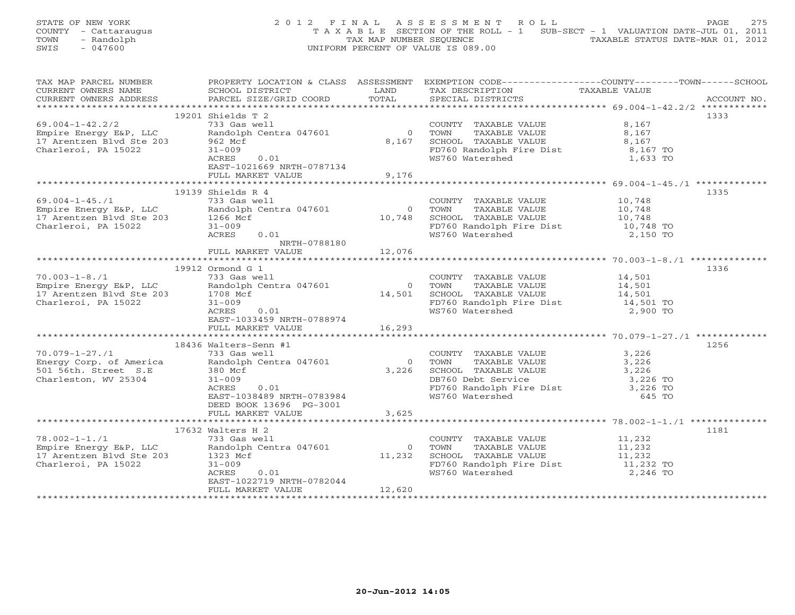| STATE OF NEW YORK    | 2012 FINAL ASSESSMENT ROLL                                                     | 2.75<br>PAGE                     |
|----------------------|--------------------------------------------------------------------------------|----------------------------------|
| COUNTY - Cattaraugus | T A X A B L E SECTION OF THE ROLL - 1 SUB-SECT - 1 VALUATION DATE-JUL 01, 2011 |                                  |
| TOWN<br>- Randolph   | TAX MAP NUMBER SEOUENCE                                                        | TAXABLE STATUS DATE-MAR 01, 2012 |
| SWIS<br>- 047600     | UNIFORM PERCENT OF VALUE IS 089.00                                             |                                  |
|                      |                                                                                |                                  |

| TAX MAP PARCEL NUMBER                                                |                                                                                                                                                                                                                                                                                                                                                                                                                        |                | PROPERTY LOCATION & CLASS ASSESSMENT EXEMPTION CODE---------------COUNTY-------TOWN-----SCHOOL                                    |               |             |
|----------------------------------------------------------------------|------------------------------------------------------------------------------------------------------------------------------------------------------------------------------------------------------------------------------------------------------------------------------------------------------------------------------------------------------------------------------------------------------------------------|----------------|-----------------------------------------------------------------------------------------------------------------------------------|---------------|-------------|
| CURRENT OWNERS NAME                                                  | SCHOOL DISTRICT                                                                                                                                                                                                                                                                                                                                                                                                        | LAND           | TAX DESCRIPTION                                                                                                                   | TAXABLE VALUE |             |
| CURRENT OWNERS ADDRESS                                               | PARCEL SIZE/GRID COORD TOTAL                                                                                                                                                                                                                                                                                                                                                                                           |                | SPECIAL DISTRICTS                                                                                                                 |               | ACCOUNT NO. |
|                                                                      |                                                                                                                                                                                                                                                                                                                                                                                                                        |                |                                                                                                                                   |               |             |
|                                                                      |                                                                                                                                                                                                                                                                                                                                                                                                                        |                |                                                                                                                                   |               |             |
|                                                                      | 19201 Shields T 2                                                                                                                                                                                                                                                                                                                                                                                                      |                |                                                                                                                                   |               | 1333        |
| $69.004 - 1 - 42.2/2$                                                | 733 Gas well                                                                                                                                                                                                                                                                                                                                                                                                           |                | COUNTY TAXABLE VALUE                                                                                                              | 8,167         |             |
| Empire Energy E&P, LLC                                               | Randolph Centra 047601                                                                                                                                                                                                                                                                                                                                                                                                 | $\overline{0}$ | TAXABLE VALUE<br>TOWN                                                                                                             | 8,167         |             |
| 17 Arentzen Blvd Ste 203                                             | 962 Mcf                                                                                                                                                                                                                                                                                                                                                                                                                | 8,167          | SCHOOL TAXABLE VALUE                                                                                                              | 8,167         |             |
| Charleroi, PA 15022                                                  | $31 - 009$                                                                                                                                                                                                                                                                                                                                                                                                             |                | FD760 Randolph Fire Dist 8,167 TO                                                                                                 |               |             |
|                                                                      | ACRES<br>0.01                                                                                                                                                                                                                                                                                                                                                                                                          |                | WS760 Watershed                                                                                                                   | 1,633 TO      |             |
|                                                                      |                                                                                                                                                                                                                                                                                                                                                                                                                        |                |                                                                                                                                   |               |             |
|                                                                      | EAST-1021669 NRTH-0787134                                                                                                                                                                                                                                                                                                                                                                                              |                |                                                                                                                                   |               |             |
|                                                                      | FULL MARKET VALUE                                                                                                                                                                                                                                                                                                                                                                                                      | 9,176          |                                                                                                                                   |               |             |
|                                                                      |                                                                                                                                                                                                                                                                                                                                                                                                                        |                |                                                                                                                                   |               |             |
|                                                                      | 19139 Shields R 4                                                                                                                                                                                                                                                                                                                                                                                                      |                |                                                                                                                                   |               | 1335        |
| $69.004 - 1 - 45.71$                                                 | 733 Gas well                                                                                                                                                                                                                                                                                                                                                                                                           |                | COUNTY TAXABLE VALUE 10,748                                                                                                       |               |             |
|                                                                      |                                                                                                                                                                                                                                                                                                                                                                                                                        |                |                                                                                                                                   |               |             |
| Empire Energy E&P, LLC Randolph<br>17 Arentzen Blvd Ste 203 1266 Mcf | Randolph Centra 047601                                                                                                                                                                                                                                                                                                                                                                                                 |                | $\begin{tabular}{lllllllll} 0 & TOWN & TAXABLE VALUE & & & 10,748 \\ 10,748 & SCHOOL & TAXABLE VALUE & & & 10,748 \end{tabular}$  |               |             |
|                                                                      |                                                                                                                                                                                                                                                                                                                                                                                                                        |                |                                                                                                                                   |               |             |
| Charleroi, PA 15022                                                  | $31 - 009$                                                                                                                                                                                                                                                                                                                                                                                                             |                | FD760 Randolph Fire Dist 10,748 TO<br>WS760 Watershed 2,150 TO                                                                    |               |             |
|                                                                      | ACRES<br>0.01                                                                                                                                                                                                                                                                                                                                                                                                          |                |                                                                                                                                   |               |             |
|                                                                      | NRTH-0788180                                                                                                                                                                                                                                                                                                                                                                                                           |                |                                                                                                                                   |               |             |
|                                                                      | FULL MARKET VALUE                                                                                                                                                                                                                                                                                                                                                                                                      | 12,076         |                                                                                                                                   |               |             |
|                                                                      |                                                                                                                                                                                                                                                                                                                                                                                                                        |                |                                                                                                                                   |               |             |
|                                                                      |                                                                                                                                                                                                                                                                                                                                                                                                                        |                |                                                                                                                                   |               |             |
|                                                                      | 19912 Ormond G 1                                                                                                                                                                                                                                                                                                                                                                                                       |                |                                                                                                                                   |               | 1336        |
|                                                                      |                                                                                                                                                                                                                                                                                                                                                                                                                        |                |                                                                                                                                   |               |             |
|                                                                      |                                                                                                                                                                                                                                                                                                                                                                                                                        |                |                                                                                                                                   |               |             |
|                                                                      | $\begin{array}{lllllllllllll} \text{70.003-1-8. /1} & & & & & \text{733 Gas well} \ \text{Empire Energy E\&P, LLC & & & \text{Random Centra 047601} & & & & \text{TOWN} & \text{TXABLE VALUE} & & & \text{14,501} \ 17 \text{ Arentzen Blvd Ste 203} & & & & 1708 \text{ Mcf} & & & & \text{14,501} & \text{SCHOOL TAXABLE VALUE} & & & 14,501 & \text{14,501} \ \text{Charleroi, PA 15022} & & & & & 1 & \text{14,50$ |                |                                                                                                                                   |               |             |
|                                                                      |                                                                                                                                                                                                                                                                                                                                                                                                                        |                |                                                                                                                                   |               |             |
|                                                                      |                                                                                                                                                                                                                                                                                                                                                                                                                        |                |                                                                                                                                   |               |             |
|                                                                      |                                                                                                                                                                                                                                                                                                                                                                                                                        |                |                                                                                                                                   |               |             |
|                                                                      |                                                                                                                                                                                                                                                                                                                                                                                                                        |                |                                                                                                                                   |               |             |
|                                                                      | FULL MARKET VALUE 16,293                                                                                                                                                                                                                                                                                                                                                                                               |                |                                                                                                                                   |               |             |
|                                                                      |                                                                                                                                                                                                                                                                                                                                                                                                                        |                |                                                                                                                                   |               |             |
|                                                                      | 18436 Walters-Senn #1                                                                                                                                                                                                                                                                                                                                                                                                  |                |                                                                                                                                   |               | 1256        |
| $70.079 - 1 - 27.71$                                                 |                                                                                                                                                                                                                                                                                                                                                                                                                        |                | COUNTY TAXABLE VALUE 3,226                                                                                                        |               |             |
|                                                                      | 733 Gas well                                                                                                                                                                                                                                                                                                                                                                                                           |                |                                                                                                                                   |               |             |
|                                                                      | Energy Corp. of America Randolph Centra 047601<br>501 56th. Street S.E 380 Mcf                                                                                                                                                                                                                                                                                                                                         |                |                                                                                                                                   |               |             |
|                                                                      |                                                                                                                                                                                                                                                                                                                                                                                                                        |                |                                                                                                                                   |               |             |
| Charleston, WV 25304                                                 | $31 - 009$                                                                                                                                                                                                                                                                                                                                                                                                             |                |                                                                                                                                   |               |             |
|                                                                      | 0.01<br>ACRES                                                                                                                                                                                                                                                                                                                                                                                                          |                |                                                                                                                                   |               |             |
|                                                                      | EAST-1038489 NRTH-0783984                                                                                                                                                                                                                                                                                                                                                                                              |                | 0 TOWN TAXABLE VALUE<br>3,226<br>3,226<br>DB760 Debt Service<br>FD760 Randolph Fire Dist<br>WS760 Watershed<br>3,226 TO<br>645 TO |               |             |
|                                                                      | DEED BOOK 13696 PG-3001                                                                                                                                                                                                                                                                                                                                                                                                |                |                                                                                                                                   |               |             |
|                                                                      |                                                                                                                                                                                                                                                                                                                                                                                                                        |                |                                                                                                                                   |               |             |
|                                                                      | FULL MARKET VALUE                                                                                                                                                                                                                                                                                                                                                                                                      | 3,625          |                                                                                                                                   |               |             |
|                                                                      |                                                                                                                                                                                                                                                                                                                                                                                                                        |                |                                                                                                                                   |               |             |
|                                                                      | 17632 Walters H 2                                                                                                                                                                                                                                                                                                                                                                                                      |                |                                                                                                                                   |               | 1181        |
| $78.002 - 1 - 1.71$                                                  | 733 Gas well                                                                                                                                                                                                                                                                                                                                                                                                           |                |                                                                                                                                   |               |             |
|                                                                      | Empire Energy E&P, LLC<br>17 Arentzen Blvd Ste 203 1323 Mcf<br>Charleroi, PA 15022 31-009                                                                                                                                                                                                                                                                                                                              | $\Omega$       | COUNTY TAXABLE VALUE 11,232<br>TOWN TAXABLE VALUE 11,232<br>SCHOOL TAXABLE VALUE 11,232                                           |               |             |
|                                                                      |                                                                                                                                                                                                                                                                                                                                                                                                                        |                |                                                                                                                                   |               |             |
|                                                                      |                                                                                                                                                                                                                                                                                                                                                                                                                        |                | 11,232 SCHOOL TAXABLE VALUE 11,232 TO<br>FD760 Randolph Fire Dist 11,232 TO                                                       |               |             |
|                                                                      |                                                                                                                                                                                                                                                                                                                                                                                                                        |                |                                                                                                                                   |               |             |
|                                                                      | 0.01<br>ACRES                                                                                                                                                                                                                                                                                                                                                                                                          |                | WS760 Watershed NS760 Water                                                                                                       | 2,246 TO      |             |
|                                                                      | EAST-1022719 NRTH-0782044                                                                                                                                                                                                                                                                                                                                                                                              |                |                                                                                                                                   |               |             |
|                                                                      | FULL MARKET VALUE                                                                                                                                                                                                                                                                                                                                                                                                      | 12,620         |                                                                                                                                   |               |             |
|                                                                      |                                                                                                                                                                                                                                                                                                                                                                                                                        |                |                                                                                                                                   |               |             |
|                                                                      |                                                                                                                                                                                                                                                                                                                                                                                                                        |                |                                                                                                                                   |               |             |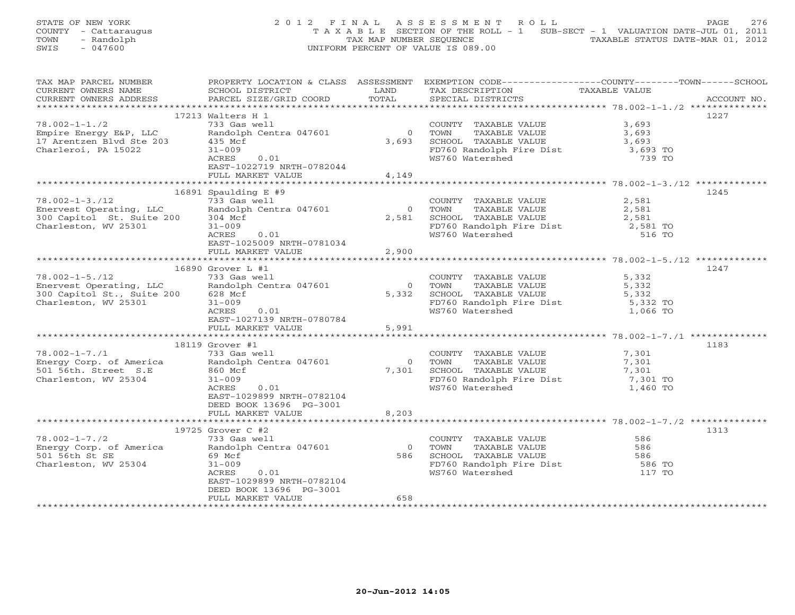STATE OF NEW YORK 2 0 1 2 F I N A L A S S E S S M E N T R O L L PAGE 276 COUNTY - Cattaraugus T A X A B L E SECTION OF THE ROLL - 1 SUB-SECT - 1 VALUATION DATE-JUL 01, 2011 TOWN - Randolph TAX MAP NUMBER SEQUENCE TAXABLE STATUS DATE-MAR 01, 2012<br>
SWIS - 047600<br>
TAXABLE STATUS DATE-MAR 01, 2012 SWIS - 047600 UNIFORM PERCENT OF VALUE IS 089.00

| TAX MAP PARCEL NUMBER                                                  |                              |                | PROPERTY LOCATION & CLASS ASSESSMENT EXEMPTION CODE---------------COUNTY-------TOWN------SCHOOL                              |                      |             |
|------------------------------------------------------------------------|------------------------------|----------------|------------------------------------------------------------------------------------------------------------------------------|----------------------|-------------|
| CURRENT OWNERS NAME                                                    | SCHOOL DISTRICT              | LAND           | TAX DESCRIPTION                                                                                                              | TAXABLE VALUE        |             |
| CURRENT OWNERS ADDRESS                                                 | PARCEL SIZE/GRID COORD TOTAL |                | SPECIAL DISTRICTS                                                                                                            |                      | ACCOUNT NO. |
|                                                                        |                              |                |                                                                                                                              |                      |             |
|                                                                        | 17213 Walters H 1            |                |                                                                                                                              |                      | 1227        |
| $78.002 - 1 - 1.72$                                                    | 733 Gas well                 |                |                                                                                                                              | 3,693                |             |
| Empire Energy E&P, LLC                                                 | Randolph Centra 047601       | $\overline{0}$ | COUNTY TAXABLE VALUE<br>TOWN      TAXABLE VALUE                                                                              | 3,693                |             |
| 17 Arentzen Blvd Ste 203                                               | 435 Mcf                      | 3,693          |                                                                                                                              |                      |             |
| Charleroi, PA 15022                                                    | $31 - 009$                   |                | SCHOOL TAXABLE VALUE 3,693<br>FD760 Randolph Fire Dist 3,693 TO                                                              |                      |             |
|                                                                        | ACRES<br>0.01                |                | WS760 Watershed                                                                                                              | 739 TO               |             |
|                                                                        | EAST-1022719 NRTH-0782044    |                |                                                                                                                              |                      |             |
|                                                                        | FULL MARKET VALUE            | 4,149          |                                                                                                                              |                      |             |
|                                                                        |                              |                |                                                                                                                              |                      |             |
|                                                                        | 16891 Spaulding $E$ #9       |                |                                                                                                                              |                      | 1245        |
| $78.002 - 1 - 3.712$                                                   | 733 Gas well                 |                | COUNTY TAXABLE VALUE                                                                                                         | 2,581                |             |
| Enervest Operating, LLC<br>300 Capitol St. Suite 200 304 Mcf           |                              |                | 0 TOWN<br>TAXABLE VALUE                                                                                                      | 2,581                |             |
|                                                                        |                              | 2,581          | SCHOOL TAXABLE VALUE                                                                                                         | 2,581                |             |
| Charleston, WV 25301                                                   | $31 - 009$                   |                |                                                                                                                              | 2,581 TO             |             |
|                                                                        | 0.01<br>ACRES                |                | FD760 Randolph Fire Dist<br>WS760 Watershed                                                                                  | 516 TO               |             |
|                                                                        | EAST-1025009 NRTH-0781034    |                |                                                                                                                              |                      |             |
|                                                                        | FULL MARKET VALUE            | 2,900          |                                                                                                                              |                      |             |
|                                                                        |                              |                |                                                                                                                              |                      |             |
|                                                                        | 16890 Grover L #1            |                |                                                                                                                              |                      | 1247        |
| $78.002 - 1 - 5.712$                                                   | 733 Gas well                 |                | COUNTY TAXABLE VALUE 5,332                                                                                                   |                      |             |
|                                                                        |                              |                |                                                                                                                              |                      |             |
| Enervest Operating, LLC Randolph<br>300 Capitol St., Suite 200 628 Mcf | Randolph Centra 047601       |                | $\begin{tabular}{cccc} 0 & TOWN & TAXABLE VALUE & & & & 5,332 \\ 5,332 & SCHOOL & TAXABLE VALUE & & & & 5,332 \end{tabular}$ |                      |             |
|                                                                        |                              |                |                                                                                                                              |                      |             |
| Charleston, WV 25301                                                   | $31 - 009$                   |                | FD760 Randolph Fire Dist<br>WS760 Watershed                                                                                  | 5,332 TO<br>1,066 TO |             |
|                                                                        | ACRES<br>0.01                |                |                                                                                                                              |                      |             |
|                                                                        | EAST-1027139 NRTH-0780784    |                |                                                                                                                              |                      |             |
|                                                                        | FULL MARKET VALUE            | 5,991          |                                                                                                                              |                      |             |
|                                                                        |                              |                |                                                                                                                              |                      |             |
|                                                                        | 18119 Grover #1              |                |                                                                                                                              |                      | 1183        |
| $78.002 - 1 - 7.71$                                                    | 733 Gas well                 |                | COUNTY TAXABLE VALUE                                                                                                         | 7,301                |             |
| Energy Corp. of America Randolph Centra 047601                         |                              | $\Omega$       | TOWN<br>TAXABLE VALUE                                                                                                        | 7,301                |             |
| 501 56th. Street S.E                                                   | 860 Mcf                      | 7,301          | SCHOOL TAXABLE VALUE                                                                                                         | 7,301                |             |
| Charleston, WV 25304                                                   | $31 - 009$                   |                | FD760 Randolph Fire Dist 7,301 TO<br>WS760 Watershed 1,460 TO                                                                |                      |             |
|                                                                        | ACRES<br>0.01                |                |                                                                                                                              |                      |             |
|                                                                        | EAST-1029899 NRTH-0782104    |                |                                                                                                                              |                      |             |
|                                                                        | DEED BOOK 13696 PG-3001      |                |                                                                                                                              |                      |             |
|                                                                        | FULL MARKET VALUE            | 8,203          |                                                                                                                              |                      |             |
|                                                                        |                              |                |                                                                                                                              |                      |             |
|                                                                        | 19725 Grover C #2            |                |                                                                                                                              |                      | 1313        |
| $78.002 - 1 - 7.72$                                                    | 733 Gas well                 |                | COUNTY TAXABLE VALUE 586                                                                                                     |                      |             |
| Energy Corp. of America Randolph Centra 047601                         |                              |                | 0 TOWN<br>TAXABLE VALUE                                                                                                      | 586                  |             |
| 501 56th St SE                                                         | 69 Mcf                       |                | 586 SCHOOL TAXABLE VALUE                                                                                                     | 586                  |             |
| Charleston, WV 25304                                                   | $31 - 009$                   |                | FD760 Randolph Fire Dist<br>WS760 Watershed                                                                                  | 586 TO               |             |
|                                                                        | ACRES<br>0.01                |                | WS760 Watershed                                                                                                              | 117 TO               |             |
|                                                                        | EAST-1029899 NRTH-0782104    |                |                                                                                                                              |                      |             |
|                                                                        | DEED BOOK 13696 PG-3001      |                |                                                                                                                              |                      |             |
|                                                                        | FULL MARKET VALUE            | 658            |                                                                                                                              |                      |             |
|                                                                        |                              |                |                                                                                                                              |                      |             |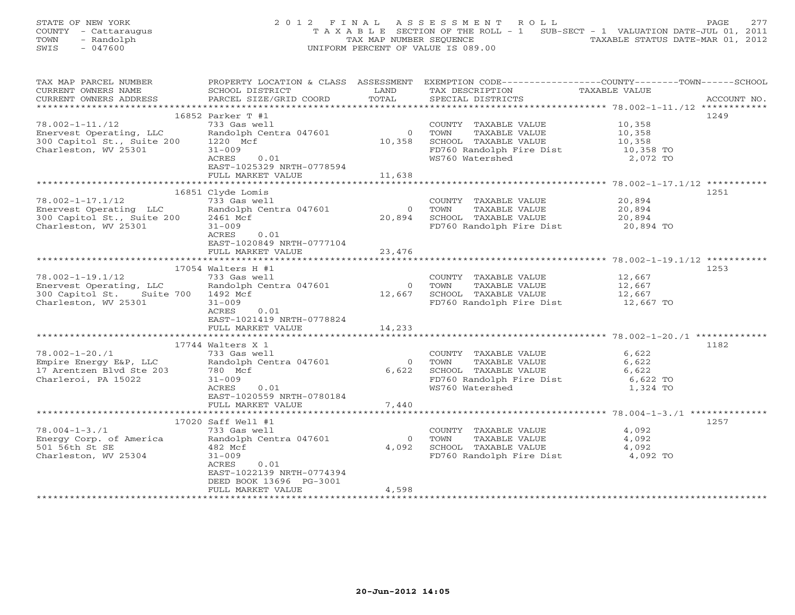| STATE OF NEW YORK    | 2012 FINAL ASSESSMENT ROLL                                                     | 2.77<br>PAGE                     |
|----------------------|--------------------------------------------------------------------------------|----------------------------------|
| COUNTY - Cattaraugus | T A X A B L E SECTION OF THE ROLL - 1 SUB-SECT - 1 VALUATION DATE-JUL 01, 2011 |                                  |
| TOWN<br>- Randolph   | TAX MAP NUMBER SEOUENCE                                                        | TAXABLE STATUS DATE-MAR 01, 2012 |
| SWIS<br>$-047600$    | UNIFORM PERCENT OF VALUE IS 089.00                                             |                                  |

| TAX MAP PARCEL NUMBER                              | PROPERTY LOCATION & CLASS ASSESSMENT |                | EXEMPTION CODE-----------------COUNTY-------TOWN------SCHOOL |               |             |
|----------------------------------------------------|--------------------------------------|----------------|--------------------------------------------------------------|---------------|-------------|
| CURRENT OWNERS NAME                                | SCHOOL DISTRICT                      | LAND           | TAX DESCRIPTION                                              | TAXABLE VALUE |             |
| CURRENT OWNERS ADDRESS                             | PARCEL SIZE/GRID COORD               | TOTAL          | SPECIAL DISTRICTS                                            |               | ACCOUNT NO. |
|                                                    |                                      |                |                                                              |               |             |
|                                                    | 16852 Parker T #1                    |                |                                                              |               | 1249        |
| $78.002 - 1 - 11. / 12$                            | 733 Gas well                         |                | COUNTY TAXABLE VALUE                                         | 10,358        |             |
| Enervest Operating, LLC                            | Randolph Centra 047601               | $\overline{0}$ | TOWN<br>TAXABLE VALUE                                        | 10,358        |             |
| 300 Capitol St., Suite 200                         | 1220 Mcf                             | 10,358         | SCHOOL TAXABLE VALUE                                         | 10,358        |             |
| Charleston, WV 25301                               | $31 - 009$                           |                | FD760 Randolph Fire Dist                                     | 10,358 TO     |             |
|                                                    | ACRES<br>0.01                        |                | WS760 Watershed                                              | 2,072 TO      |             |
|                                                    | EAST-1025329 NRTH-0778594            |                |                                                              |               |             |
|                                                    | FULL MARKET VALUE                    | 11,638         |                                                              |               |             |
|                                                    |                                      |                |                                                              |               |             |
|                                                    | 16851 Clyde Lomis                    |                |                                                              |               | 1251        |
| $78.002 - 1 - 17.1/12$                             | 733 Gas well                         |                | COUNTY TAXABLE VALUE                                         | 20,894        |             |
| Enervest Operating LLC                             | Randolph Centra 047601               | $\circ$        | TOWN<br>TAXABLE VALUE                                        | 20,894        |             |
| 300 Capitol St., Suite 200                         | 2461 Mcf                             | 20,894         | SCHOOL TAXABLE VALUE                                         | 20,894        |             |
|                                                    |                                      |                |                                                              |               |             |
| Charleston, WV 25301                               | $31 - 009$                           |                | FD760 Randolph Fire Dist 20,894 TO                           |               |             |
|                                                    | ACRES<br>0.01                        |                |                                                              |               |             |
|                                                    | EAST-1020849 NRTH-0777104            |                |                                                              |               |             |
|                                                    | FULL MARKET VALUE                    | 23,476         |                                                              |               |             |
|                                                    |                                      |                |                                                              |               |             |
|                                                    | $17054$ Walters H #1                 |                |                                                              |               | 1253        |
| $78.002 - 1 - 19.1/12$                             | 733 Gas well                         |                | COUNTY TAXABLE VALUE                                         | 12,667        |             |
| Enervest Operating, LLC                            | Randolph Centra 047601               | $\Omega$       | TAXABLE VALUE<br>TOWN                                        | 12,667        |             |
| Suite 700 1492 Mcf<br>300 Capitol St.              |                                      | 12,667         | SCHOOL TAXABLE VALUE                                         | 12,667        |             |
| Charleston, WV 25301                               | $31 - 009$                           |                | FD760 Randolph Fire Dist                                     | 12,667 TO     |             |
|                                                    | ACRES<br>0.01                        |                |                                                              |               |             |
|                                                    | EAST-1021419 NRTH-0778824            |                |                                                              |               |             |
|                                                    | FULL MARKET VALUE                    | 14,233         |                                                              |               |             |
|                                                    |                                      |                |                                                              |               |             |
|                                                    | 17744 Walters X 1                    |                |                                                              |               | 1182        |
| $78.002 - 1 - 20.71$                               | 733 Gas well                         |                | COUNTY TAXABLE VALUE                                         | 6,622         |             |
| Empire Energy E&P, LLC<br>17 Arentzen Blvd Ste 203 | Randolph Centra 047601               | $\overline{0}$ | TOWN<br>TAXABLE VALUE                                        | 6,622         |             |
|                                                    | 780 Mcf                              | 6,622          | SCHOOL TAXABLE VALUE                                         | 6,622         |             |
| Charleroi, PA 15022                                | $31 - 009$                           |                | FD760 Randolph Fire Dist                                     | 6,622 TO      |             |
|                                                    | ACRES<br>0.01                        |                | WS760 Watershed                                              | 1,324 TO      |             |
|                                                    | EAST-1020559 NRTH-0780184            |                |                                                              |               |             |
|                                                    | FULL MARKET VALUE                    | 7,440          |                                                              |               |             |
|                                                    |                                      |                |                                                              |               |             |
|                                                    | 17020 Saff Well #1                   |                |                                                              |               | 1257        |
| $78.004 - 1 - 3.71$                                | 733 Gas well                         |                | COUNTY TAXABLE VALUE                                         | 4,092         |             |
| Energy Corp. of America                            | Randolph Centra 047601               | $\Omega$       | TOWN<br>TAXABLE VALUE                                        | 4,092         |             |
| 501 56th St SE                                     | 482 Mcf                              | 4,092          | SCHOOL TAXABLE VALUE                                         | 4,092         |             |
| Charleston, WV 25304                               | $31 - 009$                           |                | FD760 Randolph Fire Dist                                     | 4,092 TO      |             |
|                                                    | ACRES<br>0.01                        |                |                                                              |               |             |
|                                                    | EAST-1022139 NRTH-0774394            |                |                                                              |               |             |
|                                                    | DEED BOOK 13696 PG-3001              |                |                                                              |               |             |
|                                                    | FULL MARKET VALUE                    | 4,598          |                                                              |               |             |
|                                                    |                                      |                |                                                              |               |             |
|                                                    |                                      |                |                                                              |               |             |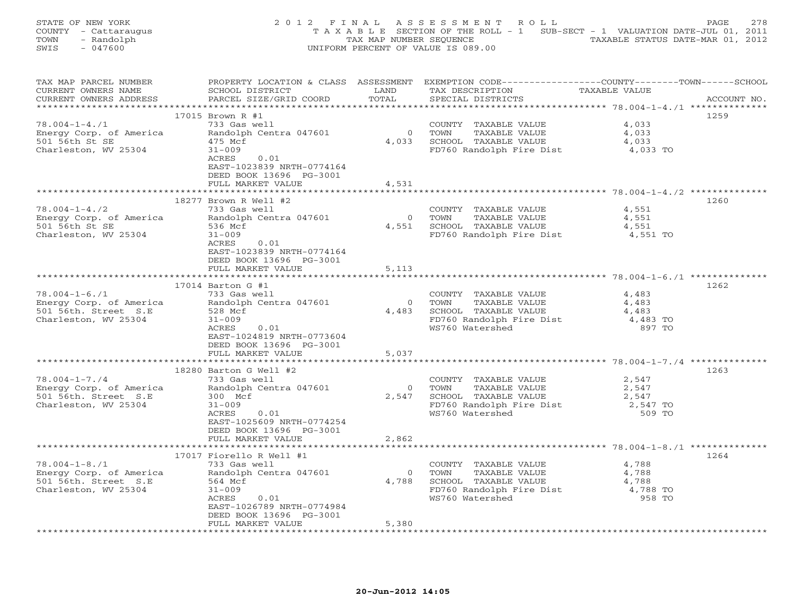| STATE OF NEW YORK    | 2012 FINAL ASSESSMENT ROLL                                                     | PAGE 278                         |
|----------------------|--------------------------------------------------------------------------------|----------------------------------|
| COUNTY - Cattaraugus | T A X A B L E SECTION OF THE ROLL - 1 SUB-SECT - 1 VALUATION DATE-JUL 01, 2011 |                                  |
| TOWN<br>- Randolph   | TAX MAP NUMBER SEOUENCE                                                        | TAXABLE STATUS DATE-MAR 01, 2012 |
| - 047600<br>SWIS     | UNIFORM PERCENT OF VALUE IS 089.00                                             |                                  |

| TAX MAP PARCEL NUMBER<br>CURRENT OWNERS NAME   | SCHOOL DISTRICT                                | LAND                          | PROPERTY LOCATION & CLASS ASSESSMENT EXEMPTION CODE--------------COUNTY-------TOWN------SCHOOL<br>TAX DESCRIPTION | TAXABLE VALUE  |             |
|------------------------------------------------|------------------------------------------------|-------------------------------|-------------------------------------------------------------------------------------------------------------------|----------------|-------------|
| CURRENT OWNERS ADDRESS                         | PARCEL SIZE/GRID COORD                         | TOTAL                         | SPECIAL DISTRICTS                                                                                                 |                | ACCOUNT NO. |
|                                                | 17015 Brown R #1                               |                               |                                                                                                                   |                | 1259        |
| $78.004 - 1 - 4.71$                            | 733 Gas well                                   |                               | COUNTY TAXABLE VALUE                                                                                              | 4,033          |             |
| Energy Corp. of America                        | Randolph Centra 047601                         | $\overline{0}$                | TOWN<br>TAXABLE VALUE                                                                                             | 4,033          |             |
| 501 56th St SE                                 | 475 Mcf                                        | 4,033                         | SCHOOL TAXABLE VALUE                                                                                              | 4,033          |             |
| Charleston, WV 25304                           | $31 - 009$                                     |                               | FD760 Randolph Fire Dist                                                                                          | 4,033 TO       |             |
|                                                | ACRES<br>0.01<br>EAST-1023839 NRTH-0774164     |                               |                                                                                                                   |                |             |
|                                                | DEED BOOK 13696 PG-3001                        |                               |                                                                                                                   |                |             |
|                                                | FULL MARKET VALUE                              | 4,531                         |                                                                                                                   |                |             |
|                                                |                                                |                               |                                                                                                                   |                |             |
|                                                | 18277 Brown R Well #2                          |                               |                                                                                                                   |                | 1260        |
| $78.004 - 1 - 4.72$                            | 733 Gas well                                   |                               | COUNTY TAXABLE VALUE                                                                                              | 4,551          |             |
| Energy Corp. of America                        | Randolph Centra 047601                         | $\overline{0}$                | TOWN<br>TAXABLE VALUE                                                                                             | 4,551          |             |
| 501 56th St SE                                 | 536 Mcf                                        |                               | 4,551 SCHOOL TAXABLE VALUE                                                                                        | 4,551          |             |
| Charleston, WV 25304                           | $31 - 009$                                     |                               | FD760 Randolph Fire Dist                                                                                          | 4,551 TO       |             |
|                                                | ACRES<br>0.01                                  |                               |                                                                                                                   |                |             |
|                                                | EAST-1023839 NRTH-0774164                      |                               |                                                                                                                   |                |             |
|                                                | DEED BOOK 13696 PG-3001                        |                               |                                                                                                                   |                |             |
|                                                | FULL MARKET VALUE<br>************************  | 5,113<br>******************** |                                                                                                                   |                |             |
|                                                |                                                |                               |                                                                                                                   |                |             |
|                                                | 17014 Barton G #1                              |                               |                                                                                                                   |                | 1262        |
| $78.004 - 1 - 6.71$<br>Energy Corp. of America | 733 Gas well<br>Randolph Centra 047601         | $\overline{0}$                | COUNTY TAXABLE VALUE<br>TAXABLE VALUE<br>TOWN                                                                     | 4,483<br>4,483 |             |
| 501 56th. Street S.E                           | 528 Mcf                                        | 4,483                         | SCHOOL TAXABLE VALUE                                                                                              | 4,483          |             |
| Charleston, WV 25304                           | $31 - 009$                                     |                               | FD760 Randolph Fire Dist                                                                                          | 4,483 TO       |             |
|                                                | ACRES 0.01                                     |                               | WS760 Watershed                                                                                                   | 897 TO         |             |
|                                                | EAST-1024819 NRTH-0773604                      |                               |                                                                                                                   |                |             |
|                                                | DEED BOOK 13696 PG-3001                        |                               |                                                                                                                   |                |             |
|                                                | FULL MARKET VALUE                              | 5,037                         |                                                                                                                   |                |             |
|                                                |                                                |                               |                                                                                                                   |                |             |
|                                                | 18280 Barton G Well #2                         |                               |                                                                                                                   |                | 1263        |
| $78.004 - 1 - 7.74$                            | 733 Gas well                                   |                               | COUNTY TAXABLE VALUE                                                                                              | 2,547          |             |
|                                                | Energy Corp. of America Randolph Centra 047601 | $\overline{0}$                | TAXABLE VALUE<br>TOWN                                                                                             | 2,547          |             |
| 501 56th. Street S.E                           | 300 Mcf                                        |                               | 2,547 SCHOOL TAXABLE VALUE                                                                                        | 2,547          |             |
| Charleston, WV 25304                           | $31 - 009$                                     |                               | FD760 Randolph Fire Dist                                                                                          | 2,547 TO       |             |
|                                                | ACRES<br>0.01                                  |                               | WS760 Watershed                                                                                                   | 509 TO         |             |
|                                                | EAST-1025609 NRTH-0774254                      |                               |                                                                                                                   |                |             |
|                                                | DEED BOOK 13696 PG-3001                        |                               |                                                                                                                   |                |             |
|                                                | FULL MARKET VALUE                              | 2,862                         |                                                                                                                   |                |             |
|                                                |                                                |                               |                                                                                                                   |                |             |
|                                                | 17017 Fiorello R Well #1                       |                               |                                                                                                                   |                | 1264        |
| $78.004 - 1 - 8.71$                            | 733 Gas well                                   |                               | COUNTY TAXABLE VALUE                                                                                              | 4,788          |             |
| Energy Corp. of America                        | Randolph Centra 047601                         |                               | 1.0www TAXABLE VALUE<br>4,788 SCHOOL TAXABLE VALUE                                                                | 4,788          |             |
| 501 56th. Street S.E                           | 564 Mcf                                        |                               |                                                                                                                   | 4,788          |             |
| Charleston, WV 25304                           | $31 - 009$                                     |                               | FD760 Randolph Fire Dist                                                                                          | 4,788 TO       |             |
|                                                | ACRES<br>0.01                                  |                               | WS760 Watershed                                                                                                   | 958 TO         |             |
|                                                | EAST-1026789 NRTH-0774984                      |                               |                                                                                                                   |                |             |
|                                                | DEED BOOK 13696 PG-3001                        |                               |                                                                                                                   |                |             |
|                                                | FULL MARKET VALUE                              | 5,380                         |                                                                                                                   |                |             |
|                                                |                                                |                               |                                                                                                                   |                |             |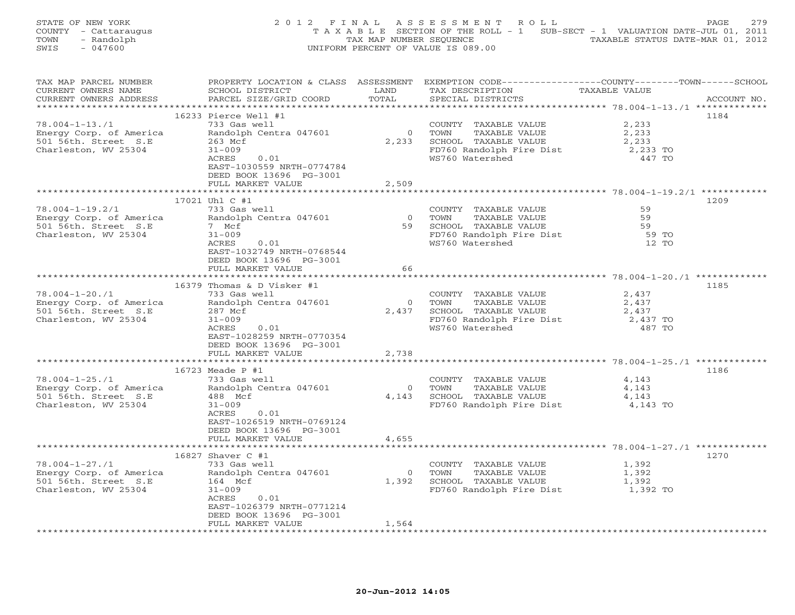| STATE OF NEW YORK    | 2012 FINAL ASSESSMENT ROLL                                                     | 2.79<br>PAGE.                    |
|----------------------|--------------------------------------------------------------------------------|----------------------------------|
| COUNTY - Cattaraugus | T A X A B L E SECTION OF THE ROLL - 1 SUB-SECT - 1 VALUATION DATE-JUL 01, 2011 |                                  |
| - Randolph<br>TOWN   | TAX MAP NUMBER SEOUENCE                                                        | TAXABLE STATUS DATE-MAR 01, 2012 |
| - 047600<br>SWIS     | UNIFORM PERCENT OF VALUE IS 089.00                                             |                                  |

| TAX MAP PARCEL NUMBER   | PROPERTY LOCATION & CLASS ASSESSMENT                 |                | EXEMPTION CODE-----------------COUNTY-------TOWN------SCHOOL |                                                  |             |  |
|-------------------------|------------------------------------------------------|----------------|--------------------------------------------------------------|--------------------------------------------------|-------------|--|
| CURRENT OWNERS NAME     | SCHOOL DISTRICT                                      | LAND           | TAX DESCRIPTION                                              | TAXABLE VALUE                                    |             |  |
| CURRENT OWNERS ADDRESS  | PARCEL SIZE/GRID COORD                               | TOTAL          | SPECIAL DISTRICTS                                            |                                                  | ACCOUNT NO. |  |
|                         |                                                      |                |                                                              | ****************** 78.004-1-13./1 ************** |             |  |
|                         | 16233 Pierce Well #1                                 |                |                                                              |                                                  | 1184        |  |
| $78.004 - 1 - 13.71$    | 733 Gas well                                         |                | COUNTY TAXABLE VALUE                                         | 2,233                                            |             |  |
| Energy Corp. of America | Randolph Centra 047601                               | $\overline{O}$ | TOWN<br>TAXABLE VALUE                                        | 2,233                                            |             |  |
| 501 56th. Street S.E    | 263 Mcf                                              | 2,233          | SCHOOL TAXABLE VALUE                                         | 2,233                                            |             |  |
| Charleston, WV 25304    | $31 - 009$                                           |                | FD760 Randolph Fire Dist                                     | 2,233 TO                                         |             |  |
|                         | 0.01<br>ACRES                                        |                | WS760 Watershed                                              | 447 TO                                           |             |  |
|                         | EAST-1030559 NRTH-0774784                            |                |                                                              |                                                  |             |  |
|                         | DEED BOOK 13696 PG-3001                              |                |                                                              |                                                  |             |  |
|                         |                                                      |                |                                                              |                                                  |             |  |
|                         | FULL MARKET VALUE                                    | 2,509          |                                                              |                                                  |             |  |
|                         |                                                      |                |                                                              |                                                  |             |  |
|                         | 17021 Uhl C #1                                       |                |                                                              |                                                  | 1209        |  |
| $78.004 - 1 - 19.2/1$   | 733 Gas well                                         |                | COUNTY TAXABLE VALUE                                         | 59                                               |             |  |
| Energy Corp. of America | Randolph Centra 047601                               | $\overline{0}$ | TAXABLE VALUE<br>TOWN                                        | 59                                               |             |  |
| 501 56th. Street S.E    | 7 Mcf                                                |                | 59 SCHOOL TAXABLE VALUE                                      | 59                                               |             |  |
| Charleston, WV 25304    | $31 - 009$                                           |                | FD760 Randolph Fire Dist                                     | 59 TO                                            |             |  |
|                         | ACRES<br>0.01                                        |                | WS760 Watershed                                              | 12 TO                                            |             |  |
|                         | EAST-1032749 NRTH-0768544                            |                |                                                              |                                                  |             |  |
|                         | DEED BOOK 13696 PG-3001                              |                |                                                              |                                                  |             |  |
|                         | FULL MARKET VALUE                                    | 66             |                                                              |                                                  |             |  |
|                         |                                                      |                |                                                              |                                                  |             |  |
|                         | 16379 Thomas & D Visker #1                           |                |                                                              |                                                  | 1185        |  |
| $78.004 - 1 - 20.71$    | 733 Gas well                                         |                | COUNTY TAXABLE VALUE                                         | 2,437                                            |             |  |
| Energy Corp. of America | Randolph Centra 047601                               |                | 0 TOWN<br>TAXABLE VALUE                                      | 2,437                                            |             |  |
| 501 56th. Street S.E    | 287 Mcf                                              | 2,437          | SCHOOL TAXABLE VALUE                                         | 2,437                                            |             |  |
| Charleston, WV 25304    | $31 - 009$                                           |                | FD760 Randolph Fire Dist                                     | 2,437 TO                                         |             |  |
|                         | 0.01<br>ACRES                                        |                | WS760 Watershed                                              | 487 TO                                           |             |  |
|                         | EAST-1028259 NRTH-0770354                            |                |                                                              |                                                  |             |  |
|                         | DEED BOOK 13696 PG-3001                              |                |                                                              |                                                  |             |  |
|                         | FULL MARKET VALUE                                    | 2,738          |                                                              |                                                  |             |  |
|                         |                                                      |                |                                                              |                                                  |             |  |
|                         | 16723 Meade P #1                                     |                |                                                              |                                                  | 1186        |  |
| $78.004 - 1 - 25.71$    | 733 Gas well                                         |                | COUNTY TAXABLE VALUE                                         | 4,143                                            |             |  |
|                         | Energy Corp. of America Randolph Centra 047601       | $\overline{0}$ | TAXABLE VALUE<br>TOWN                                        | 4,143                                            |             |  |
| 501 56th. Street S.E    | 488 Mcf                                              | 4,143          | SCHOOL TAXABLE VALUE                                         | 4,143                                            |             |  |
| Charleston, WV 25304    | $31 - 009$                                           |                | FD760 Randolph Fire Dist 4,143 TO                            |                                                  |             |  |
|                         | ACRES<br>0.01                                        |                |                                                              |                                                  |             |  |
|                         |                                                      |                |                                                              |                                                  |             |  |
|                         | EAST-1026519 NRTH-0769124<br>DEED BOOK 13696 PG-3001 |                |                                                              |                                                  |             |  |
|                         |                                                      |                |                                                              |                                                  |             |  |
|                         | FULL MARKET VALUE                                    | 4,655          |                                                              |                                                  |             |  |
|                         |                                                      |                |                                                              |                                                  |             |  |
|                         | 16827 Shaver C #1                                    |                |                                                              |                                                  | 1270        |  |
| $78.004 - 1 - 27.71$    | 733 Gas well                                         |                | COUNTY TAXABLE VALUE                                         | 1,392                                            |             |  |
| Energy Corp. of America | Randolph Centra 047601                               | $\overline{0}$ | TOWN      TAXABLE VALUE<br>SCHOOL   TAXABLE VALUE            | 1,392                                            |             |  |
| 501 56th. Street S.E    | 164 Mcf                                              | 1,392          |                                                              | 1,392                                            |             |  |
| Charleston, WV 25304    | $31 - 009$                                           |                | FD760 Randolph Fire Dist 1,392 TO                            |                                                  |             |  |
|                         | ACRES<br>0.01                                        |                |                                                              |                                                  |             |  |
|                         | EAST-1026379 NRTH-0771214                            |                |                                                              |                                                  |             |  |
|                         | DEED BOOK 13696 PG-3001                              |                |                                                              |                                                  |             |  |
|                         | FULL MARKET VALUE                                    | 1,564          |                                                              |                                                  |             |  |
|                         |                                                      |                |                                                              |                                                  |             |  |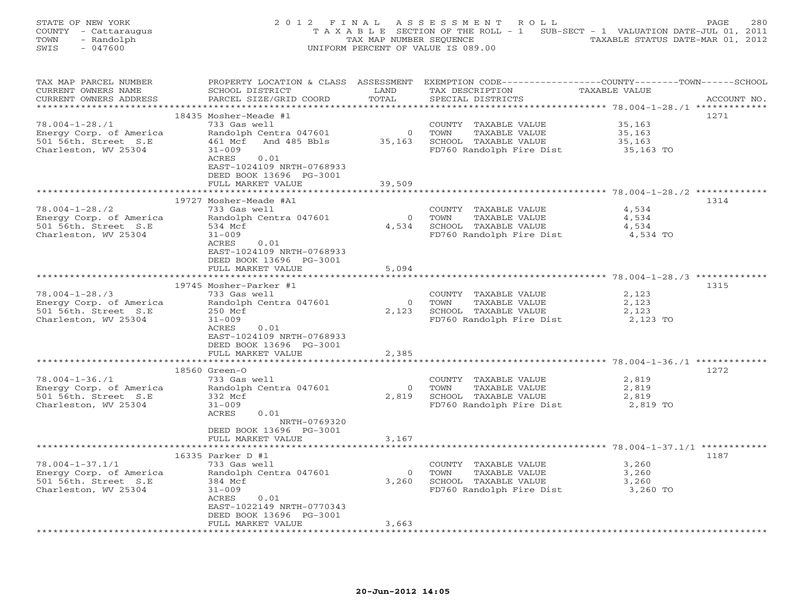|      | STATE OF NEW YORK    | 2012 FINAL ASSESSMENT ROLL                                                     | 280<br><b>PAGE</b>               |
|------|----------------------|--------------------------------------------------------------------------------|----------------------------------|
|      | COUNTY - Cattaraugus | T A X A B L E SECTION OF THE ROLL - 1 SUB-SECT - 1 VALUATION DATE-JUL 01, 2011 |                                  |
| TOWN | - Randolph           | TAX MAP NUMBER SEOUENCE                                                        | TAXABLE STATUS DATE-MAR 01, 2012 |
| SWIS | $-047600$            | UNIFORM PERCENT OF VALUE IS 089.00                                             |                                  |

| TAX MAP PARCEL NUMBER   | PROPERTY LOCATION & CLASS ASSESSMENT           |                     |                                    | EXEMPTION CODE-----------------COUNTY-------TOWN------SCHOOL |
|-------------------------|------------------------------------------------|---------------------|------------------------------------|--------------------------------------------------------------|
| CURRENT OWNERS NAME     | SCHOOL DISTRICT                                | LAND                | TAX DESCRIPTION                    | TAXABLE VALUE                                                |
| CURRENT OWNERS ADDRESS  | PARCEL SIZE/GRID COORD                         | TOTAL               | SPECIAL DISTRICTS                  | ACCOUNT NO.                                                  |
|                         |                                                |                     |                                    | ***************** 78.004-1-28./1 **************              |
|                         | 18435 Mosher-Meade #1                          |                     |                                    | 1271                                                         |
| $78.004 - 1 - 28.71$    | 733 Gas well                                   |                     | COUNTY TAXABLE VALUE               | 35,163                                                       |
| Energy Corp. of America | Randolph Centra 047601                         | $\overline{0}$      | TOWN<br>TAXABLE VALUE              | 35,163                                                       |
| 501 56th. Street S.E    | 461 Mcf And 485 Bbls                           | 35,163              | SCHOOL TAXABLE VALUE               | 35,163                                                       |
| Charleston, WV 25304    | $31 - 009$                                     |                     | FD760 Randolph Fire Dist           | 35,163 TO                                                    |
|                         | ACRES<br>0.01                                  |                     |                                    |                                                              |
|                         | EAST-1024109 NRTH-0768933                      |                     |                                    |                                                              |
|                         | DEED BOOK 13696 PG-3001                        |                     |                                    |                                                              |
|                         |                                                | 39,509              |                                    |                                                              |
|                         | FULL MARKET VALUE                              |                     |                                    |                                                              |
|                         |                                                |                     |                                    |                                                              |
|                         | 19727 Mosher-Meade #A1                         |                     |                                    | 1314                                                         |
| $78.004 - 1 - 28.72$    | 733 Gas well                                   |                     | COUNTY TAXABLE VALUE               | 4,534                                                        |
| Energy Corp. of America | Randolph Centra 047601                         | $\overline{0}$      | TOWN<br>TAXABLE VALUE              | 4,534                                                        |
| 501 56th. Street S.E    | 534 Mcf                                        | 4,534               | SCHOOL TAXABLE VALUE               | 4,534                                                        |
| Charleston, WV 25304    | $31 - 009$                                     |                     | FD760 Randolph Fire Dist           | 4,534 TO                                                     |
|                         | ACRES<br>0.01                                  |                     |                                    |                                                              |
|                         | EAST-1024109 NRTH-0768933                      |                     |                                    |                                                              |
|                         | DEED BOOK 13696 PG-3001                        |                     |                                    |                                                              |
|                         | FULL MARKET VALUE                              | 5,094               |                                    |                                                              |
|                         |                                                |                     |                                    |                                                              |
|                         | 19745 Mosher-Parker #1                         |                     |                                    | 1315                                                         |
| $78.004 - 1 - 28.73$    | 733 Gas well                                   |                     | COUNTY TAXABLE VALUE               | 2,123                                                        |
| Energy Corp. of America | Randolph Centra 047601                         | $\Omega$            | TAXABLE VALUE<br>TOWN              | 2,123                                                        |
| 501 56th. Street S.E    | 250 Mcf                                        | 2,123               | SCHOOL TAXABLE VALUE               | 2,123                                                        |
| Charleston, WV 25304    | $31 - 009$                                     |                     | FD760 Randolph Fire Dist           | 2,123 TO                                                     |
|                         | 0.01<br>ACRES                                  |                     |                                    |                                                              |
|                         | EAST-1024109 NRTH-0768933                      |                     |                                    |                                                              |
|                         | DEED BOOK 13696 PG-3001                        |                     |                                    |                                                              |
|                         | FULL MARKET VALUE                              | 2,385               |                                    |                                                              |
|                         | **********************                         |                     |                                    |                                                              |
|                         | 18560 Green-O                                  |                     |                                    | 1272                                                         |
| $78.004 - 1 - 36.71$    | 733 Gas well                                   |                     | COUNTY TAXABLE VALUE               | 2,819                                                        |
|                         |                                                |                     |                                    |                                                              |
|                         | Energy Corp. of America Randolph Centra 047601 | $\overline{0}$      | TOWN<br>TAXABLE VALUE              | 2,819                                                        |
| 501 56th. Street S.E    | 332 Mcf                                        | 2,819               | SCHOOL TAXABLE VALUE               | 2,819                                                        |
| Charleston, WV 25304    | $31 - 009$                                     |                     | FD760 Randolph Fire Dist 2,819 TO  |                                                              |
|                         | ACRES<br>0.01                                  |                     |                                    |                                                              |
|                         | NRTH-0769320                                   |                     |                                    |                                                              |
|                         | DEED BOOK 13696 PG-3001                        |                     |                                    |                                                              |
|                         | FULL MARKET VALUE                              | 3,167               |                                    |                                                              |
|                         | ********************                           | ******************* |                                    |                                                              |
|                         | 16335 Parker D #1                              |                     |                                    | 1187                                                         |
| $78.004 - 1 - 37.1/1$   | 733 Gas well                                   |                     | COUNTY TAXABLE VALUE               | 3,260                                                        |
| Energy Corp. of America | Randolph Centra 047601                         | $\Omega$            | SCHOOL TAXABLE VALUE<br>FD760 Pors | 3,260                                                        |
| 501 56th. Street S.E    | 384 Mcf                                        | 3,260               |                                    | 3,260                                                        |
| Charleston, WV 25304    | $31 - 009$                                     |                     | FD760 Randolph Fire Dist           | 3,260 TO                                                     |
|                         | ACRES<br>0.01                                  |                     |                                    |                                                              |
|                         | EAST-1022149 NRTH-0770343                      |                     |                                    |                                                              |
|                         | DEED BOOK 13696 PG-3001                        |                     |                                    |                                                              |
|                         | FULL MARKET VALUE                              | 3,663               |                                    |                                                              |
|                         |                                                |                     |                                    |                                                              |
|                         |                                                |                     |                                    |                                                              |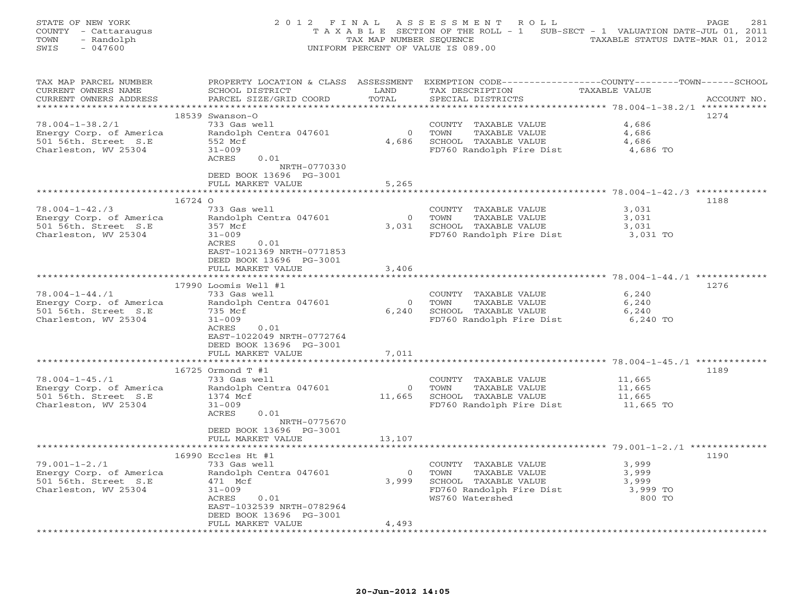| STATE OF NEW YORK<br>COUNTY - Cattaraugus<br>- Randolph<br>TOWN<br>SWIS<br>$-047600$                       | 2 0 1 2<br>FINAL                                                                                                                                                                         | TAX MAP NUMBER SEQUENCE       | ASSESSMENT<br>R O L L<br>T A X A B L E SECTION OF THE ROLL - 1 SUB-SECT - 1 VALUATION DATE-JUL 01, 2011<br>UNIFORM PERCENT OF VALUE IS 089.00 | TAXABLE STATUS DATE-MAR 01, 2012                     | 281<br>PAGE |
|------------------------------------------------------------------------------------------------------------|------------------------------------------------------------------------------------------------------------------------------------------------------------------------------------------|-------------------------------|-----------------------------------------------------------------------------------------------------------------------------------------------|------------------------------------------------------|-------------|
| TAX MAP PARCEL NUMBER<br>CURRENT OWNERS NAME<br>CURRENT OWNERS ADDRESS                                     | SCHOOL DISTRICT<br>PARCEL SIZE/GRID COORD                                                                                                                                                | LAND<br>TOTAL                 | PROPERTY LOCATION & CLASS ASSESSMENT EXEMPTION CODE---------------COUNTY-------TOWN-----SCHOOL<br>TAX DESCRIPTION<br>SPECIAL DISTRICTS        | TAXABLE VALUE                                        | ACCOUNT NO. |
| $78.004 - 1 - 38.2/1$<br>Energy Corp. of America<br>501 56th. Street S.E<br>Charleston, WV 25304           | $18539$ Swanson-O<br>733 Gas well<br>Randolph Centra 047601<br>552 Mcf<br>$31 - 009$<br>ACRES<br>0.01<br>NRTH-0770330                                                                    | $\circ$<br>4,686              | COUNTY TAXABLE VALUE<br>TOWN<br>TAXABLE VALUE<br>SCHOOL TAXABLE VALUE<br>FD760 Randolph Fire Dist                                             | 4,686<br>4,686<br>4,686<br>4,686 TO                  | 1274        |
|                                                                                                            | DEED BOOK 13696 PG-3001<br>FULL MARKET VALUE                                                                                                                                             | 5,265<br>* * * * * * *        |                                                                                                                                               | *********** 78.004-1-42./3 ************              |             |
| 16724 0<br>$78.004 - 1 - 42.73$<br>Energy Corp. of America<br>501 56th. Street S.E<br>Charleston, WV 25304 | 733 Gas well<br>Randolph Centra 047601<br>357 Mcf<br>$31 - 009$<br>ACRES<br>0.01<br>EAST-1021369 NRTH-0771853                                                                            | $\circ$<br>3,031              | COUNTY<br>TAXABLE VALUE<br>TOWN<br>TAXABLE VALUE<br>SCHOOL TAXABLE VALUE<br>FD760 Randolph Fire Dist                                          | 3,031<br>3,031<br>3,031<br>3,031 TO                  | 1188        |
|                                                                                                            | DEED BOOK 13696 PG-3001<br>FULL MARKET VALUE<br>*****************************                                                                                                            | 3,406                         |                                                                                                                                               |                                                      |             |
| $78.004 - 1 - 44.71$<br>Energy Corp. of America<br>501 56th. Street S.E<br>Charleston, WV 25304            | 17990 Loomis Well #1<br>733 Gas well<br>Randolph Centra 047601<br>735 Mcf<br>$31 - 009$<br>ACRES<br>0.01<br>EAST-1022049 NRTH-0772764<br>DEED BOOK 13696 PG-3001                         | $\circ$<br>6,240              | COUNTY TAXABLE VALUE<br>TOWN<br>TAXABLE VALUE<br>SCHOOL TAXABLE VALUE<br>FD760 Randolph Fire Dist                                             | 6,240<br>6,240<br>6,240<br>6,240 TO                  | 1276        |
|                                                                                                            | FULL MARKET VALUE<br>* * * * * * * * * * * * * * * * * * *                                                                                                                               | 7,011<br>*******************  |                                                                                                                                               |                                                      |             |
| $78.004 - 1 - 45.71$<br>Energy Corp. of America<br>501 56th. Street S.E<br>Charleston, WV 25304            | 16725 Ormond T #1<br>733 Gas well<br>Randolph Centra 047601<br>1374 Mcf<br>$31 - 009$<br>ACRES<br>0.01<br>NRTH-0775670                                                                   | $\overline{0}$<br>11,665      | COUNTY TAXABLE VALUE<br>TOWN<br>TAXABLE VALUE<br>SCHOOL TAXABLE VALUE<br>FD760 Randolph Fire Dist                                             | 11,665<br>11,665<br>11,665<br>11,665 TO              | 1189        |
|                                                                                                            | DEED BOOK 13696 PG-3001<br>FULL MARKET VALUE                                                                                                                                             | 13,107<br>* * * * * * * * * * |                                                                                                                                               | *********************** 79.001-1-2./1 ************** |             |
| $79.001 - 1 - 2.71$<br>Energy Corp. of America<br>501 56th. Street S.E<br>Charleston, WV 25304             | 16990 Eccles Ht #1<br>733 Gas well<br>Randolph Centra 047601<br>471 Mcf<br>$31 - 009$<br>ACRES<br>0.01<br>EAST-1032539 NRTH-0782964<br>DEED BOOK 13696 PG-3001<br>FULL MARKET VALUE<br>. | $\Omega$<br>3,999<br>4,493    | COUNTY TAXABLE VALUE<br>TOWN<br>TAXABLE VALUE<br>SCHOOL TAXABLE VALUE<br>FD760 Randolph Fire Dist<br>WS760 Watershed                          | 3,999<br>3,999<br>3,999<br>3,999 TO<br>800 TO        | 1190        |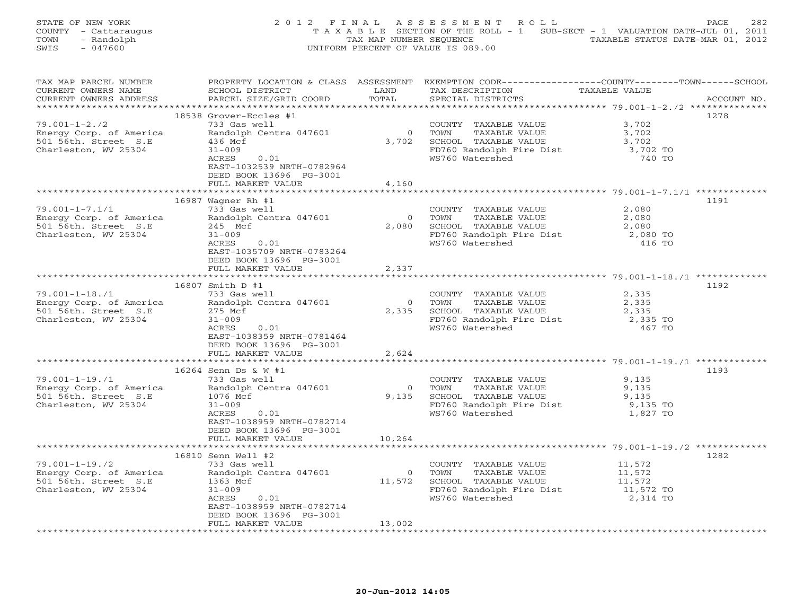| STATE OF NEW YORK    | 2012 FINAL ASSESSMENT ROLL                                                     | 282<br>PAGE.                     |
|----------------------|--------------------------------------------------------------------------------|----------------------------------|
| COUNTY - Cattaraugus | T A X A B L E SECTION OF THE ROLL - 1 SUB-SECT - 1 VALUATION DATE-JUL 01, 2011 |                                  |
| - Randolph<br>TOWN   | TAX MAP NUMBER SEOUENCE                                                        | TAXABLE STATUS DATE-MAR 01, 2012 |
| SWIS<br>- 047600     | UNIFORM PERCENT OF VALUE IS 089.00                                             |                                  |

| TAX MAP PARCEL NUMBER   | PROPERTY LOCATION & CLASS ASSESSMENT           |                | EXEMPTION CODE-----------------COUNTY-------TOWN------SCHOOL |                                          |             |
|-------------------------|------------------------------------------------|----------------|--------------------------------------------------------------|------------------------------------------|-------------|
| CURRENT OWNERS NAME     | SCHOOL DISTRICT                                | LAND           | TAX DESCRIPTION                                              | TAXABLE VALUE                            |             |
| CURRENT OWNERS ADDRESS  | PARCEL SIZE/GRID COORD                         | TOTAL          | SPECIAL DISTRICTS                                            |                                          | ACCOUNT NO. |
|                         |                                                |                |                                                              | ***************** 79.001-1-2./2 ******** |             |
|                         | 18538 Grover-Eccles #1                         |                |                                                              |                                          | 1278        |
| $79.001 - 1 - 2.72$     | 733 Gas well                                   |                | COUNTY TAXABLE VALUE                                         | 3,702                                    |             |
| Energy Corp. of America | Randolph Centra 047601                         | $\overline{0}$ | TAXABLE VALUE<br>TOWN                                        | 3,702                                    |             |
| 501 56th. Street S.E    | 436 Mcf                                        | 3,702          | SCHOOL TAXABLE VALUE                                         | 3,702                                    |             |
| Charleston, WV 25304    | $31 - 009$                                     |                |                                                              | 3,702 TO                                 |             |
|                         | 0.01<br>ACRES                                  |                | FD760 Randolph Fire Dist<br>WS760 Watershed                  | 740 TO                                   |             |
|                         |                                                |                |                                                              |                                          |             |
|                         | EAST-1032539 NRTH-0782964                      |                |                                                              |                                          |             |
|                         | DEED BOOK 13696 PG-3001                        |                |                                                              |                                          |             |
|                         | FULL MARKET VALUE                              | 4,160          |                                                              |                                          |             |
|                         |                                                |                |                                                              |                                          |             |
|                         | 16987 Wagner Rh #1                             |                |                                                              |                                          | 1191        |
| $79.001 - 1 - 7.1/1$    | 733 Gas well                                   |                | COUNTY TAXABLE VALUE                                         | 2,080                                    |             |
| Energy Corp. of America | Randolph Centra 047601                         | $\overline{0}$ | TOWN<br>TAXABLE VALUE                                        | 2,080                                    |             |
| 501 56th. Street S.E    | 245 Mcf                                        | 2,080          |                                                              | 2,080                                    |             |
| Charleston, WV 25304    | $31 - 009$                                     |                | SCHOOL TAXABLE VALUE<br>FD760 Randolph Fire Dist             | 2,080 TO                                 |             |
|                         | 0.01<br>ACRES                                  |                | WS760 Watershed                                              | 416 TO                                   |             |
|                         | EAST-1035709 NRTH-0783264                      |                |                                                              |                                          |             |
|                         | DEED BOOK 13696 PG-3001                        |                |                                                              |                                          |             |
|                         | FULL MARKET VALUE                              | 2,337          |                                                              |                                          |             |
|                         |                                                |                |                                                              |                                          |             |
|                         | 16807 Smith D #1                               |                |                                                              |                                          | 1192        |
| $79.001 - 1 - 18.71$    | 733 Gas well                                   |                | COUNTY TAXABLE VALUE                                         | 2,335                                    |             |
| Energy Corp. of America | Randolph Centra 047601                         |                | TAXABLE VALUE<br>0 TOWN                                      | 2,335                                    |             |
| 501 56th. Street S.E    | 275 Mcf                                        |                | 2,335 SCHOOL TAXABLE VALUE                                   | 2,335                                    |             |
| Charleston, WV 25304    | $31 - 009$                                     |                | FD760 Randolph Fire Dist 2,335 TO                            |                                          |             |
|                         | 0.01<br>ACRES                                  |                | WS760 Watershed                                              | 467 TO                                   |             |
|                         | EAST-1038359 NRTH-0781464                      |                |                                                              |                                          |             |
|                         | DEED BOOK 13696 PG-3001                        |                |                                                              |                                          |             |
|                         | FULL MARKET VALUE                              | 2,624          |                                                              |                                          |             |
|                         | ************************                       |                |                                                              |                                          |             |
|                         | 16264 Senn Ds & W #1                           |                |                                                              |                                          | 1193        |
| $79.001 - 1 - 19.71$    | 733 Gas well                                   |                | COUNTY TAXABLE VALUE                                         | 9,135                                    |             |
|                         | Energy Corp. of America Randolph Centra 047601 |                | TAXABLE VALUE<br>0 TOWN                                      | 9,135                                    |             |
| 501 56th. Street S.E    | 1076 Mcf                                       |                | 9,135 SCHOOL TAXABLE VALUE                                   | 9,135                                    |             |
|                         |                                                |                |                                                              |                                          |             |
| Charleston, WV 25304    | $31 - 009$                                     |                | FD760 Randolph Fire Dist 9,135 TO<br>WS760 Watershed         |                                          |             |
|                         | ACRES<br>0.01                                  |                |                                                              | 1,827 TO                                 |             |
|                         | EAST-1038959 NRTH-0782714                      |                |                                                              |                                          |             |
|                         | DEED BOOK 13696 PG-3001                        |                |                                                              |                                          |             |
|                         | FULL MARKET VALUE                              | 10,264         |                                                              |                                          |             |
|                         |                                                |                |                                                              |                                          |             |
|                         | 16810 Senn Well #2                             |                |                                                              |                                          | 1282        |
| $79.001 - 1 - 19.72$    | 733 Gas well                                   |                | COUNTY TAXABLE VALUE                                         | 11,572                                   |             |
|                         | Energy Corp. of America Randolph Centra 047601 | $\overline{0}$ | TOWN<br>TAXABLE VALUE                                        | 11,572                                   |             |
| 501 56th. Street S.E    | 1363 Mcf                                       |                | 11,572 SCHOOL TAXABLE VALUE                                  | 11,572                                   |             |
| Charleston, WV 25304    | $31 - 009$                                     |                | $FD760$ Randolph Fire Dist $11,572$ TO                       |                                          |             |
|                         | ACRES<br>0.01                                  |                | WS760 Watershed                                              | 2,314 TO                                 |             |
|                         | EAST-1038959 NRTH-0782714                      |                |                                                              |                                          |             |
|                         | DEED BOOK 13696 PG-3001                        |                |                                                              |                                          |             |
|                         | FULL MARKET VALUE                              | 13,002         |                                                              |                                          |             |
|                         |                                                |                |                                                              |                                          |             |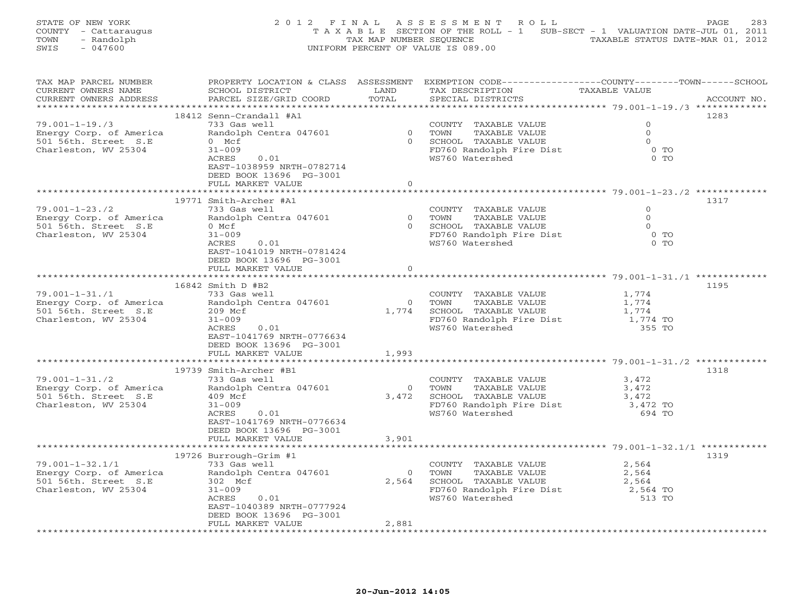| STATE OF NEW YORK    | 2012 FINAL ASSESSMENT ROLL                                                     | 283<br>PAGE.                     |
|----------------------|--------------------------------------------------------------------------------|----------------------------------|
| COUNTY - Cattaraugus | T A X A B L E SECTION OF THE ROLL - 1 SUB-SECT - 1 VALUATION DATE-JUL 01, 2011 |                                  |
| TOWN<br>- Randolph   | TAX MAP NUMBER SEOUENCE                                                        | TAXABLE STATUS DATE-MAR 01, 2012 |
| - 047600<br>SWIS     | UNIFORM PERCENT OF VALUE IS 089.00                                             |                                  |

| TAX MAP PARCEL NUMBER                           |                           |                | PROPERTY LOCATION & CLASS ASSESSMENT EXEMPTION CODE---------------COUNTY-------TOWN-----SCHOOL |                     |             |
|-------------------------------------------------|---------------------------|----------------|------------------------------------------------------------------------------------------------|---------------------|-------------|
| CURRENT OWNERS NAME                             | SCHOOL DISTRICT           | LAND           | TAX DESCRIPTION                                                                                | TAXABLE VALUE       |             |
| CURRENT OWNERS ADDRESS                          | PARCEL SIZE/GRID COORD    | TOTAL          | SPECIAL DISTRICTS                                                                              |                     | ACCOUNT NO. |
|                                                 |                           |                |                                                                                                |                     |             |
|                                                 | 18412 Senn-Crandall #A1   |                |                                                                                                |                     | 1283        |
| $79.001 - 1 - 19.73$                            | 733 Gas well              |                | COUNTY TAXABLE VALUE                                                                           | $\Omega$            |             |
| Energy Corp. of America                         | Randolph Centra 047601    |                | 0 TOWN<br>TAXABLE VALUE                                                                        | $\Omega$            |             |
| 501 56th. Street S.E                            | 0 Mcf                     |                | 0 SCHOOL TAXABLE VALUE                                                                         | $\Omega$            |             |
| Charleston, WV 25304                            | $31 - 009$                |                | FD760 Randolph Fire Dist                                                                       | $0$ TO              |             |
|                                                 | ACRES<br>0.01             |                | WS760 Watershed                                                                                | $0$ TO              |             |
|                                                 | EAST-1038959 NRTH-0782714 |                |                                                                                                |                     |             |
|                                                 | DEED BOOK 13696 PG-3001   |                |                                                                                                |                     |             |
|                                                 | FULL MARKET VALUE         | $\circ$        |                                                                                                |                     |             |
|                                                 |                           |                |                                                                                                |                     |             |
|                                                 | 19771 Smith-Archer #A1    |                |                                                                                                |                     | 1317        |
| $79.001 - 1 - 23.72$                            | 733 Gas well              |                | COUNTY TAXABLE VALUE                                                                           | $\Omega$            |             |
| Energy Corp. of America<br>501 56th. Street S.E | Randolph Centra 047601    |                | 0 TOWN<br>TAXABLE VALUE                                                                        | $\Omega$            |             |
|                                                 | $0$ Mcf                   |                |                                                                                                | $\Omega$            |             |
| Charleston, WV 25304                            | $31 - 009$                |                | 0 SCHOOL TAXABLE VALUE<br>FD760 Randolph Fire Dist                                             | $0$ TO              |             |
|                                                 | ACRES<br>0.01             |                | WS760 Watershed                                                                                | $0$ TO              |             |
|                                                 | EAST-1041019 NRTH-0781424 |                |                                                                                                |                     |             |
|                                                 | DEED BOOK 13696 PG-3001   |                |                                                                                                |                     |             |
|                                                 | FULL MARKET VALUE         | $\circ$        |                                                                                                |                     |             |
|                                                 |                           |                |                                                                                                |                     |             |
|                                                 | 16842 Smith D #B2         |                |                                                                                                |                     | 1195        |
| $79.001 - 1 - 31. / 1$                          | 733 Gas well              |                | COUNTY TAXABLE VALUE                                                                           | 1,774               |             |
| Energy Corp. of America                         | Randolph Centra 047601    |                | TAXABLE VALUE<br>0 TOWN                                                                        | $\frac{1}{1}$ , 774 |             |
| 501 56th. Street S.E                            | 209 Mcf                   |                | 1,774 SCHOOL TAXABLE VALUE                                                                     | 1,774               |             |
| Charleston, WV 25304                            | $31 - 009$<br>0.01        |                | FD760 Randolph Fire Dist 1,774 TO                                                              |                     |             |
|                                                 | ACRES                     |                | WS760 Watershed                                                                                | 355 TO              |             |
|                                                 | EAST-1041769 NRTH-0776634 |                |                                                                                                |                     |             |
|                                                 | DEED BOOK 13696 PG-3001   |                |                                                                                                |                     |             |
|                                                 | FULL MARKET VALUE         | 1,993          |                                                                                                |                     |             |
|                                                 |                           |                |                                                                                                |                     |             |
|                                                 | 19739 Smith-Archer #B1    |                |                                                                                                |                     | 1318        |
| $79.001 - 1 - 31.72$                            | 733 Gas well              | $\overline{O}$ | COUNTY TAXABLE VALUE                                                                           | 3,472               |             |
| Energy Corp. of America                         | Randolph Centra 047601    |                | TOWN<br>TAXABLE VALUE                                                                          | 3,472               |             |
| 501 56th. Street S.E                            | 409 Mcf<br>$31 - 009$     |                | 3,472 SCHOOL TAXABLE VALUE                                                                     | 3,472               |             |
| Charleston, WV 25304                            | ACRES<br>0.01             |                | FD760 Randolph Fire Dist 3,472 TO<br>WS760 Watershed                                           | 694 TO              |             |
|                                                 | EAST-1041769 NRTH-0776634 |                |                                                                                                |                     |             |
|                                                 | DEED BOOK 13696 PG-3001   |                |                                                                                                |                     |             |
|                                                 | FULL MARKET VALUE         | 3,901          |                                                                                                |                     |             |
|                                                 |                           |                |                                                                                                |                     |             |
|                                                 | 19726 Burrough-Grim #1    |                |                                                                                                |                     | 1319        |
| $79.001 - 1 - 32.1/1$                           | 733 Gas well              |                | COUNTY TAXABLE VALUE                                                                           | 2,564               |             |
| Energy Corp. of America                         | Randolph Centra 047601    |                |                                                                                                | 2,564               |             |
| 501 56th. Street S.E                            | 302 Mcf                   |                | 0 TOWN TAXABLE VALUE<br>2,564 SCHOOL TAXABLE VALUE                                             | 2,564               |             |
| Charleston, WV 25304                            | $31 - 009$                |                |                                                                                                | 2,564 TO            |             |
|                                                 | ACRES<br>0.01             |                | FD760 Randolph Fire Dist<br>WS760 Watershed<br>WS760 Watershed                                 | 513 TO              |             |
|                                                 | EAST-1040389 NRTH-0777924 |                |                                                                                                |                     |             |
|                                                 | DEED BOOK 13696 PG-3001   |                |                                                                                                |                     |             |
|                                                 | FULL MARKET VALUE         | 2,881          |                                                                                                |                     |             |
|                                                 |                           |                |                                                                                                |                     |             |
|                                                 |                           |                |                                                                                                |                     |             |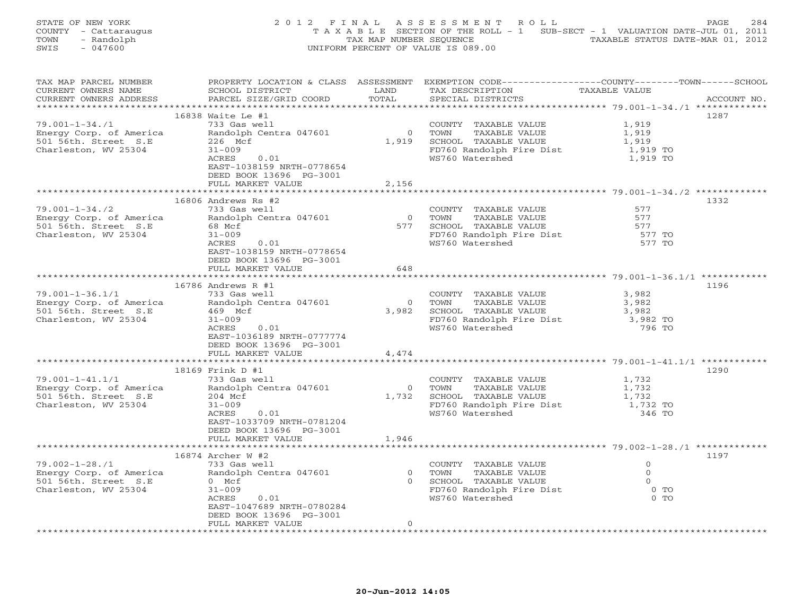| STATE OF NEW YORK    | 2012 FINAL ASSESSMENT ROLL                                                     | 284<br>PAGE.                     |
|----------------------|--------------------------------------------------------------------------------|----------------------------------|
| COUNTY - Cattaraugus | T A X A B L E SECTION OF THE ROLL - 1 SUB-SECT - 1 VALUATION DATE-JUL 01, 2011 |                                  |
| TOWN<br>- Randolph   | TAX MAP NUMBER SEOUENCE                                                        | TAXABLE STATUS DATE-MAR 01, 2012 |
| SWIS<br>$-047600$    | UNIFORM PERCENT OF VALUE IS 089.00                                             |                                  |

| TAX MAP PARCEL NUMBER                                                                                           |                            |         | PROPERTY LOCATION & CLASS ASSESSMENT EXEMPTION CODE----------------COUNTY-------TOWN------SCHOOL |                                                    |             |
|-----------------------------------------------------------------------------------------------------------------|----------------------------|---------|--------------------------------------------------------------------------------------------------|----------------------------------------------------|-------------|
| CURRENT OWNERS NAME                                                                                             | SCHOOL DISTRICT            | LAND    | TAX DESCRIPTION                                                                                  | TAXABLE VALUE                                      |             |
| CURRENT OWNERS ADDRESS                                                                                          | PARCEL SIZE/GRID COORD     | TOTAL   | SPECIAL DISTRICTS                                                                                |                                                    | ACCOUNT NO. |
|                                                                                                                 |                            |         |                                                                                                  | ******************** 79.001-1-34./1 ************** |             |
|                                                                                                                 | 16838 Waite Le #1          |         |                                                                                                  |                                                    | 1287        |
| $79.001 - 1 - 34.71$                                                                                            | 733 Gas well               |         | COUNTY TAXABLE VALUE                                                                             | 1,919                                              |             |
| Energy Corp. of America<br>501 56th. Street S.E                                                                 | Randolph Centra 047601     |         | 0 TOWN<br>TAXABLE VALUE                                                                          | 1,919                                              |             |
|                                                                                                                 | 226 Mcf                    |         | 1,919 SCHOOL TAXABLE VALUE                                                                       | 1,919                                              |             |
| Charleston, WV 25304                                                                                            | $31 - 009$                 |         | FD760 Randolph Fire Dist<br>WS760 Watershed                                                      | 1,919 TO                                           |             |
|                                                                                                                 | 0.01<br>ACRES              |         |                                                                                                  | 1,919 TO                                           |             |
|                                                                                                                 | EAST-1038159 NRTH-0778654  |         |                                                                                                  |                                                    |             |
|                                                                                                                 | DEED BOOK 13696 PG-3001    |         |                                                                                                  |                                                    |             |
|                                                                                                                 | FULL MARKET VALUE          | 2,156   |                                                                                                  |                                                    |             |
|                                                                                                                 |                            |         |                                                                                                  |                                                    |             |
|                                                                                                                 | 16806 Andrews Rs #2        |         |                                                                                                  |                                                    | 1332        |
| $79.001 - 1 - 34.72$                                                                                            | 733 Gas well               |         | COUNTY TAXABLE VALUE                                                                             | 577                                                |             |
|                                                                                                                 | Randolph Centra 047601     |         | 0 TOWN<br>TAXABLE VALUE                                                                          | 577                                                |             |
| Energy Corp. of America Randolp<br>501 56th. Street S.E 68 Mcf<br>Charleston, WV 25304 31-009                   |                            |         | 0 1000 1000 1000 0000 00000<br>577 SCHOOL TAXABLE VALUE<br>FD760 Randolph Fire Dist              | 577                                                |             |
| Charleston, WV 25304                                                                                            | $31 - 009$<br>0.01         |         |                                                                                                  | 577 TO                                             |             |
|                                                                                                                 | ACRES                      |         | WS760 Watershed                                                                                  | 577 TO                                             |             |
|                                                                                                                 | EAST-1038159 NRTH-0778654  |         |                                                                                                  |                                                    |             |
|                                                                                                                 | DEED BOOK 13696 PG-3001    |         |                                                                                                  |                                                    |             |
|                                                                                                                 | FULL MARKET VALUE          | 648     |                                                                                                  |                                                    |             |
|                                                                                                                 |                            |         |                                                                                                  |                                                    |             |
|                                                                                                                 | 16786 Andrews R #1         |         | COUNTY TAXABLE VALUE $\frac{3,982}{3,982}$                                                       |                                                    | 1196        |
| $79.001 - 1 - 36.1/1$                                                                                           | 733 Gas well               |         |                                                                                                  |                                                    |             |
|                                                                                                                 |                            |         | 0 TOWN                                                                                           |                                                    |             |
| Process Corp. of America<br>501 56th. Street S.E and Monder and Marieston, WV 25304 459 Mcf                     | 31-009<br>ACRES 0.01       |         | 3,982 SCHOOL TAXABLE VALUE                                                                       | 3,982                                              |             |
| Charleston, WV 25304                                                                                            |                            |         | $FD760$ Randolph Fire Dist<br>WS760 Watershed                                                    | 3,982 TO<br>796 TO                                 |             |
|                                                                                                                 | EAST-1036189 NRTH-0777774  |         |                                                                                                  |                                                    |             |
|                                                                                                                 | DEED BOOK 13696 PG-3001    |         |                                                                                                  |                                                    |             |
|                                                                                                                 | FULL MARKET VALUE          | 4,474   |                                                                                                  |                                                    |             |
|                                                                                                                 |                            |         |                                                                                                  |                                                    |             |
|                                                                                                                 | 18169 Frink D #1           |         |                                                                                                  |                                                    | 1290        |
|                                                                                                                 |                            |         |                                                                                                  |                                                    |             |
|                                                                                                                 |                            |         | COUNTY TAXABLE VALUE<br>TOWN     TAXABLE VALUE<br>0 TOWN                                         | 1,732<br>1,732                                     |             |
|                                                                                                                 |                            |         | 1,732 SCHOOL TAXABLE VALUE                                                                       | 1,732                                              |             |
| 79.001-1-41.1/1<br>Energy Corp. of America<br>For Esth Street S.E<br>204 Mcf<br>204 Mcf<br>Charleston, WV 25304 | $31 - 009$                 |         | FD760 Randolph Fire Dist 1,732 TO                                                                |                                                    |             |
|                                                                                                                 | ACRES<br>0.01              |         | WS760 Watershed                                                                                  | 346 TO                                             |             |
|                                                                                                                 | EAST-1033709 NRTH-0781204  |         |                                                                                                  |                                                    |             |
|                                                                                                                 | DEED BOOK 13696 PG-3001    |         |                                                                                                  |                                                    |             |
|                                                                                                                 | FULL MARKET VALUE          | 1,946   |                                                                                                  |                                                    |             |
|                                                                                                                 | ************************** |         |                                                                                                  |                                                    |             |
|                                                                                                                 | 16874 Archer W #2          |         |                                                                                                  |                                                    | 1197        |
| $79.002 - 1 - 28.71$                                                                                            | 733 Gas well               |         | COUNTY TAXABLE VALUE                                                                             | $\circ$                                            |             |
|                                                                                                                 |                            |         | 0 TOWN<br>TAXABLE VALUE                                                                          | $\Omega$                                           |             |
| Energy Corp. of America<br>501 56th. Street S.E           0 Mcf                                                 |                            |         | 0 SCHOOL TAXABLE VALUE                                                                           | $\overline{0}$                                     |             |
| Charleston, WV 25304                                                                                            | $31 - 009$                 |         | FD760 Randolph Fire Dist                                                                         | $0$ TO                                             |             |
|                                                                                                                 | 0.01<br>ACRES              |         | WS760 Watershed                                                                                  | $0$ TO                                             |             |
|                                                                                                                 | EAST-1047689 NRTH-0780284  |         |                                                                                                  |                                                    |             |
|                                                                                                                 | DEED BOOK 13696 PG-3001    |         |                                                                                                  |                                                    |             |
|                                                                                                                 | FULL MARKET VALUE          | $\circ$ |                                                                                                  |                                                    |             |
|                                                                                                                 |                            |         |                                                                                                  |                                                    |             |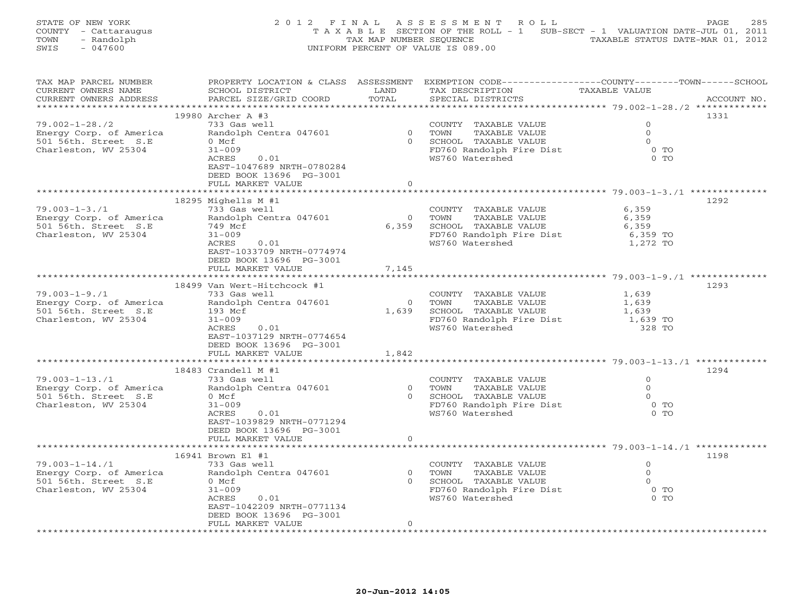| STATE OF NEW YORK    | 2012 FINAL ASSESSMENT ROLL                                                     | 285<br>PAGE.                     |
|----------------------|--------------------------------------------------------------------------------|----------------------------------|
| COUNTY - Cattaraugus | T A X A B L E SECTION OF THE ROLL - 1 SUB-SECT - 1 VALUATION DATE-JUL 01, 2011 |                                  |
| - Randolph<br>TOWN   | TAX MAP NUMBER SEOUENCE                                                        | TAXABLE STATUS DATE-MAR 01, 2012 |
| SWIS<br>- 047600     | UNIFORM PERCENT OF VALUE IS 089.00                                             |                                  |

| TAX MAP PARCEL NUMBER                                                                  |                                 |                | PROPERTY LOCATION & CLASS ASSESSMENT EXEMPTION CODE---------------COUNTY-------TOWN------SCHOOL |                |             |
|----------------------------------------------------------------------------------------|---------------------------------|----------------|-------------------------------------------------------------------------------------------------|----------------|-------------|
| CURRENT OWNERS NAME                                                                    | SCHOOL DISTRICT                 | LAND           | TAX DESCRIPTION                                                                                 |                |             |
| CURRENT OWNERS ADDRESS                                                                 | PARCEL SIZE/GRID COORD          | TOTAL          | SPECIAL DISTRICTS                                                                               |                | ACCOUNT NO. |
|                                                                                        |                                 |                |                                                                                                 |                |             |
|                                                                                        | 19980 Archer A #3               |                |                                                                                                 |                | 1331        |
| $79.002 - 1 - 28.72$                                                                   | 733 Gas well                    |                | COUNTY TAXABLE VALUE                                                                            | $\Omega$       |             |
| Energy Corp. of America                                                                | Randolph Centra 047601          |                |                                                                                                 | $\Omega$       |             |
|                                                                                        |                                 |                |                                                                                                 | $\bigcirc$     |             |
| 501 56th. Street S.E                                                                   | 0 Mcf                           |                |                                                                                                 |                |             |
| Charleston, WV 25304                                                                   | $31 - 009$                      |                | 0 TOWN TAXABLE VALUE<br>0 SCHOOL TAXABLE VALUE<br>FD760 Randolph Fire Dist                      | 0 <sub>T</sub> |             |
|                                                                                        | 0.01<br>ACRES                   |                | WS760 Watershed                                                                                 | $0$ TO         |             |
|                                                                                        | EAST-1047689 NRTH-0780284       |                |                                                                                                 |                |             |
|                                                                                        | DEED BOOK 13696 PG-3001         |                |                                                                                                 |                |             |
|                                                                                        | FULL MARKET VALUE               | $\Omega$       |                                                                                                 |                |             |
|                                                                                        |                                 |                |                                                                                                 |                |             |
|                                                                                        | 18295 Mighells $M$ #1           |                |                                                                                                 |                | 1292        |
| $79.003 - 1 - 3.71$                                                                    | 733 Gas well                    |                | COUNTY TAXABLE VALUE                                                                            | 6,359          |             |
| Phergy Corp. of America<br>501 56th. Street S.E 749 Mcf<br>Charleston, WV 25304 31-009 | Randolph Centra 047601          |                | 0 TOWN<br>TAXABLE VALUE                                                                         | 6,359          |             |
|                                                                                        |                                 |                | 6,359 SCHOOL TAXABLE VALUE 6,359<br>FD760 Randolph Fire Dist 6,359 TO                           |                |             |
| Charleston, WV 25304                                                                   | $31 - 009$                      |                |                                                                                                 |                |             |
|                                                                                        | ACRES 0.01                      |                | WS760 Watershed                                                                                 |                |             |
|                                                                                        |                                 |                |                                                                                                 | 1,272 TO       |             |
|                                                                                        | EAST-1033709 NRTH-0774974       |                |                                                                                                 |                |             |
|                                                                                        | DEED BOOK 13696 PG-3001         |                |                                                                                                 |                |             |
|                                                                                        | FULL MARKET VALUE               | 7,145          |                                                                                                 |                |             |
|                                                                                        |                                 |                |                                                                                                 |                |             |
|                                                                                        | 18499 Van Wert-Hitchcock #1     |                |                                                                                                 |                | 1293        |
| $79.003 - 1 - 9.71$                                                                    | 733 Gas well                    |                |                                                                                                 |                |             |
|                                                                                        | Randolph Centra 047601          |                | COUNTY TAXABLE VALUE $1,639$<br>TOWN TAXABLE VALUE $1,639$<br>0 TOWN<br>TAXABLE VALUE           |                |             |
| Energy Corp. of America<br>501 56th. Street S.E<br>Charleston, WV 25304                | 193 Mcf<br>31-009<br>ACRES 0.01 |                | 1,639 SCHOOL TAXABLE VALUE 1,639<br>FD760 Randolph Fire Dist 1,639 TO                           |                |             |
| Charleston, WV 25304                                                                   |                                 |                |                                                                                                 |                |             |
|                                                                                        |                                 |                | WS760 Watershed                                                                                 | 328 TO         |             |
|                                                                                        | EAST-1037129 NRTH-0774654       |                |                                                                                                 |                |             |
|                                                                                        | DEED BOOK 13696 PG-3001         |                |                                                                                                 |                |             |
|                                                                                        |                                 |                |                                                                                                 |                |             |
|                                                                                        | FULL MARKET VALUE               | 1,842          |                                                                                                 |                |             |
|                                                                                        |                                 |                |                                                                                                 |                |             |
|                                                                                        | 18483 Crandell M #1             |                |                                                                                                 |                | 1294        |
| $79.003 - 1 - 13.71$                                                                   | 733 Gas well                    |                | COUNTY TAXABLE VALUE                                                                            | $\Omega$       |             |
| Energy Corp. of America                                                                | Randolph Centra 047601 0 TOWN   |                | TAXABLE VALUE                                                                                   | $\Omega$       |             |
| 501 56th. Street S.E                                                                   | 0 Mcf                           |                | 0 SCHOOL TAXABLE VALUE                                                                          | $\circ$        |             |
| Charleston, WV 25304                                                                   | $31 - 009$                      |                | FD760 Randolph Fire Dist 6 0 TO                                                                 |                |             |
|                                                                                        | 0.01<br>ACRES                   |                | WS760 Watershed                                                                                 | $0$ TO         |             |
|                                                                                        | EAST-1039829 NRTH-0771294       |                |                                                                                                 |                |             |
|                                                                                        | DEED BOOK 13696 PG-3001         |                |                                                                                                 |                |             |
|                                                                                        | FULL MARKET VALUE               | $\overline{O}$ |                                                                                                 |                |             |
|                                                                                        | ***********************         |                |                                                                                                 |                |             |
|                                                                                        | 16941 Brown El #1               |                |                                                                                                 |                | 1198        |
|                                                                                        |                                 |                |                                                                                                 |                |             |
| $79.003 - 1 - 14.71$                                                                   | 733 Gas well                    |                | COUNTY TAXABLE VALUE                                                                            | $\overline{0}$ |             |
| Energy Corp. of America                                                                | Randolph Centra 047601 0 TOWN   |                | TAXABLE VALUE                                                                                   | $\Omega$       |             |
| 501 56th. Street S.E                                                                   | 0 Mcf                           |                | 0 SCHOOL TAXABLE VALUE                                                                          | $\overline{0}$ |             |
| Charleston, WV 25304                                                                   | $31 - 009$                      |                | FD760 Randolph Fire Dist 0 TO                                                                   |                |             |
|                                                                                        | 0.01<br>ACRES                   |                | WS760 Watershed                                                                                 | $0$ TO         |             |
|                                                                                        | EAST-1042209 NRTH-0771134       |                |                                                                                                 |                |             |
|                                                                                        | DEED BOOK 13696 PG-3001         |                |                                                                                                 |                |             |
|                                                                                        | FULL MARKET VALUE               | $\Omega$       |                                                                                                 |                |             |
|                                                                                        |                                 |                |                                                                                                 |                |             |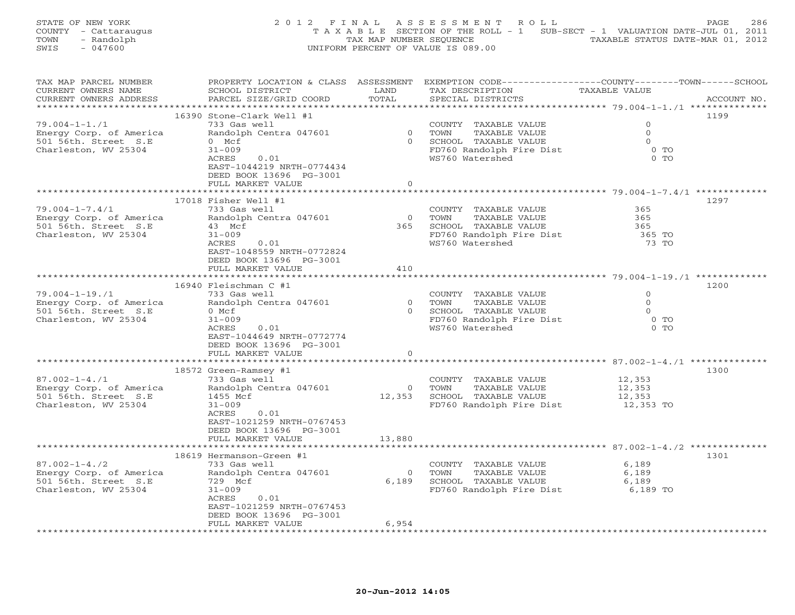| STATE OF NEW YORK    | 2012 FINAL ASSESSMENT ROLL                                                     | PAGE. | 286 |
|----------------------|--------------------------------------------------------------------------------|-------|-----|
| COUNTY - Cattaraugus | T A X A B L E SECTION OF THE ROLL - 1 SUB-SECT - 1 VALUATION DATE-JUL 01, 2011 |       |     |
| - Randolph<br>TOWN   | TAXABLE STATUS DATE-MAR 01, 2012<br>TAX MAP NUMBER SEOUENCE                    |       |     |
| - 047600<br>SWIS     | UNIFORM PERCENT OF VALUE IS 089.00                                             |       |     |

| TAX MAP PARCEL NUMBER<br>CURRENT OWNERS NAME    | SCHOOL DISTRICT                    | LAND           | PROPERTY LOCATION & CLASS ASSESSMENT EXEMPTION CODE---------------COUNTY-------TOWN------SCHOOL<br>TAX DESCRIPTION | TAXABLE VALUE    |             |
|-------------------------------------------------|------------------------------------|----------------|--------------------------------------------------------------------------------------------------------------------|------------------|-------------|
| CURRENT OWNERS ADDRESS                          | PARCEL SIZE/GRID COORD             | TOTAL          | SPECIAL DISTRICTS                                                                                                  |                  | ACCOUNT NO. |
|                                                 | 16390 Stone-Clark Well #1          |                |                                                                                                                    |                  | 1199        |
| $79.004 - 1 - 1.71$                             | 733 Gas well                       |                | COUNTY TAXABLE VALUE                                                                                               | $\Omega$         |             |
| Energy Corp. of America                         | Randolph Centra 047601             | $\overline{0}$ | TOWN<br>TAXABLE VALUE                                                                                              | $\circ$          |             |
| 501 56th. Street S.E                            | $0$ Mcf                            | $\Omega$       | SCHOOL TAXABLE VALUE                                                                                               | $\Omega$         |             |
| Charleston, WV 25304                            | $31 - 009$                         |                | FD760 Randolph Fire Dist                                                                                           | $0$ TO           |             |
|                                                 | 0.01<br>ACRES                      |                | WS760 Watershed                                                                                                    | $0$ TO           |             |
|                                                 | EAST-1044219 NRTH-0774434          |                |                                                                                                                    |                  |             |
|                                                 | DEED BOOK 13696 PG-3001            |                |                                                                                                                    |                  |             |
|                                                 | FULL MARKET VALUE                  | $\circ$        |                                                                                                                    |                  |             |
|                                                 |                                    |                |                                                                                                                    |                  |             |
|                                                 | 17018 Fisher Well #1               |                |                                                                                                                    |                  | 1297        |
| $79.004 - 1 - 7.4/1$                            | 733 Gas well                       |                | COUNTY TAXABLE VALUE                                                                                               | 365              |             |
| Energy Corp. of America                         | Randolph Centra 047601             | $\overline{0}$ | TOWN<br>TAXABLE VALUE                                                                                              | 365              |             |
| 501 56th. Street S.E                            | 43 Mcf                             | 365            | SCHOOL TAXABLE VALUE                                                                                               | 365              |             |
| Charleston, WV 25304                            | $31 - 009$                         |                | FD760 Randolph Fire Dist                                                                                           | 365 TO           |             |
|                                                 | ACRES<br>0.01                      |                | WS760 Watershed                                                                                                    | 73 TO            |             |
|                                                 | EAST-1048559 NRTH-0772824          |                |                                                                                                                    |                  |             |
|                                                 | DEED BOOK 13696 PG-3001            |                |                                                                                                                    |                  |             |
|                                                 | FULL MARKET VALUE                  | 410            |                                                                                                                    |                  |             |
|                                                 |                                    |                |                                                                                                                    |                  |             |
|                                                 | 16940 Fleischman C #1              |                |                                                                                                                    |                  | 1200        |
| $79.004 - 1 - 19.71$                            | 733 Gas well                       |                | COUNTY TAXABLE VALUE                                                                                               | $\circ$          |             |
| Energy Corp. of America                         | Randolph Centra 047601             | $\overline{0}$ | TOWN<br>TAXABLE VALUE                                                                                              | $\Omega$         |             |
| 501 56th. Street S.E                            | $0$ Mcf                            |                | 0 SCHOOL TAXABLE VALUE                                                                                             | $\Omega$         |             |
| Charleston, WV 25304                            | $31 - 009$                         |                | FD760 Randolph Fire Dist                                                                                           | $0$ TO           |             |
|                                                 | ACRES<br>0.01                      |                | WS760 Watershed                                                                                                    | $0$ TO           |             |
|                                                 | EAST-1044649 NRTH-0772774          |                |                                                                                                                    |                  |             |
|                                                 | DEED BOOK 13696 PG-3001            |                |                                                                                                                    |                  |             |
|                                                 | FULL MARKET VALUE                  | $\mathbf{0}$   |                                                                                                                    |                  |             |
|                                                 |                                    |                |                                                                                                                    |                  |             |
|                                                 | 18572 Green-Ramsey #1              |                |                                                                                                                    |                  | 1300        |
| $87.002 - 1 - 4.71$                             | 733 Gas well                       |                | COUNTY TAXABLE VALUE<br>0 TOWN                                                                                     | 12,353           |             |
| Energy Corp. of America<br>501 56th. Street S.E | Randolph Centra 047601<br>1455 Mcf |                | TAXABLE VALUE<br>12,353 SCHOOL TAXABLE VALUE                                                                       | 12,353<br>12,353 |             |
| Charleston, WV 25304                            | $31 - 009$                         |                | FD760 Randolph Fire Dist 12,353 TO                                                                                 |                  |             |
|                                                 | ACRES<br>0.01                      |                |                                                                                                                    |                  |             |
|                                                 | EAST-1021259 NRTH-0767453          |                |                                                                                                                    |                  |             |
|                                                 | DEED BOOK 13696 PG-3001            |                |                                                                                                                    |                  |             |
|                                                 | FULL MARKET VALUE                  | 13,880         |                                                                                                                    |                  |             |
|                                                 | ********************               |                |                                                                                                                    |                  |             |
|                                                 | 18619 Hermanson-Green #1           |                |                                                                                                                    |                  | 1301        |
| $87.002 - 1 - 4.72$                             | 733 Gas well                       |                | COUNTY TAXABLE VALUE                                                                                               | 6,189            |             |
| Energy Corp. of America                         | Randolph Centra 047601             | $\Omega$       | TOWN<br>TAXABLE VALUE                                                                                              | 6,189            |             |
| 501 56th. Street S.E                            | 729 Mcf                            | 6,189          | SCHOOL TAXABLE VALUE                                                                                               | 6,189            |             |
| Charleston, WV 25304                            | $31 - 009$                         |                | FD760 Randolph Fire Dist 6,189 TO                                                                                  |                  |             |
|                                                 | ACRES<br>0.01                      |                |                                                                                                                    |                  |             |
|                                                 | EAST-1021259 NRTH-0767453          |                |                                                                                                                    |                  |             |
|                                                 | DEED BOOK 13696 PG-3001            |                |                                                                                                                    |                  |             |
|                                                 | FULL MARKET VALUE                  | 6,954          |                                                                                                                    |                  |             |
|                                                 |                                    |                |                                                                                                                    |                  |             |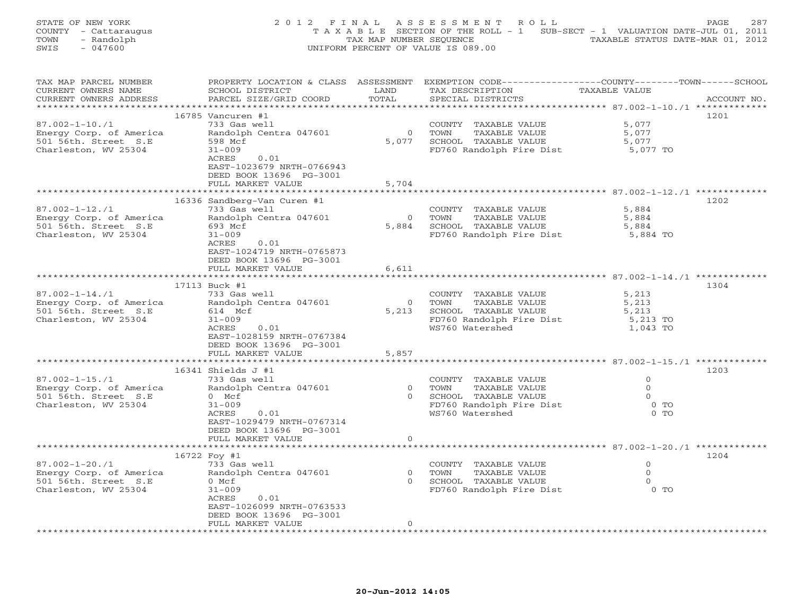| STATE OF NEW YORK    | 2012 FINAL ASSESSMENT ROLL                                                     | 2.87<br>PAGE.                    |
|----------------------|--------------------------------------------------------------------------------|----------------------------------|
| COUNTY - Cattaraugus | T A X A B L E SECTION OF THE ROLL - 1 SUB-SECT - 1 VALUATION DATE-JUL 01, 2011 |                                  |
| TOWN<br>- Randolph   | TAX MAP NUMBER SEOUENCE                                                        | TAXABLE STATUS DATE-MAR 01, 2012 |
| SWIS<br>- 047600     | UNIFORM PERCENT OF VALUE IS 089.00                                             |                                  |

| TAX MAP PARCEL NUMBER                        |                                            |                | PROPERTY LOCATION & CLASS ASSESSMENT EXEMPTION CODE---------------COUNTY-------TOWN------SCHOOL |                   |             |
|----------------------------------------------|--------------------------------------------|----------------|-------------------------------------------------------------------------------------------------|-------------------|-------------|
| CURRENT OWNERS NAME                          | SCHOOL DISTRICT                            | LAND           | TAX DESCRIPTION                                                                                 | TAXABLE VALUE     |             |
| CURRENT OWNERS ADDRESS                       | PARCEL SIZE/GRID COORD                     | TOTAL          | SPECIAL DISTRICTS                                                                               |                   | ACCOUNT NO. |
|                                              |                                            |                |                                                                                                 |                   |             |
|                                              | 16785 Vancuren #1                          |                |                                                                                                 |                   | 1201        |
| $87.002 - 1 - 10.71$                         | 733 Gas well                               |                | COUNTY TAXABLE VALUE                                                                            | 5,077             |             |
| Energy Corp. of America                      | Randolph Centra 047601                     | $\overline{0}$ | TOWN<br>TAXABLE VALUE                                                                           | 5,077             |             |
| 501 56th. Street S.E                         | 598 Mcf                                    | 5,077          | SCHOOL TAXABLE VALUE                                                                            | 5,077             |             |
| Charleston, WV 25304                         | $31 - 009$                                 |                | FD760 Randolph Fire Dist                                                                        | 5,077 TO          |             |
|                                              | 0.01<br>ACRES                              |                |                                                                                                 |                   |             |
|                                              | EAST-1023679 NRTH-0766943                  |                |                                                                                                 |                   |             |
|                                              | DEED BOOK 13696 PG-3001                    |                |                                                                                                 |                   |             |
|                                              | FULL MARKET VALUE                          | 5,704          |                                                                                                 |                   |             |
|                                              |                                            |                |                                                                                                 |                   |             |
|                                              | 16336 Sandberg-Van Curen #1                |                |                                                                                                 |                   | 1202        |
| $87.002 - 1 - 12.71$                         | 733 Gas well                               | $\overline{0}$ | COUNTY TAXABLE VALUE                                                                            | 5,884             |             |
| Energy Corp. of America                      | Randolph Centra 047601                     |                | TAXABLE VALUE<br>TOWN                                                                           | 5,884             |             |
| 501 56th. Street S.E<br>Charleston, WV 25304 | 693 Mcf<br>$31 - 009$                      | 5,884          | SCHOOL TAXABLE VALUE                                                                            | 5,884<br>5,884 TO |             |
|                                              | ACRES<br>0.01                              |                | FD760 Randolph Fire Dist                                                                        |                   |             |
|                                              | EAST-1024719 NRTH-0765873                  |                |                                                                                                 |                   |             |
|                                              | DEED BOOK 13696 PG-3001                    |                |                                                                                                 |                   |             |
|                                              | FULL MARKET VALUE                          | 6,611          |                                                                                                 |                   |             |
|                                              |                                            |                |                                                                                                 |                   |             |
|                                              | 17113 Buck #1                              |                |                                                                                                 |                   | 1304        |
| $87.002 - 1 - 14.71$                         | 733 Gas well                               |                | COUNTY TAXABLE VALUE                                                                            | 5,213             |             |
| Energy Corp. of America                      | Randolph Centra 047601                     | $\overline{0}$ | TOWN<br>TAXABLE VALUE                                                                           | 5,213             |             |
| 501 56th. Street S.E                         | 614 Mcf                                    | 5,213          | SCHOOL TAXABLE VALUE                                                                            | 5,213             |             |
| Charleston, WV 25304                         | $31 - 009$                                 |                | FD760 Randolph Fire Dist                                                                        | 5,213 TO          |             |
|                                              | ACRES<br>0.01                              |                | WS760 Watershed                                                                                 | 1,043 TO          |             |
|                                              | EAST-1028159 NRTH-0767384                  |                |                                                                                                 |                   |             |
|                                              | DEED BOOK 13696 PG-3001                    |                |                                                                                                 |                   |             |
|                                              | FULL MARKET VALUE                          | 5,857          |                                                                                                 |                   |             |
|                                              |                                            |                |                                                                                                 |                   |             |
|                                              | 16341 Shields J #1                         |                |                                                                                                 |                   | 1203        |
| $87.002 - 1 - 15. / 1$                       | 733 Gas well                               |                | COUNTY TAXABLE VALUE                                                                            | $\circ$           |             |
| Energy Corp. of America                      | Randolph Centra 047601                     |                | 0 TOWN<br>TAXABLE VALUE                                                                         | $\Omega$          |             |
| 501 56th. Street S.E                         | $0$ Mcf                                    |                | 0 SCHOOL TAXABLE VALUE                                                                          | $\Omega$          |             |
| Charleston, WV 25304                         | $31 - 009$                                 |                | FD760 Randolph Fire Dist                                                                        | $0$ TO            |             |
|                                              | 0.01<br>ACRES                              |                | WS760 Watershed                                                                                 | $0$ TO            |             |
|                                              | EAST-1029479 NRTH-0767314                  |                |                                                                                                 |                   |             |
|                                              | DEED BOOK 13696 PG-3001                    |                |                                                                                                 |                   |             |
|                                              | FULL MARKET VALUE                          | $\circ$        |                                                                                                 |                   |             |
|                                              |                                            |                |                                                                                                 |                   |             |
|                                              | 16722 Foy #1                               |                |                                                                                                 |                   | 1204        |
| $87.002 - 1 - 20.71$                         | 733 Gas well                               |                | COUNTY TAXABLE VALUE                                                                            | $\Omega$          |             |
| Energy Corp. of America                      | Randolph Centra 047601                     | $\overline{0}$ | TOWN<br>TAXABLE VALUE                                                                           | $\circ$           |             |
| 501 56th. Street S.E                         | 0 Mcf                                      |                | 0 SCHOOL TAXABLE VALUE                                                                          | $\circ$           |             |
| Charleston, WV 25304                         | $31 - 009$                                 |                | FD760 Randolph Fire Dist                                                                        | $0$ TO            |             |
|                                              | ACRES<br>0.01<br>EAST-1026099 NRTH-0763533 |                |                                                                                                 |                   |             |
|                                              | DEED BOOK 13696 PG-3001                    |                |                                                                                                 |                   |             |
|                                              | FULL MARKET VALUE                          | $\Omega$       |                                                                                                 |                   |             |
|                                              |                                            |                |                                                                                                 |                   |             |
|                                              |                                            |                |                                                                                                 |                   |             |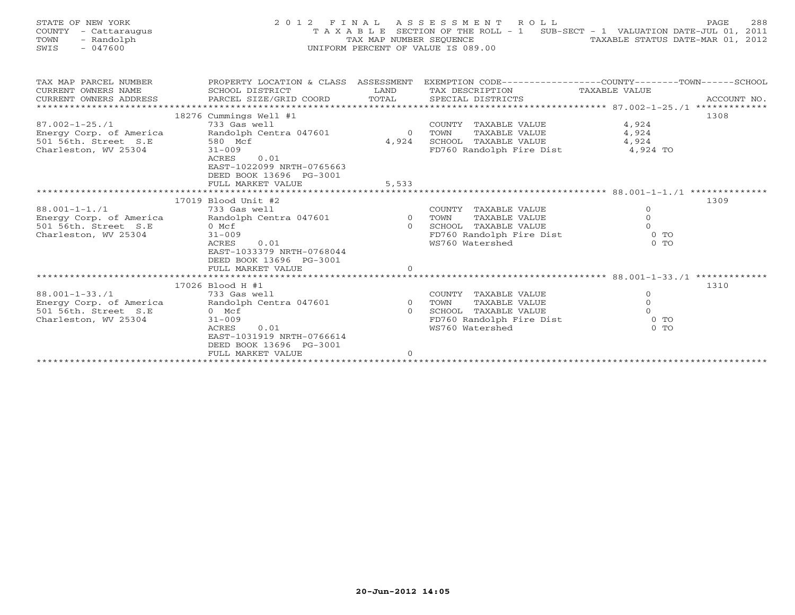| STATE OF NEW YORK<br>COUNTY<br>- Cattaraugus<br>TOWN<br>- Randolph<br>$-047600$<br>SWIS         |                                                                                                                                                                                           | TAX MAP NUMBER SEQUENCE          | 2012 FINAL ASSESSMENT ROLL<br>T A X A B L E SECTION OF THE ROLL - 1 SUB-SECT - 1 VALUATION DATE-JUL 01, 2011<br>UNIFORM PERCENT OF VALUE IS 089.00 | TAXABLE STATUS DATE-MAR 01, 2012                    | 288<br>PAGE |
|-------------------------------------------------------------------------------------------------|-------------------------------------------------------------------------------------------------------------------------------------------------------------------------------------------|----------------------------------|----------------------------------------------------------------------------------------------------------------------------------------------------|-----------------------------------------------------|-------------|
| TAX MAP PARCEL NUMBER<br>CURRENT OWNERS NAME<br>CURRENT OWNERS ADDRESS                          | PROPERTY LOCATION & CLASS ASSESSMENT EXEMPTION CODE-----------------COUNTY-------TOWN------SCHOOL<br>SCHOOL DISTRICT                                                                      | LAND                             | TAX DESCRIPTION                                                                                                                                    | TAXABLE VALUE                                       |             |
| $87.002 - 1 - 25.71$<br>Energy Corp. of America<br>501 56th. Street S.E<br>Charleston, WV 25304 | 18276 Cummings Well #1<br>733 Gas well<br>Randolph Centra 047601<br>580 Mcf<br>$31 - 009$<br>ACRES<br>0.01<br>EAST-1022099 NRTH-0765663<br>DEED BOOK 13696 PG-3001<br>FULL MARKET VALUE   | $\overline{0}$<br>4,924<br>5,533 | COUNTY TAXABLE VALUE<br>TAXABLE VALUE<br>TOWN<br>SCHOOL TAXABLE VALUE<br>FD760 Randolph Fire Dist                                                  | 4,924<br>4,924<br>4,924<br>4,924 TO                 | 1308        |
| $88.001 - 1 - 1.71$<br>Energy Corp. of America<br>501 56th. Street S.E<br>Charleston, WV 25304  | 17019 Blood Unit #2<br>733 Gas well<br>Randolph Centra 047601 0 TOWN<br>0 Mcf<br>$31 - 009$<br>ACRES<br>0.01<br>EAST-1033379 NRTH-0768044<br>DEED BOOK 13696 PG-3001<br>FULL MARKET VALUE | $\Omega$<br>$\Omega$             | COUNTY TAXABLE VALUE<br>TAXABLE VALUE<br>SCHOOL TAXABLE VALUE<br>FD760 Randolph Fire Dist<br>WS760 Watershed                                       | $\circ$<br>$\Omega$<br>$\Omega$<br>$0$ TO<br>$0$ TO | 1309        |
|                                                                                                 |                                                                                                                                                                                           |                                  |                                                                                                                                                    |                                                     |             |
| $88.001 - 1 - 33.71$<br>Energy Corp. of America<br>501 56th. Street S.E                         | 17026 Blood H #1<br>733 Gas well<br>Randolph Centra 047601<br>$0$ Mcf                                                                                                                     | $\circ$<br>$\Omega$              | COUNTY<br>TAXABLE VALUE<br>TOWN<br>TAXABLE VALUE<br>SCHOOL<br>TAXABLE VALUE                                                                        | $\circ$<br>$\circ$<br>$\Omega$                      | 1310        |

\*\*\*\*\*\*\*\*\*\*\*\*\*\*\*\*\*\*\*\*\*\*\*\*\*\*\*\*\*\*\*\*\*\*\*\*\*\*\*\*\*\*\*\*\*\*\*\*\*\*\*\*\*\*\*\*\*\*\*\*\*\*\*\*\*\*\*\*\*\*\*\*\*\*\*\*\*\*\*\*\*\*\*\*\*\*\*\*\*\*\*\*\*\*\*\*\*\*\*\*\*\*\*\*\*\*\*\*\*\*\*\*\*\*\*\*\*\*\*\*\*\*\*\*\*\*\*\*\*\*\*\*

WS760 Watershed

Charleston, WV 25304 31-009 31-009 FD760 Randolph Fire Dist 0 TO<br>ACRES 0.01 WS760 Watershed 0 TO

EAST-1031919 NRTH-0766614

FULL MARKET VALUE 0

DEED BOOK 13696 PG-3001

 $0$  TO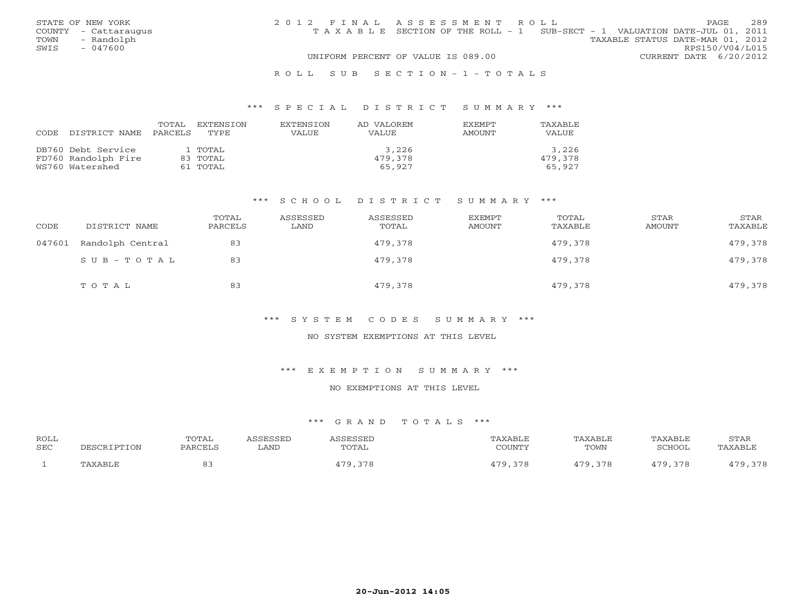|      | STATE OF NEW YORK    | 2012 FINAL ASSESSMENT ROLL |                                                                                |                                  |                        | PAGE. | 2.89 |
|------|----------------------|----------------------------|--------------------------------------------------------------------------------|----------------------------------|------------------------|-------|------|
|      | COUNTY - Cattaraugus |                            | T A X A B L E SECTION OF THE ROLL - 1 SUB-SECT - 1 VALUATION DATE-JUL 01, 2011 |                                  |                        |       |      |
| TOWN | - Randolph           |                            |                                                                                | TAXABLE STATUS DATE-MAR 01, 2012 |                        |       |      |
| SWIS | $-047600$            |                            |                                                                                |                                  | RPS150/V04/L015        |       |      |
|      |                      |                            | UNIFORM PERCENT OF VALUE IS 089.00                                             |                                  | CURRENT DATE 6/20/2012 |       |      |
|      |                      |                            |                                                                                |                                  |                        |       |      |

#### R O L L S U B S E C T I O N - 1 - T O T A L S

#### \*\*\* S P E C I A L D I S T R I C T S U M M A R Y \*\*\*

| CODE<br>DISTRICT NAME                                        | TOTAL<br>EXTENSTON<br>PARCELS<br>TYPE. | <b>EXTENSION</b><br>VALUE | AD VALOREM<br>VALUE.       | <b>EXEMPT</b><br>AMOUNT | TAXABLE<br><b>VALUE</b>    |
|--------------------------------------------------------------|----------------------------------------|---------------------------|----------------------------|-------------------------|----------------------------|
| DB760 Debt Service<br>FD760 Randolph Fire<br>WS760 Watershed | 1 TOTAL<br>83 TOTAL<br>61 TOTAL        |                           | 3,226<br>479,378<br>65,927 |                         | 3,226<br>479,378<br>65,927 |

#### \*\*\* S C H O O L D I S T R I C T S U M M A R Y \*\*\*

| CODE   | DISTRICT NAME    | TOTAL<br>PARCELS | ASSESSED<br>LAND | ASSESSED<br>TOTAL | EXEMPT<br>AMOUNT | TOTAL<br>TAXABLE | STAR<br>AMOUNT | STAR<br>TAXABLE |
|--------|------------------|------------------|------------------|-------------------|------------------|------------------|----------------|-----------------|
| 047601 | Randolph Central | 83               |                  | 479,378           |                  | 479,378          |                | 479,378         |
|        | SUB-TOTAL        | 83               |                  | 479,378           |                  | 479,378          |                | 479,378         |
|        | TOTAL            | 83               |                  | 479,378           |                  | 479,378          |                | 479,378         |

#### \*\*\* S Y S T E M C O D E S S U M M A R Y \*\*\*

### NO SYSTEM EXEMPTIONS AT THIS LEVEL

#### \*\*\* E X E M P T I O N S U M M A R Y \*\*\*

### NO EXEMPTIONS AT THIS LEVEL

| <b>ROLL</b><br><b>SEC</b> | PESCRIPTION | TOTAL<br>PARCELS | <i><b>\SSESSED</b></i><br>LAND | ASSESSED<br>TOTAL | TAXABLE<br>COUNTY | TAXABLE<br>TOWN | TAXABLE<br>SCHOOL | <b>STAR</b><br>TAXABLE |
|---------------------------|-------------|------------------|--------------------------------|-------------------|-------------------|-----------------|-------------------|------------------------|
|                           |             |                  |                                |                   |                   |                 |                   |                        |
|                           | TAXABLE     | οs               |                                | 170<br>378        | 170<br>378        | 479.378         | 479,378           | 479,378                |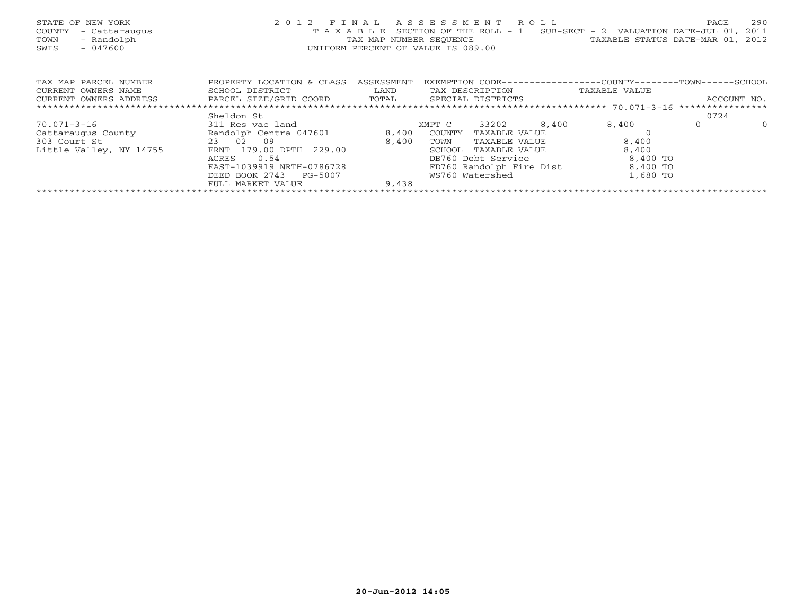| STATE OF NEW YORK<br>COUNTY<br>- Cattaraugus<br>- Randolph<br>TOWN<br>SWIS<br>$-047600$ | 2 0 1 2<br>TAXABLE                                                     | FINAL<br>TAX MAP NUMBER SEQUENCE<br>UNIFORM PERCENT OF VALUE IS 089.00 | ASSESSMENT | SECTION OF THE ROLL - 1              | R O L L | $SUB-SECTION - 2$ VALUATION DATE-JUL 01,<br>TAXABLE STATUS DATE-MAR 01, 2012 | PAGE         | 290<br>2011 |
|-----------------------------------------------------------------------------------------|------------------------------------------------------------------------|------------------------------------------------------------------------|------------|--------------------------------------|---------|------------------------------------------------------------------------------|--------------|-------------|
| TAX MAP PARCEL NUMBER<br>CURRENT OWNERS NAME<br>CURRENT OWNERS ADDRESS                  | PROPERTY LOCATION & CLASS<br>SCHOOL DISTRICT<br>PARCEL SIZE/GRID COORD | ASSESSMENT<br>LAND<br>TOTAL                                            |            | TAX DESCRIPTION<br>SPECIAL DISTRICTS |         | EXEMPTION CODE----------------COUNTY-------TOWN------SCHOOL<br>TAXABLE VALUE | ACCOUNT NO.  |             |
|                                                                                         |                                                                        |                                                                        |            |                                      |         |                                                                              |              |             |
|                                                                                         | Sheldon St                                                             |                                                                        |            |                                      |         |                                                                              | 0724         |             |
| $70.071 - 3 - 16$                                                                       | 311 Res vac land                                                       |                                                                        | XMPT C     | 33202                                | 8,400   | 8,400                                                                        | $\mathbf{0}$ | $\Omega$    |
| Cattaraugus County                                                                      | Randolph Centra 047601                                                 | 8,400                                                                  | COUNTY     | TAXABLE VALUE                        |         |                                                                              |              |             |
| 303 Court St                                                                            | 23 02<br>09                                                            | 8,400                                                                  | TOWN       | TAXABLE VALUE                        |         | 8,400                                                                        |              |             |
| Little Valley, NY 14755                                                                 | FRNT 179.00 DPTH 229.00                                                |                                                                        | SCHOOL     | TAXABLE VALUE                        |         | 8,400                                                                        |              |             |
|                                                                                         | 0.54<br>ACRES                                                          |                                                                        |            | DB760 Debt Service                   |         | 8,400 TO                                                                     |              |             |
|                                                                                         | EAST-1039919 NRTH-0786728                                              |                                                                        |            | FD760 Randolph Fire Dist             |         | 8,400 TO                                                                     |              |             |
|                                                                                         | DEED BOOK 2743<br>PG-5007                                              |                                                                        |            | WS760 Watershed                      |         | 1,680 TO                                                                     |              |             |
|                                                                                         | FULL MARKET VALUE                                                      | 9,438                                                                  |            |                                      |         |                                                                              |              |             |
|                                                                                         |                                                                        |                                                                        |            |                                      |         |                                                                              |              |             |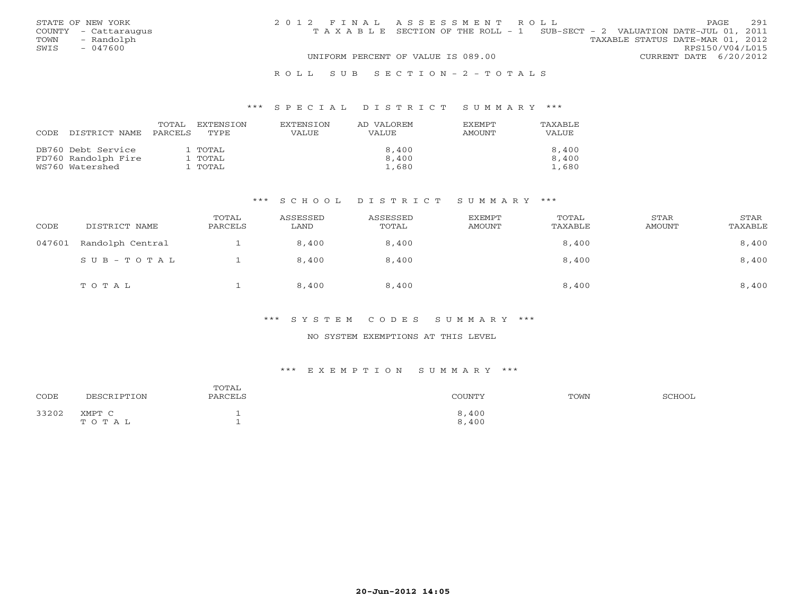|      | STATE OF NEW YORK    | 2012 FINAL ASSESSMENT ROLL                                                     |                                  |                        | <b>PAGE</b> | 2.91 |
|------|----------------------|--------------------------------------------------------------------------------|----------------------------------|------------------------|-------------|------|
|      | COUNTY - Cattaraugus | T A X A B L E SECTION OF THE ROLL - 1 SUB-SECT - 2 VALUATION DATE-JUL 01, 2011 |                                  |                        |             |      |
| TOWN | - Randolph           |                                                                                | TAXABLE STATUS DATE-MAR 01, 2012 |                        |             |      |
| SWIS | $-047600$            |                                                                                |                                  | RPS150/V04/L015        |             |      |
|      |                      | UNIFORM PERCENT OF VALUE IS 089.00                                             |                                  | CURRENT DATE 6/20/2012 |             |      |
|      |                      |                                                                                |                                  |                        |             |      |

#### R O L L S U B S E C T I O N - 2 - T O T A L S

#### \*\*\* S P E C I A L D I S T R I C T S U M M A R Y \*\*\*

| <b>CODE</b> | DISTRICT NAME       | TOTAL<br>PARCELS | EXTENSTON<br>TYPE. | <b>EXTENSION</b><br><b>VALUE</b> | AD VALOREM<br><b>VALUE</b> | <b>EXEMPT</b><br>AMOUNT | TAXABLE<br>VALUE |
|-------------|---------------------|------------------|--------------------|----------------------------------|----------------------------|-------------------------|------------------|
|             | DB760 Debt Service  |                  | 1 TOTAL            |                                  | 8,400                      |                         | 8,400            |
|             | FD760 Randolph Fire |                  | 1 ТОТАL            |                                  | 8,400                      |                         | 8,400            |
|             | WS760 Watershed     |                  | l TOTAL            |                                  | 1,680                      |                         | 1,680            |

#### \*\*\* S C H O O L D I S T R I C T S U M M A R Y \*\*\*

| CODE   | DISTRICT NAME    | TOTAL<br>PARCELS | ASSESSED<br>LAND | ASSESSED<br>TOTAL | EXEMPT<br>AMOUNT | TOTAL<br>TAXABLE | STAR<br>AMOUNT | STAR<br>TAXABLE |
|--------|------------------|------------------|------------------|-------------------|------------------|------------------|----------------|-----------------|
| 047601 | Randolph Central |                  | 8,400            | 8,400             |                  | 8,400            |                | 8,400           |
|        | SUB-TOTAL        |                  | 8,400            | 8,400             |                  | 8,400            |                | 8,400           |
|        | TOTAL            |                  | 8,400            | 8,400             |                  | 8,400            |                | 8,400           |

#### \*\*\* S Y S T E M C O D E S S U M M A R Y \*\*\*

#### NO SYSTEM EXEMPTIONS AT THIS LEVEL

#### \*\*\* E X E M P T I O N S U M M A R Y \*\*\*

| CODE  | DESCRIPTION     | TOTAL<br>PARCELS | COUNTY         | TOWN | SCHOOL |
|-------|-----------------|------------------|----------------|------|--------|
| 33202 | XMPT C<br>TOTAL |                  | 8,400<br>8,400 |      |        |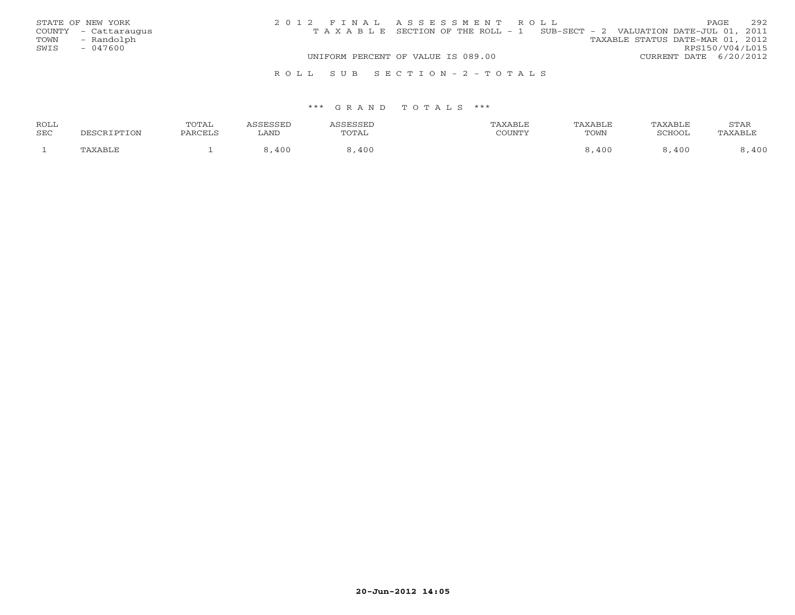|      | STATE OF NEW YORK    | 2012 FINAL ASSESSMENT ROLL                                                     |                                  | <b>PAGE</b>            | 292 |
|------|----------------------|--------------------------------------------------------------------------------|----------------------------------|------------------------|-----|
|      | COUNTY - Cattaraugus | T A X A B L E SECTION OF THE ROLL - 1 SUB-SECT - 2 VALUATION DATE-JUL 01, 2011 |                                  |                        |     |
|      | TOWN - Randolph      |                                                                                | TAXABLE STATUS DATE-MAR 01, 2012 |                        |     |
| SWIS | $-047600$            |                                                                                |                                  | RPS150/V04/L015        |     |
|      |                      | UNIFORM PERCENT OF VALUE IS 089.00                                             |                                  | CURRENT DATE 6/20/2012 |     |
|      |                      | ROLL SUB SECTION-2-TOTALS                                                      |                                  |                        |     |

| <b>ROLL</b> |             | TOTAL   | <i><b>\SSESSED</b></i> | <b>ACCECCEL</b> | TAXABLE | TAXABLE | TAXABLE       | STAR    |
|-------------|-------------|---------|------------------------|-----------------|---------|---------|---------------|---------|
| <b>SEC</b>  | DESCRIPTION | PARCELS | LAND                   | TOTAL           | COUNTY  | TOWN    | <b>SCHOOL</b> | PAXABLE |
|             | TAXABLE     |         | 400                    | 400             |         | 400     | 400           | ,400    |
|             |             |         |                        |                 |         |         |               |         |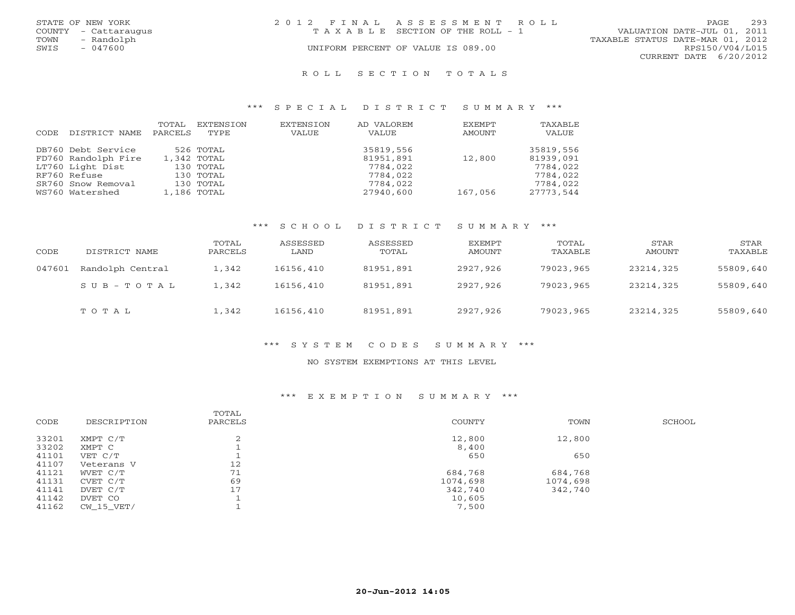|      | STATE OF NEW YORK    | 2012 FINAL ASSESSMENT ROLL |                                    |                                  | PAGE                   | 293 |
|------|----------------------|----------------------------|------------------------------------|----------------------------------|------------------------|-----|
|      | COUNTY - Cattaraugus |                            | TAXABLE SECTION OF THE ROLL - 1    | VALUATION DATE-JUL 01, 2011      |                        |     |
| TOWN | - Randolph           |                            |                                    | TAXABLE STATUS DATE-MAR 01, 2012 |                        |     |
| SWIS | - 047600             |                            | UNIFORM PERCENT OF VALUE IS 089.00 |                                  | RPS150/V04/L015        |     |
|      |                      |                            |                                    |                                  | CURRENT DATE 6/20/2012 |     |
|      |                      |                            |                                    |                                  |                        |     |

#### R O L L S E C T I O N T O T A L S

#### \*\*\* S P E C I A L D I S T R I C T S U M M A R Y \*\*\*

| CODE | DISTRICT NAME       | TOTAL<br>PARCELS | EXTENSION<br>TYPE | EXTENSION<br>VALUE | AD VALOREM<br>VALUE | EXEMPT<br>AMOUNT | TAXABLE<br>VALUE |
|------|---------------------|------------------|-------------------|--------------------|---------------------|------------------|------------------|
|      | DB760 Debt Service  |                  | 526 TOTAL         |                    | 35819,556           |                  | 35819,556        |
|      | FD760 Randolph Fire |                  | 1,342 TOTAL       |                    | 81951,891           | 12,800           | 81939,091        |
|      | LT760 Light Dist    |                  | 130 TOTAL         |                    | 7784,022            |                  | 7784,022         |
|      | RF760 Refuse        |                  | 130 TOTAL         |                    | 7784,022            |                  | 7784,022         |
|      | SR760 Snow Removal  |                  | 130 TOTAL         |                    | 7784,022            |                  | 7784,022         |
|      | WS760 Watershed     |                  | 1,186 TOTAL       |                    | 27940,600           | 167,056          | 27773,544        |

#### \*\*\* S C H O O L D I S T R I C T S U M M A R Y \*\*\*

| CODE   | DISTRICT NAME           | TOTAL<br>PARCELS | ASSESSED<br>LAND | ASSESSED<br>TOTAL | EXEMPT<br>AMOUNT | TOTAL<br>TAXABLE | <b>STAR</b><br>AMOUNT | STAR<br>TAXABLE |
|--------|-------------------------|------------------|------------------|-------------------|------------------|------------------|-----------------------|-----------------|
| 047601 | Randolph Central        | 1,342            | 16156,410        | 81951,891         | 2927,926         | 79023,965        | 23214,325             | 55809,640       |
|        | $S \cup B - T \cup T A$ | 1,342            | 16156,410        | 81951,891         | 2927,926         | 79023,965        | 23214,325             | 55809,640       |
|        | TOTAL                   | 1,342            | 16156,410        | 81951,891         | 2927,926         | 79023,965        | 23214,325             | 55809,640       |

#### \*\*\* S Y S T E M C O D E S S U M M A R Y \*\*\*

### NO SYSTEM EXEMPTIONS AT THIS LEVEL

### \*\*\* E X E M P T I O N S U M M A R Y \*\*\*

| CODE  | DESCRIPTION | TOTAL<br>PARCELS | COUNTY   | TOWN     | SCHOOL |
|-------|-------------|------------------|----------|----------|--------|
| 33201 | XMPT C/T    |                  | 12,800   | 12,800   |        |
| 33202 | XMPT C      |                  | 8,400    |          |        |
| 41101 | VET C/T     |                  | 650      | 650      |        |
| 41107 | Veterans V  | 12               |          |          |        |
| 41121 | WVET C/T    | 71               | 684,768  | 684,768  |        |
| 41131 | CVET C/T    | 69               | 1074,698 | 1074,698 |        |
| 41141 | DVET C/T    | 17               | 342,740  | 342,740  |        |
| 41142 | DVET CO     |                  | 10,605   |          |        |
| 41162 | CW 15 VET/  |                  | 7,500    |          |        |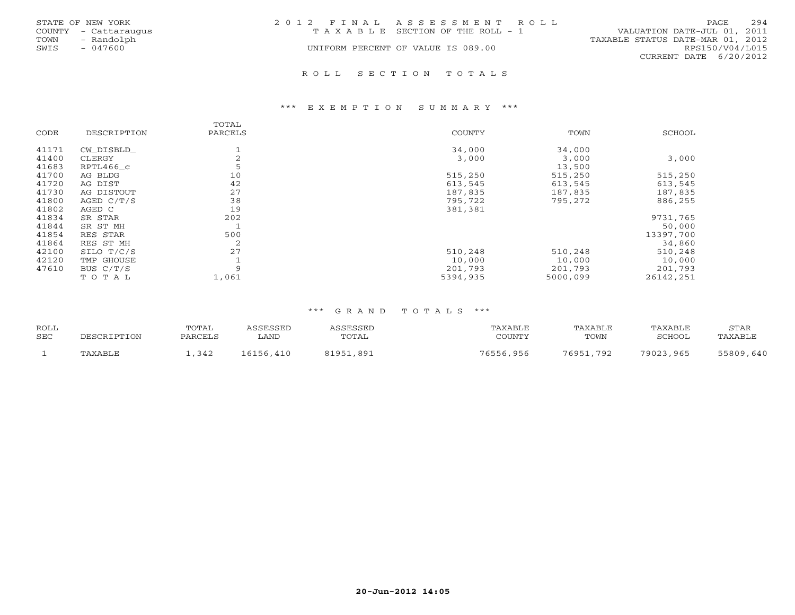|      | STATE OF NEW YORK    | 2012 FINAL ASSESSMENT ROLL         | 294<br>PAGE.                     |
|------|----------------------|------------------------------------|----------------------------------|
|      | COUNTY - Cattaraugus | TAXABLE SECTION OF THE ROLL - 1    | VALUATION DATE-JUL 01, 2011      |
| TOWN | - Randolph           |                                    | TAXABLE STATUS DATE-MAR 01, 2012 |
| SWIS | - 047600             | UNIFORM PERCENT OF VALUE IS 089.00 | RPS150/V04/L015                  |
|      |                      |                                    | CURRENT DATE 6/20/2012           |
|      |                      |                                    |                                  |

#### R O L L S E C T I O N T O T A L S

#### \*\*\* E X E M P T I O N S U M M A R Y \*\*\*

| CODE  | DESCRIPTION | TOTAL<br>PARCELS | <b>COUNTY</b> | TOWN     | SCHOOL    |
|-------|-------------|------------------|---------------|----------|-----------|
|       |             |                  |               |          |           |
| 41171 | CW DISBLD   | л.               | 34,000        | 34,000   |           |
| 41400 | CLERGY      | 2                | 3,000         | 3,000    | 3,000     |
| 41683 | RPTL466 c   | 5                |               | 13,500   |           |
| 41700 | AG BLDG     | 10               | 515,250       | 515,250  | 515,250   |
| 41720 | AG DIST     | 42               | 613,545       | 613,545  | 613,545   |
| 41730 | AG DISTOUT  | 27               | 187,835       | 187,835  | 187,835   |
| 41800 | AGED C/T/S  | 38               | 795,722       | 795,272  | 886,255   |
| 41802 | AGED C      | 19               | 381,381       |          |           |
| 41834 | SR STAR     | 202              |               |          | 9731,765  |
| 41844 | SR ST MH    |                  |               |          | 50,000    |
| 41854 | RES STAR    | 500              |               |          | 13397,700 |
| 41864 | RES ST MH   | 2                |               |          | 34,860    |
| 42100 | SILO T/C/S  | 27               | 510,248       | 510,248  | 510,248   |
| 42120 | TMP GHOUSE  |                  | 10,000        | 10,000   | 10,000    |
| 47610 | BUS $C/T/S$ | 9                | 201,793       | 201,793  | 201,793   |
|       | TOTAL       | 1,061            | 5394,935      | 5000,099 | 26142,251 |

| <b>ROLL</b><br><b>SEC</b> | DESCRIPTION | TOTAL<br>PARCELS | ASSESSED<br>LAND | ASSESSED<br>TOTAL | TAXABLE<br>COUNTY | TAXABLE<br>TOWN | TAXABLE<br>SCHOOL | STAR<br>TAXABLE |
|---------------------------|-------------|------------------|------------------|-------------------|-------------------|-----------------|-------------------|-----------------|
|                           | TAXABLE     | ,342             | 16156,410        | 81951,891         | 76556,956         | 76951,792       | 79023,965         | 55809,640       |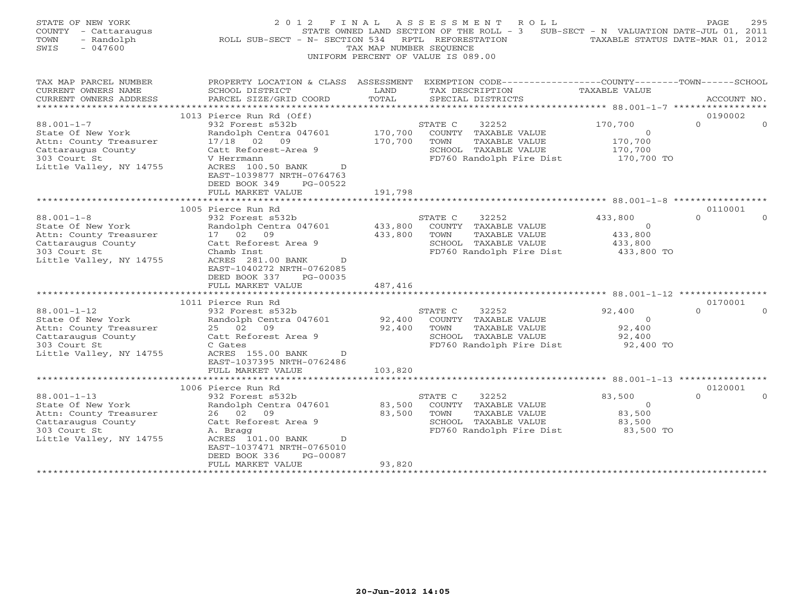| STATE OF NEW YORK<br>COUNTY<br>- Cattaraugus<br>- Randolph<br>TOWN<br>SWIS<br>$-047600$                                                                                                                                                                               | 2012 FINAL<br>ROLL SUB-SECT - N- SECTION 534                                                                                                                                                                                                                                                                                                                                                                         | TAX MAP NUMBER SEOUENCE                           | A S S E S S M E N T<br>ROLL<br>STATE OWNED LAND SECTION OF THE ROLL $-3$<br>RPTL REFORESTATION<br>UNIFORM PERCENT OF VALUE IS 089.00                                                                                                           | SUB-SECT - N VALUATION DATE-JUL 01, 2011<br>TAXABLE STATUS DATE-MAR 01, 2012                                        | PAGE                                       | 295 |
|-----------------------------------------------------------------------------------------------------------------------------------------------------------------------------------------------------------------------------------------------------------------------|----------------------------------------------------------------------------------------------------------------------------------------------------------------------------------------------------------------------------------------------------------------------------------------------------------------------------------------------------------------------------------------------------------------------|---------------------------------------------------|------------------------------------------------------------------------------------------------------------------------------------------------------------------------------------------------------------------------------------------------|---------------------------------------------------------------------------------------------------------------------|--------------------------------------------|-----|
| TAX MAP PARCEL NUMBER<br>CURRENT OWNERS NAME<br>CURRENT OWNERS ADDRESS<br>***********************                                                                                                                                                                     | SCHOOL DISTRICT<br>PARCEL SIZE/GRID COORD                                                                                                                                                                                                                                                                                                                                                                            | LAND<br>TOTAL                                     | PROPERTY LOCATION & CLASS ASSESSMENT EXEMPTION CODE----------------COUNTY-------TOWN------SCHOOL<br>TAX DESCRIPTION<br>SPECIAL DISTRICTS                                                                                                       | TAXABLE VALUE                                                                                                       | ACCOUNT NO.                                |     |
|                                                                                                                                                                                                                                                                       | 1013 Pierce Run Rd (Off)                                                                                                                                                                                                                                                                                                                                                                                             |                                                   |                                                                                                                                                                                                                                                |                                                                                                                     | 0190002                                    |     |
| $88.001 - 1 - 7$<br>State Of New York<br>Attn: County Treasurer<br>Cattaraugus County<br>303 Court St<br>Little Valley, NY 14755                                                                                                                                      | 932 Forest s532b<br>Randolph Centra 047601<br>17/18 02 09<br>Catt Reforest-Area 9<br>V Herrmann<br>ACRES 100.50 BANK<br>$\mathbb{D}$<br>EAST-1039877 NRTH-0764763<br>DEED BOOK 349<br>PG-00522                                                                                                                                                                                                                       | 170,700<br>170,700                                | STATE C<br>32252<br>COUNTY TAXABLE VALUE<br>TOWN<br>TAXABLE VALUE<br>SCHOOL TAXABLE VALUE<br>FD760 Randolph Fire Dist                                                                                                                          | 170,700<br>$\circ$<br>170,700<br>170,700<br>170,700 TO                                                              | $\Omega$                                   |     |
|                                                                                                                                                                                                                                                                       | FULL MARKET VALUE                                                                                                                                                                                                                                                                                                                                                                                                    | 191,798                                           |                                                                                                                                                                                                                                                |                                                                                                                     |                                            |     |
|                                                                                                                                                                                                                                                                       |                                                                                                                                                                                                                                                                                                                                                                                                                      |                                                   |                                                                                                                                                                                                                                                |                                                                                                                     |                                            |     |
| $88.001 - 1 - 8$<br>State Of New York<br>Attn: County Treasurer<br>Cattaraugus County<br>303 Court St<br>Little Valley, NY 14755<br>$88.001 - 1 - 12$<br>State Of New York<br>Attn: County Treasurer<br>Cattaraugus County<br>303 Court St<br>Little Valley, NY 14755 | 1005 Pierce Run Rd<br>932 Forest s532b<br>Randolph Centra 047601<br>17 02 09<br>Catt Reforest Area 9<br>Chamb Inst<br>ACRES 281.00 BANK<br>$\mathcal{D}$<br>EAST-1040272 NRTH-0762085<br>DEED BOOK 337<br>PG-00035<br>FULL MARKET VALUE<br>1011 Pierce Run Rd<br>932 Forest s532b<br>Randolph Centra 047601<br>25 02<br>09<br>Catt Reforest Area 9<br>C Gates<br>ACRES 155.00 BANK<br>D<br>EAST-1037395 NRTH-0762486 | 433,800<br>433,800<br>487,416<br>92,400<br>92,400 | STATE C<br>32252<br>COUNTY TAXABLE VALUE<br>TOWN<br>TAXABLE VALUE<br>SCHOOL TAXABLE VALUE<br>FD760 Randolph Fire Dist<br>32252<br>STATE C<br>COUNTY TAXABLE VALUE<br>TOWN<br>TAXABLE VALUE<br>SCHOOL TAXABLE VALUE<br>FD760 Randolph Fire Dist | 433,800<br>$\circ$<br>433,800<br>433,800<br>433,800 TO<br>92,400<br>$\overline{O}$<br>92,400<br>92,400<br>92,400 TO | 0110001<br>$\Omega$<br>0170001<br>$\Omega$ |     |
|                                                                                                                                                                                                                                                                       | FULL MARKET VALUE                                                                                                                                                                                                                                                                                                                                                                                                    | 103,820                                           | **********************                                                                                                                                                                                                                         | ************** 88.001-1-13 ****************                                                                         |                                            |     |
|                                                                                                                                                                                                                                                                       | 1006 Pierce Run Rd                                                                                                                                                                                                                                                                                                                                                                                                   |                                                   |                                                                                                                                                                                                                                                |                                                                                                                     | 0120001                                    |     |
| $88.001 - 1 - 13$<br>State Of New York<br>Attn: County Treasurer<br>Cattaraugus County<br>303 Court St<br>Little Valley, NY 14755                                                                                                                                     | 932 Forest s532b<br>Randolph Centra 047601<br>26 02 09<br>Catt Reforest Area 9<br>A. Bragg<br>ACRES 101.00 BANK<br>D<br>EAST-1037471 NRTH-0765010<br>DEED BOOK 336<br>PG-00087                                                                                                                                                                                                                                       | 83,500<br>83,500                                  | STATE C<br>32252<br>COUNTY TAXABLE VALUE<br>TAXABLE VALUE<br>TOWN<br>SCHOOL TAXABLE VALUE<br>FD760 Randolph Fire Dist                                                                                                                          | 83,500<br>$\overline{0}$<br>83,500<br>83,500<br>83,500 TO                                                           | $\Omega$                                   |     |
|                                                                                                                                                                                                                                                                       | FULL MARKET VALUE<br>******************                                                                                                                                                                                                                                                                                                                                                                              | 93,820<br>* * * * * * * * * *                     |                                                                                                                                                                                                                                                |                                                                                                                     |                                            |     |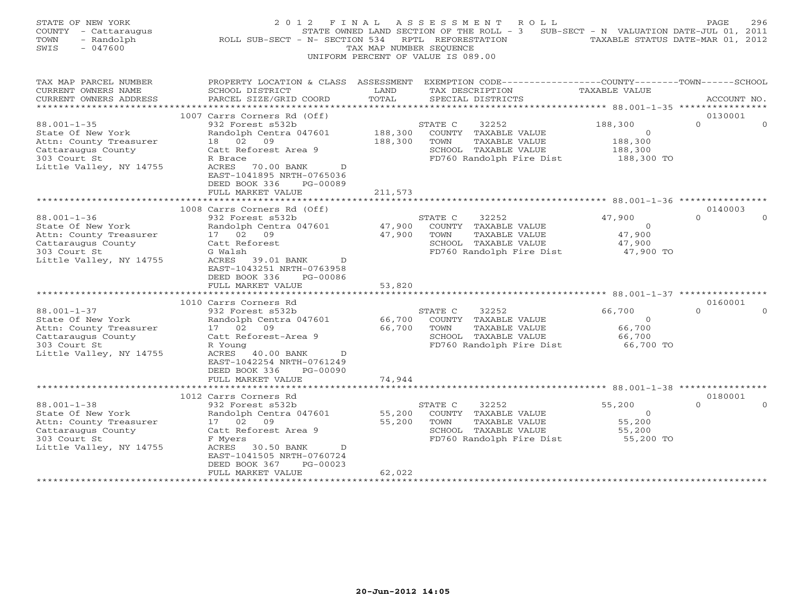| STATE OF NEW YORK<br>COUNTY - Cattaraugus<br>TOWN<br>- Randolph<br>SWIS<br>$-047600$                                              | ROLL SUB-SECT - N- SECTION 534                                                                                                                                                                                         | TAX MAP NUMBER SEQUENCE    | 2012 FINAL ASSESSMENT ROLL<br>STATE OWNED LAND SECTION OF THE ROLL - 3 SUB-SECT - N VALUATION DATE-JUL 01, 2011<br>RPTL REFORESTATION<br>UNIFORM PERCENT OF VALUE IS 089.00 | TAXABLE STATUS DATE-MAR 01, 2012                              | 296<br>PAGE                     |
|-----------------------------------------------------------------------------------------------------------------------------------|------------------------------------------------------------------------------------------------------------------------------------------------------------------------------------------------------------------------|----------------------------|-----------------------------------------------------------------------------------------------------------------------------------------------------------------------------|---------------------------------------------------------------|---------------------------------|
| TAX MAP PARCEL NUMBER<br>CURRENT OWNERS NAME<br>CURRENT OWNERS ADDRESS                                                            | PROPERTY LOCATION & CLASS ASSESSMENT EXEMPTION CODE---------------COUNTY-------TOWN------SCHOOL<br>SCHOOL DISTRICT<br>PARCEL SIZE/GRID COORD                                                                           | LAND<br>TOTAL              | TAX DESCRIPTION<br>SPECIAL DISTRICTS                                                                                                                                        | TAXABLE VALUE                                                 | ACCOUNT NO.                     |
|                                                                                                                                   |                                                                                                                                                                                                                        |                            |                                                                                                                                                                             |                                                               |                                 |
| $88.001 - 1 - 35$<br>State Of New York<br>Attn: County Treasurer<br>Cattaraugus County<br>303 Court St<br>Little Valley, NY 14755 | 1007 Carrs Corners Rd (Off)<br>932 Forest s532b<br>Randolph Centra 047601<br>18 02 09<br>Catt Reforest Area 9<br>R Brace<br>ACRES 70.00 BANK<br>$\mathbb{D}$<br>EAST-1041895 NRTH-0765036<br>DEED BOOK 336<br>PG-00089 | 188,300<br>188,300         | STATE C<br>32252<br>COUNTY TAXABLE VALUE<br>TAXABLE VALUE<br>TOWN<br>SCHOOL TAXABLE VALUE<br>FD760 Randolph Fire Dist                                                       | 188,300<br>$\overline{O}$<br>188,300<br>188,300<br>188,300 TO | 0130001<br>$\Omega$<br>$\Omega$ |
|                                                                                                                                   | FULL MARKET VALUE                                                                                                                                                                                                      | 211,573                    |                                                                                                                                                                             |                                                               |                                 |
|                                                                                                                                   | ********************<br>1008 Carrs Corners Rd (Off)                                                                                                                                                                    |                            |                                                                                                                                                                             |                                                               | 0140003                         |
| $88.001 - 1 - 36$<br>State Of New York<br>Attn: County Treasurer<br>Cattaraugus County<br>303 Court St<br>Little Valley, NY 14755 | 932 Forest s532b<br>Randolph Centra 047601<br>17 02 09<br>Catt Reforest<br>G Walsh<br>ACRES 39.01 BANK D<br>EAST-1043251 NRTH-0763958<br>DEED BOOK 336<br>PG-00086<br>FULL MARKET VALUE                                | 47,900<br>47,900<br>53,820 | STATE C<br>32252<br>COUNTY TAXABLE VALUE<br>TAXABLE VALUE<br>TOWN<br>SCHOOL TAXABLE VALUE<br>FD760 Randolph Fire Dist                                                       | 47,900<br>$\overline{O}$<br>47,900<br>47,900<br>47,900 TO     | $\Omega$                        |
|                                                                                                                                   | **********************                                                                                                                                                                                                 |                            |                                                                                                                                                                             |                                                               |                                 |
| $88.001 - 1 - 37$<br>State Of New York<br>Attn: County Treasurer<br>Cattaraugus County<br>303 Court St<br>Little Valley, NY 14755 | 1010 Carrs Corners Rd<br>932 Forest s532b<br>Randolph Centra 047601<br>17 02 09<br>Catt Reforest-Area 9<br>R Young<br>ACRES 40.00 BANK<br>D<br>EAST-1042254 NRTH-0761249<br>DEED BOOK 336<br>PG-00090                  | 66,700<br>66,700           | STATE C<br>32252<br>COUNTY TAXABLE VALUE<br>TAXABLE VALUE<br>TOWN<br>SCHOOL TAXABLE VALUE<br>FD760 Randolph Fire Dist                                                       | 66,700<br>$\overline{O}$<br>66,700<br>66,700<br>66,700 TO     | 0160001<br>$\cap$               |
|                                                                                                                                   | FULL MARKET VALUE<br>**************************                                                                                                                                                                        | 74,944                     |                                                                                                                                                                             |                                                               |                                 |
| $88.001 - 1 - 38$<br>State Of New York<br>Attn: County Treasurer<br>Cattaraugus County<br>303 Court St                            | 1012 Carrs Corners Rd<br>932 Forest s532b<br>Randolph Centra 047601<br>17 02<br>09<br>Catt Reforest Area 9<br>F Myers                                                                                                  | 55,200<br>55,200           | STATE C<br>32252<br>COUNTY TAXABLE VALUE<br>TOWN<br>TAXABLE VALUE<br>SCHOOL TAXABLE VALUE<br>FD760 Randolph Fire Dist                                                       | 55,200<br>$\circ$<br>55,200<br>55,200<br>55,200 TO            | 0180001<br>$\Omega$<br>$\cap$   |
| Little Valley, NY 14755                                                                                                           | ACRES 30.50 BANK<br>$\mathbb{D}$<br>EAST-1041505 NRTH-0760724<br>$PG-00023$<br>DEED BOOK 367<br>FULL MARKET VALUE<br>********************                                                                              | 62,022<br>***********      |                                                                                                                                                                             |                                                               |                                 |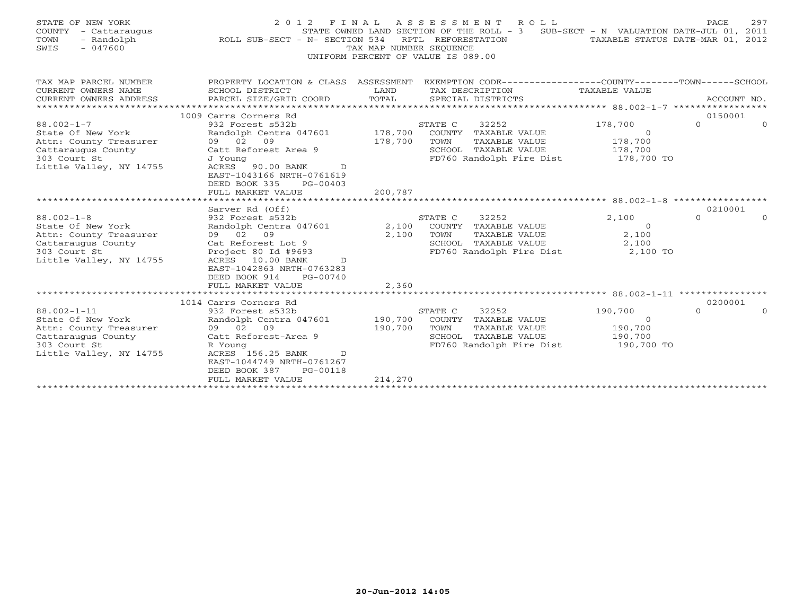| STATE OF NEW YORK<br>COUNTY<br>- Cattarauqus<br>TOWN<br>- Randolph<br>$-047600$<br>SWIS                                           | 2 0 1 2<br>ROLL SUB-SECT - N- SECTION 534                                                                                                                                                                                                                          | TAX MAP NUMBER SEQUENCE       | FINAL ASSESSMENT<br>R O L L<br>STATE OWNED LAND SECTION OF THE ROLL - 3<br>RPTL REFORESTATION<br>UNIFORM PERCENT OF VALUE IS 089.00 | SUB-SECT - N VALUATION DATE-JUL 01, 2011                | 297<br>PAGE<br>TAXABLE STATUS DATE-MAR 01, 2012 |
|-----------------------------------------------------------------------------------------------------------------------------------|--------------------------------------------------------------------------------------------------------------------------------------------------------------------------------------------------------------------------------------------------------------------|-------------------------------|-------------------------------------------------------------------------------------------------------------------------------------|---------------------------------------------------------|-------------------------------------------------|
| TAX MAP PARCEL NUMBER<br>CURRENT OWNERS NAME<br>CURRENT OWNERS ADDRESS                                                            | PROPERTY LOCATION & CLASS ASSESSMENT<br>SCHOOL DISTRICT<br>PARCEL SIZE/GRID COORD                                                                                                                                                                                  | LAND<br>TOTAL                 | EXEMPTION CODE----------------COUNTY-------TOWN------SCHOOL<br>TAX DESCRIPTION<br>SPECIAL DISTRICTS                                 | TAXABLE VALUE                                           | ACCOUNT NO.                                     |
| $88.002 - 1 - 7$<br>State Of New York<br>Attn: County Treasurer<br>Cattaraugus County<br>303 Court St<br>Little Valley, NY 14755  | 1009 Carrs Corners Rd<br>932 Forest s532b<br>Randolph Centra 047601<br>09 02<br>09<br>Catt Reforest Area 9<br>J Young<br>90.00 BANK<br>ACRES<br>D<br>EAST-1043166 NRTH-0761619<br>DEED BOOK 335<br>$PG-00403$<br>FULL MARKET VALUE                                 | 178,700<br>178,700<br>200,787 | STATE C<br>32252<br>COUNTY TAXABLE VALUE<br>TOWN<br>TAXABLE VALUE<br>SCHOOL TAXABLE VALUE<br>FD760 Randolph Fire Dist               | 178,700<br>$\Omega$<br>178,700<br>178,700<br>178,700 TO | 0150001<br>$\mathbf{0}$<br>$\Omega$             |
| $88.002 - 1 - 8$<br>State Of New York<br>Attn: County Treasurer<br>Cattaraugus County<br>303 Court St<br>Little Valley, NY 14755  | *******************************<br>Sarver Rd (Off)<br>932 Forest s532b<br>Randolph Centra 047601<br>09 02 09<br>Cat Reforest Lot 9<br>Project 80 Id #9693<br>ACRES 10.00 BANK<br>D.<br>EAST-1042863 NRTH-0763283<br>DEED BOOK 914<br>PG-00740<br>FULL MARKET VALUE | 2,100<br>2,100<br>2,360       | 32252<br>STATE C<br>COUNTY TAXABLE VALUE<br>TOWN<br>TAXABLE VALUE<br>SCHOOL TAXABLE VALUE<br>FD760 Randolph Fire Dist               | 2,100<br>$\circ$<br>2,100<br>2,100<br>2,100 TO          | 0210001<br>$\Omega$<br>$\Omega$                 |
|                                                                                                                                   |                                                                                                                                                                                                                                                                    |                               |                                                                                                                                     |                                                         |                                                 |
| $88.002 - 1 - 11$<br>State Of New York<br>Attn: County Treasurer<br>Cattaraugus County<br>303 Court St<br>Little Valley, NY 14755 | 1014 Carrs Corners Rd<br>932 Forest s532b<br>Randolph Centra 047601<br>09 02 09<br>Catt Reforest-Area 9<br>R Young<br>ACRES 156.25 BANK<br>D<br>EAST-1044749 NRTH-0761267<br>DEED BOOK 387<br>PG-00118<br>FULL MARKET VALUE                                        | 190,700<br>190,700<br>214,270 | STATE C<br>32252<br>COUNTY TAXABLE VALUE<br>TOWN<br>TAXABLE VALUE<br>SCHOOL TAXABLE VALUE<br>FD760 Randolph Fire Dist               | 190,700<br>$\Omega$<br>190,700<br>190,700<br>190,700 TO | 0200001<br>$\Omega$<br>$\Omega$                 |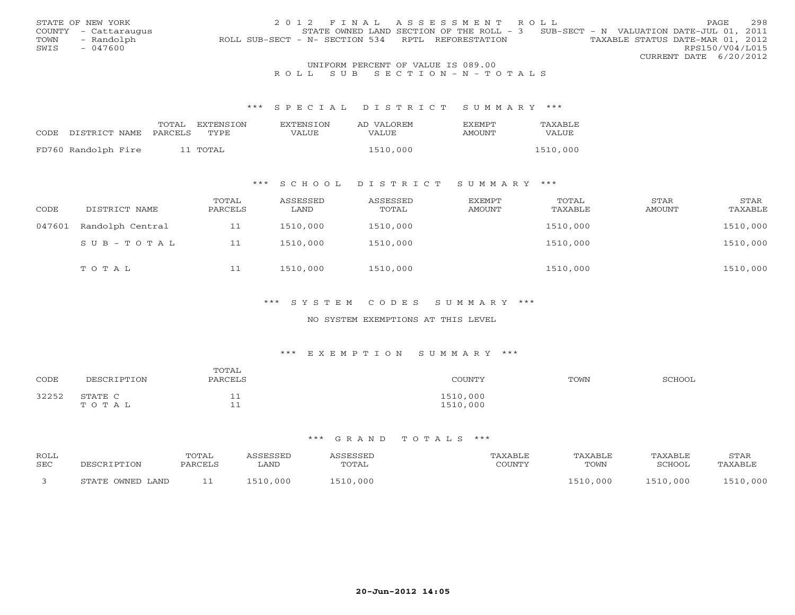|      | STATE OF NEW YORK                  | 2012 FINAL ASSESSMENT ROLL                                                            | <b>PAGE</b>            | 2.98 |  |  |  |  |  |
|------|------------------------------------|---------------------------------------------------------------------------------------|------------------------|------|--|--|--|--|--|
|      | COUNTY - Cattaraugus               | STATE OWNED LAND SECTION OF THE ROLL - 3 SUB-SECT - N VALUATION DATE-JUL 01, 2011     |                        |      |  |  |  |  |  |
| TOWN | - Randolph                         | TAXABLE STATUS DATE-MAR 01, 2012<br>ROLL SUB-SECT - N- SECTION 534 RPTL REFORESTATION |                        |      |  |  |  |  |  |
| SWIS | $-047600$                          |                                                                                       | RPS150/V04/L015        |      |  |  |  |  |  |
|      |                                    |                                                                                       | CURRENT DATE 6/20/2012 |      |  |  |  |  |  |
|      | UNIFORM PERCENT OF VALUE IS 089.00 |                                                                                       |                        |      |  |  |  |  |  |

# R O L L S U B S E C T I O N - N - T O T A L S

#### \*\*\* S P E C I A L D I S T R I C T S U M M A R Y \*\*\*

|      |                     | TOTAL   | EXTENSTON | <b>EXTENSION</b> | AD VALOREM | <b>FXFMPT</b> | TAXABLE  |
|------|---------------------|---------|-----------|------------------|------------|---------------|----------|
| CODE | DISTRICT NAME       | PARCELS | TYPE      | VALUE            | VALUE      | <b>AMOUNT</b> | VALUE    |
|      |                     |         |           |                  |            |               |          |
|      | FD760 Randolph Fire |         | 11 TOTAL  |                  | 1510,000   |               | 1510,000 |

# \*\*\* S C H O O L D I S T R I C T S U M M A R Y \*\*\*

| CODE   | DISTRICT NAME    | TOTAL<br>PARCELS | ASSESSED<br>LAND | ASSESSED<br>TOTAL | EXEMPT<br>AMOUNT | TOTAL<br>TAXABLE | STAR<br>AMOUNT | STAR<br>TAXABLE |
|--------|------------------|------------------|------------------|-------------------|------------------|------------------|----------------|-----------------|
| 047601 | Randolph Central | 11               | 1510,000         | 1510,000          |                  | 1510,000         |                | 1510,000        |
|        | SUB-TOTAL        | 11               | 1510,000         | 1510,000          |                  | 1510,000         |                | 1510,000        |
|        | TOTAL            | 11               | 1510,000         | 1510,000          |                  | 1510,000         |                | 1510,000        |

## \*\*\* S Y S T E M C O D E S S U M M A R Y \*\*\*

### NO SYSTEM EXEMPTIONS AT THIS LEVEL

#### \*\*\* E X E M P T I O N S U M M A R Y \*\*\*

| CODE  | DESCRIPTION      | TOTAL<br>PARCELS | COUNTY               | TOWN | SCHOOL |
|-------|------------------|------------------|----------------------|------|--------|
| 32252 | STATE C<br>TOTAL | ᆂᆇ<br>__ _       | 1510,000<br>1510,000 |      |        |

| ROLL<br><b>SEC</b> | DECAD.                 | <b>TOTAL</b><br>DARCEL: | <i><b>SSESSED</b></i><br>LAND | SSESSEL<br><b>TOTAL</b> | CCTINTM17 | <b>TAXABLE</b><br>TOWN | "AXABLE<br>SCHOOL | STAR<br>'AXABLE |
|--------------------|------------------------|-------------------------|-------------------------------|-------------------------|-----------|------------------------|-------------------|-----------------|
|                    | : OWNED LAND<br>STATE. |                         | 1510,000                      | ,000<br>. 510           |           | 510.000                | 1510.000          | 10,000          |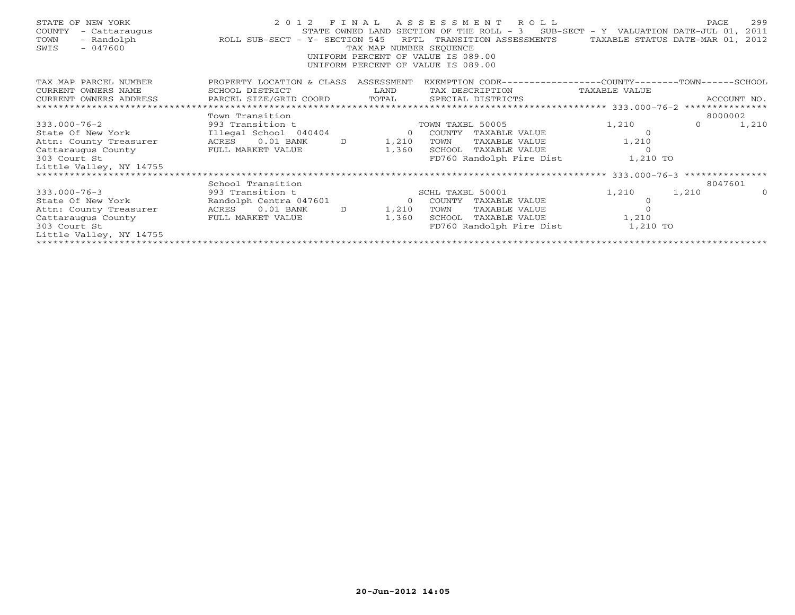| STATE OF NEW YORK<br>COUNTY<br>- Cattaraugus<br>- Randolph<br>TOWN<br>$-047600$<br>SWIS                                                              | ROLL SUB-SECT - Y- SECTION 545                          |               | RPTL<br>TAX MAP NUMBER SEOUENCE<br>UNIFORM PERCENT OF VALUE IS 089.00<br>UNIFORM PERCENT OF VALUE IS 089.00 |                  | 2012 FINAL ASSESSMENT ROLL<br>STATE OWNED LAND SECTION OF THE ROLL - $3$ SUB-SECT - Y VALUATION DATE-JUL 01,<br>TRANSITION ASSESSMENTS | TAXABLE STATUS DATE-MAR 01, | PAGE     | 299<br>2011<br>2012 |
|------------------------------------------------------------------------------------------------------------------------------------------------------|---------------------------------------------------------|---------------|-------------------------------------------------------------------------------------------------------------|------------------|----------------------------------------------------------------------------------------------------------------------------------------|-----------------------------|----------|---------------------|
| TAX MAP PARCEL NUMBER<br>CURRENT OWNERS NAME                                                                                                         | PROPERTY LOCATION & CLASS ASSESSMENT<br>SCHOOL DISTRICT |               | LAND                                                                                                        |                  | EXEMPTION CODE-----------------COUNTY-------TOWN-----SCHOOL<br>TAX DESCRIPTION                                                         | TAXABLE VALUE               |          |                     |
| CURRENT OWNERS ADDRESS                                                                                                                               |                                                         |               |                                                                                                             |                  |                                                                                                                                        |                             |          | ACCOUNT NO.         |
| .CURRENT OWNERS ADDRESS PARCEL SIZE/GRID COORD TOTAL SPECIAL DISTRICTS ACCOUNT NO ACCOUNT NO ACCOUNT NO ARCEL SIZE/GRID COORD TERM SPECIAL DISTRICTS |                                                         |               |                                                                                                             |                  |                                                                                                                                        |                             |          |                     |
|                                                                                                                                                      | Town Transition                                         |               |                                                                                                             |                  |                                                                                                                                        |                             | 8000002  |                     |
| $333.000 - 76 - 2$                                                                                                                                   | 993 Transition t                                        |               |                                                                                                             | TOWN TAXBL 50005 |                                                                                                                                        | 1,210                       | $\Omega$ | 1,210               |
| State Of New York                                                                                                                                    | Illegal School 040404                                   |               | $\circ$                                                                                                     | COUNTY           | TAXABLE VALUE                                                                                                                          | $\Omega$                    |          |                     |
| Attn: County Treasurer                                                                                                                               | $0.01$ BANK<br>ACRES                                    | D             | 1,210                                                                                                       | TOWN             | TAXABLE VALUE                                                                                                                          | 1,210                       |          |                     |
| Cattaraugus County                                                                                                                                   | FULL MARKET VALUE                                       |               | 1,360                                                                                                       |                  | SCHOOL TAXABLE VALUE                                                                                                                   | $\Omega$                    |          |                     |
| 303 Court St                                                                                                                                         |                                                         |               |                                                                                                             |                  | FD760 Randolph Fire Dist                                                                                                               | 1,210 TO                    |          |                     |
| Little Valley, NY 14755                                                                                                                              |                                                         |               |                                                                                                             |                  |                                                                                                                                        |                             |          |                     |
| ****************************                                                                                                                         |                                                         |               |                                                                                                             |                  |                                                                                                                                        |                             |          |                     |
|                                                                                                                                                      | School Transition                                       |               |                                                                                                             |                  |                                                                                                                                        |                             | 8047601  |                     |
| $333.000 - 76 - 3$                                                                                                                                   | 993 Transition t                                        |               |                                                                                                             | SCHL TAXBL 50001 |                                                                                                                                        | 1,210                       | 1,210    | $\Omega$            |
| State Of New York                                                                                                                                    | Randolph Centra 047601                                  |               | $\circ$                                                                                                     | COUNTY           | TAXABLE VALUE                                                                                                                          | $\Omega$                    |          |                     |
| Attn: County Treasurer                                                                                                                               | $0.01$ BANK<br>ACRES                                    | $\mathcal{D}$ | 1,210                                                                                                       | TOWN             | TAXABLE VALUE                                                                                                                          | $\Omega$                    |          |                     |
| Cattaraugus County                                                                                                                                   | FULL MARKET VALUE                                       |               | 1,360                                                                                                       | SCHOOL           | TAXABLE VALUE                                                                                                                          | 1,210                       |          |                     |
| 303 Court St                                                                                                                                         |                                                         |               |                                                                                                             |                  | FD760 Randolph Fire Dist                                                                                                               | 1,210 TO                    |          |                     |
| Little Valley, NY 14755                                                                                                                              |                                                         |               |                                                                                                             |                  |                                                                                                                                        |                             |          |                     |
|                                                                                                                                                      |                                                         |               |                                                                                                             |                  |                                                                                                                                        |                             |          |                     |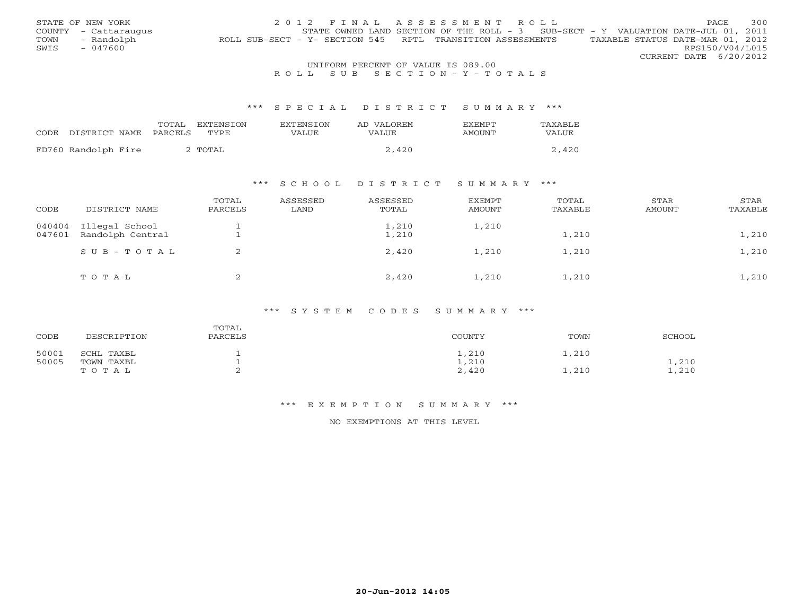|      | STATE OF NEW YORK                   | 2012 FINAL ASSESSMENT ROLL                                                                     | <b>PAGE</b>     | 300 |  |  |  |  |  |
|------|-------------------------------------|------------------------------------------------------------------------------------------------|-----------------|-----|--|--|--|--|--|
|      | COUNTY - Cattaraugus                | STATE OWNED LAND SECTION OF THE ROLL - $3$ SUB-SECT - Y VALUATION DATE-JUL 01, 2011            |                 |     |  |  |  |  |  |
| TOWN | - Randolph                          | TAXABLE STATUS DATE-MAR 01, 2012<br>ROLL SUB-SECT - Y- SECTION 545 RPTL TRANSITION ASSESSMENTS |                 |     |  |  |  |  |  |
| SWIS | - 047600                            |                                                                                                | RPS150/V04/L015 |     |  |  |  |  |  |
|      |                                     | CURRENT DATE 6/20/2012                                                                         |                 |     |  |  |  |  |  |
|      | LINIEODM DEDOEME OF UALUE IC 000 00 |                                                                                                |                 |     |  |  |  |  |  |

# UNIFORM PERCENT OF VALUE IS 089.00<br>R O L L S U B S E C T I O N – Y – T O T A L S

#### \*\*\* S P E C I A L D I S T R I C T S U M M A R Y \*\*\*

|      |                     | TOTAL   | EXTENSTON   | <b>EXTENSION</b> | AD VALOREM | <b>EXEMPT</b> | TAXABLE |
|------|---------------------|---------|-------------|------------------|------------|---------------|---------|
| CODE | DISTRICT NAME       | PARCELS | <b>TYPE</b> | VALUE            | VALUE      | AMOUNT        | VALUE   |
|      | FD760 Randolph Fire |         | ` TOTAL     |                  | 2,420      |               | .420    |
|      |                     |         |             |                  |            |               |         |

## \*\*\* S C H O O L D I S T R I C T S U M M A R Y \*\*\*

| CODE             | DISTRICT NAME                      | TOTAL<br>PARCELS | ASSESSED<br>LAND | ASSESSED<br>TOTAL | EXEMPT<br>AMOUNT | TOTAL<br>TAXABLE | STAR<br>AMOUNT | STAR<br>TAXABLE |
|------------------|------------------------------------|------------------|------------------|-------------------|------------------|------------------|----------------|-----------------|
| 040404<br>047601 | Illegal School<br>Randolph Central |                  |                  | 1,210<br>1,210    | 1,210            | 1,210            |                | 1,210           |
|                  | SUB-TOTAL                          | 2                |                  | 2,420             | 1,210            | 1,210            |                | 1,210           |
|                  | TOTAL                              | ∠                |                  | 2,420             | 1,210            | 1,210            |                | 1,210           |

#### \*\*\* S Y S T E M C O D E S S U M M A R Y \*\*\*

| CODE  | DESCRIPTION | TOTAL<br>PARCELS | COUNTY | TOWN  | SCHOOL |
|-------|-------------|------------------|--------|-------|--------|
| 50001 | SCHL TAXBL  |                  | 1,210  | 1,210 |        |
| 50005 | TOWN TAXBL  |                  | 1,210  |       | 1,210  |
|       | TOTAL       |                  | 2,420  | 1,210 | 1,210  |

#### \*\*\* E X E M P T I O N S U M M A R Y \*\*\*

### NO EXEMPTIONS AT THIS LEVEL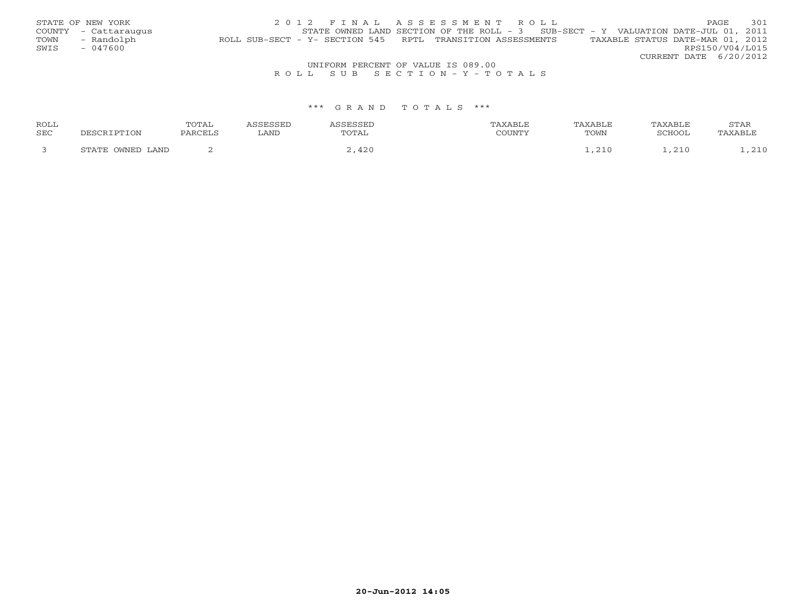|                                    | STATE OF NEW YORK    | 2012 FINAL ASSESSMENT ROLL                                                                     | PAGE                   |  | 301 |  |  |
|------------------------------------|----------------------|------------------------------------------------------------------------------------------------|------------------------|--|-----|--|--|
|                                    | COUNTY - Cattaraugus | STATE OWNED LAND SECTION OF THE ROLL - $3$ SUB-SECT - Y VALUATION DATE-JUL 01, 2011            |                        |  |     |  |  |
| TOWN                               | - Randolph           | TAXABLE STATUS DATE-MAR 01, 2012<br>ROLL SUB-SECT - Y- SECTION 545 RPTL TRANSITION ASSESSMENTS |                        |  |     |  |  |
| SWIS                               | - 047600             |                                                                                                | RPS150/V04/L015        |  |     |  |  |
|                                    |                      |                                                                                                | CURRENT DATE 6/20/2012 |  |     |  |  |
| UNIFORM PERCENT OF VALUE IS 089.00 |                      |                                                                                                |                        |  |     |  |  |
|                                    |                      |                                                                                                |                        |  |     |  |  |

# R O L L S U B S E C T I O N - Y - T O T A L S

| ROLL |                 | 30m37<br>د، -<br>----- |         |     |                     |        | STAR |
|------|-----------------|------------------------|---------|-----|---------------------|--------|------|
| SEC  |                 |                        | P(X, Y) | TAL | $m \wedge r$<br>OMD | 'CHOOL |      |
|      | .AND<br>,,,,,,, |                        |         |     |                     | . .    |      |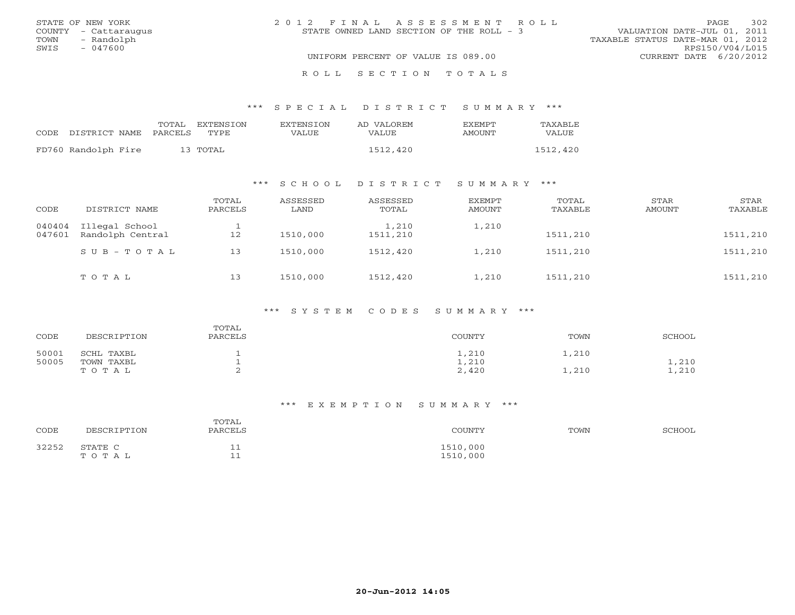| STATE OF NEW YORK    | 2012 FINAL ASSESSMENT ROLL               | 302<br>PAGE                      |
|----------------------|------------------------------------------|----------------------------------|
| COUNTY - Cattaraugus | STATE OWNED LAND SECTION OF THE ROLL - 3 | VALUATION DATE-JUL 01, 2011      |
| TOWN<br>- Randolph   |                                          | TAXABLE STATUS DATE-MAR 01, 2012 |
| SWIS<br>- 047600     |                                          | RPS150/V04/L015                  |
|                      | UNIFORM PERCENT OF VALUE IS 089.00       | CURRENT DATE 6/20/2012           |
|                      | ROLL SECTION TOTALS                      |                                  |

# \*\*\* S P E C I A L D I S T R I C T S U M M A R Y \*\*\*

|                            | TOTAL | EXTENSION | EXTENSTON | AD VALOREM | <b>FXFMPT</b> | TAXABLE  |
|----------------------------|-------|-----------|-----------|------------|---------------|----------|
| CODE DISTRICT NAME PARCELS |       | TYPE.     | VALUE     | VALUE      | AMOUNT        | VALUE    |
| FD760 Randolph Fire        |       | 13 TOTAL  |           | 1512,420   |               | 1512,420 |

# \*\*\* S C H O O L D I S T R I C T S U M M A R Y \*\*\*

| CODE             | DISTRICT NAME                      | TOTAL<br>PARCELS | ASSESSED<br>LAND | ASSESSED<br>TOTAL | <b>EXEMPT</b><br>AMOUNT | TOTAL<br>TAXABLE | STAR<br>AMOUNT | STAR<br>TAXABLE |
|------------------|------------------------------------|------------------|------------------|-------------------|-------------------------|------------------|----------------|-----------------|
| 040404<br>047601 | Illegal School<br>Randolph Central | 12               | 1510,000         | 1,210<br>1511,210 | 1,210                   | 1511,210         |                | 1511,210        |
|                  | $SUB - TO T AL$                    | 13               | 1510,000         | 1512,420          | 1,210                   | 1511,210         |                | 1511,210        |
|                  | TOTAL                              | 13               | 1510,000         | 1512,420          | 1,210                   | 1511,210         |                | 1511,210        |

#### \*\*\* S Y S T E M C O D E S S U M M A R Y \*\*\*

| CODE  | DESCRIPTION | TOTAL<br>PARCELS | COUNTY       | TOWN  | SCHOOL |
|-------|-------------|------------------|--------------|-------|--------|
| 50001 | SCHL TAXBL  |                  | $\sqrt{210}$ | 1,210 |        |
| 50005 | TOWN TAXBL  |                  | 1,210        |       | 1,210  |
|       | TOTAL       | ∼                | 2,420        | 1,210 | 1,210  |

#### \*\*\* E X E M P T I O N S U M M A R Y \*\*\*

| CODE  | DESCRIPTION      | TOTAL<br>PARCELS            | COUNTY               | TOWN | SCHOOL |
|-------|------------------|-----------------------------|----------------------|------|--------|
| 32252 | STATE C<br>TOTAL | ᆂᆂ<br>$\sim$ $\sim$<br>__ _ | 1510,000<br>1510,000 |      |        |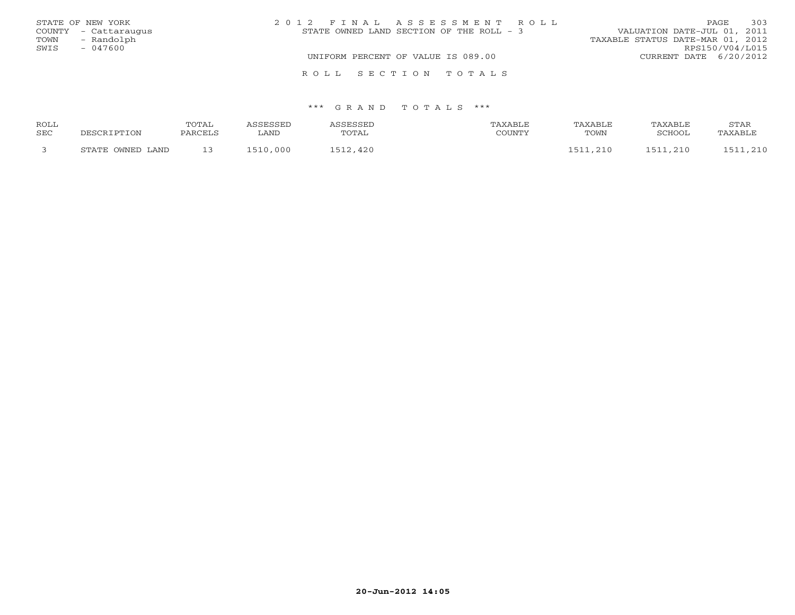| STATE OF NEW YORK    | 2012 FINAL ASSESSMENT ROLL               | 303<br>PAGE                      |
|----------------------|------------------------------------------|----------------------------------|
| COUNTY - Cattaraugus | STATE OWNED LAND SECTION OF THE ROLL - 3 | VALUATION DATE-JUL 01, 2011      |
| - Randolph<br>TOWN   |                                          | TAXABLE STATUS DATE-MAR 01, 2012 |
| SWIS<br>$-047600$    |                                          | RPS150/V04/L015                  |
|                      | UNIFORM PERCENT OF VALUE IS 089.00       | CURRENT DATE 6/20/2012           |
|                      | ROLL SECTION TOTALS                      |                                  |

| <b>ROLL</b> |                         | <b>TOTAL</b> | <b>GERSSED</b> | <b>CORCORT</b> |        | TAXABLE | TAXABLE       | STAR    |
|-------------|-------------------------|--------------|----------------|----------------|--------|---------|---------------|---------|
| <b>SEC</b>  | ־סים הר                 | PARCELL      | LAND           | TOTAL          | COUNTY | TOWN    | <b>SCHOOL</b> | TAXABLE |
|             | . OWNED LAND<br>RT∆TF . | — <i>—</i>   | 510,000        | $-12,420$      |        |         | 210<br>51     | 210     |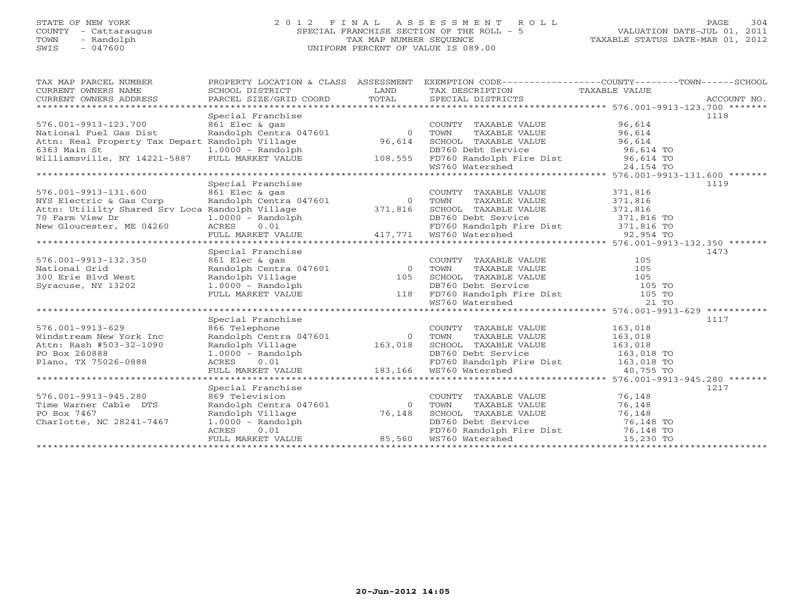# STATE OF NEW YORK 2 0 1 2 F I N A L A S S E S S M E N T R O L L PAGE 304 COUNTY - Cattaraugus SPECIAL FRANCHISE SECTION OF THE ROLL - 5 VALUATION DATE-JUL 01, 2011 TOWN - Randolph TAX MAP NUMBER SEQUENCE TAXABLE STATUS DATE-MAR 01, 2012 SWIS - 047600 UNIFORM PERCENT OF VALUE IS 089.00UNIFORM PERCENT OF VALUE IS 089.00

| TAX MAP PARCEL NUMBER                                                                                                                                                                                                                                                   |                                                                                                                               |        |                                                                                                                                                                                                                                                    | PROPERTY LOCATION & CLASS ASSESSMENT EXEMPTION CODE---------------COUNTY-------TOWN-----SCHOOL                                                                                                                                                                                                                                                                                                                                                                                      |  |
|-------------------------------------------------------------------------------------------------------------------------------------------------------------------------------------------------------------------------------------------------------------------------|-------------------------------------------------------------------------------------------------------------------------------|--------|----------------------------------------------------------------------------------------------------------------------------------------------------------------------------------------------------------------------------------------------------|-------------------------------------------------------------------------------------------------------------------------------------------------------------------------------------------------------------------------------------------------------------------------------------------------------------------------------------------------------------------------------------------------------------------------------------------------------------------------------------|--|
|                                                                                                                                                                                                                                                                         |                                                                                                                               |        |                                                                                                                                                                                                                                                    |                                                                                                                                                                                                                                                                                                                                                                                                                                                                                     |  |
|                                                                                                                                                                                                                                                                         |                                                                                                                               |        |                                                                                                                                                                                                                                                    | $\begin{tabular}{lllllll} \multicolumn{2}{l}{{\small\sc{CURRENT}}}& $\text{MME}$ & $\text{SCHOOL} & $\text{DISTRICT}$ & $\text{LAND}$ & $\text{TAX} & $\text{DESCRIPTION}$ & $\text{TAXABLE} & $\text{VALUE}$ \\ & $\text{CURRENT} & $\text{ADDRES} & $\text{ADDRES} & $\text{PACCOUNT} & $\text{NO}$. \\ & $\text{VARENT} & $\text{ADDRES} & $\text{ADDRES} & $\text{PACCOUNT} & $\text{NO}$. \\ & $\text{PAKCEL} & $\text{SIZE/GRID} & $\text{COORD}$ & $\text{TOTAL}$ & $\text{$ |  |
|                                                                                                                                                                                                                                                                         |                                                                                                                               |        |                                                                                                                                                                                                                                                    |                                                                                                                                                                                                                                                                                                                                                                                                                                                                                     |  |
|                                                                                                                                                                                                                                                                         | Special Franchise                                                                                                             |        |                                                                                                                                                                                                                                                    | 1118                                                                                                                                                                                                                                                                                                                                                                                                                                                                                |  |
| National Fuel Gas Dist<br>Attn: Real Proporty T                                                                                                                                                                                                                         |                                                                                                                               |        | COUNTY TAXABLE VALUE 96,614<br>TOWN TAXABLE VALUE 96,614<br>SCHOOL TAXABLE VALUE 96,614                                                                                                                                                            |                                                                                                                                                                                                                                                                                                                                                                                                                                                                                     |  |
|                                                                                                                                                                                                                                                                         |                                                                                                                               |        |                                                                                                                                                                                                                                                    |                                                                                                                                                                                                                                                                                                                                                                                                                                                                                     |  |
| Attn: Real Property Tax Depart Randolph Village 96,614                                                                                                                                                                                                                  |                                                                                                                               |        |                                                                                                                                                                                                                                                    |                                                                                                                                                                                                                                                                                                                                                                                                                                                                                     |  |
|                                                                                                                                                                                                                                                                         |                                                                                                                               |        |                                                                                                                                                                                                                                                    |                                                                                                                                                                                                                                                                                                                                                                                                                                                                                     |  |
|                                                                                                                                                                                                                                                                         |                                                                                                                               |        |                                                                                                                                                                                                                                                    |                                                                                                                                                                                                                                                                                                                                                                                                                                                                                     |  |
| 6363 Main St $\begin{array}{ccc} 1.0000 - Random & 1.0000 - 0.0000 - 0.0000 - 0.0000 - 0.0000 - 0.0000 - 0.0000 - 0.0000 - 0.0000 - 0.0000 - 0.0000 - 0.0000 - 0.0000 - 0.0000 - 0.0000 - 0.0000 - 0.0000 - 0.0000 - 0.0000 - 0.0000 - 0.0000 - 0.0000 - 0.0000 - 0.00$ |                                                                                                                               |        |                                                                                                                                                                                                                                                    |                                                                                                                                                                                                                                                                                                                                                                                                                                                                                     |  |
|                                                                                                                                                                                                                                                                         |                                                                                                                               |        |                                                                                                                                                                                                                                                    |                                                                                                                                                                                                                                                                                                                                                                                                                                                                                     |  |
|                                                                                                                                                                                                                                                                         | Special Franchise                                                                                                             |        |                                                                                                                                                                                                                                                    | 1119                                                                                                                                                                                                                                                                                                                                                                                                                                                                                |  |
| 576.001-9913-131.600                                                                                                                                                                                                                                                    | 861 Elec & gas                                                                                                                |        | COUNTY TAXABLE VALUE 371,816                                                                                                                                                                                                                       |                                                                                                                                                                                                                                                                                                                                                                                                                                                                                     |  |
| NYS Electric & Gas Corp                                                                                                                                                                                                                                                 | Randolph Centra 047601                                                                                                        | 0 TOWN | TAXABLE VALUE                                                                                                                                                                                                                                      | 371,816                                                                                                                                                                                                                                                                                                                                                                                                                                                                             |  |
| Attn: Utililty Shared Srv Loca Randolph Village 371,816                                                                                                                                                                                                                 |                                                                                                                               |        | SCHOOL TAXABLE VALUE 371,816                                                                                                                                                                                                                       |                                                                                                                                                                                                                                                                                                                                                                                                                                                                                     |  |
|                                                                                                                                                                                                                                                                         |                                                                                                                               |        |                                                                                                                                                                                                                                                    |                                                                                                                                                                                                                                                                                                                                                                                                                                                                                     |  |
|                                                                                                                                                                                                                                                                         |                                                                                                                               |        |                                                                                                                                                                                                                                                    |                                                                                                                                                                                                                                                                                                                                                                                                                                                                                     |  |
|                                                                                                                                                                                                                                                                         |                                                                                                                               |        |                                                                                                                                                                                                                                                    |                                                                                                                                                                                                                                                                                                                                                                                                                                                                                     |  |
|                                                                                                                                                                                                                                                                         |                                                                                                                               |        |                                                                                                                                                                                                                                                    | The contract of the contract of the contract of the contract of the contract of the contract of the contract of<br>New Gloucester, ME 04260 acres 0.01 FD760 Randolph Fire Dist 371,816 TO<br>FULL MARKET VALUE 417,771 WS760 Waters                                                                                                                                                                                                                                                |  |
|                                                                                                                                                                                                                                                                         | Special Franchise                                                                                                             |        |                                                                                                                                                                                                                                                    | 1473                                                                                                                                                                                                                                                                                                                                                                                                                                                                                |  |
| 576.001-9913-132.350                                                                                                                                                                                                                                                    |                                                                                                                               |        |                                                                                                                                                                                                                                                    |                                                                                                                                                                                                                                                                                                                                                                                                                                                                                     |  |
| National Grid                                                                                                                                                                                                                                                           |                                                                                                                               |        |                                                                                                                                                                                                                                                    |                                                                                                                                                                                                                                                                                                                                                                                                                                                                                     |  |
|                                                                                                                                                                                                                                                                         |                                                                                                                               |        |                                                                                                                                                                                                                                                    |                                                                                                                                                                                                                                                                                                                                                                                                                                                                                     |  |
| 300 Erie Blvd West                                                                                                                                                                                                                                                      |                                                                                                                               |        |                                                                                                                                                                                                                                                    |                                                                                                                                                                                                                                                                                                                                                                                                                                                                                     |  |
| Syracuse, NY 13202                                                                                                                                                                                                                                                      |                                                                                                                               |        |                                                                                                                                                                                                                                                    |                                                                                                                                                                                                                                                                                                                                                                                                                                                                                     |  |
|                                                                                                                                                                                                                                                                         |                                                                                                                               |        |                                                                                                                                                                                                                                                    |                                                                                                                                                                                                                                                                                                                                                                                                                                                                                     |  |
|                                                                                                                                                                                                                                                                         |                                                                                                                               |        | Special Franchise<br>861 Elec & gas<br>Randolph Centra 047601 0 TOWN TAXABLE VALUE 105<br>Randolph Village 105 SCHOOL TAXABLE VALUE 105<br>1.0000 - Randolph 118 FD760 Randolph Fire Dist 105 TO<br>FULL MARKET VALUE 118 FD760 Randolph           |                                                                                                                                                                                                                                                                                                                                                                                                                                                                                     |  |
|                                                                                                                                                                                                                                                                         |                                                                                                                               |        |                                                                                                                                                                                                                                                    |                                                                                                                                                                                                                                                                                                                                                                                                                                                                                     |  |
|                                                                                                                                                                                                                                                                         | Special Franchise                                                                                                             |        |                                                                                                                                                                                                                                                    | 1117                                                                                                                                                                                                                                                                                                                                                                                                                                                                                |  |
| 576.001-9913-629                                                                                                                                                                                                                                                        | 866 Telephone                                                                                                                 |        | COUNTY TAXABLE VALUE 163,018                                                                                                                                                                                                                       |                                                                                                                                                                                                                                                                                                                                                                                                                                                                                     |  |
| Windstream New York Inc                                                                                                                                                                                                                                                 |                                                                                                                               |        |                                                                                                                                                                                                                                                    |                                                                                                                                                                                                                                                                                                                                                                                                                                                                                     |  |
| Attn: Rash #503-32-1090                                                                                                                                                                                                                                                 |                                                                                                                               |        |                                                                                                                                                                                                                                                    |                                                                                                                                                                                                                                                                                                                                                                                                                                                                                     |  |
| PO Box 260888                                                                                                                                                                                                                                                           |                                                                                                                               |        |                                                                                                                                                                                                                                                    |                                                                                                                                                                                                                                                                                                                                                                                                                                                                                     |  |
| Plano, TX 75026-0888                                                                                                                                                                                                                                                    |                                                                                                                               |        |                                                                                                                                                                                                                                                    |                                                                                                                                                                                                                                                                                                                                                                                                                                                                                     |  |
|                                                                                                                                                                                                                                                                         |                                                                                                                               |        | Example the centra 047601<br>Randolph Centra 047601<br>Randolph Village 163,018<br>163,018<br>163,018<br>2000 - Randolph 163,018<br>2000 - Randolph 163,018<br>2000 - Randolph 163,018<br>2000 - PDF60 Randolph Fire Dist 163,018<br>20,755<br>20, |                                                                                                                                                                                                                                                                                                                                                                                                                                                                                     |  |
|                                                                                                                                                                                                                                                                         |                                                                                                                               |        |                                                                                                                                                                                                                                                    |                                                                                                                                                                                                                                                                                                                                                                                                                                                                                     |  |
|                                                                                                                                                                                                                                                                         | Special Franchise                                                                                                             |        |                                                                                                                                                                                                                                                    | 1217                                                                                                                                                                                                                                                                                                                                                                                                                                                                                |  |
| 576.001-9913-945.280                                                                                                                                                                                                                                                    |                                                                                                                               |        |                                                                                                                                                                                                                                                    |                                                                                                                                                                                                                                                                                                                                                                                                                                                                                     |  |
| Time Warner Cable DTS                                                                                                                                                                                                                                                   |                                                                                                                               |        |                                                                                                                                                                                                                                                    |                                                                                                                                                                                                                                                                                                                                                                                                                                                                                     |  |
| PO Box 7467                                                                                                                                                                                                                                                             |                                                                                                                               |        |                                                                                                                                                                                                                                                    |                                                                                                                                                                                                                                                                                                                                                                                                                                                                                     |  |
| Charlotte, NC 28241-7467                                                                                                                                                                                                                                                |                                                                                                                               |        |                                                                                                                                                                                                                                                    |                                                                                                                                                                                                                                                                                                                                                                                                                                                                                     |  |
|                                                                                                                                                                                                                                                                         |                                                                                                                               |        |                                                                                                                                                                                                                                                    |                                                                                                                                                                                                                                                                                                                                                                                                                                                                                     |  |
|                                                                                                                                                                                                                                                                         | nandolph and black between the DB760 Debt Services<br>ACRES 0.01 FD760 Randolph F<br>FULL MARKET VALUE 85,560 MS760 Matershed |        | CHOOL TAAADLE VALUE<br>DB760 Debt Service 76,148 TO<br>FD760 Randolph Fire Dist 76,148 TO<br>WS760 Watershed 15,230 TO                                                                                                                             |                                                                                                                                                                                                                                                                                                                                                                                                                                                                                     |  |
|                                                                                                                                                                                                                                                                         |                                                                                                                               |        |                                                                                                                                                                                                                                                    |                                                                                                                                                                                                                                                                                                                                                                                                                                                                                     |  |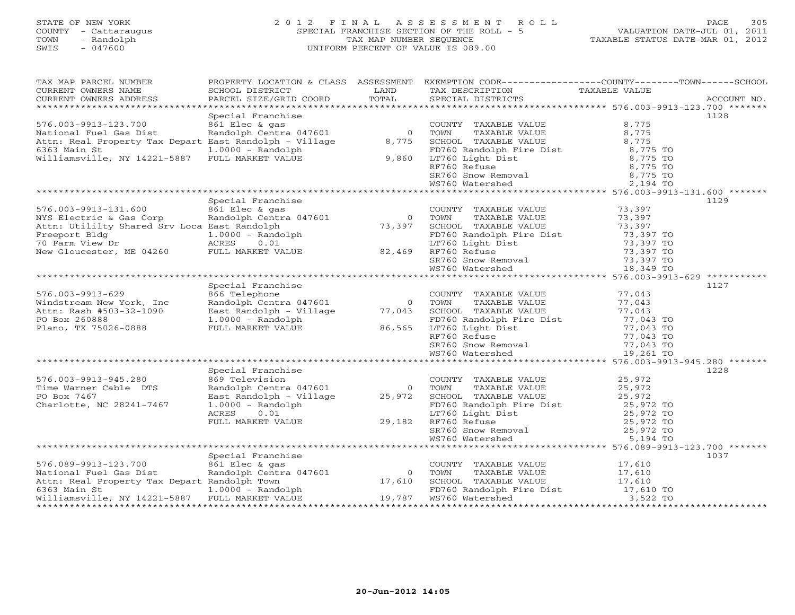# STATE OF NEW YORK 2 0 1 2 F I N A L A S S E S S M E N T R O L L PAGE 305 COUNTY - Cattaraugus SPECIAL FRANCHISE SECTION OF THE ROLL - 5 VALUATION DATE-JUL 01, 2011 TOWN - Randolph TAX MAP NUMBER SEQUENCE TAXABLE STATUS DATE-MAR 01, 2012 SWIS - 047600 UNIFORM PERCENT OF VALUE IS 089.00UNIFORM PERCENT OF VALUE IS 089.00

| TAX MAP PARCEL NUMBER<br>CURRENT OWNERS NAME                                                                                                                                                                                           | SCHOOL DISTRICT                                      | LAND           | TAX DESCRIPTION                                                                                                                                 | PROPERTY LOCATION & CLASS ASSESSMENT EXEMPTION CODE----------------COUNTY-------TOWN------SCHOOL<br>TAXABLE VALUE |
|----------------------------------------------------------------------------------------------------------------------------------------------------------------------------------------------------------------------------------------|------------------------------------------------------|----------------|-------------------------------------------------------------------------------------------------------------------------------------------------|-------------------------------------------------------------------------------------------------------------------|
| CURRENT OWNERS ADDRESS                                                                                                                                                                                                                 | PARCEL SIZE/GRID COORD                               | TOTAL          | SPECIAL DISTRICTS                                                                                                                               | ACCOUNT NO.                                                                                                       |
|                                                                                                                                                                                                                                        | Special Franchise                                    |                |                                                                                                                                                 | 1128                                                                                                              |
| 576.003-9913-123.700                                                                                                                                                                                                                   |                                                      |                | COUNTY TAXABLE VALUE                                                                                                                            | 8,775                                                                                                             |
| National Fuel Gas Dist                                                                                                                                                                                                                 | andolph Centra 047601<br>East Randolph Centra 047601 | 0 TOWN         | TAXABLE VALUE                                                                                                                                   | 8,775                                                                                                             |
| Attn: Real Property Tax Depart East Randolph - Village 8,775 SCHOOL TAXABLE VALUE                                                                                                                                                      |                                                      |                |                                                                                                                                                 | 8,775                                                                                                             |
| 6363 Main St                                                                                                                                                                                                                           | $1.0000 - Random$                                    |                |                                                                                                                                                 | 8,775 TO                                                                                                          |
| Williamsville, NY 14221-5887 FULL MARKET VALUE                                                                                                                                                                                         |                                                      | 9,860          | FD760 Randolph Fire Dist<br>LT760 Light Dist<br>RF760 Refuse                                                                                    | $8,775$ TO                                                                                                        |
|                                                                                                                                                                                                                                        |                                                      |                | RF760 Refuse                                                                                                                                    | 8,775 TO                                                                                                          |
|                                                                                                                                                                                                                                        |                                                      |                |                                                                                                                                                 |                                                                                                                   |
|                                                                                                                                                                                                                                        |                                                      |                |                                                                                                                                                 |                                                                                                                   |
|                                                                                                                                                                                                                                        |                                                      |                |                                                                                                                                                 |                                                                                                                   |
|                                                                                                                                                                                                                                        | Special Franchise                                    |                |                                                                                                                                                 | 1129                                                                                                              |
| 576.003-9913-131.600                                                                                                                                                                                                                   | 861 Elec & gas                                       |                | COUNTY TAXABLE VALUE 73,397<br>TOWN TAXABLE VALUE 73,397                                                                                        |                                                                                                                   |
|                                                                                                                                                                                                                                        |                                                      | $\overline{0}$ | TOWN<br>TAXABLE VALUE                                                                                                                           | 73,397                                                                                                            |
|                                                                                                                                                                                                                                        |                                                      |                | SCHOOL TAXABLE VALUE                                                                                                                            | 73,397                                                                                                            |
|                                                                                                                                                                                                                                        |                                                      |                |                                                                                                                                                 | 73,397 TO                                                                                                         |
|                                                                                                                                                                                                                                        |                                                      |                | FD760 Randolph Fire Dist<br>LT760 Light Dist<br>PF760 Bofuse                                                                                    | 73,397 TO                                                                                                         |
|                                                                                                                                                                                                                                        |                                                      |                | RF760 Refuse                                                                                                                                    | 73,397 TO                                                                                                         |
|                                                                                                                                                                                                                                        |                                                      |                |                                                                                                                                                 |                                                                                                                   |
| 576.003-9913-131.600 861 Elec & gas<br>NYS Electric & Gas Corp Randolph Centra 047601 0<br>Attn: Utililty Shared Srv Loca East Randolph 73,397<br>Freeport Bldg 1.0000 - Randolph 70 Farm View Dr ACRES 0.01<br>New Gloucester, ME 042 |                                                      |                | SR760 Snow Removal 5 73,397 TO<br>WS760 Watershed 5 18 349 TO<br>WS760 Watershed                                                                | 18,349 TO                                                                                                         |
|                                                                                                                                                                                                                                        |                                                      |                |                                                                                                                                                 |                                                                                                                   |
|                                                                                                                                                                                                                                        | Special Franchise                                    |                |                                                                                                                                                 | 1127                                                                                                              |
| $576.003 - 9913 - 629$                                                                                                                                                                                                                 | 866 Telephone                                        |                | COUNTY TAXABLE VALUE                                                                                                                            | 77,043                                                                                                            |
| Windstream New York, Inc                                                                                                                                                                                                               | Randolph Centra 047601                               | $\overline{0}$ | TOWN<br>TAXABLE VALUE                                                                                                                           | 77,043                                                                                                            |
| Attn: Rash #503-32-1090                                                                                                                                                                                                                | East Randolph - Village 77,043                       |                | SCHOOL TAXABLE VALUE                                                                                                                            | 77,043                                                                                                            |
| PO Box 260888                                                                                                                                                                                                                          | $1.0000 - Random$                                    |                | SCHOOL TAXABLE VALUE<br>FD760 Randolph Fire Dist                                                                                                | 77,043 TO                                                                                                         |
| Plano, TX 75026-0888                                                                                                                                                                                                                   | FULL MARKET VALUE                                    | 86,565         | LT760 Light Dist                                                                                                                                | 77,043 TO                                                                                                         |
|                                                                                                                                                                                                                                        |                                                      |                | RF760 Refuse                                                                                                                                    | 77,043 TO<br>77.043 TO                                                                                            |
|                                                                                                                                                                                                                                        |                                                      |                |                                                                                                                                                 | 77,043 TO                                                                                                         |
|                                                                                                                                                                                                                                        |                                                      |                | SR760 Snow Removal<br>WS760 Watershed                                                                                                           | 19,261 TO                                                                                                         |
|                                                                                                                                                                                                                                        |                                                      |                |                                                                                                                                                 |                                                                                                                   |
|                                                                                                                                                                                                                                        | Special Franchise                                    |                |                                                                                                                                                 | 1228                                                                                                              |
| 576.003-9913-945.280                                                                                                                                                                                                                   | 869 Television                                       |                | COUNTY TAXABLE VALUE 25,972                                                                                                                     |                                                                                                                   |
| Time Warner Cable DTS                                                                                                                                                                                                                  |                                                      |                | 0        TOWN            TAXABLE   VALUE<br>5.972         SCHOOL       TAXABLE   VALUE                                                          | 25,972<br>25,972                                                                                                  |
| PO Box 7467                                                                                                                                                                                                                            |                                                      |                | SCHOOL TAXABLE VALUE                                                                                                                            |                                                                                                                   |
| Charlotte, NC 28241-7467                                                                                                                                                                                                               | $1.0000 - Random$                                    |                |                                                                                                                                                 |                                                                                                                   |
|                                                                                                                                                                                                                                        | ACRES<br>0.01                                        |                |                                                                                                                                                 |                                                                                                                   |
|                                                                                                                                                                                                                                        | FULL MARKET VALUE                                    | 29,182         | EXECUTE THANK THE DIST<br>FD760 Randolph Fire Dist<br>IT760 Light Dist<br>RF760 Refuse<br>SR760 Snow Removal<br>SR760 Snow Removal<br>25,972 TO |                                                                                                                   |
|                                                                                                                                                                                                                                        |                                                      |                |                                                                                                                                                 |                                                                                                                   |
|                                                                                                                                                                                                                                        |                                                      |                | WS760 Watershed                                                                                                                                 | 5,194 TO                                                                                                          |
|                                                                                                                                                                                                                                        |                                                      |                |                                                                                                                                                 |                                                                                                                   |
|                                                                                                                                                                                                                                        | Special Franchise                                    |                |                                                                                                                                                 | 1037                                                                                                              |
|                                                                                                                                                                                                                                        |                                                      |                | COUNTY TAXABLE VALUE 17,610                                                                                                                     |                                                                                                                   |
|                                                                                                                                                                                                                                        |                                                      |                | TOWN<br>TAXABLE VALUE                                                                                                                           | 17,610                                                                                                            |
|                                                                                                                                                                                                                                        |                                                      |                |                                                                                                                                                 |                                                                                                                   |
| 576.089-9913-123.700 861 Elec & gas<br>National Fuel Gas Dist Randolph Centra 047601 0<br>Attn: Real Property Tax Depart Randolph Town 17,610<br>6363 Main St 1.0000 - Randolph<br>Williamsville, NY 14221-5887 FULL MARKET VALUE 19,7 |                                                      |                |                                                                                                                                                 |                                                                                                                   |
|                                                                                                                                                                                                                                        |                                                      |                | FD760 Randolph Fire Dist $17,610$<br>WS760 Watershed $17,610$ TO<br>WS760 Watershed $2,520$ To                                                  |                                                                                                                   |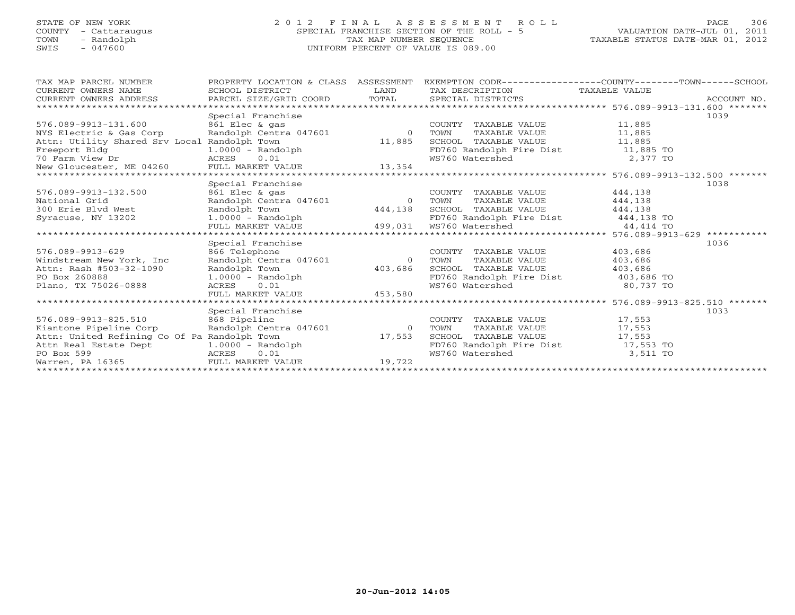# STATE OF NEW YORK 2 0 1 2 F I N A L A S S E S S M E N T R O L L PAGE 306 COUNTY - Cattaraugus SPECIAL FRANCHISE SECTION OF THE ROLL - 5 VALUATION DATE-JUL 01, 2011 TOWN - Randolph TAX MAP NUMBER SEQUENCE TAXABLE STATUS DATE-MAR 01, 2012 SWIS - 047600 UNIFORM PERCENT OF VALUE IS 089.00UNIFORM PERCENT OF VALUE IS 089.00

| TAX MAP PARCEL NUMBER                               | PROPERTY LOCATION & CLASS ASSESSMENT |                |                                                                | EXEMPTION CODE----------------COUNTY-------TOWN------SCHOOL                                                                                                                                                                          |
|-----------------------------------------------------|--------------------------------------|----------------|----------------------------------------------------------------|--------------------------------------------------------------------------------------------------------------------------------------------------------------------------------------------------------------------------------------|
| CURRENT OWNERS NAME                                 | SCHOOL DISTRICT                      | LAND           | TAX DESCRIPTION TAXABLE VALUE                                  |                                                                                                                                                                                                                                      |
| CURRENT OWNERS ADDRESS PARCEL SIZE/GRID COORD TOTAL |                                      |                | SPECIAL DISTRICTS                                              | ACCOUNT NO.                                                                                                                                                                                                                          |
|                                                     |                                      |                |                                                                |                                                                                                                                                                                                                                      |
|                                                     | Special Franchise                    |                |                                                                | 1039                                                                                                                                                                                                                                 |
| 576.089-9913-131.600                                | 861 Elec & gas                       |                | COUNTY TAXABLE VALUE 11,885                                    |                                                                                                                                                                                                                                      |
| NYS Electric & Gas Corp                             | Randolph Centra 047601 0             |                | TAXABLE VALUE 11,885<br>TOWN                                   |                                                                                                                                                                                                                                      |
| Attn: Utility Shared Srv Local Randolph Town        |                                      | 11,885         | SCHOOL TAXABLE VALUE 11,885                                    |                                                                                                                                                                                                                                      |
| Freeport Bldg                                       | 1.0000 - Randolph                    |                | FD760 Randolph Fire Dist 11,885 TO<br>WS760 Watershed 2,377 TO |                                                                                                                                                                                                                                      |
|                                                     |                                      |                |                                                                |                                                                                                                                                                                                                                      |
|                                                     |                                      |                |                                                                |                                                                                                                                                                                                                                      |
|                                                     |                                      |                |                                                                | *********************** 576.089-9913-132.500 *******                                                                                                                                                                                 |
|                                                     | Special Franchise                    |                |                                                                | 1038                                                                                                                                                                                                                                 |
| 576.089-9913-132.500                                | 861 Elec & gas                       |                | COUNTY TAXABLE VALUE                                           | 444,138                                                                                                                                                                                                                              |
| National Grid                                       | Randolph Centra 047601 0             |                | TAXABLE VALUE<br>TOWN                                          | 444,138                                                                                                                                                                                                                              |
| 300 Erie Blvd West                                  | Randolph Town                        | 444,138        | SCHOOL TAXABLE VALUE 444,138                                   |                                                                                                                                                                                                                                      |
| Syracuse, NY 13202                                  |                                      |                |                                                                |                                                                                                                                                                                                                                      |
|                                                     |                                      |                |                                                                | 300 ETIE BIVO WEST<br>Syracuse, NY 13202 1.0000 - Randolph Fire Dist 11.000 - 2.0000 - 2.0000 - 2.0000 - 2.0000 - 2.0000 - 2.0000 - 2<br>FULL MARKET VALUE 499,031 WS760 Watershed 44,414 TO 44,414 TO 2.000 - 2.0000 - 2.0000 - 2.0 |
|                                                     |                                      |                |                                                                |                                                                                                                                                                                                                                      |
|                                                     | Special Franchise                    |                |                                                                | 1036                                                                                                                                                                                                                                 |
| 576.089-9913-629                                    | 866 Telephone                        |                | COUNTY TAXABLE VALUE                                           | 403,686                                                                                                                                                                                                                              |
| Windstream New York, Inc                            | Randolph Centra 047601               | $\overline{0}$ | TAXABLE VALUE<br>TOWN                                          | 403,686                                                                                                                                                                                                                              |
| Attn: Rash #503-32-1090                             | Randolph Town                        | 403,686        | SCHOOL TAXABLE VALUE                                           | 403,686                                                                                                                                                                                                                              |
| PO Box 260888                                       | $1.0000 - Random$                    |                | FD760 Randolph Fire Dist 403,686 TO                            |                                                                                                                                                                                                                                      |
| Plano, TX 75026-0888                                | ACRES 0.01                           | 453,580        | WS760 Watershed                                                | 80,737 TO                                                                                                                                                                                                                            |
|                                                     | FULL MARKET VALUE                    |                |                                                                |                                                                                                                                                                                                                                      |
|                                                     |                                      |                |                                                                | *********************** 576.089-9913-825.510 *******                                                                                                                                                                                 |
|                                                     | Special Franchise                    |                |                                                                | 1033                                                                                                                                                                                                                                 |
| 576.089-9913-825.510 868 Pipeline                   |                                      |                | COUNTY TAXABLE VALUE                                           | 17,553                                                                                                                                                                                                                               |
| Kiantone Pipeline Corp                              | Randolph Centra 047601 0             |                | TAXABLE VALUE<br>TOWN                                          | 17,553                                                                                                                                                                                                                               |
| Attn: United Refining Co Of Pa Randolph Town        |                                      | 17,553         | SCHOOL TAXABLE VALUE                                           | 17,553                                                                                                                                                                                                                               |
| Attn Real Estate Dept 1.0000 - Randolph             |                                      |                | FD760 Randolph Fire Dist 17,553 TO                             |                                                                                                                                                                                                                                      |
| PO Box 599<br><b>Example 2018</b> ACRES             | 0.01                                 |                | WS760 Watershed 3,511 TO                                       |                                                                                                                                                                                                                                      |
| Warren, PA 16365 FULL MARKET VALUE                  |                                      | 19,722         |                                                                |                                                                                                                                                                                                                                      |
|                                                     |                                      |                |                                                                |                                                                                                                                                                                                                                      |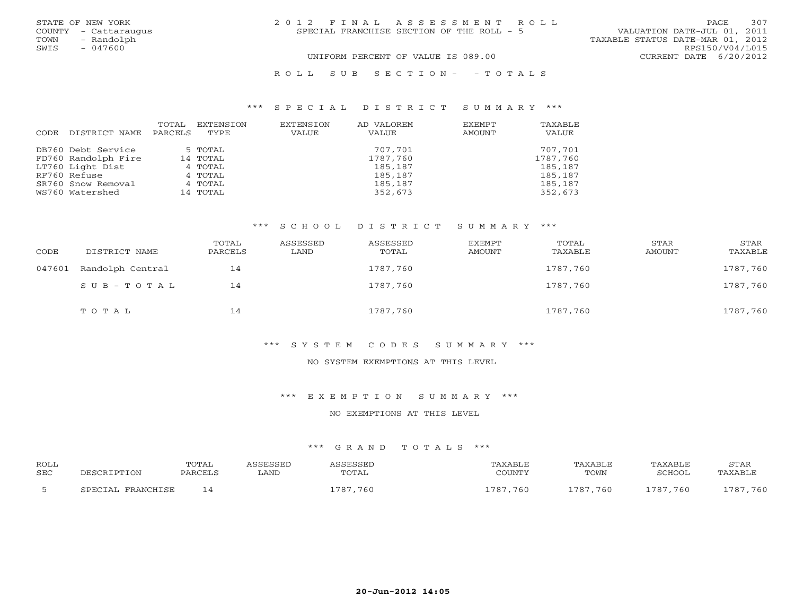| STATE OF NEW YORK |                      | 2012 FINAL ASSESSMENT ROLL                                               | PAGE            | 307 |
|-------------------|----------------------|--------------------------------------------------------------------------|-----------------|-----|
|                   | COUNTY - Cattaraugus | VALUATION DATE-JUL 01, 2011<br>SPECIAL FRANCHISE SECTION OF THE ROLL - 5 |                 |     |
| TOWN              | - Randolph           | TAXABLE STATUS DATE-MAR 01, 2012                                         |                 |     |
| SWIS              | $-047600$            |                                                                          | RPS150/V04/L015 |     |
|                   |                      | UNIFORM PERCENT OF VALUE IS 089.00<br>CURRENT DATE 6/20/2012             |                 |     |
|                   |                      |                                                                          |                 |     |

#### R O L L S U B S E C T I O N - - T O T A L S

#### \*\*\* S P E C I A L D I S T R I C T S U M M A R Y \*\*\*

| CODE | DISTRICT NAME       | TOTAL<br>PARCELS | EXTENSION<br>TYPE | EXTENSION<br><b>VALUE</b> | AD VALOREM<br>VALUE | EXEMPT<br>AMOUNT | TAXABLE<br>VALUE |
|------|---------------------|------------------|-------------------|---------------------------|---------------------|------------------|------------------|
|      | DB760 Debt Service  |                  | 5 TOTAL           |                           | 707,701             |                  | 707,701          |
|      | FD760 Randolph Fire |                  | 14 TOTAL          |                           | 1787,760            |                  | 1787,760         |
|      | LT760 Light Dist    |                  | 4 TOTAL           |                           | 185,187             |                  | 185,187          |
|      | RF760 Refuse        |                  | 4 TOTAL           |                           | 185,187             |                  | 185,187          |
|      | SR760 Snow Removal  |                  | 4 TOTAL           |                           | 185,187             |                  | 185,187          |
|      | WS760 Watershed     |                  | 14 TOTAL          |                           | 352,673             |                  | 352,673          |

#### \*\*\* S C H O O L D I S T R I C T S U M M A R Y \*\*\*

| CODE   | DISTRICT NAME    | TOTAL<br>PARCELS | ASSESSED<br>LAND | ASSESSED<br>TOTAL | EXEMPT<br>AMOUNT | TOTAL<br>TAXABLE | STAR<br>AMOUNT | STAR<br>TAXABLE |
|--------|------------------|------------------|------------------|-------------------|------------------|------------------|----------------|-----------------|
| 047601 | Randolph Central | 14               |                  | 1787,760          |                  | 1787,760         |                | 1787,760        |
|        | SUB-TOTAL        | 14               |                  | 1787,760          |                  | 1787,760         |                | 1787,760        |
|        | TOTAL            | 14               |                  | 1787,760          |                  | 1787,760         |                | 1787,760        |

#### \*\*\* S Y S T E M C O D E S S U M M A R Y \*\*\*

## NO SYSTEM EXEMPTIONS AT THIS LEVEL

### \*\*\* E X E M P T I O N S U M M A R Y \*\*\*

#### NO EXEMPTIONS AT THIS LEVEL

| <b>ROLL</b> |                                   | TOTAL          |      |              | <b>\XABLF</b> | <b>TAXABLF</b> | <b>FAXABI</b> F | STAR        |
|-------------|-----------------------------------|----------------|------|--------------|---------------|----------------|-----------------|-------------|
| SEC         |                                   | <b>PARCEI</b>  | ∟AND | <b>TOTAL</b> | COLINITY      | TOWN           | RUHUUL          | TAXABLI     |
|             | <b>FRANCHICE</b><br>З ⊅ ┰∩ ⊤ ∆ Т. | $\overline{a}$ |      | 787<br>760   | ,760<br>707   | 1787,760       | 1787,760        | ,760<br>707 |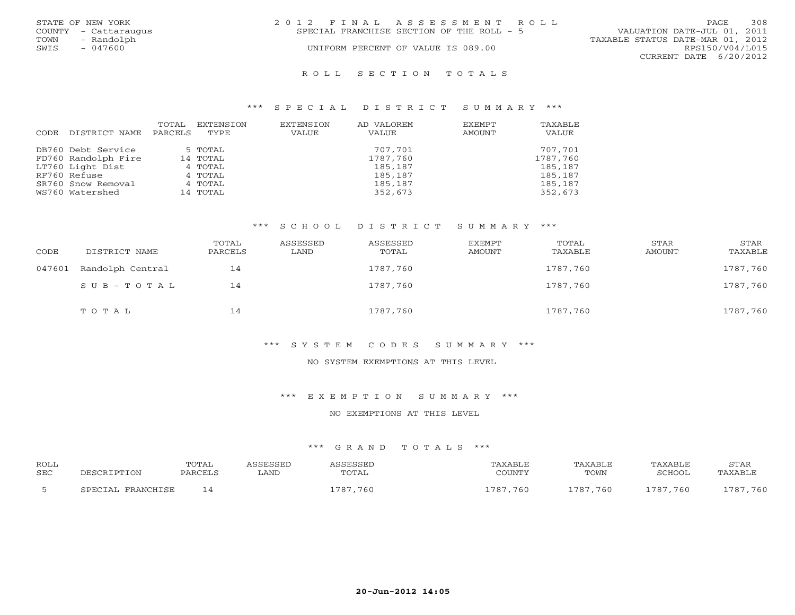|      | STATE OF NEW YORK    | 2012 FINAL ASSESSMENT ROLL                |                                  |                        | PAGE. | 308 |
|------|----------------------|-------------------------------------------|----------------------------------|------------------------|-------|-----|
|      | COUNTY - Cattaraugus | SPECIAL FRANCHISE SECTION OF THE ROLL - 5 | VALUATION DATE-JUL 01, 2011      |                        |       |     |
| TOWN | - Randolph           |                                           | TAXABLE STATUS DATE-MAR 01, 2012 |                        |       |     |
| SWIS | $-047600$            | UNIFORM PERCENT OF VALUE IS 089.00        |                                  | RPS150/V04/L015        |       |     |
|      |                      |                                           |                                  | CURRENT DATE 6/20/2012 |       |     |
|      |                      |                                           |                                  |                        |       |     |

#### R O L L S E C T I O N T O T A L S

#### \*\*\* S P E C I A L D I S T R I C T S U M M A R Y \*\*\*

| CODE | DISTRICT NAME       | TOTAL<br>PARCELS | EXTENSION<br>TYPE. | EXTENSION<br>VALUE | AD VALOREM<br>VALUE | EXEMPT<br>AMOUNT | TAXABLE<br>VALUE |
|------|---------------------|------------------|--------------------|--------------------|---------------------|------------------|------------------|
|      | DB760 Debt Service  |                  | 5 TOTAL            |                    | 707,701             |                  | 707,701          |
|      | FD760 Randolph Fire |                  | 14 TOTAL           |                    | 1787,760            |                  | 1787,760         |
|      | LT760 Light Dist    |                  | 4 TOTAL            |                    | 185,187             |                  | 185,187          |
|      | RF760 Refuse        |                  | 4 TOTAL            |                    | 185,187             |                  | 185,187          |
|      | SR760 Snow Removal  |                  | 4 TOTAL            |                    | 185,187             |                  | 185,187          |
|      | WS760 Watershed     |                  | 14 TOTAL           |                    | 352,673             |                  | 352,673          |

#### \*\*\* S C H O O L D I S T R I C T S U M M A R Y \*\*\*

| CODE   | DISTRICT NAME    | TOTAL<br>PARCELS | ASSESSED<br>LAND | ASSESSED<br>TOTAL | EXEMPT<br>AMOUNT | TOTAL<br>TAXABLE | STAR<br>AMOUNT | STAR<br>TAXABLE |
|--------|------------------|------------------|------------------|-------------------|------------------|------------------|----------------|-----------------|
| 047601 | Randolph Central | 14               |                  | 1787,760          |                  | 1787,760         |                | 1787,760        |
|        | $SUB - TO T AL$  | 14               |                  | 1787,760          |                  | 1787,760         |                | 1787,760        |
|        | TOTAL            | 14               |                  | 1787,760          |                  | 1787,760         |                | 1787,760        |

#### \*\*\* S Y S T E M C O D E S S U M M A R Y \*\*\*

## NO SYSTEM EXEMPTIONS AT THIS LEVEL

### \*\*\* E X E M P T I O N S U M M A R Y \*\*\*

#### NO EXEMPTIONS AT THIS LEVEL

| <b>ROLL</b> |                                   | TOTAL          |      |              | <b>\XABLF</b> | <b>TAXABLF</b> | <b>FAXABI</b> F | STAR        |
|-------------|-----------------------------------|----------------|------|--------------|---------------|----------------|-----------------|-------------|
| SEC         |                                   | <b>PARCEI</b>  | ∟AND | <b>TOTAL</b> | COLINITY      | TOWN           | RUHUUL          | TAXABLI     |
|             | <b>FRANCHICE</b><br>З ⊅ ┰∩ ⊤ ∆ Т. | $\overline{a}$ |      | 787<br>760   | ,760<br>707   | 1787,760       | 1787,760        | ,760<br>707 |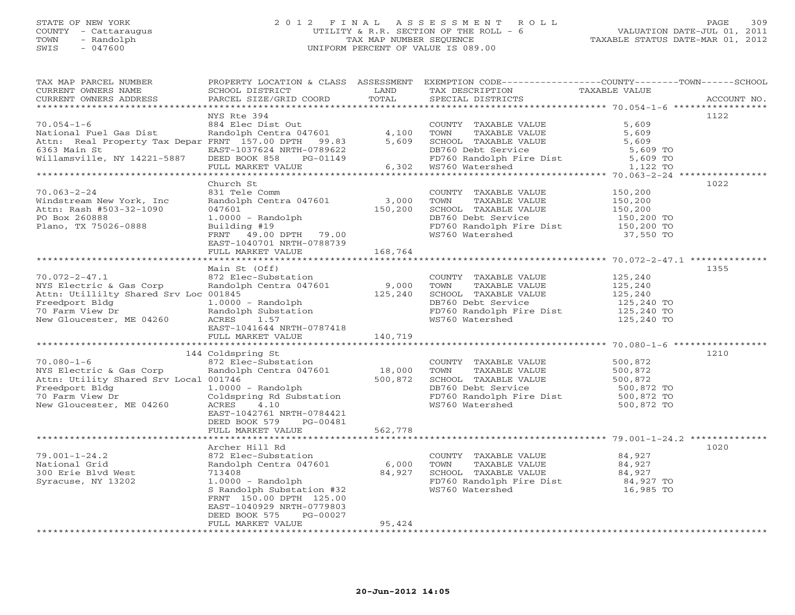# STATE OF NEW YORK 2 0 1 2 F I N A L A S S E S S M E N T R O L L PAGE 309 COUNTY - Cattaraugus UTILITY & R.R. SECTION OF THE ROLL - 6 VALUATION DATE-JUL 01, 2011 TOWN - Randolph TAX MAP NUMBER SEQUENCE TAXABLE STATUS DATE-MAR 01, 2012 SWIS - 047600 UNIFORM PERCENT OF VALUE IS 089.00

| TAX MAP PARCEL NUMBER<br>CURRENT OWNERS NAME<br>CURRENT OWNERS ADDRESS                                                                                                                                                                       | PROPERTY LOCATION & CLASS ASSESSMENT<br>SCHOOL DISTRICT<br>PARCEL SIZE/GRID COORD | LAND<br>TOTAL     | TAX DESCRIPTION<br>SPECIAL DISTRICTS                                                                                        | EXEMPTION CODE-----------------COUNTY-------TOWN------SCHOOL<br>TAXABLE VALUE<br>ACCOUNT NO. |
|----------------------------------------------------------------------------------------------------------------------------------------------------------------------------------------------------------------------------------------------|-----------------------------------------------------------------------------------|-------------------|-----------------------------------------------------------------------------------------------------------------------------|----------------------------------------------------------------------------------------------|
| **********************                                                                                                                                                                                                                       |                                                                                   |                   |                                                                                                                             |                                                                                              |
|                                                                                                                                                                                                                                              | NYS Rte 394                                                                       |                   |                                                                                                                             | 1122                                                                                         |
| $70.054 - 1 - 6$                                                                                                                                                                                                                             | 884 Elec Dist Out                                                                 |                   | COUNTY TAXABLE VALUE                                                                                                        | 5,609                                                                                        |
|                                                                                                                                                                                                                                              |                                                                                   |                   | TAXABLE VALUE                                                                                                               | 5,609                                                                                        |
|                                                                                                                                                                                                                                              |                                                                                   |                   | SCHOOL TAXABLE VALUE                                                                                                        | 5,609                                                                                        |
|                                                                                                                                                                                                                                              |                                                                                   |                   |                                                                                                                             |                                                                                              |
|                                                                                                                                                                                                                                              |                                                                                   |                   |                                                                                                                             |                                                                                              |
| VOLUME 19904-1-0<br>National Fuel Gas Dist<br>National Fuel Gas Dist<br>National Fuel Gas Dist<br>National Property Tax Depar FRNT 157.00 DPTH 99.83<br>EAST-1037624 NRTH-0789622<br>EAST-1037624 NRTH-0789622<br>Millamsville, NY 14221-588 |                                                                                   |                   | CONCORRECTED SERVICE<br>DB760 Debt Service<br>FD760 Randolph Fire Dist<br>WS760 Watershed 1,122 TO<br>6,302 WS760 Watershed |                                                                                              |
| **********************                                                                                                                                                                                                                       |                                                                                   |                   |                                                                                                                             |                                                                                              |
|                                                                                                                                                                                                                                              | Church St                                                                         |                   |                                                                                                                             | 1022                                                                                         |
| $70.063 - 2 - 24$                                                                                                                                                                                                                            | 831 Tele Comm                                                                     |                   | COUNTY TAXABLE VALUE                                                                                                        | 150,200<br>150,200<br>150,200                                                                |
| Windstream New York, Inc                                                                                                                                                                                                                     | Randolph Centra 047601                                                            | 3,000             | TOWN<br>TAXABLE VALUE                                                                                                       |                                                                                              |
| Attn: Rash #503-32-1090                                                                                                                                                                                                                      | 047601                                                                            | 150,200           | SCHOOL TAXABLE VALUE                                                                                                        |                                                                                              |
| PO Box 260888                                                                                                                                                                                                                                | $1.0000 - Random$                                                                 |                   | DB760 Debt Service                                                                                                          | 150,200 TO<br>150,200 TO                                                                     |
| Plano, TX 75026-0888                                                                                                                                                                                                                         | Building #19                                                                      |                   | FD760 Randolph Fire Dist                                                                                                    |                                                                                              |
|                                                                                                                                                                                                                                              | FRNT 49.00 DPTH 79.00                                                             |                   | WS760 Watershed                                                                                                             | 37,550 TO                                                                                    |
|                                                                                                                                                                                                                                              | EAST-1040701 NRTH-0788739                                                         |                   |                                                                                                                             |                                                                                              |
|                                                                                                                                                                                                                                              | FULL MARKET VALUE 168,764                                                         |                   |                                                                                                                             |                                                                                              |
|                                                                                                                                                                                                                                              |                                                                                   |                   |                                                                                                                             | 1355                                                                                         |
|                                                                                                                                                                                                                                              | Main St (Off)                                                                     |                   |                                                                                                                             |                                                                                              |
| 70.072-2-47.1 872 Elec-Substation<br>NYS Electric & Gas Corp Randolph Centra 047601 9,000<br>25,240 125,240                                                                                                                                  |                                                                                   |                   | COUNTY TAXABLE VALUE<br>TOWN TAXABLE VALUE                                                                                  | 125,240<br>125,240<br>125,240                                                                |
|                                                                                                                                                                                                                                              |                                                                                   |                   | SCHOOL TAXABLE VALUE                                                                                                        |                                                                                              |
|                                                                                                                                                                                                                                              |                                                                                   |                   | DB760 Debt Service                                                                                                          |                                                                                              |
| Freedport Bldg<br>70 Farm View Dr<br>New Gloucester, ME 04260<br>New Gloucester, ME 04260<br>TROW 1041544 NPTH 0707410                                                                                                                       |                                                                                   |                   |                                                                                                                             |                                                                                              |
|                                                                                                                                                                                                                                              |                                                                                   |                   | WS760 Watershed                                                                                                             | 125,240 TO                                                                                   |
|                                                                                                                                                                                                                                              | EAST-1041644 NRTH-0787418                                                         |                   |                                                                                                                             |                                                                                              |
|                                                                                                                                                                                                                                              | FULL MARKET VALUE 140,719                                                         |                   |                                                                                                                             |                                                                                              |
|                                                                                                                                                                                                                                              |                                                                                   |                   |                                                                                                                             |                                                                                              |
|                                                                                                                                                                                                                                              | 144 Coldspring St                                                                 |                   |                                                                                                                             | 1210                                                                                         |
| $70.080 - 1 - 6$                                                                                                                                                                                                                             | 872 Elec-Substation                                                               |                   | COUNTY TAXABLE VALUE 500,872<br>TOWN TAXABLE VALUE 500,872<br>SCHOOL TAXABLE VALUE 500,872                                  |                                                                                              |
| NYS Electric & Gas Corp                                                                                                                                                                                                                      | Randolph Centra 047601                                                            | 18,000<br>500,872 |                                                                                                                             |                                                                                              |
| Attn: Utility Shared Srv Local 001746                                                                                                                                                                                                        |                                                                                   |                   |                                                                                                                             |                                                                                              |
| Freedport Bldg                                                                                                                                                                                                                               | $1.0000 - Random$                                                                 |                   | DB760 Debt Service                                                                                                          | 500,872 TO                                                                                   |
| 70 Farm View Dr                                                                                                                                                                                                                              | Coldspring Rd Substation                                                          |                   | FD760 Randolph Fire Dist<br>FD760 Randolph Fire Dist 500,872 TO<br>WS760 Watershed 500,872 TO                               |                                                                                              |
| New Gloucester, ME 04260                                                                                                                                                                                                                     | ACRES<br>4.10                                                                     |                   |                                                                                                                             |                                                                                              |
|                                                                                                                                                                                                                                              | EAST-1042761 NRTH-0784421                                                         |                   |                                                                                                                             |                                                                                              |
|                                                                                                                                                                                                                                              | DEED BOOK 579<br>PG-00481                                                         |                   |                                                                                                                             |                                                                                              |
|                                                                                                                                                                                                                                              | FULL MARKET VALUE                                                                 | 562,778           |                                                                                                                             |                                                                                              |
|                                                                                                                                                                                                                                              |                                                                                   |                   |                                                                                                                             |                                                                                              |
|                                                                                                                                                                                                                                              | Archer Hill Rd                                                                    |                   |                                                                                                                             | 1020                                                                                         |
| $79.001 - 1 - 24.2$                                                                                                                                                                                                                          | 872 Elec-Substation                                                               |                   | COUNTY TAXABLE VALUE                                                                                                        | 84,927                                                                                       |
| National Grid                                                                                                                                                                                                                                | Randolph Centra 047601 6,000                                                      |                   | TAXABLE VALUE<br>TOWN                                                                                                       | 84,927                                                                                       |
| 300 Erie Blvd West<br>Syracuse, NY 13202                                                                                                                                                                                                     | 713408 84,927<br>1.0000 - Randolph<br>S Randolph Substation #32                   |                   | SCHOOL TAXABLE VALUE                                                                                                        | 84,927                                                                                       |
|                                                                                                                                                                                                                                              | S Randolph Substation #32                                                         |                   | FD760 Randolph Fire Dist 64,927 TO<br>WS760 Watershed 16,985 TO                                                             |                                                                                              |
|                                                                                                                                                                                                                                              | FRNT 150.00 DPTH 125.00                                                           |                   |                                                                                                                             |                                                                                              |
|                                                                                                                                                                                                                                              | EAST-1040929 NRTH-0779803                                                         |                   |                                                                                                                             |                                                                                              |
|                                                                                                                                                                                                                                              | PG-00027<br>DEED BOOK 575                                                         |                   |                                                                                                                             |                                                                                              |
|                                                                                                                                                                                                                                              | FULL MARKET VALUE                                                                 | 95,424            |                                                                                                                             |                                                                                              |
|                                                                                                                                                                                                                                              |                                                                                   |                   |                                                                                                                             |                                                                                              |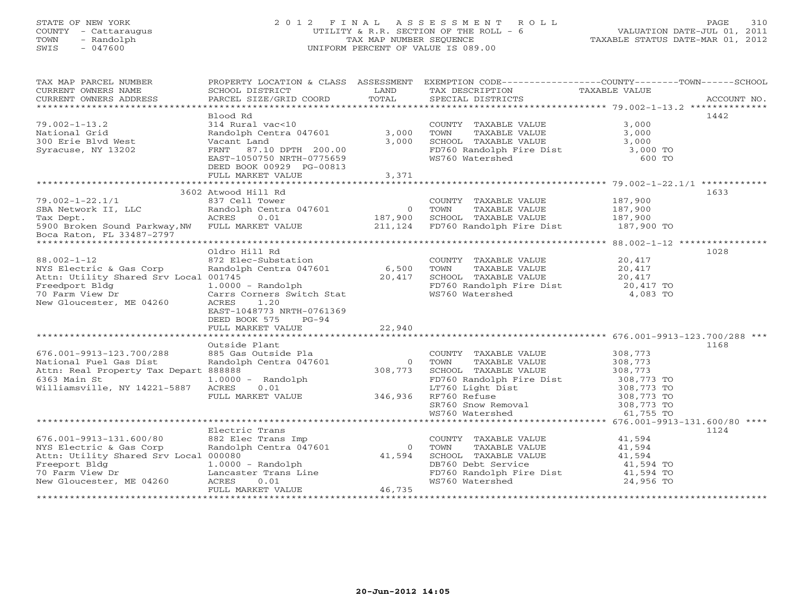# STATE OF NEW YORK 2 0 1 2 F I N A L A S S E S S M E N T R O L L PAGE 310 COUNTY - Cattaraugus UTILITY & R.R. SECTION OF THE ROLL - 6 VALUATION DATE-JUL 01, 2011 TOWN - Randolph TAX MAP NUMBER SEQUENCE TAXABLE STATUS DATE-MAR 01, 2012 SWIS - 047600 UNIFORM PERCENT OF VALUE IS 089.00

| TAX MAP PARCEL NUMBER<br>CURRENT OWNERS NAME                 | SCHOOL DISTRICT                                         | LAND           | TAX DESCRIPTION                                   | PROPERTY LOCATION & CLASS ASSESSMENT EXEMPTION CODE---------------COUNTY-------TOWN------SCHOOL<br>TAXABLE VALUE |
|--------------------------------------------------------------|---------------------------------------------------------|----------------|---------------------------------------------------|------------------------------------------------------------------------------------------------------------------|
| CURRENT OWNERS ADDRESS                                       | PARCEL SIZE/GRID COORD                                  | TOTAL          | SPECIAL DISTRICTS                                 | ACCOUNT NO.                                                                                                      |
|                                                              | Blood Rd                                                |                |                                                   | 1442                                                                                                             |
| $79.002 - 1 - 13.2$                                          | 314 Rural vac<10                                        |                | COUNTY TAXABLE VALUE                              | 3,000                                                                                                            |
| National Grid                                                | Randolph Centra 047601                                  | 3,000          |                                                   |                                                                                                                  |
| 300 Erie Blvd West                                           | Vacant Land                                             | 3,000          |                                                   |                                                                                                                  |
| Syracuse, NY 13202                                           | FRNT 87.10 DPTH 200.00                                  |                | FD760 Randolph Fire Dist 3,000 TO                 |                                                                                                                  |
|                                                              | EAST-1050750 NRTH-0775659                               |                | WS760 Watershed                                   | 600 TO                                                                                                           |
|                                                              | DEED BOOK 00929 PG-00813                                |                |                                                   |                                                                                                                  |
|                                                              | FULL MARKET VALUE                                       | 3,371          |                                                   |                                                                                                                  |
|                                                              |                                                         |                |                                                   |                                                                                                                  |
|                                                              | 3602 Atwood Hill Rd                                     |                |                                                   | 1633                                                                                                             |
| $79.002 - 1 - 22.1/1$                                        |                                                         |                | COUNTY TAXABLE VALUE                              | 187,900                                                                                                          |
| SBA Network II, LLC                                          | os/ Cell Tower<br>Randolph Centra 047601<br>ACRES ACRES | $\overline{0}$ | TOWN<br>TAXABLE VALUE                             | 187,900                                                                                                          |
| Tax Dept.                                                    | ACRES<br>0.01                                           | 187,900        | SCHOOL TAXABLE VALUE                              | 187,900                                                                                                          |
| 5900 Broken Sound Parkway, NW FULL MARKET VALUE              |                                                         | 211,124        | SCHOOL  TAXABLE VALUE<br>FD760 Randolph Fire Dist | $187,900$ TO                                                                                                     |
| Boca Raton, FL 33487-2797                                    |                                                         |                |                                                   |                                                                                                                  |
|                                                              |                                                         |                |                                                   |                                                                                                                  |
|                                                              | Oldro Hill Rd                                           |                |                                                   | 1028                                                                                                             |
| $88.002 - 1 - 12$                                            | 872 Elec-Substation                                     |                | COUNTY TAXABLE VALUE                              | 20,417                                                                                                           |
| NYS Electric & Gas Corp                                      | Randolph Centra 047601                                  | 6,500          | TAXABLE VALUE<br>TOWN                             | 20,417                                                                                                           |
| Attn: Utility Shared Srv Local 001745                        |                                                         | 20,417         | SCHOOL TAXABLE VALUE                              | 20,417                                                                                                           |
| Freedport Bldg                                               | $1.0000 - Random$                                       |                | FD760 Randolph Fire Dist 20,417 TO                |                                                                                                                  |
| 70 Farm View Dr                                              | Carrs Corners Switch Stat                               |                | WS760 Watershed                                   | 4,083 TO                                                                                                         |
| New Gloucester, ME 04260                                     | <b>ACRES</b><br>1.20                                    |                |                                                   |                                                                                                                  |
|                                                              | EAST-1048773 NRTH-0761369                               |                |                                                   |                                                                                                                  |
|                                                              | DEED BOOK 575<br>PG-94                                  |                |                                                   |                                                                                                                  |
|                                                              | FULL MARKET VALUE                                       | 22,940         |                                                   |                                                                                                                  |
|                                                              | Outside Plant                                           |                |                                                   | 1168                                                                                                             |
| 676.001-9913-123.700/288                                     | 885 Gas Outside Pla                                     |                | COUNTY TAXABLE VALUE                              | 308,773                                                                                                          |
| National Fuel Gas Dist                                       | Randolph Centra 047601                                  |                | 0 TOWN<br>TAXABLE VALUE                           | 308,773                                                                                                          |
| Attn: Real Property Tax Depart 888888                        |                                                         | 308,773        | SCHOOL TAXABLE VALUE                              | 308,773                                                                                                          |
| 6363 Main St                                                 | $1.0000 - Random$                                       |                | FD760 Randolph Fire Dist                          | 308,773 TO                                                                                                       |
| Williamsville, NY 14221-5887                                 | ACRES<br>0.01                                           |                | LT760 Light Dist                                  | 308,773 TO                                                                                                       |
|                                                              | FULL MARKET VALUE 346,936 RF760 Refuse                  |                |                                                   | 308,773 TO<br>308,773 TO<br>308,773 TO                                                                           |
|                                                              |                                                         |                | SR760 Snow Removal                                |                                                                                                                  |
|                                                              |                                                         |                | WS760 Watershed                                   | 61,755 TO                                                                                                        |
|                                                              |                                                         |                |                                                   |                                                                                                                  |
|                                                              | Electric Trans                                          |                |                                                   | 1124                                                                                                             |
| 676.001-9913-131.600/80                                      | 882 Elec Trans Imp                                      |                | COUNTY TAXABLE VALUE                              | 41,594                                                                                                           |
| NYS Electric & Gas Corp                                      | Randolph Centra 047601                                  |                | 0 TOWN<br>TAXABLE VALUE                           | 41,594                                                                                                           |
| Attn: Utility Shared Srv Local 000080                        |                                                         | 41,594         | SCHOOL TAXABLE VALUE                              | 41,594                                                                                                           |
|                                                              | $1.0000 - Random$                                       |                | DB760 Debt Service                                | 41,594 TO                                                                                                        |
|                                                              | Lancaster Trans Line                                    |                | FD760 Randolph Fire Dist                          | 41,594 TO                                                                                                        |
| Freeport Bldg<br>70 Farm View Dr<br>New Gloucester, ME 04260 | ACRES<br>0.01                                           |                | WS760 Watershed                                   | 24,956 TO                                                                                                        |
|                                                              | FULL MARKET VALUE                                       | 46,735         |                                                   |                                                                                                                  |
|                                                              |                                                         |                |                                                   |                                                                                                                  |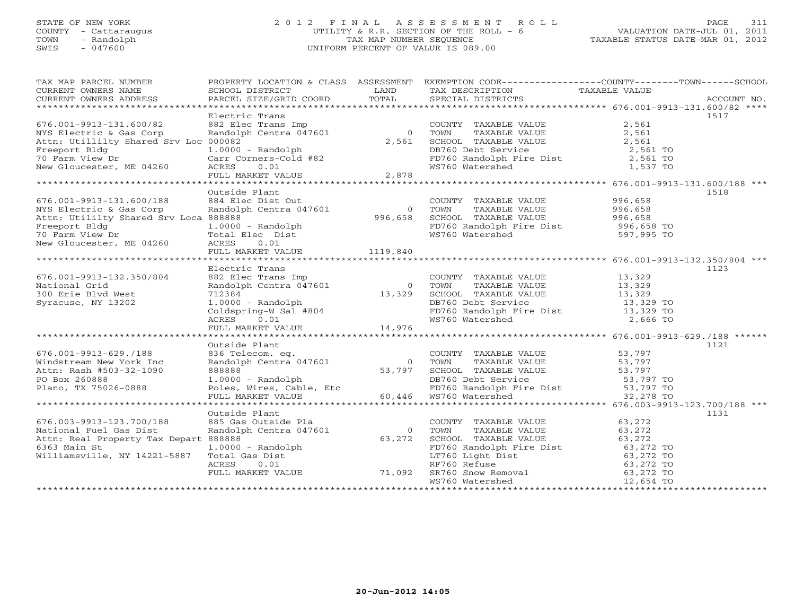# STATE OF NEW YORK 2 0 1 2 F I N A L A S S E S S M E N T R O L L PAGE 311 COUNTY - Cattaraugus UTILITY & R.R. SECTION OF THE ROLL - 6 VALUATION DATE-JUL 01, 2011 TOWN - Randolph TAX MAP NUMBER SEQUENCE TAXABLE STATUS DATE-MAR 01, 2012 SWIS - 047600 UNIFORM PERCENT OF VALUE IS 089.00

| TAX MAP PARCEL NUMBER<br>CURRENT OWNERS NAME<br>CURRENT OWNERS ADDRESS | SCHOOL DISTRICT<br>PARCEL SIZE/GRID COORD | LAND<br>TOTAL  | TAX DESCRIPTION<br>SPECIAL DISTRICTS                            | PROPERTY LOCATION & CLASS ASSESSMENT EXEMPTION CODE----------------COUNTY-------TOWN------SCHOOL<br>TAXABLE VALUE<br>ACCOUNT NO. |
|------------------------------------------------------------------------|-------------------------------------------|----------------|-----------------------------------------------------------------|----------------------------------------------------------------------------------------------------------------------------------|
|                                                                        |                                           |                |                                                                 |                                                                                                                                  |
|                                                                        | Electric Trans                            |                |                                                                 | 1517                                                                                                                             |
| 676.001-9913-131.600/82                                                | 882 Elec Trans Imp                        |                | COUNTY TAXABLE VALUE                                            | 2,561                                                                                                                            |
| NYS Electric & Gas Corp                                                | Randolph Centra 047601                    | $\overline{0}$ | TOWN<br>TAXABLE VALUE                                           | 2,561                                                                                                                            |
| Attn: Utillilty Shared Srv Loc 000082                                  |                                           | 2,561          | SCHOOL TAXABLE VALUE                                            | 2,561                                                                                                                            |
| Freeport Bldg                                                          | $1.0000 - Random$                         |                | DB760 Debt Service                                              | 2,561 TO                                                                                                                         |
| 70 Farm View Dr                                                        | Carr Corners-Cold #82<br>ACRES<br>0.01    |                | FD760 Randolph Fire Dist<br>WS760 Watershed                     | 2,561 TO<br>1,537 TO                                                                                                             |
| New Gloucester, ME 04260                                               | FULL MARKET VALUE                         | 2,878          |                                                                 |                                                                                                                                  |
|                                                                        |                                           |                |                                                                 |                                                                                                                                  |
|                                                                        | Outside Plant                             |                |                                                                 | 1518                                                                                                                             |
| 676.001-9913-131.600/188                                               | 884 Elec Dist Out                         |                | COUNTY TAXABLE VALUE                                            | 996,658                                                                                                                          |
| NYS Electric & Gas Corp                                                | Randolph Centra 047601                    | $\overline{0}$ | TOWN<br>TAXABLE VALUE                                           | 996,658                                                                                                                          |
| Attn: Utililty Shared Srv Loca 888888                                  |                                           | 996,658        | SCHOOL TAXABLE VALUE                                            | 996,658                                                                                                                          |
| Freeport Bldg                                                          | $1.0000 - Random$                         |                | FD760 Randolph Fire Dist                                        | 996,658 TO                                                                                                                       |
| 70 Farm View Dr                                                        | Total Elec Dist                           |                | WS760 Watershed                                                 | 597,995 TO                                                                                                                       |
| New Gloucester, ME 04260                                               | ACRES<br>0.01                             |                |                                                                 |                                                                                                                                  |
|                                                                        | FULL MARKET VALUE                         | 1119,840       |                                                                 |                                                                                                                                  |
|                                                                        |                                           |                |                                                                 |                                                                                                                                  |
| 676.001-9913-132.350/804                                               | Electric Trans<br>882 Elec Trans Imp      |                |                                                                 | 1123                                                                                                                             |
| National Grid                                                          | Randolph Centra 047601                    | $\overline{0}$ | COUNTY TAXABLE VALUE<br>TOWN<br>TAXABLE VALUE                   | 13,329<br>13,329                                                                                                                 |
| 300 Erie Blvd West                                                     | 712384                                    | 13,329         | SCHOOL TAXABLE VALUE                                            | 13,329                                                                                                                           |
| Syracuse, NY 13202                                                     | $1.0000 - Random$                         |                | DB760 Debt Service                                              | 13,329 TO                                                                                                                        |
|                                                                        | Coldspring-W Sal #804                     |                | FD760 Randolph Fire Dist 13,329 TO                              |                                                                                                                                  |
|                                                                        | ACRES<br>0.01                             |                | WS760 Watershed                                                 | 2,666 TO                                                                                                                         |
|                                                                        | FULL MARKET VALUE                         | 14,976         |                                                                 |                                                                                                                                  |
|                                                                        |                                           |                |                                                                 |                                                                                                                                  |
|                                                                        | Outside Plant                             |                |                                                                 | 1121                                                                                                                             |
| 676.001-9913-629./188                                                  | 836 Telecom. eq.                          |                | COUNTY TAXABLE VALUE                                            | 53,797                                                                                                                           |
| Windstream New York Inc                                                | Randolph Centra 047601                    | $\bigcirc$     | TAXABLE VALUE<br>TOWN                                           | 53,797                                                                                                                           |
| Attn: Rash #503-32-1090<br>PO Box 260888                               | 888888<br>$1.0000 - Random$               | 53,797         | SCHOOL TAXABLE VALUE<br>DB760 Debt Service                      | 53,797<br>53,797 TO                                                                                                              |
| Plano, TX 75026-0888                                                   | Poles, Wires, Cable, Etc                  |                |                                                                 |                                                                                                                                  |
|                                                                        | FULL MARKET VALUE                         | 60,446         | FD760 Randolph Fire Dist 53,797 TO<br>WS760 Watershed 32,278 TO |                                                                                                                                  |
|                                                                        |                                           |                |                                                                 |                                                                                                                                  |
|                                                                        | Outside Plant                             |                |                                                                 | 1131                                                                                                                             |
| 676.003-9913-123.700/188                                               | 885 Gas Outside Pla                       |                | COUNTY TAXABLE VALUE                                            | 63,272                                                                                                                           |
| National Fuel Gas Dist                                                 | Randolph Centra 047601                    | $\overline{0}$ | TOWN<br>TAXABLE VALUE                                           | 63,272                                                                                                                           |
| Attn: Real Property Tax Depart 888888                                  |                                           | 63,272         | SCHOOL TAXABLE VALUE                                            | 63,272                                                                                                                           |
| 6363 Main St                                                           | $1.0000 - Random$                         |                | FD760 Randolph Fire Dist                                        | 63,272 TO                                                                                                                        |
| Williamsville, NY 14221-5887                                           | Total Gas Dist                            |                | LT760 Light Dist                                                | 63,272 TO                                                                                                                        |
|                                                                        | ACRES<br>0.01                             |                | RF760 Refuse                                                    | 63,272 TO                                                                                                                        |
|                                                                        | FULL MARKET VALUE 71,092                  |                | SR760 Snow Removal<br>WS760 Watershed                           | 63,272 TO<br>12,654 TO                                                                                                           |
|                                                                        |                                           |                |                                                                 |                                                                                                                                  |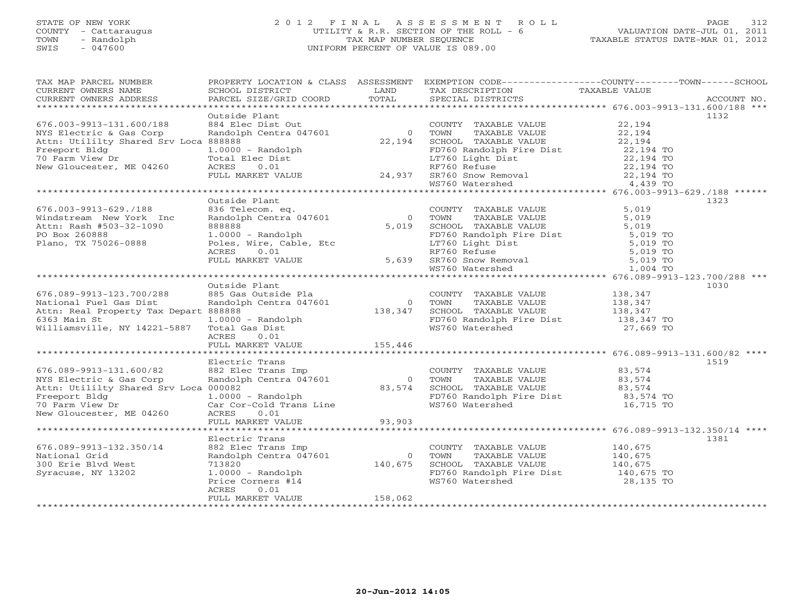# STATE OF NEW YORK 2 0 1 2 F I N A L A S S E S S M E N T R O L L PAGE 312 COUNTY - Cattaraugus UTILITY & R.R. SECTION OF THE ROLL - 6 VALUATION DATE-JUL 01, 2011 TOWN - Randolph TAX MAP NUMBER SEQUENCE TAXABLE STATUS DATE-MAR 01, 2012 SWIS - 047600 UNIFORM PERCENT OF VALUE IS 089.00

| TAX MAP PARCEL NUMBER<br>CURRENT OWNERS NAME<br>CURRENT OWNERS ADDRESS | SCHOOL DISTRICT<br>PARCEL SIZE/GRID COORD                                                                                                                                                                       | LAND<br>TOTAL                    | TAX DESCRIPTION<br>SPECIAL DISTRICTS                                                                                                                                                                                             | PROPERTY LOCATION & CLASS ASSESSMENT EXEMPTION CODE----------------COUNTY-------TOWN------SCHOOL<br>TAXABLE VALUE | ACCOUNT NO. |
|------------------------------------------------------------------------|-----------------------------------------------------------------------------------------------------------------------------------------------------------------------------------------------------------------|----------------------------------|----------------------------------------------------------------------------------------------------------------------------------------------------------------------------------------------------------------------------------|-------------------------------------------------------------------------------------------------------------------|-------------|
|                                                                        |                                                                                                                                                                                                                 |                                  |                                                                                                                                                                                                                                  |                                                                                                                   |             |
|                                                                        | Outside Plant                                                                                                                                                                                                   |                                  |                                                                                                                                                                                                                                  |                                                                                                                   | 1132        |
| 676.003-9913-131.600/188                                               | 884 Elec Dist Out                                                                                                                                                                                               |                                  | COUNTY TAXABLE VALUE                                                                                                                                                                                                             | 22,194                                                                                                            |             |
| NYS Electric & Gas Corp                                                | Randolph Centra 047601                                                                                                                                                                                          | 0 TOWN                           | TAXABLE VALUE                                                                                                                                                                                                                    | 22,194                                                                                                            |             |
| Attn: Utililty Shared Srv Loca 888888                                  |                                                                                                                                                                                                                 | 22,194                           | SCHOOL TAXABLE VALUE                                                                                                                                                                                                             | 22,194                                                                                                            |             |
| Freeport Bldg                                                          | $1.0000 - Random$                                                                                                                                                                                               |                                  |                                                                                                                                                                                                                                  | 22,194 TO                                                                                                         |             |
|                                                                        |                                                                                                                                                                                                                 |                                  |                                                                                                                                                                                                                                  |                                                                                                                   |             |
| To Farm View Dr<br>New Gloucester, ME 04260                            |                                                                                                                                                                                                                 |                                  | FD760 Randolph Fire Dist<br>LT760 Light Dist<br>RF760 Refuse                                                                                                                                                                     |                                                                                                                   |             |
|                                                                        |                                                                                                                                                                                                                 |                                  |                                                                                                                                                                                                                                  |                                                                                                                   |             |
|                                                                        |                                                                                                                                                                                                                 |                                  |                                                                                                                                                                                                                                  |                                                                                                                   |             |
|                                                                        | 1.0000 - Kandoiphi<br>Total Elec Dist<br>ACRES 0.01 RF760 Refuse 24,937 RF760 Refuse 22,194 TO<br>FULL MARKET VALUE 24,937 SR760 Snow Removal 22,194 TO<br>WS760 Watershed 4,439 TO<br>WS760 Watershed 4,439 TO |                                  |                                                                                                                                                                                                                                  |                                                                                                                   |             |
|                                                                        | Outside Plant                                                                                                                                                                                                   |                                  |                                                                                                                                                                                                                                  |                                                                                                                   | 1323        |
| $676.003 - 9913 - 629.7188$                                            | 836 Telecom. eq.                                                                                                                                                                                                |                                  |                                                                                                                                                                                                                                  | 5,019                                                                                                             |             |
| Windstream New York Inc                                                | oso rerecom. eq.<br>Randolph Centra 047601                                                                                                                                                                      | $0$ TOWN                         | COUNTY TAXABLE VALUE<br>TOWN      TAXABLE VALUE                                                                                                                                                                                  | 5,019                                                                                                             |             |
| Attn: Rash #503-32-1090                                                | 888888                                                                                                                                                                                                          | 5,019                            |                                                                                                                                                                                                                                  |                                                                                                                   |             |
| PO Box 260888                                                          | 0.0000 - Randolph<br>Poles, Wire, Cable, Etc<br>ACRES 0.01                                                                                                                                                      |                                  | CHOOL TAXABLE VALUE<br>FD760 Randolph Fire Dist<br>LT760 Light Dist<br>RF760 Refuse<br>BET760 Refuse<br>FD760 Refuse<br>BET760 Refuse<br>BET760 Refuse<br>BET760 Refuse<br>BET760 Refuse<br>BET760 Refuse                        |                                                                                                                   |             |
| Plano, TX 75026-0888                                                   |                                                                                                                                                                                                                 |                                  |                                                                                                                                                                                                                                  |                                                                                                                   |             |
|                                                                        |                                                                                                                                                                                                                 |                                  | ET 160 Light Dist<br>RF760 Refuse the control of the state of the STAGE of the STAGE of the SRT60 Show Removal the STAGE of the STAGE of the STAGE of the STAGE of the STAGE of the STAGE of the STAGE of the STAGE of the STAGE |                                                                                                                   |             |
|                                                                        | FULL MARKET VALUE 5,639 SR760 Snow Removal                                                                                                                                                                      |                                  |                                                                                                                                                                                                                                  |                                                                                                                   |             |
|                                                                        |                                                                                                                                                                                                                 |                                  |                                                                                                                                                                                                                                  |                                                                                                                   |             |
|                                                                        |                                                                                                                                                                                                                 |                                  |                                                                                                                                                                                                                                  |                                                                                                                   |             |
|                                                                        | Outside Plant                                                                                                                                                                                                   |                                  |                                                                                                                                                                                                                                  |                                                                                                                   | 1030        |
| 676.089-9913-123.700/288                                               | 885 Gas Outside Pla                                                                                                                                                                                             |                                  | COUNTY TAXABLE VALUE 138,347                                                                                                                                                                                                     |                                                                                                                   |             |
| National Fuel Gas Dist                                                 | Randolph Centra 047601                                                                                                                                                                                          | $0$<br>138,347<br>$\overline{0}$ | TAXABLE VALUE<br>TOWN                                                                                                                                                                                                            |                                                                                                                   |             |
| Attn: Real Property Tax Depart 888888                                  |                                                                                                                                                                                                                 |                                  | SCHOOL TAXABLE VALUE                                                                                                                                                                                                             | 138,347<br>138,347                                                                                                |             |
| 6363 Main St                                                           | $1.0000 - Random$                                                                                                                                                                                               |                                  | FD760 Randolph Fire Dist<br>WS760 Watershed 27,669 TO                                                                                                                                                                            |                                                                                                                   |             |
| Williamsville, NY 14221-5887 Total Gas Dist                            |                                                                                                                                                                                                                 |                                  |                                                                                                                                                                                                                                  |                                                                                                                   |             |
|                                                                        | ACRES<br>0.01                                                                                                                                                                                                   |                                  |                                                                                                                                                                                                                                  |                                                                                                                   |             |
|                                                                        | FULL MARKET VALUE 155,446                                                                                                                                                                                       |                                  |                                                                                                                                                                                                                                  |                                                                                                                   |             |
|                                                                        |                                                                                                                                                                                                                 |                                  |                                                                                                                                                                                                                                  |                                                                                                                   |             |
|                                                                        | Electric Trans                                                                                                                                                                                                  |                                  |                                                                                                                                                                                                                                  |                                                                                                                   | 1519        |
| 676.089-9913-131.600/82                                                |                                                                                                                                                                                                                 |                                  | COUNTY TAXABLE VALUE                                                                                                                                                                                                             | 83,574                                                                                                            |             |
| NYS Electric & Gas Corp                                                | 882 Elec Trans Imp<br>Randolph Centra 047601                                                                                                                                                                    | 0 TOWN                           | TAXABLE VALUE 83,574                                                                                                                                                                                                             |                                                                                                                   |             |
| Attn: Utililty Shared Srv Loca 000082                                  |                                                                                                                                                                                                                 | 83,574                           | SCHOOL TAXABLE VALUE                                                                                                                                                                                                             | 83,574                                                                                                            |             |
| Freeport Bldg                                                          | 1.0000 - Randolph<br>Car Cor-Cold Trans Line                                                                                                                                                                    |                                  |                                                                                                                                                                                                                                  |                                                                                                                   |             |
| 70 Farm View Dr                                                        |                                                                                                                                                                                                                 |                                  | WS760 Watershed                                                                                                                                                                                                                  | 16,715 TO                                                                                                         |             |
| New Gloucester, ME 04260                                               | ACRES<br>0.01                                                                                                                                                                                                   |                                  |                                                                                                                                                                                                                                  |                                                                                                                   |             |
|                                                                        | FULL MARKET VALUE                                                                                                                                                                                               | 93,903                           |                                                                                                                                                                                                                                  |                                                                                                                   |             |
|                                                                        |                                                                                                                                                                                                                 |                                  |                                                                                                                                                                                                                                  |                                                                                                                   |             |
|                                                                        | Electric Trans                                                                                                                                                                                                  |                                  |                                                                                                                                                                                                                                  |                                                                                                                   | 1381        |
| 676.089-9913-132.350/14                                                | 882 Elec Trans Imp                                                                                                                                                                                              |                                  | COUNTY TAXABLE VALUE                                                                                                                                                                                                             | 140,675                                                                                                           |             |
| National Grid                                                          | Randolph Centra 047601                                                                                                                                                                                          |                                  | 0 TOWN<br>TAXABLE VALUE                                                                                                                                                                                                          | 140,675                                                                                                           |             |
| 300 Erie Blvd West                                                     | 713820                                                                                                                                                                                                          | 140,675                          | SCHOOL TAXABLE VALUE<br>FD760 Randolph Fire Dist                                                                                                                                                                                 | 140,675<br>140,675 TO                                                                                             |             |
| Syracuse, NY 13202                                                     | 1.0000 - Randolph<br>Price Corners #14                                                                                                                                                                          |                                  |                                                                                                                                                                                                                                  |                                                                                                                   |             |
|                                                                        |                                                                                                                                                                                                                 |                                  | WS760 Watershed                                                                                                                                                                                                                  | 28,135 TO                                                                                                         |             |
|                                                                        | ACRES<br>0.01<br>FULL MARKET VALUE                                                                                                                                                                              | 158,062                          |                                                                                                                                                                                                                                  |                                                                                                                   |             |
|                                                                        |                                                                                                                                                                                                                 |                                  |                                                                                                                                                                                                                                  |                                                                                                                   |             |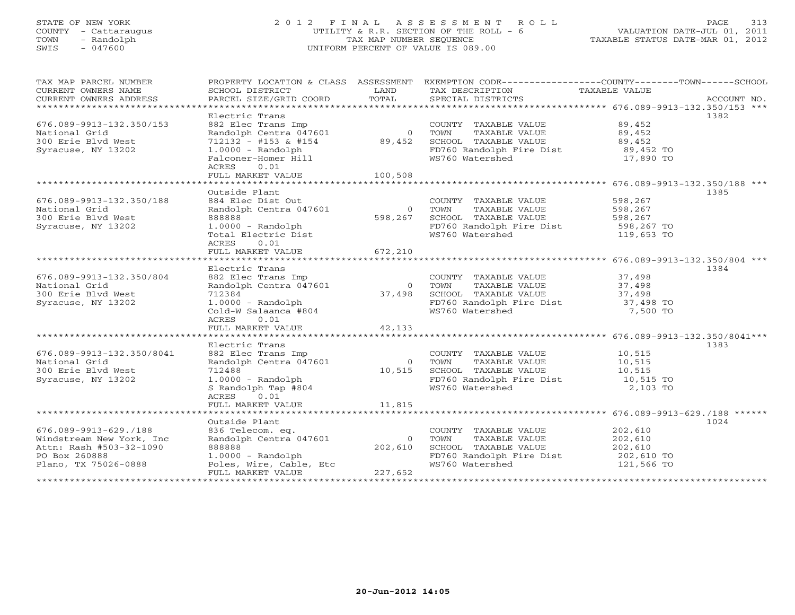# STATE OF NEW YORK 2 0 1 2 F I N A L A S S E S S M E N T R O L L PAGE 313 COUNTY - Cattaraugus UTILITY & R.R. SECTION OF THE ROLL - 6 VALUATION DATE-JUL 01, 2011 TOWN - Randolph TAX MAP NUMBER SEQUENCE TAXABLE STATUS DATE-MAR 01, 2012 SWIS - 047600 UNIFORM PERCENT OF VALUE IS 089.00

| TAX MAP PARCEL NUMBER<br>CURRENT OWNERS NAME<br>CURRENT OWNERS ADDRESS                                                 | PROPERTY LOCATION & CLASS ASSESSMENT<br>SCHOOL DISTRICT<br>PARCEL SIZE/GRID COORD                                                                                                | LAND<br>TOTAL                      | EXEMPTION CODE-----------------COUNTY-------TOWN-----SCHOOL<br>TAX DESCRIPTION<br>SPECIAL DISTRICTS                                     | TAXABLE VALUE                                             | ACCOUNT NO. |
|------------------------------------------------------------------------------------------------------------------------|----------------------------------------------------------------------------------------------------------------------------------------------------------------------------------|------------------------------------|-----------------------------------------------------------------------------------------------------------------------------------------|-----------------------------------------------------------|-------------|
| 676.089-9913-132.350/153<br>National Grid<br>300 Erie Blvd West<br>Syracuse, NY 13202                                  | Electric Trans<br>882 Elec Trans Imp<br>Randolph Centra 047601<br>712132 - #153 & #154<br>$1.0000 - Random$<br>Falconer-Homer Hill<br>ACRES<br>0.01<br>FULL MARKET VALUE 100,508 | 89,452                             | COUNTY TAXABLE VALUE<br>0 TOWN<br>TAXABLE VALUE<br>SCHOOL TAXABLE VALUE<br>FD760 Randolph Fire Dist<br>WS760 Watershed                  | 89,452<br>89,452<br>89,452<br>89,452 TO<br>17,890 TO      | 1382        |
| 676.089-9913-132.350/188<br>National Grid<br>300 Erie Blvd West<br>Syracuse, NY 13202                                  | Outside Plant<br>884 Elec Dist Out<br>Randolph Centra 047601<br>888888<br>1.0000 - Randolph<br>Total Electric Dist<br>ACRES<br>0.01<br>FULL MARKET VALUE 672,210                 | $\overline{0}$<br>598,267          | COUNTY TAXABLE VALUE<br>TOWN<br>TAXABLE VALUE<br>SCHOOL TAXABLE VALUE<br>SUNOOD TAMALLE<br>FD760 Randolph Fire Dist<br>119760 Watorshed | 598,267<br>598,267<br>598,267<br>598,267 TO<br>119,653 TO | 1385        |
|                                                                                                                        |                                                                                                                                                                                  |                                    |                                                                                                                                         |                                                           |             |
| 676.089-9913-132.350/804<br>National Grid<br>300 Erie Blvd West<br>Syracuse, NY 13202                                  | Electric Trans<br>882 Elec Trans Imp<br>Randolph Centra 047601<br>712384<br>1.0000 - Randolph<br>Cold-W Salaanca #804<br>ACRES<br>0.01                                           | $\overline{0}$<br>37,498           | COUNTY TAXABLE VALUE<br>TOWN<br>TAXABLE VALUE<br>SCHOOL TAXABLE VALUE<br>FD760 Randolph Fire Dist 37,498 TO<br>WS760 Watershed          | 37,498<br>37,498<br>37,498<br>7,500 TO                    | 1384        |
|                                                                                                                        | FULL MARKET VALUE                                                                                                                                                                | 42,133                             |                                                                                                                                         |                                                           |             |
| 676.089-9913-132.350/8041<br>National Grid<br>300 Erie Blvd West<br>Syracuse, NY 13202                                 | Electric Trans<br>882 Elec Trans Imp<br>Randolph Centra 047601<br>712488<br>1.0000 - Randolph<br>S Randolph Tap #804<br>ACRES<br>0.01<br>FULL MARKET VALUE                       | $\overline{0}$<br>10,515<br>11,815 | COUNTY TAXABLE VALUE<br>TAXABLE VALUE<br>TOWN<br>SCHOOL TAXABLE VALUE<br>FD760 Randolph Fire Dist 10,515 TO<br>WS760 Watershed          | 10,515<br>10,515<br>10,515<br>2,103 TO                    | 1383        |
|                                                                                                                        |                                                                                                                                                                                  |                                    |                                                                                                                                         |                                                           |             |
| 676.089-9913-629./188<br>Windstream New York, Inc.<br>Attn: Rash #503-32-1090<br>PO Box 260888<br>Plano, TX 75026-0888 | Outside Plant<br>836 Telecom. eq.<br>Randolph Centra 047601<br>888888<br>$1.0000 - Random$<br>Poles, Wire, Cable, Etc<br>FULL MARKET VALUE                                       | $\Omega$<br>202,610<br>227,652     | COUNTY TAXABLE VALUE<br>TOWN<br>TAXABLE VALUE<br>SCHOOL TAXABLE VALUE<br>FD760 Randolph Fire Dist<br>WS760 Watershed                    | 202,610<br>202,610<br>202,610<br>202,610 TO<br>121,566 TO | 1024        |
|                                                                                                                        |                                                                                                                                                                                  |                                    |                                                                                                                                         | *****************************                             |             |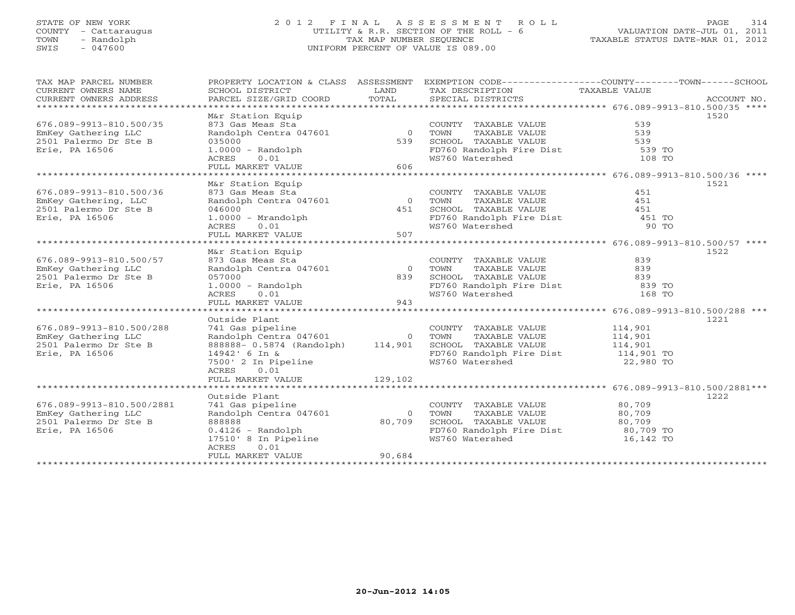# STATE OF NEW YORK 2 0 1 2 F I N A L A S S E S S M E N T R O L L PAGE 314 COUNTY - Cattaraugus UTILITY & R.R. SECTION OF THE ROLL - 6 VALUATION DATE-JUL 01, 2011 TOWN - Randolph TAX MAP NUMBER SEQUENCE TAXABLE STATUS DATE-MAR 01, 2012 SWIS - 047600 UNIFORM PERCENT OF VALUE IS 089.00

| TAX MAP PARCEL NUMBER     |                                                              |                | PROPERTY LOCATION & CLASS ASSESSMENT EXEMPTION CODE---------------COUNTY-------TOWN-----SCHOOL |               |             |
|---------------------------|--------------------------------------------------------------|----------------|------------------------------------------------------------------------------------------------|---------------|-------------|
| CURRENT OWNERS NAME       | SCHOOL DISTRICT                                              | LAND           | TAX DESCRIPTION                                                                                | TAXABLE VALUE |             |
| CURRENT OWNERS ADDRESS    | PARCEL SIZE/GRID COORD                                       | TOTAL          | SPECIAL DISTRICTS                                                                              |               | ACCOUNT NO. |
|                           |                                                              |                |                                                                                                |               |             |
|                           | M&r Station Equip                                            |                |                                                                                                |               | 1520        |
| 676.089-9913-810.500/35   | 873 Gas Meas Sta                                             |                | COUNTY TAXABLE VALUE                                                                           | 539           |             |
| EmKey Gathering LLC       | Randolph Centra 047601                                       | $\overline{0}$ | TOWN<br>TAXABLE VALUE                                                                          | 539           |             |
| 2501 Palermo Dr Ste B     | 035000                                                       | 539            | SCHOOL TAXABLE VALUE                                                                           | 539           |             |
| Erie, PA 16506            | $1.0000 - Random$                                            |                | FD760 Randolph Fire Dist                                                                       | 539 TO        |             |
|                           | 0.01<br>ACRES                                                |                | WS760 Watershed                                                                                | 108 TO        |             |
|                           | FULL MARKET VALUE                                            | 606            |                                                                                                |               |             |
|                           |                                                              |                |                                                                                                |               |             |
| 676.089-9913-810.500/36   | M&r Station Equip<br>873 Gas Meas Sta                        |                |                                                                                                | 451           | 1521        |
| EmKey Gathering, LLC      | Randolph Centra 047601                                       | $\overline{0}$ | COUNTY TAXABLE VALUE<br>TAXABLE VALUE                                                          | 451           |             |
| 2501 Palermo Dr Ste B     | 046000                                                       | 451            | TOWN<br>SCHOOL TAXABLE VALUE                                                                   | 451           |             |
| Erie, PA 16506            | $1.0000 - Mrandolph$                                         |                |                                                                                                | 451 TO        |             |
|                           | ACRES<br>0.01                                                |                | FD760 Randolph Fire Dist<br>WS760 Watershed                                                    | 90 TO         |             |
|                           | FULL MARKET VALUE                                            | 507            |                                                                                                |               |             |
|                           |                                                              |                |                                                                                                |               |             |
|                           | M&r Station Equip                                            |                |                                                                                                |               | 1522        |
| 676.089-9913-810.500/57   | 873 Gas Meas Sta                                             |                | COUNTY TAXABLE VALUE                                                                           | 839           |             |
| EmKey Gathering LLC       | Randolph Centra 047601                                       | $\overline{0}$ | TOWN<br>TAXABLE VALUE                                                                          | 839           |             |
| 2501 Palermo Dr Ste B     | 057000                                                       | 839            | SCHOOL TAXABLE VALUE                                                                           | 839           |             |
| Erie, PA 16506            | $1.0000 - Random$                                            |                | FD760 Randolph Fire Dist                                                                       | 839 TO        |             |
|                           | ACRES<br>0.01                                                |                | WS760 Watershed                                                                                | 168 TO        |             |
|                           | FULL MARKET VALUE                                            | 943            |                                                                                                |               |             |
|                           |                                                              |                |                                                                                                |               |             |
|                           | Outside Plant                                                |                |                                                                                                |               | 1221        |
| 676.089-9913-810.500/288  | 741 Gas pipeline                                             |                | COUNTY TAXABLE VALUE                                                                           | 114,901       |             |
| EmKey Gathering LLC       | Randolph Centra 047601 0<br>888888-0.5874 (Randolph) 114,901 |                | 0 TOWN<br>TAXABLE VALUE                                                                        | 114,901       |             |
| 2501 Palermo Dr Ste B     |                                                              |                | SCHOOL TAXABLE VALUE                                                                           | 114,901       |             |
| Erie, PA 16506            | 14942' 6 In &                                                |                | FD760 Randolph Fire Dist 114,901 TO                                                            |               |             |
|                           | 7500' 2 In Pipeline                                          |                | WS760 Watershed                                                                                | 22,980 TO     |             |
|                           | ACRES<br>0.01                                                |                |                                                                                                |               |             |
|                           | FULL MARKET VALUE                                            | 129,102        |                                                                                                |               |             |
|                           |                                                              |                |                                                                                                |               |             |
|                           | Outside Plant                                                |                |                                                                                                |               | 1222        |
| 676.089-9913-810.500/2881 | 741 Gas pipeline                                             |                | COUNTY TAXABLE VALUE                                                                           | 80,709        |             |
| EmKey Gathering LLC       | Randolph Centra 047601                                       | $\Omega$       | TOWN<br>TAXABLE VALUE                                                                          | 80,709        |             |
| 2501 Palermo Dr Ste B     | 888888                                                       | 80,709         | SCHOOL TAXABLE VALUE                                                                           | 80,709        |             |
| Erie, PA 16506            | $0.4126$ - Randolph                                          |                | FD760 Randolph Fire Dist                                                                       | 80,709 TO     |             |
|                           | 17510' 8 In Pipeline                                         |                | WS760 Watershed                                                                                | 16,142 TO     |             |
|                           | ACRES<br>0.01<br>FULL MARKET VALUE                           | 90,684         |                                                                                                |               |             |
|                           |                                                              |                |                                                                                                |               |             |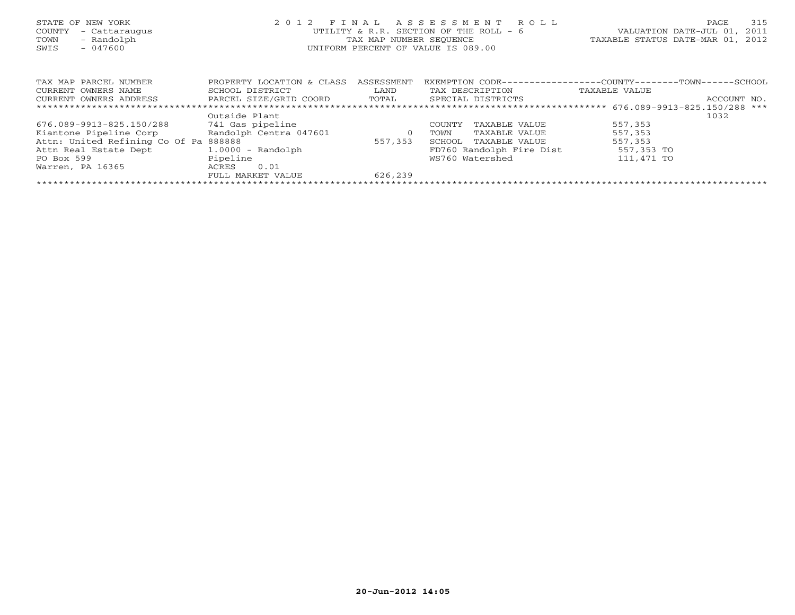| STATE OF NEW YORK<br>- Cattaraugus<br>COUNTY<br>- Randolph<br>TOWN<br>$-047600$<br>SWIS | 2 0 1 2                   | FINAL<br>TAX MAP NUMBER SEOUENCE | ASSESSMENT<br>R O L L<br>UTILITY & R.R. SECTION OF THE ROLL - 6<br>UNIFORM PERCENT OF VALUE IS 089.00 | VALUATION DATE-JUL 01,<br>TAXABLE STATUS DATE-MAR 01, | 315<br>PAGE<br>2011<br>2012 |
|-----------------------------------------------------------------------------------------|---------------------------|----------------------------------|-------------------------------------------------------------------------------------------------------|-------------------------------------------------------|-----------------------------|
| TAX MAP PARCEL NUMBER                                                                   | PROPERTY LOCATION & CLASS | ASSESSMENT                       | EXEMPTION CODE-----------------COUNTY--------TOWN------SCHOOL                                         |                                                       |                             |
| CURRENT OWNERS NAME                                                                     | SCHOOL DISTRICT           | LAND                             | TAX DESCRIPTION                                                                                       | TAXABLE VALUE                                         |                             |
| CURRENT OWNERS ADDRESS                                                                  | PARCEL SIZE/GRID COORD    | TOTAL                            | SPECIAL DISTRICTS                                                                                     |                                                       | ACCOUNT NO.                 |
|                                                                                         |                           |                                  |                                                                                                       |                                                       |                             |
|                                                                                         | Outside Plant             |                                  |                                                                                                       |                                                       | 1032                        |
| 676.089-9913-825.150/288                                                                | 741 Gas pipeline          |                                  | COUNTY<br>TAXABLE VALUE                                                                               | 557,353                                               |                             |
| Kiantone Pipeline Corp                                                                  | Randolph Centra 047601    | $\circ$                          | TOWN<br>TAXABLE VALUE                                                                                 | 557,353                                               |                             |
| Attn: United Refining Co Of Pa 888888                                                   |                           | 557,353                          | SCHOOL<br>TAXABLE VALUE                                                                               | 557,353                                               |                             |
| Attn Real Estate Dept                                                                   | $1.0000 - Random$         |                                  | FD760 Randolph Fire Dist                                                                              | 557,353 TO                                            |                             |
| PO Box 599                                                                              | Pipeline                  |                                  | WS760 Watershed                                                                                       | 111,471 TO                                            |                             |
| Warren, PA 16365                                                                        | 0.01<br>ACRES             |                                  |                                                                                                       |                                                       |                             |
|                                                                                         | FULL MARKET VALUE         | 626,239                          |                                                                                                       |                                                       |                             |
|                                                                                         |                           |                                  |                                                                                                       |                                                       |                             |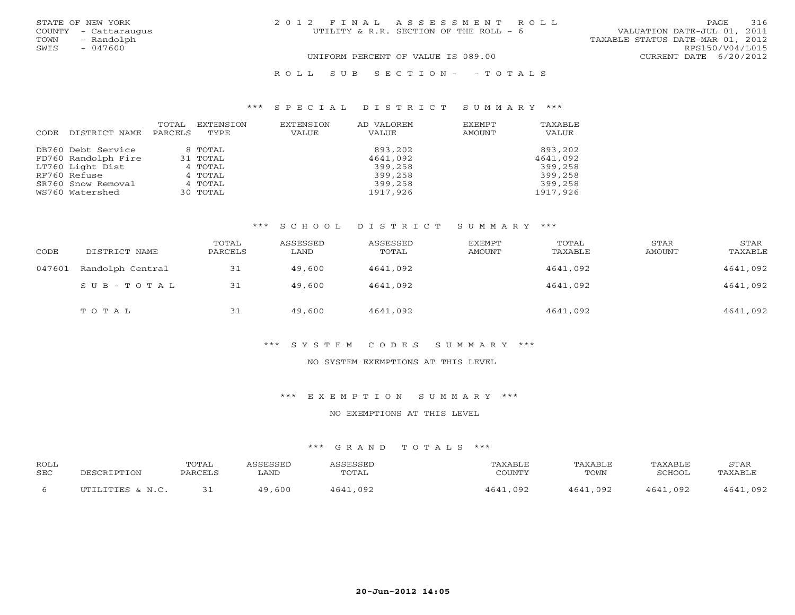| STATE OF NEW YORK    | 2012 FINAL ASSESSMENT ROLL             | 316<br>PAGE.                     |
|----------------------|----------------------------------------|----------------------------------|
| COUNTY - Cattaraugus | UTILITY & R.R. SECTION OF THE ROLL - 6 | VALUATION DATE-JUL 01, 2011      |
| - Randolph<br>TOWN   |                                        | TAXABLE STATUS DATE-MAR 01, 2012 |
| $-047600$<br>SWIS    |                                        | RPS150/V04/L015                  |
|                      | UNIFORM PERCENT OF VALUE IS 089.00     | CURRENT DATE 6/20/2012           |
|                      |                                        |                                  |

# R O L L S U B S E C T I O N - - T O T A L S

### \*\*\* S P E C I A L D I S T R I C T S U M M A R Y \*\*\*

| CODE | DISTRICT NAME       | TOTAL<br>PARCELS | EXTENSION<br>TYPE | EXTENSION<br><b>VALUE</b> | AD VALOREM<br>VALUE | EXEMPT<br>AMOUNT | TAXABLE<br>VALUE |
|------|---------------------|------------------|-------------------|---------------------------|---------------------|------------------|------------------|
|      | DB760 Debt Service  |                  | 8 TOTAL           |                           | 893,202             |                  | 893,202          |
|      | FD760 Randolph Fire |                  | 31 TOTAL          |                           | 4641,092            |                  | 4641,092         |
|      | LT760 Light Dist    |                  | 4 TOTAL           |                           | 399,258             |                  | 399,258          |
|      | RF760 Refuse        |                  | 4 TOTAL           |                           | 399,258             |                  | 399,258          |
|      | SR760 Snow Removal  |                  | 4 TOTAL           |                           | 399,258             |                  | 399,258          |
|      | WS760 Watershed     |                  | 30 TOTAL          |                           | 1917,926            |                  | 1917,926         |

#### \*\*\* S C H O O L D I S T R I C T S U M M A R Y \*\*\*

| CODE   | DISTRICT NAME    | TOTAL<br>PARCELS | ASSESSED<br>LAND | ASSESSED<br>TOTAL | EXEMPT<br>AMOUNT | TOTAL<br>TAXABLE | STAR<br>AMOUNT | STAR<br>TAXABLE |
|--------|------------------|------------------|------------------|-------------------|------------------|------------------|----------------|-----------------|
| 047601 | Randolph Central | 31               | 49,600           | 4641,092          |                  | 4641,092         |                | 4641,092        |
|        | SUB-TOTAL        | 31               | 49,600           | 4641,092          |                  | 4641,092         |                | 4641,092        |
|        | TOTAL            | 31               | 49,600           | 4641,092          |                  | 4641,092         |                | 4641,092        |

#### \*\*\* S Y S T E M C O D E S S U M M A R Y \*\*\*

## NO SYSTEM EXEMPTIONS AT THIS LEVEL

### \*\*\* E X E M P T I O N S U M M A R Y \*\*\*

#### NO EXEMPTIONS AT THIS LEVEL

| <b>ROLL</b> |                  | TOTAL   | SSESSED     | ASSESSED     | TAXABLE       | <b>TAXABLE</b> | TAXABI F                                   | STAR         |
|-------------|------------------|---------|-------------|--------------|---------------|----------------|--------------------------------------------|--------------|
| <b>SEC</b>  |                  | PARCELS | <b>LAND</b> | TOTAL        | COUNTY        | TOWN           | SCHOOL                                     | TAXABLE      |
| b           | UTILITIES & N.C. |         | 49,600      | 4641<br>,092 | 4641<br>, 092 | 4641<br>,092   | $\Lambda$ 6 $\Lambda$ <sup>1</sup><br>,092 | .092<br>4641 |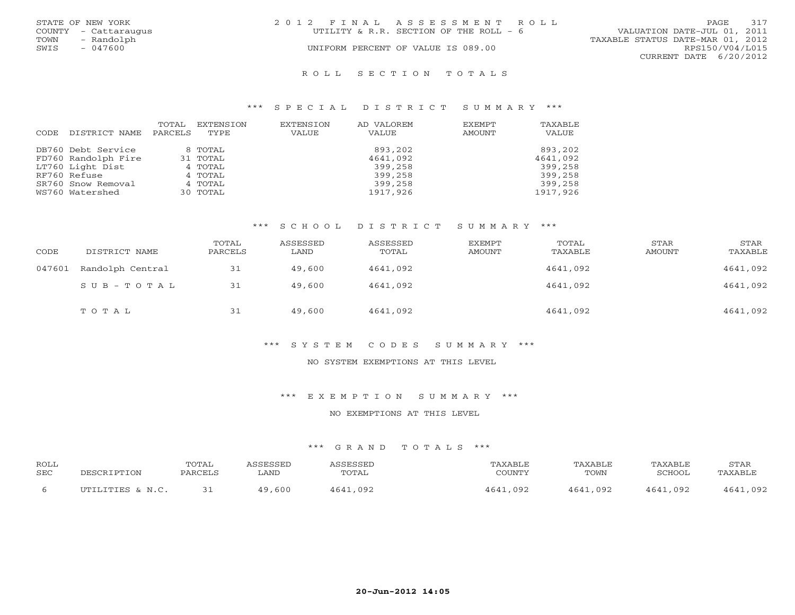|      | STATE OF NEW YORK    | 2012 FINAL ASSESSMENT ROLL             |                             | <b>PAGE</b> | 317 |
|------|----------------------|----------------------------------------|-----------------------------|-------------|-----|
|      | COUNTY - Cattaraugus | UTILITY & R.R. SECTION OF THE ROLL - 6 | VALUATION DATE-JUL 01, 2011 |             |     |
| TOWN | - Randolph           | TAXABLE STATUS DATE-MAR 01, 2012       |                             |             |     |
| SWIS | $-047600$            | UNIFORM PERCENT OF VALUE IS 089.00     | RPS150/V04/L015             |             |     |
|      |                      |                                        | CURRENT DATE 6/20/2012      |             |     |
|      |                      |                                        |                             |             |     |

#### R O L L S E C T I O N T O T A L S

#### \*\*\* S P E C I A L D I S T R I C T S U M M A R Y \*\*\*

| CODE | DISTRICT NAME       | TOTAL<br>PARCELS | EXTENSION<br>TYPE | EXTENSION<br>VALUE | AD VALOREM<br>VALUE | EXEMPT<br>AMOUNT | TAXABLE<br>VALUE |
|------|---------------------|------------------|-------------------|--------------------|---------------------|------------------|------------------|
|      | DB760 Debt Service  |                  | 8 TOTAL           |                    | 893,202             |                  | 893,202          |
|      | FD760 Randolph Fire |                  | 31 TOTAL          |                    | 4641,092            |                  | 4641,092         |
|      | LT760 Light Dist    |                  | 4 TOTAL           |                    | 399,258             |                  | 399,258          |
|      | RF760 Refuse        |                  | 4 TOTAL           |                    | 399,258             |                  | 399,258          |
|      | SR760 Snow Removal  |                  | 4 TOTAL           |                    | 399,258             |                  | 399,258          |
|      | WS760 Watershed     |                  | 30 TOTAL          |                    | 1917,926            |                  | 1917,926         |

#### \*\*\* S C H O O L D I S T R I C T S U M M A R Y \*\*\*

| CODE   | DISTRICT NAME    | TOTAL<br>PARCELS | ASSESSED<br>LAND | ASSESSED<br>TOTAL | EXEMPT<br>AMOUNT | TOTAL<br>TAXABLE | STAR<br>AMOUNT | STAR<br>TAXABLE |
|--------|------------------|------------------|------------------|-------------------|------------------|------------------|----------------|-----------------|
| 047601 | Randolph Central | 31               | 49,600           | 4641,092          |                  | 4641,092         |                | 4641,092        |
|        | $SUB - TO T AL$  | 31               | 49,600           | 4641,092          |                  | 4641,092         |                | 4641,092        |
|        | TOTAL            | 31               | 49,600           | 4641,092          |                  | 4641,092         |                | 4641,092        |

#### \*\*\* S Y S T E M C O D E S S U M M A R Y \*\*\*

## NO SYSTEM EXEMPTIONS AT THIS LEVEL

### \*\*\* E X E M P T I O N S U M M A R Y \*\*\*

#### NO EXEMPTIONS AT THIS LEVEL

| <b>ROLL</b> |                      | TOTAL   | CCFCCFD     | SSESSED | AXABLF      | TAXABLF      | <b><i>PAXABLF</i></b> | STAR             |
|-------------|----------------------|---------|-------------|---------|-------------|--------------|-----------------------|------------------|
| <b>SEC</b>  | `IPTION              | PARCELS | . AND       | TOTAL   | COUNTY      | TOWN         | SGHUUL                | <b>TAXARL</b>    |
| b           | $IITTITTTTTQ \& M C$ |         | ,600<br>1 Q | ∩ഘാ     | 4641<br>092 | 4641<br>.092 | ,092<br>161           | nge<br><b>64</b> |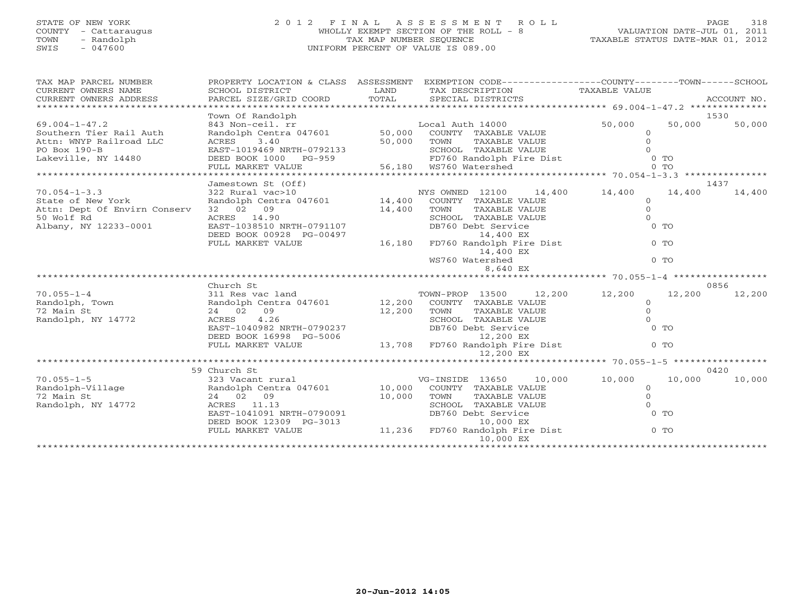# STATE OF NEW YORK 2 0 1 2 F I N A L A S S E S S M E N T R O L L PAGE 318 COUNTY - Cattaraugus WHOLLY EXEMPT SECTION OF THE ROLL - 8 VALUATION DATE-JUL 01, 2011 TOWN - Randolph TAX MAP NUMBER SEQUENCE TAXABLE STATUS DATE-MAR 01, 2012 SWIS - 047600 UNIFORM PERCENT OF VALUE IS 089.00UNIFORM PERCENT OF VALUE IS 089.00

| TAX MAP PARCEL NUMBER<br>CURRENT OWNERS NAME<br>CURRENT OWNERS ADDRESS | PROPERTY LOCATION & CLASS ASSESSMENT<br>SCHOOL DISTRICT<br>PARCEL SIZE/GRID COORD | LAND<br>TOTAL | EXEMPTION CODE-----------------COUNTY-------TOWN------SCHOOL<br>TAX DESCRIPTION TAXABLE VALUE<br>SPECIAL DISTRICTS |                                | ACCOUNT NO. |
|------------------------------------------------------------------------|-----------------------------------------------------------------------------------|---------------|--------------------------------------------------------------------------------------------------------------------|--------------------------------|-------------|
|                                                                        | Town Of Randolph                                                                  |               |                                                                                                                    |                                | 1530        |
| $69.004 - 1 - 47.2$                                                    | 843 Non-ceil. rr                                                                  |               | Local Auth 14000                                                                                                   | 50,000<br>50,000               | 50,000      |
| Southern Tier Rail Auth                                                | Randolph Centra $047601$                                                          |               | 50,000 COUNTY TAXABLE VALUE                                                                                        | $\Omega$                       |             |
| Attn: WNYP Railroad LLC                                                | ACRES<br>3.40                                                                     | 50,000        | TOWN<br>TAXABLE VALUE                                                                                              | $\Omega$                       |             |
| PO Box 190-B                                                           | EAST-1019469 NRTH-0792133                                                         |               | SCHOOL TAXABLE VALUE                                                                                               |                                |             |
| Lakeville, NY 14480                                                    | DEED BOOK 1000 PG-959                                                             |               | SCHOOL TAXABLE VALUE<br>FD760 Randolph Fire Dist<br>W3760 Watershad                                                | $0$ TO                         |             |
|                                                                        |                                                                                   |               |                                                                                                                    |                                |             |
|                                                                        |                                                                                   |               |                                                                                                                    |                                |             |
|                                                                        | Jamestown St (Off)                                                                |               |                                                                                                                    |                                | 1437        |
| $70.054 - 1 - 3.3$                                                     | 322 Rural vac>10                                                                  |               | 14,400<br>NYS OWNED 12100                                                                                          | 14,400<br>14,400               | 14,400      |
| State of New York                                                      | Randolph Centra 047601 14,400                                                     |               | COUNTY TAXABLE VALUE                                                                                               | $\Omega$                       |             |
| Attn: Dept Of Envirn Conserv                                           | 32 02 09                                                                          | 14,400        | TOWN<br>TAXABLE VALUE                                                                                              | $\circ$                        |             |
| 50 Wolf Rd                                                             | ACRES 14.90                                                                       |               | SCHOOL TAXABLE VALUE                                                                                               | $\Omega$                       |             |
| Albany, NY 12233-0001                                                  | EAST-1038510 NRTH-0791107                                                         |               | DB760 Debt Service                                                                                                 | $0$ TO                         |             |
|                                                                        | DEED BOOK 00928 PG-00497                                                          |               | 14,400 EX                                                                                                          |                                |             |
|                                                                        | FULL MARKET VALUE                                                                 | 16,180        | FD760 Randolph Fire Dist                                                                                           | $0$ TO                         |             |
|                                                                        |                                                                                   |               | 14,400 EX                                                                                                          |                                |             |
|                                                                        |                                                                                   |               | WS760 Watershed                                                                                                    | $0$ TO                         |             |
|                                                                        |                                                                                   |               | 8,640 EX                                                                                                           |                                |             |
|                                                                        |                                                                                   |               |                                                                                                                    | ******************* 70.055-1-4 |             |
|                                                                        | Church St                                                                         |               |                                                                                                                    |                                | 0856        |
| $70.055 - 1 - 4$                                                       | 311 Res vac land                                                                  |               | 12,200<br>TOWN-PROP 13500                                                                                          | 12,200<br>12,200               | 12,200      |
| Randolph, Town                                                         | Randolph Centra 047601 12,200                                                     |               | COUNTY TAXABLE VALUE                                                                                               | $\Omega$                       |             |
| 72 Main St                                                             | 24 02 09                                                                          | 12,200        | TOWN<br>TAXABLE VALUE                                                                                              | $\Omega$                       |             |
| Randolph, NY 14772                                                     | ACRES<br>4.26                                                                     |               | SCHOOL TAXABLE VALUE                                                                                               |                                |             |
|                                                                        | EAST-1040982 NRTH-0790237                                                         |               | DB760 Debt Service                                                                                                 | $0$ TO                         |             |
|                                                                        | DEED BOOK 16998 PG-5006<br>FULL MARKET VALUE                                      |               | 12,200 EX<br>13,708 FD760 Randolph Fire Dist                                                                       | $0$ TO                         |             |
|                                                                        |                                                                                   |               | 12,200 EX                                                                                                          |                                |             |
|                                                                        |                                                                                   |               |                                                                                                                    |                                |             |
|                                                                        | 59 Church St                                                                      |               |                                                                                                                    |                                | 0420        |
| $70.055 - 1 - 5$                                                       | 323 Vacant rural                                                                  |               | 10,000<br>VG-INSIDE 13650                                                                                          | 10,000<br>10,000               | 10,000      |
| Randolph-Village                                                       | Randolph Centra 047601                                                            | 10,000        | COUNTY TAXABLE VALUE                                                                                               | $\Omega$                       |             |
| 72 Main St                                                             | 24 02 09                                                                          | 10,000        | TOWN<br>TAXABLE VALUE                                                                                              | $\Omega$                       |             |
| Randolph, NY 14772                                                     | ACRES 11.13                                                                       |               | SCHOOL TAXABLE VALUE                                                                                               | $\cap$                         |             |
|                                                                        | EAST-1041091 NRTH-0790091                                                         |               | DB760 Debt Service                                                                                                 | $0$ TO                         |             |
|                                                                        | DEED BOOK 12309 PG-3013                                                           |               | 10,000 EX                                                                                                          |                                |             |
|                                                                        | FULL MARKET VALUE                                                                 |               | 11,236 FD760 Randolph Fire Dist                                                                                    | $0$ TO                         |             |
|                                                                        |                                                                                   |               | 10,000 EX                                                                                                          |                                |             |
|                                                                        |                                                                                   |               |                                                                                                                    |                                |             |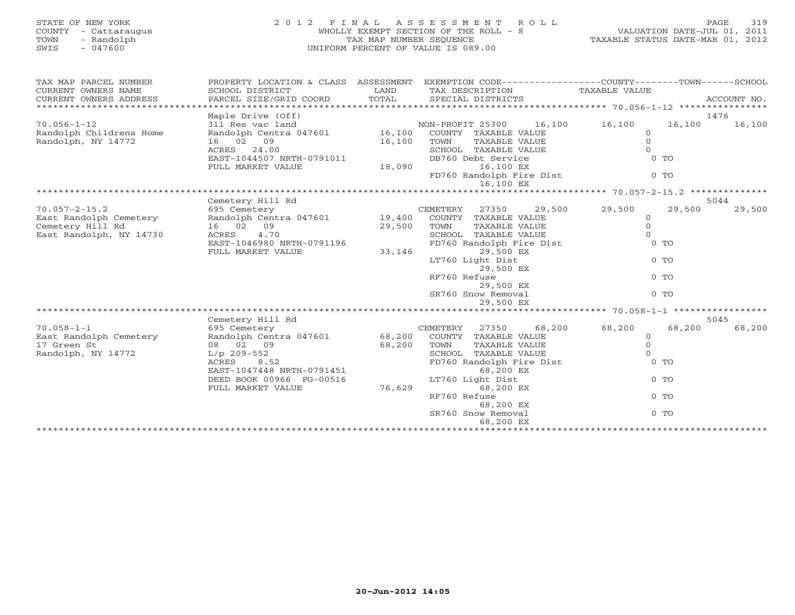| PROPERTY LOCATION & CLASS ASSESSMENT EXEMPTION CODE---------------COUNTY-------TOWN------SCHOOL<br>TAX MAP PARCEL NUMBER<br>CURRENT OWNERS NAME<br>SCHOOL DISTRICT<br>LAND<br>TAX DESCRIPTION<br>TAXABLE VALUE<br>PARCEL SIZE/GRID COORD<br>TOTAL<br>SPECIAL DISTRICTS<br>ACCOUNT NO.<br>CURRENT OWNERS ADDRESS<br>******************************<br>Maple Drive (Off)<br>1476<br>$70.056 - 1 - 12$<br>311 Res vac land<br>NON-PROFIT 25300<br>16,100<br>16,100<br>16,100<br>16,100<br>Randolph Childrens Home<br>Randolph Centra 047601<br>16,100<br>COUNTY TAXABLE VALUE<br>$\circ$<br>Randolph, NY 14772<br>$\Omega$<br>16 02 09<br>16,100<br>TOWN<br>TAXABLE VALUE<br>$\Omega$<br>ACRES 24.00<br>SCHOOL TAXABLE VALUE<br>EAST-1044507 NRTH-0791011<br>DB760 Debt Service<br>$0$ TO<br>18,090<br>16,100 EX<br>FULL MARKET VALUE<br>FD760 Randolph Fire Dist<br>$0$ TO<br>16,100 EX<br>Cemetery Hill Rd<br>5044<br>$70.057 - 2 - 15.2$<br>29,500<br>695 Cemetery<br>CEMETERY<br>27350<br>29,500<br>29,500<br>29,500<br>Randolph Centra 047601<br>$\Omega$<br>East Randolph Cemetery<br>19,400<br>COUNTY TAXABLE VALUE<br>Cemetery Hill Rd<br>16 02 09<br>$\circ$<br>29,500<br>TAXABLE VALUE<br>TOWN<br>East Randolph, NY 14730<br>4.70<br>SCHOOL TAXABLE VALUE<br>$\Omega$<br>ACRES<br>EAST-1046980 NRTH-0791196<br>FD760 Randolph Fire Dist<br>$0$ TO<br>FULL MARKET VALUE<br>33,146<br>29,500 EX<br>LT760 Light Dist<br>$0$ TO<br>29,500 EX<br>RF760 Refuse<br>$0$ TO<br>29,500 EX<br>SR760 Snow Removal<br>$0$ TO<br>29,500 EX<br>Cemetery Hill Rd<br>5045<br>$70.058 - 1 - 1$<br>68,200<br>695 Cemetery<br>CEMETERY<br>27350<br>68,200<br>68,200<br>68,200<br>Randolph Centra 047601<br>East Randolph Cemetery<br>68,200<br>COUNTY TAXABLE VALUE<br>$\mathbf 0$<br>$\mathbf{0}$<br>17 Green St<br>08 02 09<br>68,200<br>TOWN<br>TAXABLE VALUE<br>Randolph, NY 14772<br>SCHOOL TAXABLE VALUE<br>$\mathbf{0}$<br>$L/p$ 209-552<br>ACRES<br>8.52<br>FD760 Randolph Fire Dist<br>$0$ TO<br>EAST-1047448 NRTH-0791451<br>68,200 EX<br>DEED BOOK 00966 PG-00516<br>LT760 Light Dist<br>$0$ TO<br>76,629<br>68,200 EX<br>FULL MARKET VALUE<br>RF760 Refuse<br>$0$ TO<br>68,200 EX<br>$0$ TO<br>SR760 Snow Removal<br>68,200 EX<br>************************ | STATE OF NEW YORK<br>COUNTY - Cattaraugus<br>TOWN<br>- Randolph<br>SWIS<br>$-047600$ | 2012 FINAL ASSESSMENT<br>WHOLLY EXEMPT SECTION OF THE ROLL - 8<br>TAX MAP NUMBER SEOUENCE<br>UNIFORM PERCENT OF VALUE IS 089.00 | VALUATION DATE-JUL 01, 2011<br>TAXABLE STATUS DATE-MAR 01, 2012 | 319<br>PAGE |  |
|-----------------------------------------------------------------------------------------------------------------------------------------------------------------------------------------------------------------------------------------------------------------------------------------------------------------------------------------------------------------------------------------------------------------------------------------------------------------------------------------------------------------------------------------------------------------------------------------------------------------------------------------------------------------------------------------------------------------------------------------------------------------------------------------------------------------------------------------------------------------------------------------------------------------------------------------------------------------------------------------------------------------------------------------------------------------------------------------------------------------------------------------------------------------------------------------------------------------------------------------------------------------------------------------------------------------------------------------------------------------------------------------------------------------------------------------------------------------------------------------------------------------------------------------------------------------------------------------------------------------------------------------------------------------------------------------------------------------------------------------------------------------------------------------------------------------------------------------------------------------------------------------------------------------------------------------------------------------------------------------------------------------------------------------------------------------------------------------------------------------------------------------------------------------------------------------------------------------------------------------------------------|--------------------------------------------------------------------------------------|---------------------------------------------------------------------------------------------------------------------------------|-----------------------------------------------------------------|-------------|--|
|                                                                                                                                                                                                                                                                                                                                                                                                                                                                                                                                                                                                                                                                                                                                                                                                                                                                                                                                                                                                                                                                                                                                                                                                                                                                                                                                                                                                                                                                                                                                                                                                                                                                                                                                                                                                                                                                                                                                                                                                                                                                                                                                                                                                                                                           |                                                                                      |                                                                                                                                 |                                                                 |             |  |
|                                                                                                                                                                                                                                                                                                                                                                                                                                                                                                                                                                                                                                                                                                                                                                                                                                                                                                                                                                                                                                                                                                                                                                                                                                                                                                                                                                                                                                                                                                                                                                                                                                                                                                                                                                                                                                                                                                                                                                                                                                                                                                                                                                                                                                                           |                                                                                      |                                                                                                                                 |                                                                 |             |  |
|                                                                                                                                                                                                                                                                                                                                                                                                                                                                                                                                                                                                                                                                                                                                                                                                                                                                                                                                                                                                                                                                                                                                                                                                                                                                                                                                                                                                                                                                                                                                                                                                                                                                                                                                                                                                                                                                                                                                                                                                                                                                                                                                                                                                                                                           |                                                                                      |                                                                                                                                 |                                                                 |             |  |
|                                                                                                                                                                                                                                                                                                                                                                                                                                                                                                                                                                                                                                                                                                                                                                                                                                                                                                                                                                                                                                                                                                                                                                                                                                                                                                                                                                                                                                                                                                                                                                                                                                                                                                                                                                                                                                                                                                                                                                                                                                                                                                                                                                                                                                                           |                                                                                      |                                                                                                                                 |                                                                 |             |  |
|                                                                                                                                                                                                                                                                                                                                                                                                                                                                                                                                                                                                                                                                                                                                                                                                                                                                                                                                                                                                                                                                                                                                                                                                                                                                                                                                                                                                                                                                                                                                                                                                                                                                                                                                                                                                                                                                                                                                                                                                                                                                                                                                                                                                                                                           |                                                                                      |                                                                                                                                 |                                                                 |             |  |
|                                                                                                                                                                                                                                                                                                                                                                                                                                                                                                                                                                                                                                                                                                                                                                                                                                                                                                                                                                                                                                                                                                                                                                                                                                                                                                                                                                                                                                                                                                                                                                                                                                                                                                                                                                                                                                                                                                                                                                                                                                                                                                                                                                                                                                                           |                                                                                      |                                                                                                                                 |                                                                 |             |  |
|                                                                                                                                                                                                                                                                                                                                                                                                                                                                                                                                                                                                                                                                                                                                                                                                                                                                                                                                                                                                                                                                                                                                                                                                                                                                                                                                                                                                                                                                                                                                                                                                                                                                                                                                                                                                                                                                                                                                                                                                                                                                                                                                                                                                                                                           |                                                                                      |                                                                                                                                 |                                                                 |             |  |
|                                                                                                                                                                                                                                                                                                                                                                                                                                                                                                                                                                                                                                                                                                                                                                                                                                                                                                                                                                                                                                                                                                                                                                                                                                                                                                                                                                                                                                                                                                                                                                                                                                                                                                                                                                                                                                                                                                                                                                                                                                                                                                                                                                                                                                                           |                                                                                      |                                                                                                                                 |                                                                 |             |  |
|                                                                                                                                                                                                                                                                                                                                                                                                                                                                                                                                                                                                                                                                                                                                                                                                                                                                                                                                                                                                                                                                                                                                                                                                                                                                                                                                                                                                                                                                                                                                                                                                                                                                                                                                                                                                                                                                                                                                                                                                                                                                                                                                                                                                                                                           |                                                                                      |                                                                                                                                 |                                                                 |             |  |
|                                                                                                                                                                                                                                                                                                                                                                                                                                                                                                                                                                                                                                                                                                                                                                                                                                                                                                                                                                                                                                                                                                                                                                                                                                                                                                                                                                                                                                                                                                                                                                                                                                                                                                                                                                                                                                                                                                                                                                                                                                                                                                                                                                                                                                                           |                                                                                      |                                                                                                                                 |                                                                 |             |  |
|                                                                                                                                                                                                                                                                                                                                                                                                                                                                                                                                                                                                                                                                                                                                                                                                                                                                                                                                                                                                                                                                                                                                                                                                                                                                                                                                                                                                                                                                                                                                                                                                                                                                                                                                                                                                                                                                                                                                                                                                                                                                                                                                                                                                                                                           |                                                                                      |                                                                                                                                 |                                                                 |             |  |
|                                                                                                                                                                                                                                                                                                                                                                                                                                                                                                                                                                                                                                                                                                                                                                                                                                                                                                                                                                                                                                                                                                                                                                                                                                                                                                                                                                                                                                                                                                                                                                                                                                                                                                                                                                                                                                                                                                                                                                                                                                                                                                                                                                                                                                                           |                                                                                      |                                                                                                                                 |                                                                 |             |  |
|                                                                                                                                                                                                                                                                                                                                                                                                                                                                                                                                                                                                                                                                                                                                                                                                                                                                                                                                                                                                                                                                                                                                                                                                                                                                                                                                                                                                                                                                                                                                                                                                                                                                                                                                                                                                                                                                                                                                                                                                                                                                                                                                                                                                                                                           |                                                                                      |                                                                                                                                 |                                                                 |             |  |
|                                                                                                                                                                                                                                                                                                                                                                                                                                                                                                                                                                                                                                                                                                                                                                                                                                                                                                                                                                                                                                                                                                                                                                                                                                                                                                                                                                                                                                                                                                                                                                                                                                                                                                                                                                                                                                                                                                                                                                                                                                                                                                                                                                                                                                                           |                                                                                      |                                                                                                                                 |                                                                 |             |  |
|                                                                                                                                                                                                                                                                                                                                                                                                                                                                                                                                                                                                                                                                                                                                                                                                                                                                                                                                                                                                                                                                                                                                                                                                                                                                                                                                                                                                                                                                                                                                                                                                                                                                                                                                                                                                                                                                                                                                                                                                                                                                                                                                                                                                                                                           |                                                                                      |                                                                                                                                 |                                                                 |             |  |
|                                                                                                                                                                                                                                                                                                                                                                                                                                                                                                                                                                                                                                                                                                                                                                                                                                                                                                                                                                                                                                                                                                                                                                                                                                                                                                                                                                                                                                                                                                                                                                                                                                                                                                                                                                                                                                                                                                                                                                                                                                                                                                                                                                                                                                                           |                                                                                      |                                                                                                                                 |                                                                 |             |  |
|                                                                                                                                                                                                                                                                                                                                                                                                                                                                                                                                                                                                                                                                                                                                                                                                                                                                                                                                                                                                                                                                                                                                                                                                                                                                                                                                                                                                                                                                                                                                                                                                                                                                                                                                                                                                                                                                                                                                                                                                                                                                                                                                                                                                                                                           |                                                                                      |                                                                                                                                 |                                                                 |             |  |
|                                                                                                                                                                                                                                                                                                                                                                                                                                                                                                                                                                                                                                                                                                                                                                                                                                                                                                                                                                                                                                                                                                                                                                                                                                                                                                                                                                                                                                                                                                                                                                                                                                                                                                                                                                                                                                                                                                                                                                                                                                                                                                                                                                                                                                                           |                                                                                      |                                                                                                                                 |                                                                 |             |  |
|                                                                                                                                                                                                                                                                                                                                                                                                                                                                                                                                                                                                                                                                                                                                                                                                                                                                                                                                                                                                                                                                                                                                                                                                                                                                                                                                                                                                                                                                                                                                                                                                                                                                                                                                                                                                                                                                                                                                                                                                                                                                                                                                                                                                                                                           |                                                                                      |                                                                                                                                 |                                                                 |             |  |
|                                                                                                                                                                                                                                                                                                                                                                                                                                                                                                                                                                                                                                                                                                                                                                                                                                                                                                                                                                                                                                                                                                                                                                                                                                                                                                                                                                                                                                                                                                                                                                                                                                                                                                                                                                                                                                                                                                                                                                                                                                                                                                                                                                                                                                                           |                                                                                      |                                                                                                                                 |                                                                 |             |  |
|                                                                                                                                                                                                                                                                                                                                                                                                                                                                                                                                                                                                                                                                                                                                                                                                                                                                                                                                                                                                                                                                                                                                                                                                                                                                                                                                                                                                                                                                                                                                                                                                                                                                                                                                                                                                                                                                                                                                                                                                                                                                                                                                                                                                                                                           |                                                                                      |                                                                                                                                 |                                                                 |             |  |
|                                                                                                                                                                                                                                                                                                                                                                                                                                                                                                                                                                                                                                                                                                                                                                                                                                                                                                                                                                                                                                                                                                                                                                                                                                                                                                                                                                                                                                                                                                                                                                                                                                                                                                                                                                                                                                                                                                                                                                                                                                                                                                                                                                                                                                                           |                                                                                      |                                                                                                                                 |                                                                 |             |  |
|                                                                                                                                                                                                                                                                                                                                                                                                                                                                                                                                                                                                                                                                                                                                                                                                                                                                                                                                                                                                                                                                                                                                                                                                                                                                                                                                                                                                                                                                                                                                                                                                                                                                                                                                                                                                                                                                                                                                                                                                                                                                                                                                                                                                                                                           |                                                                                      |                                                                                                                                 |                                                                 |             |  |
|                                                                                                                                                                                                                                                                                                                                                                                                                                                                                                                                                                                                                                                                                                                                                                                                                                                                                                                                                                                                                                                                                                                                                                                                                                                                                                                                                                                                                                                                                                                                                                                                                                                                                                                                                                                                                                                                                                                                                                                                                                                                                                                                                                                                                                                           |                                                                                      |                                                                                                                                 |                                                                 |             |  |
|                                                                                                                                                                                                                                                                                                                                                                                                                                                                                                                                                                                                                                                                                                                                                                                                                                                                                                                                                                                                                                                                                                                                                                                                                                                                                                                                                                                                                                                                                                                                                                                                                                                                                                                                                                                                                                                                                                                                                                                                                                                                                                                                                                                                                                                           |                                                                                      |                                                                                                                                 |                                                                 |             |  |
|                                                                                                                                                                                                                                                                                                                                                                                                                                                                                                                                                                                                                                                                                                                                                                                                                                                                                                                                                                                                                                                                                                                                                                                                                                                                                                                                                                                                                                                                                                                                                                                                                                                                                                                                                                                                                                                                                                                                                                                                                                                                                                                                                                                                                                                           |                                                                                      |                                                                                                                                 |                                                                 |             |  |
|                                                                                                                                                                                                                                                                                                                                                                                                                                                                                                                                                                                                                                                                                                                                                                                                                                                                                                                                                                                                                                                                                                                                                                                                                                                                                                                                                                                                                                                                                                                                                                                                                                                                                                                                                                                                                                                                                                                                                                                                                                                                                                                                                                                                                                                           |                                                                                      |                                                                                                                                 |                                                                 |             |  |
|                                                                                                                                                                                                                                                                                                                                                                                                                                                                                                                                                                                                                                                                                                                                                                                                                                                                                                                                                                                                                                                                                                                                                                                                                                                                                                                                                                                                                                                                                                                                                                                                                                                                                                                                                                                                                                                                                                                                                                                                                                                                                                                                                                                                                                                           |                                                                                      |                                                                                                                                 |                                                                 |             |  |
|                                                                                                                                                                                                                                                                                                                                                                                                                                                                                                                                                                                                                                                                                                                                                                                                                                                                                                                                                                                                                                                                                                                                                                                                                                                                                                                                                                                                                                                                                                                                                                                                                                                                                                                                                                                                                                                                                                                                                                                                                                                                                                                                                                                                                                                           |                                                                                      |                                                                                                                                 |                                                                 |             |  |
|                                                                                                                                                                                                                                                                                                                                                                                                                                                                                                                                                                                                                                                                                                                                                                                                                                                                                                                                                                                                                                                                                                                                                                                                                                                                                                                                                                                                                                                                                                                                                                                                                                                                                                                                                                                                                                                                                                                                                                                                                                                                                                                                                                                                                                                           |                                                                                      |                                                                                                                                 |                                                                 |             |  |
|                                                                                                                                                                                                                                                                                                                                                                                                                                                                                                                                                                                                                                                                                                                                                                                                                                                                                                                                                                                                                                                                                                                                                                                                                                                                                                                                                                                                                                                                                                                                                                                                                                                                                                                                                                                                                                                                                                                                                                                                                                                                                                                                                                                                                                                           |                                                                                      |                                                                                                                                 |                                                                 |             |  |
|                                                                                                                                                                                                                                                                                                                                                                                                                                                                                                                                                                                                                                                                                                                                                                                                                                                                                                                                                                                                                                                                                                                                                                                                                                                                                                                                                                                                                                                                                                                                                                                                                                                                                                                                                                                                                                                                                                                                                                                                                                                                                                                                                                                                                                                           |                                                                                      |                                                                                                                                 |                                                                 |             |  |
|                                                                                                                                                                                                                                                                                                                                                                                                                                                                                                                                                                                                                                                                                                                                                                                                                                                                                                                                                                                                                                                                                                                                                                                                                                                                                                                                                                                                                                                                                                                                                                                                                                                                                                                                                                                                                                                                                                                                                                                                                                                                                                                                                                                                                                                           |                                                                                      |                                                                                                                                 |                                                                 |             |  |
|                                                                                                                                                                                                                                                                                                                                                                                                                                                                                                                                                                                                                                                                                                                                                                                                                                                                                                                                                                                                                                                                                                                                                                                                                                                                                                                                                                                                                                                                                                                                                                                                                                                                                                                                                                                                                                                                                                                                                                                                                                                                                                                                                                                                                                                           |                                                                                      |                                                                                                                                 |                                                                 |             |  |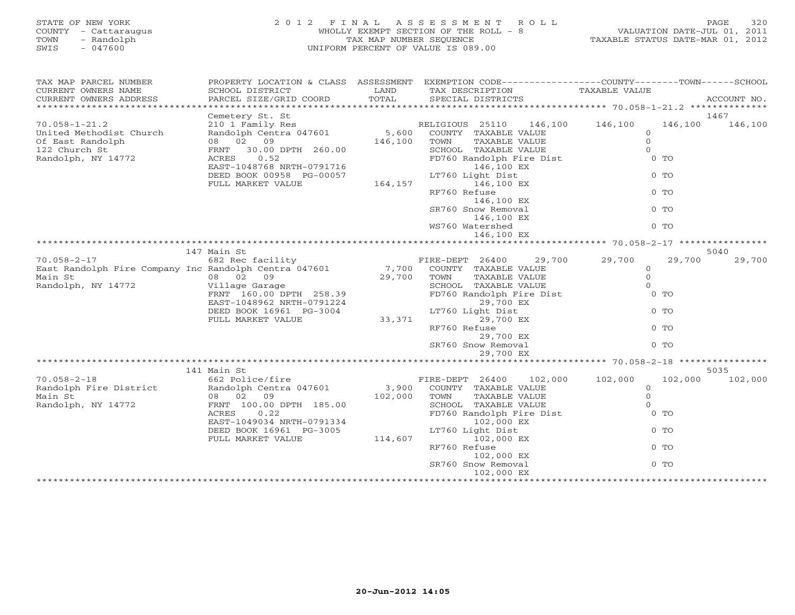# STATE OF NEW YORK 2 0 1 2 F I N A L A S S E S S M E N T R O L L PAGE 320 COUNTY - Cattaraugus WHOLLY EXEMPT SECTION OF THE ROLL - 8 VALUATION DATE-JUL 01, 2011 TOWN - Randolph TAX MAP NUMBER SEQUENCE TAXABLE STATUS DATE-MAR 01, 2012 SWIS - 047600 UNIFORM PERCENT OF VALUE IS 089.00

| SCHOOL DISTRICT<br>PARCEL SIZE/GRID COORD                                                                                                         | LAND<br>TOTAL                                  | TAX DESCRIPTION<br>SPECIAL DISTRICTS                                                                                                                                      | PROPERTY LOCATION & CLASS ASSESSMENT EXEMPTION CODE----------------COUNTY-------TOWN------SCHOOL<br>TAXABLE VALUE<br>ACCOUNT NO.                                                                                                                                                                                                                                                                                          |
|---------------------------------------------------------------------------------------------------------------------------------------------------|------------------------------------------------|---------------------------------------------------------------------------------------------------------------------------------------------------------------------------|---------------------------------------------------------------------------------------------------------------------------------------------------------------------------------------------------------------------------------------------------------------------------------------------------------------------------------------------------------------------------------------------------------------------------|
| Cemetery St. St                                                                                                                                   |                                                |                                                                                                                                                                           | 1467                                                                                                                                                                                                                                                                                                                                                                                                                      |
| Randolph Centra 047601<br>08 02 09<br>FRNT 30.00 DPTH 260.00<br>ACRES 0.52                                                                        |                                                | COUNTY TAXABLE VALUE<br>TOWN<br>TAXABLE VALUE<br>SCHOOL TAXABLE VALUE<br>146,100 EX                                                                                       | 146,100<br>146,100<br>$\Omega$<br>$\circ$<br>$\Omega$<br>$0$ TO                                                                                                                                                                                                                                                                                                                                                           |
| DEED BOOK 00958 PG-00057<br>FULL MARKET VALUE                                                                                                     |                                                | 146,100 EX<br>RF760 Refuse                                                                                                                                                | $0$ TO<br>$0$ TO                                                                                                                                                                                                                                                                                                                                                                                                          |
|                                                                                                                                                   |                                                | SR760 Snow Removal<br>146,100 EX                                                                                                                                          | $0$ TO                                                                                                                                                                                                                                                                                                                                                                                                                    |
|                                                                                                                                                   |                                                | 146,100 EX                                                                                                                                                                | $0$ TO                                                                                                                                                                                                                                                                                                                                                                                                                    |
|                                                                                                                                                   |                                                |                                                                                                                                                                           | 5040                                                                                                                                                                                                                                                                                                                                                                                                                      |
| 682 Rec facility<br>08 02 09<br>Village Garage<br>DEED BOOK 16961 PG-3004<br>FULL MARKET VALUE                                                    |                                                | COUNTY TAXABLE VALUE<br>TOWN<br>TAXABLE VALUE<br>SCHOOL TAXABLE VALUE<br>29,700 EX<br>LT760 Light Dist<br>29,700 EX<br>RF760 Refuse<br>29,700 EX<br>SR760 Snow Removal    | 29,700 29,700<br>29,700<br>29,700<br>$\circ$<br>$\circ$<br>$\Omega$<br>$0$ TO<br>$0$ TO<br>$0$ TO<br>$0$ TO                                                                                                                                                                                                                                                                                                               |
|                                                                                                                                                   |                                                |                                                                                                                                                                           |                                                                                                                                                                                                                                                                                                                                                                                                                           |
| 662 Police/fire<br>Randolph Centra 047601<br>08 02 09<br>FRNT 100.00 DPTH 185.00<br>ACRES<br>0.22<br>DEED BOOK 16961 PG-3005<br>FULL MARKET VALUE |                                                | COUNTY TAXABLE VALUE<br>TAXABLE VALUE<br>TOWN<br>SCHOOL TAXABLE VALUE<br>102,000 EX<br>LT760 Light Dist<br>102,000 EX<br>RF760 Refuse<br>102,000 EX<br>SR760 Snow Removal | 5035<br>102,000 102,000<br>102,000 102,000<br>$\circ$<br>$\mathbf{0}$<br>$\Omega$<br>$0$ TO<br>$0$ TO<br>$0$ TO<br>$0$ TO                                                                                                                                                                                                                                                                                                 |
|                                                                                                                                                   | 210 1 Family Res<br>147 Main St<br>141 Main St | EAST-1048768 NRTH-0791716<br>FRNT 160.00 DPTH 258.39<br>EAST-1048962 NRTH-0791224<br>EAST-1049034 NRTH-0791334                                                            | RELIGIOUS 25110 146,100 146,100<br>5,600<br>146,100<br>FD760 Randolph Fire Dist<br>LT760 Light Dist<br>164,157<br>146,100 EX<br>WS760 Watershed<br>FIRE-DEPT 26400<br>East Randolph Fire Company Inc Randolph Centra 047601 7,700<br>29,700<br>FD760 Randolph Fire Dist<br>33,371<br>29,700 EX<br>FIRE-DEPT 26400<br>3,900<br>102,000<br>FD760 Randolph Fire Dist<br>114,607<br>102,000 EX<br>*************************** |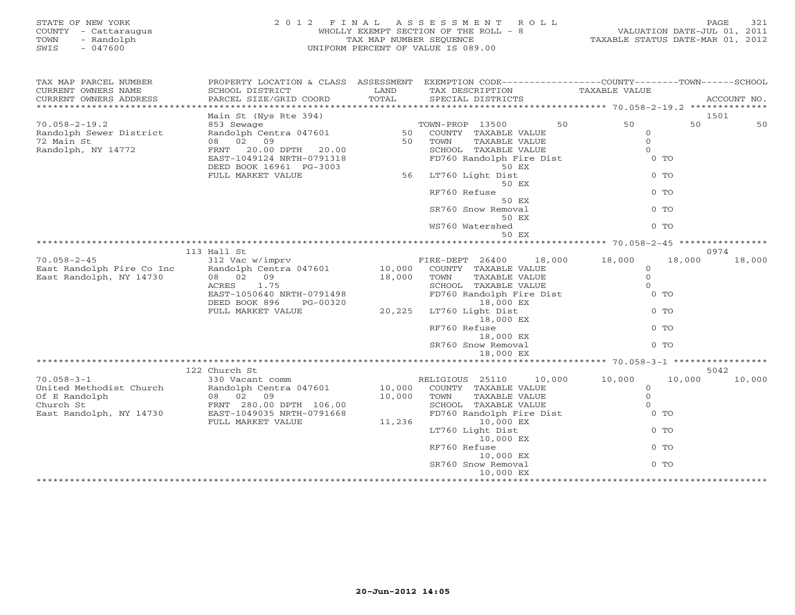| STATE OF NEW YORK<br>COUNTY - Cattaraugus<br>TOWN<br>- Randolph<br>SWIS<br>$-047600$ | 2 0 1 2<br>FINAL                                                                                | TAX MAP NUMBER SEOUENCE | ASSESSMENT<br>R O L L<br>WHOLLY EXEMPT SECTION OF THE ROLL - 8<br>UNIFORM PERCENT OF VALUE IS 089.00 |                                                   | PAGE<br>321<br>VALUATION DATE-JUL 01, 2011<br>TAXABLE STATUS DATE-MAR 01, 2012 |
|--------------------------------------------------------------------------------------|-------------------------------------------------------------------------------------------------|-------------------------|------------------------------------------------------------------------------------------------------|---------------------------------------------------|--------------------------------------------------------------------------------|
| TAX MAP PARCEL NUMBER                                                                | PROPERTY LOCATION & CLASS ASSESSMENT EXEMPTION CODE---------------COUNTY-------TOWN------SCHOOL |                         |                                                                                                      |                                                   |                                                                                |
| CURRENT OWNERS NAME<br>CURRENT OWNERS ADDRESS<br>******************                  | SCHOOL DISTRICT<br>PARCEL SIZE/GRID COORD                                                       | LAND<br>TOTAL           | TAX DESCRIPTION<br>SPECIAL DISTRICTS                                                                 | TAXABLE VALUE                                     | ACCOUNT NO.                                                                    |
|                                                                                      | Main St (Nys Rte 394)                                                                           |                         |                                                                                                      |                                                   | 1501                                                                           |
| $70.058 - 2 - 19.2$                                                                  | 853 Sewage                                                                                      |                         | TOWN-PROP 13500                                                                                      | 50<br>50                                          | 50<br>50                                                                       |
| Randolph Sewer District                                                              | Randolph Centra 047601                                                                          | 50                      | COUNTY TAXABLE VALUE                                                                                 | 0                                                 |                                                                                |
| 72 Main St                                                                           | 08 02<br>09                                                                                     | 50                      | TOWN<br>TAXABLE VALUE                                                                                | $\Omega$                                          |                                                                                |
| Randolph, NY 14772                                                                   | 20.00 DPTH<br>FRNT<br>20.00                                                                     |                         | SCHOOL TAXABLE VALUE                                                                                 | $\Omega$                                          |                                                                                |
|                                                                                      | EAST-1049124 NRTH-0791318                                                                       |                         | FD760 Randolph Fire Dist                                                                             | $0$ TO                                            |                                                                                |
|                                                                                      | DEED BOOK 16961 PG-3003                                                                         |                         | 50 EX                                                                                                |                                                   |                                                                                |
|                                                                                      | FULL MARKET VALUE                                                                               | 56                      | LT760 Light Dist                                                                                     | $0$ TO                                            |                                                                                |
|                                                                                      |                                                                                                 |                         | 50 EX<br>RF760 Refuse                                                                                | $0$ TO                                            |                                                                                |
|                                                                                      |                                                                                                 |                         | 50 EX                                                                                                |                                                   |                                                                                |
|                                                                                      |                                                                                                 |                         | SR760 Snow Removal                                                                                   | $0$ TO                                            |                                                                                |
|                                                                                      |                                                                                                 |                         | 50 EX                                                                                                |                                                   |                                                                                |
|                                                                                      |                                                                                                 |                         | WS760 Watershed                                                                                      | $0$ TO                                            |                                                                                |
|                                                                                      |                                                                                                 |                         | 50 EX                                                                                                |                                                   |                                                                                |
|                                                                                      |                                                                                                 |                         |                                                                                                      | ******************* 70.058-2-45 ***************** |                                                                                |
|                                                                                      | 113 Hall St                                                                                     |                         |                                                                                                      |                                                   | 0974                                                                           |
| $70.058 - 2 - 45$                                                                    | 312 Vac w/imprv                                                                                 | 10,000                  | 18,000<br>FIRE-DEPT 26400                                                                            | 18,000                                            | 18,000<br>18,000                                                               |
| East Randolph Fire Co Inc<br>East Randolph, NY 14730                                 | Randolph Centra 047601<br>08 02<br>09                                                           | 18,000                  | COUNTY TAXABLE VALUE<br>TOWN<br>TAXABLE VALUE                                                        | $\circ$<br>$\mathbf{O}$                           |                                                                                |
|                                                                                      | ACRES<br>1.75                                                                                   |                         | SCHOOL TAXABLE VALUE                                                                                 | $\circ$                                           |                                                                                |
|                                                                                      | EAST-1050640 NRTH-0791498                                                                       |                         | FD760 Randolph Fire Dist                                                                             | $0$ TO                                            |                                                                                |
|                                                                                      | DEED BOOK 896<br>PG-00320                                                                       |                         | 18,000 EX                                                                                            |                                                   |                                                                                |
|                                                                                      | FULL MARKET VALUE                                                                               | 20,225                  | LT760 Light Dist                                                                                     | $0$ TO                                            |                                                                                |
|                                                                                      |                                                                                                 |                         | 18,000 EX                                                                                            |                                                   |                                                                                |
|                                                                                      |                                                                                                 |                         | RF760 Refuse                                                                                         | $0$ TO                                            |                                                                                |
|                                                                                      |                                                                                                 |                         | 18,000 EX                                                                                            |                                                   |                                                                                |
|                                                                                      |                                                                                                 |                         | SR760 Snow Removal                                                                                   | $0$ TO                                            |                                                                                |
|                                                                                      |                                                                                                 |                         | 18,000 EX                                                                                            |                                                   |                                                                                |
|                                                                                      | 122 Church St                                                                                   |                         |                                                                                                      |                                                   | 5042                                                                           |
| $70.058 - 3 - 1$                                                                     | 330 Vacant comm                                                                                 |                         | RELIGIOUS 25110<br>10,000                                                                            | 10,000                                            | 10,000<br>10,000                                                               |
| United Methodist Church                                                              | Randolph Centra 047601                                                                          | 10,000                  | COUNTY TAXABLE VALUE                                                                                 | $\mathbf{0}$                                      |                                                                                |
| Of E Randolph                                                                        | 08 02 09                                                                                        | 10,000                  | TAXABLE VALUE<br>TOWN                                                                                | $\mathbf{0}$                                      |                                                                                |
| Church St                                                                            | FRNT 280.00 DPTH 106.00                                                                         |                         | SCHOOL TAXABLE VALUE                                                                                 | $\Omega$                                          |                                                                                |
| East Randolph, NY 14730                                                              | EAST-1049035 NRTH-0791668                                                                       |                         | FD760 Randolph Fire Dist                                                                             | 0 <sub>T</sub>                                    |                                                                                |

SR760 Snow Removal 0 TO 10,000 EX \*\*\*\*\*\*\*\*\*\*\*\*\*\*\*\*\*\*\*\*\*\*\*\*\*\*\*\*\*\*\*\*\*\*\*\*\*\*\*\*\*\*\*\*\*\*\*\*\*\*\*\*\*\*\*\*\*\*\*\*\*\*\*\*\*\*\*\*\*\*\*\*\*\*\*\*\*\*\*\*\*\*\*\*\*\*\*\*\*\*\*\*\*\*\*\*\*\*\*\*\*\*\*\*\*\*\*\*\*\*\*\*\*\*\*\*\*\*\*\*\*\*\*\*\*\*\*\*\*\*\*\*

LT760 Light Dist 0 TO

RF760 Refuse 0 TO

10,000 EX

10,000 EX<br>SR760 Snow Removal

FULL MARKET VALUE 11,236 10,000 EX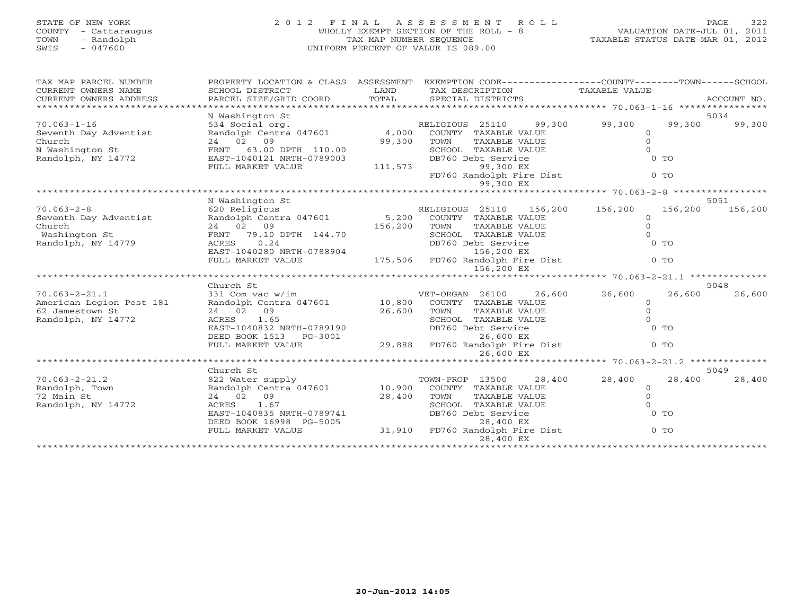# STATE OF NEW YORK 2 0 1 2 F I N A L A S S E S S M E N T R O L L PAGE 322 COUNTY - Cattaraugus WHOLLY EXEMPT SECTION OF THE ROLL - 8 VALUATION DATE-JUL 01, 2011 TOWN - Randolph TAX MAP NUMBER SEQUENCE TAXABLE STATUS DATE-MAR 01, 2012 SWIS - 047600 UNIFORM PERCENT OF VALUE IS 089.00

| TAX MAP PARCEL NUMBER    |                                                                                             |                        | PROPERTY LOCATION & CLASS ASSESSMENT EXEMPTION CODE---------------COUNTY-------TOWN------SCHOOL |               |                |         |
|--------------------------|---------------------------------------------------------------------------------------------|------------------------|-------------------------------------------------------------------------------------------------|---------------|----------------|---------|
| CURRENT OWNERS NAME      | SCHOOL DISTRICT                                                                             | <b>Example 12</b> LAND | TAX DESCRIPTION                                                                                 | TAXABLE VALUE |                |         |
| CURRENT OWNERS ADDRESS   |                                                                                             |                        |                                                                                                 |               |                |         |
|                          |                                                                                             |                        |                                                                                                 |               |                |         |
|                          | N Washington St                                                                             |                        |                                                                                                 |               |                | 5034    |
| $70.063 - 1 - 16$        | 534 Social org.<br>RELIGIOUS 25110 99,<br>Randolph Centra 047601 4,000 COUNTY TAXABLE VALUE |                        |                                                                                                 | 99,300 99,300 | 99,300         | 99,300  |
| Seventh Day Adventist    |                                                                                             |                        |                                                                                                 | $\circ$       |                |         |
| Church                   | 24 02 09                                                                                    | 99,300                 | TAXABLE VALUE<br>TOWN                                                                           | $\Omega$      |                |         |
| N Washington St          | FRNT 63.00 DPTH 110.00                                                                      |                        | SCHOOL TAXABLE VALUE                                                                            | $\Omega$      |                |         |
| Randolph, NY 14772       |                                                                                             |                        | DB760 Debt Service                                                                              |               | $0$ TO         |         |
|                          | FRNT 63.00 DEALER<br>EAST-1040121 NRTH-0789003 DB/00<br>----- MADVET VALUE 111,573          |                        | 99,300 EX                                                                                       |               |                |         |
|                          |                                                                                             |                        | FD760 Randolph Fire Dist                                                                        |               | 0 <sub>0</sub> |         |
|                          |                                                                                             |                        | 99,300 EX                                                                                       |               |                |         |
|                          |                                                                                             |                        |                                                                                                 |               |                |         |
|                          | N Washington St                                                                             |                        |                                                                                                 |               |                | 5051    |
| $70.063 - 2 - 8$         | 620 Religious                                                                               |                        | RELIGIOUS 25110 156,200 156,200                                                                 |               | 156,200        | 156,200 |
| Seventh Day Adventist    | Randolph Centra 047601 5,200 COUNTY TAXABLE VALUE                                           |                        |                                                                                                 | $\Omega$      |                |         |
| Church                   | FRNT 79.10 DPTH 144.70<br>ACRES 0.01                                                        |                        | TAXABLE VALUE                                                                                   | $\mathbf{0}$  |                |         |
| Washington St            |                                                                                             |                        | SCHOOL TAXABLE VALUE                                                                            | $\Omega$      |                |         |
| Randolph, NY 14779       | 0.24<br>ACRES                                                                               |                        | DB760 Debt Service                                                                              |               | $0$ TO         |         |
|                          | EAST-1040280 NRTH-0788904                                                                   |                        | 156,200 EX                                                                                      |               |                |         |
|                          | FULL MARKET VALUE                                                                           |                        | 175,506 FD760 Randolph Fire Dist                                                                |               | $0$ TO         |         |
|                          |                                                                                             |                        | 156,200 EX                                                                                      |               |                |         |
|                          |                                                                                             |                        |                                                                                                 |               |                |         |
|                          | Church St                                                                                   |                        |                                                                                                 |               |                | 5048    |
| $70.063 - 2 - 21.1$      | 331 Com vac w/im                                                                            |                        | VET-ORGAN 26100<br>26,600                                                                       | 26,600        | 26,600         | 26,600  |
| American Legion Post 181 | Randolph Centra 047601 10,800 COUNTY TAXABLE VALUE                                          |                        |                                                                                                 | $\Omega$      |                |         |
| 62 Jamestown St          | 24 02 09                                                                                    | 26,600                 | TOWN<br>TAXABLE VALUE                                                                           | $\Omega$      |                |         |
| Randolph, NY 14772       | ACRES 1.65                                                                                  |                        | SCHOOL TAXABLE VALUE                                                                            | $\Omega$      |                |         |
|                          | EAST-1040832 NRTH-0789190                                                                   |                        | DB760 Debt Service                                                                              |               | $0$ TO         |         |
|                          | DEED BOOK 1513 PG-3001                                                                      |                        | 26,600 EX                                                                                       |               |                |         |
|                          | FULL MARKET VALUE                                                                           |                        | 29,888 FD760 Randolph Fire Dist                                                                 |               | $0$ TO         |         |
|                          |                                                                                             |                        | 26,600 EX                                                                                       |               |                |         |
|                          |                                                                                             |                        |                                                                                                 |               |                |         |
|                          | Church St                                                                                   |                        |                                                                                                 |               |                | 5049    |
| $70.063 - 2 - 21.2$      | 822 Water supply                                                                            |                        | 28,400<br>TOWN-PROP 13500                                                                       | 28,400        | 28,400         | 28,400  |
| Randolph, Town           | Randolph Centra 047601 10,900 COUNTY TAXABLE VALUE                                          |                        |                                                                                                 | $\Omega$      |                |         |
| 72 Main St               | 24 02 09                                                                                    | 28,400                 | TOWN<br>TAXABLE VALUE                                                                           | $\Omega$      |                |         |
| Randolph, NY 14772       | ACRES 1.67                                                                                  |                        | SCHOOL TAXABLE VALUE                                                                            | $\Omega$      |                |         |
|                          | EAST-1040835 NRTH-0789741                                                                   |                        | DB760 Debt Service                                                                              |               | $0$ TO         |         |
|                          |                                                                                             |                        | DEED BOOK 16998 PG-5005 28,400 EX<br>FULL MARKET VALUE 31,910 FD760 Randolph Fire Dist          |               |                |         |
|                          |                                                                                             |                        |                                                                                                 |               | $0$ TO         |         |
|                          |                                                                                             |                        | 28,400 EX                                                                                       |               |                |         |
|                          |                                                                                             |                        |                                                                                                 |               |                |         |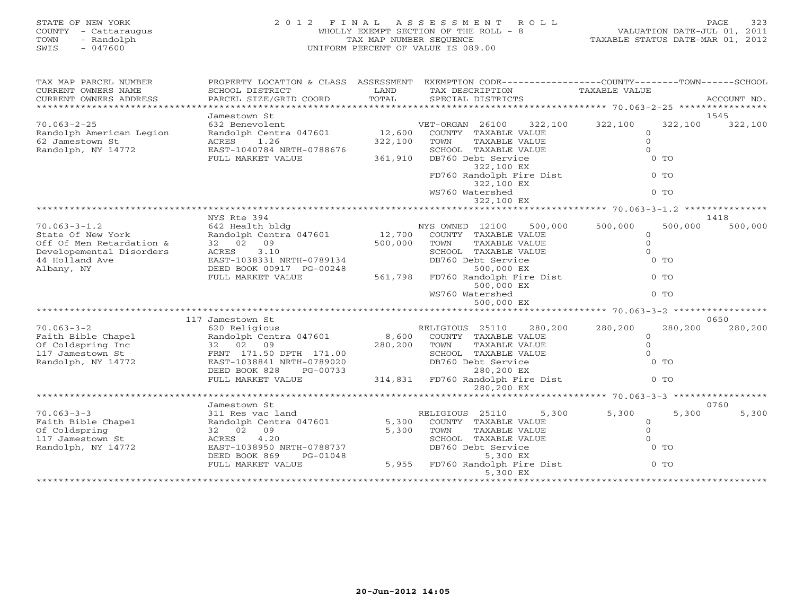# STATE OF NEW YORK 2 0 1 2 F I N A L A S S E S S M E N T R O L L PAGE 323 COUNTY - Cattaraugus WHOLLY EXEMPT SECTION OF THE ROLL - 8 VALUATION DATE-JUL 01, 2011 TOWN - Randolph TAX MAP NUMBER SEQUENCE TAXABLE STATUS DATE-MAR 01, 2012 SWIS - 047600 UNIFORM PERCENT OF VALUE IS 089.00

| PROPERTY LOCATION & CLASS                                                                                                                                        | ASSESSMENT                                                                         |                                                                                                                                                                                                                    |                                                                                  |                                                                                                                                                                                          |
|------------------------------------------------------------------------------------------------------------------------------------------------------------------|------------------------------------------------------------------------------------|--------------------------------------------------------------------------------------------------------------------------------------------------------------------------------------------------------------------|----------------------------------------------------------------------------------|------------------------------------------------------------------------------------------------------------------------------------------------------------------------------------------|
| PARCEL SIZE/GRID COORD                                                                                                                                           | TOTAL                                                                              | SPECIAL DISTRICTS                                                                                                                                                                                                  |                                                                                  | ACCOUNT NO.                                                                                                                                                                              |
|                                                                                                                                                                  |                                                                                    |                                                                                                                                                                                                                    |                                                                                  |                                                                                                                                                                                          |
| 632 Benevolent<br>Randolph Centra 047601<br>1.26<br>ACRES<br>EAST-1040784 NRTH-0788676<br>FULL MARKET VALUE                                                      | 12,600<br>322,100<br>361,910                                                       | 322,100<br>VET-ORGAN 26100<br>COUNTY TAXABLE VALUE<br>TOWN<br>TAXABLE VALUE<br>SCHOOL TAXABLE VALUE<br>DB760 Debt Service<br>322,100 EX<br>FD760 Randolph Fire Dist<br>322,100 EX<br>WS760 Watershed<br>322,100 EX | 322,100<br>322,100<br>$\Omega$<br>$\Omega$<br>0 <sub>0</sub><br>$0$ TO<br>$0$ TO | 1545<br>322,100                                                                                                                                                                          |
|                                                                                                                                                                  |                                                                                    |                                                                                                                                                                                                                    |                                                                                  |                                                                                                                                                                                          |
| 642 Health bldg<br>Randolph Centra 047601<br>32 02<br>09<br>3.10<br>ACRES<br>EAST-1038331 NRTH-0789134<br>DEED BOOK 00917 PG-00248                               | 12,700<br>500,000                                                                  | 500,000<br>COUNTY TAXABLE VALUE<br>TOWN<br>TAXABLE VALUE<br>SCHOOL TAXABLE VALUE<br>DB760 Debt Service<br>500,000 EX                                                                                               | 500,000<br>500,000<br>$\circ$<br>$\Omega$<br>$\Omega$<br>$0$ TO                  | 1418<br>500,000                                                                                                                                                                          |
| FULL MARKET VALUE                                                                                                                                                | 561,798                                                                            | FD760 Randolph Fire Dist<br>500,000 EX<br>WS760 Watershed<br>500,000 EX                                                                                                                                            | $0$ TO<br>$0$ TO                                                                 |                                                                                                                                                                                          |
|                                                                                                                                                                  |                                                                                    |                                                                                                                                                                                                                    |                                                                                  |                                                                                                                                                                                          |
| 620 Religious<br>Randolph Centra 047601<br>32 02<br>09<br>FRNT 171.50 DPTH 171.00<br>EAST-1038841 NRTH-0789020<br>DEED BOOK 828<br>PG-00733<br>FULL MARKET VALUE | 280,200                                                                            | RELIGIOUS 25110<br>280,200<br>COUNTY TAXABLE VALUE<br>TOWN<br><b>TAXABLE VALUE</b><br>SCHOOL TAXABLE VALUE<br>DB760 Debt Service<br>280,200 EX<br>FD760 Randolph Fire Dist<br>280,200 EX                           | 280,200<br>280,200<br>$\circ$<br>$\Omega$<br>$\Omega$<br>$0$ TO<br>$0$ TO        | 0650<br>280,200                                                                                                                                                                          |
|                                                                                                                                                                  |                                                                                    | *******************                                                                                                                                                                                                |                                                                                  |                                                                                                                                                                                          |
| 311 Res vac land<br>Randolph Centra 047601<br>32 02<br>09<br>4.20<br>ACRES<br>EAST-1038950 NRTH-0788737<br>DEED BOOK 869<br>PG-01048<br>FULL MARKET VALUE        | 5,300<br>5,955                                                                     | 5,300<br>RELIGIOUS 25110<br>COUNTY TAXABLE VALUE<br>TOWN<br>TAXABLE VALUE<br>SCHOOL TAXABLE VALUE<br>DB760 Debt Service<br>5,300 EX<br>FD760 Randolph Fire Dist<br>5,300 EX                                        | 5,300<br>5,300<br>$\circ$<br>$\Omega$<br>$\Omega$<br>$0$ TO<br>$0$ TO            | 0760<br>5,300                                                                                                                                                                            |
|                                                                                                                                                                  | SCHOOL DISTRICT<br>Jamestown St<br>NYS Rte 394<br>117 Jamestown St<br>Jamestown St | LAND<br>**************************************                                                                                                                                                                     | TAX DESCRIPTION<br>NYS OWNED 12100<br>8,600<br>314,831<br>5,300                  | EXEMPTION CODE-----------------COUNTY-------TOWN------SCHOOL<br><b>TAXABLE VALUE</b><br>***************** 70.063-3-1.2<br>******* 70.063-3-2<br>*********** 70.063-3-3 ***************** |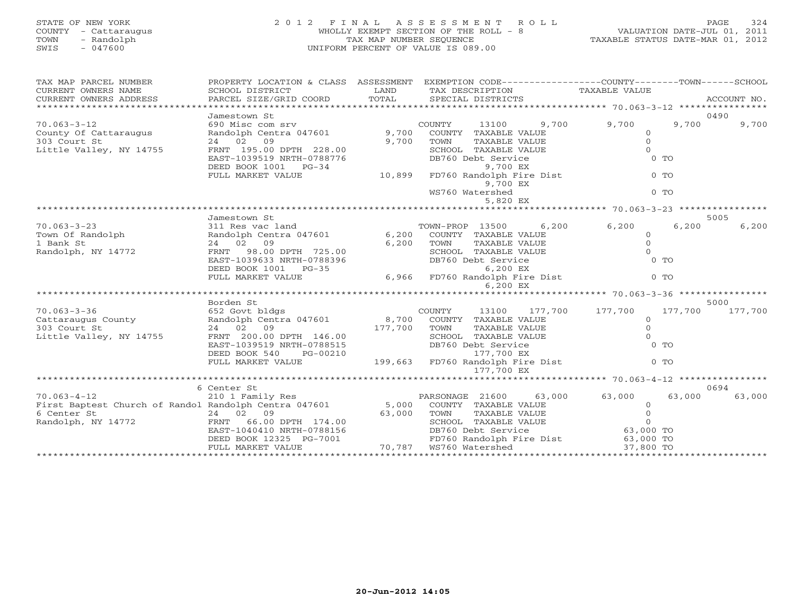# STATE OF NEW YORK 2 0 1 2 F I N A L A S S E S S M E N T R O L L PAGE 324 COUNTY - Cattaraugus WHOLLY EXEMPT SECTION OF THE ROLL - 8 VALUATION DATE-JUL 01, 2011 TOWN - Randolph TAX MAP NUMBER SEQUENCE TAXABLE STATUS DATE-MAR 01, 2012 SWIS - 047600 UNIFORM PERCENT OF VALUE IS 089.00

| TAX MAP PARCEL NUMBER                                                                           |                                                                                                                |       | PROPERTY LOCATION & CLASS ASSESSMENT EXEMPTION CODE----------------COUNTY-------TOWN------SCHOOL       |               |        |                 |
|-------------------------------------------------------------------------------------------------|----------------------------------------------------------------------------------------------------------------|-------|--------------------------------------------------------------------------------------------------------|---------------|--------|-----------------|
| CURRENT OWNERS NAME                                                                             | SCHOOL DISTRICT                                                                                                | LAND  | TAX DESCRIPTION                                                                                        | TAXABLE VALUE |        |                 |
| CURRENT OWNERS ADDRESS                                                                          | PARCEL SIZE/GRID COORD                                                                                         | TOTAL | SPECIAL DISTRICTS                                                                                      |               |        | ACCOUNT NO.     |
| 0490                                                                                            |                                                                                                                |       |                                                                                                        |               |        |                 |
| $70.063 - 3 - 12$                                                                               |                                                                                                                |       | COUNTY<br>13100                                                                                        | 9,700 9,700   | 9,700  | 9,700           |
|                                                                                                 |                                                                                                                |       | COUNTY TAXABLE VALUE                                                                                   | $\circ$       |        |                 |
| County Of Cattaraugus<br>303 Court St                                                           |                                                                                                                |       | TOWN<br>TAXABLE VALUE                                                                                  | $\Omega$      |        |                 |
| Little Valley, NY 14755                                                                         | FRNT 195.00 DPTH 228.00                                                                                        |       | SCHOOL TAXABLE VALUE                                                                                   | $\Omega$      |        |                 |
|                                                                                                 |                                                                                                                |       | DB760 Debt Service                                                                                     | $0$ TO        |        |                 |
|                                                                                                 | EAST-1039519 NRTH-0788776<br>DEED BOOK 1001 PG-34<br>FULL MARKET VALUE 10,899                                  |       | 9,700 EX                                                                                               |               |        |                 |
|                                                                                                 |                                                                                                                |       | FD760 Randolph Fire Dist                                                                               | $0$ TO        |        |                 |
|                                                                                                 |                                                                                                                |       | 9,700 EX                                                                                               |               |        |                 |
|                                                                                                 |                                                                                                                |       | WS760 Watershed                                                                                        | $0$ TO        |        |                 |
|                                                                                                 |                                                                                                                |       |                                                                                                        |               |        |                 |
|                                                                                                 | Jamestown St                                                                                                   |       |                                                                                                        |               |        | 5005            |
| $70.063 - 3 - 23$                                                                               | ,6 TOWN-PROP 13500 6<br>Randolph Centra 047601 6,200 COUNTY TAXABLE VALUE<br>24 02 09 6,200 TOWN TAXABLE VALUE |       |                                                                                                        | 6,200 6,200   | 6,200  | 6,200           |
|                                                                                                 |                                                                                                                |       |                                                                                                        | $\circ$       |        |                 |
| Town Of Randolph<br>1 Bank St                                                                   |                                                                                                                |       | TAXABLE VALUE                                                                                          | $\Omega$      |        |                 |
| Randolph, NY 14772                                                                              |                                                                                                                |       | SCHOOL TAXABLE VALUE<br>DB760 Debt Service<br>6,200 EX                                                 | $\Omega$      |        |                 |
|                                                                                                 |                                                                                                                |       |                                                                                                        | $0$ TO        |        |                 |
|                                                                                                 |                                                                                                                |       |                                                                                                        |               |        |                 |
|                                                                                                 |                                                                                                                |       | 6,966 FD760 Randolph Fire Dist                                                                         | $0$ TO        |        |                 |
|                                                                                                 |                                                                                                                |       | 6,200 EX                                                                                               |               |        |                 |
|                                                                                                 |                                                                                                                |       |                                                                                                        |               |        |                 |
|                                                                                                 |                                                                                                                |       |                                                                                                        |               |        | 5000            |
|                                                                                                 |                                                                                                                |       | 13100 177,700 177,700                                                                                  | $\circ$       |        | 177,700 177,700 |
|                                                                                                 |                                                                                                                |       |                                                                                                        | $\Omega$      |        |                 |
|                                                                                                 |                                                                                                                |       |                                                                                                        | $\Omega$      |        |                 |
|                                                                                                 |                                                                                                                |       |                                                                                                        | $0$ TO        |        |                 |
|                                                                                                 | DEED BOOK 540<br>PG-00210                                                                                      |       |                                                                                                        |               |        |                 |
|                                                                                                 | FULL MARKET VALUE                                                                                              |       | G-00210 177,700 EX<br>199,663 FD760 Randolph Fire Dist                                                 | $0$ TO        |        |                 |
|                                                                                                 |                                                                                                                |       | 177,700 EX                                                                                             |               |        |                 |
|                                                                                                 |                                                                                                                |       |                                                                                                        |               |        |                 |
|                                                                                                 | 6 Center St                                                                                                    |       | PARSONAGE 21600                                                                                        |               |        | 0694            |
| $70.063 - 4 - 12$                                                                               | 210 1 Family Res                                                                                               |       | 63,000                                                                                                 | 63,000        | 63,000 | 63,000          |
| First Baptest Church of Randol Randolph Centra 047601 5,000 COUNTY TAXABLE VALUE<br>6 Center St |                                                                                                                |       |                                                                                                        |               |        |                 |
| 24 02 09<br>14772 FRNT 66.00<br>Randolph, NY 14772                                              | 24 02 09 63,000<br>FRNT 66.00 DPTH 174.00 63,000                                                               |       |                                                                                                        |               |        |                 |
|                                                                                                 | EAST-1040410 NRTH-0788156                                                                                      |       | COUNTY TAXABLE VALUE<br>TOWN TAXABLE VALUE 0<br>SCHOOL TAXABLE VALUE 0<br>DB760 Debt Service 63,000 TO |               |        |                 |
|                                                                                                 |                                                                                                                |       |                                                                                                        |               |        |                 |
|                                                                                                 |                                                                                                                |       |                                                                                                        |               |        |                 |
|                                                                                                 |                                                                                                                |       |                                                                                                        |               |        |                 |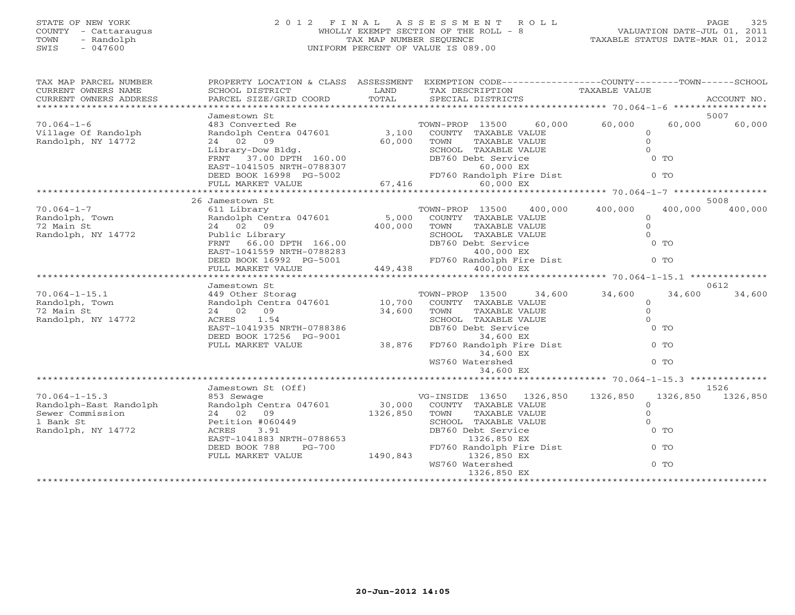## STATE OF NEW YORK 2 0 1 2 F I N A L A S S E S S M E N T R O L L PAGE 325 COUNTY - Cattaraugus WHOLLY EXEMPT SECTION OF THE ROLL - 8 VALUATION DATE-JUL 01, 2011 TOWN - Randolph TAX MAP NUMBER SEQUENCE TAXABLE STATUS DATE-MAR 01, 2012 SWIS - 047600 UNIFORM PERCENT OF VALUE IS 089.00UNIFORM PERCENT OF VALUE IS 089.00

| TAX MAP PARCEL NUMBER<br>CURRENT OWNERS NAME<br>CURRENT OWNERS ADDRESS                               | PROPERTY LOCATION & CLASS ASSESSMENT<br>SCHOOL DISTRICT<br>PARCEL SIZE/GRID COORD                                                                                                               | LAND<br>TOTAL               | EXEMPTION CODE-----------------COUNTY-------TOWN------SCHOOL<br>TAX DESCRIPTION<br>SPECIAL DISTRICTS                                                                                                                                                                                                                      | TAXABLE VALUE                                                                             | ACCOUNT NO.      |
|------------------------------------------------------------------------------------------------------|-------------------------------------------------------------------------------------------------------------------------------------------------------------------------------------------------|-----------------------------|---------------------------------------------------------------------------------------------------------------------------------------------------------------------------------------------------------------------------------------------------------------------------------------------------------------------------|-------------------------------------------------------------------------------------------|------------------|
|                                                                                                      |                                                                                                                                                                                                 |                             |                                                                                                                                                                                                                                                                                                                           |                                                                                           |                  |
| $70.064 - 1 - 6$<br>Village Of Randolph<br>Randolph, NY 14772                                        | Jamestown St<br>483 Converted Re<br>Randolph Centra 047601<br>24 02 09                                                                                                                          | 60,000                      | TOWN-PROP 13500<br>60,000<br>3,100 COUNTY TAXABLE VALUE<br>TOWN<br>TAXABLE VALUE<br>Library-Dow Bldg.<br>FRNT 37.00 DPTH 160.00 DB760 Debt Service<br>EAST-1041505 NRTH-0788307 60,000 EX<br>DEED BOOK 16998 PG-5002 FD760 Randolph Fire Dist<br>FD760 Randolph Fire Dist<br>67,416 60,000 EX<br>FD760 Randolph Fire Dist | 60,000<br>60,000<br>$\Omega$<br>$\Omega$<br>$\Omega$<br>$0$ TO<br>$0$ TO                  | 5007<br>60,000   |
|                                                                                                      |                                                                                                                                                                                                 |                             |                                                                                                                                                                                                                                                                                                                           |                                                                                           | 5008             |
| $70.064 - 1 - 7$<br>Randolph, Town<br>72 Main St<br>Randolph, NY 14772                               | 26 Jamestown St<br>611 Library<br>Randolph Centra 047601<br>24 02 09<br>Public Library<br>FRNT 66.00 DPTH 166.00<br>EAST-1041559 NRTH-0788283<br>DEED BOOK 16992 PG-5001<br>FULL MARKET VALUE   | 5,000<br>400,000<br>449,438 | 400,000<br>TOWN-PROP 13500<br>COUNTY TAXABLE VALUE<br>TOWN<br>TAXABLE VALUE<br>SCHOOL TAXABLE VALUE<br>DB760 Debt Service<br>$400,000$ EX<br>FD760 Randolph Fire Dist<br>400,000 EX                                                                                                                                       | 400,000<br>400,000<br>$\circ$<br>$\Omega$<br>$\Omega$<br>$0$ TO<br>$0$ TO                 | 400,000          |
|                                                                                                      |                                                                                                                                                                                                 |                             |                                                                                                                                                                                                                                                                                                                           |                                                                                           |                  |
| $70.064 - 1 - 15.1$<br>Randolph, Town<br>72 Main St<br>Randolph, NY 14772                            | Jamestown St<br>24 02 09<br>ACRES 1.54<br>EAST-1041935 NRTH-0788386<br>DEED BOOK 17256 PG-9001<br>FULL MARKET VALUE                                                                             | 34,600<br>38,876            | TOWN<br>TAXABLE VALUE<br>SCHOOL TAXABLE VALUE<br>DB760 Debt Service<br>34,600 EX<br>FD760 Randolph Fire Dist<br>34,600 EX<br>WS760 Watershed<br>34,600 EX                                                                                                                                                                 | 34,600 34,600<br>34,600<br>$\Omega$<br>$\Omega$<br>$\Omega$<br>$0$ TO<br>$0$ TO<br>$0$ TO | 0612<br>34,600   |
|                                                                                                      |                                                                                                                                                                                                 |                             |                                                                                                                                                                                                                                                                                                                           |                                                                                           |                  |
| $70.064 - 1 - 15.3$<br>Randolph-East Randolph<br>Sewer Commission<br>1 Bank St<br>Randolph, NY 14772 | Jamestown St (Off)<br>853 Sewage<br>Randolph Centra 047601 30,000<br>24 02 09<br>Petition #060449<br>ACRES<br>3.91<br>EAST-1041883 NRTH-0788653<br>DEED BOOK 788<br>PG-700<br>FULL MARKET VALUE | 1326,850<br>1490,843        | VG-INSIDE 13650 1326,850<br>COUNTY TAXABLE VALUE<br>TAXABLE VALUE<br>TOWN<br>SCHOOL TAXABLE VALUE<br>DB760 Debt Service<br>1326,850 EX<br>FD760 Randolph Fire Dist<br>1326,850 EX<br>WS760 Watershed                                                                                                                      | 1326,850<br>1326,850<br>$\Omega$<br>$\Omega$<br>$\Omega$<br>$0$ TO<br>$0$ TO<br>$0$ TO    | 1526<br>1326,850 |
|                                                                                                      |                                                                                                                                                                                                 |                             | 1326,850 EX                                                                                                                                                                                                                                                                                                               | **************************                                                                |                  |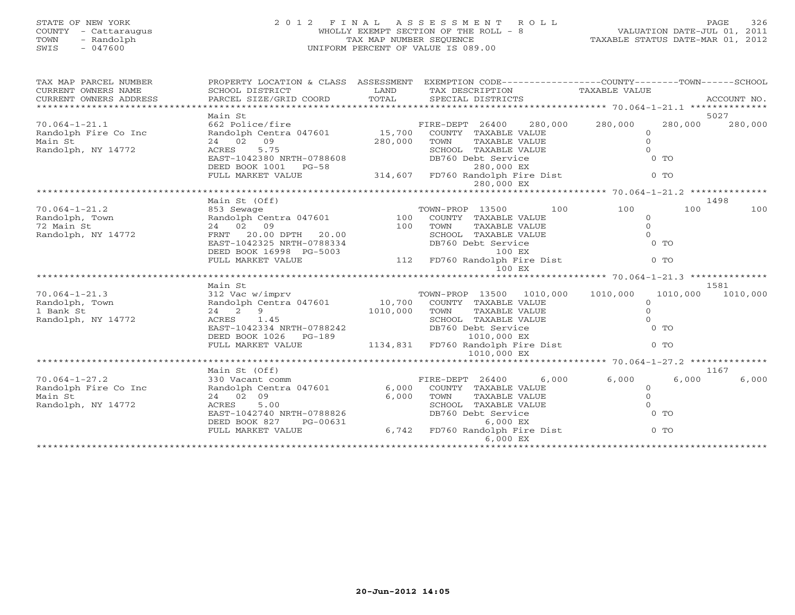## STATE OF NEW YORK 2 0 1 2 F I N A L A S S E S S M E N T R O L L PAGE 326COUNTY - Cattaraugus WHOLLY EXEMPT SECTION OF THE ROLL - 8 VALUATION DATE-JUL 01, 2011 SWIS - 047600 UNIFORM PERCENT OF VALUE IS 089.00

VALUATION DATE-JUL 01, 2011 TAXABLE STATUS DATE-MAR 01, 2012

| TAX MAP PARCEL NUMBER<br>CURRENT OWNERS NAME<br>CURRENT OWNERS ADDRESS | PROPERTY LOCATION & CLASS ASSESSMENT<br>SCHOOL DISTRICT<br>PARCEL SIZE/GRID COORD | LAND<br>TOTAL | EXEMPTION CODE-----------------COUNTY-------TOWN------SCHOOL<br>TAX DESCRIPTION<br>SPECIAL DISTRICTS | TAXABLE VALUE                      | ACCOUNT NO.      |
|------------------------------------------------------------------------|-----------------------------------------------------------------------------------|---------------|------------------------------------------------------------------------------------------------------|------------------------------------|------------------|
|                                                                        | Main St                                                                           |               |                                                                                                      |                                    | 5027             |
| $70.064 - 1 - 21.1$<br>Randolph Fire Co Inc                            | 662 Police/fire<br>Randolph Centra 047601                                         | 15,700        | 280,000<br>FIRE-DEPT 26400<br>COUNTY TAXABLE VALUE                                                   | 280,000<br>280,000<br>$\mathbf{0}$ | 280,000          |
| Main St<br>Randolph, NY 14772                                          | 09<br>24 02<br>5.75<br>ACRES                                                      | 280,000       | TOWN<br>TAXABLE VALUE<br>SCHOOL TAXABLE VALUE                                                        | $\Omega$<br>$\Omega$               |                  |
|                                                                        | EAST-1042380 NRTH-0788608<br>DEED BOOK 1001 PG-58                                 |               | DB760 Debt Service<br>280,000 EX                                                                     | $0$ TO                             |                  |
|                                                                        | FULL MARKET VALUE                                                                 |               | 314,607 FD760 Randolph Fire Dist<br>280,000 EX                                                       | $0$ TO                             |                  |
|                                                                        |                                                                                   |               |                                                                                                      |                                    |                  |
|                                                                        | Main St (Off)                                                                     |               |                                                                                                      |                                    | 1498             |
| $70.064 - 1 - 21.2$<br>Randolph, Town                                  | 853 Sewage<br>Randolph Centra 047601                                              | 100           | 100<br>TOWN-PROP 13500<br>COUNTY TAXABLE VALUE                                                       | 100<br>100<br>$\circ$              | 100              |
| 72 Main St<br>Randolph, NY 14772                                       | 24 02 09<br>FRNT 20.00 DPTH 20.00<br>EAST-1042325 NRTH-0788334                    | 100           | TAXABLE VALUE<br>TOWN<br>SCHOOL TAXABLE VALUE<br>DB760 Debt Service                                  | $\Omega$<br>$\Omega$<br>$0$ TO     |                  |
|                                                                        | DEED BOOK 16998 PG-5003<br>FULL MARKET VALUE                                      |               | 100 EX<br>112 FD760 Randolph Fire Dist                                                               | $0$ TO                             |                  |
|                                                                        |                                                                                   |               | 100 EX                                                                                               |                                    |                  |
|                                                                        |                                                                                   |               |                                                                                                      |                                    |                  |
| $70.064 - 1 - 21.3$                                                    | Main St<br>312 Vac w/imprv                                                        |               | 1010,000<br>TOWN-PROP 13500                                                                          | 1010,000<br>1010,000               | 1581<br>1010,000 |
| Randolph, Town<br>1 Bank St                                            | Randolph Centra 047601 10,700<br>24 2<br>9                                        | 1010,000      | COUNTY TAXABLE VALUE<br>TOWN<br>TAXABLE VALUE                                                        | $\circ$<br>$\circ$                 |                  |
| Randolph, NY 14772                                                     | ACRES<br>1.45                                                                     |               | SCHOOL TAXABLE VALUE                                                                                 | $\Omega$                           |                  |
|                                                                        | EAST-1042334 NRTH-0788242<br>DEED BOOK 1026<br>PG-189                             |               | DB760 Debt Service<br>1010,000 EX                                                                    | $0$ TO                             |                  |
|                                                                        | FULL MARKET VALUE                                                                 | 1134,831      | FD760 Randolph Fire Dist<br>1010,000 EX                                                              | $0$ TO                             |                  |
|                                                                        |                                                                                   |               |                                                                                                      |                                    |                  |
| $70.064 - 1 - 27.2$                                                    | Main St (Off)<br>330 Vacant comm                                                  |               | FIRE-DEPT 26400<br>6,000                                                                             | 6,000<br>6,000                     | 1167<br>6,000    |
| Randolph Fire Co Inc                                                   | Randolph Centra 047601                                                            | 6,000         | COUNTY TAXABLE VALUE                                                                                 | $\Omega$                           |                  |
| Main St<br>Randolph, NY 14772                                          | 24 02 09<br>ACRES<br>5.00                                                         | 6,000         | TOWN<br>TAXABLE VALUE<br>SCHOOL TAXABLE VALUE                                                        | $\circ$<br>$\Omega$                |                  |
|                                                                        | EAST-1042740 NRTH-0788826                                                         |               | DB760 Debt Service                                                                                   | $0$ TO                             |                  |
|                                                                        | DEED BOOK 827<br>PG-00631<br>FULL MARKET VALUE                                    |               | 6,000 EX<br>6,742 FD760 Randolph Fire Dist<br>6,000 EX                                               | $0$ TO                             |                  |
|                                                                        |                                                                                   |               |                                                                                                      | ********************               |                  |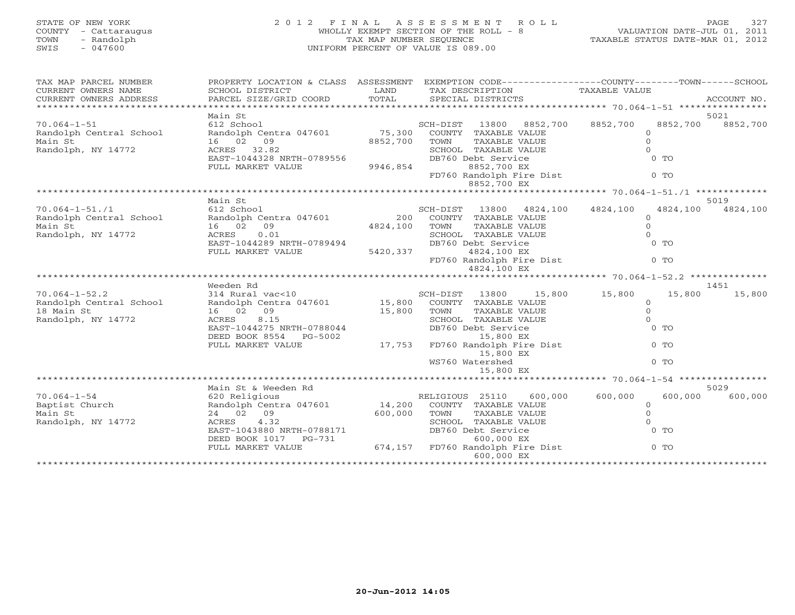# STATE OF NEW YORK 2 0 1 2 F I N A L A S S E S S M E N T R O L L PAGE 327 COUNTY - Cattaraugus WHOLLY EXEMPT SECTION OF THE ROLL - 8 VALUATION DATE-JUL 01, 2011 TOWN - Randolph TAX MAP NUMBER SEQUENCE TAXABLE STATUS DATE-MAR 01, 2012 SWIS - 047600 UNIFORM PERCENT OF VALUE IS 089.00

| TAX MAP PARCEL NUMBER   | PROPERTY LOCATION & CLASS ASSESSMENT |                                  |                 |                      |                          | EXEMPTION CODE-----------------COUNTY-------TOWN------SCHOOL |              |             |
|-------------------------|--------------------------------------|----------------------------------|-----------------|----------------------|--------------------------|--------------------------------------------------------------|--------------|-------------|
| CURRENT OWNERS NAME     | SCHOOL DISTRICT                      | LAND                             |                 | TAX DESCRIPTION      |                          | TAXABLE VALUE                                                |              |             |
| CURRENT OWNERS ADDRESS  | PARCEL SIZE/GRID COORD               | TOTAL                            |                 | SPECIAL DISTRICTS    |                          |                                                              |              | ACCOUNT NO. |
|                         |                                      |                                  |                 |                      |                          |                                                              |              |             |
|                         | Main St                              |                                  |                 |                      |                          |                                                              |              | 5021        |
| $70.064 - 1 - 51$       | 612 School                           |                                  | SCH-DIST        | 13800                | 8852,700                 | 8852,700                                                     | 8852,700     | 8852,700    |
| Randolph Central School | Randolph Centra 047601               | 75,300                           |                 | COUNTY TAXABLE VALUE |                          |                                                              | $\circ$      |             |
| Main St                 | 16 02 09                             | 8852,700                         | TOWN            | TAXABLE VALUE        |                          |                                                              | $\Omega$     |             |
| Randolph, NY 14772      | ACRES 32.82                          |                                  |                 | SCHOOL TAXABLE VALUE |                          |                                                              | $\Omega$     |             |
|                         | EAST-1044328 NRTH-0789556            |                                  |                 | DB760 Debt Service   |                          |                                                              | $0$ TO       |             |
|                         | FULL MARKET VALUE                    | 9946,854                         |                 | 8852,700 EX          |                          |                                                              |              |             |
|                         |                                      |                                  |                 |                      | FD760 Randolph Fire Dist |                                                              | $0$ TO       |             |
|                         |                                      |                                  |                 | 8852,700 EX          |                          |                                                              |              |             |
|                         |                                      |                                  |                 |                      |                          |                                                              |              |             |
|                         | Main St                              |                                  |                 |                      |                          |                                                              |              | 5019        |
| $70.064 - 1 - 51.71$    | 612 School                           |                                  | SCH-DIST 13800  |                      | 4824,100                 | 4824,100                                                     | 4824,100     | 4824,100    |
| Randolph Central School | Randolph Centra 047601               | 200                              |                 | COUNTY TAXABLE VALUE |                          |                                                              | $\Omega$     |             |
| Main St                 | 16 02<br>09                          | 4824,100                         | TOWN            | TAXABLE VALUE        |                          |                                                              | $\circ$      |             |
| Randolph, NY 14772      | ACRES<br>0.01                        |                                  |                 | SCHOOL TAXABLE VALUE |                          |                                                              | $\Omega$     |             |
|                         | EAST-1044289 NRTH-0789494            |                                  |                 | DB760 Debt Service   |                          |                                                              | $0$ TO       |             |
|                         | FULL MARKET VALUE                    | 5420,337                         |                 | 4824,100 EX          |                          |                                                              |              |             |
|                         |                                      |                                  |                 |                      | FD760 Randolph Fire Dist |                                                              | $0$ TO       |             |
|                         |                                      |                                  |                 | 4824,100 EX          |                          |                                                              |              |             |
|                         |                                      |                                  |                 |                      |                          |                                                              |              |             |
|                         |                                      |                                  |                 |                      |                          |                                                              |              |             |
|                         | Weeden Rd                            |                                  |                 |                      |                          |                                                              |              | 1451        |
| $70.064 - 1 - 52.2$     | 314 Rural vac<10                     |                                  | SCH-DIST 13800  |                      | 15,800                   | 15,800                                                       | 15,800       | 15,800      |
| Randolph Central School | Randolph Centra 047601 15,800        |                                  |                 | COUNTY TAXABLE VALUE |                          |                                                              | $\circ$      |             |
| 18 Main St              | 16 02 09                             | 15,800                           | TOWN            | TAXABLE VALUE        |                          |                                                              | $\circ$      |             |
| Randolph, NY 14772      | ACRES<br>8.15                        |                                  |                 | SCHOOL TAXABLE VALUE |                          |                                                              | $\Omega$     |             |
|                         | EAST-1044275 NRTH-0788044            |                                  |                 | DB760 Debt Service   |                          |                                                              | $0$ TO       |             |
|                         | DEED BOOK 8554 PG-5002               |                                  |                 | 15,800 EX            |                          |                                                              |              |             |
|                         | FULL MARKET VALUE                    | 17,753                           |                 |                      | FD760 Randolph Fire Dist |                                                              | $0$ TO       |             |
|                         |                                      |                                  |                 | 15,800 EX            |                          |                                                              |              |             |
|                         |                                      |                                  |                 | WS760 Watershed      |                          |                                                              | $0$ TO       |             |
|                         |                                      |                                  |                 | 15,800 EX            |                          |                                                              |              |             |
|                         |                                      |                                  |                 |                      |                          |                                                              |              |             |
|                         | Main St & Weeden Rd                  |                                  |                 |                      |                          |                                                              |              | 5029        |
| $70.064 - 1 - 54$       | 620 Religious                        |                                  | RELIGIOUS 25110 |                      | 600,000                  | 600,000                                                      | 600,000      | 600,000     |
| Baptist Church          | Randolph Centra 047601               | 14,200                           |                 | COUNTY TAXABLE VALUE |                          |                                                              | $\circ$      |             |
| Main St                 | 24 02 09                             | 600,000                          | TOWN            | TAXABLE VALUE        |                          |                                                              | $\mathbf{O}$ |             |
| Randolph, NY 14772      | ACRES<br>4.32                        |                                  |                 | SCHOOL TAXABLE VALUE |                          |                                                              | $\Omega$     |             |
|                         | EAST-1043880 NRTH-0788171            |                                  |                 | DB760 Debt Service   |                          |                                                              | $0$ TO       |             |
|                         | DEED BOOK 1017 PG-731                |                                  |                 | 600,000 EX           |                          |                                                              |              |             |
|                         | FULL MARKET VALUE                    | 674,157 FD760 Randolph Fire Dist |                 | 600,000 EX           |                          |                                                              | $0$ TO       |             |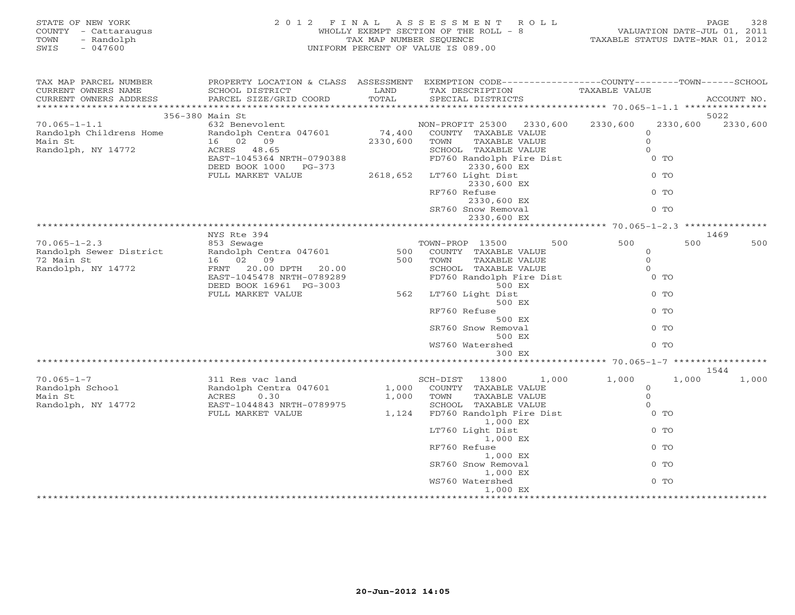| STATE OF NEW YORK<br>COUNTY - Cattaraugus<br>TOWN<br>- Randolph<br>SWIS<br>$-047600$ | 2 0 1 2<br>TAX MAP NUMBER SEQUENCE<br>UNIFORM PERCENT OF VALUE IS 089.00 | FINAL ASSESSMENT ROLL<br>WHOLLY EXEMPT SECTION OF THE ROLL - 8 VALUATION DATE-JUL 01, 2011<br>TAXABLE STATUS DATE-MAR 01, 2012 |                                                                                                                                         |                      |             |
|--------------------------------------------------------------------------------------|--------------------------------------------------------------------------|--------------------------------------------------------------------------------------------------------------------------------|-----------------------------------------------------------------------------------------------------------------------------------------|----------------------|-------------|
| TAX MAP PARCEL NUMBER<br>CURRENT OWNERS NAME<br>CURRENT OWNERS ADDRESS               | SCHOOL DISTRICT<br>PARCEL SIZE/GRID COORD                                | LAND<br>TOTAL                                                                                                                  | PROPERTY LOCATION & CLASS ASSESSMENT EXEMPTION CODE---------------COUNTY-------TOWN------SCHOOL<br>TAX DESCRIPTION<br>SPECIAL DISTRICTS | TAXABLE VALUE        | ACCOUNT NO. |
|                                                                                      | 356-380 Main St                                                          |                                                                                                                                |                                                                                                                                         |                      | 5022        |
| $70.065 - 1 - 1.1$                                                                   | 632 Benevolent                                                           |                                                                                                                                | NON-PROFIT 25300 2330,600 2330,600                                                                                                      | 2330,600             | 2330,600    |
| Randolph Childrens Home                                                              | Randolph Centra 047601                                                   | 74,400                                                                                                                         | COUNTY TAXABLE VALUE                                                                                                                    | $\circ$              |             |
| Main St                                                                              | 16 02 09<br>ACRES 48.65                                                  | 2330,600                                                                                                                       | TAXABLE VALUE<br>TOWN                                                                                                                   | $\circ$              |             |
| Randolph, NY 14772                                                                   | ACRES 48.65                                                              |                                                                                                                                | SCHOOL TAXABLE VALUE                                                                                                                    | $\Omega$             |             |
|                                                                                      | EAST-1045364 NRTH-0790388                                                |                                                                                                                                | FD760 Randolph Fire Dist                                                                                                                | $0$ TO               |             |
|                                                                                      | DEED BOOK 1000 PG-373<br>FULL MARKET VALUE                               |                                                                                                                                | 2330,600 EX<br>2618,652 LT760 Light Dist                                                                                                | $0$ TO               |             |
|                                                                                      |                                                                          |                                                                                                                                | 2330,600 EX                                                                                                                             |                      |             |
|                                                                                      |                                                                          |                                                                                                                                | RF760 Refuse                                                                                                                            | $0$ TO               |             |
|                                                                                      |                                                                          |                                                                                                                                | 2330,600 EX                                                                                                                             |                      |             |
|                                                                                      |                                                                          |                                                                                                                                | SR760 Snow Removal                                                                                                                      | $0$ TO               |             |
|                                                                                      |                                                                          |                                                                                                                                | 2330,600 EX                                                                                                                             |                      |             |
|                                                                                      | NYS Rte 394                                                              |                                                                                                                                |                                                                                                                                         |                      | 1469        |
| $70.065 - 1 - 2.3$                                                                   | 853 Sewage                                                               |                                                                                                                                | 500<br>TOWN-PROP 13500                                                                                                                  | 500<br>500           | 500         |
| Randolph Sewer District                                                              | Randolph Centra 047601                                                   | 500                                                                                                                            | COUNTY TAXABLE VALUE                                                                                                                    | $\overline{O}$       |             |
| 72 Main St                                                                           | 16 02 09                                                                 | 500                                                                                                                            | TOWN<br>TAXABLE VALUE                                                                                                                   | $\Omega$             |             |
| Randolph, NY 14772                                                                   | FRNT 20.00 DPTH 20.00                                                    |                                                                                                                                | SCHOOL TAXABLE VALUE                                                                                                                    | $\Omega$             |             |
|                                                                                      | EAST-1045478 NRTH-0789289                                                |                                                                                                                                | FD760 Randolph Fire Dist                                                                                                                | $0$ TO               |             |
|                                                                                      | DEED BOOK 16961 PG-3003                                                  |                                                                                                                                | 500 EX                                                                                                                                  |                      |             |
|                                                                                      | FULL MARKET VALUE                                                        |                                                                                                                                | 562 LT760 Light Dist<br>500 EX                                                                                                          | $0$ TO               |             |
|                                                                                      |                                                                          |                                                                                                                                | RF760 Refuse                                                                                                                            | $0$ TO               |             |
|                                                                                      |                                                                          |                                                                                                                                | 500 EX                                                                                                                                  |                      |             |
|                                                                                      |                                                                          |                                                                                                                                | SR760 Snow Removal                                                                                                                      | $0$ TO               |             |
|                                                                                      |                                                                          |                                                                                                                                | 500 EX                                                                                                                                  |                      |             |
|                                                                                      |                                                                          |                                                                                                                                | WS760 Watershed                                                                                                                         | $0$ TO               |             |
|                                                                                      |                                                                          |                                                                                                                                | 300 EX                                                                                                                                  |                      |             |
|                                                                                      |                                                                          |                                                                                                                                |                                                                                                                                         |                      | 1544        |
| $70.065 - 1 - 7$                                                                     | 311 Res vac land<br>Randolph Centra 047601<br>ACRES     0  30            |                                                                                                                                | SCH-DIST<br>13800                                                                                                                       | 1,000<br>1,000 1,000 | 1,000       |
| Randolph School                                                                      |                                                                          | 1,000                                                                                                                          | COUNTY TAXABLE VALUE                                                                                                                    | $\circ$              |             |
| Main St                                                                              |                                                                          | 1,000                                                                                                                          | TOWN<br>TAXABLE VALUE                                                                                                                   | $\Omega$             |             |
| Randolph, NY 14772                                                                   | EAST-1044843 NRTH-0789975                                                |                                                                                                                                | SCHOOL TAXABLE VALUE<br>FD760 Randolph Fire Dist                                                                                        | $\Omega$             |             |
|                                                                                      | FULL MARKET VALUE                                                        | 1,124                                                                                                                          |                                                                                                                                         | $0$ TO               |             |
|                                                                                      |                                                                          |                                                                                                                                | 1,000 EX<br>LT760 Light Dist                                                                                                            | $0$ TO               |             |
|                                                                                      |                                                                          |                                                                                                                                | 1,000 EX                                                                                                                                |                      |             |
|                                                                                      |                                                                          |                                                                                                                                | RF760 Refuse                                                                                                                            | $0$ TO               |             |
|                                                                                      |                                                                          |                                                                                                                                | 1,000 EX                                                                                                                                |                      |             |
|                                                                                      |                                                                          |                                                                                                                                | SR760 Snow Removal                                                                                                                      | $0$ TO               |             |
|                                                                                      |                                                                          |                                                                                                                                | 1,000 EX                                                                                                                                |                      |             |
|                                                                                      |                                                                          |                                                                                                                                | WS760 Watershed                                                                                                                         | $0$ TO               |             |
|                                                                                      |                                                                          |                                                                                                                                | 1,000 EX                                                                                                                                |                      |             |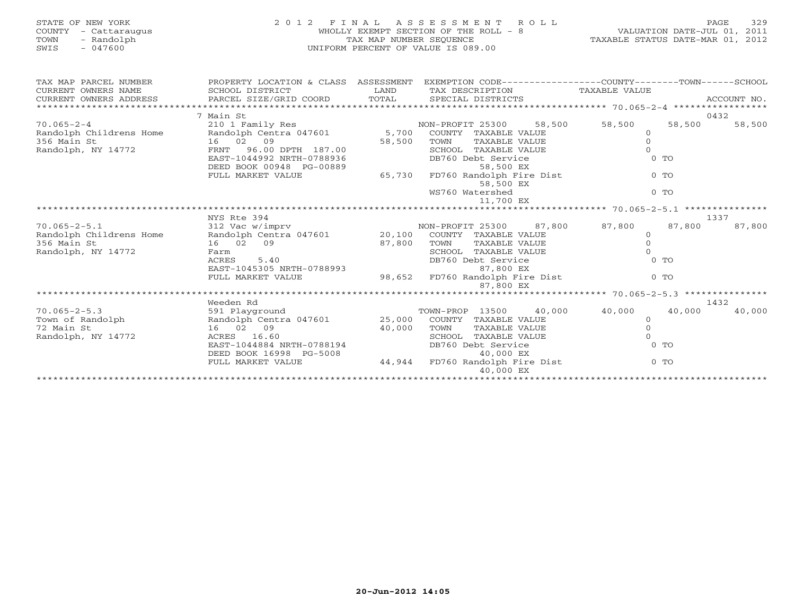| STATE OF NEW YORK    | 2012 FINAL ASSESSMENT ROLL            | PAGE                             | 329 |
|----------------------|---------------------------------------|----------------------------------|-----|
| COUNTY - Cattarauqus | WHOLLY EXEMPT SECTION OF THE ROLL - 8 | VALUATION DATE-JUL 01, 2011      |     |
| - Randolph<br>TOWN   | TAX MAP NUMBER SEOUENCE               | TAXABLE STATUS DATE-MAR 01, 2012 |     |
| SWIS<br>- 047600     | UNIFORM PERCENT OF VALUE IS 089.00    |                                  |     |
|                      |                                       |                                  |     |
|                      |                                       |                                  |     |

| TAX MAP PARCEL NUMBER   | PROPERTY LOCATION & CLASS ASSESSMENT EXEMPTION CODE---------------COUNTY-------TOWN-----SCHOOL    |                 |                                    |                  |                  |
|-------------------------|---------------------------------------------------------------------------------------------------|-----------------|------------------------------------|------------------|------------------|
| CURRENT OWNERS NAME     | SCHOOL DISTRICT                                                                                   |                 | LAND TAX DESCRIPTION TAXABLE VALUE |                  |                  |
|                         |                                                                                                   |                 |                                    |                  |                  |
|                         |                                                                                                   |                 |                                    |                  |                  |
|                         | 7 Main St                                                                                         |                 |                                    |                  | 0432             |
| $70.065 - 2 - 4$        |                                                                                                   |                 |                                    | 58,500           | 58,500<br>58,500 |
| Randolph Childrens Home |                                                                                                   |                 |                                    |                  |                  |
| 356 Main St             | 16 02 09                                                                                          |                 | TOWN<br>TAXABLE VALUE              |                  |                  |
| Randolph, NY 14772      | FRNT 96.00 DPTH 187.00                                                                            | $187.00$ 58,500 | SCHOOL TAXABLE VALUE               |                  |                  |
|                         | EAST-1044992 NRTH-0788936                                                                         |                 | DB760 Debt Service                 | $0$ TO           |                  |
|                         |                                                                                                   |                 |                                    |                  |                  |
|                         | DEED BOOK 00948 PG-00889 58,500 EX<br>FULL MARKET VALUE 65,730 FD760 Randolph Fire Dist           |                 |                                    | $0$ TO           |                  |
|                         |                                                                                                   |                 | 58,500 EX                          |                  |                  |
|                         |                                                                                                   |                 | WS760 Watershed                    | $0$ TO           |                  |
|                         |                                                                                                   |                 | 11,700 EX                          |                  |                  |
|                         |                                                                                                   |                 |                                    |                  |                  |
|                         | NYS Rte 394                                                                                       |                 |                                    |                  | 1337             |
| $70.065 - 2 - 5.1$      |                                                                                                   |                 |                                    | 87,800           | 87,800<br>87,800 |
| Randolph Childrens Home |                                                                                                   |                 |                                    | $\Omega$         |                  |
| 356 Main St             | 16 02 09                                                                                          | $87,800$ TOWN   | TAXABLE VALUE                      |                  |                  |
| Randolph, NY 14772      | Farm                                                                                              |                 | SCHOOL TAXABLE VALUE               |                  |                  |
|                         | 5.40<br>ACRES                                                                                     |                 | DB760 Debt Service                 | $0$ TO           |                  |
|                         | EAST-1045305 NRTH-0788993                                                                         |                 | 87,800 EX                          |                  |                  |
|                         | FULL MARKET VALUE 98,652 FD760 Randolph Fire Dist                                                 |                 |                                    | $0$ TO           |                  |
|                         |                                                                                                   |                 | 87,800 EX                          |                  |                  |
|                         |                                                                                                   |                 |                                    |                  |                  |
|                         | Weeden Rd                                                                                         |                 |                                    |                  | 1432             |
| $70.065 - 2 - 5.3$      | 591 Playground                                                                                    |                 | TOWN-PROP 13500                    | 40,000<br>40,000 | 40,000<br>40,000 |
| Town of Randolph        | Randolph Centra 047601 25,000 COUNTY TAXABLE VALUE                                                |                 |                                    | $\Omega$         |                  |
| 72 Main St              | 16 02 09                                                                                          | 40,000          | TOWN<br>TAXABLE VALUE              |                  |                  |
| Randolph, NY 14772      | ACRES 16.60                                                                                       |                 | SCHOOL TAXABLE VALUE               |                  |                  |
|                         | EAST-1044884 NRTH-0788194                                                                         |                 |                                    | $0$ TO           |                  |
|                         |                                                                                                   |                 |                                    |                  |                  |
|                         | EAST-1044884 NRTH-0780124<br>DEED BOOK 16998 PG-5008 44,944 FD760 Randolph Fire Dist<br>40,000 EX |                 |                                    | $0$ TO           |                  |
|                         |                                                                                                   |                 |                                    |                  |                  |
|                         |                                                                                                   |                 |                                    |                  |                  |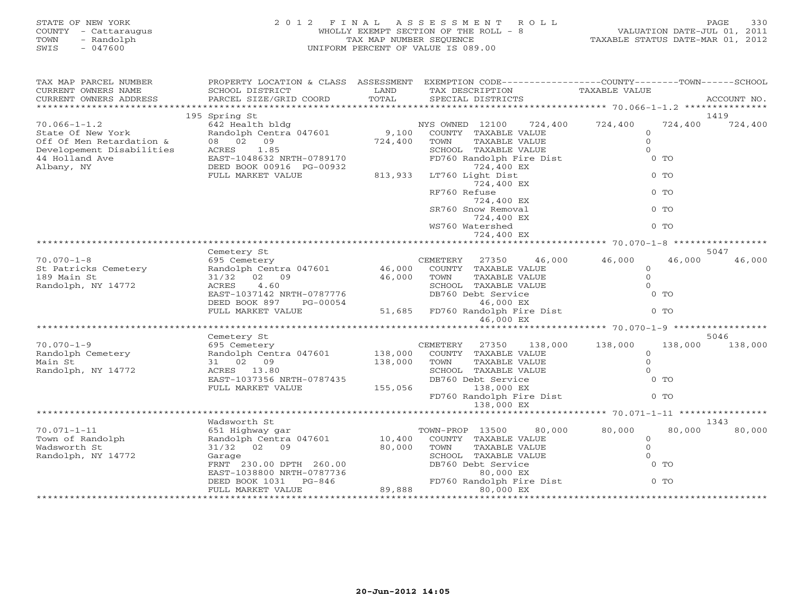| STATE OF NEW YORK<br>COUNTY<br>- Cattaraugus<br>- Randolph<br>TOWN<br>$-047600$<br>SWIS | 2 0 1 2                                      | FINAL<br>TAX MAP NUMBER SEOUENCE | ASSESSMENT ROLL<br>WHOLLY EXEMPT SECTION OF THE ROLL - 8<br>UNIFORM PERCENT OF VALUE IS 089.00 | VALUATION DATE-JUL 01, 2011<br>TAXABLE STATUS DATE-MAR 01, 2012 | 330<br>PAGE |
|-----------------------------------------------------------------------------------------|----------------------------------------------|----------------------------------|------------------------------------------------------------------------------------------------|-----------------------------------------------------------------|-------------|
| TAX MAP PARCEL NUMBER<br>CURRENT OWNERS NAME                                            | PROPERTY LOCATION & CLASS<br>SCHOOL DISTRICT | ASSESSMENT<br>LAND               | EXEMPTION CODE-----------------COUNTY-------TOWN------SCHOOL<br>TAX DESCRIPTION                | TAXABLE VALUE                                                   |             |
| CURRENT OWNERS ADDRESS                                                                  | PARCEL SIZE/GRID COORD                       | TOTAL                            | SPECIAL DISTRICTS                                                                              |                                                                 | ACCOUNT NO. |
|                                                                                         |                                              |                                  |                                                                                                |                                                                 |             |
|                                                                                         | 195 Spring St                                |                                  |                                                                                                |                                                                 | 1419        |
| $70.066 - 1 - 1.2$                                                                      | 642 Health bldg                              |                                  | 12100<br>724,400<br>NYS OWNED                                                                  | 724,400<br>724,400                                              | 724,400     |
| State Of New York                                                                       | Randolph Centra 047601                       | 9,100                            | COUNTY<br>TAXABLE VALUE                                                                        |                                                                 |             |
| Off Of Men Retardation &                                                                | 08 02<br>09                                  | 724,400                          | TOWN<br>TAXABLE VALUE                                                                          |                                                                 |             |
| Developement Disabilities                                                               | 1.85<br>ACRES                                |                                  | SCHOOL<br>TAXABLE VALUE                                                                        |                                                                 |             |
| 44 Holland Ave                                                                          | EAST-1048632 NRTH-0789170                    |                                  | FD760 Randolph Fire Dist                                                                       | 0 TO                                                            |             |
| Albany, NY                                                                              | DEED BOOK 00916 PG-00932                     |                                  | 724,400 EX                                                                                     |                                                                 |             |
|                                                                                         | FULL MARKET VALUE                            | 813,933                          | LT760 Light Dist                                                                               | $0$ TO                                                          |             |

724,400 EX \*\*\*\*\*\*\*\*\*\*\*\*\*\*\*\*\*\*\*\*\*\*\*\*\*\*\*\*\*\*\*\*\*\*\*\*\*\*\*\*\*\*\*\*\*\*\*\*\*\*\*\*\*\*\*\*\*\*\*\*\*\*\*\*\*\*\*\*\*\*\*\*\*\*\*\*\*\*\*\*\*\*\*\*\*\*\*\*\*\*\*\*\*\*\*\*\*\*\*\*\*\*\* 70.070-1-8 \*\*\*\*\*\*\*\*\*\*\*\*\*\*\*\*\*

70.070-1-8 695 Cemetery CEMETERY 27350 46,000 46,000 46,000 46,000

Cemetery St 5047 Semi-communication of the state of the state of the state of the state of the state of the state of the state of the state of the state of the state of the state of the state of the state of the state of t

St Patricks Cemetery **Randolph Centra 047601** 46,000 COUNTY TAXABLE VALUE 0 189 Main St 31/32 02 09 46,000 TOWN TAXABLE VALUE 0

724,400 EX

724,400 EX

724,400 EX

WS760 Watershed

RF760 Refuse 0 TO

SR760 Snow Removal 0 TO

 $0$  TO

| Randolph, NY 14772 | 4.60<br>ACRES             | SCHOOL TAXABLE VALUE               | $\Omega$                      |
|--------------------|---------------------------|------------------------------------|-------------------------------|
|                    | EAST-1037142 NRTH-0787776 | DB760 Debt Service                 | $0$ TO                        |
|                    | DEED BOOK 897<br>PG-00054 | 46,000 EX                          |                               |
|                    | FULL MARKET VALUE         | 51,685 FD760 Randolph Fire Dist    | $0$ TO                        |
|                    |                           | 46,000 EX                          |                               |
|                    |                           |                                    |                               |
|                    | Cemetery St               |                                    | 5046                          |
| $70.070 - 1 - 9$   | 695 Cemetery              | 27350<br>138,000<br>CEMETERY       | 138,000<br>138,000<br>138,000 |
| Randolph Cemetery  | Randolph Centra 047601    | 138,000<br>COUNTY<br>TAXABLE VALUE |                               |
| Main St            | 31 02 09                  | TAXABLE VALUE<br>138,000<br>TOWN   |                               |
| Randolph, NY 14772 | ACRES 13.80               | TAXABLE VALUE<br>SCHOOL            |                               |
|                    | EAST-1037356 NRTH-0787435 | DB760 Debt Service                 | $0$ TO                        |
|                    | FULL MARKET VALUE         | 155,056<br>138,000 EX              |                               |
|                    |                           | FD760 Randolph Fire Dist           | $0$ TO                        |
|                    |                           | 138,000 EX                         |                               |
|                    |                           |                                    |                               |
|                    | Wadsworth St              |                                    | 1343                          |
| $70.071 - 1 - 11$  | 651 Highway gar           | TOWN-PROP 13500<br>80,000          | 80,000<br>80,000<br>80,000    |
| Town of Randolph   | Randolph Centra 047601    | 10,400<br>COUNTY TAXABLE VALUE     |                               |
| Wadsworth St       | 31/32 02 09               | 80,000<br>TOWN<br>TAXABLE VALUE    |                               |
| Randolph, NY 14772 | Garage                    | SCHOOL<br>TAXABLE VALUE            |                               |
|                    | FRNT 230.00 DPTH 260.00   | DB760 Debt Service                 | $0$ TO                        |
|                    | EAST-1038800 NRTH-0787736 | 80,000 EX                          |                               |
|                    | DEED BOOK 1031 PG-846     | FD760 Randolph Fire Dist           | $0$ TO                        |
|                    | FULL MARKET VALUE         | 89,888<br>80,000 EX                |                               |
|                    |                           |                                    |                               |
|                    |                           |                                    |                               |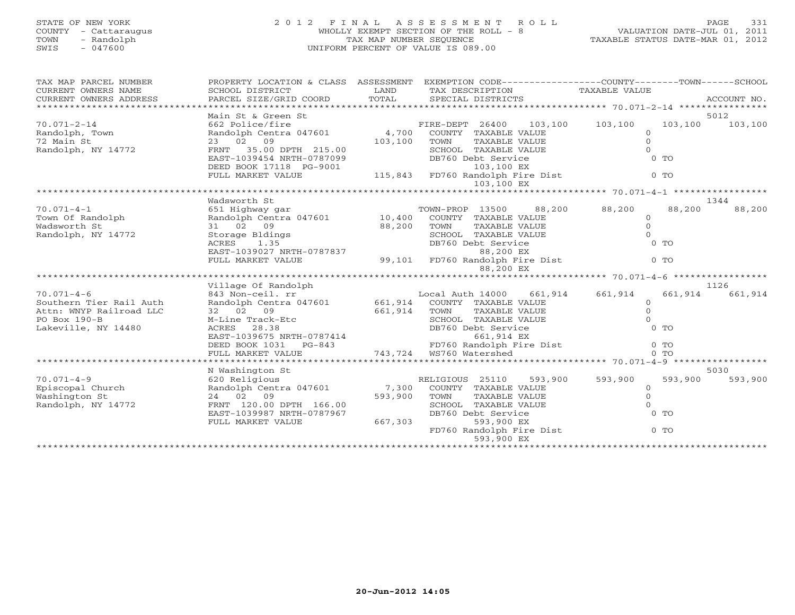## STATE OF NEW YORK 2 0 1 2 F I N A L A S S E S S M E N T R O L L PAGE 331 COUNTY - Cattaraugus WHOLLY EXEMPT SECTION OF THE ROLL - 8 VALUATION DATE-JUL 01, 2011 TOWN - Randolph TAX MAP NUMBER SEQUENCE TAXABLE STATUS DATE-MAR 01, 2012 SWIS - 047600 UNIFORM PERCENT OF VALUE IS 089.00

| TAX MAP PARCEL NUMBER                                                                                                                                                                                                                                                                                                                                                                                                                                                                          |                                                                                                                                                                                |                 | PROPERTY LOCATION & CLASS ASSESSMENT EXEMPTION CODE---------------COUNTY-------TOWN------SCHOOL                   |                     |                |         |
|------------------------------------------------------------------------------------------------------------------------------------------------------------------------------------------------------------------------------------------------------------------------------------------------------------------------------------------------------------------------------------------------------------------------------------------------------------------------------------------------|--------------------------------------------------------------------------------------------------------------------------------------------------------------------------------|-----------------|-------------------------------------------------------------------------------------------------------------------|---------------------|----------------|---------|
| CURRENT OWNERS NAME                                                                                                                                                                                                                                                                                                                                                                                                                                                                            |                                                                                                                                                                                |                 |                                                                                                                   |                     |                |         |
| $\begin{tabular}{lllllll} \multicolumn{2}{l}{{\small\sc{CURERNT}}}& $\text{MME}$ & $\text{SCHODL}$ & $\text{SCHOOL} $ & $\text{ISTRICT}$ & $\text{LAND}$ & $\text{TAX} $ & $\text{DESCRIPTION}$ & $\text{TAXABLE} $ & $\text{VALUE}$ \\ & $\text{CURERNT} $ & $\text{ADDRES} $ & $\text{ACCOUNT} $ & $\text{NOL} $ & $\text{PORL}$ & $\text{SPECIAL} $ & $\text{DISTRICTS}$ & $\text{ACCOUNT} $ & $\text{ACCOUNT} $ \\ & $\text{*X$ & $\text{X$ & $1,2$ & $1,2$ & $$<br>CURRENT OWNERS ADDRESS |                                                                                                                                                                                |                 |                                                                                                                   |                     |                |         |
|                                                                                                                                                                                                                                                                                                                                                                                                                                                                                                |                                                                                                                                                                                |                 |                                                                                                                   |                     |                |         |
|                                                                                                                                                                                                                                                                                                                                                                                                                                                                                                | Main St & Green St                                                                                                                                                             |                 |                                                                                                                   |                     |                | 5012    |
| $70.071 - 2 - 14$                                                                                                                                                                                                                                                                                                                                                                                                                                                                              |                                                                                                                                                                                |                 |                                                                                                                   |                     | 103,100        | 103,100 |
| $70.011 - 2$<br>Randolph, Town                                                                                                                                                                                                                                                                                                                                                                                                                                                                 |                                                                                                                                                                                |                 |                                                                                                                   |                     |                |         |
|                                                                                                                                                                                                                                                                                                                                                                                                                                                                                                | 23 02 09                                                                                                                                                                       | 103,100         | TOWN<br>TAXABLE VALUE                                                                                             | $\Omega$            |                |         |
| Randolph, NY 14772                                                                                                                                                                                                                                                                                                                                                                                                                                                                             | FRNT 35.00 DPTH 215.00                                                                                                                                                         |                 | SCHOOL TAXABLE VALUE                                                                                              | $\Omega$            |                |         |
|                                                                                                                                                                                                                                                                                                                                                                                                                                                                                                | EAST-1039454 NRTH-0787099                                                                                                                                                      |                 | DB760 Debt Service                                                                                                |                     | $0$ TO         |         |
|                                                                                                                                                                                                                                                                                                                                                                                                                                                                                                |                                                                                                                                                                                |                 |                                                                                                                   |                     |                |         |
|                                                                                                                                                                                                                                                                                                                                                                                                                                                                                                |                                                                                                                                                                                |                 |                                                                                                                   |                     | $0$ TO         |         |
|                                                                                                                                                                                                                                                                                                                                                                                                                                                                                                |                                                                                                                                                                                |                 | 2451-1000 CHAST-10001<br>DEED BOOK 17118 PG-9001 115,843 FD760 Randolph Fire Dist<br>TULL MARKET VALUE 103.100 EX |                     |                |         |
|                                                                                                                                                                                                                                                                                                                                                                                                                                                                                                |                                                                                                                                                                                |                 |                                                                                                                   |                     |                |         |
|                                                                                                                                                                                                                                                                                                                                                                                                                                                                                                | Wadsworth St                                                                                                                                                                   |                 |                                                                                                                   |                     |                | 1344    |
| $70.071 - 4 - 1$                                                                                                                                                                                                                                                                                                                                                                                                                                                                               | , 651 Highway gar (13500 - 10,400 - 13500 - 13500 - 13500 - 13500 - 13500 - 13500 - 10,400 - 10,400 - 10,400 - 1                                                               |                 |                                                                                                                   | 88,200 88,200       | 88,200         | 88,200  |
| Town Of Randolph                                                                                                                                                                                                                                                                                                                                                                                                                                                                               |                                                                                                                                                                                |                 |                                                                                                                   | $\circ$             |                |         |
| Wadsworth St                                                                                                                                                                                                                                                                                                                                                                                                                                                                                   | 31 02 09                                                                                                                                                                       | 88,200 TOWN     | TAXABLE VALUE                                                                                                     | $\Omega$            |                |         |
| Randolph, NY 14772                                                                                                                                                                                                                                                                                                                                                                                                                                                                             | Storage Bldings<br>ACRES 1.35                                                                                                                                                  |                 | SCHOOL TAXABLE VALUE                                                                                              | $\Omega$            |                |         |
|                                                                                                                                                                                                                                                                                                                                                                                                                                                                                                |                                                                                                                                                                                |                 | DB760 Debt Service                                                                                                |                     | $0$ TO         |         |
|                                                                                                                                                                                                                                                                                                                                                                                                                                                                                                |                                                                                                                                                                                |                 | EAST-1039027 NRTH-0787837<br>FULL MARKET VALUE 99,101 FD760 Randolph Fire Dist                                    |                     |                |         |
|                                                                                                                                                                                                                                                                                                                                                                                                                                                                                                |                                                                                                                                                                                |                 |                                                                                                                   |                     | $0$ TO         |         |
|                                                                                                                                                                                                                                                                                                                                                                                                                                                                                                |                                                                                                                                                                                |                 |                                                                                                                   |                     |                |         |
|                                                                                                                                                                                                                                                                                                                                                                                                                                                                                                |                                                                                                                                                                                |                 |                                                                                                                   |                     |                |         |
| $70.071 - 4 - 6$                                                                                                                                                                                                                                                                                                                                                                                                                                                                               | Village Of Randolph<br>843 Non-ceil. rr                                                                                                                                        |                 | Local Auth 14000                                                                                                  | 661,914 661,914     | 661,914        | 1126    |
| Southern Tier Rail Auth                                                                                                                                                                                                                                                                                                                                                                                                                                                                        |                                                                                                                                                                                |                 |                                                                                                                   |                     |                | 661,914 |
| Attn: WNYP Railroad LLC                                                                                                                                                                                                                                                                                                                                                                                                                                                                        | Randolph Centra 047601 $661,914$ COUNTY TAXABLE VALUE<br>32 02 09                                                                                                              |                 | TAXABLE VALUE                                                                                                     | $\circ$<br>$\Omega$ |                |         |
| $PO$ Box $190 - B$                                                                                                                                                                                                                                                                                                                                                                                                                                                                             | M-Line Track-Etc                                                                                                                                                               | $661,914$ COUNT | SCHOOL TAXABLE VALUE                                                                                              | $\Omega$            |                |         |
| Lakeville, NY 14480                                                                                                                                                                                                                                                                                                                                                                                                                                                                            |                                                                                                                                                                                |                 | DB760 Debt Service                                                                                                |                     | $0$ TO         |         |
|                                                                                                                                                                                                                                                                                                                                                                                                                                                                                                |                                                                                                                                                                                |                 | 661,914 EX                                                                                                        |                     |                |         |
|                                                                                                                                                                                                                                                                                                                                                                                                                                                                                                |                                                                                                                                                                                |                 |                                                                                                                   |                     | $0$ TO         |         |
|                                                                                                                                                                                                                                                                                                                                                                                                                                                                                                |                                                                                                                                                                                |                 | FD760 Randolph Fire Dist<br>WS760 Watershed                                                                       |                     | 0 <sub>0</sub> |         |
|                                                                                                                                                                                                                                                                                                                                                                                                                                                                                                | M-Line Track-Etc<br>ACRES 28.38<br>EAST-1039675 NRTH-0787414<br>DEBD BOOK 1031 PG-843<br>FD760 Randolph F:<br>FUT. MARKET VALUE<br>FUT MARKET VALUE<br>FUT MARKET VALUE<br>FUT |                 |                                                                                                                   |                     |                |         |
|                                                                                                                                                                                                                                                                                                                                                                                                                                                                                                | N Washington St                                                                                                                                                                |                 |                                                                                                                   |                     |                | 5030    |
| $70.071 - 4 - 9$                                                                                                                                                                                                                                                                                                                                                                                                                                                                               | 620 Religious                                                                                                                                                                  |                 | RELIGIOUS 25110<br>593,900                                                                                        | 593,900             | 593,900        | 593,900 |
| Episcopal Church                                                                                                                                                                                                                                                                                                                                                                                                                                                                               | Randolph Centra 047601 7,300 COUNTY TAXABLE VALUE                                                                                                                              |                 |                                                                                                                   | $\Omega$            |                |         |
| Washington St                                                                                                                                                                                                                                                                                                                                                                                                                                                                                  | 24 02 09                                                                                                                                                                       | 593,900         | TOWN<br>TAXABLE VALUE                                                                                             | $\circ$             |                |         |
| Randolph, NY 14772                                                                                                                                                                                                                                                                                                                                                                                                                                                                             | FRNT 120.00 DPTH 166.00                                                                                                                                                        |                 | SCHOOL TAXABLE VALUE                                                                                              | $\Omega$            |                |         |
|                                                                                                                                                                                                                                                                                                                                                                                                                                                                                                | EAST-1039987 NRTH-0787967                                                                                                                                                      |                 | DB760 Debt Service                                                                                                |                     | $0$ TO         |         |
|                                                                                                                                                                                                                                                                                                                                                                                                                                                                                                | FULL MARKET VALUE                                                                                                                                                              | 667,303         | 593,900 EX                                                                                                        |                     |                |         |
|                                                                                                                                                                                                                                                                                                                                                                                                                                                                                                |                                                                                                                                                                                |                 | FD760 Randolph Fire Dist                                                                                          |                     | $0$ TO         |         |
|                                                                                                                                                                                                                                                                                                                                                                                                                                                                                                |                                                                                                                                                                                |                 | 593,900 EX                                                                                                        |                     |                |         |
|                                                                                                                                                                                                                                                                                                                                                                                                                                                                                                |                                                                                                                                                                                |                 |                                                                                                                   |                     |                |         |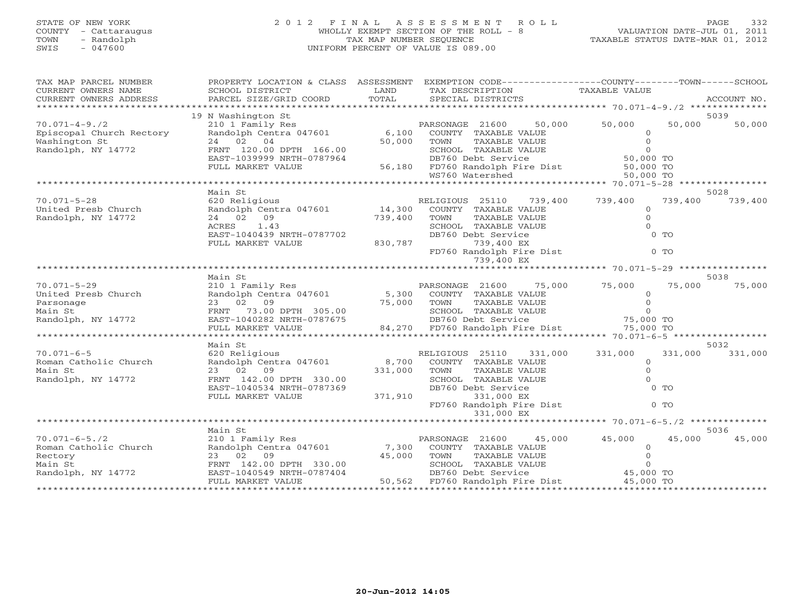## STATE OF NEW YORK 2 0 1 2 F I N A L A S S E S S M E N T R O L L PAGE 332COUNTY - Cattaraugus WHOLLY EXEMPT SECTION OF THE ROLL - 8 VALUATION DATE-JUL 01, 2011 SWIS - 047600 UNIFORM PERCENT OF VALUE IS 089.00

VALUATION DATE-JUL 01, 2011 TAXABLE STATUS DATE-MAR 01, 2012

| TAXABLE VALUE<br>CURRENT OWNERS NAME<br>SCHOOL DISTRICT<br>LAND<br>TAX DESCRIPTION<br>PARCEL SIZE/GRID COORD<br>TOTAL<br>CURRENT OWNERS ADDRESS<br>SPECIAL DISTRICTS<br>ACCOUNT NO.                                                                                                     |         |
|-----------------------------------------------------------------------------------------------------------------------------------------------------------------------------------------------------------------------------------------------------------------------------------------|---------|
|                                                                                                                                                                                                                                                                                         |         |
|                                                                                                                                                                                                                                                                                         |         |
| 19 N Washington St<br>5039<br>50,000                                                                                                                                                                                                                                                    |         |
| 50,000<br>$70.071 - 4 - 9.72$<br>210 1 Family Res<br>50,000<br>PARSONAGE 21600<br>Randolph Centra 047601<br>6,100<br>Episcopal Church Rectory<br>COUNTY TAXABLE VALUE<br>$\circ$                                                                                                        | 50,000  |
| 24 02 04<br>50,000<br>$\Omega$<br>Washington St<br>TOWN<br>TAXABLE VALUE                                                                                                                                                                                                                |         |
| Randolph, NY 14772<br>$\Omega$<br>SCHOOL TAXABLE VALUE<br>FRNT 120.00 DPTH 166.00                                                                                                                                                                                                       |         |
| 50,000 TO<br>EAST-1039999 NRTH-0787964<br>DB760 Debt Service                                                                                                                                                                                                                            |         |
| DB/60 DEDT Service<br>56,180 FD760 Randolph Fire Dist 50,000 TO<br>FULL MARKET VALUE                                                                                                                                                                                                    |         |
| WS760 Watershed<br>50,000 TO                                                                                                                                                                                                                                                            |         |
| 5028<br>Main St                                                                                                                                                                                                                                                                         |         |
| 739,400<br>$70.071 - 5 - 28$<br>620 Religious<br>739,400<br>739,400<br>RELIGIOUS 25110                                                                                                                                                                                                  | 739,400 |
| N.<br>Randolph Centra 047601 14,300<br>United Presb Church<br>COUNTY TAXABLE VALUE<br>$\Omega$                                                                                                                                                                                          |         |
| $\overline{O}$<br>24 02 09<br>TOWN<br>Randolph, NY 14772<br>739,400<br>TAXABLE VALUE                                                                                                                                                                                                    |         |
| $\Omega$<br>ACRES<br>1.43<br>SCHOOL TAXABLE VALUE                                                                                                                                                                                                                                       |         |
| DB760 Debt Service<br>$0$ TO<br>EAST-1040439 NRTH-0787702<br>830,787<br>739,400 EX<br>FULL MARKET VALUE                                                                                                                                                                                 |         |
| FD760 Randolph Fire Dist<br>$0$ TO                                                                                                                                                                                                                                                      |         |
| 739,400 EX                                                                                                                                                                                                                                                                              |         |
|                                                                                                                                                                                                                                                                                         |         |
| Main St<br>5038                                                                                                                                                                                                                                                                         |         |
| $70.071 - 5 - 29$<br>75,000<br>75,000<br>75,000                                                                                                                                                                                                                                         | 75,000  |
| United Presb Church<br>$\circ$<br>TAXABLE VALUE<br>TAXABLE VALUE<br>$\mathbf{0}$<br>Parsonage                                                                                                                                                                                           |         |
| Main St                                                                                                                                                                                                                                                                                 |         |
| Randolph, NY 14772                                                                                                                                                                                                                                                                      |         |
| 210 1 Family Res<br>Randolph Centra 047601 5,300 COUNTY TAXABLE VALUE<br>23 02 09 75,000 TOWN TAXABLE VALUE<br>FRNT 73.00 DPTH 305.00 75,000 TOWN TAXABLE VALUE<br>EAST-1040282 NRTH-0787675 BB760 Debt Service<br>FULL MARKET VALUE<br>FU<br>84,270 FD760 Randolph Fire Dist 75,000 TO |         |
| ********************                                                                                                                                                                                                                                                                    |         |
| Main St<br>5032                                                                                                                                                                                                                                                                         |         |
| 331,000<br>$70.071 - 6 - 5$<br>620 Religious<br>331,000<br>331,000<br>RELIGIOUS 25110<br>8,700<br>Roman Catholic Church<br>$\circ$                                                                                                                                                      | 331,000 |
| Randolph Centra 047601<br>COUNTY TAXABLE VALUE<br>Main St<br>23 02 09<br>331,000<br>TOWN<br>TAXABLE VALUE<br>$\circ$                                                                                                                                                                    |         |
| Randolph, NY 14772<br>FRNT 142.00 DPTH 330.00<br>SCHOOL TAXABLE VALUE<br>$\Omega$                                                                                                                                                                                                       |         |
| EAST-1040534 NRTH-0787369<br>DB760 Debt Service<br>$0$ TO                                                                                                                                                                                                                               |         |
| 371,910<br>FULL MARKET VALUE<br>331,000 EX                                                                                                                                                                                                                                              |         |
| $0$ TO<br>FD760 Randolph Fire Dist                                                                                                                                                                                                                                                      |         |
| 331,000 EX                                                                                                                                                                                                                                                                              |         |
| Main St<br>5036                                                                                                                                                                                                                                                                         |         |
| PARSONAGE 21600<br>$70.071 - 6 - 5.72$<br>210 1 Family Res<br>45,000<br>45,000<br>45,000                                                                                                                                                                                                | 45,000  |
| Randolph Centra 047601 7,300 COUNTY TAXABLE VALUE<br>Roman Catholic Church<br>$\overline{0}$                                                                                                                                                                                            |         |
| 45,000 TOWN<br>$\Omega$<br>Rectory<br>23 02 09<br>TAXABLE VALUE                                                                                                                                                                                                                         |         |
| TOWN      TAXABLE VALUE<br>SCHOOL   TAXABLE VALUE<br>DB760 Debt  Service<br>$\Omega$<br>Main St<br>FRNT 142.00 DPTH 330.00                                                                                                                                                              |         |
| 45,000 TO<br>Randolph, NY 14772<br>EAST-1040549 NRTH-0787404<br>50,562 FD760 Randolph Fire Dist<br>45,000 TO<br>FULL MARKET VALUE                                                                                                                                                       |         |
|                                                                                                                                                                                                                                                                                         |         |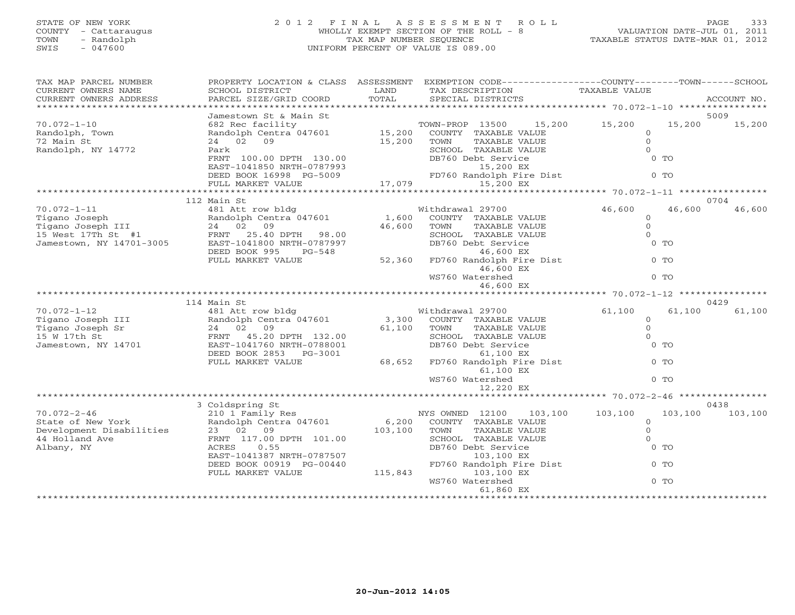## STATE OF NEW YORK 2 0 1 2 F I N A L A S S E S S M E N T R O L L PAGE 333COUNTY - Cattaraugus (COUNTY - Cattaraugus ) (COUNTY - Cattaraugus ) (COUNTY - 8 VALUATION OF THE ROLL - 8 VALUATION OF THE ROLL - 8 VALUATION OF THE ROLL - 8 VALUATION OF THE ROLL - 8 VALUATION DERCENT OF VALUE IS 089.00 TOWN - Randolph TAX MAP NUMBER SEQUENCE TAXABLE STATUS DATE-MAR 01, 2012 SWIS - 047600 UNIFORM PERCENT OF VALUE IS 089.00

VALUATION DATE-JUL 01, 2011

| TAX MAP PARCEL NUMBER                         | PROPERTY LOCATION & CLASS ASSESSMENT      |                            |                  |                                      | EXEMPTION CODE-----------------COUNTY-------TOWN------SCHOOL |         |             |
|-----------------------------------------------|-------------------------------------------|----------------------------|------------------|--------------------------------------|--------------------------------------------------------------|---------|-------------|
| CURRENT OWNERS NAME<br>CURRENT OWNERS ADDRESS | SCHOOL DISTRICT<br>PARCEL SIZE/GRID COORD | LAND<br>TOTAL              |                  | TAX DESCRIPTION<br>SPECIAL DISTRICTS | TAXABLE VALUE                                                |         | ACCOUNT NO. |
|                                               |                                           | ***********************    |                  |                                      | ********************* 70.072-1-10 *********                  |         |             |
|                                               | Jamestown St & Main St                    |                            |                  |                                      |                                                              |         | 5009        |
| $70.072 - 1 - 10$                             | 682 Rec facility                          |                            | TOWN-PROP 13500  | 15,200                               | 15,200                                                       | 15,200  | 15,200      |
| Randolph, Town                                | Randolph Centra 047601                    | 15,200                     |                  | COUNTY TAXABLE VALUE                 | $\Omega$                                                     |         |             |
| 72 Main St                                    | 24 02 09                                  | 15,200                     | TOWN             | TAXABLE VALUE                        | $\circ$                                                      |         |             |
| Randolph, NY 14772                            | Park                                      |                            |                  | SCHOOL TAXABLE VALUE                 | $\Omega$                                                     |         |             |
|                                               | FRNT 100.00 DPTH 130.00                   |                            |                  | DB760 Debt Service                   |                                                              | $0$ TO  |             |
|                                               | EAST-1041850 NRTH-0787993                 |                            |                  | 15,200 EX                            |                                                              |         |             |
|                                               | DEED BOOK 16998 PG-5009                   |                            |                  | FD760 Randolph Fire Dist             |                                                              | $0$ TO  |             |
|                                               | FULL MARKET VALUE                         | FD760 Rai<br>17,079        |                  | 15,200 EX                            |                                                              |         |             |
|                                               |                                           | ************************** |                  |                                      | $************************70.072-1-11****$                    |         |             |
|                                               | 112 Main St                               |                            |                  |                                      |                                                              |         | 0704        |
| $70.072 - 1 - 11$                             | 481 Att row bldg                          |                            | Withdrawal 29700 |                                      | 46,600                                                       | 46,600  | 46,600      |
| Tigano Joseph                                 | Randolph Centra 047601                    | 1,600                      |                  | COUNTY TAXABLE VALUE                 | $\circ$                                                      |         |             |
| Tigano Joseph III                             | 24 02 09                                  | 46,600                     | TOWN             | TAXABLE VALUE                        | $\circ$                                                      |         |             |
| 15 West 17Th St #1                            | FRNT 25.40 DPTH<br>98.00                  |                            |                  | SCHOOL TAXABLE VALUE                 | $\mathbf{0}$                                                 |         |             |
| Jamestown, NY 14701-3005                      | EAST-1041800 NRTH-0787997                 |                            |                  | DB760 Debt Service                   |                                                              | $0$ TO  |             |
|                                               | DEED BOOK 995<br>PG-548                   |                            |                  | 46,600 EX                            |                                                              |         |             |
|                                               | FULL MARKET VALUE                         | 52,360                     |                  | FD760 Randolph Fire Dist             |                                                              | $0$ TO  |             |
|                                               |                                           |                            |                  | 46,600 EX                            |                                                              |         |             |
|                                               |                                           |                            | WS760 Watershed  |                                      |                                                              | $0$ TO  |             |
|                                               |                                           |                            |                  | 46,600 EX                            |                                                              |         |             |
|                                               |                                           |                            |                  |                                      |                                                              |         |             |
|                                               | 114 Main St                               |                            |                  |                                      |                                                              |         | 0429        |
| $70.072 - 1 - 12$                             | 481 Att row bldg                          |                            | Withdrawal 29700 |                                      | 61,100                                                       | 61,100  | 61,100      |
| Tigano Joseph III                             | Randolph Centra 047601                    | 3,300                      |                  | COUNTY TAXABLE VALUE                 | $\circ$                                                      |         |             |
| Tigano Joseph Sr                              | 24 02 09                                  | 61,100                     | TOWN             | TAXABLE VALUE                        | $\Omega$                                                     |         |             |
| 15 W 17th St                                  | FRNT 45.20 DPTH 132.00                    |                            |                  | SCHOOL TAXABLE VALUE                 | $\Omega$                                                     |         |             |
| Jamestown, NY 14701                           | EAST-1041760 NRTH-0788001                 |                            |                  | DB760 Debt Service                   |                                                              | $0$ TO  |             |
|                                               | DEED BOOK 2853 PG-3001                    |                            |                  | 61,100 EX                            |                                                              |         |             |
|                                               | FULL MARKET VALUE                         | 68,652                     |                  | FD760 Randolph Fire Dist             |                                                              | $0$ TO  |             |
|                                               |                                           |                            |                  | 61,100 EX                            |                                                              |         |             |
|                                               |                                           |                            | WS760 Watershed  |                                      |                                                              | $0$ TO  |             |
|                                               |                                           |                            |                  | 12,220 EX                            |                                                              |         |             |
|                                               | 3 Coldspring St                           |                            |                  |                                      |                                                              |         | 0438        |
| $70.072 - 2 - 46$                             | 210 1 Family Res                          |                            | NYS OWNED 12100  | 103,100                              | 103,100                                                      | 103,100 | 103,100     |
| State of New York                             | Randolph Centra 047601                    | 6,200                      |                  | COUNTY TAXABLE VALUE                 | $\circ$                                                      |         |             |
| Development Disabilities                      | 23 02 09                                  | 103,100                    | TOWN             | TAXABLE VALUE                        | $\circ$                                                      |         |             |
| 44 Holland Ave                                | FRNT 117.00 DPTH 101.00                   |                            |                  | SCHOOL TAXABLE VALUE                 | $\Omega$                                                     |         |             |
| Albany, NY                                    | ACRES<br>0.55                             |                            |                  | DB760 Debt Service                   |                                                              | $0$ TO  |             |
|                                               | EAST-1041387 NRTH-0787507                 |                            |                  | 103,100 EX                           |                                                              |         |             |
|                                               | DEED BOOK 00919 PG-00440                  |                            |                  | FD760 Randolph Fire Dist             |                                                              | $0$ TO  |             |
|                                               | FULL MARKET VALUE                         | 115,843                    |                  | 103,100 EX                           |                                                              |         |             |
|                                               |                                           |                            | WS760 Watershed  |                                      |                                                              | $0$ TO  |             |
|                                               |                                           |                            |                  | 61,860 EX                            |                                                              |         |             |
|                                               |                                           |                            |                  |                                      |                                                              |         |             |
|                                               |                                           |                            |                  |                                      |                                                              |         |             |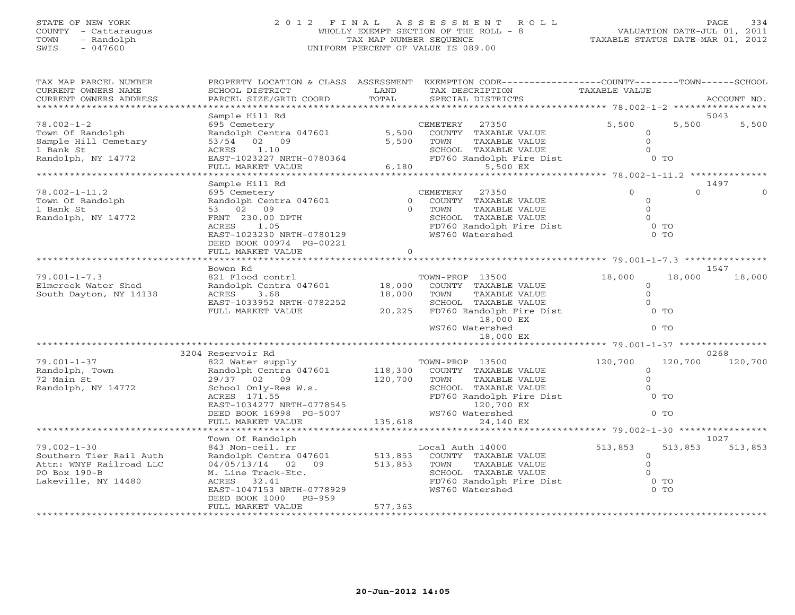## STATE OF NEW YORK 2 0 1 2 F I N A L A S S E S S M E N T R O L L PAGE 334 COUNTY - Cattaraugus WHOLLY EXEMPT SECTION OF THE ROLL - 8 VALUATION DATE-JUL 01, 2011 TOWN - Randolph TAX MAP NUMBER SEQUENCE TAXABLE STATUS DATE-MAR 01, 2012 SWIS - 047600 UNIFORM PERCENT OF VALUE IS 089.00

| TAX MAP PARCEL NUMBER                               |                                                                                           |          | PROPERTY LOCATION & CLASS ASSESSMENT EXEMPTION CODE----------------COUNTY-------TOWN------SCHOOL |                |          |             |
|-----------------------------------------------------|-------------------------------------------------------------------------------------------|----------|--------------------------------------------------------------------------------------------------|----------------|----------|-------------|
| CURRENT OWNERS NAME                                 | SCHOOL DISTRICT                                                                           | LAND     | TAX DESCRIPTION                                                                                  | TAXABLE VALUE  |          |             |
| CURRENT OWNERS ADDRESS<br>************************* | PARCEL SIZE/GRID COORD                                                                    | TOTAL    | SPECIAL DISTRICTS                                                                                |                |          | ACCOUNT NO. |
|                                                     |                                                                                           |          |                                                                                                  |                |          | 5043        |
| $78.002 - 1 - 2$                                    | Sample Hill Rd<br>695 Cemetery                                                            |          | CEMETERY<br>27350                                                                                | 5,500          | 5,500    | 5,500       |
| Town Of Randolph                                    | Randolph Centra 047601 5,500                                                              |          | COUNTY TAXABLE VALUE                                                                             | $\circ$        |          |             |
| Sample Hill Cemetary                                | 53/54 02 09                                                                               | 5,500    | TOWN<br>TAXABLE VALUE                                                                            | $\circ$        |          |             |
| 1 Bank St                                           | 1.10<br>ACRES                                                                             |          |                                                                                                  | $\Omega$       |          |             |
| Randolph, NY 14772                                  | ACRES 1.10<br>EAST-1023227 NRTH-0780364                                                   |          | SCHOOL TAXABLE VALUE<br>FD760 Randolph Fire Dist                                                 | $0$ TO         |          |             |
|                                                     | FULL MARKET VALUE                                                                         |          | 6,180<br>5,500 EX                                                                                |                |          |             |
|                                                     |                                                                                           |          |                                                                                                  |                |          |             |
|                                                     | Sample Hill Rd                                                                            |          |                                                                                                  |                |          | 1497        |
| $78.002 - 1 - 11.2$                                 | 695 Cemetery                                                                              |          | CEMETERY<br>27350                                                                                | $\Omega$       | $\Omega$ |             |
| Town Of Randolph                                    | Randolph Centra 047601                                                                    |          | 0 COUNTY TAXABLE VALUE                                                                           | $\circ$        |          |             |
| 1 Bank St                                           | 53 02 09                                                                                  |          | 0 TOWN<br>TAXABLE VALUE                                                                          | $\Omega$       |          |             |
| Randolph, NY 14772                                  | FRNT 230.00 DPTH                                                                          |          | SCHOOL TAXABLE VALUE                                                                             | $\Omega$       |          |             |
|                                                     | ACRES<br>1.05                                                                             |          | SCHOOL TAXABLE VALUE 0<br>FD760 Randolph Fire Dist 0 TO                                          |                |          |             |
|                                                     | EAST-1023230 NRTH-0780129                                                                 |          | WS760 Watershed                                                                                  | $0$ TO         |          |             |
|                                                     | DEED BOOK 00974 PG-00221                                                                  |          |                                                                                                  |                |          |             |
|                                                     | FULL MARKET VALUE                                                                         | $\Omega$ |                                                                                                  |                |          |             |
|                                                     | Bowen Rd                                                                                  |          |                                                                                                  |                |          | 1547        |
| $79.001 - 1 - 7.3$                                  | 821 Flood contrl                                                                          |          | TOWN-PROP 13500                                                                                  | 18,000         | 18,000   | 18,000      |
| Elmcreek Water Shed                                 | Randolph Centra 047601 18,000                                                             |          | COUNTY TAXABLE VALUE                                                                             | $\circ$        |          |             |
| South Dayton, NY 14138                              | ACRES 3.68                                                                                | 18,000   | TOWN<br>TAXABLE VALUE                                                                            | $\circ$        |          |             |
|                                                     | EAST-1033952 NRTH-0782252                                                                 |          | SCHOOL TAXABLE VALUE                                                                             | $\Omega$       |          |             |
|                                                     | FULL MARKET VALUE                                                                         |          | 20,225 FD760 Randolph Fire Dist                                                                  | $0$ TO         |          |             |
|                                                     |                                                                                           |          | 18,000 EX                                                                                        |                |          |             |
|                                                     |                                                                                           |          | WS760 Watershed                                                                                  | $0$ TO         |          |             |
|                                                     |                                                                                           |          | 18,000 EX                                                                                        |                |          |             |
|                                                     |                                                                                           |          |                                                                                                  |                |          |             |
|                                                     | 3204 Reservoir Rd                                                                         |          |                                                                                                  |                |          | 0268        |
| $79.001 - 1 - 37$                                   | % 822 Water supply TOWN-PROP 13500<br>Randolph Centra 047601 118,300 COUNTY TAXABLE VALUE |          |                                                                                                  | 120,700        | 120,700  | 120,700     |
| Randolph, Town                                      |                                                                                           |          |                                                                                                  | $\circ$        |          |             |
| 72 Main St                                          | 29/37 02 09                                                                               | 120,700  | TOWN<br>TAXABLE VALUE                                                                            | $\overline{O}$ |          |             |
| Randolph, NY 14772                                  | School Only-Res W.s.<br>ACRES 171.55                                                      |          | SCHOOL TAXABLE VALUE                                                                             | $\Omega$       |          |             |
|                                                     | ACRES 171.55                                                                              |          | FD760 Randolph Fire Dist                                                                         | $0$ TO         |          |             |
|                                                     | ACRES 171.55<br>EAST-1034277 NRTH-0778545<br>111000 PG-5007                               |          | 120,700 EX                                                                                       | $0$ TO         |          |             |
|                                                     | FULL MARKET VALUE                                                                         | 135,618  | WS760 Watershed<br>24,140 EX                                                                     |                |          |             |
|                                                     |                                                                                           |          |                                                                                                  |                |          |             |
|                                                     | Town Of Randolph                                                                          |          |                                                                                                  |                |          | 1027        |
| $79.002 - 1 - 30$                                   | 843 Non-ceil. rr                                                                          |          | Local Auth 14000                                                                                 | 513,853        | 513,853  | 513,853     |
| Southern Tier Rail Auth                             | Randolph Centra 047601                                                                    | 513,853  | COUNTY TAXABLE VALUE                                                                             | $\overline{0}$ |          |             |
| Attn: WNYP Railroad LLC                             | 04/05/13/14 02 09                                                                         | 513,853  | TOWN<br>TAXABLE VALUE                                                                            | $\Omega$       |          |             |
| $PO$ Box $190-B$                                    | M. Line Track-Etc.                                                                        |          | SCHOOL TAXABLE VALUE                                                                             | $\Omega$       |          |             |
| Lakeville, NY 14480                                 | ACRES 32.41                                                                               |          | SCHOOL TAXABLE VALUE<br>FD760 Randolph Fire Dist                                                 | $0$ TO         |          |             |
|                                                     | EAST-1047153 NRTH-0778929                                                                 |          | WS760 Watershed                                                                                  | $0$ TO         |          |             |
|                                                     | DEED BOOK 1000 PG-959                                                                     |          |                                                                                                  |                |          |             |
|                                                     | FULL MARKET VALUE                                                                         | 577,363  |                                                                                                  |                |          |             |
|                                                     |                                                                                           |          |                                                                                                  |                |          |             |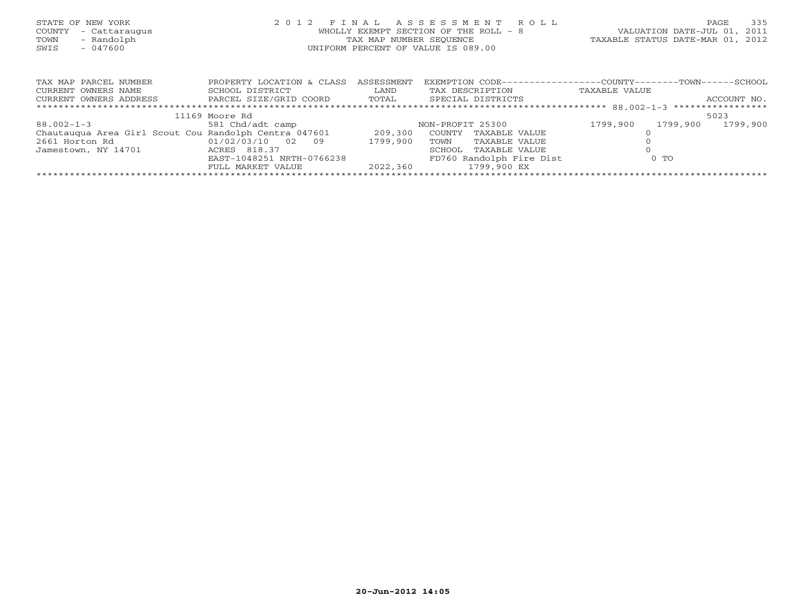| STATE OF NEW YORK<br>COUNTY<br>- Cattaraugus<br>- Randolph<br>TOWN<br>$-047600$<br>SWIS | 2 0 1 2                                        | FINAL<br>TAX MAP NUMBER SEOUENCE | ASSESSMENT ROLL<br>WHOLLY EXEMPT SECTION OF THE ROLL - 8<br>UNIFORM PERCENT OF VALUE IS 089.00 | VALUATION DATE-JUL 01,<br>TAXABLE STATUS DATE-MAR 01, 2012 | 335<br>PAGE<br>2011 |
|-----------------------------------------------------------------------------------------|------------------------------------------------|----------------------------------|------------------------------------------------------------------------------------------------|------------------------------------------------------------|---------------------|
| TAX MAP PARCEL NUMBER                                                                   | PROPERTY LOCATION & CLASS                      | ASSESSMENT                       | EXEMPTION CODE-----------------COUNTY-------TOWN------SCHOOL                                   |                                                            |                     |
| CURRENT OWNERS NAME                                                                     | SCHOOL DISTRICT                                | LAND                             | TAX DESCRIPTION                                                                                | TAXABLE VALUE                                              |                     |
| CURRENT OWNERS ADDRESS                                                                  | PARCEL SIZE/GRID COORD TOTAL SPECIAL DISTRICTS |                                  |                                                                                                |                                                            | ACCOUNT NO.         |
|                                                                                         |                                                |                                  |                                                                                                |                                                            |                     |
|                                                                                         | 11169 Moore Rd                                 |                                  |                                                                                                |                                                            | 5023                |
| $88.002 - 1 - 3$                                                                        | 581 Chd/adt camp                               |                                  | NON-PROFIT 25300                                                                               | 1799,900<br>1799,900                                       | 1799,900            |
| Chautauqua Area Girl Scout Cou Randolph Centra 047601 209,300                           |                                                |                                  | COUNTY<br>TAXABLE VALUE                                                                        |                                                            |                     |
| 2661 Horton Rd                                                                          | 01/02/03/10 02<br>09                           | 1799,900                         | TOWN<br>TAXABLE VALUE                                                                          |                                                            |                     |
| Jamestown, NY 14701                                                                     | ACRES 818.37                                   |                                  | TAXABLE VALUE<br>SCHOOL                                                                        |                                                            |                     |
|                                                                                         | EAST-1048251 NRTH-0766238                      |                                  | FD760 Randolph Fire Dist                                                                       | $0$ TO                                                     |                     |
|                                                                                         | FULL MARKET VALUE                              | 2022,360                         | 1799,900 EX                                                                                    |                                                            |                     |
|                                                                                         |                                                |                                  |                                                                                                |                                                            |                     |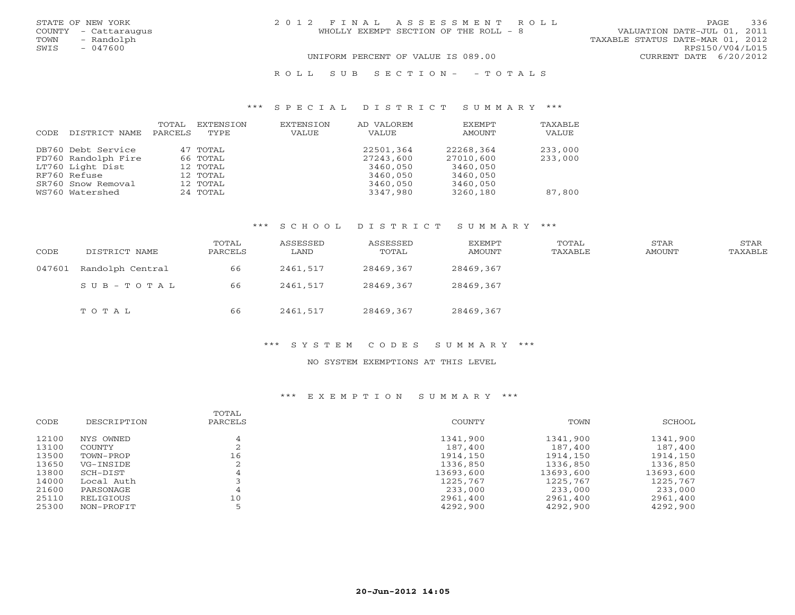| STATE OF NEW YORK<br>COUNTY - Cattaraugus<br>- Randolph<br>TOWN<br>SWIS<br>$-047600$ | 2012 FINAL ASSESSMENT ROLL<br>WHOLLY EXEMPT SECTION OF THE ROLL - 8 | 336<br>PAGE<br>VALUATION DATE-JUL 01, 2011<br>TAXABLE STATUS DATE-MAR 01, 2012<br>RPS150/V04/L015 |
|--------------------------------------------------------------------------------------|---------------------------------------------------------------------|---------------------------------------------------------------------------------------------------|
|                                                                                      | UNIFORM PERCENT OF VALUE IS 089.00<br>ROLL SUBSECTION - - TOTALS    | CURRENT DATE 6/20/2012                                                                            |

## \*\*\* S P E C I A L D I S T R I C T S U M M A R Y \*\*\*

| CODE | DISTRICT NAME                             | TOTAL<br>PARCELS | EXTENSION<br>TYPE.   | EXTENSION<br><b>VALUE</b> | AD VALOREM<br>VALUE    | <b>EXEMPT</b><br>AMOUNT | TAXABLE<br>VALUE   |
|------|-------------------------------------------|------------------|----------------------|---------------------------|------------------------|-------------------------|--------------------|
|      | DB760 Debt Service<br>FD760 Randolph Fire |                  | 47 TOTAL<br>66 TOTAL |                           | 22501,364<br>27243,600 | 22268,364<br>27010,600  | 233,000<br>233,000 |
|      | LT760 Light Dist                          |                  | 12 TOTAL             |                           | 3460,050               | 3460,050                |                    |
|      | RF760 Refuse                              |                  | 12 TOTAL             |                           | 3460,050               | 3460,050                |                    |
|      | SR760 Snow Removal<br>WS760 Watershed     |                  | 12 TOTAL<br>24 TOTAL |                           | 3460,050<br>3347,980   | 3460,050<br>3260,180    | 87,800             |

## \*\*\* S C H O O L D I S T R I C T S U M M A R Y \*\*\*

| CODE   | DISTRICT NAME    | TOTAL<br>PARCELS | ASSESSED<br>LAND | ASSESSED<br>TOTAL | EXEMPT<br>AMOUNT | TOTAL<br>TAXABLE | STAR<br>AMOUNT | STAR<br>TAXABLE |
|--------|------------------|------------------|------------------|-------------------|------------------|------------------|----------------|-----------------|
| 047601 | Randolph Central | 66               | 2461,517         | 28469,367         | 28469,367        |                  |                |                 |
|        | SUB-TOTAL        | 66               | 2461,517         | 28469,367         | 28469,367        |                  |                |                 |
|        | TOTAL            | 66               | 2461,517         | 28469,367         | 28469,367        |                  |                |                 |

## \*\*\* S Y S T E M C O D E S S U M M A R Y \*\*\*

## NO SYSTEM EXEMPTIONS AT THIS LEVEL

| CODE  | DESCRIPTION | TOTAL<br>PARCELS | COUNTY    | TOWN      | SCHOOL    |
|-------|-------------|------------------|-----------|-----------|-----------|
| 12100 | NYS OWNED   |                  | 1341,900  | 1341,900  | 1341,900  |
| 13100 | COUNTY      |                  | 187,400   | 187,400   | 187,400   |
| 13500 | TOWN-PROP   | 16               | 1914,150  | 1914,150  | 1914,150  |
| 13650 | VG-INSIDE   |                  | 1336,850  | 1336,850  | 1336,850  |
| 13800 | SCH-DIST    |                  | 13693,600 | 13693,600 | 13693,600 |
| 14000 | Local Auth  | 4                | 1225,767  | 1225,767  | 1225,767  |
| 21600 | PARSONAGE   |                  | 233,000   | 233,000   | 233,000   |
| 25110 | RELIGIOUS   | 10               | 2961,400  | 2961,400  | 2961,400  |
| 25300 | NON-PROFIT  |                  | 4292,900  | 4292,900  | 4292,900  |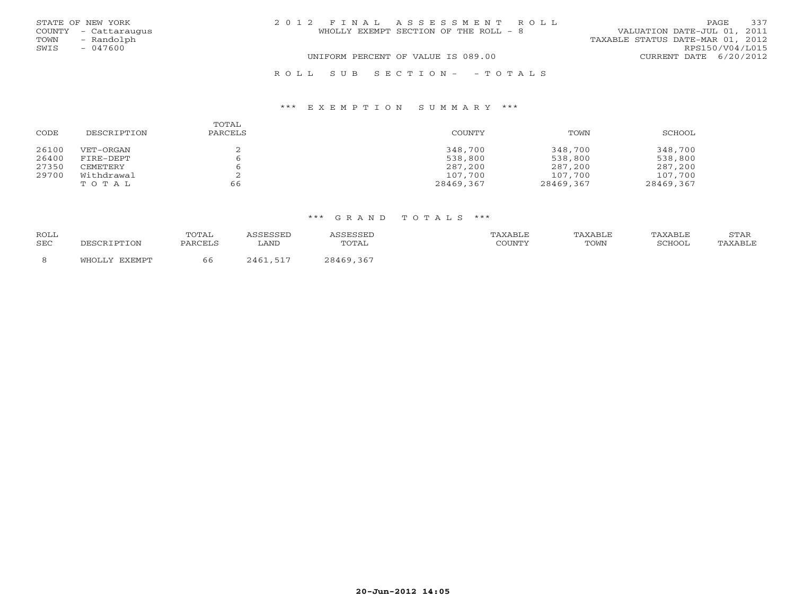|      | STATE OF NEW YORK    | 2012 FINAL ASSESSMENT ROLL         |                                       |                                  | PAGE. | 337 |
|------|----------------------|------------------------------------|---------------------------------------|----------------------------------|-------|-----|
|      | COUNTY - Cattaraugus |                                    | WHOLLY EXEMPT SECTION OF THE ROLL - 8 | VALUATION DATE-JUL 01, 2011      |       |     |
| TOWN | - Randolph           |                                    |                                       | TAXABLE STATUS DATE-MAR 01, 2012 |       |     |
| SWIS | $-047600$            |                                    |                                       | RPS150/V04/L015                  |       |     |
|      |                      | UNIFORM PERCENT OF VALUE IS 089.00 |                                       | CURRENT DATE 6/20/2012           |       |     |
|      |                      |                                    |                                       |                                  |       |     |

## R O L L S U B S E C T I O N - - T O T A L S

## \*\*\* E X E M P T I O N S U M M A R Y \*\*\*

| CODE  | DESCRIPTION | TOTAL<br>PARCELS | COUNTY    | TOWN      | SCHOOL    |
|-------|-------------|------------------|-----------|-----------|-----------|
| 26100 | VET-ORGAN   |                  | 348,700   | 348,700   | 348,700   |
| 26400 | FIRE-DEPT   |                  | 538,800   | 538,800   | 538,800   |
| 27350 | CEMETERY    |                  | 287,200   | 287,200   | 287,200   |
| 29700 | Withdrawal  |                  | 107,700   | 107,700   | 107,700   |
|       | TOTAL       | 66               | 28469,367 | 28469,367 | 28469,367 |

| <b>ROLL</b> |                        | TOTAL   | <b>CORCORD</b> | CCECCEL         | TAXABLE | TAXABLE | TAXABLE | STAF    |
|-------------|------------------------|---------|----------------|-----------------|---------|---------|---------|---------|
| SEC         | IPTION<br>ΠP.<br>זר הר | PARCELS | ∟AND           | TOTAL           | COUNTY  | TOWN    | SCHOOL  | TAXABLE |
| -8          | EXEMPT<br>WHOLLY       | 66      | 2461,517       | , 367<br>28469. |         |         |         |         |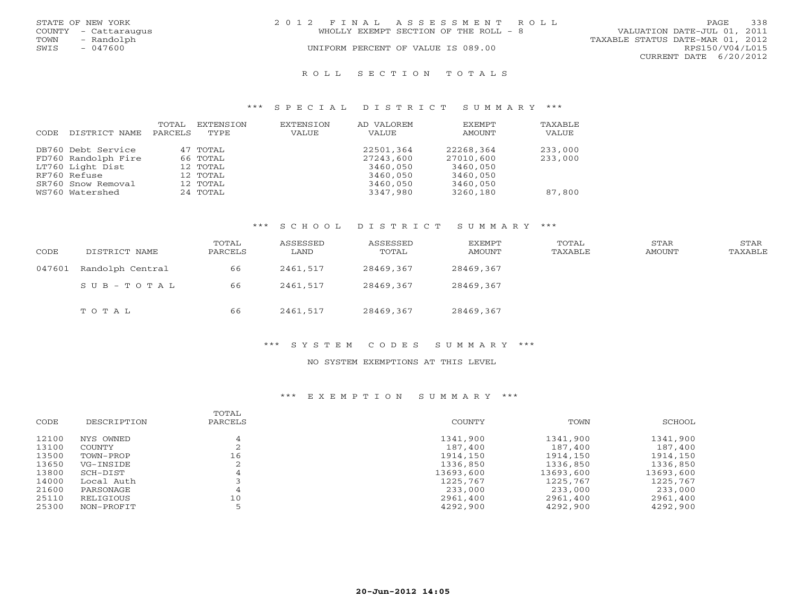|      | STATE OF NEW YORK    | 2012 FINAL ASSESSMENT ROLL            | 338<br>PAGE.                     |
|------|----------------------|---------------------------------------|----------------------------------|
|      | COUNTY - Cattaraugus | WHOLLY EXEMPT SECTION OF THE ROLL - 8 | VALUATION DATE-JUL 01, 2011      |
| TOWN | - Randolph           |                                       | TAXABLE STATUS DATE-MAR 01, 2012 |
| SWIS | $-047600$            | UNIFORM PERCENT OF VALUE IS 089.00    | RPS150/V04/L015                  |
|      |                      |                                       | CURRENT DATE 6/20/2012           |
|      |                      |                                       |                                  |

### R O L L S E C T I O N T O T A L S

## \*\*\* S P E C I A L D I S T R I C T S U M M A R Y \*\*\*

| CODE | DISTRICT NAME       | TOTAL<br>PARCELS | EXTENSION<br>TYPE. | EXTENSION<br>VALUE | AD VALOREM<br>VALUE | EXEMPT<br>AMOUNT | TAXABLE<br>VALUE |
|------|---------------------|------------------|--------------------|--------------------|---------------------|------------------|------------------|
|      | DB760 Debt Service  |                  | 47 TOTAL           |                    | 22501,364           | 22268,364        | 233,000          |
|      | FD760 Randolph Fire |                  | 66 TOTAL           |                    | 27243,600           | 27010,600        | 233,000          |
|      | LT760 Light Dist    |                  | 12 TOTAL           |                    | 3460,050            | 3460,050         |                  |
|      | RF760 Refuse        |                  | 12 TOTAL           |                    | 3460,050            | 3460,050         |                  |
|      | SR760 Snow Removal  |                  | 12 TOTAL           |                    | 3460,050            | 3460,050         |                  |
|      | WS760 Watershed     |                  | 24 TOTAL           |                    | 3347,980            | 3260,180         | 87,800           |

#### \*\*\* S C H O O L D I S T R I C T S U M M A R Y \*\*\*

| CODE   | DISTRICT NAME    | TOTAL<br>PARCELS | ASSESSED<br>LAND | ASSESSED<br>TOTAL | EXEMPT<br>AMOUNT | TOTAL<br>TAXABLE | STAR<br>AMOUNT | STAR<br>TAXABLE |
|--------|------------------|------------------|------------------|-------------------|------------------|------------------|----------------|-----------------|
| 047601 | Randolph Central | 66               | 2461,517         | 28469,367         | 28469,367        |                  |                |                 |
|        | SUB-TOTAL        | 66               | 2461,517         | 28469,367         | 28469,367        |                  |                |                 |
|        | TOTAL            | 66               | 2461,517         | 28469,367         | 28469,367        |                  |                |                 |

### \*\*\* S Y S T E M C O D E S S U M M A R Y \*\*\*

## NO SYSTEM EXEMPTIONS AT THIS LEVEL

| CODE  | DESCRIPTION | TOTAL<br>PARCELS | COUNTY    | TOWN      | SCHOOL    |
|-------|-------------|------------------|-----------|-----------|-----------|
| 12100 | NYS OWNED   |                  | 1341,900  | 1341,900  | 1341,900  |
| 13100 | COUNTY      | ▵                | 187,400   | 187,400   | 187,400   |
| 13500 | TOWN-PROP   | 16               | 1914,150  | 1914,150  | 1914,150  |
| 13650 | VG-INSIDE   |                  | 1336,850  | 1336,850  | 1336,850  |
| 13800 | SCH-DIST    | 4                | 13693,600 | 13693,600 | 13693,600 |
| 14000 | Local Auth  |                  | 1225,767  | 1225,767  | 1225,767  |
| 21600 | PARSONAGE   |                  | 233,000   | 233,000   | 233,000   |
| 25110 | RELIGIOUS   | 10               | 2961,400  | 2961,400  | 2961,400  |
| 25300 | NON-PROFIT  |                  | 4292,900  | 4292,900  | 4292,900  |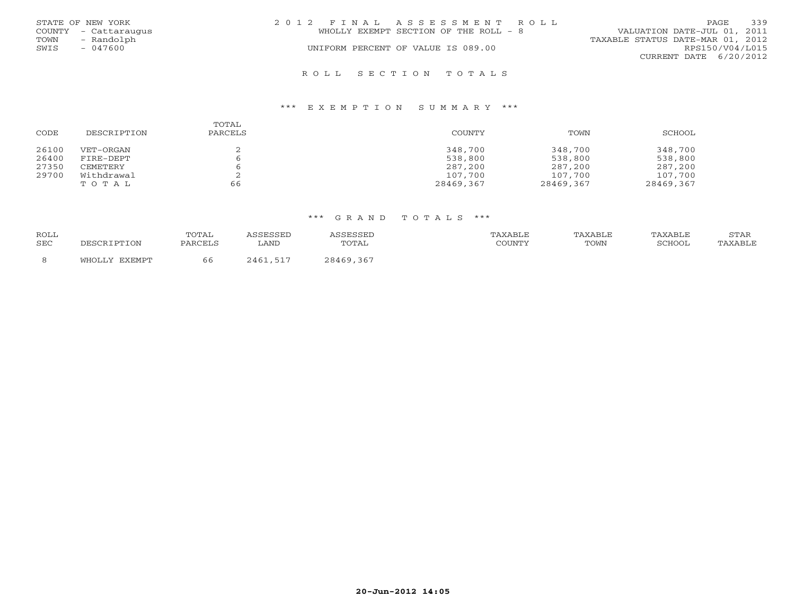|      | STATE OF NEW YORK    | 2012 FINAL ASSESSMENT ROLL            | 339<br>PAGE                      |
|------|----------------------|---------------------------------------|----------------------------------|
|      | COUNTY - Cattaraugus | WHOLLY EXEMPT SECTION OF THE ROLL - 8 | VALUATION DATE-JUL 01, 2011      |
| TOWN | - Randolph           |                                       | TAXABLE STATUS DATE-MAR 01, 2012 |
| SWIS | - 047600             | UNIFORM PERCENT OF VALUE IS 089.00    | RPS150/V04/L015                  |
|      |                      |                                       | CURRENT DATE 6/20/2012           |
|      |                      |                                       |                                  |

## R O L L S E C T I O N T O T A L S

## \*\*\* E X E M P T I O N S U M M A R Y \*\*\*

| CODE  | DESCRIPTION | TOTAL<br>PARCELS | <b>COUNTY</b> | TOWN      | SCHOOL    |
|-------|-------------|------------------|---------------|-----------|-----------|
| 26100 | VET-ORGAN   |                  | 348,700       | 348,700   | 348,700   |
| 26400 | FIRE-DEPT   |                  | 538,800       | 538,800   | 538,800   |
| 27350 | CEMETERY    |                  | 287,200       | 287,200   | 287,200   |
| 29700 | Withdrawal  |                  | 107,700       | 107,700   | 107,700   |
|       | TOTAL       | 66               | 28469,367     | 28469,367 | 28469,367 |

| <b>ROLL</b> |               | TOTAL   | <i>SSESSED</i> | CCFCCFL   | <b>TAXABLE</b> | TAXABLE | TAXABLE | STAR    |
|-------------|---------------|---------|----------------|-----------|----------------|---------|---------|---------|
|             |               |         |                |           |                |         |         |         |
|             |               |         |                |           |                |         |         |         |
| <b>SEC</b>  |               | PARCELS | ∟AND           | TOTAL     | COUNTY         | TOWN    | SCHOOL  | TAXABLE |
|             | WHOLLY EXEMPT | 66      | 2461,517       | 28469,367 |                |         |         |         |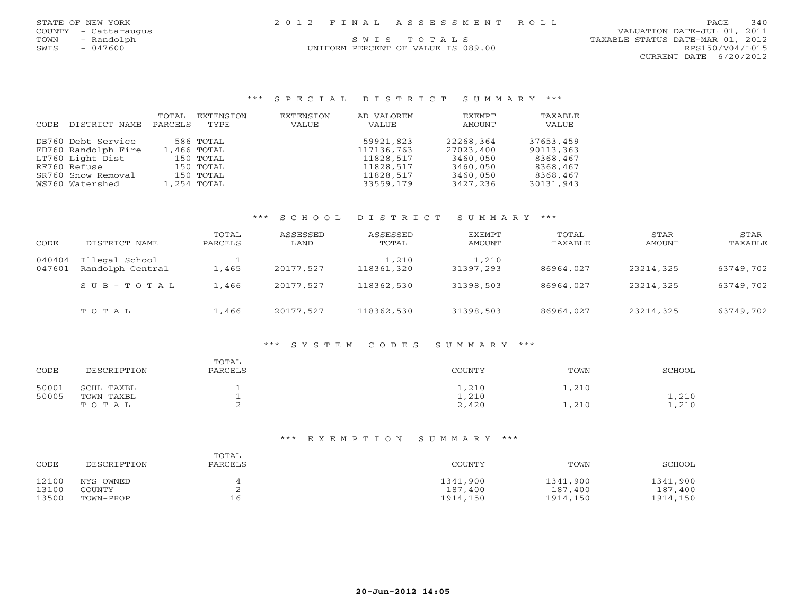| 2012 FINAL ASSESSMENT ROLL         | 340<br><b>PAGE</b>               |
|------------------------------------|----------------------------------|
|                                    | VALUATION DATE-JUL 01, 2011      |
| SWIS TOTALS                        | TAXABLE STATUS DATE-MAR 01, 2012 |
| UNIFORM PERCENT OF VALUE IS 089.00 | RPS150/V04/L015                  |
|                                    | CURRENT DATE 6/20/2012           |
|                                    |                                  |
|                                    |                                  |

## \*\*\* S P E C I A L D I S T R I C T S U M M A R Y \*\*\*

| CODE | DISTRICT NAME       | TOTAL<br>PARCELS | EXTENSION<br>TYPE. | EXTENSION<br>VALUE | AD VALOREM<br>VALUE | EXEMPT<br>AMOUNT | TAXABLE<br>VALUE |
|------|---------------------|------------------|--------------------|--------------------|---------------------|------------------|------------------|
|      | DB760 Debt Service  |                  | 586 TOTAL          |                    | 59921,823           | 22268,364        | 37653,459        |
|      | FD760 Randolph Fire |                  | 1,466 TOTAL        |                    | 117136,763          | 27023,400        | 90113,363        |
|      | LT760 Light Dist    |                  | 150 TOTAL          |                    | 11828,517           | 3460,050         | 8368,467         |
|      | RF760 Refuse        |                  | 150 TOTAL          |                    | 11828,517           | 3460,050         | 8368,467         |
|      | SR760 Snow Removal  |                  | 150 TOTAL          |                    | 11828,517           | 3460,050         | 8368,467         |
|      | WS760 Watershed     |                  | 1,254 TOTAL        |                    | 33559,179           | 3427,236         | 30131,943        |

## \*\*\* S C H O O L D I S T R I C T S U M M A R Y \*\*\*

| CODE             | DISTRICT NAME                      | TOTAL<br>PARCELS | ASSESSED<br>LAND | ASSESSED<br>TOTAL   | EXEMPT<br>AMOUNT   | TOTAL<br>TAXABLE | STAR<br>AMOUNT | STAR<br>TAXABLE |
|------------------|------------------------------------|------------------|------------------|---------------------|--------------------|------------------|----------------|-----------------|
| 040404<br>047601 | Illegal School<br>Randolph Central | 1,465            | 20177,527        | 1,210<br>118361,320 | 1,210<br>31397,293 | 86964,027        | 23214,325      | 63749,702       |
|                  | $SUB - TO T AL$                    | 1,466            | 20177.527        | 118362,530          | 31398,503          | 86964,027        | 23214,325      | 63749,702       |
|                  | TOTAL                              | 1,466            | 20177.527        | 118362,530          | 31398,503          | 86964,027        | 23214,325      | 63749,702       |

## \*\*\* S Y S T E M C O D E S S U M M A R Y \*\*\*

| CODE  | DESCRIPTION | TOTAL<br>PARCELS | COUNTY | TOWN  | SCHOOL |
|-------|-------------|------------------|--------|-------|--------|
| 50001 | SCHL TAXBL  | ∸                | 1,210  | 1,210 |        |
| 50005 | TOWN TAXBL  |                  | 1,210  |       | 1,210  |
|       | TOTAL       |                  | 2,420  | 1,210 | 1,210  |

| CODE  | DESCRIPTION | TOTAL<br>PARCELS | COUNTY   | TOWN     | SCHOOL   |
|-------|-------------|------------------|----------|----------|----------|
| 12100 | NYS OWNED   |                  | 1341,900 | 1341,900 | 1341,900 |
| 13100 | COUNTY      |                  | 187,400  | 187,400  | 187,400  |
| 13500 | TOWN-PROP   | 16               | 1914,150 | 1914,150 | 1914,150 |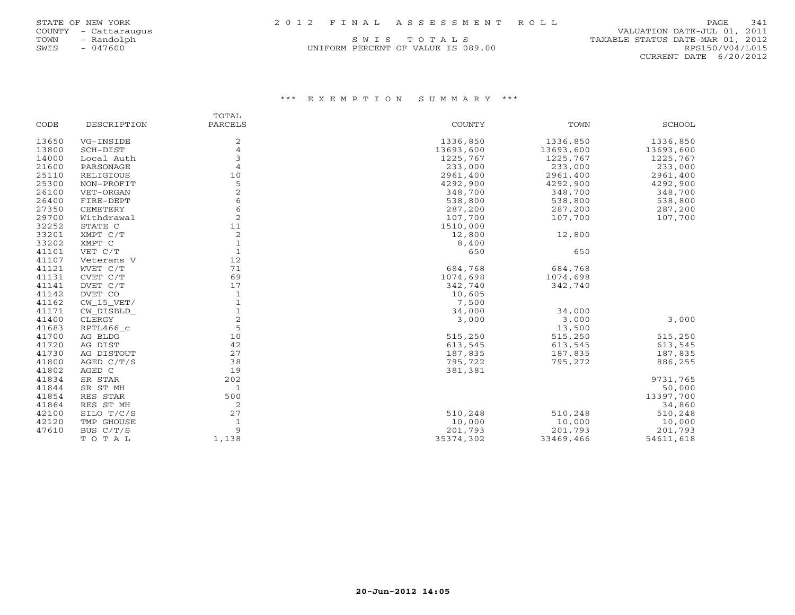| STATE OF NEW YORK |  | 2012 FINAL ASSESSMENT ROLL | PAGE 341 |  |
|-------------------|--|----------------------------|----------|--|
|                   |  |                            |          |  |

UNIFORM PERCENT OF VALUE IS 089.00

 COUNTY - Cattaraugus VALUATION DATE-JUL 01, 2011 TOWN - Randolph S W I S T O T A L S<br>
SWIS - 047600<br>
SWIS - 047600 RPS150/V04/L015 CURRENT DATE 6/20/2012

|       |              | TOTAL          |               |           |               |
|-------|--------------|----------------|---------------|-----------|---------------|
| CODE  | DESCRIPTION  | PARCELS        | <b>COUNTY</b> | TOWN      | <b>SCHOOL</b> |
| 13650 | VG-INSIDE    | 2              | 1336,850      | 1336,850  | 1336,850      |
| 13800 | SCH-DIST     | $\overline{4}$ | 13693,600     | 13693,600 | 13693,600     |
| 14000 | Local Auth   | 3              | 1225,767      | 1225,767  | 1225,767      |
| 21600 | PARSONAGE    | 4              | 233,000       | 233,000   | 233,000       |
| 25110 | RELIGIOUS    | 10             | 2961,400      | 2961,400  | 2961,400      |
| 25300 | NON-PROFIT   | 5              | 4292,900      | 4292,900  | 4292,900      |
| 26100 | VET-ORGAN    | 2              | 348,700       | 348,700   | 348,700       |
| 26400 | FIRE-DEPT    | 6              | 538,800       | 538,800   | 538,800       |
| 27350 | CEMETERY     | 6              | 287,200       | 287,200   | 287,200       |
| 29700 | Withdrawal   | 2              | 107,700       | 107,700   | 107,700       |
| 32252 | STATE C      | 11             | 1510,000      |           |               |
| 33201 | XMPT C/T     | 2              | 12,800        | 12,800    |               |
| 33202 | XMPT C       | 1              | 8,400         |           |               |
| 41101 | VET C/T      | $\mathbf{1}$   | 650           | 650       |               |
| 41107 | Veterans V   | 12             |               |           |               |
| 41121 | WVET C/T     | 71             | 684,768       | 684,768   |               |
| 41131 | CVET C/T     | 69             | 1074,698      | 1074,698  |               |
| 41141 | DVET C/T     | 17             | 342,740       | 342,740   |               |
| 41142 | DVET CO      | $\mathbf{1}$   | 10,605        |           |               |
| 41162 | $CW_15_VET/$ | $1\,$          | 7,500         |           |               |
| 41171 | CW_DISBLD_   | $\mathbf{1}$   | 34,000        | 34,000    |               |
| 41400 | CLERGY       | 2              | 3,000         | 3,000     | 3,000         |
| 41683 | RPTL466_c    | 5              |               | 13,500    |               |
| 41700 | AG BLDG      | 10             | 515,250       | 515,250   | 515,250       |
| 41720 | AG DIST      | 42             | 613,545       | 613,545   | 613,545       |
| 41730 | AG DISTOUT   | 27             | 187,835       | 187,835   | 187,835       |
| 41800 | AGED C/T/S   | 38             | 795,722       | 795,272   | 886,255       |
| 41802 | AGED C       | 19             | 381,381       |           |               |
| 41834 | SR STAR      | 202            |               |           | 9731,765      |
| 41844 | SR ST MH     | $\mathbf{1}$   |               |           | 50,000        |
| 41854 | RES STAR     | 500            |               |           | 13397,700     |
| 41864 | RES ST MH    | 2              |               |           | 34,860        |
| 42100 | SILO T/C/S   | 27             | 510,248       | 510,248   | 510,248       |
| 42120 | TMP GHOUSE   | 1              | 10,000        | 10,000    | 10,000        |
| 47610 | BUS C/T/S    | 9              | 201,793       | 201,793   | 201,793       |
|       | TOTAL        | 1,138          | 35374,302     | 33469,466 | 54611,618     |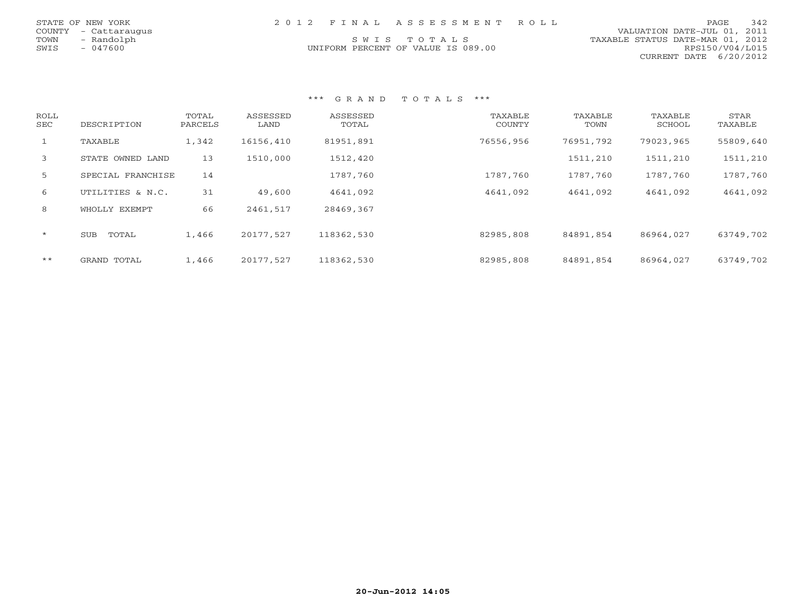|      | STATE OF NEW YORK    |  | 2012 FINAL ASSESSMENT ROLL         |                                  | PAGE.           | 342 |
|------|----------------------|--|------------------------------------|----------------------------------|-----------------|-----|
|      | COUNTY - Cattaraugus |  |                                    | VALUATION DATE-JUL 01, 2011      |                 |     |
| TOWN | - Randolph           |  | SWIS TOTALS                        | TAXABLE STATUS DATE-MAR 01, 2012 |                 |     |
| SWIS | - 047600             |  | UNIFORM PERCENT OF VALUE IS 089.00 |                                  | RPS150/V04/L015 |     |
|      |                      |  |                                    | CURRENT DATE 6/20/2012           |                 |     |

| ROLL<br>SEC  | DESCRIPTION         | TOTAL<br>PARCELS | ASSESSED<br>LAND | ASSESSED<br>TOTAL | TAXABLE<br>COUNTY | TAXABLE<br>TOWN | TAXABLE<br>SCHOOL | STAR<br>TAXABLE |
|--------------|---------------------|------------------|------------------|-------------------|-------------------|-----------------|-------------------|-----------------|
| $\mathbf{1}$ | TAXABLE             | 1,342            | 16156,410        | 81951,891         | 76556,956         | 76951,792       | 79023,965         | 55809,640       |
| 3            | STATE OWNED LAND    | 13               | 1510,000         | 1512,420          |                   | 1511,210        | 1511,210          | 1511,210        |
| 5            | SPECIAL FRANCHISE   | 14               |                  | 1787,760          | 1787,760          | 1787,760        | 1787,760          | 1787,760        |
| 6            | UTILITIES & N.C.    | 31               | 49,600           | 4641,092          | 4641,092          | 4641,092        | 4641,092          | 4641,092        |
| 8            | WHOLLY EXEMPT       | 66               | 2461,517         | 28469,367         |                   |                 |                   |                 |
| $\star$      | TOTAL<br><b>SUB</b> | 1,466            | 20177,527        | 118362,530        | 82985,808         | 84891,854       | 86964,027         | 63749,702       |
| $* *$        | GRAND TOTAL         | 1,466            | 20177,527        | 118362,530        | 82985,808         | 84891,854       | 86964,027         | 63749,702       |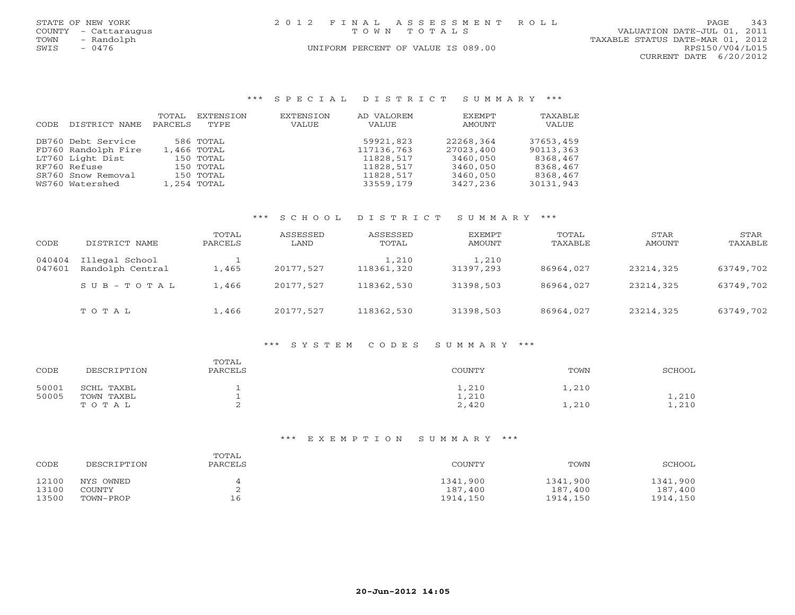| STATE OF NEW YORK<br>COUNTY<br>- Cattaraugus<br>- Randolph<br>TOWN<br>SWIS<br>$-0476$ | 2 0 1 2<br>T O W N               | FINAL ASSESSMENT ROLL<br>TOTAL S<br>UNIFORM PERCENT OF VALUE IS 089.00 |         | 343<br>PAGE<br>VALUATION DATE-JUL 01, 2011<br>TAXABLE STATUS DATE-MAR 01, 2012<br>RPS150/V04/L015 |
|---------------------------------------------------------------------------------------|----------------------------------|------------------------------------------------------------------------|---------|---------------------------------------------------------------------------------------------------|
|                                                                                       |                                  |                                                                        |         | 6/20/2012<br>CURRENT DATE                                                                         |
|                                                                                       |                                  |                                                                        |         |                                                                                                   |
|                                                                                       |                                  |                                                                        |         |                                                                                                   |
|                                                                                       |                                  |                                                                        |         |                                                                                                   |
|                                                                                       | *** SPECIAL DISTRICT SUMMARY *** |                                                                        |         |                                                                                                   |
| EXTENSION<br>TOTAL                                                                    | EXTENSION                        | EXEMPT<br>AD VALOREM                                                   | TAXABLE |                                                                                                   |
| TYPE<br>PARCELS<br>DISTRICT NAME<br>CODE                                              | VALUE                            | AMOUNT<br>VALUE                                                        | VALUE   |                                                                                                   |

|                 | DB760 Debt Service  | 586 TOTAL   | 59921,823  | 22268,364 | 37653,459 |
|-----------------|---------------------|-------------|------------|-----------|-----------|
|                 | FD760 Randolph Fire | 1,466 TOTAL | 117136,763 | 27023,400 | 90113,363 |
|                 | LT760 Light Dist    | 150 TOTAL   | 11828,517  | 3460,050  | 8368,467  |
| RF760 Refuse    |                     | 150 TOTAL   | 11828,517  | 3460,050  | 8368,467  |
|                 | SR760 Snow Removal  | 150 TOTAL   | 11828,517  | 3460,050  | 8368,467  |
| WS760 Watershed |                     | 1,254 TOTAL | 33559,179  | 3427,236  | 30131,943 |
|                 |                     |             |            |           |           |

## \*\*\* S C H O O L D I S T R I C T S U M M A R Y \*\*\*

| CODE             | DISTRICT NAME                      | TOTAL<br>PARCELS | ASSESSED<br>LAND | ASSESSED<br>TOTAL   | EXEMPT<br>AMOUNT   | TOTAL<br>TAXABLE | STAR<br>AMOUNT | <b>STAR</b><br>TAXABLE |
|------------------|------------------------------------|------------------|------------------|---------------------|--------------------|------------------|----------------|------------------------|
| 040404<br>047601 | Illegal School<br>Randolph Central | 1,465            | 20177.527        | 1,210<br>118361,320 | 1,210<br>31397,293 | 86964,027        | 23214,325      | 63749,702              |
|                  | SUB-TOTAL                          | 1,466            | 20177.527        | 118362,530          | 31398,503          | 86964,027        | 23214,325      | 63749,702              |
|                  | TOTAL                              | 1,466            | 20177.527        | 118362,530          | 31398,503          | 86964,027        | 23214,325      | 63749,702              |

### \*\*\* S Y S T E M C O D E S S U M M A R Y \*\*\*

| CODE  | DESCRIPTION | TOTAL<br>PARCELS | COUNTY | TOWN  | SCHOOL |
|-------|-------------|------------------|--------|-------|--------|
| 50001 | SCHL TAXBL  | <b>.</b>         | 1,210  | 1,210 |        |
| 50005 | TOWN TAXBL  |                  | 1,210  |       | 1,210  |
|       | TOTAL       |                  | 2,420  | 1,210 | 1,210  |

| CODE  | DESCRIPTION | TOTAL<br>PARCELS | COUNTY   | TOWN     | SCHOOL   |
|-------|-------------|------------------|----------|----------|----------|
| 12100 | NYS OWNED   |                  | 1341,900 | 1341,900 | 1341,900 |
| 13100 | COUNTY      |                  | 187,400  | 187,400  | 187,400  |
| 13500 | TOWN-PROP   | TР               | 1914,150 | 1914,150 | 1914,150 |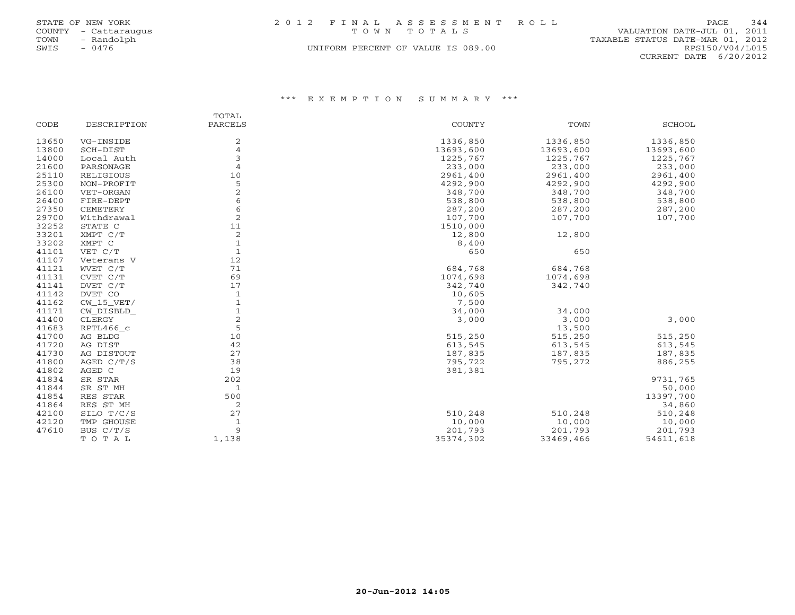| STATE OF NEW YORK    | 2012 FINAL ASSESSMENT ROLL         | 344<br><b>PAGE</b>               |
|----------------------|------------------------------------|----------------------------------|
| COUNTY - Cattaraugus | TOWN TOTALS                        | VALUATION DATE-JUL 01, 2011      |
| TOWN<br>- Randolph   |                                    | TAXABLE STATUS DATE-MAR 01, 2012 |
| $-0476$<br>SWIS      | UNIFORM PERCENT OF VALUE IS 089.00 | RPS150/V04/L015                  |

CURRENT DATE 6/20/2012

|       |              | TOTAL          |               |           |           |
|-------|--------------|----------------|---------------|-----------|-----------|
| CODE  | DESCRIPTION  | PARCELS        | <b>COUNTY</b> | TOWN      | SCHOOL    |
| 13650 | VG-INSIDE    | 2              | 1336,850      | 1336,850  | 1336,850  |
| 13800 | SCH-DIST     | $\overline{4}$ | 13693,600     | 13693,600 | 13693,600 |
| 14000 | Local Auth   | 3              | 1225,767      | 1225,767  | 1225,767  |
| 21600 | PARSONAGE    | $\overline{4}$ | 233,000       | 233,000   | 233,000   |
| 25110 | RELIGIOUS    | 10             | 2961,400      | 2961,400  | 2961,400  |
| 25300 | NON-PROFIT   | 5              | 4292,900      | 4292,900  | 4292,900  |
| 26100 | VET-ORGAN    | $\overline{2}$ | 348,700       | 348,700   | 348,700   |
| 26400 | FIRE-DEPT    | 6              | 538,800       | 538,800   | 538,800   |
| 27350 | CEMETERY     | 6              | 287,200       | 287,200   | 287,200   |
| 29700 | Withdrawal   | 2              | 107,700       | 107,700   | 107,700   |
| 32252 | STATE C      | 11             | 1510,000      |           |           |
| 33201 | XMPT C/T     | 2              | 12,800        | 12,800    |           |
| 33202 | XMPT C       | $\mathbf{1}$   | 8,400         |           |           |
| 41101 | VET C/T      | $\mathbf{1}$   | 650           | 650       |           |
| 41107 | Veterans V   | 12             |               |           |           |
| 41121 | WVET C/T     | 71             | 684,768       | 684,768   |           |
| 41131 | CVET C/T     | 69             | 1074,698      | 1074,698  |           |
| 41141 | DVET C/T     | 17             | 342,740       | 342,740   |           |
| 41142 | DVET CO      | $\mathbf{1}$   | 10,605        |           |           |
| 41162 | $CW_15_VET/$ | $\mathbf{1}$   | 7,500         |           |           |
| 41171 | CW_DISBLD_   |                | 34,000        | 34,000    |           |
| 41400 | CLERGY       | $\overline{c}$ | 3,000         | 3,000     | 3,000     |
| 41683 | RPTL466_c    | 5              |               | 13,500    |           |
| 41700 | AG BLDG      | 10             | 515,250       | 515,250   | 515,250   |
| 41720 | AG DIST      | 42             | 613,545       | 613,545   | 613,545   |
| 41730 | AG DISTOUT   | 27             | 187,835       | 187,835   | 187,835   |
| 41800 | AGED C/T/S   | 38             | 795,722       | 795,272   | 886,255   |
| 41802 | AGED C       | 19             | 381,381       |           |           |
| 41834 | SR STAR      | 202            |               |           | 9731,765  |
| 41844 | SR ST MH     | $\mathbf{1}$   |               |           | 50,000    |
| 41854 | RES STAR     | 500            |               |           | 13397,700 |
| 41864 | RES ST MH    | 2              |               |           | 34,860    |
| 42100 | SILO T/C/S   | 27             | 510,248       | 510,248   | 510,248   |
| 42120 | TMP GHOUSE   | 1              | 10,000        | 10,000    | 10,000    |
| 47610 | BUS C/T/S    | 9              | 201,793       | 201,793   | 201,793   |
|       | TOTAL        | 1,138          | 35374,302     | 33469,466 | 54611,618 |